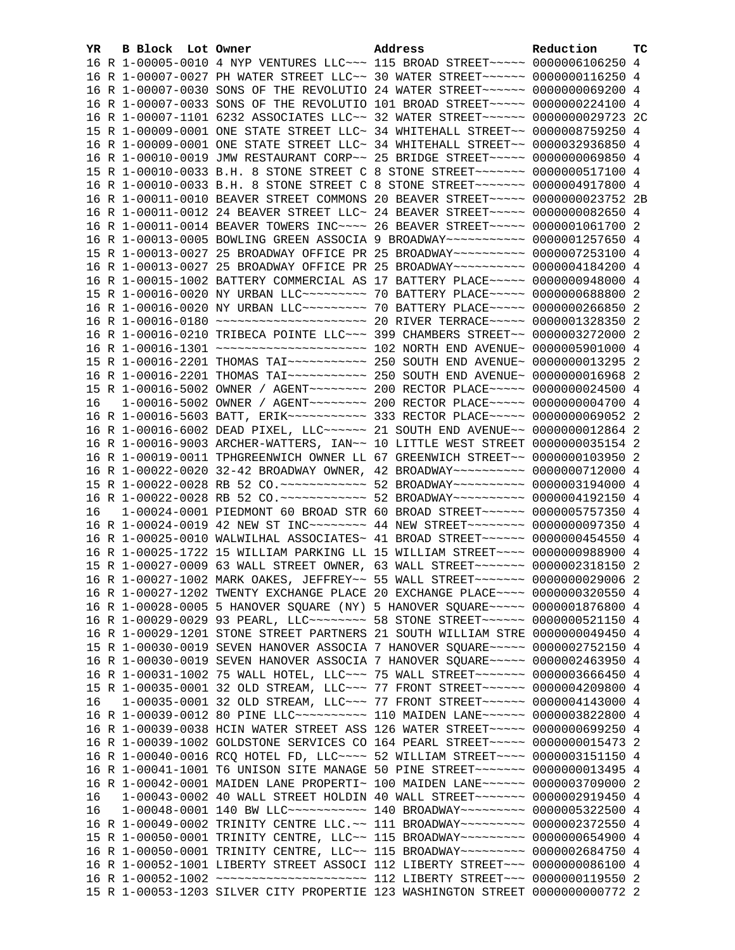| YR. | B Block Lot Owner |                                                                                          | Address | Reduction | тc |
|-----|-------------------|------------------------------------------------------------------------------------------|---------|-----------|----|
|     |                   | 16 R 1-00005-0010 4 NYP VENTURES LLC~~~ 115 BROAD STREET~~~~~ 0000006106250 4            |         |           |    |
|     |                   | 16 R 1-00007-0027 PH WATER STREET LLC~~ 30 WATER STREET~~~~~~ 0000000116250 4            |         |           |    |
|     |                   | 16 R 1-00007-0030 SONS OF THE REVOLUTIO 24 WATER STREET~~~~~~ 0000000069200 4            |         |           |    |
|     |                   | 16 R 1-00007-0033 SONS OF THE REVOLUTIO 101 BROAD STREET~~~~~ 0000000224100 4            |         |           |    |
|     |                   | 16 R 1-00007-1101 6232 ASSOCIATES LLC~~ 32 WATER STREET~~~~~~ 0000000029723 2C           |         |           |    |
|     |                   | 15 R 1-00009-0001 ONE STATE STREET LLC~ 34 WHITEHALL STREET~~ 0000008759250 4            |         |           |    |
|     |                   | 16 R 1-00009-0001 ONE STATE STREET LLC~ 34 WHITEHALL STREET~~ 0000032936850 4            |         |           |    |
|     |                   | 16 R 1-00010-0019 JMW RESTAURANT CORP~~ 25 BRIDGE STREET~~~~~ 0000000069850 4            |         |           |    |
|     |                   | 15 R 1-00010-0033 B.H. 8 STONE STREET C 8 STONE STREET~~~~~~~ 0000000517100 4            |         |           |    |
|     |                   | 16 R 1-00010-0033 B.H. 8 STONE STREET C 8 STONE STREET~~~~~~~~ 0000004917800 4           |         |           |    |
|     |                   | 16 R 1-00011-0010 BEAVER STREET COMMONS 20 BEAVER STREET~~~~~ 0000000023752 2B           |         |           |    |
|     |                   | 16 R 1-00011-0012 24 BEAVER STREET LLC~ 24 BEAVER STREET~~~~~ 0000000082650 4            |         |           |    |
|     |                   | 16 R 1-00011-0014 BEAVER TOWERS INC~~~~ 26 BEAVER STREET~~~~~ 0000001061700 2            |         |           |    |
|     |                   | 16 R 1-00013-0005 BOWLING GREEN ASSOCIA 9 BROADWAY~~~~~~~~~~~ 0000001257650 4            |         |           |    |
|     |                   | 15 R 1-00013-0027 25 BROADWAY OFFICE PR 25 BROADWAY~~~~~~~~~~ 0000007253100 4            |         |           |    |
|     |                   | 16 R 1-00013-0027 25 BROADWAY OFFICE PR 25 BROADWAY~~~~~~~~~~ 0000004184200 4            |         |           |    |
|     |                   | 16 R 1-00015-1002 BATTERY COMMERCIAL AS 17 BATTERY PLACE~~~~~ 0000000948000 4            |         |           |    |
|     |                   | 15 R 1-00016-0020 NY URBAN LLC -------- 70 BATTERY PLACE ---- 0000000688800 2            |         |           |    |
|     |                   | 16 R 1-00016-0020 NY URBAN LLC -------- 70 BATTERY PLACE ---- 0000000266850 2            |         |           |    |
|     |                   | 16 R 1-00016-0180 ~~~~~~~~~~~~~~~~~~~~~~~~~ 20 RIVER TERRACE~~~~~ 0000001328350 2        |         |           |    |
|     |                   | 16 R 1-00016-0210 TRIBECA POINTE LLC~~~ 399 CHAMBERS STREET~~ 0000003272000 2            |         |           |    |
|     |                   |                                                                                          |         |           |    |
|     |                   |                                                                                          |         |           |    |
|     |                   |                                                                                          |         |           |    |
|     |                   | 15 R 1-00016-5002 OWNER / AGENT~~~~~~~~ 200 RECTOR PLACE~~~~~ 0000000024500 4            |         |           |    |
| 16  |                   | 1-00016-5002 OWNER / AGENT~~~~~~~~ 200 RECTOR PLACE~~~~~ 0000000004700 4                 |         |           |    |
|     |                   | 16 R 1-00016-5603 BATT, ERIK~~~~~~~~~~~~~~~~~~~~~ 333 RECTOR PLACE~~~~~~ 0000000069052 2 |         |           |    |
|     |                   | 16 R 1-00016-6002 DEAD PIXEL, LLC~~~~~~ 21 SOUTH END AVENUE~~ 0000000012864 2            |         |           |    |
|     |                   | 16 R 1-00016-9003 ARCHER-WATTERS, IAN~~ 10 LITTLE WEST STREET 0000000035154 2            |         |           |    |
|     |                   | 16 R 1-00019-0011 TPHGREENWICH OWNER LL 67 GREENWICH STREET~~ 0000000103950 2            |         |           |    |
|     |                   | 16 R 1-00022-0020 32-42 BROADWAY OWNER, 42 BROADWAY~~~~~~~~~~ 0000000712000 4            |         |           |    |
|     |                   | 15 R 1-00022-0028 RB 52 CO.~~~~~~~~~~~~~ 52 BROADWAY~~~~~~~~~~ 0000003194000 4           |         |           |    |
|     |                   | 16 R 1-00022-0028 RB 52 CO.~~~~~~~~~~~~~ 52 BROADWAY~~~~~~~~~~ 0000004192150 4           |         |           |    |
| 16  |                   | 1-00024-0001 PIEDMONT 60 BROAD STR 60 BROAD STREET~~~~~~ 0000005757350 4                 |         |           |    |
|     |                   | 16 R 1-00024-0019 42 NEW ST INC~~~~~~~~ 44 NEW STREET~~~~~~~~ 0000000097350 4            |         |           |    |
|     |                   | 16 R 1-00025-0010 WALWILHAL ASSOCIATES~ 41 BROAD STREET~~~~~~~ 0000000454550 4           |         |           |    |
|     |                   | 16 R 1-00025-1722 15 WILLIAM PARKING LL 15 WILLIAM STREET~~~~ 0000000988900 4            |         |           |    |
|     |                   | 15 R 1-00027-0009 63 WALL STREET OWNER, 63 WALL STREET~~~~~~~ 0000002318150 2            |         |           |    |
|     |                   | 16 R 1-00027-1002 MARK OAKES, JEFFREY~~ 55 WALL STREET~~~~~~~ 0000000029006 2            |         |           |    |
|     |                   | 16 R 1-00027-1202 TWENTY EXCHANGE PLACE 20 EXCHANGE PLACE~~~~ 0000000320550 4            |         |           |    |
|     |                   | 16 R 1-00028-0005 5 HANOVER SQUARE (NY) 5 HANOVER SQUARE~~~~~ 0000001876800 4            |         |           |    |
|     |                   | 16 R 1-00029-0029 93 PEARL, LLC -------- 58 STONE STREET ------ 0000000521150 4          |         |           |    |
|     |                   | 16 R 1-00029-1201 STONE STREET PARTNERS 21 SOUTH WILLIAM STRE 0000000049450 4            |         |           |    |
|     |                   | 15 R 1-00030-0019 SEVEN HANOVER ASSOCIA 7 HANOVER SQUARE~~~~~ 0000002752150 4            |         |           |    |
|     |                   | 16 R 1-00030-0019 SEVEN HANOVER ASSOCIA 7 HANOVER SQUARE~~~~~ 0000002463950 4            |         |           |    |
|     |                   | 16 R 1-00031-1002 75 WALL HOTEL, LLC ~~~ 75 WALL STREET ~~~~~~~ 0000003666450 4          |         |           |    |
|     |                   | 15 R 1-00035-0001 32 OLD STREAM, LLC~~~ 77 FRONT STREET~~~~~~ 0000004209800 4            |         |           |    |
| 16  |                   | 1-00035-0001 32 OLD STREAM, LLC ~~~ 77 FRONT STREET ~~~~~~ 0000004143000 4               |         |           |    |
|     |                   | 16 R 1-00039-0012 80 PINE LLC~~~~~~~~~~~~~~~ 110 MAIDEN LANE~~~~~~~ 0000003822800 4      |         |           |    |
|     |                   | 16 R 1-00039-0038 HCIN WATER STREET ASS 126 WATER STREET~~~~~ 0000000699250 4            |         |           |    |
|     |                   | 16 R 1-00039-1002 GOLDSTONE SERVICES CO 164 PEARL STREET~~~~~ 0000000015473 2            |         |           |    |
|     |                   | 16 R 1-00040-0016 RCQ HOTEL FD, LLC ~~~~ 52 WILLIAM STREET ~~~~ 0000003151150 4          |         |           |    |
|     |                   | 16 R 1-00041-1001 T6 UNISON SITE MANAGE 50 PINE STREET~~~~~~~ 0000000013495 4            |         |           |    |
|     |                   | 16 R 1-00042-0001 MAIDEN LANE PROPERTI~ 100 MAIDEN LANE~~~~~~ 0000003709000 2            |         |           |    |
| 16  |                   | 1-00043-0002 40 WALL STREET HOLDIN 40 WALL STREET~~~~~~~ 0000002919450 4                 |         |           |    |
| 16  |                   | 1-00048-0001 140 BW LLC ----------- 140 BROADWAY -------- 0000005322500 4                |         |           |    |
|     |                   | 16 R 1-00049-0002 TRINITY CENTRE LLC. ~~ 111 BROADWAY~~~~~~~~~ 0000002372550 4           |         |           |    |
|     |                   | 15 R 1-00050-0001 TRINITY CENTRE, LLC~~ 115 BROADWAY~~~~~~~~~ 0000000654900 4            |         |           |    |
|     |                   | 16 R 1-00050-0001 TRINITY CENTRE, LLC~~ 115 BROADWAY~~~~~~~~~ 0000002684750 4            |         |           |    |
|     |                   | 16 R 1-00052-1001 LIBERTY STREET ASSOCI 112 LIBERTY STREET~~~ 0000000086100 4            |         |           |    |
|     |                   |                                                                                          |         |           |    |
|     |                   | 15 R 1-00053-1203 SILVER CITY PROPERTIE 123 WASHINGTON STREET 0000000000772 2            |         |           |    |
|     |                   |                                                                                          |         |           |    |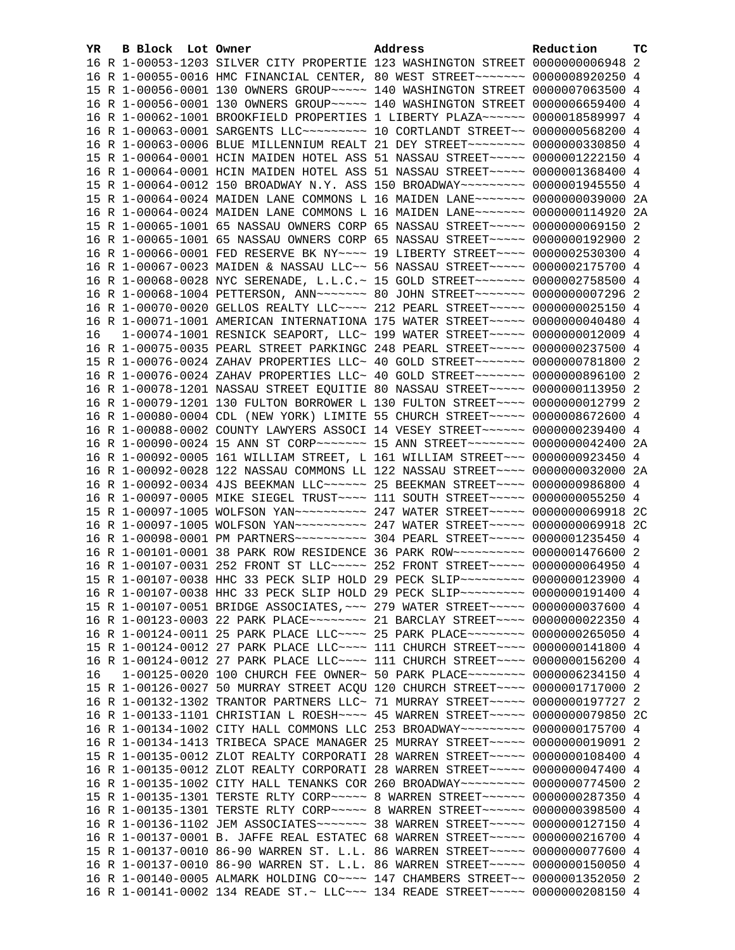| YR. | B Block Lot Owner |  | Address                                                                                                                                                          | Reduction | тc |
|-----|-------------------|--|------------------------------------------------------------------------------------------------------------------------------------------------------------------|-----------|----|
|     |                   |  | 16 R 1-00053-1203 SILVER CITY PROPERTIE 123 WASHINGTON STREET 0000000006948 2                                                                                    |           |    |
|     |                   |  | 16 R 1-00055-0016 HMC FINANCIAL CENTER, 80 WEST STREET~~~~~~~ 0000008920250 4                                                                                    |           |    |
|     |                   |  | 15 R 1-00056-0001 130 OWNERS GROUP~~~~~ 140 WASHINGTON STREET 0000007063500 4                                                                                    |           |    |
|     |                   |  | 16 R 1-00056-0001 130 OWNERS GROUP~~~~~ 140 WASHINGTON STREET 0000006659400 4                                                                                    |           |    |
|     |                   |  | 16 R 1-00062-1001 BROOKFIELD PROPERTIES 1 LIBERTY PLAZA~~~~~~ 0000018589997 4                                                                                    |           |    |
|     |                   |  | 16 R 1-00063-0001 SARGENTS LLC~~~~~~~~~~~~~~ 10 CORTLANDT STREET~~ 0000000568200 4                                                                               |           |    |
|     |                   |  | 16 R 1-00063-0006 BLUE MILLENNIUM REALT 21 DEY STREET~~~~~~~~ 0000000330850 4                                                                                    |           |    |
|     |                   |  | 15 R 1-00064-0001 HCIN MAIDEN HOTEL ASS 51 NASSAU STREET~~~~~ 0000001222150 4                                                                                    |           |    |
|     |                   |  | 16 R 1-00064-0001 HCIN MAIDEN HOTEL ASS 51 NASSAU STREET~~~~~ 0000001368400 4                                                                                    |           |    |
|     |                   |  | 15 R 1-00064-0012 150 BROADWAY N.Y. ASS 150 BROADWAY~~~~~~~~~ 0000001945550 4                                                                                    |           |    |
|     |                   |  | 15 R 1-00064-0024 MAIDEN LANE COMMONS L 16 MAIDEN LANE~~~~~~~ 0000000039000 2A                                                                                   |           |    |
|     |                   |  | 16 R 1-00064-0024 MAIDEN LANE COMMONS L 16 MAIDEN LANE~~~~~~~ 0000000114920 2A                                                                                   |           |    |
|     |                   |  | 15 R 1-00065-1001 65 NASSAU OWNERS CORP 65 NASSAU STREET~~~~~ 0000000069150 2                                                                                    |           |    |
|     |                   |  | 16 R 1-00065-1001 65 NASSAU OWNERS CORP 65 NASSAU STREET~~~~~ 0000000192900 2                                                                                    |           |    |
|     |                   |  | 16 R 1-00066-0001 FED RESERVE BK NY~~~~ 19 LIBERTY STREET~~~~ 0000002530300 4                                                                                    |           |    |
|     |                   |  | 16 R 1-00067-0023 MAIDEN & NASSAU LLC~~ 56 NASSAU STREET~~~~~ 0000002175700 4                                                                                    |           |    |
|     |                   |  | 16 R 1-00068-0028 NYC SERENADE, L.L.C.~ 15 GOLD STREET~~~~~~~~ 0000002758500 4                                                                                   |           |    |
|     |                   |  | 16 R 1-00068-1004 PETTERSON, ANN~~~~~~~~ 80 JOHN STREET~~~~~~~ 0000000007296 2                                                                                   |           |    |
|     |                   |  | 16 R 1-00070-0020 GELLOS REALTY LLC --- 212 PEARL STREET ---- 0000000025150 4                                                                                    |           |    |
|     |                   |  | 16 R 1-00071-1001 AMERICAN INTERNATIONA 175 WATER STREET~~~~~ 0000000040480 4                                                                                    |           |    |
| 16  |                   |  | 1-00074-1001 RESNICK SEAPORT, LLC~ 199 WATER STREET~~~~~ 0000000012009 4                                                                                         |           |    |
|     |                   |  | 16 R 1-00075-0035 PEARL STREET PARKINGC 248 PEARL STREET~~~~~ 0000000237500 4                                                                                    |           |    |
|     |                   |  | 15 R 1-00076-0024 ZAHAV PROPERTIES LLC~ 40 GOLD STREET~~~~~~~ 0000000781800 2                                                                                    |           |    |
|     |                   |  | 16 R 1-00076-0024 ZAHAV PROPERTIES LLC~ 40 GOLD STREET~~~~~~~ 0000000896100 2                                                                                    |           |    |
|     |                   |  | 16 R 1-00078-1201 NASSAU STREET EQUITIE 80 NASSAU STREET~~~~~ 0000000113950 2                                                                                    |           |    |
|     |                   |  | 16 R 1-00079-1201 130 FULTON BORROWER L 130 FULTON STREET~~~~ 0000000012799 2                                                                                    |           |    |
|     |                   |  | 16 R 1-00080-0004 CDL (NEW YORK) LIMITE 55 CHURCH STREET~~~~~ 0000008672600 4                                                                                    |           |    |
|     |                   |  | 16 R 1-00088-0002 COUNTY LAWYERS ASSOCI 14 VESEY STREET~~~~~~ 0000000239400 4                                                                                    |           |    |
|     |                   |  | 16 R 1-00090-0024 15 ANN ST CORP~~~~~~~~ 15 ANN STREET~~~~~~~~ 0000000042400 2A<br>16 R 1-00092-0005 161 WILLIAM STREET, L 161 WILLIAM STREET~~~ 0000000923450 4 |           |    |
|     |                   |  | 16 R 1-00092-0028 122 NASSAU COMMONS LL 122 NASSAU STREET~~~~ 0000000032000 2A                                                                                   |           |    |
|     |                   |  | 16 R 1-00092-0034 4JS BEEKMAN LLC ----- 25 BEEKMAN STREET --- 0000000986800 4                                                                                    |           |    |
|     |                   |  | 16 R 1-00097-0005 MIKE SIEGEL TRUST~~~~ 111 SOUTH STREET~~~~~ 0000000055250 4                                                                                    |           |    |
|     |                   |  | 15 R 1-00097-1005 WOLFSON YAN~~~~~~~~~~~~~~~~~~ 247 WATER STREET~~~~~~ 0000000069918 2C                                                                          |           |    |
|     |                   |  | 16 R 1-00097-1005 WOLFSON YAN~~~~~~~~~~ 247 WATER STREET~~~~~ 0000000069918 2C                                                                                   |           |    |
|     |                   |  | 16 R 1-00098-0001 PM PARTNERS~~~~~~~~~~~ 304 PEARL STREET~~~~~ 0000001235450 4                                                                                   |           |    |
|     |                   |  | 16 R 1-00101-0001 38 PARK ROW RESIDENCE 36 PARK ROW~~~~~~~~~~ 0000001476600 2                                                                                    |           |    |
|     |                   |  | 16 R 1-00107-0031 252 FRONT ST LLC ---- 252 FRONT STREET ---- 0000000064950 4                                                                                    |           |    |
|     |                   |  | 15 R 1-00107-0038 HHC 33 PECK SLIP HOLD 29 PECK SLIP~~~~~~~~~ 0000000123900 4                                                                                    |           |    |
|     |                   |  | 16 R 1-00107-0038 HHC 33 PECK SLIP HOLD 29 PECK SLIP~~~~~~~~~ 0000000191400 4                                                                                    |           |    |
|     |                   |  | 15 R 1-00107-0051 BRIDGE ASSOCIATES, ~~~ 279 WATER STREET~~~~~ 0000000037600 4                                                                                   |           |    |
|     |                   |  | 16 R 1-00123-0003 22 PARK PLACE~~~~~~~~~~~~~~~~~~~ STREET~~~~~~~~~~ 0000000022350 4                                                                              |           |    |
|     |                   |  | 16 R 1-00124-0011 25 PARK PLACE LLC ~~~~ 25 PARK PLACE ~~~~~~~~ 0000000265050 4                                                                                  |           |    |
|     |                   |  | 15 R 1-00124-0012 27 PARK PLACE LLC ~~~~ 111 CHURCH STREET ~~~~ 0000000141800 4                                                                                  |           |    |
|     |                   |  | 16 R 1-00124-0012 27 PARK PLACE LLC ~~~~ 111 CHURCH STREET ~~~~ 0000000156200 4                                                                                  |           |    |
| 16  |                   |  | 1-00125-0020 100 CHURCH FEE OWNER~ 50 PARK PLACE~~~~~~~~ 0000006234150 4                                                                                         |           |    |
|     |                   |  | 15 R 1-00126-0027 50 MURRAY STREET ACQU 120 CHURCH STREET~~~~ 0000001717000 2                                                                                    |           |    |
|     |                   |  | 16 R 1-00132-1302 TRANTOR PARTNERS LLC~ 71 MURRAY STREET~~~~~ 0000000197727 2                                                                                    |           |    |
|     |                   |  | 16 R 1-00133-1101 CHRISTIAN L ROESH~~~~ 45 WARREN STREET~~~~~ 0000000079850 2C                                                                                   |           |    |
|     |                   |  | 16 R 1-00134-1002 CITY HALL COMMONS LLC 253 BROADWAY~~~~~~~~~ 0000000175700 4                                                                                    |           |    |
|     |                   |  | 16 R 1-00134-1413 TRIBECA SPACE MANAGER 25 MURRAY STREET~~~~~ 0000000019091 2                                                                                    |           |    |
|     |                   |  | 15 R 1-00135-0012 ZLOT REALTY CORPORATI 28 WARREN STREET~~~~~ 0000000108400 4                                                                                    |           |    |
|     |                   |  | 16 R 1-00135-0012 ZLOT REALTY CORPORATI 28 WARREN STREET~~~~~ 0000000047400 4                                                                                    |           |    |
|     |                   |  | 16 R 1-00135-1002 CITY HALL TENANKS COR 260 BROADWAY~~~~~~~~~ 0000000774500 2                                                                                    |           |    |
|     |                   |  | 15 R 1-00135-1301 TERSTE RLTY CORP~~~~~ 8 WARREN STREET~~~~~~ 0000000287350 4                                                                                    |           |    |
|     |                   |  | 16 R 1-00135-1301 TERSTE RLTY CORP~~~~~ 8 WARREN STREET~~~~~~ 0000000398500 4                                                                                    |           |    |
|     |                   |  | 16 R 1-00136-1102 JEM ASSOCIATES~~~~~~~ 38 WARREN STREET~~~~~ 0000000127150 4                                                                                    |           |    |
|     |                   |  | 16 R 1-00137-0001 B. JAFFE REAL ESTATEC 68 WARREN STREET~~~~~ 0000000216700 4                                                                                    |           |    |
|     |                   |  | 15 R 1-00137-0010 86-90 WARREN ST. L.L. 86 WARREN STREET~~~~~ 0000000077600 4                                                                                    |           |    |
|     |                   |  | 16 R 1-00137-0010 86-90 WARREN ST. L.L. 86 WARREN STREET~~~~~ 0000000150050 4                                                                                    |           |    |
|     |                   |  | 16 R 1-00140-0005 ALMARK HOLDING CO~~~~ 147 CHAMBERS STREET~~ 0000001352050 2                                                                                    |           |    |
|     |                   |  | 16 R 1-00141-0002 134 READE ST.~ LLC~~~ 134 READE STREET~~~~~ 0000000208150 4                                                                                    |           |    |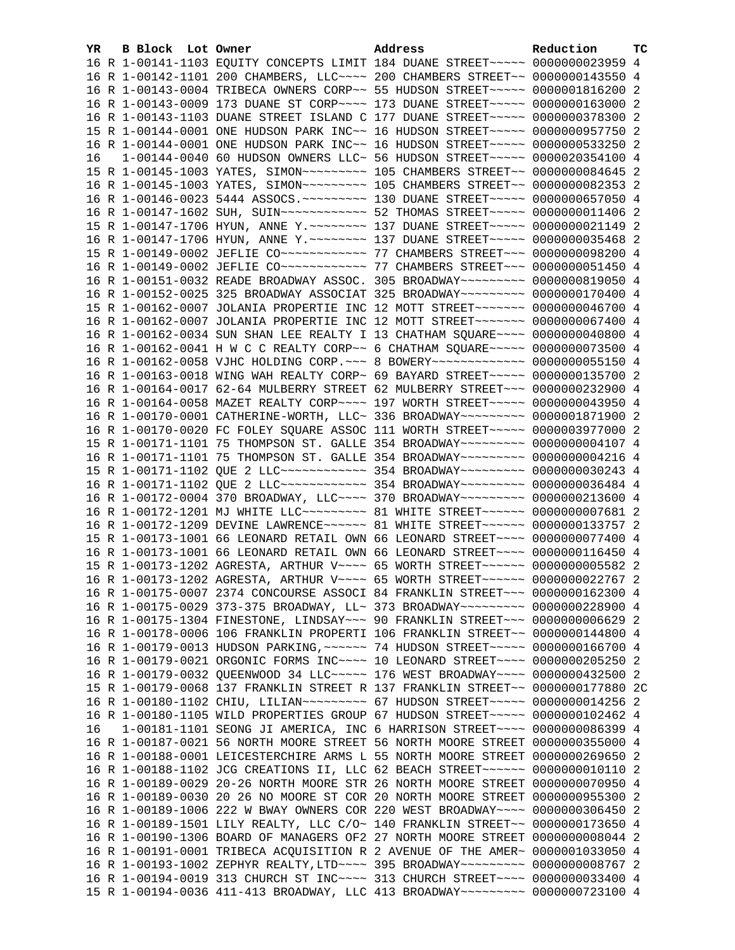| YR. | <b>B Block</b> Lot Owner |                                                                                                                                                                 | Address | Reduction | тc |
|-----|--------------------------|-----------------------------------------------------------------------------------------------------------------------------------------------------------------|---------|-----------|----|
|     |                          | 16 R 1-00141-1103 EQUITY CONCEPTS LIMIT 184 DUANE STREET~~~~~ 0000000023959 4                                                                                   |         |           |    |
|     |                          | 16 R 1-00142-1101 200 CHAMBERS, LLC --- 200 CHAMBERS STREET -~ 0000000143550 4                                                                                  |         |           |    |
|     |                          | 16 R 1-00143-0004 TRIBECA OWNERS CORP~~ 55 HUDSON STREET~~~~~ 0000001816200 2                                                                                   |         |           |    |
|     |                          | 16 R 1-00143-0009 173 DUANE ST CORP~~~~ 173 DUANE STREET~~~~~ 0000000163000 2                                                                                   |         |           |    |
|     |                          | 16 R 1-00143-1103 DUANE STREET ISLAND C 177 DUANE STREET~~~~~ 0000000378300 2                                                                                   |         |           |    |
|     |                          | 15 R 1-00144-0001 ONE HUDSON PARK INC~~ 16 HUDSON STREET~~~~~ 0000000957750 2                                                                                   |         |           |    |
|     |                          | 16 R 1-00144-0001 ONE HUDSON PARK INC~~ 16 HUDSON STREET~~~~~ 0000000533250 2                                                                                   |         |           |    |
| 16  |                          | 1-00144-0040 60 HUDSON OWNERS LLC~ 56 HUDSON STREET~~~~~ 0000020354100 4                                                                                        |         |           |    |
|     |                          | 15 R 1-00145-1003 YATES, SIMON~~~~~~~~~~~~~~ 105 CHAMBERS STREET~~ 0000000084645 2                                                                              |         |           |    |
|     |                          | 16 R 1-00145-1003 YATES, SIMON~~~~~~~~~~~~~~ 105 CHAMBERS STREET~~ 0000000082353 2                                                                              |         |           |    |
|     |                          | 16 R 1-00146-0023 5444 ASSOCS. ~~~~~~~~~~ 130 DUANE STREET~~~~~ 0000000657050 4                                                                                 |         |           |    |
|     |                          | 16 R 1-00147-1602 SUH, SUIN~~~~~~~~~~~~~~~~ 52 THOMAS STREET~~~~~ 00000000011406 2                                                                              |         |           |    |
|     |                          | 15 R 1-00147-1706 HYUN, ANNE Y. ~~~~~~~~ 137 DUANE STREET~~~~~ 0000000021149 2                                                                                  |         |           |    |
|     |                          | 16 R 1-00147-1706 HYUN, ANNE Y. ~~~~~~~~ 137 DUANE STREET~~~~~ 0000000035468 2                                                                                  |         |           |    |
|     |                          |                                                                                                                                                                 |         |           |    |
|     |                          |                                                                                                                                                                 |         |           |    |
|     |                          | 16 R 1-00151-0032 READE BROADWAY ASSOC. 305 BROADWAY~~~~~~~~~ 0000000819050 4                                                                                   |         |           |    |
|     |                          | 16 R 1-00152-0025 325 BROADWAY ASSOCIAT 325 BROADWAY~~~~~~~~~ 0000000170400 4                                                                                   |         |           |    |
|     |                          | 15 R 1-00162-0007 JOLANIA PROPERTIE INC 12 MOTT STREET~~~~~~~ 0000000046700 4                                                                                   |         |           |    |
|     |                          | 16 R 1-00162-0007 JOLANIA PROPERTIE INC 12 MOTT STREET~~~~~~~ 0000000067400 4                                                                                   |         |           |    |
|     |                          | 16 R 1-00162-0034 SUN SHAN LEE REALTY I 13 CHATHAM SQUARE~~~~ 0000000040800 4                                                                                   |         |           |    |
|     |                          | 16 R 1-00162-0041 H W C C REALTY CORP~~ 6 CHATHAM SQUARE~~~~~ 0000000073500 4                                                                                   |         |           |    |
|     |                          | 16 R 1-00162-0058 VJHC HOLDING CORP. ~~~ 8 BOWERY~~~~~~~~~~~~~ 0000000055150 4                                                                                  |         |           |    |
|     |                          | 16 R 1-00163-0018 WING WAH REALTY CORP~ 69 BAYARD STREET~~~~~ 0000000135700 2                                                                                   |         |           |    |
|     |                          | 16 R 1-00164-0017 62-64 MULBERRY STREET 62 MULBERRY STREET~~~ 0000000232900 4                                                                                   |         |           |    |
|     |                          | 16 R 1-00164-0058 MAZET REALTY CORP~~~~ 197 WORTH STREET~~~~~ 0000000043950 4                                                                                   |         |           |    |
|     |                          |                                                                                                                                                                 |         |           |    |
|     |                          | 16 R 1-00170-0001 CATHERINE-WORTH, LLC~ 336 BROADWAY~~~~~~~~~ 0000001871900 2                                                                                   |         |           |    |
|     |                          | 16 R 1-00170-0020 FC FOLEY SQUARE ASSOC 111 WORTH STREET~~~~~ 0000003977000 2                                                                                   |         |           |    |
|     |                          | 15 R 1-00171-1101 75 THOMPSON ST. GALLE 354 BROADWAY~~~~~~~~~ 00000000004107 4                                                                                  |         |           |    |
|     |                          | 16 R 1-00171-1101 75 THOMPSON ST. GALLE 354 BROADWAY~~~~~~~~~ 0000000004216 4<br>15 R 1-00171-1102 QUE 2 LLC ------------ 354 BROADWAY -------- 0000000030243 4 |         |           |    |
|     |                          |                                                                                                                                                                 |         |           |    |
|     |                          | 16 R 1-00171-1102 QUE 2 LLC~~~~~~~~~~~~ 354 BROADWAY~~~~~~~~~ 0000000036484 4                                                                                   |         |           |    |
|     |                          | 16 R 1-00172-0004 370 BROADWAY, LLC --- 370 BROADWAY -------- 0000000213600 4                                                                                   |         |           |    |
|     |                          | 16 R 1-00172-1201 MJ WHITE LLC -------- 81 WHITE STREET ------ 0000000007681 2                                                                                  |         |           |    |
|     |                          | 16 R 1-00172-1209 DEVINE LAWRENCE~~~~~~ 81 WHITE STREET~~~~~~ 0000000133757 2                                                                                   |         |           |    |
|     |                          | 15 R 1-00173-1001 66 LEONARD RETAIL OWN 66 LEONARD STREET~~~~ 0000000077400 4                                                                                   |         |           |    |
|     |                          | 16 R 1-00173-1001 66 LEONARD RETAIL OWN 66 LEONARD STREET~~~~ 0000000116450 4<br>15 R 1-00173-1202 AGRESTA, ARTHUR V~~~~ 65 WORTH STREET~~~~~~ 0000000005582 2  |         |           |    |
|     |                          | 16 R 1-00173-1202 AGRESTA, ARTHUR V~~~~ 65 WORTH STREET~~~~~~ 0000000022767 2                                                                                   |         |           |    |
|     |                          |                                                                                                                                                                 |         |           |    |
|     |                          | 16 R 1-00175-0007 2374 CONCOURSE ASSOCI 84 FRANKLIN STREET~~~ 0000000162300 4                                                                                   |         |           |    |
|     |                          | 16 R 1-00175-0029 373-375 BROADWAY, LL~ 373 BROADWAY~~~~~~~~~ 0000000228900 4                                                                                   |         |           |    |
|     |                          | 16 R 1-00175-1304 FINESTONE, LINDSAY~~~ 90 FRANKLIN STREET~~~ 0000000006629 2                                                                                   |         |           |    |
|     |                          | 16 R 1-00178-0006 106 FRANKLIN PROPERTI 106 FRANKLIN STREET~~ 0000000144800 4                                                                                   |         |           |    |
|     |                          | 16 R 1-00179-0013 HUDSON PARKING, ~~~~~~ 74 HUDSON STREET~~~~~ 0000000166700 4                                                                                  |         |           |    |
|     |                          | 16 R 1-00179-0021 ORGONIC FORMS INC~~~~ 10 LEONARD STREET~~~~ 0000000205250 2                                                                                   |         |           |    |
|     |                          | 16 R 1-00179-0032 QUEENWOOD 34 LLC~~~~~ 176 WEST BROADWAY~~~~ 0000000432500 2                                                                                   |         |           |    |
|     |                          | 15 R 1-00179-0068 137 FRANKLIN STREET R 137 FRANKLIN STREET~~ 0000000177880 2C                                                                                  |         |           |    |
|     |                          | 16 R 1-00180-1102 CHIU, LILIAN~~~~~~~~~ 67 HUDSON STREET~~~~~ 0000000014256 2                                                                                   |         |           |    |
|     |                          | 16 R 1-00180-1105 WILD PROPERTIES GROUP 67 HUDSON STREET~~~~~ 0000000102462 4                                                                                   |         |           |    |
| 16  |                          | 1-00181-1101 SEONG JI AMERICA, INC 6 HARRISON STREET~~~~ 0000000086399 4                                                                                        |         |           |    |
|     |                          | 16 R 1-00187-0021 56 NORTH MOORE STREET 56 NORTH MOORE STREET 0000000355000 4                                                                                   |         |           |    |
|     |                          | 16 R 1-00188-0001 LEICESTERCHIRE ARMS L 55 NORTH MOORE STREET 0000000269650 2                                                                                   |         |           |    |
|     |                          | 16 R 1-00188-1102 JCG CREATIONS II, LLC 62 BEACH STREET~~~~~~ 0000000010110 2                                                                                   |         |           |    |
|     |                          | 16 R 1-00189-0029 20-26 NORTH MOORE STR 26 NORTH MOORE STREET 0000000070950 4                                                                                   |         |           |    |
|     |                          | 16 R 1-00189-0030 20 26 NO MOORE ST COR 20 NORTH MOORE STREET 0000000955300 2                                                                                   |         |           |    |
|     |                          | 16 R 1-00189-1006 222 W BWAY OWNERS COR 220 WEST BROADWAY~~~~ 0000000306450 2                                                                                   |         |           |    |
|     |                          | 16 R 1-00189-1501 LILY REALTY, LLC C/O~ 140 FRANKLIN STREET~~ 0000000173650 4                                                                                   |         |           |    |
|     |                          | 16 R 1-00190-1306 BOARD OF MANAGERS OF2 27 NORTH MOORE STREET 00000000008044 2                                                                                  |         |           |    |
|     |                          | 16 R 1-00191-0001 TRIBECA ACQUISITION R 2 AVENUE OF THE AMER~ 0000001033050 4                                                                                   |         |           |    |
|     |                          | 16 R 1-00193-1002 ZEPHYR REALTY, LTD ~~~~ 395 BROADWAY ~~~~~~~~~ 00000000008767 2                                                                               |         |           |    |
|     |                          | 16 R 1-00194-0019 313 CHURCH ST INC~~~~ 313 CHURCH STREET~~~~ 0000000033400 4                                                                                   |         |           |    |
|     |                          | 15 R 1-00194-0036 411-413 BROADWAY, LLC 413 BROADWAY~~~~~~~~~ 0000000723100 4                                                                                   |         |           |    |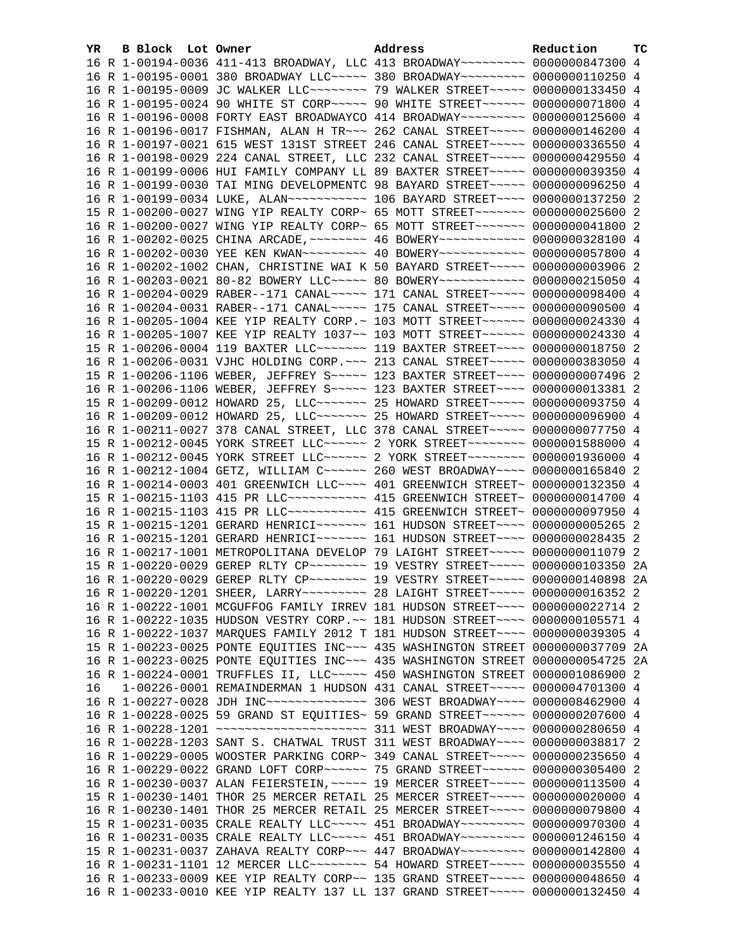| YR. | B Block Lot Owner | Address                                                                                       | Reduction | TC |
|-----|-------------------|-----------------------------------------------------------------------------------------------|-----------|----|
|     |                   | 16 R 1-00194-0036 411-413 BROADWAY, LLC 413 BROADWAY~~~~~~~~~ 0000000847300 4                 |           |    |
|     |                   | 16 R 1-00195-0001 380 BROADWAY LLC~~~~~ 380 BROADWAY~~~~~~~~ 0000000110250 4                  |           |    |
|     |                   | 16 R 1-00195-0009 JC WALKER LLC~~~~~~~~~ 79 WALKER STREET~~~~~ 0000000133450 4                |           |    |
|     |                   | 16 R 1-00195-0024 90 WHITE ST CORP~~~~~ 90 WHITE STREET~~~~~~ 0000000071800 4                 |           |    |
|     |                   | 16 R 1-00196-0008 FORTY EAST BROADWAYCO 414 BROADWAY~~~~~~~~~ 0000000125600 4                 |           |    |
|     |                   | 16 R 1-00196-0017 FISHMAN, ALAN H TR~~~ 262 CANAL STREET~~~~~ 0000000146200 4                 |           |    |
|     |                   | 16 R 1-00197-0021 615 WEST 131ST STREET 246 CANAL STREET~~~~~ 0000000336550 4                 |           |    |
|     |                   | 16 R 1-00198-0029 224 CANAL STREET, LLC 232 CANAL STREET~~~~~ 0000000429550 4                 |           |    |
|     |                   | 16 R 1-00199-0006 HUI FAMILY COMPANY LL 89 BAXTER STREET~~~~~ 0000000039350 4                 |           |    |
|     |                   | 16 R 1-00199-0030 TAI MING DEVELOPMENTC 98 BAYARD STREET~~~~~ 0000000096250 4                 |           |    |
|     |                   | 16 R 1-00199-0034 LUKE, ALAN~~~~~~~~~~~~~~~~ 106 BAYARD STREET~~~~~ 0000000137250 2           |           |    |
|     |                   | 15 R 1-00200-0027 WING YIP REALTY CORP~ 65 MOTT STREET~~~~~~~~ 0000000025600 2                |           |    |
|     |                   | 16 R 1-00200-0027 WING YIP REALTY CORP~ 65 MOTT STREET~~~~~~~ 0000000041800 2                 |           |    |
|     |                   | 16 R 1-00202-0025 CHINA ARCADE, ~~~~~~~~ 46 BOWERY~~~~~~~~~~~~ 0000000328100 4                |           |    |
|     |                   | 16 R 1-00202-0030 YEE KEN KWAN -------- 40 BOWERY ----------- 0000000057800 4                 |           |    |
|     |                   | 16 R 1-00202-1002 CHAN, CHRISTINE WAI K 50 BAYARD STREET~~~~~ 00000000003906 2                |           |    |
|     |                   | 16 R 1-00203-0021 80-82 BOWERY LLC ---- 80 BOWERY ----------- 0000000215050 4                 |           |    |
|     |                   | 16 R 1-00204-0029 RABER--171 CANAL~~~~~ 171 CANAL STREET~~~~~ 0000000098400 4                 |           |    |
|     |                   | 16 R 1-00204-0031 RABER--171 CANAL~~~~~ 175 CANAL STREET~~~~~ 0000000090500 4                 |           |    |
|     |                   | 16 R 1-00205-1004 KEE YIP REALTY CORP.~ 103 MOTT STREET~~~~~~ 0000000024330 4                 |           |    |
|     |                   | 16 R 1-00205-1007 KEE YIP REALTY 1037~~ 103 MOTT STREET~~~~~~ 0000000024330 4                 |           |    |
|     |                   | 15 R 1-00206-0004 119 BAXTER LLC ------ 119 BAXTER STREET ---- 0000000018750 2                |           |    |
|     |                   | 16 R 1-00206-0031 VJHC HOLDING CORP. ~~~ 213 CANAL STREET~~~~~ 0000000383050 4                |           |    |
|     |                   | 15 R 1-00206-1106 WEBER, JEFFREY S ~~~~~ 123 BAXTER STREET ~~~~ 0000000007496 2               |           |    |
|     |                   | 16 R 1-00206-1106 WEBER, JEFFREY S~~~~~ 123 BAXTER STREET~~~~ 0000000013381 2                 |           |    |
|     |                   | 15 R 1-00209-0012 HOWARD 25, LLC ------ 25 HOWARD STREET ---- 0000000093750 4                 |           |    |
|     |                   | 16 R 1-00209-0012 HOWARD 25, LLC ------- 25 HOWARD STREET ---- 0000000096900 4                |           |    |
|     |                   | 16 R 1-00211-0027 378 CANAL STREET, LLC 378 CANAL STREET~~~~~ 0000000077750 4                 |           |    |
|     |                   | 15 R 1-00212-0045 YORK STREET LLC ----- 2 YORK STREET ------ 0000001588000 4                  |           |    |
|     |                   | 16 R 1-00212-0045 YORK STREET LLC ----- 2 YORK STREET ------- 0000001936000 4                 |           |    |
|     |                   | 16 R 1-00212-1004 GETZ, WILLIAM C ----- 260 WEST BROADWAY --- 0000000165840 2                 |           |    |
|     |                   | 16 R 1-00214-0003 401 GREENWICH LLC ~~~~ 401 GREENWICH STREET~ 0000000132350 4                |           |    |
|     |                   | 15 R 1-00215-1103 415 PR LLC ----------- 415 GREENWICH STREET ~ 0000000014700 4               |           |    |
|     |                   | 16 R 1-00215-1103 415 PR LLC ----------- 415 GREENWICH STREET ~ 0000000097950 4               |           |    |
|     |                   | 15 R 1-00215-1201 GERARD HENRICI~~~~~~~ 161 HUDSON STREET~~~~ 0000000005265 2                 |           |    |
|     |                   | 16 R 1-00215-1201 GERARD HENRICI~~~~~~~ 161 HUDSON STREET~~~~ 0000000028435 2                 |           |    |
|     |                   | 16 R 1-00217-1001 METROPOLITANA DEVELOP 79 LAIGHT STREET~~~~~ 0000000011079 2                 |           |    |
|     |                   | 15 R 1-00220-0029 GEREP RLTY CP -------- 19 VESTRY STREET ---- 0000000103350 2A               |           |    |
|     |                   | 16 R 1-00220-0029 GEREP RLTY CP ~~~~~~~~~~~~~~~~ 19 VESTRY STREET ~~~~~~~~~~ 0000000140898 2A |           |    |
|     |                   | 16 R 1-00220-1201 SHEER, LARRY~~~~~~~~~ 28 LAIGHT STREET~~~~~ 0000000016352 2                 |           |    |
|     |                   | 16 R 1-00222-1001 MCGUFFOG FAMILY IRREV 181 HUDSON STREET~~~~ 0000000022714 2                 |           |    |
|     |                   | 16 R 1-00222-1035 HUDSON VESTRY CORP. ~~ 181 HUDSON STREET~~~~ 0000000105571 4                |           |    |
|     |                   | 16 R 1-00222-1037 MARQUES FAMILY 2012 T 181 HUDSON STREET~~~~ 0000000039305 4                 |           |    |
|     |                   | 15 R 1-00223-0025 PONTE EQUITIES INC~~~ 435 WASHINGTON STREET 0000000037709 2A                |           |    |
|     |                   | 16 R 1-00223-0025 PONTE EQUITIES INC ~~~ 435 WASHINGTON STREET 0000000054725 2A               |           |    |
|     |                   | 16 R 1-00224-0001 TRUFFLES II, LLC ---- 450 WASHINGTON STREET 0000001086900 2                 |           |    |
| 16  |                   | 1-00226-0001 REMAINDERMAN 1 HUDSON 431 CANAL STREET~~~~~ 0000004701300 4                      |           |    |
|     |                   | 16 R 1-00227-0028 JDH INC~~~~~~~~~~~~~~~~~~~~~~~~~ 306 WEST BROADWAY~~~~~ 0000008462900 4     |           |    |
|     |                   | 16 R 1-00228-0025 59 GRAND ST EQUITIES~ 59 GRAND STREET~~~~~~ 0000000207600 4                 |           |    |
|     |                   | 16 R 1-00228-1201 ~~~~~~~~~~~~~~~~~~~~~~~~~~~~~~~~~ 311 WEST BROADWAY~~~~~ 0000000280650 4    |           |    |
|     |                   | 16 R 1-00228-1203 SANT S. CHATWAL TRUST 311 WEST BROADWAY~~~~ 0000000038817 2                 |           |    |
|     |                   | 16 R 1-00229-0005 WOOSTER PARKING CORP~ 349 CANAL STREET~~~~~ 0000000235650 4                 |           |    |
|     |                   | 16 R 1-00229-0022 GRAND LOFT CORP~~~~~~ 75 GRAND STREET~~~~~~ 0000000305400 2                 |           |    |
|     |                   | 16 R 1-00230-0037 ALAN FEIERSTEIN, ~~~~~ 19 MERCER STREET~~~~~ 0000000113500 4                |           |    |
|     |                   | 15 R 1-00230-1401 THOR 25 MERCER RETAIL 25 MERCER STREET~~~~~ 0000000020000 4                 |           |    |
|     |                   | 16 R 1-00230-1401 THOR 25 MERCER RETAIL 25 MERCER STREET~~~~~ 0000000079800 4                 |           |    |
|     |                   | 15 R 1-00231-0035 CRALE REALTY LLC ---- 451 BROADWAY -------- 0000000970300 4                 |           |    |
|     |                   | 16 R 1-00231-0035 CRALE REALTY LLC ---- 451 BROADWAY ------- 0000001246150 4                  |           |    |
|     |                   | 15 R 1-00231-0037 ZAHAVA REALTY CORP~~~ 447 BROADWAY~~~~~~~~~ 0000000142800 4                 |           |    |
|     |                   | 16 R 1-00231-1101 12 MERCER LLC -------- 54 HOWARD STREET ----- 0000000035550 4               |           |    |
|     |                   | 16 R 1-00233-0009 KEE YIP REALTY CORP~~ 135 GRAND STREET~~~~~ 0000000048650 4                 |           |    |
|     |                   | 16 R 1-00233-0010 KEE YIP REALTY 137 LL 137 GRAND STREET~~~~~ 0000000132450 4                 |           |    |
|     |                   |                                                                                               |           |    |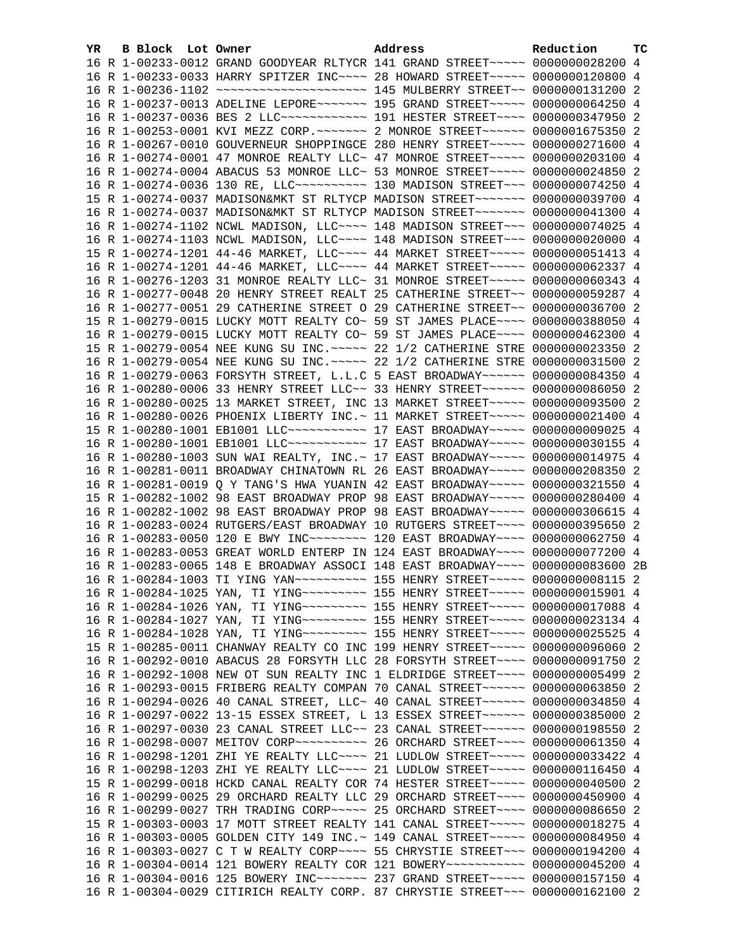| YR. | B Block Lot Owner | Address                                                                                                                                                           | Reduction | тc |
|-----|-------------------|-------------------------------------------------------------------------------------------------------------------------------------------------------------------|-----------|----|
|     |                   | 16 R 1-00233-0012 GRAND GOODYEAR RLTYCR 141 GRAND STREET~~~~~ 0000000028200 4                                                                                     |           |    |
|     |                   | 16 R 1-00233-0033 HARRY SPITZER INC~~~~ 28 HOWARD STREET~~~~~ 0000000120800 4                                                                                     |           |    |
|     |                   |                                                                                                                                                                   |           |    |
|     |                   | 16 R 1-00237-0013 ADELINE LEPORE~~~~~~~ 195 GRAND STREET~~~~~ 0000000064250 4                                                                                     |           |    |
|     |                   | 16 R 1-00237-0036 BES 2 LLC ------------ 191 HESTER STREET ---- 0000000347950 2                                                                                   |           |    |
|     |                   | 16 R 1-00253-0001 KVI MEZZ CORP. ~~~~~~~~~~~~~~~ RTREET~~~~~~~~~~~~~ 0000001675350 2                                                                              |           |    |
|     |                   | 16 R 1-00267-0010 GOUVERNEUR SHOPPINGCE 280 HENRY STREET~~~~~ 0000000271600 4                                                                                     |           |    |
|     |                   | 16 R 1-00274-0001 47 MONROE REALTY LLC~ 47 MONROE STREET~~~~~ 0000000203100 4                                                                                     |           |    |
|     |                   | 16 R 1-00274-0004 ABACUS 53 MONROE LLC~ 53 MONROE STREET~~~~~ 0000000024850 2                                                                                     |           |    |
|     |                   | 16 R 1-00274-0036 130 RE, LLC ---------- 130 MADISON STREET --- 0000000074250 4                                                                                   |           |    |
|     |                   | 15 R 1-00274-0037 MADISON&MKT ST RLTYCP MADISON STREET~~~~~~~ 0000000039700 4                                                                                     |           |    |
|     |                   | 16 R 1-00274-0037 MADISON&MKT ST RLTYCP MADISON STREET~~~~~~~ 0000000041300 4                                                                                     |           |    |
|     |                   | 16 R 1-00274-1102 NCWL MADISON, LLC --- 148 MADISON STREET -- 0000000074025 4                                                                                     |           |    |
|     |                   | 16 R 1-00274-1103 NCWL MADISON, LLC~~~~ 148 MADISON STREET~~~ 0000000020000 4                                                                                     |           |    |
|     |                   | 15 R 1-00274-1201 44-46 MARKET, LLC --- 44 MARKET STREET ---- 0000000051413 4                                                                                     |           |    |
|     |                   | 16 R 1-00274-1201 44-46 MARKET, LLC --- 44 MARKET STREET ---- 0000000062337 4                                                                                     |           |    |
|     |                   | 16 R 1-00276-1203 31 MONROE REALTY LLC~ 31 MONROE STREET~~~~~ 0000000060343 4                                                                                     |           |    |
|     |                   | 16 R 1-00277-0048 20 HENRY STREET REALT 25 CATHERINE STREET~~ 0000000059287 4                                                                                     |           |    |
|     |                   | 16 R 1-00277-0051 29 CATHERINE STREET O 29 CATHERINE STREET~~ 0000000036700 2                                                                                     |           |    |
|     |                   | 15 R 1-00279-0015 LUCKY MOTT REALTY CO~ 59 ST JAMES PLACE~~~~ 0000000388050 4                                                                                     |           |    |
|     |                   | 16 R 1-00279-0015 LUCKY MOTT REALTY CO~ 59 ST JAMES PLACE~~~~ 0000000462300 4                                                                                     |           |    |
|     |                   | 15 R 1-00279-0054 NEE KUNG SU INC. ~~~~~ 22 1/2 CATHERINE STRE 0000000023350 2                                                                                    |           |    |
|     |                   | 16 R 1-00279-0054 NEE KUNG SU INC. ~~~~~ 22 1/2 CATHERINE STRE 0000000031500 2                                                                                    |           |    |
|     |                   | 16 R 1-00279-0063 FORSYTH STREET, L.L.C 5 EAST BROADWAY~~~~~~ 0000000084350 4                                                                                     |           |    |
|     |                   | 16 R 1-00280-0006 33 HENRY STREET LLC~~ 33 HENRY STREET~~~~~~ 0000000086050 2                                                                                     |           |    |
|     |                   | 16 R 1-00280-0025 13 MARKET STREET, INC 13 MARKET STREET~~~~~ 0000000093500 2                                                                                     |           |    |
|     |                   | 16 R 1-00280-0026 PHOENIX LIBERTY INC. ~ 11 MARKET STREET ~~~~~ 0000000021400 4<br>15 R 1-00280-1001 EB1001 LLC ----------- 17 EAST BROADWAY ---- 0000000009025 4 |           |    |
|     |                   | 16 R 1-00280-1001 EB1001 LLC ----------- 17 EAST BROADWAY ---- 0000000030155 4                                                                                    |           |    |
|     |                   | 16 R 1-00280-1003 SUN WAI REALTY, INC. ~ 17 EAST BROADWAY ~~~~~ 0000000014975 4                                                                                   |           |    |
|     |                   | 16 R 1-00281-0011 BROADWAY CHINATOWN RL 26 EAST BROADWAY~~~~~ 0000000208350 2                                                                                     |           |    |
|     |                   | 16 R 1-00281-0019 Q Y TANG'S HWA YUANIN 42 EAST BROADWAY~~~~~ 0000000321550 4                                                                                     |           |    |
|     |                   | 15 R 1-00282-1002 98 EAST BROADWAY PROP 98 EAST BROADWAY~~~~~ 0000000280400 4                                                                                     |           |    |
|     |                   | 16 R 1-00282-1002 98 EAST BROADWAY PROP 98 EAST BROADWAY~~~~~ 0000000306615 4                                                                                     |           |    |
|     |                   | 16 R 1-00283-0024 RUTGERS/EAST BROADWAY 10 RUTGERS STREET~~~~ 0000000395650 2                                                                                     |           |    |
|     |                   | 16 R 1-00283-0050 120 E BWY INC~~~~~~~~ 120 EAST BROADWAY~~~~ 0000000062750 4                                                                                     |           |    |
|     |                   | 16 R 1-00283-0053 GREAT WORLD ENTERP IN 124 EAST BROADWAY~~~~ 0000000077200 4                                                                                     |           |    |
|     |                   | 16 R 1-00283-0065 148 E BROADWAY ASSOCI 148 EAST BROADWAY~~~~ 0000000083600 2B                                                                                    |           |    |
|     |                   | 16 R 1-00284-1003 TI YING YAN~~~~~~~~~~~~~~~~~~~ 155 HENRY STREET~~~~~~ 00000000000115 2                                                                          |           |    |
|     |                   | 16 R 1-00284-1025 YAN, TI YING~~~~~~~~~~~~~~ 155 HENRY STREET~~~~~~ 00000000015901 4                                                                              |           |    |
|     |                   | 16 R 1-00284-1026 YAN, TI YING -------- 155 HENRY STREET ---- 0000000017088 4                                                                                     |           |    |
|     |                   | 16 R 1-00284-1027 YAN, TI YING -------- 155 HENRY STREET ----- 0000000023134 4                                                                                    |           |    |
|     |                   | 16 R 1-00284-1028 YAN, TI YING~~~~~~~~~~~~~~ 155 HENRY STREET~~~~~~ 0000000025525 4                                                                               |           |    |
|     |                   | 15 R 1-00285-0011 CHANWAY REALTY CO INC 199 HENRY STREET~~~~~ 0000000096060 2                                                                                     |           |    |
|     |                   | 16 R 1-00292-0010 ABACUS 28 FORSYTH LLC 28 FORSYTH STREET~~~~ 0000000091750 2                                                                                     |           |    |
|     |                   | 16 R 1-00292-1008 NEW OT SUN REALTY INC 1 ELDRIDGE STREET~~~~ 0000000005499 2                                                                                     |           |    |
|     |                   | 16 R 1-00293-0015 FRIBERG REALTY COMPAN 70 CANAL STREET~~~~~~ 0000000063850 2                                                                                     |           |    |
|     |                   | 16 R 1-00294-0026 40 CANAL STREET, LLC~ 40 CANAL STREET~~~~~~ 0000000034850 4                                                                                     |           |    |
|     |                   | 16 R 1-00297-0022 13-15 ESSEX STREET, L 13 ESSEX STREET~~~~~~ 0000000385000 2                                                                                     |           |    |
|     |                   | 16 R 1-00297-0030 23 CANAL STREET LLC~~ 23 CANAL STREET~~~~~~ 0000000198550 2                                                                                     |           |    |
|     |                   | 16 R 1-00298-0007 MEITOV CORP~~~~~~~~~~~~~~~~~~~~ 0 STREET~~~~~~~~~~ 0000000061350 4                                                                              |           |    |
|     |                   | 16 R 1-00298-1201 ZHI YE REALTY LLC --- 21 LUDLOW STREET ---- 0000000033422 4                                                                                     |           |    |
|     |                   | 16 R 1-00298-1203 ZHI YE REALTY LLC ~~~~ 21 LUDLOW STREET ~~~~~ 0000000116450 4                                                                                   |           |    |
|     |                   | 15 R 1-00299-0018 HCKD CANAL REALTY COR 74 HESTER STREET~~~~~ 0000000040500 2                                                                                     |           |    |
|     |                   | 16 R 1-00299-0025 29 ORCHARD REALTY LLC 29 ORCHARD STREET~~~~ 0000000450900 4                                                                                     |           |    |
|     |                   | 16 R 1-00299-0027 TRH TRADING CORP~~~~~ 25 ORCHARD STREET~~~~ 0000000086650                                                                                       |           | -2 |
|     |                   | 15 R 1-00303-0003 17 MOTT STREET REALTY 141 CANAL STREET~~~~~ 0000000018275 4                                                                                     |           |    |
|     |                   | 16 R 1-00303-0005 GOLDEN CITY 149 INC.~ 149 CANAL STREET~~~~~ 0000000084950 4                                                                                     |           |    |
|     |                   | 16 R 1-00303-0027 C T W REALTY CORP~~~~ 55 CHRYSTIE STREET~~~ 0000000194200 4                                                                                     |           |    |
|     |                   | 16 R 1-00304-0014 121 BOWERY REALTY COR 121 BOWERY~~~~~~~~~~~ 0000000045200 4                                                                                     |           |    |
|     |                   | 16 R 1-00304-0016 125 BOWERY INC~~~~~~~ 237 GRAND STREET~~~~~ 0000000157150 4                                                                                     |           |    |
|     |                   | 16 R 1-00304-0029 CITIRICH REALTY CORP. 87 CHRYSTIE STREET~~~ 0000000162100 2                                                                                     |           |    |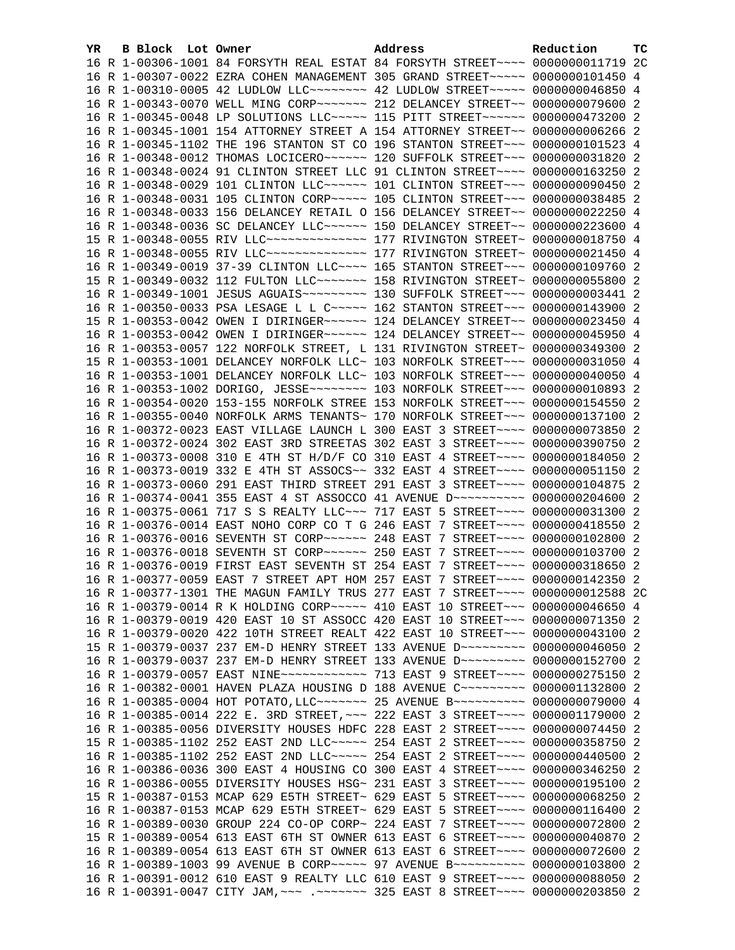| YR | B Block Lot Owner |  | Address                                                                                                                                                        | Reduction | тc |
|----|-------------------|--|----------------------------------------------------------------------------------------------------------------------------------------------------------------|-----------|----|
|    |                   |  | 16 R 1-00306-1001 84 FORSYTH REAL ESTAT 84 FORSYTH STREET~~~~ 0000000011719 2C                                                                                 |           |    |
|    |                   |  | 16 R 1-00307-0022 EZRA COHEN MANAGEMENT 305 GRAND STREET~~~~~ 0000000101450 4                                                                                  |           |    |
|    |                   |  | 16 R 1-00310-0005 42 LUDLOW LLC~~~~~~~~~~~~~~~~~~ 42 LUDLOW STREET~~~~~~~~~~~ 0000000046850 4                                                                  |           |    |
|    |                   |  | 16 R 1-00343-0070 WELL MING CORP~~~~~~~ 212 DELANCEY STREET~~ 0000000079600 2                                                                                  |           |    |
|    |                   |  | 16 R 1-00345-0048 LP SOLUTIONS LLC~~~~~ 115 PITT STREET~~~~~~ 0000000473200 2                                                                                  |           |    |
|    |                   |  | 16 R 1-00345-1001 154 ATTORNEY STREET A 154 ATTORNEY STREET~~ 0000000006266 2                                                                                  |           |    |
|    |                   |  | 16 R 1-00345-1102 THE 196 STANTON ST CO 196 STANTON STREET~~~ 0000000101523 4                                                                                  |           |    |
|    |                   |  | 16 R 1-00348-0012 THOMAS LOCICERO~~~~~~ 120 SUFFOLK STREET~~~ 0000000031820 2                                                                                  |           |    |
|    |                   |  | 16 R 1-00348-0024 91 CLINTON STREET LLC 91 CLINTON STREET~~~~ 0000000163250 2                                                                                  |           |    |
|    |                   |  | 16 R 1-00348-0029 101 CLINTON LLC~~~~~~ 101 CLINTON STREET~~~ 0000000090450 2                                                                                  |           |    |
|    |                   |  | 16 R 1-00348-0031 105 CLINTON CORP~~~~~ 105 CLINTON STREET~~~ 0000000038485 2                                                                                  |           |    |
|    |                   |  | 16 R 1-00348-0033 156 DELANCEY RETAIL O 156 DELANCEY STREET~~ 0000000022250 4                                                                                  |           |    |
|    |                   |  | 16 R 1-00348-0036 SC DELANCEY LLC ----- 150 DELANCEY STREET -- 0000000223600 4                                                                                 |           |    |
|    |                   |  | 15 R 1-00348-0055 RIV LLC --------------- 177 RIVINGTON STREET ~ 0000000018750 4                                                                               |           |    |
|    |                   |  | 16 R 1-00348-0055 RIV LLC --------------- 177 RIVINGTON STREET ~ 0000000021450 4                                                                               |           |    |
|    |                   |  | 16 R 1-00349-0019 37-39 CLINTON LLC --- 165 STANTON STREET -- 0000000109760 2                                                                                  |           |    |
|    |                   |  | 15 R 1-00349-0032 112 FULTON LLC ------ 158 RIVINGTON STREET~ 0000000055800 2                                                                                  |           |    |
|    |                   |  | 16 R 1-00349-1001 JESUS AGUAIS~~~~~~~~~~~~~~ 130 SUFFOLK STREET~~~ 0000000003441 2                                                                             |           |    |
|    |                   |  | 16 R 1-00350-0033 PSA LESAGE L L C ~~~~~ 162 STANTON STREET ~~~ 0000000143900 2                                                                                |           |    |
|    |                   |  | 15 R 1-00353-0042 OWEN I DIRINGER~~~~~~ 124 DELANCEY STREET~~ 0000000023450 4                                                                                  |           |    |
|    |                   |  | 16 R 1-00353-0042 OWEN I DIRINGER~~~~~~ 124 DELANCEY STREET~~ 0000000045950 4                                                                                  |           |    |
|    |                   |  | 16 R 1-00353-0057 122 NORFOLK STREET, L 131 RIVINGTON STREET~ 0000000349300 2                                                                                  |           |    |
|    |                   |  | 15 R 1-00353-1001 DELANCEY NORFOLK LLC~ 103 NORFOLK STREET~~~ 0000000031050 4                                                                                  |           |    |
|    |                   |  | 16 R 1-00353-1001 DELANCEY NORFOLK LLC~ 103 NORFOLK STREET~~~ 0000000040050 4                                                                                  |           |    |
|    |                   |  |                                                                                                                                                                |           |    |
|    |                   |  | 16 R 1-00354-0020 153-155 NORFOLK STREE 153 NORFOLK STREET~~~ 0000000154550 2                                                                                  |           |    |
|    |                   |  | 16 R 1-00355-0040 NORFOLK ARMS TENANTS~ 170 NORFOLK STREET~~~ 0000000137100 2                                                                                  |           |    |
|    |                   |  | 16 R 1-00372-0023 EAST VILLAGE LAUNCH L 300 EAST 3 STREET~~~~ 0000000073850 2                                                                                  |           |    |
|    |                   |  | 16 R 1-00372-0024 302 EAST 3RD STREETAS 302 EAST 3 STREET~~~~ 0000000390750 2                                                                                  |           |    |
|    |                   |  | 16 R 1-00373-0008 310 E 4TH ST H/D/F CO 310 EAST 4 STREET~~~~ 0000000184050 2<br>16 R 1-00373-0019 332 E 4TH ST ASSOCS~~ 332 EAST 4 STREET~~~~ 0000000051150 2 |           |    |
|    |                   |  | 16 R 1-00373-0060 291 EAST THIRD STREET 291 EAST 3 STREET~~~~ 0000000104875 2                                                                                  |           |    |
|    |                   |  | 16 R 1-00374-0041 355 EAST 4 ST ASSOCCO 41 AVENUE D ----------- 0000000204600 2                                                                                |           |    |
|    |                   |  | 16 R 1-00375-0061 717 S S REALTY LLC -~~ 717 EAST 5 STREET -~~~ 0000000031300 2                                                                                |           |    |
|    |                   |  | 16 R 1-00376-0014 EAST NOHO CORP CO T G 246 EAST 7 STREET~~~~ 0000000418550 2                                                                                  |           |    |
|    |                   |  | 16 R 1-00376-0016 SEVENTH ST CORP~~~~~~ 248 EAST 7 STREET~~~~ 0000000102800 2                                                                                  |           |    |
|    |                   |  | 16 R 1-00376-0018 SEVENTH ST CORP~~~~~~ 250 EAST 7 STREET~~~~ 0000000103700 2                                                                                  |           |    |
|    |                   |  | 16 R 1-00376-0019 FIRST EAST SEVENTH ST 254 EAST 7 STREET~~~~ 0000000318650 2                                                                                  |           |    |
|    |                   |  | 16 R 1-00377-0059 EAST 7 STREET APT HOM 257 EAST 7 STREET~~~~ 0000000142350 2                                                                                  |           |    |
|    |                   |  | 16 R 1-00377-1301 THE MAGUN FAMILY TRUS 277 EAST 7 STREET~~~~ 0000000012588 2C                                                                                 |           |    |
|    |                   |  | 16 R 1-00379-0014 R K HOLDING CORP~~~~~ 410 EAST 10 STREET~~~ 0000000046650 4                                                                                  |           |    |
|    |                   |  | 16 R 1-00379-0019 420 EAST 10 ST ASSOCC 420 EAST 10 STREET~~~ 0000000071350 2                                                                                  |           |    |
|    |                   |  | 16 R 1-00379-0020 422 10TH STREET REALT 422 EAST 10 STREET~~~ 0000000043100 2                                                                                  |           |    |
|    |                   |  | 15 R 1-00379-0037 237 EM-D HENRY STREET 133 AVENUE D~~~~~~~~~ 0000000046050 2                                                                                  |           |    |
|    |                   |  | 16 R 1-00379-0037 237 EM-D HENRY STREET 133 AVENUE D~~~~~~~~~ 0000000152700 2                                                                                  |           |    |
|    |                   |  | 16 R 1-00379-0057 EAST NINE~~~~~~~~~~~~~~~~~~~~~~ 9 STREET~~~~~ 0000000275150 2                                                                                |           |    |
|    |                   |  | 16 R 1-00382-0001 HAVEN PLAZA HOUSING D 188 AVENUE C~~~~~~~~~ 0000001132800 2                                                                                  |           |    |
|    |                   |  | 16 R 1-00385-0004 HOT POTATO, LLC~~~~~~~ 25 AVENUE B~~~~~~~~~~ 0000000079000 4                                                                                 |           |    |
|    |                   |  | 16 R 1-00385-0014 222 E. 3RD STREET, ~~~ 222 EAST 3 STREET~~~~ 0000001179000 2                                                                                 |           |    |
|    |                   |  | 16 R 1-00385-0056 DIVERSITY HOUSES HDFC 228 EAST 2 STREET~~~~ 0000000074450 2                                                                                  |           |    |
|    |                   |  | 15 R 1-00385-1102 252 EAST 2ND LLC ~~~~~ 254 EAST 2 STREET ~~~~ 0000000358750 2                                                                                |           |    |
|    |                   |  | 16 R 1-00385-1102 252 EAST 2ND LLC ---- 254 EAST 2 STREET --- 0000000440500 2                                                                                  |           |    |
|    |                   |  | 16 R 1-00386-0036 300 EAST 4 HOUSING CO 300 EAST 4 STREET~~~~ 0000000346250 2                                                                                  |           |    |
|    |                   |  | 16 R 1-00386-0055 DIVERSITY HOUSES HSG~ 231 EAST 3 STREET~~~~ 0000000195100 2                                                                                  |           |    |
|    |                   |  | 15 R 1-00387-0153 MCAP 629 E5TH STREET~ 629 EAST 5 STREET~~~~ 0000000068250                                                                                    |           | -2 |
|    |                   |  | 16 R 1-00387-0153 MCAP 629 E5TH STREET~ 629 EAST 5 STREET~~~~ 0000000116400 2                                                                                  |           |    |
|    |                   |  | 16 R 1-00389-0030 GROUP 224 CO-OP CORP~ 224 EAST 7 STREET~~~~ 0000000072800 2                                                                                  |           |    |
|    |                   |  | 15 R 1-00389-0054 613 EAST 6TH ST OWNER 613 EAST 6 STREET~~~~ 0000000040870 2                                                                                  |           |    |
|    |                   |  | 16 R 1-00389-0054 613 EAST 6TH ST OWNER 613 EAST 6 STREET~~~~ 0000000072600 2                                                                                  |           |    |
|    |                   |  | 16 R 1-00389-1003 99 AVENUE B CORP~~~~~ 97 AVENUE B~~~~~~~~~~ 0000000103800 2                                                                                  |           |    |
|    |                   |  | 16 R 1-00391-0012 610 EAST 9 REALTY LLC 610 EAST 9 STREET~~~~ 0000000088050 2                                                                                  |           |    |
|    |                   |  | 16 R 1-00391-0047 CITY JAM, ~~~ .~~~~~~~ 325 EAST 8 STREET~~~~ 0000000203850 2                                                                                 |           |    |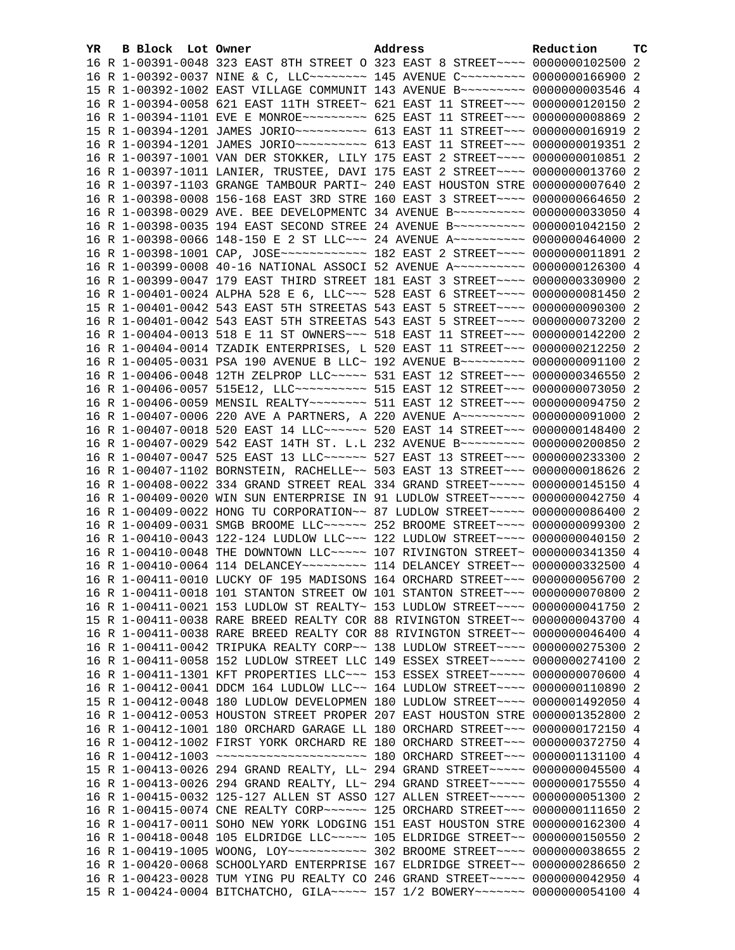| YR. | B Block Lot Owner |  | Address                                                                                                                                                        | Reduction       | тc |
|-----|-------------------|--|----------------------------------------------------------------------------------------------------------------------------------------------------------------|-----------------|----|
|     |                   |  | 16 R 1-00391-0048 323 EAST 8TH STREET O 323 EAST 8 STREET~~~~ 0000000102500 2                                                                                  |                 |    |
|     |                   |  | 16 R 1-00392-0037 NINE & C, LLC ------- 145 AVENUE C -------- 0000000166900 2                                                                                  |                 |    |
|     |                   |  | 15 R 1-00392-1002 EAST VILLAGE COMMUNIT 143 AVENUE B~~~~~~~~~ 0000000003546 4                                                                                  |                 |    |
|     |                   |  | 16 R 1-00394-0058 621 EAST 11TH STREET~ 621 EAST 11 STREET~~~ 0000000120150 2                                                                                  |                 |    |
|     |                   |  | 16 R 1-00394-1101 EVE E MONROE~~~~~~~~~~ 625 EAST 11 STREET~~~ 00000000008869 2                                                                                |                 |    |
|     |                   |  | 15 R 1-00394-1201 JAMES JORIO~~~~~~~~~~~ 613 EAST 11 STREET~~~ 0000000016919 2                                                                                 |                 |    |
|     |                   |  | 16 R 1-00394-1201 JAMES JORIO~~~~~~~~~~~ 613 EAST 11 STREET~~~ 0000000019351 2                                                                                 |                 |    |
|     |                   |  | 16 R 1-00397-1001 VAN DER STOKKER, LILY 175 EAST 2 STREET~~~~ 0000000010851 2                                                                                  |                 |    |
|     |                   |  | 16 R 1-00397-1011 LANIER, TRUSTEE, DAVI 175 EAST 2 STREET~~~~ 0000000013760 2                                                                                  |                 |    |
|     |                   |  | 16 R 1-00397-1103 GRANGE TAMBOUR PARTI~ 240 EAST HOUSTON STRE 0000000007640 2                                                                                  |                 |    |
|     |                   |  | 16 R 1-00398-0008 156-168 EAST 3RD STRE 160 EAST 3 STREET~~~~ 0000000664650 2                                                                                  |                 |    |
|     |                   |  | 16 R 1-00398-0029 AVE. BEE DEVELOPMENTC 34 AVENUE B~~~~~~~~~~ 0000000033050 4                                                                                  |                 |    |
|     |                   |  | 16 R 1-00398-0035 194 EAST SECOND STREE 24 AVENUE B ---------- 0000001042150 2                                                                                 |                 |    |
|     |                   |  | 16 R 1-00398-0066 148-150 E 2 ST LLC -- 24 AVENUE A --------- 0000000464000 2                                                                                  |                 |    |
|     |                   |  | 16 R 1-00398-1001 CAP, JOSE ------------ 182 EAST 2 STREET ---- 0000000011891 2                                                                                |                 |    |
|     |                   |  | 16 R 1-00399-0008 40-16 NATIONAL ASSOCI 52 AVENUE A~~~~~~~~~~ 0000000126300 4                                                                                  |                 |    |
|     |                   |  | 16 R 1-00399-0047 179 EAST THIRD STREET 181 EAST 3 STREET~~~~ 0000000330900 2                                                                                  |                 |    |
|     |                   |  | 16 R 1-00401-0024 ALPHA 528 E 6, LLC ~~~ 528 EAST 6 STREET ~~~~ 0000000081450 2                                                                                |                 |    |
|     |                   |  | 15 R 1-00401-0042 543 EAST 5TH STREETAS 543 EAST 5 STREET~~~~ 0000000090300 2                                                                                  |                 |    |
|     |                   |  | 16 R 1-00401-0042 543 EAST 5TH STREETAS 543 EAST 5 STREET~~~~ 0000000073200 2                                                                                  |                 |    |
|     |                   |  | 16 R 1-00404-0013 518 E 11 ST OWNERS~~~ 518 EAST 11 STREET~~~ 0000000142200 2                                                                                  |                 |    |
|     |                   |  | 16 R 1-00404-0014 TZADIK ENTERPRISES, L 520 EAST 11 STREET~~~ 0000000212250 2                                                                                  |                 |    |
|     |                   |  | 16 R 1-00405-0031 PSA 190 AVENUE B LLC~ 192 AVENUE B~~~~~~~~~ 0000000091100 2                                                                                  |                 |    |
|     |                   |  | 16 R 1-00406-0048 12TH ZELPROP LLC~~~~~ 531 EAST 12 STREET~~~ 0000000346550 2                                                                                  |                 |    |
|     |                   |  | 16 R 1-00406-0057 515E12, LLC ---------- 515 EAST 12 STREET --- 0000000073050 2                                                                                |                 |    |
|     |                   |  | 16 R 1-00406-0059 MENSIL REALTY~~~~~~~~ 511 EAST 12 STREET~~~ 0000000094750 2                                                                                  |                 |    |
|     |                   |  | 16 R 1-00407-0006 220 AVE A PARTNERS, A 220 AVENUE A~~~~~~~~~ 0000000091000 2                                                                                  |                 |    |
|     |                   |  | 16 R 1-00407-0018 520 EAST 14 LLC ----- 520 EAST 14 STREET -- 0000000148400 2                                                                                  |                 |    |
|     |                   |  | 16 R 1-00407-0029 542 EAST 14TH ST. L.L 232 AVENUE B~~~~~~~~~ 0000000200850 2                                                                                  |                 |    |
|     |                   |  | 16 R 1-00407-0047 525 EAST 13 LLC ------ 527 EAST 13 STREET --- 0000000233300 2                                                                                |                 |    |
|     |                   |  | 16 R 1-00407-1102 BORNSTEIN, RACHELLE~~ 503 EAST 13 STREET~~~ 0000000018626 2                                                                                  |                 |    |
|     |                   |  | 16 R 1-00408-0022 334 GRAND STREET REAL 334 GRAND STREET~~~~~ 0000000145150 4<br>16 R 1-00409-0020 WIN SUN ENTERPRISE IN 91 LUDLOW STREET~~~~~ 0000000042750 4 |                 |    |
|     |                   |  | 16 R 1-00409-0022 HONG TU CORPORATION~~ 87 LUDLOW STREET~~~~~ 0000000086400 2                                                                                  |                 |    |
|     |                   |  | 16 R 1-00409-0031 SMGB BROOME LLC ~~~~~~ 252 BROOME STREET ~~~~ 0000000099300 2                                                                                |                 |    |
|     |                   |  | 16 R 1-00410-0043 122-124 LUDLOW LLC~~~ 122 LUDLOW STREET~~~~ 0000000040150 2                                                                                  |                 |    |
|     |                   |  | 16 R 1-00410-0048 THE DOWNTOWN LLC ~~~~~ 107 RIVINGTON STREET~ 0000000341350 4                                                                                 |                 |    |
|     |                   |  |                                                                                                                                                                |                 |    |
|     |                   |  | 16 R 1-00411-0010 LUCKY OF 195 MADISONS 164 ORCHARD STREET~~~ 0000000056700 2                                                                                  |                 |    |
|     |                   |  | 16 R 1-00411-0018 101 STANTON STREET OW 101 STANTON STREET~~~ 0000000070800 2                                                                                  |                 |    |
|     |                   |  | 16 R 1-00411-0021 153 LUDLOW ST REALTY~ 153 LUDLOW STREET~~~~ 0000000041750 2                                                                                  |                 |    |
|     |                   |  | 15 R 1-00411-0038 RARE BREED REALTY COR 88 RIVINGTON STREET~~ 0000000043700 4                                                                                  |                 |    |
|     |                   |  | 16 R 1-00411-0038 RARE BREED REALTY COR 88 RIVINGTON STREET~~ 0000000046400 4                                                                                  |                 |    |
|     |                   |  | 16 R 1-00411-0042 TRIPUKA REALTY CORP~~ 138 LUDLOW STREET~~~~ 0000000275300 2                                                                                  |                 |    |
|     |                   |  | 16 R 1-00411-0058 152 LUDLOW STREET LLC 149 ESSEX STREET~~~~~ 0000000274100 2                                                                                  |                 |    |
|     |                   |  | 16 R 1-00411-1301 KFT PROPERTIES LLC~~~ 153 ESSEX STREET~~~~~ 0000000070600 4                                                                                  |                 |    |
|     |                   |  | 16 R 1-00412-0041 DDCM 164 LUDLOW LLC~~ 164 LUDLOW STREET~~~~ 0000000110890 2                                                                                  |                 |    |
|     |                   |  | 15 R 1-00412-0048 180 LUDLOW DEVELOPMEN 180 LUDLOW STREET~~~~ 0000001492050 4                                                                                  |                 |    |
|     |                   |  | 16 R 1-00412-0053 HOUSTON STREET PROPER 207 EAST HOUSTON STRE                                                                                                  | 0000001352800 2 |    |
|     |                   |  | 16 R 1-00412-1001 180 ORCHARD GARAGE LL 180 ORCHARD STREET~~~ 0000000172150 4                                                                                  |                 |    |
|     |                   |  | 16 R 1-00412-1002 FIRST YORK ORCHARD RE 180 ORCHARD STREET~~~ 0000000372750 4                                                                                  |                 |    |
|     |                   |  |                                                                                                                                                                |                 |    |
|     |                   |  | 15 R 1-00413-0026 294 GRAND REALTY, LL~ 294 GRAND STREET~~~~~ 0000000045500 4                                                                                  |                 |    |
|     |                   |  | 16 R 1-00413-0026 294 GRAND REALTY, LL~ 294 GRAND STREET~~~~~ 0000000175550 4                                                                                  |                 |    |
|     |                   |  | 16 R 1-00415-0032 125-127 ALLEN ST ASSO 127 ALLEN STREET~~~~~ 0000000051300 2                                                                                  |                 |    |
|     |                   |  | 16 R 1-00415-0074 CNE REALTY CORP~~~~~~~ 125 ORCHARD STREET~~~ 0000000111650                                                                                   |                 | -2 |
|     |                   |  | 16 R 1-00417-0011 SOHO NEW YORK LODGING 151 EAST HOUSTON STRE 0000000162300 4                                                                                  |                 |    |
|     |                   |  | 16 R 1-00418-0048 105 ELDRIDGE LLC ---- 105 ELDRIDGE STREET -- 0000000150550                                                                                   |                 | -2 |
|     |                   |  | 16 R 1-00419-1005 WOONG, LOY~~~~~~~~~~~~~~~~~~~~~~ 302 BROOME STREET~~~~~ 0000000038655 2                                                                      |                 |    |
|     |                   |  | 16 R 1-00420-0068 SCHOOLYARD ENTERPRISE 167 ELDRIDGE STREET~~ 0000000286650 2                                                                                  |                 |    |
|     |                   |  | 16 R 1-00423-0028 TUM YING PU REALTY CO 246 GRAND STREET~~~~~ 0000000042950 4                                                                                  |                 |    |
|     |                   |  | 15 R 1-00424-0004 BITCHATCHO, GILA~~~~~ 157 1/2 BOWERY~~~~~~~ 0000000054100 4                                                                                  |                 |    |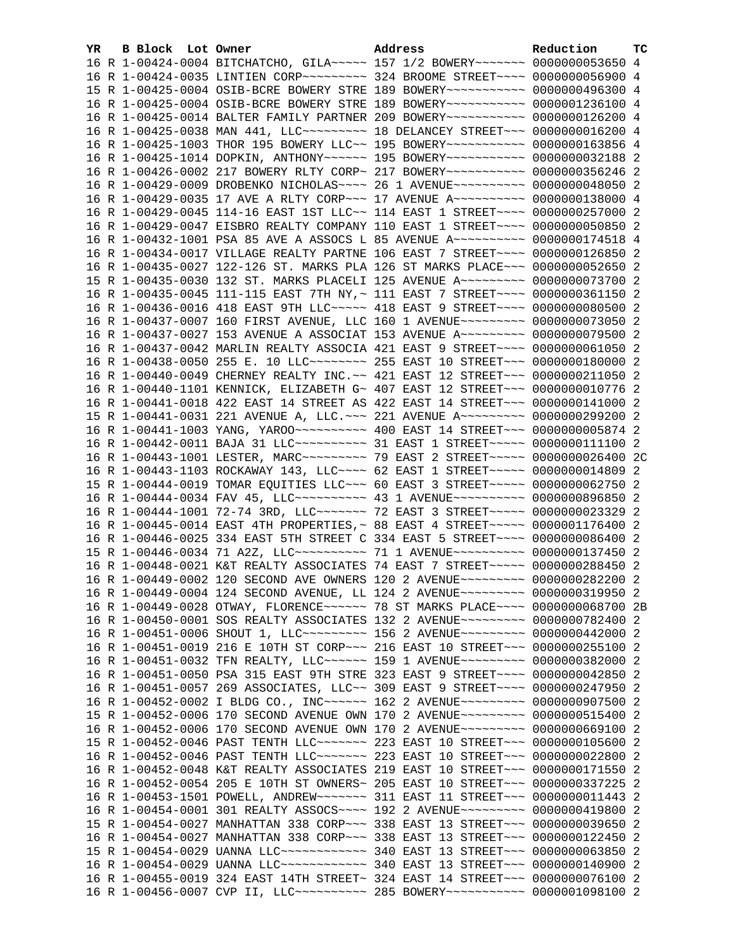| YR. | B Block Lot Owner |                                                                                                                                                                  | Address | Reduction | тc |
|-----|-------------------|------------------------------------------------------------------------------------------------------------------------------------------------------------------|---------|-----------|----|
|     |                   | 16 R 1-00424-0004 BITCHATCHO, GILA~~~~~ 157 1/2 BOWERY~~~~~~~ 0000000053650 4                                                                                    |         |           |    |
|     |                   | 16 R 1-00424-0035 LINTIEN CORP~~~~~~~~~ 324 BROOME STREET~~~~ 0000000056900 4                                                                                    |         |           |    |
|     |                   | 15 R 1-00425-0004 OSIB-BCRE BOWERY STRE 189 BOWERY~~~~~~~~~~~ 0000000496300 4                                                                                    |         |           |    |
|     |                   | 16 R 1-00425-0004 OSIB-BCRE BOWERY STRE 189 BOWERY~~~~~~~~~~~ 0000001236100 4                                                                                    |         |           |    |
|     |                   | 16 R 1-00425-0014 BALTER FAMILY PARTNER 209 BOWERY~~~~~~~~~~~ 0000000126200 4                                                                                    |         |           |    |
|     |                   | 16 R 1-00425-0038 MAN 441, LLC -------- 18 DELANCEY STREET -- 0000000016200 4                                                                                    |         |           |    |
|     |                   | 16 R 1-00425-1003 THOR 195 BOWERY LLC~~ 195 BOWERY~~~~~~~~~~~ 0000000163856 4                                                                                    |         |           |    |
|     |                   | 16 R 1-00425-1014 DOPKIN, ANTHONY~~~~~~ 195 BOWERY~~~~~~~~~~~ 0000000032188 2                                                                                    |         |           |    |
|     |                   | 16 R 1-00426-0002 217 BOWERY RLTY CORP~ 217 BOWERY~~~~~~~~~~~ 0000000356246 2                                                                                    |         |           |    |
|     |                   | 16 R 1-00429-0009 DROBENKO NICHOLAS~~~~ 26 1 AVENUE~~~~~~~~~~ 0000000048050 2                                                                                    |         |           |    |
|     |                   | 16 R 1-00429-0035 17 AVE A RLTY CORP~~~ 17 AVENUE A~~~~~~~~~~ 0000000138000 4                                                                                    |         |           |    |
|     |                   | 16 R 1-00429-0045 114-16 EAST 1ST LLC~~ 114 EAST 1 STREET~~~~ 0000000257000 2                                                                                    |         |           |    |
|     |                   | 16 R 1-00429-0047 EISBRO REALTY COMPANY 110 EAST 1 STREET~~~~ 0000000050850 2                                                                                    |         |           |    |
|     |                   | 16 R 1-00432-1001 PSA 85 AVE A ASSOCS L 85 AVENUE A~~~~~~~~~~ 0000000174518 4                                                                                    |         |           |    |
|     |                   | 16 R 1-00434-0017 VILLAGE REALTY PARTNE 106 EAST 7 STREET~~~~ 0000000126850 2                                                                                    |         |           |    |
|     |                   | 16 R 1-00435-0027 122-126 ST. MARKS PLA 126 ST MARKS PLACE~~~ 0000000052650 2                                                                                    |         |           |    |
|     |                   | 15 R 1-00435-0030 132 ST. MARKS PLACELI 125 AVENUE A~~~~~~~~~ 0000000073700 2                                                                                    |         |           |    |
|     |                   | 16 R 1-00435-0045 111-115 EAST 7TH NY, ~ 111 EAST 7 STREET~~~~ 0000000361150 2                                                                                   |         |           |    |
|     |                   | 16 R 1-00436-0016 418 EAST 9TH LLC~~~~~ 418 EAST 9 STREET~~~~ 0000000080500 2                                                                                    |         |           |    |
|     |                   | 16 R 1-00437-0007 160 FIRST AVENUE, LLC 160 1 AVENUE~~~~~~~~~ 0000000073050 2                                                                                    |         |           |    |
|     |                   | 16 R 1-00437-0027 153 AVENUE A ASSOCIAT 153 AVENUE A~~~~~~~~~ 0000000079500 2                                                                                    |         |           |    |
|     |                   | 16 R 1-00437-0042 MARLIN REALTY ASSOCIA 421 EAST 9 STREET~~~~ 0000000061050 2                                                                                    |         |           |    |
|     |                   | 16 R 1-00438-0050 255 E. 10 LLC -------- 255 EAST 10 STREET --- 0000000180000 2                                                                                  |         |           |    |
|     |                   | 16 R 1-00440-0049 CHERNEY REALTY INC.~~ 421 EAST 12 STREET~~~ 0000000211050 2                                                                                    |         |           |    |
|     |                   | 16 R 1-00440-1101 KENNICK, ELIZABETH G~ 407 EAST 12 STREET~~~ 0000000010776 2                                                                                    |         |           |    |
|     |                   | 16 R 1-00441-0018 422 EAST 14 STREET AS 422 EAST 14 STREET~~~ 0000000141000 2                                                                                    |         |           |    |
|     |                   | 15 R 1-00441-0031 221 AVENUE A, LLC. ~~~ 221 AVENUE A~~~~~~~~~ 0000000299200 2<br>16 R 1-00441-1003 YANG, YAROO --------- 400 EAST 14 STREET --- 0000000005874 2 |         |           |    |
|     |                   |                                                                                                                                                                  |         |           |    |
|     |                   | 16 R 1-00443-1001 LESTER, MARC~~~~~~~~~~ 79 EAST 2 STREET~~~~~ 0000000026400 2C                                                                                  |         |           |    |
|     |                   | 16 R 1-00443-1103 ROCKAWAY 143, LLC --- 62 EAST 1 STREET ---- 0000000014809 2                                                                                    |         |           |    |
|     |                   | 15 R 1-00444-0019 TOMAR EQUITIES LLC ~~~ 60 EAST 3 STREET ~~~~~ 0000000062750 2                                                                                  |         |           |    |
|     |                   | 16 R 1-00444-0034 FAV 45, LLC~~~~~~~~~~~~~~~~ 43 1 AVENUE~~~~~~~~~~~~ 0000000896850 2                                                                            |         |           |    |
|     |                   | 16 R 1-00444-1001 72-74 3RD, LLC ------ 72 EAST 3 STREET ---- 0000000023329 2                                                                                    |         |           |    |
|     |                   | 16 R 1-00445-0014 EAST 4TH PROPERTIES, ~ 88 EAST 4 STREET ~~~~~ 0000001176400 2                                                                                  |         |           |    |
|     |                   | 16 R 1-00446-0025 334 EAST 5TH STREET C 334 EAST 5 STREET~~~~ 0000000086400 2                                                                                    |         |           |    |
|     |                   | 15 R 1-00446-0034 71 A2Z, LLC~~~~~~~~~~ 71 1 AVENUE~~~~~~~~~~ 0000000137450 2                                                                                    |         |           |    |
|     |                   | 16 R 1-00448-0021 K&T REALTY ASSOCIATES 74 EAST 7 STREET~~~~~ 0000000288450 2                                                                                    |         |           |    |
|     |                   | 16 R 1-00449-0002 120 SECOND AVE OWNERS 120 2 AVENUE~~~~~~~~~ 0000000282200 2                                                                                    |         |           |    |
|     |                   | 16 R 1-00449-0004 124 SECOND AVENUE, LL 124 2 AVENUE~~~~~~~~~ 0000000319950 2                                                                                    |         |           |    |
|     |                   | 16 R 1-00449-0028 OTWAY, FLORENCE~~~~~~ 78 ST MARKS PLACE~~~~ 0000000068700 2B                                                                                   |         |           |    |
|     |                   | 16 R 1-00450-0001 SOS REALTY ASSOCIATES 132 2 AVENUE~~~~~~~~~ 0000000782400 2                                                                                    |         |           |    |
|     |                   | 16 R 1-00451-0006 SHOUT 1, LLC~~~~~~~~~~ 156 2 AVENUE~~~~~~~~~ 0000000442000 2                                                                                   |         |           |    |
|     |                   | 16 R 1-00451-0019 216 E 10TH ST CORP~~~ 216 EAST 10 STREET~~~ 0000000255100 2                                                                                    |         |           |    |
|     |                   | 16 R 1-00451-0032 TFN REALTY, LLC ----- 159 1 AVENUE -------- 0000000382000 2                                                                                    |         |           |    |
|     |                   | 16 R 1-00451-0050 PSA 315 EAST 9TH STRE 323 EAST 9 STREET~~~~ 0000000042850 2                                                                                    |         |           |    |
|     |                   | 16 R 1-00451-0057 269 ASSOCIATES, LLC~~ 309 EAST 9 STREET~~~~ 0000000247950 2                                                                                    |         |           |    |
|     |                   | 16 R 1-00452-0002 I BLDG CO., INC~~~~~~ 162 2 AVENUE~~~~~~~~~ 0000000907500 2                                                                                    |         |           |    |
|     |                   | 15 R 1-00452-0006 170 SECOND AVENUE OWN 170 2 AVENUE~~~~~~~~~ 0000000515400 2                                                                                    |         |           |    |
|     |                   | 16 R 1-00452-0006 170 SECOND AVENUE OWN 170 2 AVENUE~~~~~~~~~ 0000000669100 2                                                                                    |         |           |    |
|     |                   | 15 R 1-00452-0046 PAST TENTH LLC ------ 223 EAST 10 STREET -- 0000000105600 2                                                                                    |         |           |    |
|     |                   | 16 R 1-00452-0046 PAST TENTH LLC ------ 223 EAST 10 STREET -- 0000000022800 2                                                                                    |         |           |    |
|     |                   | 16 R 1-00452-0048 K&T REALTY ASSOCIATES 219 EAST 10 STREET~~~ 0000000171550 2                                                                                    |         |           |    |
|     |                   | 16 R 1-00452-0054 205 E 10TH ST OWNERS~ 205 EAST 10 STREET~~~ 0000000337225 2                                                                                    |         |           |    |
|     |                   | 16 R 1-00453-1501 POWELL, ANDREW~~~~~~~ 311 EAST 11 STREET~~~ 0000000011443 2                                                                                    |         |           |    |
|     |                   | 16 R 1-00454-0001 301 REALTY ASSOCS~~~~ 192 2 AVENUE~~~~~~~~~ 0000000419800 2                                                                                    |         |           |    |
|     |                   | 15 R 1-00454-0027 MANHATTAN 338 CORP~~~ 338 EAST 13 STREET~~~ 0000000039650 2                                                                                    |         |           |    |
|     |                   | 16 R 1-00454-0027 MANHATTAN 338 CORP~~~ 338 EAST 13 STREET~~~ 0000000122450 2                                                                                    |         |           |    |
|     |                   | 15 R 1-00454-0029 UANNA LLC ------------ 340 EAST 13 STREET --- 0000000063850 2                                                                                  |         |           |    |
|     |                   | 16 R 1-00454-0029 UANNA LLC ------------ 340 EAST 13 STREET --- 0000000140900 2                                                                                  |         |           |    |
|     |                   | 16 R 1-00455-0019 324 EAST 14TH STREET~ 324 EAST 14 STREET~~~ 0000000076100 2                                                                                    |         |           |    |
|     |                   | 16 R 1-00456-0007 CVP II, LLC~~~~~~~~~~~~~~ 285 BOWERY~~~~~~~~~~~~ 0000001098100 2                                                                               |         |           |    |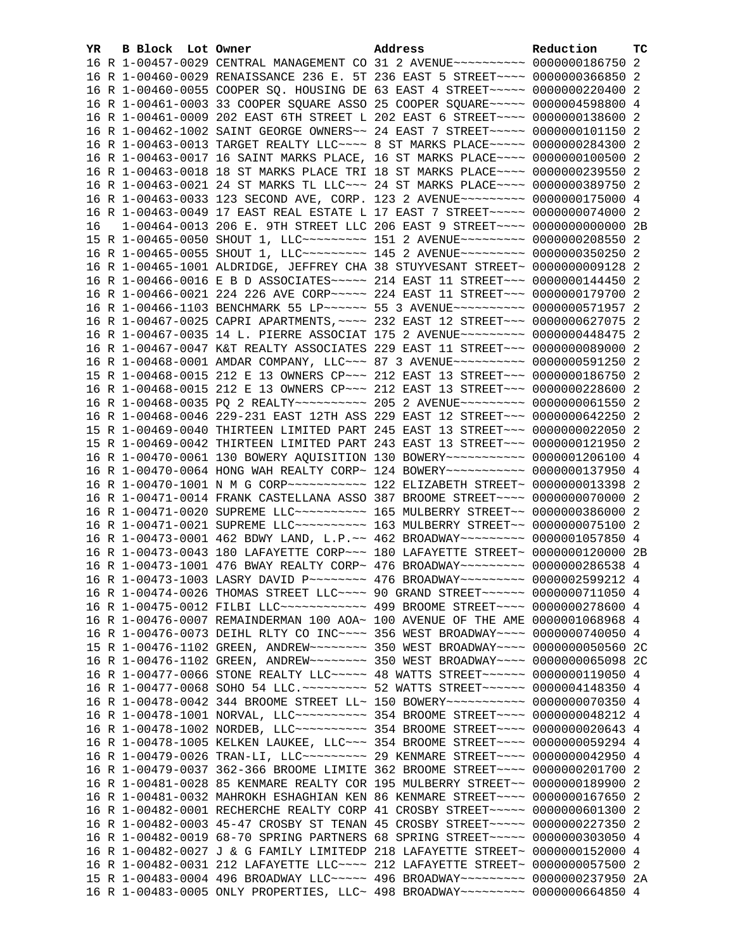| YR. | B Block Lot Owner |                                                                                         | Address | Reduction | тc |
|-----|-------------------|-----------------------------------------------------------------------------------------|---------|-----------|----|
|     |                   | 16 R 1-00457-0029 CENTRAL MANAGEMENT CO 31 2 AVENUE~~~~~~~~~~ 0000000186750 2           |         |           |    |
|     |                   | 16 R 1-00460-0029 RENAISSANCE 236 E. 5T 236 EAST 5 STREET~~~~ 0000000366850 2           |         |           |    |
|     |                   | 16 R 1-00460-0055 COOPER SQ. HOUSING DE 63 EAST 4 STREET~~~~~ 0000000220400 2           |         |           |    |
|     |                   | 16 R 1-00461-0003 33 COOPER SQUARE ASSO 25 COOPER SQUARE~~~~~ 0000004598800 4           |         |           |    |
|     |                   | 16 R 1-00461-0009 202 EAST 6TH STREET L 202 EAST 6 STREET~~~~ 0000000138600 2           |         |           |    |
|     |                   | 16 R 1-00462-1002 SAINT GEORGE OWNERS~~ 24 EAST 7 STREET~~~~~ 0000000101150 2           |         |           |    |
|     |                   | 16 R 1-00463-0013 TARGET REALTY LLC --- 8 ST MARKS PLACE ---- 0000000284300 2           |         |           |    |
|     |                   | 16 R 1-00463-0017 16 SAINT MARKS PLACE, 16 ST MARKS PLACE~~~~ 0000000100500 2           |         |           |    |
|     |                   | 16 R 1-00463-0018 18 ST MARKS PLACE TRI 18 ST MARKS PLACE~~~~ 0000000239550 2           |         |           |    |
|     |                   | 16 R 1-00463-0021 24 ST MARKS TL LLC~~~ 24 ST MARKS PLACE~~~~ 0000000389750 2           |         |           |    |
|     |                   | 16 R 1-00463-0033 123 SECOND AVE, CORP. 123 2 AVENUE~~~~~~~~~ 0000000175000 4           |         |           |    |
|     |                   | 16 R 1-00463-0049 17 EAST REAL ESTATE L 17 EAST 7 STREET~~~~~ 0000000074000 2           |         |           |    |
| 16  |                   | 1-00464-0013 206 E. 9TH STREET LLC 206 EAST 9 STREET~~~~ 0000000000000 2B               |         |           |    |
|     |                   | 15 R 1-00465-0050 SHOUT 1, LLC --------- 151 2 AVENUE --------- 0000000208550 2         |         |           |    |
|     |                   | 16 R 1-00465-0055 SHOUT 1, LLC --------- 145 2 AVENUE --------- 0000000350250 2         |         |           |    |
|     |                   | 16 R 1-00465-1001 ALDRIDGE, JEFFREY CHA 38 STUYVESANT STREET~ 0000000009128 2           |         |           |    |
|     |                   | 16 R 1-00466-0016 E B D ASSOCIATES~~~~~ 214 EAST 11 STREET~~~ 0000000144450 2           |         |           |    |
|     |                   | 16 R 1-00466-0021 224 226 AVE CORP~~~~~ 224 EAST 11 STREET~~~ 0000000179700 2           |         |           |    |
|     |                   | 16 R 1-00466-1103 BENCHMARK 55 LP ----- 55 3 AVENUE --------- 0000000571957 2           |         |           |    |
|     |                   | 16 R 1-00467-0025 CAPRI APARTMENTS, ~~~~ 232 EAST 12 STREET~~~ 0000000627075 2          |         |           |    |
|     |                   | 16 R 1-00467-0035 14 L. PIERRE ASSOCIAT 175 2 AVENUE~~~~~~~~~ 0000000448475 2           |         |           |    |
|     |                   | 16 R 1-00467-0047 K&T REALTY ASSOCIATES 229 EAST 11 STREET~~~ 0000000089000 2           |         |           |    |
|     |                   | 16 R 1-00468-0001 AMDAR COMPANY, LLC~~~ 87 3 AVENUE~~~~~~~~~~ 0000000591250 2           |         |           |    |
|     |                   | 15 R 1-00468-0015 212 E 13 OWNERS CP~~~ 212 EAST 13 STREET~~~ 0000000186750 2           |         |           |    |
|     |                   | 16 R 1-00468-0015 212 E 13 OWNERS CP ~~~ 212 EAST 13 STREET ~~~ 0000000228600 2         |         |           |    |
|     |                   | 16 R 1-00468-0035 PQ 2 REALTY~~~~~~~~~~~~~~~~~ 205 2 AVENUE~~~~~~~~~~~~ 0000000061550 2 |         |           |    |
|     |                   | 16 R 1-00468-0046 229-231 EAST 12TH ASS 229 EAST 12 STREET~~~ 0000000642250 2           |         |           |    |
|     |                   | 15 R 1-00469-0040 THIRTEEN LIMITED PART 245 EAST 13 STREET~~~ 0000000022050 2           |         |           |    |
|     |                   | 15 R 1-00469-0042 THIRTEEN LIMITED PART 243 EAST 13 STREET~~~ 0000000121950 2           |         |           |    |
|     |                   | 16 R 1-00470-0061 130 BOWERY AQUISITION 130 BOWERY~~~~~~~~~~~ 0000001206100 4           |         |           |    |
|     |                   | 16 R 1-00470-0064 HONG WAH REALTY CORP~ 124 BOWERY~~~~~~~~~~~ 0000000137950 4           |         |           |    |
|     |                   | 16 R 1-00470-1001 N M G CORP~~~~~~~~~~~~~~~~ 122 ELIZABETH STREET~ 0000000013398 2      |         |           |    |
|     |                   | 16 R 1-00471-0014 FRANK CASTELLANA ASSO 387 BROOME STREET~~~~ 0000000070000 2           |         |           |    |
|     |                   | 16 R 1-00471-0020 SUPREME LLC ---------- 165 MULBERRY STREET -- 0000000386000 2         |         |           |    |
|     |                   | 16 R 1-00471-0021 SUPREME LLC~~~~~~~~~~~~~~~ 163 MULBERRY STREET~~ 0000000075100 2      |         |           |    |
|     |                   | 16 R 1-00473-0001 462 BDWY LAND, L.P.~~ 462 BROADWAY~~~~~~~~~ 0000001057850 4           |         |           |    |
|     |                   | 16 R 1-00473-0043 180 LAFAYETTE CORP~~~ 180 LAFAYETTE STREET~ 0000000120000 2B          |         |           |    |
|     |                   | 16 R 1-00473-1001 476 BWAY REALTY CORP~ 476 BROADWAY~~~~~~~~~ 0000000286538 4           |         |           |    |
|     |                   | 16 R 1-00473-1003 LASRY DAVID P ------- 476 BROADWAY -------- 0000002599212 4           |         |           |    |
|     |                   | 16 R 1-00474-0026 THOMAS STREET LLC~~~~ 90 GRAND STREET~~~~~~ 0000000711050 4           |         |           |    |
|     |                   | 16 R 1-00475-0012 FILBI LLC~~~~~~~~~~~~~ 499 BROOME STREET~~~~ 0000000278600 4          |         |           |    |
|     |                   | 16 R 1-00476-0007 REMAINDERMAN 100 AOA~ 100 AVENUE OF THE AME 0000001068968 4           |         |           |    |
|     |                   | 16 R 1-00476-0073 DEIHL RLTY CO INC~~~~ 356 WEST BROADWAY~~~~ 0000000740050 4           |         |           |    |
|     |                   | 15 R 1-00476-1102 GREEN, ANDREW~~~~~~~~ 350 WEST BROADWAY~~~~ 0000000050560 2C          |         |           |    |
|     |                   | 16 R 1-00476-1102 GREEN, ANDREW~~~~~~~~~ 350 WEST BROADWAY~~~~ 0000000065098 2C         |         |           |    |
|     |                   | 16 R 1-00477-0066 STONE REALTY LLC ---- 48 WATTS STREET ----- 0000000119050 4           |         |           |    |
|     |                   | 16 R 1-00477-0068 SOHO 54 LLC. ~~~~~~~~~ 52 WATTS STREET~~~~~~ 0000004148350 4          |         |           |    |
|     |                   | 16 R 1-00478-0042 344 BROOME STREET LL~ 150 BOWERY~~~~~~~~~~~ 0000000070350 4           |         |           |    |
|     |                   | 16 R 1-00478-1001 NORVAL, LLC ---------- 354 BROOME STREET ---- 0000000048212 4         |         |           |    |
|     |                   | 16 R 1-00478-1002 NORDEB, LLC ---------- 354 BROOME STREET ---- 0000000020643 4         |         |           |    |
|     |                   | 16 R 1-00478-1005 KELKEN LAUKEE, LLC~~~ 354 BROOME STREET~~~~ 0000000059294 4           |         |           |    |
|     |                   | 16 R 1-00479-0026 TRAN-LI, LLC -------- 29 KENMARE STREET ---- 0000000042950 4          |         |           |    |
|     |                   | 16 R 1-00479-0037 362-366 BROOME LIMITE 362 BROOME STREET~~~~ 0000000201700 2           |         |           |    |
|     |                   | 16 R 1-00481-0028 85 KENMARE REALTY COR 195 MULBERRY STREET~~ 0000000189900 2           |         |           |    |
|     |                   | 16 R 1-00481-0032 MAHROKH ESHAGHIAN KEN 86 KENMARE STREET~~~~ 0000000167650 2           |         |           |    |
|     |                   | 16 R 1-00482-0001 RECHERCHE REALTY CORP 41 CROSBY STREET~~~~~ 0000000601300 2           |         |           |    |
|     |                   | 16 R 1-00482-0003 45-47 CROSBY ST TENAN 45 CROSBY STREET~~~~~ 0000000227350 2           |         |           |    |
|     |                   | 16 R 1-00482-0019 68-70 SPRING PARTNERS 68 SPRING STREET~~~~~ 0000000303050 4           |         |           |    |
|     |                   | 16 R 1-00482-0027 J & G FAMILY LIMITEDP 218 LAFAYETTE STREET~ 0000000152000 4           |         |           |    |
|     |                   | 16 R 1-00482-0031 212 LAFAYETTE LLC --- 212 LAFAYETTE STREET ~ 0000000057500 2          |         |           |    |
|     |                   | 15 R 1-00483-0004 496 BROADWAY LLC~~~~~ 496 BROADWAY~~~~~~~~~ 0000000237950 2A          |         |           |    |
|     |                   | 16 R 1-00483-0005 ONLY PROPERTIES, LLC~ 498 BROADWAY~~~~~~~~~ 0000000664850 4           |         |           |    |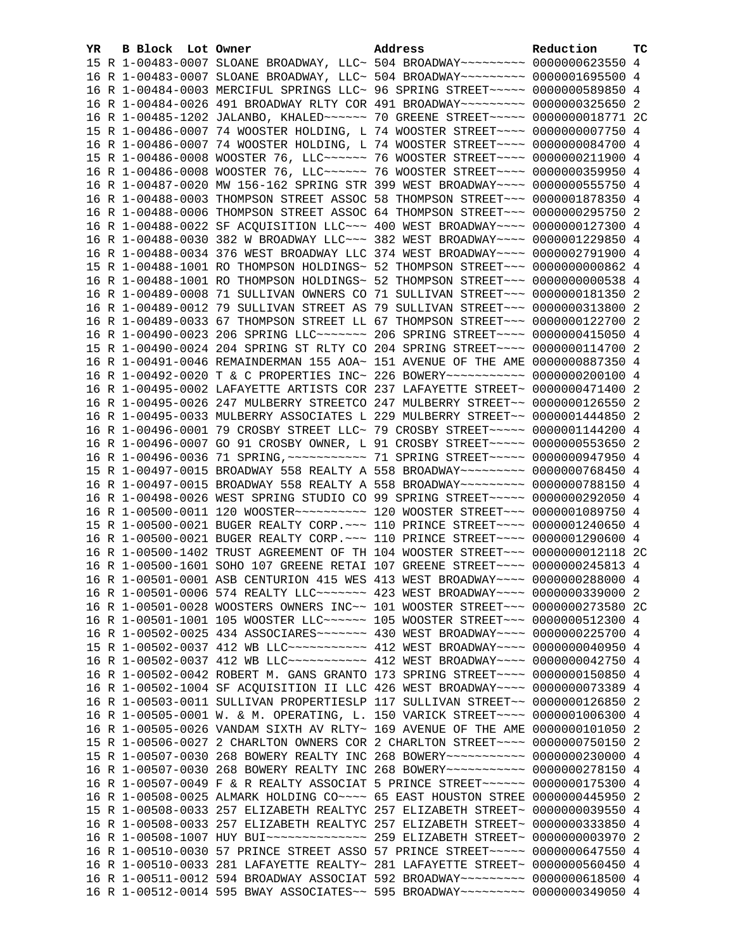| YR. | B Block Lot Owner | Address                                                                             | Reduction | тc |
|-----|-------------------|-------------------------------------------------------------------------------------|-----------|----|
|     |                   | 15 R 1-00483-0007 SLOANE BROADWAY, LLC~ 504 BROADWAY~~~~~~~~~ 0000000623550 4       |           |    |
|     |                   | 16 R 1-00483-0007 SLOANE BROADWAY, LLC~ 504 BROADWAY~~~~~~~~~ 0000001695500 4       |           |    |
|     |                   | 16 R 1-00484-0003 MERCIFUL SPRINGS LLC~ 96 SPRING STREET~~~~~ 0000000589850 4       |           |    |
|     |                   | 16 R 1-00484-0026 491 BROADWAY RLTY COR 491 BROADWAY~~~~~~~~~ 0000000325650 2       |           |    |
|     |                   | 16 R 1-00485-1202 JALANBO, KHALED~~~~~~~ 70 GREENE STREET~~~~~ 0000000018771 2C     |           |    |
|     |                   | 15 R 1-00486-0007 74 WOOSTER HOLDING, L 74 WOOSTER STREET~~~~ 0000000007750         |           | -4 |
|     |                   | 16 R 1-00486-0007 74 WOOSTER HOLDING, L 74 WOOSTER STREET~~~~ 0000000084700 4       |           |    |
|     |                   | 15 R 1-00486-0008 WOOSTER 76, LLC ----- 76 WOOSTER STREET --- 0000000211900 4       |           |    |
|     |                   | 16 R 1-00486-0008 WOOSTER 76, LLC ----- 76 WOOSTER STREET --- 0000000359950 4       |           |    |
|     |                   | 16 R 1-00487-0020 MW 156-162 SPRING STR 399 WEST BROADWAY~~~~ 0000000555750 4       |           |    |
|     |                   | 16 R 1-00488-0003 THOMPSON STREET ASSOC 58 THOMPSON STREET~~~ 0000001878350 4       |           |    |
|     |                   | 16 R 1-00488-0006 THOMPSON STREET ASSOC 64 THOMPSON STREET~~~ 0000000295750 2       |           |    |
|     |                   | 16 R 1-00488-0022 SF ACQUISITION LLC~~~ 400 WEST BROADWAY~~~~ 0000000127300 4       |           |    |
|     |                   | 16 R 1-00488-0030 382 W BROADWAY LLC~~~ 382 WEST BROADWAY~~~~ 0000001229850 4       |           |    |
|     |                   | 16 R 1-00488-0034 376 WEST BROADWAY LLC 374 WEST BROADWAY~~~~ 0000002791900 4       |           |    |
|     |                   | 15 R 1-00488-1001 RO THOMPSON HOLDINGS~ 52 THOMPSON STREET~~~ 00000000000862 4      |           |    |
|     |                   | 16 R 1-00488-1001 RO THOMPSON HOLDINGS~ 52 THOMPSON STREET~~~ 0000000000538 4       |           |    |
|     |                   | 16 R 1-00489-0008 71 SULLIVAN OWNERS CO 71 SULLIVAN STREET~~~ 0000000181350 2       |           |    |
|     |                   | 16 R 1-00489-0012 79 SULLIVAN STREET AS 79 SULLIVAN STREET~~~ 0000000313800 2       |           |    |
|     |                   | 16 R 1-00489-0033 67 THOMPSON STREET LL 67 THOMPSON STREET~~~ 0000000122700 2       |           |    |
|     |                   | 16 R 1-00490-0023 206 SPRING LLC ------ 206 SPRING STREET --- 0000000415050 4       |           |    |
|     |                   | 15 R 1-00490-0024 204 SPRING ST RLTY CO 204 SPRING STREET~~~~ 0000000114700 2       |           |    |
|     |                   | 16 R 1-00491-0046 REMAINDERMAN 155 AOA~ 151 AVENUE OF THE AME 0000000887350 4       |           |    |
|     |                   | 16 R 1-00492-0020 T & C PROPERTIES INC~ 226 BOWERY~~~~~~~~~~~ 0000000200100 4       |           |    |
|     |                   | 16 R 1-00495-0002 LAFAYETTE ARTISTS COR 237 LAFAYETTE STREET~ 0000000471400 2       |           |    |
|     |                   | 16 R 1-00495-0026 247 MULBERRY STREETCO 247 MULBERRY STREET~~ 0000000126550 2       |           |    |
|     |                   | 16 R 1-00495-0033 MULBERRY ASSOCIATES L 229 MULBERRY STREET~~ 0000001444850 2       |           |    |
|     |                   | 16 R 1-00496-0001 79 CROSBY STREET LLC~ 79 CROSBY STREET~~~~~ 0000001144200 4       |           |    |
|     |                   | 16 R 1-00496-0007 GO 91 CROSBY OWNER, L 91 CROSBY STREET~~~~~ 0000000553650 2       |           |    |
|     |                   | 16 R 1-00496-0036 71 SPRING, ~~~~~~~~~~~~~~~~ 71 SPRING STREET~~~~~ 0000000947950 4 |           |    |
|     |                   | 15 R 1-00497-0015 BROADWAY 558 REALTY A 558 BROADWAY~~~~~~~~~ 0000000768450 4       |           |    |
|     |                   | 16 R 1-00497-0015 BROADWAY 558 REALTY A 558 BROADWAY~~~~~~~~~ 0000000788150 4       |           |    |
|     |                   | 16 R 1-00498-0026 WEST SPRING STUDIO CO 99 SPRING STREET~~~~~ 0000000292050 4       |           |    |
|     |                   | 16 R 1-00500-0011 120 WOOSTER~~~~~~~~~~~~~~~ 120 WOOSTER STREET~~~~ 0000001089750 4 |           |    |
|     |                   | 15 R 1-00500-0021 BUGER REALTY CORP. ~~~ 110 PRINCE STREET~~~~ 0000001240650 4      |           |    |
|     |                   | 16 R 1-00500-0021 BUGER REALTY CORP. ~~~ 110 PRINCE STREET~~~~ 0000001290600 4      |           |    |
|     |                   | 16 R 1-00500-1402 TRUST AGREEMENT OF TH 104 WOOSTER STREET~~~ 0000000012118 2C      |           |    |
|     |                   | 16 R 1-00500-1601 SOHO 107 GREENE RETAI 107 GREENE STREET~~~~ 0000000245813 4       |           |    |
|     |                   | 16 R 1-00501-0001 ASB CENTURION 415 WES 413 WEST BROADWAY~~~~ 0000000288000 4       |           |    |
|     |                   | 16 R 1-00501-0006 574 REALTY LLC ------ 423 WEST BROADWAY --- 0000000339000 2       |           |    |
|     |                   | 16 R 1-00501-0028 WOOSTERS OWNERS INC~~ 101 WOOSTER STREET~~~ 0000000273580 2C      |           |    |
|     |                   | 16 R 1-00501-1001 105 WOOSTER LLC ----- 105 WOOSTER STREET --- 0000000512300 4      |           |    |
|     |                   | 16 R 1-00502-0025 434 ASSOCIARES~~~~~~~ 430 WEST BROADWAY~~~~ 0000000225700 4       |           |    |
|     |                   | 15 R 1-00502-0037 412 WB LLC ----------- 412 WEST BROADWAY --- 0000000040950        |           | 4  |
|     |                   | 16 R 1-00502-0037 412 WB LLC ---------- 412 WEST BROADWAY --- 0000000042750 4       |           |    |
|     |                   | 16 R 1-00502-0042 ROBERT M. GANS GRANTO 173 SPRING STREET~~~~ 0000000150850         |           | 4  |
|     |                   | 16 R 1-00502-1004 SF ACQUISITION II LLC 426 WEST BROADWAY~~~~ 0000000073389 4       |           |    |
|     |                   | 16 R 1-00503-0011 SULLIVAN PROPERTIESLP 117 SULLIVAN STREET~~ 0000000126850         |           | 2  |
|     |                   | 16 R 1-00505-0001 W. & M. OPERATING, L. 150 VARICK STREET~~~~ 0000001006300 4       |           |    |
|     |                   | 16 R 1-00505-0026 VANDAM SIXTH AV RLTY~ 169 AVENUE OF THE AME 0000000101050         |           | -2 |
|     |                   | 15 R 1-00506-0027 2 CHARLTON OWNERS COR 2 CHARLTON STREET~~~~ 0000000750150         |           | -2 |
|     |                   | 15 R 1-00507-0030 268 BOWERY REALTY INC 268 BOWERY~~~~~~~~~~~ 0000000230000         |           | 4  |
|     |                   | 16 R 1-00507-0030 268 BOWERY REALTY INC 268 BOWERY~~~~~~~~~~~ 0000000278150         |           | 4  |
|     |                   | 16 R 1-00507-0049 F & R REALTY ASSOCIAT 5 PRINCE STREET~~~~~~ 0000000175300 4       |           |    |
|     |                   | 16 R 1-00508-0025 ALMARK HOLDING CO~~~~ 65 EAST HOUSTON STREE 0000000445950 2       |           |    |
|     |                   | 15 R 1-00508-0033 257 ELIZABETH REALTYC 257 ELIZABETH STREET~ 0000000039550 4       |           |    |
|     |                   | 16 R 1-00508-0033 257 ELIZABETH REALTYC 257 ELIZABETH STREET~ 0000000333850 4       |           |    |
|     |                   |                                                                                     |           |    |
|     |                   | 16 R 1-00510-0030 57 PRINCE STREET ASSO 57 PRINCE STREET~~~~~ 0000000647550 4       |           |    |
|     |                   | 16 R 1-00510-0033 281 LAFAYETTE REALTY~ 281 LAFAYETTE STREET~ 0000000560450 4       |           |    |
|     |                   | 16 R 1-00511-0012 594 BROADWAY ASSOCIAT 592 BROADWAY~~~~~~~~~ 0000000618500 4       |           |    |
|     |                   | 16 R 1-00512-0014 595 BWAY ASSOCIATES~~ 595 BROADWAY~~~~~~~~~ 0000000349050 4       |           |    |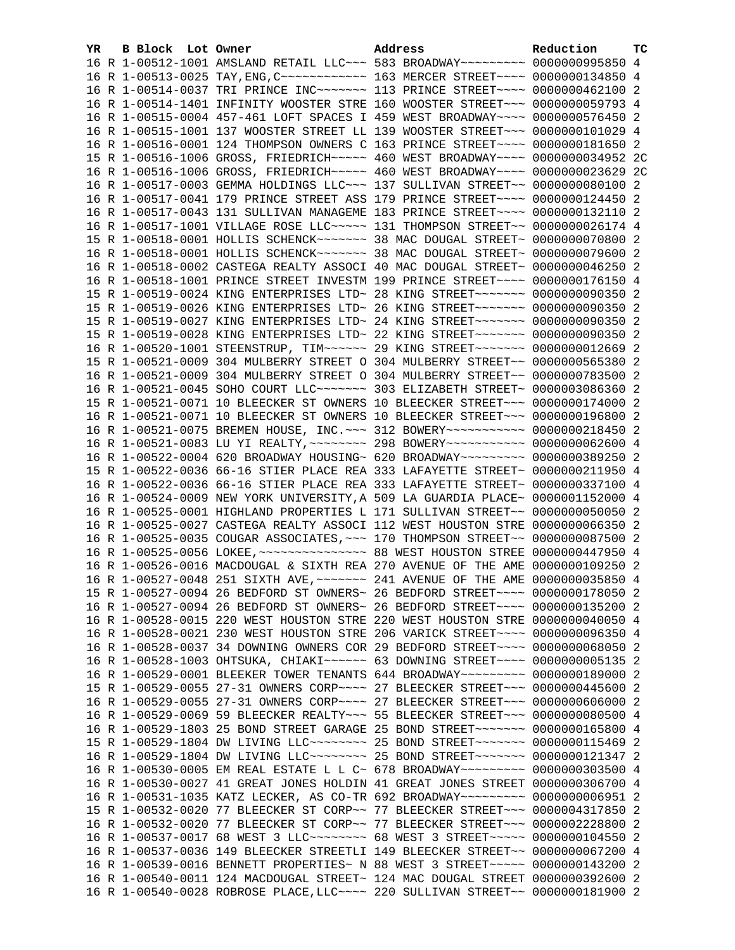| YR | B Block Lot Owner |                                                                                                                                                                  | Address | Reduction | тc |
|----|-------------------|------------------------------------------------------------------------------------------------------------------------------------------------------------------|---------|-----------|----|
|    |                   | 16 R 1-00512-1001 AMSLAND RETAIL LLC~~~ 583 BROADWAY~~~~~~~~~ 0000000995850 4                                                                                    |         |           |    |
|    |                   | 16 R 1-00513-0025 TAY, ENG, C ------------ 163 MERCER STREET ---- 0000000134850 4                                                                                |         |           |    |
|    |                   | 16 R 1-00514-0037 TRI PRINCE INC~~~~~~~ 113 PRINCE STREET~~~~ 0000000462100 2                                                                                    |         |           |    |
|    |                   | 16 R 1-00514-1401 INFINITY WOOSTER STRE 160 WOOSTER STREET~~~ 0000000059793 4                                                                                    |         |           |    |
|    |                   | 16 R 1-00515-0004 457-461 LOFT SPACES I 459 WEST BROADWAY~~~~ 0000000576450 2                                                                                    |         |           |    |
|    |                   | 16 R 1-00515-1001 137 WOOSTER STREET LL 139 WOOSTER STREET~~~ 0000000101029 4                                                                                    |         |           |    |
|    |                   | 16 R 1-00516-0001 124 THOMPSON OWNERS C 163 PRINCE STREET~~~~ 0000000181650 2                                                                                    |         |           |    |
|    |                   | 15 R 1-00516-1006 GROSS, FRIEDRICH~~~~~ 460 WEST BROADWAY~~~~ 0000000034952 2C                                                                                   |         |           |    |
|    |                   | 16 R 1-00516-1006 GROSS, FRIEDRICH~~~~~ 460 WEST BROADWAY~~~~ 0000000023629 2C                                                                                   |         |           |    |
|    |                   | 16 R 1-00517-0003 GEMMA HOLDINGS LLC~~~ 137 SULLIVAN STREET~~ 0000000080100 2                                                                                    |         |           |    |
|    |                   | 16 R 1-00517-0041 179 PRINCE STREET ASS 179 PRINCE STREET~~~~ 0000000124450 2                                                                                    |         |           |    |
|    |                   | 16 R 1-00517-0043 131 SULLIVAN MANAGEME 183 PRINCE STREET~~~~ 0000000132110 2                                                                                    |         |           |    |
|    |                   | 16 R 1-00517-1001 VILLAGE ROSE LLC~~~~~ 131 THOMPSON STREET~~ 0000000026174 4                                                                                    |         |           |    |
|    |                   | 15 R 1-00518-0001 HOLLIS SCHENCK~~~~~~~ 38 MAC DOUGAL STREET~ 0000000070800 2                                                                                    |         |           |    |
|    |                   | 16 R 1-00518-0001 HOLLIS SCHENCK~~~~~~~ 38 MAC DOUGAL STREET~ 0000000079600 2                                                                                    |         |           |    |
|    |                   | 16 R 1-00518-0002 CASTEGA REALTY ASSOCI 40 MAC DOUGAL STREET~ 0000000046250 2                                                                                    |         |           |    |
|    |                   | 16 R 1-00518-1001 PRINCE STREET INVESTM 199 PRINCE STREET~~~~ 0000000176150 4                                                                                    |         |           |    |
|    |                   | 15 R 1-00519-0024 KING ENTERPRISES LTD~ 28 KING STREET~~~~~~~ 0000000090350 2                                                                                    |         |           |    |
|    |                   | 15 R 1-00519-0026 KING ENTERPRISES LTD~ 26 KING STREET~~~~~~~~ 0000000090350 2                                                                                   |         |           |    |
|    |                   | 15 R 1-00519-0027 KING ENTERPRISES LTD~ 24 KING STREET~~~~~~~ 0000000090350 2                                                                                    |         |           |    |
|    |                   | 15 R 1-00519-0028 KING ENTERPRISES LTD~ 22 KING STREET~~~~~~~ 0000000090350 2                                                                                    |         |           |    |
|    |                   | 16 R 1-00520-1001 STEENSTRUP, TIM~~~~~~ 29 KING STREET~~~~~~~ 0000000012669 2                                                                                    |         |           |    |
|    |                   | 15 R 1-00521-0009 304 MULBERRY STREET O 304 MULBERRY STREET~~ 0000000565380 2                                                                                    |         |           |    |
|    |                   | 16 R 1-00521-0009 304 MULBERRY STREET O 304 MULBERRY STREET~~ 0000000783500 2                                                                                    |         |           |    |
|    |                   | 16 R 1-00521-0045 SOHO COURT LLC ------ 303 ELIZABETH STREET ~ 0000003086360 2                                                                                   |         |           |    |
|    |                   | 15 R 1-00521-0071 10 BLEECKER ST OWNERS 10 BLEECKER STREET~~~ 0000000174000 2                                                                                    |         |           |    |
|    |                   | 16 R 1-00521-0071 10 BLEECKER ST OWNERS 10 BLEECKER STREET~~~ 0000000196800 2                                                                                    |         |           |    |
|    |                   | 16 R 1-00521-0075 BREMEN HOUSE, INC. ~~~ 312 BOWERY~~~~~~~~~~~ 0000000218450 2                                                                                   |         |           |    |
|    |                   | 16 R 1-00521-0083 LU YI REALTY, ~~~~~~~~ 298 BOWERY~~~~~~~~~~~ 0000000062600 4                                                                                   |         |           |    |
|    |                   | 16 R 1-00522-0004 620 BROADWAY HOUSING~ 620 BROADWAY~~~~~~~~~ 0000000389250 2                                                                                    |         |           |    |
|    |                   | 15 R 1-00522-0036 66-16 STIER PLACE REA 333 LAFAYETTE STREET~ 0000000211950 4                                                                                    |         |           |    |
|    |                   | 16 R 1-00522-0036 66-16 STIER PLACE REA 333 LAFAYETTE STREET~ 0000000337100 4                                                                                    |         |           |    |
|    |                   | 16 R 1-00524-0009 NEW YORK UNIVERSITY, A 509 LA GUARDIA PLACE~ 0000001152000 4                                                                                   |         |           |    |
|    |                   | 16 R 1-00525-0001 HIGHLAND PROPERTIES L 171 SULLIVAN STREET~~ 0000000050050 2                                                                                    |         |           |    |
|    |                   | 16 R 1-00525-0027 CASTEGA REALTY ASSOCI 112 WEST HOUSTON STRE 0000000066350 2                                                                                    |         |           |    |
|    |                   | 16 R 1-00525-0035 COUGAR ASSOCIATES, ~~~ 170 THOMPSON STREET~~ 0000000087500 2                                                                                   |         |           |    |
|    |                   |                                                                                                                                                                  |         |           |    |
|    |                   | 16 R 1-00526-0016 MACDOUGAL & SIXTH REA 270 AVENUE OF THE AME 0000000109250 2                                                                                    |         |           |    |
|    |                   | 16 R 1-00527-0048 251 SIXTH AVE, ~~~~~~~ 241 AVENUE OF THE AME 0000000035850 4                                                                                   |         |           |    |
|    |                   | 15 R 1-00527-0094 26 BEDFORD ST OWNERS~ 26 BEDFORD STREET~~~~ 0000000178050 2                                                                                    |         |           |    |
|    |                   | 16 R 1-00527-0094 26 BEDFORD ST OWNERS~ 26 BEDFORD STREET~~~~ 0000000135200 2                                                                                    |         |           |    |
|    |                   | 16 R 1-00528-0015 220 WEST HOUSTON STRE 220 WEST HOUSTON STRE 0000000040050 4                                                                                    |         |           |    |
|    |                   | 16 R 1-00528-0021 230 WEST HOUSTON STRE 206 VARICK STREET~~~~ 0000000096350 4                                                                                    |         |           |    |
|    |                   | 16 R 1-00528-0037 34 DOWNING OWNERS COR 29 BEDFORD STREET~~~~ 0000000068050 2                                                                                    |         |           |    |
|    |                   | 16 R 1-00528-1003 OHTSUKA, CHIAKI~~~~~~ 63 DOWNING STREET~~~~ 00000000005135 2                                                                                   |         |           |    |
|    |                   | 16 R 1-00529-0001 BLEEKER TOWER TENANTS 644 BROADWAY~~~~~~~~~ 0000000189000 2                                                                                    |         |           |    |
|    |                   | 15 R 1-00529-0055 27-31 OWNERS CORP~~~~ 27 BLEECKER STREET~~~ 0000000445600                                                                                      |         |           | 2  |
|    |                   | 16 R 1-00529-0055 27-31 OWNERS CORP~~~~ 27 BLEECKER STREET~~~ 0000000606000 2                                                                                    |         |           |    |
|    |                   | 16 R 1-00529-0069 59 BLEECKER REALTY~~~ 55 BLEECKER STREET~~~ 0000000080500 4                                                                                    |         |           |    |
|    |                   | 16 R 1-00529-1803 25 BOND STREET GARAGE 25 BOND STREET~~~~~~~ 0000000165800 4                                                                                    |         |           |    |
|    |                   | 15 R 1-00529-1804 DW LIVING LLC -------- 25 BOND STREET ------- 0000000115469 2                                                                                  |         |           |    |
|    |                   | 16 R 1-00529-1804 DW LIVING LLC -------- 25 BOND STREET ------- 0000000121347 2                                                                                  |         |           |    |
|    |                   | 16 R 1-00530-0005 EM REAL ESTATE L L C~ 678 BROADWAY~~~~~~~~~ 0000000303500 4                                                                                    |         |           |    |
|    |                   | 16 R 1-00530-0027 41 GREAT JONES HOLDIN 41 GREAT JONES STREET 0000000306700 4<br>16 R 1-00531-1035 KATZ LECKER, AS CO-TR 692 BROADWAY~~~~~~~~~ 00000000006951 2  |         |           |    |
|    |                   | 15 R 1-00532-0020 77 BLEECKER ST CORP~~ 77 BLEECKER STREET~~~ 0000004317850                                                                                      |         |           | -2 |
|    |                   |                                                                                                                                                                  |         |           |    |
|    |                   | 16 R 1-00532-0020 77 BLEECKER ST CORP~~ 77 BLEECKER STREET~~~ 0000002228800 2<br>16 R 1-00537-0017 68 WEST 3 LLC -------- 68 WEST 3 STREET ----- 0000000104550 2 |         |           |    |
|    |                   | 16 R 1-00537-0036 149 BLEECKER STREETLI 149 BLEECKER STREET~~ 0000000067200 4                                                                                    |         |           |    |
|    |                   | 16 R 1-00539-0016 BENNETT PROPERTIES~ N 88 WEST 3 STREET~~~~~ 0000000143200 2                                                                                    |         |           |    |
|    |                   | 16 R 1-00540-0011 124 MACDOUGAL STREET~ 124 MAC DOUGAL STREET 0000000392600 2                                                                                    |         |           |    |
|    |                   | 16 R 1-00540-0028 ROBROSE PLACE, LLC ~~~~ 220 SULLIVAN STREET ~~ 0000000181900 2                                                                                 |         |           |    |
|    |                   |                                                                                                                                                                  |         |           |    |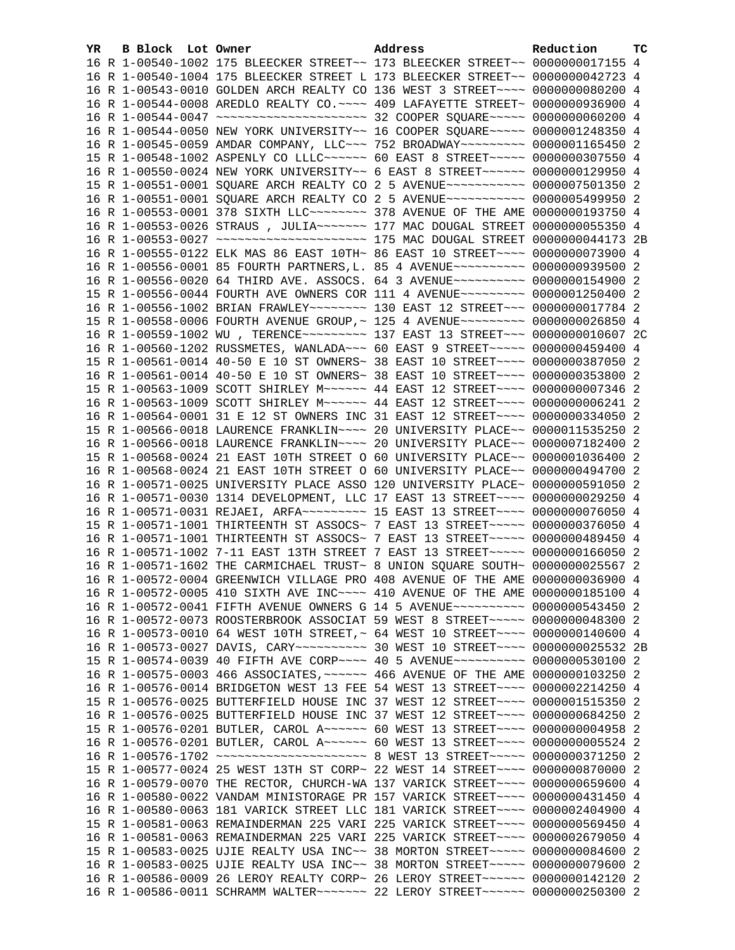| YR. | B Block Lot Owner |                                                                                                                                                                | Address | Reduction | тc |
|-----|-------------------|----------------------------------------------------------------------------------------------------------------------------------------------------------------|---------|-----------|----|
|     |                   | 16 R 1-00540-1002 175 BLEECKER STREET~~ 173 BLEECKER STREET~~ 0000000017155 4                                                                                  |         |           |    |
|     |                   | 16 R 1-00540-1004 175 BLEECKER STREET L 173 BLEECKER STREET~~ 0000000042723 4                                                                                  |         |           |    |
|     |                   | 16 R 1-00543-0010 GOLDEN ARCH REALTY CO 136 WEST 3 STREET~~~~ 0000000080200 4                                                                                  |         |           |    |
|     |                   | 16 R 1-00544-0008 AREDLO REALTY CO.~~~~ 409 LAFAYETTE STREET~ 0000000936900 4                                                                                  |         |           |    |
|     |                   | 16 R 1-00544-0047 ~~~~~~~~~~~~~~~~~~~~~~~~~ 32 COOPER SQUARE~~~~~ 0000000060200 4                                                                              |         |           |    |
|     |                   | 16 R 1-00544-0050 NEW YORK UNIVERSITY~~ 16 COOPER SQUARE~~~~~ 0000001248350 4                                                                                  |         |           |    |
|     |                   | 16 R 1-00545-0059 AMDAR COMPANY, LLC~~~ 752 BROADWAY~~~~~~~~~ 0000001165450 2                                                                                  |         |           |    |
|     |                   | 15 R 1-00548-1002 ASPENLY CO LLLC~~~~~~ 60 EAST 8 STREET~~~~~ 0000000307550 4                                                                                  |         |           |    |
|     |                   | 16 R 1-00550-0024 NEW YORK UNIVERSITY~~ 6 EAST 8 STREET~~~~~~ 0000000129950 4                                                                                  |         |           |    |
|     |                   | 15 R 1-00551-0001 SQUARE ARCH REALTY CO 2 5 AVENUE~~~~~~~~~~~ 0000007501350 2                                                                                  |         |           |    |
|     |                   | 16 R 1-00551-0001 SQUARE ARCH REALTY CO 2 5 AVENUE~~~~~~~~~~~ 0000005499950 2                                                                                  |         |           |    |
|     |                   | 16 R 1-00553-0001 378 SIXTH LLC ------- 378 AVENUE OF THE AME 0000000193750 4                                                                                  |         |           |    |
|     |                   | 16 R 1-00553-0026 STRAUS, JULIA~~~~~~~ 177 MAC DOUGAL STREET 0000000055350 4                                                                                   |         |           |    |
|     |                   |                                                                                                                                                                |         |           |    |
|     |                   | 16 R 1-00555-0122 ELK MAS 86 EAST 10TH~ 86 EAST 10 STREET~~~~ 0000000073900 4                                                                                  |         |           |    |
|     |                   | 16 R 1-00556-0001 85 FOURTH PARTNERS, L. 85 4 AVENUE~~~~~~~~~~ 0000000939500 2                                                                                 |         |           |    |
|     |                   | 16 R 1-00556-0020 64 THIRD AVE. ASSOCS. 64 3 AVENUE~~~~~~~~~~ 0000000154900 2                                                                                  |         |           |    |
|     |                   | 15 R 1-00556-0044 FOURTH AVE OWNERS COR 111 4 AVENUE~~~~~~~~~ 0000001250400 2                                                                                  |         |           |    |
|     |                   | 16 R 1-00556-1002 BRIAN FRAWLEY~~~~~~~~ 130 EAST 12 STREET~~~ 0000000017784 2                                                                                  |         |           |    |
|     |                   | 15 R 1-00558-0006 FOURTH AVENUE GROUP, ~ 125 4 AVENUE~~~~~~~~~ 0000000026850 4                                                                                 |         |           |    |
|     |                   | 16 R 1-00559-1002 WU , TERENCE~~~~~~~~~~ 137 EAST 13 STREET~~~ 00000000010607 2C                                                                               |         |           |    |
|     |                   | 16 R 1-00560-1202 RUSSMETES, WANLADA~~~ 60 EAST 9 STREET~~~~~ 0000000459400 4                                                                                  |         |           |    |
|     |                   | 15 R 1-00561-0014 40-50 E 10 ST OWNERS~ 38 EAST 10 STREET~~~~ 0000000387050 2                                                                                  |         |           |    |
|     |                   | 16 R 1-00561-0014 40-50 E 10 ST OWNERS~ 38 EAST 10 STREET~~~~ 0000000353800 2                                                                                  |         |           |    |
|     |                   | 15 R 1-00563-1009 SCOTT SHIRLEY M~~~~~~ 44 EAST 12 STREET~~~~ 0000000007346 2                                                                                  |         |           |    |
|     |                   | 16 R 1-00563-1009 SCOTT SHIRLEY M~~~~~~ 44 EAST 12 STREET~~~~ 0000000006241 2                                                                                  |         |           |    |
|     |                   | 16 R 1-00564-0001 31 E 12 ST OWNERS INC 31 EAST 12 STREET~~~~ 0000000334050 2                                                                                  |         |           |    |
|     |                   | 15 R 1-00566-0018 LAURENCE FRANKLIN~~~~ 20 UNIVERSITY PLACE~~ 0000011535250 2                                                                                  |         |           |    |
|     |                   | 16 R 1-00566-0018 LAURENCE FRANKLIN~~~~ 20 UNIVERSITY PLACE~~ 0000007182400 2<br>15 R 1-00568-0024 21 EAST 10TH STREET O 60 UNIVERSITY PLACE~~ 0000001036400 2 |         |           |    |
|     |                   | 16 R 1-00568-0024 21 EAST 10TH STREET O 60 UNIVERSITY PLACE~~ 0000000494700 2                                                                                  |         |           |    |
|     |                   | 16 R 1-00571-0025 UNIVERSITY PLACE ASSO 120 UNIVERSITY PLACE~ 0000000591050 2                                                                                  |         |           |    |
|     |                   | 16 R 1-00571-0030 1314 DEVELOPMENT, LLC 17 EAST 13 STREET~~~~ 0000000029250 4                                                                                  |         |           |    |
|     |                   | 16 R 1-00571-0031 REJAEI, ARFA~~~~~~~~~~~~~ 15 EAST 13 STREET~~~~~ 0000000076050 4                                                                             |         |           |    |
|     |                   | 15 R 1-00571-1001 THIRTEENTH ST ASSOCS~ 7 EAST 13 STREET~~~~~ 0000000376050 4                                                                                  |         |           |    |
|     |                   | 16 R 1-00571-1001 THIRTEENTH ST ASSOCS~ 7 EAST 13 STREET~~~~~ 0000000489450 4                                                                                  |         |           |    |
|     |                   | 16 R 1-00571-1002 7-11 EAST 13TH STREET 7 EAST 13 STREET~~~~~ 0000000166050 2                                                                                  |         |           |    |
|     |                   | 16 R 1-00571-1602 THE CARMICHAEL TRUST~ 8 UNION SQUARE SOUTH~ 0000000025567 2                                                                                  |         |           |    |
|     |                   | 16 R 1-00572-0004 GREENWICH VILLAGE PRO 408 AVENUE OF THE AME 0000000036900 4                                                                                  |         |           |    |
|     |                   | 16 R 1-00572-0005 410 SIXTH AVE INC~~~~ 410 AVENUE OF THE AME 0000000185100 4                                                                                  |         |           |    |
|     |                   | 16 R 1-00572-0041 FIFTH AVENUE OWNERS G 14 5 AVENUE~~~~~~~~~~ 0000000543450 2                                                                                  |         |           |    |
|     |                   | 16 R 1-00572-0073 ROOSTERBROOK ASSOCIAT 59 WEST 8 STREET~~~~~ 0000000048300 2                                                                                  |         |           |    |
|     |                   | 16 R 1-00573-0010 64 WEST 10TH STREET, ~ 64 WEST 10 STREET ~~~~ 0000000140600 4                                                                                |         |           |    |
|     |                   | 16 R 1-00573-0027 DAVIS, CARY~~~~~~~~~~~~~~~~~~~~~ 00 STREET~~~~~~ 0000000025532 2B                                                                            |         |           |    |
|     |                   | 15 R 1-00574-0039 40 FIFTH AVE CORP~~~~ 40 5 AVENUE~~~~~~~~~~ 0000000530100 2                                                                                  |         |           |    |
|     |                   | 16 R 1-00575-0003 466 ASSOCIATES, ~~~~~~ 466 AVENUE OF THE AME 0000000103250 2                                                                                 |         |           |    |
|     |                   | 16 R 1-00576-0014 BRIDGETON WEST 13 FEE 54 WEST 13 STREET~~~~ 0000002214250 4                                                                                  |         |           |    |
|     |                   | 15 R 1-00576-0025 BUTTERFIELD HOUSE INC 37 WEST 12 STREET~~~~ 0000001515350 2                                                                                  |         |           |    |
|     |                   | 16 R 1-00576-0025 BUTTERFIELD HOUSE INC 37 WEST 12 STREET~~~~ 0000000684250 2                                                                                  |         |           |    |
|     |                   | 15 R 1-00576-0201 BUTLER, CAROL A~~~~~~ 60 WEST 13 STREET~~~~ 00000000004958 2                                                                                 |         |           |    |
|     |                   | 16 R 1-00576-0201 BUTLER, CAROL A~~~~~~ 60 WEST 13 STREET~~~~ 0000000005524 2                                                                                  |         |           |    |
|     |                   | 16 R 1-00576-1702 ~~~~~~~~~~~~~~~~~~~~~~~~~ 8 WEST 13 STREET~~~~~ 0000000371250 2                                                                              |         |           |    |
|     |                   | 15 R 1-00577-0024 25 WEST 13TH ST CORP~ 22 WEST 14 STREET~~~~ 0000000870000 2                                                                                  |         |           |    |
|     |                   | 16 R 1-00579-0070 THE RECTOR, CHURCH-WA 137 VARICK STREET~~~~ 0000000659600 4                                                                                  |         |           |    |
|     |                   | 16 R 1-00580-0022 VANDAM MINISTORAGE PR 157 VARICK STREET~~~~ 0000000431450 4                                                                                  |         |           |    |
|     |                   | 16 R 1-00580-0063 181 VARICK STREET LLC 181 VARICK STREET~~~~ 0000002404900 4                                                                                  |         |           |    |
|     |                   | 15 R 1-00581-0063 REMAINDERMAN 225 VARI 225 VARICK STREET~~~~ 0000000569450 4                                                                                  |         |           |    |
|     |                   | 16 R 1-00581-0063 REMAINDERMAN 225 VARI 225 VARICK STREET~~~~ 0000002679050 4                                                                                  |         |           |    |
|     |                   | 15 R 1-00583-0025 UJIE REALTY USA INC~~ 38 MORTON STREET~~~~~ 0000000084600 2                                                                                  |         |           |    |
|     |                   | 16 R 1-00583-0025 UJIE REALTY USA INC~~ 38 MORTON STREET~~~~~ 0000000079600 2                                                                                  |         |           |    |
|     |                   | 16 R 1-00586-0009 26 LEROY REALTY CORP~ 26 LEROY STREET~~~~~~ 0000000142120 2                                                                                  |         |           |    |
|     |                   | 16 R 1-00586-0011 SCHRAMM WALTER~~~~~~~ 22 LEROY STREET~~~~~~ 0000000250300 2                                                                                  |         |           |    |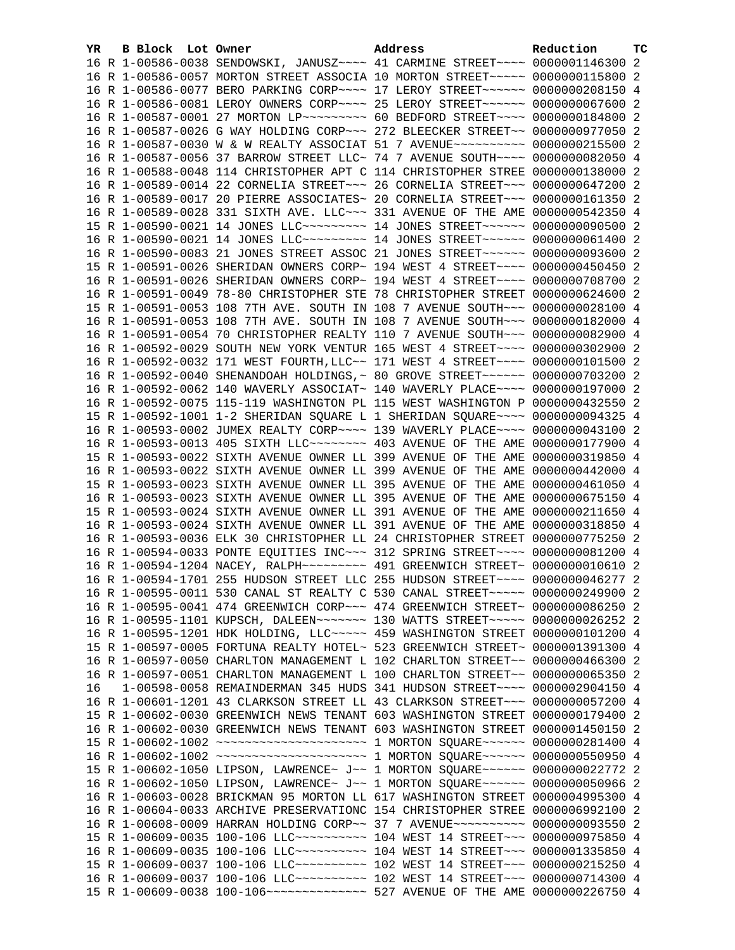| YR | B Block Lot Owner |                                                               | Address                                                                                                                                                         | Reduction       | тc |
|----|-------------------|---------------------------------------------------------------|-----------------------------------------------------------------------------------------------------------------------------------------------------------------|-----------------|----|
|    |                   |                                                               | 16 R 1-00586-0038 SENDOWSKI, JANUSZ~~~~ 41 CARMINE STREET~~~~ 0000001146300 2                                                                                   |                 |    |
|    |                   |                                                               | 16 R 1-00586-0057 MORTON STREET ASSOCIA 10 MORTON STREET~~~~~ 0000000115800 2                                                                                   |                 |    |
|    |                   |                                                               | 16 R 1-00586-0077 BERO PARKING CORP~~~~ 17 LEROY STREET~~~~~~ 0000000208150 4                                                                                   |                 |    |
|    |                   |                                                               | 16 R 1-00586-0081 LEROY OWNERS CORP~~~~ 25 LEROY STREET~~~~~~ 0000000067600 2                                                                                   |                 |    |
|    |                   |                                                               | 16 R 1-00587-0001 27 MORTON LP~~~~~~~~~~ 60 BEDFORD STREET~~~~ 0000000184800 2                                                                                  |                 |    |
|    |                   |                                                               | 16 R 1-00587-0026 G WAY HOLDING CORP~~~ 272 BLEECKER STREET~~ 0000000977050 2                                                                                   |                 |    |
|    |                   |                                                               | 16 R 1-00587-0030 W & W REALTY ASSOCIAT 51 7 AVENUE~~~~~~~~~~ 0000000215500 2                                                                                   |                 |    |
|    |                   |                                                               | 16 R 1-00587-0056 37 BARROW STREET LLC~ 74 7 AVENUE SOUTH~~~~ 0000000082050 4                                                                                   |                 |    |
|    |                   |                                                               | 16 R 1-00588-0048 114 CHRISTOPHER APT C 114 CHRISTOPHER STREE 0000000138000 2                                                                                   |                 |    |
|    |                   |                                                               | 16 R 1-00589-0014 22 CORNELIA STREET~~~ 26 CORNELIA STREET~~~ 0000000647200 2                                                                                   |                 |    |
|    |                   |                                                               | 16 R 1-00589-0017 20 PIERRE ASSOCIATES~ 20 CORNELIA STREET~~~ 0000000161350 2                                                                                   |                 |    |
|    |                   |                                                               | 16 R 1-00589-0028 331 SIXTH AVE. LLC ~~~ 331 AVENUE OF THE AME 0000000542350 4                                                                                  |                 |    |
|    |                   |                                                               | 15 R 1-00590-0021 14 JONES LLC -------- 14 JONES STREET ----- 0000000090500 2                                                                                   |                 |    |
|    |                   |                                                               | 16 R 1-00590-0021 14 JONES LLC~~~~~~~~~~~~~~ 14 JONES STREET~~~~~~~ 0000000061400 2                                                                             |                 |    |
|    |                   |                                                               | 16 R 1-00590-0083 21 JONES STREET ASSOC 21 JONES STREET~~~~~~ 0000000093600 2                                                                                   |                 |    |
|    |                   |                                                               | 15 R 1-00591-0026 SHERIDAN OWNERS CORP~ 194 WEST 4 STREET~~~~ 0000000450450 2                                                                                   |                 |    |
|    |                   |                                                               | 16 R 1-00591-0026 SHERIDAN OWNERS CORP~ 194 WEST 4 STREET~~~~ 0000000708700 2                                                                                   |                 |    |
|    |                   |                                                               | 16 R 1-00591-0049 78-80 CHRISTOPHER STE 78 CHRISTOPHER STREET 0000000624600 2                                                                                   |                 |    |
|    |                   |                                                               | 15 R 1-00591-0053 108 7TH AVE. SOUTH IN 108 7 AVENUE SOUTH~~~ 0000000028100 4                                                                                   |                 |    |
|    |                   |                                                               | 16 R 1-00591-0053 108 7TH AVE. SOUTH IN 108 7 AVENUE SOUTH~~~ 0000000182000 4                                                                                   |                 |    |
|    |                   |                                                               | 16 R 1-00591-0054 70 CHRISTOPHER REALTY 110 7 AVENUE SOUTH~~~ 0000000082900 4                                                                                   |                 |    |
|    |                   |                                                               | 16 R 1-00592-0029 SOUTH NEW YORK VENTUR 165 WEST 4 STREET~~~~ 0000000302900 2                                                                                   |                 |    |
|    |                   |                                                               | 16 R 1-00592-0032 171 WEST FOURTH, LLC~~ 171 WEST 4 STREET~~~~ 0000000101500 2                                                                                  |                 |    |
|    |                   |                                                               | 16 R 1-00592-0040 SHENANDOAH HOLDINGS, ~ 80 GROVE STREET ~~~~~~ 0000000703200 2                                                                                 |                 |    |
|    |                   |                                                               | 16 R 1-00592-0062 140 WAVERLY ASSOCIAT~ 140 WAVERLY PLACE~~~~ 0000000197000 2                                                                                   |                 |    |
|    |                   |                                                               | 16 R 1-00592-0075 115-119 WASHINGTON PL 115 WEST WASHINGTON P 0000000432550 2                                                                                   |                 |    |
|    |                   |                                                               | 15 R 1-00592-1001 1-2 SHERIDAN SQUARE L 1 SHERIDAN SQUARE~~~~ 0000000094325 4                                                                                   |                 |    |
|    |                   |                                                               | 16 R 1-00593-0002 JUMEX REALTY CORP~~~~ 139 WAVERLY PLACE~~~~ 0000000043100 2                                                                                   |                 |    |
|    |                   |                                                               | 16 R 1-00593-0013 405 SIXTH LLC~~~~~~~~ 403 AVENUE OF THE AME                                                                                                   | 0000000177900 4 |    |
|    |                   |                                                               | 15 R 1-00593-0022 SIXTH AVENUE OWNER LL 399 AVENUE OF THE AME                                                                                                   | 0000000319850 4 |    |
|    |                   |                                                               | 16 R 1-00593-0022 SIXTH AVENUE OWNER LL 399 AVENUE OF THE AME                                                                                                   | 0000000442000 4 |    |
|    |                   | 15 R 1-00593-0023 SIXTH AVENUE OWNER LL 395 AVENUE OF THE AME |                                                                                                                                                                 | 0000000461050 4 |    |
|    |                   | 16 R 1-00593-0023 SIXTH AVENUE OWNER LL 395 AVENUE OF THE AME |                                                                                                                                                                 | 0000000675150 4 |    |
|    |                   |                                                               | 15 R 1-00593-0024 SIXTH AVENUE OWNER LL 391 AVENUE OF THE AME 0000000211650 4                                                                                   |                 |    |
|    |                   |                                                               | 16 R 1-00593-0024 SIXTH AVENUE OWNER LL 391 AVENUE OF THE AME 0000000318850 4                                                                                   |                 |    |
|    |                   |                                                               | 16 R 1-00593-0036 ELK 30 CHRISTOPHER LL 24 CHRISTOPHER STREET 0000000775250 2                                                                                   |                 |    |
|    |                   |                                                               | 16 R 1-00594-0033 PONTE EQUITIES INC~~~ 312 SPRING STREET~~~~ 0000000081200 4                                                                                   |                 |    |
|    |                   |                                                               | 16 R 1-00594-1204 NACEY, RALPH~~~~~~~~~ 491 GREENWICH STREET~ 0000000010610 2                                                                                   |                 |    |
|    |                   |                                                               | 16 R 1-00594-1701 255 HUDSON STREET LLC 255 HUDSON STREET~~~~ 0000000046277 2                                                                                   |                 |    |
|    |                   |                                                               | 16 R 1-00595-0011 530 CANAL ST REALTY C 530 CANAL STREET~~~~~ 0000000249900 2                                                                                   |                 |    |
|    |                   |                                                               | 16 R 1-00595-0041 474 GREENWICH CORP~~~ 474 GREENWICH STREET~ 0000000086250 2                                                                                   |                 |    |
|    |                   |                                                               | 16 R 1-00595-1101 KUPSCH, DALEEN~~~~~~~ 130 WATTS STREET~~~~~ 0000000026252 2                                                                                   |                 |    |
|    |                   |                                                               | 16 R 1-00595-1201 HDK HOLDING, LLC ~~~~~ 459 WASHINGTON STREET 0000000101200 4                                                                                  |                 |    |
|    |                   |                                                               | 15 R 1-00597-0005 FORTUNA REALTY HOTEL~ 523 GREENWICH STREET~ 0000001391300 4                                                                                   |                 |    |
|    |                   |                                                               | 16 R 1-00597-0050 CHARLTON MANAGEMENT L 102 CHARLTON STREET~~ 0000000466300 2                                                                                   |                 |    |
|    |                   |                                                               | 16 R 1-00597-0051 CHARLTON MANAGEMENT L 100 CHARLTON STREET~~ 0000000065350 2                                                                                   |                 |    |
| 16 |                   |                                                               | 1-00598-0058 REMAINDERMAN 345 HUDS 341 HUDSON STREET~~~~ 0000002904150 4                                                                                        |                 |    |
|    |                   |                                                               | 16 R 1-00601-1201 43 CLARKSON STREET LL 43 CLARKSON STREET~~~ 0000000057200 4<br>15 R 1-00602-0030 GREENWICH NEWS TENANT 603 WASHINGTON STREET 0000000179400 2  |                 |    |
|    |                   |                                                               |                                                                                                                                                                 |                 | -2 |
|    |                   |                                                               | 16 R 1-00602-0030 GREENWICH NEWS TENANT 603 WASHINGTON STREET 0000001450150<br>15 R 1-00602-1002 ~~~~~~~~~~~~~~~~~~~~~~~~ 1 MORTON SQUARE~~~~~~ 0000000281400 4 |                 |    |
|    |                   |                                                               | 16 R 1-00602-1002 ~~~~~~~~~~~~~~~~~~~~~~~~~ 1 MORTON SQUARE~~~~~~ 0000000550950 4                                                                               |                 |    |
|    |                   |                                                               | 15 R 1-00602-1050 LIPSON, LAWRENCE~ J~~ 1 MORTON SQUARE~~~~~~ 0000000022772 2                                                                                   |                 |    |
|    |                   |                                                               | 16 R 1-00602-1050 LIPSON, LAWRENCE~ J~~ 1 MORTON SQUARE~~~~~~ 0000000050966                                                                                     |                 | -2 |
|    |                   |                                                               | 16 R 1-00603-0028 BRICKMAN 95 MORTON LL 617 WASHINGTON STREET 0000004995300 4                                                                                   |                 |    |
|    |                   |                                                               | 16 R 1-00604-0033 ARCHIVE PRESERVATIONC 154 CHRISTOPHER STREE 0000006992100 2                                                                                   |                 |    |
|    |                   |                                                               | 16 R 1-00608-0009 HARRAN HOLDING CORP~~ 37 7 AVENUE~~~~~~~~~~ 0000000093550 2                                                                                   |                 |    |
|    |                   |                                                               | 15 R 1-00609-0035 100-106 LLC ---------- 104 WEST 14 STREET --- 0000000975850 4                                                                                 |                 |    |
|    |                   |                                                               | 16 R 1-00609-0035 100-106 LLC ---------- 104 WEST 14 STREET --- 0000001335850 4                                                                                 |                 |    |
|    |                   |                                                               | 15 R 1-00609-0037 100-106 LLC ---------- 102 WEST 14 STREET --- 0000000215250 4                                                                                 |                 |    |
|    |                   |                                                               | 16 R 1-00609-0037 100-106 LLC ---------- 102 WEST 14 STREET --- 0000000714300 4                                                                                 |                 |    |
|    |                   |                                                               |                                                                                                                                                                 |                 |    |
|    |                   |                                                               |                                                                                                                                                                 |                 |    |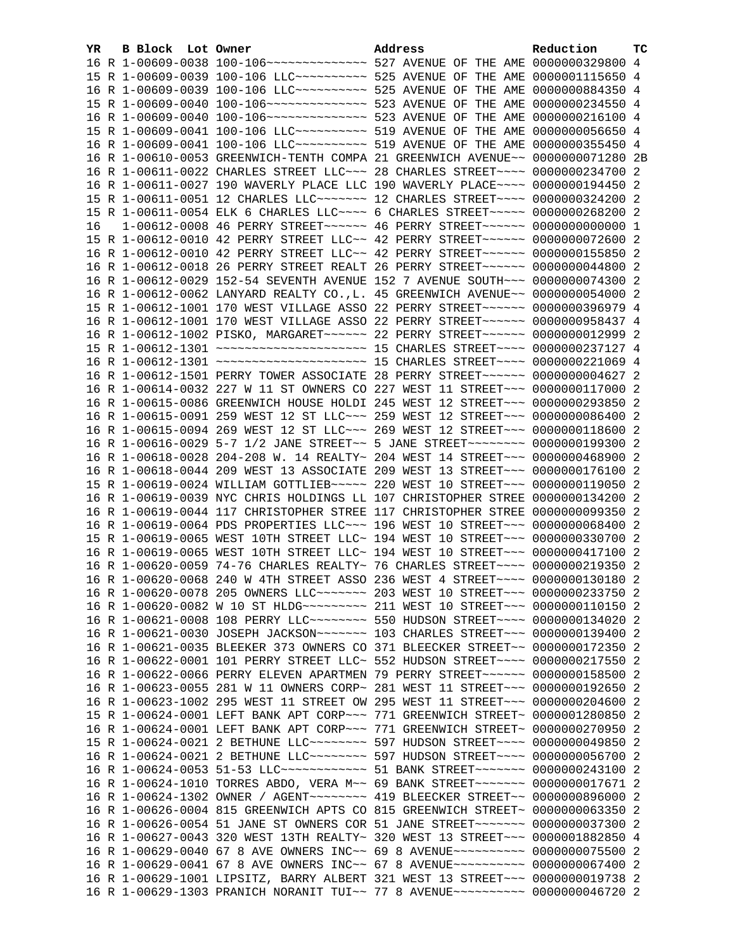| YR | <b>B Block</b> Lot Owner | Address                                                                                                                                                        | Reduction | тc |
|----|--------------------------|----------------------------------------------------------------------------------------------------------------------------------------------------------------|-----------|----|
|    |                          |                                                                                                                                                                |           |    |
|    |                          | 15 R 1-00609-0039 100-106 LLC ---------- 525 AVENUE OF THE AME 0000001115650 4                                                                                 |           |    |
|    |                          | 16 R 1-00609-0039 100-106 LLC ---------- 525 AVENUE OF THE AME 0000000884350 4                                                                                 |           |    |
|    |                          |                                                                                                                                                                |           |    |
|    |                          |                                                                                                                                                                |           |    |
|    |                          |                                                                                                                                                                |           |    |
|    |                          |                                                                                                                                                                |           |    |
|    |                          | 16 R 1-00610-0053 GREENWICH-TENTH COMPA 21 GREENWICH AVENUE~~ 0000000071280 2B                                                                                 |           |    |
|    |                          | 16 R 1-00611-0022 CHARLES STREET LLC~~~ 28 CHARLES STREET~~~~ 0000000234700 2                                                                                  |           |    |
|    |                          | 16 R 1-00611-0027 190 WAVERLY PLACE LLC 190 WAVERLY PLACE~~~~ 0000000194450 2                                                                                  |           |    |
|    |                          | 15 R 1-00611-0051 12 CHARLES LLC ------ 12 CHARLES STREET --- 0000000324200 2                                                                                  |           |    |
|    |                          | 15 R 1-00611-0054 ELK 6 CHARLES LLC ~~~~ 6 CHARLES STREET ~~~~~ 0000000268200 2                                                                                |           |    |
| 16 |                          | 1-00612-0008 46 PERRY STREET~~~~~~ 46 PERRY STREET~~~~~~ 0000000000000 1                                                                                       |           |    |
|    |                          | 15 R 1-00612-0010 42 PERRY STREET LLC~~ 42 PERRY STREET~~~~~~ 0000000072600 2                                                                                  |           |    |
|    |                          | 16 R 1-00612-0010 42 PERRY STREET LLC~~ 42 PERRY STREET~~~~~~ 0000000155850 2                                                                                  |           |    |
|    |                          | 16 R 1-00612-0018 26 PERRY STREET REALT 26 PERRY STREET~~~~~~ 0000000044800 2                                                                                  |           |    |
|    |                          | 16 R 1-00612-0029 152-54 SEVENTH AVENUE 152 7 AVENUE SOUTH~~~ 0000000074300 2                                                                                  |           |    |
|    |                          | 16 R 1-00612-0062 LANYARD REALTY CO., L. 45 GREENWICH AVENUE~~ 0000000054000 2                                                                                 |           |    |
|    |                          | 15 R 1-00612-1001 170 WEST VILLAGE ASSO 22 PERRY STREET~~~~~~ 0000000396979 4                                                                                  |           |    |
|    |                          | 16 R 1-00612-1001 170 WEST VILLAGE ASSO 22 PERRY STREET~~~~~~ 0000000958437 4                                                                                  |           |    |
|    |                          | 16 R 1-00612-1002 PISKO, MARGARET~~~~~~ 22 PERRY STREET~~~~~~ 0000000012999 2                                                                                  |           |    |
|    |                          |                                                                                                                                                                |           |    |
|    |                          | 16 R 1-00612-1301 ~~~~~~~~~~~~~~~~~~~~~~~~~ 15 CHARLES STREET~~~~ 0000000221069 4                                                                              |           |    |
|    |                          | 16 R 1-00612-1501 PERRY TOWER ASSOCIATE 28 PERRY STREET~~~~~~ 0000000004627 2                                                                                  |           |    |
|    |                          | 16 R 1-00614-0032 227 W 11 ST OWNERS CO 227 WEST 11 STREET~~~ 0000000117000 2                                                                                  |           |    |
|    |                          | 16 R 1-00615-0086 GREENWICH HOUSE HOLDI 245 WEST 12 STREET~~~ 0000000293850 2                                                                                  |           |    |
|    |                          | 16 R 1-00615-0091 259 WEST 12 ST LLC~~~ 259 WEST 12 STREET~~~ 0000000086400 2                                                                                  |           |    |
|    |                          | 16 R 1-00615-0094 269 WEST 12 ST LLC ~~~ 269 WEST 12 STREET ~~~ 0000000118600 2                                                                                |           |    |
|    |                          | 16 R 1-00616-0029 5-7 1/2 JANE STREET~~ 5 JANE STREET~~~~~~~~ 0000000199300 2                                                                                  |           |    |
|    |                          | 16 R 1-00618-0028 204-208 W. 14 REALTY~ 204 WEST 14 STREET~~~ 0000000468900 2                                                                                  |           |    |
|    |                          | 16 R 1-00618-0044 209 WEST 13 ASSOCIATE 209 WEST 13 STREET~~~ 0000000176100 2                                                                                  |           |    |
|    |                          | 15 R 1-00619-0024 WILLIAM GOTTLIEB ~~~~~ 220 WEST 10 STREET ~~~ 0000000119050 2                                                                                |           |    |
|    |                          | 16 R 1-00619-0039 NYC CHRIS HOLDINGS LL 107 CHRISTOPHER STREE 0000000134200 2                                                                                  |           |    |
|    |                          | 16 R 1-00619-0044 117 CHRISTOPHER STREE 117 CHRISTOPHER STREE 0000000099350 2                                                                                  |           |    |
|    |                          | 16 R 1-00619-0064 PDS PROPERTIES LLC~~~ 196 WEST 10 STREET~~~ 0000000068400 2                                                                                  |           |    |
|    |                          | 15 R 1-00619-0065 WEST 10TH STREET LLC~ 194 WEST 10 STREET~~~ 0000000330700 2<br>16 R 1-00619-0065 WEST 10TH STREET LLC~ 194 WEST 10 STREET~~~ 0000000417100 2 |           |    |
|    |                          | 16 R 1-00620-0059 74-76 CHARLES REALTY~ 76 CHARLES STREET~~~~ 0000000219350 2                                                                                  |           |    |
|    |                          | 16 R 1-00620-0068 240 W 4TH STREET ASSO 236 WEST 4 STREET~~~~ 0000000130180 2                                                                                  |           |    |
|    |                          | 16 R 1-00620-0078 205 OWNERS LLC ------ 203 WEST 10 STREET -- 0000000233750 2                                                                                  |           |    |
|    |                          |                                                                                                                                                                |           |    |
|    |                          | 16 R 1-00621-0008 108 PERRY LLC -------- 550 HUDSON STREET ---- 0000000134020 2                                                                                |           |    |
|    |                          | 16 R 1-00621-0030 JOSEPH JACKSON~~~~~~~~ 103 CHARLES STREET~~~ 0000000139400 2                                                                                 |           |    |
|    |                          | 16 R 1-00621-0035 BLEEKER 373 OWNERS CO 371 BLEECKER STREET~~ 0000000172350 2                                                                                  |           |    |
|    |                          | 16 R 1-00622-0001 101 PERRY STREET LLC~ 552 HUDSON STREET~~~~ 0000000217550 2                                                                                  |           |    |
|    |                          | 16 R 1-00622-0066 PERRY ELEVEN APARTMEN 79 PERRY STREET~~~~~~ 0000000158500                                                                                    |           | -2 |
|    |                          | 16 R 1-00623-0055 281 W 11 OWNERS CORP~ 281 WEST 11 STREET~~~ 0000000192650                                                                                    |           | -2 |
|    |                          | 16 R 1-00623-1002 295 WEST 11 STREET OW 295 WEST 11 STREET~~~ 0000000204600                                                                                    |           | -2 |
|    |                          | 15 R 1-00624-0001 LEFT BANK APT CORP~~~ 771 GREENWICH STREET~ 0000001280850 2                                                                                  |           |    |
|    |                          | 16 R 1-00624-0001 LEFT BANK APT CORP~~~ 771 GREENWICH STREET~ 0000000270950 2                                                                                  |           |    |
|    |                          | 15 R 1-00624-0021 2 BETHUNE LLC~~~~~~~~~ 597 HUDSON STREET~~~~ 0000000049850 2                                                                                 |           |    |
|    |                          | 16 R 1-00624-0021 2 BETHUNE LLC~~~~~~~~~ 597 HUDSON STREET~~~~ 0000000056700                                                                                   |           | -2 |
|    |                          | 16 R 1-00624-0053 51-53 LLC ------------ 51 BANK STREET ------- 0000000243100 2                                                                                |           |    |
|    |                          | 16 R 1-00624-1010 TORRES ABDO, VERA M~~ 69 BANK STREET~~~~~~~ 0000000017671 2                                                                                  |           |    |
|    |                          | 16 R 1-00624-1302 OWNER / AGENT~~~~~~~~~ 419 BLEECKER STREET~~ 0000000896000                                                                                   |           | 2  |
|    |                          | 16 R 1-00626-0004 815 GREENWICH APTS CO 815 GREENWICH STREET~ 0000000063350                                                                                    |           | -2 |
|    |                          | 16 R 1-00626-0054 51 JANE ST OWNERS COR 51 JANE STREET~~~~~~~ 0000000037300 2                                                                                  |           |    |
|    |                          | 16 R 1-00627-0043 320 WEST 13TH REALTY~ 320 WEST 13 STREET~~~ 0000001882850 4                                                                                  |           |    |
|    |                          | 16 R 1-00629-0040 67 8 AVE OWNERS INC~~ 69 8 AVENUE~~~~~~~~~~ 0000000075500 2                                                                                  |           |    |
|    |                          | 16 R 1-00629-0041 67 8 AVE OWNERS INC~~ 67 8 AVENUE~~~~~~~~~~ 0000000067400 2                                                                                  |           |    |
|    |                          | 16 R 1-00629-1001 LIPSITZ, BARRY ALBERT 321 WEST 13 STREET~~~ 0000000019738 2                                                                                  |           |    |
|    |                          | 16 R 1-00629-1303 PRANICH NORANIT TUI~~ 77 8 AVENUE~~~~~~~~~~ 0000000046720 2                                                                                  |           |    |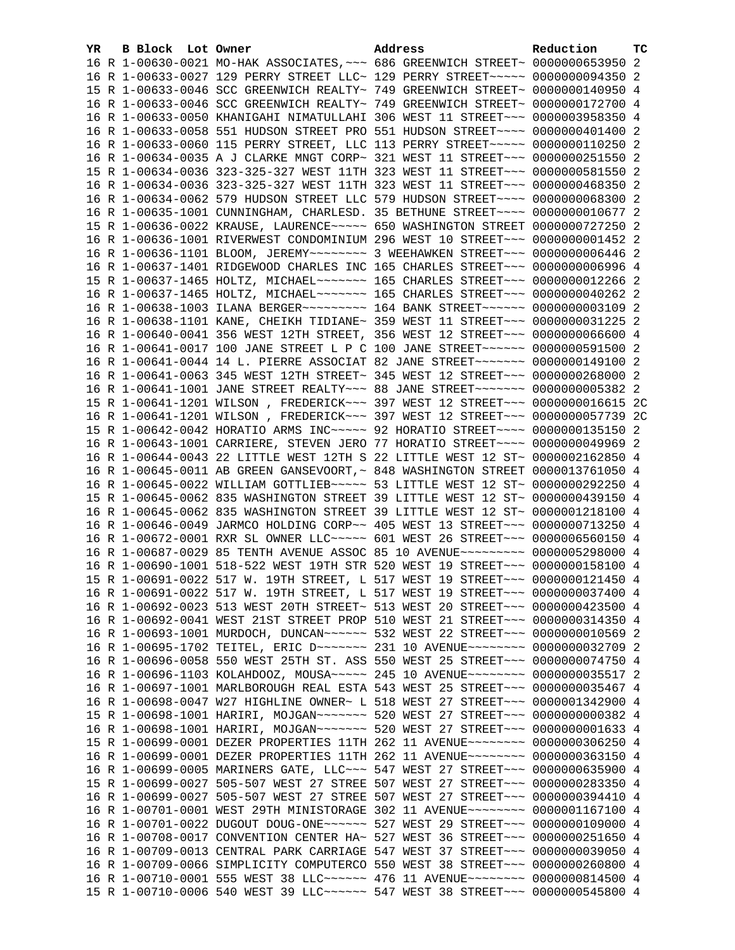| YR. | B Block Lot Owner | Address                                                                              | Reduction | тc |
|-----|-------------------|--------------------------------------------------------------------------------------|-----------|----|
|     |                   | 16 R 1-00630-0021 MO-HAK ASSOCIATES, ~~~ 686 GREENWICH STREET~ 0000000653950 2       |           |    |
|     |                   | 16 R 1-00633-0027 129 PERRY STREET LLC~ 129 PERRY STREET~~~~~ 0000000094350 2        |           |    |
|     |                   | 15 R 1-00633-0046 SCC GREENWICH REALTY~ 749 GREENWICH STREET~ 0000000140950 4        |           |    |
|     |                   | 16 R 1-00633-0046 SCC GREENWICH REALTY~ 749 GREENWICH STREET~ 0000000172700 4        |           |    |
|     |                   | 16 R 1-00633-0050 KHANIGAHI NIMATULLAHI 306 WEST 11 STREET~~~ 0000003958350 4        |           |    |
|     |                   | 16 R 1-00633-0058 551 HUDSON STREET PRO 551 HUDSON STREET~~~~ 0000000401400 2        |           |    |
|     |                   | 16 R 1-00633-0060 115 PERRY STREET, LLC 113 PERRY STREET~~~~~ 0000000110250 2        |           |    |
|     |                   | 16 R 1-00634-0035 A J CLARKE MNGT CORP~ 321 WEST 11 STREET~~~ 0000000251550 2        |           |    |
|     |                   | 15 R 1-00634-0036 323-325-327 WEST 11TH 323 WEST 11 STREET~~~ 0000000581550 2        |           |    |
|     |                   | 16 R 1-00634-0036 323-325-327 WEST 11TH 323 WEST 11 STREET~~~ 0000000468350 2        |           |    |
|     |                   | 16 R 1-00634-0062 579 HUDSON STREET LLC 579 HUDSON STREET~~~~ 0000000068300 2        |           |    |
|     |                   | 16 R 1-00635-1001 CUNNINGHAM, CHARLESD. 35 BETHUNE STREET~~~~ 0000000010677 2        |           |    |
|     |                   | 15 R 1-00636-0022 KRAUSE, LAURENCE~~~~~ 650 WASHINGTON STREET 0000000727250 2        |           |    |
|     |                   | 16 R 1-00636-1001 RIVERWEST CONDOMINIUM 296 WEST 10 STREET~~~ 0000000001452 2        |           |    |
|     |                   |                                                                                      |           |    |
|     |                   | 16 R 1-00637-1401 RIDGEWOOD CHARLES INC 165 CHARLES STREET~~~ 0000000006996 4        |           |    |
|     |                   | 15 R 1-00637-1465 HOLTZ, MICHAEL~~~~~~~ 165 CHARLES STREET~~~ 0000000012266 2        |           |    |
|     |                   | 16 R 1-00637-1465 HOLTZ, MICHAEL~~~~~~~ 165 CHARLES STREET~~~ 0000000040262 2        |           |    |
|     |                   | 16 R 1-00638-1003 ILANA BERGER~~~~~~~~~~~~~~ 164 BANK STREET~~~~~~~ 00000000003109 2 |           |    |
|     |                   | 16 R 1-00638-1101 KANE, CHEIKH TIDIANE~ 359 WEST 11 STREET~~~ 0000000031225 2        |           |    |
|     |                   | 16 R 1-00640-0041 356 WEST 12TH STREET, 356 WEST 12 STREET~~~ 0000000066600 4        |           |    |
|     |                   | 16 R 1-00641-0017 100 JANE STREET L P C 100 JANE STREET~~~~~~ 0000000591500 2        |           |    |
|     |                   | 16 R 1-00641-0044 14 L. PIERRE ASSOCIAT 82 JANE STREET~~~~~~~ 0000000149100 2        |           |    |
|     |                   | 16 R 1-00641-0063 345 WEST 12TH STREET~ 345 WEST 12 STREET~~~ 0000000268000 2        |           |    |
|     |                   | 16 R 1-00641-1001 JANE STREET REALTY~~~ 88 JANE STREET~~~~~~~ 0000000005382 2        |           |    |
|     |                   | 15 R 1-00641-1201 WILSON, FREDERICK~~~ 397 WEST 12 STREET~~~ 0000000016615 2C        |           |    |
|     |                   | 16 R 1-00641-1201 WILSON, FREDERICK~~~ 397 WEST 12 STREET~~~ 0000000057739 2C        |           |    |
|     |                   | 15 R 1-00642-0042 HORATIO ARMS INC~~~~~ 92 HORATIO STREET~~~~ 0000000135150 2        |           |    |
|     |                   | 16 R 1-00643-1001 CARRIERE, STEVEN JERO 77 HORATIO STREET~~~~ 0000000049969 2        |           |    |
|     |                   | 16 R 1-00644-0043 22 LITTLE WEST 12TH S 22 LITTLE WEST 12 ST~ 0000002162850 4        |           |    |
|     |                   | 16 R 1-00645-0011 AB GREEN GANSEVOORT, ~ 848 WASHINGTON STREET 0000013761050 4       |           |    |
|     |                   | 16 R 1-00645-0022 WILLIAM GOTTLIEB ---- 53 LITTLE WEST 12 ST ~ 0000000292250 4       |           |    |
|     |                   | 15 R 1-00645-0062 835 WASHINGTON STREET 39 LITTLE WEST 12 ST~ 0000000439150 4        |           |    |
|     |                   | 16 R 1-00645-0062 835 WASHINGTON STREET 39 LITTLE WEST 12 ST~ 0000001218100 4        |           |    |
|     |                   | 16 R 1-00646-0049 JARMCO HOLDING CORP~~ 405 WEST 13 STREET~~~ 0000000713250 4        |           |    |
|     |                   | 16 R 1-00672-0001 RXR SL OWNER LLC~~~~~ 601 WEST 26 STREET~~~ 0000006560150 4        |           |    |
|     |                   | 16 R 1-00687-0029 85 TENTH AVENUE ASSOC 85 10 AVENUE~~~~~~~~~ 0000005298000 4        |           |    |
|     |                   | 16 R 1-00690-1001 518-522 WEST 19TH STR 520 WEST 19 STREET~~~ 0000000158100 4        |           |    |
|     |                   | 15 R 1-00691-0022 517 W. 19TH STREET, L 517 WEST 19 STREET~~~ 0000000121450 4        |           |    |
|     |                   | 16 R 1-00691-0022 517 W. 19TH STREET, L 517 WEST 19 STREET~~~ 0000000037400 4        |           |    |
|     |                   | 16 R 1-00692-0023 513 WEST 20TH STREET~ 513 WEST 20 STREET~~~ 0000000423500 4        |           |    |
|     |                   | 16 R 1-00692-0041 WEST 21ST STREET PROP 510 WEST 21 STREET~~~ 0000000314350 4        |           |    |
|     |                   | 16 R 1-00693-1001 MURDOCH, DUNCAN~~~~~~ 532 WEST 22 STREET~~~ 0000000010569 2        |           |    |
|     |                   | 16 R 1-00695-1702 TEITEL, ERIC D ~~~~~~~ 231 10 AVENUE ~~~~~~~~ 0000000032709 2      |           |    |
|     |                   | 16 R 1-00696-0058 550 WEST 25TH ST. ASS 550 WEST 25 STREET~~~ 0000000074750 4        |           |    |
|     |                   | 16 R 1-00696-1103 KOLAHDOOZ, MOUSA~~~~~ 245 10 AVENUE~~~~~~~~ 0000000035517 2        |           |    |
|     |                   | 16 R 1-00697-1001 MARLBOROUGH REAL ESTA 543 WEST 25 STREET~~~ 0000000035467 4        |           |    |
|     |                   | 16 R 1-00698-0047 W27 HIGHLINE OWNER~ L 518 WEST 27 STREET~~~ 0000001342900 4        |           |    |
|     |                   | 15 R 1-00698-1001 HARIRI, MOJGAN~~~~~~~ 520 WEST 27 STREET~~~ 0000000000382 4        |           |    |
|     |                   | 16 R 1-00698-1001 HARIRI, MOJGAN~~~~~~~ 520 WEST 27 STREET~~~ 00000000001633 4       |           |    |
|     |                   | 15 R 1-00699-0001 DEZER PROPERTIES 11TH 262 11 AVENUE~~~~~~~~ 0000000306250 4        |           |    |
|     |                   |                                                                                      |           |    |
|     |                   | 16 R 1-00699-0001 DEZER PROPERTIES 11TH 262 11 AVENUE~~~~~~~~ 0000000363150 4        |           |    |
|     |                   | 16 R 1-00699-0005 MARINERS GATE, LLC ~~~ 547 WEST 27 STREET ~~~ 0000000635900 4      |           |    |
|     |                   | 15 R 1-00699-0027 505-507 WEST 27 STREE 507 WEST 27 STREET~~~ 0000000283350 4        |           |    |
|     |                   | 16 R 1-00699-0027 505-507 WEST 27 STREE 507 WEST 27 STREET~~~ 0000000394410 4        |           |    |
|     |                   | 16 R 1-00701-0001 WEST 29TH MINISTORAGE 302 11 AVENUE~~~~~~~~ 0000001167100 4        |           |    |
|     |                   | 16 R 1-00701-0022 DUGOUT DOUG-ONE~~~~~~ 527 WEST 29 STREET~~~ 0000000109000 4        |           |    |
|     |                   | 16 R 1-00708-0017 CONVENTION CENTER HA~ 527 WEST 36 STREET~~~ 0000000251650 4        |           |    |
|     |                   | 16 R 1-00709-0013 CENTRAL PARK CARRIAGE 547 WEST 37 STREET~~~ 0000000039050 4        |           |    |
|     |                   | 16 R 1-00709-0066 SIMPLICITY COMPUTERCO 550 WEST 38 STREET~~~ 0000000260800 4        |           |    |
|     |                   | 16 R 1-00710-0001 555 WEST 38 LLC ----- 476 11 AVENUE ------- 0000000814500 4        |           |    |
|     |                   | 15 R 1-00710-0006 540 WEST 39 LLC ----- 547 WEST 38 STREET -- 0000000545800 4        |           |    |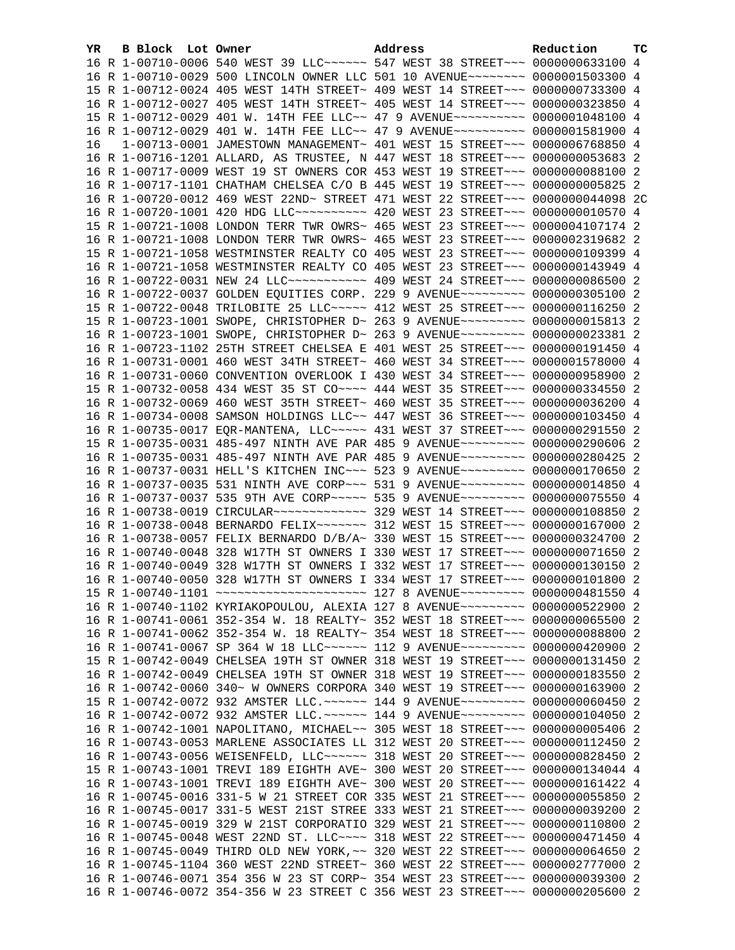| YR. | B Block Lot Owner |                                                                                 | Address | Reduction | тc |
|-----|-------------------|---------------------------------------------------------------------------------|---------|-----------|----|
|     |                   | 16 R 1-00710-0006 540 WEST 39 LLC ----- 547 WEST 38 STREET -- 0000000633100 4   |         |           |    |
|     |                   | 16 R 1-00710-0029 500 LINCOLN OWNER LLC 501 10 AVENUE~~~~~~~~ 0000001503300 4   |         |           |    |
|     |                   | 15 R 1-00712-0024 405 WEST 14TH STREET~ 409 WEST 14 STREET~~~ 0000000733300 4   |         |           |    |
|     |                   | 16 R 1-00712-0027 405 WEST 14TH STREET~ 405 WEST 14 STREET~~~ 0000000323850 4   |         |           |    |
|     |                   | 15 R 1-00712-0029 401 W. 14TH FEE LLC~~ 47 9 AVENUE~~~~~~~~~~ 0000001048100 4   |         |           |    |
|     |                   | 16 R 1-00712-0029 401 W. 14TH FEE LLC~~ 47 9 AVENUE~~~~~~~~~~ 0000001581900 4   |         |           |    |
| 16  |                   | 1-00713-0001 JAMESTOWN MANAGEMENT~ 401 WEST 15 STREET~~~ 0000006768850 4        |         |           |    |
|     |                   | 16 R 1-00716-1201 ALLARD, AS TRUSTEE, N 447 WEST 18 STREET~~~ 0000000053683 2   |         |           |    |
|     |                   | 16 R 1-00717-0009 WEST 19 ST OWNERS COR 453 WEST 19 STREET~~~ 0000000088100 2   |         |           |    |
|     |                   | 16 R 1-00717-1101 CHATHAM CHELSEA C/O B 445 WEST 19 STREET~~~ 0000000005825 2   |         |           |    |
|     |                   | 16 R 1-00720-0012 469 WEST 22ND~ STREET 471 WEST 22 STREET~~~ 0000000044098 2C  |         |           |    |
|     |                   | 16 R 1-00720-1001 420 HDG LLC ---------- 420 WEST 23 STREET -- 0000000010570 4  |         |           |    |
|     |                   | 15 R 1-00721-1008 LONDON TERR TWR OWRS~ 465 WEST 23 STREET~~~ 0000004107174 2   |         |           |    |
|     |                   | 16 R 1-00721-1008 LONDON TERR TWR OWRS~ 465 WEST 23 STREET~~~ 0000002319682 2   |         |           |    |
|     |                   | 15 R 1-00721-1058 WESTMINSTER REALTY CO 405 WEST 23 STREET~~~ 0000000109399 4   |         |           |    |
|     |                   | 16 R 1-00721-1058 WESTMINSTER REALTY CO 405 WEST 23 STREET~~~ 0000000143949 4   |         |           |    |
|     |                   | 16 R 1-00722-0031 NEW 24 LLC ---------- 409 WEST 24 STREET --- 0000000086500 2  |         |           |    |
|     |                   | 16 R 1-00722-0037 GOLDEN EQUITIES CORP. 229 9 AVENUE~~~~~~~~~ 0000000305100 2   |         |           |    |
|     |                   | 15 R 1-00722-0048 TRILOBITE 25 LLC~~~~~ 412 WEST 25 STREET~~~ 0000000116250 2   |         |           |    |
|     |                   | 15 R 1-00723-1001 SWOPE, CHRISTOPHER D~ 263 9 AVENUE~~~~~~~~~ 0000000015813 2   |         |           |    |
|     |                   | 16 R 1-00723-1001 SWOPE, CHRISTOPHER D~ 263 9 AVENUE~~~~~~~~~ 0000000023381 2   |         |           |    |
|     |                   | 16 R 1-00723-1102 25TH STREET CHELSEA E 401 WEST 25 STREET~~~ 0000000191450 4   |         |           |    |
|     |                   | 16 R 1-00731-0001 460 WEST 34TH STREET~ 460 WEST 34 STREET~~~ 0000001578000 4   |         |           |    |
|     |                   | 16 R 1-00731-0060 CONVENTION OVERLOOK I 430 WEST 34 STREET~~~ 0000000958900 2   |         |           |    |
|     |                   | 15 R 1-00732-0058 434 WEST 35 ST CO~~~~ 444 WEST 35 STREET~~~ 0000000334550 2   |         |           |    |
|     |                   | 16 R 1-00732-0069 460 WEST 35TH STREET~ 460 WEST 35 STREET~~~ 0000000036200 4   |         |           |    |
|     |                   | 16 R 1-00734-0008 SAMSON HOLDINGS LLC~~ 447 WEST 36 STREET~~~ 0000000103450 4   |         |           |    |
|     |                   | 16 R 1-00735-0017 EQR-MANTENA, LLC~~~~~ 431 WEST 37 STREET~~~ 0000000291550 2   |         |           |    |
|     |                   | 15 R 1-00735-0031 485-497 NINTH AVE PAR 485 9 AVENUE~~~~~~~~~ 0000000290606 2   |         |           |    |
|     |                   | 16 R 1-00735-0031 485-497 NINTH AVE PAR 485 9 AVENUE~~~~~~~~~ 0000000280425 2   |         |           |    |
|     |                   | 16 R 1-00737-0031 HELL'S KITCHEN INC~~~ 523 9 AVENUE~~~~~~~~~ 0000000170650 2   |         |           |    |
|     |                   | 16 R 1-00737-0035 531 NINTH AVE CORP~~~ 531 9 AVENUE~~~~~~~~~ 0000000014850 4   |         |           |    |
|     |                   | 16 R 1-00737-0037 535 9TH AVE CORP~~~~~ 535 9 AVENUE~~~~~~~~~ 0000000075550 4   |         |           |    |
|     |                   |                                                                                 |         |           |    |
|     |                   | 16 R 1-00738-0048 BERNARDO FELIX~~~~~~~ 312 WEST 15 STREET~~~ 0000000167000 2   |         |           |    |
|     |                   | 16 R 1-00738-0057 FELIX BERNARDO D/B/A~ 330 WEST 15 STREET~~~ 0000000324700 2   |         |           |    |
|     |                   | 16 R 1-00740-0048 328 W17TH ST OWNERS I 330 WEST 17 STREET~~~ 0000000071650 2   |         |           |    |
|     |                   | 16 R 1-00740-0049 328 W17TH ST OWNERS I 332 WEST 17 STREET~~~ 0000000130150 2   |         |           |    |
|     |                   | 16 R 1-00740-0050 328 W17TH ST OWNERS I 334 WEST 17 STREET~~~ 0000000101800 2   |         |           |    |
|     |                   | 15 R 1-00740-1101 ~~~~~~~~~~~~~~~~~~~~~~~ 127 8 AVENUE~~~~~~~~~ 0000000481550 4 |         |           |    |
|     |                   | 16 R 1-00740-1102 KYRIAKOPOULOU, ALEXIA 127 8 AVENUE~~~~~~~~~ 0000000522900 2   |         |           |    |
|     |                   | 16 R 1-00741-0061 352-354 W. 18 REALTY~ 352 WEST 18 STREET~~~ 0000000065500 2   |         |           |    |
|     |                   | 16 R 1-00741-0062 352-354 W. 18 REALTY~ 354 WEST 18 STREET~~~ 0000000088800 2   |         |           |    |
|     |                   | 16 R 1-00741-0067 SP 364 W 18 LLC ----- 112 9 AVENUE -------- 0000000420900 2   |         |           |    |
|     |                   | 15 R 1-00742-0049 CHELSEA 19TH ST OWNER 318 WEST 19 STREET~~~ 0000000131450 2   |         |           |    |
|     |                   | 16 R 1-00742-0049 CHELSEA 19TH ST OWNER 318 WEST 19 STREET~~~ 0000000183550     |         |           | -2 |
|     |                   | 16 R 1-00742-0060 340~ W OWNERS CORPORA 340 WEST 19 STREET~~~ 0000000163900 2   |         |           |    |
|     |                   | 15 R 1-00742-0072 932 AMSTER LLC. ~~~~~~ 144 9 AVENUE~~~~~~~~~ 0000000060450 2  |         |           |    |
|     |                   | 16 R 1-00742-0072 932 AMSTER LLC. ~~~~~~ 144 9 AVENUE~~~~~~~~~ 0000000104050 2  |         |           |    |
|     |                   | 16 R 1-00742-1001 NAPOLITANO, MICHAEL~~ 305 WEST 18 STREET~~~ 0000000005406 2   |         |           |    |
|     |                   | 16 R 1-00743-0053 MARLENE ASSOCIATES LL 312 WEST 20 STREET~~~ 0000000112450 2   |         |           |    |
|     |                   | 16 R 1-00743-0056 WEISENFELD, LLC~~~~~~ 318 WEST 20 STREET~~~ 0000000828450 2   |         |           |    |
|     |                   | 15 R 1-00743-1001 TREVI 189 EIGHTH AVE~ 300 WEST 20 STREET~~~ 0000000134044 4   |         |           |    |
|     |                   | 16 R 1-00743-1001 TREVI 189 EIGHTH AVE~ 300 WEST 20 STREET~~~ 0000000161422 4   |         |           |    |
|     |                   | 16 R 1-00745-0016 331-5 W 21 STREET COR 335 WEST 21 STREET~~~ 0000000055850 2   |         |           |    |
|     |                   | 16 R 1-00745-0017 331-5 WEST 21ST STREE 333 WEST 21 STREET~~~ 0000000039200 2   |         |           |    |
|     |                   | 16 R 1-00745-0019 329 W 21ST CORPORATIO 329 WEST 21 STREET~~~ 0000000110800 2   |         |           |    |
|     |                   | 16 R 1-00745-0048 WEST 22ND ST. LLC --- 318 WEST 22 STREET -- 0000000471450 4   |         |           |    |
|     |                   | 16 R 1-00745-0049 THIRD OLD NEW YORK, ~~ 320 WEST 22 STREET~~~ 0000000064650 2  |         |           |    |
|     |                   | 16 R 1-00745-1104 360 WEST 22ND STREET~ 360 WEST 22 STREET~~~ 0000002777000 2   |         |           |    |
|     |                   | 16 R 1-00746-0071 354 356 W 23 ST CORP~ 354 WEST 23 STREET~~~ 0000000039300 2   |         |           |    |
|     |                   | 16 R 1-00746-0072 354-356 W 23 STREET C 356 WEST 23 STREET~~~ 0000000205600 2   |         |           |    |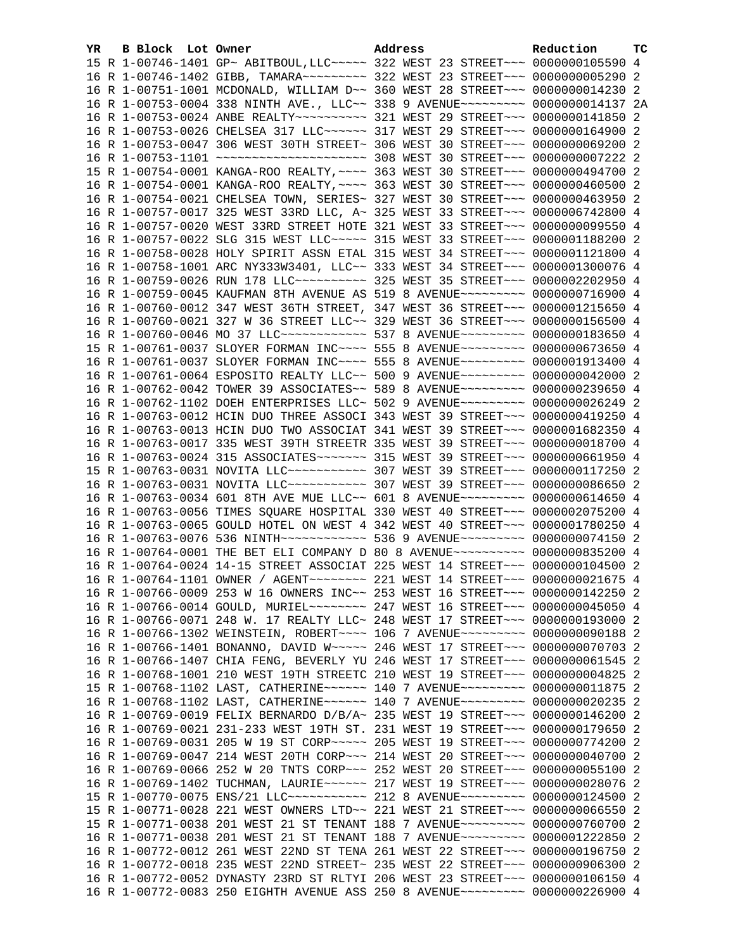| YR. | B Block Lot Owner |                                                                                                                                                                 | Address | Reduction | <b>TC</b> |
|-----|-------------------|-----------------------------------------------------------------------------------------------------------------------------------------------------------------|---------|-----------|-----------|
|     |                   | 15 R 1-00746-1401 GP~ ABITBOUL, LLC~~~~~ 322 WEST 23 STREET~~~ 0000000105590 4                                                                                  |         |           |           |
|     |                   | 16 R 1-00746-1402 GIBB, TAMARA~~~~~~~~~ 322 WEST 23 STREET~~~ 0000000005290 2                                                                                   |         |           |           |
|     |                   | 16 R 1-00751-1001 MCDONALD, WILLIAM D~~ 360 WEST 28 STREET~~~ 0000000014230 2                                                                                   |         |           |           |
|     |                   | 16 R 1-00753-0004 338 NINTH AVE., LLC~~ 338 9 AVENUE~~~~~~~~~ 0000000014137 2A                                                                                  |         |           |           |
|     |                   | 16 R 1-00753-0024 ANBE REALTY~~~~~~~~~~ 321 WEST 29 STREET~~~ 0000000141850 2                                                                                   |         |           |           |
|     |                   | 16 R 1-00753-0026 CHELSEA 317 LLC~~~~~~ 317 WEST 29 STREET~~~ 0000000164900 2                                                                                   |         |           |           |
|     |                   | 16 R 1-00753-0047 306 WEST 30TH STREET~ 306 WEST 30 STREET~~~ 0000000069200 2                                                                                   |         |           |           |
|     |                   |                                                                                                                                                                 |         |           |           |
|     |                   | 15 R 1-00754-0001 KANGA-ROO REALTY, ~~~~ 363 WEST 30 STREET~~~ 0000000494700 2                                                                                  |         |           |           |
|     |                   | 16 R 1-00754-0001 KANGA-ROO REALTY, ~~~~ 363 WEST 30 STREET~~~ 0000000460500 2                                                                                  |         |           |           |
|     |                   | 16 R 1-00754-0021 CHELSEA TOWN, SERIES~ 327 WEST 30 STREET~~~ 0000000463950 2                                                                                   |         |           |           |
|     |                   | 16 R 1-00757-0017 325 WEST 33RD LLC, A~ 325 WEST 33 STREET~~~ 0000006742800 4                                                                                   |         |           |           |
|     |                   | 16 R 1-00757-0020 WEST 33RD STREET HOTE 321 WEST 33 STREET~~~ 0000000099550 4                                                                                   |         |           |           |
|     |                   | 16 R 1-00757-0022 SLG 315 WEST LLC ----- 315 WEST 33 STREET --- 0000001188200 2                                                                                 |         |           |           |
|     |                   | 16 R 1-00758-0028 HOLY SPIRIT ASSN ETAL 315 WEST 34 STREET~~~ 0000001121800 4                                                                                   |         |           |           |
|     |                   | 16 R 1-00758-1001 ARC NY333W3401, LLC~~ 333 WEST 34 STREET~~~ 0000001300076 4                                                                                   |         |           |           |
|     |                   | 16 R 1-00759-0026 RUN 178 LLC ---------- 325 WEST 35 STREET --- 0000002202950 4                                                                                 |         |           |           |
|     |                   | 16 R 1-00759-0045 KAUFMAN 8TH AVENUE AS 519 8 AVENUE~~~~~~~~~ 0000000716900 4                                                                                   |         |           |           |
|     |                   | 16 R 1-00760-0012 347 WEST 36TH STREET, 347 WEST 36 STREET~~~ 0000001215650 4                                                                                   |         |           |           |
|     |                   | 16 R 1-00760-0021 327 W 36 STREET LLC~~ 329 WEST 36 STREET~~~ 0000000156500 4                                                                                   |         |           |           |
|     |                   | 16 R 1-00760-0046 MO 37 LLC ------------ 537 8 AVENUE--------- 0000000183650 4                                                                                  |         |           |           |
|     |                   | 15 R 1-00761-0037 SLOYER FORMAN INC~~~~ 555 8 AVENUE~~~~~~~~~ 0000000673650 4                                                                                   |         |           |           |
|     |                   | 16 R 1-00761-0037 SLOYER FORMAN INC~~~~ 555 8 AVENUE~~~~~~~~~ 0000001913400 4                                                                                   |         |           |           |
|     |                   | 16 R 1-00761-0064 ESPOSITO REALTY LLC~~ 500 9 AVENUE~~~~~~~~~ 0000000042000 2                                                                                   |         |           |           |
|     |                   | 16 R 1-00762-0042 TOWER 39 ASSOCIATES~~ 589 8 AVENUE~~~~~~~~~ 0000000239650 4                                                                                   |         |           |           |
|     |                   | 16 R 1-00762-1102 DOEH ENTERPRISES LLC~ 502 9 AVENUE~~~~~~~~~ 0000000026249 2                                                                                   |         |           |           |
|     |                   |                                                                                                                                                                 |         |           |           |
|     |                   | 16 R 1-00763-0012 HCIN DUO THREE ASSOCI 343 WEST 39 STREET~~~ 0000000419250 4                                                                                   |         |           |           |
|     |                   | 16 R 1-00763-0013 HCIN DUO TWO ASSOCIAT 341 WEST 39 STREET~~~ 0000001682350 4                                                                                   |         |           |           |
|     |                   | 16 R 1-00763-0017 335 WEST 39TH STREETR 335 WEST 39 STREET~~~ 0000000018700 4                                                                                   |         |           |           |
|     |                   | 16 R 1-00763-0024 315 ASSOCIATES~~~~~~~ 315 WEST 39 STREET~~~ 0000000661950 4<br>15 R 1-00763-0031 NOVITA LLC ---------- 307 WEST 39 STREET --- 0000000117250 2 |         |           |           |
|     |                   |                                                                                                                                                                 |         |           |           |
|     |                   | 16 R 1-00763-0031 NOVITA LLC ---------- 307 WEST 39 STREET --- 0000000086650 2                                                                                  |         |           |           |
|     |                   | 16 R 1-00763-0034 601 8TH AVE MUE LLC~~ 601 8 AVENUE~~~~~~~~~ 0000000614650 4                                                                                   |         |           |           |
|     |                   | 16 R 1-00763-0056 TIMES SQUARE HOSPITAL 330 WEST 40 STREET~~~ 0000002075200 4                                                                                   |         |           |           |
|     |                   | 16 R 1-00763-0065 GOULD HOTEL ON WEST 4 342 WEST 40 STREET~~~ 0000001780250 4                                                                                   |         |           |           |
|     |                   | 16 R 1-00763-0076 536 NINTH~~~~~~~~~~~~ 536 9 AVENUE~~~~~~~~~ 0000000074150 2                                                                                   |         |           |           |
|     |                   | 16 R 1-00764-0001 THE BET ELI COMPANY D 80 8 AVENUE~~~~~~~~~~ 0000000835200 4                                                                                   |         |           |           |
|     |                   | 16 R 1-00764-0024 14-15 STREET ASSOCIAT 225 WEST 14 STREET~~~ 0000000104500 2                                                                                   |         |           |           |
|     |                   | 16 R 1-00764-1101 OWNER / AGENT ~~~~~~~~ 221 WEST 14 STREET ~~~ 0000000021675 4                                                                                 |         |           |           |
|     |                   | 16 R 1-00766-0009 253 W 16 OWNERS INC~~ 253 WEST 16 STREET~~~ 0000000142250 2                                                                                   |         |           |           |
|     |                   | 16 R 1-00766-0014 GOULD, MURIEL~~~~~~~~ 247 WEST 16 STREET~~~ 0000000045050 4                                                                                   |         |           |           |
|     |                   | 16 R 1-00766-0071 248 W. 17 REALTY LLC~ 248 WEST 17 STREET~~~ 0000000193000 2                                                                                   |         |           |           |
|     |                   | 16 R 1-00766-1302 WEINSTEIN, ROBERT~~~~ 106 7 AVENUE~~~~~~~~~ 0000000090188 2                                                                                   |         |           |           |
|     |                   | 16 R 1-00766-1401 BONANNO, DAVID W~~~~~ 246 WEST 17 STREET~~~ 0000000070703 2                                                                                   |         |           |           |
|     |                   | 16 R 1-00766-1407 CHIA FENG, BEVERLY YU 246 WEST 17 STREET~~~ 0000000061545 2                                                                                   |         |           |           |
|     |                   | 16 R 1-00768-1001 210 WEST 19TH STREETC 210 WEST 19 STREET~~~ 0000000004825 2                                                                                   |         |           |           |
|     |                   | 15 R 1-00768-1102 LAST, CATHERINE~~~~~~ 140 7 AVENUE~~~~~~~~~ 0000000011875                                                                                     |         |           | -2        |
|     |                   | 16 R 1-00768-1102 LAST, CATHERINE~~~~~~ 140 7 AVENUE~~~~~~~~~ 0000000020235 2                                                                                   |         |           |           |
|     |                   | 16 R 1-00769-0019 FELIX BERNARDO D/B/A~ 235 WEST 19 STREET~~~ 0000000146200 2                                                                                   |         |           |           |
|     |                   | 16 R 1-00769-0021 231-233 WEST 19TH ST. 231 WEST 19 STREET~~~ 0000000179650 2                                                                                   |         |           |           |
|     |                   | 16 R 1-00769-0031 205 W 19 ST CORP~~~~~ 205 WEST 19 STREET~~~ 0000000774200 2                                                                                   |         |           |           |
|     |                   | 16 R 1-00769-0047 214 WEST 20TH CORP~~~ 214 WEST 20 STREET~~~ 0000000040700 2                                                                                   |         |           |           |
|     |                   | 16 R 1-00769-0066 252 W 20 TNTS CORP~~~ 252 WEST 20 STREET~~~ 0000000055100                                                                                     |         |           | -2        |
|     |                   | 16 R 1-00769-1402 TUCHMAN, LAURIE~~~~~~ 217 WEST 19 STREET~~~ 0000000028076 2                                                                                   |         |           |           |
|     |                   | 15 R 1-00770-0075 ENS/21 LLC ----------- 212 8 AVENUE --------- 0000000124500 2                                                                                 |         |           |           |
|     |                   | 15 R 1-00771-0028 221 WEST OWNERS LTD~~ 221 WEST 21 STREET~~~ 0000000066550                                                                                     |         |           | -2        |
|     |                   | 15 R 1-00771-0038 201 WEST 21 ST TENANT 188 7 AVENUE~~~~~~~~~ 0000000760700 2                                                                                   |         |           |           |
|     |                   | 16 R 1-00771-0038 201 WEST 21 ST TENANT 188 7 AVENUE~~~~~~~~~ 0000001222850 2                                                                                   |         |           |           |
|     |                   | 16 R 1-00772-0012 261 WEST 22ND ST TENA 261 WEST 22 STREET~~~ 0000000196750 2                                                                                   |         |           |           |
|     |                   | 16 R 1-00772-0018 235 WEST 22ND STREET~ 235 WEST 22 STREET~~~ 0000000906300 2                                                                                   |         |           |           |
|     |                   | 16 R 1-00772-0052 DYNASTY 23RD ST RLTYI 206 WEST 23 STREET~~~ 0000000106150 4                                                                                   |         |           |           |
|     |                   | 16 R 1-00772-0083 250 EIGHTH AVENUE ASS 250 8 AVENUE~~~~~~~~~ 0000000226900 4                                                                                   |         |           |           |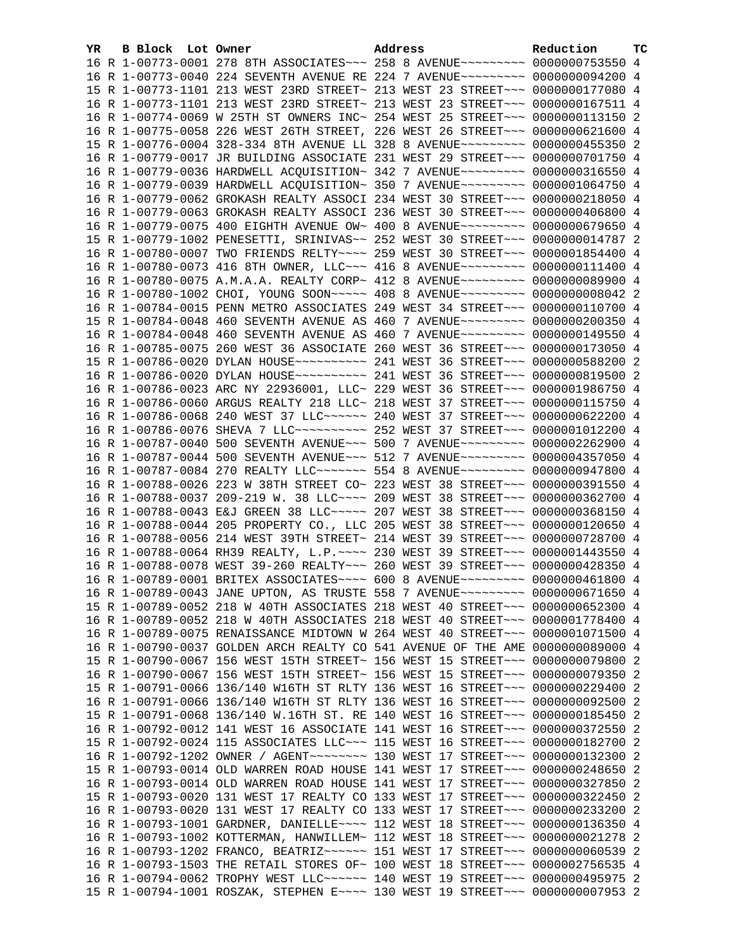| YR. | B Block Lot Owner |                                                                                 | Address | Reduction | тc |
|-----|-------------------|---------------------------------------------------------------------------------|---------|-----------|----|
|     |                   | 16 R 1-00773-0001 278 8TH ASSOCIATES~~~ 258 8 AVENUE~~~~~~~~~ 0000000753550 4   |         |           |    |
|     |                   | 16 R 1-00773-0040 224 SEVENTH AVENUE RE 224 7 AVENUE~~~~~~~~~ 0000000094200 4   |         |           |    |
|     |                   | 15 R 1-00773-1101 213 WEST 23RD STREET~ 213 WEST 23 STREET~~~ 0000000177080 4   |         |           |    |
|     |                   | 16 R 1-00773-1101 213 WEST 23RD STREET~ 213 WEST 23 STREET~~~ 0000000167511 4   |         |           |    |
|     |                   | 16 R 1-00774-0069 W 25TH ST OWNERS INC~ 254 WEST 25 STREET~~~ 0000000113150 2   |         |           |    |
|     |                   | 16 R 1-00775-0058 226 WEST 26TH STREET, 226 WEST 26 STREET~~~ 0000000621600 4   |         |           |    |
|     |                   | 15 R 1-00776-0004 328-334 8TH AVENUE LL 328 8 AVENUE~~~~~~~~~ 0000000455350 2   |         |           |    |
|     |                   | 16 R 1-00779-0017 JR BUILDING ASSOCIATE 231 WEST 29 STREET~~~ 0000000701750 4   |         |           |    |
|     |                   | 16 R 1-00779-0036 HARDWELL ACQUISITION~ 342 7 AVENUE~~~~~~~~~ 0000000316550 4   |         |           |    |
|     |                   | 16 R 1-00779-0039 HARDWELL ACQUISITION~ 350 7 AVENUE~~~~~~~~~ 0000001064750 4   |         |           |    |
|     |                   | 16 R 1-00779-0062 GROKASH REALTY ASSOCI 234 WEST 30 STREET~~~ 0000000218050 4   |         |           |    |
|     |                   | 16 R 1-00779-0063 GROKASH REALTY ASSOCI 236 WEST 30 STREET~~~ 0000000406800 4   |         |           |    |
|     |                   | 16 R 1-00779-0075 400 EIGHTH AVENUE OW~ 400 8 AVENUE~~~~~~~~~ 0000000679650 4   |         |           |    |
|     |                   | 15 R 1-00779-1002 PENESETTI, SRINIVAS~~ 252 WEST 30 STREET~~~ 0000000014787 2   |         |           |    |
|     |                   | 16 R 1-00780-0007 TWO FRIENDS RELTY~~~~ 259 WEST 30 STREET~~~ 0000001854400 4   |         |           |    |
|     |                   | 16 R 1-00780-0073 416 8TH OWNER, LLC ~~~ 416 8 AVENUE ~~~~~~~~~ 0000000111400 4 |         |           |    |
|     |                   | 16 R 1-00780-0075 A.M.A.A. REALTY CORP~ 412 8 AVENUE~~~~~~~~~ 0000000089900 4   |         |           |    |
|     |                   | 16 R 1-00780-1002 CHOI, YOUNG SOON~~~~~ 408 8 AVENUE~~~~~~~~~ 00000000008042 2  |         |           |    |
|     |                   | 16 R 1-00784-0015 PENN METRO ASSOCIATES 249 WEST 34 STREET~~~ 0000000110700 4   |         |           |    |
|     |                   | 15 R 1-00784-0048 460 SEVENTH AVENUE AS 460 7 AVENUE~~~~~~~~~ 0000000200350 4   |         |           |    |
|     |                   | 16 R 1-00784-0048 460 SEVENTH AVENUE AS 460 7 AVENUE~~~~~~~~~ 0000000149550 4   |         |           |    |
|     |                   | 16 R 1-00785-0075 260 WEST 36 ASSOCIATE 260 WEST 36 STREET~~~ 0000000173050 4   |         |           |    |
|     |                   | 15 R 1-00786-0020 DYLAN HOUSE~~~~~~~~~~~ 241 WEST 36 STREET~~~ 0000000588200 2  |         |           |    |
|     |                   | 16 R 1-00786-0020 DYLAN HOUSE~~~~~~~~~~~ 241 WEST 36 STREET~~~ 0000000819500 2  |         |           |    |
|     |                   | 16 R 1-00786-0023 ARC NY 22936001, LLC~ 229 WEST 36 STREET~~~ 0000001986750 4   |         |           |    |
|     |                   | 16 R 1-00786-0060 ARGUS REALTY 218 LLC~ 218 WEST 37 STREET~~~ 0000000115750 4   |         |           |    |
|     |                   | 16 R 1-00786-0068 240 WEST 37 LLC ----- 240 WEST 37 STREET -- 0000000622200 4   |         |           |    |
|     |                   | 16 R 1-00786-0076 SHEVA 7 LLC ---------- 252 WEST 37 STREET --- 0000001012200 4 |         |           |    |
|     |                   | 16 R 1-00787-0040 500 SEVENTH AVENUE~~~ 500 7 AVENUE~~~~~~~~~ 0000002262900 4   |         |           |    |
|     |                   | 16 R 1-00787-0044 500 SEVENTH AVENUE~~~ 512 7 AVENUE~~~~~~~~~ 0000004357050 4   |         |           |    |
|     |                   | 16 R 1-00787-0084 270 REALTY LLC ------ 554 8 AVENUE --------- 0000000947800 4  |         |           |    |
|     |                   | 16 R 1-00788-0026 223 W 38TH STREET CO~ 223 WEST 38 STREET~~~ 0000000391550 4   |         |           |    |
|     |                   | 16 R 1-00788-0037 209-219 W. 38 LLC --- 209 WEST 38 STREET -- 0000000362700 4   |         |           |    |
|     |                   | 16 R 1-00788-0043 E&J GREEN 38 LLC ~~~~~ 207 WEST 38 STREET ~~~ 0000000368150 4 |         |           |    |
|     |                   | 16 R 1-00788-0044 205 PROPERTY CO., LLC 205 WEST 38 STREET~~~ 0000000120650 4   |         |           |    |
|     |                   | 16 R 1-00788-0056 214 WEST 39TH STREET~ 214 WEST 39 STREET~~~ 0000000728700 4   |         |           |    |
|     |                   | 16 R 1-00788-0064 RH39 REALTY, L.P. ~~~~ 230 WEST 39 STREET~~~ 0000001443550 4  |         |           |    |
|     |                   | 16 R 1-00788-0078 WEST 39-260 REALTY~~~ 260 WEST 39 STREET~~~ 0000000428350 4   |         |           |    |
|     |                   | 16 R 1-00789-0001 BRITEX ASSOCIATES~~~~ 600 8 AVENUE~~~~~~~~~ 0000000461800 4   |         |           |    |
|     |                   | 16 R 1-00789-0043 JANE UPTON, AS TRUSTE 558 7 AVENUE~~~~~~~~~ 0000000671650 4   |         |           |    |
|     |                   | 15 R 1-00789-0052 218 W 40TH ASSOCIATES 218 WEST 40 STREET~~~ 0000000652300 4   |         |           |    |
|     |                   | 16 R 1-00789-0052 218 W 40TH ASSOCIATES 218 WEST 40 STREET~~~ 0000001778400 4   |         |           |    |
|     |                   | 16 R 1-00789-0075 RENAISSANCE MIDTOWN W 264 WEST 40 STREET~~~ 0000001071500 4   |         |           |    |
|     |                   | 16 R 1-00790-0037 GOLDEN ARCH REALTY CO 541 AVENUE OF THE AME 0000000089000 4   |         |           |    |
|     |                   | 15 R 1-00790-0067 156 WEST 15TH STREET~ 156 WEST 15 STREET~~~ 0000000079800 2   |         |           |    |
|     |                   | 16 R 1-00790-0067 156 WEST 15TH STREET~ 156 WEST 15 STREET~~~ 0000000079350 2   |         |           |    |
|     |                   | 15 R 1-00791-0066 136/140 W16TH ST RLTY 136 WEST 16 STREET~~~ 0000000229400     |         |           | -2 |
|     |                   | 16 R 1-00791-0066 136/140 W16TH ST RLTY 136 WEST 16 STREET~~~ 0000000092500 2   |         |           |    |
|     |                   | 15 R 1-00791-0068 136/140 W.16TH ST. RE 140 WEST 16 STREET~~~ 0000000185450 2   |         |           |    |
|     |                   | 16 R 1-00792-0012 141 WEST 16 ASSOCIATE 141 WEST 16 STREET~~~ 0000000372550 2   |         |           |    |
|     |                   | 15 R 1-00792-0024 115 ASSOCIATES LLC~~~ 115 WEST 16 STREET~~~ 0000000182700 2   |         |           |    |
|     |                   | 16 R 1-00792-1202 OWNER / AGENT~~~~~~~~ 130 WEST 17 STREET~~~ 0000000132300 2   |         |           |    |
|     |                   | 15 R 1-00793-0014 OLD WARREN ROAD HOUSE 141 WEST 17 STREET~~~ 0000000248650 2   |         |           |    |
|     |                   | 16 R 1-00793-0014 OLD WARREN ROAD HOUSE 141 WEST 17 STREET~~~ 0000000327850 2   |         |           |    |
|     |                   | 15 R 1-00793-0020 131 WEST 17 REALTY CO 133 WEST 17 STREET~~~ 0000000322450     |         |           | -2 |
|     |                   | 16 R 1-00793-0020 131 WEST 17 REALTY CO 133 WEST 17 STREET~~~ 0000000233200     |         |           | -2 |
|     |                   | 16 R 1-00793-1001 GARDNER, DANIELLE~~~~ 112 WEST 18 STREET~~~ 0000000136350 4   |         |           |    |
|     |                   | 16 R 1-00793-1002 KOTTERMAN, HANWILLEM~ 112 WEST 18 STREET~~~ 0000000021278 2   |         |           |    |
|     |                   | 16 R 1-00793-1202 FRANCO, BEATRIZ~~~~~~ 151 WEST 17 STREET~~~ 0000000060539 2   |         |           |    |
|     |                   | 16 R 1-00793-1503 THE RETAIL STORES OF~ 100 WEST 18 STREET~~~ 0000002756535 4   |         |           |    |
|     |                   | 16 R 1-00794-0062 TROPHY WEST LLC ~~~~~~ 140 WEST 19 STREET ~~~ 0000000495975 2 |         |           |    |
|     |                   | 15 R 1-00794-1001 ROSZAK, STEPHEN E~~~~ 130 WEST 19 STREET~~~ 0000000007953 2   |         |           |    |
|     |                   |                                                                                 |         |           |    |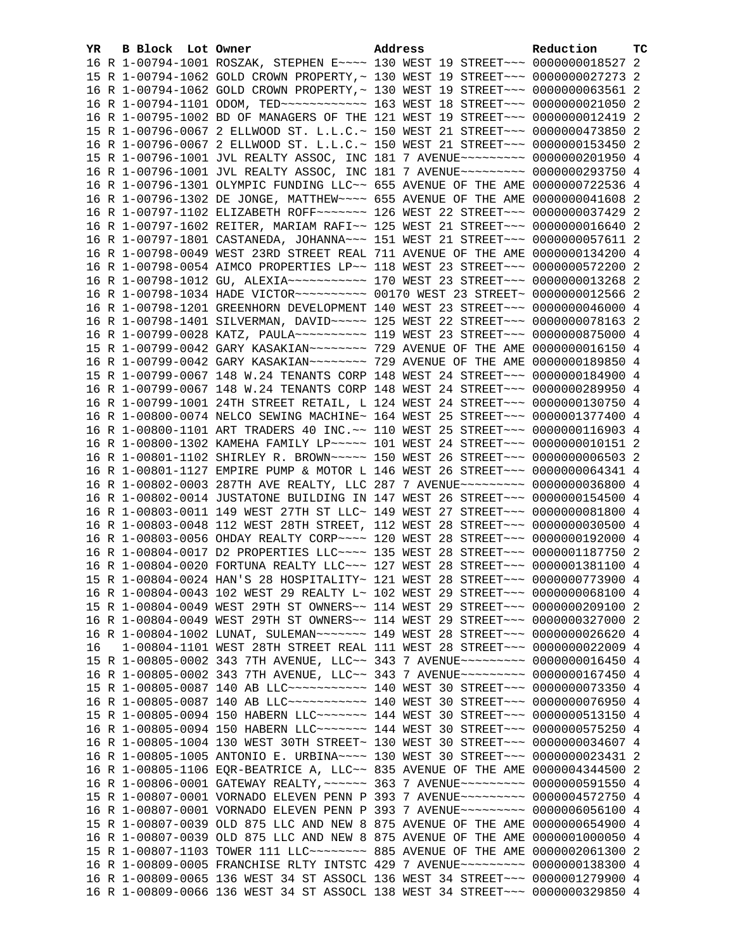| YR. | B Block Lot Owner | Address                                                                            | Reduction | ТC |
|-----|-------------------|------------------------------------------------------------------------------------|-----------|----|
|     |                   | 16 R 1-00794-1001 ROSZAK, STEPHEN E~~~~ 130 WEST 19 STREET~~~ 0000000018527 2      |           |    |
|     |                   | 15 R 1-00794-1062 GOLD CROWN PROPERTY, ~ 130 WEST 19 STREET~~~ 0000000027273 2     |           |    |
|     |                   | 16 R 1-00794-1062 GOLD CROWN PROPERTY, ~ 130 WEST 19 STREET~~~ 0000000063561 2     |           |    |
|     |                   | 16 R 1-00794-1101 ODOM, TED ------------ 163 WEST 18 STREET --- 0000000021050 2    |           |    |
|     |                   | 16 R 1-00795-1002 BD OF MANAGERS OF THE 121 WEST 19 STREET~~~ 0000000012419 2      |           |    |
|     |                   | 15 R 1-00796-0067 2 ELLWOOD ST. L.L.C.~ 150 WEST 21 STREET~~~ 0000000473850 2      |           |    |
|     |                   | 16 R 1-00796-0067 2 ELLWOOD ST. L.L.C.~ 150 WEST 21 STREET~~~ 0000000153450 2      |           |    |
|     |                   | 15 R 1-00796-1001 JVL REALTY ASSOC, INC 181 7 AVENUE~~~~~~~~~ 0000000201950 4      |           |    |
|     |                   | 16 R 1-00796-1001 JVL REALTY ASSOC, INC 181 7 AVENUE~~~~~~~~~ 0000000293750 4      |           |    |
|     |                   | 16 R 1-00796-1301 OLYMPIC FUNDING LLC~~ 655 AVENUE OF THE AME 0000000722536 4      |           |    |
|     |                   | 16 R 1-00796-1302 DE JONGE, MATTHEW~~~~ 655 AVENUE OF THE AME 0000000041608 2      |           |    |
|     |                   | 16 R 1-00797-1102 ELIZABETH ROFF~~~~~~~ 126 WEST 22 STREET~~~ 0000000037429 2      |           |    |
|     |                   | 16 R 1-00797-1602 REITER, MARIAM RAFI~~ 125 WEST 21 STREET~~~ 0000000016640 2      |           |    |
|     |                   | 16 R 1-00797-1801 CASTANEDA, JOHANNA~~~ 151 WEST 21 STREET~~~ 0000000057611 2      |           |    |
|     |                   | 16 R 1-00798-0049 WEST 23RD STREET REAL 711 AVENUE OF THE AME 0000000134200 4      |           |    |
|     |                   | 16 R 1-00798-0054 AIMCO PROPERTIES LP~~ 118 WEST 23 STREET~~~ 0000000572200 2      |           |    |
|     |                   | 16 R 1-00798-1012 GU, ALEXIA~~~~~~~~~~~~~~~ 170 WEST 23 STREET~~~ 00000000013268 2 |           |    |
|     |                   | 16 R 1-00798-1034 HADE VICTOR~~~~~~~~~~ 00170 WEST 23 STREET~ 0000000012566 2      |           |    |
|     |                   | 16 R 1-00798-1201 GREENHORN DEVELOPMENT 140 WEST 23 STREET~~~ 0000000046000 4      |           |    |
|     |                   | 16 R 1-00798-1401 SILVERMAN, DAVID ~~~~~ 125 WEST 22 STREET ~~~ 0000000078163 2    |           |    |
|     |                   | 16 R 1-00799-0028 KATZ, PAULA~~~~~~~~~~~~~~ 119 WEST 23 STREET~~~~ 0000000875000 4 |           |    |
|     |                   | 15 R 1-00799-0042 GARY KASAKIAN~~~~~~~~ 729 AVENUE OF THE AME 0000000016150 4      |           |    |
|     |                   |                                                                                    |           |    |
|     |                   | 15 R 1-00799-0067 148 W.24 TENANTS CORP 148 WEST 24 STREET~~~ 0000000184900 4      |           |    |
|     |                   | 16 R 1-00799-0067 148 W.24 TENANTS CORP 148 WEST 24 STREET~~~ 0000000289950 4      |           |    |
|     |                   | 16 R 1-00799-1001 24TH STREET RETAIL, L 124 WEST 24 STREET~~~ 0000000130750 4      |           |    |
|     |                   | 16 R 1-00800-0074 NELCO SEWING MACHINE~ 164 WEST 25 STREET~~~ 0000001377400 4      |           |    |
|     |                   | 16 R 1-00800-1101 ART TRADERS 40 INC. ~~ 110 WEST 25 STREET~~~ 0000000116903 4     |           |    |
|     |                   | 16 R 1-00800-1302 KAMEHA FAMILY LP~~~~~ 101 WEST 24 STREET~~~ 0000000010151 2      |           |    |
|     |                   | 16 R 1-00801-1102 SHIRLEY R. BROWN~~~~~ 150 WEST 26 STREET~~~ 00000000006503 2     |           |    |
|     |                   | 16 R 1-00801-1127 EMPIRE PUMP & MOTOR L 146 WEST 26 STREET~~~ 0000000064341 4      |           |    |
|     |                   | 16 R 1-00802-0003 287TH AVE REALTY, LLC 287 7 AVENUE~~~~~~~~~ 0000000036800 4      |           |    |
|     |                   | 16 R 1-00802-0014 JUSTATONE BUILDING IN 147 WEST 26 STREET~~~ 0000000154500 4      |           |    |
|     |                   | 16 R 1-00803-0011 149 WEST 27TH ST LLC~ 149 WEST 27 STREET~~~ 0000000081800 4      |           |    |
|     |                   | 16 R 1-00803-0048 112 WEST 28TH STREET, 112 WEST 28 STREET~~~ 0000000030500 4      |           |    |
|     |                   | 16 R 1-00803-0056 OHDAY REALTY CORP~~~~ 120 WEST 28 STREET~~~ 0000000192000 4      |           |    |
|     |                   | 16 R 1-00804-0017 D2 PROPERTIES LLC --- 135 WEST 28 STREET -- 0000001187750 2      |           |    |
|     |                   | 16 R 1-00804-0020 FORTUNA REALTY LLC~~~ 127 WEST 28 STREET~~~ 0000001381100 4      |           |    |
|     |                   | 15 R 1-00804-0024 HAN'S 28 HOSPITALITY~ 121 WEST 28 STREET~~~ 0000000773900 4      |           |    |
|     |                   | 16 R 1-00804-0043 102 WEST 29 REALTY L~ 102 WEST 29 STREET~~~ 0000000068100 4      |           |    |
|     |                   | 15 R 1-00804-0049 WEST 29TH ST OWNERS~~ 114 WEST 29 STREET~~~ 0000000209100 2      |           |    |
|     |                   | 16 R 1-00804-0049 WEST 29TH ST OWNERS~~ 114 WEST 29 STREET~~~ 0000000327000 2      |           |    |
|     |                   | 16 R 1-00804-1002 LUNAT, SULEMAN~~~~~~~ 149 WEST 28 STREET~~~ 0000000026620 4      |           |    |
| 16  |                   | 1-00804-1101 WEST 28TH STREET REAL 111 WEST 28 STREET~~~ 0000000022009 4           |           |    |
|     |                   | 15 R 1-00805-0002 343 7TH AVENUE, LLC~~ 343 7 AVENUE~~~~~~~~~ 0000000016450 4      |           |    |
|     |                   | 16 R 1-00805-0002 343 7TH AVENUE, LLC~~ 343 7 AVENUE~~~~~~~~~ 0000000167450 4      |           |    |
|     |                   | 15 R 1-00805-0087 140 AB LLC ----------- 140 WEST 30 STREET --- 0000000073350 4    |           |    |
|     |                   | 16 R 1-00805-0087 140 AB LLC ----------- 140 WEST 30 STREET --- 0000000076950 4    |           |    |
|     |                   | 15 R 1-00805-0094 150 HABERN LLC ------ 144 WEST 30 STREET -- 0000000513150 4      |           |    |
|     |                   | 16 R 1-00805-0094 150 HABERN LLC ------ 144 WEST 30 STREET --- 0000000575250 4     |           |    |
|     |                   | 16 R 1-00805-1004 130 WEST 30TH STREET~ 130 WEST 30 STREET~~~ 0000000034607 4      |           |    |
|     |                   | 16 R 1-00805-1005 ANTONIO E. URBINA~~~~ 130 WEST 30 STREET~~~ 0000000023431 2      |           |    |
|     |                   | 16 R 1-00805-1106 EQR-BEATRICE A, LLC~~ 835 AVENUE OF THE AME 0000004344500 2      |           |    |
|     |                   | 16 R 1-00806-0001 GATEWAY REALTY, ~~~~~~ 363 7 AVENUE~~~~~~~~~ 0000000591550 4     |           |    |
|     |                   | 15 R 1-00807-0001 VORNADO ELEVEN PENN P 393 7 AVENUE~~~~~~~~~ 0000004572750 4      |           |    |
|     |                   | 16 R 1-00807-0001 VORNADO ELEVEN PENN P 393 7 AVENUE~~~~~~~~~ 0000006056100 4      |           |    |
|     |                   | 15 R 1-00807-0039 OLD 875 LLC AND NEW 8 875 AVENUE OF THE AME 0000000654900 4      |           |    |
|     |                   | 16 R 1-00807-0039 OLD 875 LLC AND NEW 8 875 AVENUE OF THE AME 0000001000050 4      |           |    |
|     |                   |                                                                                    |           |    |
|     |                   | 16 R 1-00809-0005 FRANCHISE RLTY INTSTC 429 7 AVENUE~~~~~~~~~ 0000000138300 4      |           |    |
|     |                   | 16 R 1-00809-0065 136 WEST 34 ST ASSOCL 136 WEST 34 STREET~~~ 0000001279900 4      |           |    |
|     |                   | 16 R 1-00809-0066 136 WEST 34 ST ASSOCL 138 WEST 34 STREET~~~ 0000000329850 4      |           |    |
|     |                   |                                                                                    |           |    |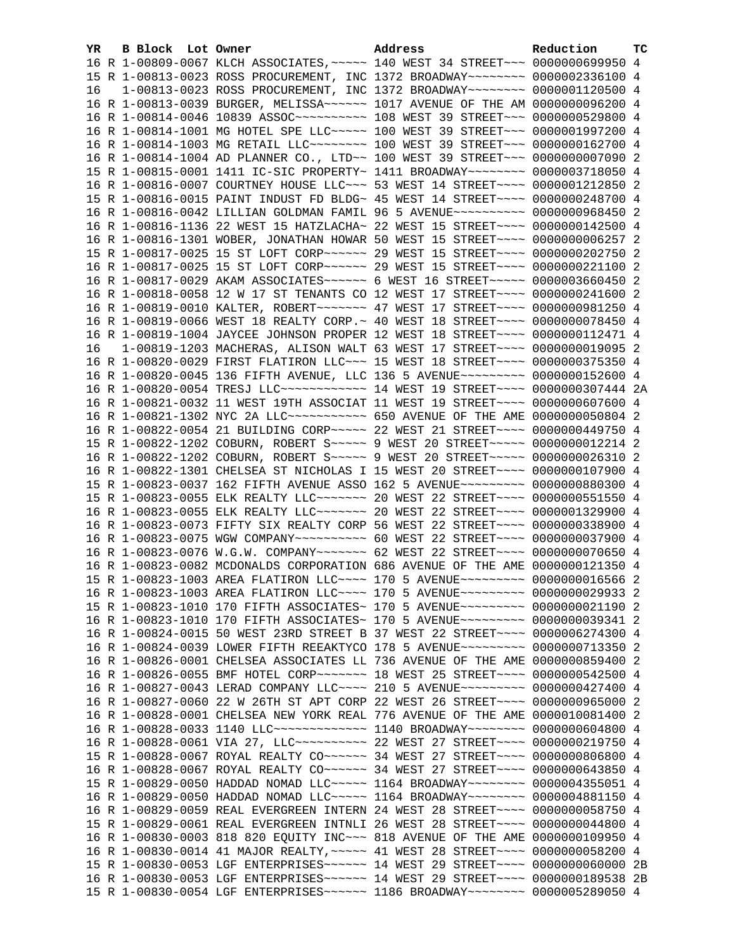| YR. | B Block Lot Owner | Address                                                                             | Reduction | тc |
|-----|-------------------|-------------------------------------------------------------------------------------|-----------|----|
|     |                   | 16 R 1-00809-0067 KLCH ASSOCIATES, ~~~~~ 140 WEST 34 STREET~~~ 0000000699950 4      |           |    |
|     |                   | 15 R 1-00813-0023 ROSS PROCUREMENT, INC 1372 BROADWAY~~~~~~~~ 0000002336100 4       |           |    |
| 16  |                   | 1-00813-0023 ROSS PROCUREMENT, INC 1372 BROADWAY~~~~~~~~ 0000001120500 4            |           |    |
|     |                   | 16 R 1-00813-0039 BURGER, MELISSA~~~~~~ 1017 AVENUE OF THE AM 0000000096200 4       |           |    |
|     |                   | 16 R 1-00814-0046 10839 ASSOC~~~~~~~~~~~~~~~ 108 WEST 39 STREET~~~~ 0000000529800 4 |           |    |
|     |                   | 16 R 1-00814-1001 MG HOTEL SPE LLC ~~~~~ 100 WEST 39 STREET ~~~ 0000001997200 4     |           |    |
|     |                   | 16 R 1-00814-1003 MG RETAIL LLC~~~~~~~~~ 100 WEST 39 STREET~~~ 0000000162700 4      |           |    |
|     |                   | 16 R 1-00814-1004 AD PLANNER CO., LTD~~ 100 WEST 39 STREET~~~ 00000000007090 2      |           |    |
|     |                   | 15 R 1-00815-0001 1411 IC-SIC PROPERTY~ 1411 BROADWAY~~~~~~~~ 0000003718050 4       |           |    |
|     |                   | 16 R 1-00816-0007 COURTNEY HOUSE LLC~~~ 53 WEST 14 STREET~~~~ 0000001212850 2       |           |    |
|     |                   | 15 R 1-00816-0015 PAINT INDUST FD BLDG~ 45 WEST 14 STREET~~~~ 0000000248700 4       |           |    |
|     |                   | 16 R 1-00816-0042 LILLIAN GOLDMAN FAMIL 96 5 AVENUE~~~~~~~~~~ 0000000968450 2       |           |    |
|     |                   | 16 R 1-00816-1136 22 WEST 15 HATZLACHA~ 22 WEST 15 STREET~~~~ 0000000142500 4       |           |    |
|     |                   | 16 R 1-00816-1301 WOBER, JONATHAN HOWAR 50 WEST 15 STREET~~~~ 00000000006257 2      |           |    |
|     |                   | 15 R 1-00817-0025 15 ST LOFT CORP~~~~~~ 29 WEST 15 STREET~~~~ 0000000202750 2       |           |    |
|     |                   | 16 R 1-00817-0025 15 ST LOFT CORP~~~~~~ 29 WEST 15 STREET~~~~ 0000000221100 2       |           |    |
|     |                   | 16 R 1-00817-0029 AKAM ASSOCIATES~~~~~~ 6 WEST 16 STREET~~~~~ 0000003660450 2       |           |    |
|     |                   | 16 R 1-00818-0058 12 W 17 ST TENANTS CO 12 WEST 17 STREET~~~~ 0000000241600 2       |           |    |
|     |                   | 16 R 1-00819-0010 KALTER, ROBERT~~~~~~~ 47 WEST 17 STREET~~~~ 0000000981250 4       |           |    |
|     |                   | 16 R 1-00819-0066 WEST 18 REALTY CORP. ~ 40 WEST 18 STREET ~~~~ 0000000078450 4     |           |    |
|     |                   | 16 R 1-00819-1004 JAYCEE JOHNSON PROPER 12 WEST 18 STREET~~~~ 0000000112471 4       |           |    |
| 16  |                   | 1-00819-1203 MACHERAS, ALISON WALT 63 WEST 17 STREET~~~~ 0000000019095 2            |           |    |
|     |                   | 16 R 1-00820-0029 FIRST FLATIRON LLC~~~ 15 WEST 18 STREET~~~~ 0000000375350 4       |           |    |
|     |                   | 16 R 1-00820-0045 136 FIFTH AVENUE, LLC 136 5 AVENUE~~~~~~~~~ 0000000152600 4       |           |    |
|     |                   | 16 R 1-00820-0054 TRESJ LLC ------------ 14 WEST 19 STREET ---- 0000000307444 2A    |           |    |
|     |                   | 16 R 1-00821-0032 11 WEST 19TH ASSOCIAT 11 WEST 19 STREET~~~~ 0000000607600 4       |           |    |
|     |                   | 16 R 1-00821-1302 NYC 2A LLC ----------- 650 AVENUE OF THE AME 0000000050804 2      |           |    |
|     |                   | 16 R 1-00822-0054 21 BUILDING CORP~~~~~ 22 WEST 21 STREET~~~~ 0000000449750 4       |           |    |
|     |                   | 15 R 1-00822-1202 COBURN, ROBERT S~~~~~ 9 WEST 20 STREET~~~~~ 0000000012214 2       |           |    |
|     |                   | 16 R 1-00822-1202 COBURN, ROBERT S~~~~~ 9 WEST 20 STREET~~~~~ 0000000026310 2       |           |    |
|     |                   | 16 R 1-00822-1301 CHELSEA ST NICHOLAS I 15 WEST 20 STREET~~~~ 0000000107900 4       |           |    |
|     |                   | 15 R 1-00823-0037 162 FIFTH AVENUE ASSO 162 5 AVENUE~~~~~~~~~ 0000000880300 4       |           |    |
|     |                   | 15 R 1-00823-0055 ELK REALTY LLC ------- 20 WEST 22 STREET --- 0000000551550 4      |           |    |
|     |                   | 16 R 1-00823-0055 ELK REALTY LLC ------ 20 WEST 22 STREET --- 0000001329900 4       |           |    |
|     |                   | 16 R 1-00823-0073 FIFTY SIX REALTY CORP 56 WEST 22 STREET~~~~ 0000000338900 4       |           |    |
|     |                   | 16 R 1-00823-0075 WGW COMPANY~~~~~~~~~~ 60 WEST 22 STREET~~~~ 0000000037900 4       |           |    |
|     |                   | 16 R 1-00823-0076 W.G.W. COMPANY~~~~~~~ 62 WEST 22 STREET~~~~ 0000000070650 4       |           |    |
|     |                   | 16 R 1-00823-0082 MCDONALDS CORPORATION 686 AVENUE OF THE AME 0000000121350 4       |           |    |
|     |                   | 15 R 1-00823-1003 AREA FLATIRON LLC --- 170 5 AVENUE -------- 0000000016566 2       |           |    |
|     |                   | 16 R 1-00823-1003 AREA FLATIRON LLC --- 170 5 AVENUE -------- 0000000029933 2       |           |    |
|     |                   | 15 R 1-00823-1010 170 FIFTH ASSOCIATES~ 170 5 AVENUE~~~~~~~~~ 0000000021190 2       |           |    |
|     |                   | 16 R 1-00823-1010 170 FIFTH ASSOCIATES~ 170 5 AVENUE~~~~~~~~~ 0000000039341 2       |           |    |
|     |                   | 16 R 1-00824-0015 50 WEST 23RD STREET B 37 WEST 22 STREET~~~~ 0000006274300 4       |           |    |
|     |                   | 16 R 1-00824-0039 LOWER FIFTH REEAKTYCO 178 5 AVENUE~~~~~~~~~ 0000000713350 2       |           |    |
|     |                   | 16 R 1-00826-0001 CHELSEA ASSOCIATES LL 736 AVENUE OF THE AME 0000000859400 2       |           |    |
|     |                   | 16 R 1-00826-0055 BMF HOTEL CORP~~~~~~~ 18 WEST 25 STREET~~~~ 0000000542500 4       |           |    |
|     |                   | 16 R 1-00827-0043 LERAD COMPANY LLC --- 210 5 AVENUE --------- 0000000427400 4      |           |    |
|     |                   | 16 R 1-00827-0060 22 W 26TH ST APT CORP 22 WEST 26 STREET~~~~ 0000000965000 2       |           |    |
|     |                   | 16 R 1-00828-0001 CHELSEA NEW YORK REAL 776 AVENUE OF THE AME 0000010081400 2       |           |    |
|     |                   | 16 R 1-00828-0033 1140 LLC~~~~~~~~~~~~~~~~~ 1140 BROADWAY~~~~~~~~~ 0000000604800 4  |           |    |
|     |                   | 16 R 1-00828-0061 VIA 27, LLC ---------- 22 WEST 27 STREET ---- 0000000219750 4     |           |    |
|     |                   | 15 R 1-00828-0067 ROYAL REALTY CO ~~~~~~ 34 WEST 27 STREET ~~~~ 0000000806800 4     |           |    |
|     |                   | 16 R 1-00828-0067 ROYAL REALTY CO ~~~~~~ 34 WEST 27 STREET ~~~~ 0000000643850 4     |           |    |
|     |                   | 15 R 1-00829-0050 HADDAD NOMAD LLC~~~~~ 1164 BROADWAY~~~~~~~~ 0000004355051 4       |           |    |
|     |                   | 16 R 1-00829-0050 HADDAD NOMAD LLC~~~~~ 1164 BROADWAY~~~~~~~~ 0000004881150 4       |           |    |
|     |                   | 16 R 1-00829-0059 REAL EVERGREEN INTERN 24 WEST 28 STREET~~~~ 0000000058750 4       |           |    |
|     |                   | 15 R 1-00829-0061 REAL EVERGREEN INTNLI 26 WEST 28 STREET~~~~ 0000000044800 4       |           |    |
|     |                   | 16 R 1-00830-0003 818 820 EQUITY INC~~~ 818 AVENUE OF THE AME 0000000109950 4       |           |    |
|     |                   | 16 R 1-00830-0014 41 MAJOR REALTY, ~~~~~ 41 WEST 28 STREET~~~~ 0000000058200 4      |           |    |
|     |                   | 15 R 1-00830-0053 LGF ENTERPRISES~~~~~~ 14 WEST 29 STREET~~~~ 0000000060000 2B      |           |    |
|     |                   | 16 R 1-00830-0053 LGF ENTERPRISES~~~~~~ 14 WEST 29 STREET~~~~ 0000000189538 2B      |           |    |
|     |                   | 15 R 1-00830-0054 LGF ENTERPRISES~~~~~~ 1186 BROADWAY~~~~~~~~ 0000005289050 4       |           |    |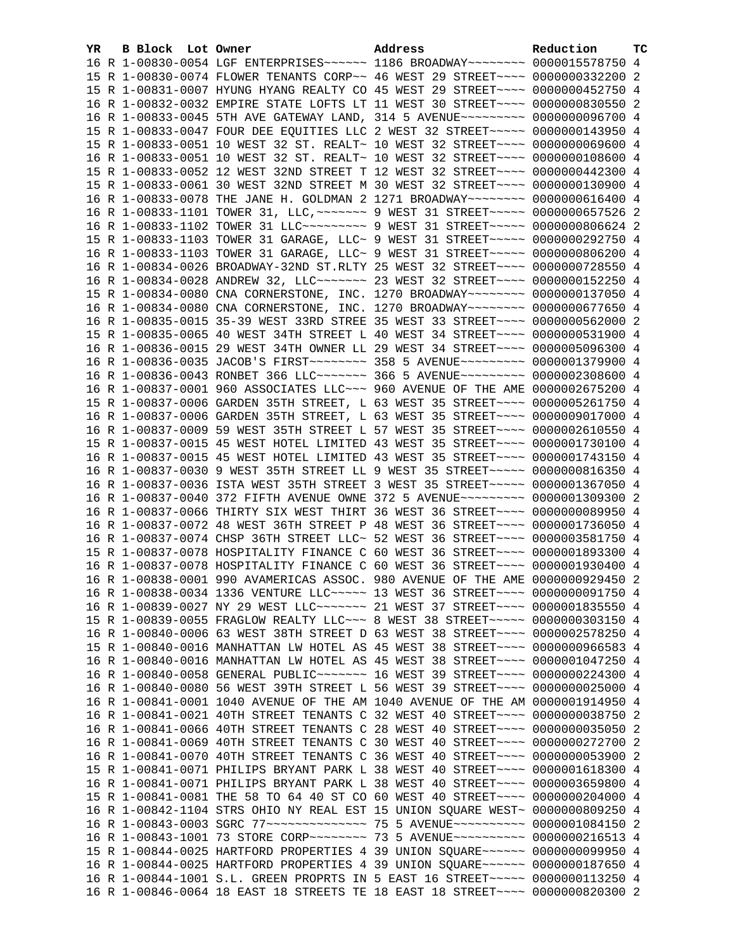| YR. | <b>B Block</b> Lot Owner | Address                                                                         | Reduction | ТC |
|-----|--------------------------|---------------------------------------------------------------------------------|-----------|----|
|     |                          | 16 R 1-00830-0054 LGF ENTERPRISES~~~~~~ 1186 BROADWAY~~~~~~~~ 0000015578750 4   |           |    |
|     |                          | 15 R 1-00830-0074 FLOWER TENANTS CORP~~ 46 WEST 29 STREET~~~~ 0000000332200 2   |           |    |
|     |                          | 15 R 1-00831-0007 HYUNG HYANG REALTY CO 45 WEST 29 STREET~~~~ 0000000452750 4   |           |    |
|     |                          | 16 R 1-00832-0032 EMPIRE STATE LOFTS LT 11 WEST 30 STREET~~~~ 0000000830550 2   |           |    |
|     |                          | 16 R 1-00833-0045 5TH AVE GATEWAY LAND, 314 5 AVENUE~~~~~~~~~ 0000000096700 4   |           |    |
|     |                          | 15 R 1-00833-0047 FOUR DEE EQUITIES LLC 2 WEST 32 STREET~~~~~ 0000000143950 4   |           |    |
|     |                          | 15 R 1-00833-0051 10 WEST 32 ST. REALT~ 10 WEST 32 STREET~~~~ 0000000069600 4   |           |    |
|     |                          | 16 R 1-00833-0051 10 WEST 32 ST. REALT~ 10 WEST 32 STREET~~~~ 0000000108600 4   |           |    |
|     |                          | 15 R 1-00833-0052 12 WEST 32ND STREET T 12 WEST 32 STREET~~~~ 0000000442300 4   |           |    |
|     |                          | 15 R 1-00833-0061 30 WEST 32ND STREET M 30 WEST 32 STREET~~~~ 0000000130900 4   |           |    |
|     |                          | 16 R 1-00833-0078 THE JANE H. GOLDMAN 2 1271 BROADWAY~~~~~~~~ 0000000616400 4   |           |    |
|     |                          | 16 R 1-00833-1101 TOWER 31, LLC, ~~~~~~~ 9 WEST 31 STREET~~~~~ 0000000657526 2  |           |    |
|     |                          | 16 R 1-00833-1102 TOWER 31 LLC --------- 9 WEST 31 STREET ----- 0000000806624 2 |           |    |
|     |                          | 15 R 1-00833-1103 TOWER 31 GARAGE, LLC~ 9 WEST 31 STREET~~~~~~ 0000000292750 4  |           |    |
|     |                          | 16 R 1-00833-1103 TOWER 31 GARAGE, LLC~ 9 WEST 31 STREET~~~~~ 0000000806200 4   |           |    |
|     |                          | 16 R 1-00834-0026 BROADWAY-32ND ST.RLTY 25 WEST 32 STREET~~~~ 0000000728550 4   |           |    |
|     |                          | 16 R 1-00834-0028 ANDREW 32, LLC ------ 23 WEST 32 STREET --- 0000000152250 4   |           |    |
|     |                          | 15 R 1-00834-0080 CNA CORNERSTONE, INC. 1270 BROADWAY~~~~~~~~ 0000000137050 4   |           |    |
|     |                          | 16 R 1-00834-0080 CNA CORNERSTONE, INC. 1270 BROADWAY~~~~~~~~ 0000000677650 4   |           |    |
|     |                          | 16 R 1-00835-0015 35-39 WEST 33RD STREE 35 WEST 33 STREET~~~~ 0000000562000 2   |           |    |
|     |                          | 15 R 1-00835-0065 40 WEST 34TH STREET L 40 WEST 34 STREET~~~~ 0000000531900 4   |           |    |
|     |                          | 16 R 1-00836-0015 29 WEST 34TH OWNER LL 29 WEST 34 STREET~~~~ 0000005096300 4   |           |    |
|     |                          | 16 R 1-00836-0035 JACOB'S FIRST ~~~~~~~~ 358 5 AVENUE~~~~~~~~~ 0000001379900 4  |           |    |
|     |                          | 16 R 1-00836-0043 RONBET 366 LLC ------ 366 5 AVENUE --------- 0000002308600 4  |           |    |
|     |                          | 16 R 1-00837-0001 960 ASSOCIATES LLC~~~ 960 AVENUE OF THE AME 0000002675200 4   |           |    |
|     |                          | 15 R 1-00837-0006 GARDEN 35TH STREET, L 63 WEST 35 STREET~~~~ 0000005261750 4   |           |    |
|     |                          | 16 R 1-00837-0006 GARDEN 35TH STREET, L 63 WEST 35 STREET~~~~ 0000009017000 4   |           |    |
|     |                          | 16 R 1-00837-0009 59 WEST 35TH STREET L 57 WEST 35 STREET~~~~ 0000002610550 4   |           |    |
|     |                          | 15 R 1-00837-0015 45 WEST HOTEL LIMITED 43 WEST 35 STREET~~~~ 0000001730100 4   |           |    |
|     |                          | 16 R 1-00837-0015 45 WEST HOTEL LIMITED 43 WEST 35 STREET~~~~ 0000001743150 4   |           |    |
|     |                          | 16 R 1-00837-0030 9 WEST 35TH STREET LL 9 WEST 35 STREET~~~~~ 0000000816350 4   |           |    |
|     |                          | 16 R 1-00837-0036 ISTA WEST 35TH STREET 3 WEST 35 STREET~~~~~ 0000001367050 4   |           |    |
|     |                          | 16 R 1-00837-0040 372 FIFTH AVENUE OWNE 372 5 AVENUE~~~~~~~~~ 0000001309300 2   |           |    |
|     |                          | 16 R 1-00837-0066 THIRTY SIX WEST THIRT 36 WEST 36 STREET~~~~ 0000000089950 4   |           |    |
|     |                          | 16 R 1-00837-0072 48 WEST 36TH STREET P 48 WEST 36 STREET~~~~ 0000001736050 4   |           |    |
|     |                          | 16 R 1-00837-0074 CHSP 36TH STREET LLC~ 52 WEST 36 STREET~~~~ 0000003581750 4   |           |    |
|     |                          | 15 R 1-00837-0078 HOSPITALITY FINANCE C 60 WEST 36 STREET~~~~ 0000001893300 4   |           |    |
|     |                          | 16 R 1-00837-0078 HOSPITALITY FINANCE C 60 WEST 36 STREET~~~~ 0000001930400 4   |           |    |
|     |                          | 16 R 1-00838-0001 990 AVAMERICAS ASSOC. 980 AVENUE OF THE AME 0000000929450 2   |           |    |
|     |                          | 16 R 1-00838-0034 1336 VENTURE LLC ~~~~~ 13 WEST 36 STREET ~~~~ 0000000091750 4 |           |    |
|     |                          | 16 R 1-00839-0027 NY 29 WEST LLC ------ 21 WEST 37 STREET --- 0000001835550 4   |           |    |
|     |                          | 15 R 1-00839-0055 FRAGLOW REALTY LLC ~~~ 8 WEST 38 STREET ~~~~~ 0000000303150 4 |           |    |
|     |                          | 16 R 1-00840-0006 63 WEST 38TH STREET D 63 WEST 38 STREET~~~~ 0000002578250 4   |           |    |
|     |                          | 15 R 1-00840-0016 MANHATTAN LW HOTEL AS 45 WEST 38 STREET~~~~ 0000000966583 4   |           |    |
|     |                          | 16 R 1-00840-0016 MANHATTAN LW HOTEL AS 45 WEST 38 STREET~~~~ 0000001047250 4   |           |    |
|     |                          | 16 R 1-00840-0058 GENERAL PUBLIC~~~~~~~ 16 WEST 39 STREET~~~~ 0000000224300 4   |           |    |
|     |                          | 16 R 1-00840-0080 56 WEST 39TH STREET L 56 WEST 39 STREET~~~~ 0000000025000 4   |           |    |
|     |                          | 16 R 1-00841-0001 1040 AVENUE OF THE AM 1040 AVENUE OF THE AM 0000001914950 4   |           |    |
|     |                          | 16 R 1-00841-0021 40TH STREET TENANTS C 32 WEST 40 STREET~~~~ 0000000038750 2   |           |    |
|     |                          | 16 R 1-00841-0066 40TH STREET TENANTS C 28 WEST 40 STREET~~~~ 0000000035050 2   |           |    |
|     |                          | 16 R 1-00841-0069 40TH STREET TENANTS C 30 WEST 40 STREET~~~~ 0000000272700 2   |           |    |
|     |                          | 16 R 1-00841-0070 40TH STREET TENANTS C 36 WEST 40 STREET~~~~ 0000000053900 2   |           |    |
|     |                          | 15 R 1-00841-0071 PHILIPS BRYANT PARK L 38 WEST 40 STREET~~~~ 0000001618300 4   |           |    |
|     |                          | 16 R 1-00841-0071 PHILIPS BRYANT PARK L 38 WEST 40 STREET~~~~ 0000003659800 4   |           |    |
|     |                          | 15 R 1-00841-0081 THE 58 TO 64 40 ST CO 60 WEST 40 STREET~~~~ 0000000204000 4   |           |    |
|     |                          | 16 R 1-00842-1104 STRS OHIO NY REAL EST 15 UNION SQUARE WEST~ 0000000809250 4   |           |    |
|     |                          | 16 R 1-00843-0003 SGRC 77~~~~~~~~~~~~~~~ 75 5 AVENUE~~~~~~~~~~ 0000001084150    |           | -2 |
|     |                          | 16 R 1-00843-1001 73 STORE CORP~~~~~~~~ 73 5 AVENUE~~~~~~~~~~ 0000000216513 4   |           |    |
|     |                          | 15 R 1-00844-0025 HARTFORD PROPERTIES 4 39 UNION SQUARE~~~~~~ 0000000099950 4   |           |    |
|     |                          | 16 R 1-00844-0025 HARTFORD PROPERTIES 4 39 UNION SQUARE~~~~~~ 0000000187650 4   |           |    |
|     |                          | 16 R 1-00844-1001 S.L. GREEN PROPRTS IN 5 EAST 16 STREET~~~~~ 0000000113250 4   |           |    |
|     |                          | 16 R 1-00846-0064 18 EAST 18 STREETS TE 18 EAST 18 STREET~~~~ 0000000820300 2   |           |    |
|     |                          |                                                                                 |           |    |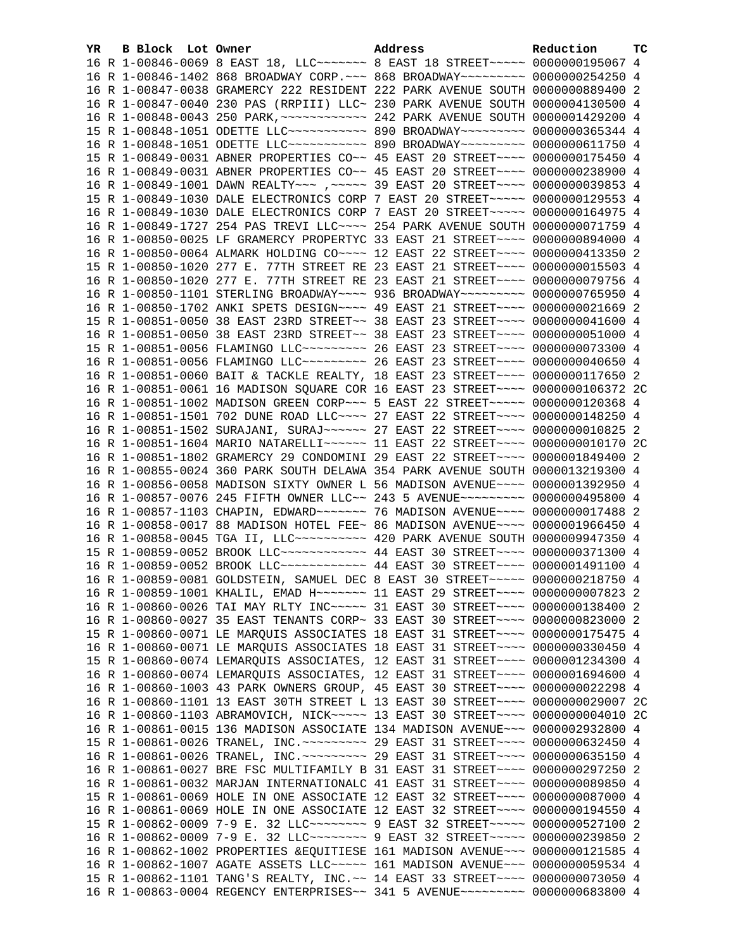| YR. | B Block Lot Owner | Address                                                                                                                                                          | Reduction | тc |
|-----|-------------------|------------------------------------------------------------------------------------------------------------------------------------------------------------------|-----------|----|
|     |                   | 16 R 1-00846-0069 8 EAST 18, LLC ------ 8 EAST 18 STREET ---- 0000000195067 4                                                                                    |           |    |
|     |                   | 16 R 1-00846-1402 868 BROADWAY CORP. ~~~ 868 BROADWAY~~~~~~~~~ 0000000254250 4                                                                                   |           |    |
|     |                   | 16 R 1-00847-0038 GRAMERCY 222 RESIDENT 222 PARK AVENUE SOUTH 0000000889400 2                                                                                    |           |    |
|     |                   | 16 R 1-00847-0040 230 PAS (RRPIII) LLC~ 230 PARK AVENUE SOUTH 0000004130500 4                                                                                    |           |    |
|     |                   |                                                                                                                                                                  |           |    |
|     |                   | 15 R 1-00848-1051 ODETTE LLC ----------- 890 BROADWAY --------- 0000000365344 4                                                                                  |           |    |
|     |                   | 16 R 1-00848-1051 ODETTE LLC ----------- 890 BROADWAY --------- 0000000611750 4                                                                                  |           |    |
|     |                   | 15 R 1-00849-0031 ABNER PROPERTIES CO~~ 45 EAST 20 STREET~~~~ 0000000175450 4                                                                                    |           |    |
|     |                   | 16 R 1-00849-0031 ABNER PROPERTIES CO~~ 45 EAST 20 STREET~~~~ 0000000238900 4                                                                                    |           |    |
|     |                   | 16 R 1-00849-1001 DAWN REALTY~~~ , ~~~~~ 39 EAST 20 STREET~~~~ 0000000039853 4                                                                                   |           |    |
|     |                   | 15 R 1-00849-1030 DALE ELECTRONICS CORP 7 EAST 20 STREET~~~~~ 0000000129553 4                                                                                    |           |    |
|     |                   | 16 R 1-00849-1030 DALE ELECTRONICS CORP 7 EAST 20 STREET~~~~~ 0000000164975 4                                                                                    |           |    |
|     |                   | 16 R 1-00849-1727 254 PAS TREVI LLC ~~~~ 254 PARK AVENUE SOUTH 0000000071759 4                                                                                   |           |    |
|     |                   | 16 R 1-00850-0025 LF GRAMERCY PROPERTYC 33 EAST 21 STREET~~~~ 0000000894000 4                                                                                    |           |    |
|     |                   | 16 R 1-00850-0064 ALMARK HOLDING CO~~~~ 12 EAST 22 STREET~~~~ 0000000413350 2                                                                                    |           |    |
|     |                   | 15 R 1-00850-1020 277 E. 77TH STREET RE 23 EAST 21 STREET~~~~ 0000000015503 4                                                                                    |           |    |
|     |                   | 16 R 1-00850-1020 277 E. 77TH STREET RE 23 EAST 21 STREET~~~~ 0000000079756 4                                                                                    |           |    |
|     |                   | 16 R 1-00850-1101 STERLING BROADWAY~~~~ 936 BROADWAY~~~~~~~~~ 0000000765950 4                                                                                    |           |    |
|     |                   | 16 R 1-00850-1702 ANKI SPETS DESIGN~~~~ 49 EAST 21 STREET~~~~ 0000000021669 2                                                                                    |           |    |
|     |                   | 15 R 1-00851-0050 38 EAST 23RD STREET~~ 38 EAST 23 STREET~~~~ 0000000041600 4                                                                                    |           |    |
|     |                   | 16 R 1-00851-0050 38 EAST 23RD STREET~~ 38 EAST 23 STREET~~~~ 0000000051000 4                                                                                    |           |    |
|     |                   | 15 R 1-00851-0056 FLAMINGO LLC -------- 26 EAST 23 STREET ---- 0000000073300 4                                                                                   |           |    |
|     |                   | 16 R 1-00851-0056 FLAMINGO LLC -------- 26 EAST 23 STREET ---- 0000000040650 4                                                                                   |           |    |
|     |                   | 16 R 1-00851-0060 BAIT & TACKLE REALTY, 18 EAST 23 STREET~~~~ 0000000117650 2                                                                                    |           |    |
|     |                   | 16 R 1-00851-0061 16 MADISON SQUARE COR 16 EAST 23 STREET~~~~ 0000000106372 2C                                                                                   |           |    |
|     |                   | 16 R 1-00851-1002 MADISON GREEN CORP~~~ 5 EAST 22 STREET~~~~~ 0000000120368 4                                                                                    |           |    |
|     |                   | 16 R 1-00851-1501 702 DUNE ROAD LLC --- 27 EAST 22 STREET --- 0000000148250 4                                                                                    |           |    |
|     |                   | 16 R 1-00851-1502 SURAJANI, SURAJ~~~~~~ 27 EAST 22 STREET~~~~ 0000000010825 2                                                                                    |           |    |
|     |                   | 16 R 1-00851-1604 MARIO NATARELLI~~~~~~ 11 EAST 22 STREET~~~~ 0000000010170 2C                                                                                   |           |    |
|     |                   | 16 R 1-00851-1802 GRAMERCY 29 CONDOMINI 29 EAST 22 STREET~~~~ 0000001849400 2                                                                                    |           |    |
|     |                   | 16 R 1-00855-0024 360 PARK SOUTH DELAWA 354 PARK AVENUE SOUTH 0000013219300 4                                                                                    |           |    |
|     |                   | 16 R 1-00856-0058 MADISON SIXTY OWNER L 56 MADISON AVENUE~~~~ 0000001392950 4                                                                                    |           |    |
|     |                   | 16 R 1-00857-0076 245 FIFTH OWNER LLC~~ 243 5 AVENUE~~~~~~~~~ 0000000495800 4                                                                                    |           |    |
|     |                   |                                                                                                                                                                  |           |    |
|     |                   | 16 R 1-00858-0017 88 MADISON HOTEL FEE~ 86 MADISON AVENUE~~~~ 0000001966450 4                                                                                    |           |    |
|     |                   | 16 R 1-00858-0045 TGA II, LLC --------- 420 PARK AVENUE SOUTH 0000009947350 4<br>15 R 1-00859-0052 BROOK LLC ------------ 44 EAST 30 STREET ---- 0000000371300 4 |           |    |
|     |                   | 16 R 1-00859-0052 BROOK LLC ------------ 44 EAST 30 STREET ---- 0000001491100 4                                                                                  |           |    |
|     |                   | 16 R 1-00859-0081 GOLDSTEIN, SAMUEL DEC 8 EAST 30 STREET~~~~~ 0000000218750 4                                                                                    |           |    |
|     |                   | 16 R 1-00859-1001 KHALIL, EMAD H~~~~~~~ 11 EAST 29 STREET~~~~ 0000000007823 2                                                                                    |           |    |
|     |                   | 16 R 1-00860-0026 TAI MAY RLTY INC ---- 31 EAST 30 STREET --- 0000000138400 2                                                                                    |           |    |
|     |                   | 16 R 1-00860-0027 35 EAST TENANTS CORP~ 33 EAST 30 STREET~~~~ 0000000823000 2                                                                                    |           |    |
|     |                   | 15 R 1-00860-0071 LE MARQUIS ASSOCIATES 18 EAST 31 STREET~~~~ 0000000175475 4                                                                                    |           |    |
|     |                   | 16 R 1-00860-0071 LE MARQUIS ASSOCIATES 18 EAST 31 STREET~~~~ 0000000330450 4                                                                                    |           |    |
|     |                   | 15 R 1-00860-0074 LEMARQUIS ASSOCIATES, 12 EAST 31 STREET~~~~ 0000001234300 4                                                                                    |           |    |
|     |                   | 16 R 1-00860-0074 LEMARQUIS ASSOCIATES, 12 EAST 31 STREET~~~~ 0000001694600 4                                                                                    |           |    |
|     |                   | 16 R 1-00860-1003 43 PARK OWNERS GROUP, 45 EAST 30 STREET~~~~ 0000000022298 4                                                                                    |           |    |
|     |                   | 16 R 1-00860-1101 13 EAST 30TH STREET L 13 EAST 30 STREET~~~~ 0000000029007 2C                                                                                   |           |    |
|     |                   | 16 R 1-00860-1103 ABRAMOVICH, NICK~~~~~ 13 EAST 30 STREET~~~~ 0000000004010 2C                                                                                   |           |    |
|     |                   | 16 R 1-00861-0015 136 MADISON ASSOCIATE 134 MADISON AVENUE~~~ 0000002932800 4                                                                                    |           |    |
|     |                   | 15 R 1-00861-0026 TRANEL, INC. ~~~~~~~~~ 29 EAST 31 STREET~~~~ 0000000632450 4                                                                                   |           |    |
|     |                   | 16 R 1-00861-0026 TRANEL, INC. -------- 29 EAST 31 STREET---- 0000000635150 4                                                                                    |           |    |
|     |                   | 16 R 1-00861-0027 BRE FSC MULTIFAMILY B 31 EAST 31 STREET~~~~ 0000000297250 2                                                                                    |           |    |
|     |                   | 16 R 1-00861-0032 MARJAN INTERNATIONALC 41 EAST 31 STREET~~~~ 0000000089850 4                                                                                    |           |    |
|     |                   | 15 R 1-00861-0069 HOLE IN ONE ASSOCIATE 12 EAST 32 STREET~~~~ 0000000087000 4                                                                                    |           |    |
|     |                   | 16 R 1-00861-0069 HOLE IN ONE ASSOCIATE 12 EAST 32 STREET~~~~ 0000000194550 4                                                                                    |           |    |
|     |                   | 15 R 1-00862-0009 7-9 E. 32 LLC -------- 9 EAST 32 STREET ---- 0000000527100 2                                                                                   |           |    |
|     |                   | 16 R 1-00862-0009 7-9 E. 32 LLC -------- 9 EAST 32 STREET ---- 0000000239850 2                                                                                   |           |    |
|     |                   | 16 R 1-00862-1002 PROPERTIES & EQUITIESE 161 MADISON AVENUE~~~ 0000000121585 4                                                                                   |           |    |
|     |                   | 16 R 1-00862-1007 AGATE ASSETS LLC~~~~~ 161 MADISON AVENUE~~~ 0000000059534 4                                                                                    |           |    |
|     |                   | 15 R 1-00862-1101 TANG'S REALTY, INC.~~ 14 EAST 33 STREET~~~~ 0000000073050 4                                                                                    |           |    |
|     |                   | 16 R 1-00863-0004 REGENCY ENTERPRISES~~ 341 5 AVENUE~~~~~~~~~ 0000000683800 4                                                                                    |           |    |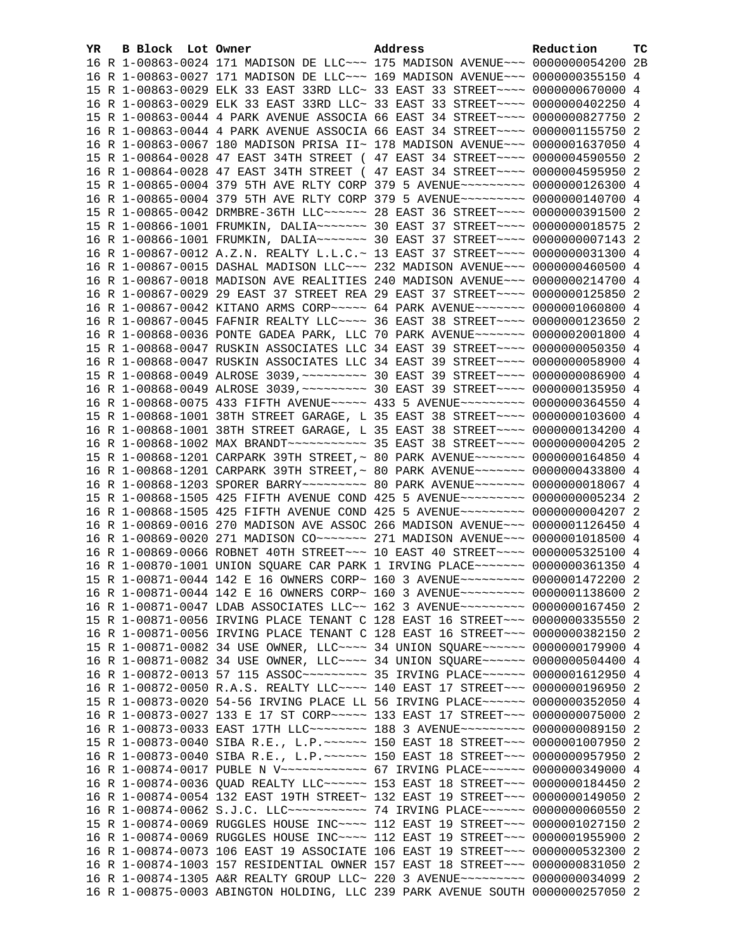| YR. | <b>B Block</b> Lot Owner | Address                                                                                 | Reduction | тc |
|-----|--------------------------|-----------------------------------------------------------------------------------------|-----------|----|
|     |                          | 16 R 1-00863-0024 171 MADISON DE LLC~~~ 175 MADISON AVENUE~~~ 0000000054200 2B          |           |    |
|     |                          | 16 R 1-00863-0027 171 MADISON DE LLC~~~ 169 MADISON AVENUE~~~ 0000000355150 4           |           |    |
|     |                          | 15 R 1-00863-0029 ELK 33 EAST 33RD LLC~ 33 EAST 33 STREET~~~~ 0000000670000 4           |           |    |
|     |                          | 16 R 1-00863-0029 ELK 33 EAST 33RD LLC~ 33 EAST 33 STREET~~~~ 0000000402250 4           |           |    |
|     |                          | 15 R 1-00863-0044 4 PARK AVENUE ASSOCIA 66 EAST 34 STREET~~~~ 0000000827750 2           |           |    |
|     |                          | 16 R 1-00863-0044 4 PARK AVENUE ASSOCIA 66 EAST 34 STREET~~~~ 0000001155750 2           |           |    |
|     |                          | 16 R 1-00863-0067 180 MADISON PRISA II~ 178 MADISON AVENUE~~~ 0000001637050 4           |           |    |
|     |                          | 15 R 1-00864-0028 47 EAST 34TH STREET ( 47 EAST 34 STREET~~~~ 0000004590550 2           |           |    |
|     |                          | 16 R 1-00864-0028 47 EAST 34TH STREET ( 47 EAST 34 STREET~~~~ 0000004595950 2           |           |    |
|     |                          | 15 R 1-00865-0004 379 5TH AVE RLTY CORP 379 5 AVENUE~~~~~~~~~ 0000000126300 4           |           |    |
|     |                          | 16 R 1-00865-0004 379 5TH AVE RLTY CORP 379 5 AVENUE~~~~~~~~~ 0000000140700 4           |           |    |
|     |                          | 15 R 1-00865-0042 DRMBRE-36TH LLC ----- 28 EAST 36 STREET --- 0000000391500 2           |           |    |
|     |                          | 15 R 1-00866-1001 FRUMKIN, DALIA~~~~~~~ 30 EAST 37 STREET~~~~ 0000000018575 2           |           |    |
|     |                          | 16 R 1-00866-1001 FRUMKIN, DALIA~~~~~~~ 30 EAST 37 STREET~~~~ 00000000007143 2          |           |    |
|     |                          | 16 R 1-00867-0012 A.Z.N. REALTY L.L.C.~ 13 EAST 37 STREET~~~~ 0000000031300 4           |           |    |
|     |                          | 16 R 1-00867-0015 DASHAL MADISON LLC~~~ 232 MADISON AVENUE~~~ 0000000460500 4           |           |    |
|     |                          | 16 R 1-00867-0018 MADISON AVE REALITIES 240 MADISON AVENUE~~~ 0000000214700 4           |           |    |
|     |                          | 16 R 1-00867-0029 29 EAST 37 STREET REA 29 EAST 37 STREET~~~~ 0000000125850 2           |           |    |
|     |                          | 16 R 1-00867-0042 KITANO ARMS CORP~~~~~ 64 PARK AVENUE~~~~~~~ 0000001060800 4           |           |    |
|     |                          | 16 R 1-00867-0045 FAFNIR REALTY LLC --- 36 EAST 38 STREET --- 0000000123650 2           |           |    |
|     |                          | 16 R 1-00868-0036 PONTE GADEA PARK, LLC 70 PARK AVENUE~~~~~~~ 0000002001800 4           |           |    |
|     |                          | 15 R 1-00868-0047 RUSKIN ASSOCIATES LLC 34 EAST 39 STREET~~~~ 0000000050350 4           |           |    |
|     |                          | 16 R 1-00868-0047 RUSKIN ASSOCIATES LLC 34 EAST 39 STREET~~~~ 0000000058900 4           |           |    |
|     |                          | 15 R 1-00868-0049 ALROSE 3039, ~~~~~~~~~~~~~~ 30 EAST 39 STREET~~~~~ 0000000086900 4    |           |    |
|     |                          | 16 R 1-00868-0049 ALROSE 3039, ~~~~~~~~~~~~~~ 30 EAST 39 STREET~~~~~ 0000000135950 4    |           |    |
|     |                          | 16 R 1-00868-0075 433 FIFTH AVENUE~~~~~ 433 5 AVENUE~~~~~~~~~ 0000000364550 4           |           |    |
|     |                          | 15 R 1-00868-1001 38TH STREET GARAGE, L 35 EAST 38 STREET~~~~ 0000000103600 4           |           |    |
|     |                          | 16 R 1-00868-1001 38TH STREET GARAGE, L 35 EAST 38 STREET~~~~ 0000000134200 4           |           |    |
|     |                          |                                                                                         |           |    |
|     |                          | 15 R 1-00868-1201 CARPARK 39TH STREET, ~ 80 PARK AVENUE~~~~~~~ 0000000164850 4          |           |    |
|     |                          | 16 R 1-00868-1201 CARPARK 39TH STREET, ~ 80 PARK AVENUE~~~~~~~ 0000000433800 4          |           |    |
|     |                          | 16 R 1-00868-1203 SPORER BARRY~~~~~~~~~~~~~~~ 80 PARK AVENUE~~~~~~~~~ 0000000018067 4   |           |    |
|     |                          | 15 R 1-00868-1505 425 FIFTH AVENUE COND 425 5 AVENUE~~~~~~~~~ 0000000005234 2           |           |    |
|     |                          | 16 R 1-00868-1505 425 FIFTH AVENUE COND 425 5 AVENUE~~~~~~~~~ 0000000004207 2           |           |    |
|     |                          | 16 R 1-00869-0016 270 MADISON AVE ASSOC 266 MADISON AVENUE~~~ 0000001126450 4           |           |    |
|     |                          | 16 R 1-00869-0020 271 MADISON CO~~~~~~~ 271 MADISON AVENUE~~~ 0000001018500 4           |           |    |
|     |                          | 16 R 1-00869-0066 ROBNET 40TH STREET~~~ 10 EAST 40 STREET~~~~ 0000005325100 4           |           |    |
|     |                          | 16 R 1-00870-1001 UNION SQUARE CAR PARK 1 IRVING PLACE~~~~~~~ 0000000361350 4           |           |    |
|     |                          | 15 R 1-00871-0044 142 E 16 OWNERS CORP~ 160 3 AVENUE~~~~~~~~~ 0000001472200 2           |           |    |
|     |                          | 16 R 1-00871-0044 142 E 16 OWNERS CORP~ 160 3 AVENUE~~~~~~~~~ 0000001138600 2           |           |    |
|     |                          | 16 R 1-00871-0047 LDAB ASSOCIATES LLC~~ 162 3 AVENUE~~~~~~~~~ 0000000167450 2           |           |    |
|     |                          | 15 R 1-00871-0056 IRVING PLACE TENANT C 128 EAST 16 STREET~~~ 0000000335550 2           |           |    |
|     |                          | 16 R 1-00871-0056 IRVING PLACE TENANT C 128 EAST 16 STREET~~~ 0000000382150 2           |           |    |
|     |                          | 15 R 1-00871-0082 34 USE OWNER, LLC ~~~~ 34 UNION SQUARE ~~~~~~ 0000000179900 4         |           |    |
|     |                          | 16 R 1-00871-0082 34 USE OWNER, LLC --- 34 UNION SQUARE ----- 0000000504400 4           |           |    |
|     |                          | 16 R 1-00872-0013 57 115 ASSOC~~~~~~~~~~~~~~~~~~ 35 IRVING PLACE~~~~~~~ 0000001612950 4 |           |    |
|     |                          | 16 R 1-00872-0050 R.A.S. REALTY LLC --- 140 EAST 17 STREET -- 0000000196950 2           |           |    |
|     |                          | 15 R 1-00873-0020 54-56 IRVING PLACE LL 56 IRVING PLACE ~~~~~~ 0000000352050 4          |           |    |
|     |                          | 16 R 1-00873-0027 133 E 17 ST CORP~~~~~ 133 EAST 17 STREET~~~ 0000000075000 2           |           |    |
|     |                          | 16 R 1-00873-0033 EAST 17TH LLC~~~~~~~~ 188 3 AVENUE~~~~~~~~~ 0000000089150 2           |           |    |
|     |                          | 15 R 1-00873-0040 SIBA R.E., L.P. ~~~~~~ 150 EAST 18 STREET~~~ 0000001007950 2          |           |    |
|     |                          | 16 R 1-00873-0040 SIBA R.E., L.P. ~~~~~~ 150 EAST 18 STREET~~~ 0000000957950 2          |           |    |
|     |                          | 16 R 1-00874-0017 PUBLE N V~~~~~~~~~~~~ 67 IRVING PLACE~~~~~~ 0000000349000 4           |           |    |
|     |                          | 16 R 1-00874-0036 QUAD REALTY LLC~~~~~~ 153 EAST 18 STREET~~~ 0000000184450 2           |           |    |
|     |                          | 16 R 1-00874-0054 132 EAST 19TH STREET~ 132 EAST 19 STREET~~~ 0000000149050 2           |           |    |
|     |                          | 16 R 1-00874-0062 S.J.C. LLC ------------ 74 IRVING PLACE ----- 0000000060550           |           | -2 |
|     |                          | 15 R 1-00874-0069 RUGGLES HOUSE INC~~~~ 112 EAST 19 STREET~~~ 0000001027150             |           | -2 |
|     |                          | 16 R 1-00874-0069 RUGGLES HOUSE INC~~~~ 112 EAST 19 STREET~~~ 0000001955900 2           |           |    |
|     |                          | 16 R 1-00874-0073 106 EAST 19 ASSOCIATE 106 EAST 19 STREET~~~ 0000000532300 2           |           |    |
|     |                          | 16 R 1-00874-1003 157 RESIDENTIAL OWNER 157 EAST 18 STREET~~~ 0000000831050 2           |           |    |
|     |                          | 16 R 1-00874-1305 A&R REALTY GROUP LLC~ 220 3 AVENUE~~~~~~~~~ 0000000034099 2           |           |    |
|     |                          | 16 R 1-00875-0003 ABINGTON HOLDING, LLC 239 PARK AVENUE SOUTH 0000000257050 2           |           |    |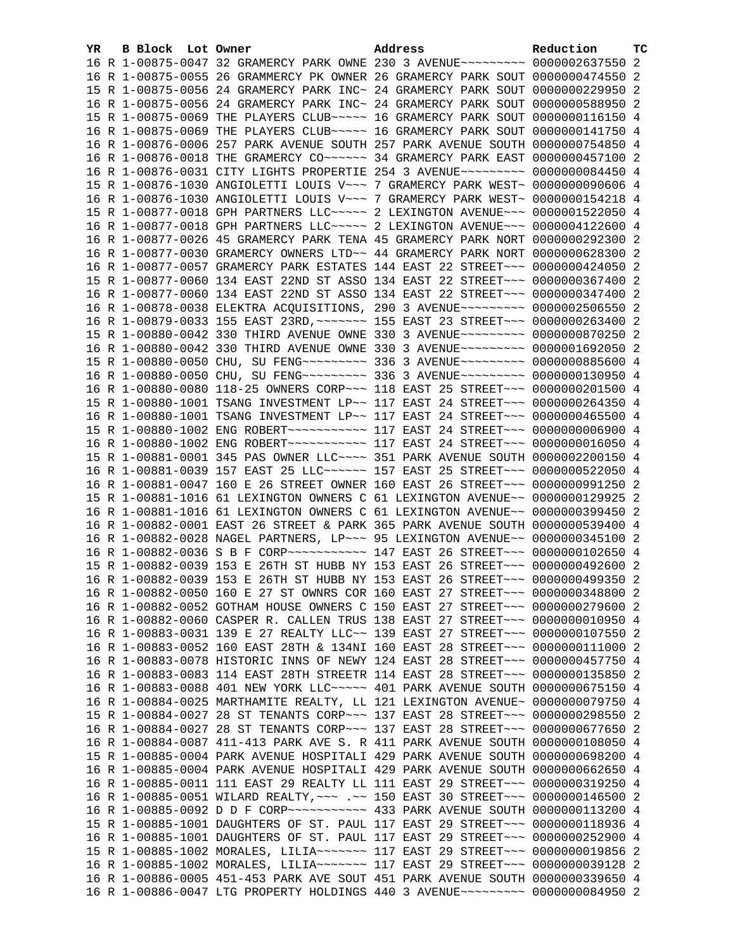| YR. | B Block Lot Owner |                                                                | Address                                                                         | Reduction       | ТC |
|-----|-------------------|----------------------------------------------------------------|---------------------------------------------------------------------------------|-----------------|----|
|     |                   |                                                                | 16 R 1-00875-0047 32 GRAMERCY PARK OWNE 230 3 AVENUE~~~~~~~~~ 0000002637550 2   |                 |    |
|     |                   |                                                                | 16 R 1-00875-0055 26 GRAMMERCY PK OWNER 26 GRAMERCY PARK SOUT 0000000474550 2   |                 |    |
|     |                   |                                                                | 15 R 1-00875-0056 24 GRAMERCY PARK INC~ 24 GRAMERCY PARK SOUT 0000000229950 2   |                 |    |
|     |                   |                                                                | 16 R 1-00875-0056 24 GRAMERCY PARK INC~ 24 GRAMERCY PARK SOUT 0000000588950 2   |                 |    |
|     |                   |                                                                | 15 R 1-00875-0069 THE PLAYERS CLUB ---- 16 GRAMERCY PARK SOUT 0000000116150 4   |                 |    |
|     |                   |                                                                | 16 R 1-00875-0069 THE PLAYERS CLUB ---- 16 GRAMERCY PARK SOUT 0000000141750 4   |                 |    |
|     |                   |                                                                | 16 R 1-00876-0006 257 PARK AVENUE SOUTH 257 PARK AVENUE SOUTH 0000000754850 4   |                 |    |
|     |                   | 16 R 1-00876-0018 THE GRAMERCY CO~~~~~~~ 34 GRAMERCY PARK EAST |                                                                                 | 0000000457100 2 |    |
|     |                   |                                                                | 16 R 1-00876-0031 CITY LIGHTS PROPERTIE 254 3 AVENUE~~~~~~~~~ 0000000084450 4   |                 |    |
|     |                   |                                                                | 15 R 1-00876-1030 ANGIOLETTI LOUIS V~~~ 7 GRAMERCY PARK WEST~ 0000000090606 4   |                 |    |
|     |                   |                                                                | 16 R 1-00876-1030 ANGIOLETTI LOUIS V~~~ 7 GRAMERCY PARK WEST~ 0000000154218 4   |                 |    |
|     |                   |                                                                | 15 R 1-00877-0018 GPH PARTNERS LLC ---- 2 LEXINGTON AVENUE -- 0000001522050 4   |                 |    |
|     |                   |                                                                | 16 R 1-00877-0018 GPH PARTNERS LLC ---- 2 LEXINGTON AVENUE -- 0000004122600 4   |                 |    |
|     |                   |                                                                | 16 R 1-00877-0026 45 GRAMERCY PARK TENA 45 GRAMERCY PARK NORT 0000000292300 2   |                 |    |
|     |                   |                                                                | 16 R 1-00877-0030 GRAMERCY OWNERS LTD~~ 44 GRAMERCY PARK NORT 0000000628300 2   |                 |    |
|     |                   |                                                                | 16 R 1-00877-0057 GRAMERCY PARK ESTATES 144 EAST 22 STREET~~~ 0000000424050 2   |                 |    |
|     |                   |                                                                | 15 R 1-00877-0060 134 EAST 22ND ST ASSO 134 EAST 22 STREET~~~ 0000000367400 2   |                 |    |
|     |                   |                                                                | 16 R 1-00877-0060 134 EAST 22ND ST ASSO 134 EAST 22 STREET~~~ 0000000347400 2   |                 |    |
|     |                   |                                                                | 16 R 1-00878-0038 ELEKTRA ACQUISITIONS, 290 3 AVENUE~~~~~~~~~ 0000002506550 2   |                 |    |
|     |                   |                                                                | 16 R 1-00879-0033 155 EAST 23RD, ~~~~~~~ 155 EAST 23 STREET~~~ 0000000263400 2  |                 |    |
|     |                   |                                                                | 15 R 1-00880-0042 330 THIRD AVENUE OWNE 330 3 AVENUE~~~~~~~~~ 0000000870250 2   |                 |    |
|     |                   |                                                                | 16 R 1-00880-0042 330 THIRD AVENUE OWNE 330 3 AVENUE~~~~~~~~~ 0000001692050 2   |                 |    |
|     |                   |                                                                | 15 R 1-00880-0050 CHU, SU FENG~~~~~~~~~ 336 3 AVENUE~~~~~~~~~ 0000000885600 4   |                 |    |
|     |                   |                                                                | 16 R 1-00880-0050 CHU, SU FENG~~~~~~~~~ 336 3 AVENUE~~~~~~~~~ 0000000130950 4   |                 |    |
|     |                   |                                                                | 16 R 1-00880-0080 118-25 OWNERS CORP~~~ 118 EAST 25 STREET~~~ 0000000201500 4   |                 |    |
|     |                   |                                                                | 15 R 1-00880-1001 TSANG INVESTMENT LP~~ 117 EAST 24 STREET~~~ 0000000264350 4   |                 |    |
|     |                   |                                                                | 16 R 1-00880-1001 TSANG INVESTMENT LP~~ 117 EAST 24 STREET~~~ 0000000465500 4   |                 |    |
|     |                   |                                                                |                                                                                 |                 |    |
|     |                   |                                                                |                                                                                 |                 |    |
|     |                   |                                                                | 15 R 1-00881-0001 345 PAS OWNER LLC ~~~~ 351 PARK AVENUE SOUTH 0000002200150 4  |                 |    |
|     |                   |                                                                | 16 R 1-00881-0039 157 EAST 25 LLC ----- 157 EAST 25 STREET -- 0000000522050 4   |                 |    |
|     |                   |                                                                | 16 R 1-00881-0047 160 E 26 STREET OWNER 160 EAST 26 STREET~~~ 0000000991250 2   |                 |    |
|     |                   |                                                                | 15 R 1-00881-1016 61 LEXINGTON OWNERS C 61 LEXINGTON AVENUE~~ 0000000129925 2   |                 |    |
|     |                   |                                                                | 16 R 1-00881-1016 61 LEXINGTON OWNERS C 61 LEXINGTON AVENUE~~ 0000000399450 2   |                 |    |
|     |                   |                                                                | 16 R 1-00882-0001 EAST 26 STREET & PARK 365 PARK AVENUE SOUTH 0000000539400 4   |                 |    |
|     |                   |                                                                | 16 R 1-00882-0028 NAGEL PARTNERS, LP ~~~ 95 LEXINGTON AVENUE ~~ 0000000345100 2 |                 |    |
|     |                   |                                                                | 16 R 1-00882-0036 S B F CORP~~~~~~~~~~~~ 147 EAST 26 STREET~~~ 0000000102650 4  |                 |    |
|     |                   |                                                                | 15 R 1-00882-0039 153 E 26TH ST HUBB NY 153 EAST 26 STREET~~~ 0000000492600 2   |                 |    |
|     |                   |                                                                | 16 R 1-00882-0039 153 E 26TH ST HUBB NY 153 EAST 26 STREET~~~ 0000000499350 2   |                 |    |
|     |                   |                                                                | 16 R 1-00882-0050 160 E 27 ST OWNRS COR 160 EAST 27 STREET~~~ 0000000348800 2   |                 |    |
|     |                   |                                                                | 16 R 1-00882-0052 GOTHAM HOUSE OWNERS C 150 EAST 27 STREET~~~ 0000000279600 2   |                 |    |
|     |                   |                                                                | 16 R 1-00882-0060 CASPER R. CALLEN TRUS 138 EAST 27 STREET~~~ 0000000010950 4   |                 |    |
|     |                   |                                                                | 16 R 1-00883-0031 139 E 27 REALTY LLC~~ 139 EAST 27 STREET~~~ 0000000107550 2   |                 |    |
|     |                   |                                                                | 16 R 1-00883-0052 160 EAST 28TH & 134NI 160 EAST 28 STREET~~~ 0000000111000 2   |                 |    |
|     |                   |                                                                | 16 R 1-00883-0078 HISTORIC INNS OF NEWY 124 EAST 28 STREET~~~ 0000000457750 4   |                 |    |
|     |                   |                                                                | 16 R 1-00883-0083 114 EAST 28TH STREETR 114 EAST 28 STREET~~~ 0000000135850 2   |                 |    |
|     |                   |                                                                | 16 R 1-00883-0088 401 NEW YORK LLC ~~~~~ 401 PARK AVENUE SOUTH 0000000675150 4  |                 |    |
|     |                   |                                                                | 16 R 1-00884-0025 MARTHAMITE REALTY, LL 121 LEXINGTON AVENUE~ 0000000079750 4   |                 |    |
|     |                   |                                                                | 15 R 1-00884-0027 28 ST TENANTS CORP~~~ 137 EAST 28 STREET~~~ 0000000298550 2   |                 |    |
|     |                   |                                                                | 16 R 1-00884-0027 28 ST TENANTS CORP~~~ 137 EAST 28 STREET~~~ 0000000677650 2   |                 |    |
|     |                   |                                                                | 16 R 1-00884-0087 411-413 PARK AVE S. R 411 PARK AVENUE SOUTH 0000000108050 4   |                 |    |
|     |                   |                                                                | 15 R 1-00885-0004 PARK AVENUE HOSPITALI 429 PARK AVENUE SOUTH 0000000698200 4   |                 |    |
|     |                   |                                                                | 16 R 1-00885-0004 PARK AVENUE HOSPITALI 429 PARK AVENUE SOUTH 0000000662650 4   |                 |    |
|     |                   |                                                                | 16 R 1-00885-0011 111 EAST 29 REALTY LL 111 EAST 29 STREET~~~ 0000000319250 4   |                 |    |
|     |                   |                                                                | 16 R 1-00885-0051 WILARD REALTY, ~~~ .~~ 150 EAST 30 STREET~~~ 0000000146500 2  |                 |    |
|     |                   |                                                                |                                                                                 |                 |    |
|     |                   |                                                                | 15 R 1-00885-1001 DAUGHTERS OF ST. PAUL 117 EAST 29 STREET~~~ 0000000118936 4   |                 |    |
|     |                   |                                                                | 16 R 1-00885-1001 DAUGHTERS OF ST. PAUL 117 EAST 29 STREET~~~ 0000000252900 4   |                 |    |
|     |                   |                                                                | 15 R 1-00885-1002 MORALES, LILIA~~~~~~~ 117 EAST 29 STREET~~~ 0000000019856 2   |                 |    |
|     |                   |                                                                | 16 R 1-00885-1002 MORALES, LILIA~~~~~~~ 117 EAST 29 STREET~~~ 0000000039128 2   |                 |    |
|     |                   |                                                                | 16 R 1-00886-0005 451-453 PARK AVE SOUT 451 PARK AVENUE SOUTH 0000000339650 4   |                 |    |
|     |                   |                                                                | 16 R 1-00886-0047 LTG PROPERTY HOLDINGS 440 3 AVENUE~~~~~~~~~ 0000000084950 2   |                 |    |
|     |                   |                                                                |                                                                                 |                 |    |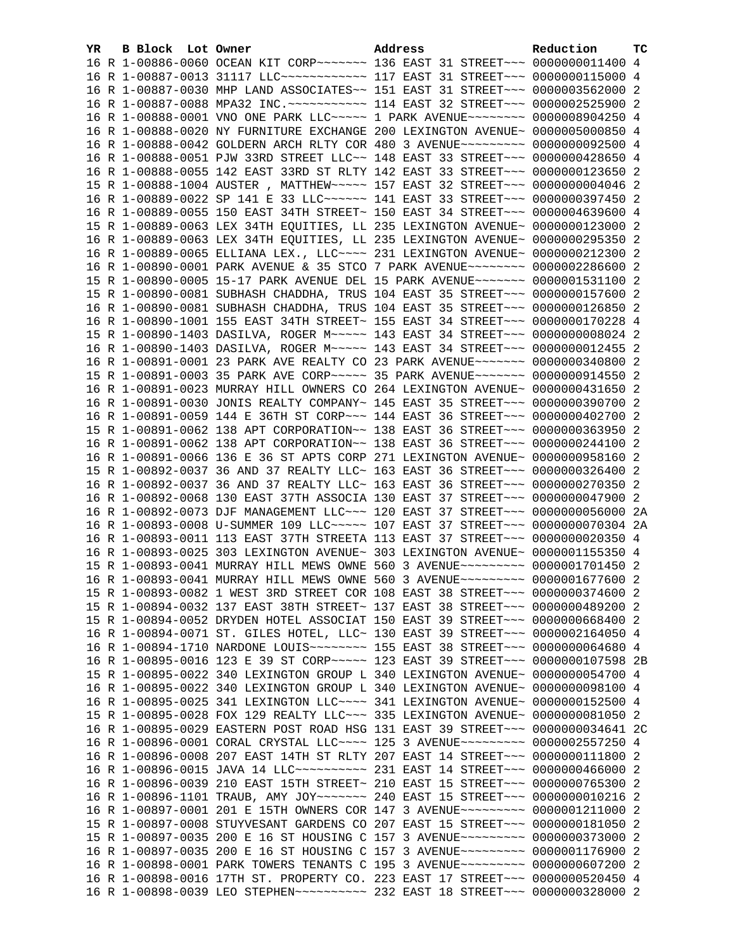| YR. | B Block Lot Owner |                                                                                                                                                                | Address | Reduction | тc |
|-----|-------------------|----------------------------------------------------------------------------------------------------------------------------------------------------------------|---------|-----------|----|
|     |                   | 16 R 1-00886-0060 OCEAN KIT CORP~~~~~~~ 136 EAST 31 STREET~~~ 0000000011400 4                                                                                  |         |           |    |
|     |                   | 16 R 1-00887-0013 31117 LLC ------------ 117 EAST 31 STREET --- 0000000115000 4                                                                                |         |           |    |
|     |                   | 16 R 1-00887-0030 MHP LAND ASSOCIATES~~ 151 EAST 31 STREET~~~ 0000003562000 2                                                                                  |         |           |    |
|     |                   | 16 R 1-00887-0088 MPA32 INC. ~~~~~~~~~~~~~~~~ 114 EAST 32 STREET~~~~ 0000002525900 2                                                                           |         |           |    |
|     |                   | 16 R 1-00888-0001 VNO ONE PARK LLC~~~~~ 1 PARK AVENUE~~~~~~~~ 0000008904250 4                                                                                  |         |           |    |
|     |                   | 16 R 1-00888-0020 NY FURNITURE EXCHANGE 200 LEXINGTON AVENUE~ 0000005000850 4                                                                                  |         |           |    |
|     |                   | 16 R 1-00888-0042 GOLDERN ARCH RLTY COR 480 3 AVENUE~~~~~~~~~ 0000000092500 4                                                                                  |         |           |    |
|     |                   | 16 R 1-00888-0051 PJW 33RD STREET LLC~~ 148 EAST 33 STREET~~~ 0000000428650 4                                                                                  |         |           |    |
|     |                   | 16 R 1-00888-0055 142 EAST 33RD ST RLTY 142 EAST 33 STREET~~~ 0000000123650 2                                                                                  |         |           |    |
|     |                   | 15 R 1-00888-1004 AUSTER, MATTHEW~~~~~ 157 EAST 32 STREET~~~ 0000000004046 2                                                                                   |         |           |    |
|     |                   | 16 R 1-00889-0022 SP 141 E 33 LLC ----- 141 EAST 33 STREET -- 0000000397450 2                                                                                  |         |           |    |
|     |                   | 16 R 1-00889-0055 150 EAST 34TH STREET~ 150 EAST 34 STREET~~~ 0000004639600 4                                                                                  |         |           |    |
|     |                   | 15 R 1-00889-0063 LEX 34TH EQUITIES, LL 235 LEXINGTON AVENUE~ 0000000123000 2                                                                                  |         |           |    |
|     |                   | 16 R 1-00889-0063 LEX 34TH EQUITIES, LL 235 LEXINGTON AVENUE~ 0000000295350 2                                                                                  |         |           |    |
|     |                   | 16 R 1-00889-0065 ELLIANA LEX., LLC ~~~~ 231 LEXINGTON AVENUE~ 0000000212300 2                                                                                 |         |           |    |
|     |                   | 16 R 1-00890-0001 PARK AVENUE & 35 STCO 7 PARK AVENUE~~~~~~~~ 0000002286600 2                                                                                  |         |           |    |
|     |                   | 15 R 1-00890-0005 15-17 PARK AVENUE DEL 15 PARK AVENUE~~~~~~~ 0000001531100 2                                                                                  |         |           |    |
|     |                   | 15 R 1-00890-0081 SUBHASH CHADDHA, TRUS 104 EAST 35 STREET~~~ 0000000157600 2                                                                                  |         |           |    |
|     |                   | 16 R 1-00890-0081 SUBHASH CHADDHA, TRUS 104 EAST 35 STREET~~~ 0000000126850 2                                                                                  |         |           |    |
|     |                   | 16 R 1-00890-1001 155 EAST 34TH STREET~ 155 EAST 34 STREET~~~ 0000000170228 4                                                                                  |         |           |    |
|     |                   | 15 R 1-00890-1403 DASILVA, ROGER M~~~~~ 143 EAST 34 STREET~~~ 00000000008024 2                                                                                 |         |           |    |
|     |                   | 16 R 1-00890-1403 DASILVA, ROGER M~~~~~ 143 EAST 34 STREET~~~ 0000000012455 2                                                                                  |         |           |    |
|     |                   | 16 R 1-00891-0001 23 PARK AVE REALTY CO 23 PARK AVENUE~~~~~~~ 0000000340800 2                                                                                  |         |           |    |
|     |                   | 15 R 1-00891-0003 35 PARK AVE CORP~~~~~ 35 PARK AVENUE~~~~~~~ 0000000914550 2                                                                                  |         |           |    |
|     |                   | 16 R 1-00891-0023 MURRAY HILL OWNERS CO 264 LEXINGTON AVENUE~ 0000000431650 2                                                                                  |         |           |    |
|     |                   | 16 R 1-00891-0030 JONIS REALTY COMPANY~ 145 EAST 35 STREET~~~ 0000000390700 2                                                                                  |         |           |    |
|     |                   | 16 R 1-00891-0059 144 E 36TH ST CORP~~~ 144 EAST 36 STREET~~~ 0000000402700 2                                                                                  |         |           |    |
|     |                   | 15 R 1-00891-0062 138 APT CORPORATION~~ 138 EAST 36 STREET~~~ 0000000363950 2                                                                                  |         |           |    |
|     |                   | 16 R 1-00891-0062 138 APT CORPORATION~~ 138 EAST 36 STREET~~~ 0000000244100 2                                                                                  |         |           |    |
|     |                   | 16 R 1-00891-0066 136 E 36 ST APTS CORP 271 LEXINGTON AVENUE~ 0000000958160 2                                                                                  |         |           |    |
|     |                   | 15 R 1-00892-0037 36 AND 37 REALTY LLC~ 163 EAST 36 STREET~~~ 0000000326400 2                                                                                  |         |           |    |
|     |                   | 16 R 1-00892-0037 36 AND 37 REALTY LLC~ 163 EAST 36 STREET~~~ 0000000270350 2                                                                                  |         |           |    |
|     |                   | 16 R 1-00892-0068 130 EAST 37TH ASSOCIA 130 EAST 37 STREET~~~ 0000000047900 2                                                                                  |         |           |    |
|     |                   | 16 R 1-00892-0073 DJF MANAGEMENT LLC~~~ 120 EAST 37 STREET~~~ 0000000056000 2A                                                                                 |         |           |    |
|     |                   | 16 R 1-00893-0008 U-SUMMER 109 LLC ----- 107 EAST 37 STREET --- 0000000070304 2A                                                                               |         |           |    |
|     |                   | 16 R 1-00893-0011 113 EAST 37TH STREETA 113 EAST 37 STREET~~~ 0000000020350 4                                                                                  |         |           |    |
|     |                   | 16 R 1-00893-0025 303 LEXINGTON AVENUE~ 303 LEXINGTON AVENUE~ 0000001155350 4                                                                                  |         |           |    |
|     |                   | 15 R 1-00893-0041 MURRAY HILL MEWS OWNE 560 3 AVENUE~~~~~~~~~ 0000001701450 2                                                                                  |         |           |    |
|     |                   | 16 R 1-00893-0041 MURRAY HILL MEWS OWNE 560 3 AVENUE~~~~~~~~~ 0000001677600 2                                                                                  |         |           |    |
|     |                   | 15 R 1-00893-0082 1 WEST 3RD STREET COR 108 EAST 38 STREET~~~ 0000000374600 2                                                                                  |         |           |    |
|     |                   | 15 R 1-00894-0032 137 EAST 38TH STREET~ 137 EAST 38 STREET~~~ 0000000489200 2                                                                                  |         |           |    |
|     |                   | 15 R 1-00894-0052 DRYDEN HOTEL ASSOCIAT 150 EAST 39 STREET~~~ 0000000668400 2                                                                                  |         |           |    |
|     |                   | 16 R 1-00894-0071 ST. GILES HOTEL, LLC~ 130 EAST 39 STREET~~~ 0000002164050 4                                                                                  |         |           |    |
|     |                   | 16 R 1-00894-1710 NARDONE LOUIS ------- 155 EAST 38 STREET --- 0000000064680 4                                                                                 |         |           |    |
|     |                   | 16 R 1-00895-0016 123 E 39 ST CORP~~~~~ 123 EAST 39 STREET~~~ 0000000107598 2B                                                                                 |         |           |    |
|     |                   | 15 R 1-00895-0022 340 LEXINGTON GROUP L 340 LEXINGTON AVENUE~ 0000000054700 4                                                                                  |         |           |    |
|     |                   | 16 R 1-00895-0022 340 LEXINGTON GROUP L 340 LEXINGTON AVENUE~ 0000000098100 4                                                                                  |         |           |    |
|     |                   | 16 R 1-00895-0025 341 LEXINGTON LLC ~~~~ 341 LEXINGTON AVENUE ~ 0000000152500 4                                                                                |         |           |    |
|     |                   | 15 R 1-00895-0028 FOX 129 REALTY LLC ~~~ 335 LEXINGTON AVENUE~ 0000000081050 2                                                                                 |         |           |    |
|     |                   | 16 R 1-00895-0029 EASTERN POST ROAD HSG 131 EAST 39 STREET~~~ 0000000034641 2C                                                                                 |         |           |    |
|     |                   | 16 R 1-00896-0001 CORAL CRYSTAL LLC --- 125 3 AVENUE --------- 0000002557250 4                                                                                 |         |           |    |
|     |                   | 16 R 1-00896-0008 207 EAST 14TH ST RLTY 207 EAST 14 STREET~~~ 0000000111800 2                                                                                  |         |           |    |
|     |                   |                                                                                                                                                                |         |           |    |
|     |                   | 16 R 1-00896-0039 210 EAST 15TH STREET~ 210 EAST 15 STREET~~~ 0000000765300 2                                                                                  |         |           |    |
|     |                   | 16 R 1-00896-1101 TRAUB, AMY JOY~~~~~~~ 240 EAST 15 STREET~~~ 0000000010216 2                                                                                  |         |           |    |
|     |                   | 16 R 1-00897-0001 201 E 15TH OWNERS COR 147 3 AVENUE~~~~~~~~~ 0000001211000 2                                                                                  |         |           |    |
|     |                   | 15 R 1-00897-0008 STUYVESANT GARDENS CO 207 EAST 15 STREET~~~ 0000000181050                                                                                    |         |           | -2 |
|     |                   | 15 R 1-00897-0035 200 E 16 ST HOUSING C 157 3 AVENUE~~~~~~~~~ 0000000373000 2<br>16 R 1-00897-0035 200 E 16 ST HOUSING C 157 3 AVENUE~~~~~~~~~ 0000001176900 2 |         |           |    |
|     |                   | 16 R 1-00898-0001 PARK TOWERS TENANTS C 195 3 AVENUE~~~~~~~~~ 0000000607200 2                                                                                  |         |           |    |
|     |                   | 16 R 1-00898-0016 17TH ST. PROPERTY CO. 223 EAST 17 STREET~~~ 0000000520450 4                                                                                  |         |           |    |
|     |                   | 16 R 1-00898-0039 LEO STEPHEN~~~~~~~~~~~~~~~ 232 EAST 18 STREET~~~~ 0000000328000 2                                                                            |         |           |    |
|     |                   |                                                                                                                                                                |         |           |    |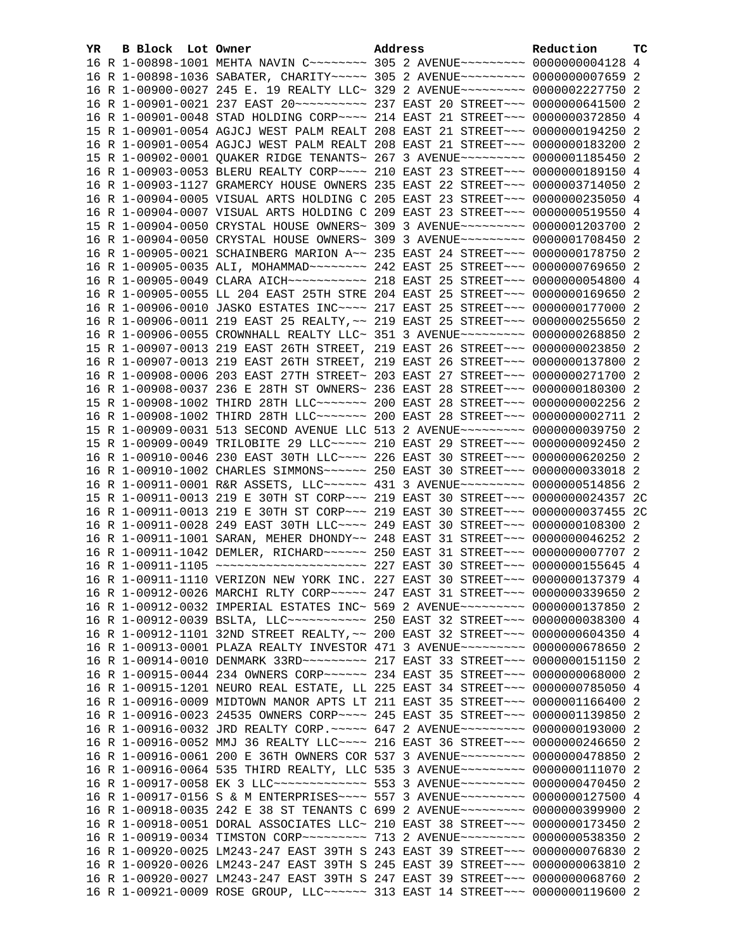| YR. | B Block Lot Owner |                                                                                                                                                                    | Address | Reduction | тc |
|-----|-------------------|--------------------------------------------------------------------------------------------------------------------------------------------------------------------|---------|-----------|----|
|     |                   | 16 R 1-00898-1001 MEHTA NAVIN C ------- 305 2 AVENUE -------- 0000000004128 4                                                                                      |         |           |    |
|     |                   | 16 R 1-00898-1036 SABATER, CHARITY ~~~~~ 305 2 AVENUE ~~~~~~~~~ 0000000007659 2                                                                                    |         |           |    |
|     |                   | 16 R 1-00900-0027 245 E. 19 REALTY LLC~ 329 2 AVENUE~~~~~~~~~ 0000002227750 2                                                                                      |         |           |    |
|     |                   |                                                                                                                                                                    |         |           |    |
|     |                   | 16 R 1-00901-0048 STAD HOLDING CORP~~~~ 214 EAST 21 STREET~~~ 0000000372850 4                                                                                      |         |           |    |
|     |                   | 15 R 1-00901-0054 AGJCJ WEST PALM REALT 208 EAST 21 STREET~~~ 0000000194250 2                                                                                      |         |           |    |
|     |                   | 16 R 1-00901-0054 AGJCJ WEST PALM REALT 208 EAST 21 STREET~~~ 0000000183200 2                                                                                      |         |           |    |
|     |                   | 15 R 1-00902-0001 QUAKER RIDGE TENANTS~ 267 3 AVENUE~~~~~~~~~ 0000001185450 2                                                                                      |         |           |    |
|     |                   | 16 R 1-00903-0053 BLERU REALTY CORP~~~~ 210 EAST 23 STREET~~~ 0000000189150 4                                                                                      |         |           |    |
|     |                   | 16 R 1-00903-1127 GRAMERCY HOUSE OWNERS 235 EAST 22 STREET~~~ 0000003714050 2                                                                                      |         |           |    |
|     |                   | 16 R 1-00904-0005 VISUAL ARTS HOLDING C 205 EAST 23 STREET~~~ 0000000235050 4                                                                                      |         |           |    |
|     |                   | 16 R 1-00904-0007 VISUAL ARTS HOLDING C 209 EAST 23 STREET~~~ 0000000519550 4                                                                                      |         |           |    |
|     |                   | 15 R 1-00904-0050 CRYSTAL HOUSE OWNERS~ 309 3 AVENUE~~~~~~~~~ 0000001203700 2                                                                                      |         |           |    |
|     |                   | 16 R 1-00904-0050 CRYSTAL HOUSE OWNERS~ 309 3 AVENUE~~~~~~~~~ 0000001708450 2                                                                                      |         |           |    |
|     |                   | 16 R 1-00905-0021 SCHAINBERG MARION A~~ 235 EAST 24 STREET~~~ 0000000178750 2                                                                                      |         |           |    |
|     |                   | 16 R 1-00905-0035 ALI, MOHAMMAD~~~~~~~~ 242 EAST 25 STREET~~~ 0000000769650 2                                                                                      |         |           |    |
|     |                   |                                                                                                                                                                    |         |           |    |
|     |                   | 16 R 1-00905-0055 LL 204 EAST 25TH STRE 204 EAST 25 STREET~~~ 0000000169650 2                                                                                      |         |           |    |
|     |                   | 16 R 1-00906-0010 JASKO ESTATES INC~~~~ 217 EAST 25 STREET~~~ 0000000177000 2                                                                                      |         |           |    |
|     |                   | 16 R 1-00906-0011 219 EAST 25 REALTY, ~~ 219 EAST 25 STREET~~~ 0000000255650 2                                                                                     |         |           |    |
|     |                   | 16 R 1-00906-0055 CROWNHALL REALTY LLC~ 351 3 AVENUE~~~~~~~~~ 0000000268850 2                                                                                      |         |           |    |
|     |                   | 15 R 1-00907-0013 219 EAST 26TH STREET, 219 EAST 26 STREET~~~ 0000000023850 2                                                                                      |         |           |    |
|     |                   | 16 R 1-00907-0013 219 EAST 26TH STREET, 219 EAST 26 STREET~~~ 0000000137800 2                                                                                      |         |           |    |
|     |                   | 16 R 1-00908-0006 203 EAST 27TH STREET~ 203 EAST 27 STREET~~~ 0000000271700 2                                                                                      |         |           |    |
|     |                   | 16 R 1-00908-0037 236 E 28TH ST OWNERS~ 236 EAST 28 STREET~~~ 0000000180300 2                                                                                      |         |           |    |
|     |                   | 15 R 1-00908-1002 THIRD 28TH LLC ------ 200 EAST 28 STREET -- 0000000002256 2                                                                                      |         |           |    |
|     |                   | 16 R 1-00908-1002 THIRD 28TH LLC ------ 200 EAST 28 STREET -- 0000000002711 2                                                                                      |         |           |    |
|     |                   | 15 R 1-00909-0031 513 SECOND AVENUE LLC 513 2 AVENUE~~~~~~~~~ 0000000039750 2                                                                                      |         |           |    |
|     |                   | 15 R 1-00909-0049 TRILOBITE 29 LLC~~~~~ 210 EAST 29 STREET~~~ 0000000092450 2                                                                                      |         |           |    |
|     |                   | 16 R 1-00910-0046 230 EAST 30TH LLC --- 226 EAST 30 STREET -- 0000000620250 2                                                                                      |         |           |    |
|     |                   | 16 R 1-00910-1002 CHARLES SIMMONS ~~~~~~ 250 EAST 30 STREET ~~~ 0000000033018 2                                                                                    |         |           |    |
|     |                   | 16 R 1-00911-0001 R&R ASSETS, LLC ----- 431 3 AVENUE--------- 0000000514856 2                                                                                      |         |           |    |
|     |                   | 15 R 1-00911-0013 219 E 30TH ST CORP~~~ 219 EAST 30 STREET~~~ 0000000024357 2C                                                                                     |         |           |    |
|     |                   | 16 R 1-00911-0013 219 E 30TH ST CORP~~~ 219 EAST 30 STREET~~~ 0000000037455 2C                                                                                     |         |           |    |
|     |                   | 16 R 1-00911-0028 249 EAST 30TH LLC --- 249 EAST 30 STREET -- 0000000108300 2                                                                                      |         |           |    |
|     |                   | 16 R 1-00911-1001 SARAN, MEHER DHONDY~~ 248 EAST 31 STREET~~~ 0000000046252 2                                                                                      |         |           |    |
|     |                   | 16 R 1-00911-1042 DEMLER, RICHARD~~~~~~ 250 EAST 31 STREET~~~ 0000000007707 2<br>16 R 1-00911-1105 ~~~~~~~~~~~~~~~~~~~~~~~~~ 227 EAST 30 STREET~~~ 0000000155645 4 |         |           |    |
|     |                   | 16 R 1-00911-1110 VERIZON NEW YORK INC. 227 EAST 30 STREET~~~ 0000000137379 4                                                                                      |         |           |    |
|     |                   |                                                                                                                                                                    |         |           |    |
|     |                   | 16 R 1-00912-0026 MARCHI RLTY CORP~~~~~ 247 EAST 31 STREET~~~ 0000000339650 2<br>16 R 1-00912-0032 IMPERIAL ESTATES INC~ 569 2 AVENUE~~~~~~~~~ 0000000137850 2     |         |           |    |
|     |                   | 16 R 1-00912-0039 BSLTA, LLC ----------- 250 EAST 32 STREET --- 0000000038300 4                                                                                    |         |           |    |
|     |                   | 16 R 1-00912-1101 32ND STREET REALTY, ~~ 200 EAST 32 STREET~~~ 0000000604350 4                                                                                     |         |           |    |
|     |                   | 16 R 1-00913-0001 PLAZA REALTY INVESTOR 471 3 AVENUE~~~~~~~~~ 0000000678650 2                                                                                      |         |           |    |
|     |                   |                                                                                                                                                                    |         |           |    |
|     |                   | 16 R 1-00915-0044 234 OWNERS CORP~~~~~~ 234 EAST 35 STREET~~~ 0000000068000 2                                                                                      |         |           |    |
|     |                   | 16 R 1-00915-1201 NEURO REAL ESTATE, LL 225 EAST 34 STREET~~~ 0000000785050 4                                                                                      |         |           |    |
|     |                   | 16 R 1-00916-0009 MIDTOWN MANOR APTS LT 211 EAST 35 STREET~~~ 0000001166400 2                                                                                      |         |           |    |
|     |                   | 16 R 1-00916-0023 24535 OWNERS CORP~~~~ 245 EAST 35 STREET~~~ 0000001139850 2                                                                                      |         |           |    |
|     |                   | 16 R 1-00916-0032 JRD REALTY CORP. ~~~~~ 647 2 AVENUE~~~~~~~~~ 0000000193000 2                                                                                     |         |           |    |
|     |                   | 16 R 1-00916-0052 MMJ 36 REALTY LLC --- 216 EAST 36 STREET -- 0000000246650 2                                                                                      |         |           |    |
|     |                   | 16 R 1-00916-0061 200 E 36TH OWNERS COR 537 3 AVENUE~~~~~~~~~ 0000000478850                                                                                        |         |           | -2 |
|     |                   | 16 R 1-00916-0064 535 THIRD REALTY, LLC 535 3 AVENUE~~~~~~~~~ 0000000111070 2                                                                                      |         |           |    |
|     |                   | 16 R 1-00917-0058 EK 3 LLC -------------- 553 3 AVENUE--------- 0000000470450 2                                                                                    |         |           |    |
|     |                   | 16 R 1-00917-0156 S & M ENTERPRISES~~~~ 557 3 AVENUE~~~~~~~~~ 0000000127500 4                                                                                      |         |           |    |
|     |                   | 16 R 1-00918-0035 242 E 38 ST TENANTS C 699 2 AVENUE~~~~~~~~~ 0000000399900                                                                                        |         |           | -2 |
|     |                   | 16 R 1-00918-0051 DORAL ASSOCIATES LLC~ 210 EAST 38 STREET~~~ 0000000173450 2                                                                                      |         |           |    |
|     |                   | 16 R 1-00919-0034 TIMSTON CORP~~~~~~~~~ 713 2 AVENUE~~~~~~~~~ 0000000538350 2                                                                                      |         |           |    |
|     |                   | 16 R 1-00920-0025 LM243-247 EAST 39TH S 243 EAST 39 STREET~~~ 0000000076830 2                                                                                      |         |           |    |
|     |                   | 16 R 1-00920-0026 LM243-247 EAST 39TH S 245 EAST 39 STREET~~~ 0000000063810 2                                                                                      |         |           |    |
|     |                   | 16 R 1-00920-0027 LM243-247 EAST 39TH S 247 EAST 39 STREET~~~ 0000000068760 2                                                                                      |         |           |    |
|     |                   | 16 R 1-00921-0009 ROSE GROUP, LLC ~~~~~~ 313 EAST 14 STREET ~~~ 0000000119600 2                                                                                    |         |           |    |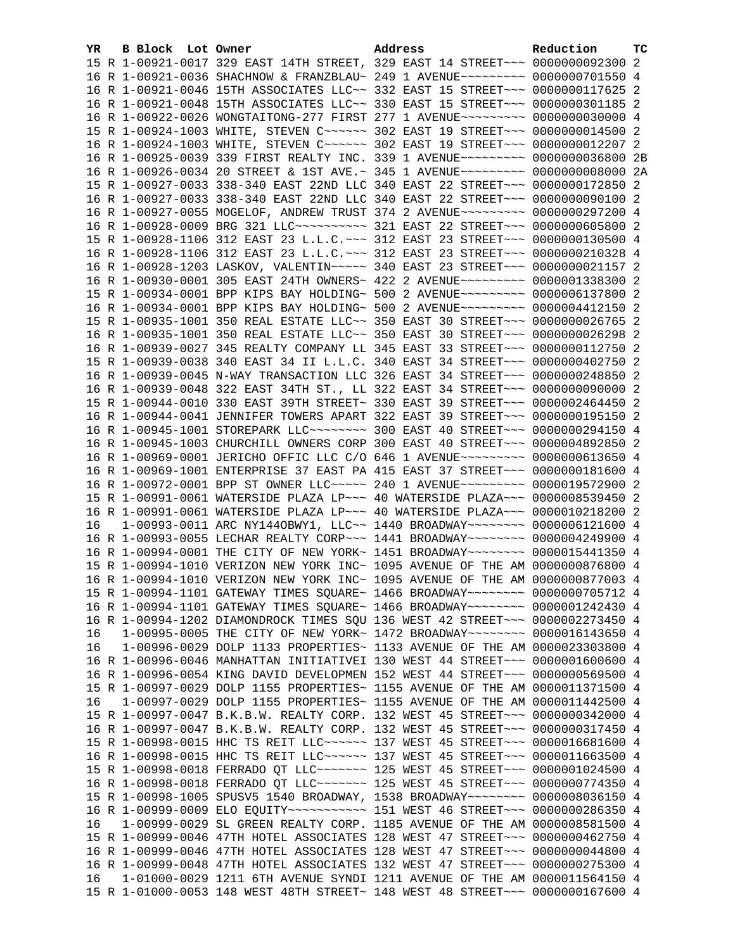| YR. | B Block Lot Owner | Address                                                                                                                                                          | Reduction | тc |
|-----|-------------------|------------------------------------------------------------------------------------------------------------------------------------------------------------------|-----------|----|
|     |                   | 15 R 1-00921-0017 329 EAST 14TH STREET, 329 EAST 14 STREET~~~ 0000000092300 2                                                                                    |           |    |
|     |                   | 16 R 1-00921-0036 SHACHNOW & FRANZBLAU~ 249 1 AVENUE~~~~~~~~~ 0000000701550 4                                                                                    |           |    |
|     |                   | 16 R 1-00921-0046 15TH ASSOCIATES LLC~~ 332 EAST 15 STREET~~~ 0000000117625 2                                                                                    |           |    |
|     |                   | 16 R 1-00921-0048 15TH ASSOCIATES LLC~~ 330 EAST 15 STREET~~~ 0000000301185 2                                                                                    |           |    |
|     |                   | 16 R 1-00922-0026 WONGTAITONG-277 FIRST 277 1 AVENUE~~~~~~~~~ 0000000030000 4                                                                                    |           |    |
|     |                   | 15 R 1-00924-1003 WHITE, STEVEN C ~~~~~~ 302 EAST 19 STREET ~~~ 0000000014500 2                                                                                  |           |    |
|     |                   | 16 R 1-00924-1003 WHITE, STEVEN C ~~~~~~ 302 EAST 19 STREET ~~~ 0000000012207 2                                                                                  |           |    |
|     |                   | 16 R 1-00925-0039 339 FIRST REALTY INC. 339 1 AVENUE~~~~~~~~~ 0000000036800 2B                                                                                   |           |    |
|     |                   | 16 R 1-00926-0034 20 STREET & 1ST AVE.~ 345 1 AVENUE~~~~~~~~~ 0000000008000 2A                                                                                   |           |    |
|     |                   | 15 R 1-00927-0033 338-340 EAST 22ND LLC 340 EAST 22 STREET~~~ 0000000172850 2                                                                                    |           |    |
|     |                   | 16 R 1-00927-0033 338-340 EAST 22ND LLC 340 EAST 22 STREET~~~ 0000000090100 2                                                                                    |           |    |
|     |                   | 16 R 1-00927-0055 MOGELOF, ANDREW TRUST 374 2 AVENUE~~~~~~~~~ 0000000297200 4                                                                                    |           |    |
|     |                   | 16 R 1-00928-0009 BRG 321 LLC~~~~~~~~~~~~~~~ 321 EAST 22 STREET~~~~ 0000000605800 2                                                                              |           |    |
|     |                   | 15 R 1-00928-1106 312 EAST 23 L.L.C. ~~~ 312 EAST 23 STREET~~~ 0000000130500 4                                                                                   |           |    |
|     |                   | 16 R 1-00928-1106 312 EAST 23 L.L.C. ~~~ 312 EAST 23 STREET~~~ 0000000210328 4                                                                                   |           |    |
|     |                   | 16 R 1-00928-1203 LASKOV, VALENTIN~~~~~ 340 EAST 23 STREET~~~ 0000000021157 2                                                                                    |           |    |
|     |                   | 16 R 1-00930-0001 305 EAST 24TH OWNERS~ 422 2 AVENUE~~~~~~~~~~ 0000001338300                                                                                     |           | -2 |
|     |                   | 15 R 1-00934-0001 BPP KIPS BAY HOLDING~ 500 2 AVENUE~~~~~~~~~~ 0000006137800 2                                                                                   |           |    |
|     |                   | 16 R 1-00934-0001 BPP KIPS BAY HOLDING~ 500 2 AVENUE~~~~~~~~~~ 0000004412150 2                                                                                   |           |    |
|     |                   | 15 R 1-00935-1001 350 REAL ESTATE LLC~~ 350 EAST 30 STREET~~~ 0000000026765 2                                                                                    |           |    |
|     |                   | 16 R 1-00935-1001 350 REAL ESTATE LLC~~ 350 EAST 30 STREET~~~ 0000000026298 2                                                                                    |           |    |
|     |                   | 16 R 1-00939-0027 345 REALTY COMPANY LL 345 EAST 33 STREET~~~ 0000000112750 2                                                                                    |           |    |
|     |                   | 15 R 1-00939-0038 340 EAST 34 II L.L.C. 340 EAST 34 STREET~~~ 0000000402750 2                                                                                    |           |    |
|     |                   | 16 R 1-00939-0045 N-WAY TRANSACTION LLC 326 EAST 34 STREET~~~ 0000000248850 2                                                                                    |           |    |
|     |                   | 16 R 1-00939-0048 322 EAST 34TH ST., LL 322 EAST 34 STREET~~~ 0000000090000 2                                                                                    |           |    |
|     |                   | 15 R 1-00944-0010 330 EAST 39TH STREET~ 330 EAST 39 STREET~~~ 0000002464450 2                                                                                    |           |    |
|     |                   | 16 R 1-00944-0041 JENNIFER TOWERS APART 322 EAST 39 STREET~~~ 0000000195150 2                                                                                    |           |    |
|     |                   | 16 R 1-00945-1001 STOREPARK LLC -------- 300 EAST 40 STREET -- 0000000294150 4                                                                                   |           |    |
|     |                   | 16 R 1-00945-1003 CHURCHILL OWNERS CORP 300 EAST 40 STREET~~~ 0000004892850 2                                                                                    |           |    |
|     |                   | 16 R 1-00969-0001 JERICHO OFFIC LLC C/O 646 1 AVENUE~~~~~~~~~ 0000000613650 4                                                                                    |           |    |
|     |                   | 16 R 1-00969-1001 ENTERPRISE 37 EAST PA 415 EAST 37 STREET~~~ 0000000181600 4                                                                                    |           |    |
|     |                   | 16 R 1-00972-0001 BPP ST OWNER LLC ---- 240 1 AVENUE ------- 0000019572900 2                                                                                     |           |    |
|     |                   | 15 R 1-00991-0061 WATERSIDE PLAZA LP~~~ 40 WATERSIDE PLAZA~~~ 0000008539450 2                                                                                    |           |    |
|     |                   | 16 R 1-00991-0061 WATERSIDE PLAZA LP~~~ 40 WATERSIDE PLAZA~~~ 0000010218200 2                                                                                    |           |    |
| 16  |                   | $1-00993-0011$ ARC NY144OBWY1, LLC~~ 1440 BROADWAY~~~~~~~~ 0000006121600 4                                                                                       |           |    |
|     |                   | 16 R 1-00993-0055 LECHAR REALTY CORP~~~ 1441 BROADWAY~~~~~~~~ 0000004249900 4                                                                                    |           |    |
|     |                   | 16 R 1-00994-0001 THE CITY OF NEW YORK~ 1451 BROADWAY~~~~~~~~ 0000015441350 4                                                                                    |           |    |
|     |                   | 15 R 1-00994-1010 VERIZON NEW YORK INC~ 1095 AVENUE OF THE AM 0000000876800 4                                                                                    |           |    |
|     |                   | 16 R 1-00994-1010 VERIZON NEW YORK INC~ 1095 AVENUE OF THE AM 0000000877003 4                                                                                    |           |    |
|     |                   | 15 R 1-00994-1101 GATEWAY TIMES SQUARE~ 1466 BROADWAY~~~~~~~~ 0000000705712 4                                                                                    |           |    |
|     |                   | 16 R 1-00994-1101 GATEWAY TIMES SQUARE~ 1466 BROADWAY~~~~~~~~ 0000001242430 4                                                                                    |           |    |
|     |                   | 16 R 1-00994-1202 DIAMONDROCK TIMES SQU 136 WEST 42 STREET~~~ 0000002273450 4                                                                                    |           |    |
| 16  |                   | 1-00995-0005 THE CITY OF NEW YORK~ 1472 BROADWAY~~~~~~~~ 0000016143650 4                                                                                         |           |    |
| 16  |                   | 1-00996-0029 DOLP 1133 PROPERTIES~ 1133 AVENUE OF THE AM 0000023303800 4                                                                                         |           |    |
|     |                   | 16 R 1-00996-0046 MANHATTAN INITIATIVEI 130 WEST 44 STREET~~~ 0000001600600 4                                                                                    |           |    |
|     |                   | 16 R 1-00996-0054 KING DAVID DEVELOPMEN 152 WEST 44 STREET~~~ 0000000569500 4                                                                                    |           |    |
|     |                   | 15 R 1-00997-0029 DOLP 1155 PROPERTIES~ 1155 AVENUE OF THE AM 0000011371500 4                                                                                    |           |    |
| 16  |                   | 1-00997-0029 DOLP 1155 PROPERTIES~ 1155 AVENUE OF THE AM 0000011442500 4                                                                                         |           |    |
|     |                   | 15 R 1-00997-0047 B.K.B.W. REALTY CORP. 132 WEST 45 STREET~~~ 0000000342000 4                                                                                    |           |    |
|     |                   | 16 R 1-00997-0047 B.K.B.W. REALTY CORP. 132 WEST 45 STREET~~~ 0000000317450 4<br>15 R 1-00998-0015 HHC TS REIT LLC ~~~~~~ 137 WEST 45 STREET ~~~ 0000016681600 4 |           |    |
|     |                   | 16 R 1-00998-0015 HHC TS REIT LLC ~~~~~~ 137 WEST 45 STREET ~~~ 0000011663500 4                                                                                  |           |    |
|     |                   | 15 R 1-00998-0018 FERRADO QT LLC ~~~~~~~ 125 WEST 45 STREET ~~~ 0000001024500 4                                                                                  |           |    |
|     |                   | 16 R 1-00998-0018 FERRADO QT LLC ~~~~~~~ 125 WEST 45 STREET ~~~ 0000000774350 4                                                                                  |           |    |
|     |                   | 15 R 1-00998-1005 SPUSV5 1540 BROADWAY, 1538 BROADWAY~~~~~~~~ 0000008036150 4                                                                                    |           |    |
|     |                   | 16 R 1-00999-0009 ELO EQUITY~~~~~~~~~~~~~~~~ 151 WEST 46 STREET~~~~ 0000000286350 4                                                                              |           |    |
| 16  |                   | 1-00999-0029 SL GREEN REALTY CORP. 1185 AVENUE OF THE AM 0000008581500 4                                                                                         |           |    |
|     |                   | 15 R 1-00999-0046 47TH HOTEL ASSOCIATES 128 WEST 47 STREET~~~ 0000000462750 4                                                                                    |           |    |
|     |                   | 16 R 1-00999-0046 47TH HOTEL ASSOCIATES 128 WEST 47 STREET~~~ 0000000044800 4                                                                                    |           |    |
|     |                   | 16 R 1-00999-0048 47TH HOTEL ASSOCIATES 132 WEST 47 STREET~~~ 0000000275300 4                                                                                    |           |    |
| 16  |                   | 1-01000-0029 1211 6TH AVENUE SYNDI 1211 AVENUE OF THE AM 0000011564150 4                                                                                         |           |    |
|     |                   | 15 R 1-01000-0053 148 WEST 48TH STREET~ 148 WEST 48 STREET~~~ 0000000167600 4                                                                                    |           |    |
|     |                   |                                                                                                                                                                  |           |    |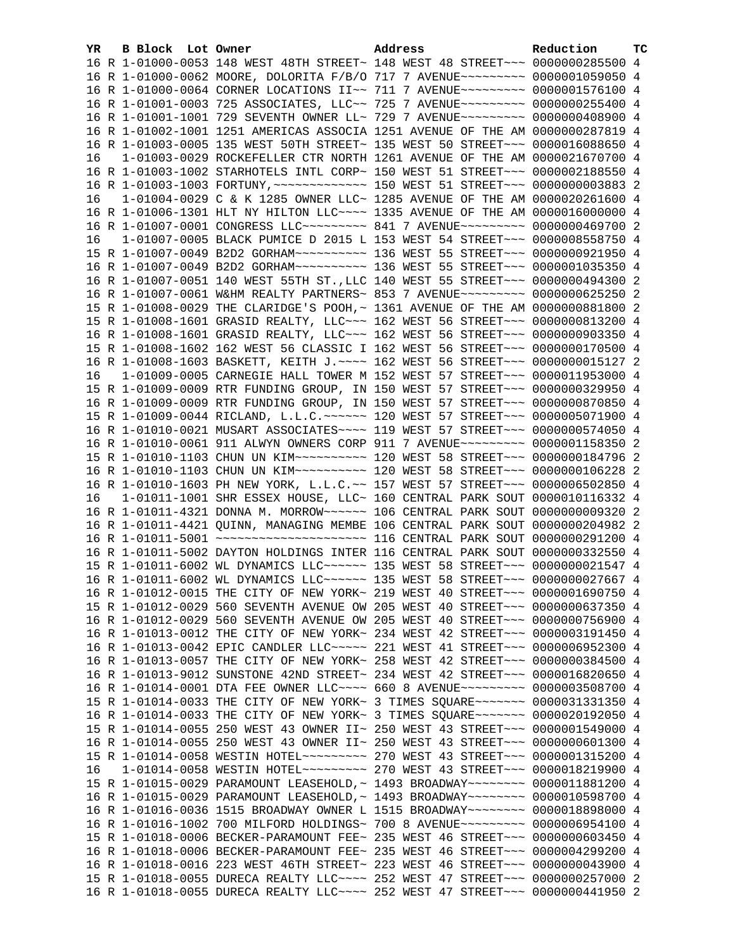| YR. | B Block Lot Owner |                                                                                 | Address | Reduction | тc |
|-----|-------------------|---------------------------------------------------------------------------------|---------|-----------|----|
|     |                   | 16 R 1-01000-0053 148 WEST 48TH STREET~ 148 WEST 48 STREET~~~ 0000000285500 4   |         |           |    |
|     |                   | 16 R 1-01000-0062 MOORE, DOLORITA F/B/O 717 7 AVENUE~~~~~~~~~ 0000001059050 4   |         |           |    |
|     |                   | 16 R 1-01000-0064 CORNER LOCATIONS II~~ 711 7 AVENUE~~~~~~~~~ 0000001576100 4   |         |           |    |
|     |                   | 16 R 1-01001-0003 725 ASSOCIATES, LLC~~ 725 7 AVENUE~~~~~~~~~ 0000000255400 4   |         |           |    |
|     |                   | 16 R 1-01001-1001 729 SEVENTH OWNER LL~ 729 7 AVENUE~~~~~~~~~ 0000000408900 4   |         |           |    |
|     |                   | 16 R 1-01002-1001 1251 AMERICAS ASSOCIA 1251 AVENUE OF THE AM 0000000287819 4   |         |           |    |
|     |                   |                                                                                 |         |           |    |
|     |                   | 16 R 1-01003-0005 135 WEST 50TH STREET~ 135 WEST 50 STREET~~~ 0000016088650 4   |         |           |    |
| 16  |                   | 1-01003-0029 ROCKEFELLER CTR NORTH 1261 AVENUE OF THE AM 0000021670700 4        |         |           |    |
|     |                   | 16 R 1-01003-1002 STARHOTELS INTL CORP~ 150 WEST 51 STREET~~~ 0000002188550 4   |         |           |    |
|     |                   |                                                                                 |         |           |    |
| 16  |                   | 1-01004-0029 C & K 1285 OWNER LLC~ 1285 AVENUE OF THE AM 0000020261600 4        |         |           |    |
|     |                   | 16 R 1-01006-1301 HLT NY HILTON LLC~~~~ 1335 AVENUE OF THE AM 0000016000000 4   |         |           |    |
|     |                   | 16 R 1-01007-0001 CONGRESS LLC -------- 841 7 AVENUE -------- 0000000469700 2   |         |           |    |
| 16  |                   | 1-01007-0005 BLACK PUMICE D 2015 L 153 WEST 54 STREET~~~ 0000008558750 4        |         |           |    |
|     |                   |                                                                                 |         |           |    |
|     |                   |                                                                                 |         |           |    |
|     |                   | 16 R 1-01007-0051 140 WEST 55TH ST., LLC 140 WEST 55 STREET~~~ 0000000494300 2  |         |           |    |
|     |                   | 16 R 1-01007-0061 W&HM REALTY PARTNERS~ 853 7 AVENUE~~~~~~~~~ 0000000625250 2   |         |           |    |
|     |                   | 15 R 1-01008-0029 THE CLARIDGE'S POOH, ~ 1361 AVENUE OF THE AM 0000000881800 2  |         |           |    |
|     |                   | 15 R 1-01008-1601 GRASID REALTY, LLC ~~~ 162 WEST 56 STREET ~~~ 0000000813200 4 |         |           |    |
|     |                   | 16 R 1-01008-1601 GRASID REALTY, LLC ~~~ 162 WEST 56 STREET ~~~ 0000000903350 4 |         |           |    |
|     |                   | 15 R 1-01008-1602 162 WEST 56 CLASSIC I 162 WEST 56 STREET~~~ 0000000170500 4   |         |           |    |
|     |                   |                                                                                 |         |           |    |
|     |                   | 16 R 1-01008-1603 BASKETT, KEITH J. ~~~~ 162 WEST 56 STREET~~~ 0000000015127 2  |         |           |    |
| 16  |                   | 1-01009-0005 CARNEGIE HALL TOWER M 152 WEST 57 STREET~~~ 0000011953000 4        |         |           |    |
|     |                   | 15 R 1-01009-0009 RTR FUNDING GROUP, IN 150 WEST 57 STREET~~~ 0000000329950 4   |         |           |    |
|     |                   | 16 R 1-01009-0009 RTR FUNDING GROUP, IN 150 WEST 57 STREET~~~ 0000000870850 4   |         |           |    |
|     |                   | 15 R 1-01009-0044 RICLAND, L.L.C. ~~~~~~ 120 WEST 57 STREET ~~~ 0000005071900 4 |         |           |    |
|     |                   | 16 R 1-01010-0021 MUSART ASSOCIATES~~~~ 119 WEST 57 STREET~~~ 0000000574050 4   |         |           |    |
|     |                   | 16 R 1-01010-0061 911 ALWYN OWNERS CORP 911 7 AVENUE~~~~~~~~~ 0000001158350 2   |         |           |    |
|     |                   |                                                                                 |         |           |    |
|     |                   |                                                                                 |         |           |    |
|     |                   | 16 R 1-01010-1603 PH NEW YORK, L.L.C.~~ 157 WEST 57 STREET~~~ 0000006502850 4   |         |           |    |
| 16  |                   | 1-01011-1001 SHR ESSEX HOUSE, LLC~ 160 CENTRAL PARK SOUT 0000010116332 4        |         |           |    |
|     |                   | 16 R 1-01011-4321 DONNA M. MORROW~~~~~~ 106 CENTRAL PARK SOUT 0000000009320 2   |         |           |    |
|     |                   | 16 R 1-01011-4421 QUINN, MANAGING MEMBE 106 CENTRAL PARK SOUT 0000000204982 2   |         |           |    |
|     |                   |                                                                                 |         |           |    |
|     |                   | 16 R 1-01011-5002 DAYTON HOLDINGS INTER 116 CENTRAL PARK SOUT 0000000332550 4   |         |           |    |
|     |                   | 15 R 1-01011-6002 WL DYNAMICS LLC~~~~~~ 135 WEST 58 STREET~~~ 0000000021547 4   |         |           |    |
|     |                   | 16 R 1-01011-6002 WL DYNAMICS LLC ~~~~~~ 135 WEST 58 STREET ~~~ 0000000027667 4 |         |           |    |
|     |                   |                                                                                 |         |           |    |
|     |                   | 16 R 1-01012-0015 THE CITY OF NEW YORK~ 219 WEST 40 STREET~~~ 0000001690750 4   |         |           |    |
|     |                   | 15 R 1-01012-0029 560 SEVENTH AVENUE OW 205 WEST 40 STREET~~~ 0000000637350 4   |         |           |    |
|     |                   | 16 R 1-01012-0029 560 SEVENTH AVENUE OW 205 WEST 40 STREET~~~ 0000000756900 4   |         |           |    |
|     |                   | 16 R 1-01013-0012 THE CITY OF NEW YORK~ 234 WEST 42 STREET~~~ 0000003191450 4   |         |           |    |
|     |                   | 16 R 1-01013-0042 EPIC CANDLER LLC~~~~~ 221 WEST 41 STREET~~~ 0000006952300 4   |         |           |    |
|     |                   | 16 R 1-01013-0057 THE CITY OF NEW YORK~ 258 WEST 42 STREET~~~ 0000000384500 4   |         |           |    |
|     |                   | 16 R 1-01013-9012 SUNSTONE 42ND STREET~ 234 WEST 42 STREET~~~ 0000016820650 4   |         |           |    |
|     |                   | 16 R 1-01014-0001 DTA FEE OWNER LLC --- 660 8 AVENUE -------- 0000003508700 4   |         |           |    |
|     |                   | 15 R 1-01014-0033 THE CITY OF NEW YORK~ 3 TIMES SQUARE~~~~~~~ 0000031331350 4   |         |           |    |
|     |                   | 16 R 1-01014-0033 THE CITY OF NEW YORK~ 3 TIMES SQUARE~~~~~~~ 0000020192050 4   |         |           |    |
|     |                   | 15 R 1-01014-0055 250 WEST 43 OWNER II~ 250 WEST 43 STREET~~~ 0000001549000 4   |         |           |    |
|     |                   | 16 R 1-01014-0055 250 WEST 43 OWNER II~ 250 WEST 43 STREET~~~ 0000000601300 4   |         |           |    |
|     |                   |                                                                                 |         |           |    |
| 16  |                   |                                                                                 |         |           |    |
|     |                   | 15 R 1-01015-0029 PARAMOUNT LEASEHOLD, ~ 1493 BROADWAY~~~~~~~~ 0000011881200 4  |         |           |    |
|     |                   | 16 R 1-01015-0029 PARAMOUNT LEASEHOLD, ~ 1493 BROADWAY~~~~~~~~ 0000010598700 4  |         |           |    |
|     |                   | 16 R 1-01016-0036 1515 BROADWAY OWNER L 1515 BROADWAY~~~~~~~~ 0000018898000 4   |         |           |    |
|     |                   |                                                                                 |         |           |    |
|     |                   | 16 R 1-01016-1002 700 MILFORD HOLDINGS~ 700 8 AVENUE~~~~~~~~~ 0000006954100 4   |         |           |    |
|     |                   | 15 R 1-01018-0006 BECKER-PARAMOUNT FEE~ 235 WEST 46 STREET~~~ 0000000603450 4   |         |           |    |
|     |                   | 16 R 1-01018-0006 BECKER-PARAMOUNT FEE~ 235 WEST 46 STREET~~~ 0000004299200 4   |         |           |    |
|     |                   | 16 R 1-01018-0016 223 WEST 46TH STREET~ 223 WEST 46 STREET~~~ 0000000043900 4   |         |           |    |
|     |                   | 15 R 1-01018-0055 DURECA REALTY LLC ~~~~ 252 WEST 47 STREET ~~~ 0000000257000 2 |         |           |    |
|     |                   | 16 R 1-01018-0055 DURECA REALTY LLC ~~~~ 252 WEST 47 STREET ~~~ 0000000441950 2 |         |           |    |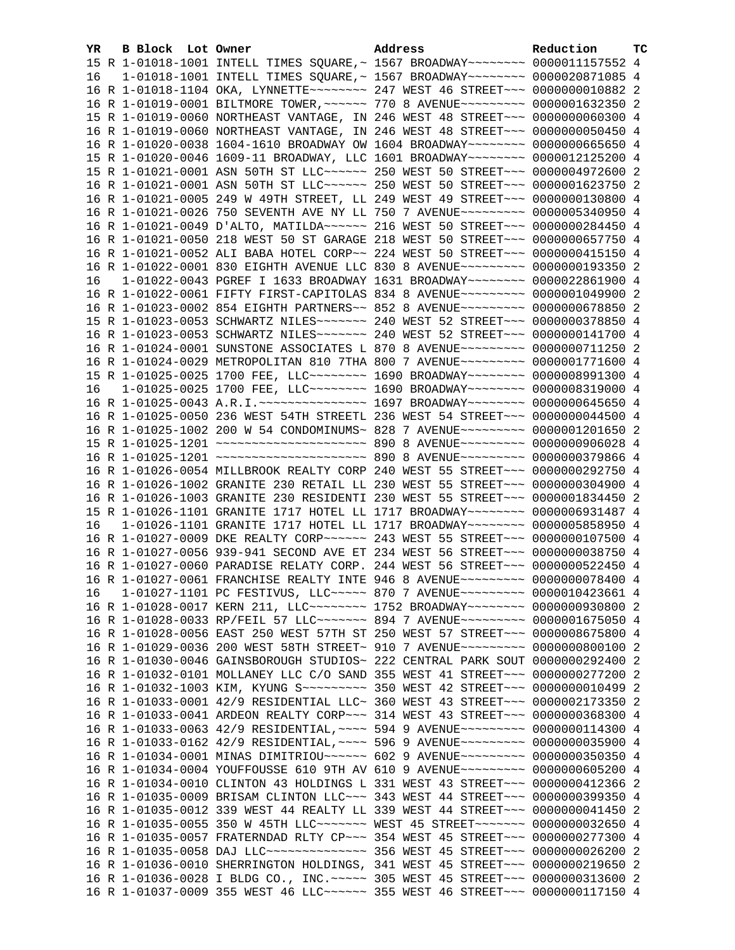| YR. | <b>B Block</b> Lot Owner |                                                                                   | Address | Reduction | тc |
|-----|--------------------------|-----------------------------------------------------------------------------------|---------|-----------|----|
|     |                          | 15 R 1-01018-1001 INTELL TIMES SQUARE, ~ 1567 BROADWAY~~~~~~~~ 0000011157552 4    |         |           |    |
| 16  |                          | 1-01018-1001 INTELL TIMES SQUARE, ~ 1567 BROADWAY~~~~~~~~ 0000020871085 4         |         |           |    |
|     |                          | 16 R 1-01018-1104 OKA, LYNNETTE~~~~~~~~ 247 WEST 46 STREET~~~ 0000000010882 2     |         |           |    |
|     |                          | 16 R 1-01019-0001 BILTMORE TOWER, ~~~~~~ 770 8 AVENUE~~~~~~~~~ 0000001632350 2    |         |           |    |
|     |                          | 15 R 1-01019-0060 NORTHEAST VANTAGE, IN 246 WEST 48 STREET~~~ 0000000060300 4     |         |           |    |
|     |                          | 16 R 1-01019-0060 NORTHEAST VANTAGE, IN 246 WEST 48 STREET~~~ 0000000050450 4     |         |           |    |
|     |                          | 16 R 1-01020-0038 1604-1610 BROADWAY OW 1604 BROADWAY~~~~~~~~ 0000000665650 4     |         |           |    |
|     |                          | 15 R 1-01020-0046 1609-11 BROADWAY, LLC 1601 BROADWAY~~~~~~~~ 0000012125200 4     |         |           |    |
|     |                          | 15 R 1-01021-0001 ASN 50TH ST LLC ----- 250 WEST 50 STREET -- 0000004972600 2     |         |           |    |
|     |                          | 16 R 1-01021-0001 ASN 50TH ST LLC ----- 250 WEST 50 STREET -- 0000001623750 2     |         |           |    |
|     |                          | 16 R 1-01021-0005 249 W 49TH STREET, LL 249 WEST 49 STREET~~~ 0000000130800 4     |         |           |    |
|     |                          | 16 R 1-01021-0026 750 SEVENTH AVE NY LL 750 7 AVENUE~~~~~~~~~ 0000005340950 4     |         |           |    |
|     |                          | 16 R 1-01021-0049 D'ALTO, MATILDA~~~~~~ 216 WEST 50 STREET~~~ 0000000284450 4     |         |           |    |
|     |                          | 16 R 1-01021-0050 218 WEST 50 ST GARAGE 218 WEST 50 STREET~~~ 0000000657750 4     |         |           |    |
|     |                          | 16 R 1-01021-0052 ALI BABA HOTEL CORP~~ 224 WEST 50 STREET~~~ 0000000415150 4     |         |           |    |
|     |                          | 16 R 1-01022-0001 830 EIGHTH AVENUE LLC 830 8 AVENUE~~~~~~~~~ 0000000193350 2     |         |           |    |
| 16  |                          | 1-01022-0043 PGREF I 1633 BROADWAY 1631 BROADWAY~~~~~~~~ 0000022861900 4          |         |           |    |
|     |                          | 16 R 1-01022-0061 FIFTY FIRST-CAPITOLAS 834 8 AVENUE~~~~~~~~~ 0000001049900 2     |         |           |    |
|     |                          | 16 R 1-01023-0002 854 EIGHTH PARTNERS~~ 852 8 AVENUE~~~~~~~~~ 0000000678850 2     |         |           |    |
|     |                          | 15 R 1-01023-0053 SCHWARTZ NILES~~~~~~~ 240 WEST 52 STREET~~~ 0000000378850 4     |         |           |    |
|     |                          | 16 R 1-01023-0053 SCHWARTZ NILES~~~~~~~ 240 WEST 52 STREET~~~ 0000000141700 4     |         |           |    |
|     |                          | 16 R 1-01024-0001 SUNSTONE ASSOCIATES L 870 8 AVENUE~~~~~~~~~ 0000000711250 2     |         |           |    |
|     |                          | 16 R 1-01024-0029 METROPOLITAN 810 7THA 800 7 AVENUE~~~~~~~~~ 0000001771600 4     |         |           |    |
|     |                          | 15 R 1-01025-0025 1700 FEE, LLC~~~~~~~~ 1690 BROADWAY~~~~~~~~ 0000008991300 4     |         |           |    |
| 16  |                          | 1-01025-0025 1700 FEE, LLC -------- 1690 BROADWAY ------- 0000008319000 4         |         |           |    |
|     |                          | 16 R 1-01025-0043 A.R.I.~~~~~~~~~~~~~~~~~~ 1697 BROADWAY~~~~~~~~~ 0000000645650 4 |         |           |    |
|     |                          | 16 R 1-01025-0050 236 WEST 54TH STREETL 236 WEST 54 STREET~~~ 0000000044500 4     |         |           |    |
|     |                          | 16 R 1-01025-1002 200 W 54 CONDOMINUMS~ 828 7 AVENUE~~~~~~~~~~ 0000001201650 2    |         |           |    |
|     |                          | 15 R 1-01025-1201 ~~~~~~~~~~~~~~~~~~~~~~ 890 8 AVENUE~~~~~~~~~ 0000000906028 4    |         |           |    |
|     |                          | 16 R 1-01025-1201 ~~~~~~~~~~~~~~~~~~~~~~ 890 8 AVENUE~~~~~~~~~ 0000000379866 4    |         |           |    |
|     |                          | 16 R 1-01026-0054 MILLBROOK REALTY CORP 240 WEST 55 STREET~~~ 0000000292750 4     |         |           |    |
|     |                          | 16 R 1-01026-1002 GRANITE 230 RETAIL LL 230 WEST 55 STREET~~~ 0000000304900 4     |         |           |    |
|     |                          | 16 R 1-01026-1003 GRANITE 230 RESIDENTI 230 WEST 55 STREET~~~ 0000001834450 2     |         |           |    |
|     |                          | 15 R 1-01026-1101 GRANITE 1717 HOTEL LL 1717 BROADWAY~~~~~~~~ 0000006931487 4     |         |           |    |
| 16  |                          | 1-01026-1101 GRANITE 1717 HOTEL LL 1717 BROADWAY~~~~~~~~ 0000005858950 4          |         |           |    |
|     |                          | 16 R 1-01027-0009 DKE REALTY CORP~~~~~~ 243 WEST 55 STREET~~~ 0000000107500 4     |         |           |    |
|     |                          | 16 R 1-01027-0056 939-941 SECOND AVE ET 234 WEST 56 STREET~~~ 0000000038750 4     |         |           |    |
|     |                          | 16 R 1-01027-0060 PARADISE RELATY CORP. 244 WEST 56 STREET~~~ 0000000522450 4     |         |           |    |
|     |                          | 16 R 1-01027-0061 FRANCHISE REALTY INTE 946 8 AVENUE~~~~~~~~~ 0000000078400 4     |         |           |    |
| 16  |                          | 1-01027-1101 PC FESTIVUS, LLC ---- 870 7 AVENUE -------- 0000010423661 4          |         |           |    |
|     |                          | 16 R 1-01028-0017 KERN 211, LLC ------- 1752 BROADWAY ------- 0000000930800 2     |         |           |    |
|     |                          | 16 R 1-01028-0033 RP/FEIL 57 LLC ------ 894 7 AVENUE -------- 0000001675050 4     |         |           |    |
|     |                          | 16 R 1-01028-0056 EAST 250 WEST 57TH ST 250 WEST 57 STREET~~~ 0000008675800 4     |         |           |    |
|     |                          | 16 R 1-01029-0036 200 WEST 58TH STREET~ 910 7 AVENUE~~~~~~~~~ 0000000800100 2     |         |           |    |
|     |                          | 16 R 1-01030-0046 GAINSBOROUGH STUDIOS~ 222 CENTRAL PARK SOUT 0000000292400 2     |         |           |    |
|     |                          | 16 R 1-01032-0101 MOLLANEY LLC C/O SAND 355 WEST 41 STREET~~~ 0000000277200 2     |         |           |    |
|     |                          | 16 R 1-01032-1003 KIM, KYUNG S --- -- - - 350 WEST 42 STREET -- 0000000010499 2   |         |           |    |
|     |                          | 16 R 1-01033-0001 42/9 RESIDENTIAL LLC~ 360 WEST 43 STREET~~~ 0000002173350 2     |         |           |    |
|     |                          | 16 R 1-01033-0041 ARDEON REALTY CORP~~~ 314 WEST 43 STREET~~~ 0000000368300 4     |         |           |    |
|     |                          | 16 R 1-01033-0063 42/9 RESIDENTIAL, ~~~~ 594 9 AVENUE~~~~~~~~~ 0000000114300 4    |         |           |    |
|     |                          | 16 R 1-01033-0162 42/9 RESIDENTIAL, ~~~~ 596 9 AVENUE~~~~~~~~~ 0000000035900 4    |         |           |    |
|     |                          | 16 R 1-01034-0001 MINAS DIMITRIOU~~~~~~ 602 9 AVENUE~~~~~~~~~ 0000000350350 4     |         |           |    |
|     |                          | 16 R 1-01034-0004 YOUFFOUSSE 610 9TH AV 610 9 AVENUE~~~~~~~~~ 0000000605200 4     |         |           |    |
|     |                          | 16 R 1-01034-0010 CLINTON 43 HOLDINGS L 331 WEST 43 STREET~~~ 0000000412366 2     |         |           |    |
|     |                          | 16 R 1-01035-0009 BRISAM CLINTON LLC~~~ 343 WEST 44 STREET~~~ 0000000399350 4     |         |           |    |
|     |                          | 16 R 1-01035-0012 339 WEST 44 REALTY LL 339 WEST 44 STREET~~~ 0000000041450 2     |         |           |    |
|     |                          | 16 R 1-01035-0055 350 W 45TH LLC ------ WEST 45 STREET ------- 0000000032650 4    |         |           |    |
|     |                          | 16 R 1-01035-0057 FRATERNDAD RLTY CP ~~~ 354 WEST 45 STREET ~~~ 0000000277300 4   |         |           |    |
|     |                          | 16 R 1-01035-0058 DAJ LLC --------------- 356 WEST 45 STREET --- 0000000026200 2  |         |           |    |
|     |                          | 16 R 1-01036-0010 SHERRINGTON HOLDINGS, 341 WEST 45 STREET~~~ 0000000219650 2     |         |           |    |
|     |                          | 16 R 1-01036-0028 I BLDG CO., INC. ~~~~~ 305 WEST 45 STREET~~~ 0000000313600 2    |         |           |    |
|     |                          | 16 R 1-01037-0009 355 WEST 46 LLC ----- 355 WEST 46 STREET --- 0000000117150 4    |         |           |    |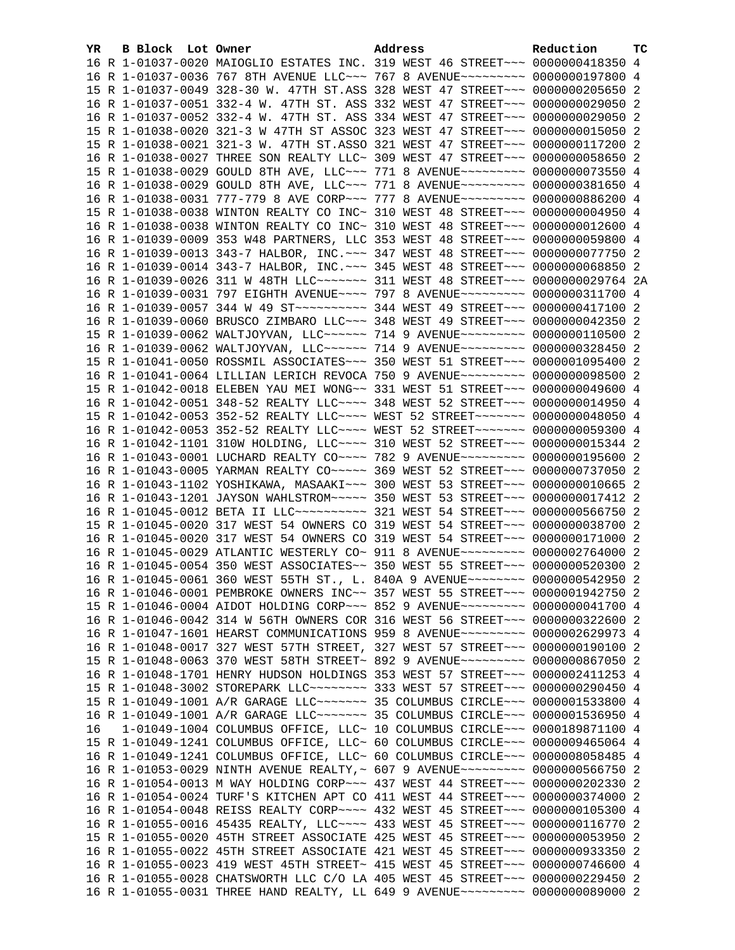| YR. | B Block Lot Owner | Address                                                                             | Reduction | <b>TC</b> |
|-----|-------------------|-------------------------------------------------------------------------------------|-----------|-----------|
|     |                   | 16 R 1-01037-0020 MAIOGLIO ESTATES INC. 319 WEST 46 STREET~~~ 0000000418350 4       |           |           |
|     |                   | 16 R 1-01037-0036 767 8TH AVENUE LLC~~~ 767 8 AVENUE~~~~~~~~~ 0000000197800 4       |           |           |
|     |                   | 15 R 1-01037-0049 328-30 W. 47TH ST.ASS 328 WEST 47 STREET~~~ 0000000205650 2       |           |           |
|     |                   | 16 R 1-01037-0051 332-4 W. 47TH ST. ASS 332 WEST 47 STREET~~~ 0000000029050 2       |           |           |
|     |                   |                                                                                     |           |           |
|     |                   | 16 R 1-01037-0052 332-4 W. 47TH ST. ASS 334 WEST 47 STREET~~~ 0000000029050 2       |           |           |
|     |                   | 15 R 1-01038-0020 321-3 W 47TH ST ASSOC 323 WEST 47 STREET~~~ 0000000015050 2       |           |           |
|     |                   | 15 R 1-01038-0021 321-3 W. 47TH ST.ASSO 321 WEST 47 STREET~~~ 0000000117200 2       |           |           |
|     |                   | 16 R 1-01038-0027 THREE SON REALTY LLC~ 309 WEST 47 STREET~~~ 0000000058650 2       |           |           |
|     |                   | 15 R 1-01038-0029 GOULD 8TH AVE, LLC ~~~ 771 8 AVENUE ~~~~~~~~~ 0000000073550 4     |           |           |
|     |                   | 16 R 1-01038-0029 GOULD 8TH AVE, LLC ~~~ 771 8 AVENUE ~~~~~~~~~ 0000000381650 4     |           |           |
|     |                   | 16 R 1-01038-0031 777-779 8 AVE CORP~~~ 777 8 AVENUE~~~~~~~~~ 0000000886200 4       |           |           |
|     |                   | 15 R 1-01038-0038 WINTON REALTY CO INC~ 310 WEST 48 STREET~~~ 0000000004950 4       |           |           |
|     |                   | 16 R 1-01038-0038 WINTON REALTY CO INC~ 310 WEST 48 STREET~~~ 0000000012600 4       |           |           |
|     |                   | 16 R 1-01039-0009 353 W48 PARTNERS, LLC 353 WEST 48 STREET~~~ 0000000059800 4       |           |           |
|     |                   | 16 R 1-01039-0013 343-7 HALBOR, INC. ~~~ 347 WEST 48 STREET~~~ 0000000077750 2      |           |           |
|     |                   | 16 R 1-01039-0014 343-7 HALBOR, INC. ~~~ 345 WEST 48 STREET~~~ 0000000068850 2      |           |           |
|     |                   | 16 R 1-01039-0026 311 W 48TH LLC ------- 311 WEST 48 STREET --- 0000000029764 2A    |           |           |
|     |                   |                                                                                     |           |           |
|     |                   | 16 R 1-01039-0031 797 EIGHTH AVENUE~~~~ 797 8 AVENUE~~~~~~~~~ 0000000311700 4       |           |           |
|     |                   |                                                                                     |           |           |
|     |                   | 16 R 1-01039-0060 BRUSCO ZIMBARO LLC~~~ 348 WEST 49 STREET~~~ 0000000042350 2       |           |           |
|     |                   | 15 R 1-01039-0062 WALTJOYVAN, LLC~~~~~~ 714 9 AVENUE~~~~~~~~ 0000000110500 2        |           |           |
|     |                   | 16 R 1-01039-0062 WALTJOYVAN, LLC~~~~~~ 714 9 AVENUE~~~~~~~~~ 0000000328450 2       |           |           |
|     |                   | 15 R 1-01041-0050 ROSSMIL ASSOCIATES~~~ 350 WEST 51 STREET~~~ 0000001095400 2       |           |           |
|     |                   | 16 R 1-01041-0064 LILLIAN LERICH REVOCA 750 9 AVENUE~~~~~~~~~ 0000000098500 2       |           |           |
|     |                   | 15 R 1-01042-0018 ELEBEN YAU MEI WONG~~ 331 WEST 51 STREET~~~ 0000000049600 4       |           |           |
|     |                   | 16 R 1-01042-0051 348-52 REALTY LLC --- 348 WEST 52 STREET -- 0000000014950 4       |           |           |
|     |                   | 15 R 1-01042-0053 352-52 REALTY LLC --- WEST 52 STREET ------ 0000000048050 4       |           |           |
|     |                   | 16 R 1-01042-0053 352-52 REALTY LLC --- WEST 52 STREET ------ 0000000059300 4       |           |           |
|     |                   | 16 R 1-01042-1101 310W HOLDING, LLC --- 310 WEST 52 STREET -- 00000000015344 2      |           |           |
|     |                   | 16 R 1-01043-0001 LUCHARD REALTY CO~~~~ 782 9 AVENUE~~~~~~~~~ 0000000195600 2       |           |           |
|     |                   |                                                                                     |           |           |
|     |                   | 16 R 1-01043-0005 YARMAN REALTY CO~~~~~ 369 WEST 52 STREET~~~ 0000000737050 2       |           |           |
|     |                   | 16 R 1-01043-1102 YOSHIKAWA, MASAAKI~~~ 300 WEST 53 STREET~~~ 0000000010665 2       |           |           |
|     |                   | 16 R 1-01043-1201 JAYSON WAHLSTROM~~~~~ 350 WEST 53 STREET~~~ 0000000017412 2       |           |           |
|     |                   | 16 R 1-01045-0012 BETA II LLC~~~~~~~~~~~~~~~ 321 WEST 54 STREET~~~~ 0000000566750 2 |           |           |
|     |                   | 15 R 1-01045-0020 317 WEST 54 OWNERS CO 319 WEST 54 STREET~~~ 0000000038700 2       |           |           |
|     |                   | 16 R 1-01045-0020 317 WEST 54 OWNERS CO 319 WEST 54 STREET~~~ 0000000171000 2       |           |           |
|     |                   | 16 R 1-01045-0029 ATLANTIC WESTERLY CO~ 911 8 AVENUE~~~~~~~~~ 0000002764000 2       |           |           |
|     |                   | 16 R 1-01045-0054 350 WEST ASSOCIATES~~ 350 WEST 55 STREET~~~ 0000000520300 2       |           |           |
|     |                   | 16 R 1-01045-0061 360 WEST 55TH ST., L. 840A 9 AVENUE~~~~~~~~ 0000000542950 2       |           |           |
|     |                   | 16 R 1-01046-0001 PEMBROKE OWNERS INC~~ 357 WEST 55 STREET~~~ 0000001942750 2       |           |           |
|     |                   | 15 R 1-01046-0004 AIDOT HOLDING CORP~~~ 852 9 AVENUE~~~~~~~~~ 0000000041700 4       |           |           |
|     |                   | 16 R 1-01046-0042 314 W 56TH OWNERS COR 316 WEST 56 STREET~~~ 0000000322600 2       |           |           |
|     |                   | 16 R 1-01047-1601 HEARST COMMUNICATIONS 959 8 AVENUE~~~~~~~~~ 0000002629973 4       |           |           |
|     |                   | 16 R 1-01048-0017 327 WEST 57TH STREET, 327 WEST 57 STREET~~~ 0000000190100 2       |           |           |
|     |                   | 15 R 1-01048-0063 370 WEST 58TH STREET~ 892 9 AVENUE~~~~~~~~~ 0000000867050 2       |           |           |
|     |                   |                                                                                     |           |           |
|     |                   | 16 R 1-01048-1701 HENRY HUDSON HOLDINGS 353 WEST 57 STREET~~~ 0000002411253 4       |           |           |
|     |                   | 15 R 1-01048-3002 STOREPARK LLC -------- 333 WEST 57 STREET --- 0000000290450 4     |           |           |
|     |                   | 15 R 1-01049-1001 A/R GARAGE LLC ------ 35 COLUMBUS CIRCLE --- 0000001533800 4      |           |           |
|     |                   | 16 R 1-01049-1001 A/R GARAGE LLC ------- 35 COLUMBUS CIRCLE --- 0000001536950 4     |           |           |
| 16  |                   | 1-01049-1004 COLUMBUS OFFICE, LLC~ 10 COLUMBUS CIRCLE~~~ 0000189871100 4            |           |           |
|     |                   | 15 R 1-01049-1241 COLUMBUS OFFICE, LLC~ 60 COLUMBUS CIRCLE~~~ 0000009465064 4       |           |           |
|     |                   | 16 R 1-01049-1241 COLUMBUS OFFICE, LLC~ 60 COLUMBUS CIRCLE~~~ 0000008058485 4       |           |           |
|     |                   | 16 R 1-01053-0029 NINTH AVENUE REALTY, ~ 607 9 AVENUE~~~~~~~~~ 0000000566750 2      |           |           |
|     |                   | 16 R 1-01054-0013 M WAY HOLDING CORP~~~ 437 WEST 44 STREET~~~ 0000000202330 2       |           |           |
|     |                   | 16 R 1-01054-0024 TURF'S KITCHEN APT CO 411 WEST 44 STREET~~~ 0000000374000 2       |           |           |
|     |                   | 16 R 1-01054-0048 REISS REALTY CORP~~~~ 432 WEST 45 STREET~~~ 0000000105300 4       |           |           |
|     |                   |                                                                                     |           |           |
|     |                   | 16 R 1-01055-0016 45435 REALTY, LLC~~~~ 433 WEST 45 STREET~~~ 0000000116770 2       |           |           |
|     |                   | 15 R 1-01055-0020 45TH STREET ASSOCIATE 425 WEST 45 STREET~~~ 0000000053950 2       |           |           |
|     |                   | 16 R 1-01055-0022 45TH STREET ASSOCIATE 421 WEST 45 STREET~~~ 0000000933350 2       |           |           |
|     |                   | 16 R 1-01055-0023 419 WEST 45TH STREET~ 415 WEST 45 STREET~~~ 0000000746600 4       |           |           |
|     |                   | 16 R 1-01055-0028 CHATSWORTH LLC C/O LA 405 WEST 45 STREET~~~ 0000000229450 2       |           |           |
|     |                   | 16 R 1-01055-0031 THREE HAND REALTY, LL 649 9 AVENUE~~~~~~~~~ 0000000089000 2       |           |           |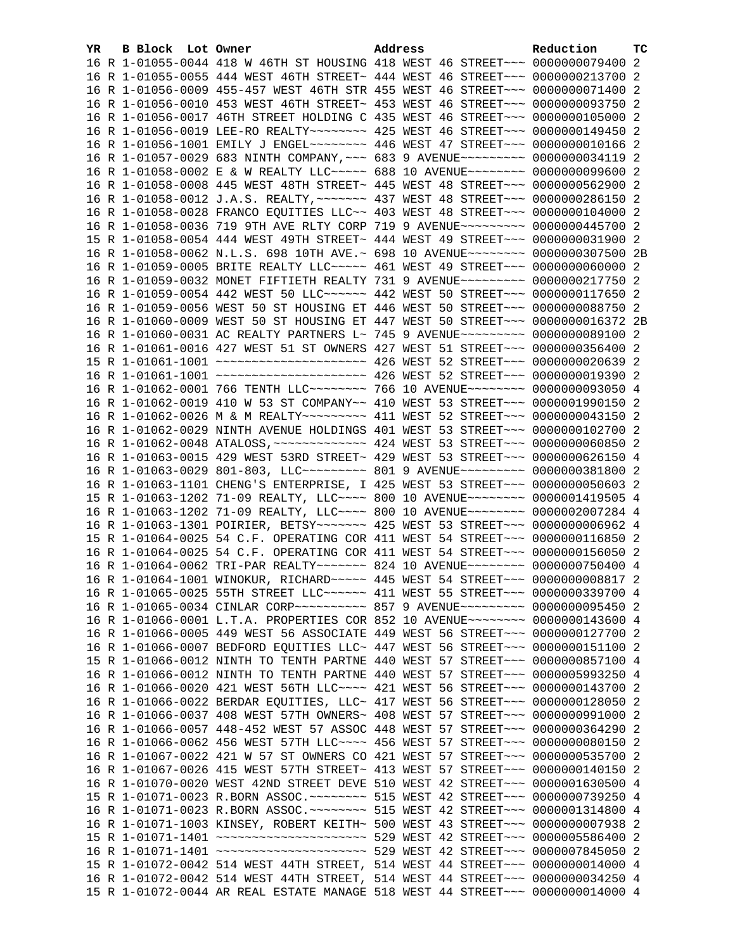| YR. | B Block Lot Owner |                                                                                                                                                                | Address |  | Reduction | TC  |
|-----|-------------------|----------------------------------------------------------------------------------------------------------------------------------------------------------------|---------|--|-----------|-----|
|     |                   | 16 R 1-01055-0044 418 W 46TH ST HOUSING 418 WEST 46 STREET~~~ 0000000079400 2                                                                                  |         |  |           |     |
|     |                   | 16 R 1-01055-0055 444 WEST 46TH STREET~ 444 WEST 46 STREET~~~ 0000000213700 2                                                                                  |         |  |           |     |
|     |                   | 16 R 1-01056-0009 455-457 WEST 46TH STR 455 WEST 46 STREET~~~ 0000000071400 2                                                                                  |         |  |           |     |
|     |                   | 16 R 1-01056-0010 453 WEST 46TH STREET~ 453 WEST 46 STREET~~~ 0000000093750 2                                                                                  |         |  |           |     |
|     |                   | 16 R 1-01056-0017 46TH STREET HOLDING C 435 WEST 46 STREET~~~ 0000000105000 2                                                                                  |         |  |           |     |
|     |                   | 16 R 1-01056-0019 LEE-RO REALTY~~~~~~~~ 425 WEST 46 STREET~~~ 0000000149450 2                                                                                  |         |  |           |     |
|     |                   | 16 R 1-01056-1001 EMILY J ENGEL~~~~~~~~ 446 WEST 47 STREET~~~ 00000000010166 2                                                                                 |         |  |           |     |
|     |                   | 16 R 1-01057-0029 683 NINTH COMPANY, ~~~ 683 9 AVENUE~~~~~~~~~ 0000000034119 2                                                                                 |         |  |           |     |
|     |                   | 16 R 1-01058-0002 E & W REALTY LLC~~~~~ 688 10 AVENUE~~~~~~~~ 0000000099600 2                                                                                  |         |  |           |     |
|     |                   | 16 R 1-01058-0008 445 WEST 48TH STREET~ 445 WEST 48 STREET~~~ 0000000562900 2                                                                                  |         |  |           |     |
|     |                   | 16 R 1-01058-0012 J.A.S. REALTY, ~~~~~~~ 437 WEST 48 STREET~~~ 0000000286150 2                                                                                 |         |  |           |     |
|     |                   | 16 R 1-01058-0028 FRANCO EQUITIES LLC~~ 403 WEST 48 STREET~~~ 0000000104000 2                                                                                  |         |  |           |     |
|     |                   | 16 R 1-01058-0036 719 9TH AVE RLTY CORP 719 9 AVENUE~~~~~~~~~ 0000000445700 2                                                                                  |         |  |           |     |
|     |                   | 15 R 1-01058-0054 444 WEST 49TH STREET~ 444 WEST 49 STREET~~~ 0000000031900 2                                                                                  |         |  |           |     |
|     |                   | 16 R 1-01058-0062 N.L.S. 698 10TH AVE.~ 698 10 AVENUE~~~~~~~~ 0000000307500 2B                                                                                 |         |  |           |     |
|     |                   | 16 R 1-01059-0005 BRITE REALTY LLC ~~~~~ 461 WEST 49 STREET ~~~ 0000000060000 2                                                                                |         |  |           |     |
|     |                   | 16 R 1-01059-0032 MONET FIFTIETH REALTY 731 9 AVENUE~~~~~~~~~ 0000000217750 2                                                                                  |         |  |           |     |
|     |                   | 16 R 1-01059-0054 442 WEST 50 LLC ----- 442 WEST 50 STREET -- 00000000117650 2                                                                                 |         |  |           |     |
|     |                   | 16 R 1-01059-0056 WEST 50 ST HOUSING ET 446 WEST 50 STREET~~~ 0000000088750 2                                                                                  |         |  |           |     |
|     |                   | 16 R 1-01060-0009 WEST 50 ST HOUSING ET 447 WEST 50 STREET~~~ 0000000016372 2B                                                                                 |         |  |           |     |
|     |                   | 16 R 1-01060-0031 AC REALTY PARTNERS L~ 745 9 AVENUE~~~~~~~~~ 0000000089100 2                                                                                  |         |  |           |     |
|     |                   | 16 R 1-01061-0016 427 WEST 51 ST OWNERS 427 WEST 51 STREET~~~ 0000000356400 2                                                                                  |         |  |           |     |
|     |                   | 15 R 1-01061-1001 ~~~~~~~~~~~~~~~~~~~~~~ 426 WEST 52 STREET~~~ 0000000020639 2                                                                                 |         |  |           |     |
|     |                   | 16 R 1-01061-1001 ~~~~~~~~~~~~~~~~~~~~~~ 426 WEST 52 STREET~~~ 00000000019390 2                                                                                |         |  |           |     |
|     |                   | 16 R 1-01062-0001 766 TENTH LLC ------- 766 10 AVENUE ------- 0000000093050 4                                                                                  |         |  |           |     |
|     |                   | 16 R 1-01062-0019 410 W 53 ST COMPANY~~ 410 WEST 53 STREET~~~ 0000001990150 2                                                                                  |         |  |           |     |
|     |                   |                                                                                                                                                                |         |  |           |     |
|     |                   | 16 R 1-01062-0026 M & M REALTY~~~~~~~~~ 411 WEST 52 STREET~~~ 0000000043150 2                                                                                  |         |  |           |     |
|     |                   | 16 R 1-01062-0029 NINTH AVENUE HOLDINGS 401 WEST 53 STREET~~~ 0000000102700 2                                                                                  |         |  |           |     |
|     |                   |                                                                                                                                                                |         |  |           |     |
|     |                   | 16 R 1-01063-0015 429 WEST 53RD STREET~ 429 WEST 53 STREET~~~ 0000000626150 4                                                                                  |         |  |           |     |
|     |                   | 16 R 1-01063-0029 801-803, LLC --------- 801 9 AVENUE --------- 0000000381800 2                                                                                |         |  |           |     |
|     |                   | 16 R 1-01063-1101 CHENG'S ENTERPRISE, I 425 WEST 53 STREET~~~ 0000000050603 2<br>15 R 1-01063-1202 71-09 REALTY, LLC~~~~ 800 10 AVENUE~~~~~~~~ 0000001419505 4 |         |  |           |     |
|     |                   |                                                                                                                                                                |         |  |           |     |
|     |                   | 16 R 1-01063-1202 71-09 REALTY, LLC --- 800 10 AVENUE ------- 0000002007284 4                                                                                  |         |  |           |     |
|     |                   | 16 R 1-01063-1301 POIRIER, BETSY~~~~~~~ 425 WEST 53 STREET~~~ 00000000006962 4                                                                                 |         |  |           |     |
|     |                   | 15 R 1-01064-0025 54 C.F. OPERATING COR 411 WEST 54 STREET~~~ 0000000116850 2                                                                                  |         |  |           |     |
|     |                   | 16 R 1-01064-0025 54 C.F. OPERATING COR 411 WEST 54 STREET~~~ 0000000156050 2<br>16 R 1-01064-0062 TRI-PAR REALTY~~~~~~~ 824 10 AVENUE~~~~~~~~ 0000000750400 4 |         |  |           |     |
|     |                   |                                                                                                                                                                |         |  |           |     |
|     |                   | 16 R 1-01064-1001 WINOKUR, RICHARD ~~~~~ 445 WEST 54 STREET ~~~ 0000000008817 2                                                                                |         |  |           |     |
|     |                   | 16 R 1-01065-0025 55TH STREET LLC ~~~~~~ 411 WEST 55 STREET ~~~ 0000000339700 4                                                                                |         |  |           |     |
|     |                   | 16 R 1-01065-0034 CINLAR CORP~~~~~~~~~~ 857 9 AVENUE~~~~~~~~~ 0000000095450 2                                                                                  |         |  |           |     |
|     |                   | 16 R 1-01066-0001 L.T.A. PROPERTIES COR 852 10 AVENUE~~~~~~~~ 0000000143600 4                                                                                  |         |  |           |     |
|     |                   | 16 R 1-01066-0005 449 WEST 56 ASSOCIATE 449 WEST 56 STREET~~~ 0000000127700 2                                                                                  |         |  |           |     |
|     |                   | 16 R 1-01066-0007 BEDFORD EQUITIES LLC~ 447 WEST 56 STREET~~~ 0000000151100                                                                                    |         |  |           | -2  |
|     |                   | 15 R 1-01066-0012 NINTH TO TENTH PARTNE 440 WEST 57 STREET~~~ 0000000857100 4                                                                                  |         |  |           |     |
|     |                   | 16 R 1-01066-0012 NINTH TO TENTH PARTNE 440 WEST 57 STREET~~~ 0000005993250 4                                                                                  |         |  |           |     |
|     |                   | 16 R 1-01066-0020 421 WEST 56TH LLC~~~~ 421 WEST 56 STREET~~~ 0000000143700                                                                                    |         |  |           | -2  |
|     |                   | 16 R 1-01066-0022 BERDAR EQUITIES, LLC~ 417 WEST 56 STREET~~~ 0000000128050                                                                                    |         |  |           | - 2 |
|     |                   | 16 R 1-01066-0037 408 WEST 57TH OWNERS~ 408 WEST 57 STREET~~~ 0000000991000                                                                                    |         |  |           | -2  |
|     |                   | 16 R 1-01066-0057 448-452 WEST 57 ASSOC 448 WEST 57 STREET~~~ 0000000364290 2                                                                                  |         |  |           |     |
|     |                   | 16 R 1-01066-0062 456 WEST 57TH LLC --- 456 WEST 57 STREET -- 00000000080150 2                                                                                 |         |  |           |     |
|     |                   | 16 R 1-01067-0022 421 W 57 ST OWNERS CO 421 WEST 57 STREET~~~ 0000000535700                                                                                    |         |  |           | -2  |
|     |                   | 16 R 1-01067-0026 415 WEST 57TH STREET~ 413 WEST 57 STREET~~~ 0000000140150                                                                                    |         |  |           | 2   |
|     |                   | 16 R 1-01070-0020 WEST 42ND STREET DEVE 510 WEST 42 STREET~~~ 0000001630500 4                                                                                  |         |  |           |     |
|     |                   | 15 R 1-01071-0023 R.BORN ASSOC. ~~~~~~~~ 515 WEST 42 STREET~~~ 0000000739250 4                                                                                 |         |  |           |     |
|     |                   | 16 R 1-01071-0023 R.BORN ASSOC. ~~~~~~~~ 515 WEST 42 STREET~~~ 0000001314800 4                                                                                 |         |  |           |     |
|     |                   | 16 R 1-01071-1003 KINSEY, ROBERT KEITH~ 500 WEST 43 STREET~~~ 0000000007938 2                                                                                  |         |  |           |     |
|     |                   | 15 R 1-01071-1401 ~~~~~~~~~~~~~~~~~~~~~~~ 529 WEST 42 STREET~~~ 0000005586400 2                                                                                |         |  |           |     |
|     |                   | 16 R 1-01071-1401 ~~~~~~~~~~~~~~~~~~~~~~~ 529 WEST 42 STREET~~~ 0000007845050 2                                                                                |         |  |           |     |
|     |                   | 15 R 1-01072-0042 514 WEST 44TH STREET, 514 WEST 44 STREET~~~ 0000000014000 4                                                                                  |         |  |           |     |
|     |                   | 16 R 1-01072-0042 514 WEST 44TH STREET, 514 WEST 44 STREET~~~ 0000000034250 4                                                                                  |         |  |           |     |
|     |                   | 15 R 1-01072-0044 AR REAL ESTATE MANAGE 518 WEST 44 STREET~~~ 0000000014000 4                                                                                  |         |  |           |     |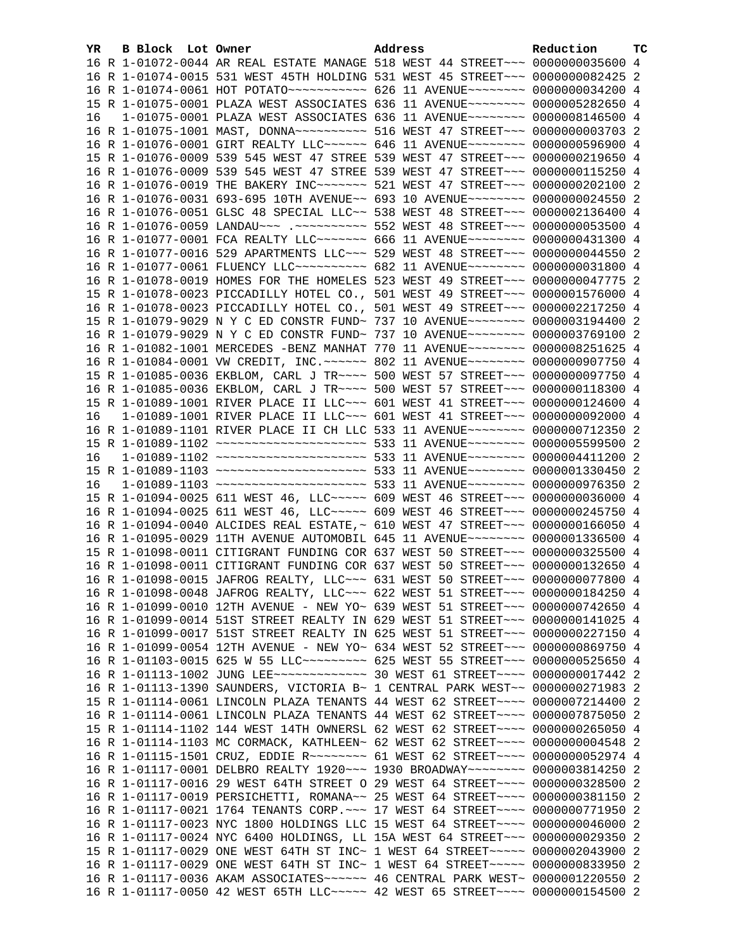| YR. | B Block Lot Owner | Address                                                                         | Reduction | ТC |
|-----|-------------------|---------------------------------------------------------------------------------|-----------|----|
|     |                   | 16 R 1-01072-0044 AR REAL ESTATE MANAGE 518 WEST 44 STREET~~~ 0000000035600 4   |           |    |
|     |                   | 16 R 1-01074-0015 531 WEST 45TH HOLDING 531 WEST 45 STREET~~~ 0000000082425 2   |           |    |
|     |                   |                                                                                 |           |    |
|     |                   | 15 R 1-01075-0001 PLAZA WEST ASSOCIATES 636 11 AVENUE~~~~~~~~ 0000005282650 4   |           |    |
| 16  |                   | 1-01075-0001 PLAZA WEST ASSOCIATES 636 11 AVENUE~~~~~~~~~ 0000008146500 4       |           |    |
|     |                   | 16 R 1-01075-1001 MAST, DONNA~~~~~~~~~~~ 516 WEST 47 STREET~~~ 00000000003703 2 |           |    |
|     |                   | 16 R 1-01076-0001 GIRT REALTY LLC~~~~~~ 646 11 AVENUE~~~~~~~~ 0000000596900 4   |           |    |
|     |                   | 15 R 1-01076-0009 539 545 WEST 47 STREE 539 WEST 47 STREET~~~ 0000000219650 4   |           |    |
|     |                   | 16 R 1-01076-0009 539 545 WEST 47 STREE 539 WEST 47 STREET~~~ 0000000115250 4   |           |    |
|     |                   | 16 R 1-01076-0019 THE BAKERY INC ------- 521 WEST 47 STREET -- 0000000202100 2  |           |    |
|     |                   | 16 R 1-01076-0031 693-695 10TH AVENUE~~ 693 10 AVENUE~~~~~~~~ 0000000024550 2   |           |    |
|     |                   | 16 R 1-01076-0051 GLSC 48 SPECIAL LLC~~ 538 WEST 48 STREET~~~ 0000002136400 4   |           |    |
|     |                   | 16 R 1-01076-0059 LANDAU~~~ .~~~~~~~~~~~ 552 WEST 48 STREET~~~ 0000000053500 4  |           |    |
|     |                   | 16 R 1-01077-0001 FCA REALTY LLC~~~~~~~~ 666 11 AVENUE~~~~~~~~ 0000000431300 4  |           |    |
|     |                   | 16 R 1-01077-0016 529 APARTMENTS LLC~~~ 529 WEST 48 STREET~~~ 0000000044550 2   |           |    |
|     |                   | 16 R 1-01077-0061 FLUENCY LLC~~~~~~~~~~ 682 11 AVENUE~~~~~~~~ 0000000031800 4   |           |    |
|     |                   | 16 R 1-01078-0019 HOMES FOR THE HOMELES 523 WEST 49 STREET~~~ 0000000047775 2   |           |    |
|     |                   | 15 R 1-01078-0023 PICCADILLY HOTEL CO., 501 WEST 49 STREET~~~ 0000001576000 4   |           |    |
|     |                   | 16 R 1-01078-0023 PICCADILLY HOTEL CO., 501 WEST 49 STREET~~~ 0000002217250 4   |           |    |
|     |                   | 15 R 1-01079-9029 N Y C ED CONSTR FUND~ 737 10 AVENUE~~~~~~~~ 0000003194400 2   |           |    |
|     |                   | 16 R 1-01079-9029 N Y C ED CONSTR FUND~ 737 10 AVENUE~~~~~~~~ 0000003769100 2   |           |    |
|     |                   | 16 R 1-01082-1001 MERCEDES -BENZ MANHAT 770 11 AVENUE~~~~~~~~ 0000008251625 4   |           |    |
|     |                   | 16 R 1-01084-0001 VW CREDIT, INC. ~~~~~~ 802 11 AVENUE~~~~~~~~ 0000000907750 4  |           |    |
|     |                   | 15 R 1-01085-0036 EKBLOM, CARL J TR~~~~ 500 WEST 57 STREET~~~ 0000000097750 4   |           |    |
|     |                   | 16 R 1-01085-0036 EKBLOM, CARL J TR~~~~ 500 WEST 57 STREET~~~ 0000000118300 4   |           |    |
|     |                   | 15 R 1-01089-1001 RIVER PLACE II LLC~~~ 601 WEST 41 STREET~~~ 0000000124600 4   |           |    |
| 16  |                   | 1-01089-1001 RIVER PLACE II LLC~~~ 601 WEST 41 STREET~~~ 0000000092000 4        |           |    |
|     |                   | 16 R 1-01089-1101 RIVER PLACE II CH LLC 533 11 AVENUE~~~~~~~~ 0000000712350 2   |           |    |
|     |                   | 15 R 1-01089-1102 ~~~~~~~~~~~~~~~~~~~~~ 533 11 AVENUE~~~~~~~~ 0000005599500 2   |           |    |
| 16  |                   | 1-01089-1102 ~~~~~~~~~~~~~~~~~~~~~~ 533 11 AVENUE~~~~~~~~ 0000004411200 2       |           |    |
|     |                   | 15 R 1-01089-1103 ~~~~~~~~~~~~~~~~~~~~~ 533 11 AVENUE~~~~~~~~ 0000001330450 2   |           |    |
| 16  |                   | 1-01089-1103 ~~~~~~~~~~~~~~~~~~~~~ 533 11 AVENUE~~~~~~~~ 0000000976350 2        |           |    |
|     |                   | 15 R 1-01094-0025 611 WEST 46, LLC ---- 609 WEST 46 STREET -- 0000000036000 4   |           |    |
|     |                   | 16 R 1-01094-0025 611 WEST 46, LLC ---- 609 WEST 46 STREET -- 0000000245750 4   |           |    |
|     |                   | 16 R 1-01094-0040 ALCIDES REAL ESTATE,~ 610 WEST 47 STREET~~~ 0000000166050 4   |           |    |
|     |                   | 16 R 1-01095-0029 11TH AVENUE AUTOMOBIL 645 11 AVENUE~~~~~~~~ 0000001336500 4   |           |    |
|     |                   | 15 R 1-01098-0011 CITIGRANT FUNDING COR 637 WEST 50 STREET~~~ 0000000325500 4   |           |    |
|     |                   | 16 R 1-01098-0011 CITIGRANT FUNDING COR 637 WEST 50 STREET~~~ 0000000132650 4   |           |    |
|     |                   | 16 R 1-01098-0015 JAFROG REALTY, LLC ~~~ 631 WEST 50 STREET ~~~ 0000000077800 4 |           |    |
|     |                   | 16 R 1-01098-0048 JAFROG REALTY, LLC~~~ 622 WEST 51 STREET~~~ 0000000184250 4   |           |    |
|     |                   | 16 R 1-01099-0010 12TH AVENUE - NEW YO~ 639 WEST 51 STREET~~~ 0000000742650 4   |           |    |
|     |                   | 16 R 1-01099-0014 51ST STREET REALTY IN 629 WEST 51 STREET~~~ 0000000141025 4   |           |    |
|     |                   | 16 R 1-01099-0017 51ST STREET REALTY IN 625 WEST 51 STREET~~~ 0000000227150 4   |           |    |
|     |                   | 16 R 1-01099-0054 12TH AVENUE - NEW YO~ 634 WEST 52 STREET~~~ 0000000869750 4   |           |    |
|     |                   |                                                                                 |           |    |
|     |                   | 16 R 1-01103-0015 625 W 55 LLC --------- 625 WEST 55 STREET --- 0000000525650 4 |           |    |
|     |                   |                                                                                 |           |    |
|     |                   | 16 R 1-01113-1390 SAUNDERS, VICTORIA B~ 1 CENTRAL PARK WEST~~ 0000000271983 2   |           |    |
|     |                   | 15 R 1-01114-0061 LINCOLN PLAZA TENANTS 44 WEST 62 STREET~~~~ 0000007214400 2   |           |    |
|     |                   | 16 R 1-01114-0061 LINCOLN PLAZA TENANTS 44 WEST 62 STREET~~~~ 0000007875050 2   |           |    |
|     |                   | 15 R 1-01114-1102 144 WEST 14TH OWNERSL 62 WEST 62 STREET~~~~ 0000000265050 4   |           |    |
|     |                   | 16 R 1-01114-1103 MC CORMACK, KATHLEEN~ 62 WEST 62 STREET~~~~ 00000000004548 2  |           |    |
|     |                   | 16 R 1-01115-1501 CRUZ, EDDIE R -------- 61 WEST 62 STREET ---- 0000000052974 4 |           |    |
|     |                   | 16 R 1-01117-0001 DELBRO REALTY 1920 ~~~ 1930 BROADWAY ~~~~~~~~ 0000003814250 2 |           |    |
|     |                   | 16 R 1-01117-0016 29 WEST 64TH STREET O 29 WEST 64 STREET~~~~ 0000000328500 2   |           |    |
|     |                   | 16 R 1-01117-0019 PERSICHETTI, ROMANA~~ 25 WEST 64 STREET~~~~ 0000000381150 2   |           |    |
|     |                   | 16 R 1-01117-0021 1764 TENANTS CORP. ~~~ 17 WEST 64 STREET~~~~ 0000000771950 2  |           |    |
|     |                   | 16 R 1-01117-0023 NYC 1800 HOLDINGS LLC 15 WEST 64 STREET~~~~ 0000000046000 2   |           |    |
|     |                   | 16 R 1-01117-0024 NYC 6400 HOLDINGS, LL 15A WEST 64 STREET~~~ 0000000029350 2   |           |    |
|     |                   | 15 R 1-01117-0029 ONE WEST 64TH ST INC~ 1 WEST 64 STREET~~~~~~ 0000002043900 2  |           |    |
|     |                   | 16 R 1-01117-0029 ONE WEST 64TH ST INC~ 1 WEST 64 STREET~~~~~ 0000000833950 2   |           |    |
|     |                   | 16 R 1-01117-0036 AKAM ASSOCIATES~~~~~~ 46 CENTRAL PARK WEST~ 0000001220550 2   |           |    |
|     |                   | 16 R 1-01117-0050 42 WEST 65TH LLC ---- 42 WEST 65 STREET --- 0000000154500 2   |           |    |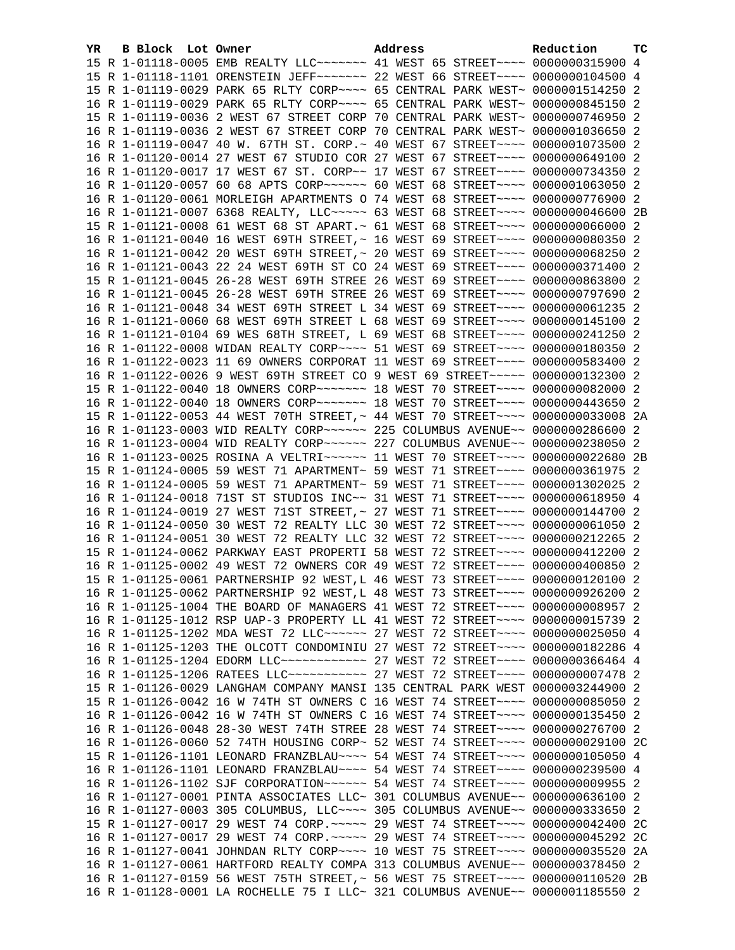| YR. | B Block Lot Owner | Address                                                                          | Reduction | ТC |
|-----|-------------------|----------------------------------------------------------------------------------|-----------|----|
|     |                   | 15 R 1-01118-0005 EMB REALTY LLC ------ 41 WEST 65 STREET --- 0000000315900 4    |           |    |
|     |                   | 15 R 1-01118-1101 ORENSTEIN JEFF~~~~~~~ 22 WEST 66 STREET~~~~ 0000000104500 4    |           |    |
|     |                   | 15 R 1-01119-0029 PARK 65 RLTY CORP~~~~ 65 CENTRAL PARK WEST~ 0000001514250 2    |           |    |
|     |                   | 16 R 1-01119-0029 PARK 65 RLTY CORP~~~~ 65 CENTRAL PARK WEST~ 0000000845150 2    |           |    |
|     |                   | 15 R 1-01119-0036 2 WEST 67 STREET CORP 70 CENTRAL PARK WEST~ 0000000746950 2    |           |    |
|     |                   | 16 R 1-01119-0036 2 WEST 67 STREET CORP 70 CENTRAL PARK WEST~ 0000001036650 2    |           |    |
|     |                   | 16 R 1-01119-0047 40 W. 67TH ST. CORP.~ 40 WEST 67 STREET~~~~ 0000001073500 2    |           |    |
|     |                   | 16 R 1-01120-0014 27 WEST 67 STUDIO COR 27 WEST 67 STREET~~~~ 0000000649100 2    |           |    |
|     |                   | 16 R 1-01120-0017 17 WEST 67 ST. CORP~~ 17 WEST 67 STREET~~~~ 0000000734350 2    |           |    |
|     |                   | 16 R 1-01120-0057 60 68 APTS CORP~~~~~~ 60 WEST 68 STREET~~~~ 0000001063050 2    |           |    |
|     |                   | 16 R 1-01120-0061 MORLEIGH APARTMENTS O 74 WEST 68 STREET~~~~ 0000000776900 2    |           |    |
|     |                   | 16 R 1-01121-0007 6368 REALTY, LLC ----- 63 WEST 68 STREET ---- 0000000046600 2B |           |    |
|     |                   | 15 R 1-01121-0008 61 WEST 68 ST APART.~ 61 WEST 68 STREET~~~~ 0000000066000 2    |           |    |
|     |                   | 16 R 1-01121-0040 16 WEST 69TH STREET, ~ 16 WEST 69 STREET ~~~~ 00000000080350 2 |           |    |
|     |                   | 16 R 1-01121-0042 20 WEST 69TH STREET, ~ 20 WEST 69 STREET ~~~~ 0000000068250 2  |           |    |
|     |                   | 16 R 1-01121-0043 22 24 WEST 69TH ST CO 24 WEST 69 STREET~~~~ 0000000371400 2    |           |    |
|     |                   | 15 R 1-01121-0045 26-28 WEST 69TH STREE 26 WEST 69 STREET~~~~ 0000000863800 2    |           |    |
|     |                   | 16 R 1-01121-0045 26-28 WEST 69TH STREE 26 WEST 69 STREET~~~~ 0000000797690 2    |           |    |
|     |                   | 16 R 1-01121-0048 34 WEST 69TH STREET L 34 WEST 69 STREET~~~~ 0000000061235 2    |           |    |
|     |                   | 16 R 1-01121-0060 68 WEST 69TH STREET L 68 WEST 69 STREET~~~~ 0000000145100 2    |           |    |
|     |                   | 16 R 1-01121-0104 69 WES 68TH STREET, L 69 WEST 68 STREET~~~~ 0000000241250 2    |           |    |
|     |                   | 16 R 1-01122-0008 WIDAN REALTY CORP~~~~ 51 WEST 69 STREET~~~~ 0000000180350 2    |           |    |
|     |                   | 16 R 1-01122-0023 11 69 OWNERS CORPORAT 11 WEST 69 STREET~~~~ 0000000583400 2    |           |    |
|     |                   | 16 R 1-01122-0026 9 WEST 69TH STREET CO 9 WEST 69 STREET~~~~~ 0000000132300 2    |           |    |
|     |                   | 15 R 1-01122-0040 18 OWNERS CORP~~~~~~~ 18 WEST 70 STREET~~~~ 0000000082000 2    |           |    |
|     |                   | 16 R 1-01122-0040 18 OWNERS CORP~~~~~~~ 18 WEST 70 STREET~~~~ 0000000443650 2    |           |    |
|     |                   | 15 R 1-01122-0053 44 WEST 70TH STREET, ~ 44 WEST 70 STREET~~~~ 0000000033008 2A  |           |    |
|     |                   | 16 R 1-01123-0003 WID REALTY CORP~~~~~~ 225 COLUMBUS AVENUE~~ 0000000286600 2    |           |    |
|     |                   | 16 R 1-01123-0004 WID REALTY CORP~~~~~~ 227 COLUMBUS AVENUE~~ 0000000238050 2    |           |    |
|     |                   | 16 R 1-01123-0025 ROSINA A VELTRI~~~~~~ 11 WEST 70 STREET~~~~ 0000000022680 2B   |           |    |
|     |                   | 15 R 1-01124-0005 59 WEST 71 APARTMENT~ 59 WEST 71 STREET~~~~ 0000000361975 2    |           |    |
|     |                   | 16 R 1-01124-0005 59 WEST 71 APARTMENT~ 59 WEST 71 STREET~~~~ 0000001302025 2    |           |    |
|     |                   | 16 R 1-01124-0018 71ST ST STUDIOS INC~~ 31 WEST 71 STREET~~~~ 0000000618950 4    |           |    |
|     |                   | 16 R 1-01124-0019 27 WEST 71ST STREET, ~ 27 WEST 71 STREET ~~~~ 0000000144700 2  |           |    |
|     |                   | 16 R 1-01124-0050 30 WEST 72 REALTY LLC 30 WEST 72 STREET~~~~ 0000000061050 2    |           |    |
|     |                   | 16 R 1-01124-0051 30 WEST 72 REALTY LLC 32 WEST 72 STREET~~~~ 0000000212265 2    |           |    |
|     |                   | 15 R 1-01124-0062 PARKWAY EAST PROPERTI 58 WEST 72 STREET~~~~ 0000000412200 2    |           |    |
|     |                   | 16 R 1-01125-0002 49 WEST 72 OWNERS COR 49 WEST 72 STREET~~~~ 0000000400850 2    |           |    |
|     |                   | 15 R 1-01125-0061 PARTNERSHIP 92 WEST, L 46 WEST 73 STREET~~~~ 0000000120100 2   |           |    |
|     |                   | 16 R 1-01125-0062 PARTNERSHIP 92 WEST, L 48 WEST 73 STREET~~~~ 0000000926200 2   |           |    |
|     |                   | 16 R 1-01125-1004 THE BOARD OF MANAGERS 41 WEST 72 STREET~~~~ 00000000008957 2   |           |    |
|     |                   | 16 R 1-01125-1012 RSP UAP-3 PROPERTY LL 41 WEST 72 STREET~~~~ 0000000015739 2    |           |    |
|     |                   | 16 R 1-01125-1202 MDA WEST 72 LLC ----- 27 WEST 72 STREET --- 0000000025050 4    |           |    |
|     |                   | 16 R 1-01125-1203 THE OLCOTT CONDOMINIU 27 WEST 72 STREET~~~~ 0000000182286 4    |           |    |
|     |                   | 16 R 1-01125-1204 EDORM LLC ------------ 27 WEST 72 STREET ---- 0000000366464 4  |           |    |
|     |                   | 16 R 1-01125-1206 RATEES LLC ----------- 27 WEST 72 STREET ---- 0000000007478 2  |           |    |
|     |                   | 15 R 1-01126-0029 LANGHAM COMPANY MANSI 135 CENTRAL PARK WEST 0000003244900 2    |           |    |
|     |                   | 15 R 1-01126-0042 16 W 74TH ST OWNERS C 16 WEST 74 STREET~~~~ 0000000085050 2    |           |    |
|     |                   | 16 R 1-01126-0042 16 W 74TH ST OWNERS C 16 WEST 74 STREET~~~~ 0000000135450 2    |           |    |
|     |                   | 16 R 1-01126-0048 28-30 WEST 74TH STREE 28 WEST 74 STREET~~~~ 0000000276700 2    |           |    |
|     |                   | 16 R 1-01126-0060 52 74TH HOUSING CORP~ 52 WEST 74 STREET~~~~ 0000000029100 2C   |           |    |
|     |                   | 15 R 1-01126-1101 LEONARD FRANZBLAU~~~~ 54 WEST 74 STREET~~~~ 0000000105050 4    |           |    |
|     |                   | 16 R 1-01126-1101 LEONARD FRANZBLAU~~~~ 54 WEST 74 STREET~~~~ 0000000239500 4    |           |    |
|     |                   | 16 R 1-01126-1102 SJF CORPORATION~~~~~~ 54 WEST 74 STREET~~~~ 0000000009955 2    |           |    |
|     |                   | 16 R 1-01127-0001 PINTA ASSOCIATES LLC~ 301 COLUMBUS AVENUE~~ 0000000636100 2    |           |    |
|     |                   | 16 R 1-01127-0003 305 COLUMBUS, LLC~~~~ 305 COLUMBUS AVENUE~~ 0000000333650      |           | -2 |
|     |                   | 15 R 1-01127-0017 29 WEST 74 CORP. ~~~~~ 29 WEST 74 STREET~~~~ 0000000042400     |           | 2C |
|     |                   | 16 R 1-01127-0017 29 WEST 74 CORP. ~~~~~ 29 WEST 74 STREET~~~~ 0000000045292 2C  |           |    |
|     |                   | 16 R 1-01127-0041 JOHNDAN RLTY CORP~~~~ 10 WEST 75 STREET~~~~ 0000000035520 2A   |           |    |
|     |                   | 16 R 1-01127-0061 HARTFORD REALTY COMPA 313 COLUMBUS AVENUE~~ 0000000378450 2    |           |    |
|     |                   | 16 R 1-01127-0159 56 WEST 75TH STREET, ~ 56 WEST 75 STREET~~~~ 0000000110520 2B  |           |    |
|     |                   | 16 R 1-01128-0001 LA ROCHELLE 75 I LLC~ 321 COLUMBUS AVENUE~~ 0000001185550 2    |           |    |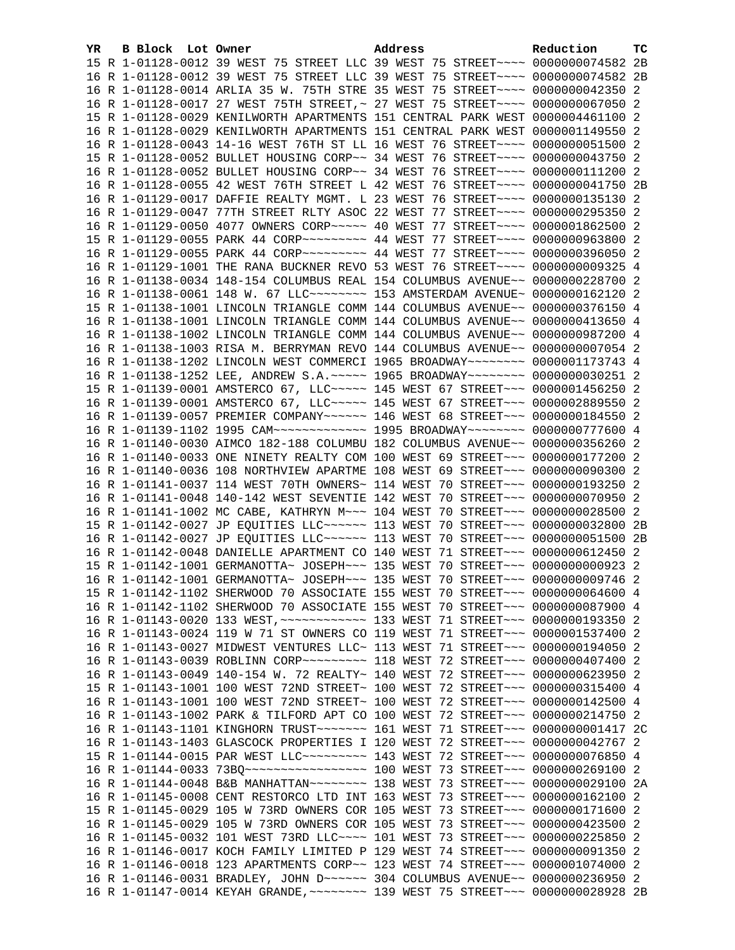| YR | B Block Lot Owner |                                                                                     | Address |  | Reduction | тc |
|----|-------------------|-------------------------------------------------------------------------------------|---------|--|-----------|----|
|    |                   | 15 R 1-01128-0012 39 WEST 75 STREET LLC 39 WEST 75 STREET~~~~ 0000000074582 2B      |         |  |           |    |
|    |                   | 16 R 1-01128-0012 39 WEST 75 STREET LLC 39 WEST 75 STREET~~~~ 0000000074582 2B      |         |  |           |    |
|    |                   | 16 R 1-01128-0014 ARLIA 35 W. 75TH STRE 35 WEST 75 STREET~~~~ 0000000042350 2       |         |  |           |    |
|    |                   | 16 R 1-01128-0017 27 WEST 75TH STREET, ~ 27 WEST 75 STREET ~~~~ 0000000067050 2     |         |  |           |    |
|    |                   | 15 R 1-01128-0029 KENILWORTH APARTMENTS 151 CENTRAL PARK WEST 0000004461100 2       |         |  |           |    |
|    |                   | 16 R 1-01128-0029 KENILWORTH APARTMENTS 151 CENTRAL PARK WEST 0000001149550 2       |         |  |           |    |
|    |                   | 16 R 1-01128-0043 14-16 WEST 76TH ST LL 16 WEST 76 STREET~~~~ 0000000051500 2       |         |  |           |    |
|    |                   | 15 R 1-01128-0052 BULLET HOUSING CORP~~ 34 WEST 76 STREET~~~~ 0000000043750 2       |         |  |           |    |
|    |                   | 16 R 1-01128-0052 BULLET HOUSING CORP~~ 34 WEST 76 STREET~~~~ 0000000111200 2       |         |  |           |    |
|    |                   | 16 R 1-01128-0055 42 WEST 76TH STREET L 42 WEST 76 STREET~~~~ 0000000041750 2B      |         |  |           |    |
|    |                   | 16 R 1-01129-0017 DAFFIE REALTY MGMT. L 23 WEST 76 STREET~~~~ 0000000135130 2       |         |  |           |    |
|    |                   | 16 R 1-01129-0047 77TH STREET RLTY ASOC 22 WEST 77 STREET~~~~ 0000000295350 2       |         |  |           |    |
|    |                   | 16 R 1-01129-0050 4077 OWNERS CORP~~~~~ 40 WEST 77 STREET~~~~ 0000001862500 2       |         |  |           |    |
|    |                   |                                                                                     |         |  |           |    |
|    |                   | 16 R 1-01129-0055 PARK 44 CORP~~~~~~~~~~~~~~~~~~~~ 77 STREET~~~~~ 0000000396050 2   |         |  |           |    |
|    |                   | 16 R 1-01129-1001 THE RANA BUCKNER REVO 53 WEST 76 STREET~~~~ 0000000009325 4       |         |  |           |    |
|    |                   | 16 R 1-01138-0034 148-154 COLUMBUS REAL 154 COLUMBUS AVENUE~~ 0000000228700 2       |         |  |           |    |
|    |                   | 16 R 1-01138-0061 148 W. 67 LLC -------- 153 AMSTERDAM AVENUE- 0000000162120 2      |         |  |           |    |
|    |                   | 15 R 1-01138-1001 LINCOLN TRIANGLE COMM 144 COLUMBUS AVENUE~~ 0000000376150 4       |         |  |           |    |
|    |                   | 16 R 1-01138-1001 LINCOLN TRIANGLE COMM 144 COLUMBUS AVENUE~~ 0000000413650 4       |         |  |           |    |
|    |                   | 16 R 1-01138-1002 LINCOLN TRIANGLE COMM 144 COLUMBUS AVENUE~~ 0000000987200 4       |         |  |           |    |
|    |                   | 16 R 1-01138-1003 RISA M. BERRYMAN REVO 144 COLUMBUS AVENUE~~ 00000000007054 2      |         |  |           |    |
|    |                   | 16 R 1-01138-1202 LINCOLN WEST COMMERCI 1965 BROADWAY~~~~~~~~ 0000001173743 4       |         |  |           |    |
|    |                   | 16 R 1-01138-1252 LEE, ANDREW S.A.~~~~~ 1965 BROADWAY~~~~~~~~ 0000000030251 2       |         |  |           |    |
|    |                   |                                                                                     |         |  |           |    |
|    |                   | 15 R 1-01139-0001 AMSTERCO 67, LLC ---- 145 WEST 67 STREET -- 0000001456250 2       |         |  |           |    |
|    |                   | 16 R 1-01139-0001 AMSTERCO 67, LLC ---- 145 WEST 67 STREET -- 0000002889550 2       |         |  |           |    |
|    |                   | 16 R 1-01139-0057 PREMIER COMPANY~~~~~~ 146 WEST 68 STREET~~~ 0000000184550 2       |         |  |           |    |
|    |                   | 16 R 1-01139-1102 1995 CAM~~~~~~~~~~~~~~~~ 1995 BROADWAY~~~~~~~~ 0000000777600 4    |         |  |           |    |
|    |                   | 16 R 1-01140-0030 AIMCO 182-188 COLUMBU 182 COLUMBUS AVENUE~~ 0000000356260 2       |         |  |           |    |
|    |                   | 16 R 1-01140-0033 ONE NINETY REALTY COM 100 WEST 69 STREET~~~ 0000000177200 2       |         |  |           |    |
|    |                   | 16 R 1-01140-0036 108 NORTHVIEW APARTME 108 WEST 69 STREET~~~ 0000000090300 2       |         |  |           |    |
|    |                   | 16 R 1-01141-0037 114 WEST 70TH OWNERS~ 114 WEST 70 STREET~~~ 0000000193250 2       |         |  |           |    |
|    |                   | 16 R 1-01141-0048 140-142 WEST SEVENTIE 142 WEST 70 STREET~~~ 0000000070950 2       |         |  |           |    |
|    |                   | 16 R 1-01141-1002 MC CABE, KATHRYN M~~~ 104 WEST 70 STREET~~~ 0000000028500 2       |         |  |           |    |
|    |                   | 15 R 1-01142-0027 JP EQUITIES LLC ~~~~~~ 113 WEST 70 STREET ~~~ 0000000032800 2B    |         |  |           |    |
|    |                   | 16 R 1-01142-0027 JP EQUITIES LLC ~~~~~~ 113 WEST 70 STREET ~~~ 0000000051500 2B    |         |  |           |    |
|    |                   | 16 R 1-01142-0048 DANIELLE APARTMENT CO 140 WEST 71 STREET~~~ 0000000612450 2       |         |  |           |    |
|    |                   | 15 R 1-01142-1001 GERMANOTTA~ JOSEPH~~~ 135 WEST 70 STREET~~~ 0000000000923 2       |         |  |           |    |
|    |                   | 16 R 1-01142-1001 GERMANOTTA~ JOSEPH~~~ 135 WEST 70 STREET~~~ 0000000009746 2       |         |  |           |    |
|    |                   | 15 R 1-01142-1102 SHERWOOD 70 ASSOCIATE 155 WEST 70 STREET~~~ 0000000064600 4       |         |  |           |    |
|    |                   | 16 R 1-01142-1102 SHERWOOD 70 ASSOCIATE 155 WEST 70 STREET~~~ 0000000087900 4       |         |  |           |    |
|    |                   | 16 R 1-01143-0020 133 WEST, ~~~~~~~~~~~~~~~~ 133 WEST 71 STREET~~~~ 0000000193350 2 |         |  |           |    |
|    |                   | 16 R 1-01143-0024 119 W 71 ST OWNERS CO 119 WEST 71 STREET~~~ 0000001537400 2       |         |  |           |    |
|    |                   | 16 R 1-01143-0027 MIDWEST VENTURES LLC~ 113 WEST 71 STREET~~~ 0000000194050 2       |         |  |           |    |
|    |                   | 16 R 1-01143-0039 ROBLINN CORP~~~~~~~~~~ 118 WEST 72 STREET~~~ 0000000407400 2      |         |  |           |    |
|    |                   | 16 R 1-01143-0049 140-154 W. 72 REALTY~ 140 WEST 72 STREET~~~ 0000000623950 2       |         |  |           |    |
|    |                   | 15 R 1-01143-1001 100 WEST 72ND STREET~ 100 WEST 72 STREET~~~ 0000000315400 4       |         |  |           |    |
|    |                   | 16 R 1-01143-1001 100 WEST 72ND STREET~ 100 WEST 72 STREET~~~ 0000000142500 4       |         |  |           |    |
|    |                   | 16 R 1-01143-1002 PARK & TILFORD APT CO 100 WEST 72 STREET~~~ 0000000214750 2       |         |  |           |    |
|    |                   | 16 R 1-01143-1101 KINGHORN TRUST~~~~~~~~ 161 WEST 71 STREET~~~ 0000000001417 2C     |         |  |           |    |
|    |                   | 16 R 1-01143-1403 GLASCOCK PROPERTIES I 120 WEST 72 STREET~~~ 0000000042767 2       |         |  |           |    |
|    |                   | 15 R 1-01144-0015 PAR WEST LLC -------- 143 WEST 72 STREET --- 0000000076850 4      |         |  |           |    |
|    |                   | 16 R 1-01144-0033 73BQ ------------------ 100 WEST 73 STREET --- 0000000269100 2    |         |  |           |    |
|    |                   | 16 R 1-01144-0048 B&B MANHATTAN~~~~~~~~ 138 WEST 73 STREET~~~ 0000000029100 2A      |         |  |           |    |
|    |                   | 16 R 1-01145-0008 CENT RESTORCO LTD INT 163 WEST 73 STREET~~~ 0000000162100 2       |         |  |           |    |
|    |                   | 15 R 1-01145-0029 105 W 73RD OWNERS COR 105 WEST 73 STREET~~~ 0000000171600 2       |         |  |           |    |
|    |                   | 16 R 1-01145-0029 105 W 73RD OWNERS COR 105 WEST 73 STREET~~~ 0000000423500 2       |         |  |           |    |
|    |                   | 16 R 1-01145-0032 101 WEST 73RD LLC --- 101 WEST 73 STREET -- 0000000225850 2       |         |  |           |    |
|    |                   | 16 R 1-01146-0017 KOCH FAMILY LIMITED P 129 WEST 74 STREET~~~ 0000000091350 2       |         |  |           |    |
|    |                   | 16 R 1-01146-0018 123 APARTMENTS CORP~~ 123 WEST 74 STREET~~~ 0000001074000 2       |         |  |           |    |
|    |                   | 16 R 1-01146-0031 BRADLEY, JOHN D ~~~~~~ 304 COLUMBUS AVENUE ~~ 0000000236950 2     |         |  |           |    |
|    |                   | 16 R 1-01147-0014 KEYAH GRANDE, ~~~~~~~~ 139 WEST 75 STREET~~~ 0000000028928 2B     |         |  |           |    |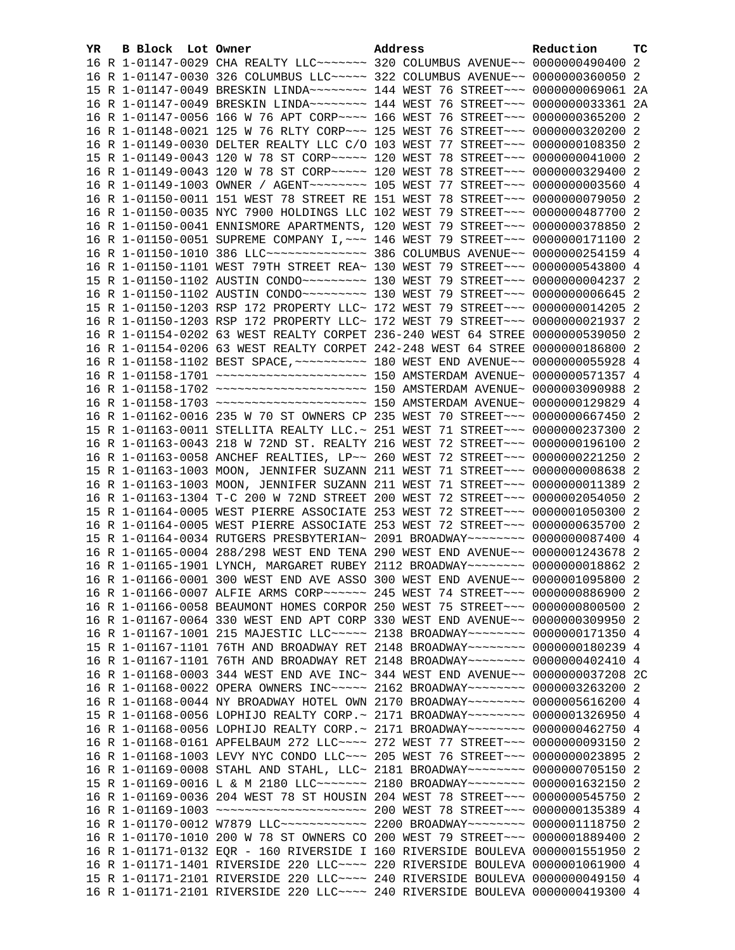| YR. | B Block Lot Owner | Address                                                                              | Reduction | тc |
|-----|-------------------|--------------------------------------------------------------------------------------|-----------|----|
|     |                   | 16 R 1-01147-0029 CHA REALTY LLC ------ 320 COLUMBUS AVENUE -- 0000000490400 2       |           |    |
|     |                   | 16 R 1-01147-0030 326 COLUMBUS LLC ~~~~~ 322 COLUMBUS AVENUE~~ 0000000360050 2       |           |    |
|     |                   | 15 R 1-01147-0049 BRESKIN LINDA~~~~~~~~~ 144 WEST 76 STREET~~~ 0000000069061 2A      |           |    |
|     |                   | 16 R 1-01147-0049 BRESKIN LINDA~~~~~~~~~~~~~ 144 WEST 76 STREET~~~ 0000000033361 2A  |           |    |
|     |                   | 16 R 1-01147-0056 166 W 76 APT CORP~~~~ 166 WEST 76 STREET~~~ 0000000365200 2        |           |    |
|     |                   | 16 R 1-01148-0021 125 W 76 RLTY CORP~~~ 125 WEST 76 STREET~~~ 0000000320200 2        |           |    |
|     |                   | 16 R 1-01149-0030 DELTER REALTY LLC C/O 103 WEST 77 STREET~~~ 0000000108350 2        |           |    |
|     |                   | 15 R 1-01149-0043 120 W 78 ST CORP~~~~~ 120 WEST 78 STREET~~~ 0000000041000 2        |           |    |
|     |                   | 16 R 1-01149-0043 120 W 78 ST CORP~~~~~ 120 WEST 78 STREET~~~ 0000000329400 2        |           |    |
|     |                   | 16 R 1-01149-1003 OWNER / AGENT~~~~~~~~ 105 WEST 77 STREET~~~ 00000000003560 4       |           |    |
|     |                   | 16 R 1-01150-0011 151 WEST 78 STREET RE 151 WEST 78 STREET~~~ 0000000079050 2        |           |    |
|     |                   | 16 R 1-01150-0035 NYC 7900 HOLDINGS LLC 102 WEST 79 STREET~~~ 0000000487700 2        |           |    |
|     |                   | 16 R 1-01150-0041 ENNISMORE APARTMENTS, 120 WEST 79 STREET~~~ 0000000378850 2        |           |    |
|     |                   | 16 R 1-01150-0051 SUPREME COMPANY I, ~~~ 146 WEST 79 STREET~~~ 0000000171100 2       |           |    |
|     |                   | 16 R 1-01150-1010 386 LLC -------------- 386 COLUMBUS AVENUE -- 0000000254159 4      |           |    |
|     |                   | 16 R 1-01150-1101 WEST 79TH STREET REA~ 130 WEST 79 STREET~~~ 0000000543800 4        |           |    |
|     |                   | 15 R 1-01150-1102 AUSTIN CONDO~~~~~~~~~~~~~~ 130 WEST 79 STREET~~~~ 00000000004237 2 |           |    |
|     |                   | 16 R 1-01150-1102 AUSTIN CONDO~~~~~~~~~~~~~~ 130 WEST 79 STREET~~~~ 00000000006645 2 |           |    |
|     |                   | 15 R 1-01150-1203 RSP 172 PROPERTY LLC~ 172 WEST 79 STREET~~~ 0000000014205 2        |           |    |
|     |                   | 16 R 1-01150-1203 RSP 172 PROPERTY LLC~ 172 WEST 79 STREET~~~ 0000000021937 2        |           |    |
|     |                   | 16 R 1-01154-0202 63 WEST REALTY CORPET 236-240 WEST 64 STREE 0000000539050 2        |           |    |
|     |                   | 16 R 1-01154-0206 63 WEST REALTY CORPET 242-248 WEST 64 STREE 0000000186800 2        |           |    |
|     |                   |                                                                                      |           |    |
|     |                   |                                                                                      |           |    |
|     |                   |                                                                                      |           |    |
|     |                   |                                                                                      |           |    |
|     |                   | 16 R 1-01162-0016 235 W 70 ST OWNERS CP 235 WEST 70 STREET~~~ 0000000667450 2        |           |    |
|     |                   | 15 R 1-01163-0011 STELLITA REALTY LLC.~ 251 WEST 71 STREET~~~ 0000000237300 2        |           |    |
|     |                   | 16 R 1-01163-0043 218 W 72ND ST. REALTY 216 WEST 72 STREET~~~ 0000000196100 2        |           |    |
|     |                   | 16 R 1-01163-0058 ANCHEF REALTIES, LP~~ 260 WEST 72 STREET~~~ 0000000221250 2        |           |    |
|     |                   | 15 R 1-01163-1003 MOON, JENNIFER SUZANN 211 WEST 71 STREET~~~ 00000000006638 2       |           |    |
|     |                   | 16 R 1-01163-1003 MOON, JENNIFER SUZANN 211 WEST 71 STREET~~~ 0000000011389 2        |           |    |
|     |                   | 16 R 1-01163-1304 T-C 200 W 72ND STREET 200 WEST 72 STREET~~~ 0000002054050 2        |           |    |
|     |                   | 15 R 1-01164-0005 WEST PIERRE ASSOCIATE 253 WEST 72 STREET~~~ 0000001050300 2        |           |    |
|     |                   | 16 R 1-01164-0005 WEST PIERRE ASSOCIATE 253 WEST 72 STREET~~~ 0000000635700 2        |           |    |
|     |                   | 15 R 1-01164-0034 RUTGERS PRESBYTERIAN~ 2091 BROADWAY~~~~~~~~ 0000000087400 4        |           |    |
|     |                   | 16 R 1-01165-0004 288/298 WEST END TENA 290 WEST END AVENUE~~ 0000001243678 2        |           |    |
|     |                   | 16 R 1-01165-1901 LYNCH, MARGARET RUBEY 2112 BROADWAY~~~~~~~~ 0000000018862 2        |           |    |
|     |                   | 16 R 1-01166-0001 300 WEST END AVE ASSO 300 WEST END AVENUE~~ 0000001095800 2        |           |    |
|     |                   | 16 R 1-01166-0007 ALFIE ARMS CORP~~~~~~ 245 WEST 74 STREET~~~ 0000000886900 2        |           |    |
|     |                   | 16 R 1-01166-0058 BEAUMONT HOMES CORPOR 250 WEST 75 STREET~~~ 0000000800500 2        |           |    |
|     |                   | 16 R 1-01167-0064 330 WEST END APT CORP 330 WEST END AVENUE~~ 0000000309950 2        |           |    |
|     |                   | 16 R 1-01167-1001 215 MAJESTIC LLC~~~~~ 2138 BROADWAY~~~~~~~~ 0000000171350 4        |           |    |
|     |                   | 15 R 1-01167-1101 76TH AND BROADWAY RET 2148 BROADWAY~~~~~~~~ 0000000180239 4        |           |    |
|     |                   | 16 R 1-01167-1101 76TH AND BROADWAY RET 2148 BROADWAY~~~~~~~~ 0000000402410 4        |           |    |
|     |                   |                                                                                      |           |    |
|     |                   | 16 R 1-01168-0003 344 WEST END AVE INC~ 344 WEST END AVENUE~~ 0000000037208 2C       |           |    |
|     |                   | 16 R 1-01168-0022 OPERA OWNERS INC~~~~~ 2162 BROADWAY~~~~~~~~ 0000003263200 2        |           |    |
|     |                   | 16 R 1-01168-0044 NY BROADWAY HOTEL OWN 2170 BROADWAY~~~~~~~~ 0000005616200 4        |           |    |
|     |                   | 15 R 1-01168-0056 LOPHIJO REALTY CORP.~ 2171 BROADWAY~~~~~~~~ 0000001326950 4        |           |    |
|     |                   | 16 R 1-01168-0056 LOPHIJO REALTY CORP.~ 2171 BROADWAY~~~~~~~~ 0000000462750 4        |           |    |
|     |                   | 16 R 1-01168-0161 APFELBAUM 272 LLC ~~~~ 272 WEST 77 STREET ~~~ 0000000093150 2      |           |    |
|     |                   | 16 R 1-01168-1003 LEVY NYC CONDO LLC~~~ 205 WEST 76 STREET~~~ 0000000023895 2        |           |    |
|     |                   | 16 R 1-01169-0008 STAHL AND STAHL, LLC~ 2181 BROADWAY~~~~~~~~~ 0000000705150 2       |           |    |
|     |                   | 15 R 1-01169-0016 L & M 2180 LLC~~~~~~~ 2180 BROADWAY~~~~~~~~ 0000001632150 2        |           |    |
|     |                   | 16 R 1-01169-0036 204 WEST 78 ST HOUSIN 204 WEST 78 STREET~~~ 0000000545750 2        |           |    |
|     |                   |                                                                                      |           |    |
|     |                   | 16 R 1-01170-0012 W7879 LLC ------------ 2200 BROADWAY ------- 0000001118750 2       |           |    |
|     |                   | 16 R 1-01170-1010 200 W 78 ST OWNERS CO 200 WEST 79 STREET~~~ 0000001889400 2        |           |    |
|     |                   | 16 R 1-01171-0132 EQR - 160 RIVERSIDE I 160 RIVERSIDE BOULEVA 0000001551950 2        |           |    |
|     |                   | 16 R 1-01171-1401 RIVERSIDE 220 LLC ~~~~ 220 RIVERSIDE BOULEVA 0000001061900 4       |           |    |
|     |                   | 15 R 1-01171-2101 RIVERSIDE 220 LLC ~~~~ 240 RIVERSIDE BOULEVA 0000000049150 4       |           |    |
|     |                   | 16 R 1-01171-2101 RIVERSIDE 220 LLC ~~~~ 240 RIVERSIDE BOULEVA 0000000419300 4       |           |    |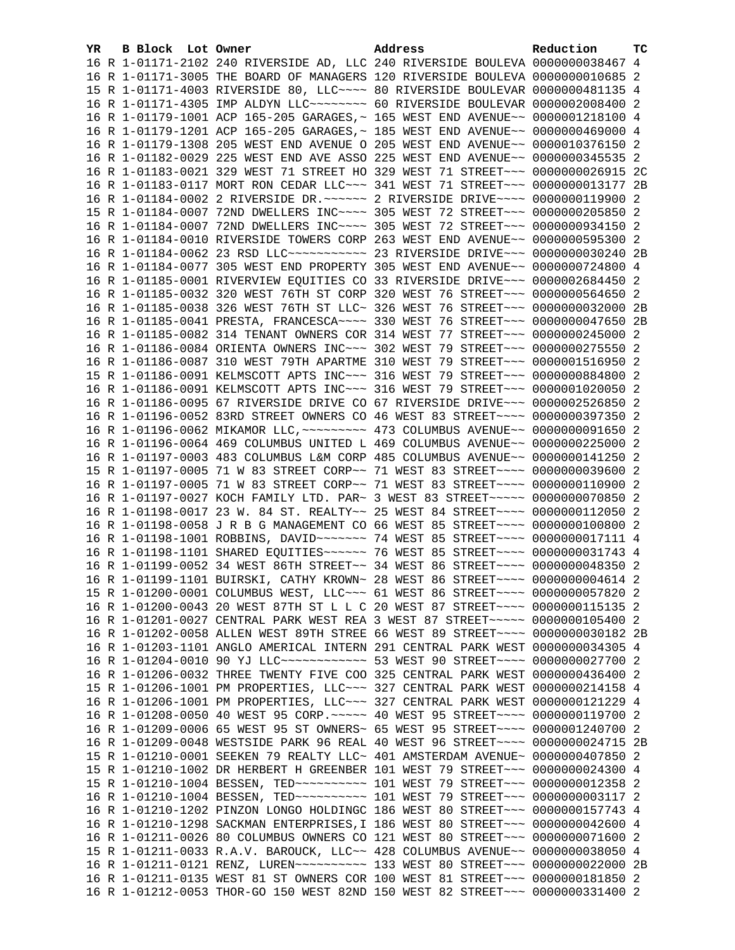| YR. | B Block Lot Owner | Address                                                                             | Reduction | тc |
|-----|-------------------|-------------------------------------------------------------------------------------|-----------|----|
|     |                   | 16 R 1-01171-2102 240 RIVERSIDE AD, LLC 240 RIVERSIDE BOULEVA 0000000038467 4       |           |    |
|     |                   | 16 R 1-01171-3005 THE BOARD OF MANAGERS 120 RIVERSIDE BOULEVA 0000000010685 2       |           |    |
|     |                   | 15 R 1-01171-4003 RIVERSIDE 80, LLC ~~~~ 80 RIVERSIDE BOULEVAR 0000000481135 4      |           |    |
|     |                   | 16 R 1-01171-4305 IMP ALDYN LLC -------- 60 RIVERSIDE BOULEVAR 0000002008400 2      |           |    |
|     |                   | 16 R 1-01179-1001 ACP 165-205 GARAGES, ~ 165 WEST END AVENUE~~ 0000001218100 4      |           |    |
|     |                   | 16 R 1-01179-1201 ACP 165-205 GARAGES, ~ 185 WEST END AVENUE~~ 0000000469000 4      |           |    |
|     |                   | 16 R 1-01179-1308 205 WEST END AVENUE O 205 WEST END AVENUE~~ 0000010376150 2       |           |    |
|     |                   | 16 R 1-01182-0029 225 WEST END AVE ASSO 225 WEST END AVENUE~~ 0000000345535 2       |           |    |
|     |                   | 16 R 1-01183-0021 329 WEST 71 STREET HO 329 WEST 71 STREET~~~ 0000000026915 2C      |           |    |
|     |                   | 16 R 1-01183-0117 MORT RON CEDAR LLC~~~ 341 WEST 71 STREET~~~ 0000000013177 2B      |           |    |
|     |                   | 16 R 1-01184-0002 2 RIVERSIDE DR. ~~~~~~ 2 RIVERSIDE DRIVE~~~~ 0000000119900 2      |           |    |
|     |                   | 15 R 1-01184-0007 72ND DWELLERS INC~~~~ 305 WEST 72 STREET~~~ 0000000205850 2       |           |    |
|     |                   | 16 R 1-01184-0007 72ND DWELLERS INC~~~~ 305 WEST 72 STREET~~~ 0000000934150 2       |           |    |
|     |                   | 16 R 1-01184-0010 RIVERSIDE TOWERS CORP 263 WEST END AVENUE~~ 0000000595300 2       |           |    |
|     |                   | 16 R 1-01184-0062 23 RSD LLC ------------ 23 RIVERSIDE DRIVE --- 0000000030240 2B   |           |    |
|     |                   | 16 R 1-01184-0077 305 WEST END PROPERTY 305 WEST END AVENUE~~ 0000000724800 4       |           |    |
|     |                   | 16 R 1-01185-0001 RIVERVIEW EQUITIES CO 33 RIVERSIDE DRIVE~~~ 0000002684450 2       |           |    |
|     |                   | 16 R 1-01185-0032 320 WEST 76TH ST CORP 320 WEST 76 STREET~~~ 0000000564650 2       |           |    |
|     |                   | 16 R 1-01185-0038 326 WEST 76TH ST LLC~ 326 WEST 76 STREET~~~ 0000000032000 2B      |           |    |
|     |                   | 16 R 1-01185-0041 PRESTA, FRANCESCA~~~~ 330 WEST 76 STREET~~~ 0000000047650 2B      |           |    |
|     |                   | 16 R 1-01185-0082 314 TENANT OWNERS COR 314 WEST 77 STREET~~~ 0000000245000 2       |           |    |
|     |                   | 16 R 1-01186-0084 ORIENTA OWNERS INC~~~ 302 WEST 79 STREET~~~ 0000000275550 2       |           |    |
|     |                   | 16 R 1-01186-0087 310 WEST 79TH APARTME 310 WEST 79 STREET~~~ 0000001516950 2       |           |    |
|     |                   | 15 R 1-01186-0091 KELMSCOTT APTS INC~~~ 316 WEST 79 STREET~~~ 0000000884800 2       |           |    |
|     |                   | 16 R 1-01186-0091 KELMSCOTT APTS INC~~~ 316 WEST 79 STREET~~~ 0000001020050 2       |           |    |
|     |                   | 16 R 1-01186-0095 67 RIVERSIDE DRIVE CO 67 RIVERSIDE DRIVE~~~ 0000002526850 2       |           |    |
|     |                   | 16 R 1-01196-0052 83RD STREET OWNERS CO 46 WEST 83 STREET~~~~ 0000000397350 2       |           |    |
|     |                   | 16 R 1-01196-0062 MIKAMOR LLC, ~~~~~~~~~ 473 COLUMBUS AVENUE~~ 0000000091650 2      |           |    |
|     |                   | 16 R 1-01196-0064 469 COLUMBUS UNITED L 469 COLUMBUS AVENUE~~ 0000000225000 2       |           |    |
|     |                   | 16 R 1-01197-0003 483 COLUMBUS L&M CORP 485 COLUMBUS AVENUE~~ 0000000141250 2       |           |    |
|     |                   | 15 R 1-01197-0005 71 W 83 STREET CORP~~ 71 WEST 83 STREET~~~~ 0000000039600 2       |           |    |
|     |                   | 16 R 1-01197-0005 71 W 83 STREET CORP~~ 71 WEST 83 STREET~~~~ 0000000110900 2       |           |    |
|     |                   | 16 R 1-01197-0027 KOCH FAMILY LTD. PAR~ 3 WEST 83 STREET~~~~~ 0000000070850 2       |           |    |
|     |                   | 16 R 1-01198-0017 23 W. 84 ST. REALTY~~ 25 WEST 84 STREET~~~~ 0000000112050 2       |           |    |
|     |                   | 16 R 1-01198-0058 J R B G MANAGEMENT CO 66 WEST 85 STREET~~~~ 0000000100800 2       |           |    |
|     |                   | 16 R 1-01198-1001 ROBBINS, DAVID~~~~~~~ 74 WEST 85 STREET~~~~ 0000000017111 4       |           |    |
|     |                   | 16 R 1-01198-1101 SHARED EQUITIES~~~~~~ 76 WEST 85 STREET~~~~ 0000000031743 4       |           |    |
|     |                   | 16 R 1-01199-0052 34 WEST 86TH STREET~~ 34 WEST 86 STREET~~~~ 0000000048350 2       |           |    |
|     |                   | 16 R 1-01199-1101 BUIRSKI, CATHY KROWN~ 28 WEST 86 STREET~~~~ 00000000004614 2      |           |    |
|     |                   | 15 R 1-01200-0001 COLUMBUS WEST, LLC ~~~ 61 WEST 86 STREET ~~~~ 0000000057820 2     |           |    |
|     |                   | 16 R 1-01200-0043 20 WEST 87TH ST L L C 20 WEST 87 STREET~~~~ 0000000115135 2       |           |    |
|     |                   | 16 R 1-01201-0027 CENTRAL PARK WEST REA 3 WEST 87 STREET~~~~~ 0000000105400 2       |           |    |
|     |                   | 16 R 1-01202-0058 ALLEN WEST 89TH STREE 66 WEST 89 STREET~~~~ 0000000030182 2B      |           |    |
|     |                   | 16 R 1-01203-1101 ANGLO AMERICAL INTERN 291 CENTRAL PARK WEST 0000000034305 4       |           |    |
|     |                   | 16 R 1-01204-0010 90 YJ LLC ------------ 53 WEST 90 STREET ---- 0000000027700 2     |           |    |
|     |                   | 16 R 1-01206-0032 THREE TWENTY FIVE COO 325 CENTRAL PARK WEST 0000000436400 2       |           |    |
|     |                   | 15 R 1-01206-1001 PM PROPERTIES, LLC ~~~ 327 CENTRAL PARK WEST 0000000214158 4      |           |    |
|     |                   | 16 R 1-01206-1001 PM PROPERTIES, LLC ~~~ 327 CENTRAL PARK WEST 0000000121229 4      |           |    |
|     |                   | 16 R 1-01208-0050 40 WEST 95 CORP. ~~~~~ 40 WEST 95 STREET~~~~ 0000000119700 2      |           |    |
|     |                   | 16 R 1-01209-0006 65 WEST 95 ST OWNERS~ 65 WEST 95 STREET~~~~ 0000001240700 2       |           |    |
|     |                   | 16 R 1-01209-0048 WESTSIDE PARK 96 REAL 40 WEST 96 STREET~~~~ 0000000024715 2B      |           |    |
|     |                   | 15 R 1-01210-0001 SEEKEN 79 REALTY LLC~ 401 AMSTERDAM AVENUE~ 0000000407850 2       |           |    |
|     |                   | 15 R 1-01210-1002 DR HERBERT H GREENBER 101 WEST 79 STREET~~~ 0000000024300 4       |           |    |
|     |                   | 15 R 1-01210-1004 BESSEN, TED ---------- 101 WEST 79 STREET --- 0000000012358 2     |           |    |
|     |                   |                                                                                     |           |    |
|     |                   | 16 R 1-01210-1202 PINZON LONGO HOLDINGC 186 WEST 80 STREET~~~ 0000000157743 4       |           |    |
|     |                   | 16 R 1-01210-1298 SACKMAN ENTERPRISES, I 186 WEST 80 STREET~~~ 0000000042600 4      |           |    |
|     |                   | 16 R 1-01211-0026 80 COLUMBUS OWNERS CO 121 WEST 80 STREET~~~ 0000000071600 2       |           |    |
|     |                   | 15 R 1-01211-0033 R.A.V. BAROUCK, LLC~~ 428 COLUMBUS AVENUE~~ 0000000038050 4       |           |    |
|     |                   | 16 R 1-01211-0121 RENZ, LUREN~~~~~~~~~~~~~~~ 133 WEST 80 STREET~~~ 0000000022000 2B |           |    |
|     |                   | 16 R 1-01211-0135 WEST 81 ST OWNERS COR 100 WEST 81 STREET~~~ 0000000181850 2       |           |    |
|     |                   | 16 R 1-01212-0053 THOR-GO 150 WEST 82ND 150 WEST 82 STREET~~~ 0000000331400 2       |           |    |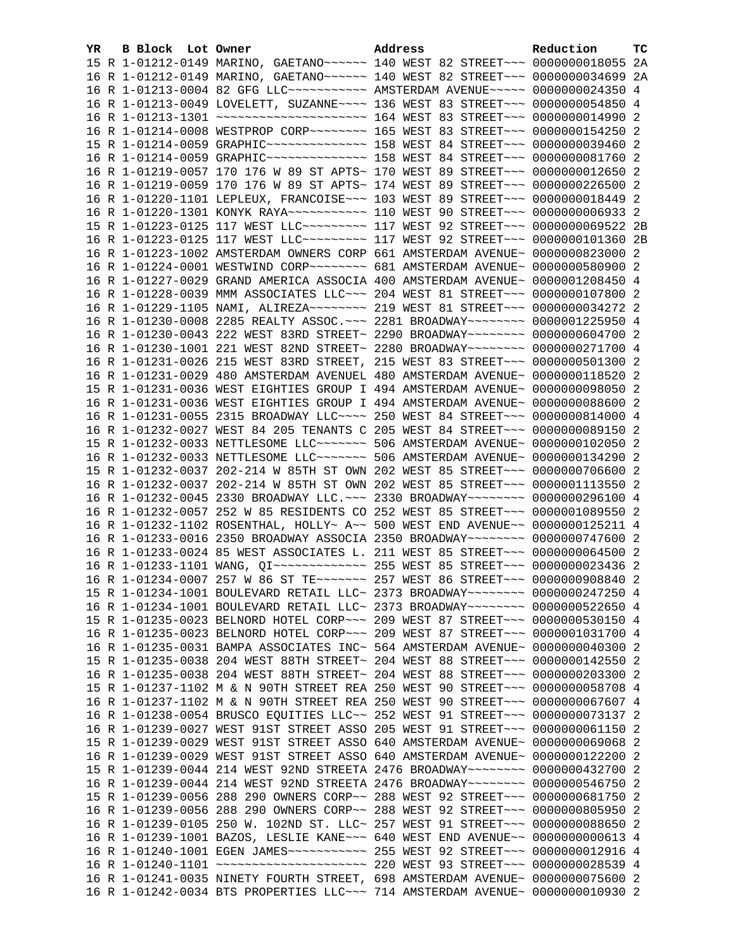| YR. | B Block Lot Owner |                                                                                                                                                                | Address | Reduction | тc             |
|-----|-------------------|----------------------------------------------------------------------------------------------------------------------------------------------------------------|---------|-----------|----------------|
|     |                   | 15 R 1-01212-0149 MARINO, GAETANO~~~~~~ 140 WEST 82 STREET~~~ 0000000018055                                                                                    |         |           | 2A             |
|     |                   | 16 R 1-01212-0149 MARINO, GAETANO~~~~~~~ 140 WEST 82 STREET~~~ 0000000034699                                                                                   |         |           | - 2A           |
|     |                   | 16 R 1-01213-0004 82 GFG LLC~~~~~~~~~~~~~ AMSTERDAM AVENUE~~~~~ 0000000024350                                                                                  |         |           | $\overline{4}$ |
|     |                   | 16 R 1-01213-0049 LOVELETT, SUZANNE~~~~ 136 WEST 83 STREET~~~ 0000000054850 4                                                                                  |         |           |                |
|     |                   | 16 R 1-01213-1301 ~~~~~~~~~~~~~~~~~~~~~~~~~~~~ 164 WEST 83 STREET~~~ 00000000014990 2                                                                          |         |           |                |
|     |                   | 16 R 1-01214-0008 WESTPROP CORP~~~~~~~~ 165 WEST 83 STREET~~~ 0000000154250 2                                                                                  |         |           |                |
|     |                   | 15 R 1-01214-0059 GRAPHIC --------------- 158 WEST 84 STREET --- 0000000039460 2                                                                               |         |           |                |
|     |                   | 16 R 1-01214-0059 GRAPHIC --------------- 158 WEST 84 STREET --- 00000000081760 2                                                                              |         |           |                |
|     |                   | 16 R 1-01219-0057 170 176 W 89 ST APTS~ 170 WEST 89 STREET~~~ 0000000012650 2                                                                                  |         |           |                |
|     |                   | 16 R 1-01219-0059 170 176 W 89 ST APTS~ 174 WEST 89 STREET~~~ 0000000226500 2                                                                                  |         |           |                |
|     |                   | 16 R 1-01220-1101 LEPLEUX, FRANCOISE~~~ 103 WEST 89 STREET~~~ 0000000018449 2                                                                                  |         |           |                |
|     |                   |                                                                                                                                                                |         |           |                |
|     |                   | 15 R 1-01223-0125 117 WEST LLC --------- 117 WEST 92 STREET --- 0000000069522 2B                                                                               |         |           |                |
|     |                   | 16 R 1-01223-0125 117 WEST LLC --------- 117 WEST 92 STREET --- 0000000101360 2B                                                                               |         |           |                |
|     |                   | 16 R 1-01223-1002 AMSTERDAM OWNERS CORP 661 AMSTERDAM AVENUE~ 0000000823000 2                                                                                  |         |           |                |
|     |                   | 16 R 1-01224-0001 WESTWIND CORP~~~~~~~~ 681 AMSTERDAM AVENUE~ 0000000580900 2                                                                                  |         |           |                |
|     |                   | 16 R 1-01227-0029 GRAND AMERICA ASSOCIA 400 AMSTERDAM AVENUE~ 0000001208450 4                                                                                  |         |           |                |
|     |                   | 16 R 1-01228-0039 MMM ASSOCIATES LLC~~~ 204 WEST 81 STREET~~~ 0000000107800 2                                                                                  |         |           |                |
|     |                   | 16 R 1-01229-1105 NAMI, ALIREZA~~~~~~~~ 219 WEST 81 STREET~~~ 0000000034272 2                                                                                  |         |           |                |
|     |                   | 16 R 1-01230-0008 2285 REALTY ASSOC. ~~~ 2281 BROADWAY~~~~~~~~ 0000001225950 4                                                                                 |         |           |                |
|     |                   | 16 R 1-01230-0043 222 WEST 83RD STREET~ 2290 BROADWAY~~~~~~~~ 0000000604700 2                                                                                  |         |           |                |
|     |                   | 16 R 1-01230-1001 221 WEST 82ND STREET~ 2280 BROADWAY~~~~~~~~ 0000000271700 4<br>16 R 1-01231-0026 215 WEST 83RD STREET, 215 WEST 83 STREET~~~ 0000000501300 2 |         |           |                |
|     |                   | 16 R 1-01231-0029 480 AMSTERDAM AVENUEL 480 AMSTERDAM AVENUE~ 0000000118520 2                                                                                  |         |           |                |
|     |                   | 15 R 1-01231-0036 WEST EIGHTIES GROUP I 494 AMSTERDAM AVENUE~ 0000000098050 2                                                                                  |         |           |                |
|     |                   | 16 R 1-01231-0036 WEST EIGHTIES GROUP I 494 AMSTERDAM AVENUE~ 0000000088600 2                                                                                  |         |           |                |
|     |                   | 16 R 1-01231-0055 2315 BROADWAY LLC ~~~~ 250 WEST 84 STREET ~~~ 0000000814000 4                                                                                |         |           |                |
|     |                   | 16 R 1-01232-0027 WEST 84 205 TENANTS C 205 WEST 84 STREET~~~ 0000000089150 2                                                                                  |         |           |                |
|     |                   | 15 R 1-01232-0033 NETTLESOME LLC ------ 506 AMSTERDAM AVENUE ~ 0000000102050 2                                                                                 |         |           |                |
|     |                   | 16 R 1-01232-0033 NETTLESOME LLC ------ 506 AMSTERDAM AVENUE ~ 0000000134290 2                                                                                 |         |           |                |
|     |                   | 15 R 1-01232-0037 202-214 W 85TH ST OWN 202 WEST 85 STREET~~~ 0000000706600 2                                                                                  |         |           |                |
|     |                   | 16 R 1-01232-0037 202-214 W 85TH ST OWN 202 WEST 85 STREET~~~ 0000001113550 2                                                                                  |         |           |                |
|     |                   | 16 R 1-01232-0045 2330 BROADWAY LLC. -~~ 2330 BROADWAY~~~~~~~~ 0000000296100 4                                                                                 |         |           |                |
|     |                   | 16 R 1-01232-0057 252 W 85 RESIDENTS CO 252 WEST 85 STREET~~~ 0000001089550 2                                                                                  |         |           |                |
|     |                   | 16 R 1-01232-1102 ROSENTHAL, HOLLY~ A~~ 500 WEST END AVENUE~~ 0000000125211 4                                                                                  |         |           |                |
|     |                   | 16 R 1-01233-0016 2350 BROADWAY ASSOCIA 2350 BROADWAY~~~~~~~~ 0000000747600 2                                                                                  |         |           |                |
|     |                   | 16 R 1-01233-0024 85 WEST ASSOCIATES L. 211 WEST 85 STREET~~~ 0000000064500 2                                                                                  |         |           |                |
|     |                   |                                                                                                                                                                |         |           |                |
|     |                   | 16 R 1-01234-0007 257 W 86 ST TE~~~~~~~ 257 WEST 86 STREET~~~ 0000000908840 2                                                                                  |         |           |                |
|     |                   | 15 R 1-01234-1001 BOULEVARD RETAIL LLC~ 2373 BROADWAY~~~~~~~~ 0000000247250 4                                                                                  |         |           |                |
|     |                   | 16 R 1-01234-1001 BOULEVARD RETAIL LLC~ 2373 BROADWAY~~~~~~~~ 0000000522650 4                                                                                  |         |           |                |
|     |                   | 15 R 1-01235-0023 BELNORD HOTEL CORP~~~ 209 WEST 87 STREET~~~ 0000000530150 4                                                                                  |         |           |                |
|     |                   | 16 R 1-01235-0023 BELNORD HOTEL CORP~~~ 209 WEST 87 STREET~~~ 0000001031700 4                                                                                  |         |           |                |
|     |                   | 16 R 1-01235-0031 BAMPA ASSOCIATES INC~ 564 AMSTERDAM AVENUE~ 0000000040300                                                                                    |         |           | 2              |
|     |                   | 15 R 1-01235-0038 204 WEST 88TH STREET~ 204 WEST 88 STREET~~~ 0000000142550 2                                                                                  |         |           |                |
|     |                   | 16 R 1-01235-0038 204 WEST 88TH STREET~ 204 WEST 88 STREET~~~ 0000000203300 2                                                                                  |         |           |                |
|     |                   | 15 R 1-01237-1102 M & N 90TH STREET REA 250 WEST 90 STREET~~~ 0000000058708 4                                                                                  |         |           |                |
|     |                   | 16 R 1-01237-1102 M & N 90TH STREET REA 250 WEST 90 STREET~~~ 0000000067607 4                                                                                  |         |           |                |
|     |                   | 16 R 1-01238-0054 BRUSCO EQUITIES LLC~~ 252 WEST 91 STREET~~~ 0000000073137 2                                                                                  |         |           |                |
|     |                   | 16 R 1-01239-0027 WEST 91ST STREET ASSO 205 WEST 91 STREET~~~ 0000000061150                                                                                    |         |           | -2             |
|     |                   | 15 R 1-01239-0029 WEST 91ST STREET ASSO 640 AMSTERDAM AVENUE~ 0000000069068 2                                                                                  |         |           |                |
|     |                   | 16 R 1-01239-0029 WEST 91ST STREET ASSO 640 AMSTERDAM AVENUE~ 0000000122200                                                                                    |         |           | -2             |
|     |                   | 15 R 1-01239-0044 214 WEST 92ND STREETA 2476 BROADWAY~~~~~~~~ 0000000432700                                                                                    |         |           | -2             |
|     |                   | 16 R 1-01239-0044 214 WEST 92ND STREETA 2476 BROADWAY~~~~~~~~ 0000000546750 2                                                                                  |         |           |                |
|     |                   | 15 R 1-01239-0056 288 290 OWNERS CORP~~ 288 WEST 92 STREET~~~ 0000000681750                                                                                    |         |           | -2             |
|     |                   | 16 R 1-01239-0056 288 290 OWNERS CORP~~ 288 WEST 92 STREET~~~ 0000000805950                                                                                    |         |           | -2             |
|     |                   | 16 R 1-01239-0105 250 W. 102ND ST. LLC~ 257 WEST 91 STREET~~~ 0000000088650                                                                                    |         |           | -2             |
|     |                   | 16 R 1-01239-1001 BAZOS, LESLIE KANE~~~ 640 WEST END AVENUE~~ 0000000000613 4                                                                                  |         |           |                |
|     |                   | 16 R 1-01240-1001 EGEN JAMES ----------- 255 WEST 92 STREET --- 0000000012916 4                                                                                |         |           |                |
|     |                   | 16 R 1-01241-0035 NINETY FOURTH STREET, 698 AMSTERDAM AVENUE~ 0000000075600 2                                                                                  |         |           |                |
|     |                   | 16 R 1-01242-0034 BTS PROPERTIES LLC~~~ 714 AMSTERDAM AVENUE~ 0000000010930 2                                                                                  |         |           |                |
|     |                   |                                                                                                                                                                |         |           |                |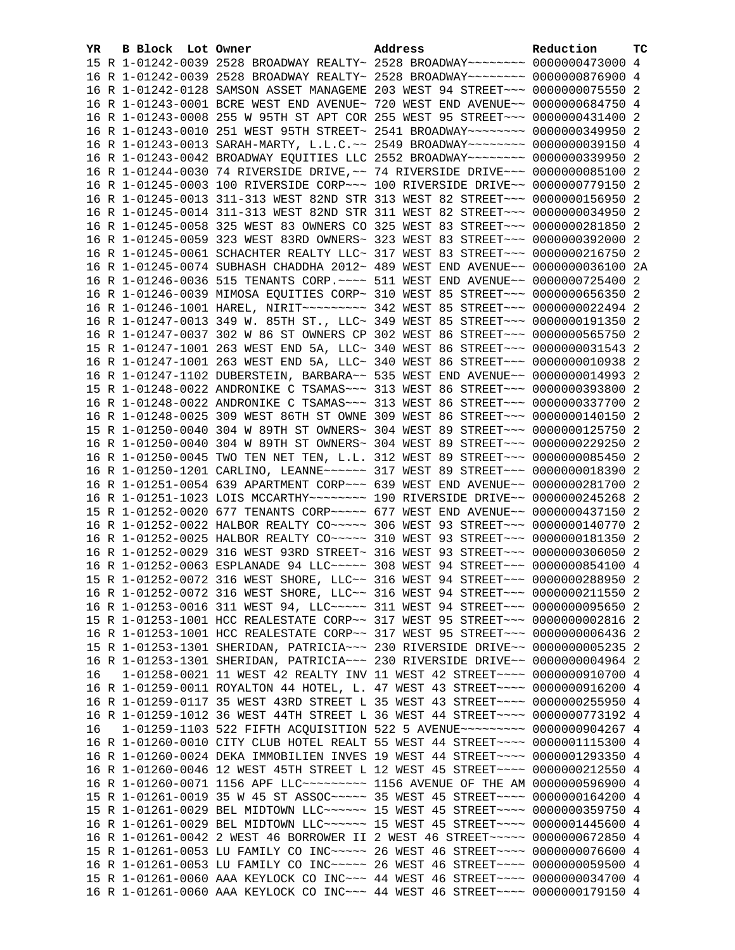| YR. | B Block Lot Owner | Address                                                                                                                                                        | Reduction | тc |
|-----|-------------------|----------------------------------------------------------------------------------------------------------------------------------------------------------------|-----------|----|
|     |                   | 15 R 1-01242-0039 2528 BROADWAY REALTY~ 2528 BROADWAY~~~~~~~~ 0000000473000 4                                                                                  |           |    |
|     |                   | 16 R 1-01242-0039 2528 BROADWAY REALTY~ 2528 BROADWAY~~~~~~~~ 0000000876900 4                                                                                  |           |    |
|     |                   | 16 R 1-01242-0128 SAMSON ASSET MANAGEME 203 WEST 94 STREET~~~ 0000000075550 2                                                                                  |           |    |
|     |                   | 16 R 1-01243-0001 BCRE WEST END AVENUE~ 720 WEST END AVENUE~~ 0000000684750 4                                                                                  |           |    |
|     |                   | 16 R 1-01243-0008 255 W 95TH ST APT COR 255 WEST 95 STREET~~~ 0000000431400 2                                                                                  |           |    |
|     |                   | 16 R 1-01243-0010 251 WEST 95TH STREET~ 2541 BROADWAY~~~~~~~~ 0000000349950 2                                                                                  |           |    |
|     |                   | 16 R 1-01243-0013 SARAH-MARTY, L.L.C.~~ 2549 BROADWAY~~~~~~~~ 0000000039150 4                                                                                  |           |    |
|     |                   | 16 R 1-01243-0042 BROADWAY EQUITIES LLC 2552 BROADWAY~~~~~~~~ 0000000339950 2                                                                                  |           |    |
|     |                   | 16 R 1-01244-0030 74 RIVERSIDE DRIVE, ~~ 74 RIVERSIDE DRIVE~~~ 0000000085100 2                                                                                 |           |    |
|     |                   | 16 R 1-01245-0003 100 RIVERSIDE CORP~~~ 100 RIVERSIDE DRIVE~~ 0000000779150 2                                                                                  |           |    |
|     |                   | 16 R 1-01245-0013 311-313 WEST 82ND STR 313 WEST 82 STREET~~~ 0000000156950 2                                                                                  |           |    |
|     |                   | 16 R 1-01245-0014 311-313 WEST 82ND STR 311 WEST 82 STREET~~~ 0000000034950 2                                                                                  |           |    |
|     |                   | 16 R 1-01245-0058 325 WEST 83 OWNERS CO 325 WEST 83 STREET~~~ 0000000281850 2                                                                                  |           |    |
|     |                   | 16 R 1-01245-0059 323 WEST 83RD OWNERS~ 323 WEST 83 STREET~~~ 0000000392000 2                                                                                  |           |    |
|     |                   | 16 R 1-01245-0061 SCHACHTER REALTY LLC~ 317 WEST 83 STREET~~~ 0000000216750 2                                                                                  |           |    |
|     |                   | 16 R 1-01245-0074 SUBHASH CHADDHA 2012~ 489 WEST END AVENUE~~ 0000000036100 2A                                                                                 |           |    |
|     |                   | 16 R 1-01246-0036 515 TENANTS CORP. ~~~~ 511 WEST END AVENUE~~ 0000000725400 2                                                                                 |           |    |
|     |                   | 16 R 1-01246-0039 MIMOSA EQUITIES CORP~ 310 WEST 85 STREET~~~ 0000000656350 2                                                                                  |           |    |
|     |                   | 16 R 1-01246-1001 HAREL, NIRIT~~~~~~~~~ 342 WEST 85 STREET~~~ 0000000022494 2                                                                                  |           |    |
|     |                   | 16 R 1-01247-0013 349 W. 85TH ST., LLC~ 349 WEST 85 STREET~~~ 0000000191350 2                                                                                  |           |    |
|     |                   | 16 R 1-01247-0037 302 W 86 ST OWNERS CP 302 WEST 86 STREET~~~ 0000000565750 2                                                                                  |           |    |
|     |                   | 15 R 1-01247-1001 263 WEST END 5A, LLC~ 340 WEST 86 STREET~~~ 0000000031543 2                                                                                  |           |    |
|     |                   | 16 R 1-01247-1001 263 WEST END 5A, LLC~ 340 WEST 86 STREET~~~ 0000000010938 2                                                                                  |           |    |
|     |                   | 16 R 1-01247-1102 DUBERSTEIN, BARBARA~~ 535 WEST END AVENUE~~ 0000000014993 2                                                                                  |           |    |
|     |                   | 15 R 1-01248-0022 ANDRONIKE C TSAMAS~~~ 313 WEST 86 STREET~~~ 0000000393800 2                                                                                  |           |    |
|     |                   | 16 R 1-01248-0022 ANDRONIKE C TSAMAS~~~ 313 WEST 86 STREET~~~ 0000000337700 2                                                                                  |           |    |
|     |                   | 16 R 1-01248-0025 309 WEST 86TH ST OWNE 309 WEST 86 STREET~~~ 0000000140150 2<br>15 R 1-01250-0040 304 W 89TH ST OWNERS~ 304 WEST 89 STREET~~~ 0000000125750 2 |           |    |
|     |                   | 16 R 1-01250-0040 304 W 89TH ST OWNERS~ 304 WEST 89 STREET~~~ 0000000229250 2                                                                                  |           |    |
|     |                   | 16 R 1-01250-0045 TWO TEN NET TEN, L.L. 312 WEST 89 STREET~~~ 0000000085450 2                                                                                  |           |    |
|     |                   | 16 R 1-01250-1201 CARLINO, LEANNE~~~~~~ 317 WEST 89 STREET~~~ 0000000018390 2                                                                                  |           |    |
|     |                   | 16 R 1-01251-0054 639 APARTMENT CORP~~~ 639 WEST END AVENUE~~ 0000000281700 2                                                                                  |           |    |
|     |                   | 16 R 1-01251-1023 LOIS MCCARTHY~~~~~~~~ 190 RIVERSIDE DRIVE~~ 0000000245268 2                                                                                  |           |    |
|     |                   | 15 R 1-01252-0020 677 TENANTS CORP~~~~~ 677 WEST END AVENUE~~ 0000000437150 2                                                                                  |           |    |
|     |                   | 16 R 1-01252-0022 HALBOR REALTY CO~~~~~ 306 WEST 93 STREET~~~ 0000000140770 2                                                                                  |           |    |
|     |                   | 16 R 1-01252-0025 HALBOR REALTY CO~~~~~ 310 WEST 93 STREET~~~ 0000000181350 2                                                                                  |           |    |
|     |                   | 16 R 1-01252-0029 316 WEST 93RD STREET~ 316 WEST 93 STREET~~~ 0000000306050 2                                                                                  |           |    |
|     |                   | 16 R 1-01252-0063 ESPLANADE 94 LLC~~~~~ 308 WEST 94 STREET~~~ 0000000854100 4                                                                                  |           |    |
|     |                   | 15 R 1-01252-0072 316 WEST SHORE, LLC~~ 316 WEST 94 STREET~~~ 0000000288950 2                                                                                  |           |    |
|     |                   | 16 R 1-01252-0072 316 WEST SHORE, LLC~~ 316 WEST 94 STREET~~~ 0000000211550 2                                                                                  |           |    |
|     |                   | 16 R 1-01253-0016 311 WEST 94, LLC ~~~~~ 311 WEST 94 STREET ~~~ 0000000095650 2                                                                                |           |    |
|     |                   | 15 R 1-01253-1001 HCC REALESTATE CORP~~ 317 WEST 95 STREET~~~ 00000000002816 2                                                                                 |           |    |
|     |                   | 16 R 1-01253-1001 HCC REALESTATE CORP~~ 317 WEST 95 STREET~~~ 00000000006436 2                                                                                 |           |    |
|     |                   | 15 R 1-01253-1301 SHERIDAN, PATRICIA~~~ 230 RIVERSIDE DRIVE~~ 0000000005235 2                                                                                  |           |    |
|     |                   | 16 R 1-01253-1301 SHERIDAN, PATRICIA~~~ 230 RIVERSIDE DRIVE~~ 0000000004964 2                                                                                  |           |    |
| 16  |                   | 1-01258-0021 11 WEST 42 REALTY INV 11 WEST 42 STREET~~~~ 0000000910700 4                                                                                       |           |    |
|     |                   | 16 R 1-01259-0011 ROYALTON 44 HOTEL, L. 47 WEST 43 STREET~~~~ 0000000916200 4                                                                                  |           |    |
|     |                   | 16 R 1-01259-0117 35 WEST 43RD STREET L 35 WEST 43 STREET~~~~ 0000000255950 4                                                                                  |           |    |
|     |                   | 16 R 1-01259-1012 36 WEST 44TH STREET L 36 WEST 44 STREET~~~~ 0000000773192 4                                                                                  |           |    |
| 16  |                   | 1-01259-1103 522 FIFTH ACQUISITION 522 5 AVENUE~~~~~~~~~ 0000000904267 4                                                                                       |           |    |
|     |                   | 16 R 1-01260-0010 CITY CLUB HOTEL REALT 55 WEST 44 STREET~~~~ 0000001115300 4                                                                                  |           |    |
|     |                   | 16 R 1-01260-0024 DEKA IMMOBILIEN INVES 19 WEST 44 STREET~~~~ 0000001293350 4                                                                                  |           |    |
|     |                   | 16 R 1-01260-0046 12 WEST 45TH STREET L 12 WEST 45 STREET~~~~ 0000000212550 4                                                                                  |           |    |
|     |                   | 16 R 1-01260-0071 1156 APF LLC -------- 1156 AVENUE OF THE AM 0000000596900 4                                                                                  |           |    |
|     |                   | 15 R 1-01261-0019 35 W 45 ST ASSOC ~~~~~ 35 WEST 45 STREET ~~~~ 0000000164200 4                                                                                |           |    |
|     |                   | 15 R 1-01261-0029 BEL MIDTOWN LLC~~~~~~ 15 WEST 45 STREET~~~~ 0000000359750 4                                                                                  |           |    |
|     |                   | 16 R 1-01261-0029 BEL MIDTOWN LLC ~~~~~~ 15 WEST 45 STREET ~~~~ 0000001445600 4                                                                                |           |    |
|     |                   | 16 R 1-01261-0042 2 WEST 46 BORROWER II 2 WEST 46 STREET~~~~~ 0000000672850 4                                                                                  |           |    |
|     |                   | 15 R 1-01261-0053 LU FAMILY CO INC~~~~~ 26 WEST 46 STREET~~~~ 0000000076600 4                                                                                  |           |    |
|     |                   | 16 R 1-01261-0053 LU FAMILY CO INC~~~~~ 26 WEST 46 STREET~~~~ 0000000059500 4                                                                                  |           |    |
|     |                   | 15 R 1-01261-0060 AAA KEYLOCK CO INC~~~ 44 WEST 46 STREET~~~~ 0000000034700 4                                                                                  |           |    |
|     |                   | 16 R 1-01261-0060 AAA KEYLOCK CO INC~~~ 44 WEST 46 STREET~~~~ 0000000179150 4                                                                                  |           |    |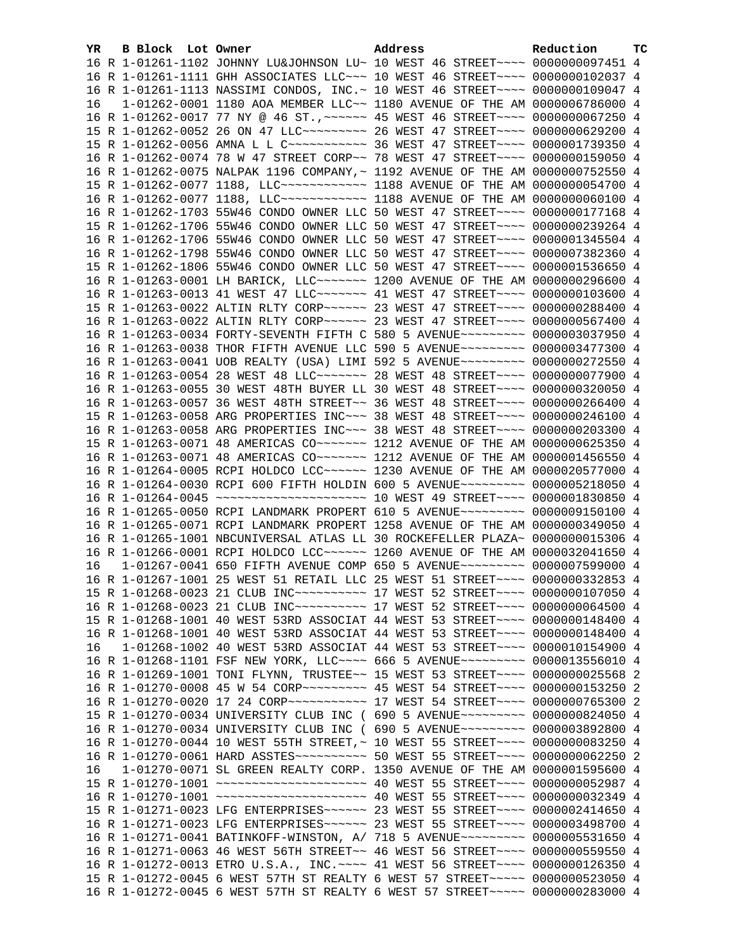| YR. | B Block Lot Owner | Address                                                                             | Reduction | TС |
|-----|-------------------|-------------------------------------------------------------------------------------|-----------|----|
|     |                   | 16 R 1-01261-1102 JOHNNY LU&JOHNSON LU~ 10 WEST 46 STREET~~~~ 0000000097451 4       |           |    |
|     |                   | 16 R 1-01261-1111 GHH ASSOCIATES LLC~~~ 10 WEST 46 STREET~~~~ 0000000102037 4       |           |    |
|     |                   | 16 R 1-01261-1113 NASSIMI CONDOS, INC.~ 10 WEST 46 STREET~~~~ 0000000109047 4       |           |    |
| 16  |                   | 1-01262-0001 1180 AOA MEMBER LLC~~ 1180 AVENUE OF THE AM 0000006786000 4            |           |    |
|     |                   | 16 R 1-01262-0017 77 NY @ 46 ST., ~~~~~~ 45 WEST 46 STREET~~~~ 0000000067250 4      |           |    |
|     |                   | 15 R 1-01262-0052 26 ON 47 LLC -------- 26 WEST 47 STREET ---- 0000000629200 4      |           |    |
|     |                   | 15 R 1-01262-0056 AMNA L L C ----------- 36 WEST 47 STREET ---- 0000001739350 4     |           |    |
|     |                   | 16 R 1-01262-0074 78 W 47 STREET CORP~~ 78 WEST 47 STREET~~~~ 0000000159050 4       |           |    |
|     |                   | 16 R 1-01262-0075 NALPAK 1196 COMPANY, ~ 1192 AVENUE OF THE AM 0000000752550 4      |           |    |
|     |                   | 15 R 1-01262-0077 1188, LLC ------------ 1188 AVENUE OF THE AM 0000000054700 4      |           |    |
|     |                   | 16 R 1-01262-0077 1188, LLC ------------ 1188 AVENUE OF THE AM 0000000060100 4      |           |    |
|     |                   | 16 R 1-01262-1703 55W46 CONDO OWNER LLC 50 WEST 47 STREET~~~~ 0000000177168 4       |           |    |
|     |                   | 15 R 1-01262-1706 55W46 CONDO OWNER LLC 50 WEST 47 STREET~~~~ 0000000239264 4       |           |    |
|     |                   | 16 R 1-01262-1706 55W46 CONDO OWNER LLC 50 WEST 47 STREET~~~~ 0000001345504 4       |           |    |
|     |                   | 16 R 1-01262-1798 55W46 CONDO OWNER LLC 50 WEST 47 STREET~~~~ 0000007382360 4       |           |    |
|     |                   | 15 R 1-01262-1806 55W46 CONDO OWNER LLC 50 WEST 47 STREET~~~~ 0000001536650 4       |           |    |
|     |                   | 16 R 1-01263-0001 LH BARICK, LLC ~~~~~~~ 1200 AVENUE OF THE AM 0000000296600 4      |           |    |
|     |                   | 16 R 1-01263-0013 41 WEST 47 LLC ------- 41 WEST 47 STREET ---- 0000000103600 4     |           |    |
|     |                   | 15 R 1-01263-0022 ALTIN RLTY CORP~~~~~~ 23 WEST 47 STREET~~~~ 0000000288400 4       |           |    |
|     |                   | 16 R 1-01263-0022 ALTIN RLTY CORP~~~~~~ 23 WEST 47 STREET~~~~ 0000000567400 4       |           |    |
|     |                   | 16 R 1-01263-0034 FORTY-SEVENTH FIFTH C 580 5 AVENUE~~~~~~~~~ 0000003037950 4       |           |    |
|     |                   | 16 R 1-01263-0038 THOR FIFTH AVENUE LLC 590 5 AVENUE~~~~~~~~~ 0000003477300 4       |           |    |
|     |                   | 16 R 1-01263-0041 UOB REALTY (USA) LIMI 592 5 AVENUE~~~~~~~~~ 0000000272550 4       |           |    |
|     |                   | 16 R 1-01263-0054 28 WEST 48 LLC ------- 28 WEST 48 STREET ---- 0000000077900 4     |           |    |
|     |                   | 16 R 1-01263-0055 30 WEST 48TH BUYER LL 30 WEST 48 STREET~~~~ 0000000320050 4       |           |    |
|     |                   | 16 R 1-01263-0057 36 WEST 48TH STREET~~ 36 WEST 48 STREET~~~~ 0000000266400 4       |           |    |
|     |                   | 15 R 1-01263-0058 ARG PROPERTIES INC~~~ 38 WEST 48 STREET~~~~ 0000000246100 4       |           |    |
|     |                   | 16 R 1-01263-0058 ARG PROPERTIES INC~~~ 38 WEST 48 STREET~~~~ 0000000203300 4       |           |    |
|     |                   | 15 R 1-01263-0071 48 AMERICAS CO~~~~~~~ 1212 AVENUE OF THE AM 0000000625350 4       |           |    |
|     |                   | 16 R 1-01263-0071 48 AMERICAS CO~~~~~~~ 1212 AVENUE OF THE AM 0000001456550 4       |           |    |
|     |                   | 16 R 1-01264-0005 RCPI HOLDCO LCC~~~~~~ 1230 AVENUE OF THE AM 0000020577000 4       |           |    |
|     |                   | 16 R 1-01264-0030 RCPI 600 FIFTH HOLDIN 600 5 AVENUE~~~~~~~~~ 0000005218050 4       |           |    |
|     |                   |                                                                                     |           |    |
|     |                   | 16 R 1-01265-0050 RCPI LANDMARK PROPERT 610 5 AVENUE~~~~~~~~~ 0000009150100 4       |           |    |
|     |                   | 16 R 1-01265-0071 RCPI LANDMARK PROPERT 1258 AVENUE OF THE AM 0000000349050 4       |           |    |
|     |                   | 16 R 1-01265-1001 NBCUNIVERSAL ATLAS LL 30 ROCKEFELLER PLAZA~ 0000000015306 4       |           |    |
|     |                   | 16 R 1-01266-0001 RCPI HOLDCO LCC~~~~~~ 1260 AVENUE OF THE AM 0000032041650 4       |           |    |
| 16  |                   | 1-01267-0041 650 FIFTH AVENUE COMP 650 5 AVENUE~~~~~~~~~ 0000007599000 4            |           |    |
|     |                   | 16 R 1-01267-1001 25 WEST 51 RETAIL LLC 25 WEST 51 STREET~~~~ 0000000332853 4       |           |    |
|     |                   | 15 R 1-01268-0023 21 CLUB INC~~~~~~~~~~~~~~~ 17 WEST 52 STREET~~~~~ 0000000107050 4 |           |    |
|     |                   | 16 R 1-01268-0023 21 CLUB INC~~~~~~~~~~~~~~ 17 WEST 52 STREET~~~~~ 0000000064500 4  |           |    |
|     |                   | 15 R 1-01268-1001 40 WEST 53RD ASSOCIAT 44 WEST 53 STREET~~~~ 0000000148400 4       |           |    |
|     |                   | 16 R 1-01268-1001 40 WEST 53RD ASSOCIAT 44 WEST 53 STREET~~~~ 0000000148400 4       |           |    |
| 16  |                   | 1-01268-1002 40 WEST 53RD ASSOCIAT 44 WEST 53 STREET~~~~ 0000010154900 4            |           |    |
|     |                   | 16 R 1-01268-1101 FSF NEW YORK, LLC --- 666 5 AVENUE -------- 0000013556010 4       |           |    |
|     |                   | 16 R 1-01269-1001 TONI FLYNN, TRUSTEE~~ 15 WEST 53 STREET~~~~ 0000000025568 2       |           |    |
|     |                   | 16 R 1-01270-0008 45 W 54 CORP~~~~~~~~~ 45 WEST 54 STREET~~~~ 0000000153250 2       |           |    |
|     |                   | 16 R 1-01270-0020 17 24 CORP ----------- 17 WEST 54 STREET ---- 0000000765300 2     |           |    |
|     |                   | 15 R 1-01270-0034 UNIVERSITY CLUB INC ( 690 5 AVENUE~~~~~~~~~ 0000000824050 4       |           |    |
|     |                   | 16 R 1-01270-0034 UNIVERSITY CLUB INC ( 690 5 AVENUE~~~~~~~~~ 0000003892800 4       |           |    |
|     |                   | 16 R 1-01270-0044 10 WEST 55TH STREET, ~ 10 WEST 55 STREET ~~~~ 0000000083250 4     |           |    |
|     |                   | 16 R 1-01270-0061 HARD ASSTES~~~~~~~~~~~ 50 WEST 55 STREET~~~~ 0000000062250 2      |           |    |
| 16  |                   | 1-01270-0071 SL GREEN REALTY CORP. 1350 AVENUE OF THE AM 0000001595600 4            |           |    |
|     |                   |                                                                                     |           |    |
|     |                   |                                                                                     |           |    |
|     |                   | 15 R 1-01271-0023 LFG ENTERPRISES~~~~~~ 23 WEST 55 STREET~~~~ 0000002414650 4       |           |    |
|     |                   | 16 R 1-01271-0023 LFG ENTERPRISES~~~~~~ 23 WEST 55 STREET~~~~ 0000003498700 4       |           |    |
|     |                   | 16 R 1-01271-0041 BATINKOFF-WINSTON, A/ 718 5 AVENUE~~~~~~~~~ 0000005531650 4       |           |    |
|     |                   | 16 R 1-01271-0063 46 WEST 56TH STREET~~ 46 WEST 56 STREET~~~~ 0000000559550 4       |           |    |
|     |                   | 16 R 1-01272-0013 ETRO U.S.A., INC. ~~~~ 41 WEST 56 STREET~~~~ 0000000126350 4      |           |    |
|     |                   | 15 R 1-01272-0045 6 WEST 57TH ST REALTY 6 WEST 57 STREET~~~~~ 0000000523050 4       |           |    |
|     |                   | 16 R 1-01272-0045 6 WEST 57TH ST REALTY 6 WEST 57 STREET~~~~~ 0000000283000 4       |           |    |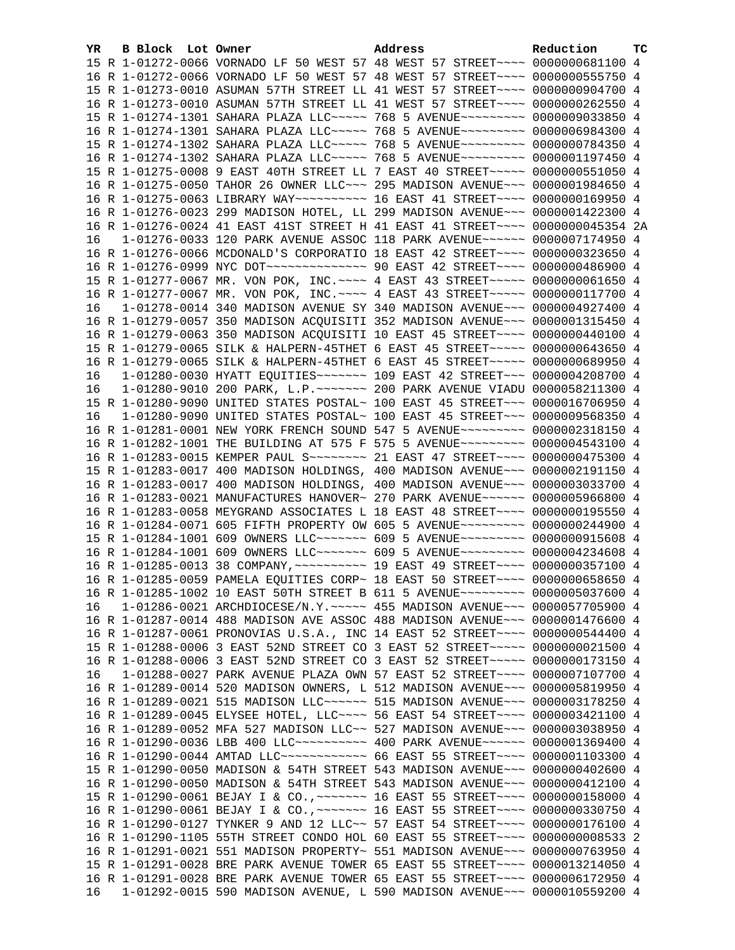| YR. | B Block Lot Owner | Address                                                                                  | Reduction | тc |
|-----|-------------------|------------------------------------------------------------------------------------------|-----------|----|
|     |                   | 15 R 1-01272-0066 VORNADO LF 50 WEST 57 48 WEST 57 STREET~~~~ 0000000681100 4            |           |    |
|     |                   | 16 R 1-01272-0066 VORNADO LF 50 WEST 57 48 WEST 57 STREET~~~~ 0000000555750 4            |           |    |
|     |                   | 15 R 1-01273-0010 ASUMAN 57TH STREET LL 41 WEST 57 STREET~~~~ 0000000904700 4            |           |    |
|     |                   | 16 R 1-01273-0010 ASUMAN 57TH STREET LL 41 WEST 57 STREET~~~~ 0000000262550 4            |           |    |
|     |                   | 15 R 1-01274-1301 SAHARA PLAZA LLC ---- 768 5 AVENUE -------- 0000009033850 4            |           |    |
|     |                   | 16 R 1-01274-1301 SAHARA PLAZA LLC~~~~~ 768 5 AVENUE~~~~~~~~~ 0000006984300 4            |           |    |
|     |                   | 15 R 1-01274-1302 SAHARA PLAZA LLC~~~~~ 768 5 AVENUE~~~~~~~~~ 0000000784350 4            |           |    |
|     |                   | 16 R 1-01274-1302 SAHARA PLAZA LLC~~~~~ 768 5 AVENUE~~~~~~~~~ 0000001197450 4            |           |    |
|     |                   | 15 R 1-01275-0008 9 EAST 40TH STREET LL 7 EAST 40 STREET~~~~~ 0000000551050 4            |           |    |
|     |                   | 16 R 1-01275-0050 TAHOR 26 OWNER LLC~~~ 295 MADISON AVENUE~~~ 0000001984650 4            |           |    |
|     |                   | 16 R 1-01275-0063 LIBRARY WAY~~~~~~~~~~~~~~ 16 EAST 41 STREET~~~~~ 0000000169950 4       |           |    |
|     |                   | 16 R 1-01276-0023 299 MADISON HOTEL, LL 299 MADISON AVENUE~~~ 0000001422300 4            |           |    |
|     |                   | 16 R 1-01276-0024 41 EAST 41ST STREET H 41 EAST 41 STREET~~~~ 0000000045354 2A           |           |    |
| 16  |                   | 1-01276-0033 120 PARK AVENUE ASSOC 118 PARK AVENUE~~~~~~ 0000007174950 4                 |           |    |
|     |                   | 16 R 1-01276-0066 MCDONALD'S CORPORATIO 18 EAST 42 STREET~~~~ 0000000323650 4            |           |    |
|     |                   | 16 R 1-01276-0999 NYC DOT ---------------- 90 EAST 42 STREET ---- 0000000486900 4        |           |    |
|     |                   | 15 R 1-01277-0067 MR. VON POK, INC. ---- 4 EAST 43 STREET ---- 00000000061650 4          |           |    |
|     |                   | 16 R 1-01277-0067 MR. VON POK, INC. ---- 4 EAST 43 STREET ---- 0000000117700 4           |           |    |
| 16  |                   | 1-01278-0014 340 MADISON AVENUE SY 340 MADISON AVENUE~~~ 0000004927400 4                 |           |    |
|     |                   | 16 R 1-01279-0057 350 MADISON ACQUISITI 352 MADISON AVENUE~~~ 0000001315450 4            |           |    |
|     |                   | 16 R 1-01279-0063 350 MADISON ACQUISITI 10 EAST 45 STREET~~~~ 0000000440100 4            |           |    |
|     |                   | 15 R 1-01279-0065 SILK & HALPERN-45THET 6 EAST 45 STREET~~~~~ 0000000643650 4            |           |    |
|     |                   | 16 R 1-01279-0065 SILK & HALPERN-45THET 6 EAST 45 STREET~~~~~ 0000000689950 4            |           |    |
| 16  |                   | 1-01280-0030 HYATT EQUITIES ------ 109 EAST 42 STREET -- 0000004208700 4                 |           |    |
| 16  |                   | 1-01280-9010 200 PARK, L.P. ~~~~~~~ 200 PARK AVENUE VIADU 0000058211300 4                |           |    |
|     |                   | 15 R 1-01280-9090 UNITED STATES POSTAL~ 100 EAST 45 STREET~~~ 0000016706950 4            |           |    |
| 16  |                   | 1-01280-9090 UNITED STATES POSTAL~ 100 EAST 45 STREET~~~ 0000009568350 4                 |           |    |
|     |                   | 16 R 1-01281-0001 NEW YORK FRENCH SOUND 547 5 AVENUE~~~~~~~~~ 0000002318150 4            |           |    |
|     |                   | 16 R 1-01282-1001 THE BUILDING AT 575 F 575 5 AVENUE~~~~~~~~~ 0000004543100 4            |           |    |
|     |                   | 16 R 1-01283-0015 KEMPER PAUL S~~~~~~~~ 21 EAST 47 STREET~~~~ 0000000475300 4            |           |    |
|     |                   | 15 R 1-01283-0017 400 MADISON HOLDINGS, 400 MADISON AVENUE~~~ 0000002191150 4            |           |    |
|     |                   | 16 R 1-01283-0017 400 MADISON HOLDINGS, 400 MADISON AVENUE~~~ 0000003033700 4            |           |    |
|     |                   | 16 R 1-01283-0021 MANUFACTURES HANOVER~ 270 PARK AVENUE~~~~~~ 0000005966800 4            |           |    |
|     |                   | 16 R 1-01283-0058 MEYGRAND ASSOCIATES L 18 EAST 48 STREET~~~~ 0000000195550 4            |           |    |
|     |                   | 16 R 1-01284-0071 605 FIFTH PROPERTY OW 605 5 AVENUE~~~~~~~~~ 0000000244900 4            |           |    |
|     |                   | 15 R 1-01284-1001 609 OWNERS LLC~~~~~~~ 609 5 AVENUE~~~~~~~~~ 0000000915608 4            |           |    |
|     |                   | 16 R 1-01284-1001 609 OWNERS LLC ------ 609 5 AVENUE -------- 0000004234608 4            |           |    |
|     |                   | 16 R 1-01285-0013 38 COMPANY, ~~~~~~~~~~~~~~ 19 EAST 49 STREET~~~~~ 0000000357100 4      |           |    |
|     |                   | 16 R 1-01285-0059 PAMELA EQUITIES CORP~ 18 EAST 50 STREET~~~~ 0000000658650 4            |           |    |
|     |                   | 16 R 1-01285-1002 10 EAST 50TH STREET B 611 5 AVENUE~~~~~~~~~ 0000005037600 4            |           |    |
| 16  |                   | 1-01286-0021 ARCHDIOCESE/N.Y. ~~~~~ 455 MADISON AVENUE~~~ 0000057705900 4                |           |    |
|     |                   | 16 R 1-01287-0014 488 MADISON AVE ASSOC 488 MADISON AVENUE~~~ 0000001476600 4            |           |    |
|     |                   | 16 R 1-01287-0061 PRONOVIAS U.S.A., INC 14 EAST 52 STREET~~~~ 0000000544400 4            |           |    |
|     |                   | 15 R 1-01288-0006 3 EAST 52ND STREET CO 3 EAST 52 STREET~~~~~ 0000000021500 4            |           |    |
|     |                   | 16 R 1-01288-0006 3 EAST 52ND STREET CO 3 EAST 52 STREET~~~~~ 0000000173150 4            |           |    |
| 16  |                   | 1-01288-0027 PARK AVENUE PLAZA OWN 57 EAST 52 STREET~~~~ 0000007107700 4                 |           |    |
|     |                   | 16 R 1-01289-0014 520 MADISON OWNERS, L 512 MADISON AVENUE~~~ 0000005819950 4            |           |    |
|     |                   | 16 R 1-01289-0021 515 MADISON LLC ------ 515 MADISON AVENUE --- 0000003178250 4          |           |    |
|     |                   | 16 R 1-01289-0045 ELYSEE HOTEL, LLC --- 56 EAST 54 STREET --- 0000003421100 4            |           |    |
|     |                   |                                                                                          |           |    |
|     |                   | 16 R 1-01289-0052 MFA 527 MADISON LLC~~ 527 MADISON AVENUE~~~ 0000003038950 4            |           |    |
|     |                   | 16 R 1-01290-0036 LBB 400 LLC~~~~~~~~~~~~~~~~~~~ 400 PARK AVENUE~~~~~~~~ 0000001369400 4 |           |    |
|     |                   | 16 R 1-01290-0044 AMTAD LLC ------------ 66 EAST 55 STREET ---- 0000001103300 4          |           |    |
|     |                   | 15 R 1-01290-0050 MADISON & 54TH STREET 543 MADISON AVENUE~~~ 0000000402600 4            |           |    |
|     |                   | 16 R 1-01290-0050 MADISON & 54TH STREET 543 MADISON AVENUE~~~ 0000000412100 4            |           |    |
|     |                   | 15 R 1-01290-0061 BEJAY I & CO., ~~~~~~~ 16 EAST 55 STREET~~~~ 0000000158000 4           |           |    |
|     |                   | 16 R 1-01290-0061 BEJAY I & CO., ~~~~~~~ 16 EAST 55 STREET~~~~ 0000000330750 4           |           |    |
|     |                   | 16 R 1-01290-0127 TYNKER 9 AND 12 LLC~~ 57 EAST 54 STREET~~~~ 0000000176100 4            |           |    |
|     |                   | 16 R 1-01290-1105 55TH STREET CONDO HOL 60 EAST 55 STREET~~~~ 00000000008533 2           |           |    |
|     |                   | 16 R 1-01291-0021 551 MADISON PROPERTY~ 551 MADISON AVENUE~~~ 0000000763950 4            |           |    |
|     |                   | 15 R 1-01291-0028 BRE PARK AVENUE TOWER 65 EAST 55 STREET~~~~ 0000013214050 4            |           |    |
|     |                   | 16 R 1-01291-0028 BRE PARK AVENUE TOWER 65 EAST 55 STREET~~~~ 0000006172950 4            |           |    |
| 16  |                   | 1-01292-0015 590 MADISON AVENUE, L 590 MADISON AVENUE~~~ 0000010559200 4                 |           |    |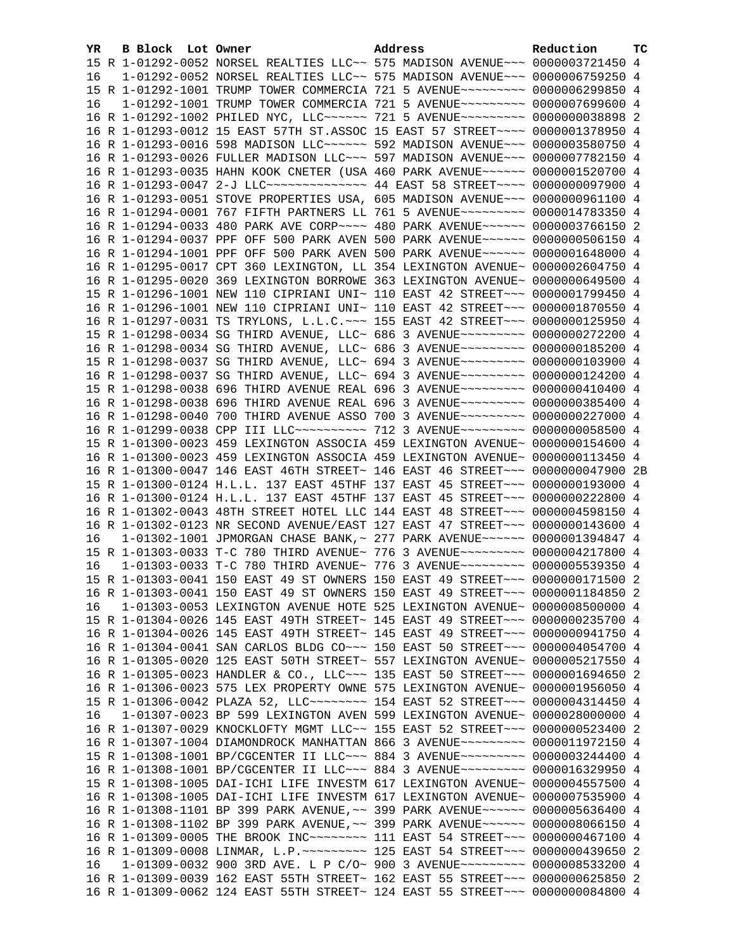| YR | B Block Lot Owner | Address                                                                                                                                                        | Reduction | тc |
|----|-------------------|----------------------------------------------------------------------------------------------------------------------------------------------------------------|-----------|----|
|    |                   | 15 R 1-01292-0052 NORSEL REALTIES LLC~~ 575 MADISON AVENUE~~~ 0000003721450 4                                                                                  |           |    |
| 16 |                   | $1-01292-0052$ NORSEL REALTIES LLC $\sim$ 575 MADISON AVENUE $\sim$ $\sim$ 0000006759250 4                                                                     |           |    |
|    |                   | 15 R 1-01292-1001 TRUMP TOWER COMMERCIA 721 5 AVENUE~~~~~~~~~ 0000006299850 4                                                                                  |           |    |
| 16 |                   | 1-01292-1001 TRUMP TOWER COMMERCIA 721 5 AVENUE~~~~~~~~~ 0000007699600 4                                                                                       |           |    |
|    |                   | 16 R 1-01292-1002 PHILED NYC, LLC~~~~~~ 721 5 AVENUE~~~~~~~~~ 0000000038898 2                                                                                  |           |    |
|    |                   | 16 R 1-01293-0012 15 EAST 57TH ST.ASSOC 15 EAST 57 STREET~~~~ 0000001378950 4                                                                                  |           |    |
|    |                   | 16 R 1-01293-0016 598 MADISON LLC ----- 592 MADISON AVENUE -- 0000003580750 4                                                                                  |           |    |
|    |                   | 16 R 1-01293-0026 FULLER MADISON LLC~~~ 597 MADISON AVENUE~~~ 0000007782150 4                                                                                  |           |    |
|    |                   | 16 R 1-01293-0035 HAHN KOOK CNETER (USA 460 PARK AVENUE~~~~~~ 0000001520700 4                                                                                  |           |    |
|    |                   | 16 R 1-01293-0047 2-J LLC -------------- 44 EAST 58 STREET ---- 0000000097900 4                                                                                |           |    |
|    |                   | 16 R 1-01293-0051 STOVE PROPERTIES USA, 605 MADISON AVENUE~~~ 0000000961100 4                                                                                  |           |    |
|    |                   | 16 R 1-01294-0001 767 FIFTH PARTNERS LL 761 5 AVENUE~~~~~~~~~ 0000014783350 4                                                                                  |           |    |
|    |                   | 16 R 1-01294-0033 480 PARK AVE CORP~~~~ 480 PARK AVENUE~~~~~~ 0000003766150 2                                                                                  |           |    |
|    |                   | 16 R 1-01294-0037 PPF OFF 500 PARK AVEN 500 PARK AVENUE~~~~~~ 0000000506150 4                                                                                  |           |    |
|    |                   | 16 R 1-01294-1001 PPF OFF 500 PARK AVEN 500 PARK AVENUE~~~~~~ 0000001648000 4                                                                                  |           |    |
|    |                   | 16 R 1-01295-0017 CPT 360 LEXINGTON, LL 354 LEXINGTON AVENUE~ 0000002604750 4                                                                                  |           |    |
|    |                   | 16 R 1-01295-0020 369 LEXINGTON BORROWE 363 LEXINGTON AVENUE~ 0000000649500 4                                                                                  |           |    |
|    |                   | 15 R 1-01296-1001 NEW 110 CIPRIANI UNI~ 110 EAST 42 STREET~~~ 0000001799450 4                                                                                  |           |    |
|    |                   | 16 R 1-01296-1001 NEW 110 CIPRIANI UNI~ 110 EAST 42 STREET~~~ 0000001870550 4                                                                                  |           |    |
|    |                   | 16 R 1-01297-0031 TS TRYLONS, L.L.C. ~~~ 155 EAST 42 STREET~~~ 0000000125950 4                                                                                 |           |    |
|    |                   | 15 R 1-01298-0034 SG THIRD AVENUE, LLC~ 686 3 AVENUE~~~~~~~~~ 0000000272200 4                                                                                  |           |    |
|    |                   | 16 R 1-01298-0034 SG THIRD AVENUE, LLC~ 686 3 AVENUE~~~~~~~~~ 0000000185200 4                                                                                  |           |    |
|    |                   | 15 R 1-01298-0037 SG THIRD AVENUE, LLC~ 694 3 AVENUE~~~~~~~~~ 0000000103900 4                                                                                  |           |    |
|    |                   | 16 R 1-01298-0037 SG THIRD AVENUE, LLC~ 694 3 AVENUE~~~~~~~~~ 0000000124200 4                                                                                  |           |    |
|    |                   | 15 R 1-01298-0038 696 THIRD AVENUE REAL 696 3 AVENUE~~~~~~~~~ 0000000410400 4                                                                                  |           |    |
|    |                   | 16 R 1-01298-0038 696 THIRD AVENUE REAL 696 3 AVENUE~~~~~~~~~ 0000000385400 4                                                                                  |           |    |
|    |                   | 16 R 1-01298-0040 700 THIRD AVENUE ASSO 700 3 AVENUE~~~~~~~~~ 0000000227000 4                                                                                  |           |    |
|    |                   | 16 R 1-01299-0038 CPP III LLC~~~~~~~~~~~~~~~~ 712 3 AVENUE~~~~~~~~~~~ 0000000058500 4                                                                          |           |    |
|    |                   | 15 R 1-01300-0023 459 LEXINGTON ASSOCIA 459 LEXINGTON AVENUE~ 0000000154600 4                                                                                  |           |    |
|    |                   | 16 R 1-01300-0023 459 LEXINGTON ASSOCIA 459 LEXINGTON AVENUE~ 0000000113450 4                                                                                  |           |    |
|    |                   | 16 R 1-01300-0047 146 EAST 46TH STREET~ 146 EAST 46 STREET~~~ 0000000047900 2B                                                                                 |           |    |
|    |                   | 15 R 1-01300-0124 H.L.L. 137 EAST 45THF 137 EAST 45 STREET~~~ 0000000193000 4                                                                                  |           |    |
|    |                   | 16 R 1-01300-0124 H.L.L. 137 EAST 45THF 137 EAST 45 STREET~~~ 0000000222800 4                                                                                  |           |    |
|    |                   | 16 R 1-01302-0043 48TH STREET HOTEL LLC 144 EAST 48 STREET~~~ 0000004598150 4                                                                                  |           |    |
|    |                   | 16 R 1-01302-0123 NR SECOND AVENUE/EAST 127 EAST 47 STREET~~~ 0000000143600 4                                                                                  |           |    |
| 16 |                   | 1-01302-1001 JPMORGAN CHASE BANK, ~ 277 PARK AVENUE~~~~~~ 0000001394847 4                                                                                      |           |    |
|    |                   | 15 R 1-01303-0033 T-C 780 THIRD AVENUE~ 776 3 AVENUE~~~~~~~~~ 0000004217800 4                                                                                  |           |    |
| 16 |                   | 1-01303-0033 T-C 780 THIRD AVENUE~ 776 3 AVENUE~~~~~~~~~ 0000005539350 4                                                                                       |           |    |
|    |                   | 15 R 1-01303-0041 150 EAST 49 ST OWNERS 150 EAST 49 STREET~~~ 0000000171500 2                                                                                  |           |    |
|    |                   | 16 R 1-01303-0041 150 EAST 49 ST OWNERS 150 EAST 49 STREET~~~ 0000001184850 2                                                                                  |           |    |
| 16 |                   | 1-01303-0053 LEXINGTON AVENUE HOTE 525 LEXINGTON AVENUE~ 0000008500000 4                                                                                       |           |    |
|    |                   | 15 R 1-01304-0026 145 EAST 49TH STREET~ 145 EAST 49 STREET~~~ 0000000235700 4                                                                                  |           |    |
|    |                   | 16 R 1-01304-0026 145 EAST 49TH STREET~ 145 EAST 49 STREET~~~ 0000000941750 4                                                                                  |           |    |
|    |                   | 16 R 1-01304-0041 SAN CARLOS BLDG CO~~~ 150 EAST 50 STREET~~~ 0000004054700 4<br>16 R 1-01305-0020 125 EAST 50TH STREET~ 557 LEXINGTON AVENUE~ 0000005217550 4 |           |    |
|    |                   | 16 R 1-01305-0023 HANDLER & CO., LLC ~~~ 135 EAST 50 STREET ~~~ 0000001694650 2                                                                                |           |    |
|    |                   | 16 R 1-01306-0023 575 LEX PROPERTY OWNE 575 LEXINGTON AVENUE~ 0000001956050 4                                                                                  |           |    |
|    |                   | 15 R 1-01306-0042 PLAZA 52, LLC ------- 154 EAST 52 STREET -- 0000004314450 4                                                                                  |           |    |
| 16 |                   | 1-01307-0023 BP 599 LEXINGTON AVEN 599 LEXINGTON AVENUE~ 0000028000000 4                                                                                       |           |    |
|    |                   | 16 R 1-01307-0029 KNOCKLOFTY MGMT LLC~~ 155 EAST 52 STREET~~~ 0000000523400 2                                                                                  |           |    |
|    |                   | 16 R 1-01307-1004 DIAMONDROCK MANHATTAN 866 3 AVENUE~~~~~~~~~ 0000011972150 4                                                                                  |           |    |
|    |                   | 15 R 1-01308-1001 BP/CGCENTER II LLC~~~ 884 3 AVENUE~~~~~~~~~ 0000003244400 4                                                                                  |           |    |
|    |                   | 16 R 1-01308-1001 BP/CGCENTER II LLC~~~ 884 3 AVENUE~~~~~~~~~ 0000016329950 4                                                                                  |           |    |
|    |                   | 15 R 1-01308-1005 DAI-ICHI LIFE INVESTM 617 LEXINGTON AVENUE~ 0000004557500 4                                                                                  |           |    |
|    |                   | 16 R 1-01308-1005 DAI-ICHI LIFE INVESTM 617 LEXINGTON AVENUE~ 0000007535900 4                                                                                  |           |    |
|    |                   | 16 R 1-01308-1101 BP 399 PARK AVENUE, ~~ 399 PARK AVENUE~~~~~~ 0000005636400 4                                                                                 |           |    |
|    |                   | 16 R 1-01308-1102 BP 399 PARK AVENUE, ~~ 399 PARK AVENUE~~~~~~ 0000008066150 4                                                                                 |           |    |
|    |                   | 16 R 1-01309-0005 THE BROOK INC~~~~~~~~ 111 EAST 54 STREET~~~ 0000000467100 4                                                                                  |           |    |
|    |                   | 16 R 1-01309-0008 LINMAR, L.P. ~~~~~~~~~~ 125 EAST 54 STREET~~~ 0000000439650                                                                                  |           | -2 |
| 16 |                   | 1-01309-0032 900 3RD AVE. L P C/O~ 900 3 AVENUE~~~~~~~~~ 0000008533200 4                                                                                       |           |    |
|    |                   | 16 R 1-01309-0039 162 EAST 55TH STREET~ 162 EAST 55 STREET~~~ 0000000625850 2                                                                                  |           |    |
|    |                   | 16 R 1-01309-0062 124 EAST 55TH STREET~ 124 EAST 55 STREET~~~ 0000000084800 4                                                                                  |           |    |
|    |                   |                                                                                                                                                                |           |    |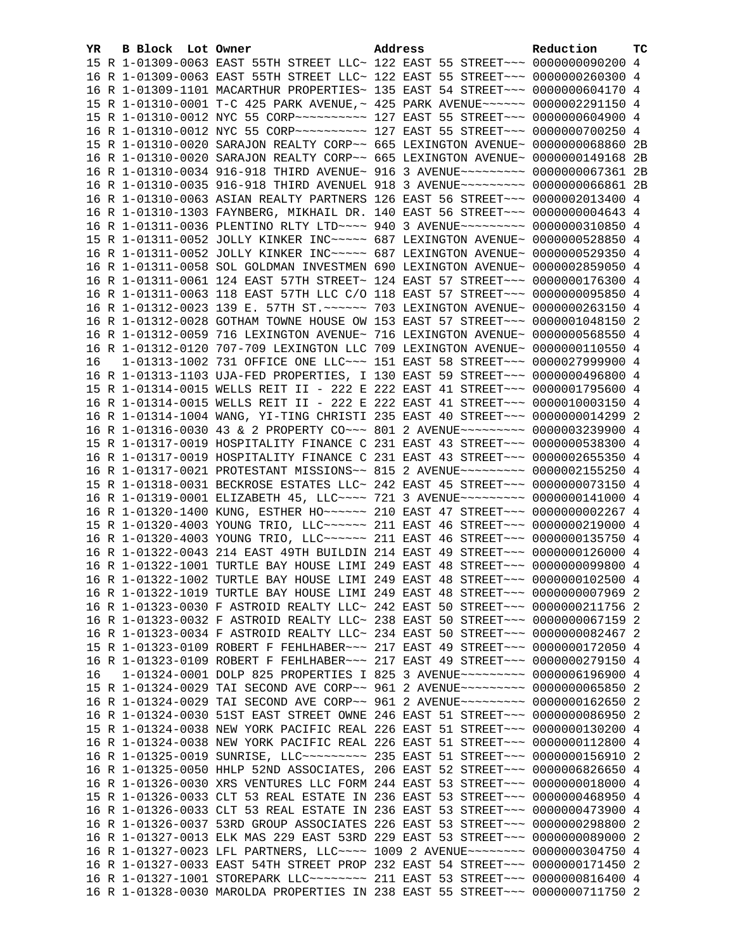| YR. | B Block Lot Owner |                                                                                                                                                            | Address | Reduction | тc  |
|-----|-------------------|------------------------------------------------------------------------------------------------------------------------------------------------------------|---------|-----------|-----|
|     |                   | 15 R 1-01309-0063 EAST 55TH STREET LLC~ 122 EAST 55 STREET~~~ 0000000090200 4                                                                              |         |           |     |
|     |                   | 16 R 1-01309-0063 EAST 55TH STREET LLC~ 122 EAST 55 STREET~~~ 0000000260300 4                                                                              |         |           |     |
|     |                   | 16 R 1-01309-1101 MACARTHUR PROPERTIES~ 135 EAST 54 STREET~~~ 0000000604170 4                                                                              |         |           |     |
|     |                   | 15 R 1-01310-0001 T-C 425 PARK AVENUE, ~ 425 PARK AVENUE ~~~~~~ 0000002291150 4                                                                            |         |           |     |
|     |                   | 15 R 1-01310-0012 NYC 55 CORP~~~~~~~~~~~~~~ 127 EAST 55 STREET~~~ 0000000604900 4                                                                          |         |           |     |
|     |                   | 16 R 1-01310-0012 NYC 55 CORP~~~~~~~~~~~~~~ 127 EAST 55 STREET~~~~ 0000000700250 4                                                                         |         |           |     |
|     |                   | 15 R 1-01310-0020 SARAJON REALTY CORP~~ 665 LEXINGTON AVENUE~ 0000000068860 2B                                                                             |         |           |     |
|     |                   | 16 R 1-01310-0020 SARAJON REALTY CORP~~ 665 LEXINGTON AVENUE~ 0000000149168 2B                                                                             |         |           |     |
|     |                   | 16 R 1-01310-0034 916-918 THIRD AVENUE~ 916 3 AVENUE~~~~~~~~~ 0000000067361 2B                                                                             |         |           |     |
|     |                   | 16 R 1-01310-0035 916-918 THIRD AVENUEL 918 3 AVENUE~~~~~~~~~ 0000000066861 2B                                                                             |         |           |     |
|     |                   | 16 R 1-01310-0063 ASIAN REALTY PARTNERS 126 EAST 56 STREET~~~ 0000002013400 4                                                                              |         |           |     |
|     |                   | 16 R 1-01310-1303 FAYNBERG, MIKHAIL DR. 140 EAST 56 STREET~~~ 00000000004643 4                                                                             |         |           |     |
|     |                   | 16 R 1-01311-0036 PLENTINO RLTY LTD --- 940 3 AVENUE ------ 0000000310850 4                                                                                |         |           |     |
|     |                   | 15 R 1-01311-0052 JOLLY KINKER INC ---- 687 LEXINGTON AVENUE ~ 0000000528850 4                                                                             |         |           |     |
|     |                   | 16 R 1-01311-0052 JOLLY KINKER INC~~~~~ 687 LEXINGTON AVENUE~ 0000000529350 4                                                                              |         |           |     |
|     |                   | 16 R 1-01311-0058 SOL GOLDMAN INVESTMEN 690 LEXINGTON AVENUE~ 0000002859050 4                                                                              |         |           |     |
|     |                   | 16 R 1-01311-0061 124 EAST 57TH STREET~ 124 EAST 57 STREET~~~ 0000000176300 4                                                                              |         |           |     |
|     |                   | 16 R 1-01311-0063 118 EAST 57TH LLC C/O 118 EAST 57 STREET~~~ 0000000095850 4                                                                              |         |           |     |
|     |                   | 16 R 1-01312-0023 139 E. 57TH ST. ~~~~~~ 703 LEXINGTON AVENUE~ 0000000263150 4                                                                             |         |           |     |
|     |                   | 16 R 1-01312-0028 GOTHAM TOWNE HOUSE OW 153 EAST 57 STREET~~~ 0000001048150 2                                                                              |         |           |     |
|     |                   | 16 R 1-01312-0059 716 LEXINGTON AVENUE~ 716 LEXINGTON AVENUE~ 0000000568550 4                                                                              |         |           |     |
|     |                   | 16 R 1-01312-0120 707-709 LEXINGTON LLC 709 LEXINGTON AVENUE~ 0000000110550 4                                                                              |         |           |     |
| 16  |                   | 1-01313-1002 731 OFFICE ONE LLC~~~ 151 EAST 58 STREET~~~ 0000027999900 4                                                                                   |         |           |     |
|     |                   | 16 R 1-01313-1103 UJA-FED PROPERTIES, I 130 EAST 59 STREET~~~ 0000000496800 4                                                                              |         |           |     |
|     |                   | 15 R 1-01314-0015 WELLS REIT II - 222 E 222 EAST 41 STREET~~~ 0000001795600 4                                                                              |         |           |     |
|     |                   | 16 R 1-01314-0015 WELLS REIT II - 222 E 222 EAST 41 STREET~~~ 0000010003150 4                                                                              |         |           |     |
|     |                   | 16 R 1-01314-1004 WANG, YI-TING CHRISTI 235 EAST 40 STREET~~~ 0000000014299 2                                                                              |         |           |     |
|     |                   | 16 R 1-01316-0030 43 & 2 PROPERTY CO~~~ 801 2 AVENUE~~~~~~~~~ 0000003239900 4                                                                              |         |           |     |
|     |                   | 15 R 1-01317-0019 HOSPITALITY FINANCE C 231 EAST 43 STREET~~~ 0000000538300 4                                                                              |         |           |     |
|     |                   | 16 R 1-01317-0019 HOSPITALITY FINANCE C 231 EAST 43 STREET~~~ 0000002655350 4                                                                              |         |           |     |
|     |                   | 16 R 1-01317-0021 PROTESTANT MISSIONS~~ 815 2 AVENUE~~~~~~~~~ 0000002155250 4                                                                              |         |           |     |
|     |                   | 15 R 1-01318-0031 BECKROSE ESTATES LLC~ 242 EAST 45 STREET~~~ 0000000073150 4                                                                              |         |           |     |
|     |                   | 16 R 1-01319-0001 ELIZABETH 45, LLC --- 721 3 AVENUE --------- 0000000141000 4                                                                             |         |           |     |
|     |                   | 16 R 1-01320-1400 KUNG, ESTHER HO~~~~~~ 210 EAST 47 STREET~~~ 0000000002267 4                                                                              |         |           |     |
|     |                   | 15 R 1-01320-4003 YOUNG TRIO, LLC ~~~~~~ 211 EAST 46 STREET ~~~ 0000000219000 4                                                                            |         |           |     |
|     |                   | 16 R 1-01320-4003 YOUNG TRIO, LLC ~~~~~~ 211 EAST 46 STREET ~~~ 0000000135750 4                                                                            |         |           |     |
|     |                   | 16 R 1-01322-0043 214 EAST 49TH BUILDIN 214 EAST 49 STREET~~~ 0000000126000 4                                                                              |         |           |     |
|     |                   | 16 R 1-01322-1001 TURTLE BAY HOUSE LIMI 249 EAST 48 STREET~~~ 0000000099800 4                                                                              |         |           |     |
|     |                   | 16 R 1-01322-1002 TURTLE BAY HOUSE LIMI 249 EAST 48 STREET~~~ 0000000102500 4                                                                              |         |           |     |
|     |                   | 16 R 1-01322-1019 TURTLE BAY HOUSE LIMI 249 EAST 48 STREET~~~ 00000000007969 2                                                                             |         |           |     |
|     |                   | 16 R 1-01323-0030 F ASTROID REALTY LLC~ 242 EAST 50 STREET~~~ 0000000211756 2                                                                              |         |           |     |
|     |                   | 16 R 1-01323-0032 F ASTROID REALTY LLC~ 238 EAST 50 STREET~~~ 0000000067159 2                                                                              |         |           |     |
|     |                   | 16 R 1-01323-0034 F ASTROID REALTY LLC~ 234 EAST 50 STREET~~~ 0000000082467 2                                                                              |         |           |     |
|     |                   | 15 R 1-01323-0109 ROBERT F FEHLHABER~~~ 217 EAST 49 STREET~~~ 0000000172050 4                                                                              |         |           |     |
| 16  |                   | 16 R 1-01323-0109 ROBERT F FEHLHABER~~~ 217 EAST 49 STREET~~~ 0000000279150 4<br>1-01324-0001 DOLP 825 PROPERTIES I 825 3 AVENUE~~~~~~~~~~ 0000006196900 4 |         |           |     |
|     |                   | 15 R 1-01324-0029 TAI SECOND AVE CORP~~ 961 2 AVENUE~~~~~~~~~ 0000000065850                                                                                |         |           | - 2 |
|     |                   | 16 R 1-01324-0029 TAI SECOND AVE CORP~~ 961 2 AVENUE~~~~~~~~~ 0000000162650                                                                                |         |           | -2  |
|     |                   | 16 R 1-01324-0030 51ST EAST STREET OWNE 246 EAST 51 STREET~~~ 00000000086950                                                                               |         |           | -2  |
|     |                   | 15 R 1-01324-0038 NEW YORK PACIFIC REAL 226 EAST 51 STREET~~~ 0000000130200 4                                                                              |         |           |     |
|     |                   | 16 R 1-01324-0038 NEW YORK PACIFIC REAL 226 EAST 51 STREET~~~ 0000000112800 4                                                                              |         |           |     |
|     |                   | 16 R 1-01325-0019 SUNRISE, LLC --------- 235 EAST 51 STREET --- 0000000156910                                                                              |         |           | -2  |
|     |                   | 16 R 1-01325-0050 HHLP 52ND ASSOCIATES, 206 EAST 52 STREET~~~ 0000006826650 4                                                                              |         |           |     |
|     |                   | 16 R 1-01326-0030 XRS VENTURES LLC FORM 244 EAST 53 STREET~~~ 0000000018000 4                                                                              |         |           |     |
|     |                   | 15 R 1-01326-0033 CLT 53 REAL ESTATE IN 236 EAST 53 STREET~~~ 0000000468950                                                                                |         |           | 4   |
|     |                   | 16 R 1-01326-0033 CLT 53 REAL ESTATE IN 236 EAST 53 STREET~~~ 0000000473900 4                                                                              |         |           |     |
|     |                   | 16 R 1-01326-0037 53RD GROUP ASSOCIATES 226 EAST 53 STREET~~~ 0000000298800                                                                                |         |           | -2  |
|     |                   | 16 R 1-01327-0013 ELK MAS 229 EAST 53RD 229 EAST 53 STREET~~~ 0000000089000 2                                                                              |         |           |     |
|     |                   | 16 R 1-01327-0023 LFL PARTNERS, LLC --- 1009 2 AVENUE -------- 0000000304750 4                                                                             |         |           |     |
|     |                   | 16 R 1-01327-0033 EAST 54TH STREET PROP 232 EAST 54 STREET~~~ 0000000171450 2                                                                              |         |           |     |
|     |                   | 16 R 1-01327-1001 STOREPARK LLC~~~~~~~~~ 211 EAST 53 STREET~~~ 0000000816400 4                                                                             |         |           |     |
|     |                   | 16 R 1-01328-0030 MAROLDA PROPERTIES IN 238 EAST 55 STREET~~~ 0000000711750 2                                                                              |         |           |     |
|     |                   |                                                                                                                                                            |         |           |     |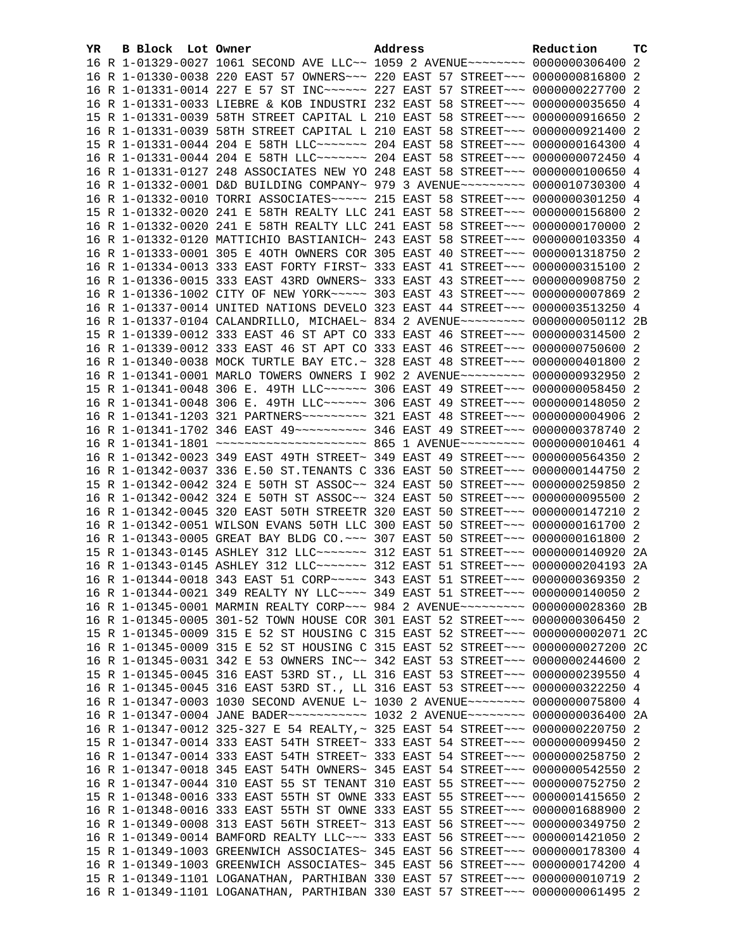| YR | <b>B Block</b> Lot Owner |                                                                                                                                                                | Address |  | Reduction | тc |
|----|--------------------------|----------------------------------------------------------------------------------------------------------------------------------------------------------------|---------|--|-----------|----|
|    |                          | 16 R 1-01329-0027 1061 SECOND AVE LLC~~ 1059 2 AVENUE~~~~~~~~ 0000000306400 2                                                                                  |         |  |           |    |
|    |                          | 16 R 1-01330-0038 220 EAST 57 OWNERS~~~ 220 EAST 57 STREET~~~ 0000000816800 2                                                                                  |         |  |           |    |
|    |                          | 16 R 1-01331-0014 227 E 57 ST INC~~~~~~ 227 EAST 57 STREET~~~ 0000000227700 2                                                                                  |         |  |           |    |
|    |                          | 16 R 1-01331-0033 LIEBRE & KOB INDUSTRI 232 EAST 58 STREET~~~ 0000000035650 4                                                                                  |         |  |           |    |
|    |                          | 15 R 1-01331-0039 58TH STREET CAPITAL L 210 EAST 58 STREET~~~ 0000000916650 2                                                                                  |         |  |           |    |
|    |                          | 16 R 1-01331-0039 58TH STREET CAPITAL L 210 EAST 58 STREET~~~ 0000000921400 2                                                                                  |         |  |           |    |
|    |                          | 15 R 1-01331-0044 204 E 58TH LLC ------ 204 EAST 58 STREET -- 0000000164300 4                                                                                  |         |  |           |    |
|    |                          | 16 R 1-01331-0044 204 E 58TH LLC ------ 204 EAST 58 STREET -- 0000000072450 4                                                                                  |         |  |           |    |
|    |                          | 16 R 1-01331-0127 248 ASSOCIATES NEW YO 248 EAST 58 STREET~~~ 0000000100650 4                                                                                  |         |  |           |    |
|    |                          | 16 R 1-01332-0001 D&D BUILDING COMPANY~ 979 3 AVENUE~~~~~~~~~ 0000010730300 4                                                                                  |         |  |           |    |
|    |                          | 16 R 1-01332-0010 TORRI ASSOCIATES~~~~~ 215 EAST 58 STREET~~~ 0000000301250 4                                                                                  |         |  |           |    |
|    |                          | 15 R 1-01332-0020 241 E 58TH REALTY LLC 241 EAST 58 STREET~~~ 0000000156800 2                                                                                  |         |  |           |    |
|    |                          | 16 R 1-01332-0020 241 E 58TH REALTY LLC 241 EAST 58 STREET~~~ 0000000170000 2                                                                                  |         |  |           |    |
|    |                          | 16 R 1-01332-0120 MATTICHIO BASTIANICH~ 243 EAST 58 STREET~~~ 0000000103350 4                                                                                  |         |  |           |    |
|    |                          | 16 R 1-01333-0001 305 E 40TH OWNERS COR 305 EAST 40 STREET~~~ 0000001318750 2                                                                                  |         |  |           |    |
|    |                          | 16 R 1-01334-0013 333 EAST FORTY FIRST~ 333 EAST 41 STREET~~~ 0000000315100 2                                                                                  |         |  |           |    |
|    |                          | 16 R 1-01336-0015 333 EAST 43RD OWNERS~ 333 EAST 43 STREET~~~ 0000000908750 2                                                                                  |         |  |           |    |
|    |                          | 16 R 1-01336-1002 CITY OF NEW YORK~~~~~ 303 EAST 43 STREET~~~ 00000000007869 2                                                                                 |         |  |           |    |
|    |                          | 16 R 1-01337-0014 UNITED NATIONS DEVELO 323 EAST 44 STREET~~~ 0000003513250 4                                                                                  |         |  |           |    |
|    |                          | 16 R 1-01337-0104 CALANDRILLO, MICHAEL~ 834 2 AVENUE~~~~~~~~~ 0000000050112 2B                                                                                 |         |  |           |    |
|    |                          | 15 R 1-01339-0012 333 EAST 46 ST APT CO 333 EAST 46 STREET~~~ 0000000314500 2                                                                                  |         |  |           |    |
|    |                          | 16 R 1-01339-0012 333 EAST 46 ST APT CO 333 EAST 46 STREET~~~ 0000000750600 2                                                                                  |         |  |           |    |
|    |                          | 16 R 1-01340-0038 MOCK TURTLE BAY ETC.~ 328 EAST 48 STREET~~~ 0000000401800 2                                                                                  |         |  |           |    |
|    |                          | 16 R 1-01341-0001 MARLO TOWERS OWNERS I 902 2 AVENUE~~~~~~~~~ 0000000932950 2                                                                                  |         |  |           |    |
|    |                          | 15 R 1-01341-0048 306 E. 49TH LLC ----- 306 EAST 49 STREET -- 0000000058450 2                                                                                  |         |  |           |    |
|    |                          | 16 R 1-01341-0048 306 E. 49TH LLC~~~~~~ 306 EAST 49 STREET~~~ 0000000148050 2                                                                                  |         |  |           |    |
|    |                          | 16 R 1-01341-1203 321 PARTNERS --------- 321 EAST 48 STREET --- 00000000004906 2                                                                               |         |  |           |    |
|    |                          | 16 R 1-01341-1702 346 EAST 49~~~~~~~~~~~ 346 EAST 49 STREET~~~ 0000000378740 2                                                                                 |         |  |           |    |
|    |                          | 16 R 1-01341-1801 ~~~~~~~~~~~~~~~~~~~~~~~ 865 1 AVENUE~~~~~~~~~ 0000000010461 4                                                                                |         |  |           |    |
|    |                          | 16 R 1-01342-0023 349 EAST 49TH STREET~ 349 EAST 49 STREET~~~ 0000000564350 2                                                                                  |         |  |           |    |
|    |                          | 16 R 1-01342-0037 336 E.50 ST.TENANTS C 336 EAST 50 STREET~~~ 0000000144750 2                                                                                  |         |  |           |    |
|    |                          | 15 R 1-01342-0042 324 E 50TH ST ASSOC~~ 324 EAST 50 STREET~~~ 0000000259850 2                                                                                  |         |  |           |    |
|    |                          | 16 R 1-01342-0042 324 E 50TH ST ASSOC~~ 324 EAST 50 STREET~~~ 0000000095500 2                                                                                  |         |  |           |    |
|    |                          | 16 R 1-01342-0045 320 EAST 50TH STREETR 320 EAST 50 STREET~~~ 0000000147210 2                                                                                  |         |  |           |    |
|    |                          | 16 R 1-01342-0051 WILSON EVANS 50TH LLC 300 EAST 50 STREET~~~ 0000000161700 2                                                                                  |         |  |           |    |
|    |                          | 16 R 1-01343-0005 GREAT BAY BLDG CO. ~~~ 307 EAST 50 STREET~~~ 0000000161800 2                                                                                 |         |  |           |    |
|    |                          | 15 R 1-01343-0145 ASHLEY 312 LLC~~~~~~~ 312 EAST 51 STREET~~~ 0000000140920 2A                                                                                 |         |  |           |    |
|    |                          | 16 R 1-01343-0145 ASHLEY 312 LLC ------- 312 EAST 51 STREET --- 0000000204193 2A                                                                               |         |  |           |    |
|    |                          | 16 R 1-01344-0018 343 EAST 51 CORP~~~~~ 343 EAST 51 STREET~~~ 0000000369350 2                                                                                  |         |  |           |    |
|    |                          | 16 R 1-01344-0021 349 REALTY NY LLC --- 349 EAST 51 STREET -- 0000000140050 2                                                                                  |         |  |           |    |
|    |                          | 16 R 1-01345-0001 MARMIN REALTY CORP~~~ 984 2 AVENUE~~~~~~~~~ 0000000028360 2B                                                                                 |         |  |           |    |
|    |                          | 16 R 1-01345-0005 301-52 TOWN HOUSE COR 301 EAST 52 STREET~~~ 0000000306450 2                                                                                  |         |  |           |    |
|    |                          | 15 R 1-01345-0009 315 E 52 ST HOUSING C 315 EAST 52 STREET~~~ 0000000002071 2C                                                                                 |         |  |           |    |
|    |                          | 16 R 1-01345-0009 315 E 52 ST HOUSING C 315 EAST 52 STREET~~~ 0000000027200 2C                                                                                 |         |  |           |    |
|    |                          | 16 R 1-01345-0031 342 E 53 OWNERS INC~~ 342 EAST 53 STREET~~~ 0000000244600 2                                                                                  |         |  |           |    |
|    |                          | 15 R 1-01345-0045 316 EAST 53RD ST., LL 316 EAST 53 STREET~~~ 0000000239550 4                                                                                  |         |  |           |    |
|    |                          | 16 R 1-01345-0045 316 EAST 53RD ST., LL 316 EAST 53 STREET~~~ 0000000322250 4                                                                                  |         |  |           |    |
|    |                          | 16 R 1-01347-0003 1030 SECOND AVENUE L~ 1030 2 AVENUE~~~~~~~~ 0000000075800 4                                                                                  |         |  |           |    |
|    |                          | 16 R 1-01347-0004 JANE BADER~~~~~~~~~~~~~~~~ 1032 2 AVENUE~~~~~~~~~ 0000000036400 2A                                                                           |         |  |           |    |
|    |                          | 16 R 1-01347-0012 325-327 E 54 REALTY, ~ 325 EAST 54 STREET~~~ 0000000220750 2                                                                                 |         |  |           |    |
|    |                          | 15 R 1-01347-0014 333 EAST 54TH STREET~ 333 EAST 54 STREET~~~ 0000000099450 2                                                                                  |         |  |           |    |
|    |                          | 16 R 1-01347-0014 333 EAST 54TH STREET~ 333 EAST 54 STREET~~~ 0000000258750 2                                                                                  |         |  |           |    |
|    |                          | 16 R 1-01347-0018 345 EAST 54TH OWNERS~ 345 EAST 54 STREET~~~ 0000000542550 2<br>16 R 1-01347-0044 310 EAST 55 ST TENANT 310 EAST 55 STREET~~~ 0000000752750 2 |         |  |           |    |
|    |                          |                                                                                                                                                                |         |  |           |    |
|    |                          | 15 R 1-01348-0016 333 EAST 55TH ST OWNE 333 EAST 55 STREET~~~ 0000001415650 2<br>16 R 1-01348-0016 333 EAST 55TH ST OWNE 333 EAST 55 STREET~~~ 0000001688900 2 |         |  |           |    |
|    |                          | 16 R 1-01349-0008 313 EAST 56TH STREET~ 313 EAST 56 STREET~~~ 0000000349750                                                                                    |         |  |           | -2 |
|    |                          | 16 R 1-01349-0014 BAMFORD REALTY LLC~~~ 333 EAST 56 STREET~~~ 0000001421050 2                                                                                  |         |  |           |    |
|    |                          | 15 R 1-01349-1003 GREENWICH ASSOCIATES~ 345 EAST 56 STREET~~~ 0000000178300 4                                                                                  |         |  |           |    |
|    |                          | 16 R 1-01349-1003 GREENWICH ASSOCIATES~ 345 EAST 56 STREET~~~ 0000000174200 4                                                                                  |         |  |           |    |
|    |                          | 15 R 1-01349-1101 LOGANATHAN, PARTHIBAN 330 EAST 57 STREET~~~ 0000000010719 2                                                                                  |         |  |           |    |
|    |                          | 16 R 1-01349-1101 LOGANATHAN, PARTHIBAN 330 EAST 57 STREET~~~ 0000000061495 2                                                                                  |         |  |           |    |
|    |                          |                                                                                                                                                                |         |  |           |    |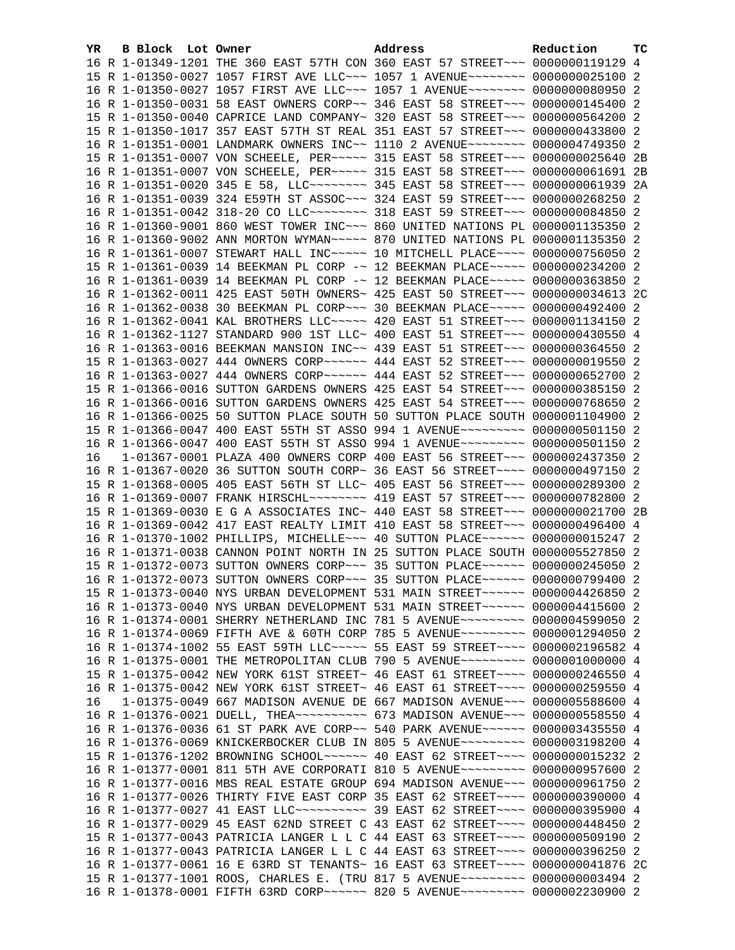| 16 R 1-01349-1201 THE 360 EAST 57TH CON 360 EAST 57 STREET~~~ 0000000119129 4<br>15 R 1-01350-0027 1057 FIRST AVE LLC~~~ 1057 1 AVENUE~~~~~~~~ 0000000025100 2<br>16 R 1-01350-0027 1057 FIRST AVE LLC~~~ 1057 1 AVENUE~~~~~~~~ 0000000080950 2<br>16 R 1-01350-0031 58 EAST OWNERS CORP~~ 346 EAST 58 STREET~~~ 0000000145400 2<br>15 R 1-01350-0040 CAPRICE LAND COMPANY~ 320 EAST 58 STREET~~~ 0000000564200 2<br>15 R 1-01350-1017 357 EAST 57TH ST REAL 351 EAST 57 STREET~~~ 0000000433800 2<br>16 R 1-01351-0001 LANDMARK OWNERS INC~~ 1110 2 AVENUE~~~~~~~~ 0000004749350 2<br>15 R 1-01351-0007 VON SCHEELE, PER ----- 315 EAST 58 STREET -- 0000000025640 2B<br>16 R 1-01351-0007 VON SCHEELE, PER ----- 315 EAST 58 STREET -- 00000000061691 2B<br>16 R 1-01351-0020 345 E 58, LLC -------- 345 EAST 58 STREET --- 0000000061939 2A<br>16 R 1-01351-0039 324 E59TH ST ASSOC~~~ 324 EAST 59 STREET~~~ 0000000268250 2<br>16 R 1-01351-0042 318-20 CO LLC~~~~~~~~ 318 EAST 59 STREET~~~ 0000000084850 2<br>16 R 1-01360-9001 860 WEST TOWER INC~~~ 860 UNITED NATIONS PL 0000001135350 2<br>16 R 1-01360-9002 ANN MORTON WYMAN~~~~~ 870 UNITED NATIONS PL 0000001135350 2<br>16 R 1-01361-0007 STEWART HALL INC~~~~~ 10 MITCHELL PLACE~~~~ 0000000756050 2<br>15 R 1-01361-0039 14 BEEKMAN PL CORP -~ 12 BEEKMAN PLACE~~~~~ 0000000234200 2<br>16 R 1-01361-0039 14 BEEKMAN PL CORP -~ 12 BEEKMAN PLACE~~~~~ 0000000363850 2<br>16 R 1-01362-0011 425 EAST 50TH OWNERS~ 425 EAST 50 STREET~~~ 0000000034613 2C<br>16 R 1-01362-0038 30 BEEKMAN PL CORP~~~ 30 BEEKMAN PLACE~~~~~ 0000000492400 2<br>16 R 1-01362-0041 KAL BROTHERS LLC~~~~~ 420 EAST 51 STREET~~~ 0000001134150 2<br>16 R 1-01362-1127 STANDARD 900 1ST LLC~ 400 EAST 51 STREET~~~ 0000000430550 4<br>16 R 1-01363-0016 BEEKMAN MANSION INC~~ 439 EAST 51 STREET~~~ 0000000364550 2<br>15 R 1-01363-0027 444 OWNERS CORP~~~~~~ 444 EAST 52 STREET~~~ 0000000019550 2<br>16 R 1-01363-0027 444 OWNERS CORP~~~~~~ 444 EAST 52 STREET~~~ 0000000652700 2<br>15 R 1-01366-0016 SUTTON GARDENS OWNERS 425 EAST 54 STREET~~~ 0000000385150 2<br>16 R 1-01366-0016 SUTTON GARDENS OWNERS 425 EAST 54 STREET~~~ 0000000768650 2<br>16 R 1-01366-0025 50 SUTTON PLACE SOUTH 50 SUTTON PLACE SOUTH 0000001104900 2<br>15 R 1-01366-0047 400 EAST 55TH ST ASSO 994 1 AVENUE~~~~~~~~~ 0000000501150 2<br>16 R 1-01366-0047 400 EAST 55TH ST ASSO 994 1 AVENUE~~~~~~~~~ 0000000501150 2<br>1-01367-0001 PLAZA 400 OWNERS CORP 400 EAST 56 STREET~~~ 0000002437350 2<br>16<br>16 R 1-01367-0020 36 SUTTON SOUTH CORP~ 36 EAST 56 STREET~~~~ 0000000497150 2<br>15 R 1-01368-0005 405 EAST 56TH ST LLC~ 405 EAST 56 STREET~~~ 0000000289300 2<br>16 R 1-01369-0007 FRANK HIRSCHL ------- 419 EAST 57 STREET --- 0000000782800 2<br>15 R 1-01369-0030 E G A ASSOCIATES INC~ 440 EAST 58 STREET~~~ 0000000021700 2B<br>16 R 1-01369-0042 417 EAST REALTY LIMIT 410 EAST 58 STREET~~~ 0000000496400 4<br>16 R 1-01370-1002 PHILLIPS, MICHELLE~~~ 40 SUTTON PLACE~~~~~~ 0000000015247 2<br>16 R 1-01371-0038 CANNON POINT NORTH IN 25 SUTTON PLACE SOUTH 0000005527850 2<br>15 R 1-01372-0073 SUTTON OWNERS CORP~~~ 35 SUTTON PLACE~~~~~~ 0000000245050 2<br>16 R 1-01372-0073 SUTTON OWNERS CORP~~~ 35 SUTTON PLACE~~~~~~ 0000000799400 2<br>15 R 1-01373-0040 NYS URBAN DEVELOPMENT 531 MAIN STREET~~~~~~ 0000004426850 2<br>16 R 1-01373-0040 NYS URBAN DEVELOPMENT 531 MAIN STREET~~~~~~ 0000004415600 2<br>16 R 1-01374-0001 SHERRY NETHERLAND INC 781 5 AVENUE~~~~~~~~~ 0000004599050 2<br>16 R 1-01374-0069 FIFTH AVE & 60TH CORP 785 5 AVENUE~~~~~~~~~ 0000001294050 2<br>16 R 1-01374-1002 55 EAST 59TH LLC ---- 55 EAST 59 STREET --- 0000002196582 4 |  |
|----------------------------------------------------------------------------------------------------------------------------------------------------------------------------------------------------------------------------------------------------------------------------------------------------------------------------------------------------------------------------------------------------------------------------------------------------------------------------------------------------------------------------------------------------------------------------------------------------------------------------------------------------------------------------------------------------------------------------------------------------------------------------------------------------------------------------------------------------------------------------------------------------------------------------------------------------------------------------------------------------------------------------------------------------------------------------------------------------------------------------------------------------------------------------------------------------------------------------------------------------------------------------------------------------------------------------------------------------------------------------------------------------------------------------------------------------------------------------------------------------------------------------------------------------------------------------------------------------------------------------------------------------------------------------------------------------------------------------------------------------------------------------------------------------------------------------------------------------------------------------------------------------------------------------------------------------------------------------------------------------------------------------------------------------------------------------------------------------------------------------------------------------------------------------------------------------------------------------------------------------------------------------------------------------------------------------------------------------------------------------------------------------------------------------------------------------------------------------------------------------------------------------------------------------------------------------------------------------------------------------------------------------------------------------------------------------------------------------------------------------------------------------------------------------------------------------------------------------------------------------------------------------------------------------------------------------------------------------------------------------------------------------------------------------------------------------------------------------------------------------------------------------------------------------------------------------------------------------------------------------------------------------------------------------------------------------------------------------------------------------------------------------------------------------------------------------------------------------------------------------------------------------------------------------------------------------------------------------------------------------------------------------------------------------------------------------------------------|--|
|                                                                                                                                                                                                                                                                                                                                                                                                                                                                                                                                                                                                                                                                                                                                                                                                                                                                                                                                                                                                                                                                                                                                                                                                                                                                                                                                                                                                                                                                                                                                                                                                                                                                                                                                                                                                                                                                                                                                                                                                                                                                                                                                                                                                                                                                                                                                                                                                                                                                                                                                                                                                                                                                                                                                                                                                                                                                                                                                                                                                                                                                                                                                                                                                                                                                                                                                                                                                                                                                                                                                                                                                                                                                                                                      |  |
|                                                                                                                                                                                                                                                                                                                                                                                                                                                                                                                                                                                                                                                                                                                                                                                                                                                                                                                                                                                                                                                                                                                                                                                                                                                                                                                                                                                                                                                                                                                                                                                                                                                                                                                                                                                                                                                                                                                                                                                                                                                                                                                                                                                                                                                                                                                                                                                                                                                                                                                                                                                                                                                                                                                                                                                                                                                                                                                                                                                                                                                                                                                                                                                                                                                                                                                                                                                                                                                                                                                                                                                                                                                                                                                      |  |
|                                                                                                                                                                                                                                                                                                                                                                                                                                                                                                                                                                                                                                                                                                                                                                                                                                                                                                                                                                                                                                                                                                                                                                                                                                                                                                                                                                                                                                                                                                                                                                                                                                                                                                                                                                                                                                                                                                                                                                                                                                                                                                                                                                                                                                                                                                                                                                                                                                                                                                                                                                                                                                                                                                                                                                                                                                                                                                                                                                                                                                                                                                                                                                                                                                                                                                                                                                                                                                                                                                                                                                                                                                                                                                                      |  |
|                                                                                                                                                                                                                                                                                                                                                                                                                                                                                                                                                                                                                                                                                                                                                                                                                                                                                                                                                                                                                                                                                                                                                                                                                                                                                                                                                                                                                                                                                                                                                                                                                                                                                                                                                                                                                                                                                                                                                                                                                                                                                                                                                                                                                                                                                                                                                                                                                                                                                                                                                                                                                                                                                                                                                                                                                                                                                                                                                                                                                                                                                                                                                                                                                                                                                                                                                                                                                                                                                                                                                                                                                                                                                                                      |  |
|                                                                                                                                                                                                                                                                                                                                                                                                                                                                                                                                                                                                                                                                                                                                                                                                                                                                                                                                                                                                                                                                                                                                                                                                                                                                                                                                                                                                                                                                                                                                                                                                                                                                                                                                                                                                                                                                                                                                                                                                                                                                                                                                                                                                                                                                                                                                                                                                                                                                                                                                                                                                                                                                                                                                                                                                                                                                                                                                                                                                                                                                                                                                                                                                                                                                                                                                                                                                                                                                                                                                                                                                                                                                                                                      |  |
|                                                                                                                                                                                                                                                                                                                                                                                                                                                                                                                                                                                                                                                                                                                                                                                                                                                                                                                                                                                                                                                                                                                                                                                                                                                                                                                                                                                                                                                                                                                                                                                                                                                                                                                                                                                                                                                                                                                                                                                                                                                                                                                                                                                                                                                                                                                                                                                                                                                                                                                                                                                                                                                                                                                                                                                                                                                                                                                                                                                                                                                                                                                                                                                                                                                                                                                                                                                                                                                                                                                                                                                                                                                                                                                      |  |
|                                                                                                                                                                                                                                                                                                                                                                                                                                                                                                                                                                                                                                                                                                                                                                                                                                                                                                                                                                                                                                                                                                                                                                                                                                                                                                                                                                                                                                                                                                                                                                                                                                                                                                                                                                                                                                                                                                                                                                                                                                                                                                                                                                                                                                                                                                                                                                                                                                                                                                                                                                                                                                                                                                                                                                                                                                                                                                                                                                                                                                                                                                                                                                                                                                                                                                                                                                                                                                                                                                                                                                                                                                                                                                                      |  |
|                                                                                                                                                                                                                                                                                                                                                                                                                                                                                                                                                                                                                                                                                                                                                                                                                                                                                                                                                                                                                                                                                                                                                                                                                                                                                                                                                                                                                                                                                                                                                                                                                                                                                                                                                                                                                                                                                                                                                                                                                                                                                                                                                                                                                                                                                                                                                                                                                                                                                                                                                                                                                                                                                                                                                                                                                                                                                                                                                                                                                                                                                                                                                                                                                                                                                                                                                                                                                                                                                                                                                                                                                                                                                                                      |  |
|                                                                                                                                                                                                                                                                                                                                                                                                                                                                                                                                                                                                                                                                                                                                                                                                                                                                                                                                                                                                                                                                                                                                                                                                                                                                                                                                                                                                                                                                                                                                                                                                                                                                                                                                                                                                                                                                                                                                                                                                                                                                                                                                                                                                                                                                                                                                                                                                                                                                                                                                                                                                                                                                                                                                                                                                                                                                                                                                                                                                                                                                                                                                                                                                                                                                                                                                                                                                                                                                                                                                                                                                                                                                                                                      |  |
|                                                                                                                                                                                                                                                                                                                                                                                                                                                                                                                                                                                                                                                                                                                                                                                                                                                                                                                                                                                                                                                                                                                                                                                                                                                                                                                                                                                                                                                                                                                                                                                                                                                                                                                                                                                                                                                                                                                                                                                                                                                                                                                                                                                                                                                                                                                                                                                                                                                                                                                                                                                                                                                                                                                                                                                                                                                                                                                                                                                                                                                                                                                                                                                                                                                                                                                                                                                                                                                                                                                                                                                                                                                                                                                      |  |
|                                                                                                                                                                                                                                                                                                                                                                                                                                                                                                                                                                                                                                                                                                                                                                                                                                                                                                                                                                                                                                                                                                                                                                                                                                                                                                                                                                                                                                                                                                                                                                                                                                                                                                                                                                                                                                                                                                                                                                                                                                                                                                                                                                                                                                                                                                                                                                                                                                                                                                                                                                                                                                                                                                                                                                                                                                                                                                                                                                                                                                                                                                                                                                                                                                                                                                                                                                                                                                                                                                                                                                                                                                                                                                                      |  |
|                                                                                                                                                                                                                                                                                                                                                                                                                                                                                                                                                                                                                                                                                                                                                                                                                                                                                                                                                                                                                                                                                                                                                                                                                                                                                                                                                                                                                                                                                                                                                                                                                                                                                                                                                                                                                                                                                                                                                                                                                                                                                                                                                                                                                                                                                                                                                                                                                                                                                                                                                                                                                                                                                                                                                                                                                                                                                                                                                                                                                                                                                                                                                                                                                                                                                                                                                                                                                                                                                                                                                                                                                                                                                                                      |  |
|                                                                                                                                                                                                                                                                                                                                                                                                                                                                                                                                                                                                                                                                                                                                                                                                                                                                                                                                                                                                                                                                                                                                                                                                                                                                                                                                                                                                                                                                                                                                                                                                                                                                                                                                                                                                                                                                                                                                                                                                                                                                                                                                                                                                                                                                                                                                                                                                                                                                                                                                                                                                                                                                                                                                                                                                                                                                                                                                                                                                                                                                                                                                                                                                                                                                                                                                                                                                                                                                                                                                                                                                                                                                                                                      |  |
|                                                                                                                                                                                                                                                                                                                                                                                                                                                                                                                                                                                                                                                                                                                                                                                                                                                                                                                                                                                                                                                                                                                                                                                                                                                                                                                                                                                                                                                                                                                                                                                                                                                                                                                                                                                                                                                                                                                                                                                                                                                                                                                                                                                                                                                                                                                                                                                                                                                                                                                                                                                                                                                                                                                                                                                                                                                                                                                                                                                                                                                                                                                                                                                                                                                                                                                                                                                                                                                                                                                                                                                                                                                                                                                      |  |
|                                                                                                                                                                                                                                                                                                                                                                                                                                                                                                                                                                                                                                                                                                                                                                                                                                                                                                                                                                                                                                                                                                                                                                                                                                                                                                                                                                                                                                                                                                                                                                                                                                                                                                                                                                                                                                                                                                                                                                                                                                                                                                                                                                                                                                                                                                                                                                                                                                                                                                                                                                                                                                                                                                                                                                                                                                                                                                                                                                                                                                                                                                                                                                                                                                                                                                                                                                                                                                                                                                                                                                                                                                                                                                                      |  |
|                                                                                                                                                                                                                                                                                                                                                                                                                                                                                                                                                                                                                                                                                                                                                                                                                                                                                                                                                                                                                                                                                                                                                                                                                                                                                                                                                                                                                                                                                                                                                                                                                                                                                                                                                                                                                                                                                                                                                                                                                                                                                                                                                                                                                                                                                                                                                                                                                                                                                                                                                                                                                                                                                                                                                                                                                                                                                                                                                                                                                                                                                                                                                                                                                                                                                                                                                                                                                                                                                                                                                                                                                                                                                                                      |  |
|                                                                                                                                                                                                                                                                                                                                                                                                                                                                                                                                                                                                                                                                                                                                                                                                                                                                                                                                                                                                                                                                                                                                                                                                                                                                                                                                                                                                                                                                                                                                                                                                                                                                                                                                                                                                                                                                                                                                                                                                                                                                                                                                                                                                                                                                                                                                                                                                                                                                                                                                                                                                                                                                                                                                                                                                                                                                                                                                                                                                                                                                                                                                                                                                                                                                                                                                                                                                                                                                                                                                                                                                                                                                                                                      |  |
|                                                                                                                                                                                                                                                                                                                                                                                                                                                                                                                                                                                                                                                                                                                                                                                                                                                                                                                                                                                                                                                                                                                                                                                                                                                                                                                                                                                                                                                                                                                                                                                                                                                                                                                                                                                                                                                                                                                                                                                                                                                                                                                                                                                                                                                                                                                                                                                                                                                                                                                                                                                                                                                                                                                                                                                                                                                                                                                                                                                                                                                                                                                                                                                                                                                                                                                                                                                                                                                                                                                                                                                                                                                                                                                      |  |
|                                                                                                                                                                                                                                                                                                                                                                                                                                                                                                                                                                                                                                                                                                                                                                                                                                                                                                                                                                                                                                                                                                                                                                                                                                                                                                                                                                                                                                                                                                                                                                                                                                                                                                                                                                                                                                                                                                                                                                                                                                                                                                                                                                                                                                                                                                                                                                                                                                                                                                                                                                                                                                                                                                                                                                                                                                                                                                                                                                                                                                                                                                                                                                                                                                                                                                                                                                                                                                                                                                                                                                                                                                                                                                                      |  |
|                                                                                                                                                                                                                                                                                                                                                                                                                                                                                                                                                                                                                                                                                                                                                                                                                                                                                                                                                                                                                                                                                                                                                                                                                                                                                                                                                                                                                                                                                                                                                                                                                                                                                                                                                                                                                                                                                                                                                                                                                                                                                                                                                                                                                                                                                                                                                                                                                                                                                                                                                                                                                                                                                                                                                                                                                                                                                                                                                                                                                                                                                                                                                                                                                                                                                                                                                                                                                                                                                                                                                                                                                                                                                                                      |  |
|                                                                                                                                                                                                                                                                                                                                                                                                                                                                                                                                                                                                                                                                                                                                                                                                                                                                                                                                                                                                                                                                                                                                                                                                                                                                                                                                                                                                                                                                                                                                                                                                                                                                                                                                                                                                                                                                                                                                                                                                                                                                                                                                                                                                                                                                                                                                                                                                                                                                                                                                                                                                                                                                                                                                                                                                                                                                                                                                                                                                                                                                                                                                                                                                                                                                                                                                                                                                                                                                                                                                                                                                                                                                                                                      |  |
|                                                                                                                                                                                                                                                                                                                                                                                                                                                                                                                                                                                                                                                                                                                                                                                                                                                                                                                                                                                                                                                                                                                                                                                                                                                                                                                                                                                                                                                                                                                                                                                                                                                                                                                                                                                                                                                                                                                                                                                                                                                                                                                                                                                                                                                                                                                                                                                                                                                                                                                                                                                                                                                                                                                                                                                                                                                                                                                                                                                                                                                                                                                                                                                                                                                                                                                                                                                                                                                                                                                                                                                                                                                                                                                      |  |
|                                                                                                                                                                                                                                                                                                                                                                                                                                                                                                                                                                                                                                                                                                                                                                                                                                                                                                                                                                                                                                                                                                                                                                                                                                                                                                                                                                                                                                                                                                                                                                                                                                                                                                                                                                                                                                                                                                                                                                                                                                                                                                                                                                                                                                                                                                                                                                                                                                                                                                                                                                                                                                                                                                                                                                                                                                                                                                                                                                                                                                                                                                                                                                                                                                                                                                                                                                                                                                                                                                                                                                                                                                                                                                                      |  |
|                                                                                                                                                                                                                                                                                                                                                                                                                                                                                                                                                                                                                                                                                                                                                                                                                                                                                                                                                                                                                                                                                                                                                                                                                                                                                                                                                                                                                                                                                                                                                                                                                                                                                                                                                                                                                                                                                                                                                                                                                                                                                                                                                                                                                                                                                                                                                                                                                                                                                                                                                                                                                                                                                                                                                                                                                                                                                                                                                                                                                                                                                                                                                                                                                                                                                                                                                                                                                                                                                                                                                                                                                                                                                                                      |  |
|                                                                                                                                                                                                                                                                                                                                                                                                                                                                                                                                                                                                                                                                                                                                                                                                                                                                                                                                                                                                                                                                                                                                                                                                                                                                                                                                                                                                                                                                                                                                                                                                                                                                                                                                                                                                                                                                                                                                                                                                                                                                                                                                                                                                                                                                                                                                                                                                                                                                                                                                                                                                                                                                                                                                                                                                                                                                                                                                                                                                                                                                                                                                                                                                                                                                                                                                                                                                                                                                                                                                                                                                                                                                                                                      |  |
|                                                                                                                                                                                                                                                                                                                                                                                                                                                                                                                                                                                                                                                                                                                                                                                                                                                                                                                                                                                                                                                                                                                                                                                                                                                                                                                                                                                                                                                                                                                                                                                                                                                                                                                                                                                                                                                                                                                                                                                                                                                                                                                                                                                                                                                                                                                                                                                                                                                                                                                                                                                                                                                                                                                                                                                                                                                                                                                                                                                                                                                                                                                                                                                                                                                                                                                                                                                                                                                                                                                                                                                                                                                                                                                      |  |
|                                                                                                                                                                                                                                                                                                                                                                                                                                                                                                                                                                                                                                                                                                                                                                                                                                                                                                                                                                                                                                                                                                                                                                                                                                                                                                                                                                                                                                                                                                                                                                                                                                                                                                                                                                                                                                                                                                                                                                                                                                                                                                                                                                                                                                                                                                                                                                                                                                                                                                                                                                                                                                                                                                                                                                                                                                                                                                                                                                                                                                                                                                                                                                                                                                                                                                                                                                                                                                                                                                                                                                                                                                                                                                                      |  |
|                                                                                                                                                                                                                                                                                                                                                                                                                                                                                                                                                                                                                                                                                                                                                                                                                                                                                                                                                                                                                                                                                                                                                                                                                                                                                                                                                                                                                                                                                                                                                                                                                                                                                                                                                                                                                                                                                                                                                                                                                                                                                                                                                                                                                                                                                                                                                                                                                                                                                                                                                                                                                                                                                                                                                                                                                                                                                                                                                                                                                                                                                                                                                                                                                                                                                                                                                                                                                                                                                                                                                                                                                                                                                                                      |  |
|                                                                                                                                                                                                                                                                                                                                                                                                                                                                                                                                                                                                                                                                                                                                                                                                                                                                                                                                                                                                                                                                                                                                                                                                                                                                                                                                                                                                                                                                                                                                                                                                                                                                                                                                                                                                                                                                                                                                                                                                                                                                                                                                                                                                                                                                                                                                                                                                                                                                                                                                                                                                                                                                                                                                                                                                                                                                                                                                                                                                                                                                                                                                                                                                                                                                                                                                                                                                                                                                                                                                                                                                                                                                                                                      |  |
|                                                                                                                                                                                                                                                                                                                                                                                                                                                                                                                                                                                                                                                                                                                                                                                                                                                                                                                                                                                                                                                                                                                                                                                                                                                                                                                                                                                                                                                                                                                                                                                                                                                                                                                                                                                                                                                                                                                                                                                                                                                                                                                                                                                                                                                                                                                                                                                                                                                                                                                                                                                                                                                                                                                                                                                                                                                                                                                                                                                                                                                                                                                                                                                                                                                                                                                                                                                                                                                                                                                                                                                                                                                                                                                      |  |
|                                                                                                                                                                                                                                                                                                                                                                                                                                                                                                                                                                                                                                                                                                                                                                                                                                                                                                                                                                                                                                                                                                                                                                                                                                                                                                                                                                                                                                                                                                                                                                                                                                                                                                                                                                                                                                                                                                                                                                                                                                                                                                                                                                                                                                                                                                                                                                                                                                                                                                                                                                                                                                                                                                                                                                                                                                                                                                                                                                                                                                                                                                                                                                                                                                                                                                                                                                                                                                                                                                                                                                                                                                                                                                                      |  |
|                                                                                                                                                                                                                                                                                                                                                                                                                                                                                                                                                                                                                                                                                                                                                                                                                                                                                                                                                                                                                                                                                                                                                                                                                                                                                                                                                                                                                                                                                                                                                                                                                                                                                                                                                                                                                                                                                                                                                                                                                                                                                                                                                                                                                                                                                                                                                                                                                                                                                                                                                                                                                                                                                                                                                                                                                                                                                                                                                                                                                                                                                                                                                                                                                                                                                                                                                                                                                                                                                                                                                                                                                                                                                                                      |  |
|                                                                                                                                                                                                                                                                                                                                                                                                                                                                                                                                                                                                                                                                                                                                                                                                                                                                                                                                                                                                                                                                                                                                                                                                                                                                                                                                                                                                                                                                                                                                                                                                                                                                                                                                                                                                                                                                                                                                                                                                                                                                                                                                                                                                                                                                                                                                                                                                                                                                                                                                                                                                                                                                                                                                                                                                                                                                                                                                                                                                                                                                                                                                                                                                                                                                                                                                                                                                                                                                                                                                                                                                                                                                                                                      |  |
|                                                                                                                                                                                                                                                                                                                                                                                                                                                                                                                                                                                                                                                                                                                                                                                                                                                                                                                                                                                                                                                                                                                                                                                                                                                                                                                                                                                                                                                                                                                                                                                                                                                                                                                                                                                                                                                                                                                                                                                                                                                                                                                                                                                                                                                                                                                                                                                                                                                                                                                                                                                                                                                                                                                                                                                                                                                                                                                                                                                                                                                                                                                                                                                                                                                                                                                                                                                                                                                                                                                                                                                                                                                                                                                      |  |
|                                                                                                                                                                                                                                                                                                                                                                                                                                                                                                                                                                                                                                                                                                                                                                                                                                                                                                                                                                                                                                                                                                                                                                                                                                                                                                                                                                                                                                                                                                                                                                                                                                                                                                                                                                                                                                                                                                                                                                                                                                                                                                                                                                                                                                                                                                                                                                                                                                                                                                                                                                                                                                                                                                                                                                                                                                                                                                                                                                                                                                                                                                                                                                                                                                                                                                                                                                                                                                                                                                                                                                                                                                                                                                                      |  |
|                                                                                                                                                                                                                                                                                                                                                                                                                                                                                                                                                                                                                                                                                                                                                                                                                                                                                                                                                                                                                                                                                                                                                                                                                                                                                                                                                                                                                                                                                                                                                                                                                                                                                                                                                                                                                                                                                                                                                                                                                                                                                                                                                                                                                                                                                                                                                                                                                                                                                                                                                                                                                                                                                                                                                                                                                                                                                                                                                                                                                                                                                                                                                                                                                                                                                                                                                                                                                                                                                                                                                                                                                                                                                                                      |  |
|                                                                                                                                                                                                                                                                                                                                                                                                                                                                                                                                                                                                                                                                                                                                                                                                                                                                                                                                                                                                                                                                                                                                                                                                                                                                                                                                                                                                                                                                                                                                                                                                                                                                                                                                                                                                                                                                                                                                                                                                                                                                                                                                                                                                                                                                                                                                                                                                                                                                                                                                                                                                                                                                                                                                                                                                                                                                                                                                                                                                                                                                                                                                                                                                                                                                                                                                                                                                                                                                                                                                                                                                                                                                                                                      |  |
|                                                                                                                                                                                                                                                                                                                                                                                                                                                                                                                                                                                                                                                                                                                                                                                                                                                                                                                                                                                                                                                                                                                                                                                                                                                                                                                                                                                                                                                                                                                                                                                                                                                                                                                                                                                                                                                                                                                                                                                                                                                                                                                                                                                                                                                                                                                                                                                                                                                                                                                                                                                                                                                                                                                                                                                                                                                                                                                                                                                                                                                                                                                                                                                                                                                                                                                                                                                                                                                                                                                                                                                                                                                                                                                      |  |
|                                                                                                                                                                                                                                                                                                                                                                                                                                                                                                                                                                                                                                                                                                                                                                                                                                                                                                                                                                                                                                                                                                                                                                                                                                                                                                                                                                                                                                                                                                                                                                                                                                                                                                                                                                                                                                                                                                                                                                                                                                                                                                                                                                                                                                                                                                                                                                                                                                                                                                                                                                                                                                                                                                                                                                                                                                                                                                                                                                                                                                                                                                                                                                                                                                                                                                                                                                                                                                                                                                                                                                                                                                                                                                                      |  |
|                                                                                                                                                                                                                                                                                                                                                                                                                                                                                                                                                                                                                                                                                                                                                                                                                                                                                                                                                                                                                                                                                                                                                                                                                                                                                                                                                                                                                                                                                                                                                                                                                                                                                                                                                                                                                                                                                                                                                                                                                                                                                                                                                                                                                                                                                                                                                                                                                                                                                                                                                                                                                                                                                                                                                                                                                                                                                                                                                                                                                                                                                                                                                                                                                                                                                                                                                                                                                                                                                                                                                                                                                                                                                                                      |  |
|                                                                                                                                                                                                                                                                                                                                                                                                                                                                                                                                                                                                                                                                                                                                                                                                                                                                                                                                                                                                                                                                                                                                                                                                                                                                                                                                                                                                                                                                                                                                                                                                                                                                                                                                                                                                                                                                                                                                                                                                                                                                                                                                                                                                                                                                                                                                                                                                                                                                                                                                                                                                                                                                                                                                                                                                                                                                                                                                                                                                                                                                                                                                                                                                                                                                                                                                                                                                                                                                                                                                                                                                                                                                                                                      |  |
|                                                                                                                                                                                                                                                                                                                                                                                                                                                                                                                                                                                                                                                                                                                                                                                                                                                                                                                                                                                                                                                                                                                                                                                                                                                                                                                                                                                                                                                                                                                                                                                                                                                                                                                                                                                                                                                                                                                                                                                                                                                                                                                                                                                                                                                                                                                                                                                                                                                                                                                                                                                                                                                                                                                                                                                                                                                                                                                                                                                                                                                                                                                                                                                                                                                                                                                                                                                                                                                                                                                                                                                                                                                                                                                      |  |
|                                                                                                                                                                                                                                                                                                                                                                                                                                                                                                                                                                                                                                                                                                                                                                                                                                                                                                                                                                                                                                                                                                                                                                                                                                                                                                                                                                                                                                                                                                                                                                                                                                                                                                                                                                                                                                                                                                                                                                                                                                                                                                                                                                                                                                                                                                                                                                                                                                                                                                                                                                                                                                                                                                                                                                                                                                                                                                                                                                                                                                                                                                                                                                                                                                                                                                                                                                                                                                                                                                                                                                                                                                                                                                                      |  |
|                                                                                                                                                                                                                                                                                                                                                                                                                                                                                                                                                                                                                                                                                                                                                                                                                                                                                                                                                                                                                                                                                                                                                                                                                                                                                                                                                                                                                                                                                                                                                                                                                                                                                                                                                                                                                                                                                                                                                                                                                                                                                                                                                                                                                                                                                                                                                                                                                                                                                                                                                                                                                                                                                                                                                                                                                                                                                                                                                                                                                                                                                                                                                                                                                                                                                                                                                                                                                                                                                                                                                                                                                                                                                                                      |  |
| 16 R 1-01375-0001 THE METROPOLITAN CLUB 790 5 AVENUE~~~~~~~~~ 0000001000000 4                                                                                                                                                                                                                                                                                                                                                                                                                                                                                                                                                                                                                                                                                                                                                                                                                                                                                                                                                                                                                                                                                                                                                                                                                                                                                                                                                                                                                                                                                                                                                                                                                                                                                                                                                                                                                                                                                                                                                                                                                                                                                                                                                                                                                                                                                                                                                                                                                                                                                                                                                                                                                                                                                                                                                                                                                                                                                                                                                                                                                                                                                                                                                                                                                                                                                                                                                                                                                                                                                                                                                                                                                                        |  |
| 15 R 1-01375-0042 NEW YORK 61ST STREET~ 46 EAST 61 STREET~~~~ 0000000246550 4                                                                                                                                                                                                                                                                                                                                                                                                                                                                                                                                                                                                                                                                                                                                                                                                                                                                                                                                                                                                                                                                                                                                                                                                                                                                                                                                                                                                                                                                                                                                                                                                                                                                                                                                                                                                                                                                                                                                                                                                                                                                                                                                                                                                                                                                                                                                                                                                                                                                                                                                                                                                                                                                                                                                                                                                                                                                                                                                                                                                                                                                                                                                                                                                                                                                                                                                                                                                                                                                                                                                                                                                                                        |  |
| 16 R 1-01375-0042 NEW YORK 61ST STREET~ 46 EAST 61 STREET~~~~ 0000000259550 4                                                                                                                                                                                                                                                                                                                                                                                                                                                                                                                                                                                                                                                                                                                                                                                                                                                                                                                                                                                                                                                                                                                                                                                                                                                                                                                                                                                                                                                                                                                                                                                                                                                                                                                                                                                                                                                                                                                                                                                                                                                                                                                                                                                                                                                                                                                                                                                                                                                                                                                                                                                                                                                                                                                                                                                                                                                                                                                                                                                                                                                                                                                                                                                                                                                                                                                                                                                                                                                                                                                                                                                                                                        |  |
| 1-01375-0049 667 MADISON AVENUE DE 667 MADISON AVENUE~~~ 0000005588600 4<br>16                                                                                                                                                                                                                                                                                                                                                                                                                                                                                                                                                                                                                                                                                                                                                                                                                                                                                                                                                                                                                                                                                                                                                                                                                                                                                                                                                                                                                                                                                                                                                                                                                                                                                                                                                                                                                                                                                                                                                                                                                                                                                                                                                                                                                                                                                                                                                                                                                                                                                                                                                                                                                                                                                                                                                                                                                                                                                                                                                                                                                                                                                                                                                                                                                                                                                                                                                                                                                                                                                                                                                                                                                                       |  |
| 16 R 1-01376-0021 DUELL, THEA~~~~~~~~~~ 673 MADISON AVENUE~~~ 0000000558550 4                                                                                                                                                                                                                                                                                                                                                                                                                                                                                                                                                                                                                                                                                                                                                                                                                                                                                                                                                                                                                                                                                                                                                                                                                                                                                                                                                                                                                                                                                                                                                                                                                                                                                                                                                                                                                                                                                                                                                                                                                                                                                                                                                                                                                                                                                                                                                                                                                                                                                                                                                                                                                                                                                                                                                                                                                                                                                                                                                                                                                                                                                                                                                                                                                                                                                                                                                                                                                                                                                                                                                                                                                                        |  |
| 16 R 1-01376-0036 61 ST PARK AVE CORP~~ 540 PARK AVENUE~~~~~~ 0000003435550 4                                                                                                                                                                                                                                                                                                                                                                                                                                                                                                                                                                                                                                                                                                                                                                                                                                                                                                                                                                                                                                                                                                                                                                                                                                                                                                                                                                                                                                                                                                                                                                                                                                                                                                                                                                                                                                                                                                                                                                                                                                                                                                                                                                                                                                                                                                                                                                                                                                                                                                                                                                                                                                                                                                                                                                                                                                                                                                                                                                                                                                                                                                                                                                                                                                                                                                                                                                                                                                                                                                                                                                                                                                        |  |
| 16 R 1-01376-0069 KNICKERBOCKER CLUB IN 805 5 AVENUE~~~~~~~~~ 0000003198200 4                                                                                                                                                                                                                                                                                                                                                                                                                                                                                                                                                                                                                                                                                                                                                                                                                                                                                                                                                                                                                                                                                                                                                                                                                                                                                                                                                                                                                                                                                                                                                                                                                                                                                                                                                                                                                                                                                                                                                                                                                                                                                                                                                                                                                                                                                                                                                                                                                                                                                                                                                                                                                                                                                                                                                                                                                                                                                                                                                                                                                                                                                                                                                                                                                                                                                                                                                                                                                                                                                                                                                                                                                                        |  |
| 15 R 1-01376-1202 BROWNING SCHOOL~~~~~~~ 40 EAST 62 STREET~~~~ 0000000015232 2                                                                                                                                                                                                                                                                                                                                                                                                                                                                                                                                                                                                                                                                                                                                                                                                                                                                                                                                                                                                                                                                                                                                                                                                                                                                                                                                                                                                                                                                                                                                                                                                                                                                                                                                                                                                                                                                                                                                                                                                                                                                                                                                                                                                                                                                                                                                                                                                                                                                                                                                                                                                                                                                                                                                                                                                                                                                                                                                                                                                                                                                                                                                                                                                                                                                                                                                                                                                                                                                                                                                                                                                                                       |  |
| 16 R 1-01377-0001 811 5TH AVE CORPORATI 810 5 AVENUE~~~~~~~~~ 0000000957600 2                                                                                                                                                                                                                                                                                                                                                                                                                                                                                                                                                                                                                                                                                                                                                                                                                                                                                                                                                                                                                                                                                                                                                                                                                                                                                                                                                                                                                                                                                                                                                                                                                                                                                                                                                                                                                                                                                                                                                                                                                                                                                                                                                                                                                                                                                                                                                                                                                                                                                                                                                                                                                                                                                                                                                                                                                                                                                                                                                                                                                                                                                                                                                                                                                                                                                                                                                                                                                                                                                                                                                                                                                                        |  |
| 16 R 1-01377-0016 MBS REAL ESTATE GROUP 694 MADISON AVENUE~~~ 0000000961750 2                                                                                                                                                                                                                                                                                                                                                                                                                                                                                                                                                                                                                                                                                                                                                                                                                                                                                                                                                                                                                                                                                                                                                                                                                                                                                                                                                                                                                                                                                                                                                                                                                                                                                                                                                                                                                                                                                                                                                                                                                                                                                                                                                                                                                                                                                                                                                                                                                                                                                                                                                                                                                                                                                                                                                                                                                                                                                                                                                                                                                                                                                                                                                                                                                                                                                                                                                                                                                                                                                                                                                                                                                                        |  |
| 16 R 1-01377-0026 THIRTY FIVE EAST CORP 35 EAST 62 STREET~~~~ 0000000390000 4                                                                                                                                                                                                                                                                                                                                                                                                                                                                                                                                                                                                                                                                                                                                                                                                                                                                                                                                                                                                                                                                                                                                                                                                                                                                                                                                                                                                                                                                                                                                                                                                                                                                                                                                                                                                                                                                                                                                                                                                                                                                                                                                                                                                                                                                                                                                                                                                                                                                                                                                                                                                                                                                                                                                                                                                                                                                                                                                                                                                                                                                                                                                                                                                                                                                                                                                                                                                                                                                                                                                                                                                                                        |  |
| 16 R 1-01377-0027 41 EAST LLC~~~~~~~~~~~~~~~ 39 EAST 62 STREET~~~~ 0000000395900 4                                                                                                                                                                                                                                                                                                                                                                                                                                                                                                                                                                                                                                                                                                                                                                                                                                                                                                                                                                                                                                                                                                                                                                                                                                                                                                                                                                                                                                                                                                                                                                                                                                                                                                                                                                                                                                                                                                                                                                                                                                                                                                                                                                                                                                                                                                                                                                                                                                                                                                                                                                                                                                                                                                                                                                                                                                                                                                                                                                                                                                                                                                                                                                                                                                                                                                                                                                                                                                                                                                                                                                                                                                   |  |
| 16 R 1-01377-0029 45 EAST 62ND STREET C 43 EAST 62 STREET~~~~ 0000000448450 2                                                                                                                                                                                                                                                                                                                                                                                                                                                                                                                                                                                                                                                                                                                                                                                                                                                                                                                                                                                                                                                                                                                                                                                                                                                                                                                                                                                                                                                                                                                                                                                                                                                                                                                                                                                                                                                                                                                                                                                                                                                                                                                                                                                                                                                                                                                                                                                                                                                                                                                                                                                                                                                                                                                                                                                                                                                                                                                                                                                                                                                                                                                                                                                                                                                                                                                                                                                                                                                                                                                                                                                                                                        |  |
|                                                                                                                                                                                                                                                                                                                                                                                                                                                                                                                                                                                                                                                                                                                                                                                                                                                                                                                                                                                                                                                                                                                                                                                                                                                                                                                                                                                                                                                                                                                                                                                                                                                                                                                                                                                                                                                                                                                                                                                                                                                                                                                                                                                                                                                                                                                                                                                                                                                                                                                                                                                                                                                                                                                                                                                                                                                                                                                                                                                                                                                                                                                                                                                                                                                                                                                                                                                                                                                                                                                                                                                                                                                                                                                      |  |
| 15 R 1-01377-0043 PATRICIA LANGER L L C 44 EAST 63 STREET~~~~ 0000000509190 2                                                                                                                                                                                                                                                                                                                                                                                                                                                                                                                                                                                                                                                                                                                                                                                                                                                                                                                                                                                                                                                                                                                                                                                                                                                                                                                                                                                                                                                                                                                                                                                                                                                                                                                                                                                                                                                                                                                                                                                                                                                                                                                                                                                                                                                                                                                                                                                                                                                                                                                                                                                                                                                                                                                                                                                                                                                                                                                                                                                                                                                                                                                                                                                                                                                                                                                                                                                                                                                                                                                                                                                                                                        |  |
| 16 R 1-01377-0043 PATRICIA LANGER L L C 44 EAST 63 STREET~~~~ 0000000396250 2                                                                                                                                                                                                                                                                                                                                                                                                                                                                                                                                                                                                                                                                                                                                                                                                                                                                                                                                                                                                                                                                                                                                                                                                                                                                                                                                                                                                                                                                                                                                                                                                                                                                                                                                                                                                                                                                                                                                                                                                                                                                                                                                                                                                                                                                                                                                                                                                                                                                                                                                                                                                                                                                                                                                                                                                                                                                                                                                                                                                                                                                                                                                                                                                                                                                                                                                                                                                                                                                                                                                                                                                                                        |  |
| 16 R 1-01377-0061 16 E 63RD ST TENANTS~ 16 EAST 63 STREET~~~~ 0000000041876 2C                                                                                                                                                                                                                                                                                                                                                                                                                                                                                                                                                                                                                                                                                                                                                                                                                                                                                                                                                                                                                                                                                                                                                                                                                                                                                                                                                                                                                                                                                                                                                                                                                                                                                                                                                                                                                                                                                                                                                                                                                                                                                                                                                                                                                                                                                                                                                                                                                                                                                                                                                                                                                                                                                                                                                                                                                                                                                                                                                                                                                                                                                                                                                                                                                                                                                                                                                                                                                                                                                                                                                                                                                                       |  |
| 15 R 1-01377-1001 ROOS, CHARLES E. (TRU 817 5 AVENUE~~~~~~~~~ 0000000003494 2                                                                                                                                                                                                                                                                                                                                                                                                                                                                                                                                                                                                                                                                                                                                                                                                                                                                                                                                                                                                                                                                                                                                                                                                                                                                                                                                                                                                                                                                                                                                                                                                                                                                                                                                                                                                                                                                                                                                                                                                                                                                                                                                                                                                                                                                                                                                                                                                                                                                                                                                                                                                                                                                                                                                                                                                                                                                                                                                                                                                                                                                                                                                                                                                                                                                                                                                                                                                                                                                                                                                                                                                                                        |  |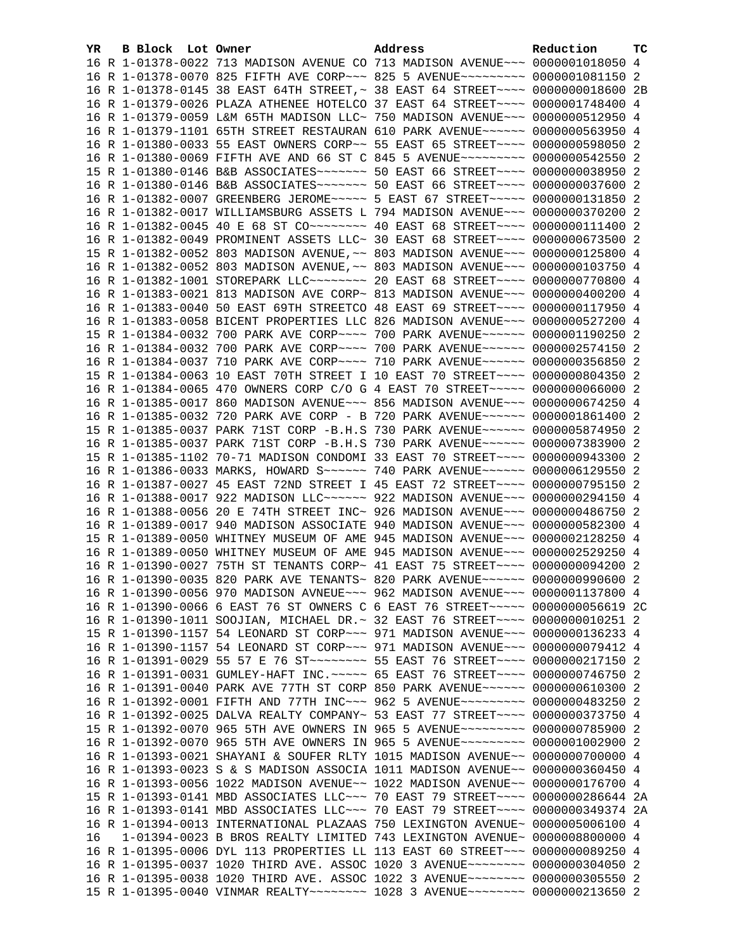| YR. | B Block Lot Owner |                                                                                  | Address | Reduction | тc |
|-----|-------------------|----------------------------------------------------------------------------------|---------|-----------|----|
|     |                   | 16 R 1-01378-0022 713 MADISON AVENUE CO 713 MADISON AVENUE~~~ 0000001018050 4    |         |           |    |
|     |                   | 16 R 1-01378-0070 825 FIFTH AVE CORP~~~ 825 5 AVENUE~~~~~~~~~ 0000001081150 2    |         |           |    |
|     |                   | 16 R 1-01378-0145 38 EAST 64TH STREET, ~ 38 EAST 64 STREET~~~~ 0000000018600 2B  |         |           |    |
|     |                   | 16 R 1-01379-0026 PLAZA ATHENEE HOTELCO 37 EAST 64 STREET~~~~ 0000001748400      |         |           | -4 |
|     |                   | 16 R 1-01379-0059 L&M 65TH MADISON LLC~ 750 MADISON AVENUE~~~ 0000000512950 4    |         |           |    |
|     |                   | 16 R 1-01379-1101 65TH STREET RESTAURAN 610 PARK AVENUE~~~~~~ 0000000563950 4    |         |           |    |
|     |                   | 16 R 1-01380-0033 55 EAST OWNERS CORP~~ 55 EAST 65 STREET~~~~ 0000000598050 2    |         |           |    |
|     |                   | 16 R 1-01380-0069 FIFTH AVE AND 66 ST C 845 5 AVENUE~~~~~~~~~ 0000000542550 2    |         |           |    |
|     |                   | 15 R 1-01380-0146 B&B ASSOCIATES~~~~~~~~ 50 EAST 66 STREET~~~~ 0000000038950 2   |         |           |    |
|     |                   | 16 R 1-01380-0146 B&B ASSOCIATES ------- 50 EAST 66 STREET --- 0000000037600 2   |         |           |    |
|     |                   | 16 R 1-01382-0007 GREENBERG JEROME~~~~~ 5 EAST 67 STREET~~~~~ 0000000131850 2    |         |           |    |
|     |                   | 16 R 1-01382-0017 WILLIAMSBURG ASSETS L 794 MADISON AVENUE~~~ 0000000370200 2    |         |           |    |
|     |                   | 16 R 1-01382-0045 40 E 68 ST CO -------- 40 EAST 68 STREET --- 00000000111400 2  |         |           |    |
|     |                   | 16 R 1-01382-0049 PROMINENT ASSETS LLC~ 30 EAST 68 STREET~~~~ 0000000673500 2    |         |           |    |
|     |                   | 15 R 1-01382-0052 803 MADISON AVENUE, ~~ 803 MADISON AVENUE~~~ 0000000125800 4   |         |           |    |
|     |                   | 16 R 1-01382-0052 803 MADISON AVENUE, ~~ 803 MADISON AVENUE~~~ 0000000103750 4   |         |           |    |
|     |                   | 16 R 1-01382-1001 STOREPARK LLC -------- 20 EAST 68 STREET ---- 0000000770800 4  |         |           |    |
|     |                   | 16 R 1-01383-0021 813 MADISON AVE CORP~ 813 MADISON AVENUE~~~ 0000000400200 4    |         |           |    |
|     |                   | 16 R 1-01383-0040 50 EAST 69TH STREETCO 48 EAST 69 STREET~~~~ 0000000117950 4    |         |           |    |
|     |                   | 16 R 1-01383-0058 BICENT PROPERTIES LLC 826 MADISON AVENUE~~~ 0000000527200 4    |         |           |    |
|     |                   | 15 R 1-01384-0032 700 PARK AVE CORP~~~~ 700 PARK AVENUE~~~~~~ 0000001190250 2    |         |           |    |
|     |                   | 16 R 1-01384-0032 700 PARK AVE CORP~~~~ 700 PARK AVENUE~~~~~~ 0000002574150 2    |         |           |    |
|     |                   | 16 R 1-01384-0037 710 PARK AVE CORP~~~~ 710 PARK AVENUE~~~~~~ 0000000356850 2    |         |           |    |
|     |                   | 15 R 1-01384-0063 10 EAST 70TH STREET I 10 EAST 70 STREET~~~~ 0000000804350 2    |         |           |    |
|     |                   | 16 R 1-01384-0065 470 OWNERS CORP C/O G 4 EAST 70 STREET~~~~~ 0000000066000 2    |         |           |    |
|     |                   | 16 R 1-01385-0017 860 MADISON AVENUE~~~ 856 MADISON AVENUE~~~ 0000000674250 4    |         |           |    |
|     |                   | 16 R 1-01385-0032 720 PARK AVE CORP - B 720 PARK AVENUE~~~~~~ 0000001861400 2    |         |           |    |
|     |                   | 15 R 1-01385-0037 PARK 71ST CORP -B.H.S 730 PARK AVENUE~~~~~~ 0000005874950 2    |         |           |    |
|     |                   | 16 R 1-01385-0037 PARK 71ST CORP -B.H.S 730 PARK AVENUE~~~~~~ 0000007383900 2    |         |           |    |
|     |                   | 15 R 1-01385-1102 70-71 MADISON CONDOMI 33 EAST 70 STREET~~~~ 0000000943300 2    |         |           |    |
|     |                   | 16 R 1-01386-0033 MARKS, HOWARD S~~~~~~ 740 PARK AVENUE~~~~~~ 0000006129550 2    |         |           |    |
|     |                   | 16 R 1-01387-0027 45 EAST 72ND STREET I 45 EAST 72 STREET~~~~ 0000000795150 2    |         |           |    |
|     |                   | 16 R 1-01388-0017 922 MADISON LLC ----- 922 MADISON AVENUE -- 0000000294150 4    |         |           |    |
|     |                   | 16 R 1-01388-0056 20 E 74TH STREET INC~ 926 MADISON AVENUE~~~ 0000000486750 2    |         |           |    |
|     |                   | 16 R 1-01389-0017 940 MADISON ASSOCIATE 940 MADISON AVENUE~~~ 0000000582300 4    |         |           |    |
|     |                   | 15 R 1-01389-0050 WHITNEY MUSEUM OF AME 945 MADISON AVENUE~~~ 0000002128250 4    |         |           |    |
|     |                   | 16 R 1-01389-0050 WHITNEY MUSEUM OF AME 945 MADISON AVENUE~~~ 0000002529250 4    |         |           |    |
|     |                   | 16 R 1-01390-0027 75TH ST TENANTS CORP~ 41 EAST 75 STREET~~~~ 0000000094200 2    |         |           |    |
|     |                   | 16 R 1-01390-0035 820 PARK AVE TENANTS~ 820 PARK AVENUE~~~~~~ 0000000990600 2    |         |           |    |
|     |                   | 16 R 1-01390-0056 970 MADISON AVNEUE~~~ 962 MADISON AVENUE~~~ 0000001137800 4    |         |           |    |
|     |                   | 16 R 1-01390-0066 6 EAST 76 ST OWNERS C 6 EAST 76 STREET~~~~~ 0000000056619 2C   |         |           |    |
|     |                   | 16 R 1-01390-1011 SOOJIAN, MICHAEL DR.~ 32 EAST 76 STREET~~~~ 0000000010251 2    |         |           |    |
|     |                   | 15 R 1-01390-1157 54 LEONARD ST CORP~~~ 971 MADISON AVENUE~~~ 0000000136233 4    |         |           |    |
|     |                   | 16 R 1-01390-1157 54 LEONARD ST CORP~~~ 971 MADISON AVENUE~~~ 0000000079412 4    |         |           |    |
|     |                   | 16 R 1-01391-0029 55 57 E 76 ST ~~~~~~~~~ 55 EAST 76 STREET ~~~~ 0000000217150 2 |         |           |    |
|     |                   | 16 R 1-01391-0031 GUMLEY-HAFT INC. ~~~~~ 65 EAST 76 STREET~~~~ 0000000746750 2   |         |           |    |
|     |                   | 16 R 1-01391-0040 PARK AVE 77TH ST CORP 850 PARK AVENUE~~~~~~ 0000000610300 2    |         |           |    |
|     |                   | 16 R 1-01392-0001 FIFTH AND 77TH INC~~~ 962 5 AVENUE~~~~~~~~~ 0000000483250 2    |         |           |    |
|     |                   | 16 R 1-01392-0025 DALVA REALTY COMPANY~ 53 EAST 77 STREET~~~~ 0000000373750 4    |         |           |    |
|     |                   | 15 R 1-01392-0070 965 5TH AVE OWNERS IN 965 5 AVENUE~~~~~~~~~ 0000000785900 2    |         |           |    |
|     |                   | 16 R 1-01392-0070 965 5TH AVE OWNERS IN 965 5 AVENUE~~~~~~~~~ 0000001002900 2    |         |           |    |
|     |                   | 16 R 1-01393-0021 SHAYANI & SOUFER RLTY 1015 MADISON AVENUE~~ 0000000700000 4    |         |           |    |
|     |                   | 16 R 1-01393-0023 S & S MADISON ASSOCIA 1011 MADISON AVENUE~~ 0000000360450 4    |         |           |    |
|     |                   | 16 R 1-01393-0056 1022 MADISON AVENUE~~ 1022 MADISON AVENUE~~ 0000000176700 4    |         |           |    |
|     |                   | 15 R 1-01393-0141 MBD ASSOCIATES LLC~~~ 70 EAST 79 STREET~~~~ 0000000286644 2A   |         |           |    |
|     |                   | 16 R 1-01393-0141 MBD ASSOCIATES LLC -~~ 70 EAST 79 STREET -~~~ 0000000349374 2A |         |           |    |
|     |                   | 16 R 1-01394-0013 INTERNATIONAL PLAZAAS 750 LEXINGTON AVENUE~ 0000005006100 4    |         |           |    |
| 16  |                   | $1-01394-0023$ B BROS REALTY LIMITED 743 LEXINGTON AVENUE~ 0000008800000 4       |         |           |    |
|     |                   | 16 R 1-01395-0006 DYL 113 PROPERTIES LL 113 EAST 60 STREET~~~ 0000000089250 4    |         |           |    |
|     |                   | 16 R 1-01395-0037 1020 THIRD AVE. ASSOC 1020 3 AVENUE~~~~~~~~ 0000000304050 2    |         |           |    |
|     |                   | 16 R 1-01395-0038 1020 THIRD AVE. ASSOC 1022 3 AVENUE~~~~~~~~ 0000000305550 2    |         |           |    |
|     |                   | 15 R 1-01395-0040 VINMAR REALTY~~~~~~~~ 1028 3 AVENUE~~~~~~~~ 0000000213650 2    |         |           |    |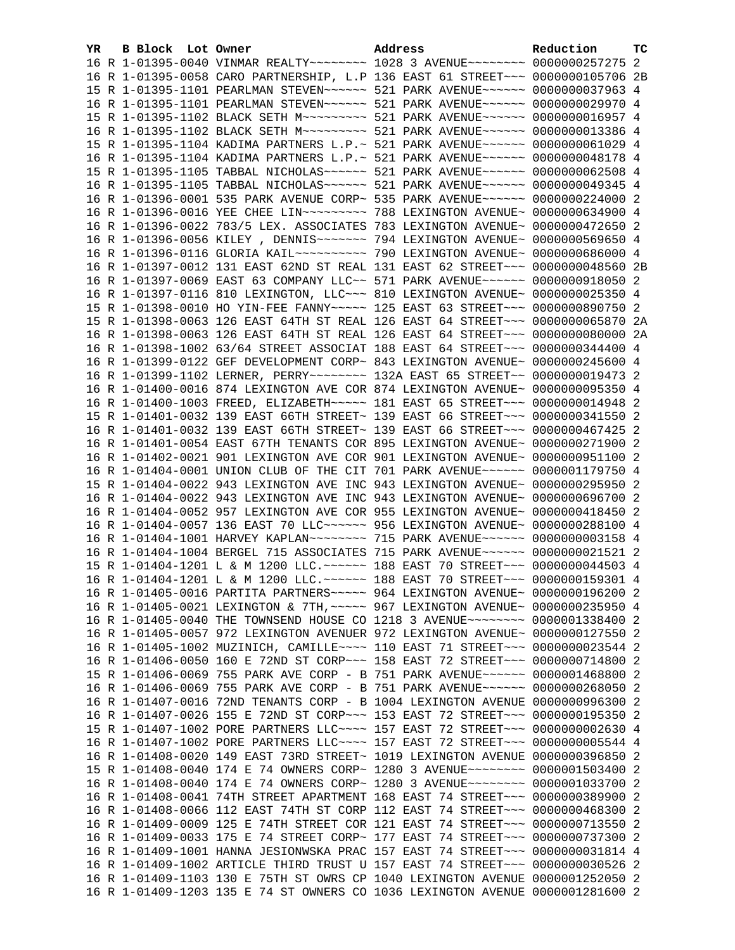| B Block Lot Owner<br>YR. | Address                                                                         | Reduction | тc |
|--------------------------|---------------------------------------------------------------------------------|-----------|----|
|                          | 16 R 1-01395-0040 VINMAR REALTY~~~~~~~~ 1028 3 AVENUE~~~~~~~~ 0000000257275 2   |           |    |
|                          | 16 R 1-01395-0058 CARO PARTNERSHIP, L.P 136 EAST 61 STREET~~~ 0000000105706 2B  |           |    |
|                          | 15 R 1-01395-1101 PEARLMAN STEVEN~~~~~~ 521 PARK AVENUE~~~~~~ 0000000037963 4   |           |    |
|                          | 16 R 1-01395-1101 PEARLMAN STEVEN~~~~~~ 521 PARK AVENUE~~~~~~ 0000000029970 4   |           |    |
|                          | 15 R 1-01395-1102 BLACK SETH M~~~~~~~~~ 521 PARK AVENUE~~~~~~ 0000000016957 4   |           |    |
|                          | 16 R 1-01395-1102 BLACK SETH M~~~~~~~~~ 521 PARK AVENUE~~~~~~ 0000000013386 4   |           |    |
|                          | 15 R 1-01395-1104 KADIMA PARTNERS L.P.~ 521 PARK AVENUE~~~~~~ 0000000061029 4   |           |    |
|                          | 16 R 1-01395-1104 KADIMA PARTNERS L.P.~ 521 PARK AVENUE~~~~~~ 0000000048178 4   |           |    |
|                          | 15 R 1-01395-1105 TABBAL NICHOLAS~~~~~~ 521 PARK AVENUE~~~~~~ 0000000062508 4   |           |    |
|                          | 16 R 1-01395-1105 TABBAL NICHOLAS~~~~~~ 521 PARK AVENUE~~~~~~ 0000000049345 4   |           |    |
|                          | 16 R 1-01396-0001 535 PARK AVENUE CORP~ 535 PARK AVENUE~~~~~~ 0000000224000 2   |           |    |
|                          | 16 R 1-01396-0016 YEE CHEE LIN~~~~~~~~~ 788 LEXINGTON AVENUE~ 0000000634900 4   |           |    |
|                          | 16 R 1-01396-0022 783/5 LEX. ASSOCIATES 783 LEXINGTON AVENUE~ 0000000472650 2   |           |    |
|                          | 16 R 1-01396-0056 KILEY , DENNIS~~~~~~~ 794 LEXINGTON AVENUE~ 0000000569650 4   |           |    |
|                          |                                                                                 |           |    |
|                          | 16 R 1-01397-0012 131 EAST 62ND ST REAL 131 EAST 62 STREET~~~ 0000000048560 2B  |           |    |
|                          | 16 R 1-01397-0069 EAST 63 COMPANY LLC~~ 571 PARK AVENUE~~~~~~ 0000000918050 2   |           |    |
|                          | 16 R 1-01397-0116 810 LEXINGTON, LLC ~~~ 810 LEXINGTON AVENUE~ 0000000025350 4  |           |    |
|                          | 15 R 1-01398-0010 HO YIN-FEE FANNY~~~~~ 125 EAST 63 STREET~~~ 0000000890750 2   |           |    |
|                          | 15 R 1-01398-0063 126 EAST 64TH ST REAL 126 EAST 64 STREET~~~ 0000000065870 2A  |           |    |
|                          | 16 R 1-01398-0063 126 EAST 64TH ST REAL 126 EAST 64 STREET~~~ 00000000080000 2A |           |    |
|                          | 16 R 1-01398-1002 63/64 STREET ASSOCIAT 188 EAST 64 STREET~~~ 0000000344400 4   |           |    |
|                          | 16 R 1-01399-0122 GEF DEVELOPMENT CORP~ 843 LEXINGTON AVENUE~ 0000000245600 4   |           |    |
|                          | 16 R 1-01399-1102 LERNER, PERRY~~~~~~~~ 132A EAST 65 STREET~~ 0000000019473 2   |           |    |
|                          | 16 R 1-01400-0016 874 LEXINGTON AVE COR 874 LEXINGTON AVENUE~ 0000000095350 4   |           |    |
|                          | 16 R 1-01400-1003 FREED, ELIZABETH~~~~~ 181 EAST 65 STREET~~~ 0000000014948 2   |           |    |
|                          | 15 R 1-01401-0032 139 EAST 66TH STREET~ 139 EAST 66 STREET~~~ 0000000341550 2   |           |    |
|                          | 16 R 1-01401-0032 139 EAST 66TH STREET~ 139 EAST 66 STREET~~~ 0000000467425 2   |           |    |
|                          | 16 R 1-01401-0054 EAST 67TH TENANTS COR 895 LEXINGTON AVENUE~ 0000000271900 2   |           |    |
|                          | 16 R 1-01402-0021 901 LEXINGTON AVE COR 901 LEXINGTON AVENUE~ 0000000951100 2   |           |    |
|                          | 16 R 1-01404-0001 UNION CLUB OF THE CIT 701 PARK AVENUE~~~~~~ 0000001179750 4   |           |    |
|                          | 15 R 1-01404-0022 943 LEXINGTON AVE INC 943 LEXINGTON AVENUE~ 0000000295950 2   |           |    |
|                          | 16 R 1-01404-0022 943 LEXINGTON AVE INC 943 LEXINGTON AVENUE~ 0000000696700 2   |           |    |
|                          | 16 R 1-01404-0052 957 LEXINGTON AVE COR 955 LEXINGTON AVENUE~ 0000000418450 2   |           |    |
|                          | 16 R 1-01404-0057 136 EAST 70 LLC ------ 956 LEXINGTON AVENUE ~ 0000000288100 4 |           |    |
|                          | 16 R 1-01404-1001 HARVEY KAPLAN~~~~~~~~ 715 PARK AVENUE~~~~~~ 0000000003158 4   |           |    |
|                          | 16 R 1-01404-1004 BERGEL 715 ASSOCIATES 715 PARK AVENUE~~~~~~ 0000000021521 2   |           |    |
|                          | 15 R 1-01404-1201 L & M 1200 LLC. ~~~~~~ 188 EAST 70 STREET~~~ 0000000044503 4  |           |    |
|                          | 16 R 1-01404-1201 L & M 1200 LLC. ~~~~~~ 188 EAST 70 STREET~~~ 0000000159301 4  |           |    |
|                          | 16 R 1-01405-0016 PARTITA PARTNERS ~~~~~ 964 LEXINGTON AVENUE~ 0000000196200 2  |           |    |
|                          | 16 R 1-01405-0021 LEXINGTON & 7TH, ~~~~~ 967 LEXINGTON AVENUE~ 0000000235950 4  |           |    |
|                          | 16 R 1-01405-0040 THE TOWNSEND HOUSE CO 1218 3 AVENUE~~~~~~~~ 0000001338400 2   |           |    |
|                          | 16 R 1-01405-0057 972 LEXINGTON AVENUER 972 LEXINGTON AVENUE~ 0000000127550 2   |           |    |
|                          | 16 R 1-01405-1002 MUZINICH, CAMILLE~~~~ 110 EAST 71 STREET~~~ 0000000023544 2   |           |    |
|                          | 16 R 1-01406-0050 160 E 72ND ST CORP~~~ 158 EAST 72 STREET~~~ 0000000714800 2   |           |    |
|                          | 15 R 1-01406-0069 755 PARK AVE CORP - B 751 PARK AVENUE~~~~~~ 0000001468800     |           | -2 |
|                          | 16 R 1-01406-0069 755 PARK AVE CORP - B 751 PARK AVENUE~~~~~~ 0000000268050     |           | 2  |
|                          | 16 R 1-01407-0016 72ND TENANTS CORP - B 1004 LEXINGTON AVENUE 0000000996300 2   |           |    |
|                          | 16 R 1-01407-0026 155 E 72ND ST CORP~~~ 153 EAST 72 STREET~~~ 0000000195350 2   |           |    |
|                          | 15 R 1-01407-1002 PORE PARTNERS LLC --- 157 EAST 72 STREET -- 00000000002630 4  |           |    |
|                          | 16 R 1-01407-1002 PORE PARTNERS LLC --- 157 EAST 72 STREET -- 00000000005544 4  |           |    |
|                          | 16 R 1-01408-0020 149 EAST 73RD STREET~ 1019 LEXINGTON AVENUE 0000000396850 2   |           |    |
|                          | 15 R 1-01408-0040 174 E 74 OWNERS CORP~ 1280 3 AVENUE~~~~~~~~ 0000001503400 2   |           |    |
|                          | 16 R 1-01408-0040 174 E 74 OWNERS CORP~ 1280 3 AVENUE~~~~~~~~ 0000001033700 2   |           |    |
|                          | 16 R 1-01408-0041 74TH STREET APARTMENT 168 EAST 74 STREET~~~ 0000000389900     |           | -2 |
|                          | 16 R 1-01408-0066 112 EAST 74TH ST CORP 112 EAST 74 STREET~~~ 0000000468300 2   |           |    |
|                          | 16 R 1-01409-0009 125 E 74TH STREET COR 121 EAST 74 STREET~~~ 0000000713550 2   |           |    |
|                          | 16 R 1-01409-0033 175 E 74 STREET CORP~ 177 EAST 74 STREET~~~ 0000000737300 2   |           |    |
|                          | 16 R 1-01409-1001 HANNA JESIONWSKA PRAC 157 EAST 74 STREET~~~ 0000000031814 4   |           |    |
|                          | 16 R 1-01409-1002 ARTICLE THIRD TRUST U 157 EAST 74 STREET~~~ 0000000030526 2   |           |    |
|                          | 16 R 1-01409-1103 130 E 75TH ST OWRS CP 1040 LEXINGTON AVENUE 0000001252050 2   |           |    |
|                          | 16 R 1-01409-1203 135 E 74 ST OWNERS CO 1036 LEXINGTON AVENUE 0000001281600 2   |           |    |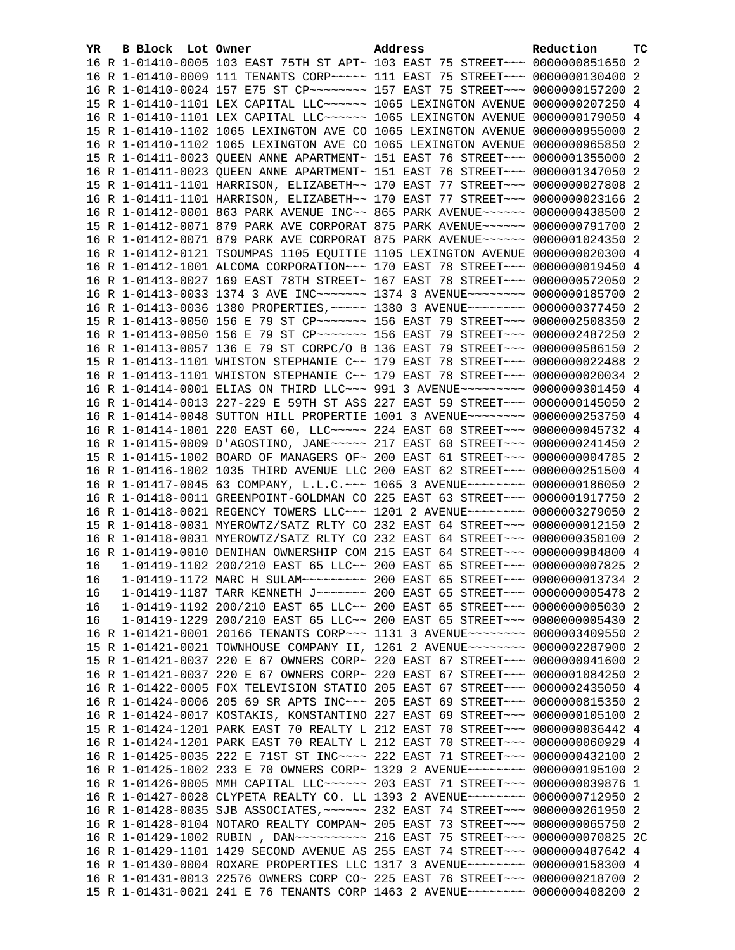| YR. | B Block Lot Owner | Address                                                                         | Reduction | тc |
|-----|-------------------|---------------------------------------------------------------------------------|-----------|----|
|     |                   | 16 R 1-01410-0005 103 EAST 75TH ST APT~ 103 EAST 75 STREET~~~ 0000000851650 2   |           |    |
|     |                   | 16 R 1-01410-0009 111 TENANTS CORP~~~~~ 111 EAST 75 STREET~~~ 0000000130400 2   |           |    |
|     |                   | 16 R 1-01410-0024 157 E75 ST CP -------- 157 EAST 75 STREET -- 0000000157200 2  |           |    |
|     |                   | 15 R 1-01410-1101 LEX CAPITAL LLC ----- 1065 LEXINGTON AVENUE 0000000207250 4   |           |    |
|     |                   | 16 R 1-01410-1101 LEX CAPITAL LLC~~~~~~ 1065 LEXINGTON AVENUE 0000000179050 4   |           |    |
|     |                   | 15 R 1-01410-1102 1065 LEXINGTON AVE CO 1065 LEXINGTON AVENUE 0000000955000 2   |           |    |
|     |                   | 16 R 1-01410-1102 1065 LEXINGTON AVE CO 1065 LEXINGTON AVENUE 0000000965850 2   |           |    |
|     |                   | 15 R 1-01411-0023 QUEEN ANNE APARTMENT~ 151 EAST 76 STREET~~~ 0000001355000 2   |           |    |
|     |                   | 16 R 1-01411-0023 QUEEN ANNE APARTMENT~ 151 EAST 76 STREET~~~ 0000001347050 2   |           |    |
|     |                   | 15 R 1-01411-1101 HARRISON, ELIZABETH~~ 170 EAST 77 STREET~~~ 0000000027808 2   |           |    |
|     |                   | 16 R 1-01411-1101 HARRISON, ELIZABETH~~ 170 EAST 77 STREET~~~ 0000000023166 2   |           |    |
|     |                   | 16 R 1-01412-0001 863 PARK AVENUE INC~~ 865 PARK AVENUE~~~~~~ 0000000438500 2   |           |    |
|     |                   | 15 R 1-01412-0071 879 PARK AVE CORPORAT 875 PARK AVENUE~~~~~~ 0000000791700 2   |           |    |
|     |                   | 16 R 1-01412-0071 879 PARK AVE CORPORAT 875 PARK AVENUE~~~~~~ 0000001024350 2   |           |    |
|     |                   | 16 R 1-01412-0121 TSOUMPAS 1105 EQUITIE 1105 LEXINGTON AVENUE 0000000020300 4   |           |    |
|     |                   | 16 R 1-01412-1001 ALCOMA CORPORATION~~~ 170 EAST 78 STREET~~~ 0000000019450 4   |           |    |
|     |                   | 16 R 1-01413-0027 169 EAST 78TH STREET~ 167 EAST 78 STREET~~~ 0000000572050 2   |           |    |
|     |                   | 16 R 1-01413-0033 1374 3 AVE INC~~~~~~~ 1374 3 AVENUE~~~~~~~~ 0000000185700 2   |           |    |
|     |                   | 16 R 1-01413-0036 1380 PROPERTIES, ~~~~~ 1380 3 AVENUE~~~~~~~~ 0000000377450 2  |           |    |
|     |                   | 15 R 1-01413-0050 156 E 79 ST CP ~~~~~~~ 156 EAST 79 STREET ~~~ 0000002508350 2 |           |    |
|     |                   | 16 R 1-01413-0050 156 E 79 ST CP~~~~~~~ 156 EAST 79 STREET~~~ 0000002487250 2   |           |    |
|     |                   | 16 R 1-01413-0057 136 E 79 ST CORPC/O B 136 EAST 79 STREET~~~ 0000000586150 2   |           |    |
|     |                   | 15 R 1-01413-1101 WHISTON STEPHANIE C~~ 179 EAST 78 STREET~~~ 0000000022488 2   |           |    |
|     |                   | 16 R 1-01413-1101 WHISTON STEPHANIE C~~ 179 EAST 78 STREET~~~ 0000000020034 2   |           |    |
|     |                   | 16 R 1-01414-0001 ELIAS ON THIRD LLC~~~ 991 3 AVENUE~~~~~~~~~ 0000000301450 4   |           |    |
|     |                   | 16 R 1-01414-0013 227-229 E 59TH ST ASS 227 EAST 59 STREET~~~ 0000000145050 2   |           |    |
|     |                   | 16 R 1-01414-0048 SUTTON HILL PROPERTIE 1001 3 AVENUE~~~~~~~~ 0000000253750 4   |           |    |
|     |                   | 16 R 1-01414-1001 220 EAST 60, LLC ---- 224 EAST 60 STREET -- 0000000045732 4   |           |    |
|     |                   | 16 R 1-01415-0009 D'AGOSTINO, JANE~~~~~ 217 EAST 60 STREET~~~ 0000000241450 2   |           |    |
|     |                   | 15 R 1-01415-1002 BOARD OF MANAGERS OF~ 200 EAST 61 STREET~~~ 00000000004785 2  |           |    |
|     |                   | 16 R 1-01416-1002 1035 THIRD AVENUE LLC 200 EAST 62 STREET~~~ 0000000251500 4   |           |    |
|     |                   | 16 R 1-01417-0045 63 COMPANY, L.L.C. ~~~ 1065 3 AVENUE~~~~~~~~ 0000000186050 2  |           |    |
|     |                   | 16 R 1-01418-0011 GREENPOINT-GOLDMAN CO 225 EAST 63 STREET~~~ 0000001917750 2   |           |    |
|     |                   | 16 R 1-01418-0021 REGENCY TOWERS LLC ~~~ 1201 2 AVENUE ~~~~~~~~ 0000003279050 2 |           |    |
|     |                   | 15 R 1-01418-0031 MYEROWTZ/SATZ RLTY CO 232 EAST 64 STREET~~~ 0000000012150 2   |           |    |
|     |                   | 16 R 1-01418-0031 MYEROWTZ/SATZ RLTY CO 232 EAST 64 STREET~~~ 0000000350100 2   |           |    |
|     |                   | 16 R 1-01419-0010 DENIHAN OWNERSHIP COM 215 EAST 64 STREET~~~ 0000000984800 4   |           |    |
| 16  |                   | 1-01419-1102 200/210 EAST 65 LLC~~ 200 EAST 65 STREET~~~ 0000000007825 2        |           |    |
| 16  |                   |                                                                                 |           |    |
| 16  |                   | 1-01419-1187 TARR KENNETH J ------ 200 EAST 65 STREET -- 0000000005478 2        |           |    |
| 16  |                   | 1-01419-1192 200/210 EAST 65 LLC~~ 200 EAST 65 STREET~~~ 0000000005030 2        |           |    |
| 16  |                   | 1-01419-1229 200/210 EAST 65 LLC~~ 200 EAST 65 STREET~~~ 0000000005430 2        |           |    |
|     |                   | 16 R 1-01421-0001 20166 TENANTS CORP~~~ 1131 3 AVENUE~~~~~~~~ 0000003409550 2   |           |    |
|     |                   | 15 R 1-01421-0021 TOWNHOUSE COMPANY II, 1261 2 AVENUE~~~~~~~~ 0000002287900 2   |           |    |
|     |                   | 15 R 1-01421-0037 220 E 67 OWNERS CORP~ 220 EAST 67 STREET~~~ 0000000941600 2   |           |    |
|     |                   | 16 R 1-01421-0037 220 E 67 OWNERS CORP~ 220 EAST 67 STREET~~~ 0000001084250 2   |           |    |
|     |                   | 16 R 1-01422-0005 FOX TELEVISION STATIO 205 EAST 67 STREET~~~ 0000002435050 4   |           |    |
|     |                   | 16 R 1-01424-0006 205 69 SR APTS INC~~~ 205 EAST 69 STREET~~~ 0000000815350 2   |           |    |
|     |                   | 16 R 1-01424-0017 KOSTAKIS, KONSTANTINO 227 EAST 69 STREET~~~ 0000000105100 2   |           |    |
|     |                   | 15 R 1-01424-1201 PARK EAST 70 REALTY L 212 EAST 70 STREET~~~ 0000000036442 4   |           |    |
|     |                   | 16 R 1-01424-1201 PARK EAST 70 REALTY L 212 EAST 70 STREET~~~ 0000000060929 4   |           |    |
|     |                   | 16 R 1-01425-0035 222 E 71ST ST INC~~~~ 222 EAST 71 STREET~~~ 0000000432100 2   |           |    |
|     |                   | 16 R 1-01425-1002 233 E 70 OWNERS CORP~ 1329 2 AVENUE~~~~~~~~ 0000000195100 2   |           |    |
|     |                   | 16 R 1-01426-0005 MMH CAPITAL LLC~~~~~~ 203 EAST 71 STREET~~~ 0000000039876 1   |           |    |
|     |                   | 16 R 1-01427-0028 CLYPETA REALTY CO. LL 1393 2 AVENUE~~~~~~~~ 0000000712950 2   |           |    |
|     |                   | 16 R 1-01428-0035 SJB ASSOCIATES, ~~~~~~ 232 EAST 74 STREET~~~ 0000000261950 2  |           |    |
|     |                   | 16 R 1-01428-0104 NOTARO REALTY COMPAN~ 205 EAST 73 STREET~~~ 0000000065750 2   |           |    |
|     |                   |                                                                                 |           |    |
|     |                   | 16 R 1-01429-1101 1429 SECOND AVENUE AS 255 EAST 74 STREET~~~ 0000000487642 4   |           |    |
|     |                   | 16 R 1-01430-0004 ROXARE PROPERTIES LLC 1317 3 AVENUE~~~~~~~~ 0000000158300 4   |           |    |
|     |                   | 16 R 1-01431-0013 22576 OWNERS CORP CO~ 225 EAST 76 STREET~~~ 0000000218700 2   |           |    |
|     |                   | 15 R 1-01431-0021 241 E 76 TENANTS CORP 1463 2 AVENUE~~~~~~~~ 0000000408200 2   |           |    |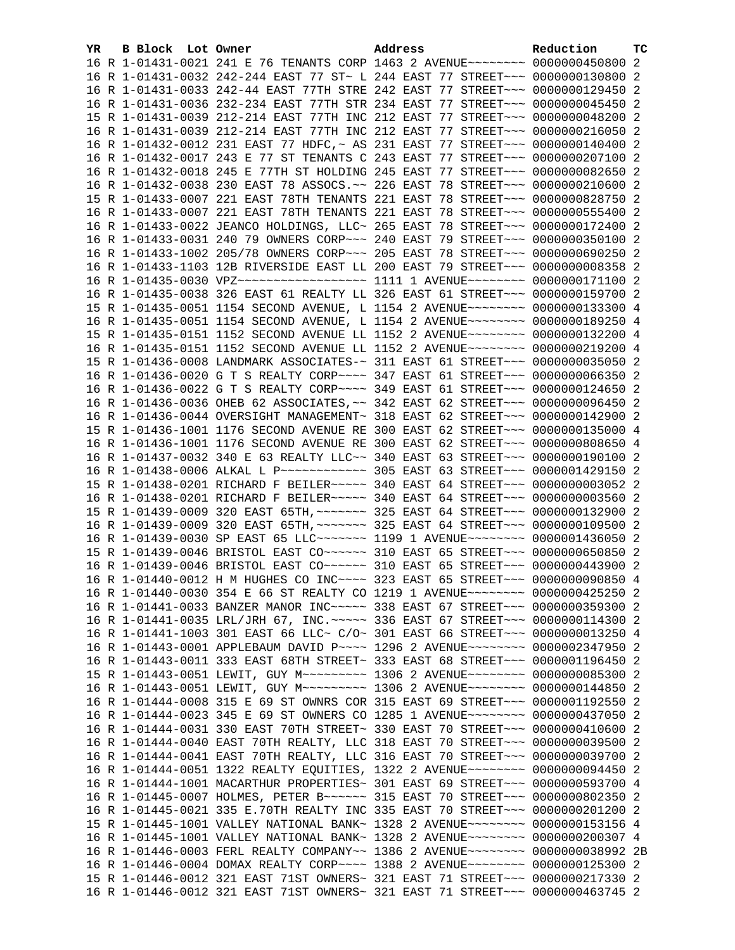| YR | B Block Lot Owner | Address                                                                            | Reduction | тc |
|----|-------------------|------------------------------------------------------------------------------------|-----------|----|
|    |                   |                                                                                    |           |    |
|    |                   | 16 R 1-01431-0021 241 E 76 TENANTS CORP 1463 2 AVENUE~~~~~~~~ 0000000450800 2      |           |    |
|    |                   | 16 R 1-01431-0032 242-244 EAST 77 ST~ L 244 EAST 77 STREET~~~ 0000000130800 2      |           |    |
|    |                   | 16 R 1-01431-0033 242-44 EAST 77TH STRE 242 EAST 77 STREET~~~ 0000000129450 2      |           |    |
|    |                   | 16 R 1-01431-0036 232-234 EAST 77TH STR 234 EAST 77 STREET~~~ 0000000045450 2      |           |    |
|    |                   |                                                                                    |           |    |
|    |                   | 15 R 1-01431-0039 212-214 EAST 77TH INC 212 EAST 77 STREET~~~ 0000000048200 2      |           |    |
|    |                   | 16 R 1-01431-0039 212-214 EAST 77TH INC 212 EAST 77 STREET~~~ 0000000216050 2      |           |    |
|    |                   | 16 R 1-01432-0012 231 EAST 77 HDFC, ~ AS 231 EAST 77 STREET~~~ 0000000140400 2     |           |    |
|    |                   | 16 R 1-01432-0017 243 E 77 ST TENANTS C 243 EAST 77 STREET~~~ 0000000207100 2      |           |    |
|    |                   | 16 R 1-01432-0018 245 E 77TH ST HOLDING 245 EAST 77 STREET~~~ 0000000082650 2      |           |    |
|    |                   |                                                                                    |           |    |
|    |                   | 16 R 1-01432-0038 230 EAST 78 ASSOCS. ~~ 226 EAST 78 STREET~~~ 0000000210600 2     |           |    |
|    |                   | 15 R 1-01433-0007 221 EAST 78TH TENANTS 221 EAST 78 STREET~~~ 0000000828750 2      |           |    |
|    |                   | 16 R 1-01433-0007 221 EAST 78TH TENANTS 221 EAST 78 STREET~~~ 0000000555400 2      |           |    |
|    |                   | 16 R 1-01433-0022 JEANCO HOLDINGS, LLC~ 265 EAST 78 STREET~~~ 0000000172400 2      |           |    |
|    |                   | 16 R 1-01433-0031 240 79 OWNERS CORP~~~ 240 EAST 79 STREET~~~ 0000000350100 2      |           |    |
|    |                   | 16 R 1-01433-1002 205/78 OWNERS CORP~~~ 205 EAST 78 STREET~~~ 0000000690250 2      |           |    |
|    |                   |                                                                                    |           |    |
|    |                   | 16 R 1-01433-1103 12B RIVERSIDE EAST LL 200 EAST 79 STREET~~~ 00000000008358 2     |           |    |
|    |                   | 16 R 1-01435-0030 VPZ~~~~~~~~~~~~~~~~~~~~~~~ 1111 1 AVENUE~~~~~~~~ 0000000171100 2 |           |    |
|    |                   | 16 R 1-01435-0038 326 EAST 61 REALTY LL 326 EAST 61 STREET~~~ 0000000159700 2      |           |    |
|    |                   | 15 R 1-01435-0051 1154 SECOND AVENUE, L 1154 2 AVENUE~~~~~~~~ 0000000133300 4      |           |    |
|    |                   | 16 R 1-01435-0051 1154 SECOND AVENUE, L 1154 2 AVENUE~~~~~~~~ 0000000189250 4      |           |    |
|    |                   |                                                                                    |           |    |
|    |                   | 15 R 1-01435-0151 1152 SECOND AVENUE LL 1152 2 AVENUE~~~~~~~~ 0000000132200 4      |           |    |
|    |                   | 16 R 1-01435-0151 1152 SECOND AVENUE LL 1152 2 AVENUE~~~~~~~~ 0000000219200 4      |           |    |
|    |                   | 15 R 1-01436-0008 LANDMARK ASSOCIATES-~ 311 EAST 61 STREET~~~ 0000000035050 2      |           |    |
|    |                   | 16 R 1-01436-0020 G T S REALTY CORP~~~~ 347 EAST 61 STREET~~~ 0000000066350 2      |           |    |
|    |                   | 16 R 1-01436-0022 G T S REALTY CORP~~~~ 349 EAST 61 STREET~~~ 0000000124650 2      |           |    |
|    |                   | 16 R 1-01436-0036 OHEB 62 ASSOCIATES, ~~ 342 EAST 62 STREET~~~ 0000000096450 2     |           |    |
|    |                   |                                                                                    |           |    |
|    |                   | 16 R 1-01436-0044 OVERSIGHT MANAGEMENT~ 318 EAST 62 STREET~~~ 0000000142900 2      |           |    |
|    |                   | 15 R 1-01436-1001 1176 SECOND AVENUE RE 300 EAST 62 STREET~~~ 0000000135000 4      |           |    |
|    |                   | 16 R 1-01436-1001 1176 SECOND AVENUE RE 300 EAST 62 STREET~~~ 0000000808650 4      |           |    |
|    |                   | 16 R 1-01437-0032 340 E 63 REALTY LLC~~ 340 EAST 63 STREET~~~ 0000000190100 2      |           |    |
|    |                   | 16 R 1-01438-0006 ALKAL L P ------------ 305 EAST 63 STREET -- 0000001429150 2     |           |    |
|    |                   |                                                                                    |           |    |
|    |                   | 15 R 1-01438-0201 RICHARD F BEILER~~~~~ 340 EAST 64 STREET~~~ 00000000003052 2     |           |    |
|    |                   | 16 R 1-01438-0201 RICHARD F BEILER~~~~~ 340 EAST 64 STREET~~~ 00000000003560 2     |           |    |
|    |                   | 15 R 1-01439-0009 320 EAST 65TH, ~~~~~~~ 325 EAST 64 STREET~~~ 0000000132900 2     |           |    |
|    |                   | 16 R 1-01439-0009 320 EAST 65TH, ~~~~~~~ 325 EAST 64 STREET~~~ 0000000109500 2     |           |    |
|    |                   | 16 R 1-01439-0030 SP EAST 65 LLC ------ 1199 1 AVENUE ------- 0000001436050 2      |           |    |
|    |                   | 15 R 1-01439-0046 BRISTOL EAST CO~~~~~~ 310 EAST 65 STREET~~~ 0000000650850 2      |           |    |
|    |                   |                                                                                    |           |    |
|    |                   | 16 R 1-01439-0046 BRISTOL EAST CO~~~~~~ 310 EAST 65 STREET~~~ 0000000443900 2      |           |    |
|    |                   | 16 R 1-01440-0012 H M HUGHES CO INC~~~~ 323 EAST 65 STREET~~~ 0000000090850 4      |           |    |
|    |                   | 16 R 1-01440-0030 354 E 66 ST REALTY CO 1219 1 AVENUE~~~~~~~~ 0000000425250 2      |           |    |
|    |                   | 16 R 1-01441-0033 BANZER MANOR INC~~~~~ 338 EAST 67 STREET~~~ 0000000359300 2      |           |    |
|    |                   | 16 R 1-01441-0035 LRL/JRH 67, INC. ~~~~~ 336 EAST 67 STREET~~~ 00000000114300 2    |           |    |
|    |                   | 16 R 1-01441-1003 301 EAST 66 LLC~ C/O~ 301 EAST 66 STREET~~~ 0000000013250 4      |           |    |
|    |                   | 16 R 1-01443-0001 APPLEBAUM DAVID P~~~~ 1296 2 AVENUE~~~~~~~~ 0000002347950 2      |           |    |
|    |                   |                                                                                    |           |    |
|    |                   | 16 R 1-01443-0011 333 EAST 68TH STREET~ 333 EAST 68 STREET~~~ 0000001196450 2      |           |    |
|    |                   | 15 R 1-01443-0051 LEWIT, GUY M~~~~~~~~~~ 1306 2 AVENUE~~~~~~~~ 00000000085300      |           | -2 |
|    |                   | 16 R 1-01443-0051 LEWIT, GUY M~~~~~~~~~ 1306 2 AVENUE~~~~~~~~ 0000000144850 2      |           |    |
|    |                   | 16 R 1-01444-0008 315 E 69 ST OWNRS COR 315 EAST 69 STREET~~~ 0000001192550 2      |           |    |
|    |                   | 16 R 1-01444-0023 345 E 69 ST OWNERS CO 1285 1 AVENUE~~~~~~~~ 0000000437050 2      |           |    |
|    |                   |                                                                                    |           |    |
|    |                   | 16 R 1-01444-0031 330 EAST 70TH STREET~ 330 EAST 70 STREET~~~ 0000000410600 2      |           |    |
|    |                   | 16 R 1-01444-0040 EAST 70TH REALTY, LLC 318 EAST 70 STREET~~~ 0000000039500 2      |           |    |
|    |                   | 16 R 1-01444-0041 EAST 70TH REALTY, LLC 316 EAST 70 STREET~~~ 0000000039700 2      |           |    |
|    |                   | 16 R 1-01444-0051 1322 REALTY EQUITIES, 1322 2 AVENUE~~~~~~~~ 0000000094450 2      |           |    |
|    |                   | 16 R 1-01444-1001 MACARTHUR PROPERTIES~ 301 EAST 69 STREET~~~ 0000000593700 4      |           |    |
|    |                   | 16 R 1-01445-0007 HOLMES, PETER B~~~~~~ 315 EAST 70 STREET~~~ 0000000802350        |           | -2 |
|    |                   |                                                                                    |           |    |
|    |                   | 16 R 1-01445-0021 335 E.70TH REALTY INC 335 EAST 70 STREET~~~ 0000000201200 2      |           |    |
|    |                   | 15 R 1-01445-1001 VALLEY NATIONAL BANK~ 1328 2 AVENUE~~~~~~~~ 0000000153156 4      |           |    |
|    |                   | 16 R 1-01445-1001 VALLEY NATIONAL BANK~ 1328 2 AVENUE~~~~~~~~ 0000000200307 4      |           |    |
|    |                   | 16 R 1-01446-0003 FERL REALTY COMPANY~~ 1386 2 AVENUE~~~~~~~~ 0000000038992 2B     |           |    |
|    |                   | 16 R 1-01446-0004 DOMAX REALTY CORP~~~~ 1388 2 AVENUE~~~~~~~~ 0000000125300 2      |           |    |
|    |                   | 15 R 1-01446-0012 321 EAST 71ST OWNERS~ 321 EAST 71 STREET~~~ 0000000217330 2      |           |    |
|    |                   | 16 R 1-01446-0012 321 EAST 71ST OWNERS~ 321 EAST 71 STREET~~~ 0000000463745 2      |           |    |
|    |                   |                                                                                    |           |    |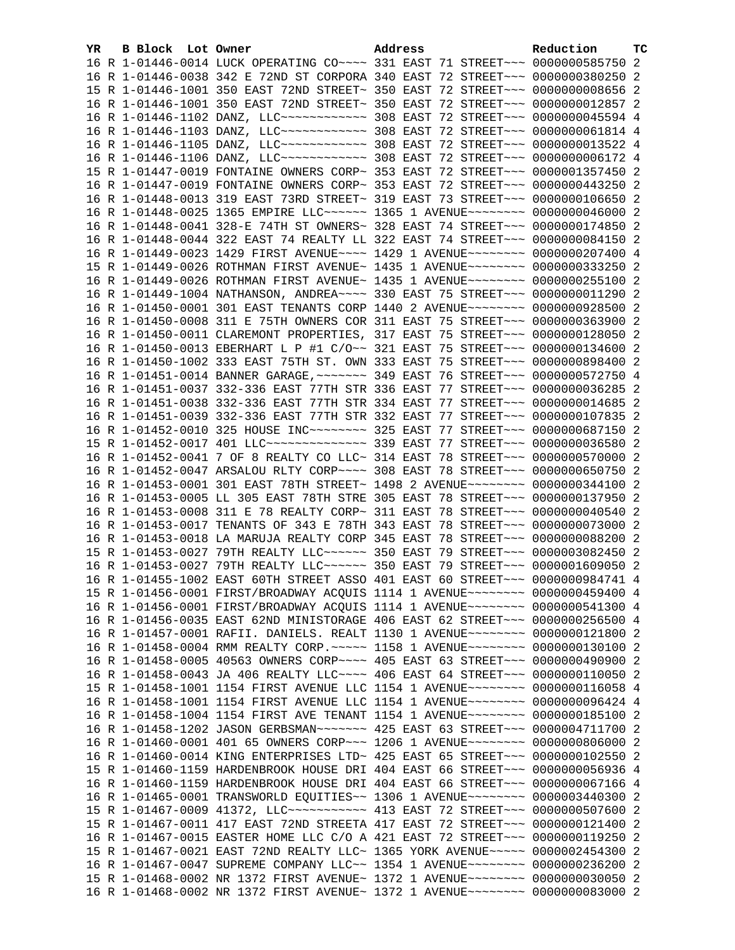| YR. | B Block Lot Owner | Address                                                                                                                                                        | Reduction | ТC |
|-----|-------------------|----------------------------------------------------------------------------------------------------------------------------------------------------------------|-----------|----|
|     |                   | 16 R 1-01446-0014 LUCK OPERATING CO~~~~ 331 EAST 71 STREET~~~ 0000000585750 2                                                                                  |           |    |
|     |                   | 16 R 1-01446-0038 342 E 72ND ST CORPORA 340 EAST 72 STREET~~~ 0000000380250 2                                                                                  |           |    |
|     |                   | 15 R 1-01446-1001 350 EAST 72ND STREET~ 350 EAST 72 STREET~~~ 00000000006556 2                                                                                 |           |    |
|     |                   | 16 R 1-01446-1001 350 EAST 72ND STREET~ 350 EAST 72 STREET~~~ 0000000012857 2                                                                                  |           |    |
|     |                   | 16 R 1-01446-1102 DANZ, LLC ------------ 308 EAST 72 STREET --- 0000000045594 4                                                                                |           |    |
|     |                   | 16 R 1-01446-1103 DANZ, LLC ------------ 308 EAST 72 STREET --- 00000000061814 4                                                                               |           |    |
|     |                   | 16 R 1-01446-1105 DANZ, LLC ------------ 308 EAST 72 STREET --- 0000000013522 4                                                                                |           |    |
|     |                   | 16 R 1-01446-1106 DANZ, LLC ------------ 308 EAST 72 STREET --- 00000000006172 4                                                                               |           |    |
|     |                   |                                                                                                                                                                |           |    |
|     |                   | 15 R 1-01447-0019 FONTAINE OWNERS CORP~ 353 EAST 72 STREET~~~ 0000001357450 2                                                                                  |           |    |
|     |                   | 16 R 1-01447-0019 FONTAINE OWNERS CORP~ 353 EAST 72 STREET~~~ 0000000443250 2                                                                                  |           |    |
|     |                   | 16 R 1-01448-0013 319 EAST 73RD STREET~ 319 EAST 73 STREET~~~ 0000000106650 2                                                                                  |           |    |
|     |                   | 16 R 1-01448-0025 1365 EMPIRE LLC~~~~~~ 1365 1 AVENUE~~~~~~~~ 0000000046000 2                                                                                  |           |    |
|     |                   | 16 R 1-01448-0041 328-E 74TH ST OWNERS~ 328 EAST 74 STREET~~~ 0000000174850 2                                                                                  |           |    |
|     |                   | 16 R 1-01448-0044 322 EAST 74 REALTY LL 322 EAST 74 STREET~~~ 0000000084150 2                                                                                  |           |    |
|     |                   | 16 R 1-01449-0023 1429 FIRST AVENUE~~~~ 1429 1 AVENUE~~~~~~~~ 0000000207400 4                                                                                  |           |    |
|     |                   | 15 R 1-01449-0026 ROTHMAN FIRST AVENUE~ 1435 1 AVENUE~~~~~~~~ 0000000333250 2                                                                                  |           |    |
|     |                   | 16 R 1-01449-0026 ROTHMAN FIRST AVENUE~ 1435 1 AVENUE~~~~~~~~ 0000000255100 2                                                                                  |           |    |
|     |                   | 16 R 1-01449-1004 NATHANSON, ANDREA~~~~ 330 EAST 75 STREET~~~ 0000000011290 2                                                                                  |           |    |
|     |                   | 16 R 1-01450-0001 301 EAST TENANTS CORP 1440 2 AVENUE~~~~~~~~ 0000000928500 2                                                                                  |           |    |
|     |                   | 16 R 1-01450-0008 311 E 75TH OWNERS COR 311 EAST 75 STREET~~~ 0000000363900 2                                                                                  |           |    |
|     |                   | 16 R 1-01450-0011 CLAREMONT PROPERTIES, 317 EAST 75 STREET~~~ 0000000128050 2                                                                                  |           |    |
|     |                   | 16 R 1-01450-0013 EBERHART L P #1 C/O~~ 321 EAST 75 STREET~~~ 0000000134600 2                                                                                  |           |    |
|     |                   | 16 R 1-01450-1002 333 EAST 75TH ST. OWN 333 EAST 75 STREET~~~ 0000000898400 2                                                                                  |           |    |
|     |                   | 16 R 1-01451-0014 BANNER GARAGE, ~~~~~~~ 349 EAST 76 STREET~~~ 0000000572750 4                                                                                 |           |    |
|     |                   | 16 R 1-01451-0037 332-336 EAST 77TH STR 336 EAST 77 STREET~~~ 0000000036285 2                                                                                  |           |    |
|     |                   | 16 R 1-01451-0038 332-336 EAST 77TH STR 334 EAST 77 STREET~~~ 0000000014685 2                                                                                  |           |    |
|     |                   |                                                                                                                                                                |           |    |
|     |                   | 16 R 1-01451-0039 332-336 EAST 77TH STR 332 EAST 77 STREET~~~ 0000000107835 2<br>16 R 1-01452-0010 325 HOUSE INC~~~~~~~~ 325 EAST 77 STREET~~~ 0000000687150 2 |           |    |
|     |                   |                                                                                                                                                                |           |    |
|     |                   | 15 R 1-01452-0017 401 LLC --------------- 339 EAST 77 STREET --- 0000000036580 2                                                                               |           |    |
|     |                   | 16 R 1-01452-0041 7 OF 8 REALTY CO LLC~ 314 EAST 78 STREET~~~ 0000000570000 2                                                                                  |           |    |
|     |                   | 16 R 1-01452-0047 ARSALOU RLTY CORP~~~~ 308 EAST 78 STREET~~~ 0000000650750 2                                                                                  |           |    |
|     |                   | 16 R 1-01453-0001 301 EAST 78TH STREET~ 1498 2 AVENUE~~~~~~~~ 0000000344100 2                                                                                  |           |    |
|     |                   | 16 R 1-01453-0005 LL 305 EAST 78TH STRE 305 EAST 78 STREET~~~ 0000000137950 2                                                                                  |           |    |
|     |                   | 16 R 1-01453-0008 311 E 78 REALTY CORP~ 311 EAST 78 STREET~~~ 0000000040540 2                                                                                  |           |    |
|     |                   | 16 R 1-01453-0017 TENANTS OF 343 E 78TH 343 EAST 78 STREET~~~ 0000000073000 2                                                                                  |           |    |
|     |                   | 16 R 1-01453-0018 LA MARUJA REALTY CORP 345 EAST 78 STREET~~~ 0000000088200 2                                                                                  |           |    |
|     |                   | 15 R 1-01453-0027 79TH REALTY LLC~~~~~~ 350 EAST 79 STREET~~~ 0000003082450 2                                                                                  |           |    |
|     |                   | 16 R 1-01453-0027 79TH REALTY LLC ----- 350 EAST 79 STREET -- 0000001609050 2                                                                                  |           |    |
|     |                   | 16 R 1-01455-1002 EAST 60TH STREET ASSO 401 EAST 60 STREET~~~ 0000000984741 4                                                                                  |           |    |
|     |                   | 15 R 1-01456-0001 FIRST/BROADWAY ACQUIS 1114 1 AVENUE~~~~~~~~ 0000000459400 4                                                                                  |           |    |
|     |                   | 16 R 1-01456-0001 FIRST/BROADWAY ACQUIS 1114 1 AVENUE~~~~~~~~ 0000000541300 4                                                                                  |           |    |
|     |                   | 16 R 1-01456-0035 EAST 62ND MINISTORAGE 406 EAST 62 STREET~~~ 0000000256500 4                                                                                  |           |    |
|     |                   | 16 R 1-01457-0001 RAFII. DANIELS. REALT 1130 1 AVENUE~~~~~~~~ 0000000121800 2                                                                                  |           |    |
|     |                   | 16 R 1-01458-0004 RMM REALTY CORP. ~~~~~ 1158 1 AVENUE~~~~~~~~ 0000000130100 2                                                                                 |           |    |
|     |                   | 16 R 1-01458-0005 40563 OWNERS CORP~~~~ 405 EAST 63 STREET~~~ 0000000490900 2                                                                                  |           |    |
|     |                   | 16 R 1-01458-0043 JA 406 REALTY LLC --- 406 EAST 64 STREET -- 0000000110050 2                                                                                  |           |    |
|     |                   | 15 R 1-01458-1001 1154 FIRST AVENUE LLC 1154 1 AVENUE~~~~~~~~ 0000000116058 4                                                                                  |           |    |
|     |                   | 16 R 1-01458-1001 1154 FIRST AVENUE LLC 1154 1 AVENUE~~~~~~~~ 0000000096424 4                                                                                  |           |    |
|     |                   | 16 R 1-01458-1004 1154 FIRST AVE TENANT 1154 1 AVENUE~~~~~~~~ 0000000185100 2                                                                                  |           |    |
|     |                   | 16 R 1-01458-1202 JASON GERBSMAN~~~~~~~ 425 EAST 63 STREET~~~ 0000004711700 2                                                                                  |           |    |
|     |                   | 16 R 1-01460-0001 401 65 OWNERS CORP~~~ 1206 1 AVENUE~~~~~~~~ 0000000806000 2                                                                                  |           |    |
|     |                   |                                                                                                                                                                |           |    |
|     |                   | 16 R 1-01460-0014 KING ENTERPRISES LTD~ 425 EAST 65 STREET~~~ 0000000102550 2                                                                                  |           |    |
|     |                   | 15 R 1-01460-1159 HARDENBROOK HOUSE DRI 404 EAST 66 STREET~~~ 0000000056936 4                                                                                  |           |    |
|     |                   | 16 R 1-01460-1159 HARDENBROOK HOUSE DRI 404 EAST 66 STREET~~~ 0000000067166 4                                                                                  |           |    |
|     |                   | 16 R 1-01465-0001 TRANSWORLD EQUITIES~~ 1306 1 AVENUE~~~~~~~~ 0000003440300 2                                                                                  |           |    |
|     |                   | 15 R 1-01467-0009 41372, LLC ----------- 413 EAST 72 STREET --- 0000000507600 2                                                                                |           |    |
|     |                   | 15 R 1-01467-0011 417 EAST 72ND STREETA 417 EAST 72 STREET~~~ 0000000121400 2                                                                                  |           |    |
|     |                   | 16 R 1-01467-0015 EASTER HOME LLC C/O A 421 EAST 72 STREET~~~ 0000000119250 2                                                                                  |           |    |
|     |                   | 15 R 1-01467-0021 EAST 72ND REALTY LLC~ 1365 YORK AVENUE~~~~~ 0000002454300 2                                                                                  |           |    |
|     |                   | 16 R 1-01467-0047 SUPREME COMPANY LLC~~ 1354 1 AVENUE~~~~~~~~ 0000000236200 2                                                                                  |           |    |
|     |                   | 15 R 1-01468-0002 NR 1372 FIRST AVENUE~ 1372 1 AVENUE~~~~~~~~ 0000000030050 2                                                                                  |           |    |
|     |                   | 16 R 1-01468-0002 NR 1372 FIRST AVENUE~ 1372 1 AVENUE~~~~~~~~~ 0000000083000 2                                                                                 |           |    |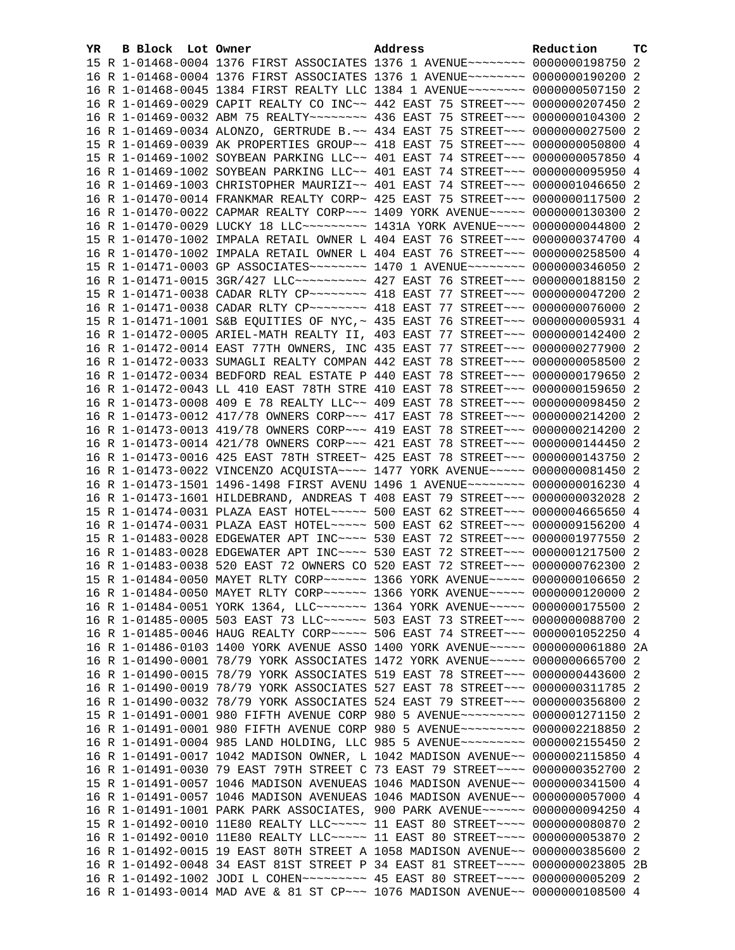| YR. | B Block Lot Owner | Address                                                                                                                                                         | Reduction | тc |
|-----|-------------------|-----------------------------------------------------------------------------------------------------------------------------------------------------------------|-----------|----|
|     |                   | 15 R 1-01468-0004 1376 FIRST ASSOCIATES 1376 1 AVENUE~~~~~~~~ 0000000198750 2                                                                                   |           |    |
|     |                   | 16 R 1-01468-0004 1376 FIRST ASSOCIATES 1376 1 AVENUE~~~~~~~~ 0000000190200 2                                                                                   |           |    |
|     |                   | 16 R 1-01468-0045 1384 FIRST REALTY LLC 1384 1 AVENUE~~~~~~~~ 0000000507150 2                                                                                   |           |    |
|     |                   | 16 R 1-01469-0029 CAPIT REALTY CO INC~~ 442 EAST 75 STREET~~~ 0000000207450 2                                                                                   |           |    |
|     |                   | 16 R 1-01469-0032 ABM 75 REALTY~~~~~~~~ 436 EAST 75 STREET~~~ 0000000104300 2                                                                                   |           |    |
|     |                   | 16 R 1-01469-0034 ALONZO, GERTRUDE B.~~ 434 EAST 75 STREET~~~ 0000000027500 2                                                                                   |           |    |
|     |                   | 15 R 1-01469-0039 AK PROPERTIES GROUP~~ 418 EAST 75 STREET~~~ 0000000050800 4                                                                                   |           |    |
|     |                   | 15 R 1-01469-1002 SOYBEAN PARKING LLC~~ 401 EAST 74 STREET~~~ 0000000057850 4                                                                                   |           |    |
|     |                   | 16 R 1-01469-1002 SOYBEAN PARKING LLC~~ 401 EAST 74 STREET~~~ 0000000095950 4                                                                                   |           |    |
|     |                   | 16 R 1-01469-1003 CHRISTOPHER MAURIZI~~ 401 EAST 74 STREET~~~ 0000001046650 2                                                                                   |           |    |
|     |                   | 16 R 1-01470-0014 FRANKMAR REALTY CORP~ 425 EAST 75 STREET~~~ 0000000117500 2                                                                                   |           |    |
|     |                   | 16 R 1-01470-0022 CAPMAR REALTY CORP~~~ 1409 YORK AVENUE~~~~~ 0000000130300 2                                                                                   |           |    |
|     |                   | 16 R 1-01470-0029 LUCKY 18 LLC -------- 1431A YORK AVENUE --- 0000000044800 2                                                                                   |           |    |
|     |                   | 15 R 1-01470-1002 IMPALA RETAIL OWNER L 404 EAST 76 STREET~~~ 0000000374700 4                                                                                   |           |    |
|     |                   | 16 R 1-01470-1002 IMPALA RETAIL OWNER L 404 EAST 76 STREET~~~ 0000000258500 4                                                                                   |           |    |
|     |                   | 15 R 1-01471-0003 GP ASSOCIATES~~~~~~~~ 1470 1 AVENUE~~~~~~~~ 0000000346050 2                                                                                   |           |    |
|     |                   | 16 R 1-01471-0015 3GR/427 LLC ---------- 427 EAST 76 STREET --- 0000000188150 2                                                                                 |           |    |
|     |                   | 15 R 1-01471-0038 CADAR RLTY CP ------- 418 EAST 77 STREET -- 0000000047200 2                                                                                   |           |    |
|     |                   | 16 R 1-01471-0038 CADAR RLTY CP -------- 418 EAST 77 STREET -- 0000000076000 2                                                                                  |           |    |
|     |                   | 15 R 1-01471-1001 S&B EQUITIES OF NYC, ~ 435 EAST 76 STREET~~~ 00000000005931 4                                                                                 |           |    |
|     |                   | 16 R 1-01472-0005 ARIEL-MATH REALTY II, 403 EAST 77 STREET~~~ 0000000142400 2                                                                                   |           |    |
|     |                   | 16 R 1-01472-0014 EAST 77TH OWNERS, INC 435 EAST 77 STREET~~~ 0000000277900 2                                                                                   |           |    |
|     |                   | 16 R 1-01472-0033 SUMAGLI REALTY COMPAN 442 EAST 78 STREET~~~ 0000000058500 2                                                                                   |           |    |
|     |                   | 16 R 1-01472-0034 BEDFORD REAL ESTATE P 440 EAST 78 STREET~~~ 0000000179650 2                                                                                   |           |    |
|     |                   | 16 R 1-01472-0043 LL 410 EAST 78TH STRE 410 EAST 78 STREET~~~ 0000000159650 2                                                                                   |           |    |
|     |                   | 16 R 1-01473-0008 409 E 78 REALTY LLC~~ 409 EAST 78 STREET~~~ 0000000098450 2                                                                                   |           |    |
|     |                   | 16 R 1-01473-0012 417/78 OWNERS CORP~~~ 417 EAST 78 STREET~~~ 0000000214200 2                                                                                   |           |    |
|     |                   | 16 R 1-01473-0013 419/78 OWNERS CORP~~~ 419 EAST 78 STREET~~~ 0000000214200 2                                                                                   |           |    |
|     |                   | 16 R 1-01473-0014 421/78 OWNERS CORP~~~ 421 EAST 78 STREET~~~ 0000000144450 2                                                                                   |           |    |
|     |                   | 16 R 1-01473-0016 425 EAST 78TH STREET~ 425 EAST 78 STREET~~~ 0000000143750 2                                                                                   |           |    |
|     |                   | 16 R 1-01473-0022 VINCENZO ACQUISTA~~~~ 1477 YORK AVENUE~~~~~ 0000000081450 2                                                                                   |           |    |
|     |                   | 16 R 1-01473-1501 1496-1498 FIRST AVENU 1496 1 AVENUE~~~~~~~~ 0000000016230 4                                                                                   |           |    |
|     |                   | 16 R 1-01473-1601 HILDEBRAND, ANDREAS T 408 EAST 79 STREET~~~ 0000000032028 2                                                                                   |           |    |
|     |                   | 15 R 1-01474-0031 PLAZA EAST HOTEL~~~~~ 500 EAST 62 STREET~~~ 0000004665650 4                                                                                   |           |    |
|     |                   | 16 R 1-01474-0031 PLAZA EAST HOTEL~~~~~ 500 EAST 62 STREET~~~ 0000009156200 4                                                                                   |           |    |
|     |                   | 15 R 1-01483-0028 EDGEWATER APT INC~~~~ 530 EAST 72 STREET~~~ 0000001977550 2                                                                                   |           |    |
|     |                   | 16 R 1-01483-0028 EDGEWATER APT INC~~~~ 530 EAST 72 STREET~~~ 0000001217500 2                                                                                   |           |    |
|     |                   | 16 R 1-01483-0038 520 EAST 72 OWNERS CO 520 EAST 72 STREET~~~ 0000000762300 2                                                                                   |           |    |
|     |                   | 15 R 1-01484-0050 MAYET RLTY CORP~~~~~~ 1366 YORK AVENUE~~~~~ 0000000106650 2                                                                                   |           |    |
|     |                   | 16 R 1-01484-0050 MAYET RLTY CORP~~~~~~ 1366 YORK AVENUE~~~~~ 0000000120000 2                                                                                   |           |    |
|     |                   | 16 R 1-01484-0051 YORK 1364, LLC ------ 1364 YORK AVENUE ---- 0000000175500 2                                                                                   |           |    |
|     |                   | 16 R 1-01485-0005 503 EAST 73 LLC ------ 503 EAST 73 STREET --- 0000000088700 2                                                                                 |           |    |
|     |                   | 16 R 1-01485-0046 HAUG REALTY CORP~~~~~ 506 EAST 74 STREET~~~ 0000001052250 4                                                                                   |           |    |
|     |                   | 16 R 1-01486-0103 1400 YORK AVENUE ASSO 1400 YORK AVENUE~~~~~ 00000000061880 2A                                                                                 |           |    |
|     |                   | 16 R 1-01490-0001 78/79 YORK ASSOCIATES 1472 YORK AVENUE~~~~~ 0000000665700 2                                                                                   |           |    |
|     |                   | 16 R 1-01490-0015 78/79 YORK ASSOCIATES 519 EAST 78 STREET~~~ 0000000443600 2                                                                                   |           |    |
|     |                   | 16 R 1-01490-0019 78/79 YORK ASSOCIATES 527 EAST 78 STREET~~~ 0000000311785 2                                                                                   |           |    |
|     |                   | 16 R 1-01490-0032 78/79 YORK ASSOCIATES 524 EAST 79 STREET~~~ 0000000356800 2                                                                                   |           |    |
|     |                   | 15 R 1-01491-0001 980 FIFTH AVENUE CORP 980 5 AVENUE~~~~~~~~~ 0000001271150 2                                                                                   |           |    |
|     |                   | 16 R 1-01491-0001 980 FIFTH AVENUE CORP 980 5 AVENUE~~~~~~~~~ 0000002218850 2                                                                                   |           |    |
|     |                   | 16 R 1-01491-0004 985 LAND HOLDING, LLC 985 5 AVENUE~~~~~~~~~ 0000002155450 2                                                                                   |           |    |
|     |                   | 16 R 1-01491-0017 1042 MADISON OWNER, L 1042 MADISON AVENUE~~ 0000002115850 4                                                                                   |           |    |
|     |                   | 16 R 1-01491-0030 79 EAST 79TH STREET C 73 EAST 79 STREET~~~~ 0000000352700 2                                                                                   |           |    |
|     |                   | 15 R 1-01491-0057 1046 MADISON AVENUEAS 1046 MADISON AVENUE~~ 0000000341500 4                                                                                   |           |    |
|     |                   | 16 R 1-01491-0057 1046 MADISON AVENUEAS 1046 MADISON AVENUE~~ 0000000057000 4                                                                                   |           |    |
|     |                   | 16 R 1-01491-1001 PARK PARK ASSOCIATES, 900 PARK AVENUE~~~~~~ 0000000094250 4                                                                                   |           |    |
|     |                   | 15 R 1-01492-0010 11E80 REALTY LLC~~~~~ 11 EAST 80 STREET~~~~ 0000000080870 2                                                                                   |           |    |
|     |                   | 16 R 1-01492-0010 11E80 REALTY LLC ---- 11 EAST 80 STREET --- 0000000053870 2                                                                                   |           |    |
|     |                   | 16 R 1-01492-0015 19 EAST 80TH STREET A 1058 MADISON AVENUE~~ 0000000385600 2                                                                                   |           |    |
|     |                   | 16 R 1-01492-0048 34 EAST 81ST STREET P 34 EAST 81 STREET~~~~ 0000000023805 2B<br>16 R 1-01492-1002 JODI L COHEN~~~~~~~~~ 45 EAST 80 STREET~~~~ 0000000005209 2 |           |    |
|     |                   |                                                                                                                                                                 |           |    |
|     |                   | 16 R 1-01493-0014 MAD AVE & 81 ST CP~~~ 1076 MADISON AVENUE~~ 0000000108500 4                                                                                   |           |    |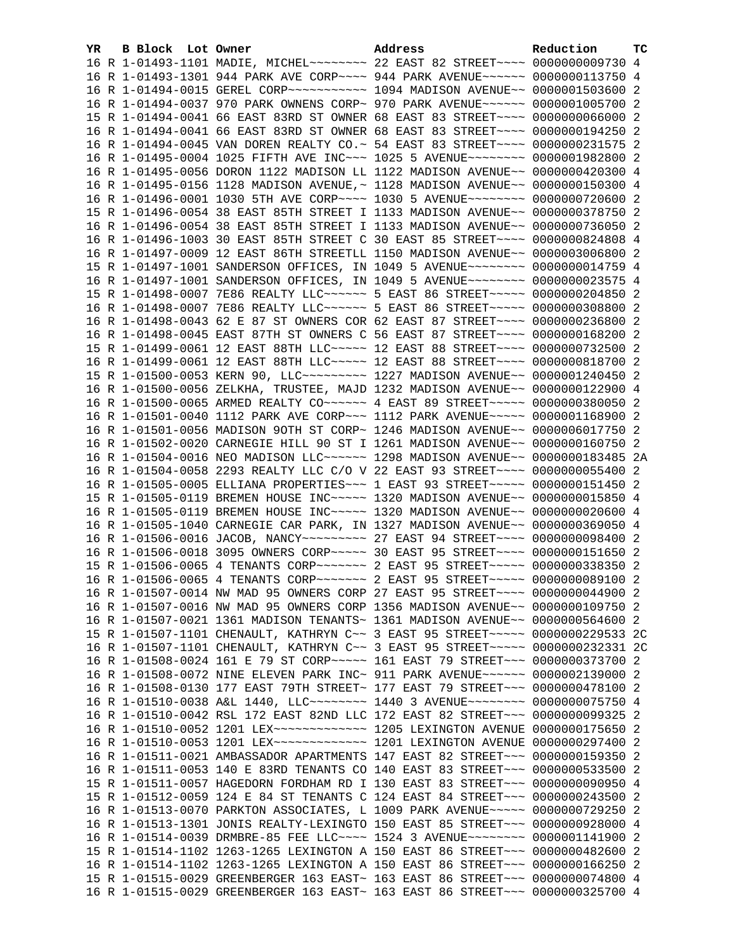| YR. | B Block Lot Owner | Address                                                                         | Reduction | тc |
|-----|-------------------|---------------------------------------------------------------------------------|-----------|----|
|     |                   | 16 R 1-01493-1101 MADIE, MICHEL~~~~~~~~ 22 EAST 82 STREET~~~~ 0000000009730 4   |           |    |
|     |                   | 16 R 1-01493-1301 944 PARK AVE CORP~~~~ 944 PARK AVENUE~~~~~~ 0000000113750 4   |           |    |
|     |                   |                                                                                 |           |    |
|     |                   | 16 R 1-01494-0037 970 PARK OWNENS CORP~ 970 PARK AVENUE~~~~~~ 0000001005700     |           | -2 |
|     |                   | 15 R 1-01494-0041 66 EAST 83RD ST OWNER 68 EAST 83 STREET~~~~ 0000000066000 2   |           |    |
|     |                   | 16 R 1-01494-0041 66 EAST 83RD ST OWNER 68 EAST 83 STREET~~~~ 0000000194250 2   |           |    |
|     |                   | 16 R 1-01494-0045 VAN DOREN REALTY CO.~ 54 EAST 83 STREET~~~~ 0000000231575 2   |           |    |
|     |                   | 16 R 1-01495-0004 1025 FIFTH AVE INC~~~ 1025 5 AVENUE~~~~~~~~ 0000001982800 2   |           |    |
|     |                   | 16 R 1-01495-0056 DORON 1122 MADISON LL 1122 MADISON AVENUE~~ 0000000420300 4   |           |    |
|     |                   | 16 R 1-01495-0156 1128 MADISON AVENUE,~ 1128 MADISON AVENUE~~ 0000000150300 4   |           |    |
|     |                   | 16 R 1-01496-0001 1030 5TH AVE CORP~~~~ 1030 5 AVENUE~~~~~~~~ 0000000720600 2   |           |    |
|     |                   | 15 R 1-01496-0054 38 EAST 85TH STREET I 1133 MADISON AVENUE~~ 0000000378750 2   |           |    |
|     |                   | 16 R 1-01496-0054 38 EAST 85TH STREET I 1133 MADISON AVENUE~~ 0000000736050 2   |           |    |
|     |                   | 16 R 1-01496-1003 30 EAST 85TH STREET C 30 EAST 85 STREET~~~~ 0000000824808 4   |           |    |
|     |                   | 16 R 1-01497-0009 12 EAST 86TH STREETLL 1150 MADISON AVENUE~~ 0000003006800 2   |           |    |
|     |                   | 15 R 1-01497-1001 SANDERSON OFFICES, IN 1049 5 AVENUE~~~~~~~~ 0000000014759 4   |           |    |
|     |                   | 16 R 1-01497-1001 SANDERSON OFFICES, IN 1049 5 AVENUE~~~~~~~~ 0000000023575 4   |           |    |
|     |                   | 15 R 1-01498-0007 7E86 REALTY LLC ----- 5 EAST 86 STREET ---- 0000000204850     |           | -2 |
|     |                   | 16 R 1-01498-0007 7E86 REALTY LLC ----- 5 EAST 86 STREET ---- 0000000308800 2   |           |    |
|     |                   | 16 R 1-01498-0043 62 E 87 ST OWNERS COR 62 EAST 87 STREET~~~~ 0000000236800 2   |           |    |
|     |                   | 16 R 1-01498-0045 EAST 87TH ST OWNERS C 56 EAST 87 STREET~~~~ 0000000168200 2   |           |    |
|     |                   | 15 R 1-01499-0061 12 EAST 88TH LLC ~~~~~ 12 EAST 88 STREET ~~~~ 0000000732500 2 |           |    |
|     |                   | 16 R 1-01499-0061 12 EAST 88TH LLC ---- 12 EAST 88 STREET --- 0000000818700 2   |           |    |
|     |                   | 15 R 1-01500-0053 KERN 90, LLC -------- 1227 MADISON AVENUE- 0000001240450 2    |           |    |
|     |                   | 16 R 1-01500-0056 ZELKHA, TRUSTEE, MAJD 1232 MADISON AVENUE~~ 0000000122900 4   |           |    |
|     |                   | 16 R 1-01500-0065 ARMED REALTY CO~~~~~~~ 4 EAST 89 STREET~~~~~ 0000000380050 2  |           |    |
|     |                   | 16 R 1-01501-0040 1112 PARK AVE CORP~~~ 1112 PARK AVENUE~~~~~ 0000001168900 2   |           |    |
|     |                   | 16 R 1-01501-0056 MADISON 9OTH ST CORP~ 1246 MADISON AVENUE~~ 0000006017750 2   |           |    |
|     |                   | 16 R 1-01502-0020 CARNEGIE HILL 90 ST I 1261 MADISON AVENUE~~ 0000000160750 2   |           |    |
|     |                   | 16 R 1-01504-0016 NEO MADISON LLC~~~~~~ 1298 MADISON AVENUE~~ 0000000183485 2A  |           |    |
|     |                   | 16 R 1-01504-0058 2293 REALTY LLC C/O V 22 EAST 93 STREET~~~~ 0000000055400 2   |           |    |
|     |                   | 16 R 1-01505-0005 ELLIANA PROPERTIES~~~ 1 EAST 93 STREET~~~~~ 0000000151450 2   |           |    |
|     |                   | 15 R 1-01505-0119 BREMEN HOUSE INC~~~~~ 1320 MADISON AVENUE~~ 0000000015850 4   |           |    |
|     |                   | 16 R 1-01505-0119 BREMEN HOUSE INC~~~~~ 1320 MADISON AVENUE~~ 0000000020600 4   |           |    |
|     |                   | 16 R 1-01505-1040 CARNEGIE CAR PARK, IN 1327 MADISON AVENUE~~ 0000000369050 4   |           |    |
|     |                   |                                                                                 |           |    |
|     |                   | 16 R 1-01506-0018 3095 OWNERS CORP~~~~~ 30 EAST 95 STREET~~~~ 0000000151650 2   |           |    |
|     |                   | 15 R 1-01506-0065 4 TENANTS CORP~~~~~~~ 2 EAST 95 STREET~~~~~ 0000000338350 2   |           |    |
|     |                   | 16 R 1-01506-0065 4 TENANTS CORP~~~~~~~ 2 EAST 95 STREET~~~~~ 0000000089100 2   |           |    |
|     |                   | 16 R 1-01507-0014 NW MAD 95 OWNERS CORP 27 EAST 95 STREET~~~~ 0000000044900 2   |           |    |
|     |                   | 16 R 1-01507-0016 NW MAD 95 OWNERS CORP 1356 MADISON AVENUE~~ 0000000109750 2   |           |    |
|     |                   | 16 R 1-01507-0021 1361 MADISON TENANTS~ 1361 MADISON AVENUE~~ 0000000564600 2   |           |    |
|     |                   | 15 R 1-01507-1101 CHENAULT, KATHRYN C~~ 3 EAST 95 STREET~~~~~ 0000000229533 2C  |           |    |
|     |                   | 16 R 1-01507-1101 CHENAULT, KATHRYN C~~ 3 EAST 95 STREET~~~~~ 0000000232331 2C  |           |    |
|     |                   | 16 R 1-01508-0024 161 E 79 ST CORP~~~~~ 161 EAST 79 STREET~~~ 0000000373700     |           | -2 |
|     |                   | 16 R 1-01508-0072 NINE ELEVEN PARK INC~ 911 PARK AVENUE~~~~~~ 0000002139000 2   |           |    |
|     |                   | 16 R 1-01508-0130 177 EAST 79TH STREET~ 177 EAST 79 STREET~~~ 0000000478100     |           | -2 |
|     |                   | 16 R 1-01510-0038 A&L 1440, LLC ------- 1440 3 AVENUE ------- 0000000075750 4   |           |    |
|     |                   | 16 R 1-01510-0042 RSL 172 EAST 82ND LLC 172 EAST 82 STREET~~~ 0000000099325     |           | -2 |
|     |                   | 16 R 1-01510-0052 1201 LEX ------------- 1205 LEXINGTON AVENUE 0000000175650 2  |           |    |
|     |                   | 16 R 1-01510-0053 1201 LEX ------------- 1201 LEXINGTON AVENUE 0000000297400 2  |           |    |
|     |                   | 16 R 1-01511-0021 AMBASSADOR APARTMENTS 147 EAST 82 STREET~~~ 0000000159350     |           | 2  |
|     |                   | 16 R 1-01511-0053 140 E 83RD TENANTS CO 140 EAST 83 STREET~~~ 0000000533500     |           | 2  |
|     |                   | 15 R 1-01511-0057 HAGEDORN FORDHAM RD I 130 EAST 83 STREET~~~ 0000000090950     |           | 4  |
|     |                   | 15 R 1-01512-0059 124 E 84 ST TENANTS C 124 EAST 84 STREET~~~ 0000000243500 2   |           |    |
|     |                   | 16 R 1-01513-0070 PARKTON ASSOCIATES, L 1009 PARK AVENUE~~~~~ 0000000729250     |           | -2 |
|     |                   | 16 R 1-01513-1301 JONIS REALTY-LEXINGTO 150 EAST 85 STREET~~~ 0000000928000 4   |           |    |
|     |                   | 16 R 1-01514-0039 DRMBRE-85 FEE LLC~~~~ 1524 3 AVENUE~~~~~~~~ 0000001141900     |           | -2 |
|     |                   | 15 R 1-01514-1102 1263-1265 LEXINGTON A 150 EAST 86 STREET~~~ 0000000482600 2   |           |    |
|     |                   | 16 R 1-01514-1102 1263-1265 LEXINGTON A 150 EAST 86 STREET~~~ 0000000166250 2   |           |    |
|     |                   | 15 R 1-01515-0029 GREENBERGER 163 EAST~ 163 EAST 86 STREET~~~ 0000000074800 4   |           |    |
|     |                   | 16 R 1-01515-0029 GREENBERGER 163 EAST~ 163 EAST 86 STREET~~~ 0000000325700 4   |           |    |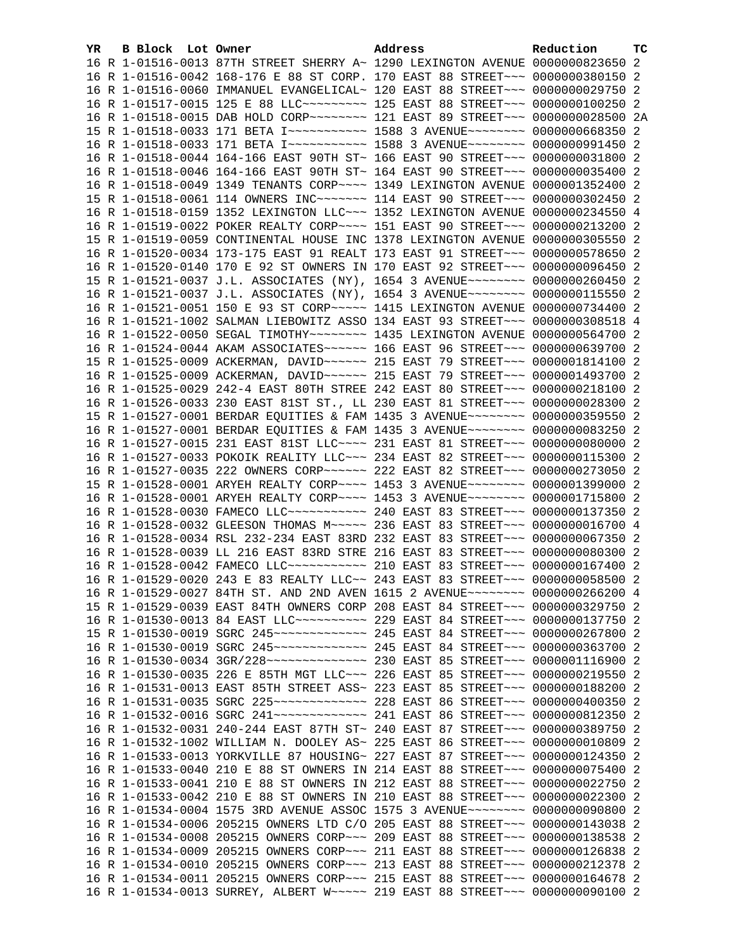| YR. | B Block Lot Owner | Address                                                                                                                                                        | Reduction | <b>TC</b> |
|-----|-------------------|----------------------------------------------------------------------------------------------------------------------------------------------------------------|-----------|-----------|
|     |                   | 16 R 1-01516-0013 87TH STREET SHERRY A~ 1290 LEXINGTON AVENUE 0000000823650 2                                                                                  |           |           |
|     |                   | 16 R 1-01516-0042 168-176 E 88 ST CORP. 170 EAST 88 STREET~~~ 0000000380150 2                                                                                  |           |           |
|     |                   | 16 R 1-01516-0060 IMMANUEL EVANGELICAL~ 120 EAST 88 STREET~~~ 0000000029750 2                                                                                  |           |           |
|     |                   | 16 R 1-01517-0015 125 E 88 LLC --------- 125 EAST 88 STREET -- 0000000100250 2                                                                                 |           |           |
|     |                   | 16 R 1-01518-0015 DAB HOLD CORP~~~~~~~~ 121 EAST 89 STREET~~~ 0000000028500 2A                                                                                 |           |           |
|     |                   | 15 R 1-01518-0033 171 BETA I~~~~~~~~~~~~~~~ 1588 3 AVENUE~~~~~~~~~ 0000000668350 2                                                                             |           |           |
|     |                   | 16 R 1-01518-0033 171 BETA I~~~~~~~~~~~~~~~ 1588 3 AVENUE~~~~~~~~~ 0000000991450 2                                                                             |           |           |
|     |                   | 16 R 1-01518-0044 164-166 EAST 90TH ST~ 166 EAST 90 STREET~~~ 0000000031800 2                                                                                  |           |           |
|     |                   | 16 R 1-01518-0046 164-166 EAST 90TH ST~ 164 EAST 90 STREET~~~ 0000000035400 2                                                                                  |           |           |
|     |                   | 16 R 1-01518-0049 1349 TENANTS CORP~~~~ 1349 LEXINGTON AVENUE 0000001352400 2                                                                                  |           |           |
|     |                   | 15 R 1-01518-0061 114 OWNERS INC~~~~~~~ 114 EAST 90 STREET~~~ 0000000302450 2                                                                                  |           |           |
|     |                   | 16 R 1-01518-0159 1352 LEXINGTON LLC~~~ 1352 LEXINGTON AVENUE 0000000234550 4                                                                                  |           |           |
|     |                   | 16 R 1-01519-0022 POKER REALTY CORP~~~~ 151 EAST 90 STREET~~~ 0000000213200 2                                                                                  |           |           |
|     |                   | 15 R 1-01519-0059 CONTINENTAL HOUSE INC 1378 LEXINGTON AVENUE 0000000305550 2                                                                                  |           |           |
|     |                   | 16 R 1-01520-0034 173-175 EAST 91 REALT 173 EAST 91 STREET~~~ 0000000578650 2                                                                                  |           |           |
|     |                   | 16 R 1-01520-0140 170 E 92 ST OWNERS IN 170 EAST 92 STREET~~~ 0000000096450 2                                                                                  |           |           |
|     |                   | 15 R 1-01521-0037 J.L. ASSOCIATES (NY), 1654 3 AVENUE~~~~~~~~ 0000000260450 2                                                                                  |           |           |
|     |                   | 16 R 1-01521-0037 J.L. ASSOCIATES (NY), 1654 3 AVENUE~~~~~~~~ 0000000115550 2                                                                                  |           |           |
|     |                   | 16 R 1-01521-0051 150 E 93 ST CORP~~~~~ 1415 LEXINGTON AVENUE 0000000734400 2                                                                                  |           |           |
|     |                   | 16 R 1-01521-1002 SALMAN LIEBOWITZ ASSO 134 EAST 93 STREET~~~ 0000000308518 4                                                                                  |           |           |
|     |                   | 16 R 1-01522-0050 SEGAL TIMOTHY ~~~~~~~~ 1435 LEXINGTON AVENUE 0000000564700 2                                                                                 |           |           |
|     |                   | 16 R 1-01524-0044 AKAM ASSOCIATES~~~~~~ 166 EAST 96 STREET~~~ 0000000639700 2                                                                                  |           |           |
|     |                   | 15 R 1-01525-0009 ACKERMAN, DAVID ~~~~~~ 215 EAST 79 STREET ~~~ 0000001814100 2                                                                                |           |           |
|     |                   | 16 R 1-01525-0009 ACKERMAN, DAVID ~~~~~~ 215 EAST 79 STREET ~~~ 0000001493700 2                                                                                |           |           |
|     |                   | 16 R 1-01525-0029 242-4 EAST 80TH STREE 242 EAST 80 STREET~~~ 0000000218100 2                                                                                  |           |           |
|     |                   | 16 R 1-01526-0033 230 EAST 81ST ST., LL 230 EAST 81 STREET~~~ 0000000028300 2                                                                                  |           |           |
|     |                   | 15 R 1-01527-0001 BERDAR EQUITIES & FAM 1435 3 AVENUE~~~~~~~~ 0000000359550 2                                                                                  |           |           |
|     |                   | 16 R 1-01527-0001 BERDAR EQUITIES & FAM 1435 3 AVENUE~~~~~~~~ 0000000083250 2                                                                                  |           |           |
|     |                   | 16 R 1-01527-0015 231 EAST 81ST LLC --- 231 EAST 81 STREET -- 0000000080000 2                                                                                  |           |           |
|     |                   | 16 R 1-01527-0033 POKOIK REALITY LLC~~~ 234 EAST 82 STREET~~~ 0000000115300 2                                                                                  |           |           |
|     |                   | 16 R 1-01527-0035 222 OWNERS CORP~~~~~~ 222 EAST 82 STREET~~~ 0000000273050 2                                                                                  |           |           |
|     |                   | 15 R 1-01528-0001 ARYEH REALTY CORP~~~~ 1453 3 AVENUE~~~~~~~~ 0000001399000 2                                                                                  |           |           |
|     |                   | 16 R 1-01528-0001 ARYEH REALTY CORP~~~~ 1453 3 AVENUE~~~~~~~~ 0000001715800 2                                                                                  |           |           |
|     |                   | 16 R 1-01528-0030 FAMECO LLC ----------- 240 EAST 83 STREET --- 0000000137350 2                                                                                |           |           |
|     |                   | 16 R 1-01528-0032 GLEESON THOMAS M~~~~~ 236 EAST 83 STREET~~~ 0000000016700 4                                                                                  |           |           |
|     |                   | 16 R 1-01528-0034 RSL 232-234 EAST 83RD 232 EAST 83 STREET~~~ 0000000067350 2<br>16 R 1-01528-0039 LL 216 EAST 83RD STRE 216 EAST 83 STREET~~~ 0000000080300 2 |           |           |
|     |                   | 16 R 1-01528-0042 FAMECO LLC ----------- 210 EAST 83 STREET --- 0000000167400 2                                                                                |           |           |
|     |                   | 16 R 1-01529-0020 243 E 83 REALTY LLC~~ 243 EAST 83 STREET~~~ 0000000058500 2                                                                                  |           |           |
|     |                   | 16 R 1-01529-0027 84TH ST. AND 2ND AVEN 1615 2 AVENUE~~~~~~~~ 0000000266200 4                                                                                  |           |           |
|     |                   | 15 R 1-01529-0039 EAST 84TH OWNERS CORP 208 EAST 84 STREET~~~ 0000000329750 2                                                                                  |           |           |
|     |                   | 16 R 1-01530-0013 84 EAST LLC~~~~~~~~~~~~~~~ 229 EAST 84 STREET~~~~ 0000000137750 2                                                                            |           |           |
|     |                   |                                                                                                                                                                |           |           |
|     |                   |                                                                                                                                                                |           |           |
|     |                   |                                                                                                                                                                |           |           |
|     |                   | 16 R 1-01530-0035 226 E 85TH MGT LLC ~~~ 226 EAST 85 STREET ~~~ 0000000219550                                                                                  |           | 2         |
|     |                   | 16 R 1-01531-0013 EAST 85TH STREET ASS~ 223 EAST 85 STREET~~~ 0000000188200                                                                                    |           | -2        |
|     |                   |                                                                                                                                                                |           | -2        |
|     |                   | 16 R 1-01532-0016 SGRC 241 -------------- 241 EAST 86 STREET --- 0000000812350 2                                                                               |           |           |
|     |                   | 16 R 1-01532-0031 240-244 EAST 87TH ST~ 240 EAST 87 STREET~~~ 0000000389750 2                                                                                  |           |           |
|     |                   | 16 R 1-01532-1002 WILLIAM N. DOOLEY AS~ 225 EAST 86 STREET~~~ 0000000010809                                                                                    |           | -2        |
|     |                   | 16 R 1-01533-0013 YORKVILLE 87 HOUSING~ 227 EAST 87 STREET~~~ 0000000124350                                                                                    |           | -2        |
|     |                   | 16 R 1-01533-0040 210 E 88 ST OWNERS IN 214 EAST 88 STREET~~~ 0000000075400                                                                                    |           | -2        |
|     |                   | 16 R 1-01533-0041 210 E 88 ST OWNERS IN 212 EAST 88 STREET~~~ 0000000022750 2                                                                                  |           |           |
|     |                   | 16 R 1-01533-0042 210 E 88 ST OWNERS IN 210 EAST 88 STREET~~~ 0000000022300                                                                                    |           | -2        |
|     |                   | 16 R 1-01534-0004 1575 3RD AVENUE ASSOC 1575 3 AVENUE~~~~~~~~ 0000000090800                                                                                    |           | -2        |
|     |                   | 16 R 1-01534-0006 205215 OWNERS LTD C/O 205 EAST 88 STREET~~~ 0000000143038                                                                                    |           | -2        |
|     |                   | 16 R 1-01534-0008 205215 OWNERS CORP~~~ 209 EAST 88 STREET~~~ 0000000138538 2                                                                                  |           |           |
|     |                   | 16 R 1-01534-0009 205215 OWNERS CORP~~~ 211 EAST 88 STREET~~~ 0000000126838 2                                                                                  |           |           |
|     |                   | 16 R 1-01534-0010 205215 OWNERS CORP~~~ 213 EAST 88 STREET~~~ 0000000212378 2                                                                                  |           |           |
|     |                   | 16 R 1-01534-0011 205215 OWNERS CORP~~~ 215 EAST 88 STREET~~~ 0000000164678 2                                                                                  |           |           |
|     |                   | 16 R 1-01534-0013 SURREY, ALBERT W~~~~~ 219 EAST 88 STREET~~~ 0000000090100 2                                                                                  |           |           |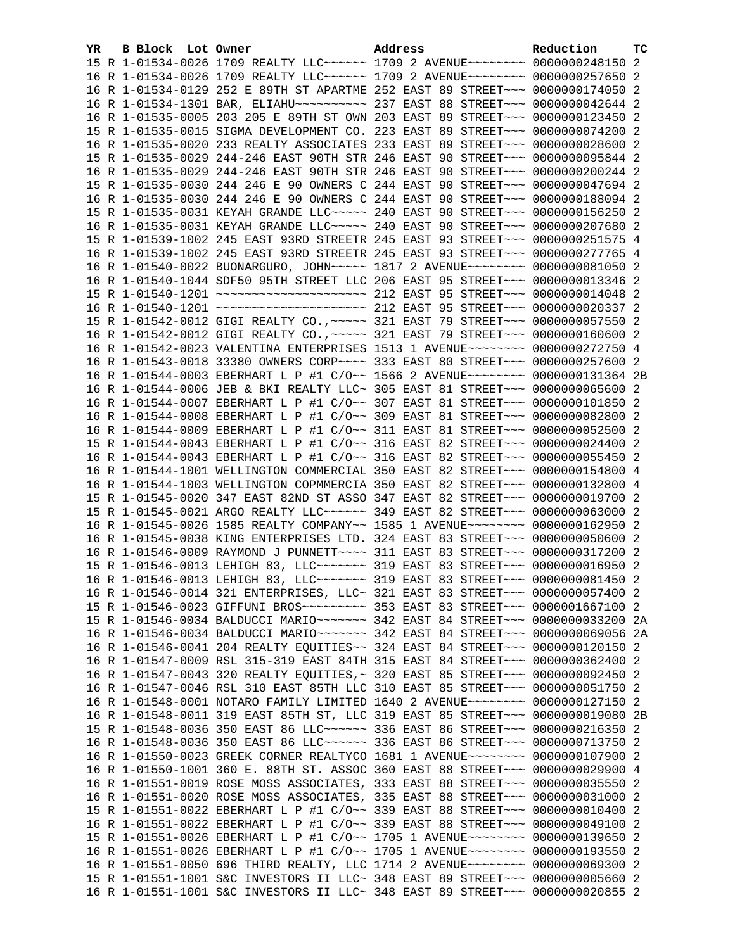| YR. | B Block Lot Owner |                                                                                                                                                                | Address |  | Reduction | тc |
|-----|-------------------|----------------------------------------------------------------------------------------------------------------------------------------------------------------|---------|--|-----------|----|
|     |                   | 15 R 1-01534-0026 1709 REALTY LLC ----- 1709 2 AVENUE ------- 0000000248150 2                                                                                  |         |  |           |    |
|     |                   | 16 R 1-01534-0026 1709 REALTY LLC~~~~~~ 1709 2 AVENUE~~~~~~~~ 0000000257650 2                                                                                  |         |  |           |    |
|     |                   | 16 R 1-01534-0129 252 E 89TH ST APARTME 252 EAST 89 STREET~~~ 0000000174050 2                                                                                  |         |  |           |    |
|     |                   | 16 R 1-01534-1301 BAR, ELIAHU~~~~~~~~~~~~~~~ 237 EAST 88 STREET~~~ 0000000042644 2                                                                             |         |  |           |    |
|     |                   | 16 R 1-01535-0005 203 205 E 89TH ST OWN 203 EAST 89 STREET~~~ 0000000123450 2                                                                                  |         |  |           |    |
|     |                   | 15 R 1-01535-0015 SIGMA DEVELOPMENT CO. 223 EAST 89 STREET~~~ 0000000074200 2                                                                                  |         |  |           |    |
|     |                   | 16 R 1-01535-0020 233 REALTY ASSOCIATES 233 EAST 89 STREET~~~ 0000000028600 2                                                                                  |         |  |           |    |
|     |                   | 15 R 1-01535-0029 244-246 EAST 90TH STR 246 EAST 90 STREET~~~ 0000000095844 2                                                                                  |         |  |           |    |
|     |                   | 16 R 1-01535-0029 244-246 EAST 90TH STR 246 EAST 90 STREET~~~ 0000000200244 2                                                                                  |         |  |           |    |
|     |                   | 15 R 1-01535-0030 244 246 E 90 OWNERS C 244 EAST 90 STREET~~~ 0000000047694 2                                                                                  |         |  |           |    |
|     |                   | 16 R 1-01535-0030 244 246 E 90 OWNERS C 244 EAST 90 STREET~~~ 0000000188094 2                                                                                  |         |  |           |    |
|     |                   | 15 R 1-01535-0031 KEYAH GRANDE LLC~~~~~ 240 EAST 90 STREET~~~ 0000000156250 2                                                                                  |         |  |           |    |
|     |                   | 16 R 1-01535-0031 KEYAH GRANDE LLC~~~~~ 240 EAST 90 STREET~~~ 0000000207680 2                                                                                  |         |  |           |    |
|     |                   | 15 R 1-01539-1002 245 EAST 93RD STREETR 245 EAST 93 STREET~~~ 0000000251575 4                                                                                  |         |  |           |    |
|     |                   | 16 R 1-01539-1002 245 EAST 93RD STREETR 245 EAST 93 STREET~~~ 0000000277765 4                                                                                  |         |  |           |    |
|     |                   | 16 R 1-01540-0022 BUONARGURO, JOHN~~~~~ 1817 2 AVENUE~~~~~~~~ 0000000081050 2                                                                                  |         |  |           |    |
|     |                   | 16 R 1-01540-1044 SDF50 95TH STREET LLC 206 EAST 95 STREET~~~ 0000000013346 2                                                                                  |         |  |           |    |
|     |                   |                                                                                                                                                                |         |  |           |    |
|     |                   |                                                                                                                                                                |         |  |           |    |
|     |                   | 15 R 1-01542-0012 GIGI REALTY CO., ~~~~~ 321 EAST 79 STREET~~~ 0000000057550 2                                                                                 |         |  |           |    |
|     |                   | 16 R 1-01542-0012 GIGI REALTY CO., ~~~~~ 321 EAST 79 STREET~~~ 0000000160600 2                                                                                 |         |  |           |    |
|     |                   | 16 R 1-01542-0023 VALENTINA ENTERPRISES 1513 1 AVENUE~~~~~~~~ 0000000272750 4                                                                                  |         |  |           |    |
|     |                   | 16 R 1-01543-0018 33380 OWNERS CORP~~~~ 333 EAST 80 STREET~~~ 0000000257600 2                                                                                  |         |  |           |    |
|     |                   | 16 R 1-01544-0003 EBERHART L P #1 C/O~~ 1566 2 AVENUE~~~~~~~~ 0000000131364 2B                                                                                 |         |  |           |    |
|     |                   | 16 R 1-01544-0006 JEB & BKI REALTY LLC~ 305 EAST 81 STREET~~~ 0000000065600 2                                                                                  |         |  |           |    |
|     |                   | 16 R 1-01544-0007 EBERHART L P #1 C/O~~ 307 EAST 81 STREET~~~ 0000000101850 2                                                                                  |         |  |           |    |
|     |                   |                                                                                                                                                                |         |  |           |    |
|     |                   | 16 R 1-01544-0008 EBERHART L P #1 C/O~~ 309 EAST 81 STREET~~~ 0000000082800 2                                                                                  |         |  |           |    |
|     |                   | 16 R 1-01544-0009 EBERHART L P #1 C/O~~ 311 EAST 81 STREET~~~ 0000000052500 2                                                                                  |         |  |           |    |
|     |                   | 15 R 1-01544-0043 EBERHART L P #1 C/O~~ 316 EAST 82 STREET~~~ 0000000024400 2                                                                                  |         |  |           |    |
|     |                   | 16 R 1-01544-0043 EBERHART L P #1 C/O~~ 316 EAST 82 STREET~~~ 0000000055450 2<br>16 R 1-01544-1001 WELLINGTON COMMERCIAL 350 EAST 82 STREET~~~ 0000000154800 4 |         |  |           |    |
|     |                   | 16 R 1-01544-1003 WELLINGTON COPMMERCIA 350 EAST 82 STREET~~~ 0000000132800 4                                                                                  |         |  |           |    |
|     |                   |                                                                                                                                                                |         |  |           |    |
|     |                   | 15 R 1-01545-0020 347 EAST 82ND ST ASSO 347 EAST 82 STREET~~~ 0000000019700 2                                                                                  |         |  |           |    |
|     |                   | 15 R 1-01545-0021 ARGO REALTY LLC~~~~~~ 349 EAST 82 STREET~~~ 0000000063000 2<br>16 R 1-01545-0026 1585 REALTY COMPANY~~ 1585 1 AVENUE~~~~~~~~ 0000000162950 2 |         |  |           |    |
|     |                   | 16 R 1-01545-0038 KING ENTERPRISES LTD. 324 EAST 83 STREET~~~ 0000000050600 2                                                                                  |         |  |           |    |
|     |                   | 16 R 1-01546-0009 RAYMOND J PUNNETT~~~~ 311 EAST 83 STREET~~~ 0000000317200 2                                                                                  |         |  |           |    |
|     |                   | 15 R 1-01546-0013 LEHIGH 83, LLC ------ 319 EAST 83 STREET -- 0000000016950 2                                                                                  |         |  |           |    |
|     |                   | 16 R 1-01546-0013 LEHIGH 83, LLC ------- 319 EAST 83 STREET --- 0000000081450 2                                                                                |         |  |           |    |
|     |                   | 16 R 1-01546-0014 321 ENTERPRISES, LLC~ 321 EAST 83 STREET~~~ 0000000057400 2                                                                                  |         |  |           |    |
|     |                   | 15 R 1-01546-0023 GIFFUNI BROS -------- 353 EAST 83 STREET --- 0000001667100 2                                                                                 |         |  |           |    |
|     |                   | 15 R 1-01546-0034 BALDUCCI MARIO~~~~~~~~ 342 EAST 84 STREET~~~ 0000000033200 2A                                                                                |         |  |           |    |
|     |                   | 16 R 1-01546-0034 BALDUCCI MARIO~~~~~~~ 342 EAST 84 STREET~~~ 0000000069056 2A                                                                                 |         |  |           |    |
|     |                   | 16 R 1-01546-0041 204 REALTY EQUITIES~~ 324 EAST 84 STREET~~~ 0000000120150 2                                                                                  |         |  |           |    |
|     |                   | 16 R 1-01547-0009 RSL 315-319 EAST 84TH 315 EAST 84 STREET~~~ 0000000362400 2                                                                                  |         |  |           |    |
|     |                   | 16 R 1-01547-0043 320 REALTY EQUITIES, ~ 320 EAST 85 STREET~~~ 0000000092450 2                                                                                 |         |  |           |    |
|     |                   |                                                                                                                                                                |         |  |           |    |
|     |                   | 16 R 1-01547-0046 RSL 310 EAST 85TH LLC 310 EAST 85 STREET~~~ 0000000051750 2                                                                                  |         |  |           |    |
|     |                   | 16 R 1-01548-0001 NOTARO FAMILY LIMITED 1640 2 AVENUE~~~~~~~~ 0000000127150 2                                                                                  |         |  |           |    |
|     |                   | 16 R 1-01548-0011 319 EAST 85TH ST, LLC 319 EAST 85 STREET~~~ 00000000019080 2B                                                                                |         |  |           |    |
|     |                   | 15 R 1-01548-0036 350 EAST 86 LLC ----- 336 EAST 86 STREET -- 0000000216350 2                                                                                  |         |  |           |    |
|     |                   | 16 R 1-01548-0036 350 EAST 86 LLC ----- 336 EAST 86 STREET -- 0000000713750 2                                                                                  |         |  |           |    |
|     |                   | 16 R 1-01550-0023 GREEK CORNER REALTYCO 1681 1 AVENUE~~~~~~~~ 0000000107900 2                                                                                  |         |  |           |    |
|     |                   | 16 R 1-01550-1001 360 E. 88TH ST. ASSOC 360 EAST 88 STREET~~~ 0000000029900 4                                                                                  |         |  |           |    |
|     |                   | 16 R 1-01551-0019 ROSE MOSS ASSOCIATES, 333 EAST 88 STREET~~~ 0000000035550 2                                                                                  |         |  |           |    |
|     |                   | 16 R 1-01551-0020 ROSE MOSS ASSOCIATES, 335 EAST 88 STREET~~~ 0000000031000 2                                                                                  |         |  |           |    |
|     |                   | 15 R 1-01551-0022 EBERHART L P #1 C/O~~ 339 EAST 88 STREET~~~ 0000000010400 2                                                                                  |         |  |           |    |
|     |                   | 16 R 1-01551-0022 EBERHART L P #1 C/O~~ 339 EAST 88 STREET~~~ 0000000049100 2                                                                                  |         |  |           |    |
|     |                   | 15 R 1-01551-0026 EBERHART L P #1 C/O~~ 1705 1 AVENUE~~~~~~~~ 0000000139650 2                                                                                  |         |  |           |    |
|     |                   | 16 R 1-01551-0026 EBERHART L P #1 C/O~~ 1705 1 AVENUE~~~~~~~~ 0000000193550 2                                                                                  |         |  |           |    |
|     |                   | 16 R 1-01551-0050 696 THIRD REALTY, LLC 1714 2 AVENUE~~~~~~~~ 0000000069300 2                                                                                  |         |  |           |    |
|     |                   | 15 R 1-01551-1001 S&C INVESTORS II LLC~ 348 EAST 89 STREET~~~ 00000000005660 2                                                                                 |         |  |           |    |
|     |                   | 16 R 1-01551-1001 S&C INVESTORS II LLC~ 348 EAST 89 STREET~~~ 0000000020855 2                                                                                  |         |  |           |    |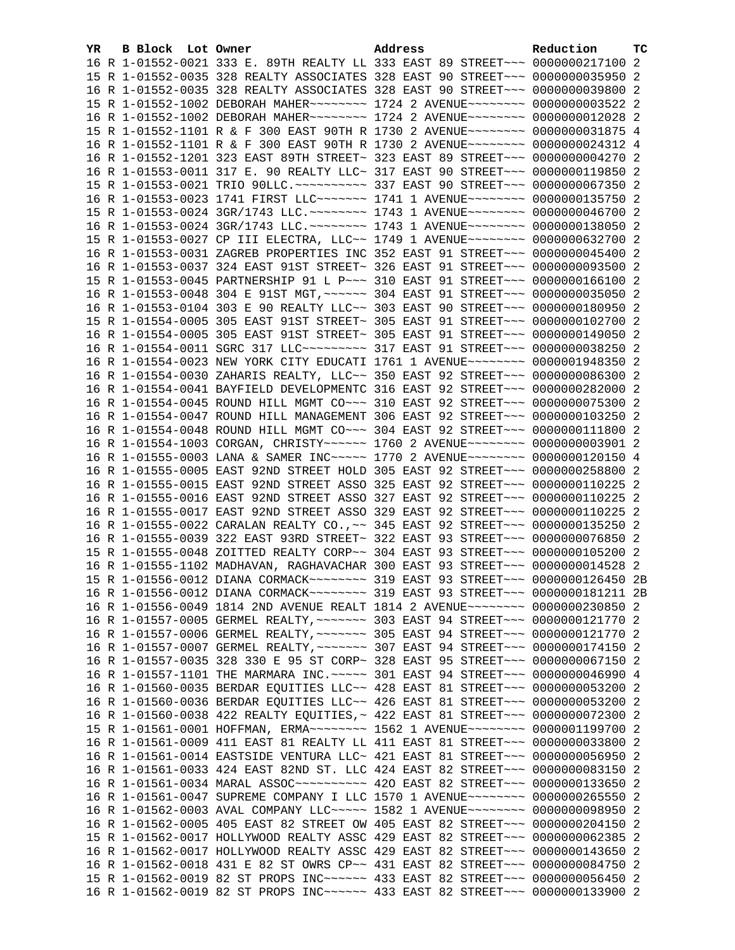| YR | B Block Lot Owner |                                                                                                                                                                 | Address | Reduction | <b>TC</b> |
|----|-------------------|-----------------------------------------------------------------------------------------------------------------------------------------------------------------|---------|-----------|-----------|
|    |                   | 16 R 1-01552-0021 333 E. 89TH REALTY LL 333 EAST 89 STREET~~~ 0000000217100 2                                                                                   |         |           |           |
|    |                   | 15 R 1-01552-0035 328 REALTY ASSOCIATES 328 EAST 90 STREET~~~ 0000000035950 2                                                                                   |         |           |           |
|    |                   | 16 R 1-01552-0035 328 REALTY ASSOCIATES 328 EAST 90 STREET~~~ 0000000039800 2                                                                                   |         |           |           |
|    |                   | 15 R 1-01552-1002 DEBORAH MAHER ------- 1724 2 AVENUE ------- 00000000003522 2                                                                                  |         |           |           |
|    |                   | 16 R 1-01552-1002 DEBORAH MAHER ------- 1724 2 AVENUE ------- 0000000012028 2                                                                                   |         |           |           |
|    |                   | 15 R 1-01552-1101 R & F 300 EAST 90TH R 1730 2 AVENUE~~~~~~~~ 0000000031875 4                                                                                   |         |           |           |
|    |                   | 16 R 1-01552-1101 R & F 300 EAST 90TH R 1730 2 AVENUE~~~~~~~~ 0000000024312 4                                                                                   |         |           |           |
|    |                   | 16 R 1-01552-1201 323 EAST 89TH STREET~ 323 EAST 89 STREET~~~ 0000000004270 2                                                                                   |         |           |           |
|    |                   | 16 R 1-01553-0011 317 E. 90 REALTY LLC~ 317 EAST 90 STREET~~~ 0000000119850 2                                                                                   |         |           |           |
|    |                   |                                                                                                                                                                 |         |           |           |
|    |                   | 16 R 1-01553-0023 1741 FIRST LLC~~~~~~~ 1741 1 AVENUE~~~~~~~~ 0000000135750 2                                                                                   |         |           |           |
|    |                   | 15 R 1-01553-0024 3GR/1743 LLC. ~~~~~~~~ 1743 1 AVENUE~~~~~~~~ 0000000046700 2                                                                                  |         |           |           |
|    |                   | 16 R 1-01553-0024 3GR/1743 LLC. ~~~~~~~~ 1743 1 AVENUE~~~~~~~~ 0000000138050 2                                                                                  |         |           |           |
|    |                   | 15 R 1-01553-0027 CP III ELECTRA, LLC~~ 1749 1 AVENUE~~~~~~~~ 0000000632700 2                                                                                   |         |           |           |
|    |                   | 16 R 1-01553-0031 ZAGREB PROPERTIES INC 352 EAST 91 STREET~~~ 0000000045400 2                                                                                   |         |           |           |
|    |                   | 16 R 1-01553-0037 324 EAST 91ST STREET~ 326 EAST 91 STREET~~~ 0000000093500 2                                                                                   |         |           |           |
|    |                   | 15 R 1-01553-0045 PARTNERSHIP 91 L P~~~ 310 EAST 91 STREET~~~ 0000000166100 2                                                                                   |         |           |           |
|    |                   | 16 R 1-01553-0048 304 E 91ST MGT, ~~~~~~ 304 EAST 91 STREET~~~ 0000000035050                                                                                    |         |           | -2        |
|    |                   | 16 R 1-01553-0104 303 E 90 REALTY LLC~~ 303 EAST 90 STREET~~~ 0000000180950 2                                                                                   |         |           |           |
|    |                   | 15 R 1-01554-0005 305 EAST 91ST STREET~ 305 EAST 91 STREET~~~ 0000000102700 2                                                                                   |         |           |           |
|    |                   | 16 R 1-01554-0005 305 EAST 91ST STREET~ 305 EAST 91 STREET~~~ 0000000149050 2                                                                                   |         |           |           |
|    |                   | 16 R 1-01554-0011 SGRC 317 LLC --------- 317 EAST 91 STREET --- 0000000038250 2                                                                                 |         |           |           |
|    |                   | 16 R 1-01554-0023 NEW YORK CITY EDUCATI 1761 1 AVENUE~~~~~~~~ 0000001948350 2                                                                                   |         |           |           |
|    |                   | 16 R 1-01554-0030 ZAHARIS REALTY, LLC~~ 350 EAST 92 STREET~~~ 0000000086300 2                                                                                   |         |           |           |
|    |                   | 16 R 1-01554-0041 BAYFIELD DEVELOPMENTC 316 EAST 92 STREET~~~ 0000000282000 2                                                                                   |         |           |           |
|    |                   | 16 R 1-01554-0045 ROUND HILL MGMT CO~~~ 310 EAST 92 STREET~~~ 0000000075300 2                                                                                   |         |           |           |
|    |                   | 16 R 1-01554-0047 ROUND HILL MANAGEMENT 306 EAST 92 STREET~~~ 0000000103250 2                                                                                   |         |           |           |
|    |                   | 16 R 1-01554-0048 ROUND HILL MGMT CO~~~ 304 EAST 92 STREET~~~ 00000000111800 2                                                                                  |         |           |           |
|    |                   | 16 R 1-01554-1003 CORGAN, CHRISTY~~~~~~ 1760 2 AVENUE~~~~~~~~ 0000000003901 2                                                                                   |         |           |           |
|    |                   | 16 R 1-01555-0003 LANA & SAMER INC~~~~~ 1770 2 AVENUE~~~~~~~~ 0000000120150 4                                                                                   |         |           |           |
|    |                   | 16 R 1-01555-0005 EAST 92ND STREET HOLD 305 EAST 92 STREET~~~ 0000000258800 2                                                                                   |         |           |           |
|    |                   | 16 R 1-01555-0015 EAST 92ND STREET ASSO 325 EAST 92 STREET~~~ 0000000110225 2                                                                                   |         |           |           |
|    |                   | 16 R 1-01555-0016 EAST 92ND STREET ASSO 327 EAST 92 STREET~~~ 0000000110225 2                                                                                   |         |           |           |
|    |                   | 16 R 1-01555-0017 EAST 92ND STREET ASSO 329 EAST 92 STREET~~~ 0000000110225 2                                                                                   |         |           |           |
|    |                   | 16 R 1-01555-0022 CARALAN REALTY CO., ~~ 345 EAST 92 STREET~~~ 0000000135250 2                                                                                  |         |           |           |
|    |                   | 16 R 1-01555-0039 322 EAST 93RD STREET~ 322 EAST 93 STREET~~~ 0000000076850 2                                                                                   |         |           |           |
|    |                   | 15 R 1-01555-0048 ZOITTED REALTY CORP~~ 304 EAST 93 STREET~~~ 0000000105200 2                                                                                   |         |           |           |
|    |                   | 16 R 1-01555-1102 MADHAVAN, RAGHAVACHAR 300 EAST 93 STREET~~~ 0000000014528 2                                                                                   |         |           |           |
|    |                   | 15 R 1-01556-0012 DIANA CORMACK~~~~~~~~~ 319 EAST 93 STREET~~~ 0000000126450 2B                                                                                 |         |           |           |
|    |                   | 16 R 1-01556-0012 DIANA CORMACK~~~~~~~~ 319 EAST 93 STREET~~~ 0000000181211 2B                                                                                  |         |           |           |
|    |                   | 16 R 1-01556-0049 1814 2ND AVENUE REALT 1814 2 AVENUE~~~~~~~~ 0000000230850 2                                                                                   |         |           |           |
|    |                   | 16 R 1-01557-0005 GERMEL REALTY, ~~~~~~~ 303 EAST 94 STREET~~~ 0000000121770 2                                                                                  |         |           |           |
|    |                   | 16 R 1-01557-0006 GERMEL REALTY, ~~~~~~~ 305 EAST 94 STREET~~~ 0000000121770 2                                                                                  |         |           |           |
|    |                   | 16 R 1-01557-0007 GERMEL REALTY, ~~~~~~~ 307 EAST 94 STREET~~~ 0000000174150 2                                                                                  |         |           |           |
|    |                   | 16 R 1-01557-0035 328 330 E 95 ST CORP~ 328 EAST 95 STREET~~~ 0000000067150 2                                                                                   |         |           |           |
|    |                   | 16 R 1-01557-1101 THE MARMARA INC. ~~~~~ 301 EAST 94 STREET~~~ 0000000046990 4<br>16 R 1-01560-0035 BERDAR EQUITIES LLC~~ 428 EAST 81 STREET~~~ 0000000053200 2 |         |           |           |
|    |                   | 16 R 1-01560-0036 BERDAR EQUITIES LLC~~ 426 EAST 81 STREET~~~ 0000000053200 2                                                                                   |         |           |           |
|    |                   | 16 R 1-01560-0038 422 REALTY EQUITIES, ~ 422 EAST 81 STREET ~~~ 0000000072300 2                                                                                 |         |           |           |
|    |                   | 15 R 1-01561-0001 HOFFMAN, ERMA~~~~~~~~ 1562 1 AVENUE~~~~~~~~ 0000001199700 2                                                                                   |         |           |           |
|    |                   | 16 R 1-01561-0009 411 EAST 81 REALTY LL 411 EAST 81 STREET~~~ 0000000033800 2                                                                                   |         |           |           |
|    |                   | 16 R 1-01561-0014 EASTSIDE VENTURA LLC~ 421 EAST 81 STREET~~~ 0000000056950 2                                                                                   |         |           |           |
|    |                   | 16 R 1-01561-0033 424 EAST 82ND ST. LLC 424 EAST 82 STREET~~~ 0000000083150 2                                                                                   |         |           |           |
|    |                   | 16 R 1-01561-0034 MARAL ASSOC ---------- 420 EAST 82 STREET --- 0000000133650 2                                                                                 |         |           |           |
|    |                   | 16 R 1-01561-0047 SUPREME COMPANY I LLC 1570 1 AVENUE~~~~~~~~ 0000000265550 2                                                                                   |         |           |           |
|    |                   | 16 R 1-01562-0003 AVAL COMPANY LLC~~~~~ 1582 1 AVENUE~~~~~~~~ 0000000098950 2                                                                                   |         |           |           |
|    |                   | 16 R 1-01562-0005 405 EAST 82 STREET OW 405 EAST 82 STREET~~~ 0000000204150                                                                                     |         |           | -2        |
|    |                   | 15 R 1-01562-0017 HOLLYWOOD REALTY ASSC 429 EAST 82 STREET~~~ 0000000062385 2                                                                                   |         |           |           |
|    |                   | 16 R 1-01562-0017 HOLLYWOOD REALTY ASSC 429 EAST 82 STREET~~~ 0000000143650 2                                                                                   |         |           |           |
|    |                   | 16 R 1-01562-0018 431 E 82 ST OWRS CP~~ 431 EAST 82 STREET~~~ 0000000084750 2                                                                                   |         |           |           |
|    |                   | 15 R 1-01562-0019 82 ST PROPS INC~~~~~~ 433 EAST 82 STREET~~~ 0000000056450 2                                                                                   |         |           |           |
|    |                   | 16 R 1-01562-0019 82 ST PROPS INC~~~~~~ 433 EAST 82 STREET~~~ 0000000133900 2                                                                                   |         |           |           |
|    |                   |                                                                                                                                                                 |         |           |           |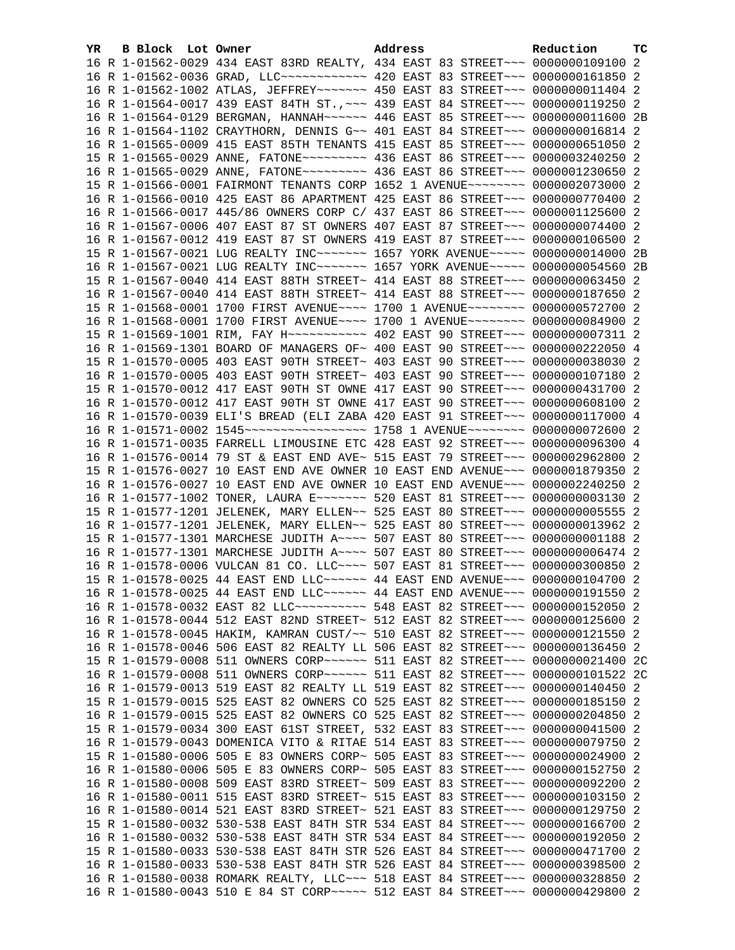| YR. | <b>B Block</b> Lot Owner |                                                                                                                                                              | Address |  | Reduction | тc |
|-----|--------------------------|--------------------------------------------------------------------------------------------------------------------------------------------------------------|---------|--|-----------|----|
|     |                          | 16 R 1-01562-0029 434 EAST 83RD REALTY, 434 EAST 83 STREET~~~ 0000000109100 2                                                                                |         |  |           |    |
|     |                          | 16 R 1-01562-0036 GRAD, LLC ------------ 420 EAST 83 STREET --- 0000000161850 2                                                                              |         |  |           |    |
|     |                          | 16 R 1-01562-1002 ATLAS, JEFFREY~~~~~~~ 450 EAST 83 STREET~~~ 0000000011404 2                                                                                |         |  |           |    |
|     |                          | 16 R 1-01564-0017 439 EAST 84TH ST., ~~~ 439 EAST 84 STREET~~~ 0000000119250 2                                                                               |         |  |           |    |
|     |                          | 16 R 1-01564-0129 BERGMAN, HANNAH~~~~~~ 446 EAST 85 STREET~~~ 0000000011600 2B                                                                               |         |  |           |    |
|     |                          | 16 R 1-01564-1102 CRAYTHORN, DENNIS G~~ 401 EAST 84 STREET~~~ 0000000016814 2                                                                                |         |  |           |    |
|     |                          | 16 R 1-01565-0009 415 EAST 85TH TENANTS 415 EAST 85 STREET~~~ 0000000651050 2                                                                                |         |  |           |    |
|     |                          | 15 R 1-01565-0029 ANNE, FATONE~~~~~~~~~ 436 EAST 86 STREET~~~ 0000003240250 2                                                                                |         |  |           |    |
|     |                          | 16 R 1-01565-0029 ANNE, FATONE~~~~~~~~~ 436 EAST 86 STREET~~~ 0000001230650 2                                                                                |         |  |           |    |
|     |                          | 15 R 1-01566-0001 FAIRMONT TENANTS CORP 1652 1 AVENUE~~~~~~~~ 0000002073000 2                                                                                |         |  |           |    |
|     |                          | 16 R 1-01566-0010 425 EAST 86 APARTMENT 425 EAST 86 STREET~~~ 0000000770400 2                                                                                |         |  |           |    |
|     |                          | 16 R 1-01566-0017 445/86 OWNERS CORP C/ 437 EAST 86 STREET~~~ 0000001125600 2                                                                                |         |  |           |    |
|     |                          | 16 R 1-01567-0006 407 EAST 87 ST OWNERS 407 EAST 87 STREET~~~ 0000000074400 2                                                                                |         |  |           |    |
|     |                          | 16 R 1-01567-0012 419 EAST 87 ST OWNERS 419 EAST 87 STREET~~~ 0000000106500 2                                                                                |         |  |           |    |
|     |                          | 15 R 1-01567-0021 LUG REALTY INC~~~~~~~~ 1657 YORK AVENUE~~~~~ 0000000014000 2B                                                                              |         |  |           |    |
|     |                          | 16 R 1-01567-0021 LUG REALTY INC~~~~~~~ 1657 YORK AVENUE~~~~~ 0000000054560 2B                                                                               |         |  |           |    |
|     |                          | 15 R 1-01567-0040 414 EAST 88TH STREET~ 414 EAST 88 STREET~~~ 0000000063450 2                                                                                |         |  |           |    |
|     |                          | 16 R 1-01567-0040 414 EAST 88TH STREET~ 414 EAST 88 STREET~~~ 0000000187650 2                                                                                |         |  |           |    |
|     |                          | 15 R 1-01568-0001 1700 FIRST AVENUE~~~~ 1700 1 AVENUE~~~~~~~~ 0000000572700 2                                                                                |         |  |           |    |
|     |                          | 16 R 1-01568-0001 1700 FIRST AVENUE~~~~ 1700 1 AVENUE~~~~~~~~ 0000000084900 2                                                                                |         |  |           |    |
|     |                          | 15 R 1-01569-1001 RIM, FAY H~~~~~~~~~~~~~~~~ 402 EAST 90 STREET~~~ 0000000007311 2                                                                           |         |  |           |    |
|     |                          | 16 R 1-01569-1301 BOARD OF MANAGERS OF~ 400 EAST 90 STREET~~~ 0000000222050 4                                                                                |         |  |           |    |
|     |                          | 15 R 1-01570-0005 403 EAST 90TH STREET~ 403 EAST 90 STREET~~~ 0000000038030 2                                                                                |         |  |           |    |
|     |                          | 16 R 1-01570-0005 403 EAST 90TH STREET~ 403 EAST 90 STREET~~~ 0000000107180 2                                                                                |         |  |           |    |
|     |                          | 15 R 1-01570-0012 417 EAST 90TH ST OWNE 417 EAST 90 STREET~~~ 0000000431700 2                                                                                |         |  |           |    |
|     |                          | 16 R 1-01570-0012 417 EAST 90TH ST OWNE 417 EAST 90 STREET~~~ 0000000608100 2                                                                                |         |  |           |    |
|     |                          | 16 R 1-01570-0039 ELI'S BREAD (ELI ZABA 420 EAST 91 STREET~~~ 0000000117000 4                                                                                |         |  |           |    |
|     |                          | 16 R 1-01571-0002 1545~~~~~~~~~~~~~~~~~~~~~~ 1758 1 AVENUE~~~~~~~~ 0000000072600 2                                                                           |         |  |           |    |
|     |                          | 16 R 1-01571-0035 FARRELL LIMOUSINE ETC 428 EAST 92 STREET~~~ 0000000096300 4                                                                                |         |  |           |    |
|     |                          | 16 R 1-01576-0014 79 ST & EAST END AVE~ 515 EAST 79 STREET~~~ 0000002962800 2                                                                                |         |  |           |    |
|     |                          | 15 R 1-01576-0027 10 EAST END AVE OWNER 10 EAST END AVENUE~~~ 0000001879350 2                                                                                |         |  |           |    |
|     |                          | 16 R 1-01576-0027 10 EAST END AVE OWNER 10 EAST END AVENUE~~~ 0000002240250 2                                                                                |         |  |           |    |
|     |                          | 16 R 1-01577-1002 TONER, LAURA E~~~~~~~ 520 EAST 81 STREET~~~ 00000000003130 2                                                                               |         |  |           |    |
|     |                          | 15 R 1-01577-1201 JELENEK, MARY ELLEN~~ 525 EAST 80 STREET~~~ 0000000005555 2                                                                                |         |  |           |    |
|     |                          | 16 R 1-01577-1201 JELENEK, MARY ELLEN~~ 525 EAST 80 STREET~~~ 0000000013962 2                                                                                |         |  |           |    |
|     |                          | 15 R 1-01577-1301 MARCHESE JUDITH A~~~~ 507 EAST 80 STREET~~~ 00000000001188 2                                                                               |         |  |           |    |
|     |                          | 16 R 1-01577-1301 MARCHESE JUDITH A~~~~ 507 EAST 80 STREET~~~ 0000000006474 2                                                                                |         |  |           |    |
|     |                          | 16 R 1-01578-0006 VULCAN 81 CO. LLC~~~~ 507 EAST 81 STREET~~~ 0000000300850 2                                                                                |         |  |           |    |
|     |                          | 15 R 1-01578-0025 44 EAST END LLC ----- 44 EAST END AVENUE -- 0000000104700 2                                                                                |         |  |           |    |
|     |                          | 16 R 1-01578-0025 44 EAST END LLC ----- 44 EAST END AVENUE -- 0000000191550 2                                                                                |         |  |           |    |
|     |                          | 16 R 1-01578-0032 EAST 82 LLC ---------- 548 EAST 82 STREET --- 0000000152050 2                                                                              |         |  |           |    |
|     |                          | 16 R 1-01578-0044 512 EAST 82ND STREET~ 512 EAST 82 STREET~~~ 0000000125600 2                                                                                |         |  |           |    |
|     |                          | 16 R 1-01578-0045 HAKIM, KAMRAN CUST/~~ 510 EAST 82 STREET~~~ 0000000121550 2                                                                                |         |  |           |    |
|     |                          | 16 R 1-01578-0046 506 EAST 82 REALTY LL 506 EAST 82 STREET~~~ 0000000136450 2                                                                                |         |  |           |    |
|     |                          | 15 R 1-01579-0008 511 OWNERS CORP~~~~~~ 511 EAST 82 STREET~~~ 0000000021400 2C                                                                               |         |  |           |    |
|     |                          | 16 R 1-01579-0008 511 OWNERS CORP~~~~~~~ 511 EAST 82 STREET~~~ 0000000101522 2C                                                                              |         |  |           |    |
|     |                          | 16 R 1-01579-0013 519 EAST 82 REALTY LL 519 EAST 82 STREET~~~ 0000000140450<br>15 R 1-01579-0015 525 EAST 82 OWNERS CO 525 EAST 82 STREET~~~ 0000000185150 2 |         |  |           | -2 |
|     |                          | 16 R 1-01579-0015 525 EAST 82 OWNERS CO 525 EAST 82 STREET~~~ 0000000204850 2                                                                                |         |  |           |    |
|     |                          | 15 R 1-01579-0034 300 EAST 61ST STREET, 532 EAST 83 STREET~~~ 0000000041500 2                                                                                |         |  |           |    |
|     |                          | 16 R 1-01579-0043 DOMENICA VITO & RITAE 514 EAST 83 STREET~~~ 0000000079750 2                                                                                |         |  |           |    |
|     |                          | 15 R 1-01580-0006 505 E 83 OWNERS CORP~ 505 EAST 83 STREET~~~ 0000000024900 2                                                                                |         |  |           |    |
|     |                          | 16 R 1-01580-0006 505 E 83 OWNERS CORP~ 505 EAST 83 STREET~~~ 0000000152750 2                                                                                |         |  |           |    |
|     |                          | 16 R 1-01580-0008 509 EAST 83RD STREET~ 509 EAST 83 STREET~~~ 0000000092200 2                                                                                |         |  |           |    |
|     |                          | 16 R 1-01580-0011 515 EAST 83RD STREET~ 515 EAST 83 STREET~~~ 0000000103150 2                                                                                |         |  |           |    |
|     |                          | 16 R 1-01580-0014 521 EAST 83RD STREET~ 521 EAST 83 STREET~~~ 0000000129750 2                                                                                |         |  |           |    |
|     |                          | 15 R 1-01580-0032 530-538 EAST 84TH STR 534 EAST 84 STREET~~~ 0000000166700 2                                                                                |         |  |           |    |
|     |                          | 16 R 1-01580-0032 530-538 EAST 84TH STR 534 EAST 84 STREET~~~ 0000000192050 2                                                                                |         |  |           |    |
|     |                          | 15 R 1-01580-0033 530-538 EAST 84TH STR 526 EAST 84 STREET~~~ 0000000471700 2                                                                                |         |  |           |    |
|     |                          | 16 R 1-01580-0033 530-538 EAST 84TH STR 526 EAST 84 STREET~~~ 0000000398500 2                                                                                |         |  |           |    |
|     |                          | 16 R 1-01580-0038 ROMARK REALTY, LLC ~~~ 518 EAST 84 STREET ~~~ 0000000328850 2                                                                              |         |  |           |    |
|     |                          | 16 R 1-01580-0043 510 E 84 ST CORP~~~~~ 512 EAST 84 STREET~~~ 0000000429800 2                                                                                |         |  |           |    |
|     |                          |                                                                                                                                                              |         |  |           |    |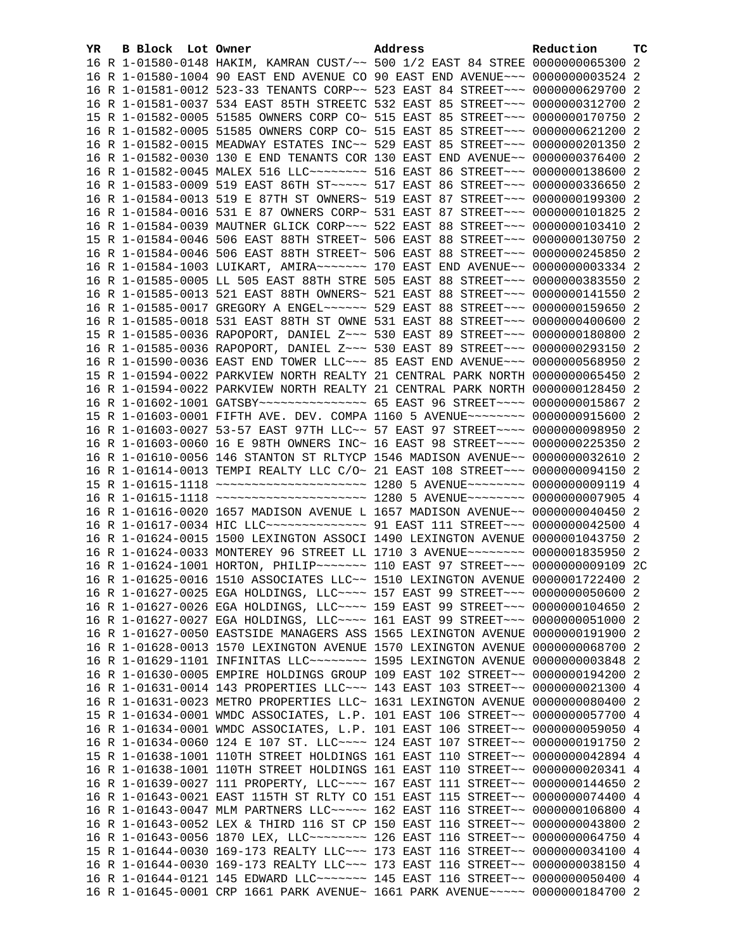| YR. | B Block Lot Owner | Address                                                                          | Reduction | <b>TC</b> |
|-----|-------------------|----------------------------------------------------------------------------------|-----------|-----------|
|     |                   | 16 R 1-01580-0148 HAKIM, KAMRAN CUST/~~ 500 1/2 EAST 84 STREE 0000000065300 2    |           |           |
|     |                   | 16 R 1-01580-1004 90 EAST END AVENUE CO 90 EAST END AVENUE~~~ 00000000003524 2   |           |           |
|     |                   | 16 R 1-01581-0012 523-33 TENANTS CORP~~ 523 EAST 84 STREET~~~ 0000000629700 2    |           |           |
|     |                   | 16 R 1-01581-0037 534 EAST 85TH STREETC 532 EAST 85 STREET~~~ 0000000312700 2    |           |           |
|     |                   |                                                                                  |           |           |
|     |                   | 15 R 1-01582-0005 51585 OWNERS CORP CO~ 515 EAST 85 STREET~~~ 0000000170750 2    |           |           |
|     |                   | 16 R 1-01582-0005 51585 OWNERS CORP CO~ 515 EAST 85 STREET~~~ 0000000621200 2    |           |           |
|     |                   | 16 R 1-01582-0015 MEADWAY ESTATES INC~~ 529 EAST 85 STREET~~~ 0000000201350 2    |           |           |
|     |                   | 16 R 1-01582-0030 130 E END TENANTS COR 130 EAST END AVENUE~~ 0000000376400 2    |           |           |
|     |                   | 16 R 1-01582-0045 MALEX 516 LLC -------- 516 EAST 86 STREET --- 0000000138600 2  |           |           |
|     |                   | 16 R 1-01583-0009 519 EAST 86TH ST~~~~~ 517 EAST 86 STREET~~~ 0000000336650 2    |           |           |
|     |                   | 16 R 1-01584-0013 519 E 87TH ST OWNERS~ 519 EAST 87 STREET~~~ 0000000199300 2    |           |           |
|     |                   | 16 R 1-01584-0016 531 E 87 OWNERS CORP~ 531 EAST 87 STREET~~~ 0000000101825 2    |           |           |
|     |                   | 16 R 1-01584-0039 MAUTNER GLICK CORP~~~ 522 EAST 88 STREET~~~ 0000000103410 2    |           |           |
|     |                   | 15 R 1-01584-0046 506 EAST 88TH STREET~ 506 EAST 88 STREET~~~ 0000000130750 2    |           |           |
|     |                   | 16 R 1-01584-0046 506 EAST 88TH STREET~ 506 EAST 88 STREET~~~ 0000000245850 2    |           |           |
|     |                   | 16 R 1-01584-1003 LUIKART, AMIRA~~~~~~~ 170 EAST END AVENUE~~ 0000000003334 2    |           |           |
|     |                   | 16 R 1-01585-0005 LL 505 EAST 88TH STRE 505 EAST 88 STREET~~~ 0000000383550 2    |           |           |
|     |                   | 16 R 1-01585-0013 521 EAST 88TH OWNERS~ 521 EAST 88 STREET~~~ 0000000141550 2    |           |           |
|     |                   | 16 R 1-01585-0017 GREGORY A ENGEL~~~~~~ 529 EAST 88 STREET~~~ 0000000159650 2    |           |           |
|     |                   | 16 R 1-01585-0018 531 EAST 88TH ST OWNE 531 EAST 88 STREET~~~ 0000000400600 2    |           |           |
|     |                   | 15 R 1-01585-0036 RAPOPORT, DANIEL Z~~~ 530 EAST 89 STREET~~~ 0000000180800 2    |           |           |
|     |                   |                                                                                  |           |           |
|     |                   | 16 R 1-01585-0036 RAPOPORT, DANIEL Z~~~ 530 EAST 89 STREET~~~ 0000000293150 2    |           |           |
|     |                   | 16 R 1-01590-0036 EAST END TOWER LLC~~~ 85 EAST END AVENUE~~~ 0000000568950 2    |           |           |
|     |                   | 15 R 1-01594-0022 PARKVIEW NORTH REALTY 21 CENTRAL PARK NORTH 0000000065450 2    |           |           |
|     |                   | 16 R 1-01594-0022 PARKVIEW NORTH REALTY 21 CENTRAL PARK NORTH 0000000128450 2    |           |           |
|     |                   | 16 R 1-01602-1001 GATSBY~~~~~~~~~~~~~~~~ 65 EAST 96 STREET~~~~ 0000000015867 2   |           |           |
|     |                   | 15 R 1-01603-0001 FIFTH AVE. DEV. COMPA 1160 5 AVENUE~~~~~~~~ 0000000915600 2    |           |           |
|     |                   | 16 R 1-01603-0027 53-57 EAST 97TH LLC~~ 57 EAST 97 STREET~~~~ 0000000098950 2    |           |           |
|     |                   | 16 R 1-01603-0060 16 E 98TH OWNERS INC~ 16 EAST 98 STREET~~~~ 0000000225350 2    |           |           |
|     |                   | 16 R 1-01610-0056 146 STANTON ST RLTYCP 1546 MADISON AVENUE~~ 0000000032610 2    |           |           |
|     |                   | 16 R 1-01614-0013 TEMPI REALTY LLC C/O~ 21 EAST 108 STREET~~~ 0000000094150 2    |           |           |
|     |                   | 15 R 1-01615-1118 ~~~~~~~~~~~~~~~~~~~~~~ 1280 5 AVENUE~~~~~~~~ 0000000000119 4   |           |           |
|     |                   | 16 R 1-01615-1118 ~~~~~~~~~~~~~~~~~~~~~~ 1280 5 AVENUE~~~~~~~~ 00000000007905 4  |           |           |
|     |                   | 16 R 1-01616-0020 1657 MADISON AVENUE L 1657 MADISON AVENUE~~ 0000000040450 2    |           |           |
|     |                   | 16 R 1-01617-0034 HIC LLC --------------- 91 EAST 111 STREET --- 0000000042500 4 |           |           |
|     |                   | 16 R 1-01624-0015 1500 LEXINGTON ASSOCI 1490 LEXINGTON AVENUE 0000001043750 2    |           |           |
|     |                   | 16 R 1-01624-0033 MONTEREY 96 STREET LL 1710 3 AVENUE~~~~~~~~ 0000001835950 2    |           |           |
|     |                   | 16 R 1-01624-1001 HORTON, PHILIP~~~~~~~ 110 EAST 97 STREET~~~ 0000000009109 2C   |           |           |
|     |                   | 16 R 1-01625-0016 1510 ASSOCIATES LLC~~ 1510 LEXINGTON AVENUE 0000001722400 2    |           |           |
|     |                   | 16 R 1-01627-0025 EGA HOLDINGS, LLC ~~~~ 157 EAST 99 STREET ~~~ 0000000050600 2  |           |           |
|     |                   | 16 R 1-01627-0026 EGA HOLDINGS, LLC ~~~~ 159 EAST 99 STREET ~~~ 0000000104650 2  |           |           |
|     |                   | 16 R 1-01627-0027 EGA HOLDINGS, LLC ~~~~ 161 EAST 99 STREET ~~~ 0000000051000 2  |           |           |
|     |                   |                                                                                  |           |           |
|     |                   | 16 R 1-01627-0050 EASTSIDE MANAGERS ASS 1565 LEXINGTON AVENUE 0000000191900 2    |           |           |
|     |                   | 16 R 1-01628-0013 1570 LEXINGTON AVENUE 1570 LEXINGTON AVENUE 0000000068700 2    |           |           |
|     |                   | 16 R 1-01629-1101 INFINITAS LLC ------- 1595 LEXINGTON AVENUE 0000000003848      |           | -2        |
|     |                   | 16 R 1-01630-0005 EMPIRE HOLDINGS GROUP 109 EAST 102 STREET~~ 0000000194200 2    |           |           |
|     |                   | 16 R 1-01631-0014 143 PROPERTIES LLC~~~ 143 EAST 103 STREET~~ 0000000021300 4    |           |           |
|     |                   | 16 R 1-01631-0023 METRO PROPERTIES LLC~ 1631 LEXINGTON AVENUE 0000000080400 2    |           |           |
|     |                   | 15 R 1-01634-0001 WMDC ASSOCIATES, L.P. 101 EAST 106 STREET~~ 0000000057700 4    |           |           |
|     |                   | 16 R 1-01634-0001 WMDC ASSOCIATES, L.P. 101 EAST 106 STREET~~ 0000000059050 4    |           |           |
|     |                   | 16 R 1-01634-0060 124 E 107 ST. LLC --- 124 EAST 107 STREET -~ 0000000191750 2   |           |           |
|     |                   | 15 R 1-01638-1001 110TH STREET HOLDINGS 161 EAST 110 STREET~~ 0000000042894 4    |           |           |
|     |                   | 16 R 1-01638-1001 110TH STREET HOLDINGS 161 EAST 110 STREET~~ 0000000020341 4    |           |           |
|     |                   | 16 R 1-01639-0027 111 PROPERTY, LLC --- 167 EAST 111 STREET -~ 0000000144650 2   |           |           |
|     |                   | 16 R 1-01643-0021 EAST 115TH ST RLTY CO 151 EAST 115 STREET~~ 0000000074400 4    |           |           |
|     |                   | 16 R 1-01643-0047 MLM PARTNERS LLC~~~~~ 162 EAST 116 STREET~~ 0000000106800 4    |           |           |
|     |                   | 16 R 1-01643-0052 LEX & THIRD 116 ST CP 150 EAST 116 STREET~~ 0000000043800 2    |           |           |
|     |                   | 16 R 1-01643-0056 1870 LEX, LLC -------- 126 EAST 116 STREET -- 0000000064750 4  |           |           |
|     |                   | 15 R 1-01644-0030 169-173 REALTY LLC~~~ 173 EAST 116 STREET~~ 0000000034100 4    |           |           |
|     |                   | 16 R 1-01644-0030 169-173 REALTY LLC -- 173 EAST 116 STREET -- 0000000038150 4   |           |           |
|     |                   | 16 R 1-01644-0121 145 EDWARD LLC ------ 145 EAST 116 STREET -- 0000000050400 4   |           |           |
|     |                   |                                                                                  |           |           |
|     |                   | 16 R 1-01645-0001 CRP 1661 PARK AVENUE~ 1661 PARK AVENUE~~~~~ 0000000184700 2    |           |           |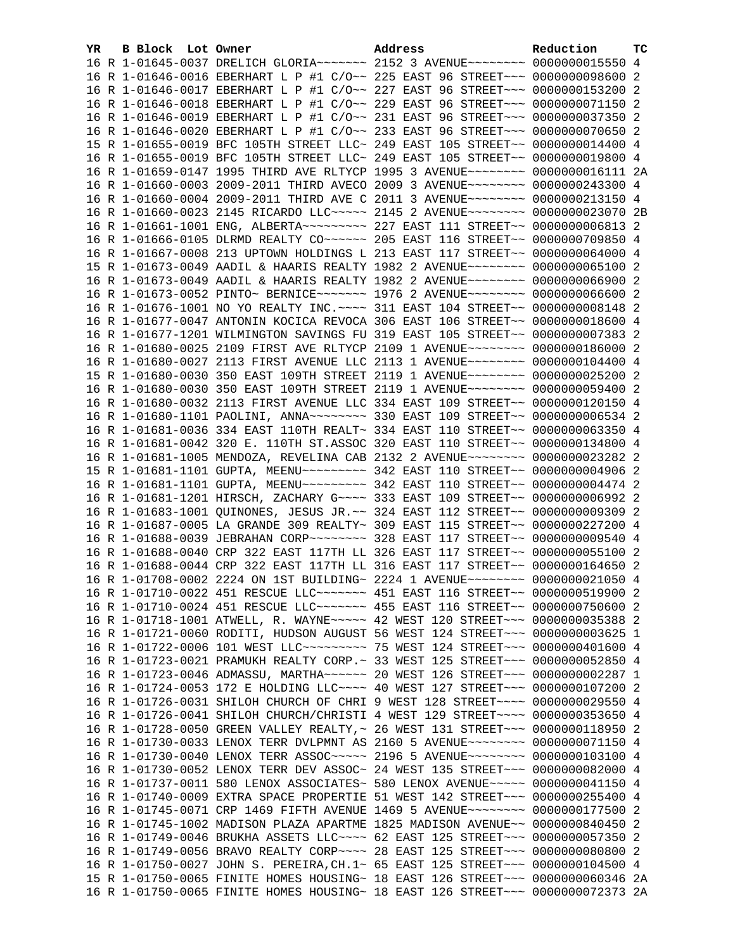| YR | B Block Lot Owner | Address                                                                                                                                                          | Reduction | TC |
|----|-------------------|------------------------------------------------------------------------------------------------------------------------------------------------------------------|-----------|----|
|    |                   | 16 R 1-01645-0037 DRELICH GLORIA~~~~~~~ 2152 3 AVENUE~~~~~~~~ 0000000015550 4                                                                                    |           |    |
|    |                   | 16 R 1-01646-0016 EBERHART L P #1 C/O~~ 225 EAST 96 STREET~~~ 0000000098600 2                                                                                    |           |    |
|    |                   | 16 R 1-01646-0017 EBERHART L P #1 C/O~~ 227 EAST 96 STREET~~~ 0000000153200 2                                                                                    |           |    |
|    |                   | 16 R 1-01646-0018 EBERHART L P #1 C/O~~ 229 EAST 96 STREET~~~ 0000000071150 2                                                                                    |           |    |
|    |                   | 16 R 1-01646-0019 EBERHART L P #1 C/O~~ 231 EAST 96 STREET~~~ 0000000037350 2                                                                                    |           |    |
|    |                   | 16 R 1-01646-0020 EBERHART L P #1 C/O~~ 233 EAST 96 STREET~~~ 0000000070650 2                                                                                    |           |    |
|    |                   | 15 R 1-01655-0019 BFC 105TH STREET LLC~ 249 EAST 105 STREET~~ 0000000014400 4                                                                                    |           |    |
|    |                   | 16 R 1-01655-0019 BFC 105TH STREET LLC~ 249 EAST 105 STREET~~ 0000000019800 4                                                                                    |           |    |
|    |                   | 16 R 1-01659-0147 1995 THIRD AVE RLTYCP 1995 3 AVENUE~~~~~~~~ 0000000016111 2A                                                                                   |           |    |
|    |                   | 16 R 1-01660-0003 2009-2011 THIRD AVECO 2009 3 AVENUE~~~~~~~~ 0000000243300 4                                                                                    |           |    |
|    |                   | 16 R 1-01660-0004 2009-2011 THIRD AVE C 2011 3 AVENUE~~~~~~~~ 0000000213150 4                                                                                    |           |    |
|    |                   | 16 R 1-01660-0023 2145 RICARDO LLC~~~~~ 2145 2 AVENUE~~~~~~~~ 0000000023070 2B                                                                                   |           |    |
|    |                   | 16 R 1-01661-1001 ENG, ALBERTA~~~~~~~~~~~~~~ 227 EAST 111 STREET~~ 00000000006813 2                                                                              |           |    |
|    |                   | 16 R 1-01666-0105 DLRMD REALTY CO~~~~~~ 205 EAST 116 STREET~~ 0000000709850 4                                                                                    |           |    |
|    |                   | 16 R 1-01667-0008 213 UPTOWN HOLDINGS L 213 EAST 117 STREET~~ 0000000064000 4                                                                                    |           |    |
|    |                   | 15 R 1-01673-0049 AADIL & HAARIS REALTY 1982 2 AVENUE~~~~~~~~ 0000000065100 2                                                                                    |           |    |
|    |                   | 16 R 1-01673-0049 AADIL & HAARIS REALTY 1982 2 AVENUE~~~~~~~~ 0000000066900 2                                                                                    |           |    |
|    |                   | 16 R 1-01673-0052 PINTO~ BERNICE~~~~~~~ 1976 2 AVENUE~~~~~~~~ 0000000066600 2                                                                                    |           |    |
|    |                   | 16 R 1-01676-1001 NO YO REALTY INC. ~~~~ 311 EAST 104 STREET~~ 00000000008148 2                                                                                  |           |    |
|    |                   | 16 R 1-01677-0047 ANTONIN KOCICA REVOCA 306 EAST 106 STREET~~ 0000000018600 4                                                                                    |           |    |
|    |                   | 16 R 1-01677-1201 WILMINGTON SAVINGS FU 319 EAST 105 STREET~~ 0000000007383 2                                                                                    |           |    |
|    |                   | 16 R 1-01680-0025 2109 FIRST AVE RLTYCP 2109 1 AVENUE~~~~~~~~ 0000000186000 2                                                                                    |           |    |
|    |                   | 16 R 1-01680-0027 2113 FIRST AVENUE LLC 2113 1 AVENUE~~~~~~~~ 0000000104400 4                                                                                    |           |    |
|    |                   | 15 R 1-01680-0030 350 EAST 109TH STREET 2119 1 AVENUE~~~~~~~~ 0000000025200 2                                                                                    |           |    |
|    |                   | 16 R 1-01680-0030 350 EAST 109TH STREET 2119 1 AVENUE~~~~~~~~ 0000000059400 2                                                                                    |           |    |
|    |                   | 16 R 1-01680-0032 2113 FIRST AVENUE LLC 334 EAST 109 STREET~~ 0000000120150 4                                                                                    |           |    |
|    |                   | 16 R 1-01680-1101 PAOLINI, ANNA~~~~~~~~ 330 EAST 109 STREET~~ 00000000006534 2                                                                                   |           |    |
|    |                   | 16 R 1-01681-0036 334 EAST 110TH REALT~ 334 EAST 110 STREET~~ 0000000063350 4                                                                                    |           |    |
|    |                   | 16 R 1-01681-0042 320 E. 110TH ST.ASSOC 320 EAST 110 STREET~~ 0000000134800 4                                                                                    |           |    |
|    |                   | 16 R 1-01681-1005 MENDOZA, REVELINA CAB 2132 2 AVENUE~~~~~~~~ 0000000023282 2                                                                                    |           |    |
|    |                   | 15 R 1-01681-1101 GUPTA, MEENU~~~~~~~~~ 342 EAST 110 STREET~~ 00000000004906 2                                                                                   |           |    |
|    |                   | 16 R 1-01681-1101 GUPTA, MEENU~~~~~~~~~ 342 EAST 110 STREET~~ 0000000004474 2                                                                                    |           |    |
|    |                   | 16 R 1-01681-1201 HIRSCH, ZACHARY G~~~~ 333 EAST 109 STREET~~ 00000000006992 2                                                                                   |           |    |
|    |                   | 16 R 1-01683-1001 QUINONES, JESUS JR.~~ 324 EAST 112 STREET~~ 0000000009309 2                                                                                    |           |    |
|    |                   | 16 R 1-01687-0005 LA GRANDE 309 REALTY~ 309 EAST 115 STREET~~ 0000000227200 4                                                                                    |           |    |
|    |                   | 16 R 1-01688-0039 JEBRAHAN CORP~~~~~~~~ 328 EAST 117 STREET~~ 0000000009540 4                                                                                    |           |    |
|    |                   | 16 R 1-01688-0040 CRP 322 EAST 117TH LL 326 EAST 117 STREET~~ 0000000055100 2                                                                                    |           |    |
|    |                   | 16 R 1-01688-0044 CRP 322 EAST 117TH LL 316 EAST 117 STREET~~ 0000000164650 2                                                                                    |           |    |
|    |                   | 16 R 1-01708-0002 2224 ON 1ST BUILDING~ 2224 1 AVENUE~~~~~~~~ 0000000021050 4                                                                                    |           |    |
|    |                   | 16 R 1-01710-0022 451 RESCUE LLC ------ 451 EAST 116 STREET -~ 0000000519900 2<br>16 R 1-01710-0024 451 RESCUE LLC ------ 455 EAST 116 STREET -~ 0000000750600 2 |           |    |
|    |                   | 16 R 1-01718-1001 ATWELL, R. WAYNE~~~~~ 42 WEST 120 STREET~~~ 0000000035388 2                                                                                    |           |    |
|    |                   | 16 R 1-01721-0060 RODITI, HUDSON AUGUST 56 WEST 124 STREET~~~ 00000000003625 1                                                                                   |           |    |
|    |                   | 16 R 1-01722-0006 101 WEST LLC -------- 75 WEST 124 STREET --- 0000000401600 4                                                                                   |           |    |
|    |                   | 16 R 1-01723-0021 PRAMUKH REALTY CORP. ~ 33 WEST 125 STREET ~~~ 0000000052850 4                                                                                  |           |    |
|    |                   | 16 R 1-01723-0046 ADMASSU, MARTHA~~~~~~ 20 WEST 126 STREET~~~ 0000000002287 1                                                                                    |           |    |
|    |                   | 16 R 1-01724-0053 172 E HOLDING LLC ~~~~ 40 WEST 127 STREET ~~~ 0000000107200 2                                                                                  |           |    |
|    |                   | 16 R 1-01726-0031 SHILOH CHURCH OF CHRI 9 WEST 128 STREET~~~~ 0000000029550 4                                                                                    |           |    |
|    |                   | 16 R 1-01726-0041 SHILOH CHURCH/CHRISTI 4 WEST 129 STREET~~~~ 0000000353650 4                                                                                    |           |    |
|    |                   | 16 R 1-01728-0050 GREEN VALLEY REALTY, ~ 26 WEST 131 STREET~~~ 0000000118950 2                                                                                   |           |    |
|    |                   | 16 R 1-01730-0033 LENOX TERR DVLPMNT AS 2160 5 AVENUE~~~~~~~~ 0000000071150 4                                                                                    |           |    |
|    |                   | 16 R 1-01730-0040 LENOX TERR ASSOC ---- 2196 5 AVENUE -------- 0000000103100 4                                                                                   |           |    |
|    |                   | 16 R 1-01730-0052 LENOX TERR DEV ASSOC~ 24 WEST 135 STREET~~~ 0000000082000 4                                                                                    |           |    |
|    |                   | 16 R 1-01737-0011 580 LENOX ASSOCIATES~ 580 LENOX AVENUE~~~~~ 0000000041150 4                                                                                    |           |    |
|    |                   | 16 R 1-01740-0009 EXTRA SPACE PROPERTIE 51 WEST 142 STREET~~~ 0000000255400 4                                                                                    |           |    |
|    |                   | 16 R 1-01745-0071 CRP 1469 FIFTH AVENUE 1469 5 AVENUE~~~~~~~~ 0000000177500 2                                                                                    |           |    |
|    |                   | 16 R 1-01745-1002 MADISON PLAZA APARTME 1825 MADISON AVENUE~~ 0000000840450 2                                                                                    |           |    |
|    |                   | 16 R 1-01749-0046 BRUKHA ASSETS LLC --- 62 EAST 125 STREET -- 0000000057350 2                                                                                    |           |    |
|    |                   | 16 R 1-01749-0056 BRAVO REALTY CORP~~~~ 28 EAST 125 STREET~~~ 0000000080800 2                                                                                    |           |    |
|    |                   | 16 R 1-01750-0027 JOHN S. PEREIRA, CH. 1~ 65 EAST 125 STREET~~~ 0000000104500 4                                                                                  |           |    |
|    |                   | 15 R 1-01750-0065 FINITE HOMES HOUSING~ 18 EAST 126 STREET~~~ 0000000060346 2A                                                                                   |           |    |
|    |                   | 16 R 1-01750-0065 FINITE HOMES HOUSING~ 18 EAST 126 STREET~~~ 0000000072373 2A                                                                                   |           |    |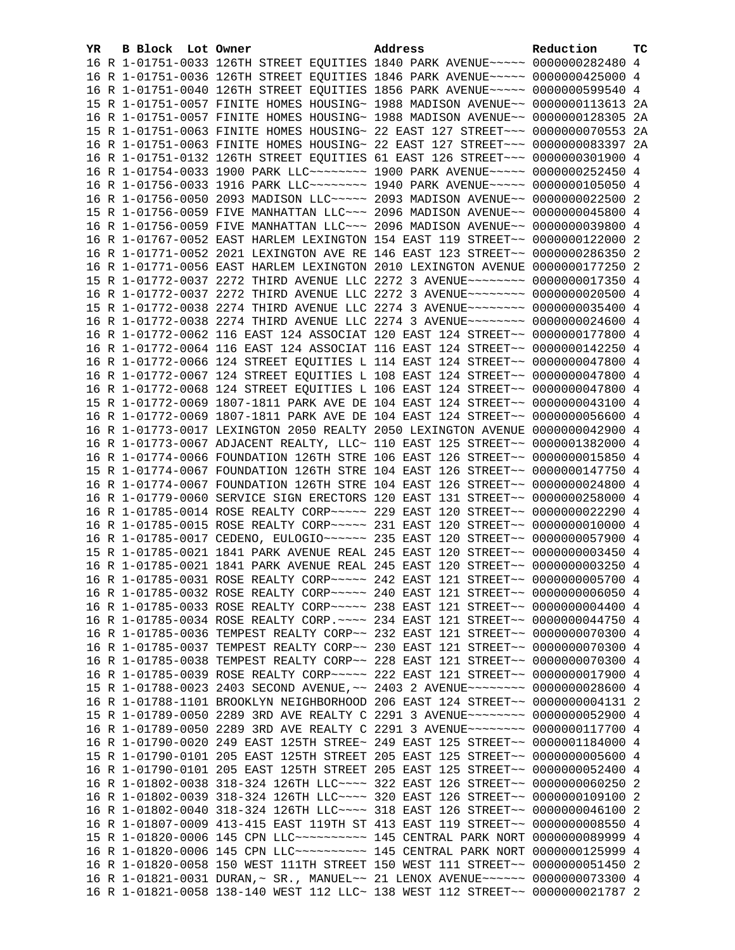| YR | B Block Lot Owner | Address                                                                         | Reduction | ТC |
|----|-------------------|---------------------------------------------------------------------------------|-----------|----|
|    |                   | 16 R 1-01751-0033 126TH STREET EQUITIES 1840 PARK AVENUE~~~~~ 0000000282480 4   |           |    |
|    |                   | 16 R 1-01751-0036 126TH STREET EQUITIES 1846 PARK AVENUE~~~~~ 0000000425000 4   |           |    |
|    |                   | 16 R 1-01751-0040 126TH STREET EQUITIES 1856 PARK AVENUE~~~~~ 0000000599540 4   |           |    |
|    |                   | 15 R 1-01751-0057 FINITE HOMES HOUSING~ 1988 MADISON AVENUE~~ 0000000113613 2A  |           |    |
|    |                   | 16 R 1-01751-0057 FINITE HOMES HOUSING~ 1988 MADISON AVENUE~~ 0000000128305 2A  |           |    |
|    |                   | 15 R 1-01751-0063 FINITE HOMES HOUSING~ 22 EAST 127 STREET~~~ 0000000070553 2A  |           |    |
|    |                   | 16 R 1-01751-0063 FINITE HOMES HOUSING~ 22 EAST 127 STREET~~~ 0000000083397 2A  |           |    |
|    |                   | 16 R 1-01751-0132 126TH STREET EQUITIES 61 EAST 126 STREET~~~ 0000000301900 4   |           |    |
|    |                   | 16 R 1-01754-0033 1900 PARK LLC -------- 1900 PARK AVENUE ---- 0000000252450 4  |           |    |
|    |                   | 16 R 1-01756-0033 1916 PARK LLC -------- 1940 PARK AVENUE ---- 0000000105050 4  |           |    |
|    |                   | 16 R 1-01756-0050 2093 MADISON LLC ~~~~~ 2093 MADISON AVENUE ~~ 0000000022500 2 |           |    |
|    |                   | 15 R 1-01756-0059 FIVE MANHATTAN LLC~~~ 2096 MADISON AVENUE~~ 0000000045800 4   |           |    |
|    |                   | 16 R 1-01756-0059 FIVE MANHATTAN LLC~~~ 2096 MADISON AVENUE~~ 0000000039800 4   |           |    |
|    |                   | 16 R 1-01767-0052 EAST HARLEM LEXINGTON 154 EAST 119 STREET~~ 0000000122000 2   |           |    |
|    |                   | 16 R 1-01771-0052 2021 LEXINGTON AVE RE 146 EAST 123 STREET~~ 0000000286350 2   |           |    |
|    |                   | 16 R 1-01771-0056 EAST HARLEM LEXINGTON 2010 LEXINGTON AVENUE 0000000177250 2   |           |    |
|    |                   | 15 R 1-01772-0037 2272 THIRD AVENUE LLC 2272 3 AVENUE~~~~~~~~ 0000000017350 4   |           |    |
|    |                   | 16 R 1-01772-0037 2272 THIRD AVENUE LLC 2272 3 AVENUE~~~~~~~~ 0000000020500 4   |           |    |
|    |                   | 15 R 1-01772-0038 2274 THIRD AVENUE LLC 2274 3 AVENUE~~~~~~~~ 0000000035400 4   |           |    |
|    |                   | 16 R 1-01772-0038 2274 THIRD AVENUE LLC 2274 3 AVENUE~~~~~~~~ 0000000024600 4   |           |    |
|    |                   | 16 R 1-01772-0062 116 EAST 124 ASSOCIAT 120 EAST 124 STREET~~ 0000000177800 4   |           |    |
|    |                   | 16 R 1-01772-0064 116 EAST 124 ASSOCIAT 116 EAST 124 STREET~~ 0000000142250 4   |           |    |
|    |                   | 16 R 1-01772-0066 124 STREET EQUITIES L 114 EAST 124 STREET~~ 0000000047800 4   |           |    |
|    |                   | 16 R 1-01772-0067 124 STREET EQUITIES L 108 EAST 124 STREET~~ 0000000047800 4   |           |    |
|    |                   | 16 R 1-01772-0068 124 STREET EQUITIES L 106 EAST 124 STREET~~ 0000000047800 4   |           |    |
|    |                   | 15 R 1-01772-0069 1807-1811 PARK AVE DE 104 EAST 124 STREET~~ 0000000043100 4   |           |    |
|    |                   | 16 R 1-01772-0069 1807-1811 PARK AVE DE 104 EAST 124 STREET~~ 0000000056600 4   |           |    |
|    |                   | 16 R 1-01773-0017 LEXINGTON 2050 REALTY 2050 LEXINGTON AVENUE 0000000042900 4   |           |    |
|    |                   | 16 R 1-01773-0067 ADJACENT REALTY, LLC~ 110 EAST 125 STREET~~ 0000001382000 4   |           |    |
|    |                   | 16 R 1-01774-0066 FOUNDATION 126TH STRE 106 EAST 126 STREET~~ 0000000015850 4   |           |    |
|    |                   | 15 R 1-01774-0067 FOUNDATION 126TH STRE 104 EAST 126 STREET~~ 0000000147750 4   |           |    |
|    |                   | 16 R 1-01774-0067 FOUNDATION 126TH STRE 104 EAST 126 STREET~~ 0000000024800 4   |           |    |
|    |                   | 16 R 1-01779-0060 SERVICE SIGN ERECTORS 120 EAST 131 STREET~~ 0000000258000 4   |           |    |
|    |                   | 16 R 1-01785-0014 ROSE REALTY CORP~~~~~ 229 EAST 120 STREET~~ 0000000022290 4   |           |    |
|    |                   | 16 R 1-01785-0015 ROSE REALTY CORP~~~~~ 231 EAST 120 STREET~~ 0000000010000 4   |           |    |
|    |                   | 16 R 1-01785-0017 CEDENO, EULOGIO ~~~~~~ 235 EAST 120 STREET ~~ 0000000057900 4 |           |    |
|    |                   | 15 R 1-01785-0021 1841 PARK AVENUE REAL 245 EAST 120 STREET~~ 0000000003450 4   |           |    |
|    |                   | 16 R 1-01785-0021 1841 PARK AVENUE REAL 245 EAST 120 STREET~~ 0000000003250 4   |           |    |
|    |                   | 16 R 1-01785-0031 ROSE REALTY CORP~~~~~ 242 EAST 121 STREET~~ 0000000005700 4   |           |    |
|    |                   | 16 R 1-01785-0032 ROSE REALTY CORP~~~~~ 240 EAST 121 STREET~~ 00000000006050 4  |           |    |
|    |                   | 16 R 1-01785-0033 ROSE REALTY CORP~~~~~ 238 EAST 121 STREET~~ 0000000004400 4   |           |    |
|    |                   | 16 R 1-01785-0034 ROSE REALTY CORP. ~~~~ 234 EAST 121 STREET~~ 0000000044750 4  |           |    |
|    |                   | 16 R 1-01785-0036 TEMPEST REALTY CORP~~ 232 EAST 121 STREET~~ 0000000070300 4   |           |    |
|    |                   | 16 R 1-01785-0037 TEMPEST REALTY CORP~~ 230 EAST 121 STREET~~ 0000000070300 4   |           |    |
|    |                   | 16 R 1-01785-0038 TEMPEST REALTY CORP~~ 228 EAST 121 STREET~~ 0000000070300 4   |           |    |
|    |                   | 16 R 1-01785-0039 ROSE REALTY CORP~~~~~ 222 EAST 121 STREET~~ 0000000017900 4   |           |    |
|    |                   | 15 R 1-01788-0023 2403 SECOND AVENUE, ~~ 2403 2 AVENUE~~~~~~~~ 0000000028600 4  |           |    |
|    |                   | 16 R 1-01788-1101 BROOKLYN NEIGHBORHOOD 206 EAST 124 STREET~~ 00000000004131 2  |           |    |
|    |                   | 15 R 1-01789-0050 2289 3RD AVE REALTY C 2291 3 AVENUE~~~~~~~~ 0000000052900 4   |           |    |
|    |                   | 16 R 1-01789-0050 2289 3RD AVE REALTY C 2291 3 AVENUE~~~~~~~~ 0000000117700 4   |           |    |
|    |                   | 16 R 1-01790-0020 249 EAST 125TH STREE~ 249 EAST 125 STREET~~ 0000001184000 4   |           |    |
|    |                   | 15 R 1-01790-0101 205 EAST 125TH STREET 205 EAST 125 STREET~~ 00000000005600 4  |           |    |
|    |                   | 16 R 1-01790-0101 205 EAST 125TH STREET 205 EAST 125 STREET~~ 0000000052400 4   |           |    |
|    |                   | 16 R 1-01802-0038 318-324 126TH LLC --- 322 EAST 126 STREET -~ 0000000060250 2  |           |    |
|    |                   | 16 R 1-01802-0039 318-324 126TH LLC~~~~ 320 EAST 126 STREET~~ 0000000109100     |           | 2  |
|    |                   | 16 R 1-01802-0040 318-324 126TH LLC ~~~~ 318 EAST 126 STREET ~~ 0000000046100   |           | -2 |
|    |                   | 16 R 1-01807-0009 413-415 EAST 119TH ST 413 EAST 119 STREET~~ 00000000008550 4  |           |    |
|    |                   | 15 R 1-01820-0006 145 CPN LLC ---------- 145 CENTRAL PARK NORT 0000000089999    |           |    |
|    |                   | 16 R 1-01820-0006 145 CPN LLC ---------- 145 CENTRAL PARK NORT 0000000125999 4  |           | 4  |
|    |                   |                                                                                 |           |    |
|    |                   | 16 R 1-01820-0058 150 WEST 111TH STREET 150 WEST 111 STREET~~ 0000000051450 2   |           |    |
|    |                   | 16 R 1-01821-0031 DURAN, ~ SR., MANUEL~~ 21 LENOX AVENUE~~~~~~ 0000000073300 4  |           |    |
|    |                   | 16 R 1-01821-0058 138-140 WEST 112 LLC~ 138 WEST 112 STREET~~ 0000000021787 2   |           |    |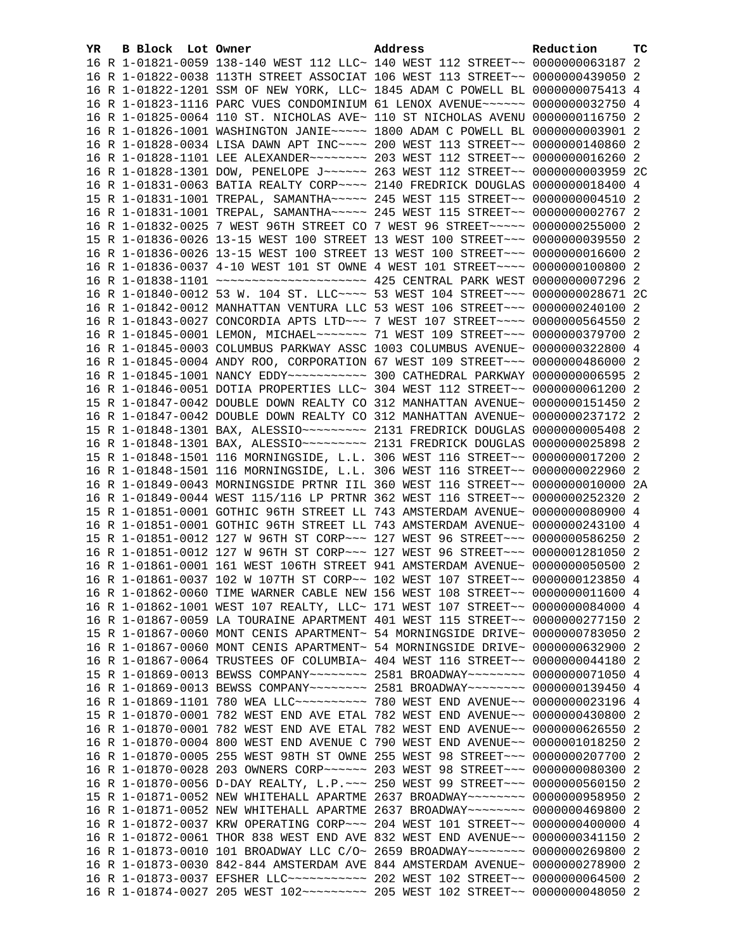| YR. | B Block Lot Owner | Address                                                                                                                                                        | Reduction | тc |
|-----|-------------------|----------------------------------------------------------------------------------------------------------------------------------------------------------------|-----------|----|
|     |                   | 16 R 1-01821-0059 138-140 WEST 112 LLC~ 140 WEST 112 STREET~~ 0000000063187 2                                                                                  |           |    |
|     |                   | 16 R 1-01822-0038 113TH STREET ASSOCIAT 106 WEST 113 STREET~~ 0000000439050 2                                                                                  |           |    |
|     |                   | 16 R 1-01822-1201 SSM OF NEW YORK, LLC~ 1845 ADAM C POWELL BL 0000000075413 4                                                                                  |           |    |
|     |                   | 16 R 1-01823-1116 PARC VUES CONDOMINIUM 61 LENOX AVENUE~~~~~~ 0000000032750 4                                                                                  |           |    |
|     |                   | 16 R 1-01825-0064 110 ST. NICHOLAS AVE~ 110 ST NICHOLAS AVENU 0000000116750 2                                                                                  |           |    |
|     |                   | 16 R 1-01826-1001 WASHINGTON JANIE~~~~~ 1800 ADAM C POWELL BL 0000000003901 2                                                                                  |           |    |
|     |                   | 16 R 1-01828-0034 LISA DAWN APT INC~~~~ 200 WEST 113 STREET~~ 0000000140860 2                                                                                  |           |    |
|     |                   |                                                                                                                                                                |           |    |
|     |                   | 16 R 1-01828-1301 DOW, PENELOPE J ----- 263 WEST 112 STREET -- 0000000003959 2C                                                                                |           |    |
|     |                   | 16 R 1-01831-0063 BATIA REALTY CORP~~~~ 2140 FREDRICK DOUGLAS 0000000018400 4                                                                                  |           |    |
|     |                   | 15 R 1-01831-1001 TREPAL, SAMANTHA~~~~~ 245 WEST 115 STREET~~ 00000000004510 2                                                                                 |           |    |
|     |                   | 16 R 1-01831-1001 TREPAL, SAMANTHA~~~~~ 245 WEST 115 STREET~~ 0000000002767 2                                                                                  |           |    |
|     |                   | 16 R 1-01832-0025 7 WEST 96TH STREET CO 7 WEST 96 STREET~~~~~ 0000000255000 2                                                                                  |           |    |
|     |                   | 15 R 1-01836-0026 13-15 WEST 100 STREET 13 WEST 100 STREET~~~ 0000000039550 2                                                                                  |           |    |
|     |                   | 16 R 1-01836-0026 13-15 WEST 100 STREET 13 WEST 100 STREET~~~ 0000000016600 2                                                                                  |           |    |
|     |                   | 16 R 1-01836-0037 4-10 WEST 101 ST OWNE 4 WEST 101 STREET~~~~ 0000000100800 2                                                                                  |           |    |
|     |                   |                                                                                                                                                                |           |    |
|     |                   | 16 R 1-01840-0012 53 W. 104 ST. LLC --- 53 WEST 104 STREET -- 0000000028671 2C                                                                                 |           |    |
|     |                   | 16 R 1-01842-0012 MANHATTAN VENTURA LLC 53 WEST 106 STREET~~~ 0000000240100 2                                                                                  |           |    |
|     |                   | 16 R 1-01843-0027 CONCORDIA APTS LTD -~~ 7 WEST 107 STREET -~~~ 0000000564550 2                                                                                |           |    |
|     |                   | 16 R 1-01845-0001 LEMON, MICHAEL~~~~~~~ 71 WEST 109 STREET~~~ 0000000379700 2                                                                                  |           |    |
|     |                   | 16 R 1-01845-0003 COLUMBUS PARKWAY ASSC 1003 COLUMBUS AVENUE~ 0000000322800 4                                                                                  |           |    |
|     |                   | 16 R 1-01845-0004 ANDY ROO, CORPORATION 67 WEST 109 STREET~~~ 0000000486000 2                                                                                  |           |    |
|     |                   | 16 R 1-01845-1001 NANCY EDDY ---------- 300 CATHEDRAL PARKWAY 0000000006595 2                                                                                  |           |    |
|     |                   | 16 R 1-01846-0051 DOTIA PROPERTIES LLC~ 304 WEST 112 STREET~~ 0000000061200 2                                                                                  |           |    |
|     |                   | 15 R 1-01847-0042 DOUBLE DOWN REALTY CO 312 MANHATTAN AVENUE~ 0000000151450 2                                                                                  |           |    |
|     |                   | 16 R 1-01847-0042 DOUBLE DOWN REALTY CO 312 MANHATTAN AVENUE~ 0000000237172 2                                                                                  |           |    |
|     |                   |                                                                                                                                                                |           |    |
|     |                   |                                                                                                                                                                |           |    |
|     |                   | 15 R 1-01848-1501 116 MORNINGSIDE, L.L. 306 WEST 116 STREET~~ 0000000017200 2                                                                                  |           |    |
|     |                   | 16 R 1-01848-1501 116 MORNINGSIDE, L.L. 306 WEST 116 STREET~~ 0000000022960 2                                                                                  |           |    |
|     |                   | 16 R 1-01849-0043 MORNINGSIDE PRTNR IIL 360 WEST 116 STREET~~ 0000000010000 2A                                                                                 |           |    |
|     |                   | 16 R 1-01849-0044 WEST 115/116 LP PRTNR 362 WEST 116 STREET~~ 0000000252320 2                                                                                  |           |    |
|     |                   | 15 R 1-01851-0001 GOTHIC 96TH STREET LL 743 AMSTERDAM AVENUE~ 0000000080900 4                                                                                  |           |    |
|     |                   | 16 R 1-01851-0001 GOTHIC 96TH STREET LL 743 AMSTERDAM AVENUE~ 0000000243100 4                                                                                  |           |    |
|     |                   | 15 R 1-01851-0012 127 W 96TH ST CORP~~~ 127 WEST 96 STREET~~~ 0000000586250 2                                                                                  |           |    |
|     |                   | 16 R 1-01851-0012 127 W 96TH ST CORP~~~ 127 WEST 96 STREET~~~ 0000001281050 2                                                                                  |           |    |
|     |                   | 16 R 1-01861-0001 161 WEST 106TH STREET 941 AMSTERDAM AVENUE~ 0000000050500 2                                                                                  |           |    |
|     |                   | 16 R 1-01861-0037 102 W 107TH ST CORP~~ 102 WEST 107 STREET~~ 0000000123850 4                                                                                  |           |    |
|     |                   | 16 R 1-01862-0060 TIME WARNER CABLE NEW 156 WEST 108 STREET~~ 0000000011600 4                                                                                  |           |    |
|     |                   | 16 R 1-01862-1001 WEST 107 REALTY, LLC~ 171 WEST 107 STREET~~ 0000000084000 4                                                                                  |           |    |
|     |                   | 16 R 1-01867-0059 LA TOURAINE APARTMENT 401 WEST 115 STREET~~ 0000000277150 2                                                                                  |           |    |
|     |                   | 15 R 1-01867-0060 MONT CENIS APARTMENT~ 54 MORNINGSIDE DRIVE~ 0000000783050 2<br>16 R 1-01867-0060 MONT CENIS APARTMENT~ 54 MORNINGSIDE DRIVE~ 0000000632900 2 |           |    |
|     |                   | 16 R 1-01867-0064 TRUSTEES OF COLUMBIA~ 404 WEST 116 STREET~~ 0000000044180 2                                                                                  |           |    |
|     |                   | 15 R 1-01869-0013 BEWSS COMPANY~~~~~~~~ 2581 BROADWAY~~~~~~~~ 0000000071050 4                                                                                  |           |    |
|     |                   | 16 R 1-01869-0013 BEWSS COMPANY~~~~~~~~ 2581 BROADWAY~~~~~~~~ 0000000139450 4                                                                                  |           |    |
|     |                   | 16 R 1-01869-1101 780 WEA LLC~~~~~~~~~~~~~~~ 780 WEST END AVENUE~~ 0000000023196 4                                                                             |           |    |
|     |                   | 15 R 1-01870-0001 782 WEST END AVE ETAL 782 WEST END AVENUE~~ 0000000430800 2                                                                                  |           |    |
|     |                   | 16 R 1-01870-0001 782 WEST END AVE ETAL 782 WEST END AVENUE~~ 0000000626550 2                                                                                  |           |    |
|     |                   | 16 R 1-01870-0004 800 WEST END AVENUE C 790 WEST END AVENUE~~ 0000001018250 2                                                                                  |           |    |
|     |                   | 16 R 1-01870-0005 255 WEST 98TH ST OWNE 255 WEST 98 STREET~~~ 0000000207700 2                                                                                  |           |    |
|     |                   | 16 R 1-01870-0028 203 OWNERS CORP~~~~~~ 203 WEST 98 STREET~~~ 0000000080300 2                                                                                  |           |    |
|     |                   | 16 R 1-01870-0056 D-DAY REALTY, L.P. ~~~ 250 WEST 99 STREET~~~ 0000000560150 2                                                                                 |           |    |
|     |                   | 15 R 1-01871-0052 NEW WHITEHALL APARTME 2637 BROADWAY~~~~~~~~ 0000000958950 2                                                                                  |           |    |
|     |                   | 16 R 1-01871-0052 NEW WHITEHALL APARTME 2637 BROADWAY~~~~~~~~ 0000000469800 2                                                                                  |           |    |
|     |                   | 16 R 1-01872-0037 KRW OPERATING CORP~~~ 204 WEST 101 STREET~~ 0000000400000 4                                                                                  |           |    |
|     |                   | 16 R 1-01872-0061 THOR 838 WEST END AVE 832 WEST END AVENUE~~ 0000000341150 2                                                                                  |           |    |
|     |                   | 16 R 1-01873-0010 101 BROADWAY LLC C/O~ 2659 BROADWAY~~~~~~~~ 0000000269800 2                                                                                  |           |    |
|     |                   | 16 R 1-01873-0030 842-844 AMSTERDAM AVE 844 AMSTERDAM AVENUE~ 0000000278900 2                                                                                  |           |    |
|     |                   | 16 R 1-01873-0037 EFSHER LLC ----------- 202 WEST 102 STREET -~ 0000000064500 2                                                                                |           |    |
|     |                   | 16 R 1-01874-0027 205 WEST 102 -------- 205 WEST 102 STREET ~~ 0000000048050 2                                                                                 |           |    |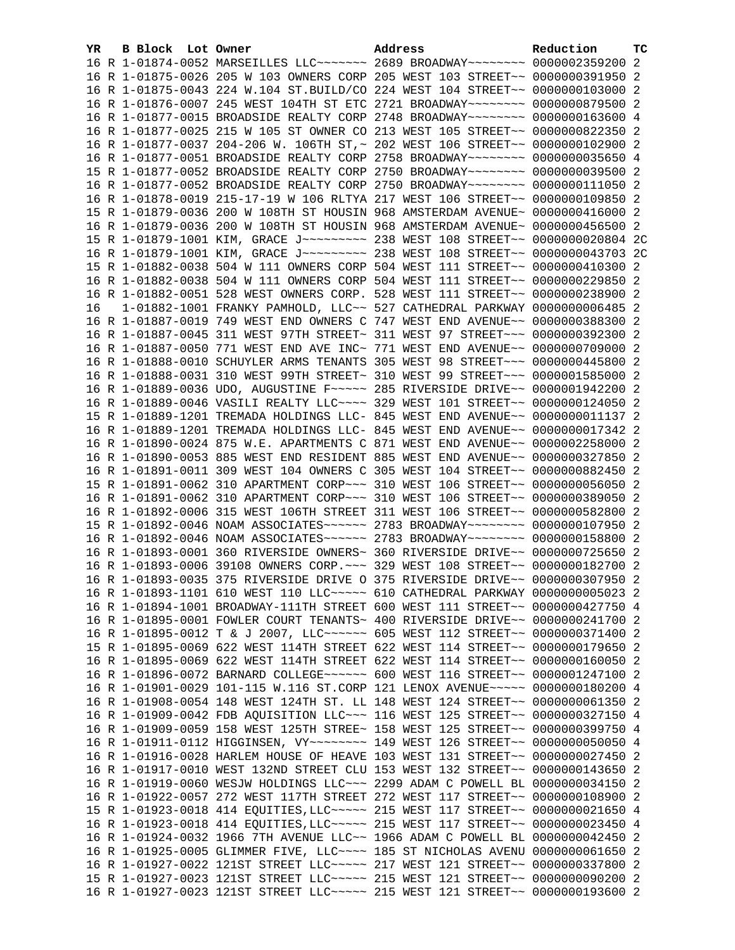| YR. | B Block Lot Owner | Address                                                                                                                                                         | Reduction | тc |
|-----|-------------------|-----------------------------------------------------------------------------------------------------------------------------------------------------------------|-----------|----|
|     |                   | 16 R 1-01874-0052 MARSEILLES LLC ------ 2689 BROADWAY ------- 0000002359200 2                                                                                   |           |    |
|     |                   | 16 R 1-01875-0026 205 W 103 OWNERS CORP 205 WEST 103 STREET~~ 0000000391950 2                                                                                   |           |    |
|     |                   | 16 R 1-01875-0043 224 W.104 ST.BUILD/CO 224 WEST 104 STREET~~ 0000000103000 2                                                                                   |           |    |
|     |                   | 16 R 1-01876-0007 245 WEST 104TH ST ETC 2721 BROADWAY~~~~~~~~ 0000000879500 2                                                                                   |           |    |
|     |                   | 16 R 1-01877-0015 BROADSIDE REALTY CORP 2748 BROADWAY~~~~~~~~ 0000000163600 4                                                                                   |           |    |
|     |                   | 16 R 1-01877-0025 215 W 105 ST OWNER CO 213 WEST 105 STREET~~ 0000000822350 2                                                                                   |           |    |
|     |                   | 16 R 1-01877-0037 204-206 W. 106TH ST, ~ 202 WEST 106 STREET~~ 0000000102900 2                                                                                  |           |    |
|     |                   | 16 R 1-01877-0051 BROADSIDE REALTY CORP 2758 BROADWAY~~~~~~~~ 0000000035650 4                                                                                   |           |    |
|     |                   | 15 R 1-01877-0052 BROADSIDE REALTY CORP 2750 BROADWAY~~~~~~~~ 0000000039500 2                                                                                   |           |    |
|     |                   | 16 R 1-01877-0052 BROADSIDE REALTY CORP 2750 BROADWAY~~~~~~~~ 0000000111050 2                                                                                   |           |    |
|     |                   | 16 R 1-01878-0019 215-17-19 W 106 RLTYA 217 WEST 106 STREET~~ 0000000109850                                                                                     |           | -2 |
|     |                   | 15 R 1-01879-0036 200 W 108TH ST HOUSIN 968 AMSTERDAM AVENUE~ 0000000416000 2                                                                                   |           |    |
|     |                   | 16 R 1-01879-0036 200 W 108TH ST HOUSIN 968 AMSTERDAM AVENUE~ 0000000456500 2                                                                                   |           |    |
|     |                   | 15 R 1-01879-1001 KIM, GRACE J~~~~~~~~~ 238 WEST 108 STREET~~ 0000000020804 2C                                                                                  |           |    |
|     |                   | 16 R 1-01879-1001 KIM, GRACE J~~~~~~~~~ 238 WEST 108 STREET~~ 0000000043703 2C                                                                                  |           |    |
|     |                   | 15 R 1-01882-0038 504 W 111 OWNERS CORP 504 WEST 111 STREET~~ 0000000410300 2                                                                                   |           |    |
|     |                   | 16 R 1-01882-0038 504 W 111 OWNERS CORP 504 WEST 111 STREET~~ 0000000229850 2                                                                                   |           |    |
|     |                   | 16 R 1-01882-0051 528 WEST OWNERS CORP. 528 WEST 111 STREET~~ 0000000238900 2                                                                                   |           |    |
| 16  |                   | $1-01882-1001$ FRANKY PAMHOLD, LLC $\sim$ 527 CATHEDRAL PARKWAY 0000000006485 2                                                                                 |           |    |
|     |                   | 16 R 1-01887-0019 749 WEST END OWNERS C 747 WEST END AVENUE~~ 0000000388300 2                                                                                   |           |    |
|     |                   | 16 R 1-01887-0045 311 WEST 97TH STREET~ 311 WEST 97 STREET~~~ 0000000392300 2                                                                                   |           |    |
|     |                   | 16 R 1-01887-0050 771 WEST END AVE INC~ 771 WEST END AVENUE~~ 0000000709000 2                                                                                   |           |    |
|     |                   | 16 R 1-01888-0010 SCHUYLER ARMS TENANTS 305 WEST 98 STREET~~~ 0000000445800 2                                                                                   |           |    |
|     |                   | 16 R 1-01888-0031 310 WEST 99TH STREET~ 310 WEST 99 STREET~~~ 0000001585000 2                                                                                   |           |    |
|     |                   | 16 R 1-01889-0036 UDO, AUGUSTINE F~~~~~ 285 RIVERSIDE DRIVE~~ 0000001942200 2                                                                                   |           |    |
|     |                   | 16 R 1-01889-0046 VASILI REALTY LLC --- 329 WEST 101 STREET -- 0000000124050 2                                                                                  |           |    |
|     |                   | 15 R 1-01889-1201 TREMADA HOLDINGS LLC- 845 WEST END AVENUE~~ 0000000011137 2                                                                                   |           |    |
|     |                   | 16 R 1-01889-1201 TREMADA HOLDINGS LLC- 845 WEST END AVENUE~~ 0000000017342                                                                                     |           | -2 |
|     |                   | 16 R 1-01890-0024 875 W.E. APARTMENTS C 871 WEST END AVENUE~~ 0000002258000 2                                                                                   |           |    |
|     |                   | 16 R 1-01890-0053 885 WEST END RESIDENT 885 WEST END AVENUE~~ 0000000327850 2                                                                                   |           |    |
|     |                   | 16 R 1-01891-0011 309 WEST 104 OWNERS C 305 WEST 104 STREET~~ 0000000882450 2                                                                                   |           |    |
|     |                   | 15 R 1-01891-0062 310 APARTMENT CORP~~~ 310 WEST 106 STREET~~ 0000000056050 2                                                                                   |           |    |
|     |                   | 16 R 1-01891-0062 310 APARTMENT CORP~~~ 310 WEST 106 STREET~~ 0000000389050                                                                                     |           | -2 |
|     |                   | 16 R 1-01892-0006 315 WEST 106TH STREET 311 WEST 106 STREET~~ 0000000582800                                                                                     |           | -2 |
|     |                   | 15 R 1-01892-0046 NOAM ASSOCIATES~~~~~~ 2783 BROADWAY~~~~~~~~ 0000000107950 2                                                                                   |           |    |
|     |                   | 16 R 1-01892-0046 NOAM ASSOCIATES~~~~~~ 2783 BROADWAY~~~~~~~~ 0000000158800 2                                                                                   |           |    |
|     |                   | 16 R 1-01893-0001 360 RIVERSIDE OWNERS~ 360 RIVERSIDE DRIVE~~ 0000000725650 2<br>16 R 1-01893-0006 39108 OWNERS CORP. ~~~ 329 WEST 108 STREET~~ 0000000182700 2 |           |    |
|     |                   | 16 R 1-01893-0035 375 RIVERSIDE DRIVE O 375 RIVERSIDE DRIVE~~ 0000000307950 2                                                                                   |           |    |
|     |                   | 16 R 1-01893-1101 610 WEST 110 LLC ~~~~~ 610 CATHEDRAL PARKWAY 0000000005023 2                                                                                  |           |    |
|     |                   | 16 R 1-01894-1001 BROADWAY-111TH STREET 600 WEST 111 STREET~~ 0000000427750 4                                                                                   |           |    |
|     |                   | 16 R 1-01895-0001 FOWLER COURT TENANTS~ 400 RIVERSIDE DRIVE~~ 0000000241700 2                                                                                   |           |    |
|     |                   | 16 R 1-01895-0012 T & J 2007, LLC ------ 605 WEST 112 STREET -~ 0000000371400 2                                                                                 |           |    |
|     |                   | 15 R 1-01895-0069 622 WEST 114TH STREET 622 WEST 114 STREET~~ 0000000179650 2                                                                                   |           |    |
|     |                   | 16 R 1-01895-0069 622 WEST 114TH STREET 622 WEST 114 STREET~~ 0000000160050 2                                                                                   |           |    |
|     |                   | 16 R 1-01896-0072 BARNARD COLLEGE~~~~~~ 600 WEST 116 STREET~~ 0000001247100                                                                                     |           | -2 |
|     |                   | 16 R 1-01901-0029 101-115 W.116 ST.CORP 121 LENOX AVENUE~~~~~ 0000000180200 4                                                                                   |           |    |
|     |                   | 16 R 1-01908-0054 148 WEST 124TH ST. LL 148 WEST 124 STREET~~ 0000000061350 2                                                                                   |           |    |
|     |                   | 16 R 1-01909-0042 FDB AQUISITION LLC ~~~ 116 WEST 125 STREET ~~ 0000000327150 4                                                                                 |           |    |
|     |                   | 16 R 1-01909-0059 158 WEST 125TH STREE~ 158 WEST 125 STREET~~ 0000000399750 4                                                                                   |           |    |
|     |                   | 16 R 1-01911-0112 HIGGINSEN, VY ~~~~~~~~~ 149 WEST 126 STREET ~~ 0000000050050 4                                                                                |           |    |
|     |                   | 16 R 1-01916-0028 HARLEM HOUSE OF HEAVE 103 WEST 131 STREET~~ 0000000027450                                                                                     |           | -2 |
|     |                   | 16 R 1-01917-0010 WEST 132ND STREET CLU 153 WEST 132 STREET~~ 0000000143650 2                                                                                   |           |    |
|     |                   | 16 R 1-01919-0060 WESJW HOLDINGS LLC~~~ 2299 ADAM C POWELL BL 0000000034150                                                                                     |           | -2 |
|     |                   | 16 R 1-01922-0057 272 WEST 117TH STREET 272 WEST 117 STREET~~ 0000000108900 2                                                                                   |           |    |
|     |                   | 15 R 1-01923-0018 414 EQUITIES, LLC ~~~~~ 215 WEST 117 STREET ~~ 0000000021650 4                                                                                |           |    |
|     |                   | 16 R 1-01923-0018 414 EQUITIES, LLC ~~~~~ 215 WEST 117 STREET ~~ 0000000023450                                                                                  |           | 4  |
|     |                   | 16 R 1-01924-0032 1966 7TH AVENUE LLC~~ 1966 ADAM C POWELL BL 0000000042450 2                                                                                   |           |    |
|     |                   | 16 R 1-01925-0005 GLIMMER FIVE, LLC ~~~~ 185 ST NICHOLAS AVENU 0000000061650                                                                                    |           | -2 |
|     |                   | 16 R 1-01927-0022 121ST STREET LLC ---- 217 WEST 121 STREET -~ 0000000337800 2                                                                                  |           |    |
|     |                   | 15 R 1-01927-0023 121ST STREET LLC ~~~~~ 215 WEST 121 STREET ~~ 0000000090200 2                                                                                 |           |    |
|     |                   | 16 R 1-01927-0023 121ST STREET LLC ~~~~~ 215 WEST 121 STREET ~~ 0000000193600 2                                                                                 |           |    |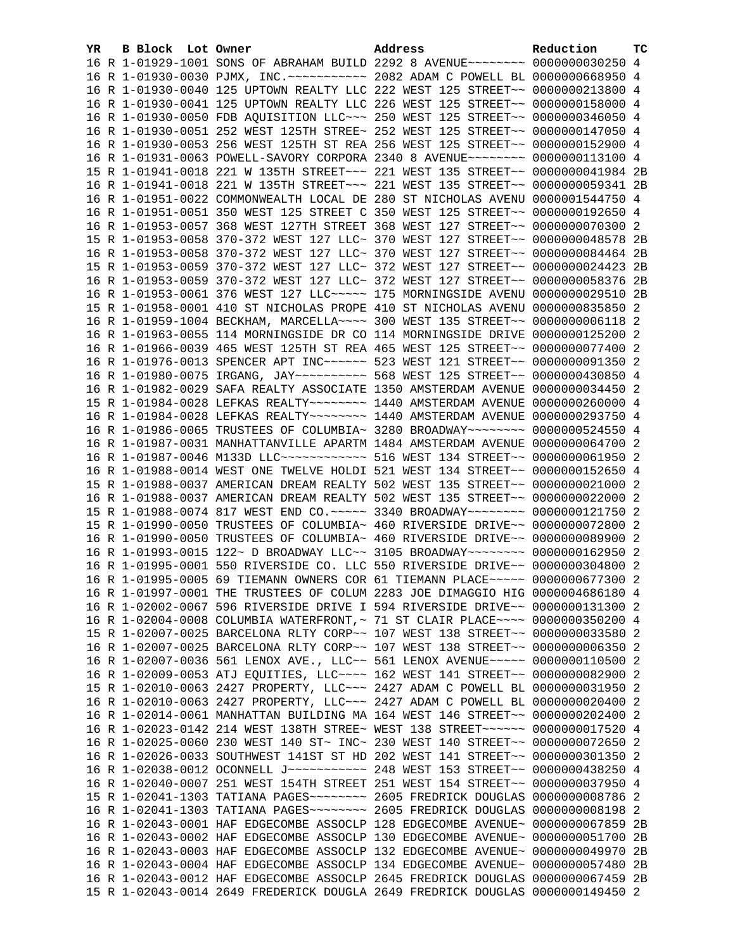| YR. | B Block Lot Owner | Address                                                                                                                                                         | Reduction | тc |
|-----|-------------------|-----------------------------------------------------------------------------------------------------------------------------------------------------------------|-----------|----|
|     |                   | 16 R 1-01929-1001 SONS OF ABRAHAM BUILD 2292 8 AVENUE~~~~~~~~ 0000000030250 4                                                                                   |           |    |
|     |                   | 16 R 1-01930-0030 PJMX, INC. ---------- 2082 ADAM C POWELL BL 0000000668950 4                                                                                   |           |    |
|     |                   | 16 R 1-01930-0040 125 UPTOWN REALTY LLC 222 WEST 125 STREET~~ 0000000213800 4                                                                                   |           |    |
|     |                   | 16 R 1-01930-0041 125 UPTOWN REALTY LLC 226 WEST 125 STREET~~ 0000000158000 4                                                                                   |           |    |
|     |                   | 16 R 1-01930-0050 FDB AQUISITION LLC ~~~ 250 WEST 125 STREET ~~ 0000000346050 4                                                                                 |           |    |
|     |                   | 16 R 1-01930-0051 252 WEST 125TH STREE~ 252 WEST 125 STREET~~ 0000000147050 4                                                                                   |           |    |
|     |                   | 16 R 1-01930-0053 256 WEST 125TH ST REA 256 WEST 125 STREET~~ 0000000152900 4                                                                                   |           |    |
|     |                   | 16 R 1-01931-0063 POWELL-SAVORY CORPORA 2340 8 AVENUE~~~~~~~~ 0000000113100 4                                                                                   |           |    |
|     |                   | 15 R 1-01941-0018 221 W 135TH STREET~~~ 221 WEST 135 STREET~~ 0000000041984 2B                                                                                  |           |    |
|     |                   | 16 R 1-01941-0018 221 W 135TH STREET~~~ 221 WEST 135 STREET~~ 0000000059341 2B                                                                                  |           |    |
|     |                   | 16 R 1-01951-0022 COMMONWEALTH LOCAL DE 280 ST NICHOLAS AVENU 0000001544750 4                                                                                   |           |    |
|     |                   | 16 R 1-01951-0051 350 WEST 125 STREET C 350 WEST 125 STREET~~ 0000000192650 4                                                                                   |           |    |
|     |                   | 16 R 1-01953-0057 368 WEST 127TH STREET 368 WEST 127 STREET~~ 0000000070300 2                                                                                   |           |    |
|     |                   | 15 R 1-01953-0058 370-372 WEST 127 LLC~ 370 WEST 127 STREET~~ 0000000048578 2B                                                                                  |           |    |
|     |                   | 16 R 1-01953-0058 370-372 WEST 127 LLC~ 370 WEST 127 STREET~~ 0000000084464 2B                                                                                  |           |    |
|     |                   | 15 R 1-01953-0059 370-372 WEST 127 LLC~ 372 WEST 127 STREET~~ 0000000024423 2B                                                                                  |           |    |
|     |                   | 16 R 1-01953-0059 370-372 WEST 127 LLC~ 372 WEST 127 STREET~~ 0000000058376 2B                                                                                  |           |    |
|     |                   | 16 R 1-01953-0061 376 WEST 127 LLC ~~~~~ 175 MORNINGSIDE AVENU 0000000029510 2B                                                                                 |           |    |
|     |                   | 15 R 1-01958-0001 410 ST NICHOLAS PROPE 410 ST NICHOLAS AVENU 0000000835850 2                                                                                   |           |    |
|     |                   | 16 R 1-01959-1004 BECKHAM, MARCELLA~~~~ 300 WEST 135 STREET~~ 00000000006118 2                                                                                  |           |    |
|     |                   | 16 R 1-01963-0055 114 MORNINGSIDE DR CO 114 MORNINGSIDE DRIVE 0000000125200 2                                                                                   |           |    |
|     |                   | 16 R 1-01966-0039 465 WEST 125TH ST REA 465 WEST 125 STREET~~ 0000000077400 2                                                                                   |           |    |
|     |                   | 16 R 1-01976-0013 SPENCER APT INC~~~~~~ 523 WEST 121 STREET~~ 0000000091350 2                                                                                   |           |    |
|     |                   | 16 R 1-01980-0075 IRGANG, JAY ~~~~~~~~~~~~~~~ 568 WEST 125 STREET ~~ 0000000430850 4                                                                            |           |    |
|     |                   | 16 R 1-01982-0029 SAFA REALTY ASSOCIATE 1350 AMSTERDAM AVENUE 0000000034450 2                                                                                   |           |    |
|     |                   | 15 R 1-01984-0028 LEFKAS REALTY~~~~~~~~ 1440 AMSTERDAM AVENUE 0000000260000 4                                                                                   |           |    |
|     |                   | 16 R 1-01984-0028 LEFKAS REALTY~~~~~~~~ 1440 AMSTERDAM AVENUE 0000000293750 4                                                                                   |           |    |
|     |                   | 16 R 1-01986-0065 TRUSTEES OF COLUMBIA~ 3280 BROADWAY~~~~~~~~ 0000000524550 4                                                                                   |           |    |
|     |                   |                                                                                                                                                                 |           |    |
|     |                   | 16 R 1-01987-0031 MANHATTANVILLE APARTM 1484 AMSTERDAM AVENUE 0000000064700 2                                                                                   |           |    |
|     |                   | 16 R 1-01987-0046 M133D LLC~~~~~~~~~~~~~~ 516 WEST 134 STREET~~ 0000000061950 2                                                                                 |           |    |
|     |                   | 16 R 1-01988-0014 WEST ONE TWELVE HOLDI 521 WEST 134 STREET~~ 0000000152650 4                                                                                   |           |    |
|     |                   | 15 R 1-01988-0037 AMERICAN DREAM REALTY 502 WEST 135 STREET~~ 0000000021000 2                                                                                   |           |    |
|     |                   | 16 R 1-01988-0037 AMERICAN DREAM REALTY 502 WEST 135 STREET~~ 0000000022000 2                                                                                   |           |    |
|     |                   | 15 R 1-01988-0074 817 WEST END CO. ~~~~~ 3340 BROADWAY~~~~~~~~ 0000000121750 2                                                                                  |           |    |
|     |                   | 15 R 1-01990-0050 TRUSTEES OF COLUMBIA~ 460 RIVERSIDE DRIVE~~ 0000000072800 2                                                                                   |           |    |
|     |                   | 16 R 1-01990-0050 TRUSTEES OF COLUMBIA~ 460 RIVERSIDE DRIVE~~ 0000000089900 2                                                                                   |           |    |
|     |                   | 16 R 1-01993-0015 122~ D BROADWAY LLC~~ 3105 BROADWAY~~~~~~~~~ 0000000162950 2<br>16 R 1-01995-0001 550 RIVERSIDE CO. LLC 550 RIVERSIDE DRIVE~~ 0000000304800 2 |           |    |
|     |                   |                                                                                                                                                                 |           |    |
|     |                   | 16 R 1-01995-0005 69 TIEMANN OWNERS COR 61 TIEMANN PLACE~~~~~ 0000000677300 2                                                                                   |           |    |
|     |                   | 16 R 1-01997-0001 THE TRUSTEES OF COLUM 2283 JOE DIMAGGIO HIG 0000004686180 4                                                                                   |           |    |
|     |                   | 16 R 1-02002-0067 596 RIVERSIDE DRIVE I 594 RIVERSIDE DRIVE~~ 0000000131300 2                                                                                   |           |    |
|     |                   | 16 R 1-02004-0008 COLUMBIA WATERFRONT, ~ 71 ST CLAIR PLACE ~~~~ 0000000350200 4                                                                                 |           |    |
|     |                   | 15 R 1-02007-0025 BARCELONA RLTY CORP~~ 107 WEST 138 STREET~~ 0000000033580 2                                                                                   |           |    |
|     |                   | 16 R 1-02007-0025 BARCELONA RLTY CORP~~ 107 WEST 138 STREET~~ 0000000006350 2                                                                                   |           |    |
|     |                   | 16 R 1-02007-0036 561 LENOX AVE., LLC~~ 561 LENOX AVENUE~~~~~ 0000000110500 2                                                                                   |           |    |
|     |                   | 16 R 1-02009-0053 ATJ EQUITIES, LLC ~~~~ 162 WEST 141 STREET ~~ 0000000082900 2                                                                                 |           |    |
|     |                   | 15 R 1-02010-0063 2427 PROPERTY, LLC~~~ 2427 ADAM C POWELL BL 0000000031950 2                                                                                   |           |    |
|     |                   | 16 R 1-02010-0063 2427 PROPERTY, LLC ~~~ 2427 ADAM C POWELL BL 0000000020400 2                                                                                  |           |    |
|     |                   | 16 R 1-02014-0061 MANHATTAN BUILDING MA 164 WEST 146 STREET~~ 0000000202400 2                                                                                   |           |    |
|     |                   | 16 R 1-02023-0142 214 WEST 138TH STREE~ WEST 138 STREET~~~~~~ 0000000017520 4                                                                                   |           |    |
|     |                   | 16 R 1-02025-0060 230 WEST 140 ST~ INC~ 230 WEST 140 STREET~~ 0000000072650 2                                                                                   |           |    |
|     |                   | 16 R 1-02026-0033 SOUTHWEST 141ST ST HD 202 WEST 141 STREET~~ 0000000301350 2                                                                                   |           |    |
|     |                   | 16 R 1-02038-0012 OCONNELL J ----------- 248 WEST 153 STREET -~ 0000000438250 4                                                                                 |           |    |
|     |                   | 16 R 1-02040-0007 251 WEST 154TH STREET 251 WEST 154 STREET~~ 0000000037950 4                                                                                   |           |    |
|     |                   | 15 R 1-02041-1303 TATIANA PAGES~~~~~~~~ 2605 FREDRICK DOUGLAS 0000000008786 2                                                                                   |           |    |
|     |                   |                                                                                                                                                                 |           |    |
|     |                   | 16 R 1-02043-0001 HAF EDGECOMBE ASSOCLP 128 EDGECOMBE AVENUE~ 0000000067859                                                                                     |           | 2B |
|     |                   | 16 R 1-02043-0002 HAF EDGECOMBE ASSOCLP 130 EDGECOMBE AVENUE~ 0000000051700                                                                                     |           | 2B |
|     |                   | 16 R 1-02043-0003 HAF EDGECOMBE ASSOCLP 132 EDGECOMBE AVENUE~ 0000000049970 2B                                                                                  |           |    |
|     |                   | 16 R 1-02043-0004 HAF EDGECOMBE ASSOCLP 134 EDGECOMBE AVENUE~ 0000000057480 2B                                                                                  |           |    |
|     |                   | 16 R 1-02043-0012 HAF EDGECOMBE ASSOCLP 2645 FREDRICK DOUGLAS 0000000067459 2B                                                                                  |           |    |
|     |                   | 15 R 1-02043-0014 2649 FREDERICK DOUGLA 2649 FREDRICK DOUGLAS 0000000149450 2                                                                                   |           |    |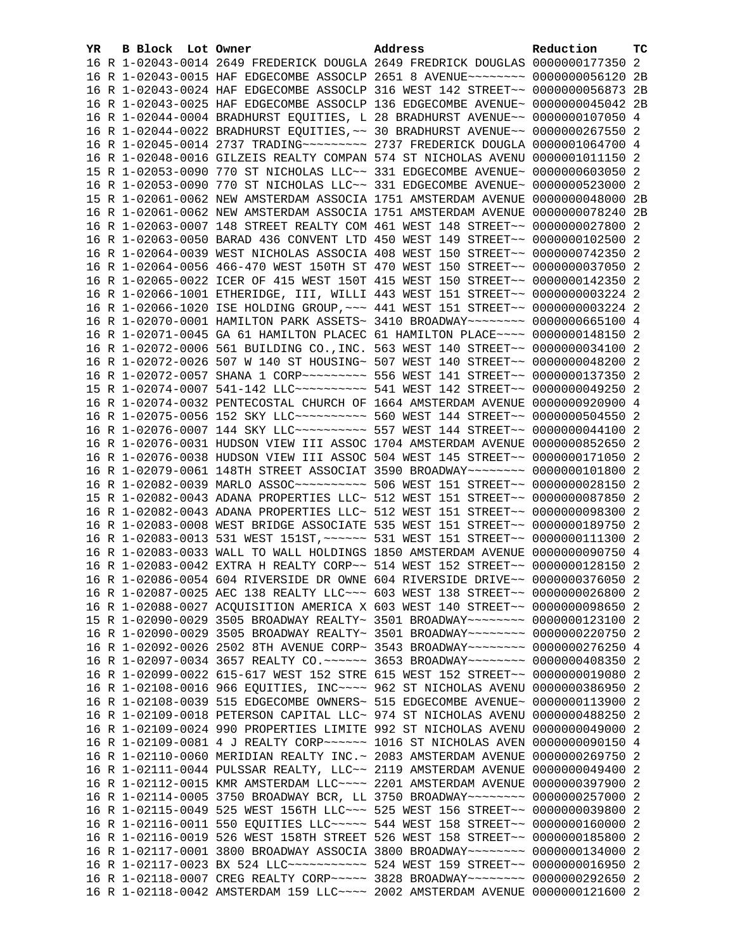| YR. | B Block Lot Owner |  | Address                                                                            | Reduction | тc |
|-----|-------------------|--|------------------------------------------------------------------------------------|-----------|----|
|     |                   |  | 16 R 1-02043-0014 2649 FREDERICK DOUGLA 2649 FREDRICK DOUGLAS 0000000177350 2      |           |    |
|     |                   |  | 16 R 1-02043-0015 HAF EDGECOMBE ASSOCLP 2651 8 AVENUE~~~~~~~~ 0000000056120        |           | 2B |
|     |                   |  | 16 R 1-02043-0024 HAF EDGECOMBE ASSOCLP 316 WEST 142 STREET~~ 0000000056873 2B     |           |    |
|     |                   |  | 16 R 1-02043-0025 HAF EDGECOMBE ASSOCLP 136 EDGECOMBE AVENUE~ 0000000045042 2B     |           |    |
|     |                   |  | 16 R 1-02044-0004 BRADHURST EQUITIES, L 28 BRADHURST AVENUE~~ 0000000107050 4      |           |    |
|     |                   |  | 16 R 1-02044-0022 BRADHURST EQUITIES, ~~ 30 BRADHURST AVENUE~~ 0000000267550 2     |           |    |
|     |                   |  |                                                                                    |           |    |
|     |                   |  | 16 R 1-02048-0016 GILZEIS REALTY COMPAN 574 ST NICHOLAS AVENU 0000001011150 2      |           |    |
|     |                   |  | 15 R 1-02053-0090 770 ST NICHOLAS LLC~~ 331 EDGECOMBE AVENUE~ 0000000603050 2      |           |    |
|     |                   |  | 16 R 1-02053-0090 770 ST NICHOLAS LLC~~ 331 EDGECOMBE AVENUE~ 0000000523000 2      |           |    |
|     |                   |  | 15 R 1-02061-0062 NEW AMSTERDAM ASSOCIA 1751 AMSTERDAM AVENUE 0000000048000 2B     |           |    |
|     |                   |  | 16 R 1-02061-0062 NEW AMSTERDAM ASSOCIA 1751 AMSTERDAM AVENUE 0000000078240 2B     |           |    |
|     |                   |  | 16 R 1-02063-0007 148 STREET REALTY COM 461 WEST 148 STREET~~ 0000000027800 2      |           |    |
|     |                   |  | 16 R 1-02063-0050 BARAD 436 CONVENT LTD 450 WEST 149 STREET~~ 0000000102500 2      |           |    |
|     |                   |  | 16 R 1-02064-0039 WEST NICHOLAS ASSOCIA 408 WEST 150 STREET~~ 0000000742350 2      |           |    |
|     |                   |  | 16 R 1-02064-0056 466-470 WEST 150TH ST 470 WEST 150 STREET~~ 0000000037050 2      |           |    |
|     |                   |  | 16 R 1-02065-0022 ICER OF 415 WEST 150T 415 WEST 150 STREET~~ 0000000142350 2      |           |    |
|     |                   |  | 16 R 1-02066-1001 ETHERIDGE, III, WILLI 443 WEST 151 STREET~~ 0000000003224 2      |           |    |
|     |                   |  | 16 R 1-02066-1020 ISE HOLDING GROUP, ~~~ 441 WEST 151 STREET~~ 00000000003224 2    |           |    |
|     |                   |  | 16 R 1-02070-0001 HAMILTON PARK ASSETS~ 3410 BROADWAY~~~~~~~~ 0000000665100 4      |           |    |
|     |                   |  | 16 R 1-02071-0045 GA 61 HAMILTON PLACEC 61 HAMILTON PLACE~~~~ 0000000148150 2      |           |    |
|     |                   |  | 16 R 1-02072-0006 561 BUILDING CO., INC. 563 WEST 140 STREET~~ 0000000034100 2     |           |    |
|     |                   |  | 16 R 1-02072-0026 507 W 140 ST HOUSING~ 507 WEST 140 STREET~~ 0000000048200 2      |           |    |
|     |                   |  |                                                                                    |           |    |
|     |                   |  | 15 R 1-02074-0007 541-142 LLC ---------- 541 WEST 142 STREET -~ 0000000049250 2    |           |    |
|     |                   |  | 16 R 1-02074-0032 PENTECOSTAL CHURCH OF 1664 AMSTERDAM AVENUE 0000000920900 4      |           |    |
|     |                   |  | 16 R 1-02075-0056 152 SKY LLC ---------- 560 WEST 144 STREET -~ 0000000504550 2    |           |    |
|     |                   |  | 16 R 1-02076-0007 144 SKY LLC ---------- 557 WEST 144 STREET -~ 0000000044100 2    |           |    |
|     |                   |  | 16 R 1-02076-0031 HUDSON VIEW III ASSOC 1704 AMSTERDAM AVENUE 0000000852650 2      |           |    |
|     |                   |  | 16 R 1-02076-0038 HUDSON VIEW III ASSOC 504 WEST 145 STREET~~ 0000000171050 2      |           |    |
|     |                   |  | 16 R 1-02079-0061 148TH STREET ASSOCIAT 3590 BROADWAY~~~~~~~~ 0000000101800 2      |           |    |
|     |                   |  | 16 R 1-02082-0039 MARLO ASSOC~~~~~~~~~~~~~~~ 506 WEST 151 STREET~~ 0000000028150 2 |           |    |
|     |                   |  | 15 R 1-02082-0043 ADANA PROPERTIES LLC~ 512 WEST 151 STREET~~ 0000000087850 2      |           |    |
|     |                   |  | 16 R 1-02082-0043 ADANA PROPERTIES LLC~ 512 WEST 151 STREET~~ 0000000098300 2      |           |    |
|     |                   |  | 16 R 1-02083-0008 WEST BRIDGE ASSOCIATE 535 WEST 151 STREET~~ 0000000189750 2      |           |    |
|     |                   |  | 16 R 1-02083-0013 531 WEST 151ST, ~~~~~~ 531 WEST 151 STREET~~ 00000000111300 2    |           |    |
|     |                   |  | 16 R 1-02083-0033 WALL TO WALL HOLDINGS 1850 AMSTERDAM AVENUE 0000000090750 4      |           |    |
|     |                   |  | 16 R 1-02083-0042 EXTRA H REALTY CORP~~ 514 WEST 152 STREET~~ 0000000128150 2      |           |    |
|     |                   |  | 16 R 1-02086-0054 604 RIVERSIDE DR OWNE 604 RIVERSIDE DRIVE~~ 0000000376050 2      |           |    |
|     |                   |  | 16 R 1-02087-0025 AEC 138 REALTY LLC ~~~ 603 WEST 138 STREET ~~ 0000000026800 2    |           |    |
|     |                   |  | 16 R 1-02088-0027 ACQUISITION AMERICA X 603 WEST 140 STREET~~ 0000000098650 2      |           |    |
|     |                   |  | 15 R 1-02090-0029 3505 BROADWAY REALTY~ 3501 BROADWAY~~~~~~~~ 0000000123100 2      |           |    |
|     |                   |  | 16 R 1-02090-0029 3505 BROADWAY REALTY~ 3501 BROADWAY~~~~~~~~ 0000000220750 2      |           |    |
|     |                   |  | 16 R 1-02092-0026 2502 8TH AVENUE CORP~ 3543 BROADWAY~~~~~~~~ 0000000276250 4      |           |    |
|     |                   |  | 16 R 1-02097-0034 3657 REALTY CO. ~~~~~~ 3653 BROADWAY~~~~~~~~ 0000000408350 2     |           |    |
|     |                   |  | 16 R 1-02099-0022 615-617 WEST 152 STRE 615 WEST 152 STREET~~ 0000000019080 2      |           |    |
|     |                   |  |                                                                                    |           |    |
|     |                   |  | 16 R 1-02108-0016 966 EQUITIES, INC~~~~ 962 ST NICHOLAS AVENU 0000000386950 2      |           |    |
|     |                   |  | 16 R 1-02108-0039 515 EDGECOMBE OWNERS~ 515 EDGECOMBE AVENUE~ 0000000113900 2      |           |    |
|     |                   |  | 16 R 1-02109-0018 PETERSON CAPITAL LLC~ 974 ST NICHOLAS AVENU 0000000488250 2      |           |    |
|     |                   |  | 16 R 1-02109-0024 990 PROPERTIES LIMITE 992 ST NICHOLAS AVENU 0000000049000 2      |           |    |
|     |                   |  | 16 R 1-02109-0081 4 J REALTY CORP~~~~~~ 1016 ST NICHOLAS AVEN 0000000090150 4      |           |    |
|     |                   |  | 16 R 1-02110-0060 MERIDIAN REALTY INC.~ 2083 AMSTERDAM AVENUE 0000000269750        |           | -2 |
|     |                   |  | 16 R 1-02111-0044 PULSSAR REALTY, LLC~~ 2119 AMSTERDAM AVENUE 0000000049400 2      |           |    |
|     |                   |  | 16 R 1-02112-0015 KMR AMSTERDAM LLC ~~~~ 2201 AMSTERDAM AVENUE 0000000397900 2     |           |    |
|     |                   |  | 16 R 1-02114-0005 3750 BROADWAY BCR, LL 3750 BROADWAY~~~~~~~~ 0000000257000        |           | 2  |
|     |                   |  | 16 R 1-02115-0049 525 WEST 156TH LLC~~~ 525 WEST 156 STREET~~ 0000000039800        |           | -2 |
|     |                   |  | 16 R 1-02116-0011 550 EQUITIES LLC ---- 544 WEST 158 STREET -~ 0000000160000 2     |           |    |
|     |                   |  | 16 R 1-02116-0019 526 WEST 158TH STREET 526 WEST 158 STREET~~ 0000000185800 2      |           |    |
|     |                   |  | 16 R 1-02117-0001 3800 BROADWAY ASSOCIA 3800 BROADWAY~~~~~~~~ 0000000134000 2      |           |    |
|     |                   |  | 16 R 1-02117-0023 BX 524 LLC ----------- 524 WEST 159 STREET -~ 0000000016950 2    |           |    |
|     |                   |  | 16 R 1-02118-0007 CREG REALTY CORP~~~~~ 3828 BROADWAY~~~~~~~~ 0000000292650 2      |           |    |
|     |                   |  | 16 R 1-02118-0042 AMSTERDAM 159 LLC ~~~~ 2002 AMSTERDAM AVENUE 0000000121600 2     |           |    |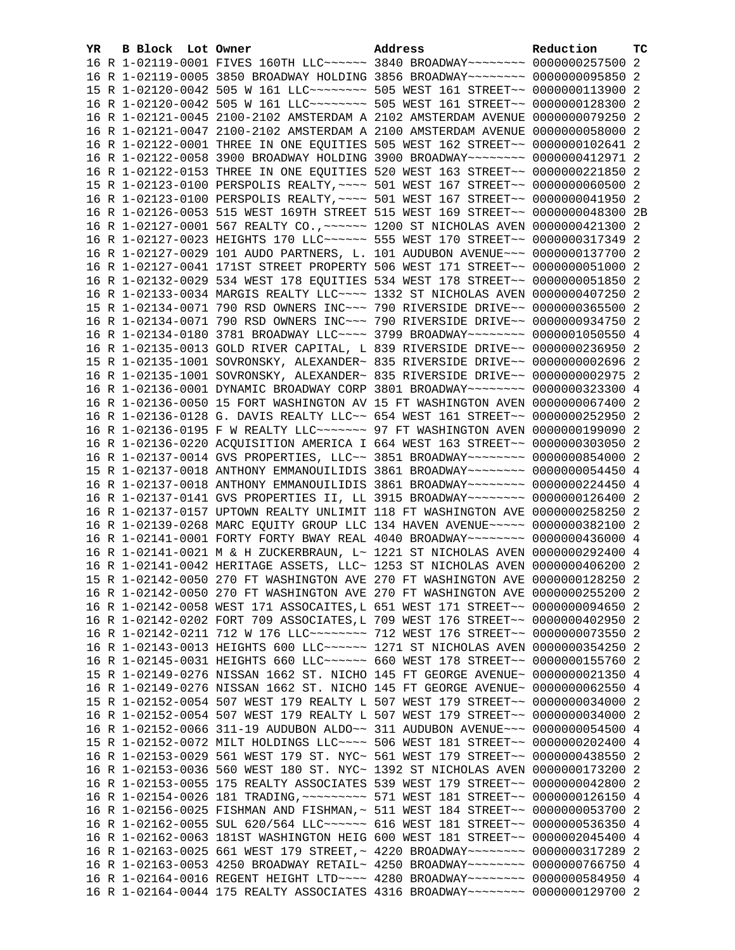| YR. | <b>B Block</b> Lot Owner |  | Address                                                                                                                                                        | Reduction | тc |
|-----|--------------------------|--|----------------------------------------------------------------------------------------------------------------------------------------------------------------|-----------|----|
|     |                          |  | 16 R 1-02119-0001 FIVES 160TH LLC ----- 3840 BROADWAY ------- 0000000257500 2                                                                                  |           |    |
|     |                          |  | 16 R 1-02119-0005 3850 BROADWAY HOLDING 3856 BROADWAY~~~~~~~~ 0000000095850 2                                                                                  |           |    |
|     |                          |  | 15 R 1-02120-0042 505 W 161 LLC -------- 505 WEST 161 STREET -~ 0000000113900 2                                                                                |           |    |
|     |                          |  | 16 R 1-02120-0042 505 W 161 LLC -------- 505 WEST 161 STREET -~ 0000000128300 2                                                                                |           |    |
|     |                          |  | 16 R 1-02121-0045 2100-2102 AMSTERDAM A 2102 AMSTERDAM AVENUE 0000000079250 2                                                                                  |           |    |
|     |                          |  | 16 R 1-02121-0047 2100-2102 AMSTERDAM A 2100 AMSTERDAM AVENUE 0000000058000 2                                                                                  |           |    |
|     |                          |  | 16 R 1-02122-0001 THREE IN ONE EQUITIES 505 WEST 162 STREET~~ 0000000102641 2                                                                                  |           |    |
|     |                          |  | 16 R 1-02122-0058 3900 BROADWAY HOLDING 3900 BROADWAY~~~~~~~~ 0000000412971 2                                                                                  |           |    |
|     |                          |  | 16 R 1-02122-0153 THREE IN ONE EQUITIES 520 WEST 163 STREET~~ 0000000221850 2                                                                                  |           |    |
|     |                          |  | 15 R 1-02123-0100 PERSPOLIS REALTY, ~~~~ 501 WEST 167 STREET~~ 0000000060500 2                                                                                 |           |    |
|     |                          |  | 16 R 1-02123-0100 PERSPOLIS REALTY, ~~~~ 501 WEST 167 STREET~~ 0000000041950 2                                                                                 |           |    |
|     |                          |  | 16 R 1-02126-0053 515 WEST 169TH STREET 515 WEST 169 STREET~~ 0000000048300 2B                                                                                 |           |    |
|     |                          |  | 16 R 1-02127-0001 567 REALTY CO., ~~~~~~ 1200 ST NICHOLAS AVEN 0000000421300 2                                                                                 |           |    |
|     |                          |  | 16 R 1-02127-0023 HEIGHTS 170 LLC ----- 555 WEST 170 STREET -- 0000000317349 2                                                                                 |           |    |
|     |                          |  | 16 R 1-02127-0029 101 AUDO PARTNERS, L. 101 AUDUBON AVENUE~~~ 0000000137700 2                                                                                  |           |    |
|     |                          |  | 16 R 1-02127-0041 171ST STREET PROPERTY 506 WEST 171 STREET~~ 0000000051000 2                                                                                  |           |    |
|     |                          |  | 16 R 1-02132-0029 534 WEST 178 EQUITIES 534 WEST 178 STREET~~ 0000000051850 2                                                                                  |           |    |
|     |                          |  | 16 R 1-02133-0034 MARGIS REALTY LLC ~~~~ 1332 ST NICHOLAS AVEN 0000000407250 2                                                                                 |           |    |
|     |                          |  | 15 R 1-02134-0071 790 RSD OWNERS INC~~~ 790 RIVERSIDE DRIVE~~ 0000000365500 2                                                                                  |           |    |
|     |                          |  | 16 R 1-02134-0071 790 RSD OWNERS INC~~~ 790 RIVERSIDE DRIVE~~ 0000000934750 2                                                                                  |           |    |
|     |                          |  | 16 R 1-02134-0180 3781 BROADWAY LLC --- 3799 BROADWAY ------- 0000001050550 4                                                                                  |           |    |
|     |                          |  | 16 R 1-02135-0013 GOLD RIVER CAPITAL, L 839 RIVERSIDE DRIVE~~ 0000000236950 2                                                                                  |           |    |
|     |                          |  | 15 R 1-02135-1001 SOVRONSKY, ALEXANDER~ 835 RIVERSIDE DRIVE~~ 0000000002696 2                                                                                  |           |    |
|     |                          |  | 16 R 1-02135-1001 SOVRONSKY, ALEXANDER~ 835 RIVERSIDE DRIVE~~ 0000000002975 2                                                                                  |           |    |
|     |                          |  | 16 R 1-02136-0001 DYNAMIC BROADWAY CORP 3801 BROADWAY~~~~~~~~ 0000000323300 4                                                                                  |           |    |
|     |                          |  | 16 R 1-02136-0050 15 FORT WASHINGTON AV 15 FT WASHINGTON AVEN 0000000067400 2                                                                                  |           |    |
|     |                          |  | 16 R 1-02136-0128 G. DAVIS REALTY LLC~~ 654 WEST 161 STREET~~ 0000000252950 2                                                                                  |           |    |
|     |                          |  | 16 R 1-02136-0195 F W REALTY LLC ------ 97 FT WASHINGTON AVEN 0000000199090 2                                                                                  |           |    |
|     |                          |  | 16 R 1-02136-0220 ACQUISITION AMERICA I 664 WEST 163 STREET~~ 0000000303050 2                                                                                  |           |    |
|     |                          |  | 16 R 1-02137-0014 GVS PROPERTIES, LLC~~ 3851 BROADWAY~~~~~~~~ 0000000854000 2                                                                                  |           |    |
|     |                          |  | 15 R 1-02137-0018 ANTHONY EMMANOUILIDIS 3861 BROADWAY~~~~~~~~ 0000000054450 4<br>16 R 1-02137-0018 ANTHONY EMMANOUILIDIS 3861 BROADWAY~~~~~~~~ 0000000224450 4 |           |    |
|     |                          |  |                                                                                                                                                                |           |    |
|     |                          |  | 16 R 1-02137-0141 GVS PROPERTIES II, LL 3915 BROADWAY~~~~~~~~ 0000000126400 2<br>16 R 1-02137-0157 UPTOWN REALTY UNLIMIT 118 FT WASHINGTON AVE 0000000258250 2 |           |    |
|     |                          |  | 16 R 1-02139-0268 MARC EQUITY GROUP LLC 134 HAVEN AVENUE~~~~~ 0000000382100 2                                                                                  |           |    |
|     |                          |  | 16 R 1-02141-0001 FORTY FORTY BWAY REAL 4040 BROADWAY~~~~~~~~ 0000000436000 4                                                                                  |           |    |
|     |                          |  | 16 R 1-02141-0021 M & H ZUCKERBRAUN, L~ 1221 ST NICHOLAS AVEN 0000000292400 4                                                                                  |           |    |
|     |                          |  | 16 R 1-02141-0042 HERITAGE ASSETS, LLC~ 1253 ST NICHOLAS AVEN 0000000406200 2                                                                                  |           |    |
|     |                          |  | 15 R 1-02142-0050 270 FT WASHINGTON AVE 270 FT WASHINGTON AVE 0000000128250 2                                                                                  |           |    |
|     |                          |  | 16 R 1-02142-0050 270 FT WASHINGTON AVE 270 FT WASHINGTON AVE 0000000255200 2                                                                                  |           |    |
|     |                          |  | 16 R 1-02142-0058 WEST 171 ASSOCAITES, L 651 WEST 171 STREET~~ 0000000094650 2                                                                                 |           |    |
|     |                          |  | 16 R 1-02142-0202 FORT 709 ASSOCIATES, L 709 WEST 176 STREET~~ 0000000402950 2                                                                                 |           |    |
|     |                          |  | 16 R 1-02142-0211 712 W 176 LLC ------- 712 WEST 176 STREET -~ 0000000073550 2                                                                                 |           |    |
|     |                          |  | 16 R 1-02143-0013 HEIGHTS 600 LLC ----- 1271 ST NICHOLAS AVEN 0000000354250                                                                                    |           | -2 |
|     |                          |  | 16 R 1-02145-0031 HEIGHTS 660 LLC ~~~~~~ 660 WEST 178 STREET ~~ 0000000155760 2                                                                                |           |    |
|     |                          |  | 15 R 1-02149-0276 NISSAN 1662 ST. NICHO 145 FT GEORGE AVENUE~ 0000000021350 4                                                                                  |           |    |
|     |                          |  | 16 R 1-02149-0276 NISSAN 1662 ST. NICHO 145 FT GEORGE AVENUE~ 0000000062550 4                                                                                  |           |    |
|     |                          |  | 15 R 1-02152-0054 507 WEST 179 REALTY L 507 WEST 179 STREET~~ 0000000034000                                                                                    |           | -2 |
|     |                          |  | 16 R 1-02152-0054 507 WEST 179 REALTY L 507 WEST 179 STREET~~ 0000000034000 2                                                                                  |           |    |
|     |                          |  | 16 R 1-02152-0066 311-19 AUDUBON ALDO~~ 311 AUDUBON AVENUE~~~ 0000000054500 4                                                                                  |           |    |
|     |                          |  | 15 R 1-02152-0072 MILT HOLDINGS LLC ~~~~ 506 WEST 181 STREET ~~ 0000000202400 4                                                                                |           |    |
|     |                          |  | 16 R 1-02153-0029 561 WEST 179 ST. NYC~ 561 WEST 179 STREET~~ 0000000438550 2                                                                                  |           |    |
|     |                          |  | 16 R 1-02153-0036 560 WEST 180 ST. NYC~ 1392 ST NICHOLAS AVEN 0000000173200 2                                                                                  |           |    |
|     |                          |  | 16 R 1-02153-0055 175 REALTY ASSOCIATES 539 WEST 179 STREET~~ 0000000042800 2                                                                                  |           |    |
|     |                          |  | 16 R 1-02154-0026 181 TRADING, ~~~~~~~~~ 571 WEST 181 STREET~~ 0000000126150 4                                                                                 |           |    |
|     |                          |  | 16 R 1-02156-0025 FISHMAN AND FISHMAN,~ 511 WEST 184 STREET~~ 0000000053700                                                                                    |           | -2 |
|     |                          |  | 16 R 1-02162-0055 SUL 620/564 LLC ------ 616 WEST 181 STREET -~ 0000000536350 4                                                                                |           |    |
|     |                          |  | 16 R 1-02162-0063 181ST WASHINGTON HEIG 600 WEST 181 STREET~~ 0000002045400                                                                                    |           | 4  |
|     |                          |  | 16 R 1-02163-0025 661 WEST 179 STREET, ~ 4220 BROADWAY~~~~~~~~~ 0000000317289 2                                                                                |           |    |
|     |                          |  | 16 R 1-02163-0053 4250 BROADWAY RETAIL~ 4250 BROADWAY~~~~~~~~~ 0000000766750 4                                                                                 |           |    |
|     |                          |  | 16 R 1-02164-0016 REGENT HEIGHT LTD ~~~~ 4280 BROADWAY ~~~~~~~~ 0000000584950 4                                                                                |           |    |
|     |                          |  | 16 R 1-02164-0044 175 REALTY ASSOCIATES 4316 BROADWAY~~~~~~~~ 0000000129700 2                                                                                  |           |    |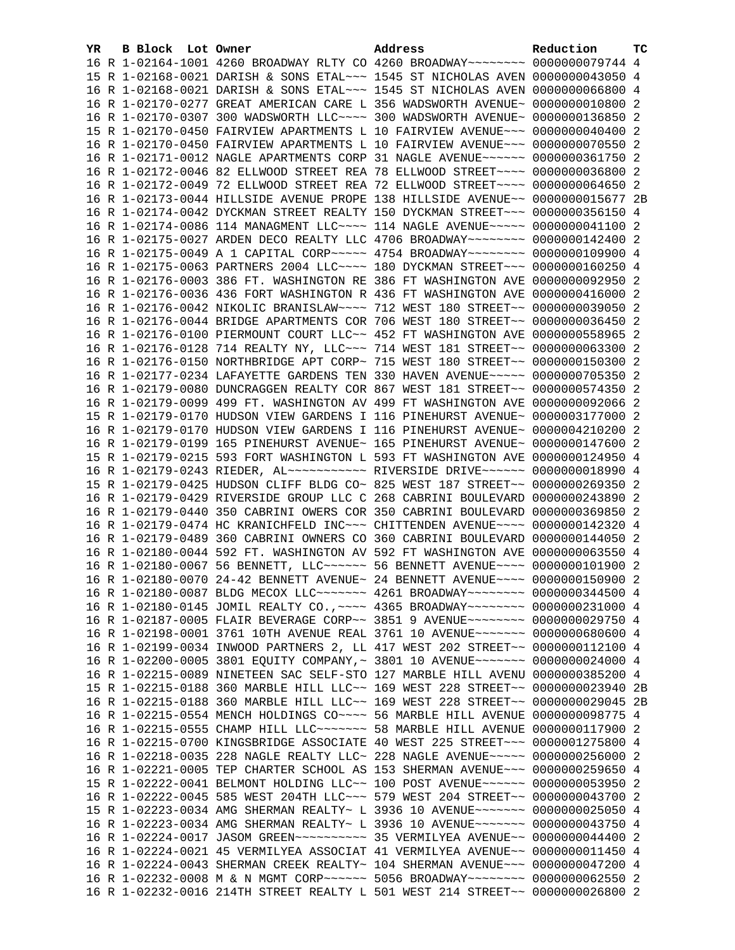| YR. | B Block Lot Owner |                                                               | Address                                                                         | Reduction       | тc |
|-----|-------------------|---------------------------------------------------------------|---------------------------------------------------------------------------------|-----------------|----|
|     |                   |                                                               | 16 R 1-02164-1001 4260 BROADWAY RLTY CO 4260 BROADWAY~~~~~~~~ 0000000079744 4   |                 |    |
|     |                   |                                                               | 15 R 1-02168-0021 DARISH & SONS ETAL~~~ 1545 ST NICHOLAS AVEN 0000000043050 4   |                 |    |
|     |                   |                                                               | 16 R 1-02168-0021 DARISH & SONS ETAL~~~ 1545 ST NICHOLAS AVEN 0000000066800 4   |                 |    |
|     |                   |                                                               | 16 R 1-02170-0277 GREAT AMERICAN CARE L 356 WADSWORTH AVENUE~ 0000000010800 2   |                 |    |
|     |                   |                                                               | 16 R 1-02170-0307 300 WADSWORTH LLC~~~~ 300 WADSWORTH AVENUE~ 0000000136850 2   |                 |    |
|     |                   |                                                               | 15 R 1-02170-0450 FAIRVIEW APARTMENTS L 10 FAIRVIEW AVENUE~~~ 0000000040400 2   |                 |    |
|     |                   |                                                               | 16 R 1-02170-0450 FAIRVIEW APARTMENTS L 10 FAIRVIEW AVENUE~~~ 0000000070550 2   |                 |    |
|     |                   |                                                               | 16 R 1-02171-0012 NAGLE APARTMENTS CORP 31 NAGLE AVENUE~~~~~~ 0000000361750 2   |                 |    |
|     |                   |                                                               | 16 R 1-02172-0046 82 ELLWOOD STREET REA 78 ELLWOOD STREET~~~~ 0000000036800 2   |                 |    |
|     |                   |                                                               | 16 R 1-02172-0049 72 ELLWOOD STREET REA 72 ELLWOOD STREET~~~~ 0000000064650 2   |                 |    |
|     |                   |                                                               | 16 R 1-02173-0044 HILLSIDE AVENUE PROPE 138 HILLSIDE AVENUE~~ 0000000015677 2B  |                 |    |
|     |                   |                                                               | 16 R 1-02174-0042 DYCKMAN STREET REALTY 150 DYCKMAN STREET~~~ 0000000356150 4   |                 |    |
|     |                   |                                                               | 16 R 1-02174-0086 114 MANAGMENT LLC~~~~ 114 NAGLE AVENUE~~~~~ 0000000041100 2   |                 |    |
|     |                   |                                                               | 16 R 1-02175-0027 ARDEN DECO REALTY LLC 4706 BROADWAY~~~~~~~~ 0000000142400 2   |                 |    |
|     |                   |                                                               | 16 R 1-02175-0049 A 1 CAPITAL CORP~~~~~ 4754 BROADWAY~~~~~~~~ 0000000109900 4   |                 |    |
|     |                   |                                                               | 16 R 1-02175-0063 PARTNERS 2004 LLC --- 180 DYCKMAN STREET -- 0000000160250 4   |                 |    |
|     |                   |                                                               | 16 R 1-02176-0003 386 FT. WASHINGTON RE 386 FT WASHINGTON AVE 0000000092950 2   |                 |    |
|     |                   |                                                               | 16 R 1-02176-0036 436 FORT WASHINGTON R 436 FT WASHINGTON AVE 0000000416000 2   |                 |    |
|     |                   |                                                               | 16 R 1-02176-0042 NIKOLIC BRANISLAW~~~~ 712 WEST 180 STREET~~ 0000000039050 2   |                 |    |
|     |                   |                                                               | 16 R 1-02176-0044 BRIDGE APARTMENTS COR 706 WEST 180 STREET~~ 0000000036450 2   |                 |    |
|     |                   |                                                               | 16 R 1-02176-0100 PIERMOUNT COURT LLC~~ 452 FT WASHINGTON AVE 0000000558965 2   |                 |    |
|     |                   |                                                               | 16 R 1-02176-0128 714 REALTY NY, LLC ~~~ 714 WEST 181 STREET ~~ 0000000063300 2 |                 |    |
|     |                   |                                                               | 16 R 1-02176-0150 NORTHBRIDGE APT CORP~ 715 WEST 180 STREET~~ 0000000150300 2   |                 |    |
|     |                   |                                                               | 16 R 1-02177-0234 LAFAYETTE GARDENS TEN 330 HAVEN AVENUE~~~~~ 0000000705350 2   |                 |    |
|     |                   |                                                               | 16 R 1-02179-0080 DUNCRAGGEN REALTY COR 867 WEST 181 STREET~~ 0000000574350     |                 | -2 |
|     |                   |                                                               | 16 R 1-02179-0099 499 FT. WASHINGTON AV 499 FT WASHINGTON AVE 0000000092066 2   |                 |    |
|     |                   |                                                               | 15 R 1-02179-0170 HUDSON VIEW GARDENS I 116 PINEHURST AVENUE~ 0000003177000 2   |                 |    |
|     |                   |                                                               | 16 R 1-02179-0170 HUDSON VIEW GARDENS I 116 PINEHURST AVENUE~ 0000004210200 2   |                 |    |
|     |                   |                                                               | 16 R 1-02179-0199 165 PINEHURST AVENUE~ 165 PINEHURST AVENUE~ 0000000147600 2   |                 |    |
|     |                   |                                                               | 15 R 1-02179-0215 593 FORT WASHINGTON L 593 FT WASHINGTON AVE 0000000124950 4   |                 |    |
|     |                   |                                                               | 16 R 1-02179-0243 RIEDER, AL ----------- RIVERSIDE DRIVE------ 0000000018990 4  |                 |    |
|     |                   | 15 R 1-02179-0425 HUDSON CLIFF BLDG CO~ 825 WEST 187 STREET~~ |                                                                                 | 0000000269350 2 |    |
|     |                   |                                                               | 16 R 1-02179-0429 RIVERSIDE GROUP LLC C 268 CABRINI BOULEVARD 0000000243890 2   |                 |    |
|     |                   |                                                               | 16 R 1-02179-0440 350 CABRINI OWERS COR 350 CABRINI BOULEVARD 0000000369850 2   |                 |    |
|     |                   |                                                               | 16 R 1-02179-0474 HC KRANICHFELD INC~~~ CHITTENDEN AVENUE~~~~ 0000000142320 4   |                 |    |
|     |                   |                                                               | 16 R 1-02179-0489 360 CABRINI OWNERS CO 360 CABRINI BOULEVARD 0000000144050 2   |                 |    |
|     |                   |                                                               | 16 R 1-02180-0044 592 FT. WASHINGTON AV 592 FT WASHINGTON AVE 0000000063550 4   |                 |    |
|     |                   |                                                               | 16 R 1-02180-0067 56 BENNETT, LLC ----- 56 BENNETT AVENUE --- 0000000101900 2   |                 |    |
|     |                   |                                                               | 16 R 1-02180-0070 24-42 BENNETT AVENUE~ 24 BENNETT AVENUE~~~~ 0000000150900 2   |                 |    |
|     |                   |                                                               | 16 R 1-02180-0087 BLDG MECOX LLC ------- 4261 BROADWAY ------- 0000000344500 4  |                 |    |
|     |                   |                                                               | 16 R 1-02180-0145 JOMIL REALTY CO., ~~~~ 4365 BROADWAY~~~~~~~~ 0000000231000 4  |                 |    |
|     |                   |                                                               | 16 R 1-02187-0005 FLAIR BEVERAGE CORP~~ 3851 9 AVENUE~~~~~~~~ 0000000029750 4   |                 |    |
|     |                   |                                                               | 16 R 1-02198-0001 3761 10TH AVENUE REAL 3761 10 AVENUE~~~~~~~ 0000000680600 4   |                 |    |
|     |                   |                                                               | 16 R 1-02199-0034 INWOOD PARTNERS 2, LL 417 WEST 202 STREET~~ 0000000112100 4   |                 |    |
|     |                   |                                                               | 16 R 1-02200-0005 3801 EQUITY COMPANY, ~ 3801 10 AVENUE~~~~~~~ 0000000024000 4  |                 |    |
|     |                   |                                                               | 16 R 1-02215-0089 NINETEEN SAC SELF-STO 127 MARBLE HILL AVENU 0000000385200 4   |                 |    |
|     |                   |                                                               | 15 R 1-02215-0188 360 MARBLE HILL LLC~~ 169 WEST 228 STREET~~ 0000000023940 2B  |                 |    |
|     |                   |                                                               | 16 R 1-02215-0188 360 MARBLE HILL LLC~~ 169 WEST 228 STREET~~ 0000000029045 2B  |                 |    |
|     |                   |                                                               | 16 R 1-02215-0554 MENCH HOLDINGS CO~~~~ 56 MARBLE HILL AVENUE 0000000098775 4   |                 |    |
|     |                   |                                                               | 16 R 1-02215-0555 CHAMP HILL LLC ~~~~~~~ 58 MARBLE HILL AVENUE 0000000117900 2  |                 |    |
|     |                   |                                                               | 16 R 1-02215-0700 KINGSBRIDGE ASSOCIATE 40 WEST 225 STREET~~~ 0000001275800 4   |                 |    |
|     |                   |                                                               | 16 R 1-02218-0035 228 NAGLE REALTY LLC~ 228 NAGLE AVENUE~~~~~ 0000000256000 2   |                 |    |
|     |                   |                                                               | 16 R 1-02221-0005 TEP CHARTER SCHOOL AS 153 SHERMAN AVENUE~~~ 0000000259650 4   |                 |    |
|     |                   |                                                               | 15 R 1-02222-0041 BELMONT HOLDING LLC~~ 100 POST AVENUE~~~~~~ 0000000053950 2   |                 |    |
|     |                   |                                                               | 16 R 1-02222-0045 585 WEST 204TH LLC ~~~ 579 WEST 204 STREET ~~ 0000000043700 2 |                 |    |
|     |                   |                                                               | 15 R 1-02223-0034 AMG SHERMAN REALTY~ L 3936 10 AVENUE~~~~~~~ 0000000025050 4   |                 |    |
|     |                   |                                                               | 16 R 1-02223-0034 AMG SHERMAN REALTY~ L 3936 10 AVENUE~~~~~~~ 0000000043750 4   |                 |    |
|     |                   |                                                               |                                                                                 |                 |    |
|     |                   |                                                               | 16 R 1-02224-0021 45 VERMILYEA ASSOCIAT 41 VERMILYEA AVENUE~~ 0000000011450 4   |                 |    |
|     |                   |                                                               | 16 R 1-02224-0043 SHERMAN CREEK REALTY~ 104 SHERMAN AVENUE~~~ 0000000047200 4   |                 |    |
|     |                   |                                                               | 16 R 1-02232-0008 M & N MGMT CORP~~~~~~ 5056 BROADWAY~~~~~~~~ 0000000062550 2   |                 |    |
|     |                   |                                                               |                                                                                 |                 |    |
|     |                   |                                                               | 16 R 1-02232-0016 214TH STREET REALTY L 501 WEST 214 STREET~~ 0000000026800 2   |                 |    |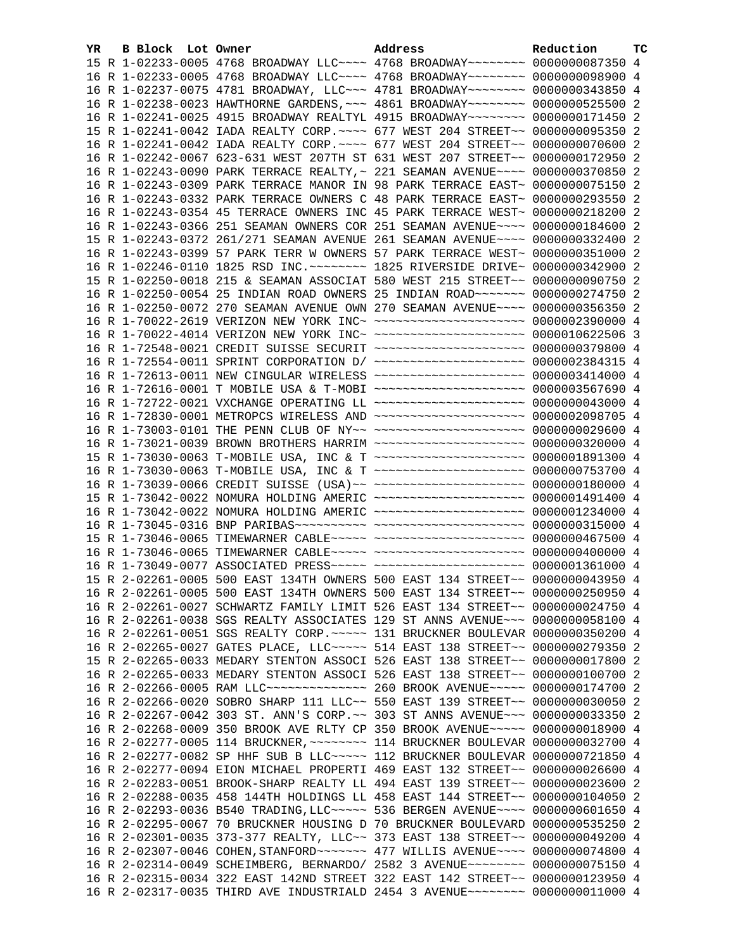| YR. | B Block Lot Owner |                                                                                  | Address | Reduction | ТC |
|-----|-------------------|----------------------------------------------------------------------------------|---------|-----------|----|
|     |                   | 15 R 1-02233-0005 4768 BROADWAY LLC --- 4768 BROADWAY ------- 0000000087350 4    |         |           |    |
|     |                   | 16 R 1-02233-0005 4768 BROADWAY LLC --- 4768 BROADWAY ------- 0000000098900 4    |         |           |    |
|     |                   | 16 R 1-02237-0075 4781 BROADWAY, LLC~~~ 4781 BROADWAY~~~~~~~~ 0000000343850 4    |         |           |    |
|     |                   | 16 R 1-02238-0023 HAWTHORNE GARDENS, ~~~ 4861 BROADWAY~~~~~~~~ 0000000525500 2   |         |           |    |
|     |                   | 16 R 1-02241-0025 4915 BROADWAY REALTYL 4915 BROADWAY~~~~~~~~ 0000000171450 2    |         |           |    |
|     |                   | 15 R 1-02241-0042 IADA REALTY CORP. ~~~~ 677 WEST 204 STREET~~ 0000000095350 2   |         |           |    |
|     |                   | 16 R 1-02241-0042 IADA REALTY CORP. ~~~~ 677 WEST 204 STREET~~ 0000000070600 2   |         |           |    |
|     |                   | 16 R 1-02242-0067 623-631 WEST 207TH ST 631 WEST 207 STREET~~ 0000000172950 2    |         |           |    |
|     |                   | 16 R 1-02243-0090 PARK TERRACE REALTY, ~ 221 SEAMAN AVENUE~~~~ 0000000370850 2   |         |           |    |
|     |                   | 16 R 1-02243-0309 PARK TERRACE MANOR IN 98 PARK TERRACE EAST~ 0000000075150 2    |         |           |    |
|     |                   | 16 R 1-02243-0332 PARK TERRACE OWNERS C 48 PARK TERRACE EAST~ 0000000293550 2    |         |           |    |
|     |                   | 16 R 1-02243-0354 45 TERRACE OWNERS INC 45 PARK TERRACE WEST~ 0000000218200 2    |         |           |    |
|     |                   | 16 R 1-02243-0366 251 SEAMAN OWNERS COR 251 SEAMAN AVENUE~~~~ 0000000184600 2    |         |           |    |
|     |                   | 15 R 1-02243-0372 261/271 SEAMAN AVENUE 261 SEAMAN AVENUE~~~~ 0000000332400 2    |         |           |    |
|     |                   | 16 R 1-02243-0399 57 PARK TERR W OWNERS 57 PARK TERRACE WEST~ 0000000351000 2    |         |           |    |
|     |                   | 16 R 1-02246-0110 1825 RSD INC. ~~~~~~~~ 1825 RIVERSIDE DRIVE~ 0000000342900 2   |         |           |    |
|     |                   | 15 R 1-02250-0018 215 & SEAMAN ASSOCIAT 580 WEST 215 STREET~~ 0000000090750 2    |         |           |    |
|     |                   | 16 R 1-02250-0054 25 INDIAN ROAD OWNERS 25 INDIAN ROAD ~~~~~~~ 0000000274750 2   |         |           |    |
|     |                   | 16 R 1-02250-0072 270 SEAMAN AVENUE OWN 270 SEAMAN AVENUE~~~~ 0000000356350 2    |         |           |    |
|     |                   | 16 R 1-70022-2619 VERIZON NEW YORK INC~ ~~~~~~~~~~~~~~~~~~~~~ 0000002390000 4    |         |           |    |
|     |                   | 16 R 1-70022-4014 VERIZON NEW YORK INC~ ~~~~~~~~~~~~~~~~~~~~~ 0000010622506 3    |         |           |    |
|     |                   | 16 R 1-72548-0021 CREDIT SUISSE SECURIT ~~~~~~~~~~~~~~~~~~~~ 0000000379800 4     |         |           |    |
|     |                   | 16 R 1-72554-0011 SPRINT CORPORATION D/ ~~~~~~~~~~~~~~~~~~~~ 0000002384315 4     |         |           |    |
|     |                   | 16 R 1-72613-0011 NEW CINGULAR WIRELESS ~~~~~~~~~~~~~~~~~~~~ 0000003414000 4     |         |           |    |
|     |                   | 16 R 1-72616-0001 T MOBILE USA & T-MOBI ~~~~~~~~~~~~~~~~~~~~ 0000003567690 4     |         |           |    |
|     |                   | 16 R 1-72722-0021 VXCHANGE OPERATING LL ~~~~~~~~~~~~~~~~~~~~ 0000000043000 4     |         |           |    |
|     |                   | 16 R 1-72830-0001 METROPCS WIRELESS AND ~~~~~~~~~~~~~~~~~~~~~ 0000002098705 4    |         |           |    |
|     |                   | 16 R 1-73003-0101 THE PENN CLUB OF NY~~ ~~~~~~~~~~~~~~~~~~~~~ 0000000029600 4    |         |           |    |
|     |                   | 16 R 1-73021-0039 BROWN BROTHERS HARRIM ~~~~~~~~~~~~~~~~~~~~~ 0000000320000 4    |         |           |    |
|     |                   | 15 R 1-73030-0063 T-MOBILE USA, INC & T ~~~~~~~~~~~~~~~~~~~~ 0000001891300 4     |         |           |    |
|     |                   | 16 R 1-73030-0063 T-MOBILE USA, INC & T ~~~~~~~~~~~~~~~~~~~~ 0000000753700 4     |         |           |    |
|     |                   | 16 R 1-73039-0066 CREDIT SUISSE (USA)~~ ~~~~~~~~~~~~~~~~~~~~~ 0000000180000 4    |         |           |    |
|     |                   | 15 R 1-73042-0022 NOMURA HOLDING AMERIC ~~~~~~~~~~~~~~~~~~~~ 0000001491400 4     |         |           |    |
|     |                   | 16 R 1-73042-0022 NOMURA HOLDING AMERIC ~~~~~~~~~~~~~~~~~~~~ 0000001234000 4     |         |           |    |
|     |                   |                                                                                  |         |           |    |
|     |                   | 15 R 1-73046-0065 TIMEWARNER CABLE~~~~~ ~~~~~~~~~~~~~~~~~~~~~ 0000000467500 4    |         |           |    |
|     |                   | 16 R 1-73046-0065 TIMEWARNER CABLE~~~~~ ~~~~~~~~~~~~~~~~~~~~ 0000000400000 4     |         |           |    |
|     |                   | 16 R 1-73049-0077 ASSOCIATED PRESS ----- ----------------------- 0000001361000 4 |         |           |    |
|     |                   | 15 R 2-02261-0005 500 EAST 134TH OWNERS 500 EAST 134 STREET~~ 0000000043950 4    |         |           |    |
|     |                   | 16 R 2-02261-0005 500 EAST 134TH OWNERS 500 EAST 134 STREET~~ 0000000250950 4    |         |           |    |
|     |                   | 16 R 2-02261-0027 SCHWARTZ FAMILY LIMIT 526 EAST 134 STREET~~ 0000000024750 4    |         |           |    |
|     |                   | 16 R 2-02261-0038 SGS REALTY ASSOCIATES 129 ST ANNS AVENUE~~~ 0000000058100 4    |         |           |    |
|     |                   | 16 R 2-02261-0051 SGS REALTY CORP. ~~~~~ 131 BRUCKNER BOULEVAR 0000000350200 4   |         |           |    |
|     |                   | 16 R 2-02265-0027 GATES PLACE, LLC ~~~~~ 514 EAST 138 STREET ~~ 0000000279350 2  |         |           |    |
|     |                   | 15 R 2-02265-0033 MEDARY STENTON ASSOCI 526 EAST 138 STREET~~ 0000000017800 2    |         |           |    |
|     |                   | 16 R 2-02265-0033 MEDARY STENTON ASSOCI 526 EAST 138 STREET~~ 0000000100700 2    |         |           |    |
|     |                   | 16 R 2-02266-0005 RAM LLC -------------- 260 BROOK AVENUE ---- 0000000174700 2   |         |           |    |
|     |                   | 16 R 2-02266-0020 SOBRO SHARP 111 LLC~~ 550 EAST 139 STREET~~ 0000000030050 2    |         |           |    |
|     |                   | 16 R 2-02267-0042 303 ST. ANN'S CORP.~~ 303 ST ANNS AVENUE~~~ 0000000033350 2    |         |           |    |
|     |                   | 16 R 2-02268-0009 350 BROOK AVE RLTY CP 350 BROOK AVENUE~~~~~ 0000000018900 4    |         |           |    |
|     |                   | 16 R 2-02277-0005 114 BRUCKNER, ~~~~~~~~ 114 BRUCKNER BOULEVAR 0000000032700 4   |         |           |    |
|     |                   | 16 R 2-02277-0082 SP HHF SUB B LLC~~~~~ 112 BRUCKNER BOULEVAR 0000000721850 4    |         |           |    |
|     |                   | 16 R 2-02277-0094 EION MICHAEL PROPERTI 469 EAST 132 STREET~~ 0000000026600 4    |         |           |    |
|     |                   | 16 R 2-02283-0051 BROOK-SHARP REALTY LL 494 EAST 139 STREET~~ 0000000023600 2    |         |           |    |
|     |                   | 16 R 2-02288-0035 458 144TH HOLDINGS LL 458 EAST 144 STREET~~ 0000000104050 2    |         |           |    |
|     |                   | 16 R 2-02293-0036 B540 TRADING, LLC ~~~~~ 536 BERGEN AVENUE ~~~~ 0000000601650 4 |         |           |    |
|     |                   | 16 R 2-02295-0067 70 BRUCKNER HOUSING D 70 BRUCKNER BOULEVARD 0000000535250 2    |         |           |    |
|     |                   | 16 R 2-02301-0035 373-377 REALTY, LLC~~ 373 EAST 138 STREET~~ 0000000049200 4    |         |           |    |
|     |                   | 16 R 2-02307-0046 COHEN, STANFORD ~~~~~~~ 477 WILLIS AVENUE ~~~~ 0000000074800 4 |         |           |    |
|     |                   | 16 R 2-02314-0049 SCHEIMBERG, BERNARDO/ 2582 3 AVENUE~~~~~~~~ 0000000075150 4    |         |           |    |
|     |                   | 16 R 2-02315-0034 322 EAST 142ND STREET 322 EAST 142 STREET~~ 0000000123950 4    |         |           |    |
|     |                   | 16 R 2-02317-0035 THIRD AVE INDUSTRIALD 2454 3 AVENUE~~~~~~~~ 0000000011000 4    |         |           |    |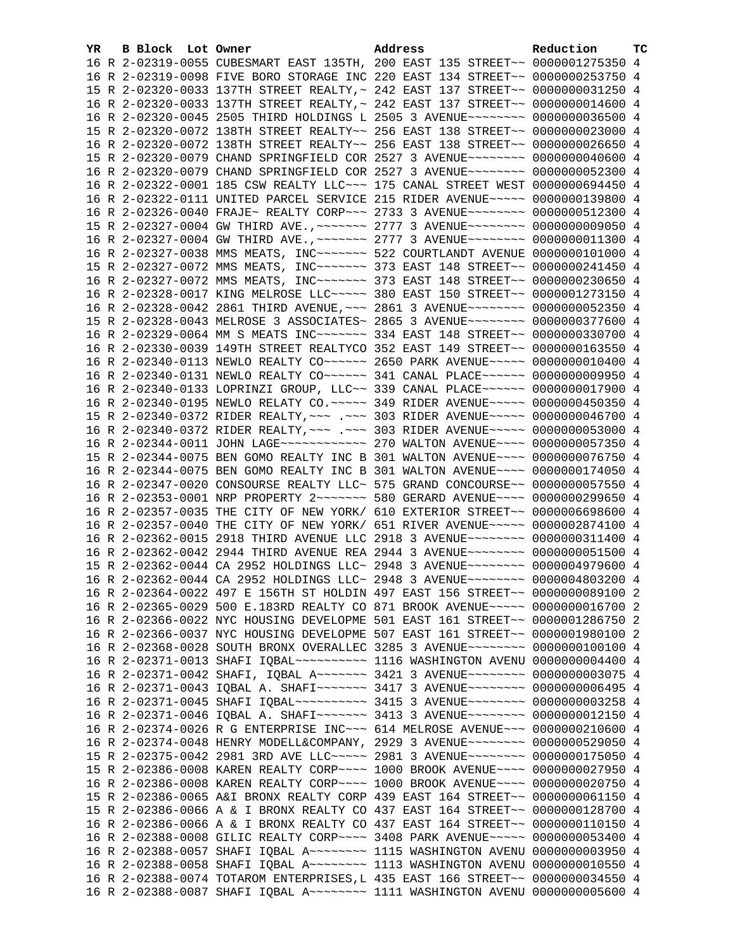| YR. | B Block Lot Owner | Address                                                                             | Reduction | TС |
|-----|-------------------|-------------------------------------------------------------------------------------|-----------|----|
|     |                   | 16 R 2-02319-0055 CUBESMART EAST 135TH, 200 EAST 135 STREET~~ 0000001275350 4       |           |    |
|     |                   | 16 R 2-02319-0098 FIVE BORO STORAGE INC 220 EAST 134 STREET~~ 0000000253750 4       |           |    |
|     |                   | 15 R 2-02320-0033 137TH STREET REALTY, ~ 242 EAST 137 STREET~~ 0000000031250 4      |           |    |
|     |                   | 16 R 2-02320-0033 137TH STREET REALTY, ~ 242 EAST 137 STREET~~ 0000000014600 4      |           |    |
|     |                   | 16 R 2-02320-0045 2505 THIRD HOLDINGS L 2505 3 AVENUE~~~~~~~~ 0000000036500 4       |           |    |
|     |                   | 15 R 2-02320-0072 138TH STREET REALTY~~ 256 EAST 138 STREET~~ 0000000023000 4       |           |    |
|     |                   | 16 R 2-02320-0072 138TH STREET REALTY~~ 256 EAST 138 STREET~~ 0000000026650 4       |           |    |
|     |                   | 15 R 2-02320-0079 CHAND SPRINGFIELD COR 2527 3 AVENUE~~~~~~~~ 0000000040600 4       |           |    |
|     |                   | 16 R 2-02320-0079 CHAND SPRINGFIELD COR 2527 3 AVENUE~~~~~~~~ 0000000052300 4       |           |    |
|     |                   | 16 R 2-02322-0001 185 CSW REALTY LLC ~~~ 175 CANAL STREET WEST 0000000694450 4      |           |    |
|     |                   | 16 R 2-02322-0111 UNITED PARCEL SERVICE 215 RIDER AVENUE~~~~~ 0000000139800 4       |           |    |
|     |                   | 16 R 2-02326-0040 FRAJE~ REALTY CORP~~~ 2733 3 AVENUE~~~~~~~~ 0000000512300 4       |           |    |
|     |                   | 15 R 2-02327-0004 GW THIRD AVE., ~~~~~~~ 2777 3 AVENUE~~~~~~~~ 0000000009050 4      |           |    |
|     |                   | 16 R 2-02327-0004 GW THIRD AVE., ~~~~~~~ 2777 3 AVENUE~~~~~~~~ 0000000011300 4      |           |    |
|     |                   | 16 R 2-02327-0038 MMS MEATS, INC ------ 522 COURTLANDT AVENUE 0000000101000 4       |           |    |
|     |                   | 15 R 2-02327-0072 MMS MEATS, INC~~~~~~~ 373 EAST 148 STREET~~ 0000000241450 4       |           |    |
|     |                   | 16 R 2-02327-0072 MMS MEATS, INC~~~~~~~ 373 EAST 148 STREET~~ 0000000230650 4       |           |    |
|     |                   | 16 R 2-02328-0017 KING MELROSE LLC ~~~~~ 380 EAST 150 STREET ~~ 0000001273150 4     |           |    |
|     |                   | 16 R 2-02328-0042 2861 THIRD AVENUE, ~~~ 2861 3 AVENUE~~~~~~~~ 0000000052350 4      |           |    |
|     |                   | 15 R 2-02328-0043 MELROSE 3 ASSOCIATES~ 2865 3 AVENUE~~~~~~~~ 0000000377600 4       |           |    |
|     |                   | 16 R 2-02329-0064 MM S MEATS INC ------ 334 EAST 148 STREET -~ 0000000330700 4      |           |    |
|     |                   | 16 R 2-02330-0039 149TH STREET REALTYCO 352 EAST 149 STREET~~ 0000000163550 4       |           |    |
|     |                   | 16 R 2-02340-0113 NEWLO REALTY CO~~~~~~ 2650 PARK AVENUE~~~~~ 0000000010400 4       |           |    |
|     |                   | 16 R 2-02340-0131 NEWLO REALTY CO~~~~~~ 341 CANAL PLACE~~~~~~ 0000000009950 4       |           |    |
|     |                   | 16 R 2-02340-0133 LOPRINZI GROUP, LLC~~ 339 CANAL PLACE~~~~~~ 0000000017900 4       |           |    |
|     |                   | 16 R 2-02340-0195 NEWLO RELATY CO.~~~~~ 349 RIDER AVENUE~~~~~ 0000000450350 4       |           |    |
|     |                   | 15 R 2-02340-0372 RIDER REALTY, ~~~ .~~~ 303 RIDER AVENUE~~~~~ 0000000046700 4      |           |    |
|     |                   | 16 R 2-02340-0372 RIDER REALTY, ~~~ .~~~ 303 RIDER AVENUE~~~~~ 0000000053000 4      |           |    |
|     |                   | 16 R 2-02344-0011 JOHN LAGE ------------ 270 WALTON AVENUE ---- 0000000057350 4     |           |    |
|     |                   | 15 R 2-02344-0075 BEN GOMO REALTY INC B 301 WALTON AVENUE~~~~ 0000000076750 4       |           |    |
|     |                   | 16 R 2-02344-0075 BEN GOMO REALTY INC B 301 WALTON AVENUE~~~~ 0000000174050 4       |           |    |
|     |                   | 16 R 2-02347-0020 CONSOURSE REALTY LLC~ 575 GRAND CONCOURSE~~ 0000000057550 4       |           |    |
|     |                   | 16 R 2-02353-0001 NRP PROPERTY 2 -- - - - - 580 GERARD AVENUE - - - 0000000299650 4 |           |    |
|     |                   | 16 R 2-02357-0035 THE CITY OF NEW YORK/ 610 EXTERIOR STREET~~ 0000006698600 4       |           |    |
|     |                   | 16 R 2-02357-0040 THE CITY OF NEW YORK/ 651 RIVER AVENUE~~~~~ 0000002874100 4       |           |    |
|     |                   | 16 R 2-02362-0015 2918 THIRD AVENUE LLC 2918 3 AVENUE~~~~~~~~ 0000000311400 4       |           |    |
|     |                   | 16 R 2-02362-0042 2944 THIRD AVENUE REA 2944 3 AVENUE~~~~~~~~ 0000000051500 4       |           |    |
|     |                   | 15 R 2-02362-0044 CA 2952 HOLDINGS LLC~ 2948 3 AVENUE~~~~~~~~ 0000004979600 4       |           |    |
|     |                   | 16 R 2-02362-0044 CA 2952 HOLDINGS LLC~ 2948 3 AVENUE~~~~~~~~ 0000004803200 4       |           |    |
|     |                   | 16 R 2-02364-0022 497 E 156TH ST HOLDIN 497 EAST 156 STREET~~ 0000000089100 2       |           |    |
|     |                   | 16 R 2-02365-0029 500 E.183RD REALTY CO 871 BROOK AVENUE~~~~~ 0000000016700 2       |           |    |
|     |                   | 16 R 2-02366-0022 NYC HOUSING DEVELOPME 501 EAST 161 STREET~~ 0000001286750 2       |           |    |
|     |                   | 16 R 2-02366-0037 NYC HOUSING DEVELOPME 507 EAST 161 STREET~~ 0000001980100 2       |           |    |
|     |                   | 16 R 2-02368-0028 SOUTH BRONX OVERALLEC 3285 3 AVENUE~~~~~~~~ 0000000100100 4       |           |    |
|     |                   | 16 R 2-02371-0013 SHAFI IQBAL~~~~~~~~~~~~~~ 1116 WASHINGTON AVENU 0000000004400 4   |           |    |
|     |                   | 16 R 2-02371-0042 SHAFI, IQBAL A~~~~~~~ 3421 3 AVENUE~~~~~~~~ 0000000003075 4       |           |    |
|     |                   | 16 R 2-02371-0043 IQBAL A. SHAFI~~~~~~~ 3417 3 AVENUE~~~~~~~~ 0000000006495 4       |           |    |
|     |                   | 16 R 2-02371-0045 SHAFI IQBAL~~~~~~~~~~ 3415 3 AVENUE~~~~~~~~ 0000000003258 4       |           |    |
|     |                   | 16 R 2-02371-0046 IQBAL A. SHAFI~~~~~~~ 3413 3 AVENUE~~~~~~~~ 0000000012150 4       |           |    |
|     |                   | 16 R 2-02374-0026 R G ENTERPRISE INC~~~ 614 MELROSE AVENUE~~~ 0000000210600 4       |           |    |
|     |                   | 16 R 2-02374-0048 HENRY MODELL&COMPANY, 2929 3 AVENUE~~~~~~~~ 0000000529050 4       |           |    |
|     |                   | 15 R 2-02375-0042 2981 3RD AVE LLC ---- 2981 3 AVENUE ------- 0000000175050 4       |           |    |
|     |                   | 15 R 2-02386-0008 KAREN REALTY CORP~~~~ 1000 BROOK AVENUE~~~~ 0000000027950 4       |           |    |
|     |                   | 16 R 2-02386-0008 KAREN REALTY CORP~~~~ 1000 BROOK AVENUE~~~~ 0000000020750 4       |           |    |
|     |                   | 15 R 2-02386-0065 A&I BRONX REALTY CORP 439 EAST 164 STREET~~ 0000000061150 4       |           |    |
|     |                   | 15 R 2-02386-0066 A & I BRONX REALTY CO 437 EAST 164 STREET~~ 0000000128700 4       |           |    |
|     |                   | 16 R 2-02386-0066 A & I BRONX REALTY CO 437 EAST 164 STREET~~ 0000000110150 4       |           |    |
|     |                   | 16 R 2-02388-0008 GILIC REALTY CORP~~~~ 3408 PARK AVENUE~~~~~ 0000000053400 4       |           |    |
|     |                   | 16 R 2-02388-0057 SHAFI IQBAL A~~~~~~~~ 1115 WASHINGTON AVENU 0000000003950 4       |           |    |
|     |                   | 16 R 2-02388-0058 SHAFI IQBAL A~~~~~~~~ 1113 WASHINGTON AVENU 0000000010550 4       |           |    |
|     |                   | 16 R 2-02388-0074 TOTAROM ENTERPRISES, L 435 EAST 166 STREET~~ 0000000034550 4      |           |    |
|     |                   | 16 R 2-02388-0087 SHAFI IQBAL A ------ 1111 WASHINGTON AVENU 0000000005600 4        |           |    |
|     |                   |                                                                                     |           |    |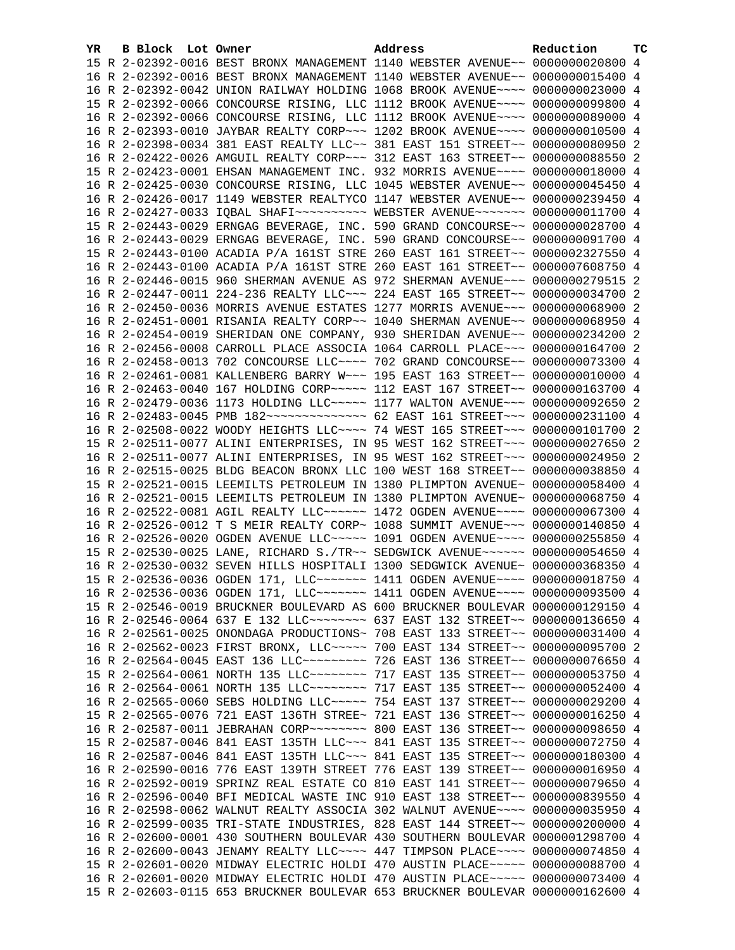| YR | B Block Lot Owner | Address                                                                                                                                                           | Reduction | ТC |
|----|-------------------|-------------------------------------------------------------------------------------------------------------------------------------------------------------------|-----------|----|
|    |                   | 15 R 2-02392-0016 BEST BRONX MANAGEMENT 1140 WEBSTER AVENUE~~ 0000000020800 4                                                                                     |           |    |
|    |                   | 16 R 2-02392-0016 BEST BRONX MANAGEMENT 1140 WEBSTER AVENUE~~ 0000000015400 4                                                                                     |           |    |
|    |                   | 16 R 2-02392-0042 UNION RAILWAY HOLDING 1068 BROOK AVENUE~~~~ 0000000023000 4                                                                                     |           |    |
|    |                   | 15 R 2-02392-0066 CONCOURSE RISING, LLC 1112 BROOK AVENUE~~~~ 0000000099800 4                                                                                     |           |    |
|    |                   | 16 R 2-02392-0066 CONCOURSE RISING, LLC 1112 BROOK AVENUE~~~~ 0000000089000 4                                                                                     |           |    |
|    |                   | 16 R 2-02393-0010 JAYBAR REALTY CORP~~~ 1202 BROOK AVENUE~~~~ 0000000010500 4                                                                                     |           |    |
|    |                   | 16 R 2-02398-0034 381 EAST REALTY LLC~~ 381 EAST 151 STREET~~ 0000000080950 2                                                                                     |           |    |
|    |                   | 16 R 2-02422-0026 AMGUIL REALTY CORP~~~ 312 EAST 163 STREET~~ 0000000088550 2                                                                                     |           |    |
|    |                   | 15 R 2-02423-0001 EHSAN MANAGEMENT INC. 932 MORRIS AVENUE~~~~ 0000000018000 4                                                                                     |           |    |
|    |                   | 16 R 2-02425-0030 CONCOURSE RISING, LLC 1045 WEBSTER AVENUE~~ 0000000045450 4                                                                                     |           |    |
|    |                   | 16 R 2-02426-0017 1149 WEBSTER REALTYCO 1147 WEBSTER AVENUE~~ 0000000239450 4                                                                                     |           |    |
|    |                   | 16 R 2-02427-0033 IQBAL SHAFI~~~~~~~~~~ WEBSTER AVENUE~~~~~~~ 0000000011700 4                                                                                     |           |    |
|    |                   | 15 R 2-02443-0029 ERNGAG BEVERAGE, INC. 590 GRAND CONCOURSE~~ 0000000028700 4                                                                                     |           |    |
|    |                   | 16 R 2-02443-0029 ERNGAG BEVERAGE, INC. 590 GRAND CONCOURSE~~ 0000000091700 4                                                                                     |           |    |
|    |                   | 15 R 2-02443-0100 ACADIA P/A 161ST STRE 260 EAST 161 STREET~~ 0000002327550 4                                                                                     |           |    |
|    |                   | 16 R 2-02443-0100 ACADIA P/A 161ST STRE 260 EAST 161 STREET~~ 0000007608750 4                                                                                     |           |    |
|    |                   | 16 R 2-02446-0015 960 SHERMAN AVENUE AS 972 SHERMAN AVENUE~~~ 0000000279515 2                                                                                     |           |    |
|    |                   | 16 R 2-02447-0011 224-236 REALTY LLC -- 224 EAST 165 STREET -~ 0000000034700 2                                                                                    |           |    |
|    |                   | 16 R 2-02450-0036 MORRIS AVENUE ESTATES 1277 MORRIS AVENUE~~~ 0000000068900 2                                                                                     |           |    |
|    |                   | 16 R 2-02451-0001 RISANIA REALTY CORP~~ 1040 SHERMAN AVENUE~~ 0000000068950 4                                                                                     |           |    |
|    |                   | 16 R 2-02454-0019 SHERIDAN ONE COMPANY, 930 SHERIDAN AVENUE~~ 0000000234200 2                                                                                     |           |    |
|    |                   | 16 R 2-02456-0008 CARROLL PLACE ASSOCIA 1064 CARROLL PLACE~~~ 0000000164700 2                                                                                     |           |    |
|    |                   | 16 R 2-02458-0013 702 CONCOURSE LLC~~~~ 702 GRAND CONCOURSE~~ 0000000073300 4                                                                                     |           |    |
|    |                   | 16 R 2-02461-0081 KALLENBERG BARRY W~~~ 195 EAST 163 STREET~~ 0000000010000 4                                                                                     |           |    |
|    |                   | 16 R 2-02463-0040 167 HOLDING CORP~~~~~ 112 EAST 167 STREET~~ 0000000163700 4                                                                                     |           |    |
|    |                   | 16 R 2-02479-0036 1173 HOLDING LLC~~~~~ 1177 WALTON AVENUE~~~ 0000000092650 2                                                                                     |           |    |
|    |                   | 16 R 2-02483-0045 PMB 182 -------------- 62 EAST 161 STREET -- 0000000231100 4                                                                                    |           |    |
|    |                   | 16 R 2-02508-0022 WOODY HEIGHTS LLC --- 74 WEST 165 STREET -- 0000000101700 2                                                                                     |           |    |
|    |                   | 15 R 2-02511-0077 ALINI ENTERPRISES, IN 95 WEST 162 STREET~~~ 0000000027650 2                                                                                     |           |    |
|    |                   | 16 R 2-02511-0077 ALINI ENTERPRISES, IN 95 WEST 162 STREET~~~ 0000000024950 2                                                                                     |           |    |
|    |                   | 16 R 2-02515-0025 BLDG BEACON BRONX LLC 100 WEST 168 STREET~~ 0000000038850 4                                                                                     |           |    |
|    |                   | 15 R 2-02521-0015 LEEMILTS PETROLEUM IN 1380 PLIMPTON AVENUE~ 0000000058400 4                                                                                     |           |    |
|    |                   | 16 R 2-02521-0015 LEEMILTS PETROLEUM IN 1380 PLIMPTON AVENUE~ 0000000068750 4                                                                                     |           |    |
|    |                   | 16 R 2-02522-0081 AGIL REALTY LLC ----- 1472 OGDEN AVENUE --- 0000000067300 4                                                                                     |           |    |
|    |                   | 16 R 2-02526-0012 T S MEIR REALTY CORP~ 1088 SUMMIT AVENUE~~~ 0000000140850 4                                                                                     |           |    |
|    |                   | 16 R 2-02526-0020 OGDEN AVENUE LLC ~~~~~ 1091 OGDEN AVENUE ~~~~ 0000000255850 4                                                                                   |           |    |
|    |                   | 15 R 2-02530-0025 LANE, RICHARD S./TR~~ SEDGWICK AVENUE~~~~~~ 0000000054650 4                                                                                     |           |    |
|    |                   | 16 R 2-02530-0032 SEVEN HILLS HOSPITALI 1300 SEDGWICK AVENUE~ 0000000368350 4                                                                                     |           |    |
|    |                   | 15 R 2-02536-0036 OGDEN 171, LLC ------ 1411 OGDEN AVENUE --- 0000000018750 4                                                                                     |           |    |
|    |                   | 16 R 2-02536-0036 OGDEN 171, LLC ------ 1411 OGDEN AVENUE---- 0000000093500 4                                                                                     |           |    |
|    |                   | 15 R 2-02546-0019 BRUCKNER BOULEVARD AS 600 BRUCKNER BOULEVAR 0000000129150 4                                                                                     |           |    |
|    |                   | 16 R 2-02546-0064 637 E 132 LLC -------- 637 EAST 132 STREET -~ 0000000136650 4                                                                                   |           |    |
|    |                   | 16 R 2-02561-0025 ONONDAGA PRODUCTIONS~ 708 EAST 133 STREET~~ 0000000031400 4                                                                                     |           |    |
|    |                   | 16 R 2-02562-0023 FIRST BRONX, LLC ~~~~~ 700 EAST 134 STREET ~~ 0000000095700 2<br>16 R 2-02564-0045 EAST 136 LLC -------- 726 EAST 136 STREET -~ 0000000076650 4 |           |    |
|    |                   | 15 R 2-02564-0061 NORTH 135 LLC ------- 717 EAST 135 STREET -~ 0000000053750 4                                                                                    |           |    |
|    |                   | 16 R 2-02564-0061 NORTH 135 LLC ------- 717 EAST 135 STREET -~ 0000000052400 4                                                                                    |           |    |
|    |                   | 16 R 2-02565-0060 SEBS HOLDING LLC ~~~~~ 754 EAST 137 STREET ~~ 0000000029200 4                                                                                   |           |    |
|    |                   | 15 R 2-02565-0076 721 EAST 136TH STREE~ 721 EAST 136 STREET~~ 0000000016250 4                                                                                     |           |    |
|    |                   | 16 R 2-02587-0011 JEBRAHAN CORP~~~~~~~~ 800 EAST 136 STREET~~ 0000000098650 4                                                                                     |           |    |
|    |                   | 15 R 2-02587-0046 841 EAST 135TH LLC ~~~ 841 EAST 135 STREET ~~ 0000000072750 4                                                                                   |           |    |
|    |                   | 16 R 2-02587-0046 841 EAST 135TH LLC ~~~ 841 EAST 135 STREET ~~ 0000000180300 4                                                                                   |           |    |
|    |                   | 16 R 2-02590-0016 776 EAST 139TH STREET 776 EAST 139 STREET~~ 0000000016950 4                                                                                     |           |    |
|    |                   | 16 R 2-02592-0019 SPRINZ REAL ESTATE CO 810 EAST 141 STREET~~ 0000000079650 4                                                                                     |           |    |
|    |                   | 16 R 2-02596-0040 BFI MEDICAL WASTE INC 910 EAST 138 STREET~~ 0000000839550 4                                                                                     |           |    |
|    |                   | 16 R 2-02598-0062 WALNUT REALTY ASSOCIA 302 WALNUT AVENUE~~~~ 0000000035950 4                                                                                     |           |    |
|    |                   | 16 R 2-02599-0035 TRI-STATE INDUSTRIES, 828 EAST 144 STREET~~ 0000000200000 4                                                                                     |           |    |
|    |                   | 16 R 2-02600-0001 430 SOUTHERN BOULEVAR 430 SOUTHERN BOULEVAR 0000001298700 4                                                                                     |           |    |
|    |                   | 16 R 2-02600-0043 JENAMY REALTY LLC --- 447 TIMPSON PLACE --- 0000000074850 4                                                                                     |           |    |
|    |                   | 15 R 2-02601-0020 MIDWAY ELECTRIC HOLDI 470 AUSTIN PLACE~~~~~ 0000000088700 4                                                                                     |           |    |
|    |                   | 16 R 2-02601-0020 MIDWAY ELECTRIC HOLDI 470 AUSTIN PLACE~~~~~ 0000000073400 4                                                                                     |           |    |
|    |                   | 15 R 2-02603-0115 653 BRUCKNER BOULEVAR 653 BRUCKNER BOULEVAR 0000000162600 4                                                                                     |           |    |
|    |                   |                                                                                                                                                                   |           |    |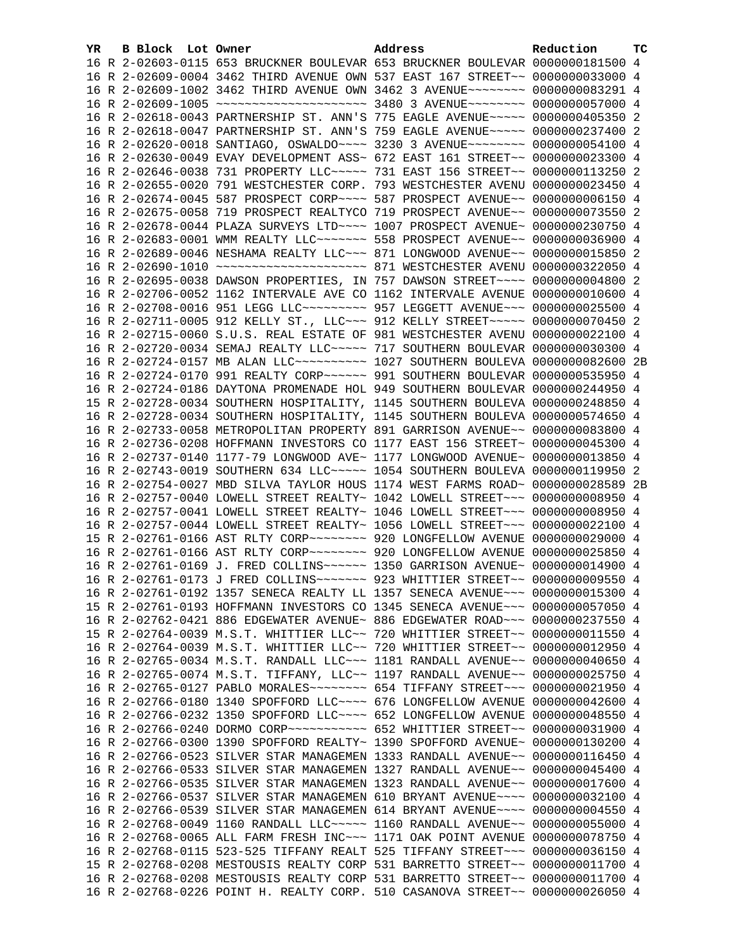| YR. | B Block Lot Owner | Address                                                                             | Reduction | тc |
|-----|-------------------|-------------------------------------------------------------------------------------|-----------|----|
|     |                   | 16 R 2-02603-0115 653 BRUCKNER BOULEVAR 653 BRUCKNER BOULEVAR 0000000181500 4       |           |    |
|     |                   | 16 R 2-02609-0004 3462 THIRD AVENUE OWN 537 EAST 167 STREET~~ 0000000033000 4       |           |    |
|     |                   | 16 R 2-02609-1002 3462 THIRD AVENUE OWN 3462 3 AVENUE~~~~~~~~ 0000000083291 4       |           |    |
|     |                   | 16 R 2-02609-1005 ~~~~~~~~~~~~~~~~~~~~~ 3480 3 AVENUE~~~~~~~~ 0000000057000 4       |           |    |
|     |                   | 16 R 2-02618-0043 PARTNERSHIP ST. ANN'S 775 EAGLE AVENUE~~~~~ 0000000405350 2       |           |    |
|     |                   | 16 R 2-02618-0047 PARTNERSHIP ST. ANN'S 759 EAGLE AVENUE~~~~~ 0000000237400 2       |           |    |
|     |                   | 16 R 2-02620-0018 SANTIAGO, OSWALDO~~~~ 3230 3 AVENUE~~~~~~~~ 0000000054100 4       |           |    |
|     |                   | 16 R 2-02630-0049 EVAY DEVELOPMENT ASS~ 672 EAST 161 STREET~~ 0000000023300 4       |           |    |
|     |                   | 16 R 2-02646-0038 731 PROPERTY LLC ---- 731 EAST 156 STREET -- 0000000113250 2      |           |    |
|     |                   | 16 R 2-02655-0020 791 WESTCHESTER CORP. 793 WESTCHESTER AVENU 0000000023450 4       |           |    |
|     |                   | 16 R 2-02674-0045 587 PROSPECT CORP~~~~ 587 PROSPECT AVENUE~~ 00000000006150 4      |           |    |
|     |                   | 16 R 2-02675-0058 719 PROSPECT REALTYCO 719 PROSPECT AVENUE~~ 0000000073550 2       |           |    |
|     |                   | 16 R 2-02678-0044 PLAZA SURVEYS LTD ~~~~ 1007 PROSPECT AVENUE~ 0000000230750 4      |           |    |
|     |                   | 16 R 2-02683-0001 WMM REALTY LLC ------- 558 PROSPECT AVENUE -- 0000000036900 4     |           |    |
|     |                   | 16 R 2-02689-0046 NESHAMA REALTY LLC ~~~ 871 LONGWOOD AVENUE ~~ 0000000015850 2     |           |    |
|     |                   |                                                                                     |           |    |
|     |                   | 16 R 2-02695-0038 DAWSON PROPERTIES, IN 757 DAWSON STREET~~~~ 0000000004800 2       |           |    |
|     |                   | 16 R 2-02706-0052 1162 INTERVALE AVE CO 1162 INTERVALE AVENUE 0000000010600 4       |           |    |
|     |                   | 16 R 2-02708-0016 951 LEGG LLC --------- 957 LEGGETT AVENUE --- 0000000025500 4     |           |    |
|     |                   | 16 R 2-02711-0005 912 KELLY ST., LLC ~~~ 912 KELLY STREET ~~~~~ 0000000070450 2     |           |    |
|     |                   | 16 R 2-02715-0060 S.U.S. REAL ESTATE OF 981 WESTCHESTER AVENU 0000000022100 4       |           |    |
|     |                   | 16 R 2-02720-0034 SEMAJ REALTY LLC ~~~~~ 717 SOUTHERN BOULEVAR 0000000030300 4      |           |    |
|     |                   | 16 R 2-02724-0157 MB ALAN LLC~~~~~~~~~~~~~~~ 1027 SOUTHERN BOULEVA 0000000082600 2B |           |    |
|     |                   | 16 R 2-02724-0170 991 REALTY CORP~~~~~~ 991 SOUTHERN BOULEVAR 0000000535950 4       |           |    |
|     |                   | 16 R 2-02724-0186 DAYTONA PROMENADE HOL 949 SOUTHERN BOULEVAR 0000000244950 4       |           |    |
|     |                   | 15 R 2-02728-0034 SOUTHERN HOSPITALITY, 1145 SOUTHERN BOULEVA 0000000248850 4       |           |    |
|     |                   | 16 R 2-02728-0034 SOUTHERN HOSPITALITY, 1145 SOUTHERN BOULEVA 0000000574650 4       |           |    |
|     |                   | 16 R 2-02733-0058 METROPOLITAN PROPERTY 891 GARRISON AVENUE~~ 0000000083800 4       |           |    |
|     |                   | 16 R 2-02736-0208 HOFFMANN INVESTORS CO 1177 EAST 156 STREET~ 0000000045300 4       |           |    |
|     |                   | 16 R 2-02737-0140 1177-79 LONGWOOD AVE~ 1177 LONGWOOD AVENUE~ 0000000013850 4       |           |    |
|     |                   | 16 R 2-02743-0019 SOUTHERN 634 LLC~~~~~ 1054 SOUTHERN BOULEVA 0000000119950 2       |           |    |
|     |                   | 16 R 2-02754-0027 MBD SILVA TAYLOR HOUS 1174 WEST FARMS ROAD~ 0000000028589 2B      |           |    |
|     |                   | 16 R 2-02757-0040 LOWELL STREET REALTY~ 1042 LOWELL STREET~~~ 00000000008950 4      |           |    |
|     |                   | 16 R 2-02757-0041 LOWELL STREET REALTY~ 1046 LOWELL STREET~~~ 00000000008950 4      |           |    |
|     |                   | 16 R 2-02757-0044 LOWELL STREET REALTY~ 1056 LOWELL STREET~~~ 0000000022100 4       |           |    |
|     |                   | 15 R 2-02761-0166 AST RLTY CORP~~~~~~~~ 920 LONGFELLOW AVENUE 0000000029000 4       |           |    |
|     |                   | 16 R 2-02761-0166 AST RLTY CORP~~~~~~~~ 920 LONGFELLOW AVENUE 0000000025850 4       |           |    |
|     |                   |                                                                                     |           |    |
|     |                   | 16 R 2-02761-0173 J FRED COLLINS~~~~~~~ 923 WHITTIER STREET~~ 0000000009550 4       |           |    |
|     |                   | 16 R 2-02761-0192 1357 SENECA REALTY LL 1357 SENECA AVENUE~~~ 0000000015300 4       |           |    |
|     |                   | 15 R 2-02761-0193 HOFFMANN INVESTORS CO 1345 SENECA AVENUE~~~ 0000000057050 4       |           |    |
|     |                   | 16 R 2-02762-0421 886 EDGEWATER AVENUE~ 886 EDGEWATER ROAD~~~ 0000000237550 4       |           |    |
|     |                   | 15 R 2-02764-0039 M.S.T. WHITTIER LLC~~ 720 WHITTIER STREET~~ 0000000011550 4       |           |    |
|     |                   | 16 R 2-02764-0039 M.S.T. WHITTIER LLC~~ 720 WHITTIER STREET~~ 0000000012950 4       |           |    |
|     |                   | 16 R 2-02765-0034 M.S.T. RANDALL LLC~~~ 1181 RANDALL AVENUE~~ 0000000040650 4       |           |    |
|     |                   | 16 R 2-02765-0074 M.S.T. TIFFANY, LLC~~ 1197 RANDALL AVENUE~~ 0000000025750 4       |           |    |
|     |                   | 16 R 2-02765-0127 PABLO MORALES~~~~~~~~ 654 TIFFANY STREET~~~ 0000000021950 4       |           |    |
|     |                   | 16 R 2-02766-0180 1340 SPOFFORD LLC ~~~~ 676 LONGFELLOW AVENUE 0000000042600 4      |           |    |
|     |                   | 16 R 2-02766-0232 1350 SPOFFORD LLC ~~~~ 652 LONGFELLOW AVENUE 0000000048550 4      |           |    |
|     |                   | 16 R 2-02766-0240 DORMO CORP ~~~~~~~~~~~~ 652 WHITTIER STREET ~~ 0000000031900 4    |           |    |
|     |                   | 16 R 2-02766-0300 1390 SPOFFORD REALTY~ 1390 SPOFFORD AVENUE~ 0000000130200 4       |           |    |
|     |                   | 16 R 2-02766-0523 SILVER STAR MANAGEMEN 1333 RANDALL AVENUE~~ 0000000116450 4       |           |    |
|     |                   | 16 R 2-02766-0533 SILVER STAR MANAGEMEN 1327 RANDALL AVENUE~~ 0000000045400 4       |           |    |
|     |                   | 16 R 2-02766-0535 SILVER STAR MANAGEMEN 1323 RANDALL AVENUE~~ 0000000017600 4       |           |    |
|     |                   | 16 R 2-02766-0537 SILVER STAR MANAGEMEN 610 BRYANT AVENUE~~~~ 0000000032100 4       |           |    |
|     |                   | 16 R 2-02766-0539 SILVER STAR MANAGEMEN 614 BRYANT AVENUE~~~~ 00000000004550 4      |           |    |
|     |                   | 16 R 2-02768-0049 1160 RANDALL LLC ~~~~~ 1160 RANDALL AVENUE ~~ 0000000055000 4     |           |    |
|     |                   | 16 R 2-02768-0065 ALL FARM FRESH INC~~~ 1171 OAK POINT AVENUE 0000000078750 4       |           |    |
|     |                   | 16 R 2-02768-0115 523-525 TIFFANY REALT 525 TIFFANY STREET~~~ 0000000036150 4       |           |    |
|     |                   | 15 R 2-02768-0208 MESTOUSIS REALTY CORP 531 BARRETTO STREET~~ 0000000011700 4       |           |    |
|     |                   | 16 R 2-02768-0208 MESTOUSIS REALTY CORP 531 BARRETTO STREET~~ 0000000011700 4       |           |    |
|     |                   | 16 R 2-02768-0226 POINT H. REALTY CORP. 510 CASANOVA STREET~~ 0000000026050 4       |           |    |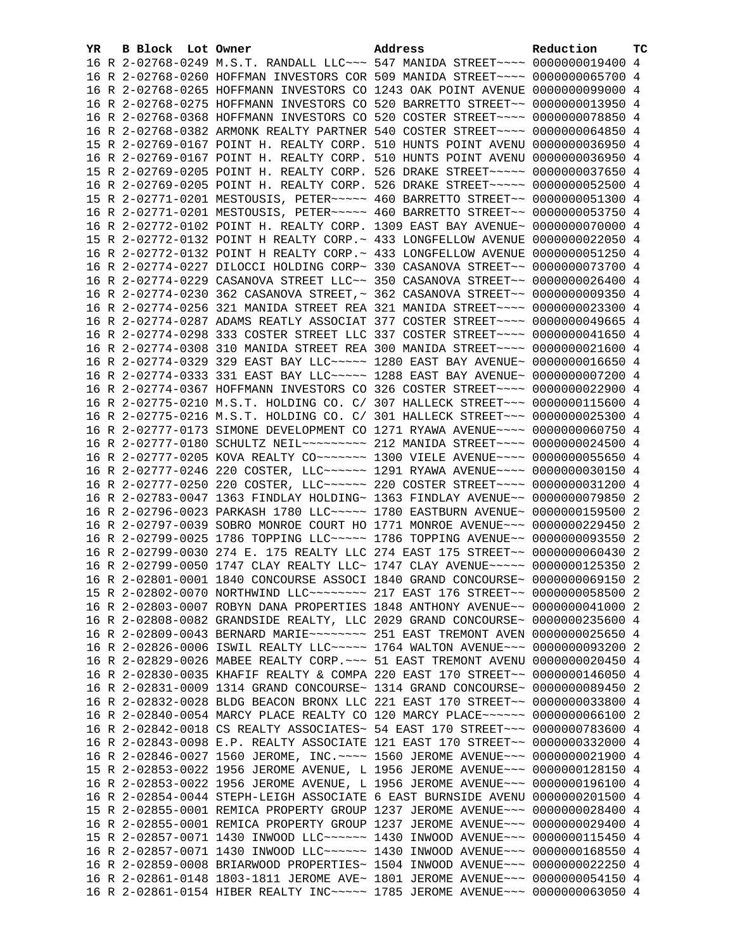| YR. | B Block Lot Owner | Address                                                                                                                                                       | Reduction | <b>TC</b> |
|-----|-------------------|---------------------------------------------------------------------------------------------------------------------------------------------------------------|-----------|-----------|
|     |                   | 16 R 2-02768-0249 M.S.T. RANDALL LLC~~~ 547 MANIDA STREET~~~~ 0000000019400 4                                                                                 |           |           |
|     |                   | 16 R 2-02768-0260 HOFFMAN INVESTORS COR 509 MANIDA STREET~~~~ 0000000065700 4                                                                                 |           |           |
|     |                   | 16 R 2-02768-0265 HOFFMANN INVESTORS CO 1243 OAK POINT AVENUE 0000000099000 4                                                                                 |           |           |
|     |                   | 16 R 2-02768-0275 HOFFMANN INVESTORS CO 520 BARRETTO STREET~~ 0000000013950 4                                                                                 |           |           |
|     |                   | 16 R 2-02768-0368 HOFFMANN INVESTORS CO 520 COSTER STREET~~~~ 0000000078850 4                                                                                 |           |           |
|     |                   | 16 R 2-02768-0382 ARMONK REALTY PARTNER 540 COSTER STREET~~~~ 0000000064850 4                                                                                 |           |           |
|     |                   | 15 R 2-02769-0167 POINT H. REALTY CORP. 510 HUNTS POINT AVENU 0000000036950 4                                                                                 |           |           |
|     |                   | 16 R 2-02769-0167 POINT H. REALTY CORP. 510 HUNTS POINT AVENU 0000000036950 4                                                                                 |           |           |
|     |                   | 15 R 2-02769-0205 POINT H. REALTY CORP. 526 DRAKE STREET~~~~~ 0000000037650 4                                                                                 |           |           |
|     |                   | 16 R 2-02769-0205 POINT H. REALTY CORP. 526 DRAKE STREET~~~~~ 0000000052500 4                                                                                 |           |           |
|     |                   | 15 R 2-02771-0201 MESTOUSIS, PETER ~~~~~ 460 BARRETTO STREET ~~ 0000000051300 4                                                                               |           |           |
|     |                   | 16 R 2-02771-0201 MESTOUSIS, PETER~~~~~ 460 BARRETTO STREET~~ 0000000053750 4                                                                                 |           |           |
|     |                   | 16 R 2-02772-0102 POINT H. REALTY CORP. 1309 EAST BAY AVENUE~ 0000000070000 4                                                                                 |           |           |
|     |                   | 15 R 2-02772-0132 POINT H REALTY CORP. ~ 433 LONGFELLOW AVENUE 0000000022050 4                                                                                |           |           |
|     |                   | 16 R 2-02772-0132 POINT H REALTY CORP. ~ 433 LONGFELLOW AVENUE 0000000051250 4                                                                                |           |           |
|     |                   | 16 R 2-02774-0227 DILOCCI HOLDING CORP~ 330 CASANOVA STREET~~ 0000000073700 4                                                                                 |           |           |
|     |                   | 16 R 2-02774-0229 CASANOVA STREET LLC~~ 350 CASANOVA STREET~~ 0000000026400 4                                                                                 |           |           |
|     |                   | 16 R 2-02774-0230 362 CASANOVA STREET, ~ 362 CASANOVA STREET~~ 0000000009350 4                                                                                |           |           |
|     |                   | 16 R 2-02774-0256 321 MANIDA STREET REA 321 MANIDA STREET~~~~ 0000000023300 4                                                                                 |           |           |
|     |                   | 16 R 2-02774-0287 ADAMS REATLY ASSOCIAT 377 COSTER STREET~~~~ 0000000049665 4                                                                                 |           |           |
|     |                   | 16 R 2-02774-0298 333 COSTER STREET LLC 337 COSTER STREET~~~~ 0000000041650 4                                                                                 |           |           |
|     |                   | 16 R 2-02774-0308 310 MANIDA STREET REA 300 MANIDA STREET~~~~ 0000000021600 4                                                                                 |           |           |
|     |                   | 16 R 2-02774-0329 329 EAST BAY LLC ---- 1280 EAST BAY AVENUE ~ 0000000016650 4                                                                                |           |           |
|     |                   | 16 R 2-02774-0333 331 EAST BAY LLC ---- 1288 EAST BAY AVENUE ~ 0000000007200 4                                                                                |           |           |
|     |                   | 16 R 2-02774-0367 HOFFMANN INVESTORS CO 326 COSTER STREET~~~~ 0000000022900 4                                                                                 |           |           |
|     |                   | 16 R 2-02775-0210 M.S.T. HOLDING CO. C/ 307 HALLECK STREET~~~ 0000000115600 4                                                                                 |           |           |
|     |                   | 16 R 2-02775-0216 M.S.T. HOLDING CO. C/ 301 HALLECK STREET~~~ 0000000025300 4                                                                                 |           |           |
|     |                   | 16 R 2-02777-0173 SIMONE DEVELOPMENT CO 1271 RYAWA AVENUE~~~~ 0000000060750 4                                                                                 |           |           |
|     |                   | 16 R 2-02777-0180 SCHULTZ NEIL~~~~~~~~~ 212 MANIDA STREET~~~~ 0000000024500 4                                                                                 |           |           |
|     |                   | 16 R 2-02777-0205 KOVA REALTY CO~~~~~~~ 1300 VIELE AVENUE~~~~ 0000000055650 4                                                                                 |           |           |
|     |                   | 16 R 2-02777-0246 220 COSTER, LLC ----- 1291 RYAWA AVENUE --- 0000000030150 4                                                                                 |           |           |
|     |                   | 16 R 2-02777-0250 220 COSTER, LLC ----- 220 COSTER STREET ---- 0000000031200 4                                                                                |           |           |
|     |                   | 16 R 2-02783-0047 1363 FINDLAY HOLDING~ 1363 FINDLAY AVENUE~~ 0000000079850 2                                                                                 |           |           |
|     |                   | 16 R 2-02796-0023 PARKASH 1780 LLC~~~~~ 1780 EASTBURN AVENUE~ 0000000159500 2                                                                                 |           |           |
|     |                   | 16 R 2-02797-0039 SOBRO MONROE COURT HO 1771 MONROE AVENUE~~~ 0000000229450 2                                                                                 |           |           |
|     |                   | 16 R 2-02799-0025 1786 TOPPING LLC ~~~~~ 1786 TOPPING AVENUE ~~ 0000000093550 2                                                                               |           |           |
|     |                   | 16 R 2-02799-0030 274 E. 175 REALTY LLC 274 EAST 175 STREET~~ 0000000060430 2                                                                                 |           |           |
|     |                   | 16 R 2-02799-0050 1747 CLAY REALTY LLC~ 1747 CLAY AVENUE~~~~~ 0000000125350 2                                                                                 |           |           |
|     |                   | 16 R 2-02801-0001 1840 CONCOURSE ASSOCI 1840 GRAND CONCOURSE~ 0000000069150 2                                                                                 |           |           |
|     |                   | 15 R 2-02802-0070 NORTHWIND LLC~~~~~~~~ 217 EAST 176 STREET~~ 0000000058500 2                                                                                 |           |           |
|     |                   | 16 R 2-02803-0007 ROBYN DANA PROPERTIES 1848 ANTHONY AVENUE~~ 0000000041000 2                                                                                 |           |           |
|     |                   | 16 R 2-02808-0082 GRANDSIDE REALTY, LLC 2029 GRAND CONCOURSE~ 0000000235600 4                                                                                 |           |           |
|     |                   | 16 R 2-02809-0043 BERNARD MARIE~~~~~~~~ 251 EAST TREMONT AVEN 0000000025650 4                                                                                 |           |           |
|     |                   | 16 R 2-02826-0006 ISWIL REALTY LLC ---- 1764 WALTON AVENUE -- 0000000093200                                                                                   |           | -2        |
|     |                   | 16 R 2-02829-0026 MABEE REALTY CORP. ~~~ 51 EAST TREMONT AVENU 0000000020450<br>16 R 2-02830-0035 KHAFIF REALTY & COMPA 220 EAST 170 STREET~~ 0000000146050 4 |           | 4         |
|     |                   | 16 R 2-02831-0009 1314 GRAND CONCOURSE~ 1314 GRAND CONCOURSE~ 0000000089450                                                                                   |           | -2        |
|     |                   | 16 R 2-02832-0028 BLDG BEACON BRONX LLC 221 EAST 170 STREET~~ 0000000033800 4                                                                                 |           |           |
|     |                   | 16 R 2-02840-0054 MARCY PLACE REALTY CO 120 MARCY PLACE~~~~~~ 0000000066100                                                                                   |           | -2        |
|     |                   | 16 R 2-02842-0018 CS REALTY ASSOCIATES~ 54 EAST 170 STREET~~~ 0000000783600 4                                                                                 |           |           |
|     |                   | 16 R 2-02843-0098 E.P. REALTY ASSOCIATE 121 EAST 170 STREET~~ 0000000332000 4                                                                                 |           |           |
|     |                   | 16 R 2-02846-0027 1560 JEROME, INC. ---- 1560 JEROME AVENUE --- 0000000021900 4                                                                               |           |           |
|     |                   | 15 R 2-02853-0022 1956 JEROME AVENUE, L 1956 JEROME AVENUE~~~ 0000000128150 4                                                                                 |           |           |
|     |                   | 16 R 2-02853-0022 1956 JEROME AVENUE, L 1956 JEROME AVENUE~~~ 0000000196100 4                                                                                 |           |           |
|     |                   | 16 R 2-02854-0044 STEPH-LEIGH ASSOCIATE 6 EAST BURNSIDE AVENU 0000000201500 4                                                                                 |           |           |
|     |                   | 15 R 2-02855-0001 REMICA PROPERTY GROUP 1237 JEROME AVENUE~~~ 0000000028400 4                                                                                 |           |           |
|     |                   | 16 R 2-02855-0001 REMICA PROPERTY GROUP 1237 JEROME AVENUE~~~ 0000000029400 4                                                                                 |           |           |
|     |                   | 15 R 2-02857-0071 1430 INWOOD LLC ----- 1430 INWOOD AVENUE -- 0000000115450                                                                                   |           | 4         |
|     |                   | 16 R 2-02857-0071 1430 INWOOD LLC~~~~~~ 1430 INWOOD AVENUE~~~ 0000000168550 4                                                                                 |           |           |
|     |                   | 16 R 2-02859-0008 BRIARWOOD PROPERTIES~ 1504 INWOOD AVENUE~~~ 0000000022250 4                                                                                 |           |           |
|     |                   | 16 R 2-02861-0148 1803-1811 JEROME AVE~ 1801 JEROME AVENUE~~~ 0000000054150 4                                                                                 |           |           |
|     |                   | 16 R 2-02861-0154 HIBER REALTY INC~~~~~ 1785 JEROME AVENUE~~~ 0000000063050 4                                                                                 |           |           |
|     |                   |                                                                                                                                                               |           |           |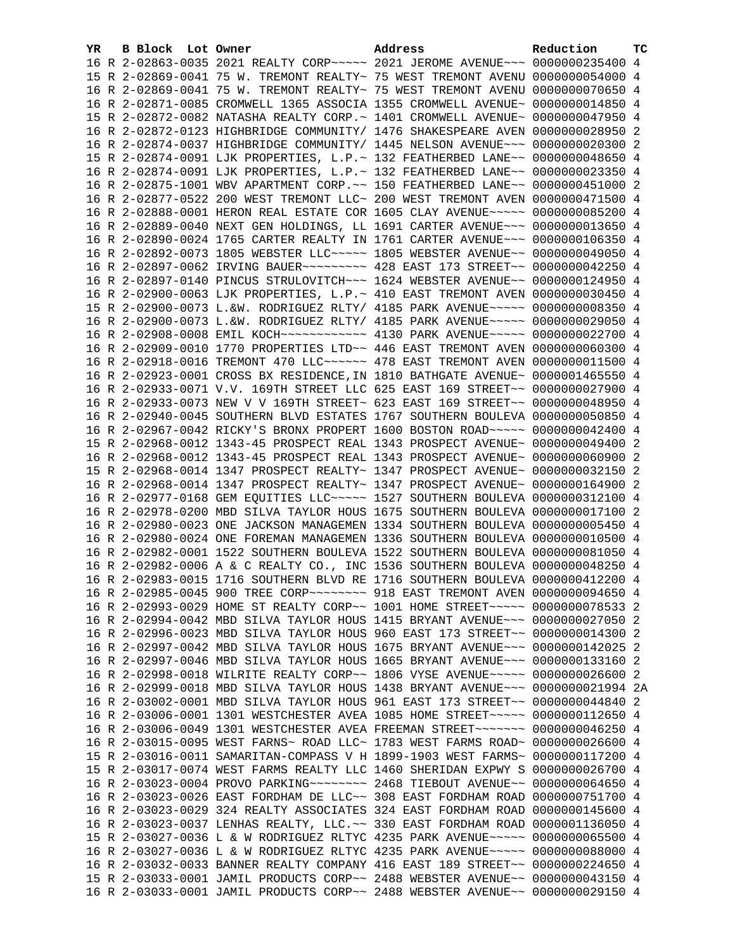| YR | B Block Lot Owner |                                                               | Address                                                                                 | Reduction       | <b>TC</b> |
|----|-------------------|---------------------------------------------------------------|-----------------------------------------------------------------------------------------|-----------------|-----------|
|    |                   |                                                               | 16 R 2-02863-0035 2021 REALTY CORP~~~~~ 2021 JEROME AVENUE~~~ 0000000235400 4           |                 |           |
|    |                   |                                                               | 15 R 2-02869-0041 75 W. TREMONT REALTY~ 75 WEST TREMONT AVENU 0000000054000 4           |                 |           |
|    |                   |                                                               | 16 R 2-02869-0041 75 W. TREMONT REALTY~ 75 WEST TREMONT AVENU 0000000070650 4           |                 |           |
|    |                   |                                                               | 16 R 2-02871-0085 CROMWELL 1365 ASSOCIA 1355 CROMWELL AVENUE~ 0000000014850 4           |                 |           |
|    |                   |                                                               | 15 R 2-02872-0082 NATASHA REALTY CORP. ~ 1401 CROMWELL AVENUE~ 0000000047950 4          |                 |           |
|    |                   |                                                               | 16 R 2-02872-0123 HIGHBRIDGE COMMUNITY/ 1476 SHAKESPEARE AVEN 0000000028950 2           |                 |           |
|    |                   |                                                               | 16 R 2-02874-0037 HIGHBRIDGE COMMUNITY/ 1445 NELSON AVENUE~~~ 0000000020300 2           |                 |           |
|    |                   |                                                               | 15 R 2-02874-0091 LJK PROPERTIES, L.P.~ 132 FEATHERBED LANE~~ 0000000048650 4           |                 |           |
|    |                   | 16 R 2-02874-0091 LJK PROPERTIES, L.P.~ 132 FEATHERBED LANE~~ |                                                                                         | 0000000023350 4 |           |
|    |                   |                                                               | 16 R 2-02875-1001 WBV APARTMENT CORP. ~~ 150 FEATHERBED LANE ~~ 0000000451000 2         |                 |           |
|    |                   |                                                               | 16 R 2-02877-0522 200 WEST TREMONT LLC~ 200 WEST TREMONT AVEN 0000000471500 4           |                 |           |
|    |                   |                                                               | 16 R 2-02888-0001 HERON REAL ESTATE COR 1605 CLAY AVENUE~~~~~ 0000000085200 4           |                 |           |
|    |                   |                                                               | 16 R 2-02889-0040 NEXT GEN HOLDINGS, LL 1691 CARTER AVENUE~~~ 0000000013650 4           |                 |           |
|    |                   |                                                               | 16 R 2-02890-0024 1765 CARTER REALTY IN 1761 CARTER AVENUE~~~ 0000000106350 4           |                 |           |
|    |                   |                                                               | 16 R 2-02892-0073 1805 WEBSTER LLC~~~~~ 1805 WEBSTER AVENUE~~ 0000000049050 4           |                 |           |
|    |                   |                                                               | 16 R 2-02897-0062 IRVING BAUER~~~~~~~~~ 428 EAST 173 STREET~~ 0000000042250 4           |                 |           |
|    |                   |                                                               | 16 R 2-02897-0140 PINCUS STRULOVITCH~~~ 1624 WEBSTER AVENUE~~ 0000000124950 4           |                 |           |
|    |                   |                                                               | 16 R 2-02900-0063 LJK PROPERTIES, L.P.~ 410 EAST TREMONT AVEN 0000000030450 4           |                 |           |
|    |                   |                                                               | 15 R 2-02900-0073 L.&W. RODRIGUEZ RLTY/ 4185 PARK AVENUE~~~~~ 0000000008350 4           |                 |           |
|    |                   |                                                               | 16 R 2-02900-0073 L.&W. RODRIGUEZ RLTY/ 4185 PARK AVENUE~~~~~ 0000000029050 4           |                 |           |
|    |                   |                                                               | 16 R 2-02908-0008 EMIL KOCH~~~~~~~~~~~~~~~~~~~~~ 4130 PARK AVENUE~~~~~~ 0000000022700 4 |                 |           |
|    |                   |                                                               | 16 R 2-02909-0010 1770 PROPERTIES LTD~~ 446 EAST TREMONT AVEN 0000000060300 4           |                 |           |
|    |                   |                                                               | 16 R 2-02918-0016 TREMONT 470 LLC ~~~~~~ 478 EAST TREMONT AVEN 0000000011500 4          |                 |           |
|    |                   |                                                               | 16 R 2-02923-0001 CROSS BX RESIDENCE, IN 1810 BATHGATE AVENUE~ 0000001465550 4          |                 |           |
|    |                   |                                                               | 16 R 2-02933-0071 V.V. 169TH STREET LLC 625 EAST 169 STREET~~ 0000000027900 4           |                 |           |
|    |                   |                                                               | 16 R 2-02933-0073 NEW V V 169TH STREET~ 623 EAST 169 STREET~~ 0000000048950 4           |                 |           |
|    |                   |                                                               | 16 R 2-02940-0045 SOUTHERN BLVD ESTATES 1767 SOUTHERN BOULEVA 0000000050850 4           |                 |           |
|    |                   |                                                               | 16 R 2-02967-0042 RICKY'S BRONX PROPERT 1600 BOSTON ROAD~~~~~ 0000000042400 4           |                 |           |
|    |                   |                                                               | 15 R 2-02968-0012 1343-45 PROSPECT REAL 1343 PROSPECT AVENUE~ 0000000049400 2           |                 |           |
|    |                   |                                                               | 16 R 2-02968-0012 1343-45 PROSPECT REAL 1343 PROSPECT AVENUE~ 0000000060900 2           |                 |           |
|    |                   |                                                               | 15 R 2-02968-0014 1347 PROSPECT REALTY~ 1347 PROSPECT AVENUE~ 0000000032150 2           |                 |           |
|    |                   |                                                               | 16 R 2-02968-0014 1347 PROSPECT REALTY~ 1347 PROSPECT AVENUE~ 0000000164900 2           |                 |           |
|    |                   |                                                               | 16 R 2-02977-0168 GEM EQUITIES LLC~~~~~ 1527 SOUTHERN BOULEVA 0000000312100 4           |                 |           |
|    |                   |                                                               | 16 R 2-02978-0200 MBD SILVA TAYLOR HOUS 1675 SOUTHERN BOULEVA 0000000017100 2           |                 |           |
|    |                   |                                                               | 16 R 2-02980-0023 ONE JACKSON MANAGEMEN 1334 SOUTHERN BOULEVA 0000000005450 4           |                 |           |
|    |                   |                                                               | 16 R 2-02980-0024 ONE FOREMAN MANAGEMEN 1336 SOUTHERN BOULEVA 0000000010500 4           |                 |           |
|    |                   |                                                               | 16 R 2-02982-0001 1522 SOUTHERN BOULEVA 1522 SOUTHERN BOULEVA 0000000081050 4           |                 |           |
|    |                   |                                                               | 16 R 2-02982-0006 A & C REALTY CO., INC 1536 SOUTHERN BOULEVA 0000000048250 4           |                 |           |
|    |                   |                                                               | 16 R 2-02983-0015 1716 SOUTHERN BLVD RE 1716 SOUTHERN BOULEVA 0000000412200 4           |                 |           |
|    |                   |                                                               | 16 R 2-02985-0045 900 TREE CORP~~~~~~~~ 918 EAST TREMONT AVEN 0000000094650 4           |                 |           |
|    |                   |                                                               | 16 R 2-02993-0029 HOME ST REALTY CORP~~ 1001 HOME STREET~~~~~ 0000000078533 2           |                 |           |
|    |                   |                                                               | 16 R 2-02994-0042 MBD SILVA TAYLOR HOUS 1415 BRYANT AVENUE~~~ 0000000027050 2           |                 |           |
|    |                   |                                                               | 16 R 2-02996-0023 MBD SILVA TAYLOR HOUS 960 EAST 173 STREET~~ 0000000014300             |                 | - 2       |
|    |                   |                                                               | 16 R 2-02997-0042 MBD SILVA TAYLOR HOUS 1675 BRYANT AVENUE~~~ 0000000142025             |                 | 2         |
|    |                   |                                                               | 16 R 2-02997-0046 MBD SILVA TAYLOR HOUS 1665 BRYANT AVENUE~~~ 0000000133160             |                 | 2         |
|    |                   |                                                               | 16 R 2-02998-0018 WILRITE REALTY CORP~~ 1806 VYSE AVENUE~~~~~ 0000000026600 2           |                 |           |
|    |                   |                                                               | 16 R 2-02999-0018 MBD SILVA TAYLOR HOUS 1438 BRYANT AVENUE~~~ 0000000021994 2A          |                 |           |
|    |                   |                                                               | 16 R 2-03002-0001 MBD SILVA TAYLOR HOUS 961 EAST 173 STREET~~ 0000000044840             |                 | 2         |
|    |                   |                                                               | 16 R 2-03006-0001 1301 WESTCHESTER AVEA 1085 HOME STREET~~~~~ 0000000112650 4           |                 |           |
|    |                   |                                                               | 16 R 2-03006-0049 1301 WESTCHESTER AVEA FREEMAN STREET~~~~~~~ 0000000046250 4           |                 |           |
|    |                   |                                                               | 16 R 2-03015-0095 WEST FARNS~ ROAD LLC~ 1783 WEST FARMS ROAD~ 0000000026600 4           |                 |           |
|    |                   |                                                               | 15 R 2-03016-0011 SAMARITAN-COMPASS V H 1899-1903 WEST FARMS~ 0000000117200 4           |                 |           |
|    |                   |                                                               | 15 R 2-03017-0074 WEST FARMS REALTY LLC 1460 SHERIDAN EXPWY S 0000000026700 4           |                 |           |
|    |                   |                                                               | 16 R 2-03023-0004 PROVO PARKING~~~~~~~~~~~~~~ 2468 TIEBOUT AVENUE~~~ 0000000064650      |                 | 4         |
|    |                   |                                                               | 16 R 2-03023-0026 EAST FORDHAM DE LLC~~ 308 EAST FORDHAM ROAD 0000000751700 4           |                 |           |
|    |                   |                                                               | 16 R 2-03023-0029 324 REALTY ASSOCIATES 324 EAST FORDHAM ROAD 0000000145600 4           |                 |           |
|    |                   |                                                               | 16 R 2-03023-0037 LENHAS REALTY, LLC.~~ 330 EAST FORDHAM ROAD 0000001136050 4           |                 |           |
|    |                   |                                                               | 15 R 2-03027-0036 L & W RODRIGUEZ RLTYC 4235 PARK AVENUE~~~~~ 0000000065500 4           |                 |           |
|    |                   |                                                               | 16 R 2-03027-0036 L & W RODRIGUEZ RLTYC 4235 PARK AVENUE~~~~~ 0000000088000 4           |                 |           |
|    |                   |                                                               | 16 R 2-03032-0033 BANNER REALTY COMPANY 416 EAST 189 STREET~~ 0000000224650 4           |                 |           |
|    |                   |                                                               | 15 R 2-03033-0001 JAMIL PRODUCTS CORP~~ 2488 WEBSTER AVENUE~~ 0000000043150 4           |                 |           |
|    |                   |                                                               | 16 R 2-03033-0001 JAMIL PRODUCTS CORP~~ 2488 WEBSTER AVENUE~~ 0000000029150 4           |                 |           |
|    |                   |                                                               |                                                                                         |                 |           |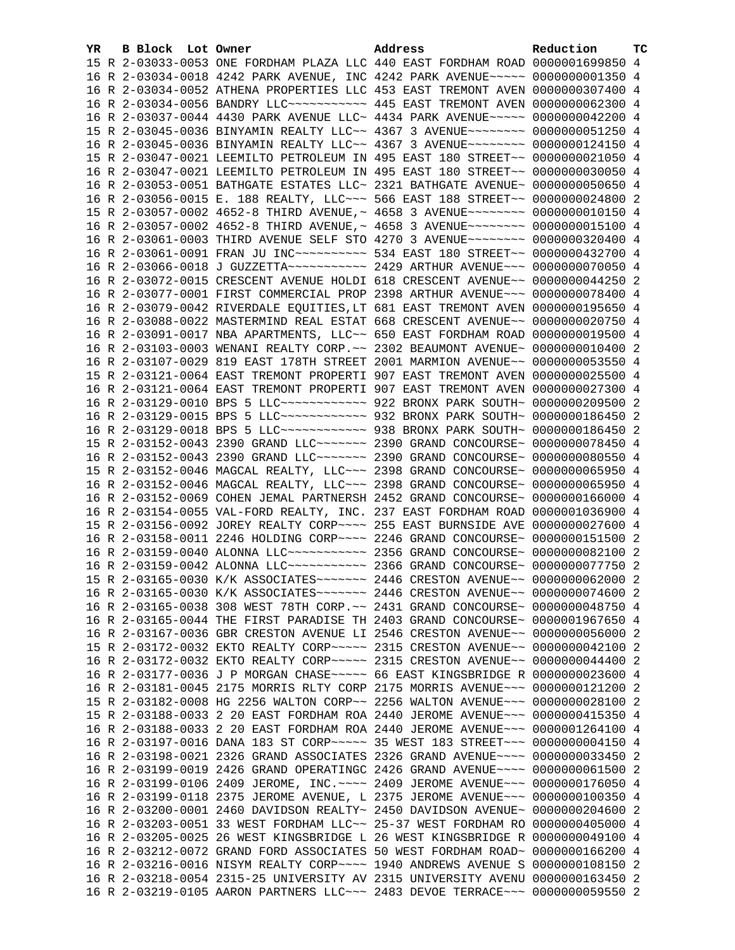| YR. | B Block Lot Owner |                                                               | Address                                                                                                                                                         | Reduction       | тc |
|-----|-------------------|---------------------------------------------------------------|-----------------------------------------------------------------------------------------------------------------------------------------------------------------|-----------------|----|
|     |                   |                                                               | 15 R 2-03033-0053 ONE FORDHAM PLAZA LLC 440 EAST FORDHAM ROAD 0000001699850 4                                                                                   |                 |    |
|     |                   |                                                               | 16 R 2-03034-0018 4242 PARK AVENUE, INC 4242 PARK AVENUE~~~~~ 00000000001350 4                                                                                  |                 |    |
|     |                   |                                                               | 16 R 2-03034-0052 ATHENA PROPERTIES LLC 453 EAST TREMONT AVEN 0000000307400 4                                                                                   |                 |    |
|     |                   |                                                               | 16 R 2-03034-0056 BANDRY LLC ----------- 445 EAST TREMONT AVEN 0000000062300 4                                                                                  |                 |    |
|     |                   |                                                               | 16 R 2-03037-0044 4430 PARK AVENUE LLC~ 4434 PARK AVENUE~~~~~ 0000000042200 4                                                                                   |                 |    |
|     |                   |                                                               | 15 R 2-03045-0036 BINYAMIN REALTY LLC~~ 4367 3 AVENUE~~~~~~~~ 0000000051250 4                                                                                   |                 |    |
|     |                   |                                                               | 16 R 2-03045-0036 BINYAMIN REALTY LLC~~ 4367 3 AVENUE~~~~~~~~ 0000000124150 4                                                                                   |                 |    |
|     |                   |                                                               | 15 R 2-03047-0021 LEEMILTO PETROLEUM IN 495 EAST 180 STREET~~ 0000000021050 4                                                                                   |                 |    |
|     |                   |                                                               | 16 R 2-03047-0021 LEEMILTO PETROLEUM IN 495 EAST 180 STREET~~ 0000000030050 4                                                                                   |                 |    |
|     |                   |                                                               | 16 R 2-03053-0051 BATHGATE ESTATES LLC~ 2321 BATHGATE AVENUE~ 0000000050650 4                                                                                   |                 |    |
|     |                   |                                                               | 16 R 2-03056-0015 E. 188 REALTY, LLC ~~~ 566 EAST 188 STREET ~~ 0000000024800 2                                                                                 |                 |    |
|     |                   |                                                               | 15 R 2-03057-0002 4652-8 THIRD AVENUE, ~ 4658 3 AVENUE~~~~~~~~ 0000000010150 4                                                                                  |                 |    |
|     |                   |                                                               | 16 R 2-03057-0002 4652-8 THIRD AVENUE, ~ 4658 3 AVENUE~~~~~~~~ 0000000015100 4                                                                                  |                 |    |
|     |                   |                                                               | 16 R 2-03061-0003 THIRD AVENUE SELF STO 4270 3 AVENUE~~~~~~~~ 0000000320400 4                                                                                   |                 |    |
|     |                   |                                                               | 16 R 2-03061-0091 FRAN JU INC~~~~~~~~~~~ 534 EAST 180 STREET~~ 0000000432700 4                                                                                  |                 |    |
|     |                   |                                                               |                                                                                                                                                                 |                 |    |
|     |                   |                                                               | 16 R 2-03072-0015 CRESCENT AVENUE HOLDI 618 CRESCENT AVENUE~~ 0000000044250 2                                                                                   |                 |    |
|     |                   |                                                               | 16 R 2-03077-0001 FIRST COMMERCIAL PROP 2398 ARTHUR AVENUE~~~ 0000000078400 4                                                                                   |                 |    |
|     |                   |                                                               | 16 R 2-03079-0042 RIVERDALE EQUITIES, LT 681 EAST TREMONT AVEN 0000000195650 4                                                                                  |                 |    |
|     |                   |                                                               | 16 R 2-03088-0022 MASTERMIND REAL ESTAT 668 CRESCENT AVENUE~~ 0000000020750 4                                                                                   |                 |    |
|     |                   |                                                               | 16 R 2-03091-0017 NBA APARTMENTS, LLC~~ 650 EAST FORDHAM ROAD 0000000019500 4                                                                                   |                 |    |
|     |                   |                                                               | 16 R 2-03103-0003 WENANI REALTY CORP. ~~ 2302 BEAUMONT AVENUE~ 0000000010400 2                                                                                  |                 |    |
|     |                   |                                                               | 16 R 2-03107-0029 819 EAST 178TH STREET 2001 MARMION AVENUE~~ 0000000053550 4                                                                                   |                 |    |
|     |                   |                                                               | 15 R 2-03121-0064 EAST TREMONT PROPERTI 907 EAST TREMONT AVEN 0000000025500 4                                                                                   |                 |    |
|     |                   |                                                               | 16 R 2-03121-0064 EAST TREMONT PROPERTI 907 EAST TREMONT AVEN 0000000027300 4                                                                                   |                 |    |
|     |                   |                                                               | 16 R 2-03129-0010 BPS 5 LLC ------------ 922 BRONX PARK SOUTH ~ 0000000209500 2                                                                                 |                 |    |
|     |                   |                                                               | 16 R 2-03129-0015 BPS 5 LLC ------------ 932 BRONX PARK SOUTH ~ 0000000186450 2                                                                                 |                 |    |
|     |                   |                                                               | 16 R 2-03129-0018 BPS 5 LLC ------------ 938 BRONX PARK SOUTH ~ 0000000186450 2                                                                                 |                 |    |
|     |                   |                                                               | 15 R 2-03152-0043 2390 GRAND LLC ------- 2390 GRAND CONCOURSE ~ 0000000078450 4                                                                                 |                 |    |
|     |                   |                                                               | 16 R 2-03152-0043 2390 GRAND LLC ------ 2390 GRAND CONCOURSE ~ 0000000080550 4                                                                                  |                 |    |
|     |                   |                                                               | 15 R 2-03152-0046 MAGCAL REALTY, LLC ~~~ 2398 GRAND CONCOURSE~ 0000000065950 4                                                                                  |                 |    |
|     |                   |                                                               | 16 R 2-03152-0046 MAGCAL REALTY, LLC ~~~ 2398 GRAND CONCOURSE~ 0000000065950 4                                                                                  |                 |    |
|     |                   |                                                               | 16 R 2-03152-0069 COHEN JEMAL PARTNERSH 2452 GRAND CONCOURSE~ 0000000166000 4                                                                                   |                 |    |
|     |                   |                                                               | 16 R 2-03154-0055 VAL-FORD REALTY, INC. 237 EAST FORDHAM ROAD 0000001036900 4<br>15 R 2-03156-0092 JOREY REALTY CORP~~~~ 255 EAST BURNSIDE AVE 0000000027600 4  |                 |    |
|     |                   |                                                               |                                                                                                                                                                 |                 |    |
|     |                   |                                                               | 16 R 2-03158-0011 2246 HOLDING CORP~~~~ 2246 GRAND CONCOURSE~ 0000000151500 2<br>16 R 2-03159-0040 ALONNA LLC ---------- 2356 GRAND CONCOURSE ~ 0000000082100 2 |                 |    |
|     |                   |                                                               | 16 R 2-03159-0042 ALONNA LLC ---------- 2366 GRAND CONCOURSE ~ 0000000077750 2                                                                                  |                 |    |
|     |                   |                                                               | 15 R 2-03165-0030 K/K ASSOCIATES~~~~~~~ 2446 CRESTON AVENUE~~ 0000000062000 2                                                                                   |                 |    |
|     |                   |                                                               | 16 R 2-03165-0030 K/K ASSOCIATES~~~~~~~ 2446 CRESTON AVENUE~~ 0000000074600 2                                                                                   |                 |    |
|     |                   |                                                               | 16 R 2-03165-0038 308 WEST 78TH CORP. ~~ 2431 GRAND CONCOURSE~ 0000000048750 4                                                                                  |                 |    |
|     |                   |                                                               | 16 R 2-03165-0044 THE FIRST PARADISE TH 2403 GRAND CONCOURSE~ 0000001967650 4                                                                                   |                 |    |
|     |                   |                                                               | 16 R 2-03167-0036 GBR CRESTON AVENUE LI 2546 CRESTON AVENUE~~ 0000000056000 2                                                                                   |                 |    |
|     |                   |                                                               | 15 R 2-03172-0032 EKTO REALTY CORP~~~~~ 2315 CRESTON AVENUE~~ 0000000042100 2                                                                                   |                 |    |
|     |                   |                                                               | 16 R 2-03172-0032 EKTO REALTY CORP~~~~~ 2315 CRESTON AVENUE~~ 0000000044400 2                                                                                   |                 |    |
|     |                   |                                                               | 16 R 2-03177-0036 J P MORGAN CHASE~~~~~ 66 EAST KINGSBRIDGE R 0000000023600 4                                                                                   |                 |    |
|     |                   |                                                               | 16 R 2-03181-0045 2175 MORRIS RLTY CORP 2175 MORRIS AVENUE~~~ 0000000121200                                                                                     |                 | -2 |
|     |                   |                                                               | 15 R 2-03182-0008 HG 2256 WALTON CORP~~ 2256 WALTON AVENUE~~~ 0000000028100 2                                                                                   |                 |    |
|     |                   |                                                               | 15 R 2-03188-0033 2 20 EAST FORDHAM ROA 2440 JEROME AVENUE~~~ 0000000415350 4                                                                                   |                 |    |
|     |                   |                                                               | 16 R 2-03188-0033 2 20 EAST FORDHAM ROA 2440 JEROME AVENUE~~~ 0000001264100 4                                                                                   |                 |    |
|     |                   |                                                               | 16 R 2-03197-0016 DANA 183 ST CORP~~~~~ 35 WEST 183 STREET~~~ 0000000004150                                                                                     |                 | 4  |
|     |                   |                                                               | 16 R 2-03198-0021 2326 GRAND ASSOCIATES 2326 GRAND AVENUE~~~~ 0000000033450                                                                                     |                 | -2 |
|     |                   |                                                               | 16 R 2-03199-0019 2426 GRAND OPERATINGC 2426 GRAND AVENUE~~~~ 0000000061500                                                                                     |                 | -2 |
|     |                   |                                                               | 16 R 2-03199-0106 2409 JEROME, INC. ~~~~ 2409 JEROME AVENUE~~~ 0000000176050 4                                                                                  |                 |    |
|     |                   |                                                               | 16 R 2-03199-0118 2375 JEROME AVENUE, L 2375 JEROME AVENUE~~~ 0000000100350 4                                                                                   |                 |    |
|     |                   |                                                               | 16 R 2-03200-0001 2460 DAVIDSON REALTY~ 2450 DAVIDSON AVENUE~ 0000000204600                                                                                     |                 | -2 |
|     |                   | 16 R 2-03203-0051 33 WEST FORDHAM LLC~~ 25-37 WEST FORDHAM RO |                                                                                                                                                                 | 0000000405000 4 |    |
|     |                   |                                                               | 16 R 2-03205-0025 26 WEST KINGSBRIDGE L 26 WEST KINGSBRIDGE R 0000000049100 4                                                                                   |                 |    |
|     |                   |                                                               | 16 R 2-03212-0072 GRAND FORD ASSOCIATES 50 WEST FORDHAM ROAD~ 0000000166200                                                                                     |                 | 4  |
|     |                   |                                                               | 16 R 2-03216-0016 NISYM REALTY CORP~~~~ 1940 ANDREWS AVENUE S 0000000108150                                                                                     |                 | -2 |
|     |                   |                                                               | 16 R 2-03218-0054 2315-25 UNIVERSITY AV 2315 UNIVERSITY AVENU 0000000163450 2                                                                                   |                 |    |
|     |                   |                                                               | 16 R 2-03219-0105 AARON PARTNERS LLC~~~ 2483 DEVOE TERRACE~~~ 0000000059550 2                                                                                   |                 |    |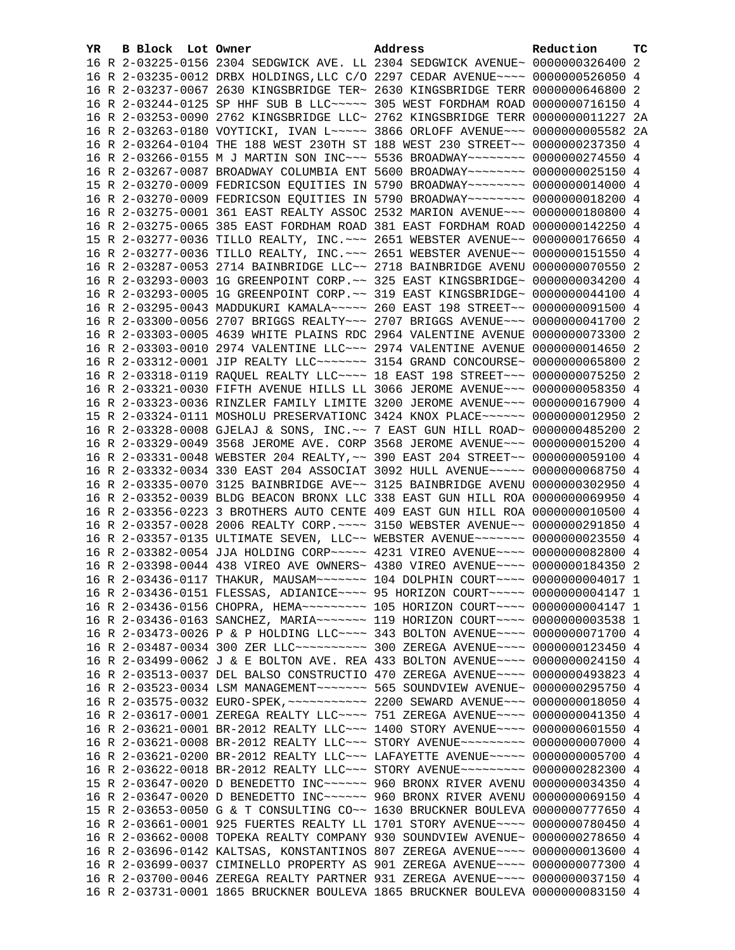|  |  | 16 R 2-03225-0156 2304 SEDGWICK AVE. LL 2304 SEDGWICK AVENUE~ 0000000326400 2       |                                                                                |  |
|--|--|-------------------------------------------------------------------------------------|--------------------------------------------------------------------------------|--|
|  |  |                                                                                     |                                                                                |  |
|  |  |                                                                                     | 16 R 2-03235-0012 DRBX HOLDINGS, LLC C/O 2297 CEDAR AVENUE~~~~ 0000000526050 4 |  |
|  |  | 16 R 2-03237-0067 2630 KINGSBRIDGE TER~ 2630 KINGSBRIDGE TERR 0000000646800 2       |                                                                                |  |
|  |  | 16 R 2-03244-0125 SP HHF SUB B LLC ~~~~~ 305 WEST FORDHAM ROAD 0000000716150 4      |                                                                                |  |
|  |  | 16 R 2-03253-0090 2762 KINGSBRIDGE LLC~ 2762 KINGSBRIDGE TERR 0000000011227 2A      |                                                                                |  |
|  |  | 16 R 2-03263-0180 VOYTICKI, IVAN L~~~~~ 3866 ORLOFF AVENUE~~~ 0000000005582 2A      |                                                                                |  |
|  |  | 16 R 2-03264-0104 THE 188 WEST 230TH ST 188 WEST 230 STREET~~ 0000000237350 4       |                                                                                |  |
|  |  | 16 R 2-03266-0155 M J MARTIN SON INC~~~ 5536 BROADWAY~~~~~~~~ 0000000274550 4       |                                                                                |  |
|  |  | 16 R 2-03267-0087 BROADWAY COLUMBIA ENT 5600 BROADWAY~~~~~~~~ 0000000025150 4       |                                                                                |  |
|  |  | 15 R 2-03270-0009 FEDRICSON EQUITIES IN 5790 BROADWAY~~~~~~~~ 0000000014000 4       |                                                                                |  |
|  |  | 16 R 2-03270-0009 FEDRICSON EQUITIES IN 5790 BROADWAY~~~~~~~~ 0000000018200 4       |                                                                                |  |
|  |  | 16 R 2-03275-0001 361 EAST REALTY ASSOC 2532 MARION AVENUE~~~ 0000000180800 4       |                                                                                |  |
|  |  | 16 R 2-03275-0065 385 EAST FORDHAM ROAD 381 EAST FORDHAM ROAD 0000000142250 4       |                                                                                |  |
|  |  | 15 R 2-03277-0036 TILLO REALTY, INC. ~~~ 2651 WEBSTER AVENUE~~ 0000000176650 4      |                                                                                |  |
|  |  | 16 R 2-03277-0036 TILLO REALTY, INC. ~~~ 2651 WEBSTER AVENUE~~ 0000000151550 4      |                                                                                |  |
|  |  | 16 R 2-03287-0053 2714 BAINBRIDGE LLC~~ 2718 BAINBRIDGE AVENU 0000000070550 2       |                                                                                |  |
|  |  | 16 R 2-03293-0003 1G GREENPOINT CORP. ~~ 325 EAST KINGSBRIDGE~ 0000000034200 4      |                                                                                |  |
|  |  | 16 R 2-03293-0005 1G GREENPOINT CORP. ~~ 319 EAST KINGSBRIDGE~ 0000000044100 4      |                                                                                |  |
|  |  | 16 R 2-03295-0043 MADDUKURI KAMALA~~~~~ 260 EAST 198 STREET~~ 0000000091500 4       |                                                                                |  |
|  |  | 16 R 2-03300-0056 2707 BRIGGS REALTY~~~ 2707 BRIGGS AVENUE~~~ 0000000041700 2       |                                                                                |  |
|  |  | 16 R 2-03303-0005 4639 WHITE PLAINS RDC 2964 VALENTINE AVENUE 0000000073300 2       |                                                                                |  |
|  |  | 16 R 2-03303-0010 2974 VALENTINE LLC~~~ 2974 VALENTINE AVENUE 0000000014650 2       |                                                                                |  |
|  |  | 16 R 2-03312-0001 JIP REALTY LLC ------ 3154 GRAND CONCOURSE ~ 0000000065800 2      |                                                                                |  |
|  |  | 16 R 2-03318-0119 RAQUEL REALTY LLC --- 18 EAST 198 STREET -- 0000000075250 2       |                                                                                |  |
|  |  | 16 R 2-03321-0030 FIFTH AVENUE HILLS LL 3066 JEROME AVENUE~~~ 0000000058350 4       |                                                                                |  |
|  |  | 16 R 2-03323-0036 RINZLER FAMILY LIMITE 3200 JEROME AVENUE~~~ 0000000167900 4       |                                                                                |  |
|  |  | 15 R 2-03324-0111 MOSHOLU PRESERVATIONC 3424 KNOX PLACE~~~~~~ 0000000012950 2       |                                                                                |  |
|  |  | 16 R 2-03328-0008 GJELAJ & SONS, INC.~~ 7 EAST GUN HILL ROAD~ 0000000485200 2       |                                                                                |  |
|  |  | 16 R 2-03329-0049 3568 JEROME AVE. CORP 3568 JEROME AVENUE~~~ 0000000015200 4       |                                                                                |  |
|  |  | 16 R 2-03331-0048 WEBSTER 204 REALTY, ~~ 390 EAST 204 STREET~~ 0000000059100 4      |                                                                                |  |
|  |  | 16 R 2-03332-0034 330 EAST 204 ASSOCIAT 3092 HULL AVENUE~~~~~ 0000000068750 4       |                                                                                |  |
|  |  | 16 R 2-03335-0070 3125 BAINBRIDGE AVE~~ 3125 BAINBRIDGE AVENU 0000000302950 4       |                                                                                |  |
|  |  | 16 R 2-03352-0039 BLDG BEACON BRONX LLC 338 EAST GUN HILL ROA 0000000069950 4       |                                                                                |  |
|  |  | 16 R 2-03356-0223 3 BROTHERS AUTO CENTE 409 EAST GUN HILL ROA 0000000010500 4       |                                                                                |  |
|  |  | 16 R 2-03357-0028 2006 REALTY CORP. ~~~~ 3150 WEBSTER AVENUE~~ 0000000291850 4      |                                                                                |  |
|  |  | 16 R 2-03357-0135 ULTIMATE SEVEN, LLC~~ WEBSTER AVENUE~~~~~~~ 0000000023550 4       |                                                                                |  |
|  |  | 16 R 2-03382-0054 JJA HOLDING CORP~~~~~ 4231 VIREO AVENUE~~~~ 0000000082800 4       |                                                                                |  |
|  |  | 16 R 2-03398-0044 438 VIREO AVE OWNERS~ 4380 VIREO AVENUE~~~~ 0000000184350 2       |                                                                                |  |
|  |  | 16 R 2-03436-0117 THAKUR, MAUSAM~~~~~~~ 104 DOLPHIN COURT~~~~ 0000000004017 1       |                                                                                |  |
|  |  | 16 R 2-03436-0151 FLESSAS, ADIANICE~~~~ 95 HORIZON COURT~~~~~ 00000000004147 1      |                                                                                |  |
|  |  | 16 R 2-03436-0156 CHOPRA, HEMA~~~~~~~~~~~~~ 105 HORIZON COURT~~~~~ 00000000004147 1 |                                                                                |  |
|  |  | 16 R 2-03436-0163 SANCHEZ, MARIA~~~~~~~ 119 HORIZON COURT~~~~ 0000000003538 1       |                                                                                |  |
|  |  | 16 R 2-03473-0026 P & P HOLDING LLC ~~~~ 343 BOLTON AVENUE ~~~~ 0000000071700 4     |                                                                                |  |
|  |  | 16 R 2-03487-0034 300 ZER LLC ---------- 300 ZEREGA AVENUE --- 0000000123450 4      |                                                                                |  |
|  |  | 16 R 2-03499-0062 J & E BOLTON AVE. REA 433 BOLTON AVENUE~~~~ 0000000024150 4       |                                                                                |  |
|  |  | 16 R 2-03513-0037 DEL BALSO CONSTRUCTIO 470 ZEREGA AVENUE~~~~ 0000000493823 4       |                                                                                |  |
|  |  |                                                                                     |                                                                                |  |
|  |  |                                                                                     |                                                                                |  |
|  |  | 16 R 2-03617-0001 ZEREGA REALTY LLC ~~~~ 751 ZEREGA AVENUE ~~~~ 0000000041350 4     |                                                                                |  |
|  |  | 16 R 2-03621-0001 BR-2012 REALTY LLC~~~ 1400 STORY AVENUE~~~~ 0000000601550 4       |                                                                                |  |
|  |  | 16 R 2-03621-0008 BR-2012 REALTY LLC -- STORY AVENUE --------- 0000000007000 4      |                                                                                |  |
|  |  | 16 R 2-03621-0200 BR-2012 REALTY LLC~~~ LAFAYETTE AVENUE~~~~~ 0000000005700 4       |                                                                                |  |
|  |  | 16 R 2-03622-0018 BR-2012 REALTY LLC -- STORY AVENUE --------- 0000000282300 4      |                                                                                |  |
|  |  | 15 R 2-03647-0020 D BENEDETTO INC~~~~~~ 960 BRONX RIVER AVENU 0000000034350 4       |                                                                                |  |
|  |  | 16 R 2-03647-0020 D BENEDETTO INC~~~~~~ 960 BRONX RIVER AVENU 0000000069150 4       |                                                                                |  |
|  |  | 15 R 2-03653-0050 G & T CONSULTING CO~~ 1630 BRUCKNER BOULEVA 0000000777650 4       |                                                                                |  |
|  |  | 16 R 2-03661-0001 925 FUERTES REALTY LL 1701 STORY AVENUE~~~~ 0000000780450 4       |                                                                                |  |
|  |  | 16 R 2-03662-0008 TOPEKA REALTY COMPANY 930 SOUNDVIEW AVENUE~ 0000000278650 4       |                                                                                |  |
|  |  | 16 R 2-03696-0142 KALTSAS, KONSTANTINOS 807 ZEREGA AVENUE~~~~ 0000000013600 4       |                                                                                |  |
|  |  | 16 R 2-03699-0037 CIMINELLO PROPERTY AS 901 ZEREGA AVENUE~~~~ 0000000077300 4       |                                                                                |  |
|  |  | 16 R 2-03700-0046 ZEREGA REALTY PARTNER 931 ZEREGA AVENUE~~~~ 0000000037150 4       |                                                                                |  |
|  |  | 16 R 2-03731-0001 1865 BRUCKNER BOULEVA 1865 BRUCKNER BOULEVA 0000000083150 4       |                                                                                |  |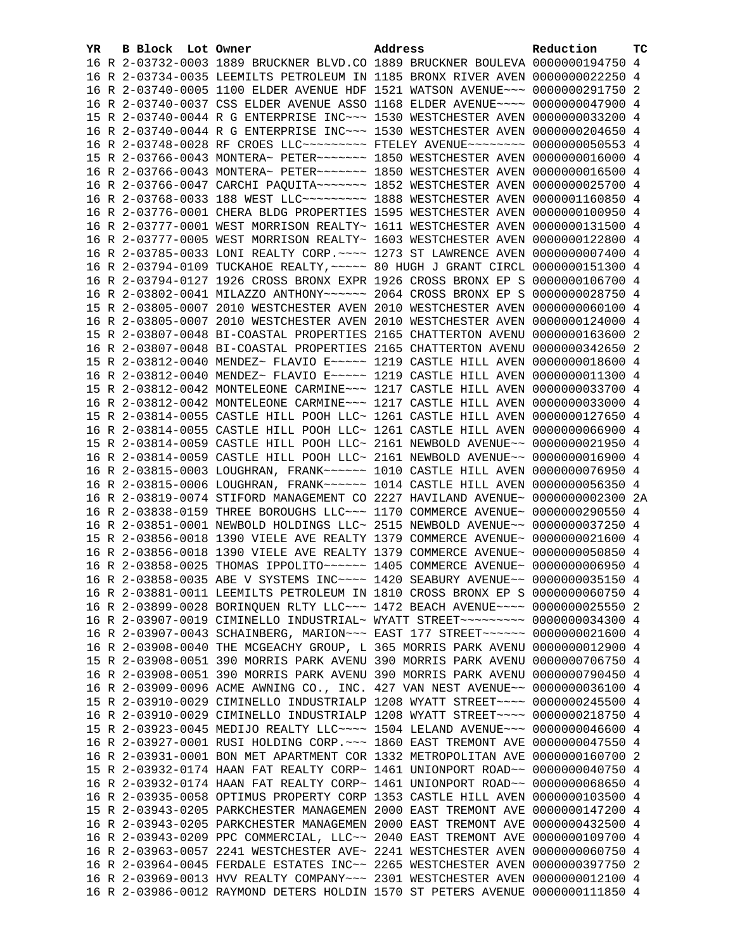| YR. | <b>B Block</b> Lot Owner | Address                                                                         | Reduction | тc |
|-----|--------------------------|---------------------------------------------------------------------------------|-----------|----|
|     |                          | 16 R 2-03732-0003 1889 BRUCKNER BLVD.CO 1889 BRUCKNER BOULEVA 0000000194750 4   |           |    |
|     |                          | 16 R 2-03734-0035 LEEMILTS PETROLEUM IN 1185 BRONX RIVER AVEN 0000000022250 4   |           |    |
|     |                          | 16 R 2-03740-0005 1100 ELDER AVENUE HDF 1521 WATSON AVENUE~~~ 0000000291750 2   |           |    |
|     |                          | 16 R 2-03740-0037 CSS ELDER AVENUE ASSO 1168 ELDER AVENUE~~~~ 0000000047900 4   |           |    |
|     |                          | 15 R 2-03740-0044 R G ENTERPRISE INC~~~ 1530 WESTCHESTER AVEN 0000000033200 4   |           |    |
|     |                          |                                                                                 |           |    |
|     |                          | 16 R 2-03740-0044 R G ENTERPRISE INC~~~ 1530 WESTCHESTER AVEN 0000000204650 4   |           |    |
|     |                          | 16 R 2-03748-0028 RF CROES LLC --------- FTELEY AVENUE -------- 0000000050553 4 |           |    |
|     |                          | 15 R 2-03766-0043 MONTERA~ PETER~~~~~~~ 1850 WESTCHESTER AVEN 0000000016000 4   |           |    |
|     |                          | 16 R 2-03766-0043 MONTERA~ PETER~~~~~~~ 1850 WESTCHESTER AVEN 0000000016500 4   |           |    |
|     |                          | 16 R 2-03766-0047 CARCHI PAQUITA~~~~~~~ 1852 WESTCHESTER AVEN 0000000025700 4   |           |    |
|     |                          | 16 R 2-03768-0033 188 WEST LLC -------- 1888 WESTCHESTER AVEN 0000001160850 4   |           |    |
|     |                          | 16 R 2-03776-0001 CHERA BLDG PROPERTIES 1595 WESTCHESTER AVEN 0000000100950 4   |           |    |
|     |                          | 16 R 2-03777-0001 WEST MORRISON REALTY~ 1611 WESTCHESTER AVEN 0000000131500 4   |           |    |
|     |                          | 16 R 2-03777-0005 WEST MORRISON REALTY~ 1603 WESTCHESTER AVEN 0000000122800 4   |           |    |
|     |                          | 16 R 2-03785-0033 LONI REALTY CORP. ~~~~ 1273 ST LAWRENCE AVEN 0000000007400 4  |           |    |
|     |                          | 16 R 2-03794-0109 TUCKAHOE REALTY, ~~~~~ 80 HUGH J GRANT CIRCL 0000000151300 4  |           |    |
|     |                          | 16 R 2-03794-0127 1926 CROSS BRONX EXPR 1926 CROSS BRONX EP S 0000000106700 4   |           |    |
|     |                          |                                                                                 |           |    |
|     |                          | 16 R 2-03802-0041 MILAZZO ANTHONY~~~~~~ 2064 CROSS BRONX EP S 0000000028750 4   |           |    |
|     |                          | 15 R 2-03805-0007 2010 WESTCHESTER AVEN 2010 WESTCHESTER AVEN 0000000060100 4   |           |    |
|     |                          | 16 R 2-03805-0007 2010 WESTCHESTER AVEN 2010 WESTCHESTER AVEN 0000000124000 4   |           |    |
|     |                          | 15 R 2-03807-0048 BI-COASTAL PROPERTIES 2165 CHATTERTON AVENU 0000000163600 2   |           |    |
|     |                          | 16 R 2-03807-0048 BI-COASTAL PROPERTIES 2165 CHATTERTON AVENU 0000000342650 2   |           |    |
|     |                          | 15 R 2-03812-0040 MENDEZ~ FLAVIO E~~~~~ 1219 CASTLE HILL AVEN 0000000018600 4   |           |    |
|     |                          | 16 R 2-03812-0040 MENDEZ~ FLAVIO E~~~~~ 1219 CASTLE HILL AVEN 0000000011300 4   |           |    |
|     |                          | 15 R 2-03812-0042 MONTELEONE CARMINE~~~ 1217 CASTLE HILL AVEN 0000000033700 4   |           |    |
|     |                          | 16 R 2-03812-0042 MONTELEONE CARMINE~~~ 1217 CASTLE HILL AVEN 0000000033000 4   |           |    |
|     |                          | 15 R 2-03814-0055 CASTLE HILL POOH LLC~ 1261 CASTLE HILL AVEN 0000000127650 4   |           |    |
|     |                          | 16 R 2-03814-0055 CASTLE HILL POOH LLC~ 1261 CASTLE HILL AVEN 0000000066900 4   |           |    |
|     |                          | 15 R 2-03814-0059 CASTLE HILL POOH LLC~ 2161 NEWBOLD AVENUE~~ 0000000021950 4   |           |    |
|     |                          | 16 R 2-03814-0059 CASTLE HILL POOH LLC~ 2161 NEWBOLD AVENUE~~ 0000000016900 4   |           |    |
|     |                          | 16 R 2-03815-0003 LOUGHRAN, FRANK~~~~~~ 1010 CASTLE HILL AVEN 0000000076950 4   |           |    |
|     |                          | 16 R 2-03815-0006 LOUGHRAN, FRANK~~~~~~ 1014 CASTLE HILL AVEN 0000000056350 4   |           |    |
|     |                          | 16 R 2-03819-0074 STIFORD MANAGEMENT CO 2227 HAVILAND AVENUE~ 0000000002300 2A  |           |    |
|     |                          | 16 R 2-03838-0159 THREE BOROUGHS LLC~~~ 1170 COMMERCE AVENUE~ 0000000290550 4   |           |    |
|     |                          | 16 R 2-03851-0001 NEWBOLD HOLDINGS LLC~ 2515 NEWBOLD AVENUE~~ 0000000037250 4   |           |    |
|     |                          |                                                                                 |           |    |
|     |                          | 15 R 2-03856-0018 1390 VIELE AVE REALTY 1379 COMMERCE AVENUE~ 0000000021600 4   |           |    |
|     |                          | 16 R 2-03856-0018 1390 VIELE AVE REALTY 1379 COMMERCE AVENUE~ 0000000050850 4   |           |    |
|     |                          | 16 R 2-03858-0025 THOMAS IPPOLITO~~~~~~ 1405 COMMERCE AVENUE~ 00000000006950 4  |           |    |
|     |                          | 16 R 2-03858-0035 ABE V SYSTEMS INC~~~~ 1420 SEABURY AVENUE~~ 0000000035150 4   |           |    |
|     |                          | 16 R 2-03881-0011 LEEMILTS PETROLEUM IN 1810 CROSS BRONX EP S 0000000060750 4   |           |    |
|     |                          | 16 R 2-03899-0028 BORINQUEN RLTY LLC~~~ 1472 BEACH AVENUE~~~~ 0000000025550 2   |           |    |
|     |                          | 16 R 2-03907-0019 CIMINELLO INDUSTRIAL~ WYATT STREET~~~~~~~~~ 0000000034300 4   |           |    |
|     |                          | 16 R 2-03907-0043 SCHAINBERG, MARION~~~ EAST 177 STREET~~~~~~ 0000000021600 4   |           |    |
|     |                          | 16 R 2-03908-0040 THE MCGEACHY GROUP, L 365 MORRIS PARK AVENU 0000000012900 4   |           |    |
|     |                          | 15 R 2-03908-0051 390 MORRIS PARK AVENU 390 MORRIS PARK AVENU 0000000706750 4   |           |    |
|     |                          | 16 R 2-03908-0051 390 MORRIS PARK AVENU 390 MORRIS PARK AVENU 0000000790450 4   |           |    |
|     |                          | 16 R 2-03909-0096 ACME AWNING CO., INC. 427 VAN NEST AVENUE~~ 0000000036100 4   |           |    |
|     |                          | 15 R 2-03910-0029 CIMINELLO INDUSTRIALP 1208 WYATT STREET~~~~ 0000000245500 4   |           |    |
|     |                          | 16 R 2-03910-0029 CIMINELLO INDUSTRIALP 1208 WYATT STREET~~~~ 0000000218750 4   |           |    |
|     |                          | 15 R 2-03923-0045 MEDIJO REALTY LLC --- 1504 LELAND AVENUE -- 0000000046600 4   |           |    |
|     |                          | 16 R 2-03927-0001 RUSI HOLDING CORP. ~~~ 1860 EAST TREMONT AVE 0000000047550 4  |           |    |
|     |                          | 16 R 2-03931-0001 BON MET APARTMENT COR 1332 METROPOLITAN AVE 0000000160700 2   |           |    |
|     |                          | 15 R 2-03932-0174 HAAN FAT REALTY CORP~ 1461 UNIONPORT ROAD~~ 0000000040750 4   |           |    |
|     |                          | 16 R 2-03932-0174 HAAN FAT REALTY CORP~ 1461 UNIONPORT ROAD~~ 0000000068650 4   |           |    |
|     |                          | 16 R 2-03935-0058 OPTIMUS PROPERTY CORP 1353 CASTLE HILL AVEN 0000000103500 4   |           |    |
|     |                          | 15 R 2-03943-0205 PARKCHESTER MANAGEMEN 2000 EAST TREMONT AVE 0000000147200 4   |           |    |
|     |                          |                                                                                 |           |    |
|     |                          | 16 R 2-03943-0205 PARKCHESTER MANAGEMEN 2000 EAST TREMONT AVE 0000000432500 4   |           |    |
|     |                          | 16 R 2-03943-0209 PPC COMMERCIAL, LLC~~ 2040 EAST TREMONT AVE 0000000109700 4   |           |    |
|     |                          | 16 R 2-03963-0057 2241 WESTCHESTER AVE~ 2241 WESTCHESTER AVEN 0000000060750 4   |           |    |
|     |                          | 16 R 2-03964-0045 FERDALE ESTATES INC~~ 2265 WESTCHESTER AVEN 0000000397750 2   |           |    |
|     |                          | 16 R 2-03969-0013 HVV REALTY COMPANY~~~ 2301 WESTCHESTER AVEN 0000000012100 4   |           |    |
|     |                          | 16 R 2-03986-0012 RAYMOND DETERS HOLDIN 1570 ST PETERS AVENUE 0000000111850 4   |           |    |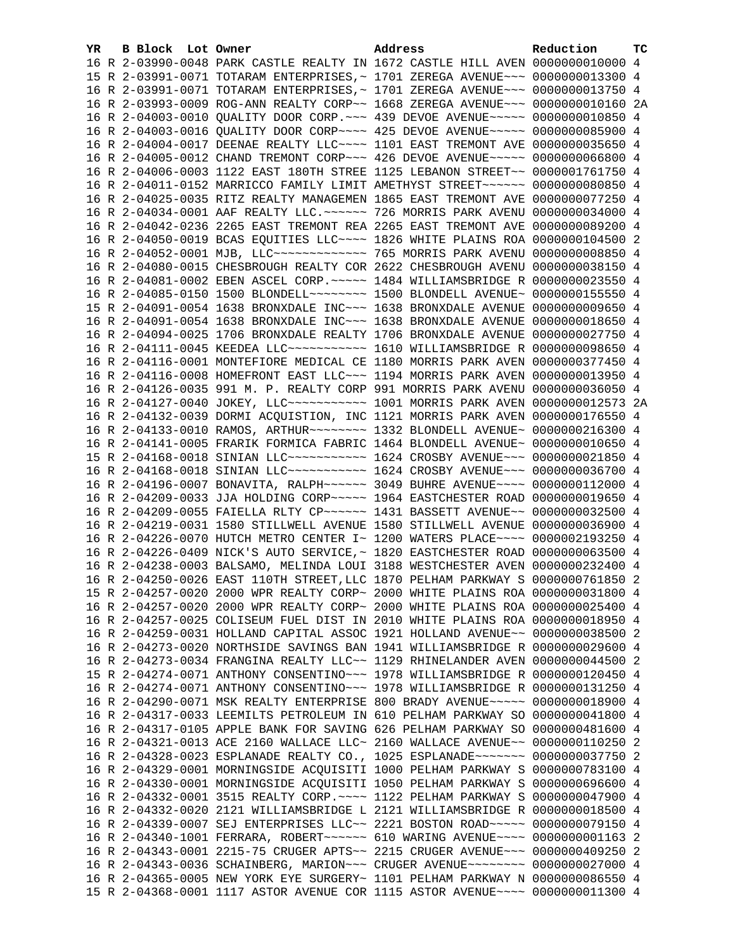| YR. | B Block Lot Owner | Address                                                                         | Reduction | тc |
|-----|-------------------|---------------------------------------------------------------------------------|-----------|----|
|     |                   | 16 R 2-03990-0048 PARK CASTLE REALTY IN 1672 CASTLE HILL AVEN 0000000010000 4   |           |    |
|     |                   | 15 R 2-03991-0071 TOTARAM ENTERPRISES, ~ 1701 ZEREGA AVENUE~~~ 0000000013300 4  |           |    |
|     |                   | 16 R 2-03991-0071 TOTARAM ENTERPRISES, ~ 1701 ZEREGA AVENUE~~~ 0000000013750 4  |           |    |
|     |                   | 16 R 2-03993-0009 ROG-ANN REALTY CORP~~ 1668 ZEREGA AVENUE~~~ 0000000010160 2A  |           |    |
|     |                   | 16 R 2-04003-0010 QUALITY DOOR CORP. ~~~ 439 DEVOE AVENUE~~~~~ 0000000010850 4  |           |    |
|     |                   | 16 R 2-04003-0016 QUALITY DOOR CORP~~~~ 425 DEVOE AVENUE~~~~~ 0000000085900 4   |           |    |
|     |                   | 16 R 2-04004-0017 DEENAE REALTY LLC --- 1101 EAST TREMONT AVE 0000000035650 4   |           |    |
|     |                   | 16 R 2-04005-0012 CHAND TREMONT CORP~~~ 426 DEVOE AVENUE~~~~~ 0000000066800 4   |           |    |
|     |                   | 16 R 2-04006-0003 1122 EAST 180TH STREE 1125 LEBANON STREET~~ 0000001761750 4   |           |    |
|     |                   | 16 R 2-04011-0152 MARRICCO FAMILY LIMIT AMETHYST STREET~~~~~~ 0000000080850 4   |           |    |
|     |                   | 16 R 2-04025-0035 RITZ REALTY MANAGEMEN 1865 EAST TREMONT AVE 0000000077250 4   |           |    |
|     |                   | 16 R 2-04034-0001 AAF REALTY LLC. ~~~~~~ 726 MORRIS PARK AVENU 0000000034000 4  |           |    |
|     |                   | 16 R 2-04042-0236 2265 EAST TREMONT REA 2265 EAST TREMONT AVE 0000000089200 4   |           |    |
|     |                   | 16 R 2-04050-0019 BCAS EQUITIES LLC --- 1826 WHITE PLAINS ROA 0000000104500 2   |           |    |
|     |                   | 16 R 2-04052-0001 MJB, LLC ------------- 765 MORRIS PARK AVENU 0000000008850 4  |           |    |
|     |                   | 16 R 2-04080-0015 CHESBROUGH REALTY COR 2622 CHESBROUGH AVENU 0000000038150 4   |           |    |
|     |                   | 16 R 2-04081-0002 EBEN ASCEL CORP. ~~~~~ 1484 WILLIAMSBRIDGE R 0000000023550 4  |           |    |
|     |                   | 16 R 2-04085-0150 1500 BLONDELL~~~~~~~~~ 1500 BLONDELL AVENUE~ 0000000155550 4  |           |    |
|     |                   | 15 R 2-04091-0054 1638 BRONXDALE INC~~~ 1638 BRONXDALE AVENUE 0000000009650 4   |           |    |
|     |                   | 16 R 2-04091-0054 1638 BRONXDALE INC~~~ 1638 BRONXDALE AVENUE 0000000018650 4   |           |    |
|     |                   | 16 R 2-04094-0025 1706 BRONXDALE REALTY 1706 BRONXDALE AVENUE 0000000027750 4   |           |    |
|     |                   | 16 R 2-04111-0045 KEEDEA LLC ----------- 1610 WILLIAMSBRIDGE R 0000000098650 4  |           |    |
|     |                   | 16 R 2-04116-0001 MONTEFIORE MEDICAL CE 1180 MORRIS PARK AVEN 0000000377450 4   |           |    |
|     |                   | 16 R 2-04116-0008 HOMEFRONT EAST LLC~~~ 1194 MORRIS PARK AVEN 0000000013950 4   |           |    |
|     |                   | 16 R 2-04126-0035 991 M. P. REALTY CORP 991 MORRIS PARK AVENU 0000000036050 4   |           |    |
|     |                   | 16 R 2-04127-0040 JOKEY, LLC ----------- 1001 MORRIS PARK AVEN 0000000012573 2A |           |    |
|     |                   | 16 R 2-04132-0039 DORMI ACQUISTION, INC 1121 MORRIS PARK AVEN 0000000176550 4   |           |    |
|     |                   | 16 R 2-04133-0010 RAMOS, ARTHUR~~~~~~~~ 1332 BLONDELL AVENUE~ 0000000216300 4   |           |    |
|     |                   | 16 R 2-04141-0005 FRARIK FORMICA FABRIC 1464 BLONDELL AVENUE~ 0000000010650 4   |           |    |
|     |                   | 15 R 2-04168-0018 SINIAN LLC ----------- 1624 CROSBY AVENUE --- 0000000021850 4 |           |    |
|     |                   | 16 R 2-04168-0018 SINIAN LLC ----------- 1624 CROSBY AVENUE --- 0000000036700 4 |           |    |
|     |                   | 16 R 2-04196-0007 BONAVITA, RALPH~~~~~~ 3049 BUHRE AVENUE~~~~ 0000000112000 4   |           |    |
|     |                   | 16 R 2-04209-0033 JJA HOLDING CORP~~~~~ 1964 EASTCHESTER ROAD 0000000019650 4   |           |    |
|     |                   | 16 R 2-04209-0055 FAIELLA RLTY CP~~~~~~ 1431 BASSETT AVENUE~~ 0000000032500 4   |           |    |
|     |                   | 16 R 2-04219-0031 1580 STILLWELL AVENUE 1580 STILLWELL AVENUE 0000000036900 4   |           |    |
|     |                   | 16 R 2-04226-0070 HUTCH METRO CENTER I~ 1200 WATERS PLACE~~~~ 0000002193250 4   |           |    |
|     |                   | 16 R 2-04226-0409 NICK'S AUTO SERVICE, ~ 1820 EASTCHESTER ROAD 0000000063500 4  |           |    |
|     |                   | 16 R 2-04238-0003 BALSAMO, MELINDA LOUI 3188 WESTCHESTER AVEN 0000000232400 4   |           |    |
|     |                   | 16 R 2-04250-0026 EAST 110TH STREET, LLC 1870 PELHAM PARKWAY S 0000000761850 2  |           |    |
|     |                   | 15 R 2-04257-0020 2000 WPR REALTY CORP~ 2000 WHITE PLAINS ROA 0000000031800 4   |           |    |
|     |                   | 16 R 2-04257-0020 2000 WPR REALTY CORP~ 2000 WHITE PLAINS ROA 0000000025400 4   |           |    |
|     |                   | 16 R 2-04257-0025 COLISEUM FUEL DIST IN 2010 WHITE PLAINS ROA 0000000018950 4   |           |    |
|     |                   | 16 R 2-04259-0031 HOLLAND CAPITAL ASSOC 1921 HOLLAND AVENUE~~ 0000000038500 2   |           |    |
|     |                   | 16 R 2-04273-0020 NORTHSIDE SAVINGS BAN 1941 WILLIAMSBRIDGE R 0000000029600 4   |           |    |
|     |                   | 16 R 2-04273-0034 FRANGINA REALTY LLC~~ 1129 RHINELANDER AVEN 0000000044500 2   |           |    |
|     |                   | 15 R 2-04274-0071 ANTHONY CONSENTINO~~~ 1978 WILLIAMSBRIDGE R 0000000120450 4   |           |    |
|     |                   | 16 R 2-04274-0071 ANTHONY CONSENTINO~~~ 1978 WILLIAMSBRIDGE R 0000000131250 4   |           |    |
|     |                   | 16 R 2-04290-0071 MSK REALTY ENTERPRISE 800 BRADY AVENUE~~~~~ 0000000018900 4   |           |    |
|     |                   | 16 R 2-04317-0033 LEEMILTS PETROLEUM IN 610 PELHAM PARKWAY SO 0000000041800 4   |           |    |
|     |                   | 16 R 2-04317-0105 APPLE BANK FOR SAVING 626 PELHAM PARKWAY SO 0000000481600 4   |           |    |
|     |                   | 16 R 2-04321-0013 ACE 2160 WALLACE LLC~ 2160 WALLACE AVENUE~~ 0000000110250 2   |           |    |
|     |                   | 16 R 2-04328-0023 ESPLANADE REALTY CO., 1025 ESPLANADE~~~~~~~ 0000000037750     |           | 2  |
|     |                   | 16 R 2-04329-0001 MORNINGSIDE ACQUISITI 1000 PELHAM PARKWAY S 0000000783100 4   |           |    |
|     |                   | 16 R 2-04330-0001 MORNINGSIDE ACQUISITI 1050 PELHAM PARKWAY S 0000000696600 4   |           |    |
|     |                   | 16 R 2-04332-0001 3515 REALTY CORP. ~~~~ 1122 PELHAM PARKWAY S 0000000047900 4  |           |    |
|     |                   | 16 R 2-04332-0020 2121 WILLIAMSBRIDGE L 2121 WILLIAMSBRIDGE R 0000000018500 4   |           |    |
|     |                   | 16 R 2-04339-0007 SEJ ENTERPRISES LLC~~ 2221 BOSTON ROAD~~~~~ 0000000079150 4   |           |    |
|     |                   | 16 R 2-04340-1001 FERRARA, ROBERT~~~~~~ 610 WARING AVENUE~~~~ 00000000001163 2  |           |    |
|     |                   | 16 R 2-04343-0001 2215-75 CRUGER APTS~~ 2215 CRUGER AVENUE~~~ 0000000409250 2   |           |    |
|     |                   | 16 R 2-04343-0036 SCHAINBERG, MARION~~~ CRUGER AVENUE~~~~~~~~ 0000000027000 4   |           |    |
|     |                   | 16 R 2-04365-0005 NEW YORK EYE SURGERY~ 1101 PELHAM PARKWAY N 0000000086550 4   |           |    |
|     |                   | 15 R 2-04368-0001 1117 ASTOR AVENUE COR 1115 ASTOR AVENUE~~~~ 0000000011300 4   |           |    |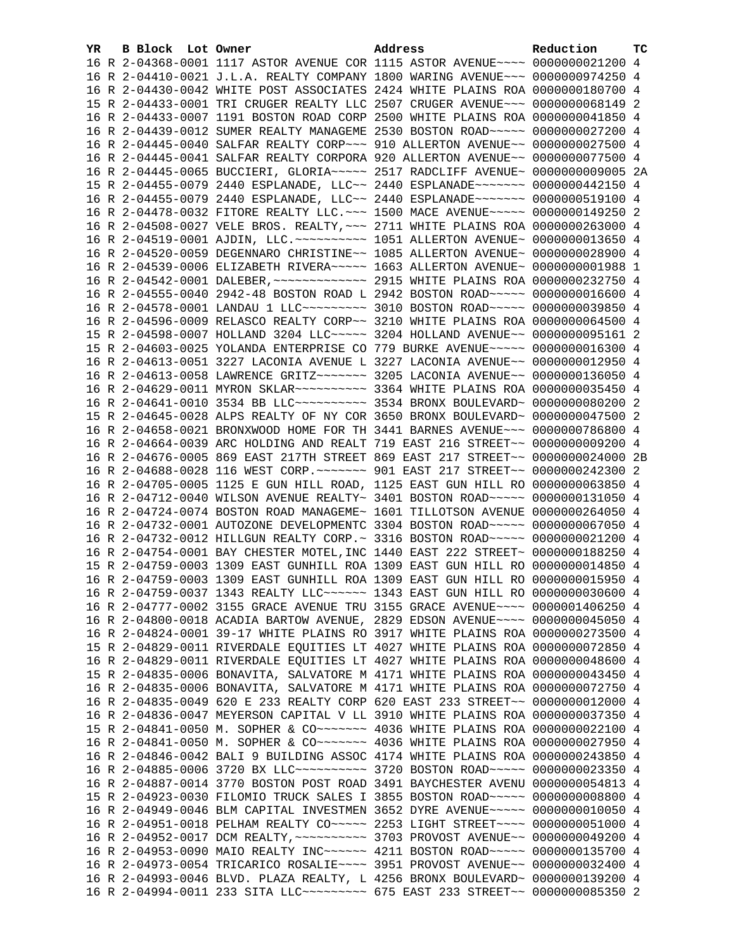| YR. | B Block Lot Owner |                                                                                 | Address | Reduction | тc |
|-----|-------------------|---------------------------------------------------------------------------------|---------|-----------|----|
|     |                   | 16 R 2-04368-0001 1117 ASTOR AVENUE COR 1115 ASTOR AVENUE~~~~ 0000000021200 4   |         |           |    |
|     |                   | 16 R 2-04410-0021 J.L.A. REALTY COMPANY 1800 WARING AVENUE~~~ 0000000974250 4   |         |           |    |
|     |                   | 16 R 2-04430-0042 WHITE POST ASSOCIATES 2424 WHITE PLAINS ROA 0000000180700 4   |         |           |    |
|     |                   | 15 R 2-04433-0001 TRI CRUGER REALTY LLC 2507 CRUGER AVENUE~~~ 0000000068149 2   |         |           |    |
|     |                   | 16 R 2-04433-0007 1191 BOSTON ROAD CORP 2500 WHITE PLAINS ROA 0000000041850 4   |         |           |    |
|     |                   | 16 R 2-04439-0012 SUMER REALTY MANAGEME 2530 BOSTON ROAD~~~~~ 0000000027200 4   |         |           |    |
|     |                   | 16 R 2-04445-0040 SALFAR REALTY CORP~~~ 910 ALLERTON AVENUE~~ 0000000027500 4   |         |           |    |
|     |                   | 16 R 2-04445-0041 SALFAR REALTY CORPORA 920 ALLERTON AVENUE~~ 0000000077500 4   |         |           |    |
|     |                   | 16 R 2-04445-0065 BUCCIERI, GLORIA ---- 2517 RADCLIFF AVENUE ~ 0000000009005 2A |         |           |    |
|     |                   | 15 R 2-04455-0079 2440 ESPLANADE, LLC~~ 2440 ESPLANADE~~~~~~~ 0000000442150 4   |         |           |    |
|     |                   | 16 R 2-04455-0079 2440 ESPLANADE, LLC~~ 2440 ESPLANADE~~~~~~~ 0000000519100 4   |         |           |    |
|     |                   | 16 R 2-04478-0032 FITORE REALTY LLC. ~~~ 1500 MACE AVENUE~~~~~ 0000000149250 2  |         |           |    |
|     |                   | 16 R 2-04508-0027 VELE BROS. REALTY, ~~~ 2711 WHITE PLAINS ROA 0000000263000 4  |         |           |    |
|     |                   |                                                                                 |         |           |    |
|     |                   | 16 R 2-04520-0059 DEGENNARO CHRISTINE~~ 1085 ALLERTON AVENUE~ 0000000028900 4   |         |           |    |
|     |                   | 16 R 2-04539-0006 ELIZABETH RIVERA~~~~~ 1663 ALLERTON AVENUE~ 00000000001988 1  |         |           |    |
|     |                   |                                                                                 |         |           |    |
|     |                   | 16 R 2-04555-0040 2942-48 BOSTON ROAD L 2942 BOSTON ROAD~~~~~ 0000000016600 4   |         |           |    |
|     |                   | 16 R 2-04578-0001 LANDAU 1 LLC -------- 3010 BOSTON ROAD ---- 0000000039850 4   |         |           |    |
|     |                   | 16 R 2-04596-0009 RELASCO REALTY CORP~~ 3210 WHITE PLAINS ROA 0000000064500 4   |         |           |    |
|     |                   | 15 R 2-04598-0007 HOLLAND 3204 LLC~~~~~ 3204 HOLLAND AVENUE~~ 0000000095161 2   |         |           |    |
|     |                   | 15 R 2-04603-0025 YOLANDA ENTERPRISE CO 779 BURKE AVENUE~~~~~ 0000000016300 4   |         |           |    |
|     |                   | 16 R 2-04613-0051 3227 LACONIA AVENUE L 3227 LACONIA AVENUE~~ 0000000012950 4   |         |           |    |
|     |                   | 16 R 2-04613-0058 LAWRENCE GRITZ~~~~~~~ 3205 LACONIA AVENUE~~ 0000000136050 4   |         |           |    |
|     |                   | 16 R 2-04629-0011 MYRON SKLAR --------- 3364 WHITE PLAINS ROA 0000000035450 4   |         |           |    |
|     |                   |                                                                                 |         |           |    |
|     |                   | 15 R 2-04645-0028 ALPS REALTY OF NY COR 3650 BRONX BOULEVARD~ 0000000047500 2   |         |           |    |
|     |                   | 16 R 2-04658-0021 BRONXWOOD HOME FOR TH 3441 BARNES AVENUE~~~ 0000000786800 4   |         |           |    |
|     |                   | 16 R 2-04664-0039 ARC HOLDING AND REALT 719 EAST 216 STREET~~ 0000000009200 4   |         |           |    |
|     |                   | 16 R 2-04676-0005 869 EAST 217TH STREET 869 EAST 217 STREET~~ 0000000024000 2B  |         |           |    |
|     |                   | 16 R 2-04688-0028 116 WEST CORP. ~~~~~~~ 901 EAST 217 STREET~~ 0000000242300 2  |         |           |    |
|     |                   | 16 R 2-04705-0005 1125 E GUN HILL ROAD, 1125 EAST GUN HILL RO 0000000063850 4   |         |           |    |
|     |                   | 16 R 2-04712-0040 WILSON AVENUE REALTY~ 3401 BOSTON ROAD~~~~~ 0000000131050 4   |         |           |    |
|     |                   | 16 R 2-04724-0074 BOSTON ROAD MANAGEME~ 1601 TILLOTSON AVENUE 0000000264050 4   |         |           |    |
|     |                   | 16 R 2-04732-0001 AUTOZONE DEVELOPMENTC 3304 BOSTON ROAD~~~~~ 0000000067050 4   |         |           |    |
|     |                   | 16 R 2-04732-0012 HILLGUN REALTY CORP. ~ 3316 BOSTON ROAD ~~~~~ 0000000021200 4 |         |           |    |
|     |                   | 16 R 2-04754-0001 BAY CHESTER MOTEL, INC 1440 EAST 222 STREET~ 0000000188250 4  |         |           |    |
|     |                   | 15 R 2-04759-0003 1309 EAST GUNHILL ROA 1309 EAST GUN HILL RO 0000000014850 4   |         |           |    |
|     |                   | 16 R 2-04759-0003 1309 EAST GUNHILL ROA 1309 EAST GUN HILL RO 0000000015950 4   |         |           |    |
|     |                   | 16 R 2-04759-0037 1343 REALTY LLC ~~~~~~ 1343 EAST GUN HILL RO 0000000030600 4  |         |           |    |
|     |                   | 16 R 2-04777-0002 3155 GRACE AVENUE TRU 3155 GRACE AVENUE~~~~ 0000001406250 4   |         |           |    |
|     |                   | 16 R 2-04800-0018 ACADIA BARTOW AVENUE, 2829 EDSON AVENUE~~~~ 0000000045050 4   |         |           |    |
|     |                   | 16 R 2-04824-0001 39-17 WHITE PLAINS RO 3917 WHITE PLAINS ROA 0000000273500 4   |         |           |    |
|     |                   | 15 R 2-04829-0011 RIVERDALE EQUITIES LT 4027 WHITE PLAINS ROA 0000000072850 4   |         |           |    |
|     |                   | 16 R 2-04829-0011 RIVERDALE EQUITIES LT 4027 WHITE PLAINS ROA 0000000048600 4   |         |           |    |
|     |                   | 15 R 2-04835-0006 BONAVITA, SALVATORE M 4171 WHITE PLAINS ROA 0000000043450 4   |         |           |    |
|     |                   | 16 R 2-04835-0006 BONAVITA, SALVATORE M 4171 WHITE PLAINS ROA 0000000072750 4   |         |           |    |
|     |                   | 16 R 2-04835-0049 620 E 233 REALTY CORP 620 EAST 233 STREET~~ 0000000012000 4   |         |           |    |
|     |                   | 16 R 2-04836-0047 MEYERSON CAPITAL V LL 3910 WHITE PLAINS ROA 0000000037350 4   |         |           |    |
|     |                   | 15 R 2-04841-0050 M. SOPHER & CO~~~~~~~ 4036 WHITE PLAINS ROA 0000000022100 4   |         |           |    |
|     |                   | 16 R 2-04841-0050 M. SOPHER & CO~~~~~~~ 4036 WHITE PLAINS ROA 0000000027950 4   |         |           |    |
|     |                   | 16 R 2-04846-0042 BALI 9 BUILDING ASSOC 4174 WHITE PLAINS ROA 0000000243850 4   |         |           |    |
|     |                   | 16 R 2-04885-0006 3720 BX LLC~~~~~~~~~~ 3720 BOSTON ROAD~~~~~ 0000000023350 4   |         |           |    |
|     |                   | 16 R 2-04887-0014 3770 BOSTON POST ROAD 3491 BAYCHESTER AVENU 0000000054813 4   |         |           |    |
|     |                   | 15 R 2-04923-0030 FILOMIO TRUCK SALES I 3855 BOSTON ROAD~~~~~ 0000000008800 4   |         |           |    |
|     |                   | 16 R 2-04949-0046 BLM CAPITAL INVESTMEN 3652 DYRE AVENUE~~~~~ 0000000010050 4   |         |           |    |
|     |                   | 16 R 2-04951-0018 PELHAM REALTY CO~~~~~ 2253 LIGHT STREET~~~~ 0000000051000 4   |         |           |    |
|     |                   | 16 R 2-04952-0017 DCM REALTY, ~~~~~~~~~~ 3703 PROVOST AVENUE~~ 0000000049200 4  |         |           |    |
|     |                   | 16 R 2-04953-0090 MAIO REALTY INC~~~~~~ 4211 BOSTON ROAD~~~~~ 0000000135700 4   |         |           |    |
|     |                   | 16 R 2-04973-0054 TRICARICO ROSALIE~~~~ 3951 PROVOST AVENUE~~ 0000000032400 4   |         |           |    |
|     |                   | 16 R 2-04993-0046 BLVD. PLAZA REALTY, L 4256 BRONX BOULEVARD~ 0000000139200 4   |         |           |    |
|     |                   | 16 R 2-04994-0011 233 SITA LLC --------- 675 EAST 233 STREET -~ 0000000085350 2 |         |           |    |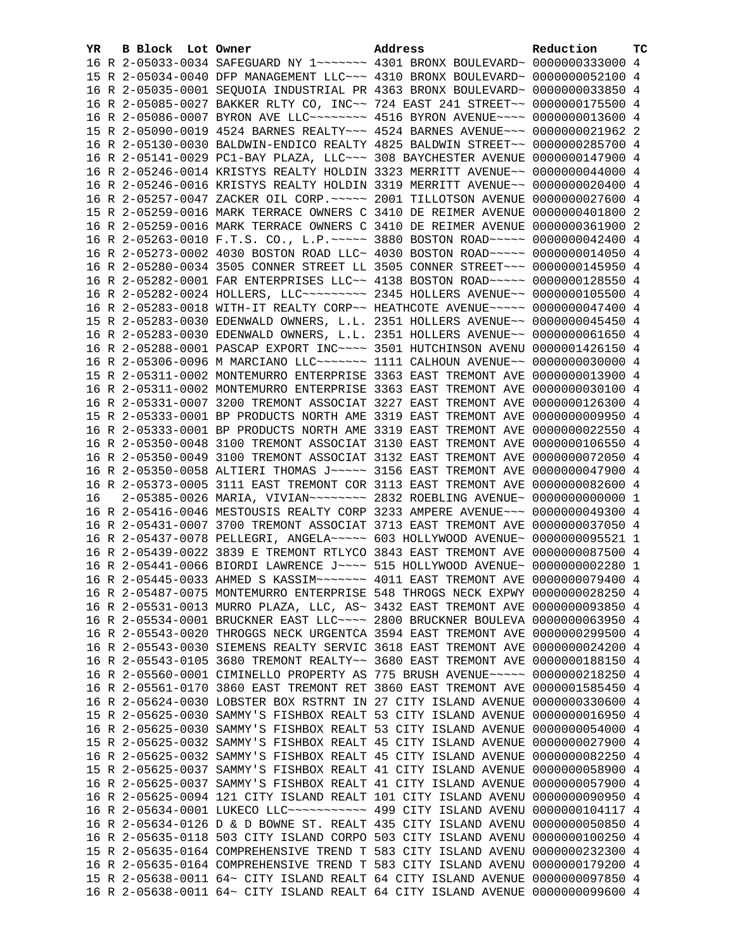| YR. | B Block Lot Owner |                                                                | Address                                                                        | Reduction       | тc |
|-----|-------------------|----------------------------------------------------------------|--------------------------------------------------------------------------------|-----------------|----|
|     |                   |                                                                | 16 R 2-05033-0034 SAFEGUARD NY 1 ----- 4301 BRONX BOULEVARD ~ 0000000333000 4  |                 |    |
|     |                   |                                                                | 15 R 2-05034-0040 DFP MANAGEMENT LLC~~~ 4310 BRONX BOULEVARD~ 0000000052100 4  |                 |    |
|     |                   |                                                                | 16 R 2-05035-0001 SEQUOIA INDUSTRIAL PR 4363 BRONX BOULEVARD~ 0000000033850 4  |                 |    |
|     |                   |                                                                | 16 R 2-05085-0027 BAKKER RLTY CO, INC~~ 724 EAST 241 STREET~~ 0000000175500 4  |                 |    |
|     |                   |                                                                | 16 R 2-05086-0007 BYRON AVE LLC ------- 4516 BYRON AVENUE --- 0000000013600 4  |                 |    |
|     |                   |                                                                | 15 R 2-05090-0019 4524 BARNES REALTY~~~ 4524 BARNES AVENUE~~~ 0000000021962 2  |                 |    |
|     |                   |                                                                | 16 R 2-05130-0030 BALDWIN-ENDICO REALTY 4825 BALDWIN STREET~~ 0000000285700 4  |                 |    |
|     |                   | 16 R 2-05141-0029 PC1-BAY PLAZA, LLC ~~~ 308 BAYCHESTER AVENUE |                                                                                | 0000000147900 4 |    |
|     |                   |                                                                | 16 R 2-05246-0014 KRISTYS REALTY HOLDIN 3323 MERRITT AVENUE~~ 0000000044000 4  |                 |    |
|     |                   |                                                                | 16 R 2-05246-0016 KRISTYS REALTY HOLDIN 3319 MERRITT AVENUE~~ 0000000020400 4  |                 |    |
|     |                   |                                                                | 16 R 2-05257-0047 ZACKER OIL CORP. ~~~~~ 2001 TILLOTSON AVENUE 0000000027600 4 |                 |    |
|     |                   |                                                                | 15 R 2-05259-0016 MARK TERRACE OWNERS C 3410 DE REIMER AVENUE 0000000401800 2  |                 |    |
|     |                   |                                                                | 16 R 2-05259-0016 MARK TERRACE OWNERS C 3410 DE REIMER AVENUE 0000000361900 2  |                 |    |
|     |                   |                                                                | 16 R 2-05263-0010 F.T.S. CO., L.P.~~~~~ 3880 BOSTON ROAD~~~~~ 0000000042400 4  |                 |    |
|     |                   |                                                                | 16 R 2-05273-0002 4030 BOSTON ROAD LLC~ 4030 BOSTON ROAD~~~~~ 0000000014050 4  |                 |    |
|     |                   |                                                                | 16 R 2-05280-0034 3505 CONNER STREET LL 3505 CONNER STREET~~~ 0000000145950 4  |                 |    |
|     |                   |                                                                | 16 R 2-05282-0001 FAR ENTERPRISES LLC~~ 4138 BOSTON ROAD~~~~~ 0000000128550 4  |                 |    |
|     |                   |                                                                | 16 R 2-05282-0024 HOLLERS, LLC -------- 2345 HOLLERS AVENUE -- 0000000105500 4 |                 |    |
|     |                   |                                                                | 16 R 2-05283-0018 WITH-IT REALTY CORP~~ HEATHCOTE AVENUE~~~~~ 0000000047400 4  |                 |    |
|     |                   |                                                                | 15 R 2-05283-0030 EDENWALD OWNERS, L.L. 2351 HOLLERS AVENUE~~ 0000000045450 4  |                 |    |
|     |                   |                                                                | 16 R 2-05283-0030 EDENWALD OWNERS, L.L. 2351 HOLLERS AVENUE~~ 0000000061650 4  |                 |    |
|     |                   |                                                                | 16 R 2-05288-0001 PASCAP EXPORT INC~~~~ 3501 HUTCHINSON AVENU 0000001426150 4  |                 |    |
|     |                   |                                                                | 16 R 2-05306-0096 M MARCIANO LLC~~~~~~~ 1111 CALHOUN AVENUE~~ 0000000030000 4  |                 |    |
|     |                   |                                                                | 15 R 2-05311-0002 MONTEMURRO ENTERPRISE 3363 EAST TREMONT AVE 0000000013900 4  |                 |    |
|     |                   |                                                                | 16 R 2-05311-0002 MONTEMURRO ENTERPRISE 3363 EAST TREMONT AVE                  | 0000000030100 4 |    |
|     |                   |                                                                | 16 R 2-05331-0007 3200 TREMONT ASSOCIAT 3227 EAST TREMONT AVE                  | 0000000126300 4 |    |
|     |                   |                                                                | 15 R 2-05333-0001 BP PRODUCTS NORTH AME 3319 EAST TREMONT AVE 0000000009950 4  |                 |    |
|     |                   |                                                                | 16 R 2-05333-0001 BP PRODUCTS NORTH AME 3319 EAST TREMONT AVE 0000000022550 4  |                 |    |
|     |                   |                                                                | 16 R 2-05350-0048 3100 TREMONT ASSOCIAT 3130 EAST TREMONT AVE 0000000106550 4  |                 |    |
|     |                   |                                                                | 16 R 2-05350-0049 3100 TREMONT ASSOCIAT 3132 EAST TREMONT AVE                  | 0000000072050 4 |    |
|     |                   |                                                                | 16 R 2-05350-0058 ALTIERI THOMAS J~~~~~ 3156 EAST TREMONT AVE                  | 0000000047900 4 |    |
|     |                   |                                                                | 16 R 2-05373-0005 3111 EAST TREMONT COR 3113 EAST TREMONT AVE 0000000082600 4  |                 |    |
| 16  |                   |                                                                | 2-05385-0026 MARIA, VIVIAN~~~~~~~~ 2832 ROEBLING AVENUE~ 0000000000000 1       |                 |    |
|     |                   |                                                                | 16 R 2-05416-0046 MESTOUSIS REALTY CORP 3233 AMPERE AVENUE~~~ 0000000049300 4  |                 |    |
|     |                   |                                                                | 16 R 2-05431-0007 3700 TREMONT ASSOCIAT 3713 EAST TREMONT AVE 0000000037050 4  |                 |    |
|     |                   |                                                                | 16 R 2-05437-0078 PELLEGRI, ANGELA~~~~~ 603 HOLLYWOOD AVENUE~ 0000000095521 1  |                 |    |
|     |                   |                                                                | 16 R 2-05439-0022 3839 E TREMONT RTLYCO 3843 EAST TREMONT AVE 0000000087500 4  |                 |    |
|     |                   |                                                                | 16 R 2-05441-0066 BIORDI LAWRENCE J~~~~ 515 HOLLYWOOD AVENUE~ 0000000002280 1  |                 |    |
|     |                   |                                                                | 16 R 2-05445-0033 AHMED S KASSIM ~~~~~~~ 4011 EAST TREMONT AVE 0000000079400 4 |                 |    |
|     |                   |                                                                | 16 R 2-05487-0075 MONTEMURRO ENTERPRISE 548 THROGS NECK EXPWY 0000000028250 4  |                 |    |
|     |                   |                                                                | 16 R 2-05531-0013 MURRO PLAZA, LLC, AS~ 3432 EAST TREMONT AVE 0000000093850 4  |                 |    |
|     |                   |                                                                | 16 R 2-05534-0001 BRUCKNER EAST LLC ~~~~ 2800 BRUCKNER BOULEVA 0000000063950 4 |                 |    |
|     |                   |                                                                | 16 R 2-05543-0020 THROGGS NECK URGENTCA 3594 EAST TREMONT AVE 0000000299500 4  |                 |    |
|     |                   |                                                                | 16 R 2-05543-0030 SIEMENS REALTY SERVIC 3618 EAST TREMONT AVE 0000000024200    |                 | 4  |
|     |                   |                                                                | 16 R 2-05543-0105 3680 TREMONT REALTY~~ 3680 EAST TREMONT AVE 0000000188150    |                 | 4  |
|     |                   |                                                                | 16 R 2-05560-0001 CIMINELLO PROPERTY AS 775 BRUSH AVENUE~~~~~ 0000000218250    |                 | 4  |
|     |                   | 16 R 2-05561-0170 3860 EAST TREMONT RET 3860 EAST TREMONT AVE  |                                                                                | 0000001585450   | 4  |
|     |                   | 16 R 2-05624-0030 LOBSTER BOX RSTRNT IN 27 CITY ISLAND AVENUE  |                                                                                | 0000000330600 4 |    |
|     |                   | 15 R 2-05625-0030 SAMMY'S FISHBOX REALT 53 CITY ISLAND AVENUE  |                                                                                | 0000000016950   | 4  |
|     |                   |                                                                | 16 R 2-05625-0030 SAMMY'S FISHBOX REALT 53 CITY ISLAND AVENUE 0000000054000 4  |                 |    |
|     |                   |                                                                | 15 R 2-05625-0032 SAMMY'S FISHBOX REALT 45 CITY ISLAND AVENUE                  | 0000000027900 4 |    |
|     |                   | 16 R 2-05625-0032 SAMMY'S FISHBOX REALT 45 CITY ISLAND AVENUE  |                                                                                | 0000000082250 4 |    |
|     |                   |                                                                | 15 R 2-05625-0037 SAMMY'S FISHBOX REALT 41 CITY ISLAND AVENUE 0000000058900    |                 | 4  |
|     |                   |                                                                | 16 R 2-05625-0037 SAMMY'S FISHBOX REALT 41 CITY ISLAND AVENUE 0000000057900    |                 | 4  |
|     |                   |                                                                | 16 R 2-05625-0094 121 CITY ISLAND REALT 101 CITY ISLAND AVENU 0000000090950    |                 | 4  |
|     |                   |                                                                | 16 R 2-05634-0001 LUKECO LLC ----------- 499 CITY ISLAND AVENU 0000000104117   |                 | 4  |
|     |                   |                                                                | 16 R 2-05634-0126 D & D BOWNE ST. REALT 435 CITY ISLAND AVENU                  | 0000000050850   | 4  |
|     |                   |                                                                | 16 R 2-05635-0118 503 CITY ISLAND CORPO 503 CITY ISLAND AVENU                  | 0000000100250   | 4  |
|     |                   |                                                                | 15 R 2-05635-0164 COMPREHENSIVE TREND T 583 CITY ISLAND AVENU 0000000232300    |                 | 4  |
|     |                   |                                                                | 16 R 2-05635-0164 COMPREHENSIVE TREND T 583 CITY ISLAND AVENU 0000000179200 4  |                 |    |
|     |                   |                                                                | 15 R 2-05638-0011 64~ CITY ISLAND REALT 64 CITY ISLAND AVENUE 0000000097850 4  |                 |    |
|     |                   |                                                                | 16 R 2-05638-0011 64~ CITY ISLAND REALT 64 CITY ISLAND AVENUE 0000000099600 4  |                 |    |
|     |                   |                                                                |                                                                                |                 |    |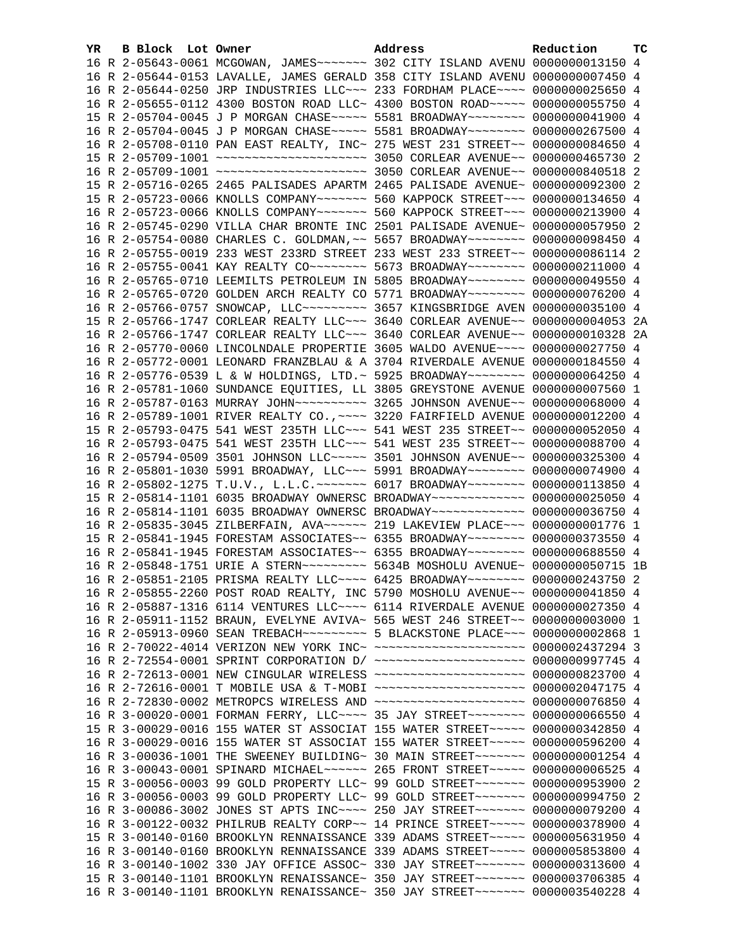| YR. | B Block Lot Owner |                                                                                 | Address | Reduction | тc |
|-----|-------------------|---------------------------------------------------------------------------------|---------|-----------|----|
|     |                   |                                                                                 |         |           |    |
|     |                   | 16 R 2-05644-0153 LAVALLE, JAMES GERALD 358 CITY ISLAND AVENU 0000000007450 4   |         |           |    |
|     |                   | 16 R 2-05644-0250 JRP INDUSTRIES LLC ~~~ 233 FORDHAM PLACE ~~~~ 0000000025650 4 |         |           |    |
|     |                   | 16 R 2-05655-0112 4300 BOSTON ROAD LLC~ 4300 BOSTON ROAD~~~~~ 0000000055750 4   |         |           |    |
|     |                   | 15 R 2-05704-0045 J P MORGAN CHASE~~~~~ 5581 BROADWAY~~~~~~~~ 0000000041900 4   |         |           |    |
|     |                   | 16 R 2-05704-0045 J P MORGAN CHASE~~~~~ 5581 BROADWAY~~~~~~~~ 0000000267500 4   |         |           |    |
|     |                   | 16 R 2-05708-0110 PAN EAST REALTY, INC~ 275 WEST 231 STREET~~ 0000000084650 4   |         |           |    |
|     |                   |                                                                                 |         |           |    |
|     |                   |                                                                                 |         |           |    |
|     |                   | 15 R 2-05716-0265 2465 PALISADES APARTM 2465 PALISADE AVENUE~ 0000000092300 2   |         |           |    |
|     |                   | 15 R 2-05723-0066 KNOLLS COMPANY~~~~~~~ 560 KAPPOCK STREET~~~ 0000000134650 4   |         |           |    |
|     |                   | 16 R 2-05723-0066 KNOLLS COMPANY~~~~~~~ 560 KAPPOCK STREET~~~ 0000000213900 4   |         |           |    |
|     |                   | 16 R 2-05745-0290 VILLA CHAR BRONTE INC 2501 PALISADE AVENUE~ 0000000057950 2   |         |           |    |
|     |                   | 16 R 2-05754-0080 CHARLES C. GOLDMAN, ~~ 5657 BROADWAY~~~~~~~~ 0000000098450 4  |         |           |    |
|     |                   | 16 R 2-05755-0019 233 WEST 233RD STREET 233 WEST 233 STREET~~ 0000000086114 2   |         |           |    |
|     |                   | 16 R 2-05755-0041 KAY REALTY CO ------- 5673 BROADWAY ------- 0000000211000 4   |         |           |    |
|     |                   | 16 R 2-05765-0710 LEEMILTS PETROLEUM IN 5805 BROADWAY~~~~~~~~ 0000000049550 4   |         |           |    |
|     |                   | 16 R 2-05765-0720 GOLDEN ARCH REALTY CO 5771 BROADWAY~~~~~~~~ 0000000076200 4   |         |           |    |
|     |                   | 16 R 2-05766-0757 SNOWCAP, LLC -------- 3657 KINGSBRIDGE AVEN 0000000035100 4   |         |           |    |
|     |                   | 15 R 2-05766-1747 CORLEAR REALTY LLC~~~ 3640 CORLEAR AVENUE~~ 0000000004053 2A  |         |           |    |
|     |                   | 16 R 2-05766-1747 CORLEAR REALTY LLC~~~ 3640 CORLEAR AVENUE~~ 0000000010328 2A  |         |           |    |
|     |                   | 16 R 2-05770-0060 LINCOLNDALE PROPERTIE 3605 WALDO AVENUE~~~~ 0000000027750 4   |         |           |    |
|     |                   | 16 R 2-05772-0001 LEONARD FRANZBLAU & A 3704 RIVERDALE AVENUE 0000000184550 4   |         |           |    |
|     |                   | 16 R 2-05776-0539 L & W HOLDINGS, LTD. ~ 5925 BROADWAY ~~~~~~~~ 0000000064250 4 |         |           |    |
|     |                   | 16 R 2-05781-1060 SUNDANCE EQUITIES, LL 3805 GREYSTONE AVENUE 0000000007560 1   |         |           |    |
|     |                   | 16 R 2-05787-0163 MURRAY JOHN~~~~~~~~~~ 3265 JOHNSON AVENUE~~ 0000000068000 4   |         |           |    |
|     |                   | 16 R 2-05789-1001 RIVER REALTY CO., ~~~~ 3220 FAIRFIELD AVENUE 0000000012200 4  |         |           |    |
|     |                   | 15 R 2-05793-0475 541 WEST 235TH LLC ~~~ 541 WEST 235 STREET ~~ 0000000052050 4 |         |           |    |
|     |                   | 16 R 2-05793-0475 541 WEST 235TH LLC ~~~ 541 WEST 235 STREET ~~ 0000000088700 4 |         |           |    |
|     |                   | 16 R 2-05794-0509 3501 JOHNSON LLC~~~~~ 3501 JOHNSON AVENUE~~ 0000000325300 4   |         |           |    |
|     |                   | 16 R 2-05801-1030 5991 BROADWAY, LLC~~~ 5991 BROADWAY~~~~~~~~ 0000000074900 4   |         |           |    |
|     |                   | 16 R 2-05802-1275 T.U.V., L.L.C. ~~~~~~~ 6017 BROADWAY~~~~~~~~ 0000000113850 4  |         |           |    |
|     |                   | 15 R 2-05814-1101 6035 BROADWAY OWNERSC BROADWAY~~~~~~~~~~~~~ 0000000025050 4   |         |           |    |
|     |                   | 16 R 2-05814-1101 6035 BROADWAY OWNERSC BROADWAY~~~~~~~~~~~~~ 0000000036750 4   |         |           |    |
|     |                   | 16 R 2-05835-3045 ZILBERFAIN, AVA~~~~~~ 219 LAKEVIEW PLACE~~~ 0000000001776 1   |         |           |    |
|     |                   | 15 R 2-05841-1945 FORESTAM ASSOCIATES~~ 6355 BROADWAY~~~~~~~~ 0000000373550 4   |         |           |    |
|     |                   | 16 R 2-05841-1945 FORESTAM ASSOCIATES~~ 6355 BROADWAY~~~~~~~~ 0000000688550 4   |         |           |    |
|     |                   | 16 R 2-05848-1751 URIE A STERN~~~~~~~~~ 5634B MOSHOLU AVENUE~ 00000000050715 1B |         |           |    |
|     |                   | 16 R 2-05851-2105 PRISMA REALTY LLC --- 6425 BROADWAY ------- 0000000243750 2   |         |           |    |
|     |                   | 16 R 2-05855-2260 POST ROAD REALTY, INC 5790 MOSHOLU AVENUE~~ 0000000041850 4   |         |           |    |
|     |                   | 16 R 2-05887-1316 6114 VENTURES LLC~~~~ 6114 RIVERDALE AVENUE 0000000027350 4   |         |           |    |
|     |                   | 16 R 2-05911-1152 BRAUN, EVELYNE AVIVA~ 565 WEST 246 STREET~~ 00000000003000 1  |         |           |    |
|     |                   | 16 R 2-05913-0960 SEAN TREBACH~~~~~~~~~~ 5 BLACKSTONE PLACE~~~ 00000000002868 1 |         |           |    |
|     |                   | 16 R 2-70022-4014 VERIZON NEW YORK INC~ ~~~~~~~~~~~~~~~~~~~~~ 0000002437294 3   |         |           |    |
|     |                   | 16 R 2-72554-0001 SPRINT CORPORATION D/ ~~~~~~~~~~~~~~~~~~~~ 0000000997745 4    |         |           |    |
|     |                   | 16 R 2-72613-0001 NEW CINGULAR WIRELESS ~~~~~~~~~~~~~~~~~~~~ 0000000823700 4    |         |           |    |
|     |                   | 16 R 2-72616-0001 T MOBILE USA & T-MOBI ~~~~~~~~~~~~~~~~~~~~ 0000002047175 4    |         |           |    |
|     |                   | 16 R 2-72830-0002 METROPCS WIRELESS AND ~~~~~~~~~~~~~~~~~~~~~ 0000000076850 4   |         |           |    |
|     |                   | 16 R 3-00020-0001 FORMAN FERRY, LLC --- 35 JAY STREET ------- 0000000066550 4   |         |           |    |
|     |                   | 15 R 3-00029-0016 155 WATER ST ASSOCIAT 155 WATER STREET~~~~~ 0000000342850 4   |         |           |    |
|     |                   | 16 R 3-00029-0016 155 WATER ST ASSOCIAT 155 WATER STREET~~~~~ 0000000596200 4   |         |           |    |
|     |                   | 16 R 3-00036-1001 THE SWEENEY BUILDING~ 30 MAIN STREET~~~~~~~~ 00000000001254 4 |         |           |    |
|     |                   | 16 R 3-00043-0001 SPINARD MICHAEL~~~~~~ 265 FRONT STREET~~~~~ 0000000006525 4   |         |           |    |
|     |                   | 15 R 3-00056-0003 99 GOLD PROPERTY LLC~ 99 GOLD STREET~~~~~~~~ 0000000953900 2  |         |           |    |
|     |                   | 16 R 3-00056-0003 99 GOLD PROPERTY LLC~ 99 GOLD STREET~~~~~~~ 0000000994750 2   |         |           |    |
|     |                   | 16 R 3-00086-3002 JONES ST APTS INC~~~~ 250 JAY STREET~~~~~~~ 0000000079200 4   |         |           |    |
|     |                   | 16 R 3-00122-0032 PHILRUB REALTY CORP~~ 14 PRINCE STREET~~~~~ 0000000378900 4   |         |           |    |
|     |                   | 15 R 3-00140-0160 BROOKLYN RENNAISSANCE 339 ADAMS STREET~~~~~ 0000005631950 4   |         |           |    |
|     |                   | 16 R 3-00140-0160 BROOKLYN RENNAISSANCE 339 ADAMS STREET~~~~~ 0000005853800 4   |         |           |    |
|     |                   | 16 R 3-00140-1002 330 JAY OFFICE ASSOC~ 330 JAY STREET~~~~~~~~ 0000000313600 4  |         |           |    |
|     |                   | 15 R 3-00140-1101 BROOKLYN RENAISSANCE~ 350 JAY STREET~~~~~~~~ 0000003706385 4  |         |           |    |
|     |                   | 16 R 3-00140-1101 BROOKLYN RENAISSANCE~ 350 JAY STREET~~~~~~~~ 0000003540228 4  |         |           |    |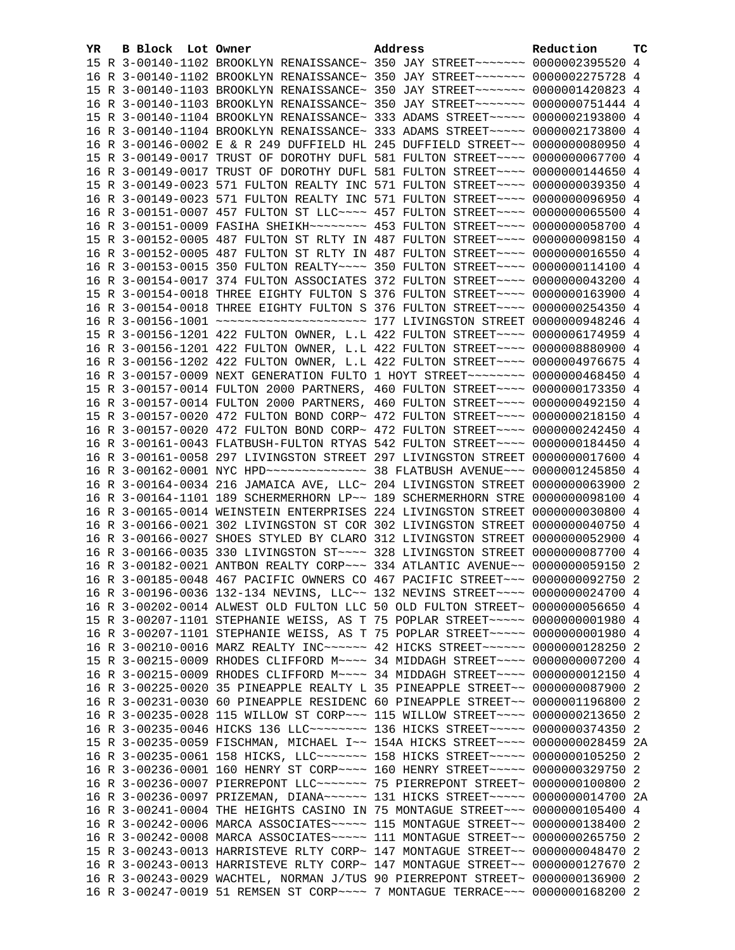| YR. | B Block Lot Owner | Address                                                                                                                                                        | Reduction | тc |
|-----|-------------------|----------------------------------------------------------------------------------------------------------------------------------------------------------------|-----------|----|
|     |                   | 15 R 3-00140-1102 BROOKLYN RENAISSANCE~ 350 JAY STREET~~~~~~~~ 0000002395520 4                                                                                 |           |    |
|     |                   | 16 R 3-00140-1102 BROOKLYN RENAISSANCE~ 350 JAY STREET~~~~~~~~ 0000002275728 4                                                                                 |           |    |
|     |                   | 15 R 3-00140-1103 BROOKLYN RENAISSANCE~ 350 JAY STREET~~~~~~~~ 0000001420823 4                                                                                 |           |    |
|     |                   | 16 R 3-00140-1103 BROOKLYN RENAISSANCE~ 350 JAY STREET~~~~~~~ 0000000751444 4                                                                                  |           |    |
|     |                   | 15 R 3-00140-1104 BROOKLYN RENAISSANCE~ 333 ADAMS STREET~~~~~ 0000002193800 4                                                                                  |           |    |
|     |                   | 16 R 3-00140-1104 BROOKLYN RENAISSANCE~ 333 ADAMS STREET~~~~~ 0000002173800 4                                                                                  |           |    |
|     |                   | 16 R 3-00146-0002 E & R 249 DUFFIELD HL 245 DUFFIELD STREET~~ 0000000080950 4                                                                                  |           |    |
|     |                   | 15 R 3-00149-0017 TRUST OF DOROTHY DUFL 581 FULTON STREET~~~~ 0000000067700 4                                                                                  |           |    |
|     |                   | 16 R 3-00149-0017 TRUST OF DOROTHY DUFL 581 FULTON STREET~~~~ 0000000144650 4                                                                                  |           |    |
|     |                   | 15 R 3-00149-0023 571 FULTON REALTY INC 571 FULTON STREET~~~~ 0000000039350 4                                                                                  |           |    |
|     |                   | 16 R 3-00149-0023 571 FULTON REALTY INC 571 FULTON STREET~~~~ 0000000096950 4                                                                                  |           |    |
|     |                   | 16 R 3-00151-0007 457 FULTON ST LLC --- 457 FULTON STREET --- 0000000065500 4                                                                                  |           |    |
|     |                   | 16 R 3-00151-0009 FASIHA SHEIKH~~~~~~~~ 453 FULTON STREET~~~~ 0000000058700 4                                                                                  |           |    |
|     |                   | 15 R 3-00152-0005 487 FULTON ST RLTY IN 487 FULTON STREET~~~~ 0000000098150 4                                                                                  |           |    |
|     |                   | 16 R 3-00152-0005 487 FULTON ST RLTY IN 487 FULTON STREET~~~~ 0000000016550 4                                                                                  |           |    |
|     |                   | 16 R 3-00153-0015 350 FULTON REALTY~~~~ 350 FULTON STREET~~~~ 0000000114100 4                                                                                  |           |    |
|     |                   | 16 R 3-00154-0017 374 FULTON ASSOCIATES 372 FULTON STREET~~~~ 0000000043200 4                                                                                  |           |    |
|     |                   | 15 R 3-00154-0018 THREE EIGHTY FULTON S 376 FULTON STREET~~~~ 0000000163900 4                                                                                  |           |    |
|     |                   | 16 R 3-00154-0018 THREE EIGHTY FULTON S 376 FULTON STREET~~~~ 0000000254350 4                                                                                  |           |    |
|     |                   |                                                                                                                                                                |           |    |
|     |                   | 15 R 3-00156-1201 422 FULTON OWNER, L.L 422 FULTON STREET~~~~ 0000006174959 4                                                                                  |           |    |
|     |                   | 16 R 3-00156-1201 422 FULTON OWNER, L.L 422 FULTON STREET~~~~ 0000008880900 4                                                                                  |           |    |
|     |                   | 16 R 3-00156-1202 422 FULTON OWNER, L.L 422 FULTON STREET~~~~ 0000004976675 4                                                                                  |           |    |
|     |                   | 16 R 3-00157-0009 NEXT GENERATION FULTO 1 HOYT STREET~~~~~~~~ 0000000468450 4                                                                                  |           |    |
|     |                   | 15 R 3-00157-0014 FULTON 2000 PARTNERS, 460 FULTON STREET~~~~ 0000000173350 4                                                                                  |           |    |
|     |                   | 16 R 3-00157-0014 FULTON 2000 PARTNERS, 460 FULTON STREET~~~~ 0000000492150 4                                                                                  |           |    |
|     |                   | 15 R 3-00157-0020 472 FULTON BOND CORP~ 472 FULTON STREET~~~~ 0000000218150 4                                                                                  |           |    |
|     |                   | 16 R 3-00157-0020 472 FULTON BOND CORP~ 472 FULTON STREET~~~~ 0000000242450 4                                                                                  |           |    |
|     |                   | 16 R 3-00161-0043 FLATBUSH-FULTON RTYAS 542 FULTON STREET~~~~ 0000000184450 4<br>16 R 3-00161-0058 297 LIVINGSTON STREET 297 LIVINGSTON STREET 0000000017600 4 |           |    |
|     |                   | 16 R 3-00162-0001 NYC HPD -------------- 38 FLATBUSH AVENUE --- 0000001245850 4                                                                                |           |    |
|     |                   | 16 R 3-00164-0034 216 JAMAICA AVE, LLC~ 204 LIVINGSTON STREET 0000000063900 2                                                                                  |           |    |
|     |                   | 16 R 3-00164-1101 189 SCHERMERHORN LP~~ 189 SCHERMERHORN STRE 0000000098100 4                                                                                  |           |    |
|     |                   | 16 R 3-00165-0014 WEINSTEIN ENTERPRISES 224 LIVINGSTON STREET 0000000030800 4                                                                                  |           |    |
|     |                   | 16 R 3-00166-0021 302 LIVINGSTON ST COR 302 LIVINGSTON STREET 0000000040750 4                                                                                  |           |    |
|     |                   | 16 R 3-00166-0027 SHOES STYLED BY CLARO 312 LIVINGSTON STREET 0000000052900 4                                                                                  |           |    |
|     |                   | 16 R 3-00166-0035 330 LIVINGSTON ST~~~~ 328 LIVINGSTON STREET 0000000087700 4                                                                                  |           |    |
|     |                   | 16 R 3-00182-0021 ANTBON REALTY CORP~~~ 334 ATLANTIC AVENUE~~ 0000000059150 2                                                                                  |           |    |
|     |                   | 16 R 3-00185-0048 467 PACIFIC OWNERS CO 467 PACIFIC STREET~~~ 0000000092750 2                                                                                  |           |    |
|     |                   | 16 R 3-00196-0036 132-134 NEVINS, LLC~~ 132 NEVINS STREET~~~~ 0000000024700 4                                                                                  |           |    |
|     |                   | 16 R 3-00202-0014 ALWEST OLD FULTON LLC 50 OLD FULTON STREET~ 0000000056650 4                                                                                  |           |    |
|     |                   | 15 R 3-00207-1101 STEPHANIE WEISS, AS T 75 POPLAR STREET~~~~~ 00000000001980 4                                                                                 |           |    |
|     |                   | 16 R 3-00207-1101 STEPHANIE WEISS, AS T 75 POPLAR STREET~~~~~ 00000000001980 4                                                                                 |           |    |
|     |                   | 16 R 3-00210-0016 MARZ REALTY INC~~~~~~ 42 HICKS STREET~~~~~~ 0000000128250 2                                                                                  |           |    |
|     |                   | 15 R 3-00215-0009 RHODES CLIFFORD M~~~~ 34 MIDDAGH STREET~~~~ 0000000007200 4                                                                                  |           |    |
|     |                   | 16 R 3-00215-0009 RHODES CLIFFORD M~~~~ 34 MIDDAGH STREET~~~~ 0000000012150 4                                                                                  |           |    |
|     |                   | 16 R 3-00225-0020 35 PINEAPPLE REALTY L 35 PINEAPPLE STREET~~ 0000000087900                                                                                    |           | -2 |
|     |                   | 16 R 3-00231-0030 60 PINEAPPLE RESIDENC 60 PINEAPPLE STREET~~ 0000001196800 2                                                                                  |           |    |
|     |                   | 16 R 3-00235-0028 115 WILLOW ST CORP~~~ 115 WILLOW STREET~~~~ 0000000213650 2                                                                                  |           |    |
|     |                   | 16 R 3-00235-0046 HICKS 136 LLC~~~~~~~~ 136 HICKS STREET~~~~~ 0000000374350 2                                                                                  |           |    |
|     |                   | 15 R 3-00235-0059 FISCHMAN, MICHAEL I~~ 154A HICKS STREET~~~~ 0000000028459 2A                                                                                 |           |    |
|     |                   | 16 R 3-00235-0061 158 HICKS, LLC ------- 158 HICKS STREET ----- 0000000105250                                                                                  |           | -2 |
|     |                   | 16 R 3-00236-0001 160 HENRY ST CORP~~~~ 160 HENRY STREET~~~~~ 0000000329750 2                                                                                  |           |    |
|     |                   | 16 R 3-00236-0007 PIERREPONT LLC ~~~~~~~ 75 PIERREPONT STREET~ 0000000100800 2                                                                                 |           |    |
|     |                   | 16 R 3-00236-0097 PRIZEMAN, DIANA~~~~~~ 131 HICKS STREET~~~~~ 0000000014700 2A                                                                                 |           |    |
|     |                   | 16 R 3-00241-0004 THE HEIGHTS CASINO IN 75 MONTAGUE STREET~~~ 0000000105400 4                                                                                  |           |    |
|     |                   | 16 R 3-00242-0006 MARCA ASSOCIATES~~~~~ 115 MONTAGUE STREET~~ 0000000138400 2                                                                                  |           |    |
|     |                   | 16 R 3-00242-0008 MARCA ASSOCIATES~~~~~ 111 MONTAGUE STREET~~ 0000000265750 2                                                                                  |           |    |
|     |                   | 15 R 3-00243-0013 HARRISTEVE RLTY CORP~ 147 MONTAGUE STREET~~ 0000000048470                                                                                    |           | -2 |
|     |                   | 16 R 3-00243-0013 HARRISTEVE RLTY CORP~ 147 MONTAGUE STREET~~ 0000000127670 2                                                                                  |           |    |
|     |                   | 16 R 3-00243-0029 WACHTEL, NORMAN J/TUS 90 PIERREPONT STREET~ 0000000136900 2                                                                                  |           |    |
|     |                   | 16 R 3-00247-0019 51 REMSEN ST CORP~~~~ 7 MONTAGUE TERRACE~~~ 0000000168200 2                                                                                  |           |    |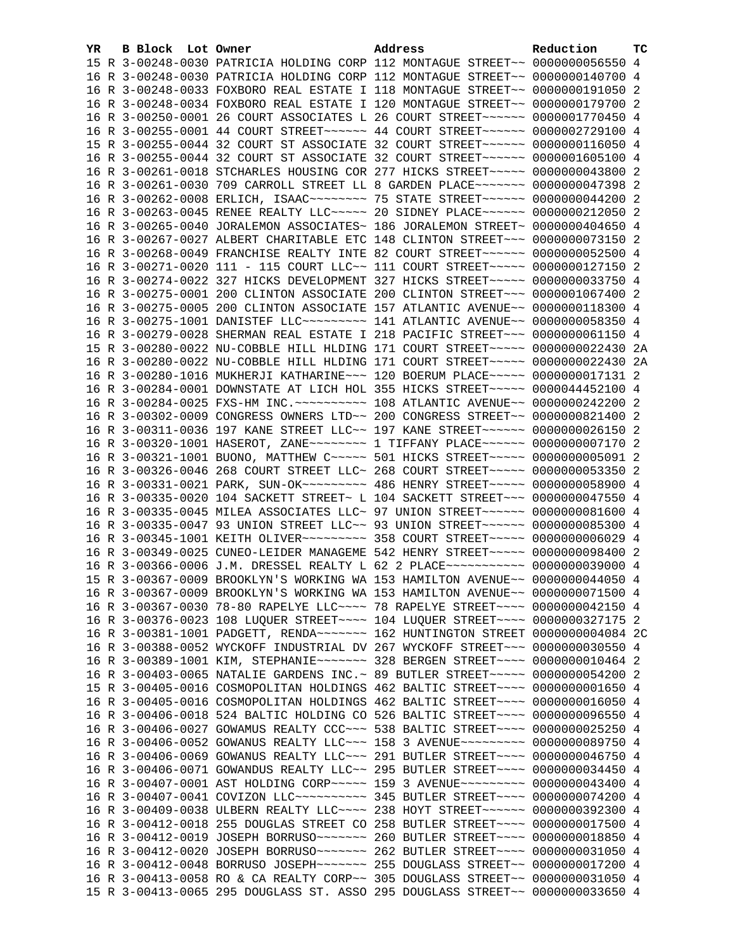| YR | B Block Lot Owner |  | Address                                                                                   | Reduction | TC |
|----|-------------------|--|-------------------------------------------------------------------------------------------|-----------|----|
|    |                   |  | 15 R 3-00248-0030 PATRICIA HOLDING CORP 112 MONTAGUE STREET~~ 0000000056550 4             |           |    |
|    |                   |  | 16 R 3-00248-0030 PATRICIA HOLDING CORP 112 MONTAGUE STREET~~ 0000000140700 4             |           |    |
|    |                   |  | 16 R 3-00248-0033 FOXBORO REAL ESTATE I 118 MONTAGUE STREET~~ 0000000191050 2             |           |    |
|    |                   |  | 16 R 3-00248-0034 FOXBORO REAL ESTATE I 120 MONTAGUE STREET~~ 0000000179700 2             |           |    |
|    |                   |  | 16 R 3-00250-0001 26 COURT ASSOCIATES L 26 COURT STREET~~~~~~ 0000001770450 4             |           |    |
|    |                   |  | 16 R 3-00255-0001 44 COURT STREET~~~~~~ 44 COURT STREET~~~~~~ 0000002729100 4             |           |    |
|    |                   |  | 15 R 3-00255-0044 32 COURT ST ASSOCIATE 32 COURT STREET~~~~~~ 0000000116050 4             |           |    |
|    |                   |  | 16 R 3-00255-0044 32 COURT ST ASSOCIATE 32 COURT STREET~~~~~~ 0000001605100 4             |           |    |
|    |                   |  | 16 R 3-00261-0018 STCHARLES HOUSING COR 277 HICKS STREET~~~~~~ 0000000043800              |           | -2 |
|    |                   |  | 16 R 3-00261-0030 709 CARROLL STREET LL 8 GARDEN PLACE~~~~~~~ 0000000047398 2             |           |    |
|    |                   |  | 16 R 3-00262-0008 ERLICH, ISAAC~~~~~~~~~ 75 STATE STREET~~~~~~ 0000000044200 2            |           |    |
|    |                   |  | 16 R 3-00263-0045 RENEE REALTY LLC ---- 20 SIDNEY PLACE ----- 0000000212050 2             |           |    |
|    |                   |  | 16 R 3-00265-0040 JORALEMON ASSOCIATES~ 186 JORALEMON STREET~ 0000000404650 4             |           |    |
|    |                   |  | 16 R 3-00267-0027 ALBERT CHARITABLE ETC 148 CLINTON STREET~~~ 0000000073150 2             |           |    |
|    |                   |  | 16 R 3-00268-0049 FRANCHISE REALTY INTE 82 COURT STREET~~~~~~ 0000000052500 4             |           |    |
|    |                   |  | 16 R 3-00271-0020 111 - 115 COURT LLC~~ 111 COURT STREET~~~~~ 0000000127150 2             |           |    |
|    |                   |  | 16 R 3-00274-0022 327 HICKS DEVELOPMENT 327 HICKS STREET~~~~~ 0000000033750 4             |           |    |
|    |                   |  | 16 R 3-00275-0001 200 CLINTON ASSOCIATE 200 CLINTON STREET~~~ 0000001067400 2             |           |    |
|    |                   |  | 16 R 3-00275-0005 200 CLINTON ASSOCIATE 157 ATLANTIC AVENUE~~ 0000000118300 4             |           |    |
|    |                   |  | 16 R 3-00275-1001 DANISTEF LLC -------- 141 ATLANTIC AVENUE -- 0000000058350 4            |           |    |
|    |                   |  | 16 R 3-00279-0028 SHERMAN REAL ESTATE I 218 PACIFIC STREET~~~ 0000000061150 4             |           |    |
|    |                   |  | 15 R 3-00280-0022 NU-COBBLE HILL HLDING 171 COURT STREET~~~~~ 0000000022430 2A            |           |    |
|    |                   |  | 16 R 3-00280-0022 NU-COBBLE HILL HLDING 171 COURT STREET~~~~~ 0000000022430 2A            |           |    |
|    |                   |  | 16 R 3-00280-1016 MUKHERJI KATHARINE~~~ 120 BOERUM PLACE~~~~~ 0000000017131 2             |           |    |
|    |                   |  | 16 R 3-00284-0001 DOWNSTATE AT LICH HOL 355 HICKS STREET~~~~~ 0000044452100 4             |           |    |
|    |                   |  |                                                                                           |           |    |
|    |                   |  | 16 R 3-00302-0009 CONGRESS OWNERS LTD~~ 200 CONGRESS STREET~~ 0000000821400 2             |           |    |
|    |                   |  | 16 R 3-00311-0036 197 KANE STREET LLC~~ 197 KANE STREET~~~~~~ 0000000026150 2             |           |    |
|    |                   |  | 16 R 3-00320-1001 HASEROT, ZANE~~~~~~~~~~~~~ 1 TIFFANY PLACE~~~~~~~ 00000000007170 2      |           |    |
|    |                   |  | 16 R 3-00321-1001 BUONO, MATTHEW C ---- 501 HICKS STREET ---- 00000000005091 2            |           |    |
|    |                   |  | 16 R 3-00326-0046 268 COURT STREET LLC~ 268 COURT STREET~~~~~ 0000000053350 2             |           |    |
|    |                   |  | 16 R 3-00331-0021 PARK, SUN-OK~~~~~~~~~~~~~~~~~ 486 HENRY STREET~~~~~~ 0000000058900 4    |           |    |
|    |                   |  | 16 R 3-00335-0020 104 SACKETT STREET~ L 104 SACKETT STREET~~~ 0000000047550 4             |           |    |
|    |                   |  | 16 R 3-00335-0045 MILEA ASSOCIATES LLC~ 97 UNION STREET~~~~~~ 0000000081600 4             |           |    |
|    |                   |  | 16 R 3-00335-0047 93 UNION STREET LLC~~ 93 UNION STREET~~~~~~ 0000000085300 4             |           |    |
|    |                   |  | 16 R 3-00345-1001 KEITH OLIVER~~~~~~~~~ 358 COURT STREET~~~~~ 00000000006029 4            |           |    |
|    |                   |  | 16 R 3-00349-0025 CUNEO-LEIDER MANAGEME 542 HENRY STREET~~~~~ 0000000098400 2             |           |    |
|    |                   |  | 16 R 3-00366-0006 J.M. DRESSEL REALTY L 62 2 PLACE~~~~~~~~~~~ 0000000039000 4             |           |    |
|    |                   |  | 15 R 3-00367-0009 BROOKLYN'S WORKING WA 153 HAMILTON AVENUE~~ 0000000044050 4             |           |    |
|    |                   |  | 16 R 3-00367-0009 BROOKLYN'S WORKING WA 153 HAMILTON AVENUE~~ 0000000071500 4             |           |    |
|    |                   |  | 16 R 3-00367-0030 78-80 RAPELYE LLC --- 78 RAPELYE STREET --- 0000000042150 4             |           |    |
|    |                   |  | 16 R 3-00376-0023 108 LUQUER STREET~~~~ 104 LUQUER STREET~~~~ 0000000327175 2             |           |    |
|    |                   |  | 16 R 3-00381-1001 PADGETT, RENDA~~~~~~~~ 162 HUNTINGTON STREET 0000000004084 2C           |           |    |
|    |                   |  | 16 R 3-00388-0052 WYCKOFF INDUSTRIAL DV 267 WYCKOFF STREET~~~ 0000000030550 4             |           |    |
|    |                   |  | 16 R 3-00389-1001 KIM, STEPHANIE~~~~~~~ 328 BERGEN STREET~~~~ 0000000010464 2             |           |    |
|    |                   |  | 16 R 3-00403-0065 NATALIE GARDENS INC.~ 89 BUTLER STREET~~~~~ 0000000054200 2             |           |    |
|    |                   |  | 15 R 3-00405-0016 COSMOPOLITAN HOLDINGS 462 BALTIC STREET~~~~ 00000000001650 4            |           |    |
|    |                   |  | 16 R 3-00405-0016 COSMOPOLITAN HOLDINGS 462 BALTIC STREET~~~~ 0000000016050               |           | -4 |
|    |                   |  | 16 R 3-00406-0018 524 BALTIC HOLDING CO 526 BALTIC STREET~~~~ 0000000096550 4             |           |    |
|    |                   |  | 16 R 3-00406-0027 GOWAMUS REALTY CCC~~~ 538 BALTIC STREET~~~~ 0000000025250 4             |           |    |
|    |                   |  | 16 R 3-00406-0052 GOWANUS REALTY LLC~~~ 158 3 AVENUE~~~~~~~~~ 0000000089750 4             |           |    |
|    |                   |  | 16 R 3-00406-0069 GOWANUS REALTY LLC ~~~ 291 BUTLER STREET ~~~~ 0000000046750 4           |           |    |
|    |                   |  | 16 R 3-00406-0071 GOWANDUS REALTY LLC~~ 295 BUTLER STREET~~~~ 0000000034450 4             |           |    |
|    |                   |  | 16 R 3-00407-0001 AST HOLDING CORP~~~~~ 159 3 AVENUE~~~~~~~~~ 0000000043400 4             |           |    |
|    |                   |  | 16 R 3-00407-0041 COVIZON LLC~~~~~~~~~~~~~~~~~~~~~ 345 BUTLER STREET~~~~~ 0000000074200 4 |           |    |
|    |                   |  | 16 R 3-00409-0038 ULBERN REALTY LLC --- 238 HOYT STREET ----- 0000000392300 4             |           |    |
|    |                   |  | 16 R 3-00412-0018 255 DOUGLAS STREET CO 258 BUTLER STREET~~~~ 0000000017500 4             |           |    |
|    |                   |  | 16 R 3-00412-0019 JOSEPH BORRUSO~~~~~~~ 260 BUTLER STREET~~~~ 0000000018850 4             |           |    |
|    |                   |  | 16 R 3-00412-0020 JOSEPH BORRUSO~~~~~~~ 262 BUTLER STREET~~~~ 0000000031050 4             |           |    |
|    |                   |  | 16 R 3-00412-0048 BORRUSO JOSEPH~~~~~~~ 255 DOUGLASS STREET~~ 0000000017200 4             |           |    |
|    |                   |  | 16 R 3-00413-0058 RO & CA REALTY CORP~~ 305 DOUGLASS STREET~~ 0000000031050 4             |           |    |
|    |                   |  | 15 R 3-00413-0065 295 DOUGLASS ST. ASSO 295 DOUGLASS STREET~~ 0000000033650 4             |           |    |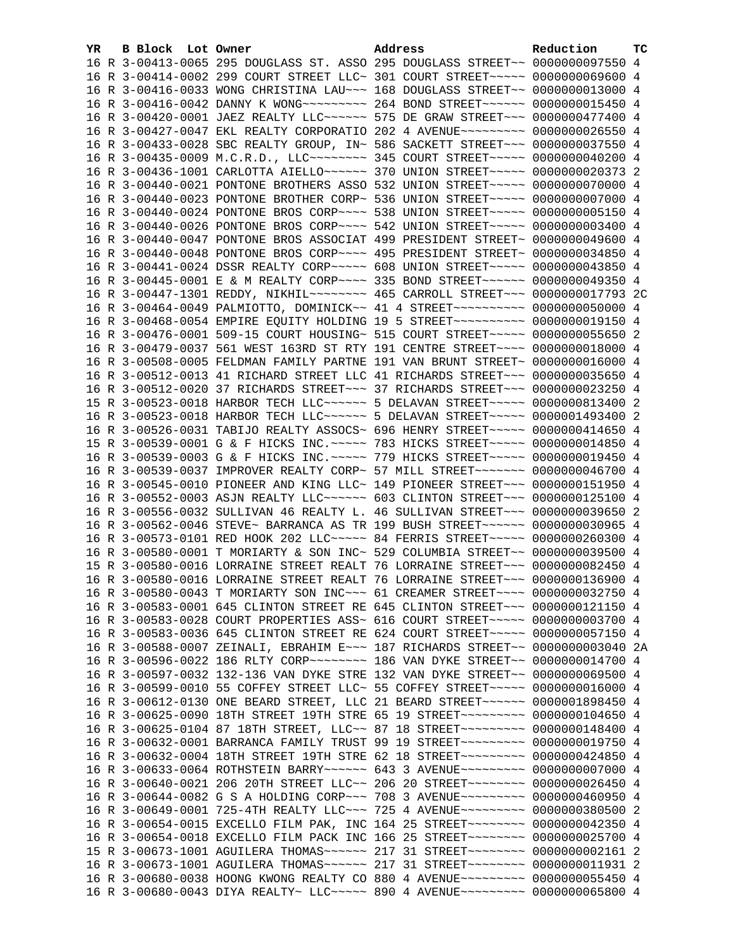| YR. | B Block Lot Owner |                                                                                         | Address | Reduction | тc |
|-----|-------------------|-----------------------------------------------------------------------------------------|---------|-----------|----|
|     |                   | 16 R 3-00413-0065 295 DOUGLASS ST. ASSO 295 DOUGLASS STREET~~ 0000000097550 4           |         |           |    |
|     |                   | 16 R 3-00414-0002 299 COURT STREET LLC~ 301 COURT STREET~~~~~ 0000000069600 4           |         |           |    |
|     |                   | 16 R 3-00416-0033 WONG CHRISTINA LAU~~~ 168 DOUGLASS STREET~~ 0000000013000 4           |         |           |    |
|     |                   | 16 R 3-00416-0042 DANNY K WONG~~~~~~~~~~~~~~~~ 264 BOND STREET~~~~~~~~ 00000000015450 4 |         |           |    |
|     |                   | 16 R 3-00420-0001 JAEZ REALTY LLC ----- 575 DE GRAW STREET -- 0000000477400 4           |         |           |    |
|     |                   | 16 R 3-00427-0047 EKL REALTY CORPORATIO 202 4 AVENUE~~~~~~~~~ 0000000026550 4           |         |           |    |
|     |                   | 16 R 3-00433-0028 SBC REALTY GROUP, IN~ 586 SACKETT STREET~~~ 0000000037550 4           |         |           |    |
|     |                   | 16 R 3-00435-0009 M.C.R.D., LLC -------- 345 COURT STREET ----- 0000000040200 4         |         |           |    |
|     |                   | 16 R 3-00436-1001 CARLOTTA AIELLO~~~~~~ 370 UNION STREET~~~~~ 0000000020373 2           |         |           |    |
|     |                   | 16 R 3-00440-0021 PONTONE BROTHERS ASSO 532 UNION STREET~~~~~ 0000000070000 4           |         |           |    |
|     |                   | 16 R 3-00440-0023 PONTONE BROTHER CORP~ 536 UNION STREET~~~~~ 00000000007000 4          |         |           |    |
|     |                   | 16 R 3-00440-0024 PONTONE BROS CORP~~~~ 538 UNION STREET~~~~~ 00000000005150 4          |         |           |    |
|     |                   | 16 R 3-00440-0026 PONTONE BROS CORP~~~~ 542 UNION STREET~~~~~ 0000000003400 4           |         |           |    |
|     |                   | 16 R 3-00440-0047 PONTONE BROS ASSOCIAT 499 PRESIDENT STREET~ 0000000049600 4           |         |           |    |
|     |                   | 16 R 3-00440-0048 PONTONE BROS CORP~~~~ 495 PRESIDENT STREET~ 0000000034850 4           |         |           |    |
|     |                   | 16 R 3-00441-0024 DSSR REALTY CORP~~~~~ 608 UNION STREET~~~~~ 0000000043850 4           |         |           |    |
|     |                   | 16 R 3-00445-0001 E & M REALTY CORP~~~~ 335 BOND STREET~~~~~~ 0000000049350 4           |         |           |    |
|     |                   | 16 R 3-00447-1301 REDDY, NIKHIL~~~~~~~~ 465 CARROLL STREET~~~ 0000000017793 2C          |         |           |    |
|     |                   | 16 R 3-00464-0049 PALMIOTTO, DOMINICK~~ 41 4 STREET~~~~~~~~~~ 0000000050000 4           |         |           |    |
|     |                   | 16 R 3-00468-0054 EMPIRE EQUITY HOLDING 19 5 STREET~~~~~~~~~~ 0000000019150 4           |         |           |    |
|     |                   | 16 R 3-00476-0001 509-15 COURT HOUSING~ 515 COURT STREET~~~~~ 0000000055650 2           |         |           |    |
|     |                   | 16 R 3-00479-0037 561 WEST 163RD ST RTY 191 CENTRE STREET~~~~ 0000000018000 4           |         |           |    |
|     |                   | 16 R 3-00508-0005 FELDMAN FAMILY PARTNE 191 VAN BRUNT STREET~ 0000000016000 4           |         |           |    |
|     |                   | 16 R 3-00512-0013 41 RICHARD STREET LLC 41 RICHARDS STREET~~~ 0000000035650 4           |         |           |    |
|     |                   | 16 R 3-00512-0020 37 RICHARDS STREET~~~ 37 RICHARDS STREET~~~ 0000000023250 4           |         |           |    |
|     |                   | 15 R 3-00523-0018 HARBOR TECH LLC ----- 5 DELAVAN STREET ---- 0000000813400 2           |         |           |    |
|     |                   | 16 R 3-00523-0018 HARBOR TECH LLC ----- 5 DELAVAN STREET ---- 0000001493400 2           |         |           |    |
|     |                   | 16 R 3-00526-0031 TABIJO REALTY ASSOCS~ 696 HENRY STREET~~~~~ 0000000414650 4           |         |           |    |
|     |                   | 15 R 3-00539-0001 G & F HICKS INC. ~~~~~ 783 HICKS STREET~~~~~ 0000000014850 4          |         |           |    |
|     |                   | 16 R 3-00539-0003 G & F HICKS INC. ~~~~~ 779 HICKS STREET~~~~~ 0000000019450 4          |         |           |    |
|     |                   | 16 R 3-00539-0037 IMPROVER REALTY CORP~ 57 MILL STREET~~~~~~~~ 0000000046700 4          |         |           |    |
|     |                   | 16 R 3-00545-0010 PIONEER AND KING LLC~ 149 PIONEER STREET~~~ 0000000151950 4           |         |           |    |
|     |                   | 16 R 3-00552-0003 ASJN REALTY LLC ~~~~~~ 603 CLINTON STREET ~~~ 0000000125100 4         |         |           |    |
|     |                   | 16 R 3-00556-0032 SULLIVAN 46 REALTY L. 46 SULLIVAN STREET~~~ 0000000039650 2           |         |           |    |
|     |                   | 16 R 3-00562-0046 STEVE~ BARRANCA AS TR 199 BUSH STREET~~~~~~ 0000000030965 4           |         |           |    |
|     |                   | 16 R 3-00573-0101 RED HOOK 202 LLC ~~~~~ 84 FERRIS STREET ~~~~~ 0000000260300 4         |         |           |    |
|     |                   | 16 R 3-00580-0001 T MORIARTY & SON INC~ 529 COLUMBIA STREET~~ 0000000039500 4           |         |           |    |
|     |                   | 15 R 3-00580-0016 LORRAINE STREET REALT 76 LORRAINE STREET~~~ 0000000082450 4           |         |           |    |
|     |                   | 16 R 3-00580-0016 LORRAINE STREET REALT 76 LORRAINE STREET~~~ 0000000136900 4           |         |           |    |
|     |                   | 16 R 3-00580-0043 T MORIARTY SON INC~~~ 61 CREAMER STREET~~~~ 0000000032750 4           |         |           |    |
|     |                   | 16 R 3-00583-0001 645 CLINTON STREET RE 645 CLINTON STREET~~~ 0000000121150 4           |         |           |    |
|     |                   | 16 R 3-00583-0028 COURT PROPERTIES ASS~ 616 COURT STREET~~~~~ 0000000003700 4           |         |           |    |
|     |                   | 16 R 3-00583-0036 645 CLINTON STREET RE 624 COURT STREET~~~~~ 0000000057150 4           |         |           |    |
|     |                   | 16 R 3-00588-0007 ZEINALI, EBRAHIM E~~~ 187 RICHARDS STREET~~ 0000000003040 2A          |         |           |    |
|     |                   | 16 R 3-00596-0022 186 RLTY CORP~~~~~~~~ 186 VAN DYKE STREET~~ 0000000014700 4           |         |           |    |
|     |                   | 16 R 3-00597-0032 132-136 VAN DYKE STRE 132 VAN DYKE STREET~~ 0000000069500 4           |         |           |    |
|     |                   | 16 R 3-00599-0010 55 COFFEY STREET LLC~ 55 COFFEY STREET~~~~~ 0000000016000 4           |         |           |    |
|     |                   | 16 R 3-00612-0130 ONE BEARD STREET, LLC 21 BEARD STREET~~~~~~ 0000001898450 4           |         |           |    |
|     |                   | 16 R 3-00625-0090 18TH STREET 19TH STRE 65 19 STREET~~~~~~~~~ 0000000104650 4           |         |           |    |
|     |                   | 16 R 3-00625-0104 87 18TH STREET, LLC~~ 87 18 STREET~~~~~~~~~~ 0000000148400 4          |         |           |    |
|     |                   | 16 R 3-00632-0001 BARRANCA FAMILY TRUST 99 19 STREET~~~~~~~~~ 0000000019750 4           |         |           |    |
|     |                   | 16 R 3-00632-0004 18TH STREET 19TH STRE 62 18 STREET~~~~~~~~~ 0000000424850 4           |         |           |    |
|     |                   | 16 R 3-00633-0064 ROTHSTEIN BARRY~~~~~~ 643 3 AVENUE~~~~~~~~~ 0000000007000 4           |         |           |    |
|     |                   | 16 R 3-00640-0021 206 20TH STREET LLC~~ 206 20 STREET~~~~~~~~~ 0000000026450 4          |         |           |    |
|     |                   | 16 R 3-00644-0082 G S A HOLDING CORP~~~ 708 3 AVENUE~~~~~~~~~ 0000000460950 4           |         |           |    |
|     |                   | 16 R 3-00649-0001 725-4TH REALTY LLC~~~ 725 4 AVENUE~~~~~~~~~ 0000000380500 2           |         |           |    |
|     |                   | 16 R 3-00654-0015 EXCELLO FILM PAK, INC 164 25 STREET~~~~~~~~~ 0000000042350 4          |         |           |    |
|     |                   | 16 R 3-00654-0018 EXCELLO FILM PACK INC 166 25 STREET~~~~~~~~ 0000000025700 4           |         |           |    |
|     |                   | 15 R 3-00673-1001 AGUILERA THOMAS ~~~~~~ 217 31 STREET ~~~~~~~~ 0000000002161 2         |         |           |    |
|     |                   | 16 R 3-00673-1001 AGUILERA THOMAS~~~~~~ 217 31 STREET~~~~~~~~ 0000000011931 2           |         |           |    |
|     |                   | 16 R 3-00680-0038 HOONG KWONG REALTY CO 880 4 AVENUE~~~~~~~~~ 0000000055450 4           |         |           |    |
|     |                   | 16 R 3-00680-0043 DIYA REALTY~ LLC~~~~~ 890 4 AVENUE~~~~~~~~~ 0000000065800 4           |         |           |    |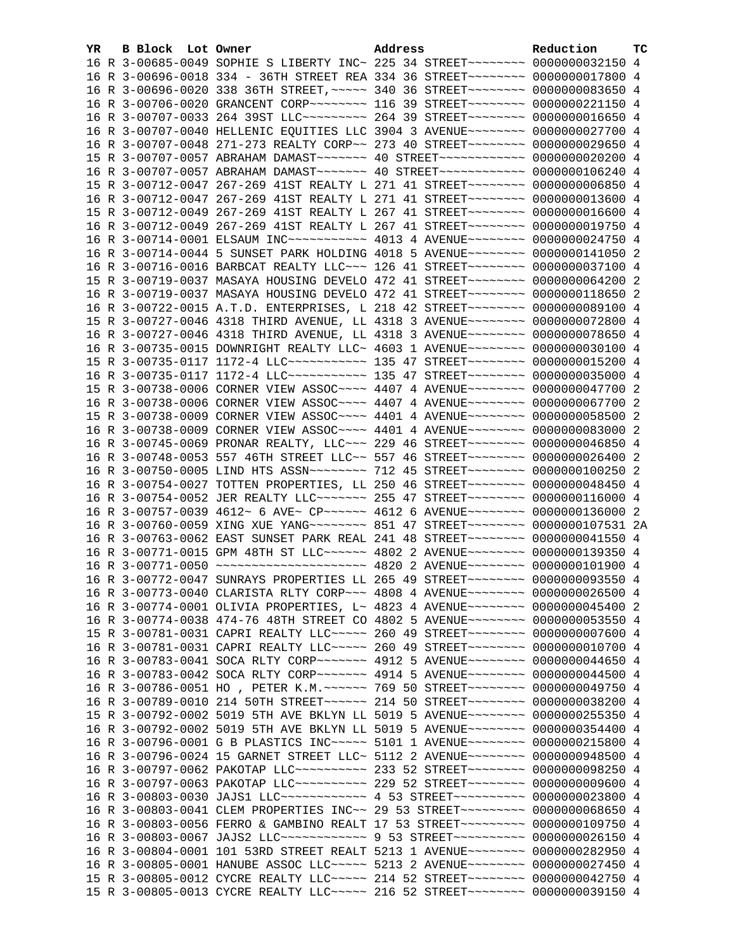| YR. | B Block Lot Owner |                                                                                  | Address | Reduction | тc |
|-----|-------------------|----------------------------------------------------------------------------------|---------|-----------|----|
|     |                   | 16 R 3-00685-0049 SOPHIE S LIBERTY INC~ 225 34 STREET~~~~~~~~~ 0000000032150 4   |         |           |    |
|     |                   | 16 R 3-00696-0018 334 - 36TH STREET REA 334 36 STREET~~~~~~~~~ 0000000017800 4   |         |           |    |
|     |                   | 16 R 3-00696-0020 338 36TH STREET, ~~~~~ 340 36 STREET~~~~~~~~ 0000000083650 4   |         |           |    |
|     |                   | 16 R 3-00706-0020 GRANCENT CORP~~~~~~~~ 116 39 STREET~~~~~~~~ 0000000221150 4    |         |           |    |
|     |                   | 16 R 3-00707-0033 264 39ST LLC -------- 264 39 STREET ------- 0000000016650 4    |         |           |    |
|     |                   | 16 R 3-00707-0040 HELLENIC EQUITIES LLC 3904 3 AVENUE~~~~~~~~ 0000000027700 4    |         |           |    |
|     |                   | 16 R 3-00707-0048 271-273 REALTY CORP~~ 273 40 STREET~~~~~~~~ 0000000029650 4    |         |           |    |
|     |                   | 15 R 3-00707-0057 ABRAHAM DAMAST~~~~~~~ 40 STREET~~~~~~~~~~~~ 0000000020200 4    |         |           |    |
|     |                   | 16 R 3-00707-0057 ABRAHAM DAMAST ------ 40 STREET ----------- 0000000106240 4    |         |           |    |
|     |                   | 15 R 3-00712-0047 267-269 41ST REALTY L 271 41 STREET~~~~~~~~ 0000000006850 4    |         |           |    |
|     |                   | 16 R 3-00712-0047 267-269 41ST REALTY L 271 41 STREET~~~~~~~~ 0000000013600 4    |         |           |    |
|     |                   | 15 R 3-00712-0049 267-269 41ST REALTY L 267 41 STREET~~~~~~~~ 0000000016600 4    |         |           |    |
|     |                   | 16 R 3-00712-0049 267-269 41ST REALTY L 267 41 STREET~~~~~~~~ 0000000019750 4    |         |           |    |
|     |                   | 16 R 3-00714-0001 ELSAUM INC~~~~~~~~~~~~ 4013 4 AVENUE~~~~~~~~ 0000000024750 4   |         |           |    |
|     |                   | 16 R 3-00714-0044 5 SUNSET PARK HOLDING 4018 5 AVENUE~~~~~~~~ 0000000141050 2    |         |           |    |
|     |                   | 16 R 3-00716-0016 BARBCAT REALTY LLC -- 126 41 STREET ------- 0000000037100 4    |         |           |    |
|     |                   | 15 R 3-00719-0037 MASAYA HOUSING DEVELO 472 41 STREET~~~~~~~~ 0000000064200 2    |         |           |    |
|     |                   | 16 R 3-00719-0037 MASAYA HOUSING DEVELO 472 41 STREET~~~~~~~~ 0000000118650 2    |         |           |    |
|     |                   | 16 R 3-00722-0015 A.T.D. ENTERPRISES, L 218 42 STREET~~~~~~~~ 0000000089100 4    |         |           |    |
|     |                   | 15 R 3-00727-0046 4318 THIRD AVENUE, LL 4318 3 AVENUE~~~~~~~~ 0000000072800 4    |         |           |    |
|     |                   | 16 R 3-00727-0046 4318 THIRD AVENUE, LL 4318 3 AVENUE~~~~~~~~ 0000000078650 4    |         |           |    |
|     |                   | 16 R 3-00735-0015 DOWNRIGHT REALTY LLC~ 4603 1 AVENUE~~~~~~~~ 0000000030100 4    |         |           |    |
|     |                   | 15 R 3-00735-0117 1172-4 LLC ----------- 135 47 STREET -------- 0000000015200 4  |         |           |    |
|     |                   | 16 R 3-00735-0117 1172-4 LLC ----------- 135 47 STREET ------- 0000000035000 4   |         |           |    |
|     |                   | 15 R 3-00738-0006 CORNER VIEW ASSOC~~~~ 4407 4 AVENUE~~~~~~~~ 0000000047700 2    |         |           |    |
|     |                   | 16 R 3-00738-0006 CORNER VIEW ASSOC~~~~ 4407 4 AVENUE~~~~~~~~ 0000000067700 2    |         |           |    |
|     |                   | 15 R 3-00738-0009 CORNER VIEW ASSOC~~~~ 4401 4 AVENUE~~~~~~~~ 0000000058500 2    |         |           |    |
|     |                   | 16 R 3-00738-0009 CORNER VIEW ASSOC~~~~ 4401 4 AVENUE~~~~~~~~ 0000000083000 2    |         |           |    |
|     |                   | 16 R 3-00745-0069 PRONAR REALTY, LLC~~~ 229 46 STREET~~~~~~~~ 0000000046850 4    |         |           |    |
|     |                   | 16 R 3-00748-0053 557 46TH STREET LLC~~ 557 46 STREET~~~~~~~~~ 0000000026400 2   |         |           |    |
|     |                   | 16 R 3-00750-0005 LIND HTS ASSN~~~~~~~~ 712 45 STREET~~~~~~~~ 0000000100250 2    |         |           |    |
|     |                   | 16 R 3-00754-0027 TOTTEN PROPERTIES, LL 250 46 STREET~~~~~~~~~ 0000000048450 4   |         |           |    |
|     |                   | 16 R 3-00754-0052 JER REALTY LLC ------- 255 47 STREET ------- 0000000116000 4   |         |           |    |
|     |                   | 16 R 3-00757-0039 4612~ 6 AVE~ CP~~~~~~ 4612 6 AVENUE~~~~~~~~ 0000000136000 2    |         |           |    |
|     |                   | 16 R 3-00760-0059 XING XUE YANG ~~~~~~~~ 851 47 STREET ~~~~~~~~ 0000000107531 2A |         |           |    |
|     |                   | 16 R 3-00763-0062 EAST SUNSET PARK REAL 241 48 STREET~~~~~~~~~ 0000000041550 4   |         |           |    |
|     |                   | 16 R 3-00771-0015 GPM 48TH ST LLC ----- 4802 2 AVENUE ------ 0000000139350 4     |         |           |    |
|     |                   | 16 R 3-00771-0050 ~~~~~~~~~~~~~~~~~~~~~ 4820 2 AVENUE~~~~~~~~ 0000000101900 4    |         |           |    |
|     |                   | 16 R 3-00772-0047 SUNRAYS PROPERTIES LL 265 49 STREET~~~~~~~~ 0000000093550 4    |         |           |    |
|     |                   | 16 R 3-00773-0040 CLARISTA RLTY CORP~~~ 4808 4 AVENUE~~~~~~~~ 0000000026500 4    |         |           |    |
|     |                   | 16 R 3-00774-0001 OLIVIA PROPERTIES, L~ 4823 4 AVENUE~~~~~~~~ 0000000045400 2    |         |           |    |
|     |                   | 16 R 3-00774-0038 474-76 48TH STREET CO 4802 5 AVENUE~~~~~~~~ 0000000053550 4    |         |           |    |
|     |                   | 15 R 3-00781-0031 CAPRI REALTY LLC~~~~~ 260 49 STREET~~~~~~~~ 0000000007600 4    |         |           |    |
|     |                   | 16 R 3-00781-0031 CAPRI REALTY LLC~~~~~ 260 49 STREET~~~~~~~~ 0000000010700 4    |         |           |    |
|     |                   | 16 R 3-00783-0041 SOCA RLTY CORP~~~~~~~ 4912 5 AVENUE~~~~~~~~ 0000000044650 4    |         |           |    |
|     |                   | 16 R 3-00783-0042 SOCA RLTY CORP~~~~~~~ 4914 5 AVENUE~~~~~~~~ 0000000044500 4    |         |           |    |
|     |                   | 16 R 3-00786-0051 HO , PETER K.M. ~~~~~~ 769 50 STREET~~~~~~~~ 0000000049750 4   |         |           |    |
|     |                   | 16 R 3-00789-0010 214 50TH STREET~~~~~~ 214 50 STREET~~~~~~~~ 0000000038200 4    |         |           |    |
|     |                   | 15 R 3-00792-0002 5019 5TH AVE BKLYN LL 5019 5 AVENUE~~~~~~~~ 0000000255350 4    |         |           |    |
|     |                   | 16 R 3-00792-0002 5019 5TH AVE BKLYN LL 5019 5 AVENUE~~~~~~~~ 0000000354400 4    |         |           |    |
|     |                   | 16 R 3-00796-0001 G B PLASTICS INC~~~~~ 5101 1 AVENUE~~~~~~~~ 0000000215800 4    |         |           |    |
|     |                   | 16 R 3-00796-0024 15 GARNET STREET LLC~ 5112 2 AVENUE~~~~~~~~ 0000000948500 4    |         |           |    |
|     |                   | 16 R 3-00797-0062 PAKOTAP LLC~~~~~~~~~~~ 233 52 STREET~~~~~~~~ 0000000098250 4   |         |           |    |
|     |                   | 16 R 3-00797-0063 PAKOTAP LLC~~~~~~~~~~ 229 52 STREET~~~~~~~~ 0000000009600 4    |         |           |    |
|     |                   | 16 R 3-00803-0030 JAJS1 LLC ------------ 4 53 STREET ---------- 0000000023800 4  |         |           |    |
|     |                   | 16 R 3-00803-0041 CLEM PROPERTIES INC~~ 29 53 STREET~~~~~~~~~ 0000000068650 4    |         |           |    |
|     |                   | 16 R 3-00803-0056 FERRO & GAMBINO REALT 17 53 STREET~~~~~~~~~ 0000000109750 4    |         |           |    |
|     |                   | 16 R 3-00803-0067 JAJS2 LLC ------------- 9 53 STREET ---------- 0000000026150 4 |         |           |    |
|     |                   | 16 R 3-00804-0001 101 53RD STREET REALT 5213 1 AVENUE~~~~~~~~ 0000000282950 4    |         |           |    |
|     |                   | 16 R 3-00805-0001 HANUBE ASSOC LLC~~~~~ 5213 2 AVENUE~~~~~~~~ 0000000027450 4    |         |           |    |
|     |                   | 15 R 3-00805-0012 CYCRE REALTY LLC ---- 214 52 STREET ------- 0000000042750 4    |         |           |    |
|     |                   | 15 R 3-00805-0013 CYCRE REALTY LLC ---- 216 52 STREET -------- 0000000039150 4   |         |           |    |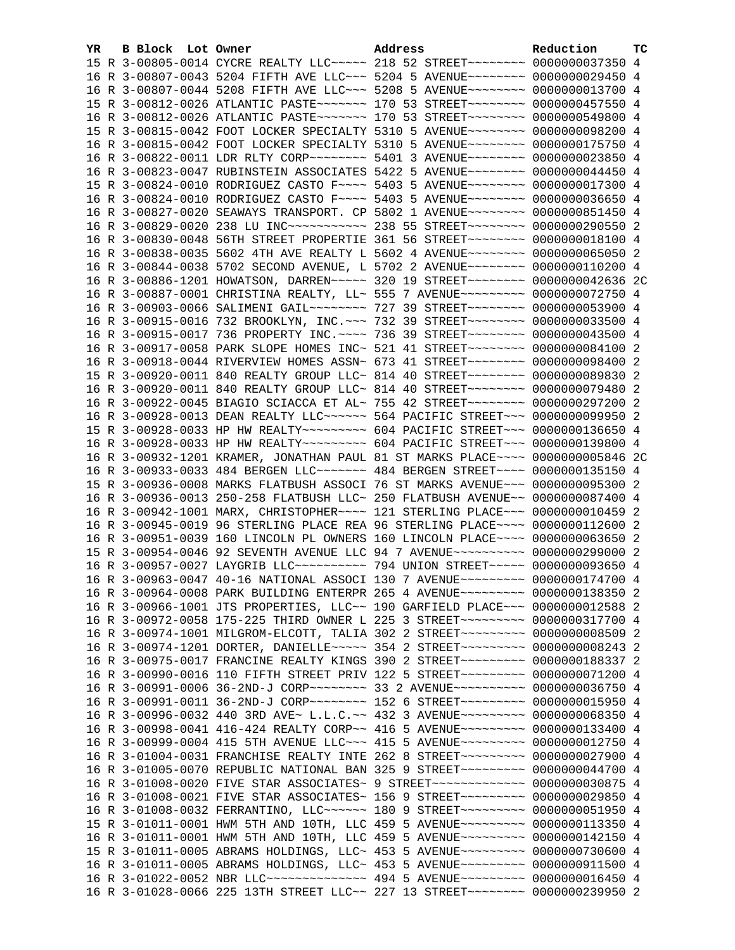| YR | B Block Lot Owner | Address                                                                              | Reduction | тc |
|----|-------------------|--------------------------------------------------------------------------------------|-----------|----|
|    |                   | 15 R 3-00805-0014 CYCRE REALTY LLC ---- 218 52 STREET ------- 0000000037350 4        |           |    |
|    |                   | 16 R 3-00807-0043 5204 FIFTH AVE LLC ~~~ 5204 5 AVENUE ~~~~~~~~ 0000000029450 4      |           |    |
|    |                   | 16 R 3-00807-0044 5208 FIFTH AVE LLC ~~~ 5208 5 AVENUE ~~~~~~~~ 0000000013700 4      |           |    |
|    |                   | 15 R 3-00812-0026 ATLANTIC PASTE ------- 170 53 STREET ------- 0000000457550 4       |           |    |
|    |                   | 16 R 3-00812-0026 ATLANTIC PASTE~~~~~~~ 170 53 STREET~~~~~~~~ 0000000549800 4        |           |    |
|    |                   | 15 R 3-00815-0042 FOOT LOCKER SPECIALTY 5310 5 AVENUE~~~~~~~~ 0000000098200 4        |           |    |
|    |                   | 16 R 3-00815-0042 FOOT LOCKER SPECIALTY 5310 5 AVENUE~~~~~~~~ 0000000175750 4        |           |    |
|    |                   | 16 R 3-00822-0011 LDR RLTY CORP~~~~~~~~~ 5401 3 AVENUE~~~~~~~~ 0000000023850 4       |           |    |
|    |                   | 16 R 3-00823-0047 RUBINSTEIN ASSOCIATES 5422 5 AVENUE~~~~~~~~ 0000000044450 4        |           |    |
|    |                   | 15 R 3-00824-0010 RODRIGUEZ CASTO F~~~~ 5403 5 AVENUE~~~~~~~~ 0000000017300 4        |           |    |
|    |                   | 16 R 3-00824-0010 RODRIGUEZ CASTO F~~~~ 5403 5 AVENUE~~~~~~~~ 0000000036650 4        |           |    |
|    |                   | 16 R 3-00827-0020 SEAWAYS TRANSPORT. CP 5802 1 AVENUE~~~~~~~~ 0000000851450 4        |           |    |
|    |                   | 16 R 3-00829-0020 238 LU INC~~~~~~~~~~~~~~~~~ 238 55 STREET~~~~~~~~~ 0000000290550 2 |           |    |
|    |                   | 16 R 3-00830-0048 56TH STREET PROPERTIE 361 56 STREET~~~~~~~~ 0000000018100 4        |           |    |
|    |                   | 16 R 3-00838-0035 5602 4TH AVE REALTY L 5602 4 AVENUE~~~~~~~~ 0000000065050 2        |           |    |
|    |                   | 16 R 3-00844-0038 5702 SECOND AVENUE, L 5702 2 AVENUE~~~~~~~~ 0000000110200 4        |           |    |
|    |                   | 16 R 3-00886-1201 HOWATSON, DARREN~~~~~ 320 19 STREET~~~~~~~~ 0000000042636 2C       |           |    |
|    |                   | 16 R 3-00887-0001 CHRISTINA REALTY, LL~ 555 7 AVENUE~~~~~~~~~ 0000000072750 4        |           |    |
|    |                   | 16 R 3-00903-0066 SALIMENI GAIL~~~~~~~~ 727 39 STREET~~~~~~~~ 0000000053900 4        |           |    |
|    |                   | 16 R 3-00915-0016 732 BROOKLYN, INC. ~~~ 732 39 STREET~~~~~~~~~ 0000000033500 4      |           |    |
|    |                   | 16 R 3-00915-0017 736 PROPERTY INC. ~~~~ 736 39 STREET~~~~~~~~ 0000000043500 4       |           |    |
|    |                   | 16 R 3-00917-0058 PARK SLOPE HOMES INC~ 521 41 STREET~~~~~~~~ 0000000084100 2        |           |    |
|    |                   | 16 R 3-00918-0044 RIVERVIEW HOMES ASSN~ 673 41 STREET~~~~~~~~~ 0000000098400 2       |           |    |
|    |                   | 15 R 3-00920-0011 840 REALTY GROUP LLC~ 814 40 STREET~~~~~~~~~ 0000000089830 2       |           |    |
|    |                   | 16 R 3-00920-0011 840 REALTY GROUP LLC~ 814 40 STREET~~~~~~~~ 0000000079480 2        |           |    |
|    |                   | 16 R 3-00922-0045 BIAGIO SCIACCA ET AL~ 755 42 STREET~~~~~~~~~ 0000000297200 2       |           |    |
|    |                   | 16 R 3-00928-0013 DEAN REALTY LLC ----- 564 PACIFIC STREET -- 0000000099950 2        |           |    |
|    |                   | 15 R 3-00928-0033 HP HW REALTY~~~~~~~~~ 604 PACIFIC STREET~~~ 0000000136650 4        |           |    |
|    |                   | 16 R 3-00928-0033 HP HW REALTY~~~~~~~~~ 604 PACIFIC STREET~~~ 0000000139800 4        |           |    |
|    |                   | 16 R 3-00932-1201 KRAMER, JONATHAN PAUL 81 ST MARKS PLACE~~~~ 0000000005846 2C       |           |    |
|    |                   | 16 R 3-00933-0033 484 BERGEN LLC ------ 484 BERGEN STREET ---- 0000000135150 4       |           |    |
|    |                   | 15 R 3-00936-0008 MARKS FLATBUSH ASSOCI 76 ST MARKS AVENUE~~~ 0000000095300 2        |           |    |
|    |                   | 16 R 3-00936-0013 250-258 FLATBUSH LLC~ 250 FLATBUSH AVENUE~~ 0000000087400 4        |           |    |
|    |                   | 16 R 3-00942-1001 MARX, CHRISTOPHER~~~~ 121 STERLING PLACE~~~ 0000000010459 2        |           |    |
|    |                   | 16 R 3-00945-0019 96 STERLING PLACE REA 96 STERLING PLACE~~~~ 0000000112600 2        |           |    |
|    |                   | 16 R 3-00951-0039 160 LINCOLN PL OWNERS 160 LINCOLN PLACE~~~~ 0000000063650 2        |           |    |
|    |                   | 15 R 3-00954-0046 92 SEVENTH AVENUE LLC 94 7 AVENUE~~~~~~~~~~ 0000000299000 2        |           |    |
|    |                   | 16 R 3-00957-0027 LAYGRIB LLC~~~~~~~~~~~~~~~ 794 UNION STREET~~~~~~ 0000000093650 4  |           |    |
|    |                   | 16 R 3-00963-0047 40-16 NATIONAL ASSOCI 130 7 AVENUE~~~~~~~~~ 0000000174700 4        |           |    |
|    |                   | 16 R 3-00964-0008 PARK BUILDING ENTERPR 265 4 AVENUE~~~~~~~~~ 0000000138350 2        |           |    |
|    |                   | 16 R 3-00966-1001 JTS PROPERTIES, LLC~~ 190 GARFIELD PLACE~~~ 0000000012588 2        |           |    |
|    |                   | 16 R 3-00972-0058 175-225 THIRD OWNER L 225 3 STREET~~~~~~~~~ 0000000317700 4        |           |    |
|    |                   | 16 R 3-00974-1001 MILGROM-ELCOTT, TALIA 302 2 STREET~~~~~~~~~ 0000000008509 2        |           |    |
|    |                   | 16 R 3-00974-1201 DORTER, DANIELLE~~~~~ 354 2 STREET~~~~~~~~~ 0000000008243 2        |           |    |
|    |                   | 16 R 3-00975-0017 FRANCINE REALTY KINGS 390 2 STREET~~~~~~~~~ 0000000188337 2        |           |    |
|    |                   | 16 R 3-00990-0016 110 FIFTH STREET PRIV 122 5 STREET~~~~~~~~~ 0000000071200 4        |           |    |
|    |                   | 16 R 3-00991-0006 36-2ND-J CORP~~~~~~~~ 33 2 AVENUE~~~~~~~~~ 0000000036750 4         |           |    |
|    |                   | 16 R 3-00991-0011 36-2ND-J CORP~~~~~~~~ 152 6 STREET~~~~~~~~~ 0000000015950 4        |           |    |
|    |                   | 16 R 3-00996-0032 440 3RD AVE~ L.L.C.~~ 432 3 AVENUE~~~~~~~~~ 0000000068350 4        |           |    |
|    |                   | 16 R 3-00998-0041 416-424 REALTY CORP~~ 416 5 AVENUE~~~~~~~~~ 0000000133400 4        |           |    |
|    |                   | 16 R 3-00999-0004 415 5TH AVENUE LLC~~~ 415 5 AVENUE~~~~~~~~~ 0000000012750 4        |           |    |
|    |                   | 16 R 3-01004-0031 FRANCHISE REALTY INTE 262 8 STREET~~~~~~~~~ 0000000027900 4        |           |    |
|    |                   | 16 R 3-01005-0070 REPUBLIC NATIONAL BAN 325 9 STREET~~~~~~~~~ 0000000044700 4        |           |    |
|    |                   | 16 R 3-01008-0020 FIVE STAR ASSOCIATES~ 9 STREET~~~~~~~~~~~~~ 0000000030875 4        |           |    |
|    |                   | 16 R 3-01008-0021 FIVE STAR ASSOCIATES~ 156 9 STREET~~~~~~~~~~ 0000000029850 4       |           |    |
|    |                   | 16 R 3-01008-0032 FERRANTINO, LLC~~~~~~ 180 9 STREET~~~~~~~~~ 0000000051950 4        |           |    |
|    |                   | 15 R 3-01011-0001 HWM 5TH AND 10TH, LLC 459 5 AVENUE~~~~~~~~~ 0000000113350 4        |           |    |
|    |                   | 16 R 3-01011-0001 HWM 5TH AND 10TH, LLC 459 5 AVENUE~~~~~~~~~ 0000000142150 4        |           |    |
|    |                   | 15 R 3-01011-0005 ABRAMS HOLDINGS, LLC~ 453 5 AVENUE~~~~~~~~~ 0000000730600 4        |           |    |
|    |                   | 16 R 3-01011-0005 ABRAMS HOLDINGS, LLC~ 453 5 AVENUE~~~~~~~~~ 0000000911500 4        |           |    |
|    |                   | 16 R 3-01022-0052 NBR LLC --------------- 494 5 AVENUE --------- 0000000016450 4     |           |    |
|    |                   | 16 R 3-01028-0066 225 13TH STREET LLC~~ 227 13 STREET~~~~~~~~~ 0000000239950 2       |           |    |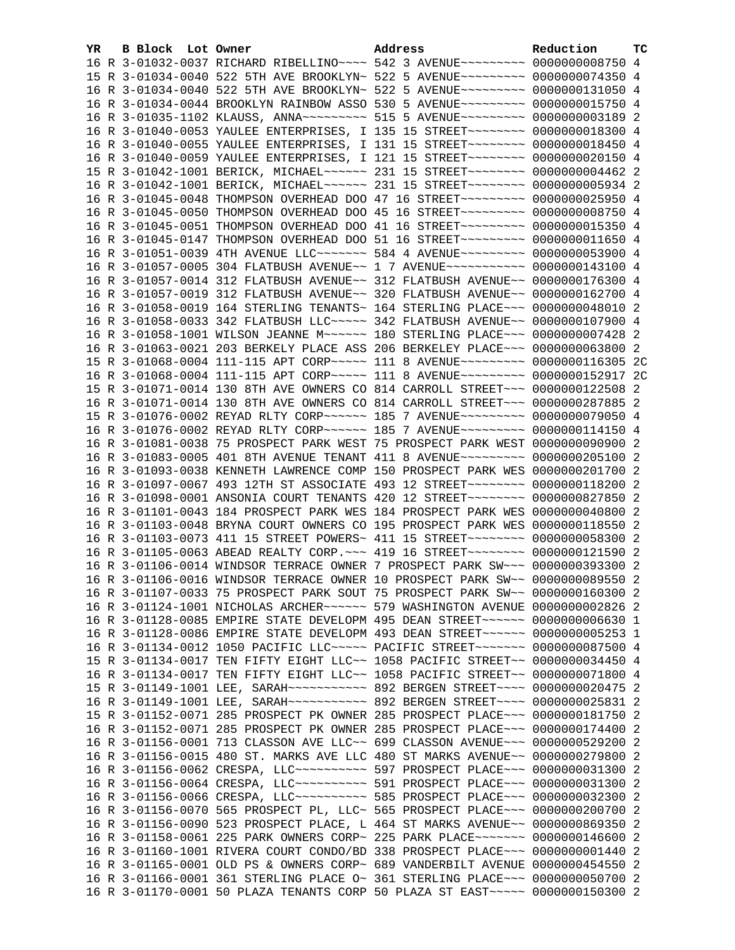| YR. | B Block Lot Owner |                                                                                    | Address | Reduction | тc |
|-----|-------------------|------------------------------------------------------------------------------------|---------|-----------|----|
|     |                   | 16 R 3-01032-0037 RICHARD RIBELLINO~~~~ 542 3 AVENUE~~~~~~~~~ 0000000008750 4      |         |           |    |
|     |                   | 15 R 3-01034-0040 522 5TH AVE BROOKLYN~ 522 5 AVENUE~~~~~~~~~ 0000000074350 4      |         |           |    |
|     |                   | 16 R 3-01034-0040 522 5TH AVE BROOKLYN~ 522 5 AVENUE~~~~~~~~~ 0000000131050 4      |         |           |    |
|     |                   | 16 R 3-01034-0044 BROOKLYN RAINBOW ASSO 530 5 AVENUE~~~~~~~~~ 0000000015750 4      |         |           |    |
|     |                   | 16 R 3-01035-1102 KLAUSS, ANNA~~~~~~~~~ 515 5 AVENUE~~~~~~~~~ 0000000003189 2      |         |           |    |
|     |                   | 16 R 3-01040-0053 YAULEE ENTERPRISES, I 135 15 STREET~~~~~~~~ 0000000018300 4      |         |           |    |
|     |                   | 16 R 3-01040-0055 YAULEE ENTERPRISES, I 131 15 STREET~~~~~~~~ 0000000018450 4      |         |           |    |
|     |                   | 16 R 3-01040-0059 YAULEE ENTERPRISES, I 121 15 STREET~~~~~~~~~ 0000000020150 4     |         |           |    |
|     |                   | 15 R 3-01042-1001 BERICK, MICHAEL~~~~~~ 231 15 STREET~~~~~~~~ 0000000004462 2      |         |           |    |
|     |                   | 16 R 3-01042-1001 BERICK, MICHAEL~~~~~~ 231 15 STREET~~~~~~~~ 0000000005934 2      |         |           |    |
|     |                   | 16 R 3-01045-0048 THOMPSON OVERHEAD DOO 47 16 STREET~~~~~~~~~~ 0000000025950 4     |         |           |    |
|     |                   | 16 R 3-01045-0050 THOMPSON OVERHEAD DOO 45 16 STREET~~~~~~~~~~ 00000000008750 4    |         |           |    |
|     |                   | 16 R 3-01045-0051 THOMPSON OVERHEAD DOO 41 16 STREET~~~~~~~~~ 0000000015350 4      |         |           |    |
|     |                   | 16 R 3-01045-0147 THOMPSON OVERHEAD DOO 51 16 STREET~~~~~~~~~ 0000000011650 4      |         |           |    |
|     |                   |                                                                                    |         |           |    |
|     |                   | 16 R 3-01051-0039 4TH AVENUE LLC~~~~~~~ 584 4 AVENUE~~~~~~~~~ 0000000053900 4      |         |           |    |
|     |                   | 16 R 3-01057-0005 304 FLATBUSH AVENUE~~ 1 7 AVENUE~~~~~~~~~~~ 0000000143100 4      |         |           |    |
|     |                   | 16 R 3-01057-0014 312 FLATBUSH AVENUE~~ 312 FLATBUSH AVENUE~~ 0000000176300 4      |         |           |    |
|     |                   | 16 R 3-01057-0019 312 FLATBUSH AVENUE~~ 320 FLATBUSH AVENUE~~ 0000000162700 4      |         |           |    |
|     |                   | 16 R 3-01058-0019 164 STERLING TENANTS~ 164 STERLING PLACE~~~ 0000000048010 2      |         |           |    |
|     |                   | 16 R 3-01058-0033 342 FLATBUSH LLC ~~~~~ 342 FLATBUSH AVENUE ~~ 0000000107900 4    |         |           |    |
|     |                   | 16 R 3-01058-1001 WILSON JEANNE M~~~~~~ 180 STERLING PLACE~~~ 0000000007428 2      |         |           |    |
|     |                   | 16 R 3-01063-0021 203 BERKELY PLACE ASS 206 BERKELEY PLACE~~~ 0000000063800 2      |         |           |    |
|     |                   | 15 R 3-01068-0004 111-115 APT CORP~~~~~ 111 8 AVENUE~~~~~~~~~ 0000000116305 2C     |         |           |    |
|     |                   | 16 R 3-01068-0004 111-115 APT CORP~~~~~ 111 8 AVENUE~~~~~~~~~ 0000000152917 2C     |         |           |    |
|     |                   | 15 R 3-01071-0014 130 8TH AVE OWNERS CO 814 CARROLL STREET~~~ 0000000122508 2      |         |           |    |
|     |                   | 16 R 3-01071-0014 130 8TH AVE OWNERS CO 814 CARROLL STREET~~~ 0000000287885 2      |         |           |    |
|     |                   | 15 R 3-01076-0002 REYAD RLTY CORP~~~~~~ 185 7 AVENUE~~~~~~~~~ 0000000079050 4      |         |           |    |
|     |                   | 16 R 3-01076-0002 REYAD RLTY CORP~~~~~~ 185 7 AVENUE~~~~~~~~~ 0000000114150 4      |         |           |    |
|     |                   | 16 R 3-01081-0038 75 PROSPECT PARK WEST 75 PROSPECT PARK WEST 0000000090900 2      |         |           |    |
|     |                   | 16 R 3-01083-0005 401 8TH AVENUE TENANT 411 8 AVENUE~~~~~~~~~ 0000000205100 2      |         |           |    |
|     |                   | 16 R 3-01093-0038 KENNETH LAWRENCE COMP 150 PROSPECT PARK WES 0000000201700 2      |         |           |    |
|     |                   | 16 R 3-01097-0067 493 12TH ST ASSOCIATE 493 12 STREET~~~~~~~~ 0000000118200 2      |         |           |    |
|     |                   | 16 R 3-01098-0001 ANSONIA COURT TENANTS 420 12 STREET~~~~~~~~ 0000000827850 2      |         |           |    |
|     |                   | 16 R 3-01101-0043 184 PROSPECT PARK WES 184 PROSPECT PARK WES 0000000040800 2      |         |           |    |
|     |                   | 16 R 3-01103-0048 BRYNA COURT OWNERS CO 195 PROSPECT PARK WES 0000000118550 2      |         |           |    |
|     |                   | 16 R 3-01103-0073 411 15 STREET POWERS~ 411 15 STREET~~~~~~~~~ 0000000058300 2     |         |           |    |
|     |                   | 16 R 3-01105-0063 ABEAD REALTY CORP. ~~~ 419 16 STREET~~~~~~~~ 0000000121590 2     |         |           |    |
|     |                   | 16 R 3-01106-0014 WINDSOR TERRACE OWNER 7 PROSPECT PARK SW~~~ 0000000393300 2      |         |           |    |
|     |                   | 16 R 3-01106-0016 WINDSOR TERRACE OWNER 10 PROSPECT PARK SW~~ 0000000089550 2      |         |           |    |
|     |                   | 16 R 3-01107-0033 75 PROSPECT PARK SOUT 75 PROSPECT PARK SW~~ 0000000160300 2      |         |           |    |
|     |                   | 16 R 3-01124-1001 NICHOLAS ARCHER~~~~~~ 579 WASHINGTON AVENUE 0000000002826 2      |         |           |    |
|     |                   | 16 R 3-01128-0085 EMPIRE STATE DEVELOPM 495 DEAN STREET~~~~~~ 00000000006630 1     |         |           |    |
|     |                   | 16 R 3-01128-0086 EMPIRE STATE DEVELOPM 493 DEAN STREET~~~~~~ 0000000005253 1      |         |           |    |
|     |                   | 16 R 3-01134-0012 1050 PACIFIC LLC~~~~~ PACIFIC STREET~~~~~~~ 0000000087500 4      |         |           |    |
|     |                   | 15 R 3-01134-0017 TEN FIFTY EIGHT LLC~~ 1058 PACIFIC STREET~~ 0000000034450 4      |         |           |    |
|     |                   | 16 R 3-01134-0017 TEN FIFTY EIGHT LLC~~ 1058 PACIFIC STREET~~ 0000000071800 4      |         |           |    |
|     |                   | 15 R 3-01149-1001 LEE, SARAH~~~~~~~~~~~ 892 BERGEN STREET~~~~ 0000000020475 2      |         |           |    |
|     |                   | 16 R 3-01149-1001 LEE, SARAH~~~~~~~~~~~~~~~ 892 BERGEN STREET~~~~~ 0000000025831 2 |         |           |    |
|     |                   | 15 R 3-01152-0071 285 PROSPECT PK OWNER 285 PROSPECT PLACE~~~ 0000000181750 2      |         |           |    |
|     |                   | 16 R 3-01152-0071 285 PROSPECT PK OWNER 285 PROSPECT PLACE~~~ 0000000174400 2      |         |           |    |
|     |                   | 16 R 3-01156-0001 713 CLASSON AVE LLC~~ 699 CLASSON AVENUE~~~ 0000000529200 2      |         |           |    |
|     |                   | 16 R 3-01156-0015 480 ST. MARKS AVE LLC 480 ST MARKS AVENUE~~ 0000000279800 2      |         |           |    |
|     |                   | 16 R 3-01156-0062 CRESPA, LLC ---------- 597 PROSPECT PLACE --- 0000000031300 2    |         |           |    |
|     |                   | 16 R 3-01156-0064 CRESPA, LLC ---------- 591 PROSPECT PLACE --- 0000000031300 2    |         |           |    |
|     |                   | 16 R 3-01156-0066 CRESPA, LLC ---------- 585 PROSPECT PLACE --- 0000000032300 2    |         |           |    |
|     |                   | 16 R 3-01156-0070 565 PROSPECT PL, LLC~ 565 PROSPECT PLACE~~~ 0000000200700 2      |         |           |    |
|     |                   | 16 R 3-01156-0090 523 PROSPECT PLACE, L 464 ST MARKS AVENUE~~ 0000000869350 2      |         |           |    |
|     |                   | 16 R 3-01158-0061 225 PARK OWNERS CORP~ 225 PARK PLACE~~~~~~~ 0000000146600 2      |         |           |    |
|     |                   | 16 R 3-01160-1001 RIVERA COURT CONDO/BD 338 PROSPECT PLACE~~~ 00000000001440 2     |         |           |    |
|     |                   | 16 R 3-01165-0001 OLD PS & OWNERS CORP~ 689 VANDERBILT AVENUE 0000000454550 2      |         |           |    |
|     |                   | 16 R 3-01166-0001 361 STERLING PLACE 0~ 361 STERLING PLACE~~~ 0000000050700 2      |         |           |    |
|     |                   | 16 R 3-01170-0001 50 PLAZA TENANTS CORP 50 PLAZA ST EAST~~~~~ 0000000150300 2      |         |           |    |
|     |                   |                                                                                    |         |           |    |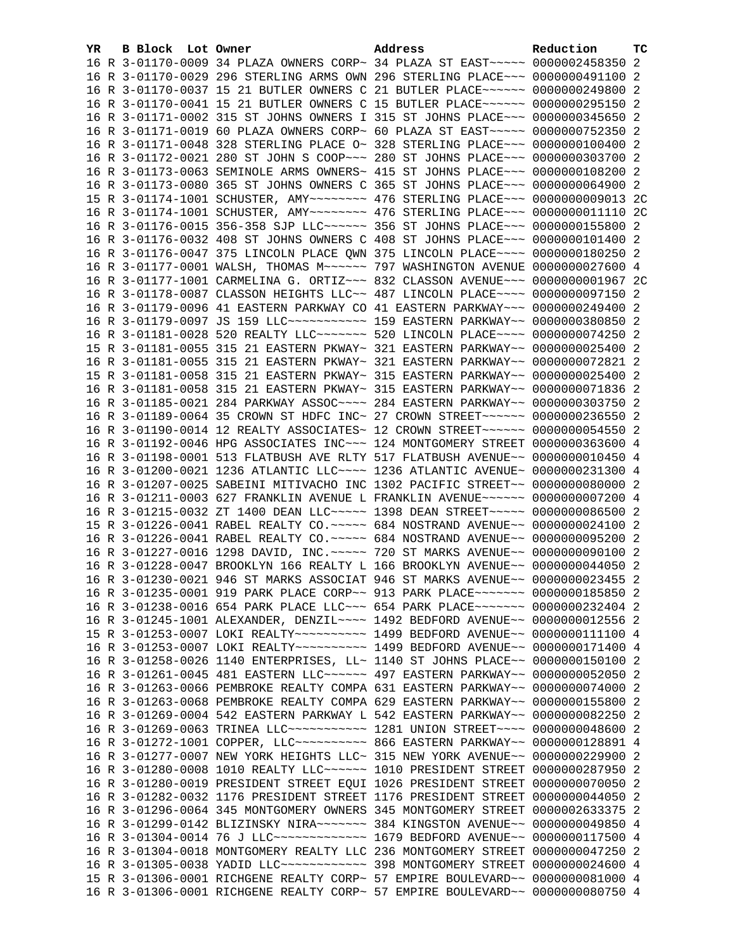| YR. | B Block Lot Owner | Address                                                                                                                                                        | Reduction | тc |
|-----|-------------------|----------------------------------------------------------------------------------------------------------------------------------------------------------------|-----------|----|
|     |                   | 16 R 3-01170-0009 34 PLAZA OWNERS CORP~ 34 PLAZA ST EAST~~~~~ 0000002458350 2                                                                                  |           |    |
|     |                   | 16 R 3-01170-0029 296 STERLING ARMS OWN 296 STERLING PLACE~~~ 0000000491100 2                                                                                  |           |    |
|     |                   | 16 R 3-01170-0037 15 21 BUTLER OWNERS C 21 BUTLER PLACE~~~~~~ 0000000249800 2                                                                                  |           |    |
|     |                   | 16 R 3-01170-0041 15 21 BUTLER OWNERS C 15 BUTLER PLACE ~~~~~~ 0000000295150 2                                                                                 |           |    |
|     |                   | 16 R 3-01171-0002 315 ST JOHNS OWNERS I 315 ST JOHNS PLACE~~~ 0000000345650 2                                                                                  |           |    |
|     |                   | 16 R 3-01171-0019 60 PLAZA OWNERS CORP~ 60 PLAZA ST EAST~~~~~~ 0000000752350 2                                                                                 |           |    |
|     |                   | 16 R 3-01171-0048 328 STERLING PLACE 0~ 328 STERLING PLACE~~~ 0000000100400 2                                                                                  |           |    |
|     |                   | 16 R 3-01172-0021 280 ST JOHN S COOP~~~ 280 ST JOHNS PLACE~~~ 0000000303700 2                                                                                  |           |    |
|     |                   | 16 R 3-01173-0063 SEMINOLE ARMS OWNERS~ 415 ST JOHNS PLACE~~~ 0000000108200 2                                                                                  |           |    |
|     |                   | 16 R 3-01173-0080 365 ST JOHNS OWNERS C 365 ST JOHNS PLACE~~~ 0000000064900 2                                                                                  |           |    |
|     |                   | 15 R 3-01174-1001 SCHUSTER, AMY~~~~~~~~ 476 STERLING PLACE~~~ 0000000009013 2C                                                                                 |           |    |
|     |                   | 16 R 3-01174-1001 SCHUSTER, AMY~~~~~~~~ 476 STERLING PLACE~~~ 0000000011110 2C                                                                                 |           |    |
|     |                   | 16 R 3-01176-0015 356-358 SJP LLC~~~~~~ 356 ST JOHNS PLACE~~~ 0000000155800 2                                                                                  |           |    |
|     |                   | 16 R 3-01176-0032 408 ST JOHNS OWNERS C 408 ST JOHNS PLACE~~~ 0000000101400 2                                                                                  |           |    |
|     |                   | 16 R 3-01176-0047 375 LINCOLN PLACE QWN 375 LINCOLN PLACE~~~~ 0000000180250 2                                                                                  |           |    |
|     |                   | 16 R 3-01177-0001 WALSH, THOMAS M~~~~~~ 797 WASHINGTON AVENUE 0000000027600 4                                                                                  |           |    |
|     |                   | 16 R 3-01177-1001 CARMELINA G. ORTIZ~~~ 832 CLASSON AVENUE~~~ 0000000001967 2C                                                                                 |           |    |
|     |                   | 16 R 3-01178-0087 CLASSON HEIGHTS LLC~~ 487 LINCOLN PLACE~~~~ 0000000097150 2                                                                                  |           |    |
|     |                   | 16 R 3-01179-0096 41 EASTERN PARKWAY CO 41 EASTERN PARKWAY~~~ 0000000249400 2                                                                                  |           |    |
|     |                   | 16 R 3-01179-0097 JS 159 LLC ----------- 159 EASTERN PARKWAY -~ 0000000380850 2                                                                                |           |    |
|     |                   | 16 R 3-01181-0028 520 REALTY LLC ------ 520 LINCOLN PLACE --- 0000000074250 2                                                                                  |           |    |
|     |                   | 15 R 3-01181-0055 315 21 EASTERN PKWAY~ 321 EASTERN PARKWAY~~ 0000000025400 2                                                                                  |           |    |
|     |                   | 16 R 3-01181-0055 315 21 EASTERN PKWAY~ 321 EASTERN PARKWAY~~ 0000000072821 2                                                                                  |           |    |
|     |                   | 15 R 3-01181-0058 315 21 EASTERN PKWAY~ 315 EASTERN PARKWAY~~ 0000000025400 2                                                                                  |           |    |
|     |                   | 16 R 3-01181-0058 315 21 EASTERN PKWAY~ 315 EASTERN PARKWAY~~ 0000000071836 2                                                                                  |           |    |
|     |                   | 16 R 3-01185-0021 284 PARKWAY ASSOC~~~~ 284 EASTERN PARKWAY~~ 0000000303750 2                                                                                  |           |    |
|     |                   | 16 R 3-01189-0064 35 CROWN ST HDFC INC~ 27 CROWN STREET~~~~~~ 0000000236550 2                                                                                  |           |    |
|     |                   | 16 R 3-01190-0014 12 REALTY ASSOCIATES~ 12 CROWN STREET~~~~~~ 0000000054550 2                                                                                  |           |    |
|     |                   | 16 R 3-01192-0046 HPG ASSOCIATES INC~~~ 124 MONTGOMERY STREET 0000000363600 4                                                                                  |           |    |
|     |                   | 16 R 3-01198-0001 513 FLATBUSH AVE RLTY 517 FLATBUSH AVENUE~~ 0000000010450 4                                                                                  |           |    |
|     |                   | 16 R 3-01200-0021 1236 ATLANTIC LLC ~~~~ 1236 ATLANTIC AVENUE ~ 0000000231300 4                                                                                |           |    |
|     |                   | 16 R 3-01207-0025 SABEINI MITIVACHO INC 1302 PACIFIC STREET~~ 0000000080000 2                                                                                  |           |    |
|     |                   | 16 R 3-01211-0003 627 FRANKLIN AVENUE L FRANKLIN AVENUE~~~~~~ 0000000007200 4                                                                                  |           |    |
|     |                   | 16 R 3-01215-0032 ZT 1400 DEAN LLC ~~~~~ 1398 DEAN STREET ~~~~~ 0000000086500 2                                                                                |           |    |
|     |                   | 15 R 3-01226-0041 RABEL REALTY CO. ~~~~~ 684 NOSTRAND AVENUE~~ 0000000024100 2                                                                                 |           |    |
|     |                   | 16 R 3-01226-0041 RABEL REALTY CO. ~~~~~ 684 NOSTRAND AVENUE~~ 0000000095200 2                                                                                 |           |    |
|     |                   | 16 R 3-01227-0016 1298 DAVID, INC. ~~~~~ 720 ST MARKS AVENUE~~ 0000000090100 2                                                                                 |           |    |
|     |                   | 16 R 3-01228-0047 BROOKLYN 166 REALTY L 166 BROOKLYN AVENUE~~ 0000000044050 2<br>16 R 3-01230-0021 946 ST MARKS ASSOCIAT 946 ST MARKS AVENUE~~ 0000000023455 2 |           |    |
|     |                   | 16 R 3-01235-0001 919 PARK PLACE CORP~~ 913 PARK PLACE~~~~~~~ 0000000185850 2                                                                                  |           |    |
|     |                   | 16 R 3-01238-0016 654 PARK PLACE LLC~~~ 654 PARK PLACE~~~~~~~ 0000000232404 2                                                                                  |           |    |
|     |                   | 16 R 3-01245-1001 ALEXANDER, DENZIL~~~~ 1492 BEDFORD AVENUE~~ 0000000012556 2                                                                                  |           |    |
|     |                   | 15 R 3-01253-0007 LOKI REALTY~~~~~~~~~~~ 1499 BEDFORD AVENUE~~ 0000000111100 4                                                                                 |           |    |
|     |                   | 16 R 3-01253-0007 LOKI REALTY~~~~~~~~~~~~~~~ 1499 BEDFORD AVENUE~~ 0000000171400 4                                                                             |           |    |
|     |                   | 16 R 3-01258-0026 1140 ENTERPRISES, LL~ 1140 ST JOHNS PLACE~~ 0000000150100 2                                                                                  |           |    |
|     |                   | 16 R 3-01261-0045 481 EASTERN LLC~~~~~~ 497 EASTERN PARKWAY~~ 0000000052050 2                                                                                  |           |    |
|     |                   | 16 R 3-01263-0066 PEMBROKE REALTY COMPA 631 EASTERN PARKWAY~~ 0000000074000 2                                                                                  |           |    |
|     |                   | 16 R 3-01263-0068 PEMBROKE REALTY COMPA 629 EASTERN PARKWAY~~ 0000000155800 2                                                                                  |           |    |
|     |                   | 16 R 3-01269-0004 542 EASTERN PARKWAY L 542 EASTERN PARKWAY~~ 0000000082250 2                                                                                  |           |    |
|     |                   | 16 R 3-01269-0063 TRINEA LLC ----------- 1281 UNION STREET ---- 0000000048600 2                                                                                |           |    |
|     |                   | 16 R 3-01272-1001 COPPER, LLC --------- 866 EASTERN PARKWAY -~ 0000000128891 4                                                                                 |           |    |
|     |                   | 16 R 3-01277-0007 NEW YORK HEIGHTS LLC~ 315 NEW YORK AVENUE~~ 0000000229900 2                                                                                  |           |    |
|     |                   | 16 R 3-01280-0008 1010 REALTY LLC~~~~~~ 1010 PRESIDENT STREET 0000000287950 2                                                                                  |           |    |
|     |                   | 16 R 3-01280-0019 PRESIDENT STREET EQUI 1026 PRESIDENT STREET 0000000070050 2                                                                                  |           |    |
|     |                   | 16 R 3-01282-0032 1176 PRESIDENT STREET 1176 PRESIDENT STREET 0000000044050 2                                                                                  |           |    |
|     |                   | 16 R 3-01296-0064 345 MONTGOMERY OWNERS 345 MONTGOMERY STREET 0000002633375 2                                                                                  |           |    |
|     |                   | 16 R 3-01299-0142 BLIZINSKY NIRA~~~~~~~ 384 KINGSTON AVENUE~~ 0000000049850 4                                                                                  |           |    |
|     |                   | 16 R 3-01304-0014 76 J LLC ------------- 1679 BEDFORD AVENUE-- 0000000117500 4                                                                                 |           |    |
|     |                   | 16 R 3-01304-0018 MONTGOMERY REALTY LLC 236 MONTGOMERY STREET 0000000047250 2                                                                                  |           |    |
|     |                   | 16 R 3-01305-0038 YADID LLC ------------ 398 MONTGOMERY STREET 0000000024600 4                                                                                 |           |    |
|     |                   | 15 R 3-01306-0001 RICHGENE REALTY CORP~ 57 EMPIRE BOULEVARD~~ 0000000081000 4                                                                                  |           |    |
|     |                   | 16 R 3-01306-0001 RICHGENE REALTY CORP~ 57 EMPIRE BOULEVARD~~ 0000000080750 4                                                                                  |           |    |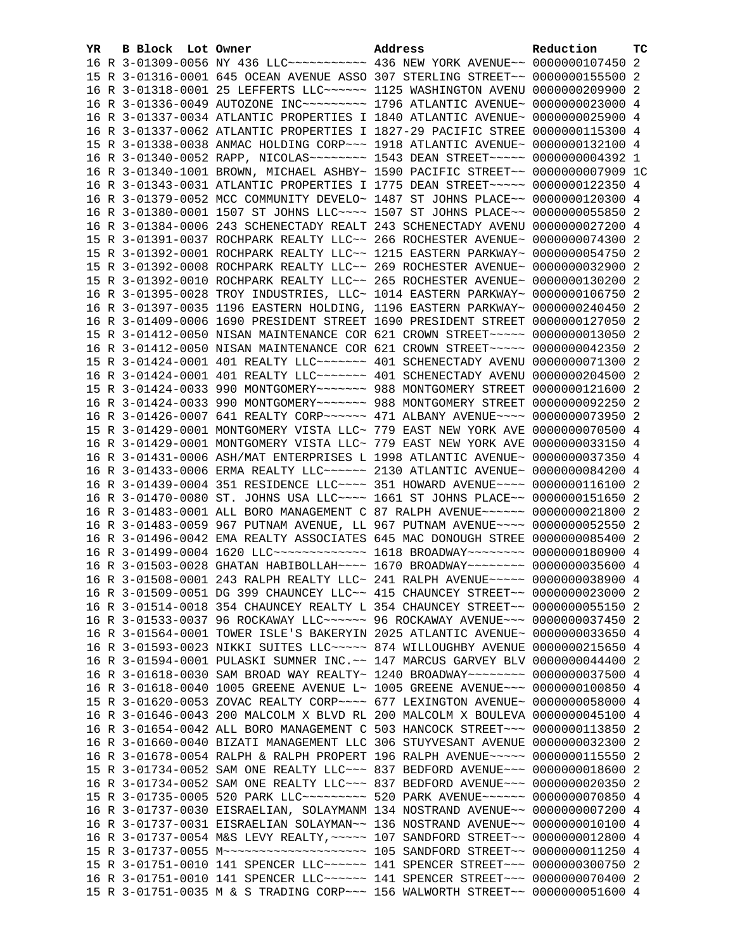| YR | B Block Lot Owner |                                                               | Address                                                                                                                                                          | Reduction       | <b>TC</b> |
|----|-------------------|---------------------------------------------------------------|------------------------------------------------------------------------------------------------------------------------------------------------------------------|-----------------|-----------|
|    |                   |                                                               | 16 R 3-01309-0056 NY 436 LLC ---------- 436 NEW YORK AVENUE -~ 0000000107450 2                                                                                   |                 |           |
|    |                   |                                                               | 15 R 3-01316-0001 645 OCEAN AVENUE ASSO 307 STERLING STREET~~ 0000000155500 2                                                                                    |                 |           |
|    |                   |                                                               | 16 R 3-01318-0001 25 LEFFERTS LLC~~~~~~ 1125 WASHINGTON AVENU 0000000209900 2                                                                                    |                 |           |
|    |                   |                                                               | 16 R 3-01336-0049 AUTOZONE INC~~~~~~~~~~ 1796 ATLANTIC AVENUE~ 0000000023000 4                                                                                   |                 |           |
|    |                   |                                                               | 16 R 3-01337-0034 ATLANTIC PROPERTIES I 1840 ATLANTIC AVENUE~ 0000000025900 4                                                                                    |                 |           |
|    |                   |                                                               | 16 R 3-01337-0062 ATLANTIC PROPERTIES I 1827-29 PACIFIC STREE 0000000115300 4                                                                                    |                 |           |
|    |                   |                                                               | 15 R 3-01338-0038 ANMAC HOLDING CORP~~~ 1918 ATLANTIC AVENUE~ 0000000132100 4                                                                                    |                 |           |
|    |                   |                                                               | 16 R 3-01340-0052 RAPP, NICOLAS~~~~~~~~~~~~~ 1543 DEAN STREET~~~~~~ 0000000004392 1                                                                              |                 |           |
|    |                   |                                                               | 16 R 3-01340-1001 BROWN, MICHAEL ASHBY~ 1590 PACIFIC STREET~~ 0000000007909 1C                                                                                   |                 |           |
|    |                   |                                                               | 16 R 3-01343-0031 ATLANTIC PROPERTIES I 1775 DEAN STREET~~~~~ 0000000122350 4                                                                                    |                 |           |
|    |                   |                                                               | 16 R 3-01379-0052 MCC COMMUNITY DEVELO~ 1487 ST JOHNS PLACE~~ 0000000120300 4                                                                                    |                 |           |
|    |                   |                                                               | 16 R 3-01380-0001 1507 ST JOHNS LLC --- 1507 ST JOHNS PLACE -~ 0000000055850 2                                                                                   |                 |           |
|    |                   |                                                               | 16 R 3-01384-0006 243 SCHENECTADY REALT 243 SCHENECTADY AVENU 0000000027200 4                                                                                    |                 |           |
|    |                   |                                                               | 15 R 3-01391-0037 ROCHPARK REALTY LLC~~ 266 ROCHESTER AVENUE~ 0000000074300 2                                                                                    |                 |           |
|    |                   |                                                               | 15 R 3-01392-0001 ROCHPARK REALTY LLC~~ 1215 EASTERN PARKWAY~ 0000000054750 2                                                                                    |                 |           |
|    |                   |                                                               | 15 R 3-01392-0008 ROCHPARK REALTY LLC~~ 269 ROCHESTER AVENUE~ 0000000032900 2                                                                                    |                 |           |
|    |                   |                                                               | 15 R 3-01392-0010 ROCHPARK REALTY LLC~~ 265 ROCHESTER AVENUE~ 0000000130200 2                                                                                    |                 |           |
|    |                   |                                                               | 16 R 3-01395-0028 TROY INDUSTRIES, LLC~ 1014 EASTERN PARKWAY~ 0000000106750 2                                                                                    |                 |           |
|    |                   |                                                               | 16 R 3-01397-0035 1196 EASTERN HOLDING, 1196 EASTERN PARKWAY~ 0000000240450 2                                                                                    |                 |           |
|    |                   |                                                               | 16 R 3-01409-0006 1690 PRESIDENT STREET 1690 PRESIDENT STREET 0000000127050 2                                                                                    |                 |           |
|    |                   |                                                               | 15 R 3-01412-0050 NISAN MAINTENANCE COR 621 CROWN STREET~~~~~ 0000000013050 2                                                                                    |                 |           |
|    |                   |                                                               | 16 R 3-01412-0050 NISAN MAINTENANCE COR 621 CROWN STREET~~~~~ 0000000042350 2                                                                                    |                 |           |
|    |                   |                                                               | 15 R 3-01424-0001 401 REALTY LLC ------ 401 SCHENECTADY AVENU 0000000071300 2                                                                                    |                 |           |
|    |                   |                                                               | 16 R 3-01424-0001 401 REALTY LLC ------- 401 SCHENECTADY AVENU 0000000204500 2                                                                                   |                 |           |
|    |                   |                                                               | 15 R 3-01424-0033 990 MONTGOMERY~~~~~~~ 988 MONTGOMERY STREET 0000000121600 2                                                                                    |                 |           |
|    |                   | 16 R 3-01424-0033 990 MONTGOMERY~~~~~~~ 988 MONTGOMERY STREET |                                                                                                                                                                  | 0000000092250 2 |           |
|    |                   |                                                               | 16 R 3-01426-0007 641 REALTY CORP ~~~~~~ 471 ALBANY AVENUE ~~~~ 0000000073950 2                                                                                  |                 |           |
|    |                   |                                                               | 15 R 3-01429-0001 MONTGOMERY VISTA LLC~ 779 EAST NEW YORK AVE 0000000070500 4                                                                                    |                 |           |
|    |                   |                                                               | 16 R 3-01429-0001 MONTGOMERY VISTA LLC~ 779 EAST NEW YORK AVE 0000000033150 4                                                                                    |                 |           |
|    |                   |                                                               | 16 R 3-01431-0006 ASH/MAT ENTERPRISES L 1998 ATLANTIC AVENUE~ 0000000037350 4                                                                                    |                 |           |
|    |                   |                                                               | 16 R 3-01433-0006 ERMA REALTY LLC~~~~~~ 2130 ATLANTIC AVENUE~ 0000000084200 4                                                                                    |                 |           |
|    |                   |                                                               | 16 R 3-01439-0004 351 RESIDENCE LLC~~~~ 351 HOWARD AVENUE~~~~ 0000000116100 2                                                                                    |                 |           |
|    |                   |                                                               | 16 R 3-01470-0080 ST. JOHNS USA LLC~~~~ 1661 ST JOHNS PLACE~~ 0000000151650 2                                                                                    |                 |           |
|    |                   |                                                               | 16 R 3-01483-0001 ALL BORO MANAGEMENT C 87 RALPH AVENUE~~~~~~ 0000000021800 2                                                                                    |                 |           |
|    |                   |                                                               | 16 R 3-01483-0059 967 PUTNAM AVENUE, LL 967 PUTNAM AVENUE~~~~ 0000000052550 2                                                                                    |                 |           |
|    |                   |                                                               | 16 R 3-01496-0042 EMA REALTY ASSOCIATES 645 MAC DONOUGH STREE 0000000085400 2                                                                                    |                 |           |
|    |                   |                                                               | 16 R 3-01499-0004 1620 LLC ------------- 1618 BROADWAY ------- 0000000180900 4                                                                                   |                 |           |
|    |                   |                                                               | 16 R 3-01503-0028 GHATAN HABIBOLLAH~~~~ 1670 BROADWAY~~~~~~~~ 0000000035600 4                                                                                    |                 |           |
|    |                   |                                                               | 16 R 3-01508-0001 243 RALPH REALTY LLC~ 241 RALPH AVENUE~~~~~ 0000000038900 4                                                                                    |                 |           |
|    |                   |                                                               | 16 R 3-01509-0051 DG 399 CHAUNCEY LLC~~ 415 CHAUNCEY STREET~~ 0000000023000 2                                                                                    |                 |           |
|    |                   |                                                               | 16 R 3-01514-0018 354 CHAUNCEY REALTY L 354 CHAUNCEY STREET~~ 0000000055150 2                                                                                    |                 |           |
|    |                   |                                                               | 16 R 3-01533-0037 96 ROCKAWAY LLC~~~~~~ 96 ROCKAWAY AVENUE~~~ 0000000037450 2                                                                                    |                 |           |
|    |                   |                                                               | 16 R 3-01564-0001 TOWER ISLE'S BAKERYIN 2025 ATLANTIC AVENUE~ 0000000033650 4                                                                                    |                 |           |
|    |                   |                                                               | 16 R 3-01593-0023 NIKKI SUITES LLC ~~~~~ 874 WILLOUGHBY AVENUE 0000000215650 4                                                                                   |                 |           |
|    |                   |                                                               | 16 R 3-01594-0001 PULASKI SUMNER INC.~~ 147 MARCUS GARVEY BLV 0000000044400 2                                                                                    |                 |           |
|    |                   |                                                               | 16 R 3-01618-0030 SAM BROAD WAY REALTY~ 1240 BROADWAY~~~~~~~~ 0000000037500 4                                                                                    |                 |           |
|    |                   |                                                               | 16 R 3-01618-0040 1005 GREENE AVENUE L~ 1005 GREENE AVENUE~~~ 0000000100850 4                                                                                    |                 |           |
|    |                   |                                                               | 15 R 3-01620-0053 ZOVAC REALTY CORP~~~~ 677 LEXINGTON AVENUE~ 0000000058000 4                                                                                    |                 |           |
|    |                   |                                                               | 16 R 3-01646-0043 200 MALCOLM X BLVD RL 200 MALCOLM X BOULEVA 0000000045100 4                                                                                    |                 |           |
|    |                   |                                                               | 16 R 3-01654-0042 ALL BORO MANAGEMENT C 503 HANCOCK STREET~~~ 0000000113850 2                                                                                    |                 |           |
|    |                   |                                                               | 16 R 3-01660-0040 BIZATI MANAGEMENT LLC 306 STUYVESANT AVENUE 0000000032300 2                                                                                    |                 |           |
|    |                   |                                                               | 16 R 3-01678-0054 RALPH & RALPH PROPERT 196 RALPH AVENUE~~~~~ 0000000115550 2                                                                                    |                 |           |
|    |                   |                                                               | 15 R 3-01734-0052 SAM ONE REALTY LLC ~~~ 837 BEDFORD AVENUE ~~~ 0000000018600 2<br>16 R 3-01734-0052 SAM ONE REALTY LLC ~~~ 837 BEDFORD AVENUE ~~~ 0000000020350 |                 |           |
|    |                   |                                                               |                                                                                                                                                                  |                 | -2        |
|    |                   |                                                               | 15 R 3-01735-0005 520 PARK LLC -------- 520 PARK AVENUE ----- 0000000070850 4<br>16 R 3-01737-0030 EISRAELIAN, SOLAYMANM 134 NOSTRAND AVENUE~~ 0000000007200 4   |                 |           |
|    |                   |                                                               |                                                                                                                                                                  |                 |           |
|    |                   |                                                               | 16 R 3-01737-0031 EISRAELIAN SOLAYMAN~~ 136 NOSTRAND AVENUE~~ 0000000010100 4<br>16 R 3-01737-0054 M&S LEVY REALTY, ~~~~~ 107 SANDFORD STREET~~ 0000000012800 4  |                 |           |
|    |                   |                                                               |                                                                                                                                                                  |                 |           |
|    |                   |                                                               | 15 R 3-01751-0010 141 SPENCER LLC ~~~~~~ 141 SPENCER STREET ~~~ 0000000300750 2                                                                                  |                 |           |
|    |                   |                                                               | 16 R 3-01751-0010 141 SPENCER LLC ~~~~~~ 141 SPENCER STREET ~~~ 0000000070400 2                                                                                  |                 |           |
|    |                   |                                                               | 15 R 3-01751-0035 M & S TRADING CORP~~~ 156 WALWORTH STREET~~ 0000000051600 4                                                                                    |                 |           |
|    |                   |                                                               |                                                                                                                                                                  |                 |           |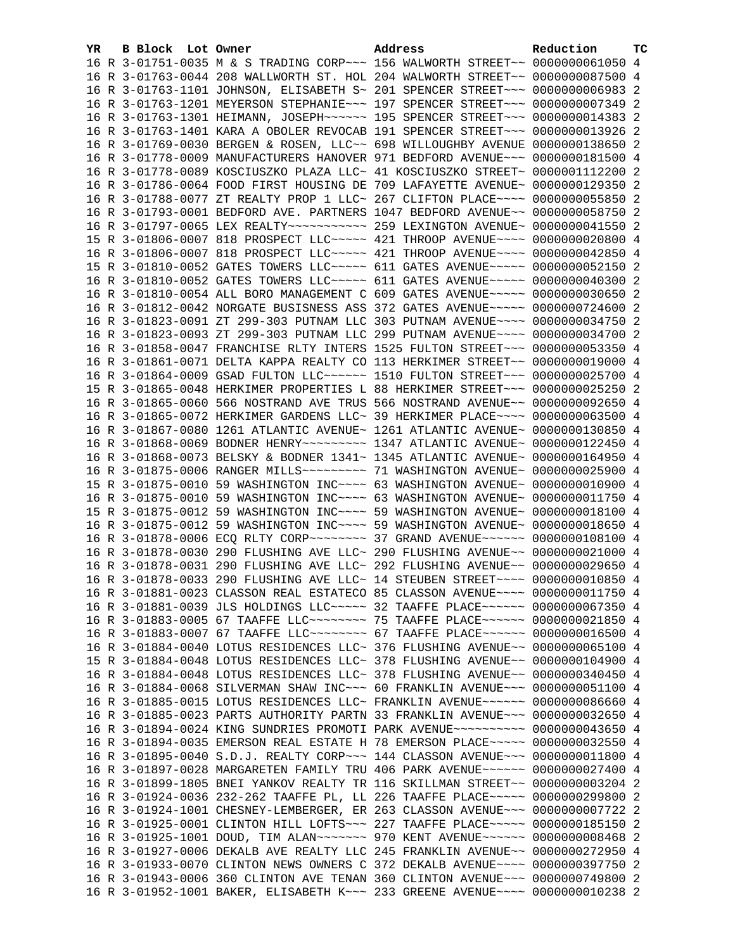| YR | B Block Lot Owner |                                                               | Address                                                                                                                                                         | Reduction       | ТC |
|----|-------------------|---------------------------------------------------------------|-----------------------------------------------------------------------------------------------------------------------------------------------------------------|-----------------|----|
|    |                   |                                                               | 16 R 3-01751-0035 M & S TRADING CORP~~~ 156 WALWORTH STREET~~ 0000000061050 4                                                                                   |                 |    |
|    |                   |                                                               | 16 R 3-01763-0044 208 WALLWORTH ST. HOL 204 WALWORTH STREET~~ 0000000087500 4                                                                                   |                 |    |
|    |                   |                                                               | 16 R 3-01763-1101 JOHNSON, ELISABETH S~ 201 SPENCER STREET~~~ 00000000006983 2                                                                                  |                 |    |
|    |                   |                                                               | 16 R 3-01763-1201 MEYERSON STEPHANIE~~~ 197 SPENCER STREET~~~ 0000000007349 2                                                                                   |                 |    |
|    |                   |                                                               | 16 R 3-01763-1301 HEIMANN, JOSEPH~~~~~~ 195 SPENCER STREET~~~ 0000000014383 2                                                                                   |                 |    |
|    |                   |                                                               | 16 R 3-01763-1401 KARA A OBOLER REVOCAB 191 SPENCER STREET~~~ 0000000013926 2                                                                                   |                 |    |
|    |                   | 16 R 3-01769-0030 BERGEN & ROSEN, LLC~~ 698 WILLOUGHBY AVENUE |                                                                                                                                                                 | 0000000138650 2 |    |
|    |                   |                                                               | 16 R 3-01778-0009 MANUFACTURERS HANOVER 971 BEDFORD AVENUE~~~ 0000000181500 4                                                                                   |                 |    |
|    |                   |                                                               | 16 R 3-01778-0089 KOSCIUSZKO PLAZA LLC~ 41 KOSCIUSZKO STREET~ 0000001112200 2                                                                                   |                 |    |
|    |                   |                                                               | 16 R 3-01786-0064 FOOD FIRST HOUSING DE 709 LAFAYETTE AVENUE~ 0000000129350 2                                                                                   |                 |    |
|    |                   |                                                               | 16 R 3-01788-0077 ZT REALTY PROP 1 LLC~ 267 CLIFTON PLACE~~~~ 0000000055850 2                                                                                   |                 |    |
|    |                   |                                                               | 16 R 3-01793-0001 BEDFORD AVE. PARTNERS 1047 BEDFORD AVENUE~~ 0000000058750 2                                                                                   |                 |    |
|    |                   |                                                               |                                                                                                                                                                 |                 |    |
|    |                   |                                                               | 15 R 3-01806-0007 818 PROSPECT LLC~~~~~ 421 THROOP AVENUE~~~~ 0000000020800 4                                                                                   |                 |    |
|    |                   |                                                               | 16 R 3-01806-0007 818 PROSPECT LLC~~~~~ 421 THROOP AVENUE~~~~ 0000000042850 4                                                                                   |                 |    |
|    |                   |                                                               | 15 R 3-01810-0052 GATES TOWERS LLC~~~~~ 611 GATES AVENUE~~~~~ 0000000052150 2                                                                                   |                 |    |
|    |                   |                                                               | 16 R 3-01810-0052 GATES TOWERS LLC~~~~~ 611 GATES AVENUE~~~~~ 0000000040300 2                                                                                   |                 |    |
|    |                   |                                                               | 16 R 3-01810-0054 ALL BORO MANAGEMENT C 609 GATES AVENUE~~~~~ 0000000030650 2                                                                                   |                 |    |
|    |                   |                                                               | 16 R 3-01812-0042 NORGATE BUSISNESS ASS 372 GATES AVENUE~~~~~ 0000000724600 2                                                                                   |                 |    |
|    |                   |                                                               | 16 R 3-01823-0091 ZT 299-303 PUTNAM LLC 303 PUTNAM AVENUE~~~~ 0000000034750 2                                                                                   |                 |    |
|    |                   |                                                               | 16 R 3-01823-0093 ZT 299-303 PUTNAM LLC 299 PUTNAM AVENUE~~~~ 0000000034700 2                                                                                   |                 |    |
|    |                   |                                                               | 16 R 3-01858-0047 FRANCHISE RLTY INTERS 1525 FULTON STREET~~~ 0000000053350 4                                                                                   |                 |    |
|    |                   |                                                               | 16 R 3-01861-0071 DELTA KAPPA REALTY CO 113 HERKIMER STREET~~ 0000000019000 4                                                                                   |                 |    |
|    |                   |                                                               | 16 R 3-01864-0009 GSAD FULTON LLC~~~~~~ 1510 FULTON STREET~~~ 0000000025700 4                                                                                   |                 |    |
|    |                   |                                                               | 15 R 3-01865-0048 HERKIMER PROPERTIES L 88 HERKIMER STREET~~~ 0000000025250 2                                                                                   |                 |    |
|    |                   |                                                               | 16 R 3-01865-0060 566 NOSTRAND AVE TRUS 566 NOSTRAND AVENUE~~ 0000000092650 4                                                                                   |                 |    |
|    |                   |                                                               | 16 R 3-01865-0072 HERKIMER GARDENS LLC~ 39 HERKIMER PLACE~~~~ 0000000063500 4                                                                                   |                 |    |
|    |                   |                                                               | 16 R 3-01867-0080 1261 ATLANTIC AVENUE~ 1261 ATLANTIC AVENUE~ 0000000130850 4                                                                                   |                 |    |
|    |                   |                                                               | 16 R 3-01868-0069 BODNER HENRY~~~~~~~~~ 1347 ATLANTIC AVENUE~ 0000000122450 4                                                                                   |                 |    |
|    |                   |                                                               | 16 R 3-01868-0073 BELSKY & BODNER 1341~ 1345 ATLANTIC AVENUE~ 0000000164950 4                                                                                   |                 |    |
|    |                   |                                                               | 16 R 3-01875-0006 RANGER MILLS~~~~~~~~~~ 71 WASHINGTON AVENUE~ 0000000025900 4                                                                                  |                 |    |
|    |                   |                                                               | 15 R 3-01875-0010 59 WASHINGTON INC~~~~ 63 WASHINGTON AVENUE~ 0000000010900 4                                                                                   |                 |    |
|    |                   |                                                               | 16 R 3-01875-0010 59 WASHINGTON INC~~~~ 63 WASHINGTON AVENUE~ 0000000011750 4                                                                                   |                 |    |
|    |                   |                                                               | 15 R 3-01875-0012 59 WASHINGTON INC~~~~ 59 WASHINGTON AVENUE~ 0000000018100 4                                                                                   |                 |    |
|    |                   |                                                               | 16 R 3-01875-0012 59 WASHINGTON INC~~~~ 59 WASHINGTON AVENUE~ 0000000018650 4                                                                                   |                 |    |
|    |                   |                                                               | 16 R 3-01878-0006 ECQ RLTY CORP~~~~~~~~ 37 GRAND AVENUE~~~~~~ 0000000108100 4                                                                                   |                 |    |
|    |                   |                                                               | 16 R 3-01878-0030 290 FLUSHING AVE LLC~ 290 FLUSHING AVENUE~~ 0000000021000 4                                                                                   |                 |    |
|    |                   |                                                               | 16 R 3-01878-0031 290 FLUSHING AVE LLC~ 292 FLUSHING AVENUE~~ 0000000029650 4<br>16 R 3-01878-0033 290 FLUSHING AVE LLC~ 14 STEUBEN STREET~~~~ 0000000010850 4  |                 |    |
|    |                   |                                                               |                                                                                                                                                                 |                 |    |
|    |                   |                                                               | 16 R 3-01881-0023 CLASSON REAL ESTATECO 85 CLASSON AVENUE~~~~ 00000000011750 4<br>16 R 3-01881-0039 JLS HOLDINGS LLC~~~~~ 32 TAAFFE PLACE~~~~~~ 0000000067350 4 |                 |    |
|    |                   |                                                               | 16 R 3-01883-0005 67 TAAFFE LLC~~~~~~~~ 75 TAAFFE PLACE~~~~~~ 0000000021850 4                                                                                   |                 |    |
|    |                   |                                                               | 16 R 3-01883-0007 67 TAAFFE LLC~~~~~~~~ 67 TAAFFE PLACE~~~~~~ 0000000016500 4                                                                                   |                 |    |
|    |                   |                                                               | 16 R 3-01884-0040 LOTUS RESIDENCES LLC~ 376 FLUSHING AVENUE~~ 0000000065100 4                                                                                   |                 |    |
|    |                   |                                                               | 15 R 3-01884-0048 LOTUS RESIDENCES LLC~ 378 FLUSHING AVENUE~~ 0000000104900 4                                                                                   |                 |    |
|    |                   |                                                               | 16 R 3-01884-0048 LOTUS RESIDENCES LLC~ 378 FLUSHING AVENUE~~ 0000000340450 4                                                                                   |                 |    |
|    |                   |                                                               | 16 R 3-01884-0068 SILVERMAN SHAW INC~~~ 60 FRANKLIN AVENUE~~~ 0000000051100 4                                                                                   |                 |    |
|    |                   |                                                               | 16 R 3-01885-0015 LOTUS RESIDENCES LLC~ FRANKLIN AVENUE~~~~~~ 0000000086660 4                                                                                   |                 |    |
|    |                   |                                                               | 16 R 3-01885-0023 PARTS AUTHORITY PARTN 33 FRANKLIN AVENUE~~~ 0000000032650 4                                                                                   |                 |    |
|    |                   |                                                               | 16 R 3-01894-0024 KING SUNDRIES PROMOTI PARK AVENUE~~~~~~~~~~ 0000000043650 4                                                                                   |                 |    |
|    |                   |                                                               | 16 R 3-01894-0035 EMERSON REAL ESTATE H 78 EMERSON PLACE~~~~~ 0000000032550 4                                                                                   |                 |    |
|    |                   |                                                               | 16 R 3-01895-0040 S.D.J. REALTY CORP~~~ 144 CLASSON AVENUE~~~ 0000000011800 4                                                                                   |                 |    |
|    |                   |                                                               | 16 R 3-01897-0028 MARGARETEN FAMILY TRU 406 PARK AVENUE~~~~~~ 0000000027400 4                                                                                   |                 |    |
|    |                   |                                                               | 16 R 3-01899-1805 BNEI YANKOV REALTY TR 116 SKILLMAN STREET~~ 0000000003204 2                                                                                   |                 |    |
|    |                   |                                                               | 16 R 3-01924-0036 232-262 TAAFFE PL, LL 226 TAAFFE PLACE~~~~~ 0000000299800 2                                                                                   |                 |    |
|    |                   |                                                               | 16 R 3-01924-1001 CHESNEY-LEMBERGER, ER 263 CLASSON AVENUE~~~ 0000000007722                                                                                     |                 | -2 |
|    |                   |                                                               | 16 R 3-01925-0001 CLINTON HILL LOFTS~~~ 227 TAAFFE PLACE~~~~~ 0000000185150                                                                                     |                 | -2 |
|    |                   |                                                               | 16 R 3-01925-1001 DOUD, TIM ALAN~~~~~~~ 970 KENT AVENUE~~~~~~ 00000000008468 2                                                                                  |                 |    |
|    |                   |                                                               | 16 R 3-01927-0006 DEKALB AVE REALTY LLC 245 FRANKLIN AVENUE~~ 0000000272950 4                                                                                   |                 |    |
|    |                   |                                                               | 16 R 3-01933-0070 CLINTON NEWS OWNERS C 372 DEKALB AVENUE~~~~ 0000000397750 2                                                                                   |                 |    |
|    |                   |                                                               | 16 R 3-01943-0006 360 CLINTON AVE TENAN 360 CLINTON AVENUE~~~ 0000000749800 2                                                                                   |                 |    |
|    |                   |                                                               | 16 R 3-01952-1001 BAKER, ELISABETH K~~~ 233 GREENE AVENUE~~~~ 0000000010238 2                                                                                   |                 |    |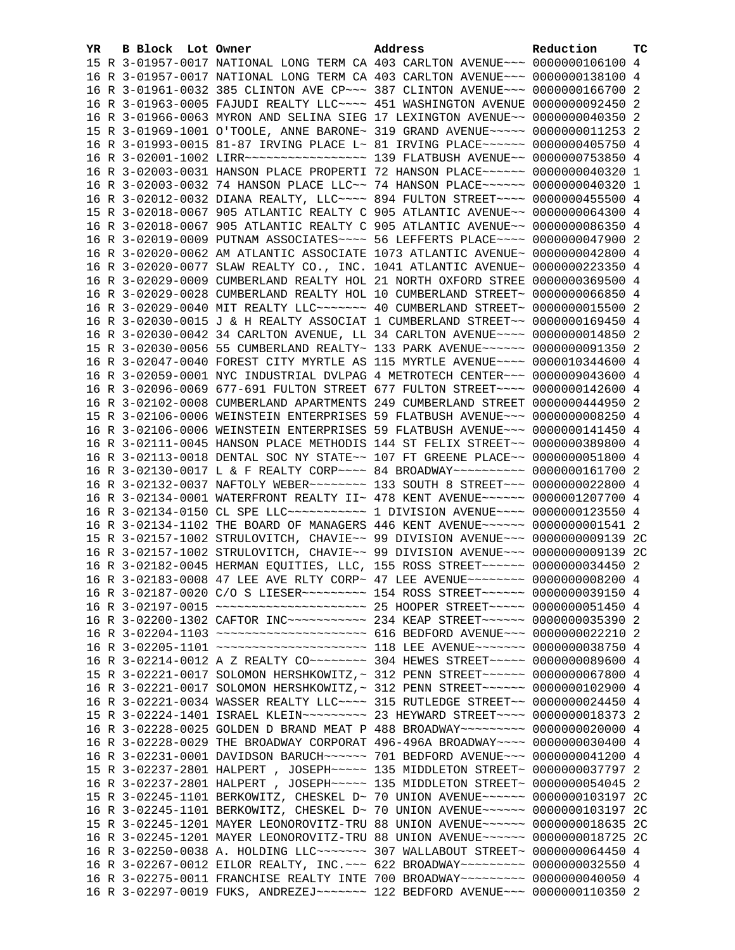| YR. | B Block Lot Owner |  | Address                                                                               | Reduction | тc |
|-----|-------------------|--|---------------------------------------------------------------------------------------|-----------|----|
|     |                   |  | 15 R 3-01957-0017 NATIONAL LONG TERM CA 403 CARLTON AVENUE~~~ 0000000106100 4         |           |    |
|     |                   |  | 16 R 3-01957-0017 NATIONAL LONG TERM CA 403 CARLTON AVENUE~~~ 0000000138100 4         |           |    |
|     |                   |  | 16 R 3-01961-0032 385 CLINTON AVE CP ~~~ 387 CLINTON AVENUE ~~~ 0000000166700 2       |           |    |
|     |                   |  | 16 R 3-01963-0005 FAJUDI REALTY LLC ~~~~ 451 WASHINGTON AVENUE 0000000092450 2        |           |    |
|     |                   |  | 16 R 3-01966-0063 MYRON AND SELINA SIEG 17 LEXINGTON AVENUE~~ 0000000040350 2         |           |    |
|     |                   |  | 15 R 3-01969-1001 O'TOOLE, ANNE BARONE~ 319 GRAND AVENUE~~~~~ 0000000011253 2         |           |    |
|     |                   |  | 16 R 3-01993-0015 81-87 IRVING PLACE L~ 81 IRVING PLACE~~~~~~ 0000000405750 4         |           |    |
|     |                   |  | 16 R 3-02001-1002 LIRR ------------------ 139 FLATBUSH AVENUE -- 0000000753850 4      |           |    |
|     |                   |  | 16 R 3-02003-0031 HANSON PLACE PROPERTI 72 HANSON PLACE~~~~~~ 0000000040320 1         |           |    |
|     |                   |  | 16 R 3-02003-0032 74 HANSON PLACE LLC~~ 74 HANSON PLACE~~~~~~ 0000000040320 1         |           |    |
|     |                   |  | 16 R 3-02012-0032 DIANA REALTY, LLC --- 894 FULTON STREET --- 0000000455500 4         |           |    |
|     |                   |  | 15 R 3-02018-0067 905 ATLANTIC REALTY C 905 ATLANTIC AVENUE~~ 0000000064300 4         |           |    |
|     |                   |  | 16 R 3-02018-0067 905 ATLANTIC REALTY C 905 ATLANTIC AVENUE~~ 0000000086350 4         |           |    |
|     |                   |  | 16 R 3-02019-0009 PUTNAM ASSOCIATES~~~~ 56 LEFFERTS PLACE~~~~ 0000000047900 2         |           |    |
|     |                   |  | 16 R 3-02020-0062 AM ATLANTIC ASSOCIATE 1073 ATLANTIC AVENUE~ 0000000042800 4         |           |    |
|     |                   |  | 16 R 3-02020-0077 SLAW REALTY CO., INC. 1041 ATLANTIC AVENUE~ 0000000223350 4         |           |    |
|     |                   |  | 16 R 3-02029-0009 CUMBERLAND REALTY HOL 21 NORTH OXFORD STREE 0000000369500 4         |           |    |
|     |                   |  | 16 R 3-02029-0028 CUMBERLAND REALTY HOL 10 CUMBERLAND STREET~ 0000000066850 4         |           |    |
|     |                   |  | 16 R 3-02029-0040 MIT REALTY LLC ------ 40 CUMBERLAND STREET ~ 0000000015500 2        |           |    |
|     |                   |  | 16 R 3-02030-0015 J & H REALTY ASSOCIAT 1 CUMBERLAND STREET~~ 0000000169450 4         |           |    |
|     |                   |  | 16 R 3-02030-0042 34 CARLTON AVENUE, LL 34 CARLTON AVENUE~~~~ 0000000014850 2         |           |    |
|     |                   |  | 15 R 3-02030-0056 55 CUMBERLAND REALTY~ 133 PARK AVENUE~~~~~~ 0000000091350 2         |           |    |
|     |                   |  | 16 R 3-02047-0040 FOREST CITY MYRTLE AS 115 MYRTLE AVENUE~~~~ 0000010344600 4         |           |    |
|     |                   |  | 16 R 3-02059-0001 NYC INDUSTRIAL DVLPAG 4 METROTECH CENTER~~~ 0000009043600 4         |           |    |
|     |                   |  | 16 R 3-02096-0069 677-691 FULTON STREET 677 FULTON STREET~~~~ 0000000142600 4         |           |    |
|     |                   |  | 16 R 3-02102-0008 CUMBERLAND APARTMENTS 249 CUMBERLAND STREET 0000000444950 2         |           |    |
|     |                   |  | 15 R 3-02106-0006 WEINSTEIN ENTERPRISES 59 FLATBUSH AVENUE~~~ 00000000008250 4        |           |    |
|     |                   |  | 16 R 3-02106-0006 WEINSTEIN ENTERPRISES 59 FLATBUSH AVENUE~~~ 0000000141450 4         |           |    |
|     |                   |  | 16 R 3-02111-0045 HANSON PLACE METHODIS 144 ST FELIX STREET~~ 0000000389800 4         |           |    |
|     |                   |  | 16 R 3-02113-0018 DENTAL SOC NY STATE~~ 107 FT GREENE PLACE~~ 0000000051800 4         |           |    |
|     |                   |  | 16 R 3-02130-0017 L & F REALTY CORP~~~~ 84 BROADWAY~~~~~~~~~~ 0000000161700 2         |           |    |
|     |                   |  | 16 R 3-02132-0037 NAFTOLY WEBER~~~~~~~~ 133 SOUTH 8 STREET~~~ 0000000022800 4         |           |    |
|     |                   |  | 16 R 3-02134-0001 WATERFRONT REALTY II~ 478 KENT AVENUE~~~~~~ 0000001207700 4         |           |    |
|     |                   |  | 16 R 3-02134-0150 CL SPE LLC ----------- 1 DIVISION AVENUE --- 0000000123550 4        |           |    |
|     |                   |  | 16 R 3-02134-1102 THE BOARD OF MANAGERS 446 KENT AVENUE~~~~~~ 0000000001541 2         |           |    |
|     |                   |  | 15 R 3-02157-1002 STRULOVITCH, CHAVIE~~ 99 DIVISION AVENUE~~~ 0000000009139 2C        |           |    |
|     |                   |  | 16 R 3-02157-1002 STRULOVITCH, CHAVIE~~ 99 DIVISION AVENUE~~~ 0000000009139 2C        |           |    |
|     |                   |  | 16 R 3-02182-0045 HERMAN EQUITIES, LLC, 155 ROSS STREET~~~~~~ 0000000034450 2         |           |    |
|     |                   |  | 16 R 3-02183-0008 47 LEE AVE RLTY CORP~ 47 LEE AVENUE~~~~~~~~ 0000000008200 4         |           |    |
|     |                   |  | 16 R 3-02187-0020 C/O S LIESER~~~~~~~~~ 154 ROSS STREET~~~~~~ 0000000039150 4         |           |    |
|     |                   |  | 16 R 3-02197-0015 ~~~~~~~~~~~~~~~~~~~~~~~~ 25 HOOPER STREET~~~~~ 0000000051450 4      |           |    |
|     |                   |  | 16 R 3-02200-1302 CAFTOR INC ----------- 234 KEAP STREET ------ 0000000035390 2       |           |    |
|     |                   |  | 16 R 3-02204-1103 ~~~~~~~~~~~~~~~~~~~~~~ 616 BEDFORD AVENUE~~~ 0000000022210 2        |           |    |
|     |                   |  | 16 R 3-02205-1101 ~~~~~~~~~~~~~~~~~~~~~~~~~~~~ 118 LEE AVENUE~~~~~~~~ 0000000038750 4 |           |    |
|     |                   |  | 16 R 3-02214-0012 A Z REALTY CO ------- 304 HEWES STREET ---- 0000000089600 4         |           |    |
|     |                   |  | 15 R 3-02221-0017 SOLOMON HERSHKOWITZ, ~ 312 PENN STREET ~~~~~~ 0000000067800 4       |           |    |
|     |                   |  | 16 R 3-02221-0017 SOLOMON HERSHKOWITZ, ~ 312 PENN STREET ~~~~~~ 0000000102900 4       |           |    |
|     |                   |  | 16 R 3-02221-0034 WASSER REALTY LLC~~~~ 315 RUTLEDGE STREET~~ 0000000024450 4         |           |    |
|     |                   |  | 15 R 3-02224-1401 ISRAEL KLEIN~~~~~~~~~ 23 HEYWARD STREET~~~~ 0000000018373 2         |           |    |
|     |                   |  | 16 R 3-02228-0025 GOLDEN D BRAND MEAT P 488 BROADWAY~~~~~~~~~ 0000000020000 4         |           |    |
|     |                   |  | 16 R 3-02228-0029 THE BROADWAY CORPORAT 496-496A BROADWAY~~~~ 0000000030400 4         |           |    |
|     |                   |  | 16 R 3-02231-0001 DAVIDSON BARUCH~~~~~~ 701 BEDFORD AVENUE~~~ 0000000041200 4         |           |    |
|     |                   |  | 15 R 3-02237-2801 HALPERT, JOSEPH~~~~~ 135 MIDDLETON STREET~ 0000000037797 2          |           |    |
|     |                   |  | 16 R 3-02237-2801 HALPERT, JOSEPH~~~~~ 135 MIDDLETON STREET~ 0000000054045 2          |           |    |
|     |                   |  | 15 R 3-02245-1101 BERKOWITZ, CHESKEL D~ 70 UNION AVENUE~~~~~~ 0000000103197 2C        |           |    |
|     |                   |  | 16 R 3-02245-1101 BERKOWITZ, CHESKEL D~ 70 UNION AVENUE~~~~~~ 0000000103197 2C        |           |    |
|     |                   |  | 15 R 3-02245-1201 MAYER LEONOROVITZ-TRU 88 UNION AVENUE~~~~~~ 0000000018635 2C        |           |    |
|     |                   |  | 16 R 3-02245-1201 MAYER LEONOROVITZ-TRU 88 UNION AVENUE~~~~~~ 0000000018725 2C        |           |    |
|     |                   |  | 16 R 3-02250-0038 A. HOLDING LLC ------ 307 WALLABOUT STREET ~ 0000000064450 4        |           |    |
|     |                   |  | 16 R 3-02267-0012 EILOR REALTY, INC. ~~~ 622 BROADWAY~~~~~~~~~ 0000000032550 4        |           |    |
|     |                   |  | 16 R 3-02275-0011 FRANCHISE REALTY INTE 700 BROADWAY~~~~~~~~~ 0000000040050 4         |           |    |
|     |                   |  | 16 R 3-02297-0019 FUKS, ANDREZEJ~~~~~~~ 122 BEDFORD AVENUE~~~ 0000000110350 2         |           |    |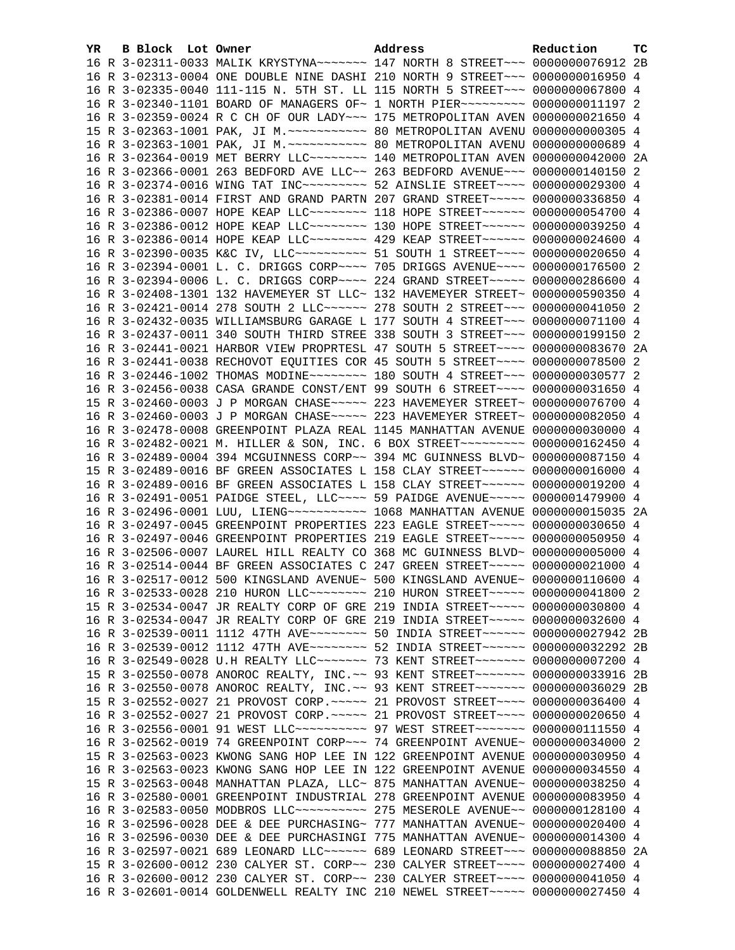| YR. | B Block Lot Owner | Address                                                                            | Reduction | тc |
|-----|-------------------|------------------------------------------------------------------------------------|-----------|----|
|     |                   | 16 R 3-02311-0033 MALIK KRYSTYNA~~~~~~~ 147 NORTH 8 STREET~~~ 0000000076912 2B     |           |    |
|     |                   | 16 R 3-02313-0004 ONE DOUBLE NINE DASHI 210 NORTH 9 STREET~~~ 0000000016950 4      |           |    |
|     |                   | 16 R 3-02335-0040 111-115 N. 5TH ST. LL 115 NORTH 5 STREET~~~ 0000000067800 4      |           |    |
|     |                   | 16 R 3-02340-1101 BOARD OF MANAGERS OF~ 1 NORTH PIER~~~~~~~~~ 0000000011197 2      |           |    |
|     |                   | 16 R 3-02359-0024 R C CH OF OUR LADY ~~~ 175 METROPOLITAN AVEN 0000000021650 4     |           |    |
|     |                   |                                                                                    |           |    |
|     |                   |                                                                                    |           |    |
|     |                   | 16 R 3-02364-0019 MET BERRY LLC -------- 140 METROPOLITAN AVEN 0000000042000 2A    |           |    |
|     |                   | 16 R 3-02366-0001 263 BEDFORD AVE LLC~~ 263 BEDFORD AVENUE~~~ 0000000140150 2      |           |    |
|     |                   | 16 R 3-02374-0016 WING TAT INC~~~~~~~~~~ 52 AINSLIE STREET~~~~ 0000000029300 4     |           |    |
|     |                   | 16 R 3-02381-0014 FIRST AND GRAND PARTN 207 GRAND STREET~~~~~ 0000000336850 4      |           |    |
|     |                   | 16 R 3-02386-0007 HOPE KEAP LLC ------- 118 HOPE STREET ------ 0000000054700 4     |           |    |
|     |                   | 16 R 3-02386-0012 HOPE KEAP LLC -------- 130 HOPE STREET ----- 0000000039250 4     |           |    |
|     |                   | 16 R 3-02386-0014 HOPE KEAP LLC -------- 429 KEAP STREET ----- 0000000024600 4     |           |    |
|     |                   | 16 R 3-02390-0035 K&C IV, LLC ---------- 51 SOUTH 1 STREET ---- 0000000020650 4    |           |    |
|     |                   | 16 R 3-02394-0001 L. C. DRIGGS CORP~~~~ 705 DRIGGS AVENUE~~~~ 0000000176500 2      |           |    |
|     |                   | 16 R 3-02394-0006 L. C. DRIGGS CORP~~~~ 224 GRAND STREET~~~~~ 0000000286600 4      |           |    |
|     |                   | 16 R 3-02408-1301 132 HAVEMEYER ST LLC~ 132 HAVEMEYER STREET~ 0000000590350 4      |           |    |
|     |                   | 16 R 3-02421-0014 278 SOUTH 2 LLC ----- 278 SOUTH 2 STREET -- 0000000041050 2      |           |    |
|     |                   | 16 R 3-02432-0035 WILLIAMSBURG GARAGE L 177 SOUTH 4 STREET~~~ 0000000071100 4      |           |    |
|     |                   | 16 R 3-02437-0011 340 SOUTH THIRD STREE 338 SOUTH 3 STREET~~~ 0000000199150 2      |           |    |
|     |                   | 16 R 3-02441-0021 HARBOR VIEW PROPRTESL 47 SOUTH 5 STREET~~~~ 0000000083670 2A     |           |    |
|     |                   | 16 R 3-02441-0038 RECHOVOT EQUITIES COR 45 SOUTH 5 STREET~~~~ 0000000078500 2      |           |    |
|     |                   | 16 R 3-02446-1002 THOMAS MODINE ~~~~~~~~ 180 SOUTH 4 STREET ~~~ 0000000030577 2    |           |    |
|     |                   | 16 R 3-02456-0038 CASA GRANDE CONST/ENT 99 SOUTH 6 STREET~~~~ 0000000031650 4      |           |    |
|     |                   | 15 R 3-02460-0003 J P MORGAN CHASE~~~~~ 223 HAVEMEYER STREET~ 0000000076700 4      |           |    |
|     |                   | 16 R 3-02460-0003 J P MORGAN CHASE~~~~~ 223 HAVEMEYER STREET~ 0000000082050 4      |           |    |
|     |                   | 16 R 3-02478-0008 GREENPOINT PLAZA REAL 1145 MANHATTAN AVENUE 0000000030000 4      |           |    |
|     |                   | 16 R 3-02482-0021 M. HILLER & SON, INC. 6 BOX STREET~~~~~~~~~ 0000000162450 4      |           |    |
|     |                   | 16 R 3-02489-0004 394 MCGUINNESS CORP~~ 394 MC GUINNESS BLVD~ 0000000087150 4      |           |    |
|     |                   | 15 R 3-02489-0016 BF GREEN ASSOCIATES L 158 CLAY STREET~~~~~~ 0000000016000 4      |           |    |
|     |                   | 16 R 3-02489-0016 BF GREEN ASSOCIATES L 158 CLAY STREET~~~~~~ 0000000019200 4      |           |    |
|     |                   | 16 R 3-02491-0051 PAIDGE STEEL, LLC~~~~ 59 PAIDGE AVENUE~~~~~ 0000001479900 4      |           |    |
|     |                   | 16 R 3-02496-0001 LUU, LIENG ----------- 1068 MANHATTAN AVENUE 0000000015035 2A    |           |    |
|     |                   | 16 R 3-02497-0045 GREENPOINT PROPERTIES 223 EAGLE STREET~~~~~ 0000000030650 4      |           |    |
|     |                   | 16 R 3-02497-0046 GREENPOINT PROPERTIES 219 EAGLE STREET~~~~~ 0000000050950 4      |           |    |
|     |                   | 16 R 3-02506-0007 LAUREL HILL REALTY CO 368 MC GUINNESS BLVD~ 0000000005000 4      |           |    |
|     |                   | 16 R 3-02514-0044 BF GREEN ASSOCIATES C 247 GREEN STREET~~~~~ 0000000021000 4      |           |    |
|     |                   | 16 R 3-02517-0012 500 KINGSLAND AVENUE~ 500 KINGSLAND AVENUE~ 0000000110600 4      |           |    |
|     |                   | 16 R 3-02533-0028 210 HURON LLC -------- 210 HURON STREET ----- 0000000041800 2    |           |    |
|     |                   | 15 R 3-02534-0047 JR REALTY CORP OF GRE 219 INDIA STREET~~~~~ 0000000030800 4      |           |    |
|     |                   | 16 R 3-02534-0047 JR REALTY CORP OF GRE 219 INDIA STREET~~~~~ 0000000032600 4      |           |    |
|     |                   | 16 R 3-02539-0011 1112 47TH AVE~~~~~~~~~ 50 INDIA STREET~~~~~~ 0000000027942 2B    |           |    |
|     |                   | 16 R 3-02539-0012 1112 47TH AVE~~~~~~~~~ 52 INDIA STREET~~~~~~ 0000000032292 2B    |           |    |
|     |                   | 16 R 3-02549-0028 U.H REALTY LLC ------- 73 KENT STREET ------ 0000000007200 4     |           |    |
|     |                   | 15 R 3-02550-0078 ANOROC REALTY, INC. ~~ 93 KENT STREET~~~~~~~ 0000000033916 2B    |           |    |
|     |                   | 16 R 3-02550-0078 ANOROC REALTY, INC.~~ 93 KENT STREET~~~~~~~~ 0000000036029 2B    |           |    |
|     |                   | 15 R 3-02552-0027 21 PROVOST CORP. ~~~~~ 21 PROVOST STREET~~~~ 0000000036400 4     |           |    |
|     |                   | 16 R 3-02552-0027 21 PROVOST CORP. ~~~~~ 21 PROVOST STREET~~~~ 0000000020650 4     |           |    |
|     |                   | 16 R 3-02556-0001 91 WEST LLC ---------- 97 WEST STREET ------- 0000000111550 4    |           |    |
|     |                   | 16 R 3-02562-0019 74 GREENPOINT CORP~~~ 74 GREENPOINT AVENUE~ 0000000034000 2      |           |    |
|     |                   | 15 R 3-02563-0023 KWONG SANG HOP LEE IN 122 GREENPOINT AVENUE 0000000030950 4      |           |    |
|     |                   | 16 R 3-02563-0023 KWONG SANG HOP LEE IN 122 GREENPOINT AVENUE 0000000034550 4      |           |    |
|     |                   | 15 R 3-02563-0048 MANHATTAN PLAZA, LLC~ 875 MANHATTAN AVENUE~ 0000000038250 4      |           |    |
|     |                   | 16 R 3-02580-0001 GREENPOINT INDUSTRIAL 278 GREENPOINT AVENUE 0000000083950 4      |           |    |
|     |                   | 16 R 3-02583-0050 MODBROS LLC~~~~~~~~~~~~~~~ 275 MESEROLE AVENUE~~ 0000000128100 4 |           |    |
|     |                   | 16 R 3-02596-0028 DEE & DEE PURCHASING~ 777 MANHATTAN AVENUE~ 0000000020400 4      |           |    |
|     |                   | 16 R 3-02596-0030 DEE & DEE PURCHASINGI 775 MANHATTAN AVENUE~ 0000000014300 4      |           |    |
|     |                   | 16 R 3-02597-0021 689 LEONARD LLC ----- 689 LEONARD STREET --- 0000000088850 2A    |           |    |
|     |                   | 15 R 3-02600-0012 230 CALYER ST. CORP~~ 230 CALYER STREET~~~~ 0000000027400 4      |           |    |
|     |                   | 16 R 3-02600-0012 230 CALYER ST. CORP~~ 230 CALYER STREET~~~~ 0000000041050 4      |           |    |
|     |                   | 16 R 3-02601-0014 GOLDENWELL REALTY INC 210 NEWEL STREET~~~~~ 0000000027450 4      |           |    |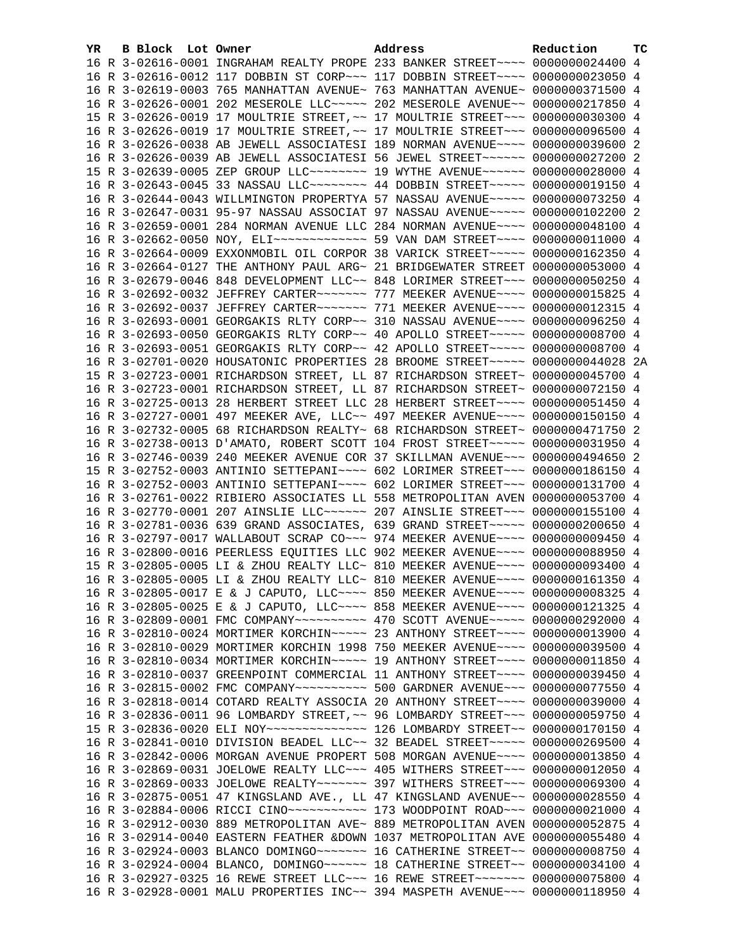| YR. | B Block Lot Owner | Address                                                                          | Reduction | TC |
|-----|-------------------|----------------------------------------------------------------------------------|-----------|----|
|     |                   | 16 R 3-02616-0001 INGRAHAM REALTY PROPE 233 BANKER STREET~~~~ 0000000024400 4    |           |    |
|     |                   | 16 R 3-02616-0012 117 DOBBIN ST CORP~~~ 117 DOBBIN STREET~~~~ 0000000023050 4    |           |    |
|     |                   | 16 R 3-02619-0003 765 MANHATTAN AVENUE~ 763 MANHATTAN AVENUE~ 0000000371500 4    |           |    |
|     |                   | 16 R 3-02626-0001 202 MESEROLE LLC ~~~~~ 202 MESEROLE AVENUE ~~ 0000000217850 4  |           |    |
|     |                   | 15 R 3-02626-0019 17 MOULTRIE STREET, ~~ 17 MOULTRIE STREET~~~ 0000000030300 4   |           |    |
|     |                   | 16 R 3-02626-0019 17 MOULTRIE STREET, ~~ 17 MOULTRIE STREET~~~ 0000000096500 4   |           |    |
|     |                   | 16 R 3-02626-0038 AB JEWELL ASSOCIATESI 189 NORMAN AVENUE~~~~ 0000000039600 2    |           |    |
|     |                   | 16 R 3-02626-0039 AB JEWELL ASSOCIATESI 56 JEWEL STREET~~~~~~ 0000000027200 2    |           |    |
|     |                   | 15 R 3-02639-0005 ZEP GROUP LLC -------- 19 WYTHE AVENUE ----- 0000000028000 4   |           |    |
|     |                   | 16 R 3-02643-0045 33 NASSAU LLC -------- 44 DOBBIN STREET ---- 0000000019150 4   |           |    |
|     |                   | 16 R 3-02644-0043 WILLMINGTON PROPERTYA 57 NASSAU AVENUE~~~~~ 0000000073250 4    |           |    |
|     |                   | 16 R 3-02647-0031 95-97 NASSAU ASSOCIAT 97 NASSAU AVENUE~~~~~ 0000000102200 2    |           |    |
|     |                   | 16 R 3-02659-0001 284 NORMAN AVENUE LLC 284 NORMAN AVENUE~~~~ 0000000048100 4    |           |    |
|     |                   | 16 R 3-02662-0050 NOY, ELI ------------- 59 VAN DAM STREET ---- 0000000011000 4  |           |    |
|     |                   | 16 R 3-02664-0009 EXXONMOBIL OIL CORPOR 38 VARICK STREET~~~~~ 0000000162350 4    |           |    |
|     |                   | 16 R 3-02664-0127 THE ANTHONY PAUL ARG~ 21 BRIDGEWATER STREET 0000000053000 4    |           |    |
|     |                   | 16 R 3-02679-0046 848 DEVELOPMENT LLC~~ 848 LORIMER STREET~~~ 0000000050250 4    |           |    |
|     |                   | 16 R 3-02692-0032 JEFFREY CARTER~~~~~~~ 777 MEEKER AVENUE~~~~ 0000000015825 4    |           |    |
|     |                   | 16 R 3-02692-0037 JEFFREY CARTER~~~~~~~ 771 MEEKER AVENUE~~~~ 0000000012315 4    |           |    |
|     |                   | 16 R 3-02693-0001 GEORGAKIS RLTY CORP~~ 310 NASSAU AVENUE~~~~ 0000000096250 4    |           |    |
|     |                   | 16 R 3-02693-0050 GEORGAKIS RLTY CORP~~ 40 APOLLO STREET~~~~~ 0000000008700 4    |           |    |
|     |                   | 16 R 3-02693-0051 GEORGAKIS RLTY CORP~~ 42 APOLLO STREET~~~~~ 0000000008700 4    |           |    |
|     |                   | 16 R 3-02701-0020 HOUSATONIC PROPERTIES 28 BROOME STREET~~~~~ 0000000044028 2A   |           |    |
|     |                   | 15 R 3-02723-0001 RICHARDSON STREET, LL 87 RICHARDSON STREET~ 0000000045700 4    |           |    |
|     |                   | 16 R 3-02723-0001 RICHARDSON STREET, LL 87 RICHARDSON STREET~ 0000000072150 4    |           |    |
|     |                   | 16 R 3-02725-0013 28 HERBERT STREET LLC 28 HERBERT STREET~~~~ 0000000051450 4    |           |    |
|     |                   | 16 R 3-02727-0001 497 MEEKER AVE, LLC~~ 497 MEEKER AVENUE~~~~ 0000000150150 4    |           |    |
|     |                   | 16 R 3-02732-0005 68 RICHARDSON REALTY~ 68 RICHARDSON STREET~ 0000000471750 2    |           |    |
|     |                   | 16 R 3-02738-0013 D'AMATO, ROBERT SCOTT 104 FROST STREET~~~~~ 0000000031950 4    |           |    |
|     |                   | 16 R 3-02746-0039 240 MEEKER AVENUE COR 37 SKILLMAN AVENUE~~~ 0000000494650 2    |           |    |
|     |                   | 15 R 3-02752-0003 ANTINIO SETTEPANI~~~~ 602 LORIMER STREET~~~ 0000000186150 4    |           |    |
|     |                   | 16 R 3-02752-0003 ANTINIO SETTEPANI~~~~ 602 LORIMER STREET~~~ 0000000131700 4    |           |    |
|     |                   | 16 R 3-02761-0022 RIBIERO ASSOCIATES LL 558 METROPOLITAN AVEN 0000000053700 4    |           |    |
|     |                   | 16 R 3-02770-0001 207 AINSLIE LLC~~~~~~ 207 AINSLIE STREET~~~ 0000000155100 4    |           |    |
|     |                   | 16 R 3-02781-0036 639 GRAND ASSOCIATES, 639 GRAND STREET~~~~~ 0000000200650 4    |           |    |
|     |                   | 16 R 3-02797-0017 WALLABOUT SCRAP CO~~~ 974 MEEKER AVENUE~~~~ 0000000009450 4    |           |    |
|     |                   | 16 R 3-02800-0016 PEERLESS EQUITIES LLC 902 MEEKER AVENUE~~~~ 0000000088950 4    |           |    |
|     |                   | 15 R 3-02805-0005 LI & ZHOU REALTY LLC~ 810 MEEKER AVENUE~~~~ 0000000093400 4    |           |    |
|     |                   | 16 R 3-02805-0005 LI & ZHOU REALTY LLC~ 810 MEEKER AVENUE~~~~ 0000000161350 4    |           |    |
|     |                   | 16 R 3-02805-0017 E & J CAPUTO, LLC ~~~~ 850 MEEKER AVENUE ~~~~ 0000000008325 4  |           |    |
|     |                   | 16 R 3-02805-0025 E & J CAPUTO, LLC ~~~~ 858 MEEKER AVENUE ~~~~ 0000000121325 4  |           |    |
|     |                   | 16 R 3-02809-0001 FMC COMPANY~~~~~~~~~~ 470 SCOTT AVENUE~~~~~ 0000000292000 4    |           |    |
|     |                   | 16 R 3-02810-0024 MORTIMER KORCHIN~~~~~ 23 ANTHONY STREET~~~~ 0000000013900 4    |           |    |
|     |                   | 16 R 3-02810-0029 MORTIMER KORCHIN 1998 750 MEEKER AVENUE~~~~ 0000000039500 4    |           |    |
|     |                   | 16 R 3-02810-0034 MORTIMER KORCHIN~~~~~ 19 ANTHONY STREET~~~~ 0000000011850 4    |           |    |
|     |                   | 16 R 3-02810-0037 GREENPOINT COMMERCIAL 11 ANTHONY STREET~~~~ 0000000039450 4    |           |    |
|     |                   | 16 R 3-02815-0002 FMC COMPANY~~~~~~~~~~~ 500 GARDNER AVENUE~~~ 0000000077550 4   |           |    |
|     |                   | 16 R 3-02818-0014 COTARD REALTY ASSOCIA 20 ANTHONY STREET~~~~ 0000000039000 4    |           |    |
|     |                   | 16 R 3-02836-0011 96 LOMBARDY STREET, ~~ 96 LOMBARDY STREET~~~ 0000000059750 4   |           |    |
|     |                   | 15 R 3-02836-0020 ELI NOY --------------- 126 LOMBARDY STREET -~ 0000000170150 4 |           |    |
|     |                   | 16 R 3-02841-0010 DIVISION BEADEL LLC~~ 32 BEADEL STREET~~~~~ 0000000269500 4    |           |    |
|     |                   | 16 R 3-02842-0006 MORGAN AVENUE PROPERT 508 MORGAN AVENUE~~~~ 0000000013850 4    |           |    |
|     |                   | 16 R 3-02869-0031 JOELOWE REALTY LLC~~~ 405 WITHERS STREET~~~ 0000000012050 4    |           |    |
|     |                   | 16 R 3-02869-0033 JOELOWE REALTY~~~~~~~ 397 WITHERS STREET~~~ 0000000069300 4    |           |    |
|     |                   | 16 R 3-02875-0051 47 KINGSLAND AVE., LL 47 KINGSLAND AVENUE~~ 0000000028550 4    |           |    |
|     |                   |                                                                                  |           |    |
|     |                   | 16 R 3-02912-0030 889 METROPOLITAN AVE~ 889 METROPOLITAN AVEN 0000000052875 4    |           |    |
|     |                   | 16 R 3-02914-0040 EASTERN FEATHER & DOWN 1037 METROPOLITAN AVE 0000000055480 4   |           |    |
|     |                   | 16 R 3-02924-0003 BLANCO DOMINGO~~~~~~~~ 16 CATHERINE STREET~~ 00000000008750 4  |           |    |
|     |                   | 16 R 3-02924-0004 BLANCO, DOMINGO~~~~~~ 18 CATHERINE STREET~~ 0000000034100 4    |           |    |
|     |                   | 16 R 3-02927-0325 16 REWE STREET LLC~~~ 16 REWE STREET~~~~~~~ 0000000075800 4    |           |    |
|     |                   | 16 R 3-02928-0001 MALU PROPERTIES INC~~ 394 MASPETH AVENUE~~~ 0000000118950 4    |           |    |
|     |                   |                                                                                  |           |    |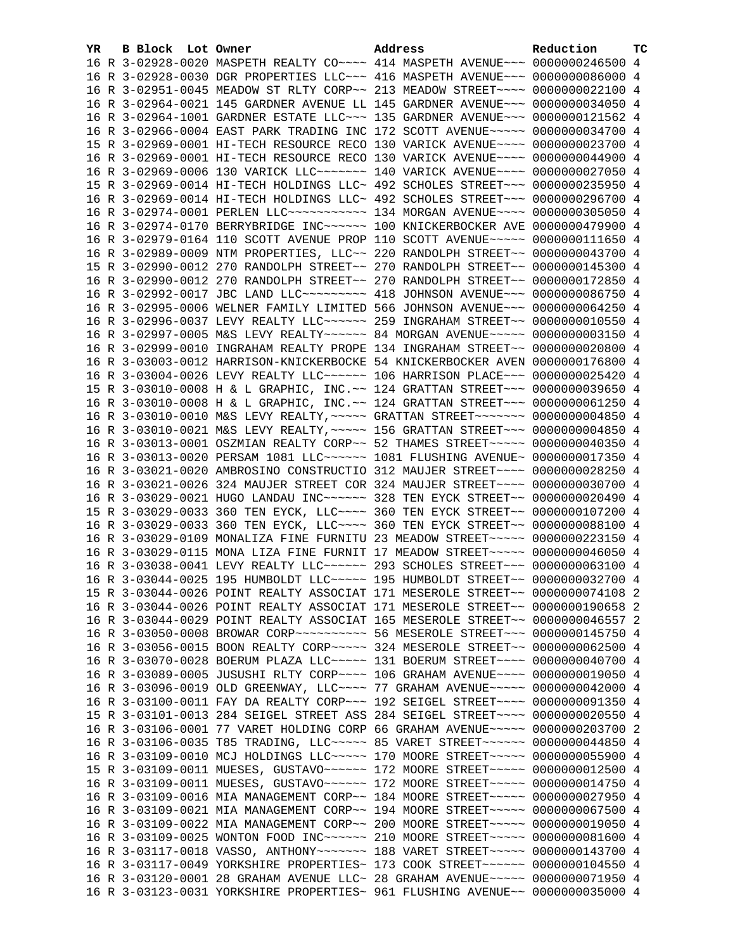| YR. | B Block Lot Owner | Address                                                                         | Reduction | ТC |
|-----|-------------------|---------------------------------------------------------------------------------|-----------|----|
|     |                   | 16 R 3-02928-0020 MASPETH REALTY CO~~~~ 414 MASPETH AVENUE~~~ 0000000246500 4   |           |    |
|     |                   | 16 R 3-02928-0030 DGR PROPERTIES LLC~~~ 416 MASPETH AVENUE~~~ 0000000086000 4   |           |    |
|     |                   | 16 R 3-02951-0045 MEADOW ST RLTY CORP~~ 213 MEADOW STREET~~~~ 0000000022100 4   |           |    |
|     |                   | 16 R 3-02964-0021 145 GARDNER AVENUE LL 145 GARDNER AVENUE~~~ 0000000034050 4   |           |    |
|     |                   | 16 R 3-02964-1001 GARDNER ESTATE LLC~~~ 135 GARDNER AVENUE~~~ 0000000121562 4   |           |    |
|     |                   | 16 R 3-02966-0004 EAST PARK TRADING INC 172 SCOTT AVENUE~~~~~ 0000000034700 4   |           |    |
|     |                   | 15 R 3-02969-0001 HI-TECH RESOURCE RECO 130 VARICK AVENUE~~~~ 0000000023700 4   |           |    |
|     |                   | 16 R 3-02969-0001 HI-TECH RESOURCE RECO 130 VARICK AVENUE~~~~ 0000000044900 4   |           |    |
|     |                   | 16 R 3-02969-0006 130 VARICK LLC ------ 140 VARICK AVENUE --- 0000000027050 4   |           |    |
|     |                   | 15 R 3-02969-0014 HI-TECH HOLDINGS LLC~ 492 SCHOLES STREET~~~ 0000000235950 4   |           |    |
|     |                   | 16 R 3-02969-0014 HI-TECH HOLDINGS LLC~ 492 SCHOLES STREET~~~ 0000000296700 4   |           |    |
|     |                   | 16 R 3-02974-0001 PERLEN LLC ---------- 134 MORGAN AVENUE ---- 0000000305050 4  |           |    |
|     |                   | 16 R 3-02974-0170 BERRYBRIDGE INC~~~~~~ 100 KNICKERBOCKER AVE 0000000479900 4   |           |    |
|     |                   | 16 R 3-02979-0164 110 SCOTT AVENUE PROP 110 SCOTT AVENUE~~~~~ 0000000111650 4   |           |    |
|     |                   | 16 R 3-02989-0009 NTM PROPERTIES, LLC~~ 220 RANDOLPH STREET~~ 0000000043700 4   |           |    |
|     |                   | 15 R 3-02990-0012 270 RANDOLPH STREET~~ 270 RANDOLPH STREET~~ 0000000145300 4   |           |    |
|     |                   | 16 R 3-02990-0012 270 RANDOLPH STREET~~ 270 RANDOLPH STREET~~ 0000000172850 4   |           |    |
|     |                   | 16 R 3-02992-0017 JBC LAND LLC -------- 418 JOHNSON AVENUE -- 0000000086750 4   |           |    |
|     |                   | 16 R 3-02995-0006 WELNER FAMILY LIMITED 566 JOHNSON AVENUE~~~ 0000000064250 4   |           |    |
|     |                   | 16 R 3-02996-0037 LEVY REALTY LLC ----- 259 INGRAHAM STREET -~ 0000000010550 4  |           |    |
|     |                   | 16 R 3-02997-0005 M&S LEVY REALTY~~~~~~ 84 MORGAN AVENUE~~~~~ 00000000003150 4  |           |    |
|     |                   | 16 R 3-02999-0010 INGRAHAM REALTY PROPE 134 INGRAHAM STREET~~ 0000000020800 4   |           |    |
|     |                   | 16 R 3-03003-0012 HARRISON-KNICKERBOCKE 54 KNICKERBOCKER AVEN 0000000176800 4   |           |    |
|     |                   | 16 R 3-03004-0026 LEVY REALTY LLC~~~~~~ 106 HARRISON PLACE~~~ 0000000025420 4   |           |    |
|     |                   | 15 R 3-03010-0008 H & L GRAPHIC, INC. ~~ 124 GRATTAN STREET~~~ 0000000039650 4  |           |    |
|     |                   | 16 R 3-03010-0008 H & L GRAPHIC, INC. ~~ 124 GRATTAN STREET ~~~ 0000000061250 4 |           |    |
|     |                   | 16 R 3-03010-0010 M&S LEVY REALTY, ~~~~~ GRATTAN STREET~~~~~~~ 0000000004850 4  |           |    |
|     |                   | 16 R 3-03010-0021 M&S LEVY REALTY, ~~~~~ 156 GRATTAN STREET~~~ 00000000004850 4 |           |    |
|     |                   | 16 R 3-03013-0001 OSZMIAN REALTY CORP~~ 52 THAMES STREET~~~~~ 0000000040350 4   |           |    |
|     |                   | 16 R 3-03013-0020 PERSAM 1081 LLC ~~~~~~ 1081 FLUSHING AVENUE~ 0000000017350 4  |           |    |
|     |                   | 16 R 3-03021-0020 AMBROSINO CONSTRUCTIO 312 MAUJER STREET~~~~ 0000000028250 4   |           |    |
|     |                   | 16 R 3-03021-0026 324 MAUJER STREET COR 324 MAUJER STREET~~~~ 0000000030700 4   |           |    |
|     |                   | 16 R 3-03029-0021 HUGO LANDAU INC~~~~~~ 328 TEN EYCK STREET~~ 0000000020490 4   |           |    |
|     |                   | 15 R 3-03029-0033 360 TEN EYCK, LLC --- 360 TEN EYCK STREET -~ 0000000107200 4  |           |    |
|     |                   | 16 R 3-03029-0033 360 TEN EYCK, LLC ~~~~ 360 TEN EYCK STREET ~~ 0000000088100 4 |           |    |
|     |                   | 16 R 3-03029-0109 MONALIZA FINE FURNITU 23 MEADOW STREET~~~~~ 0000000223150 4   |           |    |
|     |                   | 16 R 3-03029-0115 MONA LIZA FINE FURNIT 17 MEADOW STREET~~~~~ 0000000046050 4   |           |    |
|     |                   | 16 R 3-03038-0041 LEVY REALTY LLC ----- 293 SCHOLES STREET --- 0000000063100 4  |           |    |
|     |                   | 16 R 3-03044-0025 195 HUMBOLDT LLC ~~~~~ 195 HUMBOLDT STREET ~~ 0000000032700 4 |           |    |
|     |                   | 15 R 3-03044-0026 POINT REALTY ASSOCIAT 171 MESEROLE STREET~~ 0000000074108 2   |           |    |
|     |                   | 16 R 3-03044-0026 POINT REALTY ASSOCIAT 171 MESEROLE STREET~~ 0000000190658 2   |           |    |
|     |                   | 16 R 3-03044-0029 POINT REALTY ASSOCIAT 165 MESEROLE STREET~~ 0000000046557 2   |           |    |
|     |                   | 16 R 3-03050-0008 BROWAR CORP~~~~~~~~~~~ 56 MESEROLE STREET~~~ 0000000145750 4  |           |    |
|     |                   | 16 R 3-03056-0015 BOON REALTY CORP~~~~~ 324 MESEROLE STREET~~ 0000000062500 4   |           |    |
|     |                   | 16 R 3-03070-0028 BOERUM PLAZA LLC ~~~~~ 131 BOERUM STREET ~~~~ 0000000040700 4 |           |    |
|     |                   | 16 R 3-03089-0005 JUSUSHI RLTY CORP~~~~ 106 GRAHAM AVENUE~~~~ 0000000019050 4   |           |    |
|     |                   | 16 R 3-03096-0019 OLD GREENWAY, LLC --- 77 GRAHAM AVENUE ---- 0000000042000 4   |           |    |
|     |                   | 16 R 3-03100-0011 FAY DA REALTY CORP~~~ 192 SEIGEL STREET~~~~ 0000000091350 4   |           |    |
|     |                   | 15 R 3-03101-0013 284 SEIGEL STREET ASS 284 SEIGEL STREET~~~~ 0000000020550 4   |           |    |
|     |                   | 16 R 3-03106-0001 77 VARET HOLDING CORP 66 GRAHAM AVENUE~~~~~ 0000000203700 2   |           |    |
|     |                   | 16 R 3-03106-0035 T85 TRADING, LLC ~~~~~ 85 VARET STREET ~~~~~~ 0000000044850 4 |           |    |
|     |                   | 16 R 3-03109-0010 MCJ HOLDINGS LLC~~~~~ 170 MOORE STREET~~~~~ 0000000055900 4   |           |    |
|     |                   | 15 R 3-03109-0011 MUESES, GUSTAVO~~~~~~ 172 MOORE STREET~~~~~ 0000000012500 4   |           |    |
|     |                   | 16 R 3-03109-0011 MUESES, GUSTAVO~~~~~~ 172 MOORE STREET~~~~~ 0000000014750 4   |           |    |
|     |                   | 16 R 3-03109-0016 MIA MANAGEMENT CORP~~ 184 MOORE STREET~~~~~ 0000000027950 4   |           |    |
|     |                   |                                                                                 |           |    |
|     |                   | 16 R 3-03109-0021 MIA MANAGEMENT CORP~~ 194 MOORE STREET~~~~~ 0000000067500 4   |           |    |
|     |                   | 16 R 3-03109-0022 MIA MANAGEMENT CORP~~ 200 MOORE STREET~~~~~ 0000000019050 4   |           |    |
|     |                   | 16 R 3-03109-0025 WONTON FOOD INC~~~~~~ 210 MOORE STREET~~~~~ 0000000081600 4   |           |    |
|     |                   | 16 R 3-03117-0018 VASSO, ANTHONY~~~~~~~ 188 VARET STREET~~~~~ 0000000143700 4   |           |    |
|     |                   | 16 R 3-03117-0049 YORKSHIRE PROPERTIES~ 173 COOK STREET~~~~~~ 0000000104550 4   |           |    |
|     |                   | 16 R 3-03120-0001 28 GRAHAM AVENUE LLC~ 28 GRAHAM AVENUE~~~~~ 0000000071950 4   |           |    |
|     |                   | 16 R 3-03123-0031 YORKSHIRE PROPERTIES~ 961 FLUSHING AVENUE~~ 0000000035000 4   |           |    |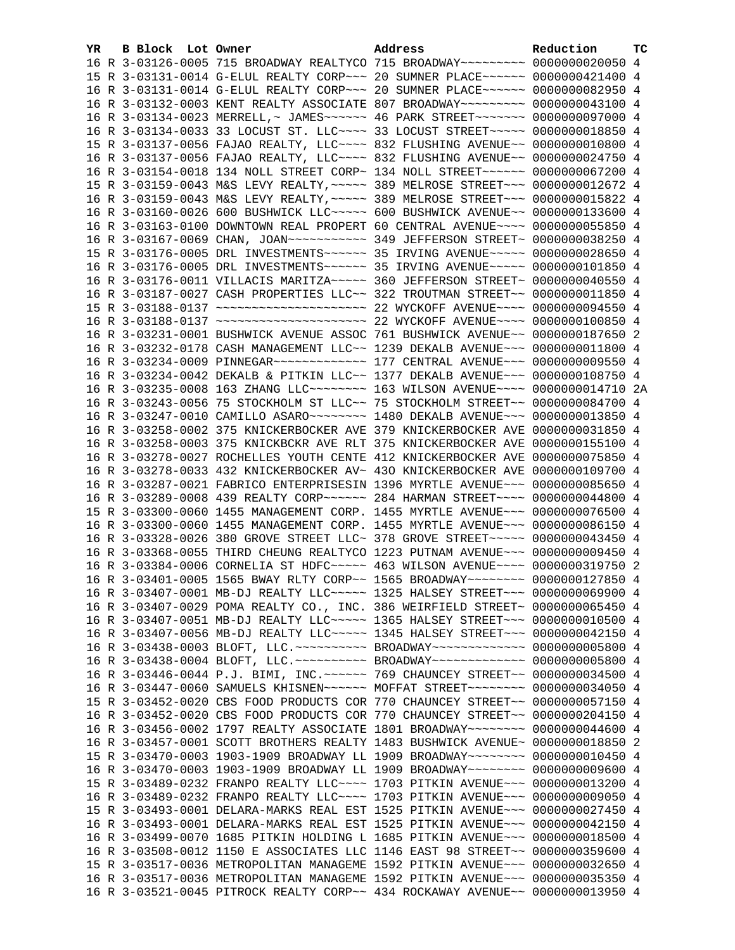| YR. | B Block Lot Owner | Address                                                                                                                                                          | Reduction | тc |
|-----|-------------------|------------------------------------------------------------------------------------------------------------------------------------------------------------------|-----------|----|
|     |                   | 16 R 3-03126-0005 715 BROADWAY REALTYCO 715 BROADWAY~~~~~~~~~ 0000000020050 4                                                                                    |           |    |
|     |                   | 15 R 3-03131-0014 G-ELUL REALTY CORP~~~ 20 SUMNER PLACE~~~~~~ 0000000421400 4                                                                                    |           |    |
|     |                   | 16 R 3-03131-0014 G-ELUL REALTY CORP~~~ 20 SUMNER PLACE~~~~~~ 0000000082950 4                                                                                    |           |    |
|     |                   | 16 R 3-03132-0003 KENT REALTY ASSOCIATE 807 BROADWAY~~~~~~~~~ 0000000043100 4                                                                                    |           |    |
|     |                   | 16 R 3-03134-0023 MERRELL,~ JAMES~~~~~~ 46 PARK STREET~~~~~~~ 0000000097000 4                                                                                    |           |    |
|     |                   | 16 R 3-03134-0033 33 LOCUST ST. LLC --- 33 LOCUST STREET ---- 0000000018850 4                                                                                    |           |    |
|     |                   | 15 R 3-03137-0056 FAJAO REALTY, LLC~~~~ 832 FLUSHING AVENUE~~ 0000000010800 4                                                                                    |           |    |
|     |                   | 16 R 3-03137-0056 FAJAO REALTY, LLC~~~~ 832 FLUSHING AVENUE~~ 0000000024750 4                                                                                    |           |    |
|     |                   | 16 R 3-03154-0018 134 NOLL STREET CORP~ 134 NOLL STREET~~~~~~ 0000000067200 4                                                                                    |           |    |
|     |                   | 15 R 3-03159-0043 M&S LEVY REALTY, ~~~~~ 389 MELROSE STREET~~~ 0000000012672 4                                                                                   |           |    |
|     |                   | 16 R 3-03159-0043 M&S LEVY REALTY, ~~~~~ 389 MELROSE STREET~~~ 0000000015822 4                                                                                   |           |    |
|     |                   | 16 R 3-03160-0026 600 BUSHWICK LLC ~~~~~ 600 BUSHWICK AVENUE ~~ 0000000133600 4                                                                                  |           |    |
|     |                   | 16 R 3-03163-0100 DOWNTOWN REAL PROPERT 60 CENTRAL AVENUE~~~~ 0000000055850 4                                                                                    |           |    |
|     |                   |                                                                                                                                                                  |           |    |
|     |                   | 15 R 3-03176-0005 DRL INVESTMENTS~~~~~~ 35 IRVING AVENUE~~~~~ 0000000028650 4                                                                                    |           |    |
|     |                   | 16 R 3-03176-0005 DRL INVESTMENTS~~~~~~ 35 IRVING AVENUE~~~~~ 0000000101850 4                                                                                    |           |    |
|     |                   | 16 R 3-03176-0011 VILLACIS MARITZA~~~~~ 360 JEFFERSON STREET~ 0000000040550 4                                                                                    |           |    |
|     |                   | 16 R 3-03187-0027 CASH PROPERTIES LLC~~ 322 TROUTMAN STREET~~ 0000000011850 4                                                                                    |           |    |
|     |                   | 15 R 3-03188-0137 ~~~~~~~~~~~~~~~~~~~~~~~~~~~~~~~~ 22 WYCKOFF AVENUE~~~~~ 0000000094550 4                                                                        |           |    |
|     |                   | 16 R 3-03188-0137 ~~~~~~~~~~~~~~~~~~~~~~~~~~~~~~~~ 22 WYCKOFF AVENUE~~~~~ 0000000100850 4                                                                        |           |    |
|     |                   | 16 R 3-03231-0001 BUSHWICK AVENUE ASSOC 761 BUSHWICK AVENUE~~ 0000000187650 2                                                                                    |           |    |
|     |                   | 16 R 3-03232-0178 CASH MANAGEMENT LLC~~ 1239 DEKALB AVENUE~~~ 0000000011800 4                                                                                    |           |    |
|     |                   | 16 R 3-03234-0009 PINNEGAR ------------- 177 CENTRAL AVENUE --- 0000000009550 4                                                                                  |           |    |
|     |                   | 16 R 3-03234-0042 DEKALB & PITKIN LLC~~ 1377 DEKALB AVENUE~~~ 0000000108750 4                                                                                    |           |    |
|     |                   | 16 R 3-03235-0008 163 ZHANG LLC -------- 163 WILSON AVENUE --- 0000000014710 2A<br>16 R 3-03243-0056 75 STOCKHOLM ST LLC~~ 75 STOCKHOLM STREET~~ 0000000084700 4 |           |    |
|     |                   | 16 R 3-03247-0010 CAMILLO ASARO~~~~~~~~~~~~~~ 1480 DEKALB AVENUE~~~ 0000000013850 4                                                                              |           |    |
|     |                   | 16 R 3-03258-0002 375 KNICKERBOCKER AVE 379 KNICKERBOCKER AVE 0000000031850 4                                                                                    |           |    |
|     |                   | 16 R 3-03258-0003 375 KNICKBCKR AVE RLT 375 KNICKERBOCKER AVE 0000000155100 4                                                                                    |           |    |
|     |                   | 16 R 3-03278-0027 ROCHELLES YOUTH CENTE 412 KNICKERBOCKER AVE 0000000075850 4                                                                                    |           |    |
|     |                   | 16 R 3-03278-0033 432 KNICKERBOCKER AV~ 430 KNICKERBOCKER AVE 0000000109700 4                                                                                    |           |    |
|     |                   | 16 R 3-03287-0021 FABRICO ENTERPRISESIN 1396 MYRTLE AVENUE~~~ 0000000085650 4                                                                                    |           |    |
|     |                   | 16 R 3-03289-0008 439 REALTY CORP~~~~~~ 284 HARMAN STREET~~~~ 0000000044800 4                                                                                    |           |    |
|     |                   | 15 R 3-03300-0060 1455 MANAGEMENT CORP. 1455 MYRTLE AVENUE~~~ 0000000076500 4                                                                                    |           |    |
|     |                   | 16 R 3-03300-0060 1455 MANAGEMENT CORP. 1455 MYRTLE AVENUE~~~ 0000000086150 4                                                                                    |           |    |
|     |                   | 16 R 3-03328-0026 380 GROVE STREET LLC~ 378 GROVE STREET~~~~~ 0000000043450 4                                                                                    |           |    |
|     |                   | 16 R 3-03368-0055 THIRD CHEUNG REALTYCO 1223 PUTNAM AVENUE~~~ 0000000009450 4                                                                                    |           |    |
|     |                   | 16 R 3-03384-0006 CORNELIA ST HDFC~~~~~ 463 WILSON AVENUE~~~~ 0000000319750 2                                                                                    |           |    |
|     |                   | 16 R 3-03401-0005 1565 BWAY RLTY CORP~~ 1565 BROADWAY~~~~~~~~ 0000000127850 4                                                                                    |           |    |
|     |                   | 16 R 3-03407-0001 MB-DJ REALTY LLC~~~~~ 1325 HALSEY STREET~~~ 0000000069900 4                                                                                    |           |    |
|     |                   | 16 R 3-03407-0029 POMA REALTY CO., INC. 386 WEIRFIELD STREET~ 0000000065450 4                                                                                    |           |    |
|     |                   | 16 R 3-03407-0051 MB-DJ REALTY LLC~~~~~ 1365 HALSEY STREET~~~ 0000000010500 4                                                                                    |           |    |
|     |                   | 16 R 3-03407-0056 MB-DJ REALTY LLC~~~~~ 1345 HALSEY STREET~~~ 0000000042150 4                                                                                    |           |    |
|     |                   | 16 R 3-03438-0003 BLOFT, LLC. ~~~~~~~~~~ BROADWAY~~~~~~~~~~~~ 0000000005800 4                                                                                    |           |    |
|     |                   | 16 R 3-03438-0004 BLOFT, LLC. ~~~~~~~~~~ BROADWAY~~~~~~~~~~~~ 0000000005800 4                                                                                    |           |    |
|     |                   | 16 R 3-03446-0044 P.J. BIMI, INC. ~~~~~~ 769 CHAUNCEY STREET~~ 0000000034500 4                                                                                   |           |    |
|     |                   | 16 R 3-03447-0060 SAMUELS KHISNEN~~~~~~ MOFFAT STREET~~~~~~~~ 0000000034050 4                                                                                    |           |    |
|     |                   | 15 R 3-03452-0020 CBS FOOD PRODUCTS COR 770 CHAUNCEY STREET~~ 0000000057150 4                                                                                    |           |    |
|     |                   | 16 R 3-03452-0020 CBS FOOD PRODUCTS COR 770 CHAUNCEY STREET~~ 0000000204150 4                                                                                    |           |    |
|     |                   | 16 R 3-03456-0002 1797 REALTY ASSOCIATE 1801 BROADWAY~~~~~~~~ 0000000044600 4<br>16 R 3-03457-0001 SCOTT BROTHERS REALTY 1483 BUSHWICK AVENUE~ 0000000018850 2   |           |    |
|     |                   | 15 R 3-03470-0003 1903-1909 BROADWAY LL 1909 BROADWAY~~~~~~~~ 0000000010450                                                                                      |           | 4  |
|     |                   | 16 R 3-03470-0003 1903-1909 BROADWAY LL 1909 BROADWAY~~~~~~~~ 0000000009600 4                                                                                    |           |    |
|     |                   | 15 R 3-03489-0232 FRANPO REALTY LLC --- 1703 PITKIN AVENUE -- 0000000013200 4                                                                                    |           |    |
|     |                   | 16 R 3-03489-0232 FRANPO REALTY LLC --- 1703 PITKIN AVENUE -- 00000000009050 4                                                                                   |           |    |
|     |                   | 15 R 3-03493-0001 DELARA-MARKS REAL EST 1525 PITKIN AVENUE~~~ 0000000027450 4                                                                                    |           |    |
|     |                   | 16 R 3-03493-0001 DELARA-MARKS REAL EST 1525 PITKIN AVENUE~~~ 0000000042150 4                                                                                    |           |    |
|     |                   | 16 R 3-03499-0070 1685 PITKIN HOLDING L 1685 PITKIN AVENUE~~~ 0000000018500 4                                                                                    |           |    |
|     |                   | 16 R 3-03508-0012 1150 E ASSOCIATES LLC 1146 EAST 98 STREET~~ 0000000359600 4                                                                                    |           |    |
|     |                   | 15 R 3-03517-0036 METROPOLITAN MANAGEME 1592 PITKIN AVENUE~~~ 0000000032650 4                                                                                    |           |    |
|     |                   | 16 R 3-03517-0036 METROPOLITAN MANAGEME 1592 PITKIN AVENUE~~~ 0000000035350 4                                                                                    |           |    |
|     |                   | 16 R 3-03521-0045 PITROCK REALTY CORP~~ 434 ROCKAWAY AVENUE~~ 0000000013950 4                                                                                    |           |    |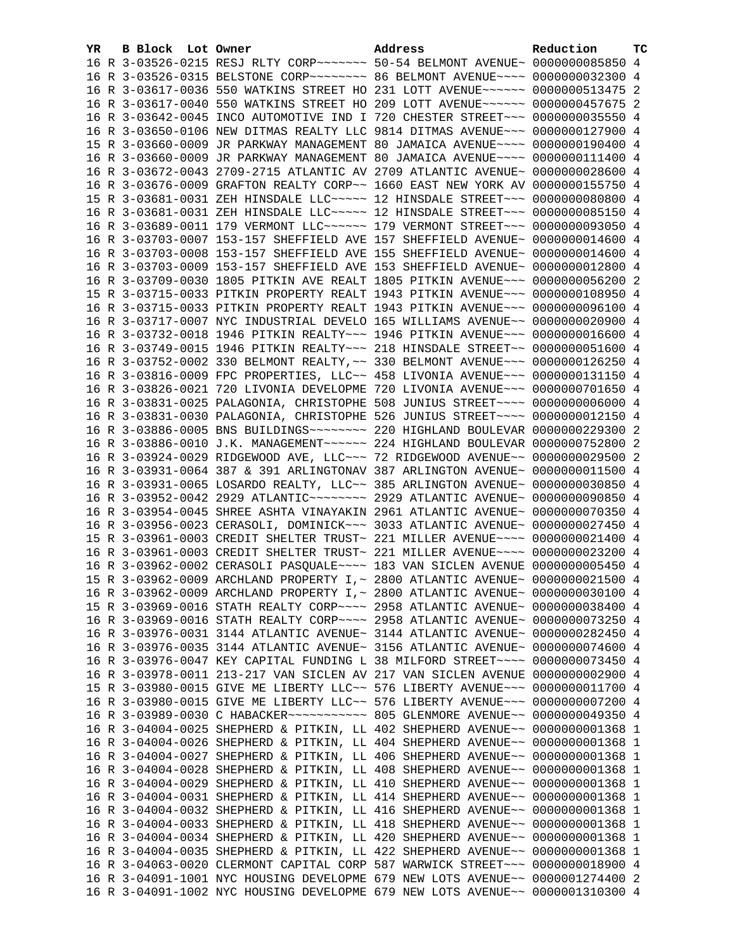| YR. | B Block Lot Owner |                                                                | Address                                                                         | Reduction       | тc |
|-----|-------------------|----------------------------------------------------------------|---------------------------------------------------------------------------------|-----------------|----|
|     |                   |                                                                | 16 R 3-03526-0215 RESJ RLTY CORP ~~~~~~~ 50-54 BELMONT AVENUE~ 0000000085850 4  |                 |    |
|     |                   |                                                                | 16 R 3-03526-0315 BELSTONE CORP~~~~~~~~ 86 BELMONT AVENUE~~~~ 0000000032300 4   |                 |    |
|     |                   |                                                                | 16 R 3-03617-0036 550 WATKINS STREET HO 231 LOTT AVENUE~~~~~~ 0000000513475 2   |                 |    |
|     |                   |                                                                | 16 R 3-03617-0040 550 WATKINS STREET HO 209 LOTT AVENUE~~~~~~ 0000000457675 2   |                 |    |
|     |                   |                                                                | 16 R 3-03642-0045 INCO AUTOMOTIVE IND I 720 CHESTER STREET~~~ 0000000035550 4   |                 |    |
|     |                   |                                                                | 16 R 3-03650-0106 NEW DITMAS REALTY LLC 9814 DITMAS AVENUE~~~ 0000000127900 4   |                 |    |
|     |                   |                                                                | 15 R 3-03660-0009 JR PARKWAY MANAGEMENT 80 JAMAICA AVENUE~~~~ 0000000190400 4   |                 |    |
|     |                   |                                                                | 16 R 3-03660-0009 JR PARKWAY MANAGEMENT 80 JAMAICA AVENUE~~~~ 0000000111400 4   |                 |    |
|     |                   |                                                                | 16 R 3-03672-0043 2709-2715 ATLANTIC AV 2709 ATLANTIC AVENUE~ 0000000028600 4   |                 |    |
|     |                   |                                                                | 16 R 3-03676-0009 GRAFTON REALTY CORP~~ 1660 EAST NEW YORK AV 0000000155750 4   |                 |    |
|     |                   |                                                                | 15 R 3-03681-0031 ZEH HINSDALE LLC~~~~~ 12 HINSDALE STREET~~~ 0000000080800 4   |                 |    |
|     |                   |                                                                | 16 R 3-03681-0031 ZEH HINSDALE LLC ~~~~~ 12 HINSDALE STREET ~~~ 0000000085150 4 |                 |    |
|     |                   |                                                                | 16 R 3-03689-0011 179 VERMONT LLC ----- 179 VERMONT STREET -- 0000000093050 4   |                 |    |
|     |                   |                                                                |                                                                                 |                 |    |
|     |                   |                                                                | 16 R 3-03703-0007 153-157 SHEFFIELD AVE 157 SHEFFIELD AVENUE~ 0000000014600 4   |                 |    |
|     |                   |                                                                | 16 R 3-03703-0008 153-157 SHEFFIELD AVE 155 SHEFFIELD AVENUE~ 0000000014600 4   |                 |    |
|     |                   |                                                                | 16 R 3-03703-0009 153-157 SHEFFIELD AVE 153 SHEFFIELD AVENUE~ 0000000012800 4   |                 |    |
|     |                   |                                                                | 16 R 3-03709-0030 1805 PITKIN AVE REALT 1805 PITKIN AVENUE~~~ 0000000056200 2   |                 |    |
|     |                   |                                                                | 15 R 3-03715-0033 PITKIN PROPERTY REALT 1943 PITKIN AVENUE~~~ 0000000108950 4   |                 |    |
|     |                   |                                                                | 16 R 3-03715-0033 PITKIN PROPERTY REALT 1943 PITKIN AVENUE~~~ 0000000096100 4   |                 |    |
|     |                   |                                                                | 16 R 3-03717-0007 NYC INDUSTRIAL DEVELO 165 WILLIAMS AVENUE~~ 0000000020900 4   |                 |    |
|     |                   |                                                                | 16 R 3-03732-0018 1946 PITKIN REALTY~~~ 1946 PITKIN AVENUE~~~ 0000000016600 4   |                 |    |
|     |                   |                                                                | 16 R 3-03749-0015 1946 PITKIN REALTY~~~ 218 HINSDALE STREET~~ 0000000051600 4   |                 |    |
|     |                   |                                                                | 16 R 3-03752-0002 330 BELMONT REALTY, ~~ 330 BELMONT AVENUE~~~ 0000000126250 4  |                 |    |
|     |                   |                                                                | 16 R 3-03816-0009 FPC PROPERTIES, LLC~~ 458 LIVONIA AVENUE~~~ 0000000131150 4   |                 |    |
|     |                   |                                                                | 16 R 3-03826-0021 720 LIVONIA DEVELOPME 720 LIVONIA AVENUE~~~ 0000000701650 4   |                 |    |
|     |                   |                                                                | 16 R 3-03831-0025 PALAGONIA, CHRISTOPHE 508 JUNIUS STREET~~~~ 00000000006000 4  |                 |    |
|     |                   |                                                                | 16 R 3-03831-0030 PALAGONIA, CHRISTOPHE 526 JUNIUS STREET~~~~ 0000000012150 4   |                 |    |
|     |                   |                                                                |                                                                                 |                 |    |
|     |                   |                                                                | 16 R 3-03886-0010 J.K. MANAGEMENT~~~~~~ 224 HIGHLAND BOULEVAR 0000000752800 2   |                 |    |
|     |                   |                                                                | 16 R 3-03924-0029 RIDGEWOOD AVE, LLC~~~ 72 RIDGEWOOD AVENUE~~ 0000000029500 2   |                 |    |
|     |                   |                                                                | 16 R 3-03931-0064 387 & 391 ARLINGTONAV 387 ARLINGTON AVENUE~ 0000000011500 4   |                 |    |
|     |                   |                                                                | 16 R 3-03931-0065 LOSARDO REALTY, LLC~~ 385 ARLINGTON AVENUE~ 0000000030850 4   |                 |    |
|     |                   |                                                                |                                                                                 |                 |    |
|     |                   |                                                                | 16 R 3-03954-0045 SHREE ASHTA VINAYAKIN 2961 ATLANTIC AVENUE~ 0000000070350 4   |                 |    |
|     |                   |                                                                | 16 R 3-03956-0023 CERASOLI, DOMINICK~~~ 3033 ATLANTIC AVENUE~ 0000000027450 4   |                 |    |
|     |                   |                                                                | 15 R 3-03961-0003 CREDIT SHELTER TRUST~ 221 MILLER AVENUE~~~~ 0000000021400 4   |                 |    |
|     |                   |                                                                | 16 R 3-03961-0003 CREDIT SHELTER TRUST~ 221 MILLER AVENUE~~~~ 0000000023200 4   |                 |    |
|     |                   |                                                                | 16 R 3-03962-0002 CERASOLI PASQUALE~~~~ 183 VAN SICLEN AVENUE 0000000005450 4   |                 |    |
|     |                   |                                                                | 15 R 3-03962-0009 ARCHLAND PROPERTY I, ~ 2800 ATLANTIC AVENUE~ 0000000021500 4  |                 |    |
|     |                   |                                                                | 16 R 3-03962-0009 ARCHLAND PROPERTY I, ~ 2800 ATLANTIC AVENUE~ 0000000030100 4  |                 |    |
|     |                   |                                                                | 15 R 3-03969-0016 STATH REALTY CORP~~~~ 2958 ATLANTIC AVENUE~ 0000000038400 4   |                 |    |
|     |                   |                                                                | 16 R 3-03969-0016 STATH REALTY CORP~~~~ 2958 ATLANTIC AVENUE~ 0000000073250 4   |                 |    |
|     |                   |                                                                | 16 R 3-03976-0031 3144 ATLANTIC AVENUE~ 3144 ATLANTIC AVENUE~ 0000000282450 4   |                 |    |
|     |                   |                                                                | 16 R 3-03976-0035 3144 ATLANTIC AVENUE~ 3156 ATLANTIC AVENUE~ 0000000074600 4   |                 |    |
|     |                   |                                                                | 16 R 3-03976-0047 KEY CAPITAL FUNDING L 38 MILFORD STREET~~~~ 0000000073450 4   |                 |    |
|     |                   | 16 R 3-03978-0011 213-217 VAN SICLEN AV 217 VAN SICLEN AVENUE  |                                                                                 | 0000000002900 4 |    |
|     |                   |                                                                | 15 R 3-03980-0015 GIVE ME LIBERTY LLC~~ 576 LIBERTY AVENUE~~~                   | 0000000011700 4 |    |
|     |                   |                                                                | 16 R 3-03980-0015 GIVE ME LIBERTY LLC~~ 576 LIBERTY AVENUE~~~                   | 0000000007200 4 |    |
|     |                   | 16 R 3-03989-0030 C HABACKER~~~~~~~~~~~~ 805 GLENMORE AVENUE~~ |                                                                                 | 0000000049350 4 |    |
|     |                   | 16 R 3-04004-0025 SHEPHERD & PITKIN, LL 402 SHEPHERD AVENUE~~  |                                                                                 | 0000000001368 1 |    |
|     |                   | 16 R 3-04004-0026 SHEPHERD & PITKIN, LL 404 SHEPHERD AVENUE~~  |                                                                                 | 0000000001368 1 |    |
|     |                   |                                                                | 16 R 3-04004-0027 SHEPHERD & PITKIN, LL 406 SHEPHERD AVENUE~~ 0000000001368 1   |                 |    |
|     |                   |                                                                | 16 R 3-04004-0028 SHEPHERD & PITKIN, LL 408 SHEPHERD AVENUE~~ 00000000001368 1  |                 |    |
|     |                   |                                                                | 16 R 3-04004-0029 SHEPHERD & PITKIN, LL 410 SHEPHERD AVENUE~~ 0000000001368 1   |                 |    |
|     |                   |                                                                | 16 R 3-04004-0031 SHEPHERD & PITKIN, LL 414 SHEPHERD AVENUE~~ 00000000001368 1  |                 |    |
|     |                   |                                                                | 16 R 3-04004-0032 SHEPHERD & PITKIN, LL 416 SHEPHERD AVENUE~~ 0000000001368 1   |                 |    |
|     |                   |                                                                | 16 R 3-04004-0033 SHEPHERD & PITKIN, LL 418 SHEPHERD AVENUE~~ 00000000001368 1  |                 |    |
|     |                   |                                                                | 16 R 3-04004-0034 SHEPHERD & PITKIN, LL 420 SHEPHERD AVENUE~~ 00000000001368 1  |                 |    |
|     |                   |                                                                | 16 R 3-04004-0035 SHEPHERD & PITKIN, LL 422 SHEPHERD AVENUE~~ 00000000001368 1  |                 |    |
|     |                   |                                                                | 16 R 3-04063-0020 CLERMONT CAPITAL CORP 587 WARWICK STREET~~~ 0000000018900 4   |                 |    |
|     |                   |                                                                | 16 R 3-04091-1001 NYC HOUSING DEVELOPME 679 NEW LOTS AVENUE~~ 0000001274400 2   |                 |    |
|     |                   |                                                                | 16 R 3-04091-1002 NYC HOUSING DEVELOPME 679 NEW LOTS AVENUE~~ 0000001310300 4   |                 |    |
|     |                   |                                                                |                                                                                 |                 |    |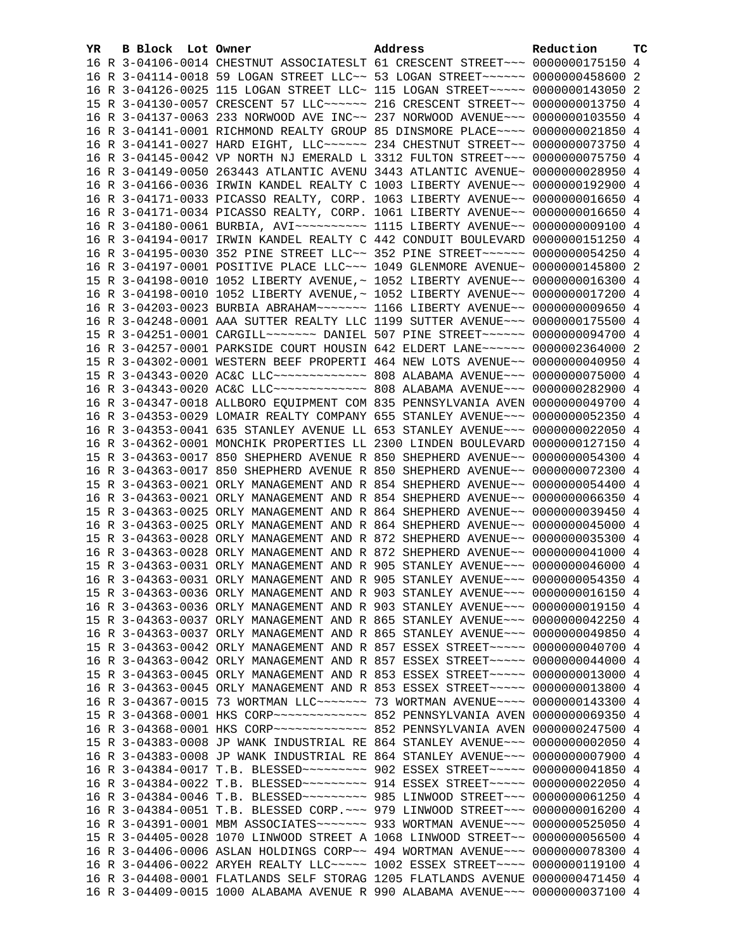| YR. | B Block Lot Owner |                                                                     | Address                                                                             | Reduction       | тc |
|-----|-------------------|---------------------------------------------------------------------|-------------------------------------------------------------------------------------|-----------------|----|
|     |                   |                                                                     | 16 R 3-04106-0014 CHESTNUT ASSOCIATESLT 61 CRESCENT STREET~~~ 0000000175150 4       |                 |    |
|     |                   |                                                                     | 16 R 3-04114-0018 59 LOGAN STREET LLC~~ 53 LOGAN STREET~~~~~~ 0000000458600 2       |                 |    |
|     |                   |                                                                     | 16 R 3-04126-0025 115 LOGAN STREET LLC~ 115 LOGAN STREET~~~~~ 0000000143050 2       |                 |    |
|     |                   |                                                                     | 15 R 3-04130-0057 CRESCENT 57 LLC ~~~~~~ 216 CRESCENT STREET ~~ 0000000013750 4     |                 |    |
|     |                   |                                                                     | 16 R 3-04137-0063 233 NORWOOD AVE INC~~ 237 NORWOOD AVENUE~~~ 0000000103550 4       |                 |    |
|     |                   |                                                                     | 16 R 3-04141-0001 RICHMOND REALTY GROUP 85 DINSMORE PLACE~~~~ 0000000021850 4       |                 |    |
|     |                   |                                                                     | 16 R 3-04141-0027 HARD EIGHT, LLC~~~~~~ 234 CHESTNUT STREET~~ 0000000073750 4       |                 |    |
|     |                   |                                                                     | 16 R 3-04145-0042 VP NORTH NJ EMERALD L 3312 FULTON STREET~~~ 0000000075750 4       |                 |    |
|     |                   |                                                                     | 16 R 3-04149-0050 263443 ATLANTIC AVENU 3443 ATLANTIC AVENUE~ 0000000028950 4       |                 |    |
|     |                   |                                                                     | 16 R 3-04166-0036 IRWIN KANDEL REALTY C 1003 LIBERTY AVENUE~~ 0000000192900 4       |                 |    |
|     |                   |                                                                     | 16 R 3-04171-0033 PICASSO REALTY, CORP. 1063 LIBERTY AVENUE~~ 0000000016650 4       |                 |    |
|     |                   |                                                                     | 16 R 3-04171-0034 PICASSO REALTY, CORP. 1061 LIBERTY AVENUE~~ 0000000016650 4       |                 |    |
|     |                   |                                                                     | 16 R 3-04180-0061 BURBIA, AVI~~~~~~~~~~~~~~~ 1115 LIBERTY AVENUE~~ 00000000009100 4 |                 |    |
|     |                   |                                                                     | 16 R 3-04194-0017 IRWIN KANDEL REALTY C 442 CONDUIT BOULEVARD 0000000151250 4       |                 |    |
|     |                   |                                                                     | 16 R 3-04195-0030 352 PINE STREET LLC~~ 352 PINE STREET~~~~~~ 0000000054250 4       |                 |    |
|     |                   |                                                                     | 16 R 3-04197-0001 POSITIVE PLACE LLC~~~ 1049 GLENMORE AVENUE~ 0000000145800 2       |                 |    |
|     |                   |                                                                     | 15 R 3-04198-0010 1052 LIBERTY AVENUE, ~ 1052 LIBERTY AVENUE~~ 0000000016300 4      |                 |    |
|     |                   |                                                                     | 16 R 3-04198-0010 1052 LIBERTY AVENUE, ~ 1052 LIBERTY AVENUE~~ 0000000017200 4      |                 |    |
|     |                   |                                                                     | 16 R 3-04203-0023 BURBIA ABRAHAM~~~~~~~ 1166 LIBERTY AVENUE~~ 0000000009650 4       |                 |    |
|     |                   |                                                                     | 16 R 3-04248-0001 AAA SUTTER REALTY LLC 1199 SUTTER AVENUE~~~ 0000000175500 4       |                 |    |
|     |                   |                                                                     | 15 R 3-04251-0001 CARGILL~~~~~~~ DANIEL 507 PINE STREET~~~~~~ 0000000094700 4       |                 |    |
|     |                   |                                                                     | 16 R 3-04257-0001 PARKSIDE COURT HOUSIN 642 ELDERT LANE ~~~~~~ 0000002364000 2      |                 |    |
|     |                   |                                                                     | 15 R 3-04302-0001 WESTERN BEEF PROPERTI 464 NEW LOTS AVENUE~~ 0000000040950 4       |                 |    |
|     |                   |                                                                     | 15 R 3-04343-0020 AC&C LLC ------------- 808 ALABAMA AVENUE --- 0000000075000 4     |                 |    |
|     |                   |                                                                     | 16 R 3-04343-0020 AC&C LLC ------------- 808 ALABAMA AVENUE--- 0000000282900 4      |                 |    |
|     |                   |                                                                     | 16 R 3-04347-0018 ALLBORO EQUIPMENT COM 835 PENNSYLVANIA AVEN 0000000049700 4       |                 |    |
|     |                   |                                                                     | 16 R 3-04353-0029 LOMAIR REALTY COMPANY 655 STANLEY AVENUE~~~ 0000000052350 4       |                 |    |
|     |                   |                                                                     | 16 R 3-04353-0041 635 STANLEY AVENUE LL 653 STANLEY AVENUE~~~ 0000000022050 4       |                 |    |
|     |                   |                                                                     | 16 R 3-04362-0001 MONCHIK PROPERTIES LL 2300 LINDEN BOULEVARD 0000000127150 4       |                 |    |
|     |                   |                                                                     | 15 R 3-04363-0017 850 SHEPHERD AVENUE R 850 SHEPHERD AVENUE~~ 0000000054300 4       |                 |    |
|     |                   |                                                                     | 16 R 3-04363-0017 850 SHEPHERD AVENUE R 850 SHEPHERD AVENUE~~ 0000000072300 4       |                 |    |
|     |                   |                                                                     | 15 R 3-04363-0021 ORLY MANAGEMENT AND R 854 SHEPHERD AVENUE~~ 0000000054400 4       |                 |    |
|     |                   |                                                                     | 16 R 3-04363-0021 ORLY MANAGEMENT AND R 854 SHEPHERD AVENUE~~ 0000000066350 4       |                 |    |
|     |                   |                                                                     | 15 R 3-04363-0025 ORLY MANAGEMENT AND R 864 SHEPHERD AVENUE~~ 0000000039450 4       |                 |    |
|     |                   |                                                                     | 16 R 3-04363-0025 ORLY MANAGEMENT AND R 864 SHEPHERD AVENUE~~ 0000000045000 4       |                 |    |
|     |                   |                                                                     | 15 R 3-04363-0028 ORLY MANAGEMENT AND R 872 SHEPHERD AVENUE~~ 0000000035300 4       |                 |    |
|     |                   |                                                                     | 16 R 3-04363-0028 ORLY MANAGEMENT AND R 872 SHEPHERD AVENUE~~ 0000000041000 4       |                 |    |
|     |                   |                                                                     | 15 R 3-04363-0031 ORLY MANAGEMENT AND R 905 STANLEY AVENUE~~~ 0000000046000 4       |                 |    |
|     |                   |                                                                     | 16 R 3-04363-0031 ORLY MANAGEMENT AND R 905 STANLEY AVENUE~~~ 0000000054350 4       |                 |    |
|     |                   |                                                                     | 15 R 3-04363-0036 ORLY MANAGEMENT AND R 903 STANLEY AVENUE~~~ 0000000016150 4       |                 |    |
|     |                   |                                                                     | 16 R 3-04363-0036 ORLY MANAGEMENT AND R 903 STANLEY AVENUE~~~ 0000000019150 4       |                 |    |
|     |                   |                                                                     | 15 R 3-04363-0037 ORLY MANAGEMENT AND R 865 STANLEY AVENUE~~~ 0000000042250 4       |                 |    |
|     |                   |                                                                     | 16 R 3-04363-0037 ORLY MANAGEMENT AND R 865 STANLEY AVENUE~~~ 0000000049850 4       |                 |    |
|     |                   |                                                                     | 15 R 3-04363-0042 ORLY MANAGEMENT AND R 857 ESSEX STREET~~~~~ 0000000040700         |                 | 4  |
|     |                   |                                                                     | 16 R 3-04363-0042 ORLY MANAGEMENT AND R 857 ESSEX STREET~~~~~ 0000000044000 4       |                 |    |
|     |                   |                                                                     | 15 R 3-04363-0045 ORLY MANAGEMENT AND R 853 ESSEX STREET~~~~~ 0000000013000         |                 | 4  |
|     |                   |                                                                     | 16 R 3-04363-0045 ORLY MANAGEMENT AND R 853 ESSEX STREET~~~~~ 0000000013800         |                 | 4  |
|     |                   |                                                                     | 16 R 3-04367-0015 73 WORTMAN LLC~~~~~~~ 73 WORTMAN AVENUE~~~~ 0000000143300 4       |                 |    |
|     |                   | 15 R 3-04368-0001 HKS CORP~~~~~~~~~~~~~~~~~~~ 852 PENNSYLVANIA AVEN |                                                                                     | 0000000069350   | 4  |
|     |                   |                                                                     | 16 R 3-04368-0001 HKS CORP~~~~~~~~~~~~~ 852 PENNSYLVANIA AVEN                       | 0000000247500 4 |    |
|     |                   |                                                                     | 15 R 3-04383-0008 JP WANK INDUSTRIAL RE 864 STANLEY AVENUE~~~                       | 0000000002050 4 |    |
|     |                   |                                                                     | 16 R 3-04383-0008 JP WANK INDUSTRIAL RE 864 STANLEY AVENUE~~~                       | 0000000007900 4 |    |
|     |                   |                                                                     | 16 R 3-04384-0017 T.B. BLESSED~~~~~~~~~~ 902 ESSEX STREET~~~~~ 0000000041850        |                 | 4  |
|     |                   |                                                                     | 16 R 3-04384-0022 T.B. BLESSED ~~~~~~~~~ 914 ESSEX STREET ~~~~~ 0000000022050 4     |                 |    |
|     |                   |                                                                     | 16 R 3-04384-0046 T.B. BLESSED~~~~~~~~~~ 985 LINWOOD STREET~~~ 0000000061250        |                 | 4  |
|     |                   |                                                                     | 16 R 3-04384-0051 T.B. BLESSED CORP. ~~~ 979 LINWOOD STREET~~~ 0000000016200 4      |                 |    |
|     |                   |                                                                     | 16 R 3-04391-0001 MBM ASSOCIATES~~~~~~~ 933 WORTMAN AVENUE~~~ 0000000525050         |                 | 4  |
|     |                   |                                                                     | 15 R 3-04405-0028 1070 LINWOOD STREET A 1068 LINWOOD STREET~~ 0000000056500         |                 | 4  |
|     |                   |                                                                     | 16 R 3-04406-0006 ASLAN HOLDINGS CORP~~ 494 WORTMAN AVENUE~~~ 0000000078300         |                 | 4  |
|     |                   |                                                                     | 16 R 3-04406-0022 ARYEH REALTY LLC ---- 1002 ESSEX STREET --- 0000000119100 4       |                 |    |
|     |                   |                                                                     | 16 R 3-04408-0001 FLATLANDS SELF STORAG 1205 FLATLANDS AVENUE 0000000471450 4       |                 |    |
|     |                   |                                                                     | 16 R 3-04409-0015 1000 ALABAMA AVENUE R 990 ALABAMA AVENUE~~~ 0000000037100 4       |                 |    |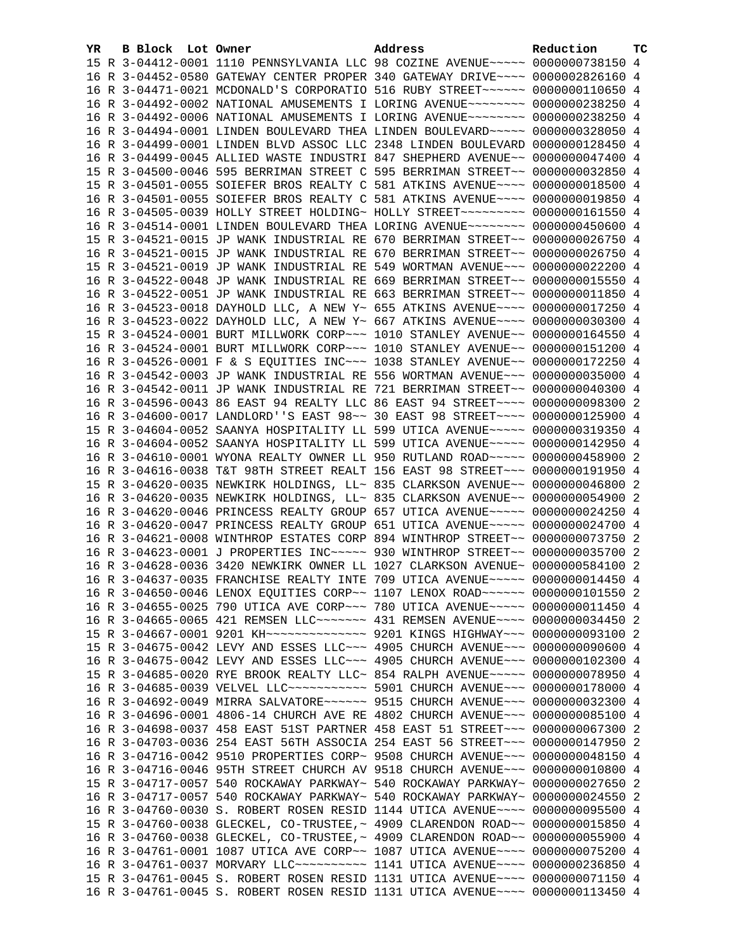| YR | B Block Lot Owner | Address                                                                                                                                                          | Reduction | тc |
|----|-------------------|------------------------------------------------------------------------------------------------------------------------------------------------------------------|-----------|----|
|    |                   | 15 R 3-04412-0001 1110 PENNSYLVANIA LLC 98 COZINE AVENUE~~~~~ 0000000738150 4                                                                                    |           |    |
|    |                   | 16 R 3-04452-0580 GATEWAY CENTER PROPER 340 GATEWAY DRIVE~~~~ 0000002826160 4                                                                                    |           |    |
|    |                   | 16 R 3-04471-0021 MCDONALD'S CORPORATIO 516 RUBY STREET~~~~~~ 0000000110650 4                                                                                    |           |    |
|    |                   | 16 R 3-04492-0002 NATIONAL AMUSEMENTS I LORING AVENUE~~~~~~~~ 0000000238250 4                                                                                    |           |    |
|    |                   | 16 R 3-04492-0006 NATIONAL AMUSEMENTS I LORING AVENUE~~~~~~~~ 0000000238250 4                                                                                    |           |    |
|    |                   | 16 R 3-04494-0001 LINDEN BOULEVARD THEA LINDEN BOULEVARD~~~~~ 0000000328050 4                                                                                    |           |    |
|    |                   | 16 R 3-04499-0001 LINDEN BLVD ASSOC LLC 2348 LINDEN BOULEVARD 0000000128450 4                                                                                    |           |    |
|    |                   | 16 R 3-04499-0045 ALLIED WASTE INDUSTRI 847 SHEPHERD AVENUE~~ 0000000047400 4                                                                                    |           |    |
|    |                   | 15 R 3-04500-0046 595 BERRIMAN STREET C 595 BERRIMAN STREET~~ 0000000032850 4                                                                                    |           |    |
|    |                   | 15 R 3-04501-0055 SOIEFER BROS REALTY C 581 ATKINS AVENUE~~~~ 0000000018500 4                                                                                    |           |    |
|    |                   | 16 R 3-04501-0055 SOIEFER BROS REALTY C 581 ATKINS AVENUE~~~~ 0000000019850 4                                                                                    |           |    |
|    |                   | 16 R 3-04505-0039 HOLLY STREET HOLDING~ HOLLY STREET~~~~~~~~~~ 0000000161550 4                                                                                   |           |    |
|    |                   | 16 R 3-04514-0001 LINDEN BOULEVARD THEA LORING AVENUE~~~~~~~~ 0000000450600 4                                                                                    |           |    |
|    |                   | 15 R 3-04521-0015 JP WANK INDUSTRIAL RE 670 BERRIMAN STREET~~ 0000000026750 4                                                                                    |           |    |
|    |                   | 16 R 3-04521-0015 JP WANK INDUSTRIAL RE 670 BERRIMAN STREET~~ 0000000026750 4                                                                                    |           |    |
|    |                   | 15 R 3-04521-0019 JP WANK INDUSTRIAL RE 549 WORTMAN AVENUE~~~ 0000000022200 4                                                                                    |           |    |
|    |                   | 16 R 3-04522-0048 JP WANK INDUSTRIAL RE 669 BERRIMAN STREET~~ 0000000015550 4                                                                                    |           |    |
|    |                   | 16 R 3-04522-0051 JP WANK INDUSTRIAL RE 663 BERRIMAN STREET~~ 0000000011850 4                                                                                    |           |    |
|    |                   | 16 R 3-04523-0018 DAYHOLD LLC, A NEW Y~ 655 ATKINS AVENUE~~~~ 0000000017250 4                                                                                    |           |    |
|    |                   | 16 R 3-04523-0022 DAYHOLD LLC, A NEW Y~ 667 ATKINS AVENUE~~~~ 0000000030300 4                                                                                    |           |    |
|    |                   | 15 R 3-04524-0001 BURT MILLWORK CORP~~~ 1010 STANLEY AVENUE~~ 0000000164550 4                                                                                    |           |    |
|    |                   | 16 R 3-04524-0001 BURT MILLWORK CORP~~~ 1010 STANLEY AVENUE~~ 0000000151200 4                                                                                    |           |    |
|    |                   | 16 R 3-04526-0001 F & S EQUITIES INC~~~ 1038 STANLEY AVENUE~~ 0000000172250 4                                                                                    |           |    |
|    |                   | 16 R 3-04542-0003 JP WANK INDUSTRIAL RE 556 WORTMAN AVENUE~~~ 0000000035000 4                                                                                    |           |    |
|    |                   | 16 R 3-04542-0011 JP WANK INDUSTRIAL RE 721 BERRIMAN STREET~~ 0000000040300 4                                                                                    |           |    |
|    |                   | 16 R 3-04596-0043 86 EAST 94 REALTY LLC 86 EAST 94 STREET~~~~ 0000000098300 2                                                                                    |           |    |
|    |                   | 16 R 3-04600-0017 LANDLORD''S EAST 98~~ 30 EAST 98 STREET~~~~ 0000000125900 4                                                                                    |           |    |
|    |                   | 15 R 3-04604-0052 SAANYA HOSPITALITY LL 599 UTICA AVENUE~~~~~ 0000000319350 4                                                                                    |           |    |
|    |                   | 16 R 3-04604-0052 SAANYA HOSPITALITY LL 599 UTICA AVENUE~~~~~ 0000000142950 4                                                                                    |           |    |
|    |                   | 16 R 3-04610-0001 WYONA REALTY OWNER LL 950 RUTLAND ROAD~~~~~ 0000000458900 2                                                                                    |           |    |
|    |                   | 16 R 3-04616-0038 T&T 98TH STREET REALT 156 EAST 98 STREET~~~ 0000000191950 4                                                                                    |           |    |
|    |                   | 15 R 3-04620-0035 NEWKIRK HOLDINGS, LL~ 835 CLARKSON AVENUE~~ 0000000046800 2                                                                                    |           |    |
|    |                   | 16 R 3-04620-0035 NEWKIRK HOLDINGS, LL~ 835 CLARKSON AVENUE~~ 0000000054900 2                                                                                    |           |    |
|    |                   | 16 R 3-04620-0046 PRINCESS REALTY GROUP 657 UTICA AVENUE~~~~~ 0000000024250 4                                                                                    |           |    |
|    |                   | 16 R 3-04620-0047 PRINCESS REALTY GROUP 651 UTICA AVENUE~~~~~ 0000000024700 4                                                                                    |           |    |
|    |                   | 16 R 3-04621-0008 WINTHROP ESTATES CORP 894 WINTHROP STREET~~ 0000000073750 2                                                                                    |           |    |
|    |                   | 16 R 3-04623-0001 J PROPERTIES INC ---- 930 WINTHROP STREET -~ 0000000035700 2                                                                                   |           |    |
|    |                   | 16 R 3-04628-0036 3420 NEWKIRK OWNER LL 1027 CLARKSON AVENUE~ 0000000584100 2                                                                                    |           |    |
|    |                   | 16 R 3-04637-0035 FRANCHISE REALTY INTE 709 UTICA AVENUE~~~~~ 0000000014450 4                                                                                    |           |    |
|    |                   | 16 R 3-04650-0046 LENOX EQUITIES CORP~~ 1107 LENOX ROAD~~~~~~ 0000000101550 2                                                                                    |           |    |
|    |                   | 16 R 3-04655-0025 790 UTICA AVE CORP~~~ 780 UTICA AVENUE~~~~~ 0000000011450 4                                                                                    |           |    |
|    |                   | 16 R 3-04665-0065 421 REMSEN LLC ------ 431 REMSEN AVENUE --- 0000000034450 2                                                                                    |           |    |
|    |                   | 15 R 3-04667-0001 9201 KH~~~~~~~~~~~~~~ 9201 KINGS HIGHWAY~~~ 0000000093100 2                                                                                    |           |    |
|    |                   | 15 R 3-04675-0042 LEVY AND ESSES LLC~~~ 4905 CHURCH AVENUE~~~ 0000000090600 4                                                                                    |           |    |
|    |                   |                                                                                                                                                                  |           |    |
|    |                   | 16 R 3-04675-0042 LEVY AND ESSES LLC~~~ 4905 CHURCH AVENUE~~~ 0000000102300 4                                                                                    |           |    |
|    |                   | 15 R 3-04685-0020 RYE BROOK REALTY LLC~ 854 RALPH AVENUE~~~~~ 0000000078950 4<br>16 R 3-04685-0039 VELVEL LLC ----------- 5901 CHURCH AVENUE --- 0000000178000 4 |           |    |
|    |                   |                                                                                                                                                                  |           |    |
|    |                   | 16 R 3-04692-0049 MIRRA SALVATORE~~~~~~ 9515 CHURCH AVENUE~~~ 0000000032300 4                                                                                    |           |    |
|    |                   | 16 R 3-04696-0001 4806-14 CHURCH AVE RE 4802 CHURCH AVENUE~~~ 0000000085100 4                                                                                    |           |    |
|    |                   | 16 R 3-04698-0037 458 EAST 51ST PARTNER 458 EAST 51 STREET~~~ 0000000067300 2                                                                                    |           |    |
|    |                   | 16 R 3-04703-0036 254 EAST 56TH ASSOCIA 254 EAST 56 STREET~~~ 0000000147950 2                                                                                    |           |    |
|    |                   | 16 R 3-04716-0042 9510 PROPERTIES CORP~ 9508 CHURCH AVENUE~~~ 0000000048150 4                                                                                    |           |    |
|    |                   | 16 R 3-04716-0046 95TH STREET CHURCH AV 9518 CHURCH AVENUE~~~ 0000000010800 4                                                                                    |           |    |
|    |                   | 15 R 3-04717-0057 540 ROCKAWAY PARKWAY~ 540 ROCKAWAY PARKWAY~ 0000000027650 2                                                                                    |           |    |
|    |                   | 16 R 3-04717-0057 540 ROCKAWAY PARKWAY~ 540 ROCKAWAY PARKWAY~ 0000000024550                                                                                      |           | -2 |
|    |                   | 16 R 3-04760-0030 S. ROBERT ROSEN RESID 1144 UTICA AVENUE~~~~ 0000000095500 4                                                                                    |           |    |
|    |                   | 15 R 3-04760-0038 GLECKEL, CO-TRUSTEE, ~ 4909 CLARENDON ROAD~~ 0000000015850 4                                                                                   |           |    |
|    |                   | 16 R 3-04760-0038 GLECKEL, CO-TRUSTEE, ~ 4909 CLARENDON ROAD~~ 0000000055900 4                                                                                   |           |    |
|    |                   | 16 R 3-04761-0001 1087 UTICA AVE CORP~~ 1087 UTICA AVENUE~~~~ 0000000075200 4                                                                                    |           |    |
|    |                   | 16 R 3-04761-0037 MORVARY LLC~~~~~~~~~~~~~~~ 1141 UTICA AVENUE~~~~~ 0000000236850 4                                                                              |           |    |
|    |                   | 15 R 3-04761-0045 S. ROBERT ROSEN RESID 1131 UTICA AVENUE~~~~ 0000000071150 4                                                                                    |           |    |
|    |                   | 16 R 3-04761-0045 S. ROBERT ROSEN RESID 1131 UTICA AVENUE~~~~ 0000000113450 4                                                                                    |           |    |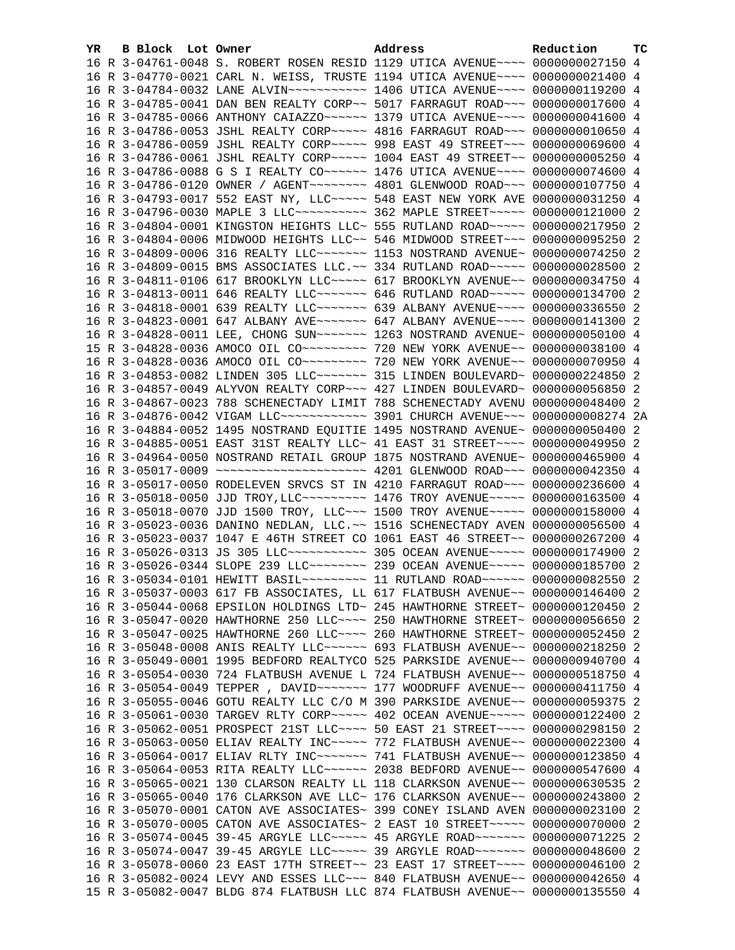| YR. | <b>B Block</b> Lot Owner | Address                                                                           | Reduction | TC |
|-----|--------------------------|-----------------------------------------------------------------------------------|-----------|----|
|     |                          | 16 R 3-04761-0048 S. ROBERT ROSEN RESID 1129 UTICA AVENUE~~~~ 0000000027150 4     |           |    |
|     |                          | 16 R 3-04770-0021 CARL N. WEISS, TRUSTE 1194 UTICA AVENUE~~~~ 0000000021400 4     |           |    |
|     |                          |                                                                                   |           |    |
|     |                          | 16 R 3-04785-0041 DAN BEN REALTY CORP~~ 5017 FARRAGUT ROAD~~~ 0000000017600 4     |           |    |
|     |                          | 16 R 3-04785-0066 ANTHONY CAIAZZO ~~~~~~ 1379 UTICA AVENUE ~~~~ 0000000041600 4   |           |    |
|     |                          | 16 R 3-04786-0053 JSHL REALTY CORP~~~~~ 4816 FARRAGUT ROAD~~~ 0000000010650 4     |           |    |
|     |                          | 16 R 3-04786-0059 JSHL REALTY CORP~~~~~ 998 EAST 49 STREET~~~ 0000000069600 4     |           |    |
|     |                          | 16 R 3-04786-0061 JSHL REALTY CORP~~~~~ 1004 EAST 49 STREET~~ 00000000005250 4    |           |    |
|     |                          | 16 R 3-04786-0088 G S I REALTY CO ----- 1476 UTICA AVENUE --- 0000000074600 4     |           |    |
|     |                          | 16 R 3-04786-0120 OWNER / AGENT~~~~~~~~ 4801 GLENWOOD ROAD~~~ 0000000107750 4     |           |    |
|     |                          | 16 R 3-04793-0017 552 EAST NY, LLC ~~~~~ 548 EAST NEW YORK AVE 0000000031250 4    |           |    |
|     |                          | 16 R 3-04796-0030 MAPLE 3 LLC~~~~~~~~~~ 362 MAPLE STREET~~~~~ 0000000121000 2     |           |    |
|     |                          | 16 R 3-04804-0001 KINGSTON HEIGHTS LLC~ 555 RUTLAND ROAD~~~~~ 0000000217950 2     |           |    |
|     |                          | 16 R 3-04804-0006 MIDWOOD HEIGHTS LLC~~ 546 MIDWOOD STREET~~~ 0000000095250 2     |           |    |
|     |                          | 16 R 3-04809-0006 316 REALTY LLC ------ 1153 NOSTRAND AVENUE ~ 0000000074250 2    |           |    |
|     |                          | 16 R 3-04809-0015 BMS ASSOCIATES LLC.~~ 334 RUTLAND ROAD~~~~~ 0000000028500 2     |           |    |
|     |                          | 16 R 3-04811-0106 617 BROOKLYN LLC ---- 617 BROOKLYN AVENUE -- 0000000034750 4    |           |    |
|     |                          | 16 R 3-04813-0011 646 REALTY LLC~~~~~~~ 646 RUTLAND ROAD~~~~~ 0000000134700 2     |           |    |
|     |                          | 16 R 3-04818-0001 639 REALTY LLC ------ 639 ALBANY AVENUE --- 0000000336550 2     |           |    |
|     |                          | 16 R 3-04823-0001 647 ALBANY AVE~~~~~~~ 647 ALBANY AVENUE~~~~ 0000000141300 2     |           |    |
|     |                          | 16 R 3-04828-0011 LEE, CHONG SUN~~~~~~~ 1263 NOSTRAND AVENUE~ 0000000050100 4     |           |    |
|     |                          |                                                                                   |           |    |
|     |                          |                                                                                   |           |    |
|     |                          | 16 R 3-04853-0082 LINDEN 305 LLC ------- 315 LINDEN BOULEVARD ~ 0000000224850 2   |           |    |
|     |                          | 16 R 3-04857-0049 ALYVON REALTY CORP~~~ 427 LINDEN BOULEVARD~ 0000000056850 2     |           |    |
|     |                          | 16 R 3-04867-0023 788 SCHENECTADY LIMIT 788 SCHENECTADY AVENU 0000000048400 2     |           |    |
|     |                          | 16 R 3-04876-0042 VIGAM LLC ------------- 3901 CHURCH AVENUE --- 0000000008274 2A |           |    |
|     |                          | 16 R 3-04884-0052 1495 NOSTRAND EQUITIE 1495 NOSTRAND AVENUE~ 0000000050400 2     |           |    |
|     |                          | 16 R 3-04885-0051 EAST 31ST REALTY LLC~ 41 EAST 31 STREET~~~~ 0000000049950 2     |           |    |
|     |                          | 16 R 3-04964-0050 NOSTRAND RETAIL GROUP 1875 NOSTRAND AVENUE~ 0000000465900 4     |           |    |
|     |                          | 16 R 3-05017-0009 ~~~~~~~~~~~~~~~~~~~~~~~ 4201 GLENWOOD ROAD~~~ 0000000042350 4   |           |    |
|     |                          | 16 R 3-05017-0050 RODELEVEN SRVCS ST IN 4210 FARRAGUT ROAD~~~ 0000000236600 4     |           |    |
|     |                          | 16 R 3-05018-0050 JJD TROY, LLC --------- 1476 TROY AVENUE ---- 0000000163500 4   |           |    |
|     |                          | 16 R 3-05018-0070 JJD 1500 TROY, LLC~~~ 1500 TROY AVENUE~~~~~ 0000000158000 4     |           |    |
|     |                          | 16 R 3-05023-0036 DANINO NEDLAN, LLC. ~~ 1516 SCHENECTADY AVEN 0000000056500 4    |           |    |
|     |                          | 16 R 3-05023-0037 1047 E 46TH STREET CO 1061 EAST 46 STREET~~ 0000000267200 4     |           |    |
|     |                          | 16 R 3-05026-0313 JS 305 LLC ----------- 305 OCEAN AVENUE ---- 0000000174900 2    |           |    |
|     |                          | 16 R 3-05026-0344 SLOPE 239 LLC ------- 239 OCEAN AVENUE ---- 0000000185700 2     |           |    |
|     |                          | 16 R 3-05034-0101 HEWITT BASIL~~~~~~~~~ 11 RUTLAND ROAD~~~~~~ 0000000082550 2     |           |    |
|     |                          | 16 R 3-05037-0003 617 FB ASSOCIATES, LL 617 FLATBUSH AVENUE~~ 0000000146400 2     |           |    |
|     |                          | 16 R 3-05044-0068 EPSILON HOLDINGS LTD~ 245 HAWTHORNE STREET~ 0000000120450 2     |           |    |
|     |                          | 16 R 3-05047-0020 HAWTHORNE 250 LLC ~~~~ 250 HAWTHORNE STREET~ 0000000056650 2    |           |    |
|     |                          | 16 R 3-05047-0025 HAWTHORNE 260 LLC~~~~ 260 HAWTHORNE STREET~ 0000000052450       |           | 2  |
|     |                          | 16 R 3-05048-0008 ANIS REALTY LLC ----- 693 FLATBUSH AVENUE -- 0000000218250      |           | 2  |
|     |                          | 16 R 3-05049-0001 1995 BEDFORD REALTYCO 525 PARKSIDE AVENUE~~ 0000000940700 4     |           |    |
|     |                          | 16 R 3-05054-0030 724 FLATBUSH AVENUE L 724 FLATBUSH AVENUE~~ 0000000518750 4     |           |    |
|     |                          | 16 R 3-05054-0049 TEPPER, DAVID~~~~~~~ 177 WOODRUFF AVENUE~~ 0000000411750 4      |           |    |
|     |                          | 16 R 3-05055-0046 GOTU REALTY LLC C/O M 390 PARKSIDE AVENUE~~ 0000000059375       |           | -2 |
|     |                          | 16 R 3-05061-0030 TARGEV RLTY CORP~~~~~ 402 OCEAN AVENUE~~~~~ 0000000122400       |           | -2 |
|     |                          | 16 R 3-05062-0051 PROSPECT 21ST LLC --- 50 EAST 21 STREET --- 0000000298150 2     |           |    |
|     |                          | 16 R 3-05063-0050 ELIAV REALTY INC~~~~~ 772 FLATBUSH AVENUE~~ 0000000022300 4     |           |    |
|     |                          | 16 R 3-05064-0017 ELIAV RLTY INC~~~~~~~ 741 FLATBUSH AVENUE~~ 0000000123850 4     |           |    |
|     |                          | 16 R 3-05064-0053 RITA REALTY LLC ----- 2038 BEDFORD AVENUE -- 0000000547600      |           | 4  |
|     |                          | 16 R 3-05065-0021 130 CLARSON REALTY LL 118 CLARKSON AVENUE~~ 0000000630535       |           | -2 |
|     |                          | 16 R 3-05065-0040 176 CLARKSON AVE LLC~ 176 CLARKSON AVENUE~~ 0000000243800       |           | -2 |
|     |                          | 16 R 3-05070-0001 CATON AVE ASSOCIATES~ 399 CONEY ISLAND AVEN 0000000023100       |           | 2  |
|     |                          | 16 R 3-05070-0005 CATON AVE ASSOCIATES~ 2 EAST 10 STREET~~~~~~ 0000000070000      |           | -2 |
|     |                          | 16 R 3-05074-0045 39-45 ARGYLE LLC ---- 45 ARGYLE ROAD ------ 0000000071225       |           | -2 |
|     |                          | 16 R 3-05074-0047 39-45 ARGYLE LLC~~~~~ 39 ARGYLE ROAD~~~~~~~ 0000000048600 2     |           |    |
|     |                          | 16 R 3-05078-0060 23 EAST 17TH STREET~~ 23 EAST 17 STREET~~~~ 0000000046100 2     |           |    |
|     |                          | 16 R 3-05082-0024 LEVY AND ESSES LLC~~~ 840 FLATBUSH AVENUE~~ 0000000042650 4     |           |    |
|     |                          | 15 R 3-05082-0047 BLDG 874 FLATBUSH LLC 874 FLATBUSH AVENUE~~ 0000000135550 4     |           |    |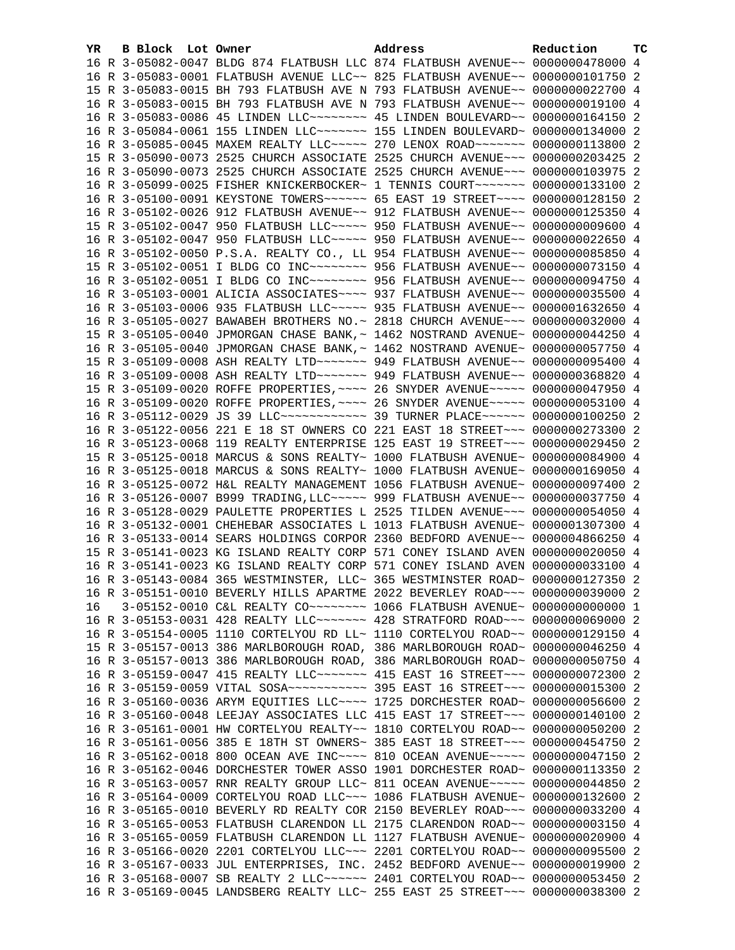| YR. | B Block Lot Owner | Address                                                                                                                                                        | Reduction     | <b>TC</b> |
|-----|-------------------|----------------------------------------------------------------------------------------------------------------------------------------------------------------|---------------|-----------|
|     |                   | 16 R 3-05082-0047 BLDG 874 FLATBUSH LLC 874 FLATBUSH AVENUE~~ 0000000478000 4                                                                                  |               |           |
|     |                   | 16 R 3-05083-0001 FLATBUSH AVENUE LLC~~ 825 FLATBUSH AVENUE~~ 0000000101750 2                                                                                  |               |           |
|     |                   | 15 R 3-05083-0015 BH 793 FLATBUSH AVE N 793 FLATBUSH AVENUE~~ 0000000022700 4                                                                                  |               |           |
|     |                   | 16 R 3-05083-0015 BH 793 FLATBUSH AVE N 793 FLATBUSH AVENUE~~ 0000000019100 4                                                                                  |               |           |
|     |                   | 16 R 3-05083-0086 45 LINDEN LLC~~~~~~~~ 45 LINDEN BOULEVARD~~ 0000000164150 2                                                                                  |               |           |
|     |                   | 16 R 3-05084-0061 155 LINDEN LLC~~~~~~~ 155 LINDEN BOULEVARD~ 0000000134000 2                                                                                  |               |           |
|     |                   | 16 R 3-05085-0045 MAXEM REALTY LLC ---- 270 LENOX ROAD ------ 0000000113800 2                                                                                  |               |           |
|     |                   | 15 R 3-05090-0073 2525 CHURCH ASSOCIATE 2525 CHURCH AVENUE~~~ 0000000203425 2                                                                                  |               |           |
|     |                   | 16 R 3-05090-0073 2525 CHURCH ASSOCIATE 2525 CHURCH AVENUE~~~ 0000000103975 2                                                                                  |               |           |
|     |                   | 16 R 3-05099-0025 FISHER KNICKERBOCKER~ 1 TENNIS COURT~~~~~~~ 0000000133100 2                                                                                  |               |           |
|     |                   | 16 R 3-05100-0091 KEYSTONE TOWERS~~~~~~ 65 EAST 19 STREET~~~~ 0000000128150 2                                                                                  |               |           |
|     |                   | 16 R 3-05102-0026 912 FLATBUSH AVENUE~~ 912 FLATBUSH AVENUE~~ 0000000125350 4                                                                                  |               |           |
|     |                   | 15 R 3-05102-0047 950 FLATBUSH LLC ---- 950 FLATBUSH AVENUE -- 0000000009600 4                                                                                 |               |           |
|     |                   | 16 R 3-05102-0047 950 FLATBUSH LLC~~~~~ 950 FLATBUSH AVENUE~~ 0000000022650 4                                                                                  |               |           |
|     |                   | 16 R 3-05102-0050 P.S.A. REALTY CO., LL 954 FLATBUSH AVENUE~~ 0000000085850 4                                                                                  |               |           |
|     |                   | 15 R 3-05102-0051 I BLDG CO INC~~~~~~~~ 956 FLATBUSH AVENUE~~ 0000000073150 4                                                                                  |               |           |
|     |                   | 16 R 3-05102-0051 I BLDG CO INC~~~~~~~~~ 956 FLATBUSH AVENUE~~ 0000000094750 4                                                                                 |               |           |
|     |                   | 16 R 3-05103-0001 ALICIA ASSOCIATES~~~~ 937 FLATBUSH AVENUE~~ 0000000035500 4                                                                                  |               |           |
|     |                   | 16 R 3-05103-0006 935 FLATBUSH LLC~~~~~ 935 FLATBUSH AVENUE~~ 0000001632650 4                                                                                  |               |           |
|     |                   | 16 R 3-05105-0027 BAWABEH BROTHERS NO.~ 2818 CHURCH AVENUE~~~ 0000000032000 4                                                                                  |               |           |
|     |                   | 15 R 3-05105-0040 JPMORGAN CHASE BANK, ~ 1462 NOSTRAND AVENUE~ 0000000044250 4                                                                                 |               |           |
|     |                   | 16 R 3-05105-0040 JPMORGAN CHASE BANK, ~ 1462 NOSTRAND AVENUE~ 0000000057750 4                                                                                 |               |           |
|     |                   | 15 R 3-05109-0008 ASH REALTY LTD ~~~~~~~ 949 FLATBUSH AVENUE~~ 0000000095400 4                                                                                 |               |           |
|     |                   | 16 R 3-05109-0008 ASH REALTY LTD ~~~~~~~ 949 FLATBUSH AVENUE~~ 0000000368820 4                                                                                 |               |           |
|     |                   | 15 R 3-05109-0020 ROFFE PROPERTIES, ~~~~ 26 SNYDER AVENUE~~~~~ 0000000047950 4                                                                                 |               |           |
|     |                   | 16 R 3-05109-0020 ROFFE PROPERTIES, ~~~~ 26 SNYDER AVENUE~~~~~ 0000000053100 4                                                                                 |               |           |
|     |                   | 16 R 3-05112-0029 JS 39 LLC ------------ 39 TURNER PLACE ------ 0000000100250 2                                                                                |               |           |
|     |                   | 16 R 3-05122-0056 221 E 18 ST OWNERS CO 221 EAST 18 STREET~~~ 0000000273300 2                                                                                  |               |           |
|     |                   | 16 R 3-05123-0068 119 REALTY ENTERPRISE 125 EAST 19 STREET~~~ 0000000029450 2                                                                                  |               |           |
|     |                   | 15 R 3-05125-0018 MARCUS & SONS REALTY~ 1000 FLATBUSH AVENUE~ 0000000084900 4                                                                                  |               |           |
|     |                   | 16 R 3-05125-0018 MARCUS & SONS REALTY~ 1000 FLATBUSH AVENUE~ 0000000169050 4                                                                                  |               |           |
|     |                   | 16 R 3-05125-0072 H&L REALTY MANAGEMENT 1056 FLATBUSH AVENUE~ 0000000097400 2                                                                                  |               |           |
|     |                   | 16 R 3-05126-0007 B999 TRADING, LLC ~~~~~ 999 FLATBUSH AVENUE ~~ 0000000037750 4                                                                               |               |           |
|     |                   | 16 R 3-05128-0029 PAULETTE PROPERTIES L 2525 TILDEN AVENUE~~~ 0000000054050 4                                                                                  |               |           |
|     |                   | 16 R 3-05132-0001 CHEHEBAR ASSOCIATES L 1013 FLATBUSH AVENUE~ 0000001307300 4                                                                                  |               |           |
|     |                   | 16 R 3-05133-0014 SEARS HOLDINGS CORPOR 2360 BEDFORD AVENUE~~ 0000004866250 4                                                                                  |               |           |
|     |                   | 15 R 3-05141-0023 KG ISLAND REALTY CORP 571 CONEY ISLAND AVEN 0000000020050 4                                                                                  |               |           |
|     |                   | 16 R 3-05141-0023 KG ISLAND REALTY CORP 571 CONEY ISLAND AVEN 0000000033100 4<br>16 R 3-05143-0084 365 WESTMINSTER, LLC~ 365 WESTMINSTER ROAD~ 0000000127350 2 |               |           |
|     |                   |                                                                                                                                                                |               |           |
| 16  |                   | 16 R 3-05151-0010 BEVERLY HILLS APARTME 2022 BEVERLEY ROAD~~~ 0000000039000 2                                                                                  |               |           |
|     |                   | 16 R 3-05153-0031 428 REALTY LLC ------ 428 STRATFORD ROAD -- 0000000069000 2                                                                                  |               |           |
|     |                   | 16 R 3-05154-0005 1110 CORTELYOU RD LL~ 1110 CORTELYOU ROAD~~ 0000000129150 4                                                                                  |               |           |
|     |                   | 15 R 3-05157-0013 386 MARLBOROUGH ROAD, 386 MARLBOROUGH ROAD~ 0000000046250 4                                                                                  |               |           |
|     |                   | 16 R 3-05157-0013 386 MARLBOROUGH ROAD, 386 MARLBOROUGH ROAD~ 0000000050750 4                                                                                  |               |           |
|     |                   | 16 R 3-05159-0047 415 REALTY LLC ------ 415 EAST 16 STREET -- 0000000072300 2                                                                                  |               |           |
|     |                   |                                                                                                                                                                |               |           |
|     |                   | 16 R 3-05160-0036 ARYM EQUITIES LLC --- 1725 DORCHESTER ROAD ~ 0000000056600 2                                                                                 |               |           |
|     |                   | 16 R 3-05160-0048 LEEJAY ASSOCIATES LLC 415 EAST 17 STREET~~~ 0000000140100 2                                                                                  |               |           |
|     |                   | 16 R 3-05161-0001 HW CORTELYOU REALTY~~ 1810 CORTELYOU ROAD~~ 0000000050200 2                                                                                  |               |           |
|     |                   | 16 R 3-05161-0056 385 E 18TH ST OWNERS~ 385 EAST 18 STREET~~~ 0000000454750 2                                                                                  |               |           |
|     |                   | 16 R 3-05162-0018 800 OCEAN AVE INC~~~~ 810 OCEAN AVENUE~~~~~ 0000000047150 2                                                                                  |               |           |
|     |                   | 16 R 3-05162-0046 DORCHESTER TOWER ASSO 1901 DORCHESTER ROAD~                                                                                                  | 0000000113350 | -2        |
|     |                   | 16 R 3-05163-0057 RNR REALTY GROUP LLC~ 811 OCEAN AVENUE~~~~~ 0000000044850 2                                                                                  |               |           |
|     |                   | 16 R 3-05164-0009 CORTELYOU ROAD LLC~~~ 1086 FLATBUSH AVENUE~ 0000000132600 2                                                                                  |               |           |
|     |                   | 16 R 3-05165-0010 BEVERLY RD REALTY COR 2150 BEVERLEY ROAD~~~ 0000000033200 4                                                                                  |               |           |
|     |                   | 16 R 3-05165-0053 FLATBUSH CLARENDON LL 2175 CLARENDON ROAD~~ 0000000003150 4                                                                                  |               |           |
|     |                   | 16 R 3-05165-0059 FLATBUSH CLARENDON LL 1127 FLATBUSH AVENUE~ 0000000020900 4                                                                                  |               |           |
|     |                   | 16 R 3-05166-0020 2201 CORTELYOU LLC~~~ 2201 CORTELYOU ROAD~~ 0000000095500 2                                                                                  |               |           |
|     |                   | 16 R 3-05167-0033 JUL ENTERPRISES, INC. 2452 BEDFORD AVENUE~~ 0000000019900 2                                                                                  |               |           |
|     |                   | 16 R 3-05168-0007 SB REALTY 2 LLC ~~~~~~ 2401 CORTELYOU ROAD ~~ 0000000053450 2                                                                                |               |           |
|     |                   | 16 R 3-05169-0045 LANDSBERG REALTY LLC~ 255 EAST 25 STREET~~~ 0000000038300 2                                                                                  |               |           |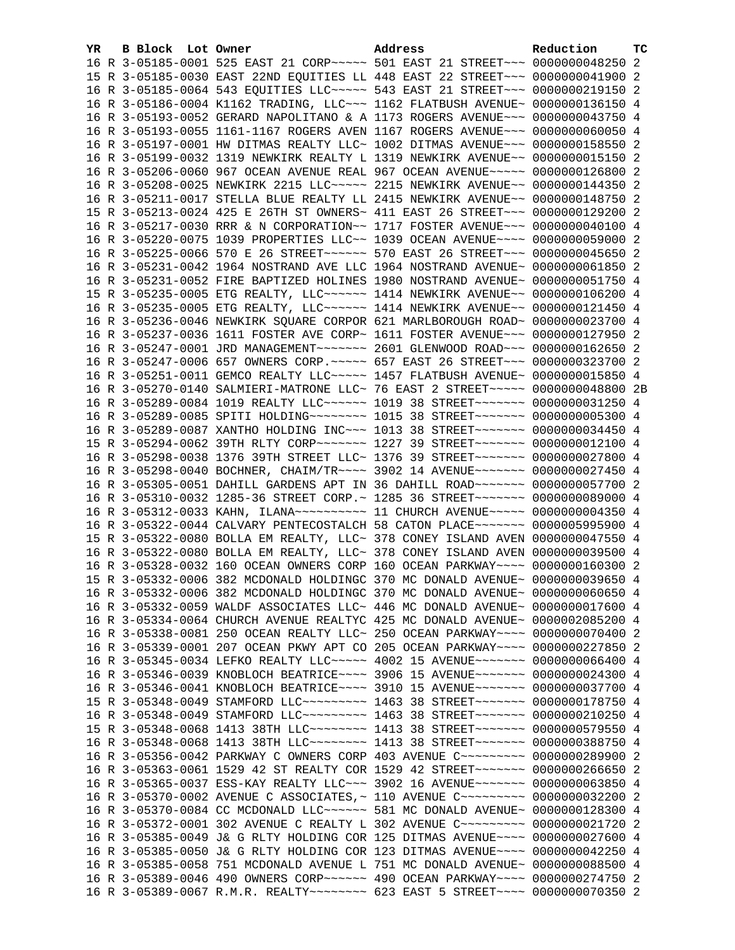| YR. | B Block Lot Owner | Address                                                                              | Reduction | <b>TC</b> |
|-----|-------------------|--------------------------------------------------------------------------------------|-----------|-----------|
|     |                   | 16 R 3-05185-0001 525 EAST 21 CORP ~~~~~ 501 EAST 21 STREET ~~~ 0000000048250 2      |           |           |
|     |                   | 15 R 3-05185-0030 EAST 22ND EQUITIES LL 448 EAST 22 STREET~~~ 0000000041900 2        |           |           |
|     |                   | 16 R 3-05185-0064 543 EQUITIES LLC ~~~~~ 543 EAST 21 STREET ~~~ 0000000219150 2      |           |           |
|     |                   | 16 R 3-05186-0004 K1162 TRADING, LLC~~~ 1162 FLATBUSH AVENUE~ 0000000136150 4        |           |           |
|     |                   | 16 R 3-05193-0052 GERARD NAPOLITANO & A 1173 ROGERS AVENUE~~~ 0000000043750 4        |           |           |
|     |                   | 16 R 3-05193-0055 1161-1167 ROGERS AVEN 1167 ROGERS AVENUE~~~ 0000000060050 4        |           |           |
|     |                   | 16 R 3-05197-0001 HW DITMAS REALTY LLC~ 1002 DITMAS AVENUE~~~ 0000000158550 2        |           |           |
|     |                   | 16 R 3-05199-0032 1319 NEWKIRK REALTY L 1319 NEWKIRK AVENUE~~ 0000000015150 2        |           |           |
|     |                   | 16 R 3-05206-0060 967 OCEAN AVENUE REAL 967 OCEAN AVENUE~~~~~ 0000000126800 2        |           |           |
|     |                   | 16 R 3-05208-0025 NEWKIRK 2215 LLC ~~~~~ 2215 NEWKIRK AVENUE ~~ 0000000144350 2      |           |           |
|     |                   | 16 R 3-05211-0017 STELLA BLUE REALTY LL 2415 NEWKIRK AVENUE~~ 0000000148750 2        |           |           |
|     |                   | 15 R 3-05213-0024 425 E 26TH ST OWNERS~ 411 EAST 26 STREET~~~ 0000000129200 2        |           |           |
|     |                   | 16 R 3-05217-0030 RRR & N CORPORATION~~ 1717 FOSTER AVENUE~~~ 0000000040100 4        |           |           |
|     |                   | 16 R 3-05220-0075 1039 PROPERTIES LLC~~ 1039 OCEAN AVENUE~~~~ 0000000059000 2        |           |           |
|     |                   | 16 R 3-05225-0066 570 E 26 STREET~~~~~~ 570 EAST 26 STREET~~~ 0000000045650 2        |           |           |
|     |                   | 16 R 3-05231-0042 1964 NOSTRAND AVE LLC 1964 NOSTRAND AVENUE~ 0000000061850 2        |           |           |
|     |                   | 16 R 3-05231-0052 FIRE BAPTIZED HOLINES 1980 NOSTRAND AVENUE~ 0000000051750 4        |           |           |
|     |                   | 15 R 3-05235-0005 ETG REALTY, LLC ~~~~~~ 1414 NEWKIRK AVENUE ~~ 0000000106200 4      |           |           |
|     |                   | 16 R 3-05235-0005 ETG REALTY, LLC ~~~~~~ 1414 NEWKIRK AVENUE ~~ 0000000121450 4      |           |           |
|     |                   | 16 R 3-05236-0046 NEWKIRK SQUARE CORPOR 621 MARLBOROUGH ROAD~ 0000000023700 4        |           |           |
|     |                   | 16 R 3-05237-0036 1611 FOSTER AVE CORP~ 1611 FOSTER AVENUE~~~ 0000000127950 2        |           |           |
|     |                   | 16 R 3-05247-0001 JRD MANAGEMENT~~~~~~~ 2601 GLENWOOD ROAD~~~ 0000000162650 2        |           |           |
|     |                   | 16 R 3-05247-0006 657 OWNERS CORP. ~~~~~ 657 EAST 26 STREET~~~ 0000000323700 2       |           |           |
|     |                   | 16 R 3-05251-0011 GEMCO REALTY LLC~~~~~ 1457 FLATBUSH AVENUE~ 0000000015850 4        |           |           |
|     |                   | 16 R 3-05270-0140 SALMIERI-MATRONE LLC~ 76 EAST 2 STREET~~~~~ 0000000048800 2B       |           |           |
|     |                   | 16 R 3-05289-0084 1019 REALTY LLC~~~~~~ 1019 38 STREET~~~~~~~ 0000000031250 4        |           |           |
|     |                   | 16 R 3-05289-0085 SPITI HOLDING~~~~~~~~ 1015 38 STREET~~~~~~~ 0000000005300 4        |           |           |
|     |                   | 16 R 3-05289-0087 XANTHO HOLDING INC~~~ 1013 38 STREET~~~~~~~ 0000000034450 4        |           |           |
|     |                   | 15 R 3-05294-0062 39TH RLTY CORP~~~~~~~ 1227 39 STREET~~~~~~~ 0000000012100 4        |           |           |
|     |                   | 16 R 3-05298-0038 1376 39TH STREET LLC~ 1376 39 STREET~~~~~~~~ 0000000027800 4       |           |           |
|     |                   | 16 R 3-05298-0040 BOCHNER, CHAIM/TR~~~~ 3902 14 AVENUE~~~~~~~ 0000000027450 4        |           |           |
|     |                   | 16 R 3-05305-0051 DAHILL GARDENS APT IN 36 DAHILL ROAD~~~~~~~ 0000000057700 2        |           |           |
|     |                   | 16 R 3-05310-0032 1285-36 STREET CORP.~ 1285 36 STREET~~~~~~~ 0000000089000 4        |           |           |
|     |                   | 16 R 3-05312-0033 KAHN, ILANA~~~~~~~~~~~~~~~ 11 CHURCH AVENUE~~~~~~ 00000000004350 4 |           |           |
|     |                   | 16 R 3-05322-0044 CALVARY PENTECOSTALCH 58 CATON PLACE~~~~~~~ 0000005995900 4        |           |           |
|     |                   | 15 R 3-05322-0080 BOLLA EM REALTY, LLC~ 378 CONEY ISLAND AVEN 0000000047550 4        |           |           |
|     |                   | 16 R 3-05322-0080 BOLLA EM REALTY, LLC~ 378 CONEY ISLAND AVEN 0000000039500 4        |           |           |
|     |                   | 16 R 3-05328-0032 160 OCEAN OWNERS CORP 160 OCEAN PARKWAY~~~~ 0000000160300 2        |           |           |
|     |                   | 15 R 3-05332-0006 382 MCDONALD HOLDINGC 370 MC DONALD AVENUE~ 0000000039650 4        |           |           |
|     |                   | 16 R 3-05332-0006 382 MCDONALD HOLDINGC 370 MC DONALD AVENUE~ 0000000060650 4        |           |           |
|     |                   | 16 R 3-05332-0059 WALDF ASSOCIATES LLC~ 446 MC DONALD AVENUE~ 0000000017600 4        |           |           |
|     |                   | 16 R 3-05334-0064 CHURCH AVENUE REALTYC 425 MC DONALD AVENUE~ 0000002085200 4        |           |           |
|     |                   | 16 R 3-05338-0081 250 OCEAN REALTY LLC~ 250 OCEAN PARKWAY~~~~ 0000000070400 2        |           |           |
|     |                   | 16 R 3-05339-0001 207 OCEAN PKWY APT CO 205 OCEAN PARKWAY~~~~ 0000000227850 2        |           |           |
|     |                   | 16 R 3-05345-0034 LEFKO REALTY LLC~~~~~ 4002 15 AVENUE~~~~~~~ 0000000066400 4        |           |           |
|     |                   | 16 R 3-05346-0039 KNOBLOCH BEATRICE~~~~ 3906 15 AVENUE~~~~~~~ 0000000024300 4        |           |           |
|     |                   | 16 R 3-05346-0041 KNOBLOCH BEATRICE~~~~ 3910 15 AVENUE~~~~~~~ 0000000037700 4        |           |           |
|     |                   | 15 R 3-05348-0049 STAMFORD LLC -------- 1463 38 STREET ------ 0000000178750 4        |           |           |
|     |                   | 16 R 3-05348-0049 STAMFORD LLC -------- 1463 38 STREET ------- 0000000210250 4       |           |           |
|     |                   | 15 R 3-05348-0068 1413 38TH LLC ------- 1413 38 STREET ------ 0000000579550 4        |           |           |
|     |                   | 16 R 3-05348-0068 1413 38TH LLC -------- 1413 38 STREET ------- 0000000388750 4      |           |           |
|     |                   | 16 R 3-05356-0042 PARKWAY C OWNERS CORP 403 AVENUE C~~~~~~~~~ 0000000289900 2        |           |           |
|     |                   | 16 R 3-05363-0061 1529 42 ST REALTY COR 1529 42 STREET~~~~~~~~ 0000000266650         |           | -2        |
|     |                   | 16 R 3-05365-0037 ESS-KAY REALTY LLC~~~ 3902 16 AVENUE~~~~~~~ 0000000063850 4        |           |           |
|     |                   | 16 R 3-05370-0002 AVENUE C ASSOCIATES, ~ 110 AVENUE C~~~~~~~~~ 0000000032200 2       |           |           |
|     |                   | 16 R 3-05370-0084 CC MCDONALD LLC~~~~~~ 581 MC DONALD AVENUE~ 0000000128300 4        |           |           |
|     |                   | 16 R 3-05372-0001 302 AVENUE C REALTY L 302 AVENUE C~~~~~~~~~ 0000000021720          |           | -2        |
|     |                   | 16 R 3-05385-0049 J& G RLTY HOLDING COR 125 DITMAS AVENUE~~~~ 0000000027600 4        |           |           |
|     |                   | 16 R 3-05385-0050 J& G RLTY HOLDING COR 123 DITMAS AVENUE~~~~ 0000000042250 4        |           |           |
|     |                   | 16 R 3-05385-0058 751 MCDONALD AVENUE L 751 MC DONALD AVENUE~ 0000000088500 4        |           |           |
|     |                   | 16 R 3-05389-0046 490 OWNERS CORP~~~~~~ 490 OCEAN PARKWAY~~~~ 0000000274750 2        |           |           |
|     |                   | 16 R 3-05389-0067 R.M.R. REALTY~~~~~~~~ 623 EAST 5 STREET~~~~ 0000000070350 2        |           |           |
|     |                   |                                                                                      |           |           |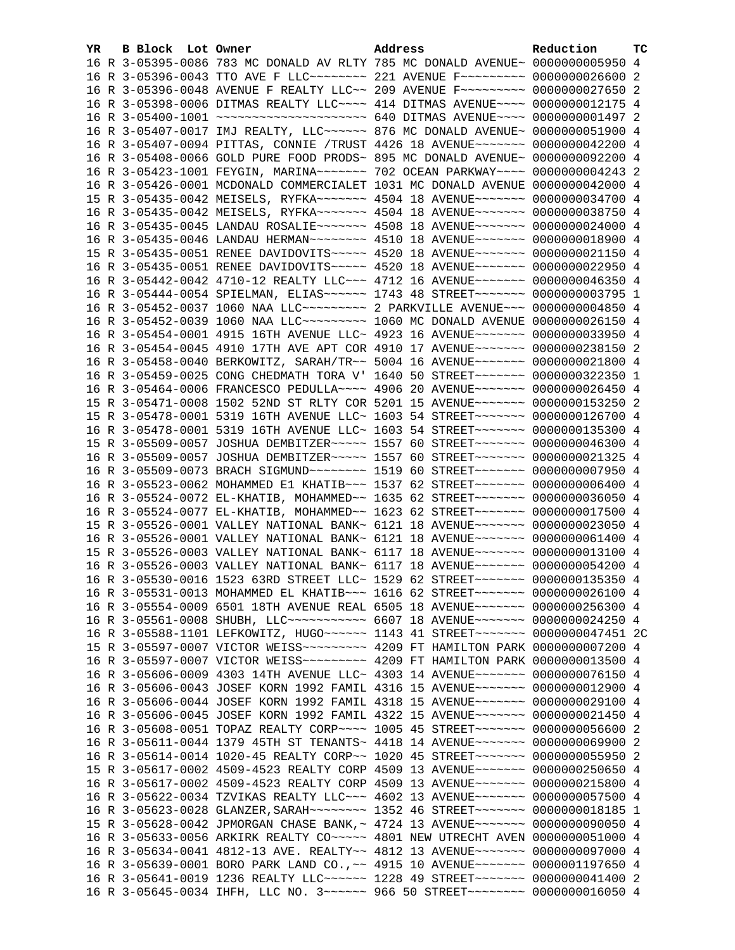| YR. | <b>B Block</b> Lot Owner | Address                                                                                                                                                        | Reduction | тc |
|-----|--------------------------|----------------------------------------------------------------------------------------------------------------------------------------------------------------|-----------|----|
|     |                          | 16 R 3-05395-0086 783 MC DONALD AV RLTY 785 MC DONALD AVENUE~ 0000000005950 4                                                                                  |           |    |
|     |                          | 16 R 3-05396-0043 TTO AVE F LLC -------- 221 AVENUE F -------- 0000000026600 2                                                                                 |           |    |
|     |                          | 16 R 3-05396-0048 AVENUE F REALTY LLC~~ 209 AVENUE F~~~~~~~~~ 0000000027650 2                                                                                  |           |    |
|     |                          | 16 R 3-05398-0006 DITMAS REALTY LLC ~~~~ 414 DITMAS AVENUE ~~~~ 0000000012175 4                                                                                |           |    |
|     |                          | 16 R 3-05400-1001 ~~~~~~~~~~~~~~~~~~~~~~ 640 DITMAS AVENUE~~~~ 0000000001497 2                                                                                 |           |    |
|     |                          | 16 R 3-05407-0017 IMJ REALTY, LLC~~~~~~ 876 MC DONALD AVENUE~ 0000000051900 4                                                                                  |           |    |
|     |                          | 16 R 3-05407-0094 PITTAS, CONNIE /TRUST 4426 18 AVENUE~~~~~~~ 0000000042200 4                                                                                  |           |    |
|     |                          | 16 R 3-05408-0066 GOLD PURE FOOD PRODS~ 895 MC DONALD AVENUE~ 0000000092200 4                                                                                  |           |    |
|     |                          | 16 R 3-05423-1001 FEYGIN, MARINA~~~~~~~ 702 OCEAN PARKWAY~~~~ 0000000004243 2                                                                                  |           |    |
|     |                          | 16 R 3-05426-0001 MCDONALD COMMERCIALET 1031 MC DONALD AVENUE 0000000042000 4                                                                                  |           |    |
|     |                          | 15 R 3-05435-0042 MEISELS, RYFKA~~~~~~~ 4504 18 AVENUE~~~~~~~ 0000000034700 4                                                                                  |           |    |
|     |                          | 16 R 3-05435-0042 MEISELS, RYFKA~~~~~~~ 4504 18 AVENUE~~~~~~~ 0000000038750 4                                                                                  |           |    |
|     |                          | 16 R 3-05435-0045 LANDAU ROSALIE~~~~~~~ 4508 18 AVENUE~~~~~~~ 0000000024000 4                                                                                  |           |    |
|     |                          | 16 R 3-05435-0046 LANDAU HERMAN~~~~~~~~ 4510 18 AVENUE~~~~~~~ 0000000018900 4                                                                                  |           |    |
|     |                          | 15 R 3-05435-0051 RENEE DAVIDOVITS~~~~~ 4520 18 AVENUE~~~~~~~ 0000000021150 4                                                                                  |           |    |
|     |                          | 16 R 3-05435-0051 RENEE DAVIDOVITS ~~~~~ 4520 18 AVENUE ~~~~~~~ 0000000022950 4                                                                                |           |    |
|     |                          | 16 R 3-05442-0042 4710-12 REALTY LLC ~~~ 4712 16 AVENUE ~~~~~~~ 0000000046350 4                                                                                |           |    |
|     |                          | 16 R 3-05444-0054 SPIELMAN, ELIAS~~~~~~ 1743 48 STREET~~~~~~~ 0000000003795 1                                                                                  |           |    |
|     |                          | 16 R 3-05452-0037 1060 NAA LLC --------- 2 PARKVILLE AVENUE -- 0000000004850 4                                                                                 |           |    |
|     |                          | 16 R 3-05452-0039 1060 NAA LLC -------- 1060 MC DONALD AVENUE 0000000026150 4                                                                                  |           |    |
|     |                          | 16 R 3-05454-0001 4915 16TH AVENUE LLC~ 4923 16 AVENUE~~~~~~~ 0000000033950 4                                                                                  |           |    |
|     |                          | 16 R 3-05454-0045 4910 17TH AVE APT COR 4910 17 AVENUE~~~~~~~ 0000000238150 2                                                                                  |           |    |
|     |                          | 16 R 3-05458-0040 BERKOWITZ, SARAH/TR~~ 5004 16 AVENUE~~~~~~~ 0000000021800 4                                                                                  |           |    |
|     |                          | 16 R 3-05459-0025 CONG CHEDMATH TORA V' 1640 50 STREET~~~~~~~ 0000000322350 1                                                                                  |           |    |
|     |                          | 16 R 3-05464-0006 FRANCESCO PEDULLA~~~~ 4906 20 AVENUE~~~~~~~ 0000000026450 4                                                                                  |           |    |
|     |                          | 15 R 3-05471-0008 1502 52ND ST RLTY COR 5201 15 AVENUE~~~~~~~ 0000000153250 2                                                                                  |           |    |
|     |                          | 15 R 3-05478-0001 5319 16TH AVENUE LLC~ 1603 54 STREET~~~~~~~ 0000000126700 4                                                                                  |           |    |
|     |                          | 16 R 3-05478-0001 5319 16TH AVENUE LLC~ 1603 54 STREET~~~~~~~ 0000000135300 4                                                                                  |           |    |
|     |                          | 15 R 3-05509-0057 JOSHUA DEMBITZER ~~~~~ 1557 60 STREET ~~~~~~~ 0000000046300 4                                                                                |           |    |
|     |                          | 16 R 3-05509-0057 JOSHUA DEMBITZER ~~~~~ 1557 60 STREET ~~~~~~~ 0000000021325 4                                                                                |           |    |
|     |                          | 16 R 3-05509-0073 BRACH SIGMUND ~~~~~~~~ 1519 60 STREET ~~~~~~~ 0000000007950 4                                                                                |           |    |
|     |                          | 16 R 3-05523-0062 MOHAMMED E1 KHATIB~~~ 1537 62 STREET~~~~~~~ 0000000006400 4                                                                                  |           |    |
|     |                          | 16 R 3-05524-0072 EL-KHATIB, MOHAMMED~~ 1635 62 STREET~~~~~~~ 0000000036050 4                                                                                  |           |    |
|     |                          | 16 R 3-05524-0077 EL-KHATIB, MOHAMMED~~ 1623 62 STREET~~~~~~~ 0000000017500 4                                                                                  |           |    |
|     |                          | 15 R 3-05526-0001 VALLEY NATIONAL BANK~ 6121 18 AVENUE~~~~~~~ 0000000023050 4                                                                                  |           |    |
|     |                          | 16 R 3-05526-0001 VALLEY NATIONAL BANK~ 6121 18 AVENUE~~~~~~~ 0000000061400 4<br>15 R 3-05526-0003 VALLEY NATIONAL BANK~ 6117 18 AVENUE~~~~~~~ 0000000013100 4 |           |    |
|     |                          | 16 R 3-05526-0003 VALLEY NATIONAL BANK~ 6117 18 AVENUE~~~~~~~ 0000000054200 4                                                                                  |           |    |
|     |                          | 16 R 3-05530-0016 1523 63RD STREET LLC~ 1529 62 STREET~~~~~~~~ 0000000135350 4                                                                                 |           |    |
|     |                          | 16 R 3-05531-0013 MOHAMMED EL KHATIB~~~ 1616 62 STREET~~~~~~~ 0000000026100 4                                                                                  |           |    |
|     |                          | 16 R 3-05554-0009 6501 18TH AVENUE REAL 6505 18 AVENUE~~~~~~~ 0000000256300 4                                                                                  |           |    |
|     |                          | 16 R 3-05561-0008 SHUBH, LLC ----------- 6607 18 AVENUE ------- 0000000024250 4                                                                                |           |    |
|     |                          | 16 R 3-05588-1101 LEFKOWITZ, HUGO~~~~~~ 1143 41 STREET~~~~~~~ 0000000047451 2C                                                                                 |           |    |
|     |                          |                                                                                                                                                                |           |    |
|     |                          |                                                                                                                                                                |           |    |
|     |                          | 16 R 3-05606-0009 4303 14TH AVENUE LLC~ 4303 14 AVENUE~~~~~~~ 0000000076150 4                                                                                  |           |    |
|     |                          | 16 R 3-05606-0043 JOSEF KORN 1992 FAMIL 4316 15 AVENUE~~~~~~~ 0000000012900 4                                                                                  |           |    |
|     |                          | 16 R 3-05606-0044 JOSEF KORN 1992 FAMIL 4318 15 AVENUE~~~~~~~ 0000000029100 4                                                                                  |           |    |
|     |                          | 16 R 3-05606-0045 JOSEF KORN 1992 FAMIL 4322 15 AVENUE~~~~~~~ 0000000021450 4                                                                                  |           |    |
|     |                          | 16 R 3-05608-0051 TOPAZ REALTY CORP~~~~ 1005 45 STREET~~~~~~~ 0000000056600 2                                                                                  |           |    |
|     |                          | 16 R 3-05611-0044 1379 45TH ST TENANTS~ 4418 14 AVENUE~~~~~~~ 0000000069900 2                                                                                  |           |    |
|     |                          | 16 R 3-05614-0014 1020-45 REALTY CORP~~ 1020 45 STREET~~~~~~~ 0000000055950                                                                                    |           | 2  |
|     |                          | 15 R 3-05617-0002 4509-4523 REALTY CORP 4509 13 AVENUE~~~~~~~ 0000000250650 4                                                                                  |           |    |
|     |                          | 16 R 3-05617-0002 4509-4523 REALTY CORP 4509 13 AVENUE~~~~~~~ 0000000215800 4                                                                                  |           |    |
|     |                          | 16 R 3-05622-0034 TZVIKAS REALTY LLC~~~ 4602 13 AVENUE~~~~~~~ 0000000057500 4                                                                                  |           |    |
|     |                          | 16 R 3-05623-0028 GLANZER, SARAH~~~~~~~~ 1352 46 STREET~~~~~~~ 0000000018185 1                                                                                 |           |    |
|     |                          | 15 R 3-05628-0042 JPMORGAN CHASE BANK, ~ 4724 13 AVENUE~~~~~~~ 0000000090050 4                                                                                 |           |    |
|     |                          | 16 R 3-05633-0056 ARKIRK REALTY CO ~~~~~ 4801 NEW UTRECHT AVEN 0000000051000 4                                                                                 |           |    |
|     |                          | 16 R 3-05634-0041 4812-13 AVE. REALTY~~ 4812 13 AVENUE~~~~~~~ 0000000097000 4                                                                                  |           |    |
|     |                          | 16 R 3-05639-0001 BORO PARK LAND CO., ~~ 4915 10 AVENUE~~~~~~~ 0000001197650 4                                                                                 |           |    |
|     |                          | 16 R 3-05641-0019 1236 REALTY LLC ----- 1228 49 STREET ------ 0000000041400 2                                                                                  |           |    |
|     |                          | 16 R 3-05645-0034 IHFH, LLC NO. 3 ~~~~~~ 966 50 STREET ~~~~~~~~ 0000000016050 4                                                                                |           |    |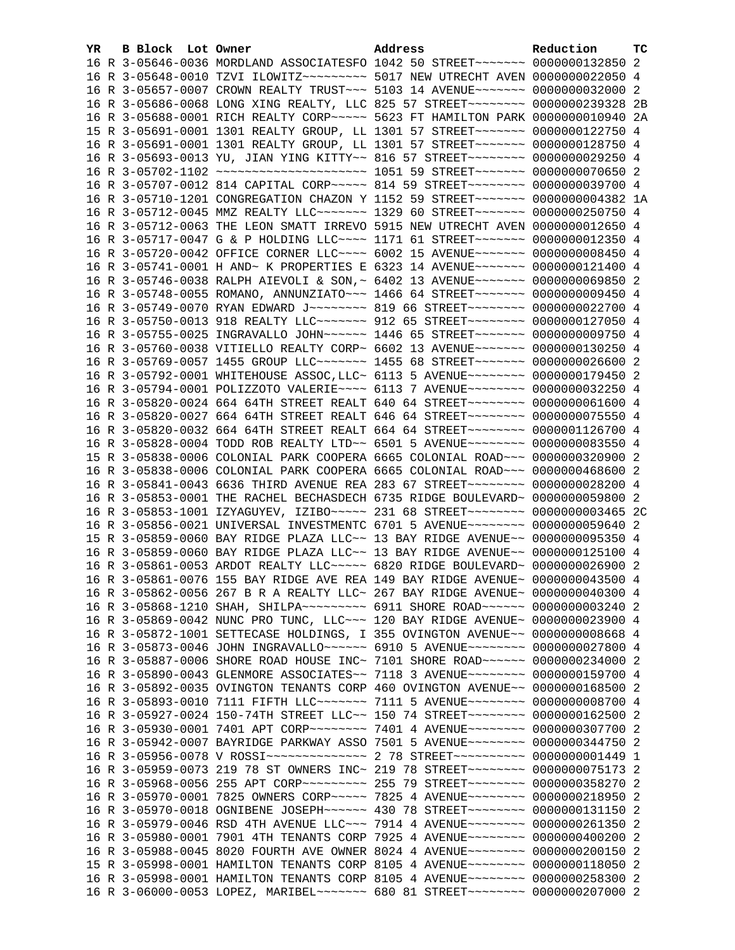| YR. | B Block Lot Owner |                                                                                                                                                                 | Address | Reduction | тc   |
|-----|-------------------|-----------------------------------------------------------------------------------------------------------------------------------------------------------------|---------|-----------|------|
|     |                   | 16 R 3-05646-0036 MORDLAND ASSOCIATESFO 1042 50 STREET~~~~~~~~ 0000000132850 2                                                                                  |         |           |      |
|     |                   | 16 R 3-05648-0010 TZVI ILOWITZ~~~~~~~~~~ 5017 NEW UTRECHT AVEN 0000000022050 4                                                                                  |         |           |      |
|     |                   | 16 R 3-05657-0007 CROWN REALTY TRUST~~~ 5103 14 AVENUE~~~~~~~ 0000000032000 2                                                                                   |         |           |      |
|     |                   | 16 R 3-05686-0068 LONG XING REALTY, LLC 825 57 STREET~~~~~~~~~ 0000000239328                                                                                    |         |           | - 2B |
|     |                   | 16 R 3-05688-0001 RICH REALTY CORP~~~~~ 5623 FT HAMILTON PARK 0000000010940 2A                                                                                  |         |           |      |
|     |                   | 15 R 3-05691-0001 1301 REALTY GROUP, LL 1301 57 STREET~~~~~~~ 0000000122750 4                                                                                   |         |           |      |
|     |                   | 16 R 3-05691-0001 1301 REALTY GROUP, LL 1301 57 STREET~~~~~~~ 0000000128750 4                                                                                   |         |           |      |
|     |                   | 16 R 3-05693-0013 YU, JIAN YING KITTY~~ 816 57 STREET~~~~~~~~ 0000000029250 4                                                                                   |         |           |      |
|     |                   | 16 R 3-05702-1102 ~~~~~~~~~~~~~~~~~~~~~~~~ 1051 59 STREET~~~~~~~~ 0000000070650 2                                                                               |         |           |      |
|     |                   | 16 R 3-05707-0012 814 CAPITAL CORP~~~~~ 814 59 STREET~~~~~~~~ 0000000039700 4                                                                                   |         |           |      |
|     |                   | 16 R 3-05710-1201 CONGREGATION CHAZON Y 1152 59 STREET~~~~~~~ 0000000004382 1A                                                                                  |         |           |      |
|     |                   | 16 R 3-05712-0045 MMZ REALTY LLC ------ 1329 60 STREET ------- 0000000250750 4                                                                                  |         |           |      |
|     |                   | 16 R 3-05712-0063 THE LEON SMATT IRREVO 5915 NEW UTRECHT AVEN 0000000012650 4                                                                                   |         |           |      |
|     |                   | 16 R 3-05717-0047 G & P HOLDING LLC --- 1171 61 STREET ------ 0000000012350 4                                                                                   |         |           |      |
|     |                   | 16 R 3-05720-0042 OFFICE CORNER LLC --- 6002 15 AVENUE ------ 00000000008450 4                                                                                  |         |           |      |
|     |                   | 16 R 3-05741-0001 H AND~ K PROPERTIES E 6323 14 AVENUE~~~~~~~ 0000000121400 4                                                                                   |         |           |      |
|     |                   | 16 R 3-05746-0038 RALPH AIEVOLI & SON, ~ 6402 13 AVENUE~~~~~~~ 0000000069850 2                                                                                  |         |           |      |
|     |                   | 16 R 3-05748-0055 ROMANO, ANNUNZIATO~~~ 1466 64 STREET~~~~~~~ 0000000009450 4                                                                                   |         |           |      |
|     |                   | 16 R 3-05749-0070 RYAN EDWARD J~~~~~~~~ 819 66 STREET~~~~~~~~ 0000000022700 4                                                                                   |         |           |      |
|     |                   | 16 R 3-05750-0013 918 REALTY LLC ------ 912 65 STREET ------- 0000000127050 4                                                                                   |         |           |      |
|     |                   | 16 R 3-05755-0025 INGRAVALLO JOHN~~~~~~ 1446 65 STREET~~~~~~~ 0000000009750 4                                                                                   |         |           |      |
|     |                   | 16 R 3-05760-0038 VITIELLO REALTY CORP~ 6602 13 AVENUE~~~~~~~ 0000000130250 4                                                                                   |         |           |      |
|     |                   | 16 R 3-05769-0057 1455 GROUP LLC~~~~~~~ 1455 68 STREET~~~~~~~ 0000000026600 2                                                                                   |         |           |      |
|     |                   | 16 R 3-05792-0001 WHITEHOUSE ASSOC, LLC~ 6113 5 AVENUE~~~~~~~~~ 0000000179450 2                                                                                 |         |           |      |
|     |                   | 16 R 3-05794-0001 POLIZZOTO VALERIE~~~~ 6113 7 AVENUE~~~~~~~~ 0000000032250 4                                                                                   |         |           |      |
|     |                   | 16 R 3-05820-0024 664 64TH STREET REALT 640 64 STREET~~~~~~~~~ 0000000061600 4                                                                                  |         |           |      |
|     |                   | 16 R 3-05820-0027 664 64TH STREET REALT 646 64 STREET~~~~~~~~~ 0000000075550 4                                                                                  |         |           |      |
|     |                   | 16 R 3-05820-0032 664 64TH STREET REALT 664 64 STREET~~~~~~~~ 0000001126700 4                                                                                   |         |           |      |
|     |                   | 16 R 3-05828-0004 TODD ROB REALTY LTD~~ 6501 5 AVENUE~~~~~~~~ 0000000083550 4                                                                                   |         |           |      |
|     |                   | 15 R 3-05838-0006 COLONIAL PARK COOPERA 6665 COLONIAL ROAD~~~ 0000000320900 2                                                                                   |         |           |      |
|     |                   | 16 R 3-05838-0006 COLONIAL PARK COOPERA 6665 COLONIAL ROAD~~~ 0000000468600 2                                                                                   |         |           |      |
|     |                   | 16 R 3-05841-0043 6636 THIRD AVENUE REA 283 67 STREET~~~~~~~~ 0000000028200 4                                                                                   |         |           |      |
|     |                   | 16 R 3-05853-0001 THE RACHEL BECHASDECH 6735 RIDGE BOULEVARD~ 0000000059800 2                                                                                   |         |           |      |
|     |                   | 16 R 3-05853-1001 IZYAGUYEV, IZIBO~~~~~ 231 68 STREET~~~~~~~~ 0000000003465 2C<br>16 R 3-05856-0021 UNIVERSAL INVESTMENTC 6701 5 AVENUE~~~~~~~~ 0000000059640 2 |         |           |      |
|     |                   |                                                                                                                                                                 |         |           |      |
|     |                   | 15 R 3-05859-0060 BAY RIDGE PLAZA LLC~~ 13 BAY RIDGE AVENUE~~ 0000000095350 4<br>16 R 3-05859-0060 BAY RIDGE PLAZA LLC~~ 13 BAY RIDGE AVENUE~~ 0000000125100 4  |         |           |      |
|     |                   | 16 R 3-05861-0053 ARDOT REALTY LLC ---- 6820 RIDGE BOULEVARD ~ 0000000026900 2                                                                                  |         |           |      |
|     |                   | 16 R 3-05861-0076 155 BAY RIDGE AVE REA 149 BAY RIDGE AVENUE~ 0000000043500 4                                                                                   |         |           |      |
|     |                   | 16 R 3-05862-0056 267 B R A REALTY LLC~ 267 BAY RIDGE AVENUE~ 0000000040300 4                                                                                   |         |           |      |
|     |                   | 16 R 3-05868-1210 SHAH, SHILPA~~~~~~~~~ 6911 SHORE ROAD~~~~~~ 0000000003240 2                                                                                   |         |           |      |
|     |                   | 16 R 3-05869-0042 NUNC PRO TUNC, LLC~~~ 120 BAY RIDGE AVENUE~ 0000000023900 4                                                                                   |         |           |      |
|     |                   | 16 R 3-05872-1001 SETTECASE HOLDINGS, I 355 OVINGTON AVENUE~~ 00000000008668 4                                                                                  |         |           |      |
|     |                   | 16 R 3-05873-0046 JOHN INGRAVALLO~~~~~~ 6910 5 AVENUE~~~~~~~~ 0000000027800 4                                                                                   |         |           |      |
|     |                   | 16 R 3-05887-0006 SHORE ROAD HOUSE INC~ 7101 SHORE ROAD~~~~~~ 0000000234000 2                                                                                   |         |           |      |
|     |                   | 16 R 3-05890-0043 GLENMORE ASSOCIATES~~ 7118 3 AVENUE~~~~~~~~ 0000000159700 4                                                                                   |         |           |      |
|     |                   | 16 R 3-05892-0035 OVINGTON TENANTS CORP 460 OVINGTON AVENUE~~ 0000000168500 2                                                                                   |         |           |      |
|     |                   | 16 R 3-05893-0010 7111 FIFTH LLC~~~~~~~~ 7111 5 AVENUE~~~~~~~~ 0000000008700                                                                                    |         |           | -4   |
|     |                   | 16 R 3-05927-0024 150-74TH STREET LLC~~ 150 74 STREET~~~~~~~~~ 0000000162500                                                                                    |         |           | -2   |
|     |                   | 16 R 3-05930-0001 7401 APT CORP~~~~~~~~ 7401 4 AVENUE~~~~~~~~ 0000000307700 2                                                                                   |         |           |      |
|     |                   | 16 R 3-05942-0007 BAYRIDGE PARKWAY ASSO 7501 5 AVENUE~~~~~~~~ 0000000344750 2                                                                                   |         |           |      |
|     |                   | 16 R 3-05956-0078 V ROSSI~~~~~~~~~~~~~~~~~~~~ 2 78 STREET~~~~~~~~~~~~ 00000000001449 1                                                                          |         |           |      |
|     |                   | 16 R 3-05959-0073 219 78 ST OWNERS INC~ 219 78 STREET~~~~~~~~ 0000000075173 2                                                                                   |         |           |      |
|     |                   | 16 R 3-05968-0056 255 APT CORP~~~~~~~~~~~~~~ 255 79 STREET~~~~~~~~~~ 0000000358270                                                                              |         |           | -2   |
|     |                   | 16 R 3-05970-0001 7825 OWNERS CORP~~~~~ 7825 4 AVENUE~~~~~~~~ 0000000218950                                                                                     |         |           | -2   |
|     |                   | 16 R 3-05970-0018 OGNIBENE JOSEPH~~~~~~ 430 78 STREET~~~~~~~~ 0000000131150 2                                                                                   |         |           |      |
|     |                   | 16 R 3-05979-0046 RSD 4TH AVENUE LLC~~~ 7914 4 AVENUE~~~~~~~~ 0000000261350                                                                                     |         |           | -2   |
|     |                   | 16 R 3-05980-0001 7901 4TH TENANTS CORP 7925 4 AVENUE~~~~~~~~ 0000000400200                                                                                     |         |           | -2   |
|     |                   | 16 R 3-05988-0045 8020 FOURTH AVE OWNER 8024 4 AVENUE~~~~~~~~ 0000000200150 2                                                                                   |         |           |      |
|     |                   | 15 R 3-05998-0001 HAMILTON TENANTS CORP 8105 4 AVENUE~~~~~~~~ 0000000118050 2                                                                                   |         |           |      |
|     |                   | 16 R 3-05998-0001 HAMILTON TENANTS CORP 8105 4 AVENUE~~~~~~~~ 0000000258300 2                                                                                   |         |           |      |
|     |                   | 16 R 3-06000-0053 LOPEZ, MARIBEL~~~~~~~ 680 81 STREET~~~~~~~~ 0000000207000 2                                                                                   |         |           |      |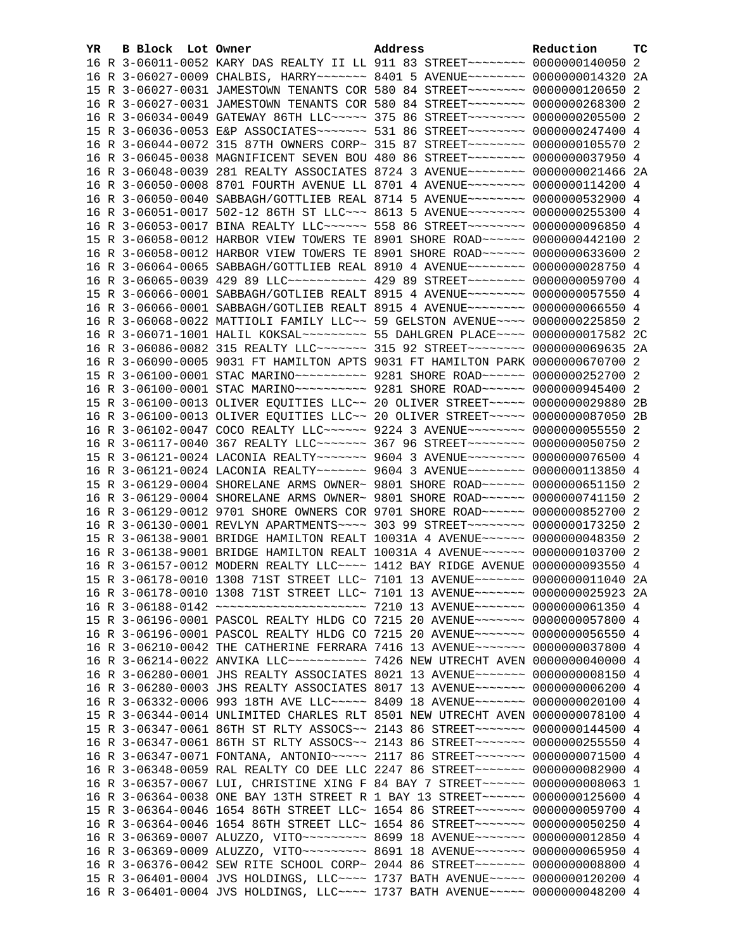| YR. | B Block Lot Owner |                                                                                  | Address | Reduction | тc |
|-----|-------------------|----------------------------------------------------------------------------------|---------|-----------|----|
|     |                   | 16 R 3-06011-0052 KARY DAS REALTY II LL 911 83 STREET~~~~~~~~~ 0000000140050 2   |         |           |    |
|     |                   | 16 R 3-06027-0009 CHALBIS, HARRY~~~~~~~ 8401 5 AVENUE~~~~~~~~ 0000000014320 2A   |         |           |    |
|     |                   | 15 R 3-06027-0031 JAMESTOWN TENANTS COR 580 84 STREET~~~~~~~~ 0000000120650 2    |         |           |    |
|     |                   | 16 R 3-06027-0031 JAMESTOWN TENANTS COR 580 84 STREET~~~~~~~~ 0000000268300 2    |         |           |    |
|     |                   | 16 R 3-06034-0049 GATEWAY 86TH LLC ---- 375 86 STREET ------ 0000000205500 2     |         |           |    |
|     |                   | 15 R 3-06036-0053 E&P ASSOCIATES ------- 531 86 STREET ------- 0000000247400 4   |         |           |    |
|     |                   | 16 R 3-06044-0072 315 87TH OWNERS CORP~ 315 87 STREET~~~~~~~~ 0000000105570 2    |         |           |    |
|     |                   | 16 R 3-06045-0038 MAGNIFICENT SEVEN BOU 480 86 STREET~~~~~~~~ 0000000037950 4    |         |           |    |
|     |                   | 16 R 3-06048-0039 281 REALTY ASSOCIATES 8724 3 AVENUE~~~~~~~~ 0000000021466 2A   |         |           |    |
|     |                   | 16 R 3-06050-0008 8701 FOURTH AVENUE LL 8701 4 AVENUE~~~~~~~~ 0000000114200 4    |         |           |    |
|     |                   | 16 R 3-06050-0040 SABBAGH/GOTTLIEB REAL 8714 5 AVENUE~~~~~~~~ 0000000532900 4    |         |           |    |
|     |                   | 16 R 3-06051-0017 502-12 86TH ST LLC -- 8613 5 AVENUE ------- 0000000255300 4    |         |           |    |
|     |                   | 16 R 3-06053-0017 BINA REALTY LLC ----- 558 86 STREET -------- 0000000096850 4   |         |           |    |
|     |                   | 15 R 3-06058-0012 HARBOR VIEW TOWERS TE 8901 SHORE ROAD ~~~~~~ 0000000442100 2   |         |           |    |
|     |                   | 16 R 3-06058-0012 HARBOR VIEW TOWERS TE 8901 SHORE ROAD~~~~~~ 0000000633600 2    |         |           |    |
|     |                   | 16 R 3-06064-0065 SABBAGH/GOTTLIEB REAL 8910 4 AVENUE~~~~~~~~ 0000000028750 4    |         |           |    |
|     |                   | 16 R 3-06065-0039 429 89 LLC ----------- 429 89 STREET ------- 0000000059700 4   |         |           |    |
|     |                   | 15 R 3-06066-0001 SABBAGH/GOTLIEB REALT 8915 4 AVENUE~~~~~~~~ 0000000057550 4    |         |           |    |
|     |                   | 16 R 3-06066-0001 SABBAGH/GOTLIEB REALT 8915 4 AVENUE~~~~~~~~ 0000000066550 4    |         |           |    |
|     |                   | 16 R 3-06068-0022 MATTIOLI FAMILY LLC~~ 59 GELSTON AVENUE~~~~ 0000000225850 2    |         |           |    |
|     |                   | 16 R 3-06071-1001 HALIL KOKSAL~~~~~~~~~~ 55 DAHLGREN PLACE~~~~ 0000000017582 2C  |         |           |    |
|     |                   | 16 R 3-06086-0082 315 REALTY LLC~~~~~~~ 315 92 STREET~~~~~~~~ 0000000069635 2A   |         |           |    |
|     |                   | 16 R 3-06090-0005 9031 FT HAMILTON APTS 9031 FT HAMILTON PARK 0000000670700 2    |         |           |    |
|     |                   | 15 R 3-06100-0001 STAC MARINO~~~~~~~~~~ 9281 SHORE ROAD~~~~~~ 0000000252700 2    |         |           |    |
|     |                   | 16 R 3-06100-0001 STAC MARINO~~~~~~~~~~ 9281 SHORE ROAD~~~~~~ 0000000945400 2    |         |           |    |
|     |                   | 15 R 3-06100-0013 OLIVER EQUITIES LLC~~ 20 OLIVER STREET~~~~~ 0000000029880 2B   |         |           |    |
|     |                   | 16 R 3-06100-0013 OLIVER EQUITIES LLC~~ 20 OLIVER STREET~~~~~ 0000000087050 2B   |         |           |    |
|     |                   | 16 R 3-06102-0047 COCO REALTY LLC ----- 9224 3 AVENUE ------ 00000000055550 2    |         |           |    |
|     |                   | 16 R 3-06117-0040 367 REALTY LLC ------ 367 96 STREET ------- 0000000050750 2    |         |           |    |
|     |                   | 15 R 3-06121-0024 LACONIA REALTY~~~~~~~ 9604 3 AVENUE~~~~~~~~ 0000000076500 4    |         |           |    |
|     |                   | 16 R 3-06121-0024 LACONIA REALTY~~~~~~~ 9604 3 AVENUE~~~~~~~~ 0000000113850 4    |         |           |    |
|     |                   | 15 R 3-06129-0004 SHORELANE ARMS OWNER~ 9801 SHORE ROAD~~~~~~ 0000000651150 2    |         |           |    |
|     |                   | 16 R 3-06129-0004 SHORELANE ARMS OWNER~ 9801 SHORE ROAD~~~~~~ 0000000741150 2    |         |           |    |
|     |                   | 16 R 3-06129-0012 9701 SHORE OWNERS COR 9701 SHORE ROAD~~~~~~ 0000000852700 2    |         |           |    |
|     |                   | 16 R 3-06130-0001 REVLYN APARTMENTS~~~~ 303 99 STREET~~~~~~~~ 0000000173250 2    |         |           |    |
|     |                   | 15 R 3-06138-9001 BRIDGE HAMILTON REALT 10031A 4 AVENUE~~~~~~ 0000000048350 2    |         |           |    |
|     |                   | 16 R 3-06138-9001 BRIDGE HAMILTON REALT 10031A 4 AVENUE~~~~~~ 0000000103700 2    |         |           |    |
|     |                   | 16 R 3-06157-0012 MODERN REALTY LLC ~~~~ 1412 BAY RIDGE AVENUE 0000000093550 4   |         |           |    |
|     |                   | 15 R 3-06178-0010 1308 71ST STREET LLC~ 7101 13 AVENUE~~~~~~~ 0000000011040 2A   |         |           |    |
|     |                   | 16 R 3-06178-0010 1308 71ST STREET LLC~ 7101 13 AVENUE~~~~~~~ 0000000025923 2A   |         |           |    |
|     |                   |                                                                                  |         |           |    |
|     |                   | 15 R 3-06196-0001 PASCOL REALTY HLDG CO 7215 20 AVENUE~~~~~~~ 0000000057800 4    |         |           |    |
|     |                   | 16 R 3-06196-0001 PASCOL REALTY HLDG CO 7215 20 AVENUE~~~~~~~ 0000000056550 4    |         |           |    |
|     |                   | 16 R 3-06210-0042 THE CATHERINE FERRARA 7416 13 AVENUE~~~~~~~ 0000000037800 4    |         |           |    |
|     |                   | 16 R 3-06214-0022 ANVIKA LLC ---------- 7426 NEW UTRECHT AVEN 0000000040000 4    |         |           |    |
|     |                   | 16 R 3-06280-0001 JHS REALTY ASSOCIATES 8021 13 AVENUE~~~~~~~ 00000000008150 4   |         |           |    |
|     |                   | 16 R 3-06280-0003 JHS REALTY ASSOCIATES 8017 13 AVENUE~~~~~~~ 0000000006200 4    |         |           |    |
|     |                   | 16 R 3-06332-0006 993 18TH AVE LLC ---- 8409 18 AVENUE ------ 0000000020100 4    |         |           |    |
|     |                   | 15 R 3-06344-0014 UNLIMITED CHARLES RLT 8501 NEW UTRECHT AVEN 0000000078100 4    |         |           |    |
|     |                   | 15 R 3-06347-0061 86TH ST RLTY ASSOCS~~ 2143 86 STREET~~~~~~~~ 0000000144500 4   |         |           |    |
|     |                   | 16 R 3-06347-0061 86TH ST RLTY ASSOCS~~ 2143 86 STREET~~~~~~~~ 0000000255550 4   |         |           |    |
|     |                   | 16 R 3-06347-0071 FONTANA, ANTONIO ~~~~~ 2117 86 STREET ~~~~~~~~ 0000000071500 4 |         |           |    |
|     |                   | 16 R 3-06348-0059 RAL REALTY CO DEE LLC 2247 86 STREET~~~~~~~~ 0000000082900 4   |         |           |    |
|     |                   | 16 R 3-06357-0067 LUI, CHRISTINE XING F 84 BAY 7 STREET~~~~~~ 0000000000063 1    |         |           |    |
|     |                   | 16 R 3-06364-0038 ONE BAY 13TH STREET R 1 BAY 13 STREET~~~~~~ 0000000125600 4    |         |           |    |
|     |                   | 15 R 3-06364-0046 1654 86TH STREET LLC~ 1654 86 STREET~~~~~~~~ 0000000059700 4   |         |           |    |
|     |                   | 16 R 3-06364-0046 1654 86TH STREET LLC~ 1654 86 STREET~~~~~~~~ 0000000050250 4   |         |           |    |
|     |                   | 16 R 3-06369-0007 ALUZZO, VITO~~~~~~~~~ 8699 18 AVENUE~~~~~~~ 0000000012850 4    |         |           |    |
|     |                   | 16 R 3-06369-0009 ALUZZO, VITO~~~~~~~~~ 8691 18 AVENUE~~~~~~~ 0000000065950 4    |         |           |    |
|     |                   | 16 R 3-06376-0042 SEW RITE SCHOOL CORP~ 2044 86 STREET~~~~~~~~ 0000000008800 4   |         |           |    |
|     |                   | 15 R 3-06401-0004 JVS HOLDINGS, LLC --- 1737 BATH AVENUE ---- 0000000120200 4    |         |           |    |
|     |                   | 16 R 3-06401-0004 JVS HOLDINGS, LLC --- 1737 BATH AVENUE ---- 0000000048200 4    |         |           |    |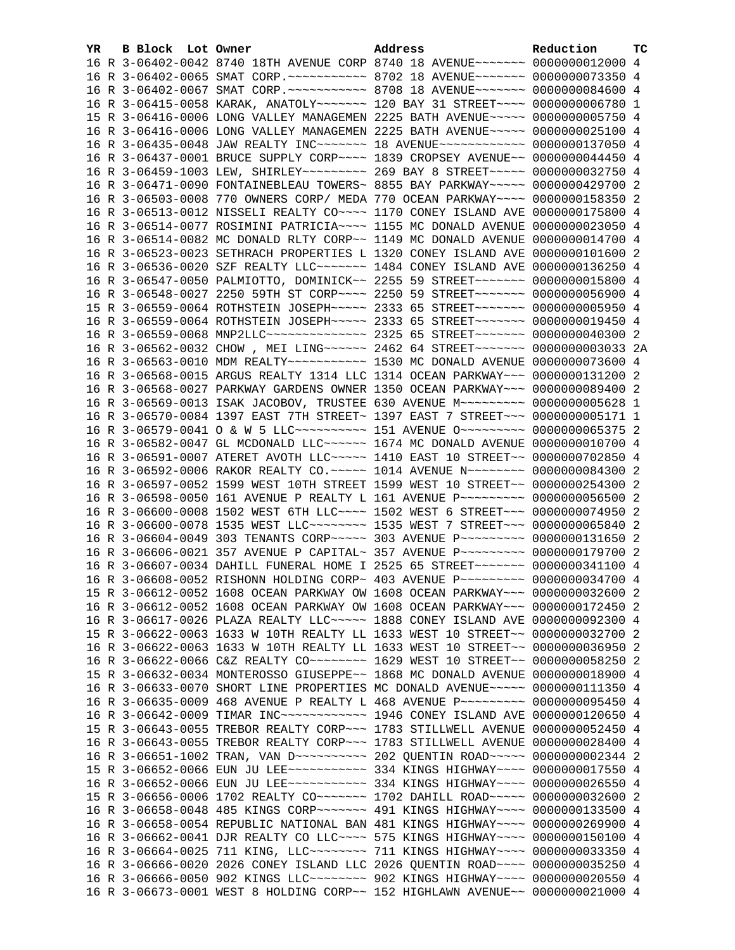| YR. | B Block Lot Owner |                                                                                     | Address | Reduction | <b>TC</b> |
|-----|-------------------|-------------------------------------------------------------------------------------|---------|-----------|-----------|
|     |                   | 16 R 3-06402-0042 8740 18TH AVENUE CORP 8740 18 AVENUE~~~~~~~ 0000000012000 4       |         |           |           |
|     |                   | 16 R 3-06402-0065 SMAT CORP. ~~~~~~~~~~~ 8702 18 AVENUE~~~~~~~ 0000000073350 4      |         |           |           |
|     |                   | 16 R 3-06402-0067 SMAT CORP. ~~~~~~~~~~~ 8708 18 AVENUE~~~~~~~ 0000000084600 4      |         |           |           |
|     |                   | 16 R 3-06415-0058 KARAK, ANATOLY~~~~~~~ 120 BAY 31 STREET~~~~ 0000000006780 1       |         |           |           |
|     |                   | 15 R 3-06416-0006 LONG VALLEY MANAGEMEN 2225 BATH AVENUE~~~~~ 0000000005750 4       |         |           |           |
|     |                   | 16 R 3-06416-0006 LONG VALLEY MANAGEMEN 2225 BATH AVENUE~~~~~ 0000000025100 4       |         |           |           |
|     |                   | 16 R 3-06435-0048 JAW REALTY INC~~~~~~~ 18 AVENUE~~~~~~~~~~~~ 0000000137050 4       |         |           |           |
|     |                   | 16 R 3-06437-0001 BRUCE SUPPLY CORP~~~~ 1839 CROPSEY AVENUE~~ 0000000044450 4       |         |           |           |
|     |                   | 16 R 3-06459-1003 LEW, SHIRLEY~~~~~~~~~~~~~~ 269 BAY 8 STREET~~~~~~ 0000000032750 4 |         |           |           |
|     |                   | 16 R 3-06471-0090 FONTAINEBLEAU TOWERS~ 8855 BAY PARKWAY~~~~~ 0000000429700 2       |         |           |           |
|     |                   | 16 R 3-06503-0008 770 OWNERS CORP/ MEDA 770 OCEAN PARKWAY~~~~ 0000000158350 2       |         |           |           |
|     |                   | 16 R 3-06513-0012 NISSELI REALTY CO~~~~ 1170 CONEY ISLAND AVE 0000000175800 4       |         |           |           |
|     |                   | 16 R 3-06514-0077 ROSIMINI PATRICIA~~~~ 1155 MC DONALD AVENUE 0000000023050 4       |         |           |           |
|     |                   | 16 R 3-06514-0082 MC DONALD RLTY CORP~~ 1149 MC DONALD AVENUE 0000000014700 4       |         |           |           |
|     |                   | 16 R 3-06523-0023 SETHRACH PROPERTIES L 1320 CONEY ISLAND AVE 0000000101600 2       |         |           |           |
|     |                   | 16 R 3-06536-0020 SZF REALTY LLC ------- 1484 CONEY ISLAND AVE 0000000136250 4      |         |           |           |
|     |                   | 16 R 3-06547-0050 PALMIOTTO, DOMINICK~~ 2255 59 STREET~~~~~~~ 0000000015800 4       |         |           |           |
|     |                   | 16 R 3-06548-0027 2250 59TH ST CORP~~~~ 2250 59 STREET~~~~~~~ 0000000056900 4       |         |           |           |
|     |                   | 15 R 3-06559-0064 ROTHSTEIN JOSEPH~~~~~ 2333 65 STREET~~~~~~~ 00000000005950 4      |         |           |           |
|     |                   | 16 R 3-06559-0064 ROTHSTEIN JOSEPH~~~~~ 2333 65 STREET~~~~~~~ 0000000019450 4       |         |           |           |
|     |                   | 16 R 3-06559-0068 MNP2LLC --------------- 2325 65 STREET ------- 0000000040300 2    |         |           |           |
|     |                   | 16 R 3-06562-0032 CHOW, MEI LING ~~~~~~ 2462 64 STREET ~~~~~~~ 0000000003033 2A     |         |           |           |
|     |                   |                                                                                     |         |           |           |
|     |                   | 16 R 3-06568-0015 ARGUS REALTY 1314 LLC 1314 OCEAN PARKWAY~~~ 0000000131200 2       |         |           |           |
|     |                   | 16 R 3-06568-0027 PARKWAY GARDENS OWNER 1350 OCEAN PARKWAY~~~ 0000000089400 2       |         |           |           |
|     |                   | 16 R 3-06569-0013 ISAK JACOBOV, TRUSTEE 630 AVENUE M~~~~~~~~~ 0000000005628 1       |         |           |           |
|     |                   | 16 R 3-06570-0084 1397 EAST 7TH STREET~ 1397 EAST 7 STREET~~~ 00000000005171 1      |         |           |           |
|     |                   | 16 R 3-06579-0041 O & W 5 LLC~~~~~~~~~~~~~~~ 151 AVENUE 0~~~~~~~~~~ 0000000065375 2 |         |           |           |
|     |                   | 16 R 3-06582-0047 GL MCDONALD LLC~~~~~~ 1674 MC DONALD AVENUE 0000000010700 4       |         |           |           |
|     |                   | 16 R 3-06591-0007 ATERET AVOTH LLC~~~~~ 1410 EAST 10 STREET~~ 0000000702850 4       |         |           |           |
|     |                   | 16 R 3-06592-0006 RAKOR REALTY CO. ~~~~~ 1014 AVENUE N~~~~~~~~ 0000000084300 2      |         |           |           |
|     |                   | 16 R 3-06597-0052 1599 WEST 10TH STREET 1599 WEST 10 STREET~~ 0000000254300 2       |         |           |           |
|     |                   | 16 R 3-06598-0050 161 AVENUE P REALTY L 161 AVENUE P~~~~~~~~~ 0000000056500 2       |         |           |           |
|     |                   | 16 R 3-06600-0008 1502 WEST 6TH LLC --- 1502 WEST 6 STREET -- 0000000074950 2       |         |           |           |
|     |                   | 16 R 3-06600-0078 1535 WEST LLC ------- 1535 WEST 7 STREET -- 0000000065840 2       |         |           |           |
|     |                   | 16 R 3-06604-0049 303 TENANTS CORP~~~~~ 303 AVENUE P~~~~~~~~~ 0000000131650 2       |         |           |           |
|     |                   | 16 R 3-06606-0021 357 AVENUE P CAPITAL~ 357 AVENUE P~~~~~~~~~ 0000000179700 2       |         |           |           |
|     |                   | 16 R 3-06607-0034 DAHILL FUNERAL HOME I 2525 65 STREET~~~~~~~ 0000000341100 4       |         |           |           |
|     |                   | 16 R 3-06608-0052 RISHONN HOLDING CORP~ 403 AVENUE P~~~~~~~~~ 0000000034700 4       |         |           |           |
|     |                   | 15 R 3-06612-0052 1608 OCEAN PARKWAY OW 1608 OCEAN PARKWAY~~~ 0000000032600 2       |         |           |           |
|     |                   | 16 R 3-06612-0052 1608 OCEAN PARKWAY OW 1608 OCEAN PARKWAY~~~ 0000000172450 2       |         |           |           |
|     |                   | 16 R 3-06617-0026 PLAZA REALTY LLC~~~~~ 1888 CONEY ISLAND AVE 0000000092300 4       |         |           |           |
|     |                   | 15 R 3-06622-0063 1633 W 10TH REALTY LL 1633 WEST 10 STREET~~ 0000000032700 2       |         |           |           |
|     |                   | 16 R 3-06622-0063 1633 W 10TH REALTY LL 1633 WEST 10 STREET~~ 0000000036950         |         |           | -2        |
|     |                   |                                                                                     |         |           | -2        |
|     |                   | 15 R 3-06632-0034 MONTEROSSO GIUSEPPE~~ 1868 MC DONALD AVENUE 0000000018900 4       |         |           |           |
|     |                   | 16 R 3-06633-0070 SHORT LINE PROPERTIES MC DONALD AVENUE~~~~~ 0000000111350 4       |         |           |           |
|     |                   | 16 R 3-06635-0009 468 AVENUE P REALTY L 468 AVENUE P~~~~~~~~~ 0000000095450 4       |         |           |           |
|     |                   | 16 R 3-06642-0009 TIMAR INC ------------ 1946 CONEY ISLAND AVE 0000000120650 4      |         |           |           |
|     |                   | 15 R 3-06643-0055 TREBOR REALTY CORP~~~ 1783 STILLWELL AVENUE 0000000052450 4       |         |           |           |
|     |                   | 16 R 3-06643-0055 TREBOR REALTY CORP~~~ 1783 STILLWELL AVENUE 0000000028400 4       |         |           |           |
|     |                   | 16 R 3-06651-1002 TRAN, VAN D --------- 202 QUENTIN ROAD ---- 0000000002344 2       |         |           |           |
|     |                   |                                                                                     |         |           | 4         |
|     |                   | 16 R 3-06652-0066 EUN JU LEE~~~~~~~~~~~ 334 KINGS HIGHWAY~~~~ 0000000026550 4       |         |           |           |
|     |                   | 15 R 3-06656-0006 1702 REALTY CO~~~~~~~ 1702 DAHILL ROAD~~~~~ 0000000032600 2       |         |           |           |
|     |                   | 16 R 3-06658-0048 485 KINGS CORP~~~~~~~ 491 KINGS HIGHWAY~~~~ 0000000133500 4       |         |           |           |
|     |                   | 16 R 3-06658-0054 REPUBLIC NATIONAL BAN 481 KINGS HIGHWAY~~~~ 0000000269900 4       |         |           |           |
|     |                   | 16 R 3-06662-0041 DJR REALTY CO LLC --- 575 KINGS HIGHWAY --- 0000000150100 4       |         |           |           |
|     |                   | 16 R 3-06664-0025 711 KING, LLC -------- 711 KINGS HIGHWAY --- 0000000033350 4      |         |           |           |
|     |                   | 16 R 3-06666-0020 2026 CONEY ISLAND LLC 2026 QUENTIN ROAD~~~~ 0000000035250 4       |         |           |           |
|     |                   | 16 R 3-06666-0050 902 KINGS LLC -------- 902 KINGS HIGHWAY --- 0000000020550 4      |         |           |           |
|     |                   | 16 R 3-06673-0001 WEST 8 HOLDING CORP~~ 152 HIGHLAWN AVENUE~~ 0000000021000 4       |         |           |           |
|     |                   |                                                                                     |         |           |           |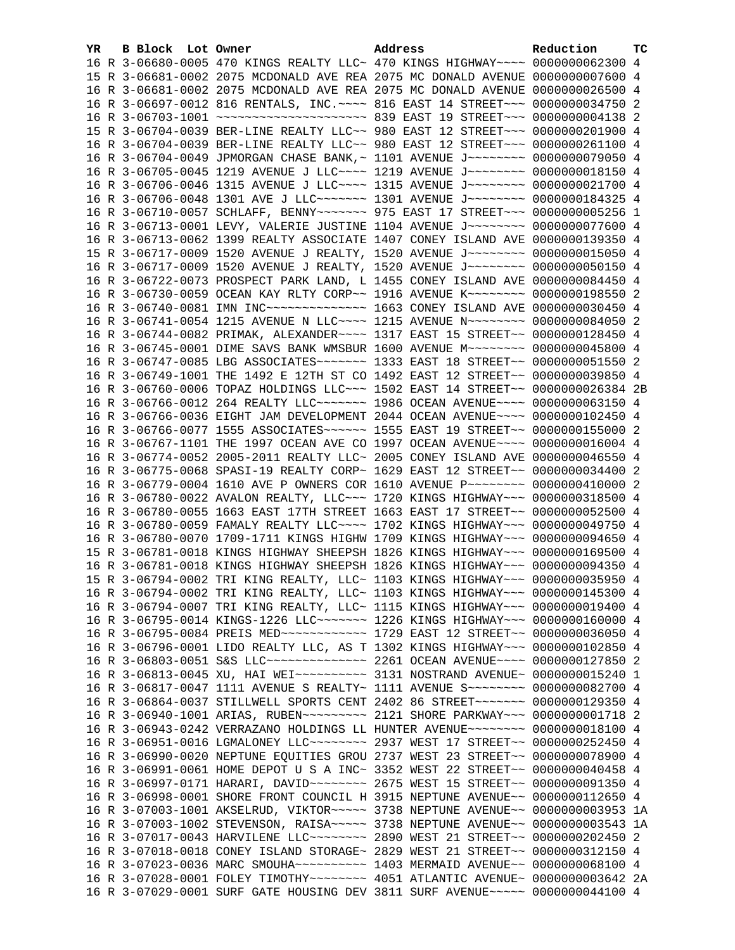| YR. | B Block Lot Owner |                                                                                    | Address | Reduction | тc |
|-----|-------------------|------------------------------------------------------------------------------------|---------|-----------|----|
|     |                   | 16 R 3-06680-0005 470 KINGS REALTY LLC~ 470 KINGS HIGHWAY~~~~ 0000000062300 4      |         |           |    |
|     |                   | 15 R 3-06681-0002 2075 MCDONALD AVE REA 2075 MC DONALD AVENUE 0000000007600 4      |         |           |    |
|     |                   | 16 R 3-06681-0002 2075 MCDONALD AVE REA 2075 MC DONALD AVENUE 0000000026500 4      |         |           |    |
|     |                   | 16 R 3-06697-0012 816 RENTALS, INC. ~~~~ 816 EAST 14 STREET~~~ 0000000034750 2     |         |           |    |
|     |                   |                                                                                    |         |           |    |
|     |                   | 15 R 3-06704-0039 BER-LINE REALTY LLC~~ 980 EAST 12 STREET~~~ 0000000201900 4      |         |           |    |
|     |                   | 16 R 3-06704-0039 BER-LINE REALTY LLC~~ 980 EAST 12 STREET~~~ 0000000261100 4      |         |           |    |
|     |                   | 16 R 3-06704-0049 JPMORGAN CHASE BANK, ~ 1101 AVENUE J~~~~~~~~~ 0000000079050 4    |         |           |    |
|     |                   | 16 R 3-06705-0045 1219 AVENUE J LLC --- 1219 AVENUE J ------- 0000000018150 4      |         |           |    |
|     |                   | 16 R 3-06706-0046 1315 AVENUE J LLC~~~~ 1315 AVENUE J~~~~~~~~ 0000000021700 4      |         |           |    |
|     |                   | 16 R 3-06706-0048 1301 AVE J LLC ------ 1301 AVENUE J ------- 0000000184325 4      |         |           |    |
|     |                   | 16 R 3-06710-0057 SCHLAFF, BENNY~~~~~~~ 975 EAST 17 STREET~~~ 00000000005256 1     |         |           |    |
|     |                   | 16 R 3-06713-0001 LEVY, VALERIE JUSTINE 1104 AVENUE J~~~~~~~~~ 0000000077600 4     |         |           |    |
|     |                   | 16 R 3-06713-0062 1399 REALTY ASSOCIATE 1407 CONEY ISLAND AVE 0000000139350 4      |         |           |    |
|     |                   | 15 R 3-06717-0009 1520 AVENUE J REALTY, 1520 AVENUE J~~~~~~~~ 0000000015050 4      |         |           |    |
|     |                   | 16 R 3-06717-0009 1520 AVENUE J REALTY, 1520 AVENUE J~~~~~~~~ 0000000050150 4      |         |           |    |
|     |                   | 16 R 3-06722-0073 PROSPECT PARK LAND, L 1455 CONEY ISLAND AVE 0000000084450 4      |         |           |    |
|     |                   | 16 R 3-06730-0059 OCEAN KAY RLTY CORP~~ 1916 AVENUE K~~~~~~~~ 0000000198550 2      |         |           |    |
|     |                   |                                                                                    |         |           |    |
|     |                   | 16 R 3-06741-0054 1215 AVENUE N LLC --- 1215 AVENUE N ------- 0000000084050 2      |         |           |    |
|     |                   | 16 R 3-06744-0082 PRIMAK, ALEXANDER~~~~ 1317 EAST 15 STREET~~ 0000000128450 4      |         |           |    |
|     |                   | 16 R 3-06745-0001 DIME SAVS BANK WMSBUR 1600 AVENUE M~~~~~~~~ 0000000045800 4      |         |           |    |
|     |                   | 16 R 3-06747-0085 LBG ASSOCIATES~~~~~~~ 1333 EAST 18 STREET~~ 0000000051550 2      |         |           |    |
|     |                   | 16 R 3-06749-1001 THE 1492 E 12TH ST CO 1492 EAST 12 STREET~~ 0000000039850 4      |         |           |    |
|     |                   | 16 R 3-06760-0006 TOPAZ HOLDINGS LLC~~~ 1502 EAST 14 STREET~~ 0000000026384 2B     |         |           |    |
|     |                   | 16 R 3-06766-0012 264 REALTY LLC ------ 1986 OCEAN AVENUE --- 0000000063150 4      |         |           |    |
|     |                   | 16 R 3-06766-0036 EIGHT JAM DEVELOPMENT 2044 OCEAN AVENUE~~~~ 0000000102450 4      |         |           |    |
|     |                   | 16 R 3-06766-0077 1555 ASSOCIATES~~~~~~ 1555 EAST 19 STREET~~ 0000000155000 2      |         |           |    |
|     |                   | 16 R 3-06767-1101 THE 1997 OCEAN AVE CO 1997 OCEAN AVENUE~~~~ 0000000016004 4      |         |           |    |
|     |                   | 16 R 3-06774-0052 2005-2011 REALTY LLC~ 2005 CONEY ISLAND AVE 0000000046550 4      |         |           |    |
|     |                   | 16 R 3-06775-0068 SPASI-19 REALTY CORP~ 1629 EAST 12 STREET~~ 0000000034400 2      |         |           |    |
|     |                   | 16 R 3-06779-0004 1610 AVE P OWNERS COR 1610 AVENUE P~~~~~~~~ 0000000410000 2      |         |           |    |
|     |                   | 16 R 3-06780-0022 AVALON REALTY, LLC~~~ 1720 KINGS HIGHWAY~~~ 0000000318500 4      |         |           |    |
|     |                   | 16 R 3-06780-0055 1663 EAST 17TH STREET 1663 EAST 17 STREET~~ 0000000052500 4      |         |           |    |
|     |                   | 16 R 3-06780-0059 FAMALY REALTY LLC~~~~ 1702 KINGS HIGHWAY~~~ 0000000049750 4      |         |           |    |
|     |                   | 16 R 3-06780-0070 1709-1711 KINGS HIGHW 1709 KINGS HIGHWAY~~~ 0000000094650 4      |         |           |    |
|     |                   | 15 R 3-06781-0018 KINGS HIGHWAY SHEEPSH 1826 KINGS HIGHWAY~~~ 0000000169500 4      |         |           |    |
|     |                   | 16 R 3-06781-0018 KINGS HIGHWAY SHEEPSH 1826 KINGS HIGHWAY~~~ 0000000094350 4      |         |           |    |
|     |                   | 15 R 3-06794-0002 TRI KING REALTY, LLC~ 1103 KINGS HIGHWAY~~~ 0000000035950 4      |         |           |    |
|     |                   | 16 R 3-06794-0002 TRI KING REALTY, LLC~ 1103 KINGS HIGHWAY~~~ 0000000145300 4      |         |           |    |
|     |                   | 16 R 3-06794-0007 TRI KING REALTY, LLC~ 1115 KINGS HIGHWAY~~~ 0000000019400 4      |         |           |    |
|     |                   | 16 R 3-06795-0014 KINGS-1226 LLC ------ 1226 KINGS HIGHWAY -- 0000000160000 4      |         |           |    |
|     |                   | 16 R 3-06795-0084 PREIS MED ------------ 1729 EAST 12 STREET -~ 0000000036050 4    |         |           |    |
|     |                   | 16 R 3-06796-0001 LIDO REALTY LLC, AS T 1302 KINGS HIGHWAY~~~ 0000000102850 4      |         |           |    |
|     |                   | 16 R 3-06803-0051 S&S LLC --------------- 2261 OCEAN AVENUE ---- 0000000127850 2   |         |           |    |
|     |                   |                                                                                    |         |           |    |
|     |                   | 16 R 3-06817-0047 1111 AVENUE S REALTY~ 1111 AVENUE S~~~~~~~~ 0000000082700 4      |         |           |    |
|     |                   | 16 R 3-06864-0037 STILLWELL SPORTS CENT 2402 86 STREET~~~~~~~~ 0000000129350 4     |         |           |    |
|     |                   | 16 R 3-06940-1001 ARIAS, RUBEN~~~~~~~~~ 2121 SHORE PARKWAY~~~ 00000000001718 2     |         |           |    |
|     |                   | 16 R 3-06943-0242 VERRAZANO HOLDINGS LL HUNTER AVENUE~~~~~~~~ 0000000018100 4      |         |           |    |
|     |                   | 16 R 3-06951-0016 LGMALONEY LLC~~~~~~~~ 2937 WEST 17 STREET~~ 0000000252450 4      |         |           |    |
|     |                   | 16 R 3-06990-0020 NEPTUNE EQUITIES GROU 2737 WEST 23 STREET~~ 0000000078900 4      |         |           |    |
|     |                   | 16 R 3-06991-0061 HOME DEPOT U S A INC~ 3352 WEST 22 STREET~~ 0000000040458 4      |         |           |    |
|     |                   | 16 R 3-06997-0171 HARARI, DAVID ~~~~~~~~ 2675 WEST 15 STREET ~~ 0000000091350 4    |         |           |    |
|     |                   | 16 R 3-06998-0001 SHORE FRONT COUNCIL H 3915 NEPTUNE AVENUE~~ 0000000112650 4      |         |           |    |
|     |                   | 16 R 3-07003-1001 AKSELRUD, VIKTOR~~~~~ 3738 NEPTUNE AVENUE~~ 0000000003953 1A     |         |           |    |
|     |                   | 16 R 3-07003-1002 STEVENSON, RAISA ~~~~~ 3738 NEPTUNE AVENUE ~~ 0000000003543 1A   |         |           |    |
|     |                   | 16 R 3-07017-0043 HARVILENE LLC ------- 2890 WEST 21 STREET -~ 0000000202450 2     |         |           |    |
|     |                   | 16 R 3-07018-0018 CONEY ISLAND STORAGE~ 2829 WEST 21 STREET~~ 0000000312150 4      |         |           |    |
|     |                   | 16 R 3-07023-0036 MARC SMOUHA~~~~~~~~~~~~~~~ 1403 MERMAID AVENUE~~ 0000000068100 4 |         |           |    |
|     |                   | 16 R 3-07028-0001 FOLEY TIMOTHY~~~~~~~~ 4051 ATLANTIC AVENUE~ 0000000003642 2A     |         |           |    |
|     |                   | 16 R 3-07029-0001 SURF GATE HOUSING DEV 3811 SURF AVENUE~~~~~ 0000000044100 4      |         |           |    |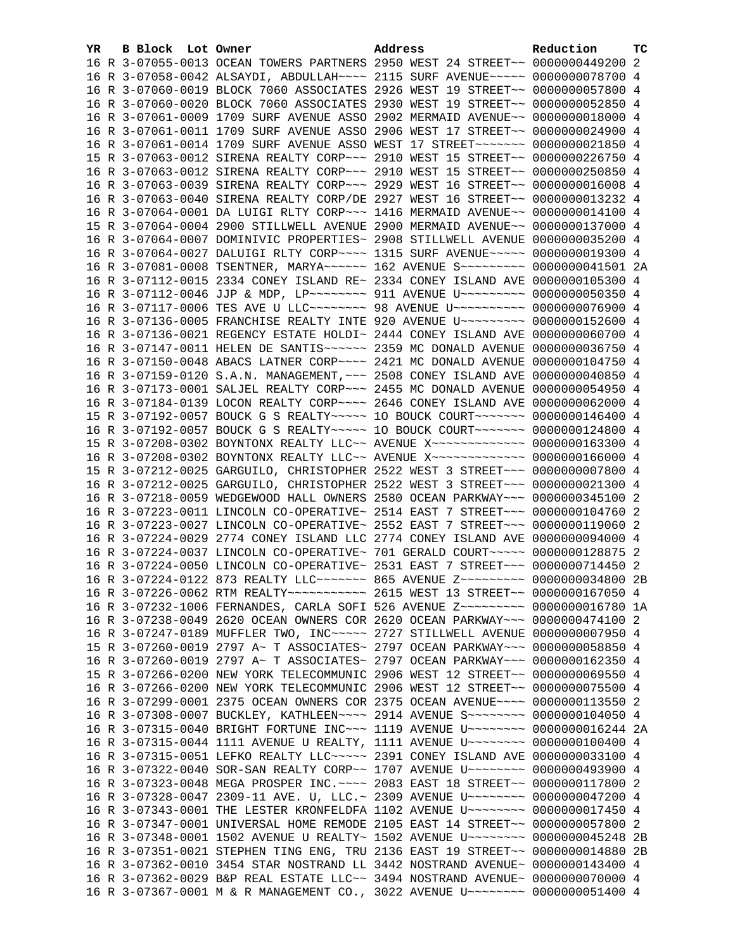| YR. | B Block Lot Owner | Address                                                                            | Reduction | тc |
|-----|-------------------|------------------------------------------------------------------------------------|-----------|----|
|     |                   | 16 R 3-07055-0013 OCEAN TOWERS PARTNERS 2950 WEST 24 STREET~~ 0000000449200 2      |           |    |
|     |                   | 16 R 3-07058-0042 ALSAYDI, ABDULLAH~~~~ 2115 SURF AVENUE~~~~~ 0000000078700 4      |           |    |
|     |                   | 16 R 3-07060-0019 BLOCK 7060 ASSOCIATES 2926 WEST 19 STREET~~ 0000000057800 4      |           |    |
|     |                   | 16 R 3-07060-0020 BLOCK 7060 ASSOCIATES 2930 WEST 19 STREET~~ 0000000052850 4      |           |    |
|     |                   | 16 R 3-07061-0009 1709 SURF AVENUE ASSO 2902 MERMAID AVENUE~~ 0000000018000 4      |           |    |
|     |                   | 16 R 3-07061-0011 1709 SURF AVENUE ASSO 2906 WEST 17 STREET~~ 0000000024900 4      |           |    |
|     |                   | 16 R 3-07061-0014 1709 SURF AVENUE ASSO WEST 17 STREET~~~~~~~ 0000000021850 4      |           |    |
|     |                   | 15 R 3-07063-0012 SIRENA REALTY CORP~~~ 2910 WEST 15 STREET~~ 0000000226750 4      |           |    |
|     |                   | 16 R 3-07063-0012 SIRENA REALTY CORP~~~ 2910 WEST 15 STREET~~ 0000000250850 4      |           |    |
|     |                   | 16 R 3-07063-0039 SIRENA REALTY CORP~~~ 2929 WEST 16 STREET~~ 0000000016008 4      |           |    |
|     |                   | 16 R 3-07063-0040 SIRENA REALTY CORP/DE 2927 WEST 16 STREET~~ 0000000013232 4      |           |    |
|     |                   | 16 R 3-07064-0001 DA LUIGI RLTY CORP~~~ 1416 MERMAID AVENUE~~ 0000000014100 4      |           |    |
|     |                   | 15 R 3-07064-0004 2900 STILLWELL AVENUE 2900 MERMAID AVENUE~~ 0000000137000 4      |           |    |
|     |                   | 16 R 3-07064-0007 DOMINIVIC PROPERTIES~ 2908 STILLWELL AVENUE 0000000035200 4      |           |    |
|     |                   | 16 R 3-07064-0027 DALUIGI RLTY CORP~~~~ 1315 SURF AVENUE~~~~~ 0000000019300 4      |           |    |
|     |                   | 16 R 3-07081-0008 TSENTNER, MARYA~~~~~~ 162 AVENUE S~~~~~~~~~ 0000000041501 2A     |           |    |
|     |                   | 16 R 3-07112-0015 2334 CONEY ISLAND RE~ 2334 CONEY ISLAND AVE 0000000105300 4      |           |    |
|     |                   | 16 R 3-07112-0046 JJP & MDP, LP -------- 911 AVENUE U -------- 0000000050350 4     |           |    |
|     |                   | 16 R 3-07117-0006 TES AVE U LLC~~~~~~~~ 98 AVENUE U~~~~~~~~~~ 0000000076900 4      |           |    |
|     |                   | 16 R 3-07136-0005 FRANCHISE REALTY INTE 920 AVENUE U~~~~~~~~~ 0000000152600 4      |           |    |
|     |                   | 16 R 3-07136-0021 REGENCY ESTATE HOLDI~ 2444 CONEY ISLAND AVE 0000000060700 4      |           |    |
|     |                   | 16 R 3-07147-0011 HELEN DE SANTIS~~~~~~ 2359 MC DONALD AVENUE 0000000036750 4      |           |    |
|     |                   | 16 R 3-07150-0048 ABACS LATNER CORP~~~~ 2421 MC DONALD AVENUE 0000000104750 4      |           |    |
|     |                   | 16 R 3-07159-0120 S.A.N. MANAGEMENT, ~~~ 2508 CONEY ISLAND AVE 0000000040850 4     |           |    |
|     |                   | 16 R 3-07173-0001 SALJEL REALTY CORP~~~ 2455 MC DONALD AVENUE 0000000054950 4      |           |    |
|     |                   | 16 R 3-07184-0139 LOCON REALTY CORP~~~~ 2646 CONEY ISLAND AVE 0000000062000 4      |           |    |
|     |                   | 15 R 3-07192-0057 BOUCK G S REALTY~~~~~ 10 BOUCK COURT~~~~~~~ 0000000146400 4      |           |    |
|     |                   | 16 R 3-07192-0057 BOUCK G S REALTY~~~~~ 10 BOUCK COURT~~~~~~~ 0000000124800 4      |           |    |
|     |                   | 15 R 3-07208-0302 BOYNTONX REALTY LLC~~ AVENUE X~~~~~~~~~~~~~ 0000000163300 4      |           |    |
|     |                   | 16 R 3-07208-0302 BOYNTONX REALTY LLC~~ AVENUE X~~~~~~~~~~~~~ 0000000166000 4      |           |    |
|     |                   | 15 R 3-07212-0025 GARGUILO, CHRISTOPHER 2522 WEST 3 STREET~~~ 0000000007800 4      |           |    |
|     |                   | 16 R 3-07212-0025 GARGUILO, CHRISTOPHER 2522 WEST 3 STREET~~~ 0000000021300 4      |           |    |
|     |                   | 16 R 3-07218-0059 WEDGEWOOD HALL OWNERS 2580 OCEAN PARKWAY~~~ 0000000345100 2      |           |    |
|     |                   | 16 R 3-07223-0011 LINCOLN CO-OPERATIVE~ 2514 EAST 7 STREET~~~ 0000000104760 2      |           |    |
|     |                   | 16 R 3-07223-0027 LINCOLN CO-OPERATIVE~ 2552 EAST 7 STREET~~~ 0000000119060 2      |           |    |
|     |                   | 16 R 3-07224-0029 2774 CONEY ISLAND LLC 2774 CONEY ISLAND AVE 0000000094000 4      |           |    |
|     |                   | 16 R 3-07224-0037 LINCOLN CO-OPERATIVE~ 701 GERALD COURT~~~~~ 0000000128875 2      |           |    |
|     |                   | 16 R 3-07224-0050 LINCOLN CO-OPERATIVE~ 2531 EAST 7 STREET~~~ 0000000714450 2      |           |    |
|     |                   | 16 R 3-07224-0122 873 REALTY LLC ------ 865 AVENUE Z -------- 0000000034800 2B     |           |    |
|     |                   | 16 R 3-07226-0062 RTM REALTY~~~~~~~~~~~~~~~~ 2615 WEST 13 STREET~~ 0000000167050 4 |           |    |
|     |                   | 16 R 3-07232-1006 FERNANDES, CARLA SOFI 526 AVENUE Z~~~~~~~~~ 0000000016780 1A     |           |    |
|     |                   | 16 R 3-07238-0049 2620 OCEAN OWNERS COR 2620 OCEAN PARKWAY~~~ 0000000474100 2      |           |    |
|     |                   | 16 R 3-07247-0189 MUFFLER TWO, INC~~~~~ 2727 STILLWELL AVENUE 0000000007950 4      |           |    |
|     |                   | 15 R 3-07260-0019 2797 A~ T ASSOCIATES~ 2797 OCEAN PARKWAY~~~ 0000000058850 4      |           |    |
|     |                   | 16 R 3-07260-0019 2797 A~ T ASSOCIATES~ 2797 OCEAN PARKWAY~~~ 0000000162350 4      |           |    |
|     |                   | 15 R 3-07266-0200 NEW YORK TELECOMMUNIC 2906 WEST 12 STREET~~ 0000000069550 4      |           |    |
|     |                   | 16 R 3-07266-0200 NEW YORK TELECOMMUNIC 2906 WEST 12 STREET~~ 0000000075500 4      |           |    |
|     |                   | 16 R 3-07299-0001 2375 OCEAN OWNERS COR 2375 OCEAN AVENUE~~~~ 0000000113550 2      |           |    |
|     |                   | 16 R 3-07308-0007 BUCKLEY, KATHLEEN~~~~ 2914 AVENUE S~~~~~~~~ 0000000104050 4      |           |    |
|     |                   | 16 R 3-07315-0040 BRIGHT FORTUNE INC~~~ 1119 AVENUE U~~~~~~~~ 0000000016244 2A     |           |    |
|     |                   | 16 R 3-07315-0044 1111 AVENUE U REALTY, 1111 AVENUE U~~~~~~~~ 0000000100400 4      |           |    |
|     |                   | 16 R 3-07315-0051 LEFKO REALTY LLC ---- 2391 CONEY ISLAND AVE 0000000033100 4      |           |    |
|     |                   | 16 R 3-07322-0040 SOR-SAN REALTY CORP~~ 1707 AVENUE U~~~~~~~~ 0000000493900 4      |           |    |
|     |                   | 16 R 3-07323-0048 MEGA PROSPER INC. ~~~~ 2083 EAST 18 STREET~~ 0000000117800 2     |           |    |
|     |                   | 16 R 3-07328-0047 2309-11 AVE. U, LLC.~ 2309 AVENUE U~~~~~~~~~ 0000000047200 4     |           |    |
|     |                   | 16 R 3-07343-0001 THE LESTER KRONFELDFA 1102 AVENUE U~~~~~~~~ 0000000017450 4      |           |    |
|     |                   | 16 R 3-07347-0001 UNIVERSAL HOME REMODE 2105 EAST 14 STREET~~ 0000000057800 2      |           |    |
|     |                   | 16 R 3-07348-0001 1502 AVENUE U REALTY~ 1502 AVENUE U~~~~~~~~ 0000000045248 2B     |           |    |
|     |                   | 16 R 3-07351-0021 STEPHEN TING ENG, TRU 2136 EAST 19 STREET~~ 0000000014880 2B     |           |    |
|     |                   | 16 R 3-07362-0010 3454 STAR NOSTRAND LL 3442 NOSTRAND AVENUE~ 0000000143400 4      |           |    |
|     |                   | 16 R 3-07362-0029 B&P REAL ESTATE LLC~~ 3494 NOSTRAND AVENUE~ 0000000070000 4      |           |    |
|     |                   | 16 R 3-07367-0001 M & R MANAGEMENT CO., 3022 AVENUE U~~~~~~~~ 0000000051400 4      |           |    |
|     |                   |                                                                                    |           |    |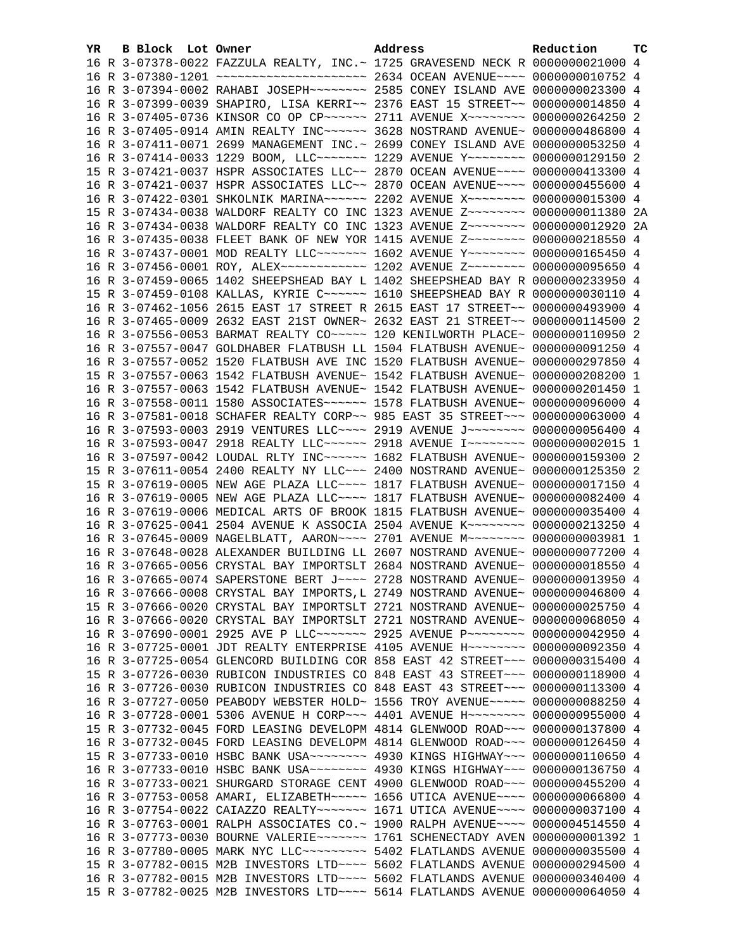| YR | B Block Lot Owner |                                                                                        | Address | Reduction | тc |
|----|-------------------|----------------------------------------------------------------------------------------|---------|-----------|----|
|    |                   | 16 R 3-07378-0022 FAZZULA REALTY, INC. ~ 1725 GRAVESEND NECK R 0000000021000 4         |         |           |    |
|    |                   |                                                                                        |         |           |    |
|    |                   | 16 R 3-07394-0002 RAHABI JOSEPH~~~~~~~~ 2585 CONEY ISLAND AVE 0000000023300 4          |         |           |    |
|    |                   | 16 R 3-07399-0039 SHAPIRO, LISA KERRI~~ 2376 EAST 15 STREET~~ 0000000014850 4          |         |           |    |
|    |                   | 16 R 3-07405-0736 KINSOR CO OP CP~~~~~~ 2711 AVENUE X~~~~~~~~ 0000000264250 2          |         |           |    |
|    |                   | 16 R 3-07405-0914 AMIN REALTY INC~~~~~~ 3628 NOSTRAND AVENUE~ 0000000486800 4          |         |           |    |
|    |                   | 16 R 3-07411-0071 2699 MANAGEMENT INC.~ 2699 CONEY ISLAND AVE 0000000053250 4          |         |           |    |
|    |                   | 16 R 3-07414-0033 1229 BOOM, LLC ------- 1229 AVENUE Y ------- 0000000129150 2         |         |           |    |
|    |                   | 15 R 3-07421-0037 HSPR ASSOCIATES LLC~~ 2870 OCEAN AVENUE~~~~ 0000000413300 4          |         |           |    |
|    |                   | 16 R 3-07421-0037 HSPR ASSOCIATES LLC~~ 2870 OCEAN AVENUE~~~~ 0000000455600 4          |         |           |    |
|    |                   | 16 R 3-07422-0301 SHKOLNIK MARINA~~~~~~ 2202 AVENUE X~~~~~~~~ 0000000015300 4          |         |           |    |
|    |                   | 15 R 3-07434-0038 WALDORF REALTY CO INC 1323 AVENUE Z~~~~~~~~ 00000000011380 2A        |         |           |    |
|    |                   | 16 R 3-07434-0038 WALDORF REALTY CO INC 1323 AVENUE Z~~~~~~~~ 0000000012920 2A         |         |           |    |
|    |                   | 16 R 3-07435-0038 FLEET BANK OF NEW YOR 1415 AVENUE Z~~~~~~~~ 0000000218550 4          |         |           |    |
|    |                   | 16 R 3-07437-0001 MOD REALTY LLC~~~~~~~ 1602 AVENUE Y~~~~~~~~ 0000000165450 4          |         |           |    |
|    |                   | 16 R 3-07456-0001 ROY, ALEX~~~~~~~~~~~~~~~~ 1202 AVENUE Z~~~~~~~~~ 0000000095650 4     |         |           |    |
|    |                   | 16 R 3-07459-0065 1402 SHEEPSHEAD BAY L 1402 SHEEPSHEAD BAY R 0000000233950 4          |         |           |    |
|    |                   | 15 R 3-07459-0108 KALLAS, KYRIE C~~~~~~ 1610 SHEEPSHEAD BAY R 0000000030110 4          |         |           |    |
|    |                   | 16 R 3-07462-1056 2615 EAST 17 STREET R 2615 EAST 17 STREET~~ 0000000493900 4          |         |           |    |
|    |                   | 16 R 3-07465-0009 2632 EAST 21ST OWNER~ 2632 EAST 21 STREET~~ 0000000114500 2          |         |           |    |
|    |                   | 16 R 3-07556-0053 BARMAT REALTY CO~~~~~ 120 KENILWORTH PLACE~ 0000000110950 2          |         |           |    |
|    |                   | 16 R 3-07557-0047 GOLDHABER FLATBUSH LL 1504 FLATBUSH AVENUE~ 0000000091250 4          |         |           |    |
|    |                   | 16 R 3-07557-0052 1520 FLATBUSH AVE INC 1520 FLATBUSH AVENUE~ 0000000297850 4          |         |           |    |
|    |                   | 15 R 3-07557-0063 1542 FLATBUSH AVENUE~ 1542 FLATBUSH AVENUE~ 0000000208200 1          |         |           |    |
|    |                   | 16 R 3-07557-0063 1542 FLATBUSH AVENUE~ 1542 FLATBUSH AVENUE~ 0000000201450 1          |         |           |    |
|    |                   | 16 R 3-07558-0011 1580 ASSOCIATES~~~~~~ 1578 FLATBUSH AVENUE~ 0000000096000 4          |         |           |    |
|    |                   | 16 R 3-07581-0018 SCHAFER REALTY CORP~~ 985 EAST 35 STREET~~~ 0000000063000 4          |         |           |    |
|    |                   | 16 R 3-07593-0003 2919 VENTURES LLC~~~~ 2919 AVENUE J~~~~~~~~ 0000000056400 4          |         |           |    |
|    |                   | 16 R 3-07593-0047 2918 REALTY LLC~~~~~~ 2918 AVENUE I~~~~~~~~ 0000000002015 1          |         |           |    |
|    |                   | 16 R 3-07597-0042 LOUDAL RLTY INC~~~~~~ 1682 FLATBUSH AVENUE~ 0000000159300 2          |         |           |    |
|    |                   | 15 R 3-07611-0054 2400 REALTY NY LLC ~~~ 2400 NOSTRAND AVENUE~ 0000000125350 2         |         |           |    |
|    |                   | 15 R 3-07619-0005 NEW AGE PLAZA LLC~~~~ 1817 FLATBUSH AVENUE~ 0000000017150 4          |         |           |    |
|    |                   | 16 R 3-07619-0005 NEW AGE PLAZA LLC --- 1817 FLATBUSH AVENUE ~ 0000000082400 4         |         |           |    |
|    |                   | 16 R 3-07619-0006 MEDICAL ARTS OF BROOK 1815 FLATBUSH AVENUE~ 0000000035400 4          |         |           |    |
|    |                   | 16 R 3-07625-0041 2504 AVENUE K ASSOCIA 2504 AVENUE K~~~~~~~~ 0000000213250 4          |         |           |    |
|    |                   | 16 R 3-07645-0009 NAGELBLATT, AARON~~~~ 2701 AVENUE M~~~~~~~~ 0000000003981 1          |         |           |    |
|    |                   | 16 R 3-07648-0028 ALEXANDER BUILDING LL 2607 NOSTRAND AVENUE~ 0000000077200 4          |         |           |    |
|    |                   | 16 R 3-07665-0056 CRYSTAL BAY IMPORTSLT 2684 NOSTRAND AVENUE~ 0000000018550 4          |         |           |    |
|    |                   | 16 R 3-07665-0074 SAPERSTONE BERT J~~~~ 2728 NOSTRAND AVENUE~ 0000000013950 4          |         |           |    |
|    |                   | 16 R 3-07666-0008 CRYSTAL BAY IMPORTS, L 2749 NOSTRAND AVENUE~ 0000000046800 4         |         |           |    |
|    |                   | 15 R 3-07666-0020 CRYSTAL BAY IMPORTSLT 2721 NOSTRAND AVENUE~ 0000000025750 4          |         |           |    |
|    |                   | 16 R 3-07666-0020 CRYSTAL BAY IMPORTSLT 2721 NOSTRAND AVENUE~ 0000000068050 4          |         |           |    |
|    |                   | 16 R 3-07690-0001 2925 AVE P LLC~~~~~~~~~~~~ 2925 AVENUE P~~~~~~~~~~~~~~ 0000000042950 |         |           | 4  |
|    |                   | 16 R 3-07725-0001 JDT REALTY ENTERPRISE 4105 AVENUE H~~~~~~~~~ 0000000092350           |         |           | 4  |
|    |                   | 16 R 3-07725-0054 GLENCORD BUILDING COR 858 EAST 42 STREET~~~ 0000000315400 4          |         |           |    |
|    |                   | 15 R 3-07726-0030 RUBICON INDUSTRIES CO 848 EAST 43 STREET~~~ 0000000118900 4          |         |           |    |
|    |                   | 16 R 3-07726-0030 RUBICON INDUSTRIES CO 848 EAST 43 STREET~~~ 0000000113300 4          |         |           |    |
|    |                   | 16 R 3-07727-0050 PEABODY WEBSTER HOLD~ 1556 TROY AVENUE~~~~~ 0000000088250 4          |         |           |    |
|    |                   | 16 R 3-07728-0001 5306 AVENUE H CORP~~~ 4401 AVENUE H~~~~~~~~ 0000000955000 4          |         |           |    |
|    |                   | 15 R 3-07732-0045 FORD LEASING DEVELOPM 4814 GLENWOOD ROAD~~~ 0000000137800 4          |         |           |    |
|    |                   | 16 R 3-07732-0045 FORD LEASING DEVELOPM 4814 GLENWOOD ROAD~~~ 0000000126450 4          |         |           |    |
|    |                   | 15 R 3-07733-0010 HSBC BANK USA~~~~~~~~ 4930 KINGS HIGHWAY~~~ 0000000110650 4          |         |           |    |
|    |                   | 16 R 3-07733-0010 HSBC BANK USA~~~~~~~~ 4930 KINGS HIGHWAY~~~ 0000000136750            |         |           | 4  |
|    |                   | 16 R 3-07733-0021 SHURGARD STORAGE CENT 4900 GLENWOOD ROAD~~~ 0000000455200 4          |         |           |    |
|    |                   | 16 R 3-07753-0058 AMARI, ELIZABETH~~~~~ 1656 UTICA AVENUE~~~~ 0000000066800 4          |         |           |    |
|    |                   | 16 R 3-07754-0022 CAIAZZO REALTY~~~~~~~ 1671 UTICA AVENUE~~~~ 0000000037100 4          |         |           |    |
|    |                   | 16 R 3-07763-0001 RALPH ASSOCIATES CO.~ 1900 RALPH AVENUE~~~~ 0000004514550 4          |         |           |    |
|    |                   | 16 R 3-07773-0030 BOURNE VALERIE~~~~~~~ 1761 SCHENECTADY AVEN 0000000001392 1          |         |           |    |
|    |                   | 16 R 3-07780-0005 MARK NYC LLC --------- 5402 FLATLANDS AVENUE 0000000035500 4         |         |           |    |
|    |                   | 15 R 3-07782-0015 M2B INVESTORS LTD ~~~~ 5602 FLATLANDS AVENUE 0000000294500 4         |         |           |    |
|    |                   | 16 R 3-07782-0015 M2B INVESTORS LTD ~~~~ 5602 FLATLANDS AVENUE 0000000340400 4         |         |           |    |
|    |                   | 15 R 3-07782-0025 M2B INVESTORS LTD ~~~~ 5614 FLATLANDS AVENUE 0000000064050 4         |         |           |    |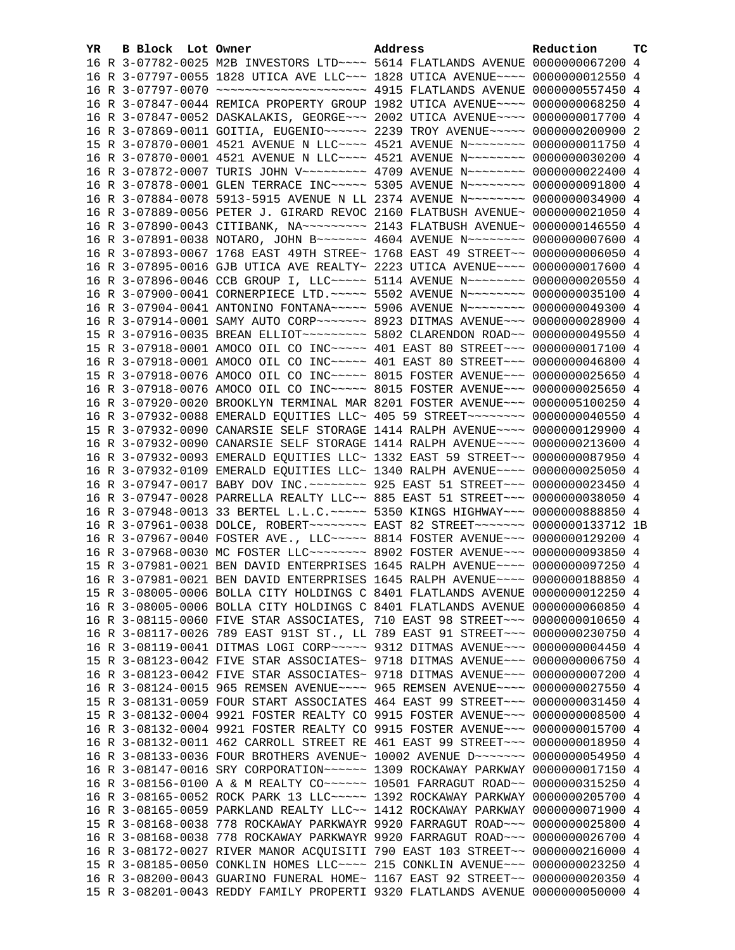| YR. | B Block Lot Owner |                                                                                 | Address | Reduction | тc |
|-----|-------------------|---------------------------------------------------------------------------------|---------|-----------|----|
|     |                   | 16 R 3-07782-0025 M2B INVESTORS LTD ~~~~ 5614 FLATLANDS AVENUE 0000000067200 4  |         |           |    |
|     |                   | 16 R 3-07797-0055 1828 UTICA AVE LLC~~~ 1828 UTICA AVENUE~~~~ 0000000012550 4   |         |           |    |
|     |                   |                                                                                 |         |           |    |
|     |                   | 16 R 3-07847-0044 REMICA PROPERTY GROUP 1982 UTICA AVENUE~~~~ 0000000068250 4   |         |           |    |
|     |                   | 16 R 3-07847-0052 DASKALAKIS, GEORGE~~~ 2002 UTICA AVENUE~~~~ 0000000017700 4   |         |           |    |
|     |                   | 16 R 3-07869-0011 GOITIA, EUGENIO~~~~~~ 2239 TROY AVENUE~~~~~ 0000000200900 2   |         |           |    |
|     |                   | 15 R 3-07870-0001 4521 AVENUE N LLC~~~~ 4521 AVENUE N~~~~~~~~ 0000000011750 4   |         |           |    |
|     |                   | 16 R 3-07870-0001 4521 AVENUE N LLC~~~~ 4521 AVENUE N~~~~~~~~ 0000000030200 4   |         |           |    |
|     |                   | 16 R 3-07872-0007 TURIS JOHN V~~~~~~~~~ 4709 AVENUE N~~~~~~~~ 0000000022400 4   |         |           |    |
|     |                   | 16 R 3-07878-0001 GLEN TERRACE INC~~~~~ 5305 AVENUE N~~~~~~~~ 0000000091800 4   |         |           |    |
|     |                   | 16 R 3-07884-0078 5913-5915 AVENUE N LL 2374 AVENUE N~~~~~~~~ 0000000034900 4   |         |           |    |
|     |                   | 16 R 3-07889-0056 PETER J. GIRARD REVOC 2160 FLATBUSH AVENUE~ 0000000021050 4   |         |           |    |
|     |                   | 16 R 3-07890-0043 CITIBANK, NA~~~~~~~~~~ 2143 FLATBUSH AVENUE~ 0000000146550 4  |         |           |    |
|     |                   | 16 R 3-07891-0038 NOTARO, JOHN B~~~~~~~ 4604 AVENUE N~~~~~~~~ 0000000007600 4   |         |           |    |
|     |                   | 16 R 3-07893-0067 1768 EAST 49TH STREE~ 1768 EAST 49 STREET~~ 00000000006050 4  |         |           |    |
|     |                   | 16 R 3-07895-0016 GJB UTICA AVE REALTY~ 2223 UTICA AVENUE~~~~ 0000000017600 4   |         |           |    |
|     |                   | 16 R 3-07896-0046 CCB GROUP I, LLC~~~~~ 5114 AVENUE N~~~~~~~~~ 0000000020550 4  |         |           |    |
|     |                   | 16 R 3-07900-0041 CORNERPIECE LTD. ~~~~~ 5502 AVENUE N~~~~~~~~ 0000000035100 4  |         |           |    |
|     |                   | 16 R 3-07904-0041 ANTONINO FONTANA~~~~~ 5906 AVENUE N~~~~~~~~ 0000000049300 4   |         |           |    |
|     |                   | 16 R 3-07914-0001 SAMY AUTO CORP~~~~~~~ 8923 DITMAS AVENUE~~~ 0000000028900 4   |         |           |    |
|     |                   | 15 R 3-07916-0035 BREAN ELLIOT -------- 5802 CLARENDON ROAD -~ 0000000049550 4  |         |           |    |
|     |                   | 15 R 3-07918-0001 AMOCO OIL CO INC~~~~~ 401 EAST 80 STREET~~~ 0000000017100 4   |         |           |    |
|     |                   | 16 R 3-07918-0001 AMOCO OIL CO INC~~~~~ 401 EAST 80 STREET~~~ 0000000046800 4   |         |           |    |
|     |                   | 15 R 3-07918-0076 AMOCO OIL CO INC~~~~~ 8015 FOSTER AVENUE~~~ 0000000025650 4   |         |           |    |
|     |                   | 16 R 3-07918-0076 AMOCO OIL CO INC~~~~~ 8015 FOSTER AVENUE~~~ 0000000025650 4   |         |           |    |
|     |                   | 16 R 3-07920-0020 BROOKLYN TERMINAL MAR 8201 FOSTER AVENUE~~~ 0000005100250 4   |         |           |    |
|     |                   | 16 R 3-07932-0088 EMERALD EQUITIES LLC~ 405 59 STREET~~~~~~~~~ 0000000040550 4  |         |           |    |
|     |                   | 15 R 3-07932-0090 CANARSIE SELF STORAGE 1414 RALPH AVENUE~~~~ 0000000129900 4   |         |           |    |
|     |                   | 16 R 3-07932-0090 CANARSIE SELF STORAGE 1414 RALPH AVENUE~~~~ 0000000213600 4   |         |           |    |
|     |                   | 16 R 3-07932-0093 EMERALD EQUITIES LLC~ 1332 EAST 59 STREET~~ 0000000087950 4   |         |           |    |
|     |                   | 16 R 3-07932-0109 EMERALD EQUITIES LLC~ 1340 RALPH AVENUE~~~~ 0000000025050 4   |         |           |    |
|     |                   | 16 R 3-07947-0017 BABY DOV INC. ~~~~~~~~ 925 EAST 51 STREET~~~ 0000000023450 4  |         |           |    |
|     |                   | 16 R 3-07947-0028 PARRELLA REALTY LLC~~ 885 EAST 51 STREET~~~ 0000000038050 4   |         |           |    |
|     |                   | 16 R 3-07948-0013 33 BERTEL L.L.C. ~~~~~ 5350 KINGS HIGHWAY~~~ 0000000888850 4  |         |           |    |
|     |                   | 16 R 3-07961-0038 DOLCE, ROBERT~~~~~~~~ EAST 82 STREET~~~~~~~ 0000000133712 1B  |         |           |    |
|     |                   | 16 R 3-07967-0040 FOSTER AVE., LLC ~~~~~ 8814 FOSTER AVENUE ~~~ 0000000129200 4 |         |           |    |
|     |                   | 16 R 3-07968-0030 MC FOSTER LLC ------- 8902 FOSTER AVENUE -- 0000000093850 4   |         |           |    |
|     |                   | 15 R 3-07981-0021 BEN DAVID ENTERPRISES 1645 RALPH AVENUE~~~~ 0000000097250 4   |         |           |    |
|     |                   | 16 R 3-07981-0021 BEN DAVID ENTERPRISES 1645 RALPH AVENUE~~~~ 0000000188850 4   |         |           |    |
|     |                   | 15 R 3-08005-0006 BOLLA CITY HOLDINGS C 8401 FLATLANDS AVENUE 0000000012250 4   |         |           |    |
|     |                   | 16 R 3-08005-0006 BOLLA CITY HOLDINGS C 8401 FLATLANDS AVENUE 0000000060850 4   |         |           |    |
|     |                   | 16 R 3-08115-0060 FIVE STAR ASSOCIATES, 710 EAST 98 STREET~~~ 0000000010650 4   |         |           |    |
|     |                   | 16 R 3-08117-0026 789 EAST 91ST ST., LL 789 EAST 91 STREET~~~ 0000000230750 4   |         |           |    |
|     |                   | 16 R 3-08119-0041 DITMAS LOGI CORP~~~~~ 9312 DITMAS AVENUE~~~ 0000000004450 4   |         |           |    |
|     |                   | 15 R 3-08123-0042 FIVE STAR ASSOCIATES~ 9718 DITMAS AVENUE~~~ 0000000006750 4   |         |           |    |
|     |                   | 16 R 3-08123-0042 FIVE STAR ASSOCIATES~ 9718 DITMAS AVENUE~~~ 0000000007200 4   |         |           |    |
|     |                   | 16 R 3-08124-0015 965 REMSEN AVENUE~~~~ 965 REMSEN AVENUE~~~~ 0000000027550 4   |         |           |    |
|     |                   | 15 R 3-08131-0059 FOUR START ASSOCIATES 464 EAST 99 STREET~~~ 0000000031450 4   |         |           |    |
|     |                   | 15 R 3-08132-0004 9921 FOSTER REALTY CO 9915 FOSTER AVENUE~~~ 00000000008500 4  |         |           |    |
|     |                   | 16 R 3-08132-0004 9921 FOSTER REALTY CO 9915 FOSTER AVENUE~~~ 0000000015700 4   |         |           |    |
|     |                   | 16 R 3-08132-0011 462 CARROLL STREET RE 461 EAST 99 STREET~~~ 0000000018950 4   |         |           |    |
|     |                   | 16 R 3-08133-0036 FOUR BROTHERS AVENUE~ 10002 AVENUE D~~~~~~~ 0000000054950 4   |         |           |    |
|     |                   | 16 R 3-08147-0016 SRY CORPORATION~~~~~~ 1309 ROCKAWAY PARKWAY 0000000017150 4   |         |           |    |
|     |                   | 16 R 3-08156-0100 A & M REALTY CO~~~~~~ 10501 FARRAGUT ROAD~~ 0000000315250 4   |         |           |    |
|     |                   | 16 R 3-08165-0052 ROCK PARK 13 LLC ~~~~~ 1392 ROCKAWAY PARKWAY 0000000205700 4  |         |           |    |
|     |                   | 16 R 3-08165-0059 PARKLAND REALTY LLC~~ 1412 ROCKAWAY PARKWAY 0000000071900 4   |         |           |    |
|     |                   | 15 R 3-08168-0038 778 ROCKAWAY PARKWAYR 9920 FARRAGUT ROAD~~~ 0000000025800 4   |         |           |    |
|     |                   | 16 R 3-08168-0038 778 ROCKAWAY PARKWAYR 9920 FARRAGUT ROAD~~~ 0000000026700 4   |         |           |    |
|     |                   | 16 R 3-08172-0027 RIVER MANOR ACQUISITI 790 EAST 103 STREET~~ 0000000216000 4   |         |           |    |
|     |                   | 15 R 3-08185-0050 CONKLIN HOMES LLC ~~~~ 215 CONKLIN AVENUE ~~~ 0000000023250 4 |         |           |    |
|     |                   | 16 R 3-08200-0043 GUARINO FUNERAL HOME~ 1167 EAST 92 STREET~~ 0000000020350 4   |         |           |    |
|     |                   | 15 R 3-08201-0043 REDDY FAMILY PROPERTI 9320 FLATLANDS AVENUE 0000000050000 4   |         |           |    |
|     |                   |                                                                                 |         |           |    |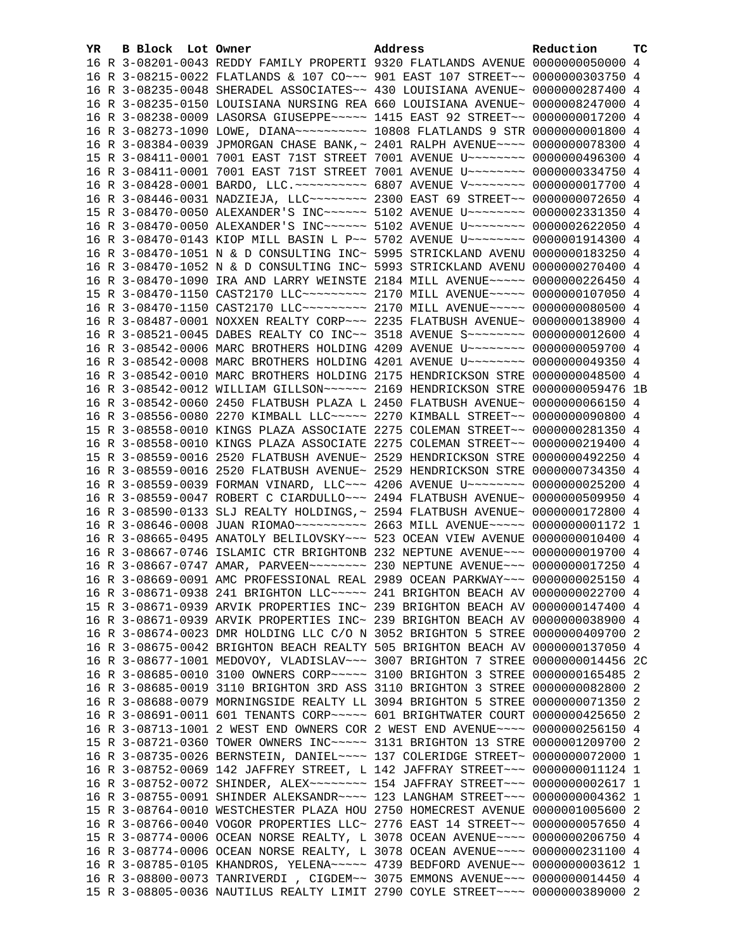| YR. | B Block Lot Owner |  | Address                                                                                                                                                         | Reduction | тc |
|-----|-------------------|--|-----------------------------------------------------------------------------------------------------------------------------------------------------------------|-----------|----|
|     |                   |  | 16 R 3-08201-0043 REDDY FAMILY PROPERTI 9320 FLATLANDS AVENUE 0000000050000 4                                                                                   |           |    |
|     |                   |  | 16 R 3-08215-0022 FLATLANDS & 107 CO~~~ 901 EAST 107 STREET~~ 0000000303750 4                                                                                   |           |    |
|     |                   |  | 16 R 3-08235-0048 SHERADEL ASSOCIATES~~ 430 LOUISIANA AVENUE~ 0000000287400 4                                                                                   |           |    |
|     |                   |  | 16 R 3-08235-0150 LOUISIANA NURSING REA 660 LOUISIANA AVENUE~ 0000008247000 4                                                                                   |           |    |
|     |                   |  | 16 R 3-08238-0009 LASORSA GIUSEPPE~~~~~ 1415 EAST 92 STREET~~ 0000000017200 4                                                                                   |           |    |
|     |                   |  | 16 R 3-08273-1090 LOWE, DIANA~~~~~~~~~~~~~~~ 10808 FLATLANDS 9 STR 0000000001800 4                                                                              |           |    |
|     |                   |  | 16 R 3-08384-0039 JPMORGAN CHASE BANK, ~ 2401 RALPH AVENUE~~~~ 0000000078300 4                                                                                  |           |    |
|     |                   |  | 15 R 3-08411-0001 7001 EAST 71ST STREET 7001 AVENUE U~~~~~~~~ 0000000496300 4                                                                                   |           |    |
|     |                   |  | 16 R 3-08411-0001 7001 EAST 71ST STREET 7001 AVENUE U~~~~~~~~ 0000000334750 4                                                                                   |           |    |
|     |                   |  | 16 R 3-08428-0001 BARDO, LLC. ~~~~~~~~~~ 6807 AVENUE V~~~~~~~~ 0000000017700 4                                                                                  |           |    |
|     |                   |  | 16 R 3-08446-0031 NADZIEJA, LLC ------- 2300 EAST 69 STREET -- 0000000072650 4                                                                                  |           |    |
|     |                   |  | 15 R 3-08470-0050 ALEXANDER'S INC~~~~~~ 5102 AVENUE U~~~~~~~~ 0000002331350 4                                                                                   |           |    |
|     |                   |  | 16 R 3-08470-0050 ALEXANDER'S INC~~~~~~ 5102 AVENUE U~~~~~~~~ 0000002622050 4                                                                                   |           |    |
|     |                   |  | 16 R 3-08470-0143 KIOP MILL BASIN L P~~ 5702 AVENUE U~~~~~~~~ 0000001914300 4                                                                                   |           |    |
|     |                   |  | 16 R 3-08470-1051 N & D CONSULTING INC~ 5995 STRICKLAND AVENU 0000000183250 4                                                                                   |           |    |
|     |                   |  | 16 R 3-08470-1052 N & D CONSULTING INC~ 5993 STRICKLAND AVENU 0000000270400 4                                                                                   |           |    |
|     |                   |  | 16 R 3-08470-1090 IRA AND LARRY WEINSTE 2184 MILL AVENUE~~~~~ 0000000226450 4                                                                                   |           |    |
|     |                   |  | 15 R 3-08470-1150 CAST2170 LLC -------- 2170 MILL AVENUE ---- 0000000107050 4                                                                                   |           |    |
|     |                   |  | 16 R 3-08470-1150 CAST2170 LLC -------- 2170 MILL AVENUE ---- 0000000080500 4                                                                                   |           |    |
|     |                   |  | 16 R 3-08487-0001 NOXXEN REALTY CORP~~~ 2235 FLATBUSH AVENUE~ 0000000138900 4                                                                                   |           |    |
|     |                   |  | 16 R 3-08521-0045 DABES REALTY CO INC~~ 3518 AVENUE S~~~~~~~~ 0000000012600 4                                                                                   |           |    |
|     |                   |  | 16 R 3-08542-0006 MARC BROTHERS HOLDING 4209 AVENUE U~~~~~~~~ 0000000059700 4                                                                                   |           |    |
|     |                   |  | 16 R 3-08542-0008 MARC BROTHERS HOLDING 4201 AVENUE U~~~~~~~~ 0000000049350 4                                                                                   |           |    |
|     |                   |  | 16 R 3-08542-0010 MARC BROTHERS HOLDING 2175 HENDRICKSON STRE 0000000048500 4                                                                                   |           |    |
|     |                   |  | 16 R 3-08542-0012 WILLIAM GILLSON~~~~~~ 2169 HENDRICKSON STRE 0000000059476 1B                                                                                  |           |    |
|     |                   |  | 16 R 3-08542-0060 2450 FLATBUSH PLAZA L 2450 FLATBUSH AVENUE~ 0000000066150 4                                                                                   |           |    |
|     |                   |  | 16 R 3-08556-0080 2270 KIMBALL LLC~~~~~ 2270 KIMBALL STREET~~ 0000000090800 4                                                                                   |           |    |
|     |                   |  | 15 R 3-08558-0010 KINGS PLAZA ASSOCIATE 2275 COLEMAN STREET~~ 0000000281350 4                                                                                   |           |    |
|     |                   |  | 16 R 3-08558-0010 KINGS PLAZA ASSOCIATE 2275 COLEMAN STREET~~ 0000000219400 4                                                                                   |           |    |
|     |                   |  | 15 R 3-08559-0016 2520 FLATBUSH AVENUE~ 2529 HENDRICKSON STRE 0000000492250 4                                                                                   |           |    |
|     |                   |  | 16 R 3-08559-0016 2520 FLATBUSH AVENUE~ 2529 HENDRICKSON STRE 0000000734350 4                                                                                   |           |    |
|     |                   |  | 16 R 3-08559-0039 FORMAN VINARD, LLC~~~ 4206 AVENUE U~~~~~~~~ 0000000025200 4                                                                                   |           |    |
|     |                   |  | 16 R 3-08559-0047 ROBERT C CIARDULLO~~~ 2494 FLATBUSH AVENUE~ 0000000509950 4                                                                                   |           |    |
|     |                   |  | 16 R 3-08590-0133 SLJ REALTY HOLDINGS, ~ 2594 FLATBUSH AVENUE~ 0000000172800 4                                                                                  |           |    |
|     |                   |  | 16 R 3-08646-0008 JUAN RIOMAO~~~~~~~~~~~~~~~~~~ 2663 MILL AVENUE~~~~~~ 00000000001172 1                                                                         |           |    |
|     |                   |  | 16 R 3-08665-0495 ANATOLY BELILOVSKY~~~ 523 OCEAN VIEW AVENUE 0000000010400 4                                                                                   |           |    |
|     |                   |  | 16 R 3-08667-0746 ISLAMIC CTR BRIGHTONB 232 NEPTUNE AVENUE~~~ 00000000019700 4                                                                                  |           |    |
|     |                   |  | 16 R 3-08667-0747 AMAR, PARVEEN~~~~~~~~ 230 NEPTUNE AVENUE~~~ 0000000017250 4                                                                                   |           |    |
|     |                   |  | 16 R 3-08669-0091 AMC PROFESSIONAL REAL 2989 OCEAN PARKWAY~~~ 0000000025150 4                                                                                   |           |    |
|     |                   |  | 16 R 3-08671-0938 241 BRIGHTON LLC ~~~~~ 241 BRIGHTON BEACH AV 0000000022700 4                                                                                  |           |    |
|     |                   |  | 15 R 3-08671-0939 ARVIK PROPERTIES INC~ 239 BRIGHTON BEACH AV 0000000147400 4                                                                                   |           |    |
|     |                   |  |                                                                                                                                                                 |           |    |
|     |                   |  | 16 R 3-08671-0939 ARVIK PROPERTIES INC~ 239 BRIGHTON BEACH AV 0000000038900 4                                                                                   |           |    |
|     |                   |  | 16 R 3-08674-0023 DMR HOLDING LLC C/O N 3052 BRIGHTON 5 STREE 0000000409700 2                                                                                   |           |    |
|     |                   |  | 16 R 3-08675-0042 BRIGHTON BEACH REALTY 505 BRIGHTON BEACH AV 0000000137050 4<br>16 R 3-08677-1001 MEDOVOY, VLADISLAV~~~ 3007 BRIGHTON 7 STREE 0000000014456 2C |           |    |
|     |                   |  |                                                                                                                                                                 |           |    |
|     |                   |  | 16 R 3-08685-0010 3100 OWNERS CORP~~~~~ 3100 BRIGHTON 3 STREE 0000000165485 2                                                                                   |           |    |
|     |                   |  | 16 R 3-08685-0019 3110 BRIGHTON 3RD ASS 3110 BRIGHTON 3 STREE 0000000082800 2                                                                                   |           |    |
|     |                   |  | 16 R 3-08688-0079 MORNINGSIDE REALTY LL 3094 BRIGHTON 5 STREE 0000000071350 2                                                                                   |           |    |
|     |                   |  | 16 R 3-08691-0011 601 TENANTS CORP~~~~~ 601 BRIGHTWATER COURT 0000000425650 2                                                                                   |           |    |
|     |                   |  | 16 R 3-08713-1001 2 WEST END OWNERS COR 2 WEST END AVENUE~~~~ 0000000256150 4                                                                                   |           |    |
|     |                   |  | 15 R 3-08721-0360 TOWER OWNERS INC~~~~~ 3131 BRIGHTON 13 STRE 0000001209700 2                                                                                   |           |    |
|     |                   |  | 16 R 3-08735-0026 BERNSTEIN, DANIEL~~~~ 137 COLERIDGE STREET~ 0000000072000 1                                                                                   |           |    |
|     |                   |  | 16 R 3-08752-0069 142 JAFFREY STREET, L 142 JAFFRAY STREET~~~ 0000000011124 1                                                                                   |           |    |
|     |                   |  | 16 R 3-08752-0072 SHINDER, ALEX~~~~~~~~ 154 JAFFRAY STREET~~~ 0000000002617 1                                                                                   |           |    |
|     |                   |  | 16 R 3-08755-0091 SHINDER ALEKSANDR~~~~ 123 LANGHAM STREET~~~ 0000000004362 1                                                                                   |           |    |
|     |                   |  | 15 R 3-08764-0010 WESTCHESTER PLAZA HOU 2750 HOMECREST AVENUE 0000001005600 2                                                                                   |           |    |
|     |                   |  | 16 R 3-08766-0040 VOGOR PROPERTIES LLC~ 2776 EAST 14 STREET~~ 0000000057650 4                                                                                   |           |    |
|     |                   |  | 15 R 3-08774-0006 OCEAN NORSE REALTY, L 3078 OCEAN AVENUE~~~~ 0000000206750 4                                                                                   |           |    |
|     |                   |  | 16 R 3-08774-0006 OCEAN NORSE REALTY, L 3078 OCEAN AVENUE~~~~ 0000000231100 4                                                                                   |           |    |
|     |                   |  | 16 R 3-08785-0105 KHANDROS, YELENA~~~~~ 4739 BEDFORD AVENUE~~ 00000000003612 1                                                                                  |           |    |
|     |                   |  | 16 R 3-08800-0073 TANRIVERDI , CIGDEM~~ 3075 EMMONS AVENUE~~~ 0000000014450 4                                                                                   |           |    |
|     |                   |  | 15 R 3-08805-0036 NAUTILUS REALTY LIMIT 2790 COYLE STREET~~~~ 0000000389000 2                                                                                   |           |    |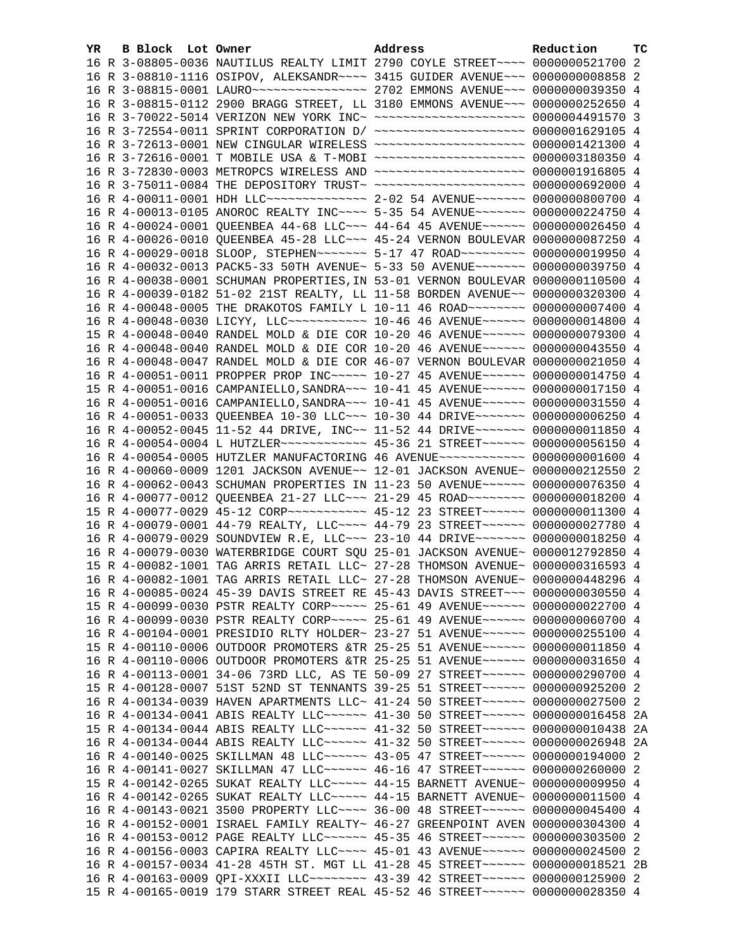| YR. | B Block Lot Owner |                                                                                                                                                                  | Address | Reduction | тc   |
|-----|-------------------|------------------------------------------------------------------------------------------------------------------------------------------------------------------|---------|-----------|------|
|     |                   | 16 R 3-08805-0036 NAUTILUS REALTY LIMIT 2790 COYLE STREET~~~~ 0000000521700 2                                                                                    |         |           |      |
|     |                   | 16 R 3-08810-1116 OSIPOV, ALEKSANDR~~~~ 3415 GUIDER AVENUE~~~ 0000000008858 2                                                                                    |         |           |      |
|     |                   |                                                                                                                                                                  |         |           |      |
|     |                   | 16 R 3-08815-0112 2900 BRAGG STREET, LL 3180 EMMONS AVENUE~~~ 0000000252650 4                                                                                    |         |           |      |
|     |                   | 16 R 3-70022-5014 VERIZON NEW YORK INC~ ~~~~~~~~~~~~~~~~~~~~~ 0000004491570 3                                                                                    |         |           |      |
|     |                   | 16 R 3-72554-0011 SPRINT CORPORATION D/ ~~~~~~~~~~~~~~~~~~~~~ 0000001629105 4                                                                                    |         |           |      |
|     |                   | 16 R 3-72613-0001 NEW CINGULAR WIRELESS ~~~~~~~~~~~~~~~~~~~~ 0000001421300 4                                                                                     |         |           |      |
|     |                   | 16 R 3-72616-0001 T MOBILE USA & T-MOBI ~~~~~~~~~~~~~~~~~~~~ 0000003180350 4                                                                                     |         |           |      |
|     |                   | 16 R 3-72830-0003 METROPCS WIRELESS AND ~~~~~~~~~~~~~~~~~~~~~ 0000001916805 4                                                                                    |         |           |      |
|     |                   | 16 R 3-75011-0084 THE DEPOSITORY TRUST~ ~~~~~~~~~~~~~~~~~~~~~ 0000000692000 4                                                                                    |         |           |      |
|     |                   | 16 R 4-00011-0001 HDH LLC -------------- 2-02 54 AVENUE ------- 0000000800700 4                                                                                  |         |           |      |
|     |                   | 16 R 4-00013-0105 ANOROC REALTY INC~~~~ 5-35 54 AVENUE~~~~~~~ 0000000224750 4                                                                                    |         |           |      |
|     |                   | 16 R 4-00024-0001 QUEENBEA 44-68 LLC ~~~ 44-64 45 AVENUE ~~~~~~ 0000000026450 4                                                                                  |         |           |      |
|     |                   | 16 R 4-00026-0010 OUEENBEA 45-28 LLC -- 45-24 VERNON BOULEVAR 0000000087250 4                                                                                    |         |           |      |
|     |                   | 16 R 4-00029-0018 SLOOP, STEPHEN~~~~~~~ 5-17 47 ROAD~~~~~~~~~ 0000000019950 4                                                                                    |         |           |      |
|     |                   | 16 R 4-00032-0013 PACK5-33 50TH AVENUE~ 5-33 50 AVENUE~~~~~~~ 0000000039750 4                                                                                    |         |           |      |
|     |                   | 16 R 4-00038-0001 SCHUMAN PROPERTIES, IN 53-01 VERNON BOULEVAR 0000000110500 4                                                                                   |         |           |      |
|     |                   | 16 R 4-00039-0182 51-02 21ST REALTY, LL 11-58 BORDEN AVENUE~~ 0000000320300 4                                                                                    |         |           |      |
|     |                   | 16 R 4-00048-0005 THE DRAKOTOS FAMILY L 10-11 46 ROAD~~~~~~~~ 0000000007400 4                                                                                    |         |           |      |
|     |                   | 16 R 4-00048-0030 LICYY, LLC ----------- 10-46 46 AVENUE ------ 0000000014800 4                                                                                  |         |           |      |
|     |                   | 15 R 4-00048-0040 RANDEL MOLD & DIE COR 10-20 46 AVENUE~~~~~~ 0000000079300 4                                                                                    |         |           |      |
|     |                   | 16 R 4-00048-0040 RANDEL MOLD & DIE COR 10-20 46 AVENUE~~~~~~ 0000000043550 4                                                                                    |         |           |      |
|     |                   | 16 R 4-00048-0047 RANDEL MOLD & DIE COR 46-07 VERNON BOULEVAR 0000000021050 4                                                                                    |         |           |      |
|     |                   | 16 R 4-00051-0011 PROPPER PROP INC~~~~~ 10-27 45 AVENUE~~~~~~ 0000000014750 4                                                                                    |         |           |      |
|     |                   | 15 R 4-00051-0016 CAMPANIELLO, SANDRA~~~ 10-41 45 AVENUE~~~~~~ 0000000017150 4                                                                                   |         |           |      |
|     |                   | 16 R 4-00051-0016 CAMPANIELLO, SANDRA~~~ 10-41 45 AVENUE~~~~~~ 0000000031550 4                                                                                   |         |           |      |
|     |                   | 16 R 4-00051-0033 QUEENBEA 10-30 LLC ~~~ 10-30 44 DRIVE ~~~~~~~ 0000000006250 4                                                                                  |         |           |      |
|     |                   | 16 R 4-00052-0045 11-52 44 DRIVE, INC~~ 11-52 44 DRIVE~~~~~~~ 0000000011850 4                                                                                    |         |           |      |
|     |                   | 16 R 4-00054-0004 L HUTZLER ------------ 45-36 21 STREET ------ 0000000056150 4                                                                                  |         |           |      |
|     |                   | 16 R 4-00054-0005 HUTZLER MANUFACTORING 46 AVENUE~~~~~~~~~~~~ 00000000001600 4                                                                                   |         |           |      |
|     |                   | 16 R 4-00060-0009 1201 JACKSON AVENUE~~ 12-01 JACKSON AVENUE~ 0000000212550 2                                                                                    |         |           |      |
|     |                   | 16 R 4-00062-0043 SCHUMAN PROPERTIES IN 11-23 50 AVENUE~~~~~~ 0000000076350 4                                                                                    |         |           |      |
|     |                   | 16 R 4-00077-0012 QUEENBEA 21-27 LLC ~~~ 21-29 45 ROAD ~~~~~~~~ 0000000018200 4                                                                                  |         |           |      |
|     |                   | 15 R 4-00077-0029 45-12 CORP ---------- 45-12 23 STREET ------ 0000000011300 4                                                                                   |         |           |      |
|     |                   | 16 R 4-00079-0001 44-79 REALTY, LLC --- 44-79 23 STREET ----- 0000000027780 4                                                                                    |         |           |      |
|     |                   | 16 R 4-00079-0029 SOUNDVIEW R.E, LLC ~~~ 23-10 44 DRIVE ~~~~~~~ 0000000018250 4<br>16 R 4-00079-0030 WATERBRIDGE COURT SQU 25-01 JACKSON AVENUE~ 0000012792850 4 |         |           |      |
|     |                   | 15 R 4-00082-1001 TAG ARRIS RETAIL LLC~ 27-28 THOMSON AVENUE~ 0000000316593 4                                                                                    |         |           |      |
|     |                   | 16 R 4-00082-1001 TAG ARRIS RETAIL LLC~ 27-28 THOMSON AVENUE~ 0000000448296 4                                                                                    |         |           |      |
|     |                   | 16 R 4-00085-0024 45-39 DAVIS STREET RE 45-43 DAVIS STREET~~~ 0000000030550 4                                                                                    |         |           |      |
|     |                   | 15 R 4-00099-0030 PSTR REALTY CORP~~~~~ 25-61 49 AVENUE~~~~~~ 0000000022700 4                                                                                    |         |           |      |
|     |                   | 16 R 4-00099-0030 PSTR REALTY CORP~~~~~ 25-61 49 AVENUE~~~~~~ 0000000060700 4                                                                                    |         |           |      |
|     |                   | 16 R 4-00104-0001 PRESIDIO RLTY HOLDER~ 23-27 51 AVENUE~~~~~~ 0000000255100 4                                                                                    |         |           |      |
|     |                   | 15 R 4-00110-0006 OUTDOOR PROMOTERS &TR 25-25 51 AVENUE~~~~~~ 0000000011850 4                                                                                    |         |           |      |
|     |                   | 16 R 4-00110-0006 OUTDOOR PROMOTERS &TR 25-25 51 AVENUE~~~~~~ 0000000031650 4                                                                                    |         |           |      |
|     |                   | 16 R 4-00113-0001 34-06 73RD LLC, AS TE 50-09 27 STREET ~~~~~~ 0000000290700 4                                                                                   |         |           |      |
|     |                   | 15 R 4-00128-0007 51ST 52ND ST TENNANTS 39-25 51 STREET~~~~~~ 0000000925200 2                                                                                    |         |           |      |
|     |                   | 16 R 4-00134-0039 HAVEN APARTMENTS LLC~ 41-24 50 STREET~~~~~~~ 0000000027500 2                                                                                   |         |           |      |
|     |                   | 16 R 4-00134-0041 ABIS REALTY LLC ------ 41-30 50 STREET ------ 0000000016458 2A                                                                                 |         |           |      |
|     |                   | 15 R 4-00134-0044 ABIS REALTY LLC ----- 41-32 50 STREET ----- 0000000010438                                                                                      |         |           | 2A   |
|     |                   | 16 R 4-00134-0044 ABIS REALTY LLC ----- 41-32 50 STREET ----- 0000000026948                                                                                      |         |           | - 2A |
|     |                   | 16 R 4-00140-0025 SKILLMAN 48 LLC ----- 43-05 47 STREET ----- 0000000194000                                                                                      |         |           | 2    |
|     |                   | 16 R 4-00141-0027 SKILLMAN 47 LLC~~~~~~ 46-16 47 STREET~~~~~~ 0000000260000 2                                                                                    |         |           |      |
|     |                   | 15 R 4-00142-0265 SUKAT REALTY LLC ~~~~~ 44-15 BARNETT AVENUE~ 0000000009950 4                                                                                   |         |           |      |
|     |                   | 16 R 4-00142-0265 SUKAT REALTY LLC ~~~~~ 44-15 BARNETT AVENUE~ 0000000011500 4                                                                                   |         |           |      |
|     |                   | 16 R 4-00143-0021 3500 PROPERTY LLC --- 36-00 48 STREET ----- 0000000045400 4                                                                                    |         |           |      |
|     |                   | 16 R 4-00152-0001 ISRAEL FAMILY REALTY~ 46-27 GREENPOINT AVEN 0000000304300 4                                                                                    |         |           |      |
|     |                   | 16 R 4-00153-0012 PAGE REALTY LLC ----- 45-35 46 STREET ----- 0000000303500 2                                                                                    |         |           |      |
|     |                   | 16 R 4-00156-0003 CAPIRA REALTY LLC --- 45-01 43 AVENUE ----- 0000000024500 2                                                                                    |         |           |      |
|     |                   | 16 R 4-00157-0034 41-28 45TH ST. MGT LL 41-28 45 STREET~~~~~~~ 0000000018521 2B                                                                                  |         |           |      |
|     |                   | 16 R 4-00163-0009 QPI-XXXII LLC~~~~~~~~ 43-39 42 STREET~~~~~~ 0000000125900 2                                                                                    |         |           |      |
|     |                   | 15 R 4-00165-0019 179 STARR STREET REAL 45-52 46 STREET~~~~~~ 0000000028350 4                                                                                    |         |           |      |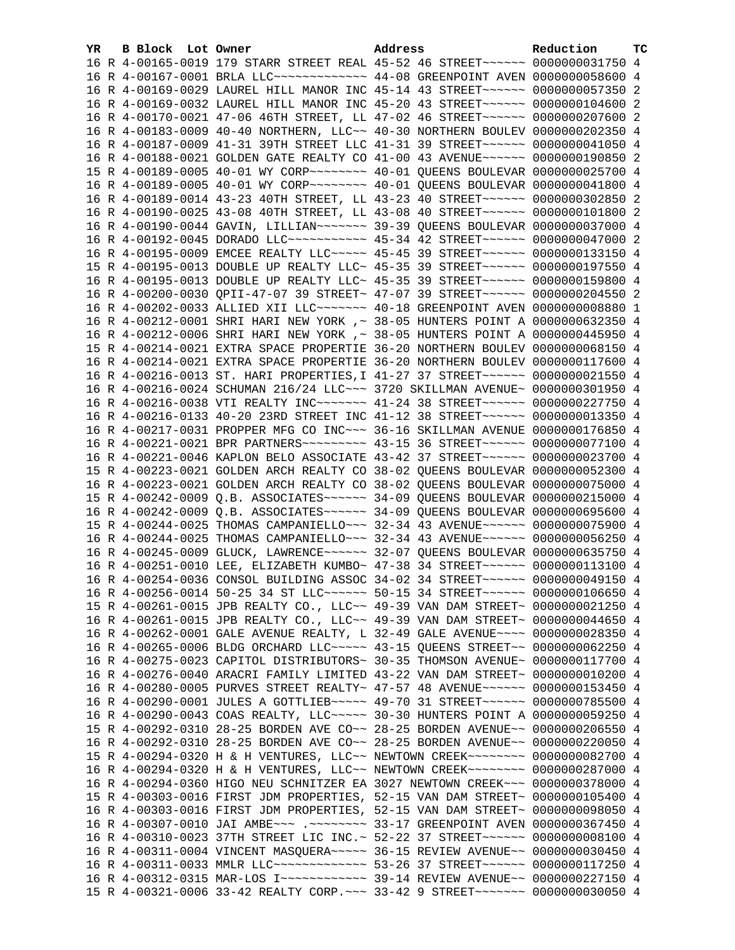| YR. | B Block Lot Owner | Address                                                                         | Reduction | TC |
|-----|-------------------|---------------------------------------------------------------------------------|-----------|----|
|     |                   | 16 R 4-00165-0019 179 STARR STREET REAL 45-52 46 STREET~~~~~~ 0000000031750 4   |           |    |
|     |                   | 16 R 4-00167-0001 BRLA LLC ------------- 44-08 GREENPOINT AVEN 0000000058600 4  |           |    |
|     |                   | 16 R 4-00169-0029 LAUREL HILL MANOR INC 45-14 43 STREET~~~~~~ 0000000057350 2   |           |    |
|     |                   | 16 R 4-00169-0032 LAUREL HILL MANOR INC 45-20 43 STREET~~~~~~ 0000000104600 2   |           |    |
|     |                   | 16 R 4-00170-0021 47-06 46TH STREET, LL 47-02 46 STREET~~~~~~ 0000000207600 2   |           |    |
|     |                   | 16 R 4-00183-0009 40-40 NORTHERN, LLC~~ 40-30 NORTHERN BOULEV 0000000202350 4   |           |    |
|     |                   | 16 R 4-00187-0009 41-31 39TH STREET LLC 41-31 39 STREET~~~~~~ 0000000041050 4   |           |    |
|     |                   | 16 R 4-00188-0021 GOLDEN GATE REALTY CO 41-00 43 AVENUE~~~~~~ 0000000190850 2   |           |    |
|     |                   |                                                                                 |           |    |
|     |                   |                                                                                 |           |    |
|     |                   | 16 R 4-00189-0005 40-01 WY CORP~~~~~~~~ 40-01 QUEENS BOULEVAR 0000000041800 4   |           |    |
|     |                   | 16 R 4-00189-0014 43-23 40TH STREET, LL 43-23 40 STREET~~~~~~ 0000000302850 2   |           |    |
|     |                   | 16 R 4-00190-0025 43-08 40TH STREET, LL 43-08 40 STREET~~~~~~ 0000000101800 2   |           |    |
|     |                   | 16 R 4-00190-0044 GAVIN, LILLIAN~~~~~~~ 39-39 QUEENS BOULEVAR 0000000037000 4   |           |    |
|     |                   | 16 R 4-00192-0045 DORADO LLC~~~~~~~~~~~ 45-34 42 STREET~~~~~~ 0000000047000 2   |           |    |
|     |                   | 16 R 4-00195-0009 EMCEE REALTY LLC ---- 45-45 39 STREET ----- 0000000133150 4   |           |    |
|     |                   | 15 R 4-00195-0013 DOUBLE UP REALTY LLC~ 45-35 39 STREET~~~~~~ 0000000197550 4   |           |    |
|     |                   | 16 R 4-00195-0013 DOUBLE UP REALTY LLC~ 45-35 39 STREET~~~~~~ 0000000159800 4   |           |    |
|     |                   | 16 R 4-00200-0030 QPII-47-07 39 STREET~ 47-07 39 STREET~~~~~~ 0000000204550 2   |           |    |
|     |                   | 16 R 4-00202-0033 ALLIED XII LLC ------ 40-18 GREENPOINT AVEN 0000000008880 1   |           |    |
|     |                   | 16 R 4-00212-0001 SHRI HARI NEW YORK ,~ 38-05 HUNTERS POINT A 0000000632350 4   |           |    |
|     |                   | 16 R 4-00212-0006 SHRI HARI NEW YORK ,~ 38-05 HUNTERS POINT A 0000000445950 4   |           |    |
|     |                   | 15 R 4-00214-0021 EXTRA SPACE PROPERTIE 36-20 NORTHERN BOULEV 0000000068150 4   |           |    |
|     |                   | 16 R 4-00214-0021 EXTRA SPACE PROPERTIE 36-20 NORTHERN BOULEV 0000000117600 4   |           |    |
|     |                   | 16 R 4-00216-0013 ST. HARI PROPERTIES, I 41-27 37 STREET~~~~~~~ 0000000021550 4 |           |    |
|     |                   | 16 R 4-00216-0024 SCHUMAN 216/24 LLC ~~~ 3720 SKILLMAN AVENUE~ 0000000301950 4  |           |    |
|     |                   |                                                                                 |           |    |
|     |                   | 16 R 4-00216-0038 VTI REALTY INC~~~~~~~ 41-24 38 STREET~~~~~~ 0000000227750 4   |           |    |
|     |                   | 16 R 4-00216-0133 40-20 23RD STREET INC 41-12 38 STREET~~~~~~ 0000000013350 4   |           |    |
|     |                   | 16 R 4-00217-0031 PROPPER MFG CO INC~~~ 36-16 SKILLMAN AVENUE 0000000176850 4   |           |    |
|     |                   | 16 R 4-00221-0021 BPR PARTNERS -------- 43-15 36 STREET ------ 0000000077100 4  |           |    |
|     |                   | 16 R 4-00221-0046 KAPLON BELO ASSOCIATE 43-42 37 STREET~~~~~~~ 0000000023700 4  |           |    |
|     |                   | 15 R 4-00223-0021 GOLDEN ARCH REALTY CO 38-02 QUEENS BOULEVAR 0000000052300 4   |           |    |
|     |                   | 16 R 4-00223-0021 GOLDEN ARCH REALTY CO 38-02 QUEENS BOULEVAR 0000000075000 4   |           |    |
|     |                   | 15 R 4-00242-0009 Q.B. ASSOCIATES~~~~~~ 34-09 QUEENS BOULEVAR 0000000215000 4   |           |    |
|     |                   | 16 R 4-00242-0009 Q.B. ASSOCIATES~~~~~~ 34-09 QUEENS BOULEVAR 0000000695600 4   |           |    |
|     |                   | 15 R 4-00244-0025 THOMAS CAMPANIELLO~~~ 32-34 43 AVENUE~~~~~~ 0000000075900 4   |           |    |
|     |                   | 16 R 4-00244-0025 THOMAS CAMPANIELLO~~~ 32-34 43 AVENUE~~~~~~ 0000000056250 4   |           |    |
|     |                   | 16 R 4-00245-0009 GLUCK, LAWRENCE~~~~~~ 32-07 QUEENS BOULEVAR 0000000635750 4   |           |    |
|     |                   | 16 R 4-00251-0010 LEE, ELIZABETH KUMBO~ 47-38 34 STREET~~~~~~ 0000000113100 4   |           |    |
|     |                   | 16 R 4-00254-0036 CONSOL BUILDING ASSOC 34-02 34 STREET~~~~~~ 0000000049150 4   |           |    |
|     |                   | 16 R 4-00256-0014 50-25 34 ST LLC ------ 50-15 34 STREET ------ 0000000106650 4 |           |    |
|     |                   | 15 R 4-00261-0015 JPB REALTY CO., LLC~~ 49-39 VAN DAM STREET~ 0000000021250 4   |           |    |
|     |                   | 16 R 4-00261-0015 JPB REALTY CO., LLC~~ 49-39 VAN DAM STREET~ 0000000044650 4   |           |    |
|     |                   | 16 R 4-00262-0001 GALE AVENUE REALTY, L 32-49 GALE AVENUE~~~~ 0000000028350 4   |           |    |
|     |                   | 16 R 4-00265-0006 BLDG ORCHARD LLC~~~~~ 43-15 QUEENS STREET~~ 0000000062250 4   |           |    |
|     |                   | 16 R 4-00275-0023 CAPITOL DISTRIBUTORS~ 30-35 THOMSON AVENUE~ 0000000117700 4   |           |    |
|     |                   | 16 R 4-00276-0040 ARACRI FAMILY LIMITED 43-22 VAN DAM STREET~ 0000000010200 4   |           |    |
|     |                   |                                                                                 |           |    |
|     |                   | 16 R 4-00280-0005 PURVES STREET REALTY~ 47-57 48 AVENUE~~~~~~ 0000000153450 4   |           |    |
|     |                   | 16 R 4-00290-0001 JULES A GOTTLIEB~~~~~ 49-70 31 STREET~~~~~~ 0000000785500 4   |           |    |
|     |                   | 16 R 4-00290-0043 COAS REALTY, LLC ~~~~~ 30-30 HUNTERS POINT A 0000000059250 4  |           |    |
|     |                   | 15 R 4-00292-0310 28-25 BORDEN AVE CO~~ 28-25 BORDEN AVENUE~~ 0000000206550 4   |           |    |
|     |                   | 16 R 4-00292-0310 28-25 BORDEN AVE CO~~ 28-25 BORDEN AVENUE~~ 0000000220050 4   |           |    |
|     |                   | 15 R 4-00294-0320 H & H VENTURES, LLC~~ NEWTOWN CREEK~~~~~~~~ 0000000082700 4   |           |    |
|     |                   | 16 R 4-00294-0320 H & H VENTURES, LLC~~ NEWTOWN CREEK~~~~~~~~ 0000000287000 4   |           |    |
|     |                   | 16 R 4-00294-0360 HIGO NEU SCHNITZER EA 3027 NEWTOWN CREEK~~~ 0000000378000 4   |           |    |
|     |                   | 15 R 4-00303-0016 FIRST JDM PROPERTIES, 52-15 VAN DAM STREET~ 0000000105400 4   |           |    |
|     |                   | 16 R 4-00303-0016 FIRST JDM PROPERTIES, 52-15 VAN DAM STREET~ 0000000098050 4   |           |    |
|     |                   | 16 R 4-00307-0010 JAI AMBE~~~ .~~~~~~~~ 33-17 GREENPOINT AVEN 0000000367450 4   |           |    |
|     |                   | 16 R 4-00310-0023 37TH STREET LIC INC.~ 52-22 37 STREET~~~~~~ 00000000008100 4  |           |    |
|     |                   | 16 R 4-00311-0004 VINCENT MASQUERA~~~~~ 36-15 REVIEW AVENUE~~ 0000000030450 4   |           |    |
|     |                   | 16 R 4-00311-0033 MMLR LLC ------------- 53-26 37 STREET ------ 0000000117250 4 |           |    |
|     |                   |                                                                                 |           |    |
|     |                   | 15 R 4-00321-0006 33-42 REALTY CORP. ~~~ 33-42 9 STREET~~~~~~~ 0000000030050 4  |           |    |
|     |                   |                                                                                 |           |    |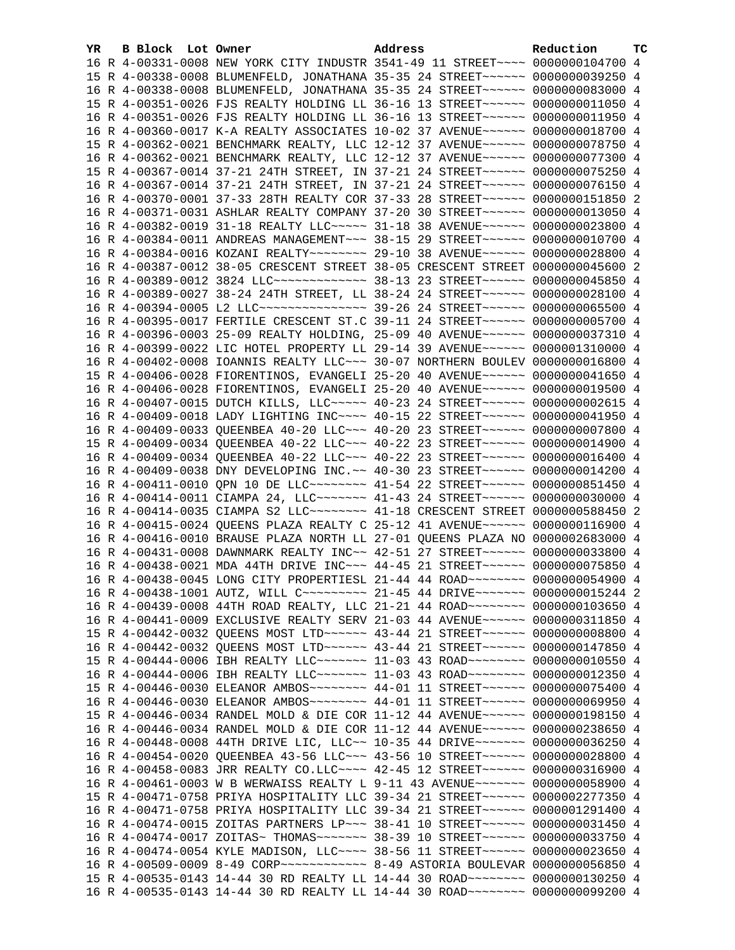| YR | B Block Lot Owner | Address                                                                          | Reduction | ТC |
|----|-------------------|----------------------------------------------------------------------------------|-----------|----|
|    |                   | 16 R 4-00331-0008 NEW YORK CITY INDUSTR 3541-49 11 STREET~~~~ 0000000104700 4    |           |    |
|    |                   | 15 R 4-00338-0008 BLUMENFELD, JONATHANA 35-35 24 STREET~~~~~~~ 0000000039250 4   |           |    |
|    |                   | 16 R 4-00338-0008 BLUMENFELD, JONATHANA 35-35 24 STREET~~~~~~~ 0000000083000 4   |           |    |
|    |                   | 15 R 4-00351-0026 FJS REALTY HOLDING LL 36-16 13 STREET~~~~~~ 0000000011050 4    |           |    |
|    |                   | 16 R 4-00351-0026 FJS REALTY HOLDING LL 36-16 13 STREET~~~~~~ 0000000011950 4    |           |    |
|    |                   | 16 R 4-00360-0017 K-A REALTY ASSOCIATES 10-02 37 AVENUE~~~~~~ 0000000018700 4    |           |    |
|    |                   | 15 R 4-00362-0021 BENCHMARK REALTY, LLC 12-12 37 AVENUE~~~~~~ 0000000078750 4    |           |    |
|    |                   | 16 R 4-00362-0021 BENCHMARK REALTY, LLC 12-12 37 AVENUE~~~~~~ 0000000077300 4    |           |    |
|    |                   | 15 R 4-00367-0014 37-21 24TH STREET, IN 37-21 24 STREET~~~~~~ 0000000075250 4    |           |    |
|    |                   | 16 R 4-00367-0014 37-21 24TH STREET, IN 37-21 24 STREET~~~~~~ 0000000076150 4    |           |    |
|    |                   | 16 R 4-00370-0001 37-33 28TH REALTY COR 37-33 28 STREET~~~~~~ 0000000151850 2    |           |    |
|    |                   | 16 R 4-00371-0031 ASHLAR REALTY COMPANY 37-20 30 STREET~~~~~~~ 0000000013050 4   |           |    |
|    |                   | 16 R 4-00382-0019 31-18 REALTY LLC ---- 31-18 38 AVENUE ----- 0000000023800 4    |           |    |
|    |                   | 16 R 4-00384-0011 ANDREAS MANAGEMENT~~~ 38-15 29 STREET~~~~~~ 0000000010700 4    |           |    |
|    |                   | 16 R 4-00384-0016 KOZANI REALTY~~~~~~~~ 29-10 38 AVENUE~~~~~~ 0000000028800 4    |           |    |
|    |                   | 16 R 4-00387-0012 38-05 CRESCENT STREET 38-05 CRESCENT STREET 0000000045600 2    |           |    |
|    |                   | 16 R 4-00389-0012 3824 LLC ------------- 38-13 23 STREET ------ 0000000045850 4  |           |    |
|    |                   | 16 R 4-00389-0027 38-24 24TH STREET, LL 38-24 24 STREET~~~~~~ 0000000028100 4    |           |    |
|    |                   | 16 R 4-00394-0005 L2 LLC ---------------- 39-26 24 STREET ------ 0000000065500 4 |           |    |
|    |                   | 16 R 4-00395-0017 FERTILE CRESCENT ST.C 39-11 24 STREET~~~~~~ 0000000005700 4    |           |    |
|    |                   | 16 R 4-00396-0003 25-09 REALTY HOLDING, 25-09 40 AVENUE~~~~~~ 0000000037310 4    |           |    |
|    |                   | 16 R 4-00399-0022 LIC HOTEL PROPERTY LL 29-14 39 AVENUE~~~~~~ 0000001310000 4    |           |    |
|    |                   | 16 R 4-00402-0008 IOANNIS REALTY LLC ~~~ 30-07 NORTHERN BOULEV 0000000016800 4   |           |    |
|    |                   | 15 R 4-00406-0028 FIORENTINOS, EVANGELI 25-20 40 AVENUE~~~~~~ 0000000041650 4    |           |    |
|    |                   | 16 R 4-00406-0028 FIORENTINOS, EVANGELI 25-20 40 AVENUE~~~~~~ 0000000019500 4    |           |    |
|    |                   | 16 R 4-00407-0015 DUTCH KILLS, LLC~~~~~ 40-23 24 STREET~~~~~~ 0000000002615 4    |           |    |
|    |                   | 16 R 4-00409-0018 LADY LIGHTING INC~~~~ 40-15 22 STREET~~~~~~ 0000000041950 4    |           |    |
|    |                   | 16 R 4-00409-0033 QUEENBEA 40-20 LLC ~~~ 40-20 23 STREET ~~~~~~ 0000000007800 4  |           |    |
|    |                   | 15 R 4-00409-0034 QUEENBEA 40-22 LLC ~~~ 40-22 23 STREET ~~~~~~ 0000000014900 4  |           |    |
|    |                   | 16 R 4-00409-0034 QUEENBEA 40-22 LLC ~~~ 40-22 23 STREET ~~~~~~ 0000000016400 4  |           |    |
|    |                   | 16 R 4-00409-0038 DNY DEVELOPING INC. ~~ 40-30 23 STREET~~~~~~~ 0000000014200 4  |           |    |
|    |                   | 16 R 4-00411-0010 OPN 10 DE LLC ------- 41-54 22 STREET ----- 0000000851450 4    |           |    |
|    |                   | 16 R 4-00414-0011 CIAMPA 24, LLC ------ 41-43 24 STREET ----- 0000000030000 4    |           |    |
|    |                   | 16 R 4-00414-0035 CIAMPA S2 LLC ------- 41-18 CRESCENT STREET 0000000588450 2    |           |    |
|    |                   | 16 R 4-00415-0024 QUEENS PLAZA REALTY C 25-12 41 AVENUE~~~~~~ 0000000116900 4    |           |    |
|    |                   | 16 R 4-00416-0010 BRAUSE PLAZA NORTH LL 27-01 QUEENS PLAZA NO 0000002683000 4    |           |    |
|    |                   | 16 R 4-00431-0008 DAWNMARK REALTY INC~~ 42-51 27 STREET~~~~~~ 0000000033800 4    |           |    |
|    |                   | 16 R 4-00438-0021 MDA 44TH DRIVE INC~~~ 44-45 21 STREET~~~~~~~ 0000000075850 4   |           |    |
|    |                   | 16 R 4-00438-0045 LONG CITY PROPERTIESL 21-44 44 ROAD~~~~~~~~ 0000000054900 4    |           |    |
|    |                   | 16 R 4-00438-1001 AUTZ, WILL C -------- 21-45 44 DRIVE ------ 0000000015244 2    |           |    |
|    |                   | 16 R 4-00439-0008 44TH ROAD REALTY, LLC 21-21 44 ROAD -------- 0000000103650 4   |           |    |
|    |                   | 16 R 4-00441-0009 EXCLUSIVE REALTY SERV 21-03 44 AVENUE~~~~~~ 0000000311850 4    |           |    |
|    |                   | 15 R 4-00442-0032 QUEENS MOST LTD ~~~~~~ 43-44 21 STREET ~~~~~~ 0000000008800 4  |           |    |
|    |                   | 16 R 4-00442-0032 QUEENS MOST LTD ~~~~~~ 43-44 21 STREET ~~~~~~ 0000000147850 4  |           |    |
|    |                   | 15 R 4-00444-0006 IBH REALTY LLC ------ 11-03 43 ROAD ------- 0000000010550 4    |           |    |
|    |                   | 16 R 4-00444-0006 IBH REALTY LLC ------ 11-03 43 ROAD ------- 0000000012350 4    |           |    |
|    |                   | 15 R 4-00446-0030 ELEANOR AMBOS~~~~~~~~ 44-01 11 STREET~~~~~~ 0000000075400 4    |           |    |
|    |                   | 16 R 4-00446-0030 ELEANOR AMBOS~~~~~~~~ 44-01 11 STREET~~~~~~ 0000000069950 4    |           |    |
|    |                   | 15 R 4-00446-0034 RANDEL MOLD & DIE COR 11-12 44 AVENUE~~~~~~ 0000000198150 4    |           |    |
|    |                   | 16 R 4-00446-0034 RANDEL MOLD & DIE COR 11-12 44 AVENUE~~~~~~ 0000000238650 4    |           |    |
|    |                   | 16 R 4-00448-0008 44TH DRIVE LIC, LLC~~ 10-35 44 DRIVE~~~~~~~ 0000000036250 4    |           |    |
|    |                   | 16 R 4-00454-0020 QUEENBEA 43-56 LLC ~~~ 43-56 10 STREET ~~~~~~ 0000000028800 4  |           |    |
|    |                   | 16 R 4-00458-0083 JRR REALTY CO.LLC ~~~~ 42-45 12 STREET ~~~~~~ 0000000316900 4  |           |    |
|    |                   | 16 R 4-00461-0003 W B WERWAISS REALTY L 9-11 43 AVENUE~~~~~~~ 0000000058900 4    |           |    |
|    |                   | 15 R 4-00471-0758 PRIYA HOSPITALITY LLC 39-34 21 STREET~~~~~~ 0000002277350 4    |           |    |
|    |                   | 16 R 4-00471-0758 PRIYA HOSPITALITY LLC 39-34 21 STREET~~~~~~ 0000001291400 4    |           |    |
|    |                   | 16 R 4-00474-0015 ZOITAS PARTNERS LP~~~ 38-41 10 STREET~~~~~~ 0000000031450 4    |           |    |
|    |                   | 16 R 4-00474-0017 ZOITAS~ THOMAS~~~~~~~ 38-39 10 STREET~~~~~~ 0000000033750 4    |           |    |
|    |                   | 16 R 4-00474-0054 KYLE MADISON, LLC --- 38-56 11 STREET ----- 0000000023650 4    |           |    |
|    |                   |                                                                                  |           |    |
|    |                   | 15 R 4-00535-0143 14-44 30 RD REALTY LL 14-44 30 ROAD~~~~~~~~ 0000000130250 4    |           |    |
|    |                   | 16 R 4-00535-0143 14-44 30 RD REALTY LL 14-44 30 ROAD -------- 0000000099200 4   |           |    |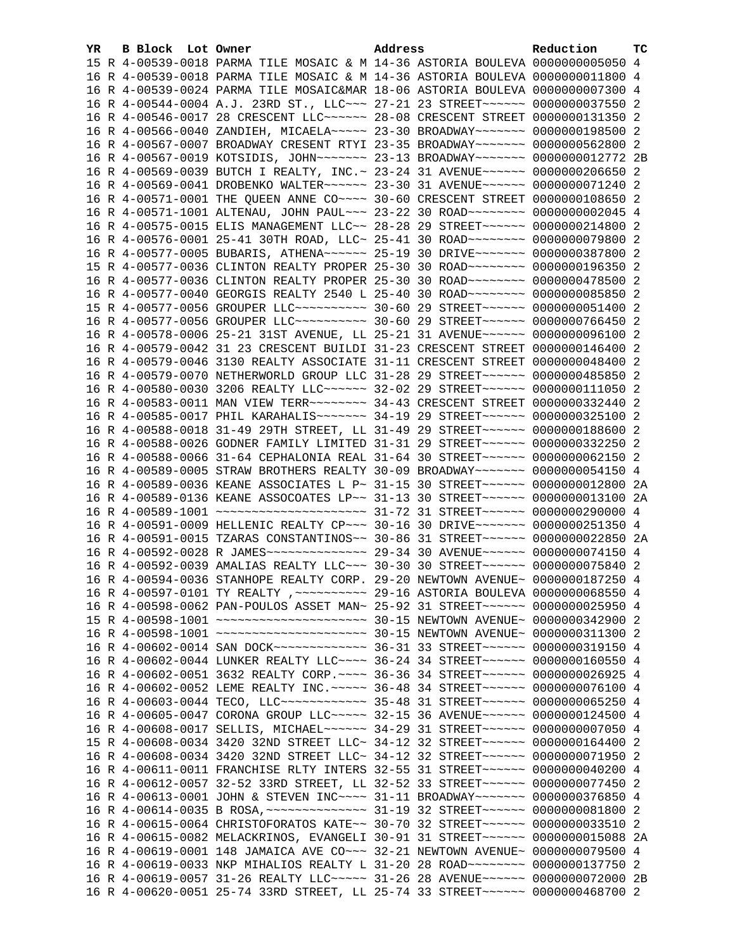| YR. | B Block Lot Owner |                                                                                     | Address | Reduction | тc |
|-----|-------------------|-------------------------------------------------------------------------------------|---------|-----------|----|
|     |                   | 15 R 4-00539-0018 PARMA TILE MOSAIC & M 14-36 ASTORIA BOULEVA 0000000005050 4       |         |           |    |
|     |                   | 16 R 4-00539-0018 PARMA TILE MOSAIC & M 14-36 ASTORIA BOULEVA 0000000011800 4       |         |           |    |
|     |                   | 16 R 4-00539-0024 PARMA TILE MOSAIC&MAR 18-06 ASTORIA BOULEVA 0000000007300 4       |         |           |    |
|     |                   | 16 R 4-00544-0004 A.J. 23RD ST., LLC ~~~ 27-21 23 STREET ~~~~~~ 0000000037550 2     |         |           |    |
|     |                   | 16 R 4-00546-0017 28 CRESCENT LLC~~~~~~ 28-08 CRESCENT STREET 0000000131350 2       |         |           |    |
|     |                   | 16 R 4-00566-0040 ZANDIEH, MICAELA~~~~~ 23-30 BROADWAY~~~~~~~ 0000000198500 2       |         |           |    |
|     |                   | 16 R 4-00567-0007 BROADWAY CRESENT RTYI 23-35 BROADWAY~~~~~~~ 0000000562800 2       |         |           |    |
|     |                   | 16 R 4-00567-0019 KOTSIDIS, JOHN~~~~~~~~ 23-13 BROADWAY~~~~~~~ 0000000012772 2B     |         |           |    |
|     |                   | 16 R 4-00569-0039 BUTCH I REALTY, INC. ~ 23-24 31 AVENUE ~~~~~~ 0000000206650 2     |         |           |    |
|     |                   | 16 R 4-00569-0041 DROBENKO WALTER~~~~~~ 23-30 31 AVENUE~~~~~~ 0000000071240 2       |         |           |    |
|     |                   | 16 R 4-00571-0001 THE QUEEN ANNE CO~~~~ 30-60 CRESCENT STREET 0000000108650 2       |         |           |    |
|     |                   | 16 R 4-00571-1001 ALTENAU, JOHN PAUL~~~ 23-22 30 ROAD~~~~~~~~ 0000000002045 4       |         |           |    |
|     |                   | 16 R 4-00575-0015 ELIS MANAGEMENT LLC~~ 28-28 29 STREET~~~~~~ 0000000214800 2       |         |           |    |
|     |                   | 16 R 4-00576-0001 25-41 30TH ROAD, LLC~ 25-41 30 ROAD~~~~~~~~ 0000000079800 2       |         |           |    |
|     |                   | 16 R 4-00577-0005 BUBARIS, ATHENA~~~~~~ 25-19 30 DRIVE~~~~~~~ 0000000387800 2       |         |           |    |
|     |                   | 15 R 4-00577-0036 CLINTON REALTY PROPER 25-30 30 ROAD~~~~~~~~ 0000000196350 2       |         |           |    |
|     |                   | 16 R 4-00577-0036 CLINTON REALTY PROPER 25-30 30 ROAD~~~~~~~~ 0000000478500 2       |         |           |    |
|     |                   | 16 R 4-00577-0040 GEORGIS REALTY 2540 L 25-40 30 ROAD~~~~~~~~ 0000000085850 2       |         |           |    |
|     |                   | 15 R 4-00577-0056 GROUPER LLC~~~~~~~~~~ 30-60 29 STREET~~~~~~ 0000000051400 2       |         |           |    |
|     |                   | 16 R 4-00577-0056 GROUPER LLC~~~~~~~~~~ 30-60 29 STREET~~~~~~ 0000000766450 2       |         |           |    |
|     |                   | 16 R 4-00578-0006 25-21 31ST AVENUE, LL 25-21 31 AVENUE~~~~~~ 0000000096100 2       |         |           |    |
|     |                   | 16 R 4-00579-0042 31 23 CRESCENT BUILDI 31-23 CRESCENT STREET 0000000146400 2       |         |           |    |
|     |                   | 16 R 4-00579-0046 3130 REALTY ASSOCIATE 31-11 CRESCENT STREET 0000000048400 2       |         |           |    |
|     |                   | 16 R 4-00579-0070 NETHERWORLD GROUP LLC 31-28 29 STREET~~~~~~ 0000000485850 2       |         |           |    |
|     |                   | 16 R 4-00580-0030 3206 REALTY LLC~~~~~~ 32-02 29 STREET~~~~~~ 0000000111050 2       |         |           |    |
|     |                   | 16 R 4-00583-0011 MAN VIEW TERR~~~~~~~~ 34-43 CRESCENT STREET 0000000332440 2       |         |           |    |
|     |                   | 16 R 4-00585-0017 PHIL KARAHALIS ------ 34-19 29 STREET ----- 0000000325100 2       |         |           |    |
|     |                   | 16 R 4-00588-0018 31-49 29TH STREET, LL 31-49 29 STREET~~~~~~ 0000000188600 2       |         |           |    |
|     |                   | 16 R 4-00588-0026 GODNER FAMILY LIMITED 31-31 29 STREET~~~~~~ 0000000332250 2       |         |           |    |
|     |                   | 16 R 4-00588-0066 31-64 CEPHALONIA REAL 31-64 30 STREET~~~~~~ 0000000062150 2       |         |           |    |
|     |                   | 16 R 4-00589-0005 STRAW BROTHERS REALTY 30-09 BROADWAY~~~~~~~ 0000000054150 4       |         |           |    |
|     |                   | 16 R 4-00589-0036 KEANE ASSOCIATES L P~ 31-15 30 STREET~~~~~~ 0000000012800 2A      |         |           |    |
|     |                   | 16 R 4-00589-0136 KEANE ASSOCOATES LP~~ 31-13 30 STREET~~~~~~ 0000000013100 2A      |         |           |    |
|     |                   | 16 R 4-00589-1001 ~~~~~~~~~~~~~~~~~~~~~~~~~~~ 31-72 31 STREET~~~~~~ 0000000290000 4 |         |           |    |
|     |                   | 16 R 4-00591-0009 HELLENIC REALTY CP~~~ 30-16 30 DRIVE~~~~~~~ 0000000251350 4       |         |           |    |
|     |                   | 16 R 4-00591-0015 TZARAS CONSTANTINOS~~ 30-86 31 STREET~~~~~~ 0000000022850 2A      |         |           |    |
|     |                   |                                                                                     |         |           |    |
|     |                   | 16 R 4-00592-0039 AMALIAS REALTY LLC~~~ 30-30 30 STREET~~~~~~ 0000000075840 2       |         |           |    |
|     |                   | 16 R 4-00594-0036 STANHOPE REALTY CORP. 29-20 NEWTOWN AVENUE~ 0000000187250 4       |         |           |    |
|     |                   | 16 R 4-00597-0101 TY REALTY , ~~~~~~~~~~ 29-16 ASTORIA BOULEVA 0000000068550 4      |         |           |    |
|     |                   | 16 R 4-00598-0062 PAN-POULOS ASSET MAN~ 25-92 31 STREET~~~~~~ 0000000025950 4       |         |           |    |
|     |                   |                                                                                     |         |           |    |
|     |                   |                                                                                     |         |           |    |
|     |                   |                                                                                     |         |           |    |
|     |                   | 16 R 4-00602-0044 LUNKER REALTY LLC ~~~~ 36-24 34 STREET ~~~~~~ 0000000160550 4     |         |           |    |
|     |                   | 16 R 4-00602-0051 3632 REALTY CORP. ~~~~ 36-36 34 STREET~~~~~~ 0000000026925 4      |         |           |    |
|     |                   | 16 R 4-00602-0052 LEME REALTY INC. ~~~~~ 36-48 34 STREET~~~~~~ 0000000076100 4      |         |           |    |
|     |                   | 16 R 4-00603-0044 TECO, LLC ------------ 35-48 31 STREET ------ 0000000065250 4     |         |           |    |
|     |                   | 16 R 4-00605-0047 CORONA GROUP LLC~~~~~ 32-15 36 AVENUE~~~~~~ 0000000124500 4       |         |           |    |
|     |                   | 16 R 4-00608-0017 SELLIS, MICHAEL~~~~~~ 34-29 31 STREET~~~~~~ 0000000007050 4       |         |           |    |
|     |                   | 15 R 4-00608-0034 3420 32ND STREET LLC~ 34-12 32 STREET~~~~~~ 0000000164400 2       |         |           |    |
|     |                   | 16 R 4-00608-0034 3420 32ND STREET LLC~ 34-12 32 STREET~~~~~~ 0000000071950 2       |         |           |    |
|     |                   | 16 R 4-00611-0011 FRANCHISE RLTY INTERS 32-55 31 STREET~~~~~~ 0000000040200 4       |         |           |    |
|     |                   | 16 R 4-00612-0057 32-52 33RD STREET, LL 32-52 33 STREET~~~~~~ 0000000077450 2       |         |           |    |
|     |                   | 16 R 4-00613-0001 JOHN & STEVEN INC~~~~ 31-11 BROADWAY~~~~~~~ 0000000376850 4       |         |           |    |
|     |                   |                                                                                     |         |           |    |
|     |                   | 16 R 4-00615-0064 CHRISTOFORATOS KATE~~ 30-70 32 STREET~~~~~~ 0000000033510 2       |         |           |    |
|     |                   | 16 R 4-00615-0082 MELACKRINOS, EVANGELI 30-91 31 STREET~~~~~~ 0000000015088 2A      |         |           |    |
|     |                   | 16 R 4-00619-0001 148 JAMAICA AVE CO~~~ 32-21 NEWTOWN AVENUE~ 0000000079500 4       |         |           |    |
|     |                   | 16 R 4-00619-0033 NKP MIHALIOS REALTY L 31-20 28 ROAD~~~~~~~~ 0000000137750 2       |         |           |    |
|     |                   | 16 R 4-00619-0057 31-26 REALTY LLC~~~~~ 31-26 28 AVENUE~~~~~~ 0000000072000 2B      |         |           |    |
|     |                   | 16 R 4-00620-0051 25-74 33RD STREET, LL 25-74 33 STREET~~~~~~ 0000000468700 2       |         |           |    |
|     |                   |                                                                                     |         |           |    |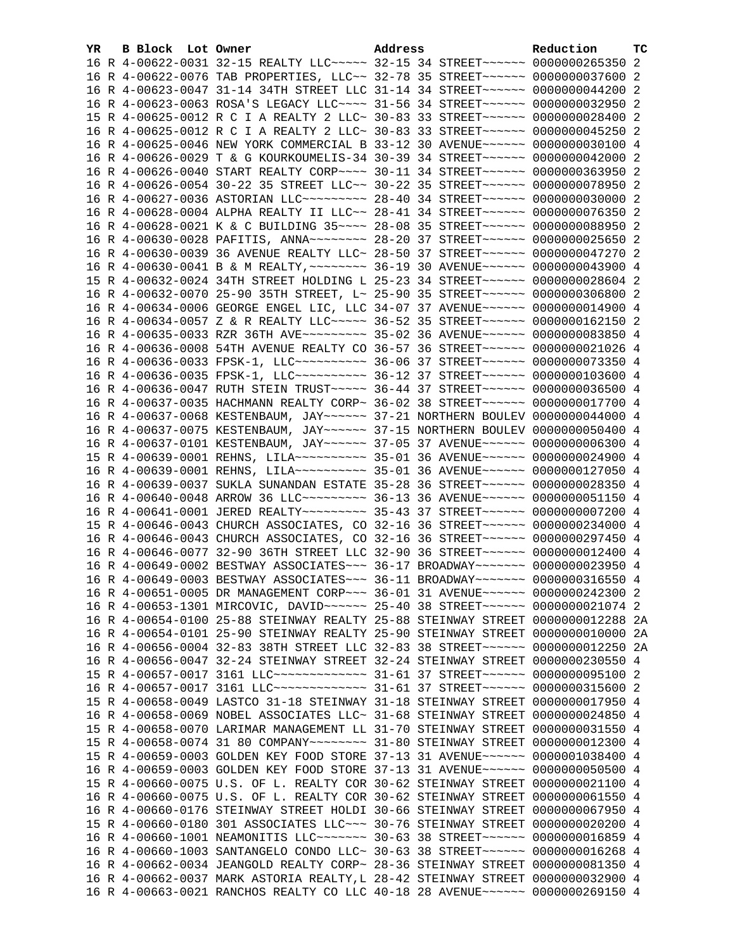| YR. | B Block Lot Owner |                                                                                  | Address | Reduction | TC |
|-----|-------------------|----------------------------------------------------------------------------------|---------|-----------|----|
|     |                   | 16 R 4-00622-0031 32-15 REALTY LLC ---- 32-15 34 STREET ----- 0000000265350 2    |         |           |    |
|     |                   | 16 R 4-00622-0076 TAB PROPERTIES, LLC~~ 32-78 35 STREET~~~~~~ 0000000037600 2    |         |           |    |
|     |                   | 16 R 4-00623-0047 31-14 34TH STREET LLC 31-14 34 STREET~~~~~~ 0000000044200 2    |         |           |    |
|     |                   | 16 R 4-00623-0063 ROSA'S LEGACY LLC --- 31-56 34 STREET ----- 0000000032950 2    |         |           |    |
|     |                   | 15 R 4-00625-0012 R C I A REALTY 2 LLC~ 30-83 33 STREET~~~~~~ 0000000028400 2    |         |           |    |
|     |                   | 16 R 4-00625-0012 R C I A REALTY 2 LLC~ 30-83 33 STREET~~~~~~ 0000000045250 2    |         |           |    |
|     |                   | 16 R 4-00625-0046 NEW YORK COMMERCIAL B 33-12 30 AVENUE~~~~~~ 0000000030100 4    |         |           |    |
|     |                   | 16 R 4-00626-0029 T & G KOURKOUMELIS-34 30-39 34 STREET~~~~~~ 0000000042000 2    |         |           |    |
|     |                   | 16 R 4-00626-0040 START REALTY CORP~~~~ 30-11 34 STREET~~~~~~ 0000000363950 2    |         |           |    |
|     |                   | 16 R 4-00626-0054 30-22 35 STREET LLC~~ 30-22 35 STREET~~~~~~ 0000000078950 2    |         |           |    |
|     |                   | 16 R 4-00627-0036 ASTORIAN LLC -------- 28-40 34 STREET ----- 0000000030000 2    |         |           |    |
|     |                   | 16 R 4-00628-0004 ALPHA REALTY II LLC~~ 28-41 34 STREET~~~~~~ 0000000076350 2    |         |           |    |
|     |                   | 16 R 4-00628-0021 K & C BUILDING 35~~~~ 28-08 35 STREET~~~~~~ 0000000088950 2    |         |           |    |
|     |                   | 16 R 4-00630-0028 PAFITIS, ANNA~~~~~~~~ 28-20 37 STREET~~~~~~ 0000000025650 2    |         |           |    |
|     |                   | 16 R 4-00630-0039 36 AVENUE REALTY LLC~ 28-50 37 STREET~~~~~~ 0000000047270 2    |         |           |    |
|     |                   | 16 R 4-00630-0041 B & M REALTY, ~~~~~~~~ 36-19 30 AVENUE~~~~~~ 0000000043900 4   |         |           |    |
|     |                   | 15 R 4-00632-0024 34TH STREET HOLDING L 25-23 34 STREET~~~~~~ 0000000028604 2    |         |           |    |
|     |                   | 16 R 4-00632-0070 25-90 35TH STREET, L~ 25-90 35 STREET~~~~~~ 0000000306800 2    |         |           |    |
|     |                   | 16 R 4-00634-0006 GEORGE ENGEL LIC, LLC 34-07 37 AVENUE~~~~~~ 0000000014900 4    |         |           |    |
|     |                   | 16 R 4-00634-0057 Z & R REALTY LLC ~~~~~ 36-52 35 STREET ~~~~~~ 0000000162150 2  |         |           |    |
|     |                   | 16 R 4-00635-0033 RZR 36TH AVE~~~~~~~~~ 35-02 36 AVENUE~~~~~~ 0000000083850 4    |         |           |    |
|     |                   | 16 R 4-00636-0008 54TH AVENUE REALTY CO 36-57 36 STREET~~~~~~ 0000000021026 4    |         |           |    |
|     |                   | 16 R 4-00636-0033 FPSK-1, LLC~~~~~~~~~~ 36-06 37 STREET~~~~~~ 0000000073350 4    |         |           |    |
|     |                   | 16 R 4-00636-0035 FPSK-1, LLC~~~~~~~~~~ 36-12 37 STREET~~~~~~ 0000000103600 4    |         |           |    |
|     |                   | 16 R 4-00636-0047 RUTH STEIN TRUST~~~~~ 36-44 37 STREET~~~~~~ 0000000036500 4    |         |           |    |
|     |                   | 16 R 4-00637-0035 HACHMANN REALTY CORP~ 36-02 38 STREET~~~~~~ 0000000017700 4    |         |           |    |
|     |                   | 16 R 4-00637-0068 KESTENBAUM, JAY~~~~~~ 37-21 NORTHERN BOULEV 0000000044000 4    |         |           |    |
|     |                   | 16 R 4-00637-0075 KESTENBAUM, JAY~~~~~~ 37-15 NORTHERN BOULEV 0000000050400 4    |         |           |    |
|     |                   | 16 R 4-00637-0101 KESTENBAUM, JAY ~~~~~~ 37-05 37 AVENUE ~~~~~~ 0000000006300 4  |         |           |    |
|     |                   | 15 R 4-00639-0001 REHNS, LILA~~~~~~~~~~ 35-01 36 AVENUE~~~~~~ 0000000024900 4    |         |           |    |
|     |                   | 16 R 4-00639-0001 REHNS, LILA~~~~~~~~~~ 35-01 36 AVENUE~~~~~~ 0000000127050 4    |         |           |    |
|     |                   | 16 R 4-00639-0037 SUKLA SUNANDAN ESTATE 35-28 36 STREET~~~~~~ 0000000028350 4    |         |           |    |
|     |                   | 16 R 4-00640-0048 ARROW 36 LLC~~~~~~~~~ 36-13 36 AVENUE~~~~~~ 0000000051150 4    |         |           |    |
|     |                   | 16 R 4-00641-0001 JERED REALTY~~~~~~~~~ 35-43 37 STREET~~~~~~ 0000000007200 4    |         |           |    |
|     |                   | 15 R 4-00646-0043 CHURCH ASSOCIATES, CO 32-16 36 STREET ~~~~~~ 0000000234000 4   |         |           |    |
|     |                   | 16 R 4-00646-0043 CHURCH ASSOCIATES, CO 32-16 36 STREET~~~~~~ 0000000297450 4    |         |           |    |
|     |                   | 16 R 4-00646-0077 32-90 36TH STREET LLC 32-90 36 STREET~~~~~~ 0000000012400 4    |         |           |    |
|     |                   | 16 R 4-00649-0002 BESTWAY ASSOCIATES~~~ 36-17 BROADWAY~~~~~~~ 0000000023950 4    |         |           |    |
|     |                   | 16 R 4-00649-0003 BESTWAY ASSOCIATES~~~ 36-11 BROADWAY~~~~~~~ 0000000316550 4    |         |           |    |
|     |                   | 16 R 4-00651-0005 DR MANAGEMENT CORP~~~ 36-01 31 AVENUE~~~~~~ 0000000242300 2    |         |           |    |
|     |                   | 16 R 4-00653-1301 MIRCOVIC, DAVID ~~~~~~ 25-40 38 STREET ~~~~~~ 0000000021074 2  |         |           |    |
|     |                   | 16 R 4-00654-0100 25-88 STEINWAY REALTY 25-88 STEINWAY STREET 0000000012288 2A   |         |           |    |
|     |                   | 16 R 4-00654-0101 25-90 STEINWAY REALTY 25-90 STEINWAY STREET 0000000010000 2A   |         |           |    |
|     |                   | 16 R 4-00656-0004 32-83 38TH STREET LLC 32-83 38 STREET~~~~~~~ 0000000012250 2A  |         |           |    |
|     |                   | 16 R 4-00656-0047 32-24 STEINWAY STREET 32-24 STEINWAY STREET 0000000230550 4    |         |           |    |
|     |                   | 15 R 4-00657-0017 3161 LLC -------------- 31-61 37 STREET ------ 0000000095100 2 |         |           |    |
|     |                   | 16 R 4-00657-0017 3161 LLC -------------- 31-61 37 STREET ------ 0000000315600 2 |         |           |    |
|     |                   | 15 R 4-00658-0049 LASTCO 31-18 STEINWAY 31-18 STEINWAY STREET 0000000017950 4    |         |           |    |
|     |                   | 16 R 4-00658-0069 NOBEL ASSOCIATES LLC~ 31-68 STEINWAY STREET 0000000024850 4    |         |           |    |
|     |                   | 15 R 4-00658-0070 LARIMAR MANAGEMENT LL 31-70 STEINWAY STREET 0000000031550 4    |         |           |    |
|     |                   | 15 R 4-00658-0074 31 80 COMPANY~~~~~~~~ 31-80 STEINWAY STREET 0000000012300 4    |         |           |    |
|     |                   | 15 R 4-00659-0003 GOLDEN KEY FOOD STORE 37-13 31 AVENUE~~~~~~ 0000001038400 4    |         |           |    |
|     |                   | 16 R 4-00659-0003 GOLDEN KEY FOOD STORE 37-13 31 AVENUE~~~~~~ 0000000050500 4    |         |           |    |
|     |                   | 15 R 4-00660-0075 U.S. OF L. REALTY COR 30-62 STEINWAY STREET 0000000021100 4    |         |           |    |
|     |                   | 16 R 4-00660-0075 U.S. OF L. REALTY COR 30-62 STEINWAY STREET 0000000061550 4    |         |           |    |
|     |                   | 16 R 4-00660-0176 STEINWAY STREET HOLDI 30-66 STEINWAY STREET 0000000067950 4    |         |           |    |
|     |                   | 15 R 4-00660-0180 301 ASSOCIATES LLC~~~ 30-76 STEINWAY STREET 0000000020200 4    |         |           |    |
|     |                   | 16 R 4-00660-1001 NEAMONITIS LLC ------ 30-63 38 STREET ----- 0000000016859 4    |         |           |    |
|     |                   | 16 R 4-00660-1003 SANTANGELO CONDO LLC~ 30-63 38 STREET~~~~~~ 0000000016268 4    |         |           |    |
|     |                   | 16 R 4-00662-0034 JEANGOLD REALTY CORP~ 28-36 STEINWAY STREET 0000000081350 4    |         |           |    |
|     |                   | 16 R 4-00662-0037 MARK ASTORIA REALTY, L 28-42 STEINWAY STREET 0000000032900 4   |         |           |    |
|     |                   | 16 R 4-00663-0021 RANCHOS REALTY CO LLC 40-18 28 AVENUE~~~~~~ 0000000269150 4    |         |           |    |
|     |                   |                                                                                  |         |           |    |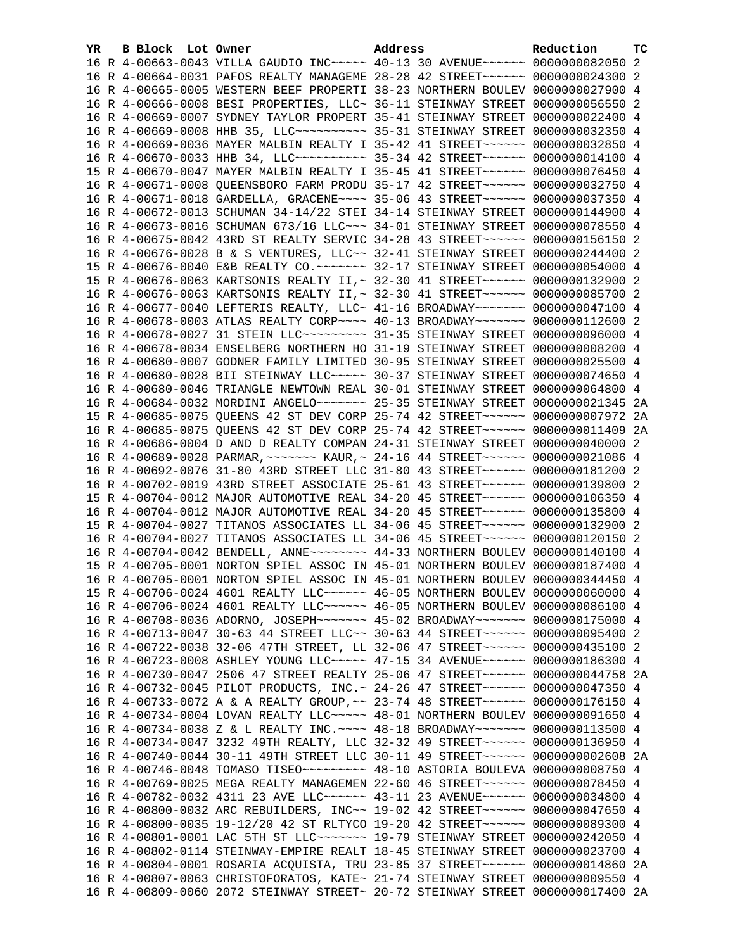| YR. | B Block Lot Owner | Address                                                                         | Reduction | тc |
|-----|-------------------|---------------------------------------------------------------------------------|-----------|----|
|     |                   | 16 R 4-00663-0043 VILLA GAUDIO INC~~~~~ 40-13 30 AVENUE~~~~~~ 0000000082050 2   |           |    |
|     |                   | 16 R 4-00664-0031 PAFOS REALTY MANAGEME 28-28 42 STREET~~~~~~ 0000000024300 2   |           |    |
|     |                   | 16 R 4-00665-0005 WESTERN BEEF PROPERTI 38-23 NORTHERN BOULEV 0000000027900 4   |           |    |
|     |                   | 16 R 4-00666-0008 BESI PROPERTIES, LLC~ 36-11 STEINWAY STREET 0000000056550 2   |           |    |
|     |                   | 16 R 4-00669-0007 SYDNEY TAYLOR PROPERT 35-41 STEINWAY STREET 0000000022400 4   |           |    |
|     |                   | 16 R 4-00669-0008 HHB 35, LLC ---------- 35-31 STEINWAY STREET 0000000032350 4  |           |    |
|     |                   | 16 R 4-00669-0036 MAYER MALBIN REALTY I 35-42 41 STREET ~~~~~~ 0000000032850 4  |           |    |
|     |                   | 16 R 4-00670-0033 HHB 34, LLC ---------- 35-34 42 STREET ------ 0000000014100 4 |           |    |
|     |                   | 15 R 4-00670-0047 MAYER MALBIN REALTY I 35-45 41 STREET~~~~~~ 0000000076450 4   |           |    |
|     |                   | 16 R 4-00671-0008 QUEENSBORO FARM PRODU 35-17 42 STREET ~~~~~~ 0000000032750 4  |           |    |
|     |                   | 16 R 4-00671-0018 GARDELLA, GRACENE~~~~ 35-06 43 STREET~~~~~~ 0000000037350 4   |           |    |
|     |                   | 16 R 4-00672-0013 SCHUMAN 34-14/22 STEI 34-14 STEINWAY STREET 0000000144900 4   |           |    |
|     |                   | 16 R 4-00673-0016 SCHUMAN 673/16 LLC ~~~ 34-01 STEINWAY STREET 0000000078550 4  |           |    |
|     |                   | 16 R 4-00675-0042 43RD ST REALTY SERVIC 34-28 43 STREET~~~~~~ 0000000156150 2   |           |    |
|     |                   | 16 R 4-00676-0028 B & S VENTURES, LLC~~ 32-41 STEINWAY STREET 0000000244400 2   |           |    |
|     |                   | 15 R 4-00676-0040 E&B REALTY CO.~~~~~~~ 32-17 STEINWAY STREET 0000000054000 4   |           |    |
|     |                   | 15 R 4-00676-0063 KARTSONIS REALTY II, ~ 32-30 41 STREET ~~~~~~ 0000000132900 2 |           |    |
|     |                   | 16 R 4-00676-0063 KARTSONIS REALTY II, ~ 32-30 41 STREET ~~~~~~ 0000000085700 2 |           |    |
|     |                   | 16 R 4-00677-0040 LEFTERIS REALTY, LLC~ 41-16 BROADWAY~~~~~~~ 0000000047100 4   |           |    |
|     |                   | 16 R 4-00678-0003 ATLAS REALTY CORP~~~~ 40-13 BROADWAY~~~~~~~ 0000000112600 2   |           |    |
|     |                   | 16 R 4-00678-0027 31 STEIN LLC -------- 31-35 STEINWAY STREET 0000000096000 4   |           |    |
|     |                   | 16 R 4-00678-0034 ENSELBERG NORTHERN HO 31-19 STEINWAY STREET 0000000008200 4   |           |    |
|     |                   | 16 R 4-00680-0007 GODNER FAMILY LIMITED 30-95 STEINWAY STREET 0000000025500 4   |           |    |
|     |                   | 16 R 4-00680-0028 BII STEINWAY LLC ~~~~~ 30-37 STEINWAY STREET 0000000074650 4  |           |    |
|     |                   | 16 R 4-00680-0046 TRIANGLE NEWTOWN REAL 30-01 STEINWAY STREET 0000000064800 4   |           |    |
|     |                   | 16 R 4-00684-0032 MORDINI ANGELO~~~~~~~~ 25-35 STEINWAY STREET 0000000021345 2A |           |    |
|     |                   | 15 R 4-00685-0075 QUEENS 42 ST DEV CORP 25-74 42 STREET~~~~~~ 0000000007972 2A  |           |    |
|     |                   | 16 R 4-00685-0075 QUEENS 42 ST DEV CORP 25-74 42 STREET~~~~~~ 0000000011409 2A  |           |    |
|     |                   | 16 R 4-00686-0004 D AND D REALTY COMPAN 24-31 STEINWAY STREET 0000000040000 2   |           |    |
|     |                   | 16 R 4-00689-0028 PARMAR, ~~~~~~~ KAUR, ~ 24-16 44 STREET~~~~~~ 0000000021086 4 |           |    |
|     |                   | 16 R 4-00692-0076 31-80 43RD STREET LLC 31-80 43 STREET~~~~~~ 0000000181200 2   |           |    |
|     |                   | 16 R 4-00702-0019 43RD STREET ASSOCIATE 25-61 43 STREET~~~~~~ 0000000139800 2   |           |    |
|     |                   | 15 R 4-00704-0012 MAJOR AUTOMOTIVE REAL 34-20 45 STREET~~~~~~ 0000000106350 4   |           |    |
|     |                   | 16 R 4-00704-0012 MAJOR AUTOMOTIVE REAL 34-20 45 STREET~~~~~~ 0000000135800 4   |           |    |
|     |                   | 15 R 4-00704-0027 TITANOS ASSOCIATES LL 34-06 45 STREET~~~~~~ 0000000132900 2   |           |    |
|     |                   | 16 R 4-00704-0027 TITANOS ASSOCIATES LL 34-06 45 STREET~~~~~~ 0000000120150 2   |           |    |
|     |                   | 16 R 4-00704-0042 BENDELL, ANNE~~~~~~~~ 44-33 NORTHERN BOULEV 0000000140100 4   |           |    |
|     |                   | 15 R 4-00705-0001 NORTON SPIEL ASSOC IN 45-01 NORTHERN BOULEV 0000000187400 4   |           |    |
|     |                   | 16 R 4-00705-0001 NORTON SPIEL ASSOC IN 45-01 NORTHERN BOULEV 0000000344450 4   |           |    |
|     |                   | 15 R 4-00706-0024 4601 REALTY LLC ----- 46-05 NORTHERN BOULEV 0000000060000 4   |           |    |
|     |                   | 16 R 4-00706-0024 4601 REALTY LLC ----- 46-05 NORTHERN BOULEV 0000000086100 4   |           |    |
|     |                   | 16 R 4-00708-0036 ADORNO, JOSEPH~~~~~~~ 45-02 BROADWAY~~~~~~~ 0000000175000 4   |           |    |
|     |                   | 16 R 4-00713-0047 30-63 44 STREET LLC~~ 30-63 44 STREET~~~~~~ 0000000095400 2   |           |    |
|     |                   | 16 R 4-00722-0038 32-06 47TH STREET, LL 32-06 47 STREET~~~~~~ 0000000435100 2   |           |    |
|     |                   | 16 R 4-00723-0008 ASHLEY YOUNG LLC ---- 47-15 34 AVENUE ----- 0000000186300 4   |           |    |
|     |                   | 16 R 4-00730-0047 2506 47 STREET REALTY 25-06 47 STREET~~~~~~ 0000000044758 2A  |           |    |
|     |                   | 16 R 4-00732-0045 PILOT PRODUCTS, INC. ~ 24-26 47 STREET ~~~~~~ 0000000047350 4 |           |    |
|     |                   | 16 R 4-00733-0072 A & A REALTY GROUP, ~~ 23-74 48 STREET ~~~~~~ 0000000176150 4 |           |    |
|     |                   | 16 R 4-00734-0004 LOVAN REALTY LLC~~~~~ 48-01 NORTHERN BOULEV 0000000091650 4   |           |    |
|     |                   | 16 R 4-00734-0038 Z & L REALTY INC. ~~~~ 48-18 BROADWAY~~~~~~~ 0000000113500 4  |           |    |
|     |                   | 16 R 4-00734-0047 3232 49TH REALTY, LLC 32-32 49 STREET~~~~~~ 0000000136950 4   |           |    |
|     |                   | 16 R 4-00740-0044 30-11 49TH STREET LLC 30-11 49 STREET~~~~~~ 0000000002608 2A  |           |    |
|     |                   | 16 R 4-00746-0048 TOMASO TISEO~~~~~~~~~ 48-10 ASTORIA BOULEVA 0000000008750 4   |           |    |
|     |                   | 16 R 4-00769-0025 MEGA REALTY MANAGEMEN 22-60 46 STREET~~~~~~ 0000000078450 4   |           |    |
|     |                   | 16 R 4-00782-0032 4311 23 AVE LLC ----- 43-11 23 AVENUE ----- 0000000034800 4   |           |    |
|     |                   | 16 R 4-00800-0032 ARC REBUILDERS, INC~~ 19-02 42 STREET~~~~~~ 0000000047650 4   |           |    |
|     |                   | 16 R 4-00800-0035 19-12/20 42 ST RLTYCO 19-20 42 STREET~~~~~~ 0000000089300 4   |           |    |
|     |                   | 16 R 4-00801-0001 LAC 5TH ST LLC ------ 19-79 STEINWAY STREET 0000000242050 4   |           |    |
|     |                   | 16 R 4-00802-0114 STEINWAY-EMPIRE REALT 18-45 STEINWAY STREET 0000000023700 4   |           |    |
|     |                   | 16 R 4-00804-0001 ROSARIA ACQUISTA, TRU 23-85 37 STREET~~~~~~ 0000000014860 2A  |           |    |
|     |                   | 16 R 4-00807-0063 CHRISTOFORATOS, KATE~ 21-74 STEINWAY STREET 0000000009550 4   |           |    |
|     |                   | 16 R 4-00809-0060 2072 STEINWAY STREET~ 20-72 STEINWAY STREET 0000000017400 2A  |           |    |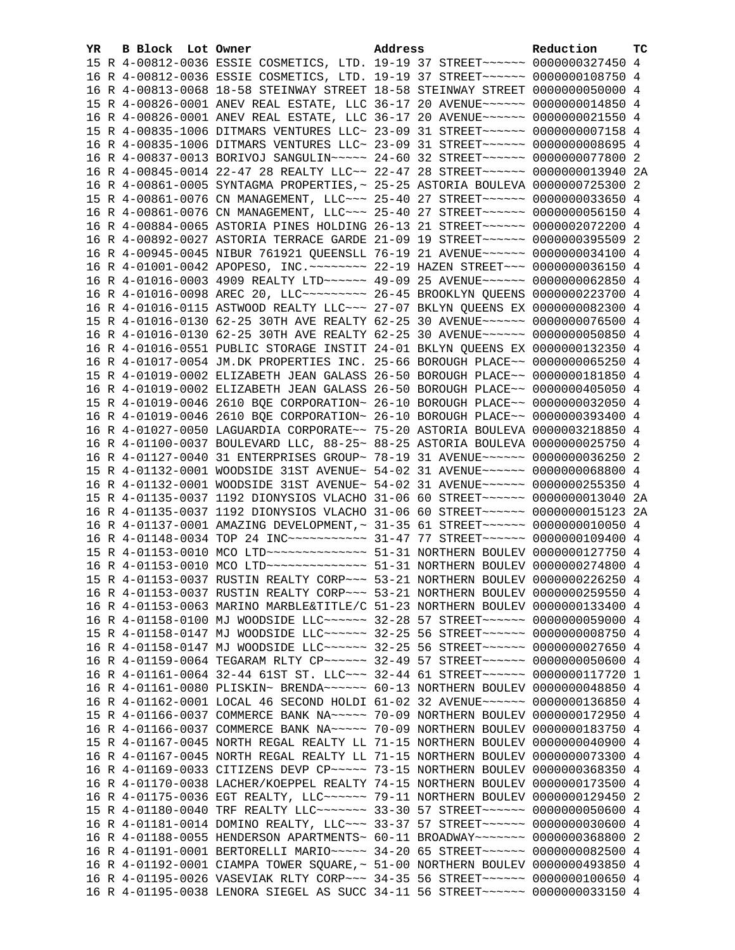| YR. | <b>B Block</b> Lot Owner | Address                                                                                                                                                          | Reduction | тc |
|-----|--------------------------|------------------------------------------------------------------------------------------------------------------------------------------------------------------|-----------|----|
|     |                          | 15 R 4-00812-0036 ESSIE COSMETICS, LTD. 19-19 37 STREET~~~~~~ 0000000327450 4                                                                                    |           |    |
|     |                          | 16 R 4-00812-0036 ESSIE COSMETICS, LTD. 19-19 37 STREET~~~~~~ 0000000108750 4                                                                                    |           |    |
|     |                          | 16 R 4-00813-0068 18-58 STEINWAY STREET 18-58 STEINWAY STREET 0000000050000 4                                                                                    |           |    |
|     |                          | 15 R 4-00826-0001 ANEV REAL ESTATE, LLC 36-17 20 AVENUE~~~~~~ 0000000014850 4                                                                                    |           |    |
|     |                          | 16 R 4-00826-0001 ANEV REAL ESTATE, LLC 36-17 20 AVENUE~~~~~~ 0000000021550 4                                                                                    |           |    |
|     |                          | 15 R 4-00835-1006 DITMARS VENTURES LLC~ 23-09 31 STREET~~~~~~ 0000000007158 4                                                                                    |           |    |
|     |                          | 16 R 4-00835-1006 DITMARS VENTURES LLC~ 23-09 31 STREET~~~~~~ 00000000008695 4                                                                                   |           |    |
|     |                          | 16 R 4-00837-0013 BORIVOJ SANGULIN~~~~~ 24-60 32 STREET~~~~~~ 0000000077800 2                                                                                    |           |    |
|     |                          | 16 R 4-00845-0014 22-47 28 REALTY LLC~~ 22-47 28 STREET~~~~~~ 0000000013940 2A                                                                                   |           |    |
|     |                          | 16 R 4-00861-0005 SYNTAGMA PROPERTIES, ~ 25-25 ASTORIA BOULEVA 0000000725300 2                                                                                   |           |    |
|     |                          | 15 R 4-00861-0076 CN MANAGEMENT, LLC ~~~ 25-40 27 STREET ~~~~~~ 0000000033650 4                                                                                  |           |    |
|     |                          | 16 R 4-00861-0076 CN MANAGEMENT, LLC ~~~ 25-40 27 STREET ~~~~~~ 0000000056150 4                                                                                  |           |    |
|     |                          | 16 R 4-00884-0065 ASTORIA PINES HOLDING 26-13 21 STREET~~~~~~ 0000002072200 4                                                                                    |           |    |
|     |                          | 16 R 4-00892-0027 ASTORIA TERRACE GARDE 21-09 19 STREET~~~~~~ 0000000395509 2                                                                                    |           |    |
|     |                          | 16 R 4-00945-0045 NIBUR 761921 QUEENSLL 76-19 21 AVENUE~~~~~~ 0000000034100 4                                                                                    |           |    |
|     |                          | 16 R 4-01001-0042 APOPESO, INC. ~~~~~~~~ 22-19 HAZEN STREET~~~ 0000000036150 4                                                                                   |           |    |
|     |                          | 16 R 4-01016-0003 4909 REALTY LTD ~~~~~~ 49-09 25 AVENUE ~~~~~~ 0000000062850 4                                                                                  |           |    |
|     |                          | 16 R 4-01016-0098 AREC 20, LLC -------- 26-45 BROOKLYN QUEENS 0000000223700 4                                                                                    |           |    |
|     |                          | 16 R 4-01016-0115 ASTWOOD REALTY LLC ~~~ 27-07 BKLYN QUEENS EX 0000000082300 4                                                                                   |           |    |
|     |                          | 15 R 4-01016-0130 62-25 30TH AVE REALTY 62-25 30 AVENUE~~~~~~ 0000000076500 4                                                                                    |           |    |
|     |                          | 16 R 4-01016-0130 62-25 30TH AVE REALTY 62-25 30 AVENUE~~~~~~ 0000000050850 4                                                                                    |           |    |
|     |                          | 16 R 4-01016-0551 PUBLIC STORAGE INSTIT 24-01 BKLYN QUEENS EX 0000000132350 4                                                                                    |           |    |
|     |                          | 16 R 4-01017-0054 JM.DK PROPERTIES INC. 25-66 BOROUGH PLACE~~ 0000000065250 4                                                                                    |           |    |
|     |                          | 15 R 4-01019-0002 ELIZABETH JEAN GALASS 26-50 BOROUGH PLACE~~ 0000000181850 4                                                                                    |           |    |
|     |                          | 16 R 4-01019-0002 ELIZABETH JEAN GALASS 26-50 BOROUGH PLACE~~ 0000000405050 4                                                                                    |           |    |
|     |                          | 15 R 4-01019-0046 2610 BQE CORPORATION~ 26-10 BOROUGH PLACE~~ 0000000032050 4                                                                                    |           |    |
|     |                          | 16 R 4-01019-0046 2610 BQE CORPORATION~ 26-10 BOROUGH PLACE~~ 0000000393400 4                                                                                    |           |    |
|     |                          | 16 R 4-01027-0050 LAGUARDIA CORPORATE~~ 75-20 ASTORIA BOULEVA 0000003218850 4                                                                                    |           |    |
|     |                          | 16 R 4-01100-0037 BOULEVARD LLC, 88-25~ 88-25 ASTORIA BOULEVA 0000000025750 4                                                                                    |           |    |
|     |                          | 16 R 4-01127-0040 31 ENTERPRISES GROUP~ 78-19 31 AVENUE~~~~~~ 0000000036250 2                                                                                    |           |    |
|     |                          | 15 R 4-01132-0001 WOODSIDE 31ST AVENUE~ 54-02 31 AVENUE~~~~~~ 0000000068800 4                                                                                    |           |    |
|     |                          | 16 R 4-01132-0001 WOODSIDE 31ST AVENUE~ 54-02 31 AVENUE~~~~~~ 0000000255350 4                                                                                    |           |    |
|     |                          | 15 R 4-01135-0037 1192 DIONYSIOS VLACHO 31-06 60 STREET~~~~~~ 0000000013040 2A<br>16 R 4-01135-0037 1192 DIONYSIOS VLACHO 31-06 60 STREET~~~~~~ 0000000015123 2A |           |    |
|     |                          | 16 R 4-01137-0001 AMAZING DEVELOPMENT, ~ 31-35 61 STREET ~~~~~~~ 0000000010050 4                                                                                 |           |    |
|     |                          | 16 R 4-01148-0034 TOP 24 INC ----------- 31-47 77 STREET ------ 0000000109400 4                                                                                  |           |    |
|     |                          | 15 R 4-01153-0010 MCO LTD -------------- 51-31 NORTHERN BOULEV 0000000127750 4                                                                                   |           |    |
|     |                          | 16 R 4-01153-0010 MCO LTD -------------- 51-31 NORTHERN BOULEV 0000000274800 4                                                                                   |           |    |
|     |                          | 15 R 4-01153-0037 RUSTIN REALTY CORP~~~ 53-21 NORTHERN BOULEV 0000000226250 4                                                                                    |           |    |
|     |                          | 16 R 4-01153-0037 RUSTIN REALTY CORP~~~ 53-21 NORTHERN BOULEV 0000000259550 4                                                                                    |           |    |
|     |                          | 16 R 4-01153-0063 MARINO MARBLE&TITLE/C 51-23 NORTHERN BOULEV 0000000133400 4                                                                                    |           |    |
|     |                          | 16 R 4-01158-0100 MJ WOODSIDE LLC ----- 32-28 57 STREET ----- 0000000059000 4                                                                                    |           |    |
|     |                          | 15 R 4-01158-0147 MJ WOODSIDE LLC~~~~~~ 32-25 56 STREET~~~~~~ 0000000008750 4                                                                                    |           |    |
|     |                          | 16 R 4-01158-0147 MJ WOODSIDE LLC~~~~~~ 32-25 56 STREET~~~~~~ 0000000027650 4                                                                                    |           |    |
|     |                          | 16 R 4-01159-0064 TEGARAM RLTY CP ~~~~~~ 32-49 57 STREET ~~~~~~ 0000000050600 4                                                                                  |           |    |
|     |                          | 16 R 4-01161-0064 32-44 61ST ST. LLC~~~ 32-44 61 STREET~~~~~~ 0000000117720 1                                                                                    |           |    |
|     |                          | 16 R 4-01161-0080 PLISKIN~ BRENDA~~~~~~ 60-13 NORTHERN BOULEV 0000000048850 4                                                                                    |           |    |
|     |                          | 16 R 4-01162-0001 LOCAL 46 SECOND HOLDI 61-02 32 AVENUE~~~~~~ 0000000136850 4                                                                                    |           |    |
|     |                          | 15 R 4-01166-0037 COMMERCE BANK NA~~~~~ 70-09 NORTHERN BOULEV 0000000172950 4                                                                                    |           |    |
|     |                          | 16 R 4-01166-0037 COMMERCE BANK NA~~~~~ 70-09 NORTHERN BOULEV 0000000183750 4                                                                                    |           |    |
|     |                          | 15 R 4-01167-0045 NORTH REGAL REALTY LL 71-15 NORTHERN BOULEV 0000000040900 4                                                                                    |           |    |
|     |                          | 16 R 4-01167-0045 NORTH REGAL REALTY LL 71-15 NORTHERN BOULEV 0000000073300 4                                                                                    |           |    |
|     |                          | 16 R 4-01169-0033 CITIZENS DEVP CP~~~~~ 73-15 NORTHERN BOULEV 0000000368350                                                                                      |           | 4  |
|     |                          | 16 R 4-01170-0038 LACHER/KOEPPEL REALTY 74-15 NORTHERN BOULEV 0000000173500 4                                                                                    |           |    |
|     |                          | 16 R 4-01175-0036 EGT REALTY, LLC ~~~~~~ 79-11 NORTHERN BOULEV 0000000129450 2                                                                                   |           |    |
|     |                          | 15 R 4-01180-0040 TRF REALTY LLC ------ 33-30 57 STREET ----- 0000000050600 4                                                                                    |           |    |
|     |                          | 16 R 4-01181-0014 DOMINO REALTY, LLC ~~~ 33-37 57 STREET ~~~~~~ 0000000030600 4                                                                                  |           |    |
|     |                          | 16 R 4-01188-0055 HENDERSON APARTMENTS~ 60-11 BROADWAY~~~~~~~ 0000000368800 2                                                                                    |           |    |
|     |                          | 16 R 4-01191-0001 BERTORELLI MARIO~~~~~ 34-20 65 STREET~~~~~~ 0000000082500 4                                                                                    |           |    |
|     |                          | 16 R 4-01192-0001 CIAMPA TOWER SQUARE, ~ 51-00 NORTHERN BOULEV 0000000493850 4                                                                                   |           |    |
|     |                          | 16 R 4-01195-0026 VASEVIAK RLTY CORP~~~ 34-35 56 STREET~~~~~~ 0000000100650 4                                                                                    |           |    |
|     |                          | 16 R 4-01195-0038 LENORA SIEGEL AS SUCC 34-11 56 STREET~~~~~~ 0000000033150 4                                                                                    |           |    |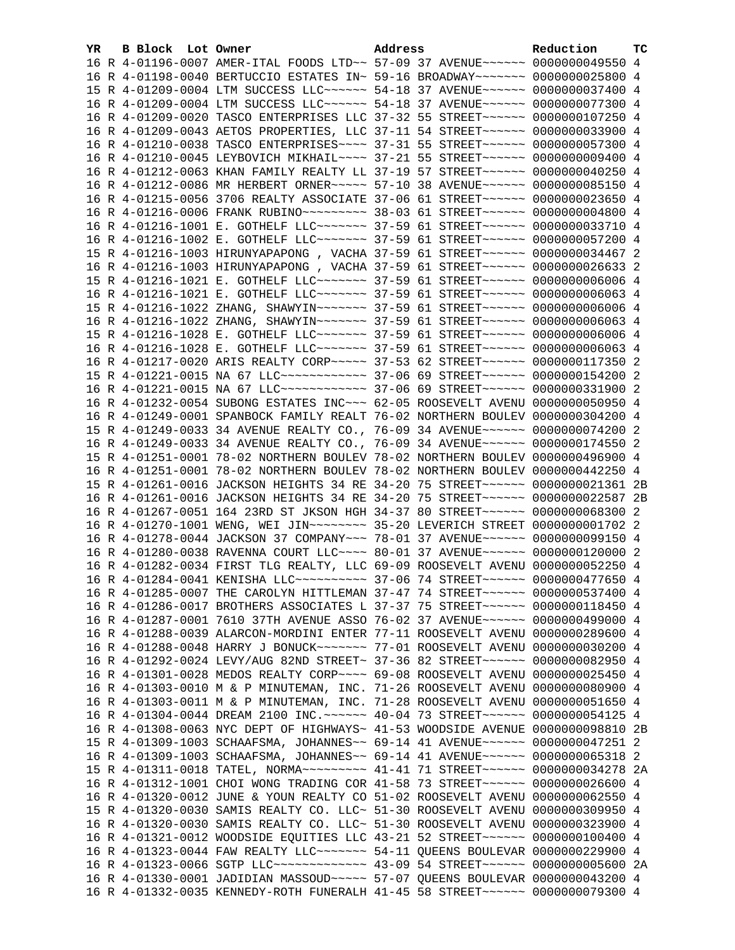| YR. | B Block Lot Owner | Address                                                                          | Reduction | тc |
|-----|-------------------|----------------------------------------------------------------------------------|-----------|----|
|     |                   | 16 R 4-01196-0007 AMER-ITAL FOODS LTD~~ 57-09 37 AVENUE~~~~~~ 0000000049550 4    |           |    |
|     |                   | 16 R 4-01198-0040 BERTUCCIO ESTATES IN~ 59-16 BROADWAY~~~~~~~ 0000000025800 4    |           |    |
|     |                   | 15 R 4-01209-0004 LTM SUCCESS LLC~~~~~~ 54-18 37 AVENUE~~~~~~ 0000000037400 4    |           |    |
|     |                   | 16 R 4-01209-0004 LTM SUCCESS LLC ~~~~~~ 54-18 37 AVENUE ~~~~~~ 0000000077300 4  |           |    |
|     |                   | 16 R 4-01209-0020 TASCO ENTERPRISES LLC 37-32 55 STREET~~~~~~ 0000000107250 4    |           |    |
|     |                   | 16 R 4-01209-0043 AETOS PROPERTIES, LLC 37-11 54 STREET~~~~~~ 0000000033900 4    |           |    |
|     |                   | 16 R 4-01210-0038 TASCO ENTERPRISES~~~~ 37-31 55 STREET~~~~~~ 0000000057300 4    |           |    |
|     |                   | 16 R 4-01210-0045 LEYBOVICH MIKHAIL~~~~ 37-21 55 STREET~~~~~~ 0000000009400 4    |           |    |
|     |                   | 16 R 4-01212-0063 KHAN FAMILY REALTY LL 37-19 57 STREET~~~~~~ 0000000040250 4    |           |    |
|     |                   | 16 R 4-01212-0086 MR HERBERT ORNER~~~~~ 57-10 38 AVENUE~~~~~~ 0000000085150 4    |           |    |
|     |                   | 16 R 4-01215-0056 3706 REALTY ASSOCIATE 37-06 61 STREET~~~~~~ 0000000023650 4    |           |    |
|     |                   | 16 R 4-01216-0006 FRANK RUBINO~~~~~~~~~ 38-03 61 STREET~~~~~~ 0000000004800 4    |           |    |
|     |                   | 16 R 4-01216-1001 E. GOTHELF LLC ------- 37-59 61 STREET ----- 0000000033710 4   |           |    |
|     |                   | 16 R 4-01216-1002 E. GOTHELF LLC ------- 37-59 61 STREET ----- 0000000057200 4   |           |    |
|     |                   | 15 R 4-01216-1003 HIRUNYAPAPONG, VACHA 37-59 61 STREET~~~~~~ 0000000034467 2     |           |    |
|     |                   | 16 R 4-01216-1003 HIRUNYAPAPONG, VACHA 37-59 61 STREET~~~~~~ 0000000026633 2     |           |    |
|     |                   | 15 R 4-01216-1021 E. GOTHELF LLC ------- 37-59 61 STREET ----- 00000000006006 4  |           |    |
|     |                   | 16 R 4-01216-1021 E. GOTHELF LLC~~~~~~~ 37-59 61 STREET~~~~~~ 00000000006063 4   |           |    |
|     |                   | 15 R 4-01216-1022 ZHANG, SHAWYIN~~~~~~~ 37-59 61 STREET~~~~~~ 00000000006006 4   |           |    |
|     |                   | 16 R 4-01216-1022 ZHANG, SHAWYIN~~~~~~~ 37-59 61 STREET~~~~~~ 00000000006063 4   |           |    |
|     |                   | 15 R 4-01216-1028 E. GOTHELF LLC~~~~~~~ 37-59 61 STREET~~~~~~ 00000000006006 4   |           |    |
|     |                   | 16 R 4-01216-1028 E. GOTHELF LLC ------ 37-59 61 STREET ----- 00000000006063 4   |           |    |
|     |                   | 16 R 4-01217-0020 ARIS REALTY CORP~~~~~ 37-53 62 STREET~~~~~~ 0000000117350 2    |           |    |
|     |                   | 15 R 4-01221-0015 NA 67 LLC ------------- 37-06 69 STREET ------ 0000000154200 2 |           |    |
|     |                   | 16 R 4-01221-0015 NA 67 LLC ------------ 37-06 69 STREET ------ 0000000331900 2  |           |    |
|     |                   | 16 R 4-01232-0054 SUBONG ESTATES INC~~~ 62-05 ROOSEVELT AVENU 0000000050950 4    |           |    |
|     |                   | 16 R 4-01249-0001 SPANBOCK FAMILY REALT 76-02 NORTHERN BOULEV 0000000304200 4    |           |    |
|     |                   | 15 R 4-01249-0033 34 AVENUE REALTY CO., 76-09 34 AVENUE~~~~~~ 0000000074200 2    |           |    |
|     |                   | 16 R 4-01249-0033 34 AVENUE REALTY CO., 76-09 34 AVENUE~~~~~~ 0000000174550 2    |           |    |
|     |                   | 15 R 4-01251-0001 78-02 NORTHERN BOULEV 78-02 NORTHERN BOULEV 0000000496900 4    |           |    |
|     |                   | 16 R 4-01251-0001 78-02 NORTHERN BOULEV 78-02 NORTHERN BOULEV 0000000442250 4    |           |    |
|     |                   | 15 R 4-01261-0016 JACKSON HEIGHTS 34 RE 34-20 75 STREET~~~~~~ 0000000021361 2B   |           |    |
|     |                   | 16 R 4-01261-0016 JACKSON HEIGHTS 34 RE 34-20 75 STREET~~~~~~ 0000000022587 2B   |           |    |
|     |                   | 16 R 4-01267-0051 164 23RD ST JKSON HGH 34-37 80 STREET~~~~~~ 0000000068300 2    |           |    |
|     |                   | 16 R 4-01270-1001 WENG, WEI JIN~~~~~~~~~ 35-20 LEVERICH STREET 0000000001702 2   |           |    |
|     |                   | 16 R 4-01278-0044 JACKSON 37 COMPANY~~~ 78-01 37 AVENUE~~~~~~ 0000000099150 4    |           |    |
|     |                   | 16 R 4-01280-0038 RAVENNA COURT LLC~~~~ 80-01 37 AVENUE~~~~~~ 0000000120000 2    |           |    |
|     |                   | 16 R 4-01282-0034 FIRST TLG REALTY, LLC 69-09 ROOSEVELT AVENU 0000000052250 4    |           |    |
|     |                   | 16 R 4-01284-0041 KENISHA LLC~~~~~~~~~~ 37-06 74 STREET~~~~~~ 0000000477650 4    |           |    |
|     |                   | 16 R 4-01285-0007 THE CAROLYN HITTLEMAN 37-47 74 STREET~~~~~~ 0000000537400 4    |           |    |
|     |                   | 16 R 4-01286-0017 BROTHERS ASSOCIATES L 37-37 75 STREET~~~~~~ 0000000118450 4    |           |    |
|     |                   | 16 R 4-01287-0001 7610 37TH AVENUE ASSO 76-02 37 AVENUE~~~~~~ 0000000499000 4    |           |    |
|     |                   | 16 R 4-01288-0039 ALARCON-MORDINI ENTER 77-11 ROOSEVELT AVENU 0000000289600 4    |           |    |
|     |                   | 16 R 4-01288-0048 HARRY J BONUCK~~~~~~~ 77-01 ROOSEVELT AVENU 0000000030200 4    |           |    |
|     |                   | 16 R 4-01292-0024 LEVY/AUG 82ND STREET~ 37-36 82 STREET~~~~~~ 0000000082950 4    |           |    |
|     |                   | 16 R 4-01301-0028 MEDOS REALTY CORP~~~~ 69-08 ROOSEVELT AVENU 0000000025450 4    |           |    |
|     |                   | 16 R 4-01303-0010 M & P MINUTEMAN, INC. 71-26 ROOSEVELT AVENU 0000000080900 4    |           |    |
|     |                   | 16 R 4-01303-0011 M & P MINUTEMAN, INC. 71-28 ROOSEVELT AVENU 0000000051650 4    |           |    |
|     |                   | 16 R 4-01304-0044 DREAM 2100 INC. ~~~~~~ 40-04 73 STREET~~~~~~ 0000000054125 4   |           |    |
|     |                   | 16 R 4-01308-0063 NYC DEPT OF HIGHWAYS~ 41-53 WOODSIDE AVENUE 0000000098810 2B   |           |    |
|     |                   | 15 R 4-01309-1003 SCHAAFSMA, JOHANNES~~ 69-14 41 AVENUE~~~~~~ 0000000047251 2    |           |    |
|     |                   | 16 R 4-01309-1003 SCHAAFSMA, JOHANNES~~ 69-14 41 AVENUE~~~~~~ 0000000065318 2    |           |    |
|     |                   | 15 R 4-01311-0018 TATEL, NORMA~~~~~~~~~ 41-41 71 STREET~~~~~~ 0000000034278 2A   |           |    |
|     |                   | 16 R 4-01312-1001 CHOI WONG TRADING COR 41-58 73 STREET~~~~~~ 0000000026600 4    |           |    |
|     |                   | 16 R 4-01320-0012 JUNE & YOUN REALTY CO 51-02 ROOSEVELT AVENU 0000000062550 4    |           |    |
|     |                   | 15 R 4-01320-0030 SAMIS REALTY CO. LLC~ 51-30 ROOSEVELT AVENU 0000000309950 4    |           |    |
|     |                   | 16 R 4-01320-0030 SAMIS REALTY CO. LLC~ 51-30 ROOSEVELT AVENU 0000000323900 4    |           |    |
|     |                   | 16 R 4-01321-0012 WOODSIDE EQUITIES LLC 43-21 52 STREET~~~~~~ 0000000100400 4    |           |    |
|     |                   | 16 R 4-01323-0044 FAW REALTY LLC ------ 54-11 QUEENS BOULEVAR 0000000229900 4    |           |    |
|     |                   | 16 R 4-01323-0066 SGTP LLC ------------- 43-09 54 STREET ------ 0000000005600 2A |           |    |
|     |                   | 16 R 4-01330-0001 JADIDIAN MASSOUD ~~~~~ 57-07 QUEENS BOULEVAR 0000000043200 4   |           |    |
|     |                   | 16 R 4-01332-0035 KENNEDY-ROTH FUNERALH 41-45 58 STREET~~~~~~ 0000000079300 4    |           |    |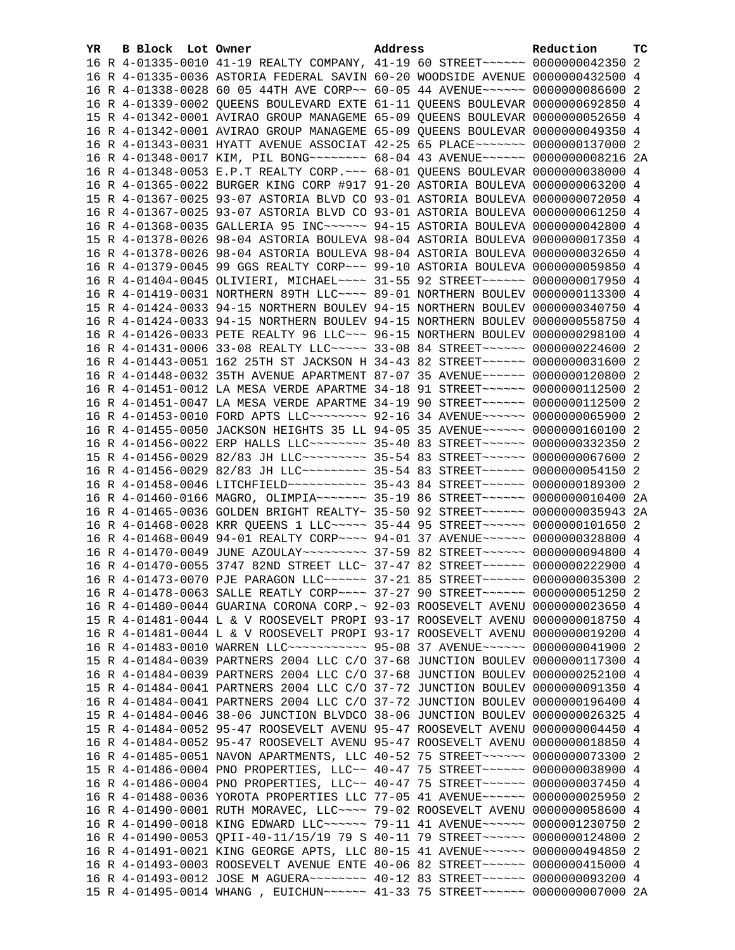| YR. | B Block Lot Owner |                                                                                 | Address | Reduction | тc |
|-----|-------------------|---------------------------------------------------------------------------------|---------|-----------|----|
|     |                   | 16 R 4-01335-0010 41-19 REALTY COMPANY, 41-19 60 STREET~~~~~~~ 0000000042350 2  |         |           |    |
|     |                   | 16 R 4-01335-0036 ASTORIA FEDERAL SAVIN 60-20 WOODSIDE AVENUE 0000000432500 4   |         |           |    |
|     |                   | 16 R 4-01338-0028 60 05 44TH AVE CORP~~ 60-05 44 AVENUE~~~~~~ 0000000086600 2   |         |           |    |
|     |                   | 16 R 4-01339-0002 QUEENS BOULEVARD EXTE 61-11 QUEENS BOULEVAR 0000000692850 4   |         |           |    |
|     |                   | 15 R 4-01342-0001 AVIRAO GROUP MANAGEME 65-09 QUEENS BOULEVAR 0000000052650 4   |         |           |    |
|     |                   | 16 R 4-01342-0001 AVIRAO GROUP MANAGEME 65-09 QUEENS BOULEVAR 0000000049350 4   |         |           |    |
|     |                   | 16 R 4-01343-0031 HYATT AVENUE ASSOCIAT 42-25 65 PLACE~~~~~~~ 0000000137000 2   |         |           |    |
|     |                   | 16 R 4-01348-0017 KIM, PIL BONG~~~~~~~~ 68-04 43 AVENUE~~~~~~ 0000000008216 2A  |         |           |    |
|     |                   | 16 R 4-01348-0053 E.P.T REALTY CORP. ~~~ 68-01 QUEENS BOULEVAR 0000000038000 4  |         |           |    |
|     |                   | 16 R 4-01365-0022 BURGER KING CORP #917 91-20 ASTORIA BOULEVA 0000000063200 4   |         |           |    |
|     |                   | 15 R 4-01367-0025 93-07 ASTORIA BLVD CO 93-01 ASTORIA BOULEVA 0000000072050 4   |         |           |    |
|     |                   | 16 R 4-01367-0025 93-07 ASTORIA BLVD CO 93-01 ASTORIA BOULEVA 0000000061250 4   |         |           |    |
|     |                   | 16 R 4-01368-0035 GALLERIA 95 INC~~~~~~ 94-15 ASTORIA BOULEVA 0000000042800 4   |         |           |    |
|     |                   | 15 R 4-01378-0026 98-04 ASTORIA BOULEVA 98-04 ASTORIA BOULEVA 0000000017350 4   |         |           |    |
|     |                   | 16 R 4-01378-0026 98-04 ASTORIA BOULEVA 98-04 ASTORIA BOULEVA 0000000032650 4   |         |           |    |
|     |                   | 16 R 4-01379-0045 99 GGS REALTY CORP~~~ 99-10 ASTORIA BOULEVA 0000000059850 4   |         |           |    |
|     |                   | 16 R 4-01404-0045 OLIVIERI, MICHAEL~~~~ 31-55 92 STREET~~~~~~ 0000000017950 4   |         |           |    |
|     |                   | 16 R 4-01419-0031 NORTHERN 89TH LLC ~~~~ 89-01 NORTHERN BOULEV 0000000113300 4  |         |           |    |
|     |                   | 15 R 4-01424-0033 94-15 NORTHERN BOULEV 94-15 NORTHERN BOULEV 0000000340750 4   |         |           |    |
|     |                   | 16 R 4-01424-0033 94-15 NORTHERN BOULEV 94-15 NORTHERN BOULEV 0000000558750 4   |         |           |    |
|     |                   | 16 R 4-01426-0033 PETE REALTY 96 LLC ~~~ 96-15 NORTHERN BOULEV 0000000298100 4  |         |           |    |
|     |                   | 16 R 4-01431-0006 33-08 REALTY LLC ---- 33-08 84 STREET ----- 0000000224600 2   |         |           |    |
|     |                   | 16 R 4-01443-0051 162 25TH ST JACKSON H 34-43 82 STREET~~~~~~ 0000000031600 2   |         |           |    |
|     |                   | 16 R 4-01448-0032 35TH AVENUE APARTMENT 87-07 35 AVENUE~~~~~~ 0000000120800 2   |         |           |    |
|     |                   | 16 R 4-01451-0012 LA MESA VERDE APARTME 34-18 91 STREET~~~~~~ 0000000112500 2   |         |           |    |
|     |                   | 16 R 4-01451-0047 LA MESA VERDE APARTME 34-19 90 STREET~~~~~~ 0000000112500 2   |         |           |    |
|     |                   | 16 R 4-01453-0010 FORD APTS LLC -------- 92-16 34 AVENUE ----- 0000000065900 2  |         |           |    |
|     |                   | 16 R 4-01455-0050 JACKSON HEIGHTS 35 LL 94-05 35 AVENUE~~~~~~ 0000000160100 2   |         |           |    |
|     |                   | 16 R 4-01456-0022 ERP HALLS LLC -------- 35-40 83 STREET ------ 0000000332350 2 |         |           |    |
|     |                   | 15 R 4-01456-0029 82/83 JH LLC -------- 35-54 83 STREET ------ 0000000067600 2  |         |           |    |
|     |                   | 16 R 4-01456-0029 82/83 JH LLC --------- 35-54 83 STREET ------ 0000000054150 2 |         |           |    |
|     |                   | 16 R 4-01458-0046 LITCHFIELD ----------- 35-43 84 STREET ----- 0000000189300 2  |         |           |    |
|     |                   | 16 R 4-01460-0166 MAGRO, OLIMPIA~~~~~~~ 35-19 86 STREET~~~~~~ 0000000010400 2A  |         |           |    |
|     |                   | 16 R 4-01465-0036 GOLDEN BRIGHT REALTY~ 35-50 92 STREET~~~~~~ 0000000035943 2A  |         |           |    |
|     |                   | 16 R 4-01468-0028 KRR QUEENS 1 LLC ~~~~~ 35-44 95 STREET ~~~~~~ 0000000101650 2 |         |           |    |
|     |                   | 16 R 4-01468-0049 94-01 REALTY CORP~~~~ 94-01 37 AVENUE~~~~~~ 0000000328800 4   |         |           |    |
|     |                   | 16 R 4-01470-0049 JUNE AZOULAY~~~~~~~~~ 37-59 82 STREET~~~~~~ 0000000094800 4   |         |           |    |
|     |                   | 16 R 4-01470-0055 3747 82ND STREET LLC~ 37-47 82 STREET~~~~~~ 0000000222900 4   |         |           |    |
|     |                   | 16 R 4-01473-0070 PJE PARAGON LLC ~~~~~~ 37-21 85 STREET ~~~~~~ 0000000035300 2 |         |           |    |
|     |                   | 16 R 4-01478-0063 SALLE REATLY CORP~~~~ 37-27 90 STREET~~~~~~ 0000000051250 2   |         |           |    |
|     |                   | 16 R 4-01480-0044 GUARINA CORONA CORP. ~ 92-03 ROOSEVELT AVENU 0000000023650 4  |         |           |    |
|     |                   | 15 R 4-01481-0044 L & V ROOSEVELT PROPI 93-17 ROOSEVELT AVENU 0000000018750 4   |         |           |    |
|     |                   | 16 R 4-01481-0044 L & V ROOSEVELT PROPI 93-17 ROOSEVELT AVENU 0000000019200 4   |         |           |    |
|     |                   | 16 R 4-01483-0010 WARREN LLC ----------- 95-08 37 AVENUE ------ 0000000041900 2 |         |           |    |
|     |                   | 15 R 4-01484-0039 PARTNERS 2004 LLC C/O 37-68 JUNCTION BOULEV 0000000117300 4   |         |           |    |
|     |                   | 16 R 4-01484-0039 PARTNERS 2004 LLC C/O 37-68 JUNCTION BOULEV 0000000252100 4   |         |           |    |
|     |                   | 15 R 4-01484-0041 PARTNERS 2004 LLC C/O 37-72 JUNCTION BOULEV 0000000091350 4   |         |           |    |
|     |                   | 16 R 4-01484-0041 PARTNERS 2004 LLC C/O 37-72 JUNCTION BOULEV 0000000196400 4   |         |           |    |
|     |                   | 15 R 4-01484-0046 38-06 JUNCTION BLVDCO 38-06 JUNCTION BOULEV 0000000026325 4   |         |           |    |
|     |                   | 15 R 4-01484-0052 95-47 ROOSEVELT AVENU 95-47 ROOSEVELT AVENU 0000000004450 4   |         |           |    |
|     |                   | 16 R 4-01484-0052 95-47 ROOSEVELT AVENU 95-47 ROOSEVELT AVENU 0000000018850 4   |         |           |    |
|     |                   | 16 R 4-01485-0051 NAVON APARTMENTS, LLC 40-52 75 STREET~~~~~~ 0000000073300 2   |         |           |    |
|     |                   | 15 R 4-01486-0004 PNO PROPERTIES, LLC~~ 40-47 75 STREET~~~~~~ 0000000038900 4   |         |           |    |
|     |                   | 16 R 4-01486-0004 PNO PROPERTIES, LLC~~ 40-47 75 STREET~~~~~~ 0000000037450 4   |         |           |    |
|     |                   | 16 R 4-01488-0036 YOROTA PROPERTIES LLC 77-05 41 AVENUE~~~~~~ 0000000025950 2   |         |           |    |
|     |                   | 16 R 4-01490-0001 RUTH MORAVEC, LLC --- 79-02 ROOSEVELT AVENU 0000000058600 4   |         |           |    |
|     |                   | 16 R 4-01490-0018 KING EDWARD LLC~~~~~~ 79-11 41 AVENUE~~~~~~ 0000001230750 2   |         |           |    |
|     |                   | 16 R 4-01490-0053 QPII-40-11/15/19 79 S 40-11 79 STREET~~~~~~ 0000000124800 2   |         |           |    |
|     |                   | 16 R 4-01491-0021 KING GEORGE APTS, LLC 80-15 41 AVENUE~~~~~~ 0000000494850 2   |         |           |    |
|     |                   | 16 R 4-01493-0003 ROOSEVELT AVENUE ENTE 40-06 82 STREET~~~~~~ 0000000415000 4   |         |           |    |
|     |                   | 16 R 4-01493-0012 JOSE M AGUERA~~~~~~~~ 40-12 83 STREET~~~~~~ 0000000093200 4   |         |           |    |
|     |                   | 15 R 4-01495-0014 WHANG , EUICHUN~~~~~~ 41-33 75 STREET~~~~~~ 0000000007000 2A  |         |           |    |
|     |                   |                                                                                 |         |           |    |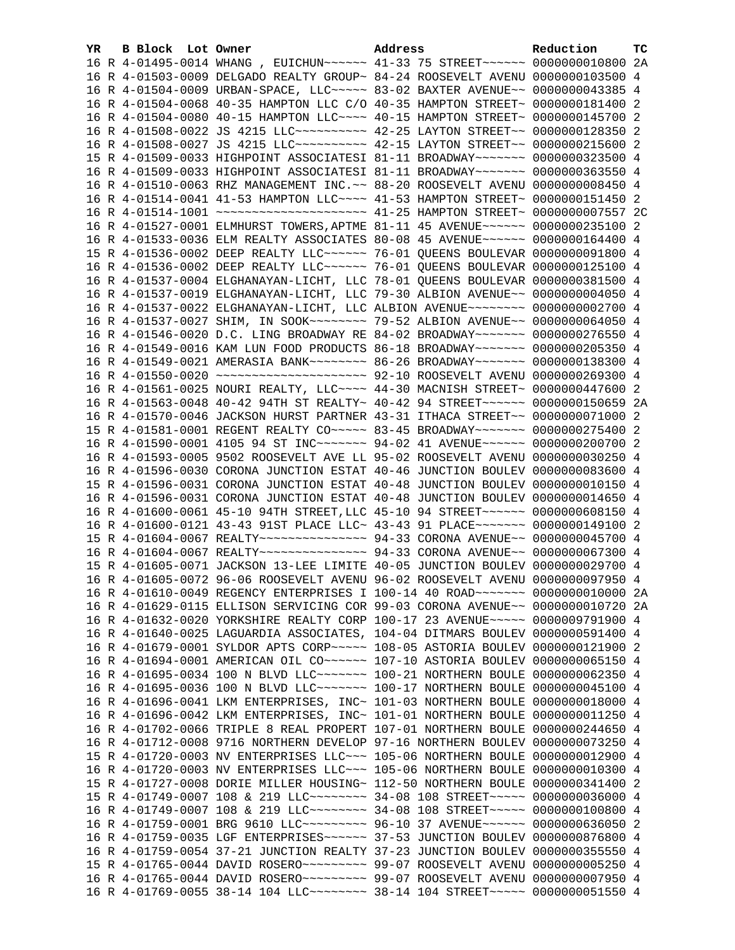| YR. | <b>B Block</b> Lot Owner | Address                                                                         | Reduction | тc |
|-----|--------------------------|---------------------------------------------------------------------------------|-----------|----|
|     |                          | 16 R 4-01495-0014 WHANG, EUICHUN~~~~~~ 41-33 75 STREET~~~~~~ 0000000010800 2A   |           |    |
|     |                          | 16 R 4-01503-0009 DELGADO REALTY GROUP~ 84-24 ROOSEVELT AVENU 0000000103500 4   |           |    |
|     |                          | 16 R 4-01504-0009 URBAN-SPACE, LLC ~~~~~ 83-02 BAXTER AVENUE ~~ 0000000043385 4 |           |    |
|     |                          | 16 R 4-01504-0068 40-35 HAMPTON LLC C/O 40-35 HAMPTON STREET~ 0000000181400 2   |           |    |
|     |                          | 16 R 4-01504-0080 40-15 HAMPTON LLC~~~~ 40-15 HAMPTON STREET~ 0000000145700 2   |           |    |
|     |                          | 16 R 4-01508-0022 JS 4215 LLC ---------- 42-25 LAYTON STREET -~ 0000000128350 2 |           |    |
|     |                          | 16 R 4-01508-0027 JS 4215 LLC ---------- 42-15 LAYTON STREET -~ 0000000215600 2 |           |    |
|     |                          | 15 R 4-01509-0033 HIGHPOINT ASSOCIATESI 81-11 BROADWAY~~~~~~~ 0000000323500 4   |           |    |
|     |                          | 16 R 4-01509-0033 HIGHPOINT ASSOCIATESI 81-11 BROADWAY~~~~~~~ 0000000363550 4   |           |    |
|     |                          | 16 R 4-01510-0063 RHZ MANAGEMENT INC. ~~ 88-20 ROOSEVELT AVENU 0000000008450 4  |           |    |
|     |                          | 16 R 4-01514-0041 41-53 HAMPTON LLC --- 41-53 HAMPTON STREET ~ 0000000151450 2  |           |    |
|     |                          | 16 R 4-01514-1001 ~~~~~~~~~~~~~~~~~~~~ 41-25 HAMPTON STREET~ 0000000007557 2C   |           |    |
|     |                          | 16 R 4-01527-0001 ELMHURST TOWERS, APTME 81-11 45 AVENUE~~~~~~ 0000000235100 2  |           |    |
|     |                          | 16 R 4-01533-0036 ELM REALTY ASSOCIATES 80-08 45 AVENUE~~~~~~ 0000000164400 4   |           |    |
|     |                          | 15 R 4-01536-0002 DEEP REALTY LLC ----- 76-01 OUEENS BOULEVAR 0000000091800 4   |           |    |
|     |                          | 16 R 4-01536-0002 DEEP REALTY LLC~~~~~~ 76-01 QUEENS BOULEVAR 0000000125100 4   |           |    |
|     |                          | 16 R 4-01537-0004 ELGHANAYAN-LICHT, LLC 78-01 QUEENS BOULEVAR 0000000381500 4   |           |    |
|     |                          | 16 R 4-01537-0019 ELGHANAYAN-LICHT, LLC 79-30 ALBION AVENUE~~ 0000000004050 4   |           |    |
|     |                          | 16 R 4-01537-0022 ELGHANAYAN-LICHT, LLC ALBION AVENUE~~~~~~~~ 0000000002700 4   |           |    |
|     |                          | 16 R 4-01537-0027 SHIM, IN SOOK~~~~~~~~~ 79-52 ALBION AVENUE~~ 0000000064050 4  |           |    |
|     |                          | 16 R 4-01546-0020 D.C. LING BROADWAY RE 84-02 BROADWAY~~~~~~~ 0000000276550 4   |           |    |
|     |                          | 16 R 4-01549-0016 KAM LUN FOOD PRODUCTS 86-18 BROADWAY~~~~~~~ 0000000205350 4   |           |    |
|     |                          | 16 R 4-01549-0021 AMERASIA BANK~~~~~~~~ 86-26 BROADWAY~~~~~~~ 0000000138300 4   |           |    |
|     |                          | 16 R 4-01550-0020 ~~~~~~~~~~~~~~~~~~~~~ 92-10 ROOSEVELT AVENU 0000000269300 4   |           |    |
|     |                          | 16 R 4-01561-0025 NOURI REALTY, LLC --- 44-30 MACNISH STREET ~ 0000000447600 2  |           |    |
|     |                          | 16 R 4-01563-0048 40-42 94TH ST REALTY~ 40-42 94 STREET~~~~~~~ 0000000150659 2A |           |    |
|     |                          | 16 R 4-01570-0046 JACKSON HURST PARTNER 43-31 ITHACA STREET~~ 0000000071000 2   |           |    |
|     |                          | 15 R 4-01581-0001 REGENT REALTY CO~~~~~ 83-45 BROADWAY~~~~~~~ 0000000275400 2   |           |    |
|     |                          | 16 R 4-01590-0001 4105 94 ST INC~~~~~~~ 94-02 41 AVENUE~~~~~~ 0000000200700 2   |           |    |
|     |                          | 16 R 4-01593-0005 9502 ROOSEVELT AVE LL 95-02 ROOSEVELT AVENU 0000000030250 4   |           |    |
|     |                          | 16 R 4-01596-0030 CORONA JUNCTION ESTAT 40-46 JUNCTION BOULEV 0000000083600 4   |           |    |
|     |                          | 15 R 4-01596-0031 CORONA JUNCTION ESTAT 40-48 JUNCTION BOULEV 0000000010150 4   |           |    |
|     |                          | 16 R 4-01596-0031 CORONA JUNCTION ESTAT 40-48 JUNCTION BOULEV 0000000014650 4   |           |    |
|     |                          | 16 R 4-01600-0061 45-10 94TH STREET, LLC 45-10 94 STREET~~~~~~ 0000000608150 4  |           |    |
|     |                          | 16 R 4-01600-0121 43-43 91ST PLACE LLC~ 43-43 91 PLACE~~~~~~~ 0000000149100 2   |           |    |
|     |                          | 15 R 4-01604-0067 REALTY~~~~~~~~~~~~~~~ 94-33 CORONA AVENUE~~ 0000000045700 4   |           |    |
|     |                          | 16 R 4-01604-0067 REALTY~~~~~~~~~~~~~~~ 94-33 CORONA AVENUE~~ 0000000067300 4   |           |    |
|     |                          | 15 R 4-01605-0071 JACKSON 13-LEE LIMITE 40-05 JUNCTION BOULEV 0000000029700 4   |           |    |
|     |                          | 16 R 4-01605-0072 96-06 ROOSEVELT AVENU 96-02 ROOSEVELT AVENU 0000000097950 4   |           |    |
|     |                          | 16 R 4-01610-0049 REGENCY ENTERPRISES I 100-14 40 ROAD~~~~~~~ 0000000010000 2A  |           |    |
|     |                          | 16 R 4-01629-0115 ELLISON SERVICING COR 99-03 CORONA AVENUE~~ 0000000010720 2A  |           |    |
|     |                          | 16 R 4-01632-0020 YORKSHIRE REALTY CORP 100-17 23 AVENUE~~~~~ 0000009791900 4   |           |    |
|     |                          | 16 R 4-01640-0025 LAGUARDIA ASSOCIATES, 104-04 DITMARS BOULEV 0000000591400 4   |           |    |
|     |                          | 16 R 4-01679-0001 SYLDOR APTS CORP~~~~~ 108-05 ASTORIA BOULEV 0000000121900 2   |           |    |
|     |                          | 16 R 4-01694-0001 AMERICAN OIL CO~~~~~~ 107-10 ASTORIA BOULEV 0000000065150 4   |           |    |
|     |                          | 16 R 4-01695-0034 100 N BLVD LLC ------ 100-21 NORTHERN BOULE 0000000062350 4   |           |    |
|     |                          | 16 R 4-01695-0036 100 N BLVD LLC~~~~~~~ 100-17 NORTHERN BOULE 0000000045100 4   |           |    |
|     |                          | 16 R 4-01696-0041 LKM ENTERPRISES, INC~ 101-03 NORTHERN BOULE 0000000018000 4   |           |    |
|     |                          | 16 R 4-01696-0042 LKM ENTERPRISES, INC~ 101-01 NORTHERN BOULE 0000000011250 4   |           |    |
|     |                          | 16 R 4-01702-0066 TRIPLE 8 REAL PROPERT 107-01 NORTHERN BOULE 0000000244650 4   |           |    |
|     |                          | 16 R 4-01712-0008 9716 NORTHERN DEVELOP 97-16 NORTHERN BOULEV 0000000073250 4   |           |    |
|     |                          | 15 R 4-01720-0003 NV ENTERPRISES LLC~~~ 105-06 NORTHERN BOULE 0000000012900 4   |           |    |
|     |                          | 16 R 4-01720-0003 NV ENTERPRISES LLC~~~ 105-06 NORTHERN BOULE 0000000010300 4   |           |    |
|     |                          | 15 R 4-01727-0008 DORIE MILLER HOUSING~ 112-50 NORTHERN BOULE 0000000341400 2   |           |    |
|     |                          | 15 R 4-01749-0007 108 & 219 LLC -------- 34-08 108 STREET ----- 0000000036000 4 |           |    |
|     |                          | 16 R 4-01749-0007 108 & 219 LLC~~~~~~~~ 34-08 108 STREET~~~~~ 0000000100800 4   |           |    |
|     |                          | 16 R 4-01759-0001 BRG 9610 LLC~~~~~~~~~ 96-10 37 AVENUE~~~~~~ 0000000636050 2   |           |    |
|     |                          | 16 R 4-01759-0035 LGF ENTERPRISES ~~~~~ 37-53 JUNCTION BOULEV 0000000876800 4   |           |    |
|     |                          | 16 R 4-01759-0054 37-21 JUNCTION REALTY 37-23 JUNCTION BOULEV 0000000355550 4   |           |    |
|     |                          | 15 R 4-01765-0044 DAVID ROSERO~~~~~~~~~ 99-07 ROOSEVELT AVENU 0000000005250 4   |           |    |
|     |                          | 16 R 4-01765-0044 DAVID ROSERO~~~~~~~~~ 99-07 ROOSEVELT AVENU 0000000007950 4   |           |    |
|     |                          | 16 R 4-01769-0055 38-14 104 LLC -------- 38-14 104 STREET ----- 0000000051550 4 |           |    |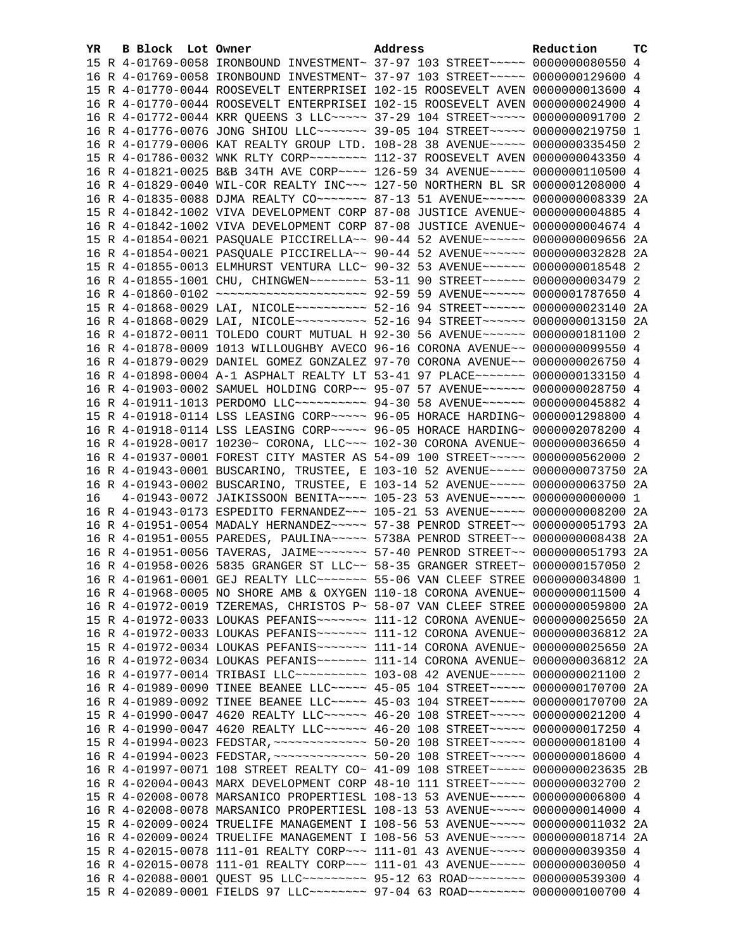| YR. | B Block Lot Owner | Address                                                                            | Reduction | тc |
|-----|-------------------|------------------------------------------------------------------------------------|-----------|----|
|     |                   | 15 R 4-01769-0058 IRONBOUND INVESTMENT~ 37-97 103 STREET~~~~~ 0000000080550 4      |           |    |
|     |                   | 16 R 4-01769-0058 IRONBOUND INVESTMENT~ 37-97 103 STREET~~~~~ 0000000129600 4      |           |    |
|     |                   | 15 R 4-01770-0044 ROOSEVELT ENTERPRISEI 102-15 ROOSEVELT AVEN 0000000013600 4      |           |    |
|     |                   | 16 R 4-01770-0044 ROOSEVELT ENTERPRISEI 102-15 ROOSEVELT AVEN 0000000024900 4      |           |    |
|     |                   | 16 R 4-01772-0044 KRR OUEENS 3 LLC ---- 37-29 104 STREET ---- 0000000091700 2      |           |    |
|     |                   | 16 R 4-01776-0076 JONG SHIOU LLC~~~~~~~ 39-05 104 STREET~~~~~ 0000000219750 1      |           |    |
|     |                   | 16 R 4-01779-0006 KAT REALTY GROUP LTD. 108-28 38 AVENUE~~~~~ 0000000335450 2      |           |    |
|     |                   | 15 R 4-01786-0032 WNK RLTY CORP~~~~~~~~ 112-37 ROOSEVELT AVEN 0000000043350 4      |           |    |
|     |                   | 16 R 4-01821-0025 B&B 34TH AVE CORP~~~~ 126-59 34 AVENUE~~~~~ 0000000110500 4      |           |    |
|     |                   | 16 R 4-01829-0040 WIL-COR REALTY INC~~~ 127-50 NORTHERN BL SR 0000001208000 4      |           |    |
|     |                   | 16 R 4-01835-0088 DJMA REALTY CO~~~~~~~~ 87-13 51 AVENUE~~~~~~ 0000000008339 2A    |           |    |
|     |                   | 15 R 4-01842-1002 VIVA DEVELOPMENT CORP 87-08 JUSTICE AVENUE~ 0000000004885 4      |           |    |
|     |                   | 16 R 4-01842-1002 VIVA DEVELOPMENT CORP 87-08 JUSTICE AVENUE~ 0000000004674 4      |           |    |
|     |                   | 15 R 4-01854-0021 PASQUALE PICCIRELLA~~ 90-44 52 AVENUE~~~~~~ 0000000009656 2A     |           |    |
|     |                   | 16 R 4-01854-0021 PASQUALE PICCIRELLA~~ 90-44 52 AVENUE~~~~~~ 0000000032828 2A     |           |    |
|     |                   | 15 R 4-01855-0013 ELMHURST VENTURA LLC~ 90-32 53 AVENUE~~~~~~ 0000000018548 2      |           |    |
|     |                   | 16 R 4-01855-1001 CHU, CHINGWEN~~~~~~~~ 53-11 90 STREET~~~~~~ 0000000003479 2      |           |    |
|     |                   | 16 R 4-01860-0102 ~~~~~~~~~~~~~~~~~~~~ 92-59 59 AVENUE~~~~~~ 0000001787650 4       |           |    |
|     |                   | 15 R 4-01868-0029 LAI, NICOLE~~~~~~~~~~ 52-16 94 STREET~~~~~~ 0000000023140 2A     |           |    |
|     |                   | 16 R 4-01868-0029 LAI, NICOLE~~~~~~~~~~ 52-16 94 STREET~~~~~~ 0000000013150 2A     |           |    |
|     |                   | 16 R 4-01872-0011 TOLEDO COURT MUTUAL H 92-30 56 AVENUE~~~~~~ 0000000181100 2      |           |    |
|     |                   | 16 R 4-01878-0009 1013 WILLOUGHBY AVECO 96-16 CORONA AVENUE~~ 0000000099550 4      |           |    |
|     |                   | 16 R 4-01879-0029 DANIEL GOMEZ GONZALEZ 97-70 CORONA AVENUE~~ 0000000026750 4      |           |    |
|     |                   | 16 R 4-01898-0004 A-1 ASPHALT REALTY LT 53-41 97 PLACE~~~~~~~ 0000000133150 4      |           |    |
|     |                   | 16 R 4-01903-0002 SAMUEL HOLDING CORP~~ 95-07 57 AVENUE~~~~~~ 0000000028750 4      |           |    |
|     |                   | 16 R 4-01911-1013 PERDOMO LLC~~~~~~~~~~ 94-30 58 AVENUE~~~~~~ 0000000045882 4      |           |    |
|     |                   | 15 R 4-01918-0114 LSS LEASING CORP~~~~~ 96-05 HORACE HARDING~ 0000001298800 4      |           |    |
|     |                   | 16 R 4-01918-0114 LSS LEASING CORP~~~~~ 96-05 HORACE HARDING~ 0000002078200 4      |           |    |
|     |                   | 16 R 4-01928-0017 10230~ CORONA, LLC~~~ 102-30 CORONA AVENUE~ 0000000036650 4      |           |    |
|     |                   | 16 R 4-01937-0001 FOREST CITY MASTER AS 54-09 100 STREET~~~~~ 0000000562000 2      |           |    |
|     |                   | 16 R 4-01943-0001 BUSCARINO, TRUSTEE, E 103-10 52 AVENUE~~~~~ 0000000073750 2A     |           |    |
|     |                   | 16 R 4-01943-0002 BUSCARINO, TRUSTEE, E 103-14 52 AVENUE~~~~~ 0000000063750 2A     |           |    |
| 16  |                   | 4-01943-0072 JAIKISSOON BENITA~~~~ 105-23 53 AVENUE~~~~~ 0000000000000 1           |           |    |
|     |                   | 16 R 4-01943-0173 ESPEDITO FERNANDEZ~~~ 105-21 53 AVENUE~~~~~ 0000000008200 2A     |           |    |
|     |                   | 16 R 4-01951-0054 MADALY HERNANDEZ~~~~~ 57-38 PENROD STREET~~ 0000000051793 2A     |           |    |
|     |                   | 16 R 4-01951-0055 PAREDES, PAULINA~~~~~ 5738A PENROD STREET~~ 0000000008438 2A     |           |    |
|     |                   | 16 R 4-01951-0056 TAVERAS, JAIME~~~~~~~ 57-40 PENROD STREET~~ 0000000051793 2A     |           |    |
|     |                   | 16 R 4-01958-0026 5835 GRANGER ST LLC~~ 58-35 GRANGER STREET~ 0000000157050 2      |           |    |
|     |                   | 16 R 4-01961-0001 GEJ REALTY LLC ------ 55-06 VAN CLEEF STREE 0000000034800 1      |           |    |
|     |                   | 16 R 4-01968-0005 NO SHORE AMB & OXYGEN 110-18 CORONA AVENUE~ 0000000011500 4      |           |    |
|     |                   | 16 R 4-01972-0019 TZEREMAS, CHRISTOS P~ 58-07 VAN CLEEF STREE 0000000059800 2A     |           |    |
|     |                   | 15 R 4-01972-0033 LOUKAS PEFANIS~~~~~~~ 111-12 CORONA AVENUE~ 0000000025650 2A     |           |    |
|     |                   | 16 R 4-01972-0033 LOUKAS PEFANIS~~~~~~~ 111-12 CORONA AVENUE~ 0000000036812 2A     |           |    |
|     |                   | 15 R 4-01972-0034 LOUKAS PEFANIS~~~~~~~ 111-14 CORONA AVENUE~ 0000000025650 2A     |           |    |
|     |                   | 16 R 4-01972-0034 LOUKAS PEFANIS~~~~~~~ 111-14 CORONA AVENUE~ 0000000036812 2A     |           |    |
|     |                   | 16 R 4-01977-0014 TRIBASI LLC~~~~~~~~~~~~~~ 103-08 42 AVENUE~~~~~~ 0000000021100 2 |           |    |
|     |                   | 16 R 4-01989-0090 TINEE BEANEE LLC ---- 45-05 104 STREET ---- 0000000170700 2A     |           |    |
|     |                   | 16 R 4-01989-0092 TINEE BEANEE LLC ---- 45-03 104 STREET ---- 0000000170700 2A     |           |    |
|     |                   | 15 R 4-01990-0047 4620 REALTY LLC ----- 46-20 108 STREET ---- 0000000021200 4      |           |    |
|     |                   | 16 R 4-01990-0047 4620 REALTY LLC ----- 46-20 108 STREET ---- 0000000017250 4      |           |    |
|     |                   | 15 R 4-01994-0023 FEDSTAR, ~~~~~~~~~~~~~~ 50-20 108 STREET~~~~~ 0000000018100 4    |           |    |
|     |                   | 16 R 4-01994-0023 FEDSTAR, ~~~~~~~~~~~~~~ 50-20 108 STREET~~~~~ 0000000018600 4    |           |    |
|     |                   | 16 R 4-01997-0071 108 STREET REALTY CO~ 41-09 108 STREET~~~~~ 0000000023635 2B     |           |    |
|     |                   | 16 R 4-02004-0043 MARX DEVELOPMENT CORP 48-10 111 STREET~~~~~ 0000000032700 2      |           |    |
|     |                   |                                                                                    |           |    |
|     |                   | 15 R 4-02008-0078 MARSANICO PROPERTIESL 108-13 53 AVENUE~~~~~ 0000000006800 4      |           |    |
|     |                   | 16 R 4-02008-0078 MARSANICO PROPERTIESL 108-13 53 AVENUE~~~~~ 0000000014000 4      |           |    |
|     |                   | 15 R 4-02009-0024 TRUELIFE MANAGEMENT I 108-56 53 AVENUE~~~~~ 0000000011032 2A     |           |    |
|     |                   | 16 R 4-02009-0024 TRUELIFE MANAGEMENT I 108-56 53 AVENUE~~~~~ 0000000018714 2A     |           |    |
|     |                   | 15 R 4-02015-0078 111-01 REALTY CORP~~~ 111-01 43 AVENUE~~~~~ 0000000039350 4      |           |    |
|     |                   | 16 R 4-02015-0078 111-01 REALTY CORP~~~ 111-01 43 AVENUE~~~~~ 0000000030050 4      |           |    |
|     |                   | 16 R 4-02088-0001 QUEST 95 LLC -------- 95-12 63 ROAD ------- 0000000539300 4      |           |    |
|     |                   | 15 R 4-02089-0001 FIELDS 97 LLC~~~~~~~~ 97-04 63 ROAD~~~~~~~~ 0000000100700 4      |           |    |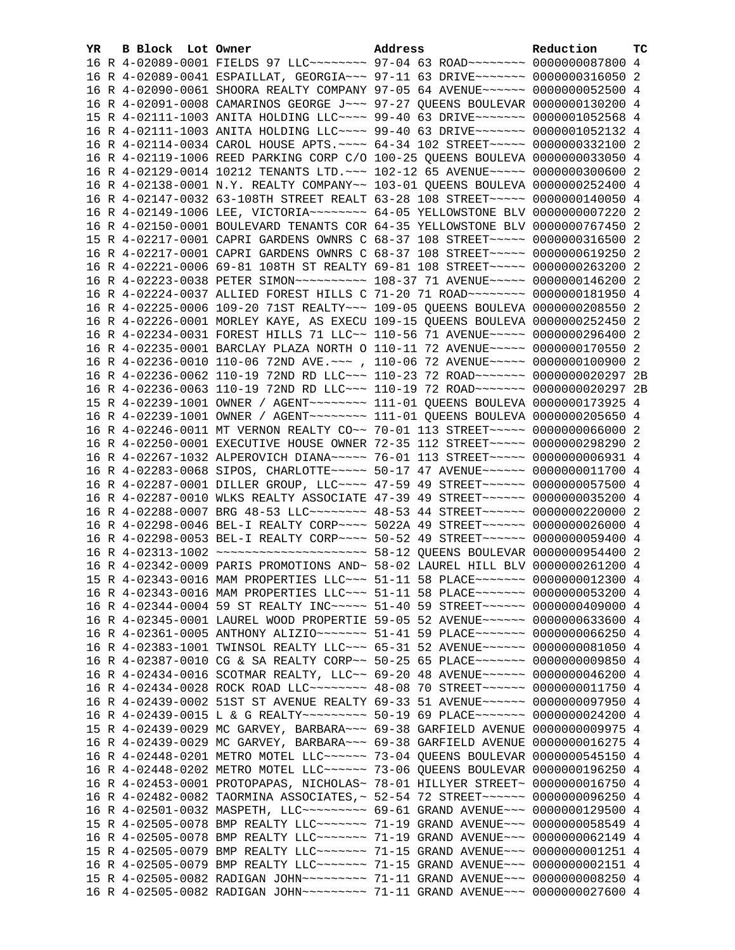| YR. | B Block Lot Owner | Address                                                                             | Reduction | <b>TC</b> |
|-----|-------------------|-------------------------------------------------------------------------------------|-----------|-----------|
|     |                   | 16 R 4-02089-0001 FIELDS 97 LLC -------- 97-04 63 ROAD ------- 0000000087800 4      |           |           |
|     |                   | 16 R 4-02089-0041 ESPAILLAT, GEORGIA ~~~ 97-11 63 DRIVE ~~~~~~~ 0000000316050 2     |           |           |
|     |                   | 16 R 4-02090-0061 SHOORA REALTY COMPANY 97-05 64 AVENUE~~~~~~ 0000000052500 4       |           |           |
|     |                   | 16 R 4-02091-0008 CAMARINOS GEORGE J~~~ 97-27 OUEENS BOULEVAR 0000000130200 4       |           |           |
|     |                   | 15 R 4-02111-1003 ANITA HOLDING LLC~~~~ 99-40 63 DRIVE~~~~~~~ 0000001052568 4       |           |           |
|     |                   | 16 R 4-02111-1003 ANITA HOLDING LLC~~~~ 99-40 63 DRIVE~~~~~~~ 0000001052132 4       |           |           |
|     |                   | 16 R 4-02114-0034 CAROL HOUSE APTS. ~~~~ 64-34 102 STREET~~~~~ 0000000332100 2      |           |           |
|     |                   | 16 R 4-02119-1006 REED PARKING CORP C/O 100-25 QUEENS BOULEVA 0000000033050 4       |           |           |
|     |                   | 16 R 4-02129-0014 10212 TENANTS LTD. ~~~ 102-12 65 AVENUE~~~~~ 0000000300600 2      |           |           |
|     |                   | 16 R 4-02138-0001 N.Y. REALTY COMPANY~~ 103-01 QUEENS BOULEVA 0000000252400 4       |           |           |
|     |                   | 16 R 4-02147-0032 63-108TH STREET REALT 63-28 108 STREET~~~~~ 0000000140050 4       |           |           |
|     |                   | 16 R 4-02149-1006 LEE, VICTORIA~~~~~~~~ 64-05 YELLOWSTONE BLV 0000000007220 2       |           |           |
|     |                   | 16 R 4-02150-0001 BOULEVARD TENANTS COR 64-35 YELLOWSTONE BLV 0000000767450 2       |           |           |
|     |                   | 15 R 4-02217-0001 CAPRI GARDENS OWNRS C 68-37 108 STREET~~~~~ 0000000316500 2       |           |           |
|     |                   | 16 R 4-02217-0001 CAPRI GARDENS OWNRS C 68-37 108 STREET~~~~~ 0000000619250 2       |           |           |
|     |                   | 16 R 4-02221-0006 69-81 108TH ST REALTY 69-81 108 STREET~~~~~ 0000000263200 2       |           |           |
|     |                   | 16 R 4-02223-0038 PETER SIMON~~~~~~~~~~~~~~~ 108-37 71 AVENUE~~~~~~ 0000000146200 2 |           |           |
|     |                   | 16 R 4-02224-0037 ALLIED FOREST HILLS C 71-20 71 ROAD~~~~~~~~ 0000000181950 4       |           |           |
|     |                   | 16 R 4-02225-0006 109-20 71ST REALTY~~~ 109-05 QUEENS BOULEVA 0000000208550 2       |           |           |
|     |                   | 16 R 4-02226-0001 MORLEY KAYE, AS EXECU 109-15 QUEENS BOULEVA 0000000252450 2       |           |           |
|     |                   | 16 R 4-02234-0031 FOREST HILLS 71 LLC~~ 110-56 71 AVENUE~~~~~ 0000000296400 2       |           |           |
|     |                   | 16 R 4-02235-0001 BARCLAY PLAZA NORTH O 110-11 72 AVENUE~~~~~ 0000000170550 2       |           |           |
|     |                   | 16 R 4-02236-0010 110-06 72ND AVE. ~~~ , 110-06 72 AVENUE~~~~~ 0000000100900 2      |           |           |
|     |                   | 16 R 4-02236-0062 110-19 72ND RD LLC~~~ 110-23 72 ROAD~~~~~~~ 0000000020297 2B      |           |           |
|     |                   | 16 R 4-02236-0063 110-19 72ND RD LLC~~~ 110-19 72 ROAD~~~~~~~ 0000000020297 2B      |           |           |
|     |                   | 15 R 4-02239-1001 OWNER / AGENT ~~~~~~~~ 111-01 QUEENS BOULEVA 0000000173925 4      |           |           |
|     |                   | 16 R 4-02239-1001 OWNER / AGENT ~~~~~~~~ 111-01 QUEENS BOULEVA 0000000205650 4      |           |           |
|     |                   | 16 R 4-02246-0011 MT VERNON REALTY CO~~ 70-01 113 STREET~~~~~ 0000000066000 2       |           |           |
|     |                   | 16 R 4-02250-0001 EXECUTIVE HOUSE OWNER 72-35 112 STREET~~~~~ 0000000298290 2       |           |           |
|     |                   | 16 R 4-02267-1032 ALPEROVICH DIANA~~~~~ 76-01 113 STREET~~~~~ 0000000006931 4       |           |           |
|     |                   | 16 R 4-02283-0068 SIPOS, CHARLOTTE~~~~~ 50-17 47 AVENUE~~~~~~ 0000000011700 4       |           |           |
|     |                   | 16 R 4-02287-0001 DILLER GROUP, LLC~~~~ 47-59 49 STREET~~~~~~ 0000000057500 4       |           |           |
|     |                   | 16 R 4-02287-0010 WLKS REALTY ASSOCIATE 47-39 49 STREET~~~~~~ 0000000035200 4       |           |           |
|     |                   | 16 R 4-02288-0007 BRG 48-53 LLC -------- 48-53 44 STREET ------ 0000000220000 2     |           |           |
|     |                   | 16 R 4-02298-0046 BEL-I REALTY CORP~~~~ 5022A 49 STREET~~~~~~ 0000000026000 4       |           |           |
|     |                   | 16 R 4-02298-0053 BEL-I REALTY CORP~~~~ 50-52 49 STREET~~~~~~ 0000000059400 4       |           |           |
|     |                   |                                                                                     |           |           |
|     |                   | 16 R 4-02342-0009 PARIS PROMOTIONS AND~ 58-02 LAUREL HILL BLV 0000000261200 4       |           |           |
|     |                   | 15 R 4-02343-0016 MAM PROPERTIES LLC~~~ 51-11 58 PLACE~~~~~~~ 0000000012300 4       |           |           |
|     |                   | 16 R 4-02343-0016 MAM PROPERTIES LLC ~~~ 51-11 58 PLACE ~~~~~~~~ 0000000053200 4    |           |           |
|     |                   | 16 R 4-02344-0004 59 ST REALTY INC~~~~~ 51-40 59 STREET~~~~~~ 0000000409000 4       |           |           |
|     |                   | 16 R 4-02345-0001 LAUREL WOOD PROPERTIE 59-05 52 AVENUE~~~~~~ 0000000633600 4       |           |           |
|     |                   | 16 R 4-02361-0005 ANTHONY ALIZIO~~~~~~~ 51-41 59 PLACE~~~~~~~ 0000000066250 4       |           |           |
|     |                   | 16 R 4-02383-1001 TWINSOL REALTY LLC~~~ 65-31 52 AVENUE~~~~~~ 0000000081050 4       |           |           |
|     |                   | 16 R 4-02387-0010 CG & SA REALTY CORP~~ 50-25 65 PLACE~~~~~~~ 0000000009850 4       |           |           |
|     |                   | 16 R 4-02434-0016 SCOTMAR REALTY, LLC~~ 69-20 48 AVENUE~~~~~~ 0000000046200 4       |           |           |
|     |                   | 16 R 4-02434-0028 ROCK ROAD LLC~~~~~~~~ 48-08 70 STREET~~~~~~ 0000000011750 4       |           |           |
|     |                   | 16 R 4-02439-0002 51ST ST AVENUE REALTY 69-33 51 AVENUE~~~~~~ 0000000097950 4       |           |           |
|     |                   | 16 R 4-02439-0015 L & G REALTY~~~~~~~~~ 50-19 69 PLACE~~~~~~~ 0000000024200 4       |           |           |
|     |                   | 15 R 4-02439-0029 MC GARVEY, BARBARA~~~ 69-38 GARFIELD AVENUE 0000000009975 4       |           |           |
|     |                   | 16 R 4-02439-0029 MC GARVEY, BARBARA~~~ 69-38 GARFIELD AVENUE 0000000016275 4       |           |           |
|     |                   | 16 R 4-02448-0201 METRO MOTEL LLC~~~~~~ 73-04 QUEENS BOULEVAR 0000000545150 4       |           |           |
|     |                   | 16 R 4-02448-0202 METRO MOTEL LLC~~~~~~ 73-06 QUEENS BOULEVAR 0000000196250 4       |           |           |
|     |                   | 16 R 4-02453-0001 PROTOPAPAS, NICHOLAS~ 78-01 HILLYER STREET~ 0000000016750 4       |           |           |
|     |                   | 16 R 4-02482-0082 TAORMINA ASSOCIATES, ~ 52-54 72 STREET ~~~~~~ 0000000096250 4     |           |           |
|     |                   | 16 R 4-02501-0032 MASPETH, LLC -------- 69-61 GRAND AVENUE --- 0000000129500 4      |           |           |
|     |                   | 15 R 4-02505-0078 BMP REALTY LLC ------ 71-19 GRAND AVENUE -- 0000000058549 4       |           |           |
|     |                   | 16 R 4-02505-0078 BMP REALTY LLC ------ 71-19 GRAND AVENUE -- 0000000062149 4       |           |           |
|     |                   | 15 R 4-02505-0079 BMP REALTY LLC ------ 71-15 GRAND AVENUE -- 0000000001251 4       |           |           |
|     |                   | 16 R 4-02505-0079 BMP REALTY LLC ------ 71-15 GRAND AVENUE --- 0000000002151 4      |           |           |
|     |                   | 15 R 4-02505-0082 RADIGAN JOHN~~~~~~~~~ 71-11 GRAND AVENUE~~~ 0000000008250 4       |           |           |
|     |                   | 16 R 4-02505-0082 RADIGAN JOHN~~~~~~~~~ 71-11 GRAND AVENUE~~~ 0000000027600 4       |           |           |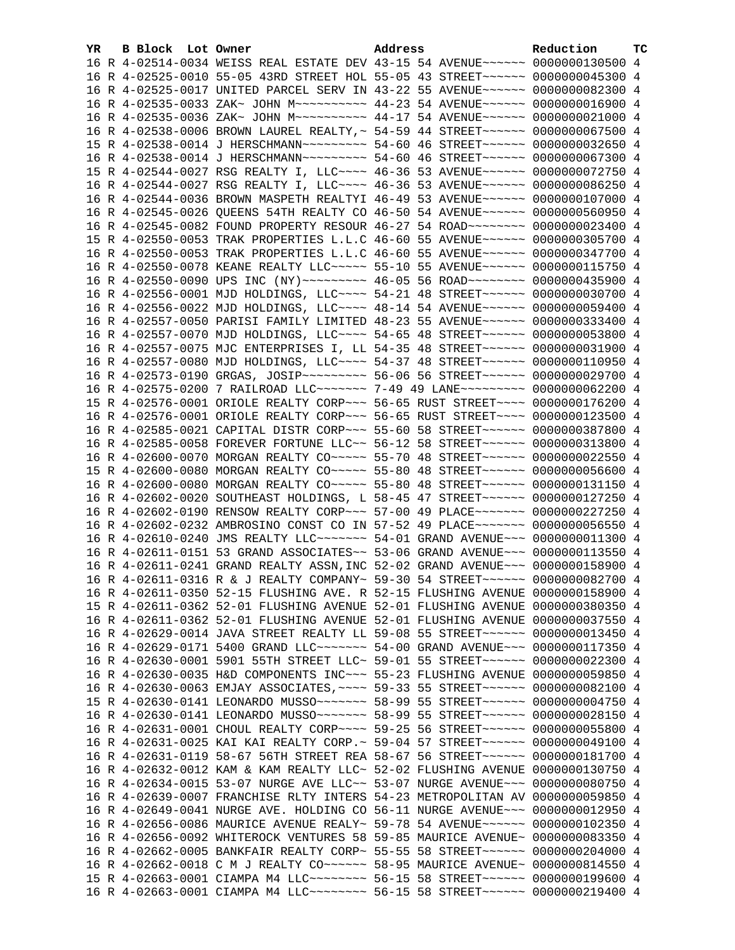| YR. | B Block Lot Owner | Address                                                                                                                                                        | Reduction | ТC |
|-----|-------------------|----------------------------------------------------------------------------------------------------------------------------------------------------------------|-----------|----|
|     |                   | 16 R 4-02514-0034 WEISS REAL ESTATE DEV 43-15 54 AVENUE~~~~~~ 0000000130500 4                                                                                  |           |    |
|     |                   | 16 R 4-02525-0010 55-05 43RD STREET HOL 55-05 43 STREET~~~~~~ 0000000045300 4                                                                                  |           |    |
|     |                   | 16 R 4-02525-0017 UNITED PARCEL SERV IN 43-22 55 AVENUE~~~~~~ 0000000082300 4                                                                                  |           |    |
|     |                   | 16 R 4-02535-0033 ZAK~ JOHN M~~~~~~~~~~ 44-23 54 AVENUE~~~~~~ 0000000016900 4                                                                                  |           |    |
|     |                   | 16 R 4-02535-0036 ZAK~ JOHN M~~~~~~~~~~ 44-17 54 AVENUE~~~~~~ 0000000021000 4                                                                                  |           |    |
|     |                   | 16 R 4-02538-0006 BROWN LAUREL REALTY, ~ 54-59 44 STREET ~~~~~~ 0000000067500 4                                                                                |           |    |
|     |                   | 15 R 4-02538-0014 J HERSCHMANN~~~~~~~~~ 54-60 46 STREET~~~~~~ 0000000032650 4                                                                                  |           |    |
|     |                   | 16 R 4-02538-0014 J HERSCHMANN~~~~~~~~~ 54-60 46 STREET~~~~~~ 0000000067300 4                                                                                  |           |    |
|     |                   | 15 R 4-02544-0027 RSG REALTY I, LLC --- 46-36 53 AVENUE ----- 0000000072750 4                                                                                  |           |    |
|     |                   | 16 R 4-02544-0027 RSG REALTY I, LLC --- 46-36 53 AVENUE ----- 0000000086250 4                                                                                  |           |    |
|     |                   | 16 R 4-02544-0036 BROWN MASPETH REALTYI 46-49 53 AVENUE~~~~~~ 0000000107000 4                                                                                  |           |    |
|     |                   | 16 R 4-02545-0026 QUEENS 54TH REALTY CO 46-50 54 AVENUE~~~~~~ 0000000560950 4                                                                                  |           |    |
|     |                   | 16 R 4-02545-0082 FOUND PROPERTY RESOUR 46-27 54 ROAD ------- 0000000023400 4                                                                                  |           |    |
|     |                   | 15 R 4-02550-0053 TRAK PROPERTIES L.L.C 46-60 55 AVENUE~~~~~~ 0000000305700 4                                                                                  |           |    |
|     |                   | 16 R 4-02550-0053 TRAK PROPERTIES L.L.C 46-60 55 AVENUE~~~~~~ 0000000347700 4                                                                                  |           |    |
|     |                   | 16 R 4-02550-0078 KEANE REALTY LLC ---- 55-10 55 AVENUE ----- 0000000115750 4                                                                                  |           |    |
|     |                   | 16 R 4-02550-0090 UPS INC (NY) ~~~~~~~~~ 46-05 56 ROAD ~~~~~~~~ 0000000435900 4                                                                                |           |    |
|     |                   | 16 R 4-02556-0001 MJD HOLDINGS, LLC --- 54-21 48 STREET ----- 0000000030700 4                                                                                  |           |    |
|     |                   | 16 R 4-02556-0022 MJD HOLDINGS, LLC --- 48-14 54 AVENUE ----- 0000000059400 4                                                                                  |           |    |
|     |                   | 16 R 4-02557-0050 PARISI FAMILY LIMITED 48-23 55 AVENUE~~~~~~ 0000000333400 4                                                                                  |           |    |
|     |                   | 16 R 4-02557-0070 MJD HOLDINGS, LLC~~~~ 54-65 48 STREET~~~~~~ 0000000053800 4                                                                                  |           |    |
|     |                   | 16 R 4-02557-0075 MJC ENTERPRISES I, LL 54-35 48 STREET~~~~~~ 0000000031900 4                                                                                  |           |    |
|     |                   | 16 R 4-02557-0080 MJD HOLDINGS, LLC --- 54-37 48 STREET ----- 0000000110950 4                                                                                  |           |    |
|     |                   | 16 R 4-02573-0190 GRGAS, JOSIP~~~~~~~~~ 56-06 56 STREET~~~~~~ 0000000029700 4                                                                                  |           |    |
|     |                   | 16 R 4-02575-0200 7 RAILROAD LLC~~~~~~~ 7-49 49 LANE~~~~~~~~~ 0000000062200 4                                                                                  |           |    |
|     |                   | 15 R 4-02576-0001 ORIOLE REALTY CORP~~~ 56-65 RUST STREET~~~~ 0000000176200 4                                                                                  |           |    |
|     |                   | 16 R 4-02576-0001 ORIOLE REALTY CORP~~~ 56-65 RUST STREET~~~~ 0000000123500 4                                                                                  |           |    |
|     |                   | 16 R 4-02585-0021 CAPITAL DISTR CORP~~~ 55-60 58 STREET~~~~~~ 0000000387800 4                                                                                  |           |    |
|     |                   | 16 R 4-02585-0058 FOREVER FORTUNE LLC~~ 56-12 58 STREET~~~~~~ 0000000313800 4                                                                                  |           |    |
|     |                   | 16 R 4-02600-0070 MORGAN REALTY CO~~~~~ 55-70 48 STREET~~~~~~ 0000000022550 4                                                                                  |           |    |
|     |                   | 15 R 4-02600-0080 MORGAN REALTY CO~~~~~ 55-80 48 STREET~~~~~~ 0000000056600 4                                                                                  |           |    |
|     |                   | 16 R 4-02600-0080 MORGAN REALTY CO~~~~~ 55-80 48 STREET~~~~~~ 0000000131150 4                                                                                  |           |    |
|     |                   | 16 R 4-02602-0020 SOUTHEAST HOLDINGS, L 58-45 47 STREET~~~~~~ 0000000127250 4                                                                                  |           |    |
|     |                   | 16 R 4-02602-0190 RENSOW REALTY CORP~~~ 57-00 49 PLACE~~~~~~~ 0000000227250 4                                                                                  |           |    |
|     |                   | 16 R 4-02602-0232 AMBROSINO CONST CO IN 57-52 49 PLACE~~~~~~~ 0000000056550 4                                                                                  |           |    |
|     |                   | 16 R 4-02610-0240 JMS REALTY LLC~~~~~~~ 54-01 GRAND AVENUE~~~ 0000000011300 4                                                                                  |           |    |
|     |                   | 16 R 4-02611-0151 53 GRAND ASSOCIATES~~ 53-06 GRAND AVENUE~~~ 0000000113550 4                                                                                  |           |    |
|     |                   | 16 R 4-02611-0241 GRAND REALTY ASSN, INC 52-02 GRAND AVENUE~~~ 0000000158900 4                                                                                 |           |    |
|     |                   | 16 R 4-02611-0316 R & J REALTY COMPANY~ 59-30 54 STREET~~~~~~~ 0000000082700 4                                                                                 |           |    |
|     |                   |                                                                                                                                                                |           |    |
|     |                   | 16 R 4-02611-0350 52-15 FLUSHING AVE. R 52-15 FLUSHING AVENUE 0000000158900 4                                                                                  |           |    |
|     |                   | 15 R 4-02611-0362 52-01 FLUSHING AVENUE 52-01 FLUSHING AVENUE 0000000380350 4<br>16 R 4-02611-0362 52-01 FLUSHING AVENUE 52-01 FLUSHING AVENUE 0000000037550 4 |           |    |
|     |                   |                                                                                                                                                                |           |    |
|     |                   | 16 R 4-02629-0014 JAVA STREET REALTY LL 59-08 55 STREET~~~~~~ 0000000013450 4                                                                                  |           |    |
|     |                   | 16 R 4-02629-0171 5400 GRAND LLC~~~~~~~ 54-00 GRAND AVENUE~~~ 0000000117350 4                                                                                  |           |    |
|     |                   | 16 R 4-02630-0001 5901 55TH STREET LLC~ 59-01 55 STREET~~~~~~ 0000000022300 4                                                                                  |           |    |
|     |                   | 16 R 4-02630-0035 H&D COMPONENTS INC~~~ 55-23 FLUSHING AVENUE 0000000059850 4                                                                                  |           |    |
|     |                   | 16 R 4-02630-0063 EMJAY ASSOCIATES, ~~~~ 59-33 55 STREET~~~~~~ 0000000082100 4                                                                                 |           |    |
|     |                   | 15 R 4-02630-0141 LEONARDO MUSSO~~~~~~~ 58-99 55 STREET~~~~~~ 0000000004750 4                                                                                  |           |    |
|     |                   | 16 R 4-02630-0141 LEONARDO MUSSO~~~~~~~ 58-99 55 STREET~~~~~~ 0000000028150 4                                                                                  |           |    |
|     |                   | 16 R 4-02631-0001 CHOUL REALTY CORP~~~~ 59-25 56 STREET~~~~~~ 0000000055800 4                                                                                  |           |    |
|     |                   | 16 R 4-02631-0025 KAI KAI REALTY CORP.~ 59-04 57 STREET~~~~~~ 0000000049100 4                                                                                  |           |    |
|     |                   | 16 R 4-02631-0119 58-67 56TH STREET REA 58-67 56 STREET ~~~~~~ 0000000181700 4                                                                                 |           |    |
|     |                   | 16 R 4-02632-0012 KAM & KAM REALTY LLC~ 52-02 FLUSHING AVENUE 0000000130750 4                                                                                  |           |    |
|     |                   | 16 R 4-02634-0015 53-07 NURGE AVE LLC~~ 53-07 NURGE AVENUE~~~ 0000000080750 4                                                                                  |           |    |
|     |                   | 16 R 4-02639-0007 FRANCHISE RLTY INTERS 54-23 METROPOLITAN AV 0000000059850 4                                                                                  |           |    |
|     |                   | 16 R 4-02649-0041 NURGE AVE. HOLDING CO 56-11 NURGE AVENUE~~~ 0000000012950 4                                                                                  |           |    |
|     |                   | 16 R 4-02656-0086 MAURICE AVENUE REALY~ 59-78 54 AVENUE~~~~~~ 0000000102350 4                                                                                  |           |    |
|     |                   | 16 R 4-02656-0092 WHITEROCK VENTURES 58 59-85 MAURICE AVENUE~ 0000000083350 4                                                                                  |           |    |
|     |                   | 16 R 4-02662-0005 BANKFAIR REALTY CORP~ 55-55 58 STREET~~~~~~ 0000000204000 4                                                                                  |           |    |
|     |                   | 16 R 4-02662-0018 C M J REALTY CO ~~~~~~ 58-95 MAURICE AVENUE~ 0000000814550 4                                                                                 |           |    |
|     |                   | 15 R 4-02663-0001 CIAMPA M4 LLC ------- 56-15 58 STREET ------ 0000000199600 4                                                                                 |           |    |
|     |                   | 16 R 4-02663-0001 CIAMPA M4 LLC~~~~~~~~ 56-15 58 STREET~~~~~~ 0000000219400 4                                                                                  |           |    |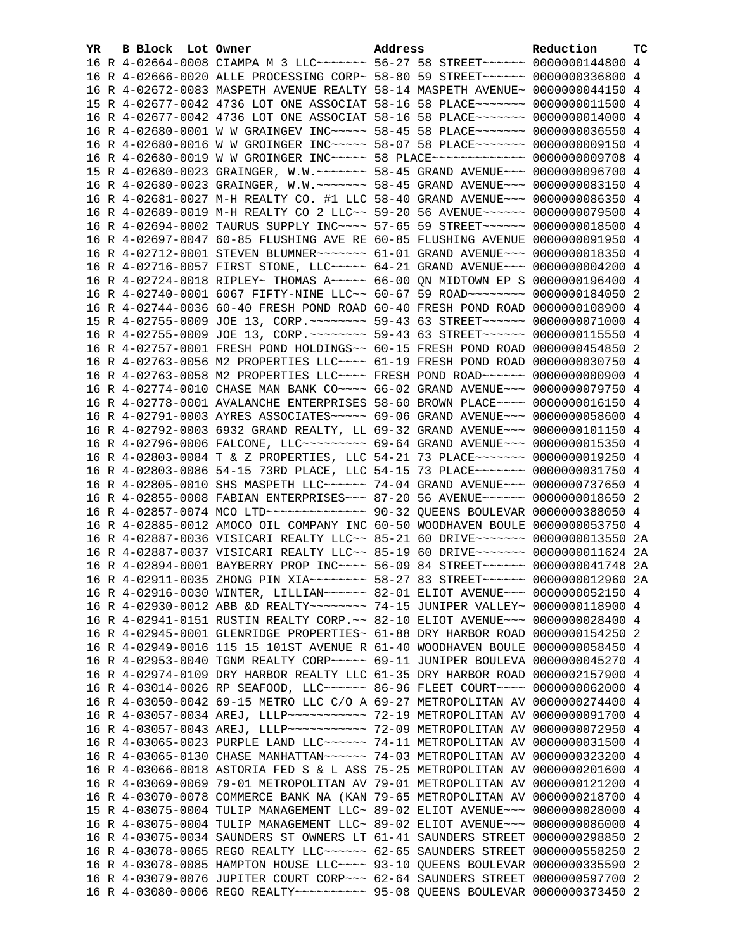| YR. | B Block Lot Owner | Address                                                                         | Reduction | тc |
|-----|-------------------|---------------------------------------------------------------------------------|-----------|----|
|     |                   | 16 R 4-02664-0008 CIAMPA M 3 LLC ------ 56-27 58 STREET ----- 0000000144800 4   |           |    |
|     |                   | 16 R 4-02666-0020 ALLE PROCESSING CORP~ 58-80 59 STREET~~~~~~ 0000000336800 4   |           |    |
|     |                   | 16 R 4-02672-0083 MASPETH AVENUE REALTY 58-14 MASPETH AVENUE~ 0000000044150 4   |           |    |
|     |                   | 15 R 4-02677-0042 4736 LOT ONE ASSOCIAT 58-16 58 PLACE~~~~~~~ 0000000011500 4   |           |    |
|     |                   | 16 R 4-02677-0042 4736 LOT ONE ASSOCIAT 58-16 58 PLACE~~~~~~~ 0000000014000 4   |           |    |
|     |                   | 16 R 4-02680-0001 W W GRAINGEV INC~~~~~ 58-45 58 PLACE~~~~~~~ 0000000036550 4   |           |    |
|     |                   | 16 R 4-02680-0016 W W GROINGER INC~~~~~ 58-07 58 PLACE~~~~~~~ 0000000009150 4   |           |    |
|     |                   | 16 R 4-02680-0019 W W GROINGER INC~~~~~ 58 PLACE~~~~~~~~~~~~~ 0000000009708 4   |           |    |
|     |                   | 15 R 4-02680-0023 GRAINGER, W.W. ~~~~~~~ 58-45 GRAND AVENUE~~~ 0000000096700 4  |           |    |
|     |                   | 16 R 4-02680-0023 GRAINGER, W.W. ~~~~~~~ 58-45 GRAND AVENUE~~~ 0000000083150 4  |           |    |
|     |                   | 16 R 4-02681-0027 M-H REALTY CO. #1 LLC 58-40 GRAND AVENUE~~~ 0000000086350 4   |           |    |
|     |                   | 16 R 4-02689-0019 M-H REALTY CO 2 LLC~~ 59-20 56 AVENUE~~~~~~ 0000000079500 4   |           |    |
|     |                   | 16 R 4-02694-0002 TAURUS SUPPLY INC~~~~ 57-65 59 STREET~~~~~~ 0000000018500 4   |           |    |
|     |                   | 16 R 4-02697-0047 60-85 FLUSHING AVE RE 60-85 FLUSHING AVENUE 0000000091950 4   |           |    |
|     |                   | 16 R 4-02712-0001 STEVEN BLUMNER ------ 61-01 GRAND AVENUE -- 0000000018350 4   |           |    |
|     |                   | 16 R 4-02716-0057 FIRST STONE, LLC ---- 64-21 GRAND AVENUE -- 0000000004200 4   |           |    |
|     |                   | 16 R 4-02724-0018 RIPLEY~ THOMAS A~~~~~ 66-00 QN MIDTOWN EP S 0000000196400 4   |           |    |
|     |                   | 16 R 4-02740-0001 6067 FIFTY-NINE LLC~~ 60-67 59 ROAD~~~~~~~~ 0000000184050 2   |           |    |
|     |                   | 16 R 4-02744-0036 60-40 FRESH POND ROAD 60-40 FRESH POND ROAD 0000000108900 4   |           |    |
|     |                   | 15 R 4-02755-0009 JOE 13, CORP. ~~~~~~~~ 59-43 63 STREET~~~~~~ 0000000071000 4  |           |    |
|     |                   | 16 R 4-02755-0009 JOE 13, CORP. ~~~~~~~~ 59-43 63 STREET~~~~~~ 0000000115550 4  |           |    |
|     |                   | 16 R 4-02757-0001 FRESH POND HOLDINGS~~ 60-15 FRESH POND ROAD 0000000454850 2   |           |    |
|     |                   | 16 R 4-02763-0056 M2 PROPERTIES LLC --- 61-19 FRESH POND ROAD 0000000030750 4   |           |    |
|     |                   | 16 R 4-02763-0058 M2 PROPERTIES LLC --- FRESH POND ROAD ----- 0000000000900 4   |           |    |
|     |                   | 16 R 4-02774-0010 CHASE MAN BANK CO~~~~ 66-02 GRAND AVENUE~~~ 0000000079750 4   |           |    |
|     |                   | 16 R 4-02778-0001 AVALANCHE ENTERPRISES 58-60 BROWN PLACE~~~~ 0000000016150 4   |           |    |
|     |                   | 16 R 4-02791-0003 AYRES ASSOCIATES~~~~~ 69-06 GRAND AVENUE~~~ 0000000058600 4   |           |    |
|     |                   | 16 R 4-02792-0003 6932 GRAND REALTY, LL 69-32 GRAND AVENUE~~~ 0000000101150 4   |           |    |
|     |                   | 16 R 4-02796-0006 FALCONE, LLC -------- 69-64 GRAND AVENUE --- 0000000015350 4  |           |    |
|     |                   | 16 R 4-02803-0084 T & Z PROPERTIES, LLC 54-21 73 PLACE~~~~~~~ 0000000019250 4   |           |    |
|     |                   | 16 R 4-02803-0086 54-15 73RD PLACE, LLC 54-15 73 PLACE~~~~~~~ 0000000031750 4   |           |    |
|     |                   | 16 R 4-02805-0010 SHS MASPETH LLC ----- 74-04 GRAND AVENUE -- 0000000737650 4   |           |    |
|     |                   | 16 R 4-02855-0008 FABIAN ENTERPRISES~~~ 87-20 56 AVENUE~~~~~~ 0000000018650 2   |           |    |
|     |                   | 16 R 4-02857-0074 MCO LTD --------------- 90-32 QUEENS BOULEVAR 0000000388050 4 |           |    |
|     |                   | 16 R 4-02885-0012 AMOCO OIL COMPANY INC 60-50 WOODHAVEN BOULE 0000000053750 4   |           |    |
|     |                   | 16 R 4-02887-0036 VISICARI REALTY LLC~~ 85-21 60 DRIVE~~~~~~~ 0000000013550 2A  |           |    |
|     |                   | 16 R 4-02887-0037 VISICARI REALTY LLC~~ 85-19 60 DRIVE~~~~~~~~ 0000000011624 2A |           |    |
|     |                   | 16 R 4-02894-0001 BAYBERRY PROP INC~~~~ 56-09 84 STREET~~~~~~ 0000000041748 2A  |           |    |
|     |                   | 16 R 4-02911-0035 ZHONG PIN XIA~~~~~~~~~ 58-27 83 STREET~~~~~~ 0000000012960 2A |           |    |
|     |                   | 16 R 4-02916-0030 WINTER, LILLIAN~~~~~~ 82-01 ELIOT AVENUE~~~ 0000000052150 4   |           |    |
|     |                   | 16 R 4-02930-0012 ABB &D REALTY~~~~~~~~ 74-15 JUNIPER VALLEY~ 0000000118900 4   |           |    |
|     |                   | 16 R 4-02941-0151 RUSTIN REALTY CORP. ~~ 82-10 ELIOT AVENUE~~~ 0000000028400 4  |           |    |
|     |                   | 16 R 4-02945-0001 GLENRIDGE PROPERTIES~ 61-88 DRY HARBOR ROAD 0000000154250     |           | -2 |
|     |                   | 16 R 4-02949-0016 115 15 101ST AVENUE R 61-40 WOODHAVEN BOULE 0000000058450     |           | 4  |
|     |                   | 16 R 4-02953-0040 TGNM REALTY CORP~~~~~ 69-11 JUNIPER BOULEVA 0000000045270 4   |           |    |
|     |                   | 16 R 4-02974-0109 DRY HARBOR REALTY LLC 61-35 DRY HARBOR ROAD 0000002157900 4   |           |    |
|     |                   | 16 R 4-03014-0026 RP SEAFOOD, LLC ----- 86-96 FLEET COURT --- 0000000062000     |           | -4 |
|     |                   | 16 R 4-03050-0042 69-15 METRO LLC C/O A 69-27 METROPOLITAN AV 0000000274400     |           | 4  |
|     |                   | 16 R 4-03057-0034 AREJ, LLLP ----------- 72-19 METROPOLITAN AV 0000000091700 4  |           |    |
|     |                   | 16 R 4-03057-0043 AREJ, LLLP ---------- 72-09 METROPOLITAN AV 0000000072950 4   |           |    |
|     |                   | 16 R 4-03065-0023 PURPLE LAND LLC~~~~~~ 74-11 METROPOLITAN AV 0000000031500 4   |           |    |
|     |                   | 16 R 4-03065-0130 CHASE MANHATTAN~~~~~~ 74-03 METROPOLITAN AV 0000000323200 4   |           |    |
|     |                   | 16 R 4-03066-0018 ASTORIA FED S & L ASS 75-25 METROPOLITAN AV 0000000201600     |           | 4  |
|     |                   | 16 R 4-03069-0069 79-01 METROPOLITAN AV 79-01 METROPOLITAN AV 0000000121200 4   |           |    |
|     |                   | 16 R 4-03070-0078 COMMERCE BANK NA (KAN 79-65 METROPOLITAN AV 0000000218700 4   |           |    |
|     |                   | 15 R 4-03075-0004 TULIP MANAGEMENT LLC~ 89-02 ELIOT AVENUE~~~ 0000000028000 4   |           |    |
|     |                   | 16 R 4-03075-0004 TULIP MANAGEMENT LLC~ 89-02 ELIOT AVENUE~~~ 0000000086000 4   |           |    |
|     |                   | 16 R 4-03075-0034 SAUNDERS ST OWNERS LT 61-41 SAUNDERS STREET 0000000298850     |           | -2 |
|     |                   | 16 R 4-03078-0065 REGO REALTY LLC ~~~~~~ 62-65 SAUNDERS STREET 0000000558250 2  |           |    |
|     |                   | 16 R 4-03078-0085 HAMPTON HOUSE LLC ~~~~ 93-10 QUEENS BOULEVAR 0000000335590 2  |           |    |
|     |                   | 16 R 4-03079-0076 JUPITER COURT CORP~~~ 62-64 SAUNDERS STREET 0000000597700 2   |           |    |
|     |                   | 16 R 4-03080-0006 REGO REALTY~~~~~~~~~~ 95-08 QUEENS BOULEVAR 0000000373450 2   |           |    |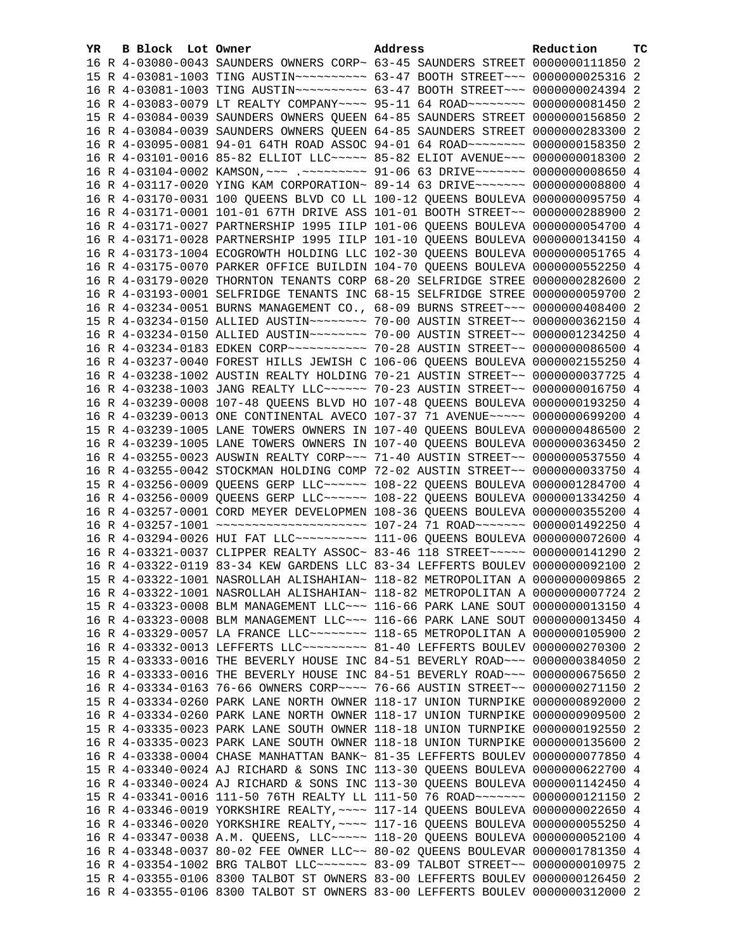| YR. | B Block Lot Owner | Address                                                                            | Reduction | тc |
|-----|-------------------|------------------------------------------------------------------------------------|-----------|----|
|     |                   | 16 R 4-03080-0043 SAUNDERS OWNERS CORP~ 63-45 SAUNDERS STREET 0000000111850 2      |           |    |
|     |                   | 15 R 4-03081-1003 TING AUSTIN~~~~~~~~~~ 63-47 BOOTH STREET~~~ 0000000025316 2      |           |    |
|     |                   | 16 R 4-03081-1003 TING AUSTIN ---------- 63-47 BOOTH STREET --- 0000000024394 2    |           |    |
|     |                   | 16 R 4-03083-0079 LT REALTY COMPANY~~~~ 95-11 64 ROAD~~~~~~~~ 0000000081450 2      |           |    |
|     |                   | 15 R 4-03084-0039 SAUNDERS OWNERS QUEEN 64-85 SAUNDERS STREET 0000000156850 2      |           |    |
|     |                   | 16 R 4-03084-0039 SAUNDERS OWNERS QUEEN 64-85 SAUNDERS STREET 0000000283300 2      |           |    |
|     |                   | 16 R 4-03095-0081 94-01 64TH ROAD ASSOC 94-01 64 ROAD~~~~~~~~ 0000000158350 2      |           |    |
|     |                   | 16 R 4-03101-0016 85-82 ELLIOT LLC ---- 85-82 ELIOT AVENUE -- 0000000018300 2      |           |    |
|     |                   | 16 R 4-03104-0002 KAMSON, ~~~ .~~~~~~~~~ 91-06 63 DRIVE~~~~~~~ 00000000008650 4    |           |    |
|     |                   | 16 R 4-03117-0020 YING KAM CORPORATION~ 89-14 63 DRIVE~~~~~~~ 0000000008800 4      |           |    |
|     |                   | 16 R 4-03170-0031 100 QUEENS BLVD CO LL 100-12 QUEENS BOULEVA 0000000095750 4      |           |    |
|     |                   | 16 R 4-03171-0001 101-01 67TH DRIVE ASS 101-01 BOOTH STREET~~ 0000000288900 2      |           |    |
|     |                   | 16 R 4-03171-0027 PARTNERSHIP 1995 IILP 101-06 QUEENS BOULEVA 0000000054700 4      |           |    |
|     |                   | 16 R 4-03171-0028 PARTNERSHIP 1995 IILP 101-10 QUEENS BOULEVA 0000000134150 4      |           |    |
|     |                   | 16 R 4-03173-1004 ECOGROWTH HOLDING LLC 102-30 QUEENS BOULEVA 0000000051765 4      |           |    |
|     |                   | 16 R 4-03175-0070 PARKER OFFICE BUILDIN 104-70 QUEENS BOULEVA 0000000552250 4      |           |    |
|     |                   | 16 R 4-03179-0020 THORNTON TENANTS CORP 68-20 SELFRIDGE STREE 0000000282600 2      |           |    |
|     |                   | 16 R 4-03193-0001 SELFRIDGE TENANTS INC 68-15 SELFRIDGE STREE 0000000059700 2      |           |    |
|     |                   | 16 R 4-03234-0051 BURNS MANAGEMENT CO., 68-09 BURNS STREET~~~ 0000000408400 2      |           |    |
|     |                   |                                                                                    |           |    |
|     |                   |                                                                                    |           |    |
|     |                   | 16 R 4-03234-0183 EDKEN CORP~~~~~~~~~~~~ 70-28 AUSTIN STREET~~ 0000000086500 4     |           |    |
|     |                   | 16 R 4-03237-0040 FOREST HILLS JEWISH C 106-06 QUEENS BOULEVA 0000002155250 4      |           |    |
|     |                   | 16 R 4-03238-1002 AUSTIN REALTY HOLDING 70-21 AUSTIN STREET~~ 0000000037725 4      |           |    |
|     |                   | 16 R 4-03238-1003 JANG REALTY LLC~~~~~~ 70-23 AUSTIN STREET~~ 0000000016750 4      |           |    |
|     |                   | 16 R 4-03239-0008 107-48 QUEENS BLVD HO 107-48 QUEENS BOULEVA 0000000193250 4      |           |    |
|     |                   | 16 R 4-03239-0013 ONE CONTINENTAL AVECO 107-37 71 AVENUE~~~~~ 0000000699200 4      |           |    |
|     |                   | 15 R 4-03239-1005 LANE TOWERS OWNERS IN 107-40 QUEENS BOULEVA 0000000486500 2      |           |    |
|     |                   | 16 R 4-03239-1005 LANE TOWERS OWNERS IN 107-40 QUEENS BOULEVA 0000000363450 2      |           |    |
|     |                   | 16 R 4-03255-0023 AUSWIN REALTY CORP~~~ 71-40 AUSTIN STREET~~ 0000000537550 4      |           |    |
|     |                   | 16 R 4-03255-0042 STOCKMAN HOLDING COMP 72-02 AUSTIN STREET~~ 0000000033750 4      |           |    |
|     |                   | 15 R 4-03256-0009 QUEENS GERP LLC ~~~~~~ 108-22 QUEENS BOULEVA 0000001284700 4     |           |    |
|     |                   | 16 R 4-03256-0009 QUEENS GERP LLC ~~~~~~ 108-22 QUEENS BOULEVA 0000001334250 4     |           |    |
|     |                   | 16 R 4-03257-0001 CORD MEYER DEVELOPMEN 108-36 QUEENS BOULEVA 0000000355200 4      |           |    |
|     |                   | 16 R 4-03257-1001 ~~~~~~~~~~~~~~~~~~~~~~~~ 107-24 71 ROAD~~~~~~~ 0000001492250 4   |           |    |
|     |                   | 16 R 4-03294-0026 HUI FAT LLC~~~~~~~~~~~~~~~ 111-06 QUEENS BOULEVA 0000000072600 4 |           |    |
|     |                   | 16 R 4-03321-0037 CLIPPER REALTY ASSOC~ 83-46 118 STREET~~~~~ 0000000141290 2      |           |    |
|     |                   | 16 R 4-03322-0119 83-34 KEW GARDENS LLC 83-34 LEFFERTS BOULEV 0000000092100 2      |           |    |
|     |                   | 15 R 4-03322-1001 NASROLLAH ALISHAHIAN~ 118-82 METROPOLITAN A 0000000009865 2      |           |    |
|     |                   | 16 R 4-03322-1001 NASROLLAH ALISHAHIAN~ 118-82 METROPOLITAN A 0000000007724 2      |           |    |
|     |                   | 15 R 4-03323-0008 BLM MANAGEMENT LLC~~~ 116-66 PARK LANE SOUT 0000000013150 4      |           |    |
|     |                   | 16 R 4-03323-0008 BLM MANAGEMENT LLC~~~ 116-66 PARK LANE SOUT 0000000013450 4      |           |    |
|     |                   | 16 R 4-03329-0057 LA FRANCE LLC ------- 118-65 METROPOLITAN A 0000000105900 2      |           |    |
|     |                   | 16 R 4-03332-0013 LEFFERTS LLC -------- 81-40 LEFFERTS BOULEV 0000000270300 2      |           |    |
|     |                   | 15 R 4-03333-0016 THE BEVERLY HOUSE INC 84-51 BEVERLY ROAD~~~ 0000000384050 2      |           |    |
|     |                   | 16 R 4-03333-0016 THE BEVERLY HOUSE INC 84-51 BEVERLY ROAD~~~ 0000000675650        |           | -2 |
|     |                   | 16 R 4-03334-0163 76-66 OWNERS CORP~~~~ 76-66 AUSTIN STREET~~ 0000000271150        |           | 2  |
|     |                   | 15 R 4-03334-0260 PARK LANE NORTH OWNER 118-17 UNION TURNPIKE 0000000892000 2      |           |    |
|     |                   | 16 R 4-03334-0260 PARK LANE NORTH OWNER 118-17 UNION TURNPIKE 0000000909500 2      |           |    |
|     |                   | 15 R 4-03335-0023 PARK LANE SOUTH OWNER 118-18 UNION TURNPIKE 0000000192550 2      |           |    |
|     |                   | 16 R 4-03335-0023 PARK LANE SOUTH OWNER 118-18 UNION TURNPIKE 0000000135600 2      |           |    |
|     |                   | 16 R 4-03338-0004 CHASE MANHATTAN BANK~ 81-35 LEFFERTS BOULEV 0000000077850 4      |           |    |
|     |                   | 15 R 4-03340-0024 AJ RICHARD & SONS INC 113-30 QUEENS BOULEVA 0000000622700 4      |           |    |
|     |                   |                                                                                    |           |    |
|     |                   | 16 R 4-03340-0024 AJ RICHARD & SONS INC 113-30 QUEENS BOULEVA 0000001142450 4      |           |    |
|     |                   | 15 R 4-03341-0016 111-50 76TH REALTY LL 111-50 76 ROAD ~~~~~~~ 0000000121150 2     |           |    |
|     |                   | 16 R 4-03346-0019 YORKSHIRE REALTY, ~~~~ 117-14 QUEENS BOULEVA 0000000022650 4     |           |    |
|     |                   | 16 R 4-03346-0020 YORKSHIRE REALTY, ~~~~ 117-16 QUEENS BOULEVA 0000000055250 4     |           |    |
|     |                   | 16 R 4-03347-0038 A.M. QUEENS, LLC~~~~~ 118-20 QUEENS BOULEVA 0000000052100 4      |           |    |
|     |                   | 16 R 4-03348-0037 80-02 FEE OWNER LLC~~ 80-02 QUEENS BOULEVAR 0000001781350 4      |           |    |
|     |                   | 16 R 4-03354-1002 BRG TALBOT LLC ------ 83-09 TALBOT STREET -~ 0000000010975 2     |           |    |
|     |                   | 15 R 4-03355-0106 8300 TALBOT ST OWNERS 83-00 LEFFERTS BOULEV 0000000126450 2      |           |    |
|     |                   | 16 R 4-03355-0106 8300 TALBOT ST OWNERS 83-00 LEFFERTS BOULEV 0000000312000 2      |           |    |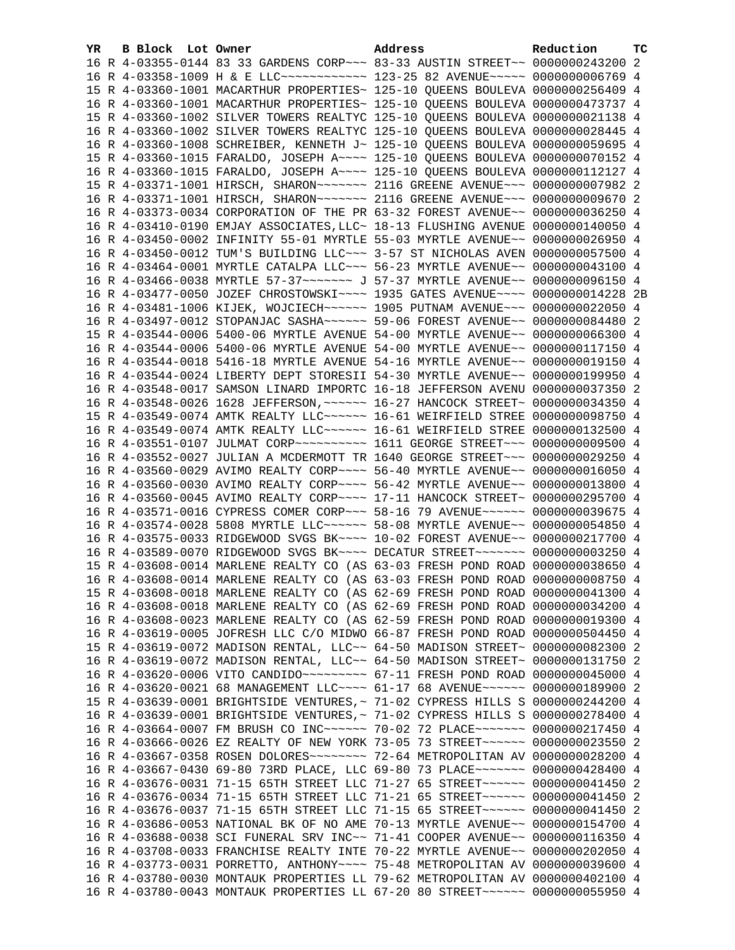| YR. | B Block Lot Owner | Address                                                                                                                                                        | Reduction | <b>TC</b> |
|-----|-------------------|----------------------------------------------------------------------------------------------------------------------------------------------------------------|-----------|-----------|
|     |                   | 16 R 4-03355-0144 83 33 GARDENS CORP~~~ 83-33 AUSTIN STREET~~ 0000000243200 2                                                                                  |           |           |
|     |                   | 16 R 4-03358-1009 H & E LLC ------------- 123-25 82 AVENUE ----- 00000000006769 4                                                                              |           |           |
|     |                   | 15 R 4-03360-1001 MACARTHUR PROPERTIES~ 125-10 QUEENS BOULEVA 0000000256409 4                                                                                  |           |           |
|     |                   | 16 R 4-03360-1001 MACARTHUR PROPERTIES~ 125-10 QUEENS BOULEVA 0000000473737 4                                                                                  |           |           |
|     |                   | 15 R 4-03360-1002 SILVER TOWERS REALTYC 125-10 QUEENS BOULEVA 0000000021138 4                                                                                  |           |           |
|     |                   | 16 R 4-03360-1002 SILVER TOWERS REALTYC 125-10 QUEENS BOULEVA 0000000028445 4                                                                                  |           |           |
|     |                   | 16 R 4-03360-1008 SCHREIBER, KENNETH J~ 125-10 QUEENS BOULEVA 0000000059695 4                                                                                  |           |           |
|     |                   | 15 R 4-03360-1015 FARALDO, JOSEPH A~~~~ 125-10 QUEENS BOULEVA 0000000070152 4                                                                                  |           |           |
|     |                   | 16 R 4-03360-1015 FARALDO, JOSEPH A~~~~ 125-10 QUEENS BOULEVA 0000000112127 4                                                                                  |           |           |
|     |                   | 15 R 4-03371-1001 HIRSCH, SHARON~~~~~~~ 2116 GREENE AVENUE~~~ 0000000007982 2                                                                                  |           |           |
|     |                   | 16 R 4-03371-1001 HIRSCH, SHARON~~~~~~~ 2116 GREENE AVENUE~~~ 0000000009670 2                                                                                  |           |           |
|     |                   | 16 R 4-03373-0034 CORPORATION OF THE PR 63-32 FOREST AVENUE~~ 0000000036250 4                                                                                  |           |           |
|     |                   | 16 R 4-03410-0190 EMJAY ASSOCIATES, LLC~ 18-13 FLUSHING AVENUE 0000000140050 4                                                                                 |           |           |
|     |                   | 16 R 4-03450-0002 INFINITY 55-01 MYRTLE 55-03 MYRTLE AVENUE~~ 0000000026950 4                                                                                  |           |           |
|     |                   | 16 R 4-03450-0012 TUM'S BUILDING LLC~~~ 3-57 ST NICHOLAS AVEN 0000000057500 4                                                                                  |           |           |
|     |                   | 16 R 4-03464-0001 MYRTLE CATALPA LLC~~~ 56-23 MYRTLE AVENUE~~ 0000000043100 4                                                                                  |           |           |
|     |                   | 16 R 4-03466-0038 MYRTLE 57-37 ~~~~~~~~ J 57-37 MYRTLE AVENUE~~ 0000000096150 4                                                                                |           |           |
|     |                   | 16 R 4-03477-0050 JOZEF CHROSTOWSKI~~~~ 1935 GATES AVENUE~~~~ 0000000014228 2B                                                                                 |           |           |
|     |                   | 16 R 4-03481-1006 KIJEK, WOJCIECH~~~~~~ 1905 PUTNAM AVENUE~~~ 0000000022050 4                                                                                  |           |           |
|     |                   | 16 R 4-03497-0012 STOPANJAC SASHA~~~~~~ 59-06 FOREST AVENUE~~ 0000000084480 2                                                                                  |           |           |
|     |                   | 15 R 4-03544-0006 5400-06 MYRTLE AVENUE 54-00 MYRTLE AVENUE~~ 0000000066300 4                                                                                  |           |           |
|     |                   | 16 R 4-03544-0006 5400-06 MYRTLE AVENUE 54-00 MYRTLE AVENUE~~ 0000000117150 4                                                                                  |           |           |
|     |                   | 16 R 4-03544-0018 5416-18 MYRTLE AVENUE 54-16 MYRTLE AVENUE~~ 0000000019150 4                                                                                  |           |           |
|     |                   | 16 R 4-03544-0024 LIBERTY DEPT STORESII 54-30 MYRTLE AVENUE~~ 0000000199950 4                                                                                  |           |           |
|     |                   | 16 R 4-03548-0017 SAMSON LINARD IMPORTC 16-18 JEFFERSON AVENU 0000000037350 2                                                                                  |           |           |
|     |                   | 16 R 4-03548-0026 1628 JEFFERSON, ~~~~~~ 16-27 HANCOCK STREET~ 0000000034350 4                                                                                 |           |           |
|     |                   | 15 R 4-03549-0074 AMTK REALTY LLC~~~~~~ 16-61 WEIRFIELD STREE 0000000098750 4                                                                                  |           |           |
|     |                   | 16 R 4-03549-0074 AMTK REALTY LLC ~~~~~~ 16-61 WEIRFIELD STREE 0000000132500 4                                                                                 |           |           |
|     |                   | 16 R 4-03551-0107 JULMAT CORP~~~~~~~~~~~~~~~ 1611 GEORGE STREET~~~~ 0000000009500 4                                                                            |           |           |
|     |                   | 16 R 4-03552-0027 JULIAN A MCDERMOTT TR 1640 GEORGE STREET~~~ 0000000029250 4                                                                                  |           |           |
|     |                   | 16 R 4-03560-0029 AVIMO REALTY CORP~~~~ 56-40 MYRTLE AVENUE~~ 0000000016050 4                                                                                  |           |           |
|     |                   | 16 R 4-03560-0030 AVIMO REALTY CORP~~~~ 56-42 MYRTLE AVENUE~~ 0000000013800 4                                                                                  |           |           |
|     |                   | 16 R 4-03560-0045 AVIMO REALTY CORP~~~~ 17-11 HANCOCK STREET~ 0000000295700 4                                                                                  |           |           |
|     |                   | 16 R 4-03571-0016 CYPRESS COMER CORP~~~ 58-16 79 AVENUE~~~~~~ 0000000039675 4                                                                                  |           |           |
|     |                   | 16 R 4-03574-0028 5808 MYRTLE LLC ~~~~~~ 58-08 MYRTLE AVENUE ~~ 0000000054850 4                                                                                |           |           |
|     |                   | 16 R 4-03575-0033 RIDGEWOOD SVGS BK~~~~ 10-02 FOREST AVENUE~~ 0000000217700 4                                                                                  |           |           |
|     |                   | 16 R 4-03589-0070 RIDGEWOOD SVGS BK~~~~ DECATUR STREET~~~~~~~ 0000000003250 4                                                                                  |           |           |
|     |                   | 15 R 4-03608-0014 MARLENE REALTY CO (AS 63-03 FRESH POND ROAD 0000000038650 4                                                                                  |           |           |
|     |                   | 16 R 4-03608-0014 MARLENE REALTY CO (AS 63-03 FRESH POND ROAD 0000000008750 4                                                                                  |           |           |
|     |                   | 15 R 4-03608-0018 MARLENE REALTY CO (AS 62-69 FRESH POND ROAD 0000000041300 4                                                                                  |           |           |
|     |                   | 16 R 4-03608-0018 MARLENE REALTY CO (AS 62-69 FRESH POND ROAD 0000000034200 4                                                                                  |           |           |
|     |                   | 16 R 4-03608-0023 MARLENE REALTY CO (AS 62-59 FRESH POND ROAD 0000000019300 4                                                                                  |           |           |
|     |                   | 16 R 4-03619-0005 JOFRESH LLC C/O MIDWO 66-87 FRESH POND ROAD 0000000504450 4                                                                                  |           |           |
|     |                   | 15 R 4-03619-0072 MADISON RENTAL, LLC~~ 64-50 MADISON STREET~ 0000000082300                                                                                    |           | -2        |
|     |                   | 16 R 4-03619-0072 MADISON RENTAL, LLC~~ 64-50 MADISON STREET~ 0000000131750                                                                                    |           | 2         |
|     |                   | 16 R 4-03620-0006 VITO CANDIDO~~~~~~~~~ 67-11 FRESH POND ROAD 0000000045000 4                                                                                  |           |           |
|     |                   | 16 R 4-03620-0021 68 MANAGEMENT LLC --- 61-17 68 AVENUE ----- 0000000189900                                                                                    |           | -2        |
|     |                   | 15 R 4-03639-0001 BRIGHTSIDE VENTURES, ~ 71-02 CYPRESS HILLS S 0000000244200 4                                                                                 |           |           |
|     |                   | 16 R 4-03639-0001 BRIGHTSIDE VENTURES, ~ 71-02 CYPRESS HILLS S 0000000278400 4                                                                                 |           |           |
|     |                   | 16 R 4-03664-0007 FM BRUSH CO INC~~~~~~ 70-02 72 PLACE~~~~~~~ 0000000217450 4                                                                                  |           |           |
|     |                   | 16 R 4-03666-0026 EZ REALTY OF NEW YORK 73-05 73 STREET~~~~~~ 0000000023550 2                                                                                  |           |           |
|     |                   | 16 R 4-03667-0358 ROSEN DOLORES ~~~~~~~~ 72-64 METROPOLITAN AV 0000000028200 4                                                                                 |           |           |
|     |                   | 16 R 4-03667-0430 69-80 73RD PLACE, LLC 69-80 73 PLACE~~~~~~~ 0000000428400 4                                                                                  |           |           |
|     |                   | 16 R 4-03676-0031 71-15 65TH STREET LLC 71-27 65 STREET~~~~~~ 0000000041450 2                                                                                  |           |           |
|     |                   | 16 R 4-03676-0034 71-15 65TH STREET LLC 71-21 65 STREET~~~~~~ 0000000041450 2                                                                                  |           |           |
|     |                   | 16 R 4-03676-0037 71-15 65TH STREET LLC 71-15 65 STREET~~~~~~ 0000000041450 2                                                                                  |           |           |
|     |                   | 16 R 4-03686-0053 NATIONAL BK OF NO AME 70-13 MYRTLE AVENUE~~ 0000000154700 4                                                                                  |           |           |
|     |                   | 16 R 4-03688-0038 SCI FUNERAL SRV INC~~ 71-41 COOPER AVENUE~~ 0000000116350 4                                                                                  |           |           |
|     |                   | 16 R 4-03708-0033 FRANCHISE REALTY INTE 70-22 MYRTLE AVENUE~~ 0000000202050 4                                                                                  |           |           |
|     |                   | 16 R 4-03773-0031 PORRETTO, ANTHONY~~~~ 75-48 METROPOLITAN AV 0000000039600 4                                                                                  |           |           |
|     |                   | 16 R 4-03780-0030 MONTAUK PROPERTIES LL 79-62 METROPOLITAN AV 0000000402100 4<br>16 R 4-03780-0043 MONTAUK PROPERTIES LL 67-20 80 STREET~~~~~~ 0000000055950 4 |           |           |
|     |                   |                                                                                                                                                                |           |           |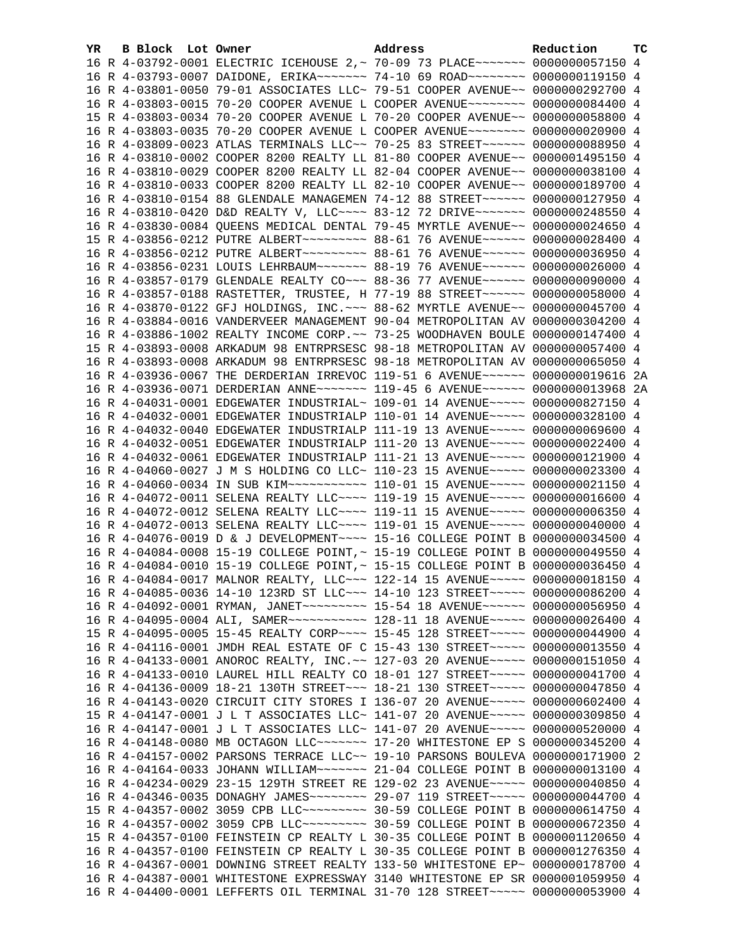| YR | B Block Lot Owner | Address                                                                                                                                                        | Reduction | тc |
|----|-------------------|----------------------------------------------------------------------------------------------------------------------------------------------------------------|-----------|----|
|    |                   | 16 R 4-03792-0001 ELECTRIC ICEHOUSE 2,~ 70-09 73 PLACE~~~~~~~ 0000000057150 4                                                                                  |           |    |
|    |                   | 16 R 4-03793-0007 DAIDONE, ERIKA~~~~~~~ 74-10 69 ROAD~~~~~~~~ 0000000119150 4                                                                                  |           |    |
|    |                   | 16 R 4-03801-0050 79-01 ASSOCIATES LLC~ 79-51 COOPER AVENUE~~ 0000000292700 4                                                                                  |           |    |
|    |                   | 16 R 4-03803-0015 70-20 COOPER AVENUE L COOPER AVENUE~~~~~~~~ 0000000084400 4                                                                                  |           |    |
|    |                   | 15 R 4-03803-0034 70-20 COOPER AVENUE L 70-20 COOPER AVENUE~~ 0000000058800 4                                                                                  |           |    |
|    |                   | 16 R 4-03803-0035 70-20 COOPER AVENUE L COOPER AVENUE~~~~~~~~ 0000000020900 4                                                                                  |           |    |
|    |                   | 16 R 4-03809-0023 ATLAS TERMINALS LLC~~ 70-25 83 STREET~~~~~~ 0000000088950 4                                                                                  |           |    |
|    |                   | 16 R 4-03810-0002 COOPER 8200 REALTY LL 81-80 COOPER AVENUE~~ 0000001495150 4                                                                                  |           |    |
|    |                   | 16 R 4-03810-0029 COOPER 8200 REALTY LL 82-04 COOPER AVENUE~~ 0000000038100 4                                                                                  |           |    |
|    |                   | 16 R 4-03810-0033 COOPER 8200 REALTY LL 82-10 COOPER AVENUE~~ 0000000189700 4                                                                                  |           |    |
|    |                   | 16 R 4-03810-0154 88 GLENDALE MANAGEMEN 74-12 88 STREET~~~~~~ 0000000127950 4                                                                                  |           |    |
|    |                   | 16 R 4-03810-0420 D&D REALTY V, LLC --- 83-12 72 DRIVE ------ 0000000248550 4                                                                                  |           |    |
|    |                   | 16 R 4-03830-0084 QUEENS MEDICAL DENTAL 79-45 MYRTLE AVENUE~~ 0000000024650 4                                                                                  |           |    |
|    |                   | 15 R 4-03856-0212 PUTRE ALBERT~~~~~~~~~ 88-61 76 AVENUE~~~~~~ 0000000028400 4                                                                                  |           |    |
|    |                   | 16 R 4-03856-0212 PUTRE ALBERT~~~~~~~~~ 88-61 76 AVENUE~~~~~~ 0000000036950 4                                                                                  |           |    |
|    |                   | 16 R 4-03856-0231 LOUIS LEHRBAUM~~~~~~~ 88-19 76 AVENUE~~~~~~ 0000000026000 4                                                                                  |           |    |
|    |                   | 16 R 4-03857-0179 GLENDALE REALTY CO~~~ 88-36 77 AVENUE~~~~~~ 0000000090000 4                                                                                  |           |    |
|    |                   | 16 R 4-03857-0188 RASTETTER, TRUSTEE, H 77-19 88 STREET ~~~~~~ 0000000058000 4                                                                                 |           |    |
|    |                   | 16 R 4-03870-0122 GFJ HOLDINGS, INC. ~~~ 88-62 MYRTLE AVENUE~~ 0000000045700 4                                                                                 |           |    |
|    |                   | 16 R 4-03884-0016 VANDERVEER MANAGEMENT 90-04 METROPOLITAN AV 0000000304200 4                                                                                  |           |    |
|    |                   | 16 R 4-03886-1002 REALTY INCOME CORP. ~~ 73-25 WOODHAVEN BOULE 0000000147400 4                                                                                 |           |    |
|    |                   | 15 R 4-03893-0008 ARKADUM 98 ENTRPRSESC 98-18 METROPOLITAN AV 0000000057400 4                                                                                  |           |    |
|    |                   | 16 R 4-03893-0008 ARKADUM 98 ENTRPRSESC 98-18 METROPOLITAN AV 0000000065050 4                                                                                  |           |    |
|    |                   | 16 R 4-03936-0067 THE DERDERIAN IRREVOC 119-51 6 AVENUE~~~~~~ 0000000019616 2A                                                                                 |           |    |
|    |                   | 16 R 4-03936-0071 DERDERIAN ANNE~~~~~~~ 119-45 6 AVENUE~~~~~~ 0000000013968 2A                                                                                 |           |    |
|    |                   | 16 R 4-04031-0001 EDGEWATER INDUSTRIAL~ 109-01 14 AVENUE~~~~~ 0000000827150 4                                                                                  |           |    |
|    |                   | 16 R 4-04032-0001 EDGEWATER INDUSTRIALP 110-01 14 AVENUE~~~~~ 0000000328100 4                                                                                  |           |    |
|    |                   | 16 R 4-04032-0040 EDGEWATER INDUSTRIALP 111-19 13 AVENUE~~~~~ 0000000069600 4                                                                                  |           |    |
|    |                   | 16 R 4-04032-0051 EDGEWATER INDUSTRIALP 111-20 13 AVENUE~~~~~ 0000000022400 4                                                                                  |           |    |
|    |                   | 16 R 4-04032-0061 EDGEWATER INDUSTRIALP 111-21 13 AVENUE~~~~~ 0000000121900 4                                                                                  |           |    |
|    |                   | 16 R 4-04060-0027 J M S HOLDING CO LLC~ 110-23 15 AVENUE~~~~~ 0000000023300 4                                                                                  |           |    |
|    |                   | 16 R 4-04060-0034 IN SUB KIM~~~~~~~~~~~ 110-01 15 AVENUE~~~~~ 0000000021150 4                                                                                  |           |    |
|    |                   | 16 R 4-04072-0011 SELENA REALTY LLC~~~~ 119-19 15 AVENUE~~~~~ 0000000016600 4                                                                                  |           |    |
|    |                   | 16 R 4-04072-0012 SELENA REALTY LLC --- 119-11 15 AVENUE ---- 00000000006350 4                                                                                 |           |    |
|    |                   | 16 R 4-04072-0013 SELENA REALTY LLC --- 119-01 15 AVENUE ---- 0000000040000 4                                                                                  |           |    |
|    |                   | 16 R 4-04076-0019 D & J DEVELOPMENT~~~~ 15-16 COLLEGE POINT B 0000000034500 4                                                                                  |           |    |
|    |                   | 16 R 4-04084-0008 15-19 COLLEGE POINT, ~ 15-19 COLLEGE POINT B 0000000049550 4                                                                                 |           |    |
|    |                   | 16 R 4-04084-0010 15-19 COLLEGE POINT, ~ 15-15 COLLEGE POINT B 0000000036450 4                                                                                 |           |    |
|    |                   | 16 R 4-04084-0017 MALNOR REALTY, LLC ~~~ 122-14 15 AVENUE ~~~~~ 0000000018150 4                                                                                |           |    |
|    |                   | 16 R 4-04085-0036 14-10 123RD ST LLC~~~ 14-10 123 STREET~~~~~ 0000000086200 4                                                                                  |           |    |
|    |                   | 16 R 4-04092-0001 RYMAN, JANET~~~~~~~~~ 15-54 18 AVENUE~~~~~~ 0000000056950 4                                                                                  |           |    |
|    |                   | 16 R 4-04095-0004 ALI, SAMER~~~~~~~~~~~~~~ 128-11 18 AVENUE~~~~~ 0000000026400 4                                                                               |           |    |
|    |                   | 15 R 4-04095-0005 15-45 REALTY CORP~~~~ 15-45 128 STREET~~~~~ 0000000044900                                                                                    |           | -4 |
|    |                   | 16 R 4-04116-0001 JMDH REAL ESTATE OF C 15-43 130 STREET~~~~~ 0000000013550                                                                                    |           | 4  |
|    |                   | 16 R 4-04133-0001 ANOROC REALTY, INC. ~~ 127-03 20 AVENUE~~~~~ 0000000151050                                                                                   |           | 4  |
|    |                   | 16 R 4-04133-0010 LAUREL HILL REALTY CO 18-01 127 STREET~~~~~ 0000000041700 4                                                                                  |           |    |
|    |                   | 16 R 4-04136-0009 18-21 130TH STREET~~~ 18-21 130 STREET~~~~~ 0000000047850                                                                                    |           | 4  |
|    |                   | 16 R 4-04143-0020 CIRCUIT CITY STORES I 136-07 20 AVENUE~~~~~ 0000000602400                                                                                    |           | 4  |
|    |                   | 15 R 4-04147-0001 J L T ASSOCIATES LLC~ 141-07 20 AVENUE~~~~~~ 0000000309850                                                                                   |           | 4  |
|    |                   | 16 R 4-04147-0001 J L T ASSOCIATES LLC~ 141-07 20 AVENUE~~~~~ 0000000520000 4                                                                                  |           |    |
|    |                   | 16 R 4-04148-0080 MB OCTAGON LLC~~~~~~~ 17-20 WHITESTONE EP S 0000000345200 4                                                                                  |           |    |
|    |                   | 16 R 4-04157-0002 PARSONS TERRACE LLC~~ 19-10 PARSONS BOULEVA 0000000171900                                                                                    |           | -2 |
|    |                   | 16 R 4-04164-0033 JOHANN WILLIAM~~~~~~~ 21-04 COLLEGE POINT B 0000000013100                                                                                    |           | 4  |
|    |                   | 16 R 4-04234-0029 23-15 129TH STREET RE 129-02 23 AVENUE~~~~~ 0000000040850                                                                                    |           | 4  |
|    |                   | 16 R 4-04346-0035 DONAGHY JAMES~~~~~~~~ 29-07 119 STREET~~~~~ 0000000044700 4                                                                                  |           |    |
|    |                   | 15 R 4-04357-0002 3059 CPB LLC -------- 30-59 COLLEGE POINT B 0000000614750 4                                                                                  |           |    |
|    |                   | 16 R 4-04357-0002 3059 CPB LLC -------- 30-59 COLLEGE POINT B 0000000672350 4                                                                                  |           |    |
|    |                   | 15 R 4-04357-0100 FEINSTEIN CP REALTY L 30-35 COLLEGE POINT B 0000001120650 4                                                                                  |           |    |
|    |                   | 16 R 4-04357-0100 FEINSTEIN CP REALTY L 30-35 COLLEGE POINT B 0000001276350 4                                                                                  |           |    |
|    |                   | 16 R 4-04367-0001 DOWNING STREET REALTY 133-50 WHITESTONE EP~ 0000000178700 4                                                                                  |           |    |
|    |                   |                                                                                                                                                                |           |    |
|    |                   | 16 R 4-04387-0001 WHITESTONE EXPRESSWAY 3140 WHITESTONE EP SR 0000001059950 4<br>16 R 4-04400-0001 LEFFERTS OIL TERMINAL 31-70 128 STREET~~~~~ 0000000053900 4 |           |    |
|    |                   |                                                                                                                                                                |           |    |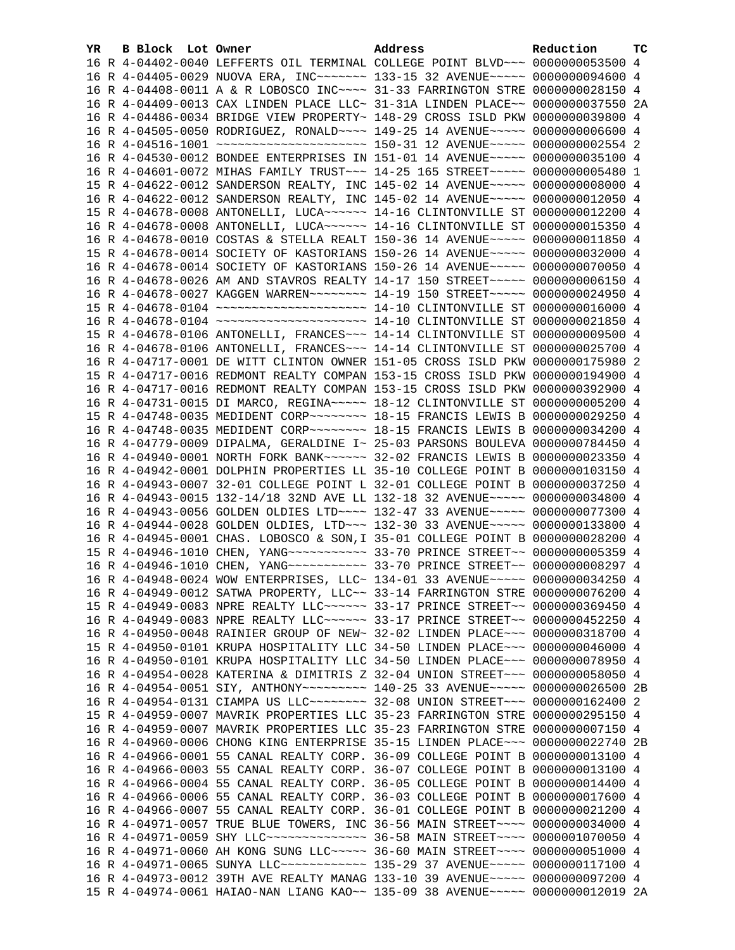| YR. | B Block Lot Owner | Address                                                                          | Reduction | тc |
|-----|-------------------|----------------------------------------------------------------------------------|-----------|----|
|     |                   | 16 R 4-04402-0040 LEFFERTS OIL TERMINAL COLLEGE POINT BLVD~~~ 0000000053500 4    |           |    |
|     |                   | 16 R 4-04405-0029 NUOVA ERA, INC~~~~~~~ 133-15 32 AVENUE~~~~~ 0000000094600 4    |           |    |
|     |                   | 16 R 4-04408-0011 A & R LOBOSCO INC~~~~ 31-33 FARRINGTON STRE 0000000028150 4    |           |    |
|     |                   | 16 R 4-04409-0013 CAX LINDEN PLACE LLC~ 31-31A LINDEN PLACE~~ 0000000037550 2A   |           |    |
|     |                   | 16 R 4-04486-0034 BRIDGE VIEW PROPERTY~ 148-29 CROSS ISLD PKW 0000000039800 4    |           |    |
|     |                   | 16 R 4-04505-0050 RODRIGUEZ, RONALD~~~~ 149-25 14 AVENUE~~~~~ 0000000006600 4    |           |    |
|     |                   | 16 R 4-04516-1001 ~~~~~~~~~~~~~~~~~~~~~~~ 150-31 12 AVENUE~~~~~ 0000000002554 2  |           |    |
|     |                   | 16 R 4-04530-0012 BONDEE ENTERPRISES IN 151-01 14 AVENUE~~~~~ 0000000035100 4    |           |    |
|     |                   | 16 R 4-04601-0072 MIHAS FAMILY TRUST~~~ 14-25 165 STREET~~~~~ 0000000005480 1    |           |    |
|     |                   | 15 R 4-04622-0012 SANDERSON REALTY, INC 145-02 14 AVENUE~~~~~ 0000000000000 4    |           |    |
|     |                   | 16 R 4-04622-0012 SANDERSON REALTY, INC 145-02 14 AVENUE~~~~~ 0000000012050 4    |           |    |
|     |                   | 15 R 4-04678-0008 ANTONELLI, LUCA~~~~~~ 14-16 CLINTONVILLE ST 0000000012200 4    |           |    |
|     |                   | 16 R 4-04678-0008 ANTONELLI, LUCA~~~~~~ 14-16 CLINTONVILLE ST 0000000015350 4    |           |    |
|     |                   | 16 R 4-04678-0010 COSTAS & STELLA REALT 150-36 14 AVENUE~~~~~ 0000000011850 4    |           |    |
|     |                   | 15 R 4-04678-0014 SOCIETY OF KASTORIANS 150-26 14 AVENUE~~~~~ 0000000032000 4    |           |    |
|     |                   | 16 R 4-04678-0014 SOCIETY OF KASTORIANS 150-26 14 AVENUE~~~~~ 0000000070050 4    |           |    |
|     |                   | 16 R 4-04678-0026 AM AND STAVROS REALTY 14-17 150 STREET~~~~~ 00000000006150 4   |           |    |
|     |                   | 16 R 4-04678-0027 KAGGEN WARREN~~~~~~~~ 14-19 150 STREET~~~~~ 0000000024950 4    |           |    |
|     |                   |                                                                                  |           |    |
|     |                   |                                                                                  |           |    |
|     |                   | 15 R 4-04678-0106 ANTONELLI, FRANCES~~~ 14-14 CLINTONVILLE ST 0000000009500 4    |           |    |
|     |                   | 16 R 4-04678-0106 ANTONELLI, FRANCES~~~ 14-14 CLINTONVILLE ST 0000000025700 4    |           |    |
|     |                   | 16 R 4-04717-0001 DE WITT CLINTON OWNER 151-05 CROSS ISLD PKW 0000000175980 2    |           |    |
|     |                   | 15 R 4-04717-0016 REDMONT REALTY COMPAN 153-15 CROSS ISLD PKW 0000000194900 4    |           |    |
|     |                   | 16 R 4-04717-0016 REDMONT REALTY COMPAN 153-15 CROSS ISLD PKW 0000000392900 4    |           |    |
|     |                   | 16 R 4-04731-0015 DI MARCO, REGINA~~~~~ 18-12 CLINTONVILLE ST 0000000005200 4    |           |    |
|     |                   | 15 R 4-04748-0035 MEDIDENT CORP~~~~~~~~ 18-15 FRANCIS LEWIS B 0000000029250 4    |           |    |
|     |                   | 16 R 4-04748-0035 MEDIDENT CORP~~~~~~~~ 18-15 FRANCIS LEWIS B 0000000034200 4    |           |    |
|     |                   | 16 R 4-04779-0009 DIPALMA, GERALDINE I~ 25-03 PARSONS BOULEVA 0000000784450 4    |           |    |
|     |                   | 16 R 4-04940-0001 NORTH FORK BANK~~~~~~ 32-02 FRANCIS LEWIS B 0000000023350 4    |           |    |
|     |                   | 16 R 4-04942-0001 DOLPHIN PROPERTIES LL 35-10 COLLEGE POINT B 0000000103150 4    |           |    |
|     |                   | 16 R 4-04943-0007 32-01 COLLEGE POINT L 32-01 COLLEGE POINT B 0000000037250 4    |           |    |
|     |                   | 16 R 4-04943-0015 132-14/18 32ND AVE LL 132-18 32 AVENUE~~~~~ 0000000034800 4    |           |    |
|     |                   | 16 R 4-04943-0056 GOLDEN OLDIES LTD --- 132-47 33 AVENUE ---- 0000000077300 4    |           |    |
|     |                   | 16 R 4-04944-0028 GOLDEN OLDIES, LTD ~~~ 132-30 33 AVENUE ~~~~~ 0000000133800 4  |           |    |
|     |                   | 16 R 4-04945-0001 CHAS. LOBOSCO & SON, I 35-01 COLLEGE POINT B 0000000028200 4   |           |    |
|     |                   | 15 R 4-04946-1010 CHEN, YANG ---------- 33-70 PRINCE STREET -~ 0000000005359 4   |           |    |
|     |                   | 16 R 4-04946-1010 CHEN, YANG ----------- 33-70 PRINCE STREET -~ 0000000008297 4  |           |    |
|     |                   | 16 R 4-04948-0024 WOW ENTERPRISES, LLC~ 134-01 33 AVENUE~~~~~ 0000000034250 4    |           |    |
|     |                   | 16 R 4-04949-0012 SATWA PROPERTY, LLC~~ 33-14 FARRINGTON STRE 0000000076200 4    |           |    |
|     |                   | 15 R 4-04949-0083 NPRE REALTY LLC ~~~~~~ 33-17 PRINCE STREET ~~ 0000000369450 4  |           |    |
|     |                   | 16 R 4-04949-0083 NPRE REALTY LLC ~~~~~~ 33-17 PRINCE STREET ~~ 0000000452250 4  |           |    |
|     |                   | 16 R 4-04950-0048 RAINIER GROUP OF NEW~ 32-02 LINDEN PLACE~~~ 0000000318700 4    |           |    |
|     |                   | 15 R 4-04950-0101 KRUPA HOSPITALITY LLC 34-50 LINDEN PLACE~~~ 0000000046000 4    |           |    |
|     |                   | 16 R 4-04950-0101 KRUPA HOSPITALITY LLC 34-50 LINDEN PLACE~~~ 0000000078950 4    |           |    |
|     |                   | 16 R 4-04954-0028 KATERINA & DIMITRIS Z 32-04 UNION STREET~~~ 0000000058050 4    |           |    |
|     |                   | 16 R 4-04954-0051 SIY, ANTHONY~~~~~~~~~~ 140-25 33 AVENUE~~~~~ 0000000026500 2B  |           |    |
|     |                   |                                                                                  |           | 2  |
|     |                   | 15 R 4-04959-0007 MAVRIK PROPERTIES LLC 35-23 FARRINGTON STRE 0000000295150 4    |           |    |
|     |                   | 16 R 4-04959-0007 MAVRIK PROPERTIES LLC 35-23 FARRINGTON STRE 0000000007150 4    |           |    |
|     |                   | 16 R 4-04960-0006 CHONG KING ENTERPRISE 35-15 LINDEN PLACE~~~ 0000000022740 2B   |           |    |
|     |                   | 16 R 4-04966-0001 55 CANAL REALTY CORP. 36-09 COLLEGE POINT B 0000000013100 4    |           |    |
|     |                   | 16 R 4-04966-0003 55 CANAL REALTY CORP. 36-07 COLLEGE POINT B 0000000013100 4    |           |    |
|     |                   | 16 R 4-04966-0004 55 CANAL REALTY CORP. 36-05 COLLEGE POINT B 0000000014400 4    |           |    |
|     |                   | 16 R 4-04966-0006 55 CANAL REALTY CORP. 36-03 COLLEGE POINT B 0000000017600 4    |           |    |
|     |                   | 16 R 4-04966-0007 55 CANAL REALTY CORP. 36-01 COLLEGE POINT B 0000000021200 4    |           |    |
|     |                   | 16 R 4-04971-0057 TRUE BLUE TOWERS, INC 36-56 MAIN STREET~~~~ 0000000034000 4    |           |    |
|     |                   | 16 R 4-04971-0059 SHY LLC --------------- 36-58 MAIN STREET ---- 0000001070050 4 |           |    |
|     |                   | 16 R 4-04971-0060 AH KONG SUNG LLC ~~~~~ 36-60 MAIN STREET ~~~~ 0000000051000 4  |           |    |
|     |                   | 16 R 4-04971-0065 SUNYA LLC ------------ 135-29 37 AVENUE ----- 0000000117100 4  |           |    |
|     |                   | 16 R 4-04973-0012 39TH AVE REALTY MANAG 133-10 39 AVENUE~~~~~ 0000000097200 4    |           |    |
|     |                   | 15 R 4-04974-0061 HAIAO-NAN LIANG KAO~~ 135-09 38 AVENUE~~~~~ 0000000012019 2A   |           |    |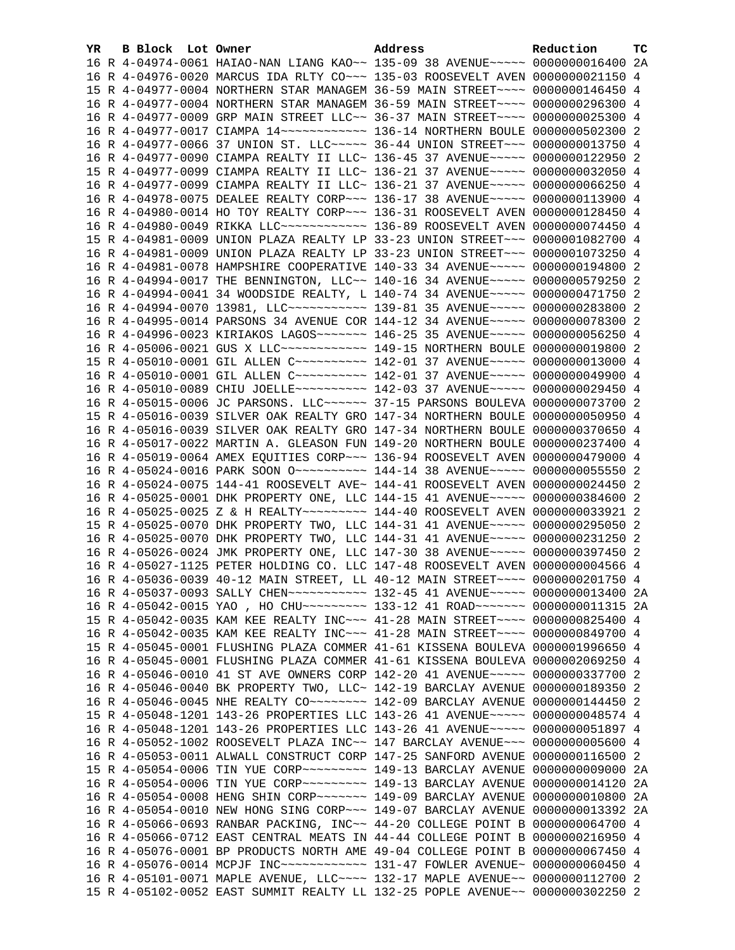| YR. |  | B Block Lot Owner |  | Address                                                                              | Reduction | тc |
|-----|--|-------------------|--|--------------------------------------------------------------------------------------|-----------|----|
|     |  |                   |  | 16 R 4-04974-0061 HAIAO-NAN LIANG KAO~~ 135-09 38 AVENUE~~~~~ 0000000016400 2A       |           |    |
|     |  |                   |  | 16 R 4-04976-0020 MARCUS IDA RLTY CO~~~ 135-03 ROOSEVELT AVEN 0000000021150 4        |           |    |
|     |  |                   |  | 15 R 4-04977-0004 NORTHERN STAR MANAGEM 36-59 MAIN STREET~~~~ 0000000146450 4        |           |    |
|     |  |                   |  | 16 R 4-04977-0004 NORTHERN STAR MANAGEM 36-59 MAIN STREET~~~~ 0000000296300 4        |           |    |
|     |  |                   |  | 16 R 4-04977-0009 GRP MAIN STREET LLC~~ 36-37 MAIN STREET~~~~ 0000000025300 4        |           |    |
|     |  |                   |  | 16 R 4-04977-0017 CIAMPA 14~~~~~~~~~~~~~~~~~~ 136-14 NORTHERN BOULE 0000000502300 2  |           |    |
|     |  |                   |  | 16 R 4-04977-0066 37 UNION ST. LLC ~~~~~ 36-44 UNION STREET ~~~ 0000000013750 4      |           |    |
|     |  |                   |  | 16 R 4-04977-0090 CIAMPA REALTY II LLC~ 136-45 37 AVENUE~~~~~ 0000000122950 2        |           |    |
|     |  |                   |  | 15 R 4-04977-0099 CIAMPA REALTY II LLC~ 136-21 37 AVENUE~~~~~ 0000000032050 4        |           |    |
|     |  |                   |  | 16 R 4-04977-0099 CIAMPA REALTY II LLC~ 136-21 37 AVENUE~~~~~ 0000000066250 4        |           |    |
|     |  |                   |  | 16 R 4-04978-0075 DEALEE REALTY CORP~~~ 136-17 38 AVENUE~~~~~ 0000000113900 4        |           |    |
|     |  |                   |  | 16 R 4-04980-0014 HO TOY REALTY CORP~~~ 136-31 ROOSEVELT AVEN 0000000128450 4        |           |    |
|     |  |                   |  | 16 R 4-04980-0049 RIKKA LLC ------------ 136-89 ROOSEVELT AVEN 0000000074450 4       |           |    |
|     |  |                   |  | 15 R 4-04981-0009 UNION PLAZA REALTY LP 33-23 UNION STREET~~~ 0000001082700 4        |           |    |
|     |  |                   |  | 16 R 4-04981-0009 UNION PLAZA REALTY LP 33-23 UNION STREET~~~ 0000001073250 4        |           |    |
|     |  |                   |  | 16 R 4-04981-0078 HAMPSHIRE COOPERATIVE 140-33 34 AVENUE~~~~~ 0000000194800 2        |           |    |
|     |  |                   |  | 16 R 4-04994-0017 THE BENNINGTON, LLC~~ 140-16 34 AVENUE~~~~~ 0000000579250 2        |           |    |
|     |  |                   |  | 16 R 4-04994-0041 34 WOODSIDE REALTY, L 140-74 34 AVENUE~~~~~ 0000000471750 2        |           |    |
|     |  |                   |  | 16 R 4-04994-0070 13981, LLC ----------- 139-81 35 AVENUE ---- 0000000283800 2       |           |    |
|     |  |                   |  | 16 R 4-04995-0014 PARSONS 34 AVENUE COR 144-12 34 AVENUE~~~~~ 0000000078300 2        |           |    |
|     |  |                   |  | 16 R 4-04996-0023 KIRIAKOS LAGOS ------ 146-25 35 AVENUE ---- 0000000056250 4        |           |    |
|     |  |                   |  | 16 R 4-05006-0021 GUS X LLC ------------ 149-15 NORTHERN BOULE 0000000019800 2       |           |    |
|     |  |                   |  | 15 R 4-05010-0001 GIL ALLEN C ---------- 142-01 37 AVENUE ---- 0000000013000 4       |           |    |
|     |  |                   |  | 16 R 4-05010-0001 GIL ALLEN C ---------- 142-01 37 AVENUE ---- 0000000049900 4       |           |    |
|     |  |                   |  | 16 R 4-05010-0089 CHIU JOELLE~~~~~~~~~~ 142-03 37 AVENUE~~~~~ 0000000029450 4        |           |    |
|     |  |                   |  | 16 R 4-05015-0006 JC PARSONS. LLC ----- 37-15 PARSONS BOULEVA 0000000073700 2        |           |    |
|     |  |                   |  | 15 R 4-05016-0039 SILVER OAK REALTY GRO 147-34 NORTHERN BOULE 0000000050950 4        |           |    |
|     |  |                   |  | 16 R 4-05016-0039 SILVER OAK REALTY GRO 147-34 NORTHERN BOULE 0000000370650 4        |           |    |
|     |  |                   |  | 16 R 4-05017-0022 MARTIN A. GLEASON FUN 149-20 NORTHERN BOULE 0000000237400 4        |           |    |
|     |  |                   |  | 16 R 4-05019-0064 AMEX EQUITIES CORP~~~ 136-94 ROOSEVELT AVEN 0000000479000 4        |           |    |
|     |  |                   |  | 16 R 4-05024-0016 PARK SOON 0 ~~~~~~~~~~~~~~~ 144-14 38 AVENUE~~~~~~ 0000000055550 2 |           |    |
|     |  |                   |  | 16 R 4-05024-0075 144-41 ROOSEVELT AVE~ 144-41 ROOSEVELT AVEN 0000000024450 2        |           |    |
|     |  |                   |  | 16 R 4-05025-0001 DHK PROPERTY ONE, LLC 144-15 41 AVENUE~~~~~ 0000000384600 2        |           |    |
|     |  |                   |  | 16 R 4-05025-0025 Z & H REALTY~~~~~~~~~ 144-40 ROOSEVELT AVEN 0000000033921 2        |           |    |
|     |  |                   |  | 15 R 4-05025-0070 DHK PROPERTY TWO, LLC 144-31 41 AVENUE~~~~~ 0000000295050 2        |           |    |
|     |  |                   |  | 16 R 4-05025-0070 DHK PROPERTY TWO, LLC 144-31 41 AVENUE~~~~~ 0000000231250 2        |           |    |
|     |  |                   |  | 16 R 4-05026-0024 JMK PROPERTY ONE, LLC 147-30 38 AVENUE~~~~~ 0000000397450 2        |           |    |
|     |  |                   |  | 16 R 4-05027-1125 PETER HOLDING CO. LLC 147-48 ROOSEVELT AVEN 0000000004566 4        |           |    |
|     |  |                   |  | 16 R 4-05036-0039 40-12 MAIN STREET, LL 40-12 MAIN STREET~~~~ 0000000201750 4        |           |    |
|     |  |                   |  | 16 R 4-05037-0093 SALLY CHEN~~~~~~~~~~~~~~~ 132-45 41 AVENUE~~~~~ 0000000013400 2A   |           |    |
|     |  |                   |  | 16 R 4-05042-0015 YAO, HO CHU~~~~~~~~~ 133-12 41 ROAD~~~~~~~ 0000000011315 2A        |           |    |
|     |  |                   |  | 15 R 4-05042-0035 KAM KEE REALTY INC~~~ 41-28 MAIN STREET~~~~ 0000000825400 4        |           |    |
|     |  |                   |  | 16 R 4-05042-0035 KAM KEE REALTY INC~~~ 41-28 MAIN STREET~~~~ 0000000849700 4        |           |    |
|     |  |                   |  | 15 R 4-05045-0001 FLUSHING PLAZA COMMER 41-61 KISSENA BOULEVA 0000001996650 4        |           |    |
|     |  |                   |  | 16 R 4-05045-0001 FLUSHING PLAZA COMMER 41-61 KISSENA BOULEVA 0000002069250 4        |           |    |
|     |  |                   |  | 16 R 4-05046-0010 41 ST AVE OWNERS CORP 142-20 41 AVENUE~~~~~ 0000000337700 2        |           |    |
|     |  |                   |  | 16 R 4-05046-0040 BK PROPERTY TWO, LLC~ 142-19 BARCLAY AVENUE 0000000189350 2        |           |    |
|     |  |                   |  |                                                                                      |           |    |
|     |  |                   |  | 15 R 4-05048-1201 143-26 PROPERTIES LLC 143-26 41 AVENUE~~~~~ 0000000048574 4        |           |    |
|     |  |                   |  | 16 R 4-05048-1201 143-26 PROPERTIES LLC 143-26 41 AVENUE~~~~~ 0000000051897 4        |           |    |
|     |  |                   |  | 16 R 4-05052-1002 ROOSEVELT PLAZA INC~~ 147 BARCLAY AVENUE~~~ 0000000005600 4        |           |    |
|     |  |                   |  | 16 R 4-05053-0011 ALWALL CONSTRUCT CORP 147-25 SANFORD AVENUE 0000000116500 2        |           |    |
|     |  |                   |  | 15 R 4-05054-0006 TIN YUE CORP~~~~~~~~~ 149-13 BARCLAY AVENUE 0000000009000 2A       |           |    |
|     |  |                   |  | 16 R 4-05054-0006 TIN YUE CORP~~~~~~~~~ 149-13 BARCLAY AVENUE 0000000014120 2A       |           |    |
|     |  |                   |  | 16 R 4-05054-0008 HENG SHIN CORP~~~~~~~ 149-09 BARCLAY AVENUE 0000000010800 2A       |           |    |
|     |  |                   |  | 16 R 4-05054-0010 NEW HONG SING CORP~~~ 149-07 BARCLAY AVENUE 0000000013392 2A       |           |    |
|     |  |                   |  | 16 R 4-05066-0693 RANBAR PACKING, INC~~ 44-20 COLLEGE POINT B 0000000064700 4        |           |    |
|     |  |                   |  | 16 R 4-05066-0712 EAST CENTRAL MEATS IN 44-44 COLLEGE POINT B 0000000216950 4        |           |    |
|     |  |                   |  | 16 R 4-05076-0001 BP PRODUCTS NORTH AME 49-04 COLLEGE POINT B 0000000067450 4        |           |    |
|     |  |                   |  |                                                                                      |           |    |
|     |  |                   |  | 16 R 4-05101-0071 MAPLE AVENUE, LLC~~~~ 132-17 MAPLE AVENUE~~ 0000000112700 2        |           |    |
|     |  |                   |  | 15 R 4-05102-0052 EAST SUMMIT REALTY LL 132-25 POPLE AVENUE~~ 0000000302250 2        |           |    |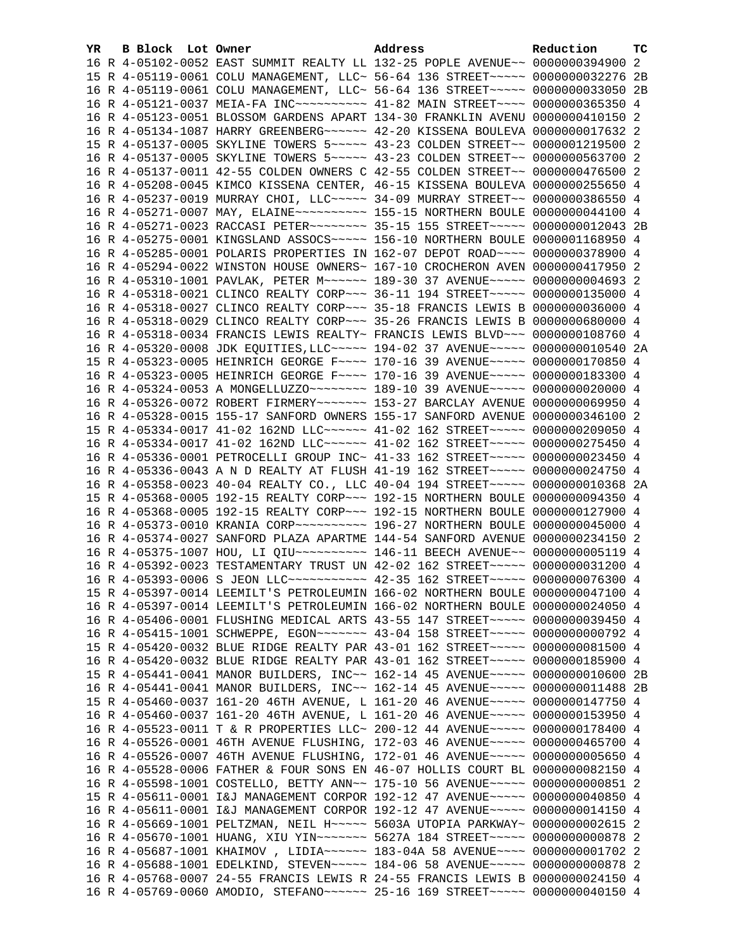| YR. | B Block Lot Owner | Address                                                                             | Reduction | тc |
|-----|-------------------|-------------------------------------------------------------------------------------|-----------|----|
|     |                   | 16 R 4-05102-0052 EAST SUMMIT REALTY LL 132-25 POPLE AVENUE~~ 0000000394900 2       |           |    |
|     |                   | 15 R 4-05119-0061 COLU MANAGEMENT, LLC~ 56-64 136 STREET~~~~~ 0000000032276 2B      |           |    |
|     |                   | 16 R 4-05119-0061 COLU MANAGEMENT, LLC~ 56-64 136 STREET~~~~~ 0000000033050 2B      |           |    |
|     |                   |                                                                                     |           |    |
|     |                   | 16 R 4-05123-0051 BLOSSOM GARDENS APART 134-30 FRANKLIN AVENU 0000000410150 2       |           |    |
|     |                   | 16 R 4-05134-1087 HARRY GREENBERG ~~~~~~ 42-20 KISSENA BOULEVA 0000000017632 2      |           |    |
|     |                   | 15 R 4-05137-0005 SKYLINE TOWERS 5~~~~~ 43-23 COLDEN STREET~~ 0000001219500 2       |           |    |
|     |                   | 16 R 4-05137-0005 SKYLINE TOWERS 5~~~~~ 43-23 COLDEN STREET~~ 0000000563700 2       |           |    |
|     |                   | 16 R 4-05137-0011 42-55 COLDEN OWNERS C 42-55 COLDEN STREET~~ 0000000476500 2       |           |    |
|     |                   | 16 R 4-05208-0045 KIMCO KISSENA CENTER, 46-15 KISSENA BOULEVA 0000000255650 4       |           |    |
|     |                   | 16 R 4-05237-0019 MURRAY CHOI, LLC~~~~~ 34-09 MURRAY STREET~~ 0000000386550 4       |           |    |
|     |                   | 16 R 4-05271-0007 MAY, ELAINE~~~~~~~~~~~~~~~ 155-15 NORTHERN BOULE 0000000044100 4  |           |    |
|     |                   | 16 R 4-05271-0023 RACCASI PETER~~~~~~~~ 35-15 155 STREET~~~~~ 0000000012043 2B      |           |    |
|     |                   | 16 R 4-05275-0001 KINGSLAND ASSOCS~~~~~ 156-10 NORTHERN BOULE 0000001168950 4       |           |    |
|     |                   | 16 R 4-05285-0001 POLARIS PROPERTIES IN 162-07 DEPOT ROAD~~~~ 0000000378900 4       |           |    |
|     |                   | 16 R 4-05294-0022 WINSTON HOUSE OWNERS~ 167-10 CROCHERON AVEN 0000000417950 2       |           |    |
|     |                   | 16 R 4-05310-1001 PAVLAK, PETER M~~~~~~ 189-30 37 AVENUE~~~~~ 0000000004693 2       |           |    |
|     |                   | 16 R 4-05318-0021 CLINCO REALTY CORP~~~ 36-11 194 STREET~~~~~ 0000000135000 4       |           |    |
|     |                   | 16 R 4-05318-0027 CLINCO REALTY CORP~~~ 35-18 FRANCIS LEWIS B 0000000036000 4       |           |    |
|     |                   | 16 R 4-05318-0029 CLINCO REALTY CORP~~~ 35-26 FRANCIS LEWIS B 0000000680000 4       |           |    |
|     |                   | 16 R 4-05318-0034 FRANCIS LEWIS REALTY~ FRANCIS LEWIS BLVD~~~ 0000000108760 4       |           |    |
|     |                   | 16 R 4-05320-0008 JDK EQUITIES, LLC ~~~~~ 194-02 37 AVENUE ~~~~~ 0000000010540 2A   |           |    |
|     |                   | 15 R 4-05323-0005 HEINRICH GEORGE F~~~~ 170-16 39 AVENUE~~~~~ 0000000170850 4       |           |    |
|     |                   | 16 R 4-05323-0005 HEINRICH GEORGE F~~~~ 170-16 39 AVENUE~~~~~ 0000000183300 4       |           |    |
|     |                   | 16 R 4-05324-0053 A MONGELLUZZO ~~~~~~~~ 189-10 39 AVENUE ~~~~~ 0000000020000 4     |           |    |
|     |                   | 16 R 4-05326-0072 ROBERT FIRMERY~~~~~~~ 153-27 BARCLAY AVENUE 0000000069950 4       |           |    |
|     |                   | 16 R 4-05328-0015 155-17 SANFORD OWNERS 155-17 SANFORD AVENUE 0000000346100 2       |           |    |
|     |                   | 15 R 4-05334-0017 41-02 162ND LLC ----- 41-02 162 STREET ---- 0000000209050 4       |           |    |
|     |                   | 16 R 4-05334-0017 41-02 162ND LLC~~~~~~ 41-02 162 STREET~~~~~ 0000000275450 4       |           |    |
|     |                   | 16 R 4-05336-0001 PETROCELLI GROUP INC~ 41-33 162 STREET~~~~~ 0000000023450 4       |           |    |
|     |                   | 16 R 4-05336-0043 A N D REALTY AT FLUSH 41-19 162 STREET~~~~~ 0000000024750 4       |           |    |
|     |                   | 16 R 4-05358-0023 40-04 REALTY CO., LLC 40-04 194 STREET~~~~~ 0000000010368 2A      |           |    |
|     |                   | 15 R 4-05368-0005 192-15 REALTY CORP~~~ 192-15 NORTHERN BOULE 0000000094350 4       |           |    |
|     |                   | 16 R 4-05368-0005 192-15 REALTY CORP~~~ 192-15 NORTHERN BOULE 0000000127900 4       |           |    |
|     |                   | 16 R 4-05373-0010 KRANIA CORP~~~~~~~~~~~~~~~ 196-27 NORTHERN BOULE 0000000045000 4  |           |    |
|     |                   | 16 R 4-05374-0027 SANFORD PLAZA APARTME 144-54 SANFORD AVENUE 0000000234150 2       |           |    |
|     |                   | 16 R 4-05375-1007 HOU, LI QIU~~~~~~~~~~~~~~~ 146-11 BEECH AVENUE~~ 00000000005119 4 |           |    |
|     |                   | 16 R 4-05392-0023 TESTAMENTARY TRUST UN 42-02 162 STREET~~~~~ 0000000031200 4       |           |    |
|     |                   | 16 R 4-05393-0006 S JEON LLC ----------- 42-35 162 STREET ----- 0000000076300 4     |           |    |
|     |                   | 15 R 4-05397-0014 LEEMILT'S PETROLEUMIN 166-02 NORTHERN BOULE 0000000047100 4       |           |    |
|     |                   | 16 R 4-05397-0014 LEEMILT'S PETROLEUMIN 166-02 NORTHERN BOULE 0000000024050 4       |           |    |
|     |                   | 16 R 4-05406-0001 FLUSHING MEDICAL ARTS 43-55 147 STREET~~~~~ 0000000039450 4       |           |    |
|     |                   | 16 R 4-05415-1001 SCHWEPPE, EGON~~~~~~~ 43-04 158 STREET~~~~~ 0000000000792 4       |           |    |
|     |                   | 15 R 4-05420-0032 BLUE RIDGE REALTY PAR 43-01 162 STREET~~~~~ 0000000081500 4       |           |    |
|     |                   | 16 R 4-05420-0032 BLUE RIDGE REALTY PAR 43-01 162 STREET~~~~~ 0000000185900 4       |           |    |
|     |                   | 15 R 4-05441-0041 MANOR BUILDERS, INC~~ 162-14 45 AVENUE~~~~~ 0000000010600 2B      |           |    |
|     |                   | 16 R 4-05441-0041 MANOR BUILDERS, INC~~ 162-14 45 AVENUE~~~~~ 0000000011488 2B      |           |    |
|     |                   | 15 R 4-05460-0037 161-20 46TH AVENUE, L 161-20 46 AVENUE~~~~~ 0000000147750 4       |           |    |
|     |                   | 16 R 4-05460-0037 161-20 46TH AVENUE, L 161-20 46 AVENUE~~~~~ 0000000153950 4       |           |    |
|     |                   | 16 R 4-05523-0011 T & R PROPERTIES LLC~ 200-12 44 AVENUE~~~~~ 0000000178400 4       |           |    |
|     |                   | 16 R 4-05526-0001 46TH AVENUE FLUSHING, 172-03 46 AVENUE~~~~~ 0000000465700 4       |           |    |
|     |                   | 16 R 4-05526-0007 46TH AVENUE FLUSHING, 172-01 46 AVENUE~~~~~ 00000000005650 4      |           |    |
|     |                   | 16 R 4-05528-0006 FATHER & FOUR SONS EN 46-07 HOLLIS COURT BL 0000000082150 4       |           |    |
|     |                   | 16 R 4-05598-1001 COSTELLO, BETTY ANN~~ 175-10 56 AVENUE~~~~~ 0000000000851 2       |           |    |
|     |                   | 15 R 4-05611-0001 I&J MANAGEMENT CORPOR 192-12 47 AVENUE~~~~~ 0000000040850 4       |           |    |
|     |                   | 16 R 4-05611-0001 I&J MANAGEMENT CORPOR 192-12 47 AVENUE~~~~~ 0000000014150 4       |           |    |
|     |                   | 16 R 4-05669-1001 PELTZMAN, NEIL H~~~~~ 5603A UTOPIA PARKWAY~ 0000000002615 2       |           |    |
|     |                   | 16 R 4-05670-1001 HUANG, XIU YIN~~~~~~~ 5627A 184 STREET~~~~~ 0000000000878 2       |           |    |
|     |                   | 16 R 4-05687-1001 KHAIMOV, LIDIA~~~~~~ 183-04A 58 AVENUE~~~~ 0000000001702 2        |           |    |
|     |                   | 16 R 4-05688-1001 EDELKIND, STEVEN~~~~~ 184-06 58 AVENUE~~~~~ 00000000000878 2      |           |    |
|     |                   | 16 R 4-05768-0007 24-55 FRANCIS LEWIS R 24-55 FRANCIS LEWIS B 0000000024150 4       |           |    |
|     |                   | 16 R 4-05769-0060 AMODIO, STEFANO~~~~~~ 25-16 169 STREET~~~~~ 0000000040150 4       |           |    |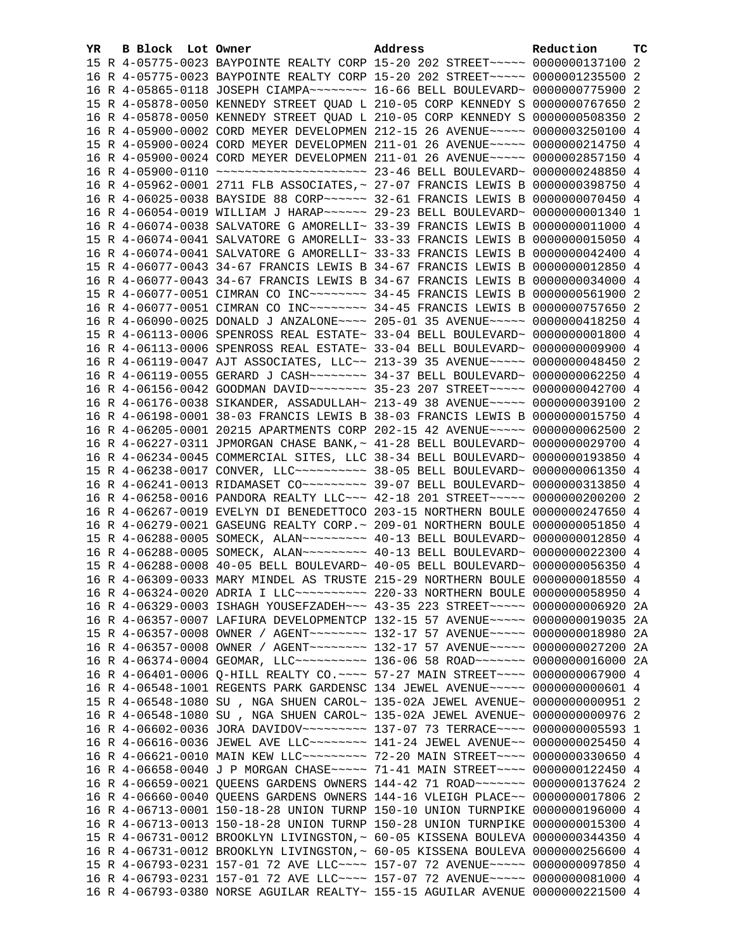| YR. | B Block Lot Owner |  | Address                                                                            | Reduction | тc   |
|-----|-------------------|--|------------------------------------------------------------------------------------|-----------|------|
|     |                   |  | 15 R 4-05775-0023 BAYPOINTE REALTY CORP 15-20 202 STREET~~~~~ 0000000137100 2      |           |      |
|     |                   |  | 16 R 4-05775-0023 BAYPOINTE REALTY CORP 15-20 202 STREET~~~~~ 0000001235500 2      |           |      |
|     |                   |  | 16 R 4-05865-0118 JOSEPH CIAMPA~~~~~~~~ 16-66 BELL BOULEVARD~ 0000000775900 2      |           |      |
|     |                   |  | 15 R 4-05878-0050 KENNEDY STREET QUAD L 210-05 CORP KENNEDY S 0000000767650 2      |           |      |
|     |                   |  | 16 R 4-05878-0050 KENNEDY STREET QUAD L 210-05 CORP KENNEDY S 0000000508350 2      |           |      |
|     |                   |  | 16 R 4-05900-0002 CORD MEYER DEVELOPMEN 212-15 26 AVENUE~~~~~ 0000003250100 4      |           |      |
|     |                   |  | 15 R 4-05900-0024 CORD MEYER DEVELOPMEN 211-01 26 AVENUE~~~~~ 0000000214750 4      |           |      |
|     |                   |  | 16 R 4-05900-0024 CORD MEYER DEVELOPMEN 211-01 26 AVENUE~~~~~ 0000002857150 4      |           |      |
|     |                   |  |                                                                                    |           |      |
|     |                   |  | 16 R 4-05962-0001 2711 FLB ASSOCIATES, ~ 27-07 FRANCIS LEWIS B 0000000398750 4     |           |      |
|     |                   |  | 16 R 4-06025-0038 BAYSIDE 88 CORP~~~~~~ 32-61 FRANCIS LEWIS B 0000000070450 4      |           |      |
|     |                   |  | 16 R 4-06054-0019 WILLIAM J HARAP~~~~~~ 29-23 BELL BOULEVARD~ 0000000001340 1      |           |      |
|     |                   |  | 16 R 4-06074-0038 SALVATORE G AMORELLI~ 33-39 FRANCIS LEWIS B 0000000011000 4      |           |      |
|     |                   |  | 15 R 4-06074-0041 SALVATORE G AMORELLI~ 33-33 FRANCIS LEWIS B 0000000015050 4      |           |      |
|     |                   |  | 16 R 4-06074-0041 SALVATORE G AMORELLI~ 33-33 FRANCIS LEWIS B 0000000042400 4      |           |      |
|     |                   |  | 15 R 4-06077-0043 34-67 FRANCIS LEWIS B 34-67 FRANCIS LEWIS B 0000000012850 4      |           |      |
|     |                   |  | 16 R 4-06077-0043 34-67 FRANCIS LEWIS B 34-67 FRANCIS LEWIS B 0000000034000 4      |           |      |
|     |                   |  | 15 R 4-06077-0051 CIMRAN CO INC~~~~~~~~ 34-45 FRANCIS LEWIS B 0000000561900 2      |           |      |
|     |                   |  | 16 R 4-06077-0051 CIMRAN CO INC~~~~~~~~ 34-45 FRANCIS LEWIS B 0000000757650 2      |           |      |
|     |                   |  | 16 R 4-06090-0025 DONALD J ANZALONE~~~~ 205-01 35 AVENUE~~~~~ 0000000418250 4      |           |      |
|     |                   |  | 15 R 4-06113-0006 SPENROSS REAL ESTATE~ 33-04 BELL BOULEVARD~ 0000000001800 4      |           |      |
|     |                   |  | 16 R 4-06113-0006 SPENROSS REAL ESTATE~ 33-04 BELL BOULEVARD~ 0000000009900 4      |           |      |
|     |                   |  | 16 R 4-06119-0047 AJT ASSOCIATES, LLC~~ 213-39 35 AVENUE~~~~~ 0000000048450 2      |           |      |
|     |                   |  | 16 R 4-06119-0055 GERARD J CASH~~~~~~~~ 34-37 BELL BOULEVARD~ 0000000062250 4      |           |      |
|     |                   |  | 16 R 4-06156-0042 GOODMAN DAVID ~~~~~~~~ 35-23 207 STREET ~~~~~ 0000000042700 4    |           |      |
|     |                   |  | 16 R 4-06176-0038 SIKANDER, ASSADULLAH~ 213-49 38 AVENUE~~~~~ 0000000039100 2      |           |      |
|     |                   |  | 16 R 4-06198-0001 38-03 FRANCIS LEWIS B 38-03 FRANCIS LEWIS B 0000000015750 4      |           |      |
|     |                   |  | 16 R 4-06205-0001 20215 APARTMENTS CORP 202-15 42 AVENUE~~~~~ 0000000062500 2      |           |      |
|     |                   |  | 16 R 4-06227-0311 JPMORGAN CHASE BANK, ~ 41-28 BELL BOULEVARD~ 0000000029700 4     |           |      |
|     |                   |  | 16 R 4-06234-0045 COMMERCIAL SITES, LLC 38-34 BELL BOULEVARD~ 0000000193850 4      |           |      |
|     |                   |  | 15 R 4-06238-0017 CONVER, LLC ---------- 38-05 BELL BOULEVARD ~ 0000000061350 4    |           |      |
|     |                   |  | 16 R 4-06241-0013 RIDAMASET CO~~~~~~~~~~ 39-07 BELL BOULEVARD~ 0000000313850 4     |           |      |
|     |                   |  | 16 R 4-06258-0016 PANDORA REALTY LLC~~~ 42-18 201 STREET~~~~~ 0000000200200 2      |           |      |
|     |                   |  | 16 R 4-06267-0019 EVELYN DI BENEDETTOCO 203-15 NORTHERN BOULE 0000000247650 4      |           |      |
|     |                   |  | 16 R 4-06279-0021 GASEUNG REALTY CORP. ~ 209-01 NORTHERN BOULE 0000000051850 4     |           |      |
|     |                   |  | 15 R 4-06288-0005 SOMECK, ALAN~~~~~~~~~ 40-13 BELL BOULEVARD~ 0000000012850 4      |           |      |
|     |                   |  | 16 R 4-06288-0005 SOMECK, ALAN~~~~~~~~~ 40-13 BELL BOULEVARD~ 0000000022300 4      |           |      |
|     |                   |  | 15 R 4-06288-0008 40-05 BELL BOULEVARD~ 40-05 BELL BOULEVARD~ 0000000056350 4      |           |      |
|     |                   |  | 16 R 4-06309-0033 MARY MINDEL AS TRUSTE 215-29 NORTHERN BOULE 0000000018550 4      |           |      |
|     |                   |  | 16 R 4-06324-0020 ADRIA I LLC~~~~~~~~~~~~~~~ 220-33 NORTHERN BOULE 0000000058950 4 |           |      |
|     |                   |  | 16 R 4-06329-0003 ISHAGH YOUSEFZADEH~~~ 43-35 223 STREET~~~~~ 0000000006920 2A     |           |      |
|     |                   |  | 16 R 4-06357-0007 LAFIURA DEVELOPMENTCP 132-15 57 AVENUE~~~~~ 0000000019035        |           | - 2A |
|     |                   |  | 15 R 4-06357-0008 OWNER / AGENT~~~~~~~~ 132-17 57 AVENUE~~~~~ 0000000018980        |           | 2A   |
|     |                   |  | 16 R 4-06357-0008 OWNER / AGENT~~~~~~~~ 132-17 57 AVENUE~~~~~ 0000000027200 2A     |           |      |
|     |                   |  | 16 R 4-06374-0004 GEOMAR, LLC~~~~~~~~~~ 136-06 58 ROAD~~~~~~~ 0000000016000 2A     |           |      |
|     |                   |  | 16 R 4-06401-0006 Q-HILL REALTY CO. ~~~~ 57-27 MAIN STREET~~~~ 0000000067900 4     |           |      |
|     |                   |  | 16 R 4-06548-1001 REGENTS PARK GARDENSC 134 JEWEL AVENUE~~~~~ 0000000000601 4      |           |      |
|     |                   |  | 15 R 4-06548-1080 SU, NGA SHUEN CAROL~ 135-02A JEWEL AVENUE~ 0000000000951 2       |           |      |
|     |                   |  | 16 R 4-06548-1080 SU, NGA SHUEN CAROL~ 135-02A JEWEL AVENUE~ 0000000000976 2       |           |      |
|     |                   |  | 16 R 4-06602-0036 JORA DAVIDOV~~~~~~~~~ 137-07 73 TERRACE~~~~ 0000000005593 1      |           |      |
|     |                   |  | 16 R 4-06616-0036 JEWEL AVE LLC~~~~~~~~ 141-24 JEWEL AVENUE~~ 0000000025450 4      |           |      |
|     |                   |  | 16 R 4-06621-0010 MAIN KEW LLC -------- 72-20 MAIN STREET --- 0000000330650 4      |           |      |
|     |                   |  | 16 R 4-06658-0040 J P MORGAN CHASE~~~~~ 71-41 MAIN STREET~~~~ 0000000122450 4      |           |      |
|     |                   |  | 16 R 4-06659-0021 QUEENS GARDENS OWNERS 144-42 71 ROAD ~~~~~~~ 0000000137624 2     |           |      |
|     |                   |  | 16 R 4-06660-0040 QUEENS GARDENS OWNERS 144-16 VLEIGH PLACE~~ 0000000017806 2      |           |      |
|     |                   |  | 16 R 4-06713-0001 150-18-28 UNION TURNP 150-10 UNION TURNPIKE 0000000196000 4      |           |      |
|     |                   |  | 16 R 4-06713-0013 150-18-28 UNION TURNP 150-28 UNION TURNPIKE 0000000015300 4      |           |      |
|     |                   |  | 15 R 4-06731-0012 BROOKLYN LIVINGSTON, ~ 60-05 KISSENA BOULEVA 0000000344350 4     |           |      |
|     |                   |  | 16 R 4-06731-0012 BROOKLYN LIVINGSTON,~ 60-05 KISSENA BOULEVA 0000000256600 4      |           |      |
|     |                   |  | 15 R 4-06793-0231 157-01 72 AVE LLC --- 157-07 72 AVENUE --- 0000000097850 4       |           |      |
|     |                   |  | 16 R 4-06793-0231 157-01 72 AVE LLC~~~~ 157-07 72 AVENUE~~~~~ 0000000081000 4      |           |      |
|     |                   |  | 16 R 4-06793-0380 NORSE AGUILAR REALTY~ 155-15 AGUILAR AVENUE 0000000221500 4      |           |      |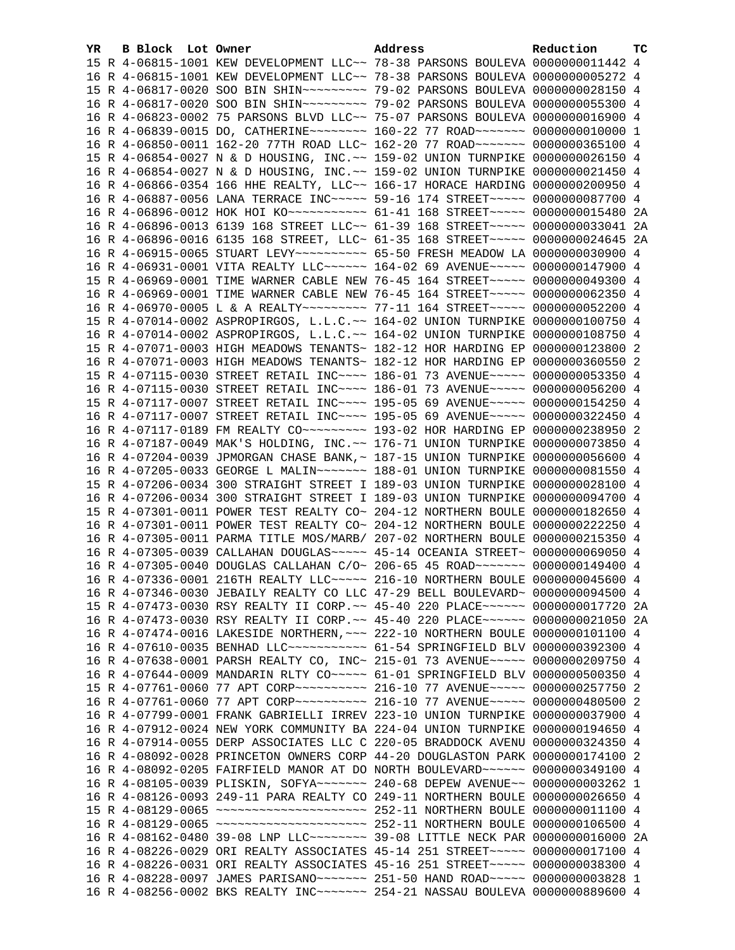| YR. | B Block Lot Owner |                                                                                    | Address | Reduction | тc |
|-----|-------------------|------------------------------------------------------------------------------------|---------|-----------|----|
|     |                   | 15 R 4-06815-1001 KEW DEVELOPMENT LLC~~ 78-38 PARSONS BOULEVA 0000000011442 4      |         |           |    |
|     |                   | 16 R 4-06815-1001 KEW DEVELOPMENT LLC~~ 78-38 PARSONS BOULEVA 0000000005272 4      |         |           |    |
|     |                   | 15 R 4-06817-0020 SOO BIN SHIN~~~~~~~~~ 79-02 PARSONS BOULEVA 0000000028150 4      |         |           |    |
|     |                   | 16 R 4-06817-0020 SOO BIN SHIN~~~~~~~~~~~~~~ 79-02 PARSONS BOULEVA 0000000055300 4 |         |           |    |
|     |                   | 16 R 4-06823-0002 75 PARSONS BLVD LLC~~ 75-07 PARSONS BOULEVA 0000000016900 4      |         |           |    |
|     |                   | 16 R 4-06839-0015 DO, CATHERINE~~~~~~~~~ 160-22 77 ROAD~~~~~~~ 0000000010000 1     |         |           |    |
|     |                   | 16 R 4-06850-0011 162-20 77TH ROAD LLC~ 162-20 77 ROAD~~~~~~~ 0000000365100 4      |         |           |    |
|     |                   | 15 R 4-06854-0027 N & D HOUSING, INC.~~ 159-02 UNION TURNPIKE 0000000026150 4      |         |           |    |
|     |                   | 16 R 4-06854-0027 N & D HOUSING, INC.~~ 159-02 UNION TURNPIKE 0000000021450 4      |         |           |    |
|     |                   | 16 R 4-06866-0354 166 HHE REALTY, LLC~~ 166-17 HORACE HARDING 0000000200950 4      |         |           |    |
|     |                   | 16 R 4-06887-0056 LANA TERRACE INC~~~~~ 59-16 174 STREET~~~~~ 0000000087700 4      |         |           |    |
|     |                   | 16 R 4-06896-0012 HOK HOI KO ---------- 61-41 168 STREET ----- 0000000015480 2A    |         |           |    |
|     |                   | 16 R 4-06896-0013 6139 168 STREET LLC~~ 61-39 168 STREET~~~~~ 0000000033041 2A     |         |           |    |
|     |                   | 16 R 4-06896-0016 6135 168 STREET, LLC~ 61-35 168 STREET~~~~~ 0000000024645 2A     |         |           |    |
|     |                   | 16 R 4-06915-0065 STUART LEVY~~~~~~~~~~ 65-50 FRESH MEADOW LA 0000000030900 4      |         |           |    |
|     |                   | 16 R 4-06931-0001 VITA REALTY LLC ----- 164-02 69 AVENUE ---- 0000000147900 4      |         |           |    |
|     |                   | 15 R 4-06969-0001 TIME WARNER CABLE NEW 76-45 164 STREET~~~~~ 0000000049300 4      |         |           |    |
|     |                   | 16 R 4-06969-0001 TIME WARNER CABLE NEW 76-45 164 STREET~~~~~ 0000000062350 4      |         |           |    |
|     |                   | 16 R 4-06970-0005 L & A REALTY~~~~~~~~~ 77-11 164 STREET~~~~~ 0000000052200 4      |         |           |    |
|     |                   | 15 R 4-07014-0002 ASPROPIRGOS, L.L.C.~~ 164-02 UNION TURNPIKE 0000000100750 4      |         |           |    |
|     |                   | 16 R 4-07014-0002 ASPROPIRGOS, L.L.C.~~ 164-02 UNION TURNPIKE 0000000108750 4      |         |           |    |
|     |                   | 15 R 4-07071-0003 HIGH MEADOWS TENANTS~ 182-12 HOR HARDING EP 0000000123800 2      |         |           |    |
|     |                   | 16 R 4-07071-0003 HIGH MEADOWS TENANTS~ 182-12 HOR HARDING EP 0000000360550 2      |         |           |    |
|     |                   | 15 R 4-07115-0030 STREET RETAIL INC~~~~ 186-01 73 AVENUE~~~~~ 0000000053350 4      |         |           |    |
|     |                   | 16 R 4-07115-0030 STREET RETAIL INC~~~~ 186-01 73 AVENUE~~~~~ 0000000056200 4      |         |           |    |
|     |                   | 15 R 4-07117-0007 STREET RETAIL INC~~~~ 195-05 69 AVENUE~~~~~ 0000000154250 4      |         |           |    |
|     |                   | 16 R 4-07117-0007 STREET RETAIL INC~~~~ 195-05 69 AVENUE~~~~~ 0000000322450 4      |         |           |    |
|     |                   | 16 R 4-07117-0189 FM REALTY CO~~~~~~~~~~~~~~ 193-02 HOR HARDING EP 0000000238950 2 |         |           |    |
|     |                   | 16 R 4-07187-0049 MAK'S HOLDING, INC.~~ 176-71 UNION TURNPIKE 0000000073850 4      |         |           |    |
|     |                   | 16 R 4-07204-0039 JPMORGAN CHASE BANK, ~ 187-15 UNION TURNPIKE 0000000056600 4     |         |           |    |
|     |                   | 16 R 4-07205-0033 GEORGE L MALIN~~~~~~~ 188-01 UNION TURNPIKE 0000000081550 4      |         |           |    |
|     |                   | 15 R 4-07206-0034 300 STRAIGHT STREET I 189-03 UNION TURNPIKE 0000000028100 4      |         |           |    |
|     |                   | 16 R 4-07206-0034 300 STRAIGHT STREET I 189-03 UNION TURNPIKE 0000000094700 4      |         |           |    |
|     |                   | 15 R 4-07301-0011 POWER TEST REALTY CO~ 204-12 NORTHERN BOULE 0000000182650 4      |         |           |    |
|     |                   | 16 R 4-07301-0011 POWER TEST REALTY CO~ 204-12 NORTHERN BOULE 0000000222250 4      |         |           |    |
|     |                   | 16 R 4-07305-0011 PARMA TITLE MOS/MARB/ 207-02 NORTHERN BOULE 0000000215350 4      |         |           |    |
|     |                   | 16 R 4-07305-0039 CALLAHAN DOUGLAS~~~~~ 45-14 OCEANIA STREET~ 0000000069050 4      |         |           |    |
|     |                   | 16 R 4-07305-0040 DOUGLAS CALLAHAN C/O~ 206-65 45 ROAD~~~~~~~ 0000000149400 4      |         |           |    |
|     |                   | 16 R 4-07336-0001 216TH REALTY LLC ~~~~~ 216-10 NORTHERN BOULE 0000000045600 4     |         |           |    |
|     |                   | 16 R 4-07346-0030 JEBAILY REALTY CO LLC 47-29 BELL BOULEVARD~ 0000000094500 4      |         |           |    |
|     |                   | 15 R 4-07473-0030 RSY REALTY II CORP. ~~ 45-40 220 PLACE~~~~~~ 0000000017720 2A    |         |           |    |
|     |                   | 16 R 4-07473-0030 RSY REALTY II CORP. ~~ 45-40 220 PLACE~~~~~~ 0000000021050 2A    |         |           |    |
|     |                   | 16 R 4-07474-0016 LAKESIDE NORTHERN, ~~~ 222-10 NORTHERN BOULE 0000000101100 4     |         |           |    |
|     |                   | 16 R 4-07610-0035 BENHAD LLC ----------- 61-54 SPRINGFIELD BLV 0000000392300 4     |         |           |    |
|     |                   | 16 R 4-07638-0001 PARSH REALTY CO, INC~ 215-01 73 AVENUE~~~~~ 0000000209750 4      |         |           |    |
|     |                   | 16 R 4-07644-0009 MANDARIN RLTY CO~~~~~ 61-01 SPRINGFIELD BLV 0000000500350 4      |         |           |    |
|     |                   | 15 R 4-07761-0060 77 APT CORP~~~~~~~~~~ 216-10 77 AVENUE~~~~~ 0000000257750 2      |         |           |    |
|     |                   | 16 R 4-07761-0060 77 APT CORP~~~~~~~~~~ 216-10 77 AVENUE~~~~~ 0000000480500 2      |         |           |    |
|     |                   | 16 R 4-07799-0001 FRANK GABRIELLI IRREV 223-10 UNION TURNPIKE 0000000037900 4      |         |           |    |
|     |                   |                                                                                    |         |           |    |
|     |                   | 16 R 4-07912-0024 NEW YORK COMMUNITY BA 224-04 UNION TURNPIKE 0000000194650 4      |         |           |    |
|     |                   | 16 R 4-07914-0055 DERP ASSOCIATES LLC C 220-05 BRADDOCK AVENU 0000000324350 4      |         |           |    |
|     |                   | 16 R 4-08092-0028 PRINCETON OWNERS CORP 44-20 DOUGLASTON PARK 0000000174100 2      |         |           |    |
|     |                   | 16 R 4-08092-0205 FAIRFIELD MANOR AT DO NORTH BOULEVARD ~~~~~~ 0000000349100 4     |         |           |    |
|     |                   | 16 R 4-08105-0039 PLISKIN, SOFYA~~~~~~~ 240-68 DEPEW AVENUE~~ 0000000003262 1      |         |           |    |
|     |                   | 16 R 4-08126-0093 249-11 PARA REALTY CO 249-11 NORTHERN BOULE 0000000026650 4      |         |           |    |
|     |                   |                                                                                    |         |           |    |
|     |                   |                                                                                    |         |           |    |
|     |                   | 16 R 4-08162-0480 39-08 LNP LLC -------- 39-08 LITTLE NECK PAR 0000000016000 2A    |         |           |    |
|     |                   | 16 R 4-08226-0029 ORI REALTY ASSOCIATES 45-14 251 STREET~~~~~ 0000000017100 4      |         |           |    |
|     |                   | 16 R 4-08226-0031 ORI REALTY ASSOCIATES 45-16 251 STREET~~~~~ 0000000038300 4      |         |           |    |
|     |                   | 16 R 4-08228-0097 JAMES PARISANO~~~~~~~ 251-50 HAND ROAD~~~~~ 0000000003828 1      |         |           |    |
|     |                   | 16 R 4-08256-0002 BKS REALTY INC~~~~~~~ 254-21 NASSAU BOULEVA 0000000889600 4      |         |           |    |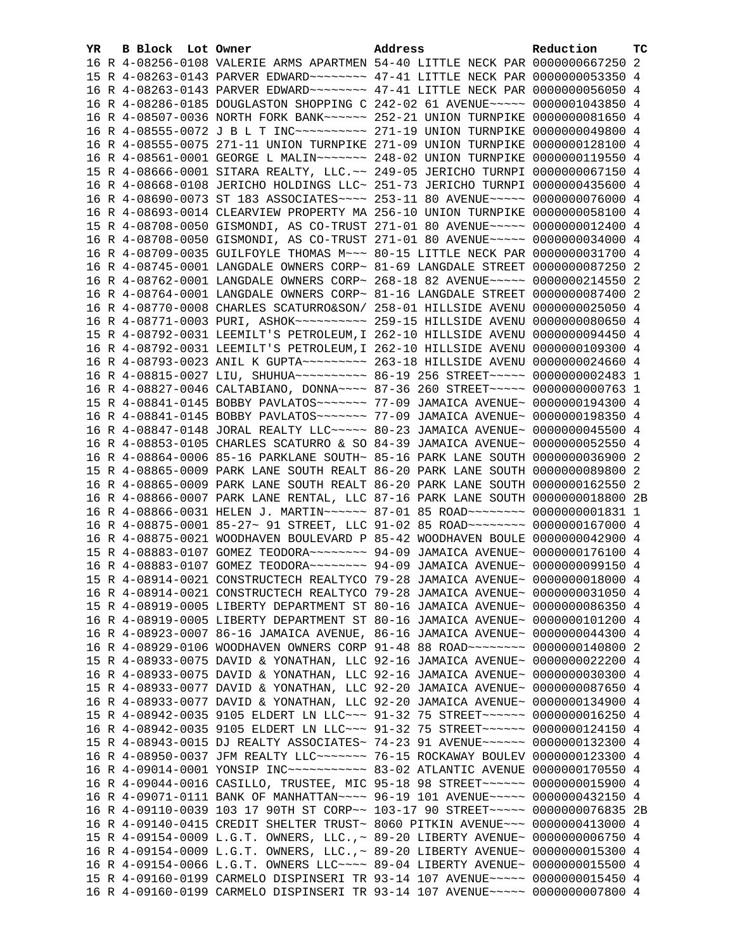| YR. | B Block Lot Owner |  | Address                                                                                                                                                        | Reduction | тc |
|-----|-------------------|--|----------------------------------------------------------------------------------------------------------------------------------------------------------------|-----------|----|
|     |                   |  | 16 R 4-08256-0108 VALERIE ARMS APARTMEN 54-40 LITTLE NECK PAR 0000000667250 2                                                                                  |           |    |
|     |                   |  | 15 R 4-08263-0143 PARVER EDWARD ~~~~~~~~ 47-41 LITTLE NECK PAR 0000000053350 4                                                                                 |           |    |
|     |                   |  | 16 R 4-08263-0143 PARVER EDWARD ~~~~~~~~ 47-41 LITTLE NECK PAR 0000000056050 4                                                                                 |           |    |
|     |                   |  | 16 R 4-08286-0185 DOUGLASTON SHOPPING C 242-02 61 AVENUE~~~~~ 0000001043850 4                                                                                  |           |    |
|     |                   |  | 16 R 4-08507-0036 NORTH FORK BANK~~~~~~ 252-21 UNION TURNPIKE 0000000081650 4                                                                                  |           |    |
|     |                   |  |                                                                                                                                                                |           |    |
|     |                   |  | 16 R 4-08555-0075 271-11 UNION TURNPIKE 271-09 UNION TURNPIKE 0000000128100 4                                                                                  |           |    |
|     |                   |  | 16 R 4-08561-0001 GEORGE L MALIN~~~~~~~ 248-02 UNION TURNPIKE 0000000119550 4                                                                                  |           |    |
|     |                   |  | 15 R 4-08666-0001 SITARA REALTY, LLC.~~ 249-05 JERICHO TURNPI 0000000067150 4                                                                                  |           |    |
|     |                   |  | 16 R 4-08668-0108 JERICHO HOLDINGS LLC~ 251-73 JERICHO TURNPI 0000000435600 4                                                                                  |           |    |
|     |                   |  | 16 R 4-08690-0073 ST 183 ASSOCIATES~~~~ 253-11 80 AVENUE~~~~~ 0000000076000 4                                                                                  |           |    |
|     |                   |  | 16 R 4-08693-0014 CLEARVIEW PROPERTY MA 256-10 UNION TURNPIKE 0000000058100 4                                                                                  |           |    |
|     |                   |  | 15 R 4-08708-0050 GISMONDI, AS CO-TRUST 271-01 80 AVENUE~~~~~ 0000000012400 4                                                                                  |           |    |
|     |                   |  | 16 R 4-08708-0050 GISMONDI, AS CO-TRUST 271-01 80 AVENUE~~~~~ 0000000034000 4                                                                                  |           |    |
|     |                   |  | 16 R 4-08709-0035 GUILFOYLE THOMAS M~~~ 80-15 LITTLE NECK PAR 0000000031700 4                                                                                  |           |    |
|     |                   |  | 16 R 4-08745-0001 LANGDALE OWNERS CORP~ 81-69 LANGDALE STREET 0000000087250 2                                                                                  |           |    |
|     |                   |  | 16 R 4-08762-0001 LANGDALE OWNERS CORP~ 268-18 82 AVENUE~~~~~ 0000000214550 2                                                                                  |           |    |
|     |                   |  | 16 R 4-08764-0001 LANGDALE OWNERS CORP~ 81-16 LANGDALE STREET 0000000087400 2                                                                                  |           |    |
|     |                   |  | 16 R 4-08770-0008 CHARLES SCATURRO&SON/ 258-01 HILLSIDE AVENU 0000000025050 4                                                                                  |           |    |
|     |                   |  | 16 R 4-08771-0003 PURI, ASHOK~~~~~~~~~~~~~~~ 259-15 HILLSIDE AVENU 0000000080650 4                                                                             |           |    |
|     |                   |  | 15 R 4-08792-0031 LEEMILT'S PETROLEUM, I 262-10 HILLSIDE AVENU 0000000094450 4                                                                                 |           |    |
|     |                   |  | 16 R 4-08792-0031 LEEMILT'S PETROLEUM, I 262-10 HILLSIDE AVENU 0000000109300 4                                                                                 |           |    |
|     |                   |  |                                                                                                                                                                |           |    |
|     |                   |  | 16 R 4-08815-0027 LIU, SHUHUA~~~~~~~~~~ 86-19 256 STREET~~~~~ 0000000002483 1                                                                                  |           |    |
|     |                   |  | 16 R 4-08827-0046 CALTABIANO, DONNA~~~~ 87-36 260 STREET~~~~~ 0000000000763 1                                                                                  |           |    |
|     |                   |  | 15 R 4-08841-0145 BOBBY PAVLATOS~~~~~~~ 77-09 JAMAICA AVENUE~ 0000000194300 4                                                                                  |           |    |
|     |                   |  | 16 R 4-08841-0145 BOBBY PAVLATOS ------ 77-09 JAMAICA AVENUE ~ 0000000198350 4                                                                                 |           |    |
|     |                   |  | 16 R 4-08847-0148 JORAL REALTY LLC ---- 80-23 JAMAICA AVENUE ~ 0000000045500 4                                                                                 |           |    |
|     |                   |  | 16 R 4-08853-0105 CHARLES SCATURRO & SO 84-39 JAMAICA AVENUE~ 0000000052550 4                                                                                  |           |    |
|     |                   |  | 16 R 4-08864-0006 85-16 PARKLANE SOUTH~ 85-16 PARK LANE SOUTH 0000000036900 2                                                                                  |           |    |
|     |                   |  | 15 R 4-08865-0009 PARK LANE SOUTH REALT 86-20 PARK LANE SOUTH 0000000089800 2                                                                                  |           |    |
|     |                   |  | 16 R 4-08865-0009 PARK LANE SOUTH REALT 86-20 PARK LANE SOUTH 0000000162550 2                                                                                  |           |    |
|     |                   |  | 16 R 4-08866-0007 PARK LANE RENTAL, LLC 87-16 PARK LANE SOUTH 0000000018800 2B                                                                                 |           |    |
|     |                   |  | 16 R 4-08866-0031 HELEN J. MARTIN~~~~~~ 87-01 85 ROAD~~~~~~~~ 00000000001831 1                                                                                 |           |    |
|     |                   |  | 16 R 4-08875-0001 85-27~ 91 STREET, LLC 91-02 85 ROAD~~~~~~~~ 0000000167000 4                                                                                  |           |    |
|     |                   |  | 16 R 4-08875-0021 WOODHAVEN BOULEVARD P 85-42 WOODHAVEN BOULE 0000000042900 4                                                                                  |           |    |
|     |                   |  | 15 R 4-08883-0107 GOMEZ TEODORA~~~~~~~~ 94-09 JAMAICA AVENUE~ 0000000176100 4                                                                                  |           |    |
|     |                   |  | 16 R 4-08883-0107 GOMEZ TEODORA~~~~~~~~ 94-09 JAMAICA AVENUE~ 0000000099150 4                                                                                  |           |    |
|     |                   |  | 15 R 4-08914-0021 CONSTRUCTECH REALTYCO 79-28 JAMAICA AVENUE~ 0000000018000 4                                                                                  |           |    |
|     |                   |  | 16 R 4-08914-0021 CONSTRUCTECH REALTYCO 79-28 JAMAICA AVENUE~ 0000000031050 4                                                                                  |           |    |
|     |                   |  | 15 R 4-08919-0005 LIBERTY DEPARTMENT ST 80-16 JAMAICA AVENUE~ 0000000086350 4                                                                                  |           |    |
|     |                   |  | 16 R 4-08919-0005 LIBERTY DEPARTMENT ST 80-16 JAMAICA AVENUE~ 0000000101200 4                                                                                  |           |    |
|     |                   |  | 16 R 4-08923-0007 86-16 JAMAICA AVENUE, 86-16 JAMAICA AVENUE~ 0000000044300 4                                                                                  |           |    |
|     |                   |  | 16 R 4-08929-0106 WOODHAVEN OWNERS CORP 91-48 88 ROAD~~~~~~~~ 0000000140800 2                                                                                  |           |    |
|     |                   |  | 15 R 4-08933-0075 DAVID & YONATHAN, LLC 92-16 JAMAICA AVENUE~ 0000000022200 4<br>16 R 4-08933-0075 DAVID & YONATHAN, LLC 92-16 JAMAICA AVENUE~ 0000000030300 4 |           |    |
|     |                   |  |                                                                                                                                                                |           |    |
|     |                   |  | 15 R 4-08933-0077 DAVID & YONATHAN, LLC 92-20 JAMAICA AVENUE~ 0000000087650 4<br>16 R 4-08933-0077 DAVID & YONATHAN, LLC 92-20 JAMAICA AVENUE~ 0000000134900 4 |           |    |
|     |                   |  | 15 R 4-08942-0035 9105 ELDERT LN LLC~~~ 91-32 75 STREET~~~~~~ 0000000016250 4                                                                                  |           |    |
|     |                   |  | 16 R 4-08942-0035 9105 ELDERT LN LLC~~~ 91-32 75 STREET~~~~~~ 0000000124150 4                                                                                  |           |    |
|     |                   |  | 15 R 4-08943-0015 DJ REALTY ASSOCIATES~ 74-23 91 AVENUE~~~~~~ 0000000132300 4                                                                                  |           |    |
|     |                   |  | 16 R 4-08950-0037 JFM REALTY LLC ~~~~~~~ 76-15 ROCKAWAY BOULEV 0000000123300 4                                                                                 |           |    |
|     |                   |  | 16 R 4-09014-0001 YONSIP INC ---------- 83-02 ATLANTIC AVENUE 0000000170550 4                                                                                  |           |    |
|     |                   |  | 16 R 4-09044-0016 CASILLO, TRUSTEE, MIC 95-18 98 STREET~~~~~~ 0000000015900 4                                                                                  |           |    |
|     |                   |  | 16 R 4-09071-0111 BANK OF MANHATTAN~~~~ 96-19 101 AVENUE~~~~~ 0000000432150 4                                                                                  |           |    |
|     |                   |  | 16 R 4-09110-0039 103 17 90TH ST CORP~~ 103-17 90 STREET~~~~~ 0000000076835 2B                                                                                 |           |    |
|     |                   |  | 16 R 4-09140-0415 CREDIT SHELTER TRUST~ 8060 PITKIN AVENUE~~~ 0000000413000 4                                                                                  |           |    |
|     |                   |  | 15 R 4-09154-0009 L.G.T. OWNERS, LLC.,~ 89-20 LIBERTY AVENUE~ 0000000006750 4                                                                                  |           |    |
|     |                   |  | 16 R 4-09154-0009 L.G.T. OWNERS, LLC.,~ 89-20 LIBERTY AVENUE~ 0000000015300 4                                                                                  |           |    |
|     |                   |  | 16 R 4-09154-0066 L.G.T. OWNERS LLC --- 89-04 LIBERTY AVENUE ~ 0000000015500 4                                                                                 |           |    |
|     |                   |  | 15 R 4-09160-0199 CARMELO DISPINSERI TR 93-14 107 AVENUE~~~~~ 0000000015450 4                                                                                  |           |    |
|     |                   |  | 16 R 4-09160-0199 CARMELO DISPINSERI TR 93-14 107 AVENUE~~~~~ 0000000007800 4                                                                                  |           |    |
|     |                   |  |                                                                                                                                                                |           |    |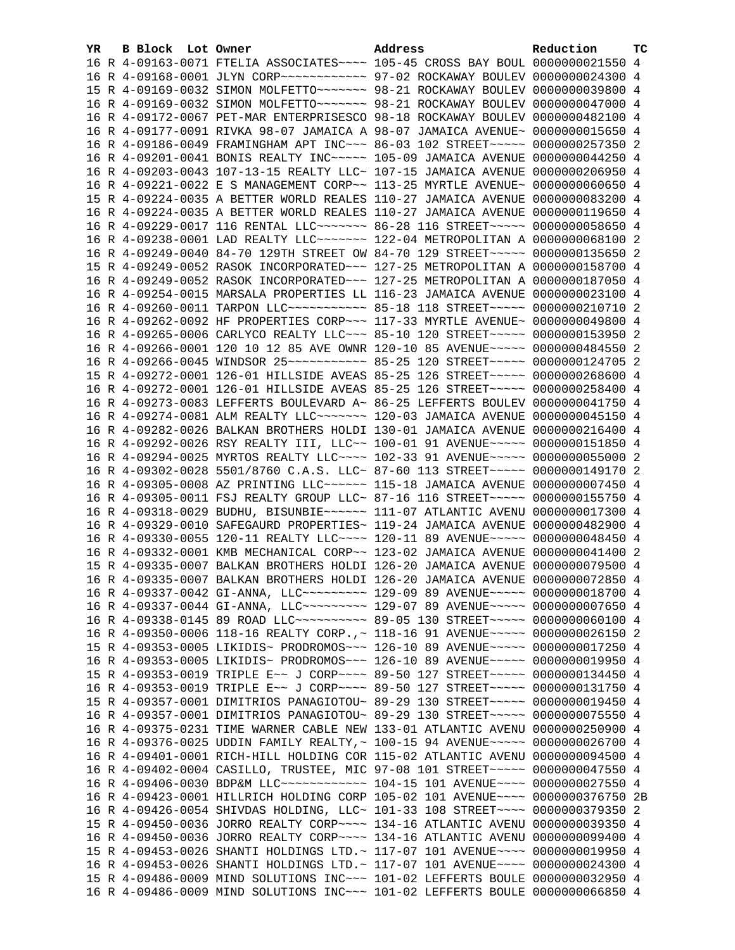| YR. | B Block Lot Owner | Address                                                                                                                                                           | Reduction | тc |
|-----|-------------------|-------------------------------------------------------------------------------------------------------------------------------------------------------------------|-----------|----|
|     |                   | 16 R 4-09163-0071 FTELIA ASSOCIATES~~~~ 105-45 CROSS BAY BOUL 0000000021550 4                                                                                     |           |    |
|     |                   | 16 R 4-09168-0001 JLYN CORP ~~~~~~~~~~~~~ 97-02 ROCKAWAY BOULEV 0000000024300 4                                                                                   |           |    |
|     |                   | 15 R 4-09169-0032 SIMON MOLFETTO~~~~~~~ 98-21 ROCKAWAY BOULEV 0000000039800 4                                                                                     |           |    |
|     |                   | 16 R 4-09169-0032 SIMON MOLFETTO~~~~~~~ 98-21 ROCKAWAY BOULEV 0000000047000 4                                                                                     |           |    |
|     |                   | 16 R 4-09172-0067 PET-MAR ENTERPRISESCO 98-18 ROCKAWAY BOULEV 0000000482100 4                                                                                     |           |    |
|     |                   | 16 R 4-09177-0091 RIVKA 98-07 JAMAICA A 98-07 JAMAICA AVENUE~ 0000000015650 4                                                                                     |           |    |
|     |                   | 16 R 4-09186-0049 FRAMINGHAM APT INC~~~ 86-03 102 STREET~~~~~ 0000000257350 2                                                                                     |           |    |
|     |                   | 16 R 4-09201-0041 BONIS REALTY INC~~~~~ 105-09 JAMAICA AVENUE 0000000044250 4                                                                                     |           |    |
|     |                   | 16 R 4-09203-0043 107-13-15 REALTY LLC~ 107-15 JAMAICA AVENUE 0000000206950 4                                                                                     |           |    |
|     |                   | 16 R 4-09221-0022 E S MANAGEMENT CORP~~ 113-25 MYRTLE AVENUE~ 0000000060650 4                                                                                     |           |    |
|     |                   | 15 R 4-09224-0035 A BETTER WORLD REALES 110-27 JAMAICA AVENUE 0000000083200 4                                                                                     |           |    |
|     |                   | 16 R 4-09224-0035 A BETTER WORLD REALES 110-27 JAMAICA AVENUE 0000000119650 4                                                                                     |           |    |
|     |                   | 16 R 4-09229-0017 116 RENTAL LLC ------ 86-28 116 STREET ---- 0000000058650 4                                                                                     |           |    |
|     |                   | 16 R 4-09238-0001 LAD REALTY LLC ------ 122-04 METROPOLITAN A 0000000068100 2                                                                                     |           |    |
|     |                   | 16 R 4-09249-0040 84-70 129TH STREET OW 84-70 129 STREET~~~~~ 0000000135650 2                                                                                     |           |    |
|     |                   | 15 R 4-09249-0052 RASOK INCORPORATED~~~ 127-25 METROPOLITAN A 0000000158700 4                                                                                     |           |    |
|     |                   | 16 R 4-09249-0052 RASOK INCORPORATED~~~ 127-25 METROPOLITAN A 0000000187050 4                                                                                     |           |    |
|     |                   | 16 R 4-09254-0015 MARSALA PROPERTIES LL 116-23 JAMAICA AVENUE 0000000023100 4                                                                                     |           |    |
|     |                   | 16 R 4-09260-0011 TARPON LLC ----------- 85-18 118 STREET ----- 0000000210710 2                                                                                   |           |    |
|     |                   | 16 R 4-09262-0092 HF PROPERTIES CORP~~~ 117-33 MYRTLE AVENUE~ 0000000049800 4                                                                                     |           |    |
|     |                   | 16 R 4-09265-0006 CARLYCO REALTY LLC ~~~ 85-10 120 STREET ~~~~~ 0000000153950 2                                                                                   |           |    |
|     |                   | 16 R 4-09266-0001 120 10 12 85 AVE OWNR 120-10 85 AVENUE~~~~~ 0000000484550 2                                                                                     |           |    |
|     |                   | 16 R 4-09266-0045 WINDSOR 25 ~~~~~~~~~~~~~~~ 85-25 120 STREET ~~~~~~ 0000000124705 2                                                                              |           |    |
|     |                   | 15 R 4-09272-0001 126-01 HILLSIDE AVEAS 85-25 126 STREET~~~~~ 0000000268600 4                                                                                     |           |    |
|     |                   | 16 R 4-09272-0001 126-01 HILLSIDE AVEAS 85-25 126 STREET~~~~~ 0000000258400 4                                                                                     |           |    |
|     |                   | 16 R 4-09273-0083 LEFFERTS BOULEVARD A~ 86-25 LEFFERTS BOULEV 0000000041750 4                                                                                     |           |    |
|     |                   | 16 R 4-09274-0081 ALM REALTY LLC ------ 120-03 JAMAICA AVENUE 0000000045150 4                                                                                     |           |    |
|     |                   | 16 R 4-09282-0026 BALKAN BROTHERS HOLDI 130-01 JAMAICA AVENUE 0000000216400 4                                                                                     |           |    |
|     |                   | 16 R 4-09292-0026 RSY REALTY III, LLC~~ 100-01 91 AVENUE~~~~~ 0000000151850 4                                                                                     |           |    |
|     |                   | 16 R 4-09294-0025 MYRTOS REALTY LLC --- 102-33 91 AVENUE ---- 0000000055000 2                                                                                     |           |    |
|     |                   | 16 R 4-09302-0028 5501/8760 C.A.S. LLC~ 87-60 113 STREET~~~~~ 0000000149170 2                                                                                     |           |    |
|     |                   | 16 R 4-09305-0008 AZ PRINTING LLC ----- 115-18 JAMAICA AVENUE 0000000007450 4                                                                                     |           |    |
|     |                   | 16 R 4-09305-0011 FSJ REALTY GROUP LLC~ 87-16 116 STREET~~~~~ 0000000155750 4                                                                                     |           |    |
|     |                   | 16 R 4-09318-0029 BUDHU, BISUNBIE~~~~~~ 111-07 ATLANTIC AVENU 0000000017300 4                                                                                     |           |    |
|     |                   | 16 R 4-09329-0010 SAFEGAURD PROPERTIES~ 119-24 JAMAICA AVENUE 0000000482900 4                                                                                     |           |    |
|     |                   | 16 R 4-09330-0055 120-11 REALTY LLC --- 120-11 89 AVENUE ---- 0000000048450 4                                                                                     |           |    |
|     |                   | 16 R 4-09332-0001 KMB MECHANICAL CORP~~ 123-02 JAMAICA AVENUE 0000000041400 2                                                                                     |           |    |
|     |                   | 15 R 4-09335-0007 BALKAN BROTHERS HOLDI 126-20 JAMAICA AVENUE 0000000079500 4                                                                                     |           |    |
|     |                   | 16 R 4-09335-0007 BALKAN BROTHERS HOLDI 126-20 JAMAICA AVENUE 0000000072850 4                                                                                     |           |    |
|     |                   | 16 R 4-09337-0042 GI-ANNA, LLC -------- 129-09 89 AVENUE ---- 0000000018700 4                                                                                     |           |    |
|     |                   | 16 R 4-09337-0044 GI-ANNA, LLC -------- 129-07 89 AVENUE ---- 0000000007650 4                                                                                     |           |    |
|     |                   | 16 R 4-09338-0145 89 ROAD LLC~~~~~~~~~~~ 89-05 130 STREET~~~~~ 0000000060100 4                                                                                    |           |    |
|     |                   | 16 R 4-09350-0006 118-16 REALTY CORP.,~ 118-16 91 AVENUE~~~~~ 0000000026150 2                                                                                     |           |    |
|     |                   | 15 R 4-09353-0005 LIKIDIS~ PRODROMOS~~~ 126-10 89 AVENUE~~~~~ 0000000017250 4                                                                                     |           |    |
|     |                   | 16 R 4-09353-0005 LIKIDIS~ PRODROMOS~~~ 126-10 89 AVENUE~~~~~ 0000000019950 4                                                                                     |           |    |
|     |                   | 15 R 4-09353-0019 TRIPLE E~~ J CORP~~~~ 89-50 127 STREET~~~~~ 0000000134450 4                                                                                     |           |    |
|     |                   | 16 R 4-09353-0019 TRIPLE E~~ J CORP~~~~ 89-50 127 STREET~~~~~ 0000000131750 4                                                                                     |           |    |
|     |                   | 15 R 4-09357-0001 DIMITRIOS PANAGIOTOU~ 89-29 130 STREET~~~~~ 0000000019450 4                                                                                     |           |    |
|     |                   | 16 R 4-09357-0001 DIMITRIOS PANAGIOTOU~ 89-29 130 STREET~~~~~ 0000000075550 4                                                                                     |           |    |
|     |                   | 16 R 4-09375-0231 TIME WARNER CABLE NEW 133-01 ATLANTIC AVENU 0000000250900 4                                                                                     |           |    |
|     |                   | 16 R 4-09376-0025 UDDIN FAMILY REALTY, ~ 100-15 94 AVENUE~~~~~ 0000000026700 4                                                                                    |           |    |
|     |                   | 16 R 4-09401-0001 RICH-HILL HOLDING COR 115-02 ATLANTIC AVENU 0000000094500 4                                                                                     |           |    |
|     |                   | 16 R 4-09402-0004 CASILLO, TRUSTEE, MIC 97-08 101 STREET~~~~~ 0000000047550 4                                                                                     |           |    |
|     |                   | 16 R 4-09406-0030 BDP&M LLC ------------ 104-15 101 AVENUE ---- 0000000027550 4<br>16 R 4-09423-0001 HILLRICH HOLDING CORP 105-02 101 AVENUE~~~~ 0000000376750 2B |           |    |
|     |                   | 16 R 4-09426-0054 SHIVDAS HOLDING, LLC~ 101-33 108 STREET~~~~ 0000000379350 2                                                                                     |           |    |
|     |                   | 15 R 4-09450-0036 JORRO REALTY CORP~~~~ 134-16 ATLANTIC AVENU 0000000039350 4                                                                                     |           |    |
|     |                   | 16 R 4-09450-0036 JORRO REALTY CORP~~~~ 134-16 ATLANTIC AVENU 0000000099400 4                                                                                     |           |    |
|     |                   | 15 R 4-09453-0026 SHANTI HOLDINGS LTD.~ 117-07 101 AVENUE~~~~ 0000000019950 4                                                                                     |           |    |
|     |                   | 16 R 4-09453-0026 SHANTI HOLDINGS LTD.~ 117-07 101 AVENUE~~~~ 0000000024300 4                                                                                     |           |    |
|     |                   | 15 R 4-09486-0009 MIND SOLUTIONS INC~~~ 101-02 LEFFERTS BOULE 0000000032950 4                                                                                     |           |    |
|     |                   | 16 R 4-09486-0009 MIND SOLUTIONS INC~~~ 101-02 LEFFERTS BOULE 0000000066850 4                                                                                     |           |    |
|     |                   |                                                                                                                                                                   |           |    |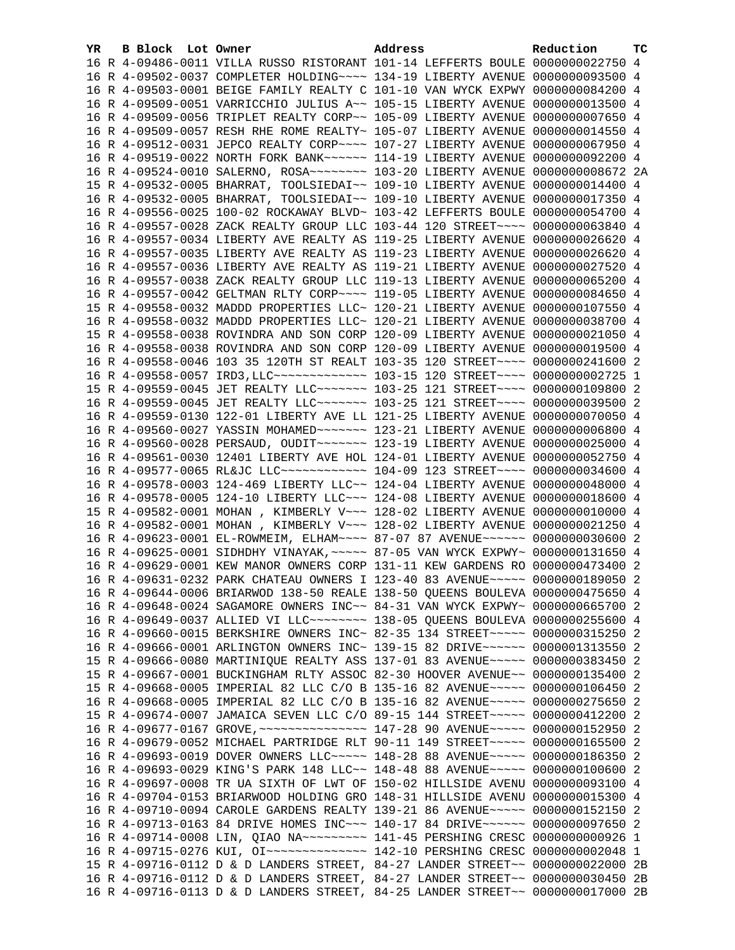| YR. | B Block Lot Owner | Address                                                                               | Reduction | тc |
|-----|-------------------|---------------------------------------------------------------------------------------|-----------|----|
|     |                   | 16 R 4-09486-0011 VILLA RUSSO RISTORANT 101-14 LEFFERTS BOULE 0000000022750 4         |           |    |
|     |                   | 16 R 4-09502-0037 COMPLETER HOLDING~~~~ 134-19 LIBERTY AVENUE 0000000093500 4         |           |    |
|     |                   | 16 R 4-09503-0001 BEIGE FAMILY REALTY C 101-10 VAN WYCK EXPWY 0000000084200 4         |           |    |
|     |                   | 16 R 4-09509-0051 VARRICCHIO JULIUS A~~ 105-15 LIBERTY AVENUE 0000000013500 4         |           |    |
|     |                   | 16 R 4-09509-0056 TRIPLET REALTY CORP~~ 105-09 LIBERTY AVENUE 0000000007650 4         |           |    |
|     |                   | 16 R 4-09509-0057 RESH RHE ROME REALTY~ 105-07 LIBERTY AVENUE 0000000014550 4         |           |    |
|     |                   | 16 R 4-09512-0031 JEPCO REALTY CORP~~~~ 107-27 LIBERTY AVENUE 0000000067950 4         |           |    |
|     |                   | 16 R 4-09519-0022 NORTH FORK BANK~~~~~~ 114-19 LIBERTY AVENUE 0000000092200 4         |           |    |
|     |                   | 16 R 4-09524-0010 SALERNO, ROSA~~~~~~~~~~~~~~ 103-20 LIBERTY AVENUE 00000000008672 2A |           |    |
|     |                   | 15 R 4-09532-0005 BHARRAT, TOOLSIEDAI~~ 109-10 LIBERTY AVENUE 0000000014400 4         |           |    |
|     |                   | 16 R 4-09532-0005 BHARRAT, TOOLSIEDAI~~ 109-10 LIBERTY AVENUE 0000000017350 4         |           |    |
|     |                   | 16 R 4-09556-0025 100-02 ROCKAWAY BLVD~ 103-42 LEFFERTS BOULE 0000000054700 4         |           |    |
|     |                   | 16 R 4-09557-0028 ZACK REALTY GROUP LLC 103-44 120 STREET~~~~ 0000000063840 4         |           |    |
|     |                   |                                                                                       |           |    |
|     |                   | 16 R 4-09557-0034 LIBERTY AVE REALTY AS 119-25 LIBERTY AVENUE 0000000026620 4         |           |    |
|     |                   | 16 R 4-09557-0035 LIBERTY AVE REALTY AS 119-23 LIBERTY AVENUE 0000000026620 4         |           |    |
|     |                   | 16 R 4-09557-0036 LIBERTY AVE REALTY AS 119-21 LIBERTY AVENUE 0000000027520 4         |           |    |
|     |                   | 16 R 4-09557-0038 ZACK REALTY GROUP LLC 119-13 LIBERTY AVENUE 0000000065200 4         |           |    |
|     |                   | 16 R 4-09557-0042 GELTMAN RLTY CORP~~~~ 119-05 LIBERTY AVENUE 0000000084650 4         |           |    |
|     |                   | 15 R 4-09558-0032 MADDD PROPERTIES LLC~ 120-21 LIBERTY AVENUE 0000000107550 4         |           |    |
|     |                   | 16 R 4-09558-0032 MADDD PROPERTIES LLC~ 120-21 LIBERTY AVENUE 0000000038700 4         |           |    |
|     |                   | 15 R 4-09558-0038 ROVINDRA AND SON CORP 120-09 LIBERTY AVENUE 0000000021050 4         |           |    |
|     |                   | 16 R 4-09558-0038 ROVINDRA AND SON CORP 120-09 LIBERTY AVENUE 0000000019500 4         |           |    |
|     |                   | 16 R 4-09558-0046 103 35 120TH ST REALT 103-35 120 STREET~~~~ 0000000241600 2         |           |    |
|     |                   | 16 R 4-09558-0057 IRD3, LLC -------------- 103-15 120 STREET ---- 0000000002725 1     |           |    |
|     |                   | 15 R 4-09559-0045 JET REALTY LLC ------- 103-25 121 STREET --- 0000000109800 2        |           |    |
|     |                   | 16 R 4-09559-0045 JET REALTY LLC ------ 103-25 121 STREET ---- 0000000039500 2        |           |    |
|     |                   | 16 R 4-09559-0130 122-01 LIBERTY AVE LL 121-25 LIBERTY AVENUE 0000000070050 4         |           |    |
|     |                   | 16 R 4-09560-0027 YASSIN MOHAMED~~~~~~~ 123-21 LIBERTY AVENUE 0000000006800 4         |           |    |
|     |                   | 16 R 4-09560-0028 PERSAUD, OUDIT~~~~~~~ 123-19 LIBERTY AVENUE 0000000025000 4         |           |    |
|     |                   | 16 R 4-09561-0030 12401 LIBERTY AVE HOL 124-01 LIBERTY AVENUE 0000000052750 4         |           |    |
|     |                   | 16 R 4-09577-0065 RL&JC LLC ------------ 104-09 123 STREET ---- 0000000034600 4       |           |    |
|     |                   | 16 R 4-09578-0003 124-469 LIBERTY LLC~~ 124-04 LIBERTY AVENUE 0000000048000 4         |           |    |
|     |                   | 16 R 4-09578-0005 124-10 LIBERTY LLC~~~ 124-08 LIBERTY AVENUE 0000000018600 4         |           |    |
|     |                   | 15 R 4-09582-0001 MOHAN, KIMBERLY V~~~ 128-02 LIBERTY AVENUE 0000000010000 4          |           |    |
|     |                   | 16 R 4-09582-0001 MOHAN, KIMBERLY V~~~ 128-02 LIBERTY AVENUE 0000000021250 4          |           |    |
|     |                   | 16 R 4-09623-0001 EL-ROWMEIM, ELHAM~~~~ 87-07 87 AVENUE~~~~~~ 0000000030600 2         |           |    |
|     |                   | 16 R 4-09625-0001 SIDHDHY VINAYAK, ~~~~~ 87-05 VAN WYCK EXPWY~ 0000000131650 4        |           |    |
|     |                   | 16 R 4-09629-0001 KEW MANOR OWNERS CORP 131-11 KEW GARDENS RO 0000000473400 2         |           |    |
|     |                   | 16 R 4-09631-0232 PARK CHATEAU OWNERS I 123-40 83 AVENUE~~~~~ 0000000189050 2         |           |    |
|     |                   | 16 R 4-09644-0006 BRIARWOD 138-50 REALE 138-50 QUEENS BOULEVA 0000000475650 4         |           |    |
|     |                   | 16 R 4-09648-0024 SAGAMORE OWNERS INC~~ 84-31 VAN WYCK EXPWY~ 0000000665700 2         |           |    |
|     |                   | 16 R 4-09649-0037 ALLIED VI LLC~~~~~~~~ 138-05 QUEENS BOULEVA 0000000255600 4         |           |    |
|     |                   | 16 R 4-09660-0015 BERKSHIRE OWNERS INC~ 82-35 134 STREET~~~~~ 0000000315250 2         |           |    |
|     |                   | 16 R 4-09666-0001 ARLINGTON OWNERS INC~ 139-15 82 DRIVE~~~~~~ 0000001313550 2         |           |    |
|     |                   | 15 R 4-09666-0080 MARTINIQUE REALTY ASS 137-01 83 AVENUE~~~~~ 0000000383450 2         |           |    |
|     |                   | 15 R 4-09667-0001 BUCKINGHAM RLTY ASSOC 82-30 HOOVER AVENUE~~ 0000000135400 2         |           |    |
|     |                   | 15 R 4-09668-0005 IMPERIAL 82 LLC C/O B 135-16 82 AVENUE~~~~~ 0000000106450 2         |           |    |
|     |                   | 16 R 4-09668-0005 IMPERIAL 82 LLC C/O B 135-16 82 AVENUE~~~~~ 0000000275650 2         |           |    |
|     |                   | 15 R 4-09674-0007 JAMAICA SEVEN LLC C/O 89-15 144 STREET~~~~~ 0000000412200 2         |           |    |
|     |                   | 16 R 4-09677-0167 GROVE, ~~~~~~~~~~~~~~~~ 147-28 90 AVENUE~~~~~ 0000000152950 2       |           |    |
|     |                   | 16 R 4-09679-0052 MICHAEL PARTRIDGE RLT 90-11 149 STREET~~~~~ 0000000165500 2         |           |    |
|     |                   |                                                                                       |           |    |
|     |                   | 16 R 4-09693-0019 DOVER OWNERS LLC~~~~~ 148-28 88 AVENUE~~~~~ 0000000186350 2         |           |    |
|     |                   | 16 R 4-09693-0029 KING'S PARK 148 LLC~~ 148-48 88 AVENUE~~~~~ 0000000100600 2         |           |    |
|     |                   | 16 R 4-09697-0008 TR UA SIXTH OF LWT OF 150-02 HILLSIDE AVENU 0000000093100 4         |           |    |
|     |                   | 16 R 4-09704-0153 BRIARWOOD HOLDING GRO 148-31 HILLSIDE AVENU 0000000015300 4         |           |    |
|     |                   | 16 R 4-09710-0094 CAROLE GARDENS REALTY 139-21 86 AVENUE~~~~~ 0000000152150 2         |           |    |
|     |                   | 16 R 4-09713-0163 84 DRIVE HOMES INC~~~ 140-17 84 DRIVE~~~~~~ 0000000097650 2         |           |    |
|     |                   | 16 R 4-09714-0008 LIN, QIAO NA~~~~~~~~~~ 141-45 PERSHING CRESC 0000000000926 1        |           |    |
|     |                   | 16 R 4-09715-0276 KUI, OI~~~~~~~~~~~~~~~~~~~ 142-10 PERSHING CRESC 0000000002048 1    |           |    |
|     |                   | 15 R 4-09716-0112 D & D LANDERS STREET, 84-27 LANDER STREET~~ 0000000022000 2B        |           |    |
|     |                   | 16 R 4-09716-0112 D & D LANDERS STREET, 84-27 LANDER STREET~~ 0000000030450 2B        |           |    |
|     |                   | 16 R 4-09716-0113 D & D LANDERS STREET, 84-25 LANDER STREET~~ 0000000017000 2B        |           |    |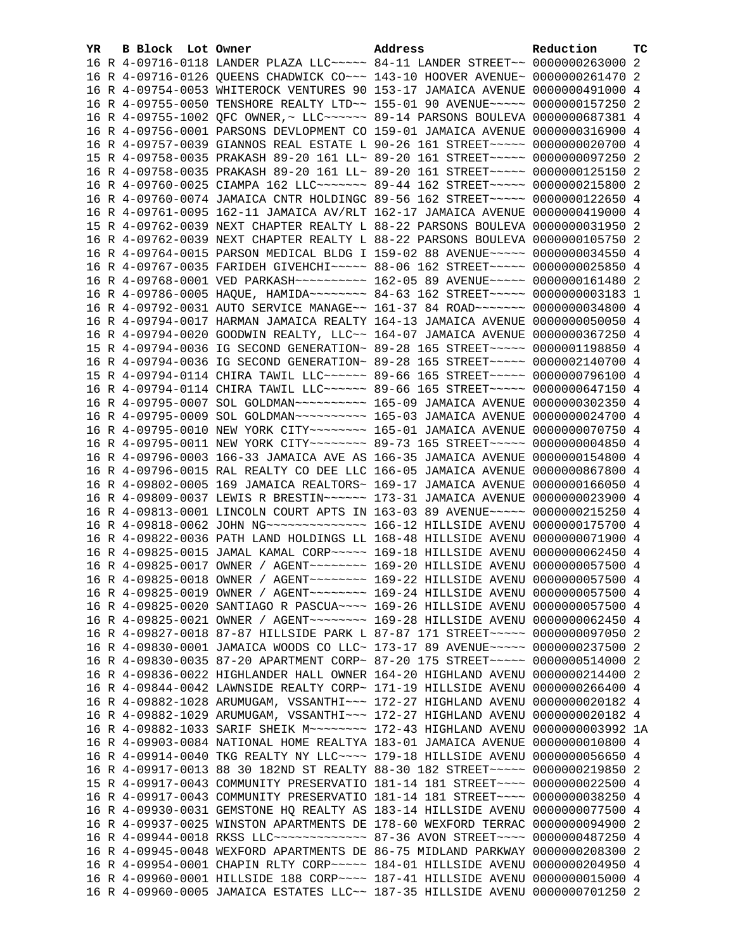| YR. | B Block Lot Owner |                                                                                                                                                                | Address | Reduction     | тc |
|-----|-------------------|----------------------------------------------------------------------------------------------------------------------------------------------------------------|---------|---------------|----|
|     |                   | 16 R 4-09716-0118 LANDER PLAZA LLC~~~~~ 84-11 LANDER STREET~~ 0000000263000 2                                                                                  |         |               |    |
|     |                   | 16 R 4-09716-0126 QUEENS CHADWICK CO~~~ 143-10 HOOVER AVENUE~ 0000000261470                                                                                    |         |               | -2 |
|     |                   | 16 R 4-09754-0053 WHITEROCK VENTURES 90 153-17 JAMAICA AVENUE 0000000491000 4                                                                                  |         |               |    |
|     |                   | 16 R 4-09755-0050 TENSHORE REALTY LTD~~ 155-01 90 AVENUE~~~~~ 0000000157250 2                                                                                  |         |               |    |
|     |                   | 16 R 4-09755-1002 QFC OWNER, ~ LLC ~~~~~~ 89-14 PARSONS BOULEVA 0000000687381 4                                                                                |         |               |    |
|     |                   | 16 R 4-09756-0001 PARSONS DEVLOPMENT CO 159-01 JAMAICA AVENUE 0000000316900 4                                                                                  |         |               |    |
|     |                   | 16 R 4-09757-0039 GIANNOS REAL ESTATE L 90-26 161 STREET~~~~~ 0000000020700 4                                                                                  |         |               |    |
|     |                   | 15 R 4-09758-0035 PRAKASH 89-20 161 LL~ 89-20 161 STREET~~~~~ 0000000097250 2                                                                                  |         |               |    |
|     |                   | 16 R 4-09758-0035 PRAKASH 89-20 161 LL~ 89-20 161 STREET~~~~~ 0000000125150 2                                                                                  |         |               |    |
|     |                   | 16 R 4-09760-0025 CIAMPA 162 LLC ------- 89-44 162 STREET ---- 0000000215800 2                                                                                 |         |               |    |
|     |                   | 16 R 4-09760-0074 JAMAICA CNTR HOLDINGC 89-56 162 STREET~~~~~ 0000000122650 4                                                                                  |         |               |    |
|     |                   | 16 R 4-09761-0095 162-11 JAMAICA AV/RLT 162-17 JAMAICA AVENUE 0000000419000 4                                                                                  |         |               |    |
|     |                   | 15 R 4-09762-0039 NEXT CHAPTER REALTY L 88-22 PARSONS BOULEVA 0000000031950 2                                                                                  |         |               |    |
|     |                   | 16 R 4-09762-0039 NEXT CHAPTER REALTY L 88-22 PARSONS BOULEVA 0000000105750 2                                                                                  |         |               |    |
|     |                   | 16 R 4-09764-0015 PARSON MEDICAL BLDG I 159-02 88 AVENUE~~~~~ 0000000034550 4                                                                                  |         |               |    |
|     |                   | 16 R 4-09767-0035 FARIDEH GIVEHCHI~~~~~ 88-06 162 STREET~~~~~ 0000000025850 4                                                                                  |         |               |    |
|     |                   | 16 R 4-09768-0001 VED PARKASH~~~~~~~~~~ 162-05 89 AVENUE~~~~~ 0000000161480 2                                                                                  |         |               |    |
|     |                   | 16 R 4-09786-0005 HAQUE, HAMIDA~~~~~~~~ 84-63 162 STREET~~~~~ 0000000003183 1                                                                                  |         |               |    |
|     |                   | 16 R 4-09792-0031 AUTO SERVICE MANAGE~~ 161-37 84 ROAD~~~~~~~ 0000000034800 4                                                                                  |         |               |    |
|     |                   | 16 R 4-09794-0017 HARMAN JAMAICA REALTY 164-13 JAMAICA AVENUE 0000000050050 4                                                                                  |         |               |    |
|     |                   | 16 R 4-09794-0020 GOODWIN REALTY, LLC~~ 164-07 JAMAICA AVENUE 0000000367250 4                                                                                  |         |               |    |
|     |                   | 15 R 4-09794-0036 IG SECOND GENERATION~ 89-28 165 STREET~~~~~ 0000001198850 4                                                                                  |         |               |    |
|     |                   | 16 R 4-09794-0036 IG SECOND GENERATION~ 89-28 165 STREET~~~~~ 0000002140700 4                                                                                  |         |               |    |
|     |                   | 15 R 4-09794-0114 CHIRA TAWIL LLC ----- 89-66 165 STREET ---- 0000000796100 4                                                                                  |         |               |    |
|     |                   | 16 R 4-09794-0114 CHIRA TAWIL LLC ----- 89-66 165 STREET ---- 0000000647150 4                                                                                  |         |               |    |
|     |                   | 16 R 4-09795-0007 SOL GOLDMAN~~~~~~~~~~~~~~~ 165-09 JAMAICA AVENUE 0000000302350 4                                                                             |         |               |    |
|     |                   |                                                                                                                                                                |         |               |    |
|     |                   |                                                                                                                                                                |         |               |    |
|     |                   | 16 R 4-09795-0011 NEW YORK CITY~~~~~~~~ 89-73 165 STREET~~~~~ 0000000004850 4                                                                                  |         |               |    |
|     |                   | 16 R 4-09796-0003 166-33 JAMAICA AVE AS 166-35 JAMAICA AVENUE 0000000154800 4                                                                                  |         |               |    |
|     |                   | 16 R 4-09796-0015 RAL REALTY CO DEE LLC 166-05 JAMAICA AVENUE 0000000867800 4                                                                                  |         |               |    |
|     |                   | 16 R 4-09802-0005 169 JAMAICA REALTORS~ 169-17 JAMAICA AVENUE 0000000166050 4                                                                                  |         |               |    |
|     |                   | 16 R 4-09809-0037 LEWIS R BRESTIN~~~~~~ 173-31 JAMAICA AVENUE 0000000023900 4                                                                                  |         |               |    |
|     |                   | 16 R 4-09813-0001 LINCOLN COURT APTS IN 163-03 89 AVENUE~~~~~ 0000000215250 4                                                                                  |         |               |    |
|     |                   |                                                                                                                                                                |         |               |    |
|     |                   | 16 R 4-09822-0036 PATH LAND HOLDINGS LL 168-48 HILLSIDE AVENU 0000000071900 4                                                                                  |         |               |    |
|     |                   | 16 R 4-09825-0015 JAMAL KAMAL CORP~~~~~ 169-18 HILLSIDE AVENU 0000000062450 4                                                                                  |         |               |    |
|     |                   | 16 R 4-09825-0017 OWNER / AGENT~~~~~~~~ 169-20 HILLSIDE AVENU 0000000057500 4                                                                                  |         |               |    |
|     |                   |                                                                                                                                                                |         |               |    |
|     |                   | 16 R 4-09825-0019 OWNER / AGENT~~~~~~~~ 169-24 HILLSIDE AVENU 0000000057500 4<br>16 R 4-09825-0020 SANTIAGO R PASCUA~~~~ 169-26 HILLSIDE AVENU 0000000057500 4 |         |               |    |
|     |                   | 16 R 4-09825-0021 OWNER / AGENT ~~~~~~~~ 169-28 HILLSIDE AVENU 0000000062450 4                                                                                 |         |               |    |
|     |                   | 16 R 4-09827-0018 87-87 HILLSIDE PARK L 87-87 171 STREET~~~~~ 0000000097050                                                                                    |         |               | -2 |
|     |                   | 16 R 4-09830-0001 JAMAICA WOODS CO LLC~ 173-17 89 AVENUE~~~~~ 0000000237500                                                                                    |         |               | -2 |
|     |                   | 16 R 4-09830-0035 87-20 APARTMENT CORP~ 87-20 175 STREET~~~~~ 0000000514000 2                                                                                  |         |               |    |
|     |                   | 16 R 4-09836-0022 HIGHLANDER HALL OWNER 164-20 HIGHLAND AVENU 0000000214400                                                                                    |         |               | -2 |
|     |                   | 16 R 4-09844-0042 LAWNSIDE REALTY CORP~ 171-19 HILLSIDE AVENU 0000000266400                                                                                    |         |               | 4  |
|     |                   | 16 R 4-09882-1028 ARUMUGAM, VSSANTHI~~~ 172-27 HIGHLAND AVENU 0000000020182                                                                                    |         |               | 4  |
|     |                   | 16 R 4-09882-1029 ARUMUGAM, VSSANTHI~~~ 172-27 HIGHLAND AVENU 0000000020182 4                                                                                  |         |               |    |
|     |                   | 16 R 4-09882-1033 SARIF SHEIK M~~~~~~~~ 172-43 HIGHLAND AVENU 0000000003992 1A                                                                                 |         |               |    |
|     |                   | 16 R 4-09903-0084 NATIONAL HOME REALTYA 183-01 JAMAICA AVENUE 0000000010800                                                                                    |         |               | 4  |
|     |                   | 16 R 4-09914-0040 TKG REALTY NY LLC ~~~~ 179-18 HILLSIDE AVENU 0000000056650                                                                                   |         |               | 4  |
|     |                   | 16 R 4-09917-0013 88 30 182ND ST REALTY 88-30 182 STREET~~~~~ 0000000219850                                                                                    |         |               | 2  |
|     |                   | 15 R 4-09917-0043 COMMUNITY PRESERVATIO 181-14 181 STREET~~~~ 0000000022500 4                                                                                  |         |               |    |
|     |                   | 16 R 4-09917-0043 COMMUNITY PRESERVATIO 181-14 181 STREET~~~~ 0000000038250                                                                                    |         |               | 4  |
|     |                   | 16 R 4-09930-0031 GEMSTONE HQ REALTY AS 183-14 HILLSIDE AVENU 0000000077500 4                                                                                  |         |               |    |
|     |                   | 16 R 4-09937-0025 WINSTON APARTMENTS DE 178-60 WEXFORD TERRAC                                                                                                  |         | 0000000094900 | -2 |
|     |                   | 16 R 4-09944-0018 RKSS LLC ------------- 87-36 AVON STREET ---- 0000000487250 4                                                                                |         |               |    |
|     |                   | 16 R 4-09945-0048 WEXFORD APARTMENTS DE 86-75 MIDLAND PARKWAY 0000000208300 2                                                                                  |         |               |    |
|     |                   | 16 R 4-09954-0001 CHAPIN RLTY CORP~~~~~ 184-01 HILLSIDE AVENU 0000000204950 4                                                                                  |         |               |    |
|     |                   | 16 R 4-09960-0001 HILLSIDE 188 CORP~~~~ 187-41 HILLSIDE AVENU 0000000015000 4                                                                                  |         |               |    |
|     |                   | 16 R 4-09960-0005 JAMAICA ESTATES LLC~~ 187-35 HILLSIDE AVENU 0000000701250 2                                                                                  |         |               |    |
|     |                   |                                                                                                                                                                |         |               |    |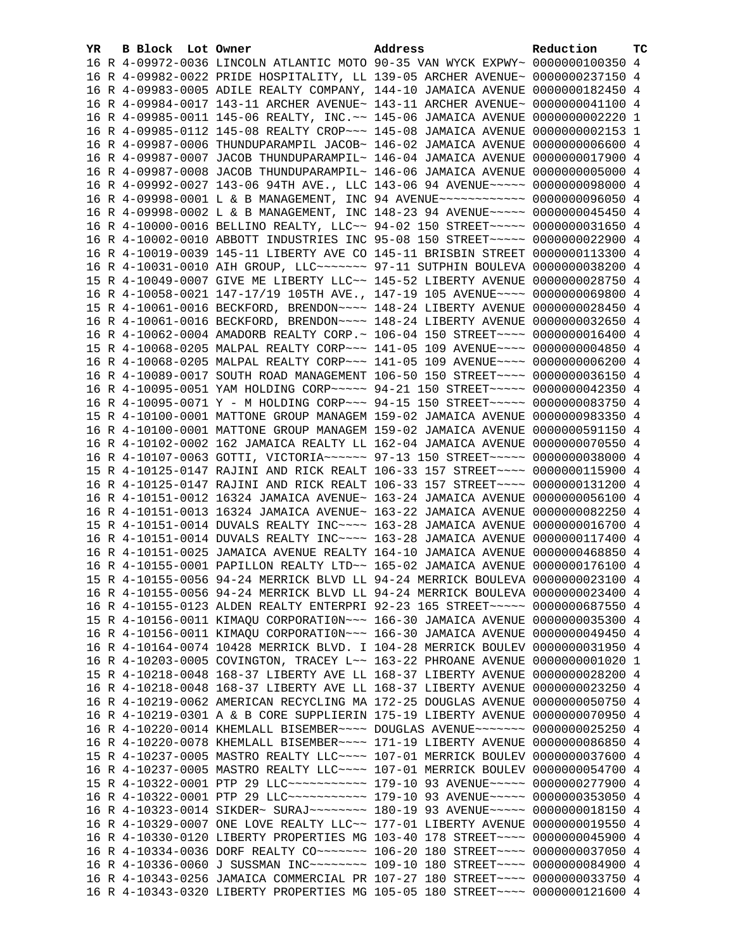| YR. | B Block Lot Owner |  | Address                                                                                                                                                        | Reduction | тc |
|-----|-------------------|--|----------------------------------------------------------------------------------------------------------------------------------------------------------------|-----------|----|
|     |                   |  | 16 R 4-09972-0036 LINCOLN ATLANTIC MOTO 90-35 VAN WYCK EXPWY~ 0000000100350 4                                                                                  |           |    |
|     |                   |  | 16 R 4-09982-0022 PRIDE HOSPITALITY, LL 139-05 ARCHER AVENUE~ 0000000237150 4                                                                                  |           |    |
|     |                   |  | 16 R 4-09983-0005 ADILE REALTY COMPANY, 144-10 JAMAICA AVENUE 0000000182450 4                                                                                  |           |    |
|     |                   |  | 16 R 4-09984-0017 143-11 ARCHER AVENUE~ 143-11 ARCHER AVENUE~ 0000000041100 4                                                                                  |           |    |
|     |                   |  | 16 R 4-09985-0011 145-06 REALTY, INC.~~ 145-06 JAMAICA AVENUE 0000000002220 1                                                                                  |           |    |
|     |                   |  | 16 R 4-09985-0112 145-08 REALTY CROP~~~ 145-08 JAMAICA AVENUE 0000000002153 1                                                                                  |           |    |
|     |                   |  | 16 R 4-09987-0006 THUNDUPARAMPIL JACOB~ 146-02 JAMAICA AVENUE 0000000006600 4                                                                                  |           |    |
|     |                   |  | 16 R 4-09987-0007 JACOB THUNDUPARAMPIL~ 146-04 JAMAICA AVENUE 0000000017900 4                                                                                  |           |    |
|     |                   |  | 16 R 4-09987-0008 JACOB THUNDUPARAMPIL~ 146-06 JAMAICA AVENUE 0000000005000 4                                                                                  |           |    |
|     |                   |  | 16 R 4-09992-0027 143-06 94TH AVE., LLC 143-06 94 AVENUE~~~~~ 0000000098000 4                                                                                  |           |    |
|     |                   |  | 16 R 4-09998-0001 L & B MANAGEMENT, INC 94 AVENUE~~~~~~~~~~~~ 0000000096050 4                                                                                  |           |    |
|     |                   |  | 16 R 4-09998-0002 L & B MANAGEMENT, INC 148-23 94 AVENUE~~~~~ 0000000045450 4                                                                                  |           |    |
|     |                   |  | 16 R 4-10000-0016 BELLINO REALTY, LLC~~ 94-02 150 STREET~~~~~ 0000000031650 4                                                                                  |           |    |
|     |                   |  | 16 R 4-10002-0010 ABBOTT INDUSTRIES INC 95-08 150 STREET~~~~~ 0000000022900 4                                                                                  |           |    |
|     |                   |  | 16 R 4-10019-0039 145-11 LIBERTY AVE CO 145-11 BRISBIN STREET 0000000113300 4                                                                                  |           |    |
|     |                   |  | 16 R 4-10031-0010 AIH GROUP, LLC ------ 97-11 SUTPHIN BOULEVA 0000000038200 4                                                                                  |           |    |
|     |                   |  | 15 R 4-10049-0007 GIVE ME LIBERTY LLC~~ 145-52 LIBERTY AVENUE 0000000028750 4                                                                                  |           |    |
|     |                   |  | 16 R 4-10058-0021 147-17/19 105TH AVE., 147-19 105 AVENUE~~~~ 0000000069800 4                                                                                  |           |    |
|     |                   |  | 15 R 4-10061-0016 BECKFORD, BRENDON~~~~ 148-24 LIBERTY AVENUE 0000000028450 4                                                                                  |           |    |
|     |                   |  | 16 R 4-10061-0016 BECKFORD, BRENDON~~~~ 148-24 LIBERTY AVENUE 0000000032650 4                                                                                  |           |    |
|     |                   |  | 16 R 4-10062-0004 AMADORB REALTY CORP. ~ 106-04 150 STREET~~~~ 0000000016400 4                                                                                 |           |    |
|     |                   |  | 15 R 4-10068-0205 MALPAL REALTY CORP~~~ 141-05 109 AVENUE~~~~ 0000000004850 4                                                                                  |           |    |
|     |                   |  | 16 R 4-10068-0205 MALPAL REALTY CORP~~~ 141-05 109 AVENUE~~~~ 0000000006200 4                                                                                  |           |    |
|     |                   |  | 16 R 4-10089-0017 SOUTH ROAD MANAGEMENT 106-50 150 STREET~~~~ 0000000036150 4                                                                                  |           |    |
|     |                   |  | 16 R 4-10095-0051 YAM HOLDING CORP~~~~~ 94-21 150 STREET~~~~~ 0000000042350 4                                                                                  |           |    |
|     |                   |  | 16 R 4-10095-0071 Y - M HOLDING CORP~~~ 94-15 150 STREET~~~~~ 0000000083750 4                                                                                  |           |    |
|     |                   |  | 15 R 4-10100-0001 MATTONE GROUP MANAGEM 159-02 JAMAICA AVENUE 0000000983350 4                                                                                  |           |    |
|     |                   |  | 16 R 4-10100-0001 MATTONE GROUP MANAGEM 159-02 JAMAICA AVENUE 0000000591150 4                                                                                  |           |    |
|     |                   |  | 16 R 4-10102-0002 162 JAMAICA REALTY LL 162-04 JAMAICA AVENUE 0000000070550 4                                                                                  |           |    |
|     |                   |  | 16 R 4-10107-0063 GOTTI, VICTORIA~~~~~~ 97-13 150 STREET~~~~~ 0000000038000 4                                                                                  |           |    |
|     |                   |  | 15 R 4-10125-0147 RAJINI AND RICK REALT 106-33 157 STREET~~~~ 0000000115900 4                                                                                  |           |    |
|     |                   |  | 16 R 4-10125-0147 RAJINI AND RICK REALT 106-33 157 STREET~~~~ 0000000131200 4                                                                                  |           |    |
|     |                   |  | 16 R 4-10151-0012 16324 JAMAICA AVENUE~ 163-24 JAMAICA AVENUE 0000000056100 4                                                                                  |           |    |
|     |                   |  | 16 R 4-10151-0013 16324 JAMAICA AVENUE~ 163-22 JAMAICA AVENUE 0000000082250 4                                                                                  |           |    |
|     |                   |  | 15 R 4-10151-0014 DUVALS REALTY INC~~~~ 163-28 JAMAICA AVENUE 0000000016700 4                                                                                  |           |    |
|     |                   |  | 16 R 4-10151-0014 DUVALS REALTY INC~~~~ 163-28 JAMAICA AVENUE 0000000117400 4                                                                                  |           |    |
|     |                   |  | 16 R 4-10151-0025 JAMAICA AVENUE REALTY 164-10 JAMAICA AVENUE 0000000468850 4                                                                                  |           |    |
|     |                   |  | 16 R 4-10155-0001 PAPILLON REALTY LTD~~ 165-02 JAMAICA AVENUE 0000000176100 4                                                                                  |           |    |
|     |                   |  | 15 R 4-10155-0056 94-24 MERRICK BLVD LL 94-24 MERRICK BOULEVA 0000000023100 4                                                                                  |           |    |
|     |                   |  | 16 R 4-10155-0056 94-24 MERRICK BLVD LL 94-24 MERRICK BOULEVA 0000000023400 4                                                                                  |           |    |
|     |                   |  | 16 R 4-10155-0123 ALDEN REALTY ENTERPRI 92-23 165 STREET~~~~~ 0000000687550 4                                                                                  |           |    |
|     |                   |  | 15 R 4-10156-0011 KIMAQU CORPORATION~~~ 166-30 JAMAICA AVENUE 0000000035300 4                                                                                  |           |    |
|     |                   |  | 16 R 4-10156-0011 KIMAQU CORPORATION~~~ 166-30 JAMAICA AVENUE 0000000049450 4                                                                                  |           |    |
|     |                   |  | 16 R 4-10164-0074 10428 MERRICK BLVD. I 104-28 MERRICK BOULEV 0000000031950 4<br>16 R 4-10203-0005 COVINGTON, TRACEY L~~ 163-22 PHROANE AVENUE 0000000001020 1 |           |    |
|     |                   |  | 15 R 4-10218-0048 168-37 LIBERTY AVE LL 168-37 LIBERTY AVENUE 0000000028200 4                                                                                  |           |    |
|     |                   |  | 16 R 4-10218-0048 168-37 LIBERTY AVE LL 168-37 LIBERTY AVENUE 0000000023250 4                                                                                  |           |    |
|     |                   |  | 16 R 4-10219-0062 AMERICAN RECYCLING MA 172-25 DOUGLAS AVENUE 0000000050750 4                                                                                  |           |    |
|     |                   |  | 16 R 4-10219-0301 A & B CORE SUPPLIERIN 175-19 LIBERTY AVENUE 0000000070950 4                                                                                  |           |    |
|     |                   |  | 16 R 4-10220-0014 KHEMLALL BISEMBER~~~~ DOUGLAS AVENUE~~~~~~~ 0000000025250 4                                                                                  |           |    |
|     |                   |  | 16 R 4-10220-0078 KHEMLALL BISEMBER~~~~ 171-19 LIBERTY AVENUE 0000000086850 4                                                                                  |           |    |
|     |                   |  | 15 R 4-10237-0005 MASTRO REALTY LLC ~~~~ 107-01 MERRICK BOULEV 0000000037600 4                                                                                 |           |    |
|     |                   |  | 16 R 4-10237-0005 MASTRO REALTY LLC --- 107-01 MERRICK BOULEV 0000000054700 4                                                                                  |           |    |
|     |                   |  | 15 R 4-10322-0001 PTP 29 LLC ----------- 179-10 93 AVENUE ---- 0000000277900 4                                                                                 |           |    |
|     |                   |  | 16 R 4-10322-0001 PTP 29 LLC ----------- 179-10 93 AVENUE ---- 0000000353050 4                                                                                 |           |    |
|     |                   |  | 16 R 4-10323-0014 SIKDER~ SURAJ~~~~~~~~~ 180-19 93 AVENUE~~~~~ 0000000018150 4                                                                                 |           |    |
|     |                   |  | 16 R 4-10329-0007 ONE LOVE REALTY LLC~~ 177-01 LIBERTY AVENUE 0000000019550 4                                                                                  |           |    |
|     |                   |  | 16 R 4-10330-0120 LIBERTY PROPERTIES MG 103-40 178 STREET~~~~ 0000000045900 4                                                                                  |           |    |
|     |                   |  | 16 R 4-10334-0036 DORF REALTY CO~~~~~~~ 106-20 180 STREET~~~~ 0000000037050 4                                                                                  |           |    |
|     |                   |  | 16 R 4-10336-0060 J SUSSMAN INC~~~~~~~~ 109-10 180 STREET~~~~ 0000000084900 4                                                                                  |           |    |
|     |                   |  | 16 R 4-10343-0256 JAMAICA COMMERCIAL PR 107-27 180 STREET~~~~ 0000000033750 4                                                                                  |           |    |
|     |                   |  | 16 R 4-10343-0320 LIBERTY PROPERTIES MG 105-05 180 STREET~~~~ 0000000121600 4                                                                                  |           |    |
|     |                   |  |                                                                                                                                                                |           |    |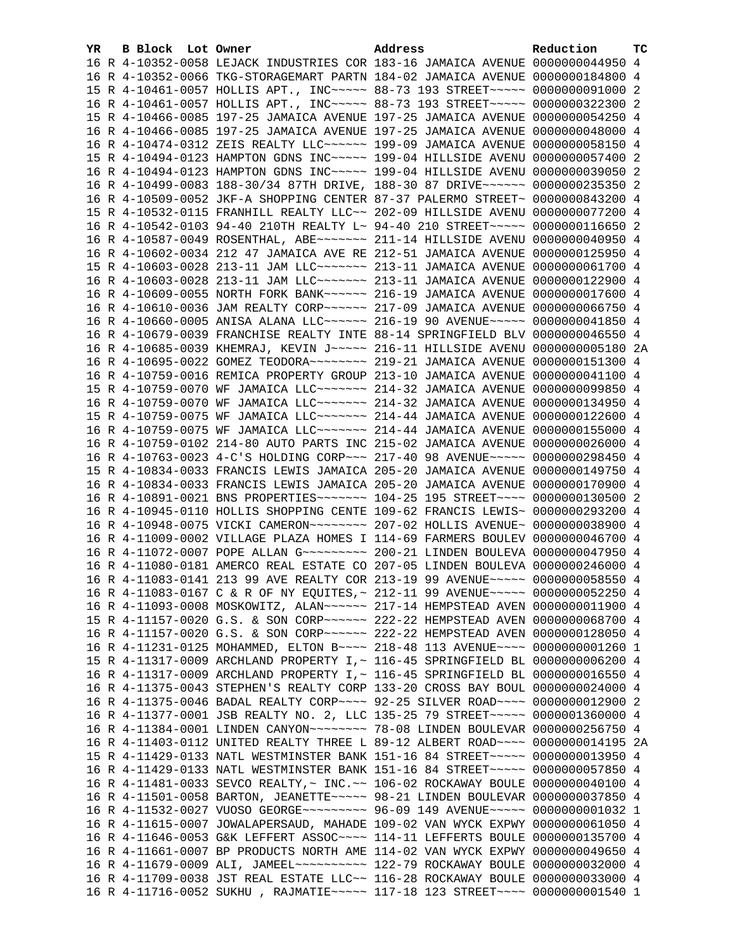| YR. | B Block Lot Owner |                                                                                    | Address | Reduction | тc |
|-----|-------------------|------------------------------------------------------------------------------------|---------|-----------|----|
|     |                   | 16 R 4-10352-0058 LEJACK INDUSTRIES COR 183-16 JAMAICA AVENUE 0000000044950 4      |         |           |    |
|     |                   | 16 R 4-10352-0066 TKG-STORAGEMART PARTN 184-02 JAMAICA AVENUE 0000000184800 4      |         |           |    |
|     |                   | 15 R 4-10461-0057 HOLLIS APT., INC ~~~~~ 88-73 193 STREET ~~~~~ 0000000091000 2    |         |           |    |
|     |                   | 16 R 4-10461-0057 HOLLIS APT., INC ---- 88-73 193 STREET ---- 0000000322300 2      |         |           |    |
|     |                   | 15 R 4-10466-0085 197-25 JAMAICA AVENUE 197-25 JAMAICA AVENUE 0000000054250 4      |         |           |    |
|     |                   | 16 R 4-10466-0085 197-25 JAMAICA AVENUE 197-25 JAMAICA AVENUE 0000000048000 4      |         |           |    |
|     |                   | 16 R 4-10474-0312 ZEIS REALTY LLC~~~~~~ 199-09 JAMAICA AVENUE 0000000058150 4      |         |           |    |
|     |                   | 15 R 4-10494-0123 HAMPTON GDNS INC~~~~~ 199-04 HILLSIDE AVENU 0000000057400 2      |         |           |    |
|     |                   | 16 R 4-10494-0123 HAMPTON GDNS INC~~~~~ 199-04 HILLSIDE AVENU 0000000039050 2      |         |           |    |
|     |                   | 16 R 4-10499-0083 188-30/34 87TH DRIVE, 188-30 87 DRIVE~~~~~~ 0000000235350 2      |         |           |    |
|     |                   | 16 R 4-10509-0052 JKF-A SHOPPING CENTER 87-37 PALERMO STREET~ 0000000843200 4      |         |           |    |
|     |                   | 15 R 4-10532-0115 FRANHILL REALTY LLC~~ 202-09 HILLSIDE AVENU 0000000077200 4      |         |           |    |
|     |                   | 16 R 4-10542-0103 94-40 210TH REALTY L~ 94-40 210 STREET~~~~~ 0000000116650 2      |         |           |    |
|     |                   | 16 R 4-10587-0049 ROSENTHAL, ABE~~~~~~~ 211-14 HILLSIDE AVENU 0000000040950 4      |         |           |    |
|     |                   | 16 R 4-10602-0034 212 47 JAMAICA AVE RE 212-51 JAMAICA AVENUE 0000000125950 4      |         |           |    |
|     |                   | 15 R 4-10603-0028 213-11 JAM LLC ------ 213-11 JAMAICA AVENUE 0000000061700 4      |         |           |    |
|     |                   | 16 R 4-10603-0028 213-11 JAM LLC ------ 213-11 JAMAICA AVENUE 0000000122900 4      |         |           |    |
|     |                   | 16 R 4-10609-0055 NORTH FORK BANK~~~~~~ 216-19 JAMAICA AVENUE 0000000017600 4      |         |           |    |
|     |                   | 16 R 4-10610-0036 JAM REALTY CORP~~~~~~ 217-09 JAMAICA AVENUE 0000000066750 4      |         |           |    |
|     |                   | 16 R 4-10660-0005 ANISA ALANA LLC~~~~~~ 216-19 90 AVENUE~~~~~ 0000000041850 4      |         |           |    |
|     |                   | 16 R 4-10679-0039 FRANCHISE REALTY INTE 88-14 SPRINGFIELD BLV 0000000046550 4      |         |           |    |
|     |                   | 16 R 4-10685-0039 KHEMRAJ, KEVIN J~~~~~ 216-11 HILLSIDE AVENU 0000000005180 2A     |         |           |    |
|     |                   | 16 R 4-10695-0022 GOMEZ TEODORA~~~~~~~~ 219-21 JAMAICA AVENUE 0000000151300 4      |         |           |    |
|     |                   | 16 R 4-10759-0016 REMICA PROPERTY GROUP 213-10 JAMAICA AVENUE 0000000041100 4      |         |           |    |
|     |                   | 15 R 4-10759-0070 WF JAMAICA LLC ------ 214-32 JAMAICA AVENUE 0000000099850 4      |         |           |    |
|     |                   | 16 R 4-10759-0070 WF JAMAICA LLC ------ 214-32 JAMAICA AVENUE 0000000134950 4      |         |           |    |
|     |                   | 15 R 4-10759-0075 WF JAMAICA LLC~~~~~~~ 214-44 JAMAICA AVENUE 0000000122600 4      |         |           |    |
|     |                   | 16 R 4-10759-0075 WF JAMAICA LLC ------ 214-44 JAMAICA AVENUE 0000000155000 4      |         |           |    |
|     |                   | 16 R 4-10759-0102 214-80 AUTO PARTS INC 215-02 JAMAICA AVENUE 0000000026000 4      |         |           |    |
|     |                   | 16 R 4-10763-0023 4-C'S HOLDING CORP~~~ 217-40 98 AVENUE~~~~~ 0000000298450 4      |         |           |    |
|     |                   | 15 R 4-10834-0033 FRANCIS LEWIS JAMAICA 205-20 JAMAICA AVENUE 0000000149750 4      |         |           |    |
|     |                   | 16 R 4-10834-0033 FRANCIS LEWIS JAMAICA 205-20 JAMAICA AVENUE 0000000170900 4      |         |           |    |
|     |                   | 16 R 4-10891-0021 BNS PROPERTIES ------- 104-25 195 STREET --- 0000000130500 2     |         |           |    |
|     |                   | 16 R 4-10945-0110 HOLLIS SHOPPING CENTE 109-62 FRANCIS LEWIS~ 0000000293200 4      |         |           |    |
|     |                   | 16 R 4-10948-0075 VICKI CAMERON~~~~~~~~ 207-02 HOLLIS AVENUE~ 0000000038900 4      |         |           |    |
|     |                   | 16 R 4-11009-0002 VILLAGE PLAZA HOMES I 114-69 FARMERS BOULEV 0000000046700 4      |         |           |    |
|     |                   | 16 R 4-11072-0007 POPE ALLAN G~~~~~~~~~~ 200-21 LINDEN BOULEVA 0000000047950 4     |         |           |    |
|     |                   | 16 R 4-11080-0181 AMERCO REAL ESTATE CO 207-05 LINDEN BOULEVA 0000000246000 4      |         |           |    |
|     |                   | 16 R 4-11083-0141 213 99 AVE REALTY COR 213-19 99 AVENUE~~~~~ 0000000058550 4      |         |           |    |
|     |                   | 16 R 4-11083-0167 C & R OF NY EQUITES, ~ 212-11 99 AVENUE~~~~~ 0000000052250 4     |         |           |    |
|     |                   | 16 R 4-11093-0008 MOSKOWITZ, ALAN~~~~~~ 217-14 HEMPSTEAD AVEN 0000000011900 4      |         |           |    |
|     |                   | 15 R 4-11157-0020 G.S. & SON CORP~~~~~~ 222-22 HEMPSTEAD AVEN 0000000068700 4      |         |           |    |
|     |                   | 16 R 4-11157-0020 G.S. & SON CORP~~~~~~ 222-22 HEMPSTEAD AVEN 0000000128050 4      |         |           |    |
|     |                   | 16 R 4-11231-0125 MOHAMMED, ELTON B~~~~ 218-48 113 AVENUE~~~~ 0000000001260 1      |         |           |    |
|     |                   | 15 R 4-11317-0009 ARCHLAND PROPERTY I, ~ 116-45 SPRINGFIELD BL 0000000006200 4     |         |           |    |
|     |                   | 16 R 4-11317-0009 ARCHLAND PROPERTY I, ~ 116-45 SPRINGFIELD BL 0000000016550 4     |         |           |    |
|     |                   | 16 R 4-11375-0043 STEPHEN'S REALTY CORP 133-20 CROSS BAY BOUL 0000000024000 4      |         |           |    |
|     |                   | 16 R 4-11375-0046 BADAL REALTY CORP~~~~ 92-25 SILVER ROAD~~~~ 0000000012900 2      |         |           |    |
|     |                   | 16 R 4-11377-0001 JSB REALTY NO. 2, LLC 135-25 79 STREET~~~~~ 0000001360000 4      |         |           |    |
|     |                   | 16 R 4-11384-0001 LINDEN CANYON~~~~~~~~~~~~~ 78-08 LINDEN BOULEVAR 0000000256750 4 |         |           |    |
|     |                   | 16 R 4-11403-0112 UNITED REALTY THREE L 89-12 ALBERT ROAD~~~~ 0000000014195 2A     |         |           |    |
|     |                   | 15 R 4-11429-0133 NATL WESTMINSTER BANK 151-16 84 STREET~~~~~ 0000000013950 4      |         |           |    |
|     |                   | 16 R 4-11429-0133 NATL WESTMINSTER BANK 151-16 84 STREET~~~~~ 0000000057850 4      |         |           |    |
|     |                   | 16 R 4-11481-0033 SEVCO REALTY, ~ INC. ~~ 106-02 ROCKAWAY BOULE 0000000040100 4    |         |           |    |
|     |                   | 16 R 4-11501-0058 BARTON, JEANETTE~~~~~ 98-21 LINDEN BOULEVAR 0000000037850 4      |         |           |    |
|     |                   | 16 R 4-11532-0027 VUOSO GEORGE~~~~~~~~~ 96-09 149 AVENUE~~~~~ 00000000001032 1     |         |           |    |
|     |                   | 16 R 4-11615-0007 JOWALAPERSAUD, MAHADE 109-02 VAN WYCK EXPWY 0000000061050 4      |         |           |    |
|     |                   | 16 R 4-11646-0053 G&K LEFFERT ASSOC~~~~ 114-11 LEFFERTS BOULE 0000000135700 4      |         |           |    |
|     |                   | 16 R 4-11661-0007 BP PRODUCTS NORTH AME 114-02 VAN WYCK EXPWY 0000000049650 4      |         |           |    |
|     |                   | 16 R 4-11679-0009 ALI, JAMEEL~~~~~~~~~~~~~~ 122-79 ROCKAWAY BOULE 0000000032000 4  |         |           |    |
|     |                   | 16 R 4-11709-0038 JST REAL ESTATE LLC~~ 116-28 ROCKAWAY BOULE 0000000033000 4      |         |           |    |
|     |                   | 16 R 4-11716-0052 SUKHU, RAJMATIE~~~~~ 117-18 123 STREET~~~~ 00000000001540 1      |         |           |    |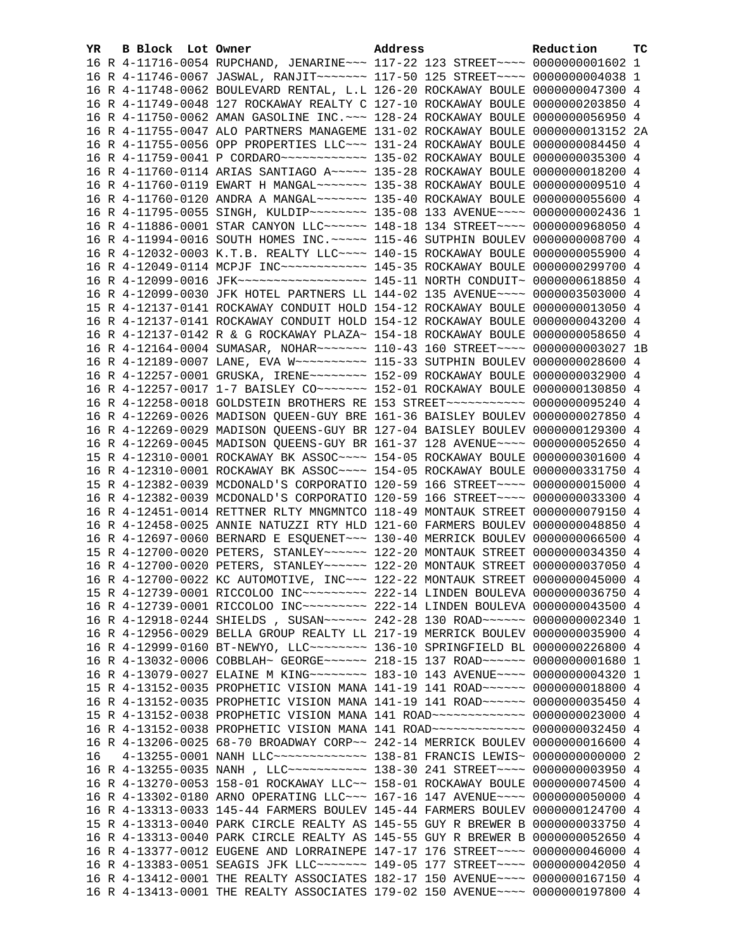| YR. | B Block Lot Owner |                                                                                                                                                                 | Address | Reduction | тc |
|-----|-------------------|-----------------------------------------------------------------------------------------------------------------------------------------------------------------|---------|-----------|----|
|     |                   | 16 R 4-11716-0054 RUPCHAND, JENARINE~~~ 117-22 123 STREET~~~~ 0000000001602 1                                                                                   |         |           |    |
|     |                   | 16 R 4-11746-0067 JASWAL, RANJIT~~~~~~~ 117-50 125 STREET~~~~ 0000000004038 1                                                                                   |         |           |    |
|     |                   | 16 R 4-11748-0062 BOULEVARD RENTAL, L.L 126-20 ROCKAWAY BOULE 0000000047300 4                                                                                   |         |           |    |
|     |                   | 16 R 4-11749-0048 127 ROCKAWAY REALTY C 127-10 ROCKAWAY BOULE 0000000203850 4                                                                                   |         |           |    |
|     |                   | 16 R 4-11750-0062 AMAN GASOLINE INC. ~~~ 128-24 ROCKAWAY BOULE 0000000056950 4                                                                                  |         |           |    |
|     |                   | 16 R 4-11755-0047 ALO PARTNERS MANAGEME 131-02 ROCKAWAY BOULE 0000000013152 2A                                                                                  |         |           |    |
|     |                   | 16 R 4-11755-0056 OPP PROPERTIES LLC~~~ 131-24 ROCKAWAY BOULE 0000000084450 4                                                                                   |         |           |    |
|     |                   | 16 R 4-11759-0041 P CORDARO ------------ 135-02 ROCKAWAY BOULE 0000000035300 4                                                                                  |         |           |    |
|     |                   | 16 R 4-11760-0114 ARIAS SANTIAGO A~~~~~ 135-28 ROCKAWAY BOULE 0000000018200 4                                                                                   |         |           |    |
|     |                   | 16 R 4-11760-0119 EWART H MANGAL~~~~~~~ 135-38 ROCKAWAY BOULE 0000000009510 4                                                                                   |         |           |    |
|     |                   | 16 R 4-11760-0120 ANDRA A MANGAL~~~~~~~ 135-40 ROCKAWAY BOULE 0000000055600 4                                                                                   |         |           |    |
|     |                   | 16 R 4-11795-0055 SINGH, KULDIP~~~~~~~~ 135-08 133 AVENUE~~~~ 0000000002436 1                                                                                   |         |           |    |
|     |                   | 16 R 4-11886-0001 STAR CANYON LLC ----- 148-18 134 STREET --- 0000000968050 4                                                                                   |         |           |    |
|     |                   | 16 R 4-11994-0016 SOUTH HOMES INC. ~~~~~ 115-46 SUTPHIN BOULEV 0000000008700 4                                                                                  |         |           |    |
|     |                   | 16 R 4-12032-0003 K.T.B. REALTY LLC~~~~ 140-15 ROCKAWAY BOULE 0000000055900 4                                                                                   |         |           |    |
|     |                   | 16 R 4-12049-0114 MCPJF INC ------------ 145-35 ROCKAWAY BOULE 0000000299700 4                                                                                  |         |           |    |
|     |                   |                                                                                                                                                                 |         |           |    |
|     |                   | 16 R 4-12099-0030 JFK HOTEL PARTNERS LL 144-02 135 AVENUE~~~~ 0000003503000 4                                                                                   |         |           |    |
|     |                   | 15 R 4-12137-0141 ROCKAWAY CONDUIT HOLD 154-12 ROCKAWAY BOULE 0000000013050 4                                                                                   |         |           |    |
|     |                   | 16 R 4-12137-0141 ROCKAWAY CONDUIT HOLD 154-12 ROCKAWAY BOULE 0000000043200 4                                                                                   |         |           |    |
|     |                   | 16 R 4-12137-0142 R & G ROCKAWAY PLAZA~ 154-18 ROCKAWAY BOULE 0000000058650 4                                                                                   |         |           |    |
|     |                   | 16 R 4-12164-0004 SUMASAR, NOHAR~~~~~~~ 110-43 160 STREET~~~~ 0000000003027 1B                                                                                  |         |           |    |
|     |                   |                                                                                                                                                                 |         |           |    |
|     |                   | 16 R 4-12257-0001 GRUSKA, IRENE~~~~~~~~ 152-09 ROCKAWAY BOULE 0000000032900 4                                                                                   |         |           |    |
|     |                   | 16 R 4-12257-0017 1-7 BAISLEY CO~~~~~~~ 152-01 ROCKAWAY BOULE 0000000130850 4                                                                                   |         |           |    |
|     |                   | 16 R 4-12258-0018 GOLDSTEIN BROTHERS RE 153 STREET~~~~~~~~~~~ 0000000095240 4                                                                                   |         |           |    |
|     |                   | 16 R 4-12269-0026 MADISON QUEEN-GUY BRE 161-36 BAISLEY BOULEV 0000000027850 4<br>16 R 4-12269-0029 MADISON QUEENS-GUY BR 127-04 BAISLEY BOULEV 0000000129300 4  |         |           |    |
|     |                   | 16 R 4-12269-0045 MADISON QUEENS-GUY BR 161-37 128 AVENUE~~~~ 0000000052650 4                                                                                   |         |           |    |
|     |                   | 15 R 4-12310-0001 ROCKAWAY BK ASSOC~~~~ 154-05 ROCKAWAY BOULE 0000000301600 4                                                                                   |         |           |    |
|     |                   | 16 R 4-12310-0001 ROCKAWAY BK ASSOC~~~~ 154-05 ROCKAWAY BOULE 0000000331750 4                                                                                   |         |           |    |
|     |                   | 15 R 4-12382-0039 MCDONALD'S CORPORATIO 120-59 166 STREET~~~~ 0000000015000 4                                                                                   |         |           |    |
|     |                   | 16 R 4-12382-0039 MCDONALD'S CORPORATIO 120-59 166 STREET~~~~ 0000000033300 4                                                                                   |         |           |    |
|     |                   | 16 R 4-12451-0014 RETTNER RLTY MNGMNTCO 118-49 MONTAUK STREET 0000000079150 4                                                                                   |         |           |    |
|     |                   | 16 R 4-12458-0025 ANNIE NATUZZI RTY HLD 121-60 FARMERS BOULEV 0000000048850 4                                                                                   |         |           |    |
|     |                   | 16 R 4-12697-0060 BERNARD E ESQUENET~~~ 130-40 MERRICK BOULEV 0000000066500 4                                                                                   |         |           |    |
|     |                   | 15 R 4-12700-0020 PETERS, STANLEY~~~~~~ 122-20 MONTAUK STREET 0000000034350 4                                                                                   |         |           |    |
|     |                   | 16 R 4-12700-0020 PETERS, STANLEY~~~~~~ 122-20 MONTAUK STREET 0000000037050 4                                                                                   |         |           |    |
|     |                   | 16 R 4-12700-0022 KC AUTOMOTIVE, INC~~~ 122-22 MONTAUK STREET 0000000045000 4                                                                                   |         |           |    |
|     |                   | 15 R 4-12739-0001 RICCOLOO INC~~~~~~~~~ 222-14 LINDEN BOULEVA 0000000036750 4                                                                                   |         |           |    |
|     |                   | 16 R 4-12739-0001 RICCOLOO INC~~~~~~~~~ 222-14 LINDEN BOULEVA 0000000043500 4                                                                                   |         |           |    |
|     |                   | 16 R 4-12918-0244 SHIELDS , SUSAN~~~~~~ 242-28 130 ROAD~~~~~~ 0000000002340 1                                                                                   |         |           |    |
|     |                   | 16 R 4-12956-0029 BELLA GROUP REALTY LL 217-19 MERRICK BOULEV 0000000035900 4                                                                                   |         |           |    |
|     |                   | 16 R 4-12999-0160 BT-NEWYO, LLC ------- 136-10 SPRINGFIELD BL 0000000226800 4                                                                                   |         |           |    |
|     |                   | 16 R 4-13032-0006 COBBLAH~ GEORGE~~~~~~ 218-15 137 ROAD~~~~~~ 00000000001680 1                                                                                  |         |           |    |
|     |                   | 16 R 4-13079-0027 ELAINE M KING~~~~~~~~ 183-10 143 AVENUE~~~~ 0000000004320 1                                                                                   |         |           |    |
|     |                   | 15 R 4-13152-0035 PROPHETIC VISION MANA 141-19 141 ROAD~~~~~~ 0000000018800 4                                                                                   |         |           |    |
|     |                   | 16 R 4-13152-0035 PROPHETIC VISION MANA 141-19 141 ROAD~~~~~~ 0000000035450 4                                                                                   |         |           |    |
|     |                   | 15 R 4-13152-0038 PROPHETIC VISION MANA 141 ROAD ~~~~~~~~~~~~~ 0000000023000 4                                                                                  |         |           |    |
|     |                   | 16 R 4-13152-0038 PROPHETIC VISION MANA 141 ROAD ~~~~~~~~~~~~~~ 0000000032450 4                                                                                 |         |           |    |
|     |                   | 16 R 4-13206-0025 68-70 BROADWAY CORP~~ 242-14 MERRICK BOULEV 0000000016600 4                                                                                   |         |           |    |
| 16  |                   | 4-13255-0001 NANH LLC~~~~~~~~~~~~~~~~~~ 138-81 FRANCIS LEWIS~ 0000000000000 2                                                                                   |         |           |    |
|     |                   | 16 R 4-13255-0035 NANH, LLC ----------- 138-30 241 STREET ---- 0000000003950 4                                                                                  |         |           |    |
|     |                   | 16 R 4-13270-0053 158-01 ROCKAWAY LLC~~ 158-01 ROCKAWAY BOULE 0000000074500 4                                                                                   |         |           |    |
|     |                   | 16 R 4-13302-0180 ARNO OPERATING LLC~~~ 167-16 147 AVENUE~~~~ 0000000050000 4                                                                                   |         |           |    |
|     |                   | 16 R 4-13313-0033 145-44 FARMERS BOULEV 145-44 FARMERS BOULEV 0000000124700 4                                                                                   |         |           |    |
|     |                   | 15 R 4-13313-0040 PARK CIRCLE REALTY AS 145-55 GUY R BREWER B 0000000033750 4                                                                                   |         |           |    |
|     |                   | 16 R 4-13313-0040 PARK CIRCLE REALTY AS 145-55 GUY R BREWER B 0000000052650 4                                                                                   |         |           |    |
|     |                   | 16 R 4-13377-0012 EUGENE AND LORRAINEPE 147-17 176 STREET~~~~ 0000000046000 4<br>16 R 4-13383-0051 SEAGIS JFK LLC ------ 149-05 177 STREET ---- 0000000042050 4 |         |           |    |
|     |                   | 16 R 4-13412-0001 THE REALTY ASSOCIATES 182-17 150 AVENUE~~~~ 0000000167150 4                                                                                   |         |           |    |
|     |                   | 16 R 4-13413-0001 THE REALTY ASSOCIATES 179-02 150 AVENUE~~~~ 0000000197800 4                                                                                   |         |           |    |
|     |                   |                                                                                                                                                                 |         |           |    |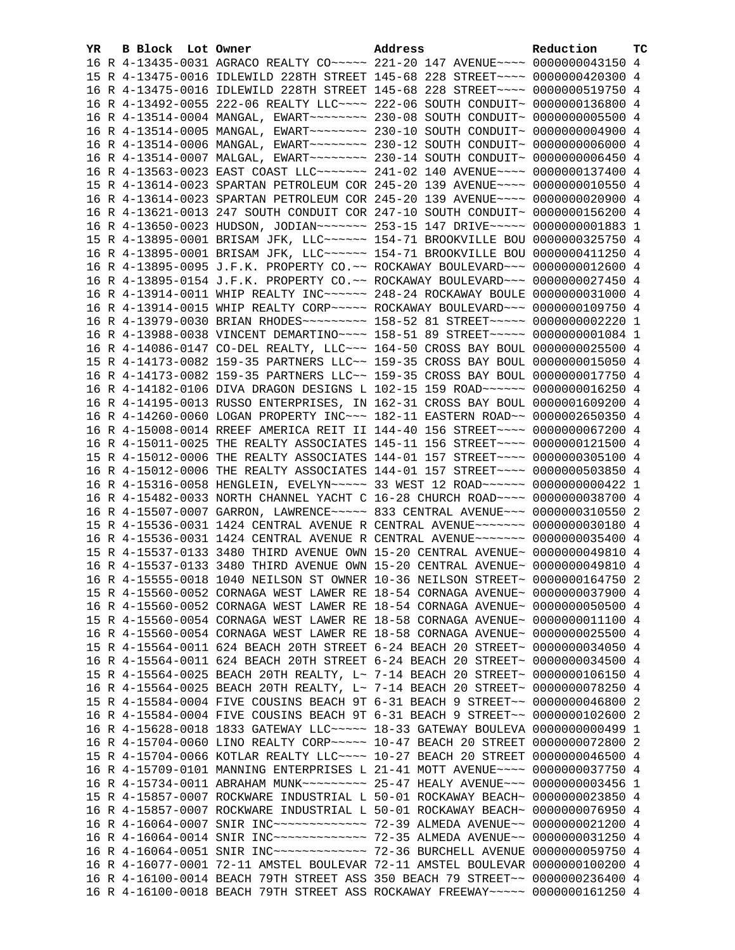| YR. | B Block Lot Owner | Address                                                                         | Reduction | тc |
|-----|-------------------|---------------------------------------------------------------------------------|-----------|----|
|     |                   | 16 R 4-13435-0031 AGRACO REALTY CO ~~~~~ 221-20 147 AVENUE ~~~~ 0000000043150 4 |           |    |
|     |                   | 15 R 4-13475-0016 IDLEWILD 228TH STREET 145-68 228 STREET~~~~ 0000000420300 4   |           |    |
|     |                   | 16 R 4-13475-0016 IDLEWILD 228TH STREET 145-68 228 STREET~~~~ 0000000519750 4   |           |    |
|     |                   | 16 R 4-13492-0055 222-06 REALTY LLC~~~~ 222-06 SOUTH CONDUIT~ 0000000136800 4   |           |    |
|     |                   | 16 R 4-13514-0004 MANGAL, EWART~~~~~~~~ 230-08 SOUTH CONDUIT~ 0000000005500 4   |           |    |
|     |                   | 16 R 4-13514-0005 MANGAL, EWART~~~~~~~~ 230-10 SOUTH CONDUIT~ 0000000004900 4   |           |    |
|     |                   | 16 R 4-13514-0006 MANGAL, EWART~~~~~~~~ 230-12 SOUTH CONDUIT~ 00000000006000 4  |           |    |
|     |                   | 16 R 4-13514-0007 MALGAL, EWART~~~~~~~~ 230-14 SOUTH CONDUIT~ 0000000006450 4   |           |    |
|     |                   | 16 R 4-13563-0023 EAST COAST LLC ------ 241-02 140 AVENUE --- 0000000137400 4   |           |    |
|     |                   | 15 R 4-13614-0023 SPARTAN PETROLEUM COR 245-20 139 AVENUE~~~~ 0000000010550 4   |           |    |
|     |                   | 16 R 4-13614-0023 SPARTAN PETROLEUM COR 245-20 139 AVENUE~~~~ 0000000020900 4   |           |    |
|     |                   | 16 R 4-13621-0013 247 SOUTH CONDUIT COR 247-10 SOUTH CONDUIT~ 0000000156200 4   |           |    |
|     |                   | 16 R 4-13650-0023 HUDSON, JODIAN~~~~~~~ 253-15 147 DRIVE~~~~~ 00000000001883 1  |           |    |
|     |                   | 15 R 4-13895-0001 BRISAM JFK, LLC ----- 154-71 BROOKVILLE BOU 0000000325750 4   |           |    |
|     |                   | 16 R 4-13895-0001 BRISAM JFK, LLC~~~~~~ 154-71 BROOKVILLE BOU 0000000411250 4   |           |    |
|     |                   | 16 R 4-13895-0095 J.F.K. PROPERTY CO.~~ ROCKAWAY BOULEVARD~~~ 0000000012600 4   |           |    |
|     |                   | 16 R 4-13895-0154 J.F.K. PROPERTY CO.~~ ROCKAWAY BOULEVARD~~~ 0000000027450 4   |           |    |
|     |                   | 16 R 4-13914-0011 WHIP REALTY INC~~~~~~ 248-24 ROCKAWAY BOULE 0000000031000 4   |           |    |
|     |                   | 16 R 4-13914-0015 WHIP REALTY CORP~~~~~ ROCKAWAY BOULEVARD~~~ 0000000109750 4   |           |    |
|     |                   | 16 R 4-13979-0030 BRIAN RHODES~~~~~~~~~ 158-52 81 STREET~~~~~ 0000000002220 1   |           |    |
|     |                   | 16 R 4-13988-0038 VINCENT DEMARTINO~~~~ 158-51 89 STREET~~~~~ 00000000001084 1  |           |    |
|     |                   | 16 R 4-14086-0147 CO-DEL REALTY, LLC -~~ 164-50 CROSS BAY BOUL 0000000025500 4  |           |    |
|     |                   | 15 R 4-14173-0082 159-35 PARTNERS LLC~~ 159-35 CROSS BAY BOUL 0000000015050 4   |           |    |
|     |                   | 16 R 4-14173-0082 159-35 PARTNERS LLC~~ 159-35 CROSS BAY BOUL 0000000017750 4   |           |    |
|     |                   | 16 R 4-14182-0106 DIVA DRAGON DESIGNS L 102-15 159 ROAD~~~~~~ 0000000016250 4   |           |    |
|     |                   | 16 R 4-14195-0013 RUSSO ENTERPRISES, IN 162-31 CROSS BAY BOUL 0000001609200 4   |           |    |
|     |                   | 16 R 4-14260-0060 LOGAN PROPERTY INC~~~ 182-11 EASTERN ROAD~~ 0000002650350 4   |           |    |
|     |                   | 16 R 4-15008-0014 RREEF AMERICA REIT II 144-40 156 STREET~~~~ 0000000067200 4   |           |    |
|     |                   | 16 R 4-15011-0025 THE REALTY ASSOCIATES 145-11 156 STREET~~~~ 0000000121500 4   |           |    |
|     |                   | 15 R 4-15012-0006 THE REALTY ASSOCIATES 144-01 157 STREET~~~~ 0000000305100 4   |           |    |
|     |                   | 16 R 4-15012-0006 THE REALTY ASSOCIATES 144-01 157 STREET~~~~ 0000000503850 4   |           |    |
|     |                   | 16 R 4-15316-0058 HENGLEIN, EVELYN~~~~~ 33 WEST 12 ROAD~~~~~~ 0000000000422 1   |           |    |
|     |                   | 16 R 4-15482-0033 NORTH CHANNEL YACHT C 16-28 CHURCH ROAD~~~~ 0000000038700 4   |           |    |
|     |                   | 16 R 4-15507-0007 GARRON, LAWRENCE~~~~~ 833 CENTRAL AVENUE~~~ 0000000310550 2   |           |    |
|     |                   | 15 R 4-15536-0031 1424 CENTRAL AVENUE R CENTRAL AVENUE~~~~~~~ 0000000030180 4   |           |    |
|     |                   | 16 R 4-15536-0031 1424 CENTRAL AVENUE R CENTRAL AVENUE~~~~~~~ 0000000035400 4   |           |    |
|     |                   | 15 R 4-15537-0133 3480 THIRD AVENUE OWN 15-20 CENTRAL AVENUE~ 0000000049810 4   |           |    |
|     |                   | 16 R 4-15537-0133 3480 THIRD AVENUE OWN 15-20 CENTRAL AVENUE~ 0000000049810 4   |           |    |
|     |                   | 16 R 4-15555-0018 1040 NEILSON ST OWNER 10-36 NEILSON STREET~ 0000000164750 2   |           |    |
|     |                   | 15 R 4-15560-0052 CORNAGA WEST LAWER RE 18-54 CORNAGA AVENUE~ 0000000037900 4   |           |    |
|     |                   | 16 R 4-15560-0052 CORNAGA WEST LAWER RE 18-54 CORNAGA AVENUE~ 0000000050500 4   |           |    |
|     |                   | 15 R 4-15560-0054 CORNAGA WEST LAWER RE 18-58 CORNAGA AVENUE~ 0000000011100 4   |           |    |
|     |                   | 16 R 4-15560-0054 CORNAGA WEST LAWER RE 18-58 CORNAGA AVENUE~ 0000000025500 4   |           |    |
|     |                   | 15 R 4-15564-0011 624 BEACH 20TH STREET 6-24 BEACH 20 STREET~ 0000000034050 4   |           |    |
|     |                   | 16 R 4-15564-0011 624 BEACH 20TH STREET 6-24 BEACH 20 STREET~ 0000000034500 4   |           |    |
|     |                   | 15 R 4-15564-0025 BEACH 20TH REALTY, L~ 7-14 BEACH 20 STREET~ 0000000106150 4   |           |    |
|     |                   | 16 R 4-15564-0025 BEACH 20TH REALTY, L~ 7-14 BEACH 20 STREET~ 0000000078250 4   |           |    |
|     |                   | 15 R 4-15584-0004 FIVE COUSINS BEACH 9T 6-31 BEACH 9 STREET~~ 0000000046800 2   |           |    |
|     |                   | 16 R 4-15584-0004 FIVE COUSINS BEACH 9T 6-31 BEACH 9 STREET~~ 0000000102600 2   |           |    |
|     |                   | 16 R 4-15628-0018 1833 GATEWAY LLC ~~~~~ 18-33 GATEWAY BOULEVA 0000000000499 1  |           |    |
|     |                   | 16 R 4-15704-0060 LINO REALTY CORP~~~~~ 10-47 BEACH 20 STREET 0000000072800 2   |           |    |
|     |                   | 15 R 4-15704-0066 KOTLAR REALTY LLC ~~~~ 10-27 BEACH 20 STREET 0000000046500 4  |           |    |
|     |                   | 16 R 4-15709-0101 MANNING ENTERPRISES L 21-41 MOTT AVENUE~~~~ 0000000037750 4   |           |    |
|     |                   | 16 R 4-15734-0011 ABRAHAM MUNK~~~~~~~~~ 25-47 HEALY AVENUE~~~ 0000000003456 1   |           |    |
|     |                   | 15 R 4-15857-0007 ROCKWARE INDUSTRIAL L 50-01 ROCKAWAY BEACH~ 0000000023850 4   |           |    |
|     |                   | 16 R 4-15857-0007 ROCKWARE INDUSTRIAL L 50-01 ROCKAWAY BEACH~ 0000000076950 4   |           |    |
|     |                   |                                                                                 |           |    |
|     |                   |                                                                                 |           |    |
|     |                   |                                                                                 |           |    |
|     |                   |                                                                                 |           |    |
|     |                   | 16 R 4-16077-0001 72-11 AMSTEL BOULEVAR 72-11 AMSTEL BOULEVAR 0000000100200 4   |           |    |
|     |                   | 16 R 4-16100-0014 BEACH 79TH STREET ASS 350 BEACH 79 STREET~~ 0000000236400 4   |           |    |
|     |                   | 16 R 4-16100-0018 BEACH 79TH STREET ASS ROCKAWAY FREEWAY~~~~~ 0000000161250 4   |           |    |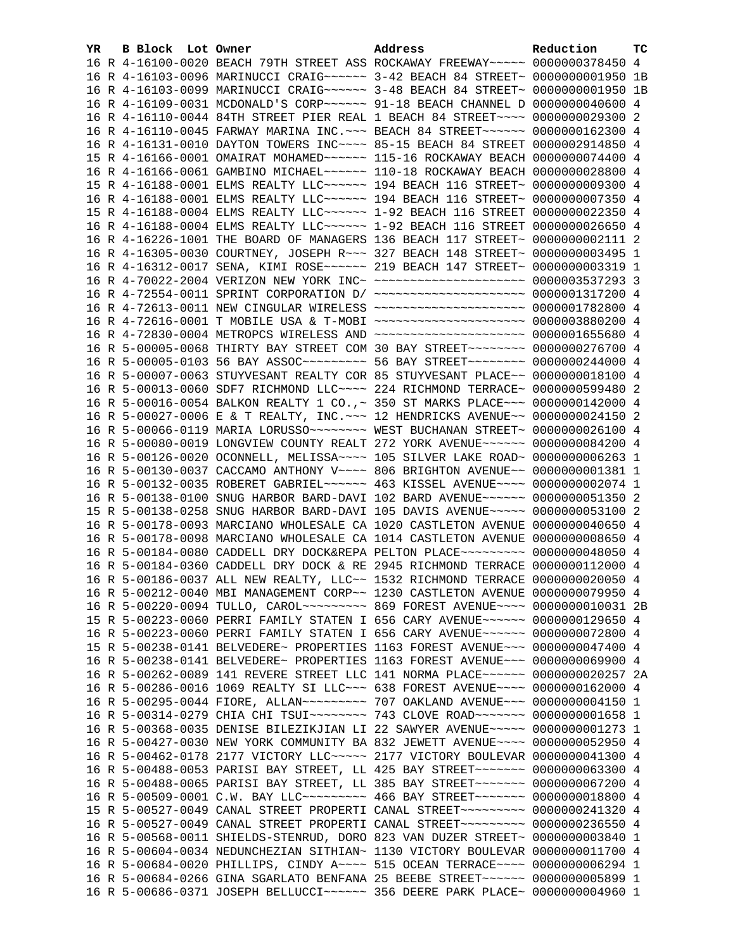| YR. | B Block Lot Owner |  | Address                                                                                                                                                         | Reduction | тc |
|-----|-------------------|--|-----------------------------------------------------------------------------------------------------------------------------------------------------------------|-----------|----|
|     |                   |  | 16 R 4-16100-0020 BEACH 79TH STREET ASS ROCKAWAY FREEWAY~~~~~ 0000000378450 4                                                                                   |           |    |
|     |                   |  | 16 R 4-16103-0096 MARINUCCI CRAIG~~~~~~ 3-42 BEACH 84 STREET~ 0000000001950 1B                                                                                  |           |    |
|     |                   |  | 16 R 4-16103-0099 MARINUCCI CRAIG ~~~~~~ 3-48 BEACH 84 STREET ~ 0000000001950 1B                                                                                |           |    |
|     |                   |  | 16 R 4-16109-0031 MCDONALD'S CORP~~~~~~ 91-18 BEACH CHANNEL D 0000000040600 4                                                                                   |           |    |
|     |                   |  | 16 R 4-16110-0044 84TH STREET PIER REAL 1 BEACH 84 STREET~~~~ 0000000029300 2                                                                                   |           |    |
|     |                   |  | 16 R 4-16110-0045 FARWAY MARINA INC. -~~ BEACH 84 STREET~~~~~~ 0000000162300 4                                                                                  |           |    |
|     |                   |  | 16 R 4-16131-0010 DAYTON TOWERS INC~~~~ 85-15 BEACH 84 STREET 0000002914850 4                                                                                   |           |    |
|     |                   |  | 15 R 4-16166-0001 OMAIRAT MOHAMED~~~~~~ 115-16 ROCKAWAY BEACH 0000000074400 4                                                                                   |           |    |
|     |                   |  | 16 R 4-16166-0061 GAMBINO MICHAEL~~~~~~ 110-18 ROCKAWAY BEACH 0000000028800 4                                                                                   |           |    |
|     |                   |  | 15 R 4-16188-0001 ELMS REALTY LLC ----- 194 BEACH 116 STREET ~ 0000000009300 4                                                                                  |           |    |
|     |                   |  | 16 R 4-16188-0001 ELMS REALTY LLC ~~~~~~ 194 BEACH 116 STREET~ 0000000007350 4                                                                                  |           |    |
|     |                   |  | 15 R 4-16188-0004 ELMS REALTY LLC ~~~~~~ 1-92 BEACH 116 STREET 0000000022350 4                                                                                  |           |    |
|     |                   |  | 16 R 4-16188-0004 ELMS REALTY LLC ----- 1-92 BEACH 116 STREET 0000000026650 4                                                                                   |           |    |
|     |                   |  | 16 R 4-16226-1001 THE BOARD OF MANAGERS 136 BEACH 117 STREET~ 0000000002111 2                                                                                   |           |    |
|     |                   |  | 16 R 4-16305-0030 COURTNEY, JOSEPH R ~~~ 327 BEACH 148 STREET~ 0000000003495 1                                                                                  |           |    |
|     |                   |  | 16 R 4-16312-0017 SENA, KIMI ROSE~~~~~~ 219 BEACH 147 STREET~ 0000000003319 1                                                                                   |           |    |
|     |                   |  | 16 R 4-70022-2004 VERIZON NEW YORK INC~ ~~~~~~~~~~~~~~~~~~~~~ 0000003537293 3                                                                                   |           |    |
|     |                   |  | 16 R 4-72554-0011 SPRINT CORPORATION D/ ~~~~~~~~~~~~~~~~~~~~ 0000001317200 4                                                                                    |           |    |
|     |                   |  | 16 R 4-72613-0011 NEW CINGULAR WIRELESS ~~~~~~~~~~~~~~~~~~~~ 0000001782800 4                                                                                    |           |    |
|     |                   |  | 16 R 4-72616-0001 T MOBILE USA & T-MOBI ~~~~~~~~~~~~~~~~~~~~ 0000003880200 4                                                                                    |           |    |
|     |                   |  | 16 R 4-72830-0004 METROPCS WIRELESS AND ~~~~~~~~~~~~~~~~~~~~~ 0000001655680 4                                                                                   |           |    |
|     |                   |  | 16 R 5-00005-0068 THIRTY BAY STREET COM 30 BAY STREET~~~~~~~~~ 0000000276700 4                                                                                  |           |    |
|     |                   |  | 16 R 5-00005-0103 56 BAY ASSOC --------- 56 BAY STREET -------- 0000000244000 4                                                                                 |           |    |
|     |                   |  | 16 R 5-00007-0063 STUYVESANT REALTY COR 85 STUYVESANT PLACE~~ 0000000018100 4                                                                                   |           |    |
|     |                   |  | 16 R 5-00013-0060 SDF7 RICHMOND LLC ~~~~ 224 RICHMOND TERRACE ~ 0000000599480 2                                                                                 |           |    |
|     |                   |  | 16 R 5-00016-0054 BALKON REALTY 1 CO., ~ 350 ST MARKS PLACE~~~ 0000000142000 4                                                                                  |           |    |
|     |                   |  | 16 R 5-00027-0006 E & T REALTY, INC. $\sim \sim$ 12 HENDRICKS AVENUE $\sim$ 0000000024150 2                                                                     |           |    |
|     |                   |  | 16 R 5-00066-0119 MARIA LORUSSO~~~~~~~~ WEST BUCHANAN STREET~ 0000000026100 4                                                                                   |           |    |
|     |                   |  | 16 R 5-00080-0019 LONGVIEW COUNTY REALT 272 YORK AVENUE~~~~~~ 0000000084200 4                                                                                   |           |    |
|     |                   |  | 16 R 5-00126-0020 OCONNELL, MELISSA~~~~ 105 SILVER LAKE ROAD~ 0000000006263 1                                                                                   |           |    |
|     |                   |  | 16 R 5-00130-0037 CACCAMO ANTHONY V~~~~ 806 BRIGHTON AVENUE~~ 0000000001381 1                                                                                   |           |    |
|     |                   |  | 16 R 5-00132-0035 ROBERET GABRIEL~~~~~~ 463 KISSEL AVENUE~~~~ 0000000002074 1                                                                                   |           |    |
|     |                   |  | 16 R 5-00138-0100 SNUG HARBOR BARD-DAVI 102 BARD AVENUE~~~~~~ 0000000051350 2                                                                                   |           |    |
|     |                   |  | 15 R 5-00138-0258 SNUG HARBOR BARD-DAVI 105 DAVIS AVENUE~~~~~ 0000000053100 2                                                                                   |           |    |
|     |                   |  | 16 R 5-00178-0093 MARCIANO WHOLESALE CA 1020 CASTLETON AVENUE 0000000040650 4                                                                                   |           |    |
|     |                   |  | 16 R 5-00178-0098 MARCIANO WHOLESALE CA 1014 CASTLETON AVENUE 0000000008650 4                                                                                   |           |    |
|     |                   |  | 16 R 5-00184-0080 CADDELL DRY DOCK&REPA PELTON PLACE~~~~~~~~~ 0000000048050 4                                                                                   |           |    |
|     |                   |  | 16 R 5-00184-0360 CADDELL DRY DOCK & RE 2945 RICHMOND TERRACE 0000000112000 4                                                                                   |           |    |
|     |                   |  | 16 R 5-00186-0037 ALL NEW REALTY, LLC~~ 1532 RICHMOND TERRACE 0000000020050 4                                                                                   |           |    |
|     |                   |  | 16 R 5-00212-0040 MBI MANAGEMENT CORP~~ 1230 CASTLETON AVENUE 0000000079950 4                                                                                   |           |    |
|     |                   |  | 16 R 5-00220-0094 TULLO, CAROL~~~~~~~~~~~~~~ 869 FOREST AVENUE~~~~ 0000000010031 2B                                                                             |           |    |
|     |                   |  | 15 R 5-00223-0060 PERRI FAMILY STATEN I 656 CARY AVENUE~~~~~~ 0000000129650 4                                                                                   |           |    |
|     |                   |  | 16 R 5-00223-0060 PERRI FAMILY STATEN I 656 CARY AVENUE~~~~~~ 0000000072800 4                                                                                   |           |    |
|     |                   |  | 15 R 5-00238-0141 BELVEDERE~ PROPERTIES 1163 FOREST AVENUE~~~ 0000000047400 4                                                                                   |           |    |
|     |                   |  | 16 R 5-00238-0141 BELVEDERE~ PROPERTIES 1163 FOREST AVENUE~~~ 0000000069900 4                                                                                   |           |    |
|     |                   |  | 16 R 5-00262-0089 141 REVERE STREET LLC 141 NORMA PLACE~~~~~~ 0000000020257 2A                                                                                  |           |    |
|     |                   |  | 16 R 5-00286-0016 1069 REALTY SI LLC~~~ 638 FOREST AVENUE~~~~ 0000000162000 4                                                                                   |           |    |
|     |                   |  | 16 R 5-00295-0044 FIORE, ALLAN~~~~~~~~~ 707 OAKLAND AVENUE~~~ 0000000004150 1                                                                                   |           |    |
|     |                   |  | 16 R 5-00314-0279 CHIA CHI TSUI~~~~~~~~ 743 CLOVE ROAD~~~~~~~ 00000000001658 1                                                                                  |           |    |
|     |                   |  | 16 R 5-00368-0035 DENISE BILEZIKJIAN LI 22 SAWYER AVENUE~~~~~ 00000000001273 1                                                                                  |           |    |
|     |                   |  | 16 R 5-00427-0030 NEW YORK COMMUNITY BA 832 JEWETT AVENUE~~~~ 0000000052950 4                                                                                   |           |    |
|     |                   |  | 16 R 5-00462-0178 2177 VICTORY LLC~~~~~ 2177 VICTORY BOULEVAR 0000000041300 4                                                                                   |           |    |
|     |                   |  | 16 R 5-00488-0053 PARISI BAY STREET, LL 425 BAY STREET~~~~~~~ 0000000063300 4                                                                                   |           |    |
|     |                   |  | 16 R 5-00488-0065 PARISI BAY STREET, LL 385 BAY STREET~~~~~~~~ 0000000067200 4                                                                                  |           |    |
|     |                   |  | 16 R 5-00509-0001 C.W. BAY LLC -------- 466 BAY STREET ------- 0000000018800 4<br>15 R 5-00527-0049 CANAL STREET PROPERTI CANAL STREET~~~~~~~~~ 0000000241320 4 |           |    |
|     |                   |  |                                                                                                                                                                 |           |    |
|     |                   |  | 16 R 5-00527-0049 CANAL STREET PROPERTI CANAL STREET~~~~~~~~~ 0000000236550 4<br>16 R 5-00568-0011 SHIELDS-STENRUD, DORO 823 VAN DUZER STREET~ 00000000003840 1 |           |    |
|     |                   |  | 16 R 5-00604-0034 NEDUNCHEZIAN SITHIAN~ 1130 VICTORY BOULEVAR 0000000011700 4                                                                                   |           |    |
|     |                   |  | 16 R 5-00684-0020 PHILLIPS, CINDY A~~~~ 515 OCEAN TERRACE~~~~ 0000000006294 1                                                                                   |           |    |
|     |                   |  | 16 R 5-00684-0266 GINA SGARLATO BENFANA 25 BEEBE STREET~~~~~~ 00000000005899 1                                                                                  |           |    |
|     |                   |  | 16 R 5-00686-0371 JOSEPH BELLUCCI~~~~~~ 356 DEERE PARK PLACE~ 00000000004960 1                                                                                  |           |    |
|     |                   |  |                                                                                                                                                                 |           |    |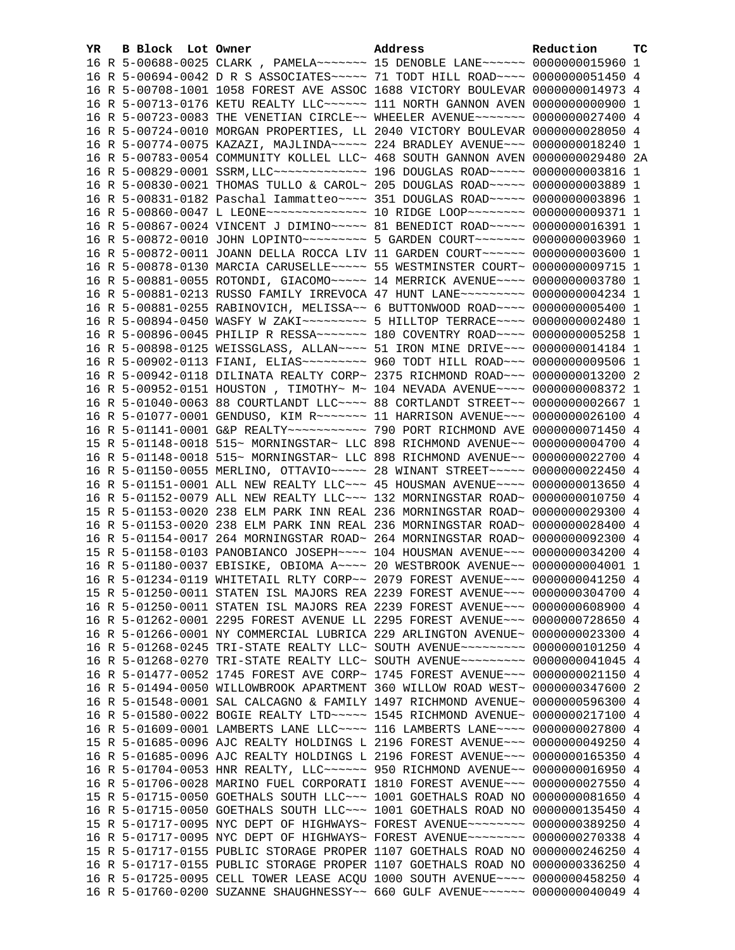| YR. | B Block Lot Owner | Address                                                                                                                                                         | Reduction | тc |
|-----|-------------------|-----------------------------------------------------------------------------------------------------------------------------------------------------------------|-----------|----|
|     |                   | 16 R 5-00688-0025 CLARK, PAMELA~~~~~~~ 15 DENOBLE LANE~~~~~~ 0000000015960 1                                                                                    |           |    |
|     |                   | 16 R 5-00694-0042 D R S ASSOCIATES~~~~~ 71 TODT HILL ROAD~~~~ 0000000051450 4                                                                                   |           |    |
|     |                   | 16 R 5-00708-1001 1058 FOREST AVE ASSOC 1688 VICTORY BOULEVAR 0000000014973 4                                                                                   |           |    |
|     |                   | 16 R 5-00713-0176 KETU REALTY LLC~~~~~~ 111 NORTH GANNON AVEN 0000000000900 1                                                                                   |           |    |
|     |                   | 16 R 5-00723-0083 THE VENETIAN CIRCLE~~ WHEELER AVENUE~~~~~~~ 0000000027400 4                                                                                   |           |    |
|     |                   | 16 R 5-00724-0010 MORGAN PROPERTIES, LL 2040 VICTORY BOULEVAR 0000000028050 4                                                                                   |           |    |
|     |                   | 16 R 5-00774-0075 KAZAZI, MAJLINDA~~~~~ 224 BRADLEY AVENUE~~~ 0000000018240 1                                                                                   |           |    |
|     |                   | 16 R 5-00783-0054 COMMUNITY KOLLEL LLC~ 468 SOUTH GANNON AVEN 0000000029480 2A                                                                                  |           |    |
|     |                   | 16 R 5-00829-0001 SSRM, LLC ------------- 196 DOUGLAS ROAD ----- 00000000003816 1                                                                               |           |    |
|     |                   | 16 R 5-00830-0021 THOMAS TULLO & CAROL~ 205 DOUGLAS ROAD~~~~~ 0000000003889 1                                                                                   |           |    |
|     |                   | 16 R 5-00831-0182 Paschal Iammatteo~~~~ 351 DOUGLAS ROAD~~~~~ 0000000003896 1                                                                                   |           |    |
|     |                   | 16 R 5-00860-0047 L LEONE~~~~~~~~~~~~~~~~~~ 10 RIDGE LOOP~~~~~~~~~ 0000000009371 1                                                                              |           |    |
|     |                   | 16 R 5-00867-0024 VINCENT J DIMINO~~~~~ 81 BENEDICT ROAD~~~~~ 0000000016391 1                                                                                   |           |    |
|     |                   | 16 R 5-00872-0010 JOHN LOPINTO~~~~~~~~~~ 5 GARDEN COURT~~~~~~~ 0000000003960 1                                                                                  |           |    |
|     |                   | 16 R 5-00872-0011 JOANN DELLA ROCCA LIV 11 GARDEN COURT~~~~~~ 0000000003600 1                                                                                   |           |    |
|     |                   | 16 R 5-00878-0130 MARCIA CARUSELLE~~~~~ 55 WESTMINSTER COURT~ 0000000009715 1                                                                                   |           |    |
|     |                   | 16 R 5-00881-0055 ROTONDI, GIACOMO~~~~~ 14 MERRICK AVENUE~~~~ 0000000003780 1                                                                                   |           |    |
|     |                   | 16 R 5-00881-0213 RUSSO FAMILY IRREVOCA 47 HUNT LANE~~~~~~~~~ 0000000004234 1                                                                                   |           |    |
|     |                   | 16 R 5-00881-0255 RABINOVICH, MELISSA~~ 6 BUTTONWOOD ROAD~~~~ 0000000005400 1                                                                                   |           |    |
|     |                   | 16 R 5-00894-0450 WASFY W ZAKI~~~~~~~~~~ 5 HILLTOP TERRACE~~~~ 0000000002480 1                                                                                  |           |    |
|     |                   | 16 R 5-00896-0045 PHILIP R RESSA~~~~~~~ 180 COVENTRY ROAD~~~~ 0000000005258 1                                                                                   |           |    |
|     |                   | 16 R 5-00898-0125 WEISSGLASS, ALLAN~~~~ 51 IRON MINE DRIVE~~~ 0000000014184 1                                                                                   |           |    |
|     |                   | 16 R 5-00902-0113 FIANI, ELIAS~~~~~~~~~ 960 TODT HILL ROAD~~~ 0000000009506 1                                                                                   |           |    |
|     |                   | 16 R 5-00942-0118 DILINATA REALTY CORP~ 2375 RICHMOND ROAD~~~ 0000000013200 2                                                                                   |           |    |
|     |                   | 16 R 5-00952-0151 HOUSTON, TIMOTHY~ M~ 104 NEVADA AVENUE~~~~ 0000000008372 1                                                                                    |           |    |
|     |                   | 16 R 5-01040-0063 88 COURTLANDT LLC~~~~ 88 CORTLANDT STREET~~ 0000000002667 1                                                                                   |           |    |
|     |                   | 16 R 5-01077-0001 GENDUSO, KIM R ~~~~~~~~ 11 HARRISON AVENUE ~~~ 0000000026100 4                                                                                |           |    |
|     |                   | 16 R 5-01141-0001 G&P REALTY~~~~~~~~~~~~~~~~~ 790 PORT RICHMOND AVE 0000000071450 4                                                                             |           |    |
|     |                   | 15 R 5-01148-0018 515~ MORNINGSTAR~ LLC 898 RICHMOND AVENUE~~ 0000000004700 4                                                                                   |           |    |
|     |                   | 16 R 5-01148-0018 515~ MORNINGSTAR~ LLC 898 RICHMOND AVENUE~~ 0000000022700 4                                                                                   |           |    |
|     |                   | 16 R 5-01150-0055 MERLINO, OTTAVIO ~~~~~ 28 WINANT STREET ~~~~~ 0000000022450 4                                                                                 |           |    |
|     |                   | 16 R 5-01151-0001 ALL NEW REALTY LLC -~~ 45 HOUSMAN AVENUE -~~~ 0000000013650 4                                                                                 |           |    |
|     |                   | 16 R 5-01152-0079 ALL NEW REALTY LLC ~~~ 132 MORNINGSTAR ROAD~ 0000000010750 4<br>15 R 5-01153-0020 238 ELM PARK INN REAL 236 MORNINGSTAR ROAD~ 0000000029300 4 |           |    |
|     |                   | 16 R 5-01153-0020 238 ELM PARK INN REAL 236 MORNINGSTAR ROAD~ 0000000028400 4                                                                                   |           |    |
|     |                   | 16 R 5-01154-0017 264 MORNINGSTAR ROAD~ 264 MORNINGSTAR ROAD~ 0000000092300 4                                                                                   |           |    |
|     |                   | 15 R 5-01158-0103 PANOBIANCO JOSEPH~~~~ 104 HOUSMAN AVENUE~~~ 0000000034200 4                                                                                   |           |    |
|     |                   | 16 R 5-01180-0037 EBISIKE, OBIOMA A~~~~ 20 WESTBROOK AVENUE~~ 00000000004001 1                                                                                  |           |    |
|     |                   | 16 R 5-01234-0119 WHITETAIL RLTY CORP~~ 2079 FOREST AVENUE~~~ 0000000041250 4                                                                                   |           |    |
|     |                   | 15 R 5-01250-0011 STATEN ISL MAJORS REA 2239 FOREST AVENUE~~~ 0000000304700 4                                                                                   |           |    |
|     |                   | 16 R 5-01250-0011 STATEN ISL MAJORS REA 2239 FOREST AVENUE~~~ 0000000608900 4                                                                                   |           |    |
|     |                   | 16 R 5-01262-0001 2295 FOREST AVENUE LL 2295 FOREST AVENUE~~~ 0000000728650 4                                                                                   |           |    |
|     |                   | 16 R 5-01266-0001 NY COMMERCIAL LUBRICA 229 ARLINGTON AVENUE~ 0000000023300 4                                                                                   |           |    |
|     |                   | 16 R 5-01268-0245 TRI-STATE REALTY LLC~ SOUTH AVENUE~~~~~~~~~ 0000000101250                                                                                     |           | 4  |
|     |                   | 16 R 5-01268-0270 TRI-STATE REALTY LLC~ SOUTH AVENUE~~~~~~~~~ 0000000041045 4                                                                                   |           |    |
|     |                   | 16 R 5-01477-0052 1745 FOREST AVE CORP~ 1745 FOREST AVENUE~~~ 0000000021150 4                                                                                   |           |    |
|     |                   | 16 R 5-01494-0050 WILLOWBROOK APARTMENT 360 WILLOW ROAD WEST~ 0000000347600                                                                                     |           | -2 |
|     |                   | 16 R 5-01548-0001 SAL CALCAGNO & FAMILY 1497 RICHMOND AVENUE~ 0000000596300 4                                                                                   |           |    |
|     |                   | 16 R 5-01580-0022 BOGIE REALTY LTD ~~~~~ 1545 RICHMOND AVENUE~ 0000000217100 4                                                                                  |           |    |
|     |                   | 16 R 5-01609-0001 LAMBERTS LANE LLC --- 116 LAMBERTS LANE --- 0000000027800 4                                                                                   |           |    |
|     |                   | 15 R 5-01685-0096 AJC REALTY HOLDINGS L 2196 FOREST AVENUE~~~ 0000000049250 4                                                                                   |           |    |
|     |                   | 16 R 5-01685-0096 AJC REALTY HOLDINGS L 2196 FOREST AVENUE~~~ 0000000165350 4                                                                                   |           |    |
|     |                   | 16 R 5-01704-0053 HNR REALTY, LLC ----- 950 RICHMOND AVENUE -- 0000000016950                                                                                    |           | 4  |
|     |                   | 16 R 5-01706-0028 MARINO FUEL CORPORATI 1810 FOREST AVENUE~~~ 0000000027550 4                                                                                   |           |    |
|     |                   | 15 R 5-01715-0050 GOETHALS SOUTH LLC~~~ 1001 GOETHALS ROAD NO 0000000081650 4                                                                                   |           |    |
|     |                   | 16 R 5-01715-0050 GOETHALS SOUTH LLC~~~ 1001 GOETHALS ROAD NO 0000000135450 4                                                                                   |           |    |
|     |                   | 15 R 5-01717-0095 NYC DEPT OF HIGHWAYS~ FOREST AVENUE~~~~~~~~ 0000000389250 4                                                                                   |           |    |
|     |                   | 16 R 5-01717-0095 NYC DEPT OF HIGHWAYS~ FOREST AVENUE~~~~~~~~ 0000000270338 4                                                                                   |           |    |
|     |                   | 15 R 5-01717-0155 PUBLIC STORAGE PROPER 1107 GOETHALS ROAD NO 0000000246250 4                                                                                   |           |    |
|     |                   | 16 R 5-01717-0155 PUBLIC STORAGE PROPER 1107 GOETHALS ROAD NO 0000000336250 4                                                                                   |           |    |
|     |                   | 16 R 5-01725-0095 CELL TOWER LEASE ACQU 1000 SOUTH AVENUE~~~~ 0000000458250 4                                                                                   |           |    |
|     |                   | 16 R 5-01760-0200 SUZANNE SHAUGHNESSY~~ 660 GULF AVENUE~~~~~~ 0000000040049 4                                                                                   |           |    |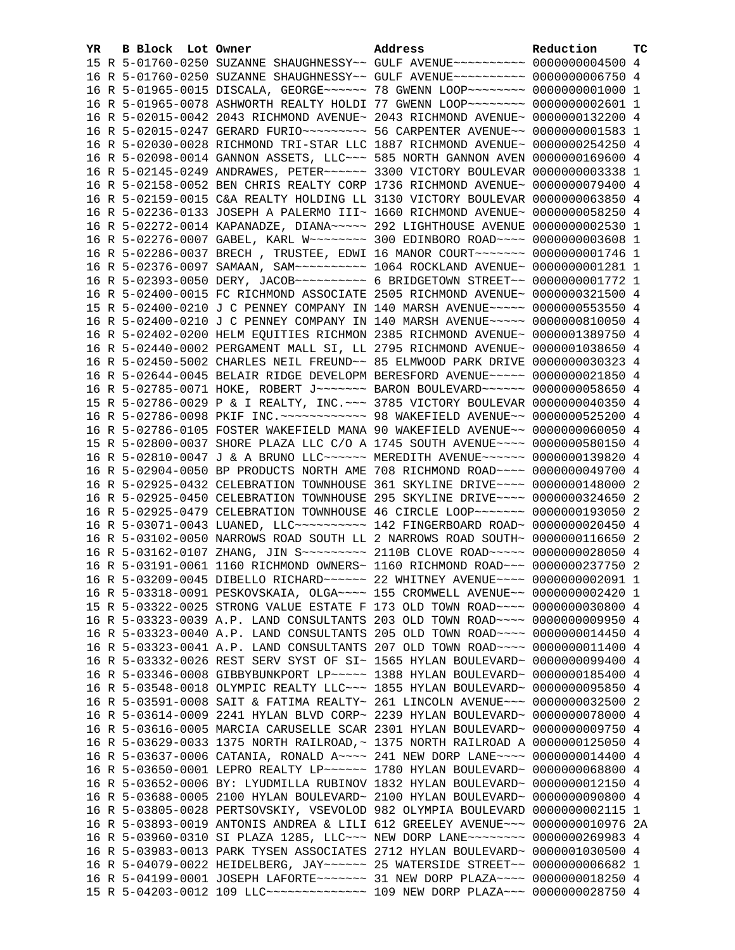| YR. | B Block Lot Owner |                                                                                     | Address | Reduction | тc |
|-----|-------------------|-------------------------------------------------------------------------------------|---------|-----------|----|
|     |                   | 15 R 5-01760-0250 SUZANNE SHAUGHNESSY~~ GULF AVENUE~~~~~~~~~~ 0000000004500 4       |         |           |    |
|     |                   | 16 R 5-01760-0250 SUZANNE SHAUGHNESSY~~ GULF AVENUE~~~~~~~~~~ 0000000006750 4       |         |           |    |
|     |                   | 16 R 5-01965-0015 DISCALA, GEORGE~~~~~~ 78 GWENN LOOP~~~~~~~~ 00000000001000 1      |         |           |    |
|     |                   | 16 R 5-01965-0078 ASHWORTH REALTY HOLDI 77 GWENN LOOP~~~~~~~~ 0000000002601 1       |         |           |    |
|     |                   | 16 R 5-02015-0042 2043 RICHMOND AVENUE~ 2043 RICHMOND AVENUE~ 0000000132200 4       |         |           |    |
|     |                   | 16 R 5-02015-0247 GERARD FURIO~~~~~~~~~~ 56 CARPENTER AVENUE~~ 00000000001583 1     |         |           |    |
|     |                   | 16 R 5-02030-0028 RICHMOND TRI-STAR LLC 1887 RICHMOND AVENUE~ 0000000254250 4       |         |           |    |
|     |                   | 16 R 5-02098-0014 GANNON ASSETS, LLC~~~ 585 NORTH GANNON AVEN 0000000169600 4       |         |           |    |
|     |                   | 16 R 5-02145-0249 ANDRAWES, PETER~~~~~~ 3300 VICTORY BOULEVAR 0000000003338 1       |         |           |    |
|     |                   | 16 R 5-02158-0052 BEN CHRIS REALTY CORP 1736 RICHMOND AVENUE~ 0000000079400 4       |         |           |    |
|     |                   | 16 R 5-02159-0015 C&A REALTY HOLDING LL 3130 VICTORY BOULEVAR 0000000063850 4       |         |           |    |
|     |                   | 16 R 5-02236-0133 JOSEPH A PALERMO III~ 1660 RICHMOND AVENUE~ 0000000058250 4       |         |           |    |
|     |                   | 16 R 5-02272-0014 KAPANADZE, DIANA~~~~~ 292 LIGHTHOUSE AVENUE 0000000002530 1       |         |           |    |
|     |                   | 16 R 5-02276-0007 GABEL, KARL W~~~~~~~~ 300 EDINBORO ROAD~~~~ 0000000003608 1       |         |           |    |
|     |                   | 16 R 5-02286-0037 BRECH, TRUSTEE, EDWI 16 MANOR COURT~~~~~~~ 00000000001746 1       |         |           |    |
|     |                   | 16 R 5-02376-0097 SAMAAN, SAM~~~~~~~~~~~~~~~ 1064 ROCKLAND AVENUE~ 00000000001281 1 |         |           |    |
|     |                   | 16 R 5-02393-0050 DERY, JACOB ---------- 6 BRIDGETOWN STREET -- 00000000001772 1    |         |           |    |
|     |                   | 16 R 5-02400-0015 FC RICHMOND ASSOCIATE 2505 RICHMOND AVENUE~ 0000000321500 4       |         |           |    |
|     |                   | 15 R 5-02400-0210 J C PENNEY COMPANY IN 140 MARSH AVENUE~~~~~ 0000000553550 4       |         |           |    |
|     |                   | 16 R 5-02400-0210 J C PENNEY COMPANY IN 140 MARSH AVENUE~~~~~ 0000000810050 4       |         |           |    |
|     |                   | 16 R 5-02402-0200 HELM EQUITIES RICHMON 2385 RICHMOND AVENUE~ 0000001389750 4       |         |           |    |
|     |                   | 16 R 5-02440-0002 PERGAMENT MALL SI, LL 2795 RICHMOND AVENUE~ 0000001038650 4       |         |           |    |
|     |                   | 16 R 5-02450-5002 CHARLES NEIL FREUND~~ 85 ELMWOOD PARK DRIVE 0000000030323 4       |         |           |    |
|     |                   | 16 R 5-02644-0045 BELAIR RIDGE DEVELOPM BERESFORD AVENUE~~~~~ 0000000021850 4       |         |           |    |
|     |                   | 16 R 5-02785-0071 HOKE, ROBERT J~~~~~~~ BARON BOULEVARD~~~~~~ 0000000058650 4       |         |           |    |
|     |                   | 15 R 5-02786-0029 P & I REALTY, INC. ~~~ 3785 VICTORY BOULEVAR 0000000040350 4      |         |           |    |
|     |                   | 16 R 5-02786-0098 PKIF INC. ~~~~~~~~~~~~~ 98 WAKEFIELD AVENUE~~ 0000000525200 4     |         |           |    |
|     |                   | 16 R 5-02786-0105 FOSTER WAKEFIELD MANA 90 WAKEFIELD AVENUE~~ 0000000060050 4       |         |           |    |
|     |                   | 15 R 5-02800-0037 SHORE PLAZA LLC C/O A 1745 SOUTH AVENUE~~~~ 0000000580150 4       |         |           |    |
|     |                   | 16 R 5-02810-0047 J & A BRUNO LLC ----- MEREDITH AVENUE ----- 0000000139820 4       |         |           |    |
|     |                   | 16 R 5-02904-0050 BP PRODUCTS NORTH AME 708 RICHMOND ROAD~~~~ 0000000049700 4       |         |           |    |
|     |                   | 16 R 5-02925-0432 CELEBRATION TOWNHOUSE 361 SKYLINE DRIVE~~~~ 0000000148000 2       |         |           |    |
|     |                   | 16 R 5-02925-0450 CELEBRATION TOWNHOUSE 295 SKYLINE DRIVE~~~~ 0000000324650 2       |         |           |    |
|     |                   | 16 R 5-02925-0479 CELEBRATION TOWNHOUSE 46 CIRCLE LOOP~~~~~~~ 0000000193050 2       |         |           |    |
|     |                   | 16 R 5-03071-0043 LUANED, LLC~~~~~~~~~~~~ 142 FINGERBOARD ROAD~ 0000000020450 4     |         |           |    |
|     |                   | 16 R 5-03102-0050 NARROWS ROAD SOUTH LL 2 NARROWS ROAD SOUTH~ 0000000116650 2       |         |           |    |
|     |                   | 16 R 5-03162-0107 ZHANG, JIN S -------- 2110B CLOVE ROAD ---- 0000000028050 4       |         |           |    |
|     |                   | 16 R 5-03191-0061 1160 RICHMOND OWNERS~ 1160 RICHMOND ROAD~~~ 0000000237750 2       |         |           |    |
|     |                   | 16 R 5-03209-0045 DIBELLO RICHARD~~~~~~ 22 WHITNEY AVENUE~~~~ 0000000002091 1       |         |           |    |
|     |                   | 16 R 5-03318-0091 PESKOVSKAIA, OLGA~~~~ 155 CROMWELL AVENUE~~ 0000000002420 1       |         |           |    |
|     |                   | 15 R 5-03322-0025 STRONG VALUE ESTATE F 173 OLD TOWN ROAD~~~~ 0000000030800 4       |         |           |    |
|     |                   | 16 R 5-03323-0039 A.P. LAND CONSULTANTS 203 OLD TOWN ROAD~~~~ 0000000009950 4       |         |           |    |
|     |                   | 16 R 5-03323-0040 A.P. LAND CONSULTANTS 205 OLD TOWN ROAD~~~~ 0000000014450 4       |         |           |    |
|     |                   | 16 R 5-03323-0041 A.P. LAND CONSULTANTS 207 OLD TOWN ROAD~~~~ 0000000011400 4       |         |           |    |
|     |                   | 16 R 5-03332-0026 REST SERV SYST OF SI~ 1565 HYLAN BOULEVARD~ 0000000099400 4       |         |           |    |
|     |                   | 16 R 5-03346-0008 GIBBYBUNKPORT LP ~~~~~ 1388 HYLAN BOULEVARD~ 0000000185400 4      |         |           |    |
|     |                   | 16 R 5-03548-0018 OLYMPIC REALTY LLC ~~~ 1855 HYLAN BOULEVARD~ 0000000095850 4      |         |           |    |
|     |                   | 16 R 5-03591-0008 SAIT & FATIMA REALTY~ 261 LINCOLN AVENUE~~~ 0000000032500         |         |           | -2 |
|     |                   | 16 R 5-03614-0009 2241 HYLAN BLVD CORP~ 2239 HYLAN BOULEVARD~ 0000000078000 4       |         |           |    |
|     |                   | 16 R 5-03616-0005 MARCIA CARUSELLE SCAR 2301 HYLAN BOULEVARD~ 0000000009750 4       |         |           |    |
|     |                   | 16 R 5-03629-0033 1375 NORTH RAILROAD, ~ 1375 NORTH RAILROAD A 0000000125050 4      |         |           |    |
|     |                   | 16 R 5-03637-0006 CATANIA, RONALD A~~~~ 241 NEW DORP LANE~~~~ 0000000014400 4       |         |           |    |
|     |                   | 16 R 5-03650-0001 LEPRO REALTY LP~~~~~~ 1780 HYLAN BOULEVARD~ 0000000068800 4       |         |           |    |
|     |                   | 16 R 5-03652-0006 BY: LYUDMILLA RUBINOV 1832 HYLAN BOULEVARD~ 0000000012150 4       |         |           |    |
|     |                   | 16 R 5-03688-0005 2100 HYLAN BOULEVARD~ 2100 HYLAN BOULEVARD~ 0000000090800 4       |         |           |    |
|     |                   | 16 R 5-03805-0028 PERTSOVSKIY, VSEVOLOD 982 OLYMPIA BOULEVARD 0000000002115 1       |         |           |    |
|     |                   | 16 R 5-03893-0019 ANTONIS ANDREA & LILI 612 GREELEY AVENUE~~~ 0000000010976 2A      |         |           |    |
|     |                   | 16 R 5-03960-0310 SI PLAZA 1285, LLC~~~ NEW DORP LANE~~~~~~~~ 0000000269983 4       |         |           |    |
|     |                   | 16 R 5-03983-0013 PARK TYSEN ASSOCIATES 2712 HYLAN BOULEVARD~ 0000001030500 4       |         |           |    |
|     |                   | 16 R 5-04079-0022 HEIDELBERG, JAY~~~~~~ 25 WATERSIDE STREET~~ 0000000006682 1       |         |           |    |
|     |                   | 16 R 5-04199-0001 JOSEPH LAFORTE~~~~~~~ 31 NEW DORP PLAZA~~~~ 0000000018250 4       |         |           |    |
|     |                   | 15 R 5-04203-0012 109 LLC -------------- 109 NEW DORP PLAZA -- 0000000028750 4      |         |           |    |
|     |                   |                                                                                     |         |           |    |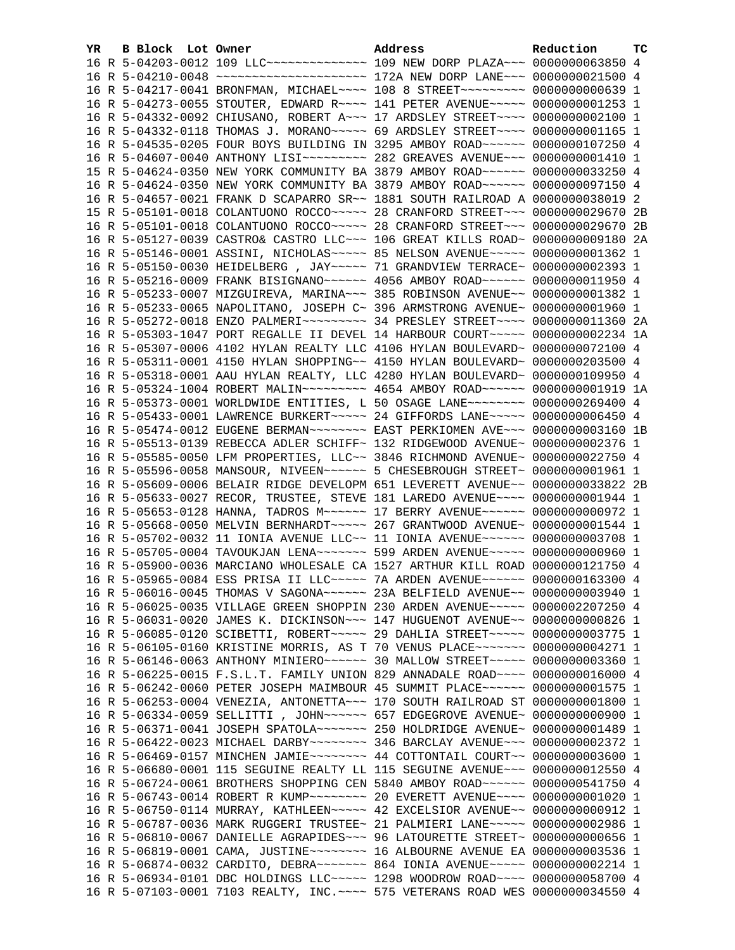| YR | B Block Lot Owner |                                                                                                                                                                | Address | Reduction | тc |
|----|-------------------|----------------------------------------------------------------------------------------------------------------------------------------------------------------|---------|-----------|----|
|    |                   | 16 R 5-04203-0012 109 LLC -------------- 109 NEW DORP PLAZA -- 0000000063850 4                                                                                 |         |           |    |
|    |                   |                                                                                                                                                                |         |           |    |
|    |                   | 16 R 5-04217-0041 BRONFMAN, MICHAEL~~~~ 108 8 STREET~~~~~~~~~ 0000000000639 1                                                                                  |         |           |    |
|    |                   | 16 R 5-04273-0055 STOUTER, EDWARD R~~~~ 141 PETER AVENUE~~~~~ 0000000001253 1                                                                                  |         |           |    |
|    |                   | 16 R 5-04332-0092 CHIUSANO, ROBERT A~~~ 17 ARDSLEY STREET~~~~ 0000000002100 1                                                                                  |         |           |    |
|    |                   | 16 R 5-04332-0118 THOMAS J. MORANO~~~~~ 69 ARDSLEY STREET~~~~ 00000000001165 1                                                                                 |         |           |    |
|    |                   | 16 R 5-04535-0205 FOUR BOYS BUILDING IN 3295 AMBOY ROAD~~~~~~ 0000000107250 4                                                                                  |         |           |    |
|    |                   | 16 R 5-04607-0040 ANTHONY LISI~~~~~~~~~~~~~~ 282 GREAVES AVENUE~~~ 00000000001410 1                                                                            |         |           |    |
|    |                   | 15 R 5-04624-0350 NEW YORK COMMUNITY BA 3879 AMBOY ROAD~~~~~~ 0000000033250 4                                                                                  |         |           |    |
|    |                   | 16 R 5-04624-0350 NEW YORK COMMUNITY BA 3879 AMBOY ROAD~~~~~~ 0000000097150 4                                                                                  |         |           |    |
|    |                   | 16 R 5-04657-0021 FRANK D SCAPARRO SR~~ 1881 SOUTH RAILROAD A 0000000038019 2                                                                                  |         |           |    |
|    |                   | 15 R 5-05101-0018 COLANTUONO ROCCO~~~~~ 28 CRANFORD STREET~~~ 0000000029670 2B                                                                                 |         |           |    |
|    |                   | 16 R 5-05101-0018 COLANTUONO ROCCO~~~~~ 28 CRANFORD STREET~~~ 0000000029670 2B                                                                                 |         |           |    |
|    |                   | 16 R 5-05127-0039 CASTRO& CASTRO LLC~~~ 106 GREAT KILLS ROAD~ 0000000009180 2A                                                                                 |         |           |    |
|    |                   | 16 R 5-05146-0001 ASSINI, NICHOLAS~~~~~ 85 NELSON AVENUE~~~~~ 00000000001362 1                                                                                 |         |           |    |
|    |                   | 16 R 5-05150-0030 HEIDELBERG , JAY ~~~~~ 71 GRANDVIEW TERRACE~ 0000000002393 1                                                                                 |         |           |    |
|    |                   | 16 R 5-05216-0009 FRANK BISIGNANO~~~~~~ 4056 AMBOY ROAD~~~~~~ 0000000011950 4                                                                                  |         |           |    |
|    |                   | 16 R 5-05233-0007 MIZGUIREVA, MARINA~~~ 385 ROBINSON AVENUE~~ 0000000001382 1                                                                                  |         |           |    |
|    |                   | 16 R 5-05233-0065 NAPOLITANO, JOSEPH C~ 396 ARMSTRONG AVENUE~ 00000000001960 1                                                                                 |         |           |    |
|    |                   | 16 R 5-05272-0018 ENZO PALMERI~~~~~~~~~~~~~~~~~~ 34 PRESLEY STREET~~~~~ 00000000011360 2A                                                                      |         |           |    |
|    |                   | 16 R 5-05303-1047 PORT REGALLE II DEVEL 14 HARBOUR COURT~~~~~ 0000000002234 1A                                                                                 |         |           |    |
|    |                   | 16 R 5-05307-0006 4102 HYLAN REALTY LLC 4106 HYLAN BOULEVARD~ 0000000072100 4                                                                                  |         |           |    |
|    |                   | 16 R 5-05311-0001 4150 HYLAN SHOPPING~~ 4150 HYLAN BOULEVARD~ 0000000203500 4                                                                                  |         |           |    |
|    |                   | 16 R 5-05318-0001 AAU HYLAN REALTY, LLC 4280 HYLAN BOULEVARD~ 0000000109950 4                                                                                  |         |           |    |
|    |                   | 16 R 5-05324-1004 ROBERT MALIN~~~~~~~~~ 4654 AMBOY ROAD~~~~~~ 00000000001919 1A                                                                                |         |           |    |
|    |                   | 16 R 5-05373-0001 WORLDWIDE ENTITIES, L 50 OSAGE LANE~~~~~~~~ 0000000269400 4                                                                                  |         |           |    |
|    |                   | 16 R 5-05433-0001 LAWRENCE BURKERT~~~~~ 24 GIFFORDS LANE~~~~~ 0000000006450 4                                                                                  |         |           |    |
|    |                   | 16 R 5-05474-0012 EUGENE BERMAN~~~~~~~~ EAST PERKIOMEN AVE~~~ 00000000003160 1B                                                                                |         |           |    |
|    |                   | 16 R 5-05513-0139 REBECCA ADLER SCHIFF~ 132 RIDGEWOOD AVENUE~ 0000000002376 1                                                                                  |         |           |    |
|    |                   | 16 R 5-05585-0050 LFM PROPERTIES, LLC~~ 3846 RICHMOND AVENUE~ 0000000022750 4<br>16 R 5-05596-0058 MANSOUR, NIVEEN~~~~~~ 5 CHESEBROUGH STREET~ 0000000001961 1 |         |           |    |
|    |                   | 16 R 5-05609-0006 BELAIR RIDGE DEVELOPM 651 LEVERETT AVENUE~~ 0000000033822 2B                                                                                 |         |           |    |
|    |                   | 16 R 5-05633-0027 RECOR, TRUSTEE, STEVE 181 LAREDO AVENUE~~~~ 00000000001944 1                                                                                 |         |           |    |
|    |                   | 16 R 5-05653-0128 HANNA, TADROS M~~~~~~~ 17 BERRY AVENUE~~~~~~ 0000000000972 1                                                                                 |         |           |    |
|    |                   | 16 R 5-05668-0050 MELVIN BERNHARDT ~~~~~ 267 GRANTWOOD AVENUE~ 0000000001544 1                                                                                 |         |           |    |
|    |                   | 16 R 5-05702-0032 11 IONIA AVENUE LLC~~ 11 IONIA AVENUE~~~~~~ 0000000003708 1                                                                                  |         |           |    |
|    |                   | 16 R 5-05705-0004 TAVOUKJAN LENA~~~~~~~ 599 ARDEN AVENUE~~~~~ 0000000000960 1                                                                                  |         |           |    |
|    |                   | 16 R 5-05900-0036 MARCIANO WHOLESALE CA 1527 ARTHUR KILL ROAD 0000000121750 4                                                                                  |         |           |    |
|    |                   | 16 R 5-05965-0084 ESS PRISA II LLC~~~~~ 7A ARDEN AVENUE~~~~~~ 0000000163300 4                                                                                  |         |           |    |
|    |                   | 16 R 5-06016-0045 THOMAS V SAGONA~~~~~~ 23A BELFIELD AVENUE~~ 00000000003940 1                                                                                 |         |           |    |
|    |                   | 16 R 5-06025-0035 VILLAGE GREEN SHOPPIN 230 ARDEN AVENUE~~~~~ 0000002207250 4                                                                                  |         |           |    |
|    |                   | 16 R 5-06031-0020 JAMES K. DICKINSON~~~ 147 HUGUENOT AVENUE~~ 00000000000826 1                                                                                 |         |           |    |
|    |                   | 16 R 5-06085-0120 SCIBETTI, ROBERT~~~~~ 29 DAHLIA STREET~~~~~ 0000000003775 1                                                                                  |         |           |    |
|    |                   | 16 R 5-06105-0160 KRISTINE MORRIS, AS T 70 VENUS PLACE~~~~~~~ 0000000004271 1                                                                                  |         |           |    |
|    |                   | 16 R 5-06146-0063 ANTHONY MINIERO~~~~~~ 30 MALLOW STREET~~~~~ 0000000003360 1                                                                                  |         |           |    |
|    |                   | 16 R 5-06225-0015 F.S.L.T. FAMILY UNION 829 ANNADALE ROAD~~~~ 0000000016000 4                                                                                  |         |           |    |
|    |                   | 16 R 5-06242-0060 PETER JOSEPH MAIMBOUR 45 SUMMIT PLACE ~~~~~~ 00000000001575 1                                                                                |         |           |    |
|    |                   | 16 R 5-06253-0004 VENEZIA, ANTONETTA~~~ 170 SOUTH RAILROAD ST 0000000001800 1                                                                                  |         |           |    |
|    |                   | 16 R 5-06334-0059 SELLITTI , JOHN~~~~~~ 657 EDGEGROVE AVENUE~ 0000000000900 1                                                                                  |         |           |    |
|    |                   | 16 R 5-06371-0041 JOSEPH SPATOLA~~~~~~~ 250 HOLDRIDGE AVENUE~ 0000000001489 1                                                                                  |         |           |    |
|    |                   | 16 R 5-06422-0023 MICHAEL DARBY~~~~~~~~ 346 BARCLAY AVENUE~~~ 0000000002372 1                                                                                  |         |           |    |
|    |                   | 16 R 5-06469-0157 MINCHEN JAMIE~~~~~~~~ 44 COTTONTAIL COURT~~ 0000000003600 1                                                                                  |         |           |    |
|    |                   | 16 R 5-06680-0001 115 SEGUINE REALTY LL 115 SEGUINE AVENUE~~~ 0000000012550 4                                                                                  |         |           |    |
|    |                   | 16 R 5-06724-0061 BROTHERS SHOPPING CEN 5840 AMBOY ROAD~~~~~~ 0000000541750 4                                                                                  |         |           |    |
|    |                   | 16 R 5-06743-0014 ROBERT R KUMP~~~~~~~~ 20 EVERETT AVENUE~~~~ 00000000001020 1                                                                                 |         |           |    |
|    |                   | 16 R 5-06750-0114 MURRAY, KATHLEEN~~~~~ 42 EXCELSIOR AVENUE~~ 0000000000912 1                                                                                  |         |           |    |
|    |                   | 16 R 5-06787-0036 MARK RUGGERI TRUSTEE~ 21 PALMIERI LANE~~~~~ 0000000002986 1                                                                                  |         |           |    |
|    |                   | 16 R 5-06810-0067 DANIELLE AGRAPIDES~~~ 96 LATOURETTE STREET~ 0000000000656 1                                                                                  |         |           |    |
|    |                   | 16 R 5-06819-0001 CAMA, JUSTINE~~~~~~~~~ 16 ALBOURNE AVENUE EA 0000000003536 1                                                                                 |         |           |    |
|    |                   | 16 R 5-06874-0032 CARDITO, DEBRA~~~~~~~ 864 IONIA AVENUE~~~~~ 0000000002214 1                                                                                  |         |           |    |
|    |                   | 16 R 5-06934-0101 DBC HOLDINGS LLC~~~~~ 1298 WOODROW ROAD~~~~ 0000000058700 4                                                                                  |         |           |    |
|    |                   | 16 R 5-07103-0001 7103 REALTY, INC. ~~~~ 575 VETERANS ROAD WES 0000000034550 4                                                                                 |         |           |    |